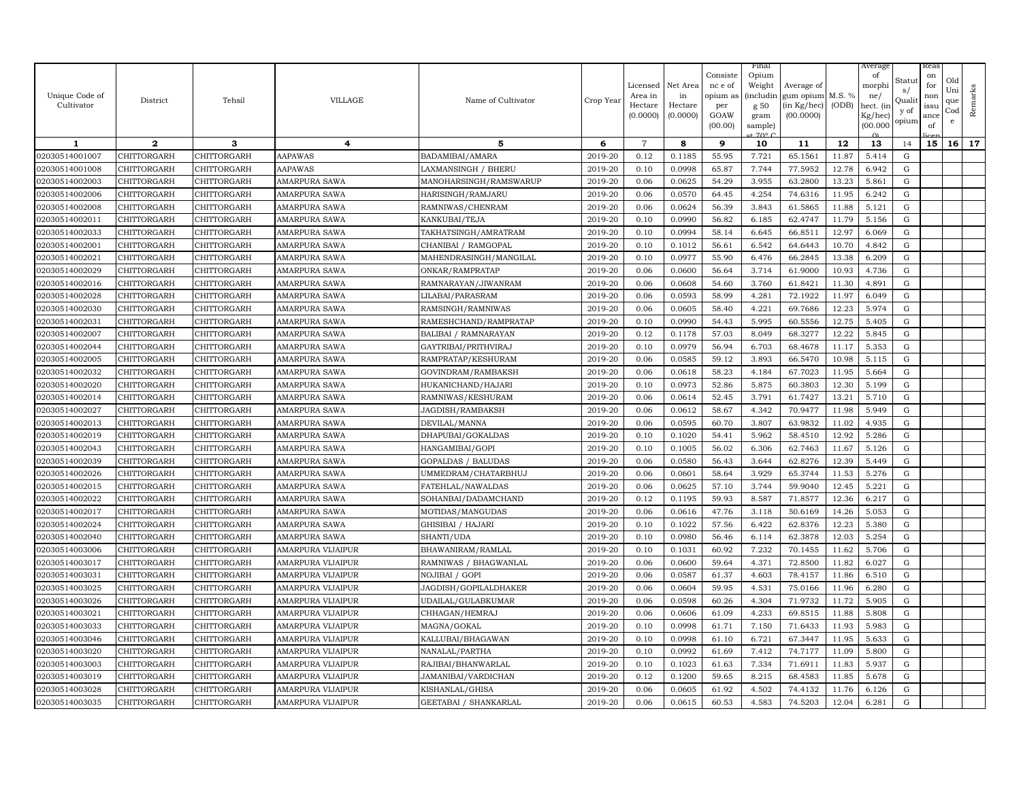| Unique Code of<br>Cultivator | District       | Tehsil             | VILLAGE           | Name of Cultivator          | Crop Year | Licensed<br>Area in<br>Hectare<br>(0.0000) | Net Area<br>in<br>Hectare<br>(0.0000) | Consiste<br>nc e of<br>opium as<br>per<br>GOAW<br>(00.00) | Final<br>Opium<br>Weight<br><i>(includin</i><br>g 50<br>gram<br>sample]<br>$70^\circ$ | Average of<br>gum opium M.S. %<br>(in Kg/hec)<br>(00.0000) | (ODB) | <b>Averag</b><br>of<br>morphi<br>ne/<br>hect. (in<br>Kg/hec)<br>(00.000) | Statu<br>s/<br>Quali<br>y of<br>opium | on<br>for<br>noi<br>isst<br>ance<br>of | blG<br>Uni<br>que | Remarks |
|------------------------------|----------------|--------------------|-------------------|-----------------------------|-----------|--------------------------------------------|---------------------------------------|-----------------------------------------------------------|---------------------------------------------------------------------------------------|------------------------------------------------------------|-------|--------------------------------------------------------------------------|---------------------------------------|----------------------------------------|-------------------|---------|
|                              | $\overline{2}$ | з                  | 4                 | 5                           | 6         | $\overline{7}$                             | 8                                     | 9                                                         | 10                                                                                    | 11                                                         | 12    | 13                                                                       | 14                                    | 15                                     | 16                | 17      |
| 02030514001007               | CHITTORGARH    | CHITTORGARH        | AAPAWAS           | BADAMIBAI/AMARA             | 2019-20   | 0.12                                       | 0.1185                                | 55.95                                                     | 7.721                                                                                 | 65.1561                                                    | 11.87 | 5.414                                                                    | G                                     |                                        |                   |         |
| 02030514001008               | CHITTORGARH    | CHITTORGARH        | <b>AAPAWAS</b>    | LAXMANSINGH / BHERU         | 2019-20   | 0.10                                       | 0.0998                                | 65.87                                                     | 7.744                                                                                 | 77.5952                                                    | 12.78 | 6.942                                                                    | G                                     |                                        |                   |         |
| 02030514002003               | CHITTORGARH    | CHITTORGARH        | AMARPURA SAWA     | MANOHARSINGH/RAMSWARUP      | 2019-20   | 0.06                                       | 0.0625                                | 54.29                                                     | 3.955                                                                                 | 63.2800                                                    | 13.23 | 5.861                                                                    | G                                     |                                        |                   |         |
| 02030514002006               | CHITTORGARH    | CHITTORGARH        | AMARPURA SAWA     | HARISINGH/RAMJARU           | 2019-20   | 0.06                                       | 0.0570                                | 64.45                                                     | 4.254                                                                                 | 74.6316                                                    | 11.95 | 6.242                                                                    | ${\rm G}$                             |                                        |                   |         |
| 02030514002008               | CHITTORGARH    | CHITTORGARH        | AMARPURA SAWA     | RAMNIWAS/CHENRAM            | 2019-20   | 0.06                                       | 0.0624                                | 56.39                                                     | 3.843                                                                                 | 61.5865                                                    | 11.88 | 5.121                                                                    | ${\rm G}$                             |                                        |                   |         |
| 02030514002011               | CHITTORGARH    | CHITTORGARH        | AMARPURA SAWA     | KANKUBAI/TEJA               | 2019-20   | 0.10                                       | 0.0990                                | 56.82                                                     | 6.185                                                                                 | 62.4747                                                    | 11.79 | 5.156                                                                    | G                                     |                                        |                   |         |
| 02030514002033               | CHITTORGARH    | CHITTORGARH        | AMARPURA SAWA     | TAKHATSINGH/AMRATRAM        | 2019-20   | 0.10                                       | 0.0994                                | 58.14                                                     | 6.645                                                                                 | 66.8511                                                    | 12.97 | 6.069                                                                    | ${\rm G}$                             |                                        |                   |         |
| 02030514002001               | CHITTORGARH    | CHITTORGARH        | AMARPURA SAWA     | CHANIBAI / RAMGOPAL         | 2019-20   | 0.10                                       | 0.1012                                | 56.61                                                     | 6.542                                                                                 | 64.6443                                                    | 10.70 | 4.842                                                                    | G                                     |                                        |                   |         |
| 02030514002021               | CHITTORGARH    | CHITTORGARH        | AMARPURA SAWA     | MAHENDRASINGH/MANGILAL      | 2019-20   | 0.10                                       | 0.0977                                | 55.90                                                     | 6.476                                                                                 | 66.2845                                                    | 13.38 | 6.209                                                                    | ${\rm G}$                             |                                        |                   |         |
| 02030514002029               | CHITTORGARH    | CHITTORGARH        | AMARPURA SAWA     | ONKAR/RAMPRATAP             | 2019-20   | 0.06                                       | 0.0600                                | 56.64                                                     | 3.714                                                                                 | 61.9000                                                    | 10.93 | 4.736                                                                    | G                                     |                                        |                   |         |
| 02030514002016               | CHITTORGARH    | CHITTORGARH        | AMARPURA SAWA     | RAMNARAYAN/JIWANRAM         | 2019-20   | 0.06                                       | 0.0608                                | 54.60                                                     | 3.760                                                                                 | 61.8421                                                    | 11.30 | 4.891                                                                    | G                                     |                                        |                   |         |
| 02030514002028               | CHITTORGARH    | CHITTORGARH        | AMARPURA SAWA     | LILABAI/PARASRAM            | 2019-20   | 0.06                                       | 0.0593                                | 58.99                                                     | 4.281                                                                                 | 72.1922                                                    | 11.97 | 6.049                                                                    | ${\rm G}$                             |                                        |                   |         |
| 02030514002030               | CHITTORGARH    | CHITTORGARH        | AMARPURA SAWA     | RAMSINGH/RAMNIWAS           | 2019-20   | 0.06                                       | 0.0605                                | 58.40                                                     | 4.221                                                                                 | 69.7686                                                    | 12.23 | 5.974                                                                    | ${\rm G}$                             |                                        |                   |         |
| 02030514002031               | CHITTORGARH    | CHITTORGARH        | AMARPURA SAWA     | RAMESHCHAND/RAMPRATAP       | 2019-20   | 0.10                                       | 0.0990                                | 54.43                                                     | 5.995                                                                                 | 60.5556                                                    | 12.75 | 5.405                                                                    | G                                     |                                        |                   |         |
| 02030514002007               | CHITTORGARH    | CHITTORGARH        | AMARPURA SAWA     | <b>BALIBAI / RAMNARAYAN</b> | 2019-20   | 0.12                                       | 0.1178                                | 57.03                                                     | 8.049                                                                                 | 68.3277                                                    | 12.22 | 5.845                                                                    | ${\rm G}$                             |                                        |                   |         |
| 02030514002044               | CHITTORGARH    | CHITTORGARH        | AMARPURA SAWA     | GAYTRIBAI/PRITHVIRAJ        | 2019-20   | 0.10                                       | 0.0979                                | 56.94                                                     | 6.703                                                                                 | 68.4678                                                    | 11.17 | 5.353                                                                    | ${\rm G}$                             |                                        |                   |         |
| 02030514002005               | CHITTORGARH    | CHITTORGARH        | AMARPURA SAWA     | RAMPRATAP/KESHURAM          | 2019-20   | 0.06                                       | 0.0585                                | 59.12                                                     | 3.893                                                                                 | 66.5470                                                    | 10.98 | 5.115                                                                    | G                                     |                                        |                   |         |
| 02030514002032               | CHITTORGARH    | CHITTORGARH        | AMARPURA SAWA     | GOVINDRAM/RAMBAKSH          | 2019-20   | 0.06                                       | 0.0618                                | 58.23                                                     | 4.184                                                                                 | 67.7023                                                    | 11.95 | 5.664                                                                    | $\mathbf G$                           |                                        |                   |         |
| 02030514002020               | CHITTORGARH    | CHITTORGARH        | AMARPURA SAWA     | HUKANICHAND/HAJARI          | 2019-20   | 0.10                                       | 0.0973                                | 52.86                                                     | 5.875                                                                                 | 60.3803                                                    | 12.30 | 5.199                                                                    | ${\bf G}$                             |                                        |                   |         |
| 02030514002014               | CHITTORGARH    | CHITTORGARH        | AMARPURA SAWA     | RAMNIWAS/KESHURAM           | 2019-20   | 0.06                                       | 0.0614                                | 52.45                                                     | 3.791                                                                                 | 61.7427                                                    | 13.21 | 5.710                                                                    | ${\bf G}$                             |                                        |                   |         |
| 02030514002027               | CHITTORGARH    | CHITTORGARH        | AMARPURA SAWA     | JAGDISH/RAMBAKSH            | 2019-20   | 0.06                                       | 0.0612                                | 58.67                                                     | 4.342                                                                                 | 70.9477                                                    | 11.98 | 5.949                                                                    | G                                     |                                        |                   |         |
| 02030514002013               | CHITTORGARH    | CHITTORGARH        | AMARPURA SAWA     | DEVILAL/MANNA               | 2019-20   | 0.06                                       | 0.0595                                | 60.70                                                     | 3.807                                                                                 | 63.9832                                                    | 11.02 | 4.935                                                                    | G                                     |                                        |                   |         |
| 02030514002019               | CHITTORGARH    | CHITTORGARH        | AMARPURA SAWA     | DHAPUBAI/GOKALDAS           | 2019-20   | 0.10                                       | 0.1020                                | 54.41                                                     | 5.962                                                                                 | 58.4510                                                    | 12.92 | 5.286                                                                    | G                                     |                                        |                   |         |
| 02030514002043               | CHITTORGARH    | CHITTORGARH        | AMARPURA SAWA     | HANGAMIBAI/GOPI             | 2019-20   | 0.10                                       | 0.1005                                | 56.02                                                     | 6.306                                                                                 | 62.7463                                                    | 11.67 | 5.126                                                                    | ${\rm G}$                             |                                        |                   |         |
| 02030514002039               | CHITTORGARH    | CHITTORGARH        | AMARPURA SAWA     | GOPALDAS / BALUDAS          | 2019-20   | 0.06                                       | 0.0580                                | 56.43                                                     | 3.644                                                                                 | 62.8276                                                    | 12.39 | 5.449                                                                    | ${\rm G}$                             |                                        |                   |         |
| 02030514002026               | CHITTORGARH    | <b>CHITTORGARH</b> | AMARPURA SAWA     | UMMEDRAM/CHATARBHUJ         | 2019-20   | 0.06                                       | 0.0601                                | 58.64                                                     | 3.929                                                                                 | 65.3744                                                    | 11.53 | 5.276                                                                    | G                                     |                                        |                   |         |
| 02030514002015               | CHITTORGARH    | CHITTORGARH        | AMARPURA SAWA     | FATEHLAL/NAWALDAS           | 2019-20   | 0.06                                       | 0.0625                                | 57.10                                                     | 3.744                                                                                 | 59.9040                                                    | 12.45 | 5.221                                                                    | ${\rm G}$                             |                                        |                   |         |
| 02030514002022               | CHITTORGARH    | CHITTORGARH        | AMARPURA SAWA     | SOHANBAI/DADAMCHAND         | 2019-20   | 0.12                                       | 0.1195                                | 59.93                                                     | 8.587                                                                                 | 71.8577                                                    | 12.36 | 6.217                                                                    | ${\rm G}$                             |                                        |                   |         |
| 02030514002017               | CHITTORGARH    | CHITTORGARH        | AMARPURA SAWA     | MOTIDAS/MANGUDAS            | 2019-20   | 0.06                                       | 0.0616                                | 47.76                                                     | 3.118                                                                                 | 50.6169                                                    | 14.26 | 5.053                                                                    | G                                     |                                        |                   |         |
| 02030514002024               | CHITTORGARH    | CHITTORGARH        | AMARPURA SAWA     | GHISIBAI / HAJARI           | 2019-20   | 0.10                                       | 0.1022                                | 57.56                                                     | 6.422                                                                                 | 62.8376                                                    | 12.23 | 5.380                                                                    | $\mathbf G$                           |                                        |                   |         |
| 02030514002040               | CHITTORGARH    | CHITTORGARH        | AMARPURA SAWA     | SHANTI/UDA                  | 2019-20   | 0.10                                       | 0.0980                                | 56.46                                                     | 6.114                                                                                 | 62.3878                                                    | 12.03 | 5.254                                                                    | ${\rm G}$                             |                                        |                   |         |
| 02030514003006               | CHITTORGARH    | CHITTORGARH        | AMARPURA VIJAIPUR | BHAWANIRAM/RAMLAL           | 2019-20   | 0.10                                       | 0.1031                                | 60.92                                                     | 7.232                                                                                 | 70.1455                                                    | 11.62 | 5.706                                                                    | ${\rm G}$                             |                                        |                   |         |
| 02030514003017               | CHITTORGARH    | CHITTORGARH        | AMARPURA VIJAIPUR | RAMNIWAS / BHAGWANLAL       | 2019-20   | 0.06                                       | 0.0600                                | 59.64                                                     | 4.371                                                                                 | 72.8500                                                    | 11.82 | 6.027                                                                    | $\mathbf G$                           |                                        |                   |         |
| 02030514003031               | CHITTORGARH    | CHITTORGARH        | AMARPURA VIJAIPUR | NOJIBAI / GOPI              | 2019-20   | 0.06                                       | 0.0587                                | 61.37                                                     | 4.603                                                                                 | 78.4157                                                    | 11.86 | 6.510                                                                    | G                                     |                                        |                   |         |
| 02030514003025               | CHITTORGARH    | CHITTORGARH        | AMARPURA VIJAIPUR | JAGDISH/GOPILALDHAKER       | 2019-20   | 0.06                                       | 0.0604                                | 59.95                                                     | 4.531                                                                                 | 75.0166                                                    | 11.96 | 6.280                                                                    | $\mathbf G$                           |                                        |                   |         |
| 02030514003026               | CHITTORGARH    | CHITTORGARH        | AMARPURA VIJAIPUR | UDAILAL/GULABKUMAR          | 2019-20   | 0.06                                       | 0.0598                                | 60.26                                                     | 4.304                                                                                 | 71.9732                                                    | 11.72 | 5.905                                                                    | ${\bf G}$                             |                                        |                   |         |
| 02030514003021               | CHITTORGARH    | CHITTORGARH        | AMARPURA VIJAIPUR | CHHAGAN/HEMRAJ              | 2019-20   | 0.06                                       | 0.0606                                | 61.09                                                     | 4.233                                                                                 | 69.8515                                                    | 11.88 | 5.808                                                                    | G                                     |                                        |                   |         |
| 02030514003033               | CHITTORGARH    | CHITTORGARH        | AMARPURA VIJAIPUR | MAGNA/GOKAL                 | 2019-20   | 0.10                                       | 0.0998                                | 61.71                                                     | 7.150                                                                                 | 71.6433                                                    | 11.93 | 5.983                                                                    | G                                     |                                        |                   |         |
| 02030514003046               | CHITTORGARH    | CHITTORGARH        | AMARPURA VIJAIPUR | KALLUBAI/BHAGAWAN           | 2019-20   | 0.10                                       | 0.0998                                | 61.10                                                     | 6.721                                                                                 | 67.3447                                                    | 11.95 | 5.633                                                                    | G                                     |                                        |                   |         |
| 02030514003020               | CHITTORGARH    | CHITTORGARH        | AMARPURA VIJAIPUR | NANALAL/PARTHA              | 2019-20   | 0.10                                       | 0.0992                                | 61.69                                                     | 7.412                                                                                 | 74.7177                                                    | 11.09 | 5.800                                                                    | G                                     |                                        |                   |         |
| 02030514003003               | CHITTORGARH    | CHITTORGARH        | AMARPURA VIJAIPUR | RAJIBAI/BHANWARLAL          | 2019-20   | 0.10                                       | 0.1023                                | 61.63                                                     | 7.334                                                                                 | 71.6911                                                    | 11.83 | 5.937                                                                    | G                                     |                                        |                   |         |
| 02030514003019               | CHITTORGARH    | CHITTORGARH        | AMARPURA VIJAIPUR | JAMANIBAI/VARDICHAN         | 2019-20   | 0.12                                       | 0.1200                                | 59.65                                                     | 8.215                                                                                 | 68.4583                                                    | 11.85 | 5.678                                                                    | G                                     |                                        |                   |         |
| 02030514003028               | CHITTORGARH    | CHITTORGARH        | AMARPURA VIJAIPUR | KISHANLAL/GHISA             | 2019-20   | 0.06                                       | 0.0605                                | 61.92                                                     | 4.502                                                                                 | 74.4132                                                    | 11.76 | 6.126                                                                    | ${\rm G}$                             |                                        |                   |         |
| 02030514003035               | CHITTORGARH    | CHITTORGARH        | AMARPURA VIJAIPUR | GEETABAI / SHANKARLAL       | 2019-20   | 0.06                                       | 0.0615                                | 60.53                                                     | 4.583                                                                                 | 74.5203                                                    | 12.04 | 6.281                                                                    | ${\rm G}$                             |                                        |                   |         |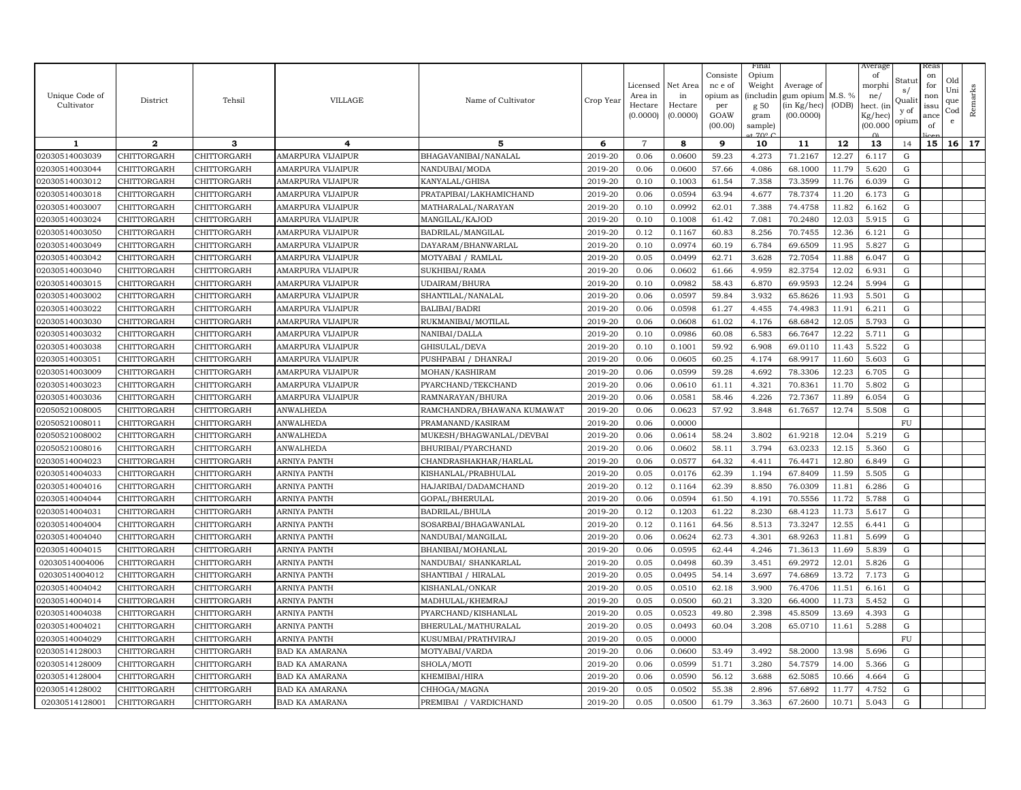| Unique Code of<br>Cultivator | District       | Tehsil      | VILLAGE                 | Name of Cultivator         | Crop Year | Licensed<br>Area in<br>Hectare<br>(0.0000) | Net Area<br>in<br>Hectare<br>(0.0000) | Consiste<br>nc e of<br>opium as<br>per<br>GOAW<br>(00.00) | Final<br>Opium<br>Weight<br><i>(includin</i><br>g 50<br>gram<br>sample)<br>$70^\circ$ | Average of<br>gum opium M.S. %<br>(in Kg/hec)<br>(00.0000) | (ODB) | Averag<br>of<br>morphi<br>ne/<br>hect. (in<br>Kg/hec)<br>(00.000) | Statu<br>s/<br>Quali<br>y of<br>opium | on<br>for<br>noi<br>isst<br>ance<br>of | Old<br>Uni<br>que | Remarks |
|------------------------------|----------------|-------------|-------------------------|----------------------------|-----------|--------------------------------------------|---------------------------------------|-----------------------------------------------------------|---------------------------------------------------------------------------------------|------------------------------------------------------------|-------|-------------------------------------------------------------------|---------------------------------------|----------------------------------------|-------------------|---------|
| 1                            | $\overline{2}$ | 3           | 4                       | 5                          | 6         | $\overline{7}$                             | 8                                     | 9                                                         | 10                                                                                    | 11                                                         | 12    | 13                                                                | 14                                    | 15                                     | 16                | 17      |
| 02030514003039               | CHITTORGARH    | CHITTORGARH | AMARPURA VIJAIPUR       | BHAGAVANIBAI/NANALAL       | 2019-20   | 0.06                                       | 0.0600                                | 59.23                                                     | 4.273                                                                                 | 71.2167                                                    | 12.27 | 6.117                                                             | G                                     |                                        |                   |         |
| 02030514003044               | CHITTORGARH    | CHITTORGARH | AMARPURA VIJAIPUR       | NANDUBAI/MODA              | 2019-20   | 0.06                                       | 0.0600                                | 57.66                                                     | 4.086                                                                                 | 68.1000                                                    | 11.79 | 5.620                                                             | G                                     |                                        |                   |         |
| 02030514003012               | CHITTORGARH    | CHITTORGARH | AMARPURA VIJAIPUR       | KANYALAL/GHISA             | 2019-20   | 0.10                                       | 0.1003                                | 61.54                                                     | 7.358                                                                                 | 73.3599                                                    | 11.76 | 6.039                                                             | G                                     |                                        |                   |         |
| 02030514003018               | CHITTORGARH    | CHITTORGARH | AMARPURA VIJAIPUR       | PRATAPIBAI/LAKHAMICHAND    | 2019-20   | 0.06                                       | 0.0594                                | 63.94                                                     | 4.677                                                                                 | 78.7374                                                    | 11.20 | 6.173                                                             | ${\rm G}$                             |                                        |                   |         |
| 02030514003007               | CHITTORGARH    | CHITTORGARH | AMARPURA VIJAIPUR       | MATHARALAL/NARAYAN         | 2019-20   | 0.10                                       | 0.0992                                | 62.01                                                     | 7.388                                                                                 | 74.4758                                                    | 11.82 | 6.162                                                             | G                                     |                                        |                   |         |
| 02030514003024               | CHITTORGARH    | CHITTORGARH | AMARPURA VIJAIPUR       | MANGILAL/KAJOD             | 2019-20   | 0.10                                       | 0.1008                                | 61.42                                                     | 7.081                                                                                 | 70.2480                                                    | 12.03 | 5.915                                                             | G                                     |                                        |                   |         |
| 02030514003050               | CHITTORGARH    | CHITTORGARH | AMARPURA VIJAIPUR       | BADRILAL/MANGILAL          | 2019-20   | 0.12                                       | 0.1167                                | 60.83                                                     | 8.256                                                                                 | 70.7455                                                    | 12.36 | 6.121                                                             | G                                     |                                        |                   |         |
| 02030514003049               | CHITTORGARH    | CHITTORGARH | AMARPURA VIJAIPUR       | DAYARAM/BHANWARLAL         | 2019-20   | 0.10                                       | 0.0974                                | 60.19                                                     | 6.784                                                                                 | 69.6509                                                    | 11.95 | 5.827                                                             | ${\rm G}$                             |                                        |                   |         |
| 02030514003042               | CHITTORGARH    | CHITTORGARH | AMARPURA VIJAIPUR       | MOTYABAI / RAMLAL          | 2019-20   | 0.05                                       | 0.0499                                | 62.71                                                     | 3.628                                                                                 | 72.7054                                                    | 11.88 | 6.047                                                             | ${\rm G}$                             |                                        |                   |         |
| 02030514003040               | CHITTORGARH    | CHITTORGARH | AMARPURA VIJAIPUR       | SUKHIBAI/RAMA              | 2019-20   | 0.06                                       | 0.0602                                | 61.66                                                     | 4.959                                                                                 | 82.3754                                                    | 12.02 | 6.931                                                             | G                                     |                                        |                   |         |
| 02030514003015               | CHITTORGARH    | CHITTORGARH | AMARPURA VIJAIPUR       | UDAIRAM/BHURA              | 2019-20   | 0.10                                       | 0.0982                                | 58.43                                                     | 6.870                                                                                 | 69.9593                                                    | 12.24 | 5.994                                                             | ${\rm G}$                             |                                        |                   |         |
| 02030514003002               | CHITTORGARH    | CHITTORGARH | AMARPURA VIJAIPUR       | SHANTILAL/NANALAL          | 2019-20   | 0.06                                       | 0.0597                                | 59.84                                                     | 3.932                                                                                 | 65.8626                                                    | 11.93 | 5.501                                                             | ${\rm G}$                             |                                        |                   |         |
| 02030514003022               | CHITTORGARH    | CHITTORGARH | AMARPURA VIJAIPUR       | <b>BALIBAI/BADRI</b>       | 2019-20   | 0.06                                       | 0.0598                                | 61.27                                                     | 4.455                                                                                 | 74.4983                                                    | 11.91 | 6.211                                                             | G                                     |                                        |                   |         |
| 02030514003030               | CHITTORGARH    | CHITTORGARH | AMARPURA VIJAIPUR       | RUKMANIBAI/MOTILAL         | 2019-20   | 0.06                                       | 0.0608                                | 61.02                                                     | 4.176                                                                                 | 68.6842                                                    | 12.05 | 5.793                                                             | ${\rm G}$                             |                                        |                   |         |
| 02030514003032               | CHITTORGARH    | CHITTORGARH | AMARPURA VIJAIPUR       | NANIBAI/DALLA              | 2019-20   | 0.10                                       | 0.0986                                | 60.08                                                     | 6.583                                                                                 | 66.7647                                                    | 12.22 | 5.711                                                             | ${\rm G}$                             |                                        |                   |         |
| 02030514003038               | CHITTORGARH    | CHITTORGARH | <b>MARPURA VIJAIPUR</b> | GHISULAL/DEVA              | 2019-20   | 0.10                                       | 0.1001                                | 59.92                                                     | 6.908                                                                                 | 69.0110                                                    | 11.43 | 5.522                                                             | $\mathbf G$                           |                                        |                   |         |
| 02030514003051               | CHITTORGARH    | CHITTORGARH | AMARPURA VIJAIPUR       | PUSHPABAI / DHANRAJ        | 2019-20   | 0.06                                       | 0.0605                                | 60.25                                                     | 4.174                                                                                 | 68.9917                                                    | 11.60 | 5.603                                                             | ${\rm G}$                             |                                        |                   |         |
| 02030514003009               | CHITTORGARH    | CHITTORGARH | AMARPURA VIJAIPUR       | MOHAN/KASHIRAM             | 2019-20   | 0.06                                       | 0.0599                                | 59.28                                                     | 4.692                                                                                 | 78.3306                                                    | 12.23 | 6.705                                                             | ${\rm G}$                             |                                        |                   |         |
| 02030514003023               | CHITTORGARH    | CHITTORGARH | AMARPURA VIJAIPUR       | PYARCHAND/TEKCHAND         | 2019-20   | 0.06                                       | 0.0610                                | 61.11                                                     | 4.321                                                                                 | 70.8361                                                    | 11.70 | 5.802                                                             | ${\rm G}$                             |                                        |                   |         |
| 02030514003036               | CHITTORGARH    | CHITTORGARH | AMARPURA VIJAIPUR       | RAMNARAYAN/BHURA           | 2019-20   | 0.06                                       | 0.0581                                | 58.46                                                     | 4.226                                                                                 | 72.7367                                                    | 11.89 | 6.054                                                             | G                                     |                                        |                   |         |
| 02050521008005               | CHITTORGARH    | CHITTORGARH | ANWALHEDA               | RAMCHANDRA/BHAWANA KUMAWAT | 2019-20   | 0.06                                       | 0.0623                                | 57.92                                                     | 3.848                                                                                 | 61.7657                                                    | 12.74 | 5.508                                                             | G                                     |                                        |                   |         |
| 02050521008011               | CHITTORGARH    | CHITTORGARH | ANWALHEDA               | PRAMANAND/KASIRAM          | 2019-20   | 0.06                                       | 0.0000                                |                                                           |                                                                                       |                                                            |       |                                                                   | FU                                    |                                        |                   |         |
| 02050521008002               | CHITTORGARH    | CHITTORGARH | ANWALHEDA               | MUKESH/BHAGWANLAL/DEVBAI   | 2019-20   | 0.06                                       | 0.0614                                | 58.24                                                     | 3.802                                                                                 | 61.9218                                                    | 12.04 | 5.219                                                             | G                                     |                                        |                   |         |
| 02050521008016               | CHITTORGARH    | CHITTORGARH | <b>ANWALHEDA</b>        | BHURIBAI/PYARCHAND         | 2019-20   | 0.06                                       | 0.0602                                | 58.11                                                     | 3.794                                                                                 | 63.0233                                                    | 12.15 | 5.360                                                             | G                                     |                                        |                   |         |
| 02030514004023               | CHITTORGARH    | CHITTORGARH | ARNIYA PANTH            | CHANDRASHAKHAR/HARLAL      | 2019-20   | 0.06                                       | 0.0577                                | 64.32                                                     | 4.411                                                                                 | 76.4471                                                    | 12.80 | 6.849                                                             | G                                     |                                        |                   |         |
| 02030514004033               | CHITTORGARH    | CHITTORGARH | ARNIYA PANTH            | KISHANLAL/PRABHULAL        | 2019-20   | 0.05                                       | 0.0176                                | 62.39                                                     | 1.194                                                                                 | 67.8409                                                    | 11.59 | 5.505                                                             | ${\rm G}$                             |                                        |                   |         |
| 02030514004016               | CHITTORGARH    | CHITTORGARH | ARNIYA PANTH            | HAJARIBAI/DADAMCHAND       | 2019-20   | 0.12                                       | 0.1164                                | 62.39                                                     | 8.850                                                                                 | 76.0309                                                    | 11.81 | 6.286                                                             | G                                     |                                        |                   |         |
| 02030514004044               | CHITTORGARH    | CHITTORGARH | ARNIYA PANTH            | GOPAL/BHERULAL             | 2019-20   | 0.06                                       | 0.0594                                | 61.50                                                     | 4.191                                                                                 | 70.5556                                                    | 11.72 | 5.788                                                             | G                                     |                                        |                   |         |
| 02030514004031               | CHITTORGARH    | CHITTORGARH | ARNIYA PANTH            | BADRILAL/BHULA             | 2019-20   | 0.12                                       | 0.1203                                | 61.22                                                     | 8.230                                                                                 | 68.4123                                                    | 11.73 | 5.617                                                             | ${\rm G}$                             |                                        |                   |         |
| 02030514004004               | CHITTORGARH    | CHITTORGARH | ARNIYA PANTH            | SOSARBAI/BHAGAWANLAL       | 2019-20   | 0.12                                       | 0.1161                                | 64.56                                                     | 8.513                                                                                 | 73.3247                                                    | 12.55 | 6.441                                                             | ${\rm G}$                             |                                        |                   |         |
| 02030514004040               | CHITTORGARH    | CHITTORGARH | ARNIYA PANTH            | NANDUBAI/MANGILAL          | 2019-20   | 0.06                                       | 0.0624                                | 62.73                                                     | 4.301                                                                                 | 68.9263                                                    | 11.81 | 5.699                                                             | ${\rm G}$                             |                                        |                   |         |
| 02030514004015               | CHITTORGARH    | CHITTORGARH | ARNIYA PANTH            | BHANIBAI/MOHANLAL          | 2019-20   | 0.06                                       | 0.0595                                | 62.44                                                     | 4.246                                                                                 | 71.3613                                                    | 11.69 | 5.839                                                             | G                                     |                                        |                   |         |
| 02030514004006               | CHITTORGARH    | CHITTORGARH | ARNIYA PANTH            | NANDUBAI/ SHANKARLAL       | 2019-20   | 0.05                                       | 0.0498                                | 60.39                                                     | 3.451                                                                                 | 69.2972                                                    | 12.01 | 5.826                                                             | ${\rm G}$                             |                                        |                   |         |
| 02030514004012               | CHITTORGARH    | CHITTORGARH | ARNIYA PANTH            | SHANTIBAI / HIRALAL        | 2019-20   | 0.05                                       | 0.0495                                | 54.14                                                     | 3.697                                                                                 | 74.6869                                                    | 13.72 | 7.173                                                             | ${\rm G}$                             |                                        |                   |         |
| 02030514004042               | CHITTORGARH    | CHITTORGARH | ARNIYA PANTH            | KISHANLAL/ONKAR            | 2019-20   | 0.05                                       | 0.0510                                | 62.18                                                     | 3.900                                                                                 | 76.4706                                                    | 11.51 | 6.161                                                             | G                                     |                                        |                   |         |
| 02030514004014               | CHITTORGARH    | CHITTORGARH | ARNIYA PANTH            | MADHULAL/KHEMRAJ           | 2019-20   | 0.05                                       | 0.0500                                | 60.21                                                     | 3.320                                                                                 | 66.4000                                                    | 11.73 | 5.452                                                             | G                                     |                                        |                   |         |
| 02030514004038               | CHITTORGARH    | CHITTORGARH | ARNIYA PANTH            | PYARCHAND/KISHANLAL        | 2019-20   | 0.05                                       | 0.0523                                | 49.80                                                     | 2.398                                                                                 | 45.8509                                                    | 13.69 | 4.393                                                             | ${\rm G}$                             |                                        |                   |         |
| 02030514004021               | CHITTORGARH    | CHITTORGARH | ARNIYA PANTH            | BHERULAL/MATHURALAL        | 2019-20   | 0.05                                       | 0.0493                                | 60.04                                                     | 3.208                                                                                 | 65.0710                                                    | 11.61 | 5.288                                                             | G                                     |                                        |                   |         |
| 02030514004029               | CHITTORGARH    | CHITTORGARH | ARNIYA PANTH            | KUSUMBAI/PRATHVIRAJ        | 2019-20   | 0.05                                       | 0.0000                                |                                                           |                                                                                       |                                                            |       |                                                                   | FU                                    |                                        |                   |         |
| 02030514128003               | CHITTORGARH    | CHITTORGARH | BAD KA AMARANA          | MOTYABAI/VARDA             | 2019-20   | 0.06                                       | 0.0600                                | 53.49                                                     | 3.492                                                                                 | 58.2000                                                    | 13.98 | 5.696                                                             | G                                     |                                        |                   |         |
| 02030514128009               | CHITTORGARH    | CHITTORGARH | BAD KA AMARANA          | SHOLA/MOTI                 | 2019-20   | 0.06                                       | 0.0599                                | 51.71                                                     | 3.280                                                                                 | 54.7579                                                    | 14.00 | 5.366                                                             | G                                     |                                        |                   |         |
| 02030514128004               | CHITTORGARH    | CHITTORGARH | BAD KA AMARANA          | KHEMIBAI/HIRA              | 2019-20   | 0.06                                       | 0.0590                                | 56.12                                                     | 3.688                                                                                 | 62.5085                                                    | 10.66 | 4.664                                                             | G                                     |                                        |                   |         |
| 02030514128002               | CHITTORGARH    | CHITTORGARH | BAD KA AMARANA          | CHHOGA/MAGNA               | 2019-20   | 0.05                                       | 0.0502                                | 55.38                                                     | 2.896                                                                                 | 57.6892                                                    | 11.77 | 4.752                                                             | ${\rm G}$                             |                                        |                   |         |
| 02030514128001               | CHITTORGARH    | CHITTORGARH | <b>BAD KA AMARANA</b>   | PREMIBAI / VARDICHAND      | 2019-20   | 0.05                                       | 0.0500                                | 61.79                                                     | 3.363                                                                                 | 67.2600                                                    | 10.71 | 5.043                                                             | ${\rm G}$                             |                                        |                   |         |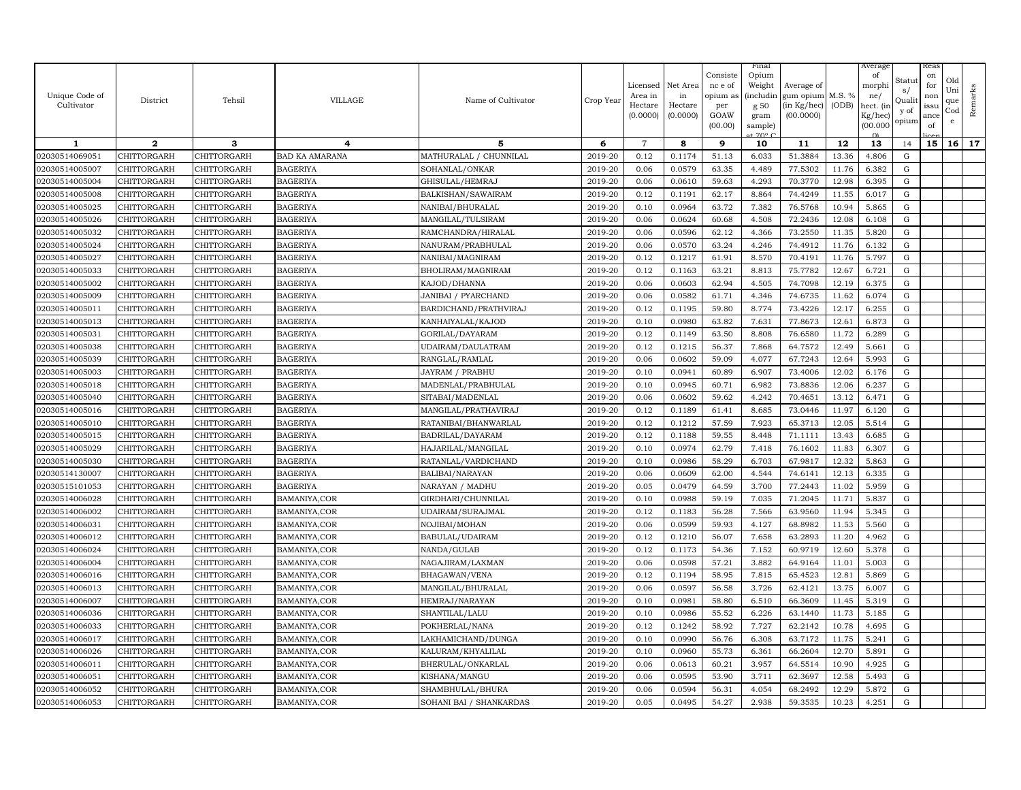| Unique Code of<br>Cultivator | District       | Tehsil             | VILLAGE         | Name of Cultivator      | Crop Year | Licensed<br>Area in<br>Hectare<br>(0.0000) | Net Area<br>in<br>Hectare<br>(0.0000) | Consiste<br>nc e of<br>opium as<br>per<br>GOAW<br>(00.00) | Final<br>Opium<br>Weight<br><i>(includin</i><br>g 50<br>gram<br>sample)<br>$70^\circ$ | Average of<br>gum opium M.S. %<br>(in Kg/hec)<br>(00.0000) | (ODB) | Averag<br>of<br>morphi<br>ne/<br>hect. (in<br>Kg/hec<br>(00.000) | Statut<br>s/<br>Quali<br>y of<br>opium | on<br>for<br>noi<br>isst<br>ance<br>of | Dld<br>Uni<br>que | Remarks |
|------------------------------|----------------|--------------------|-----------------|-------------------------|-----------|--------------------------------------------|---------------------------------------|-----------------------------------------------------------|---------------------------------------------------------------------------------------|------------------------------------------------------------|-------|------------------------------------------------------------------|----------------------------------------|----------------------------------------|-------------------|---------|
|                              | $\overline{2}$ | з                  | 4               | 5                       | 6         | $\overline{7}$                             | 8                                     | 9                                                         | 10                                                                                    | 11                                                         | 12    | 13                                                               | 14                                     | 15                                     | 16 <sup>1</sup>   | 17      |
| 02030514069051               | CHITTORGARH    | CHITTORGARH        | BAD KA AMARANA  | MATHURALAL / CHUNNILAL  | 2019-20   | 0.12                                       | 0.1174                                | 51.13                                                     | 6.033                                                                                 | 51.3884                                                    | 13.36 | 4.806                                                            | G                                      |                                        |                   |         |
| 02030514005007               | CHITTORGARH    | CHITTORGARH        | <b>BAGERIYA</b> | SOHANLAL/ONKAR          | 2019-20   | 0.06                                       | 0.0579                                | 63.35                                                     | 4.489                                                                                 | 77.5302                                                    | 11.76 | 6.382                                                            | G                                      |                                        |                   |         |
| 02030514005004               | CHITTORGARH    | CHITTORGARH        | <b>BAGERIYA</b> | GHISULAL/HEMRAJ         | 2019-20   | 0.06                                       | 0.0610                                | 59.63                                                     | 4.293                                                                                 | 70.3770                                                    | 12.98 | 6.395                                                            | G                                      |                                        |                   |         |
| 02030514005008               | CHITTORGARH    | CHITTORGARH        | <b>BAGERIYA</b> | BALKISHAN/SAWAIRAM      | 2019-20   | 0.12                                       | 0.1191                                | 62.17                                                     | 8.864                                                                                 | 74.4249                                                    | 11.55 | 6.017                                                            | ${\rm G}$                              |                                        |                   |         |
| 02030514005025               | CHITTORGARH    | CHITTORGARH        | <b>BAGERIYA</b> | NANIBAI/BHURALAL        | 2019-20   | 0.10                                       | 0.0964                                | 63.72                                                     | 7.382                                                                                 | 76.5768                                                    | 10.94 | 5.865                                                            | G                                      |                                        |                   |         |
| 02030514005026               | CHITTORGARH    | CHITTORGARH        | <b>BAGERIYA</b> | MANGILAL/TULSIRAM       | 2019-20   | 0.06                                       | 0.0624                                | 60.68                                                     | 4.508                                                                                 | 72.2436                                                    | 12.08 | 6.108                                                            | G                                      |                                        |                   |         |
| 02030514005032               | CHITTORGARH    | CHITTORGARH        | <b>BAGERIYA</b> | RAMCHANDRA/HIRALAL      | 2019-20   | 0.06                                       | 0.0596                                | 62.12                                                     | 4.366                                                                                 | 73.2550                                                    | 11.35 | 5.820                                                            | ${\rm G}$                              |                                        |                   |         |
| 02030514005024               | CHITTORGARH    | CHITTORGARH        | <b>BAGERIYA</b> | NANURAM/PRABHULAL       | 2019-20   | 0.06                                       | 0.0570                                | 63.24                                                     | 4.246                                                                                 | 74.4912                                                    | 11.76 | 6.132                                                            | G                                      |                                        |                   |         |
| 02030514005027               | CHITTORGARH    | CHITTORGARH        | <b>BAGERIYA</b> | NANIBAI/MAGNIRAM        | 2019-20   | 0.12                                       | 0.1217                                | 61.91                                                     | 8.570                                                                                 | 70.4191                                                    | 11.76 | 5.797                                                            | ${\rm G}$                              |                                        |                   |         |
| 02030514005033               | CHITTORGARH    | CHITTORGARH        | <b>BAGERIYA</b> | BHOLIRAM/MAGNIRAM       | 2019-20   | 0.12                                       | 0.1163                                | 63.21                                                     | 8.813                                                                                 | 75.7782                                                    | 12.67 | 6.721                                                            | G                                      |                                        |                   |         |
| 02030514005002               | CHITTORGARH    | CHITTORGARH        | <b>BAGERIYA</b> | KAJOD/DHANNA            | 2019-20   | 0.06                                       | 0.0603                                | 62.94                                                     | 4.505                                                                                 | 74.7098                                                    | 12.19 | 6.375                                                            | ${\rm G}$                              |                                        |                   |         |
| 02030514005009               | CHITTORGARH    | CHITTORGARH        | <b>BAGERIYA</b> | JANIBAI / PYARCHAND     | 2019-20   | 0.06                                       | 0.0582                                | 61.71                                                     | 4.346                                                                                 | 74.6735                                                    | 11.62 | 6.074                                                            | ${\rm G}$                              |                                        |                   |         |
| 02030514005011               | CHITTORGARH    | CHITTORGARH        | <b>BAGERIYA</b> | BARDICHAND/PRATHVIRAJ   | 2019-20   | 0.12                                       | 0.1195                                | 59.80                                                     | 8.774                                                                                 | 73.4226                                                    | 12.17 | 6.255                                                            | ${\rm G}$                              |                                        |                   |         |
| 02030514005013               | CHITTORGARH    | CHITTORGARH        | <b>BAGERIYA</b> | KANHAIYALAL/KAJOD       | 2019-20   | 0.10                                       | 0.0980                                | 63.82                                                     | 7.631                                                                                 | 77.8673                                                    | 12.61 | 6.873                                                            | G                                      |                                        |                   |         |
| 02030514005031               | CHITTORGARH    | CHITTORGARH        | <b>BAGERIYA</b> | GORILAL/DAYARAM         | 2019-20   | 0.12                                       | 0.1149                                | 63.50                                                     | 8.808                                                                                 | 76.6580                                                    | 11.72 | 6.289                                                            | ${\rm G}$                              |                                        |                   |         |
| 02030514005038               | CHITTORGARH    | CHITTORGARH        | <b>BAGERIYA</b> | UDAIRAM/DAULATRAM       | 2019-20   | 0.12                                       | 0.1215                                | 56.37                                                     | 7.868                                                                                 | 64.7572                                                    | 12.49 | 5.661                                                            | ${\rm G}$                              |                                        |                   |         |
| 02030514005039               | CHITTORGARH    | CHITTORGARH        | <b>BAGERIYA</b> | RANGLAL/RAMLAL          | 2019-20   | 0.06                                       | 0.0602                                | 59.09                                                     | 4.077                                                                                 | 67.7243                                                    | 12.64 | 5.993                                                            | ${\rm G}$                              |                                        |                   |         |
| 02030514005003               | CHITTORGARH    | CHITTORGARH        | <b>BAGERIYA</b> | JAYRAM / PRABHU         | 2019-20   | 0.10                                       | 0.0941                                | 60.89                                                     | 6.907                                                                                 | 73.4006                                                    | 12.02 | 6.176                                                            | G                                      |                                        |                   |         |
| 02030514005018               | CHITTORGARH    | CHITTORGARH        | <b>BAGERIYA</b> | MADENLAL/PRABHULAL      | 2019-20   | 0.10                                       | 0.0945                                | 60.71                                                     | 6.982                                                                                 | 73.8836                                                    | 12.06 | 6.237                                                            | G                                      |                                        |                   |         |
| 02030514005040               | CHITTORGARH    | CHITTORGARH        | <b>BAGERIYA</b> | SITABAI/MADENLAL        | 2019-20   | 0.06                                       | 0.0602                                | 59.62                                                     | 4.242                                                                                 | 70.4651                                                    | 13.12 | 6.471                                                            | G                                      |                                        |                   |         |
| 02030514005016               | CHITTORGARH    | CHITTORGARH        | <b>BAGERIYA</b> | MANGILAL/PRATHAVIRAJ    | 2019-20   | 0.12                                       | 0.1189                                | 61.41                                                     | 8.685                                                                                 | 73.0446                                                    | 11.97 | 6.120                                                            | G                                      |                                        |                   |         |
| 02030514005010               | CHITTORGARH    | CHITTORGARH        | BAGERIYA        | RATANIBAI/BHANWARLAL    | 2019-20   | 0.12                                       | 0.1212                                | 57.59                                                     | 7.923                                                                                 | 65.3713                                                    | 12.05 | 5.514                                                            | G                                      |                                        |                   |         |
| 02030514005015               | CHITTORGARH    | CHITTORGARH        | BAGERIYA        | BADRILAL/DAYARAM        | 2019-20   | 0.12                                       | 0.1188                                | 59.55                                                     | 8.448                                                                                 | 71.1111                                                    | 13.43 | 6.685                                                            | G                                      |                                        |                   |         |
| 02030514005029               | CHITTORGARH    | CHITTORGARH        | <b>BAGERIYA</b> | HAJARILAL/MANGILAL      | 2019-20   | 0.10                                       | 0.0974                                | 62.79                                                     | 7.418                                                                                 | 76.1602                                                    | 11.83 | 6.307                                                            | ${\rm G}$                              |                                        |                   |         |
| 02030514005030               | CHITTORGARH    | CHITTORGARH        | <b>BAGERIYA</b> | RATANLAL/VARDICHAND     | 2019-20   | 0.10                                       | 0.0986                                | 58.29                                                     | 6.703                                                                                 | 67.9817                                                    | 12.32 | 5.863                                                            | ${\rm G}$                              |                                        |                   |         |
| 02030514130007               | CHITTORGARH    | <b>CHITTORGARH</b> | <b>BAGERIYA</b> | BALIBAI/NARAYAN         | 2019-20   | 0.06                                       | 0.0609                                | 62.00                                                     | 4.544                                                                                 | 74.6141                                                    | 12.13 | 6.335                                                            | G                                      |                                        |                   |         |
| 02030515101053               | CHITTORGARH    | CHITTORGARH        | BAGERIYA        | NARAYAN / MADHU         | 2019-20   | 0.05                                       | 0.0479                                | 64.59                                                     | 3.700                                                                                 | 77.2443                                                    | 11.02 | 5.959                                                            | ${\rm G}$                              |                                        |                   |         |
| 02030514006028               | CHITTORGARH    | CHITTORGARH        | BAMANIYA, COR   | GIRDHARI/CHUNNILAL      | 2019-20   | 0.10                                       | 0.0988                                | 59.19                                                     | 7.035                                                                                 | 71.2045                                                    | 11.71 | 5.837                                                            | ${\rm G}$                              |                                        |                   |         |
| 02030514006002               | CHITTORGARH    | CHITTORGARH        | BAMANIYA,COR    | UDAIRAM/SURAJMAL        | 2019-20   | 0.12                                       | 0.1183                                | 56.28                                                     | 7.566                                                                                 | 63.9560                                                    | 11.94 | 5.345                                                            | ${\rm G}$                              |                                        |                   |         |
| 02030514006031               | CHITTORGARH    | CHITTORGARH        | BAMANIYA,COR    | NOJIBAI/MOHAN           | 2019-20   | 0.06                                       | 0.0599                                | 59.93                                                     | 4.127                                                                                 | 68.8982                                                    | 11.53 | 5.560                                                            | $\mathbf G$                            |                                        |                   |         |
| 02030514006012               | CHITTORGARH    | CHITTORGARH        | BAMANIYA, COR   | BABULAL/UDAIRAM         | 2019-20   | 0.12                                       | 0.1210                                | 56.07                                                     | 7.658                                                                                 | 63.2893                                                    | 11.20 | 4.962                                                            | ${\rm G}$                              |                                        |                   |         |
| 02030514006024               | CHITTORGARH    | CHITTORGARH        | BAMANIYA,COR    | NANDA/GULAB             | 2019-20   | 0.12                                       | 0.1173                                | 54.36                                                     | 7.152                                                                                 | 60.9719                                                    | 12.60 | 5.378                                                            | ${\rm G}$                              |                                        |                   |         |
| 02030514006004               | CHITTORGARH    | CHITTORGARH        | BAMANIYA,COR    | NAGAJIRAM/LAXMAN        | 2019-20   | 0.06                                       | 0.0598                                | 57.21                                                     | 3.882                                                                                 | 64.9164                                                    | 11.01 | 5.003                                                            | ${\rm G}$                              |                                        |                   |         |
| 02030514006016               | CHITTORGARH    | CHITTORGARH        | BAMANIYA, COR   | BHAGAWAN/VENA           | 2019-20   | 0.12                                       | 0.1194                                | 58.95                                                     | 7.815                                                                                 | 65.4523                                                    | 12.81 | 5.869                                                            | G                                      |                                        |                   |         |
| 02030514006013               | CHITTORGARH    | CHITTORGARH        | BAMANIYA,COR    | MANGILAL/BHURALAL       | 2019-20   | 0.06                                       | 0.0597                                | 56.58                                                     | 3.726                                                                                 | 62.4121                                                    | 13.75 | 6.007                                                            | $\mathbf G$                            |                                        |                   |         |
| 02030514006007               | CHITTORGARH    | CHITTORGARH        | BAMANIYA, COR   | HEMRAJ/NARAYAN          | 2019-20   | 0.10                                       | 0.0981                                | 58.80                                                     | 6.510                                                                                 | 66.3609                                                    | 11.45 | 5.319                                                            | G                                      |                                        |                   |         |
| 02030514006036               | CHITTORGARH    | CHITTORGARH        | BAMANIYA,COR    | SHANTILAL/LALU          | 2019-20   | 0.10                                       | 0.0986                                | 55.52                                                     | 6.226                                                                                 | 63.1440                                                    | 11.73 | 5.185                                                            | G                                      |                                        |                   |         |
| 02030514006033               | CHITTORGARH    | CHITTORGARH        | BAMANIYA,COR    | POKHERLAL/NANA          | 2019-20   | 0.12                                       | 0.1242                                | 58.92                                                     | 7.727                                                                                 | 62.2142                                                    | 10.78 | 4.695                                                            | G                                      |                                        |                   |         |
| 02030514006017               | CHITTORGARH    | CHITTORGARH        | BAMANIYA, COR   | LAKHAMICHAND/DUNGA      | 2019-20   | 0.10                                       | 0.0990                                | 56.76                                                     | 6.308                                                                                 | 63.7172                                                    | 11.75 | 5.241                                                            | G                                      |                                        |                   |         |
| 02030514006026               | CHITTORGARH    | CHITTORGARH        | BAMANIYA,COR    | KALURAM/KHYALILAL       | 2019-20   | 0.10                                       | 0.0960                                | 55.73                                                     | 6.361                                                                                 | 66.2604                                                    | 12.70 | 5.891                                                            | G                                      |                                        |                   |         |
| 02030514006011               | CHITTORGARH    | CHITTORGARH        | BAMANIYA,COR    | BHERULAL/ONKARLAL       | 2019-20   | 0.06                                       | 0.0613                                | 60.21                                                     | 3.957                                                                                 | 64.5514                                                    | 10.90 | 4.925                                                            | G                                      |                                        |                   |         |
| 02030514006051               | CHITTORGARH    | CHITTORGARH        | BAMANIYA,COR    | KISHANA/MANGU           | 2019-20   | 0.06                                       | 0.0595                                | 53.90                                                     | 3.711                                                                                 | 62.3697                                                    | 12.58 | 5.493                                                            | G                                      |                                        |                   |         |
| 02030514006052               | CHITTORGARH    | CHITTORGARH        | BAMANIYA,COR    | SHAMBHULAL/BHURA        | 2019-20   | 0.06                                       | 0.0594                                | 56.31                                                     | 4.054                                                                                 | 68.2492                                                    | 12.29 | 5.872                                                            | ${\rm G}$                              |                                        |                   |         |
| 02030514006053               | CHITTORGARH    | CHITTORGARH        | BAMANIYA, COR   | SOHANI BAI / SHANKARDAS | 2019-20   | 0.05                                       | 0.0495                                | 54.27                                                     | 2.938                                                                                 | 59.3535                                                    | 10.23 | 4.251                                                            | ${\rm G}$                              |                                        |                   |         |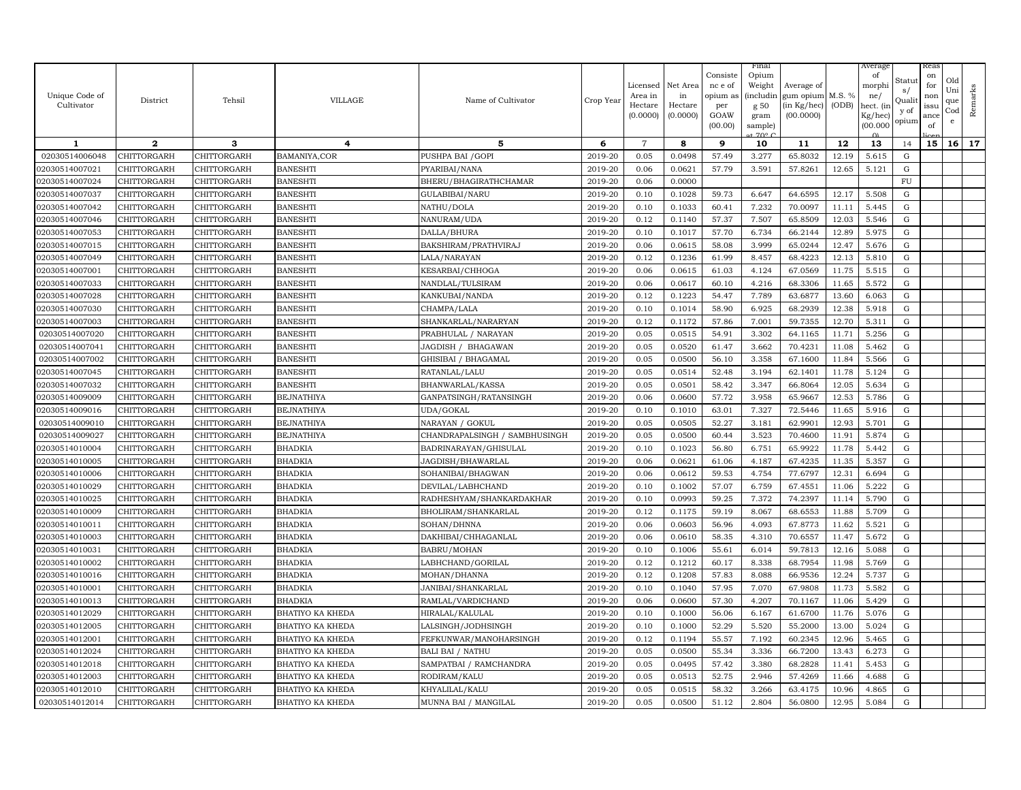| Unique Code of<br>Cultivator<br>1 | District<br>$\mathbf{2}$ | Tehsil<br>3 | VILLAGE<br>4                     | Name of Cultivator<br>5                         | Crop Year<br>6 | Licensed<br>Area in<br>Hectare<br>(0.0000)<br>$\overline{7}$ | Net Area<br>in<br>Hectare<br>(0.0000)<br>8 | Consiste<br>nc e of<br>opium as<br>per<br>GOAW<br>(00.00)<br>9 | Final<br>Opium<br>Weight<br><i>(includin</i><br>g 50<br>gram<br>sample)<br>$70^\circ$<br>10 | Average of<br>gum opium M.S. %<br>(in Kg/hec)<br>(00.0000)<br>11 | (ODB)<br>12 | Averag<br>of<br>morphi<br>ne/<br>hect. (in<br>$Kg/$ hec<br>(00.000) | Statu<br>s/<br>Quali<br>y of<br>opium | kea<br>on<br>for<br>nor<br>isst<br>ance<br>of<br>15 | Old<br>Uni<br>que<br>Cod | Remarks<br>$16$ 17 |
|-----------------------------------|--------------------------|-------------|----------------------------------|-------------------------------------------------|----------------|--------------------------------------------------------------|--------------------------------------------|----------------------------------------------------------------|---------------------------------------------------------------------------------------------|------------------------------------------------------------------|-------------|---------------------------------------------------------------------|---------------------------------------|-----------------------------------------------------|--------------------------|--------------------|
| 02030514006048                    | CHITTORGARH              | CHITTORGARH |                                  |                                                 | 2019-20        | 0.05                                                         | 0.0498                                     | 57.49                                                          | 3.277                                                                                       | 65.8032                                                          | 12.19       | 13<br>5.615                                                         | 14<br>$\mathbf G$                     |                                                     |                          |                    |
| 02030514007021                    | CHITTORGARH              | CHITTORGARH | BAMANIYA, COR<br><b>BANESHTI</b> | PUSHPA BAI / GOPI<br>PYARIBAI/NANA              | 2019-20        | 0.06                                                         | 0.0621                                     | 57.79                                                          | 3.591                                                                                       | 57.8261                                                          | 12.65       | 5.121                                                               | ${\rm G}$                             |                                                     |                          |                    |
| 02030514007024                    | CHITTORGARH              | CHITTORGARH | BANESHTI                         | BHERU/BHAGIRATHCHAMAR                           | 2019-20        | 0.06                                                         | 0.0000                                     |                                                                |                                                                                             |                                                                  |             |                                                                     | ${\rm FU}$                            |                                                     |                          |                    |
| 02030514007037                    | CHITTORGARH              | CHITTORGARH | <b>BANESHTI</b>                  | GULABIBAI/NARU                                  | 2019-20        | 0.10                                                         | 0.1028                                     | 59.73                                                          | 6.647                                                                                       | 64.6595                                                          | 12.17       | 5.508                                                               | G                                     |                                                     |                          |                    |
| 02030514007042                    | CHITTORGARH              | CHITTORGARH | <b>BANESHTI</b>                  | NATHU/DOLA                                      | 2019-20        | 0.10                                                         | 0.1033                                     | 60.41                                                          | 7.232                                                                                       | 70.0097                                                          | 11.11       | 5.445                                                               | $\mathbf G$                           |                                                     |                          |                    |
| 02030514007046                    | CHITTORGARH              | CHITTORGARH | BANESHTI                         | NANURAM/UDA                                     | 2019-20        | 0.12                                                         | 0.1140                                     | 57.37                                                          | 7.507                                                                                       | 65.8509                                                          | 12.03       | 5.546                                                               | ${\rm G}$                             |                                                     |                          |                    |
| 02030514007053                    | CHITTORGARH              | CHITTORGARH | BANESHTI                         | DALLA/BHURA                                     | 2019-20        | 0.10                                                         | 0.1017                                     | 57.70                                                          | 6.734                                                                                       | 66.2144                                                          | 12.89       | 5.975                                                               | G                                     |                                                     |                          |                    |
| 02030514007015                    | CHITTORGARH              | CHITTORGARH | BANESHTI                         | BAKSHIRAM/PRATHVIRAJ                            | 2019-20        | 0.06                                                         | 0.0615                                     | 58.08                                                          | 3.999                                                                                       | 65.0244                                                          | 12.47       | 5.676                                                               | G                                     |                                                     |                          |                    |
| 02030514007049                    | CHITTORGARH              | CHITTORGARH | BANESHTI                         | LALA/NARAYAN                                    | 2019-20        | 0.12                                                         | 0.1236                                     | 61.99                                                          | 8.457                                                                                       | 68.4223                                                          | 12.13       | 5.810                                                               | ${\rm G}$                             |                                                     |                          |                    |
| 02030514007001                    | CHITTORGARH              | CHITTORGARH | <b>BANESHTI</b>                  | KESARBAI/CHHOGA                                 | 2019-20        | 0.06                                                         | 0.0615                                     | 61.03                                                          | 4.124                                                                                       | 67.0569                                                          | 11.75       | 5.515                                                               | G                                     |                                                     |                          |                    |
| 02030514007033                    | CHITTORGARH              | CHITTORGARH | <b>BANESHTI</b>                  | NANDLAL/TULSIRAM                                | 2019-20        | 0.06                                                         | 0.0617                                     | 60.10                                                          | 4.216                                                                                       | 68.3306                                                          | 11.65       | 5.572                                                               | G                                     |                                                     |                          |                    |
| 02030514007028                    | CHITTORGARH              | CHITTORGARH | BANESHTI                         | KANKUBAI/NANDA                                  | 2019-20        | 0.12                                                         | 0.1223                                     | 54.47                                                          | 7.789                                                                                       | 63.6877                                                          | 13.60       | 6.063                                                               | G                                     |                                                     |                          |                    |
| 02030514007030                    | CHITTORGARH              | CHITTORGARH | <b>BANESHTI</b>                  | CHAMPA/LALA                                     | 2019-20        | 0.10                                                         | 0.1014                                     | 58.90                                                          | 6.925                                                                                       | 68.2939                                                          | 12.38       | 5.918                                                               | ${\rm G}$                             |                                                     |                          |                    |
| 02030514007003                    | CHITTORGARH              | CHITTORGARH | BANESHTI                         | SHANKARLAL/NARARYAN                             | 2019-20        | 0.12                                                         | 0.1172                                     | 57.86                                                          | 7.001                                                                                       | 59.7355                                                          | 12.70       | 5.311                                                               | G                                     |                                                     |                          |                    |
| 02030514007020                    | CHITTORGARH              | CHITTORGARH | BANESHTI                         | PRABHULAL / NARAYAN                             | 2019-20        | 0.05                                                         | 0.0515                                     | 54.91                                                          | 3.302                                                                                       | 64.1165                                                          | 11.71       | 5.256                                                               | $\mathbf G$                           |                                                     |                          |                    |
| 02030514007041                    | CHITTORGARH              | CHITTORGARH | BANESHTI                         | JAGDISH / BHAGAWAN                              | 2019-20        | 0.05                                                         | 0.0520                                     | 61.47                                                          | 3.662                                                                                       | 70.4231                                                          | 11.08       | 5.462                                                               | $\mathbf G$                           |                                                     |                          |                    |
| 02030514007002                    | CHITTORGARH              | CHITTORGARH | <b>BANESHTI</b>                  | GHISIBAI / BHAGAMAL                             | 2019-20        | 0.05                                                         | 0.0500                                     | 56.10                                                          | 3.358                                                                                       | 67.1600                                                          | 11.84       | 5.566                                                               | G                                     |                                                     |                          |                    |
| 02030514007045                    | CHITTORGARH              | CHITTORGARH | <b>BANESHTI</b>                  | RATANLAL/LALU                                   | 2019-20        | 0.05                                                         | 0.0514                                     | 52.48                                                          | 3.194                                                                                       | 62.1401                                                          | 11.78       | 5.124                                                               | ${\rm G}$                             |                                                     |                          |                    |
| 02030514007032                    | CHITTORGARH              | CHITTORGARH | <b>BANESHTI</b>                  | BHANWARLAL/KASSA                                | 2019-20        | 0.05                                                         | 0.0501                                     | 58.42                                                          | 3.347                                                                                       | 66.8064                                                          | 12.05       | 5.634                                                               | ${\bf G}$                             |                                                     |                          |                    |
| 02030514009009                    | CHITTORGARH              | CHITTORGARH | BEJNATHIYA                       | GANPATSINGH/RATANSINGH                          | 2019-20        | 0.06                                                         | 0.0600                                     | 57.72                                                          | 3.958                                                                                       | 65.9667                                                          | 12.53       | 5.786                                                               | $\mathbf G$                           |                                                     |                          |                    |
| 02030514009016                    | CHITTORGARH              | CHITTORGARH | BEJNATHIYA                       | UDA/GOKAL                                       | 2019-20        | 0.10                                                         | 0.1010                                     | 63.01                                                          | 7.327                                                                                       | 72.5446                                                          | 11.65       | 5.916                                                               | G                                     |                                                     |                          |                    |
| 02030514009010                    | CHITTORGARH              | CHITTORGARH | <b>BEJNATHIYA</b>                | NARAYAN / GOKUL                                 | 2019-20        | 0.05                                                         | 0.0505                                     | 52.27                                                          | 3.181                                                                                       | 62.9901                                                          | 12.93       | 5.701                                                               | G                                     |                                                     |                          |                    |
| 02030514009027                    | CHITTORGARH              | CHITTORGARH | BEJNATHIYA                       | CHANDRAPALSINGH / SAMBHUSINGH                   | 2019-20        | 0.05                                                         | 0.0500                                     | 60.44                                                          | 3.523                                                                                       | 70.4600                                                          | 11.91       | 5.874                                                               | G                                     |                                                     |                          |                    |
| 02030514010004                    | CHITTORGARH              | CHITTORGARH | BHADKIA                          | BADRINARAYAN/GHISULAL                           | 2019-20        | 0.10                                                         | 0.1023                                     | 56.80                                                          | 6.751                                                                                       | 65.9922                                                          | 11.78       | 5.442                                                               | $\mathbf G$                           |                                                     |                          |                    |
| 02030514010005                    | CHITTORGARH              | CHITTORGARH | BHADKIA                          | JAGDISH/BHAWARLAL                               | 2019-20        | 0.06                                                         | 0.0621                                     | 61.06                                                          | 4.187                                                                                       | 67.4235                                                          | 11.35       | 5.357                                                               | G                                     |                                                     |                          |                    |
| 02030514010006                    | CHITTORGARH              | CHITTORGARH | <b>BHADKIA</b>                   | SOHANIBAI/BHAGWAN                               | 2019-20        | 0.06                                                         | 0.0612                                     | 59.53                                                          | 4.754                                                                                       | 77.6797                                                          | 12.31       | 6.694                                                               | ${\rm G}$                             |                                                     |                          |                    |
| 02030514010029                    | CHITTORGARH              | CHITTORGARH | <b>BHADKIA</b>                   | DEVILAL/LABHCHAND                               | 2019-20        | 0.10                                                         | 0.1002                                     | 57.07                                                          | 6.759                                                                                       | 67.4551                                                          | 11.06       | 5.222                                                               | ${\rm G}$                             |                                                     |                          |                    |
|                                   | CHITTORGARH              | CHITTORGARH | <b>BHADKIA</b>                   |                                                 | 2019-20        | 0.10                                                         | 0.0993                                     | 59.25                                                          | 7.372                                                                                       | 74.2397                                                          | 11.14       | 5.790                                                               | G                                     |                                                     |                          |                    |
| 02030514010025<br>02030514010009  | CHITTORGARH              | CHITTORGARH | BHADKIA                          | RADHESHYAM/SHANKARDAKHAR<br>BHOLIRAM/SHANKARLAL | 2019-20        | 0.12                                                         | 0.1175                                     | 59.19                                                          | 8.067                                                                                       | 68.6553                                                          | 11.88       | 5.709                                                               | G                                     |                                                     |                          |                    |
| 02030514010011                    | CHITTORGARH              | CHITTORGARH | BHADKIA                          | SOHAN/DHNNA                                     | 2019-20        | 0.06                                                         | 0.0603                                     | 56.96                                                          | 4.093                                                                                       | 67.8773                                                          | 11.62       | 5.521                                                               | ${\rm G}$                             |                                                     |                          |                    |
| 02030514010003                    | CHITTORGARH              | CHITTORGARH | BHADKIA                          | DAKHIBAI/CHHAGANLAL                             | 2019-20        | 0.06                                                         | 0.0610                                     | 58.35                                                          | 4.310                                                                                       | 70.6557                                                          | 11.47       | 5.672                                                               | ${\rm G}$                             |                                                     |                          |                    |
| 02030514010031                    | CHITTORGARH              | CHITTORGARH | <b>BHADKIA</b>                   | BABRU/MOHAN                                     | 2019-20        | 0.10                                                         | 0.1006                                     | 55.61                                                          | 6.014                                                                                       | 59.7813                                                          | 12.16       | 5.088                                                               | $\mathbf G$                           |                                                     |                          |                    |
| 02030514010002                    | CHITTORGARH              | CHITTORGARH | <b>BHADKIA</b>                   | ABHCHAND/GORILAL                                | 2019-20        | 0.12                                                         | 0.1212                                     | 60.17                                                          | 8.338                                                                                       | 68.7954                                                          | 11.98       | 5.769                                                               | ${\rm G}$                             |                                                     |                          |                    |
| 02030514010016                    | CHITTORGARH              | CHITTORGARH | BHADKIA                          | MOHAN/DHANNA                                    | 2019-20        | 0.12                                                         | 0.1208                                     | 57.83                                                          | 8.088                                                                                       | 66.9536                                                          | 12.24       | 5.737                                                               | G                                     |                                                     |                          |                    |
| 02030514010001                    | CHITTORGARH              | CHITTORGARH | <b>BHADKIA</b>                   | JANIBAI/SHANKARLAL                              | 2019-20        | 0.10                                                         | 0.1040                                     | 57.95                                                          | 7.070                                                                                       | 67.9808                                                          | 11.73       | 5.582                                                               | ${\bf G}$                             |                                                     |                          |                    |
| 02030514010013                    | CHITTORGARH              | CHITTORGARH | <b>BHADKIA</b>                   | RAMLAL/VARDICHAND                               | 2019-20        | 0.06                                                         | 0.0600                                     | 57.30                                                          | 4.207                                                                                       | 70.1167                                                          | 11.06       | 5.429                                                               | G                                     |                                                     |                          |                    |
| 02030514012029                    | CHITTORGARH              | CHITTORGARH | BHATIYO KA KHEDA                 | HIRALAL/KALULAL                                 | 2019-20        | 0.10                                                         | 0.1000                                     | 56.06                                                          | 6.167                                                                                       | 61.6700                                                          | 11.76       | 5.076                                                               | $\mathbf G$                           |                                                     |                          |                    |
| 02030514012005                    | CHITTORGARH              | CHITTORGARH | BHATIYO KA KHEDA                 | LALSINGH/JODHSINGH                              | 2019-20        | 0.10                                                         | 0.1000                                     | 52.29                                                          | 5.520                                                                                       | 55.2000                                                          | 13.00       | 5.024                                                               | ${\rm G}$                             |                                                     |                          |                    |
| 02030514012001                    | CHITTORGARH              | CHITTORGARH | BHATIYO KA KHEDA                 | FEFKUNWAR/MANOHARSINGH                          | 2019-20        | 0.12                                                         | 0.1194                                     | 55.57                                                          | 7.192                                                                                       | 60.2345                                                          | 12.96       | 5.465                                                               | G                                     |                                                     |                          |                    |
| 02030514012024                    | CHITTORGARH              | CHITTORGARH | BHATIYO KA KHEDA                 | <b>BALI BAI / NATHU</b>                         | 2019-20        | 0.05                                                         | 0.0500                                     | 55.34                                                          | 3.336                                                                                       | 66.7200                                                          | 13.43       | 6.273                                                               | G                                     |                                                     |                          |                    |
| 02030514012018                    | CHITTORGARH              | CHITTORGARH | BHATIYO KA KHEDA                 | SAMPATBAI / RAMCHANDRA                          | 2019-20        | 0.05                                                         | 0.0495                                     | 57.42                                                          | 3.380                                                                                       | 68.2828                                                          | 11.41       | 5.453                                                               | G                                     |                                                     |                          |                    |
| 02030514012003                    | CHITTORGARH              | CHITTORGARH | BHATIYO KA KHEDA                 | RODIRAM/KALU                                    | 2019-20        | 0.05                                                         | 0.0513                                     | 52.75                                                          | 2.946                                                                                       | 57.4269                                                          | 11.66       | 4.688                                                               | G                                     |                                                     |                          |                    |
| 02030514012010                    | CHITTORGARH              | CHITTORGARH | BHATIYO KA KHEDA                 | KHYALILAL/KALU                                  | 2019-20        | 0.05                                                         | 0.0515                                     | 58.32                                                          | 3.266                                                                                       | 63.4175                                                          | 10.96       | 4.865                                                               | ${\rm G}$                             |                                                     |                          |                    |
| 02030514012014                    | CHITTORGARH              | CHITTORGARH | <b>BHATIYO KA KHEDA</b>          |                                                 | 2019-20        | 0.05                                                         | 0.0500                                     | 51.12                                                          | 2.804                                                                                       | 56.0800                                                          | 12.95       | 5.084                                                               | ${\rm G}$                             |                                                     |                          |                    |
|                                   |                          |             |                                  | MUNNA BAI / MANGILAL                            |                |                                                              |                                            |                                                                |                                                                                             |                                                                  |             |                                                                     |                                       |                                                     |                          |                    |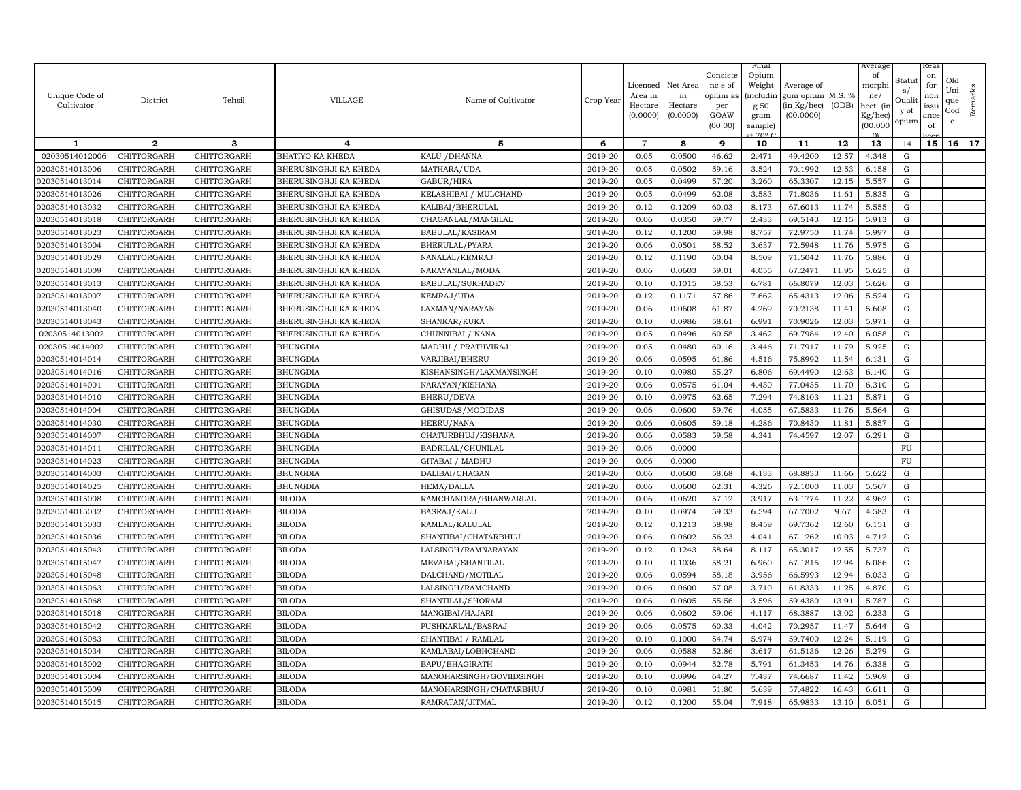| Unique Code of<br>Cultivator | District       | Tehsil      | VILLAGE               | Name of Cultivator       | Crop Year | Licensed<br>Area in<br>Hectare<br>(0.0000) | Net Area<br>in<br>Hectare<br>(0.0000) | Consiste<br>nc e of<br>opium as<br>per<br>GOAW<br>(00.00) | Final<br>Opium<br>Weight<br><i>(includin</i><br>g 50<br>gram<br>sample]<br>70° | Average of<br>gum opium M.S. %<br>(in Kg/hec)<br>(00.0000) | (ODB) | Averag<br>of<br>morphi<br>ne/<br>hect. (in<br>Kg/hec<br>(00.000) | Statut<br>s/<br>Quali<br>y of<br>opium | on<br>for<br>noi<br>isst<br>ance<br>of | Old<br>Uni<br>que<br>Cod | Remarks |
|------------------------------|----------------|-------------|-----------------------|--------------------------|-----------|--------------------------------------------|---------------------------------------|-----------------------------------------------------------|--------------------------------------------------------------------------------|------------------------------------------------------------|-------|------------------------------------------------------------------|----------------------------------------|----------------------------------------|--------------------------|---------|
| -1                           | $\overline{2}$ | 3           | 4                     | 5                        | 6         | $\overline{7}$                             | 8                                     | 9                                                         | 10                                                                             | 11                                                         | 12    | 13                                                               | 14                                     | 15                                     | 16 <sup>1</sup>          | 17      |
| 02030514012006               | CHITTORGARH    | CHITTORGARH | BHATIYO KA KHEDA      | KALU / DHANNA            | 2019-20   | 0.05                                       | 0.0500                                | 46.62                                                     | 2.471                                                                          | 49.4200                                                    | 12.57 | 4.348                                                            | G                                      |                                        |                          |         |
| 02030514013006               | CHITTORGARH    | CHITTORGARH | BHERUSINGHJI KA KHEDA | MATHARA/UDA              | 2019-20   | 0.05                                       | 0.0502                                | 59.16                                                     | 3.524                                                                          | 70.1992                                                    | 12.53 | 6.158                                                            | G                                      |                                        |                          |         |
| 02030514013014               | CHITTORGARH    | CHITTORGARH | BHERUSINGHJI KA KHEDA | GABUR/HIRA               | 2019-20   | 0.05                                       | 0.0499                                | 57.20                                                     | 3.260                                                                          | 65.3307                                                    | 12.15 | 5.557                                                            | G                                      |                                        |                          |         |
| 02030514013026               | CHITTORGARH    | CHITTORGARH | BHERUSINGHJI KA KHEDA | KELASHIBAI / MULCHAND    | 2019-20   | 0.05                                       | 0.0499                                | 62.08                                                     | 3.583                                                                          | 71.8036                                                    | 11.61 | 5.835                                                            | G                                      |                                        |                          |         |
| 02030514013032               | CHITTORGARH    | CHITTORGARH | BHERUSINGHJI KA KHEDA | KALIBAI/BHERULAL         | 2019-20   | 0.12                                       | 0.1209                                | 60.03                                                     | 8.173                                                                          | 67.6013                                                    | 11.74 | 5.555                                                            | G                                      |                                        |                          |         |
| 02030514013018               | CHITTORGARH    | CHITTORGARH | BHERUSINGHJI KA KHEDA | CHAGANLAL/MANGILAL       | 2019-20   | 0.06                                       | 0.0350                                | 59.77                                                     | 2.433                                                                          | 69.5143                                                    | 12.15 | 5.913                                                            | G                                      |                                        |                          |         |
| 02030514013023               | CHITTORGARH    | CHITTORGARH | BHERUSINGHJI KA KHEDA | <b>BABULAL/KASIRAM</b>   | 2019-20   | 0.12                                       | 0.1200                                | 59.98                                                     | 8.757                                                                          | 72.9750                                                    | 11.74 | 5.997                                                            | G                                      |                                        |                          |         |
| 02030514013004               | CHITTORGARH    | CHITTORGARH | BHERUSINGHJI KA KHEDA | BHERULAL/PYARA           | 2019-20   | 0.06                                       | 0.0501                                | 58.52                                                     | 3.637                                                                          | 72.5948                                                    | 11.76 | 5.975                                                            | G                                      |                                        |                          |         |
| 02030514013029               | CHITTORGARH    | CHITTORGARH | BHERUSINGHJI KA KHEDA | NANALAL/KEMRAJ           | 2019-20   | 0.12                                       | 0.1190                                | 60.04                                                     | 8.509                                                                          | 71.5042                                                    | 11.76 | 5.886                                                            | G                                      |                                        |                          |         |
| 02030514013009               | CHITTORGARH    | CHITTORGARH | BHERUSINGHJI KA KHEDA | NARAYANLAL/MODA          | 2019-20   | 0.06                                       | 0.0603                                | 59.01                                                     | 4.055                                                                          | 67.2471                                                    | 11.95 | 5.625                                                            | ${\rm G}$                              |                                        |                          |         |
| 02030514013013               | CHITTORGARH    | CHITTORGARH | BHERUSINGHJI KA KHEDA | BABULAL/SUKHADEV         | 2019-20   | 0.10                                       | 0.1015                                | 58.53                                                     | 6.781                                                                          | 66.8079                                                    | 12.03 | 5.626                                                            | G                                      |                                        |                          |         |
| 02030514013007               | CHITTORGARH    | CHITTORGARH | BHERUSINGHJI KA KHEDA | KEMRAJ/UDA               | 2019-20   | 0.12                                       | 0.1171                                | 57.86                                                     | 7.662                                                                          | 65.4313                                                    | 12.06 | 5.524                                                            | G                                      |                                        |                          |         |
| 02030514013040               | CHITTORGARH    | CHITTORGARH | BHERUSINGHJI KA KHEDA | LAXMAN/NARAYAN           | 2019-20   | 0.06                                       | 0.0608                                | 61.87                                                     | 4.269                                                                          | 70.2138                                                    | 11.41 | 5.608                                                            | ${\rm G}$                              |                                        |                          |         |
| 02030514013043               | CHITTORGARH    | CHITTORGARH | BHERUSINGHJI KA KHEDA | SHANKAR/KUKA             | 2019-20   | 0.10                                       | 0.0986                                | 58.61                                                     | 6.991                                                                          | 70.9026                                                    | 12.03 | 5.971                                                            | ${\rm G}$                              |                                        |                          |         |
| 02030514013002               | CHITTORGARH    | CHITTORGARH | BHERUSINGHJI KA KHEDA | CHUNNIBAI / NANA         | 2019-20   | 0.05                                       | 0.0496                                | 60.58                                                     | 3.462                                                                          | 69.7984                                                    | 12.40 | 6.058                                                            | ${\rm G}$                              |                                        |                          |         |
| 02030514014002               | CHITTORGARH    | CHITTORGARH | BHUNGDIA              | MADHU / PRATHVIRAJ       | 2019-20   | 0.05                                       | 0.0480                                | 60.16                                                     | 3.446                                                                          | 71.7917                                                    | 11.79 | 5.925                                                            | ${\rm G}$                              |                                        |                          |         |
| 02030514014014               | CHITTORGARH    | CHITTORGARH | <b>BHUNGDIA</b>       | VARJIBAI/BHERU           | 2019-20   | 0.06                                       | 0.0595                                | 61.86                                                     | 4.516                                                                          | 75.8992                                                    | 11.54 | 6.131                                                            | ${\rm G}$                              |                                        |                          |         |
| 02030514014016               | CHITTORGARH    | CHITTORGARH | BHUNGDIA              | KISHANSINGH/LAXMANSINGH  | 2019-20   | 0.10                                       | 0.0980                                | 55.27                                                     | 6.806                                                                          | 69.4490                                                    | 12.63 | 6.140                                                            | G                                      |                                        |                          |         |
| 02030514014001               | CHITTORGARH    | CHITTORGARH | BHUNGDIA              | NARAYAN/KISHANA          | 2019-20   | 0.06                                       | 0.0575                                | 61.04                                                     | 4.430                                                                          | 77.0435                                                    | 11.70 | 6.310                                                            | G                                      |                                        |                          |         |
| 02030514014010               | CHITTORGARH    | CHITTORGARH | BHUNGDIA              | BHERU/DEVA               | 2019-20   | 0.10                                       | 0.0975                                | 62.65                                                     | 7.294                                                                          | 74.8103                                                    | 11.21 | 5.871                                                            | G                                      |                                        |                          |         |
| 02030514014004               | CHITTORGARH    | CHITTORGARH | <b>BHUNGDIA</b>       | GHISUDAS/MODIDAS         | 2019-20   | 0.06                                       | 0.0600                                | 59.76                                                     | 4.055                                                                          | 67.5833                                                    | 11.76 | 5.564                                                            | G                                      |                                        |                          |         |
| 02030514014030               | CHITTORGARH    | CHITTORGARH | BHUNGDIA              | HEERU/NANA               | 2019-20   | 0.06                                       | 0.0605                                | 59.18                                                     | 4.286                                                                          | 70.8430                                                    | 11.81 | 5.857                                                            | G                                      |                                        |                          |         |
| 02030514014007               | CHITTORGARH    | CHITTORGARH | BHUNGDIA              | CHATURBHUJ/KISHANA       | 2019-20   | 0.06                                       | 0.0583                                | 59.58                                                     | 4.341                                                                          | 74.4597                                                    | 12.07 | 6.291                                                            | ${\rm G}$                              |                                        |                          |         |
| 02030514014011               | CHITTORGARH    | CHITTORGARH | BHUNGDIA              | BADRILAL/CHUNILAL        | 2019-20   | 0.06                                       | 0.0000                                |                                                           |                                                                                |                                                            |       |                                                                  | ${\rm FU}$                             |                                        |                          |         |
| 02030514014023               | CHITTORGARH    | CHITTORGARH | BHUNGDIA              | GITABAI / MADHU          | 2019-20   | 0.06                                       | 0.0000                                |                                                           |                                                                                |                                                            |       |                                                                  | ${\rm FU}$                             |                                        |                          |         |
| 02030514014003               | CHITTORGARH    | CHITTORGARH | <b>BHUNGDIA</b>       | DALIBAI/CHAGAN           | 2019-20   | 0.06                                       | 0.0600                                | 58.68                                                     | 4.133                                                                          | 68.8833                                                    | 11.66 | 5.622                                                            | ${\rm G}$                              |                                        |                          |         |
| 02030514014025               | CHITTORGARH    | CHITTORGARH | BHUNGDIA              | HEMA/DALLA               | 2019-20   | 0.06                                       | 0.0600                                | 62.31                                                     | 4.326                                                                          | 72.1000                                                    | 11.03 | 5.567                                                            | ${\rm G}$                              |                                        |                          |         |
| 02030514015008               | CHITTORGARH    | CHITTORGARH | BILODA                | RAMCHANDRA/BHANWARLAL    | 2019-20   | 0.06                                       | 0.0620                                | 57.12                                                     | 3.917                                                                          | 63.1774                                                    | 11.22 | 4.962                                                            | G                                      |                                        |                          |         |
| 02030514015032               | CHITTORGARH    | CHITTORGARH | BILODA                | BASRAJ/KALU              | 2019-20   | 0.10                                       | 0.0974                                | 59.33                                                     | 6.594                                                                          | 67.7002                                                    | 9.67  | 4.583                                                            | G                                      |                                        |                          |         |
| 02030514015033               | CHITTORGARH    | CHITTORGARH | <b>BILODA</b>         | RAMLAL/KALULAL           | 2019-20   | 0.12                                       | 0.1213                                | 58.98                                                     | 8.459                                                                          | 69.7362                                                    | 12.60 | 6.151                                                            | ${\rm G}$                              |                                        |                          |         |
| 02030514015036               | CHITTORGARH    | CHITTORGARH | <b>BILODA</b>         | SHANTIBAI/CHATARBHUJ     | 2019-20   | 0.06                                       | 0.0602                                | 56.23                                                     | 4.041                                                                          | 67.1262                                                    | 10.03 | 4.712                                                            | G                                      |                                        |                          |         |
| 02030514015043               | CHITTORGARH    | CHITTORGARH | <b>BILODA</b>         | LALSINGH/RAMNARAYAN      | 2019-20   | 0.12                                       | 0.1243                                | 58.64                                                     | 8.117                                                                          | 65.3017                                                    | 12.55 | 5.737                                                            | ${\rm G}$                              |                                        |                          |         |
| 02030514015047               | CHITTORGARH    | CHITTORGARH | <b>BILODA</b>         | MEVABAI/SHANTILAL        | 2019-20   | 0.10                                       | 0.1036                                | 58.21                                                     | 6.960                                                                          | 67.1815                                                    | 12.94 | 6.086                                                            | ${\rm G}$                              |                                        |                          |         |
| 02030514015048               | CHITTORGARH    | CHITTORGARH | <b>BILODA</b>         | DALCHAND/MOTILAL         | 2019-20   | 0.06                                       | 0.0594                                | 58.18                                                     | 3.956                                                                          | 66.5993                                                    | 12.94 | 6.033                                                            | ${\rm G}$                              |                                        |                          |         |
| 02030514015063               | CHITTORGARH    | CHITTORGARH | <b>BILODA</b>         | LALSINGH/RAMCHAND        | 2019-20   | 0.06                                       | 0.0600                                | 57.08                                                     | 3.710                                                                          | 61.8333                                                    | 11.25 | 4.870                                                            | G                                      |                                        |                          |         |
| 02030514015068               | CHITTORGARH    | CHITTORGARH | <b>BILODA</b>         | SHANTILAL/SHORAM         | 2019-20   | 0.06                                       | 0.0605                                | 55.56                                                     | 3.596                                                                          | 59.4380                                                    | 13.91 | 5.787                                                            | G                                      |                                        |                          |         |
| 02030514015018               | CHITTORGARH    | CHITTORGARH | BILODA                | MANGIBAI/HAJARI          | 2019-20   | 0.06                                       | 0.0602                                | 59.06                                                     | 4.117                                                                          | 68.3887                                                    | 13.02 | 6.233                                                            | G                                      |                                        |                          |         |
| 02030514015042               | CHITTORGARH    | CHITTORGARH | <b>BILODA</b>         | PUSHKARLAL/BASRAJ        | 2019-20   | 0.06                                       | 0.0575                                | 60.33                                                     | 4.042                                                                          | 70.2957                                                    | 11.47 | 5.644                                                            | G                                      |                                        |                          |         |
| 02030514015083               | CHITTORGARH    | CHITTORGARH | <b>BILODA</b>         | SHANTIBAI / RAMLAL       | 2019-20   | 0.10                                       | 0.1000                                | 54.74                                                     | 5.974                                                                          | 59.7400                                                    | 12.24 | 5.119                                                            | ${\rm G}$                              |                                        |                          |         |
| 02030514015034               | CHITTORGARH    | CHITTORGARH | BILODA                | KAMLABAI/LOBHCHAND       | 2019-20   | 0.06                                       | 0.0588                                | 52.86                                                     | 3.617                                                                          | 61.5136                                                    | 12.26 | 5.279                                                            | G                                      |                                        |                          |         |
| 02030514015002               | CHITTORGARH    | CHITTORGARH | <b>BILODA</b>         | <b>BAPU/BHAGIRATH</b>    | 2019-20   | 0.10                                       | 0.0944                                | 52.78                                                     | 5.791                                                                          | 61.3453                                                    | 14.76 | 6.338                                                            | G                                      |                                        |                          |         |
| 02030514015004               | CHITTORGARH    | CHITTORGARH | <b>BILODA</b>         | MANOHARSINGH/GOVIIDSINGH | 2019-20   | 0.10                                       | 0.0996                                | 64.27                                                     | 7.437                                                                          | 74.6687                                                    | 11.42 | 5.969                                                            | ${\rm G}$                              |                                        |                          |         |
| 02030514015009               | CHITTORGARH    | CHITTORGARH | BILODA                | MANOHARSINGH/CHATARBHUJ  | 2019-20   | 0.10                                       | 0.0981                                | 51.80                                                     | 5.639                                                                          | 57.4822                                                    | 16.43 | 6.611                                                            | ${\rm G}$                              |                                        |                          |         |
| 02030514015015               | CHITTORGARH    | CHITTORGARH | BILODA                | RAMRATAN/JITMAL          | 2019-20   | 0.12                                       | 0.1200                                | 55.04                                                     | 7.918                                                                          | 65.9833                                                    | 13.10 | 6.051                                                            | ${\rm G}$                              |                                        |                          |         |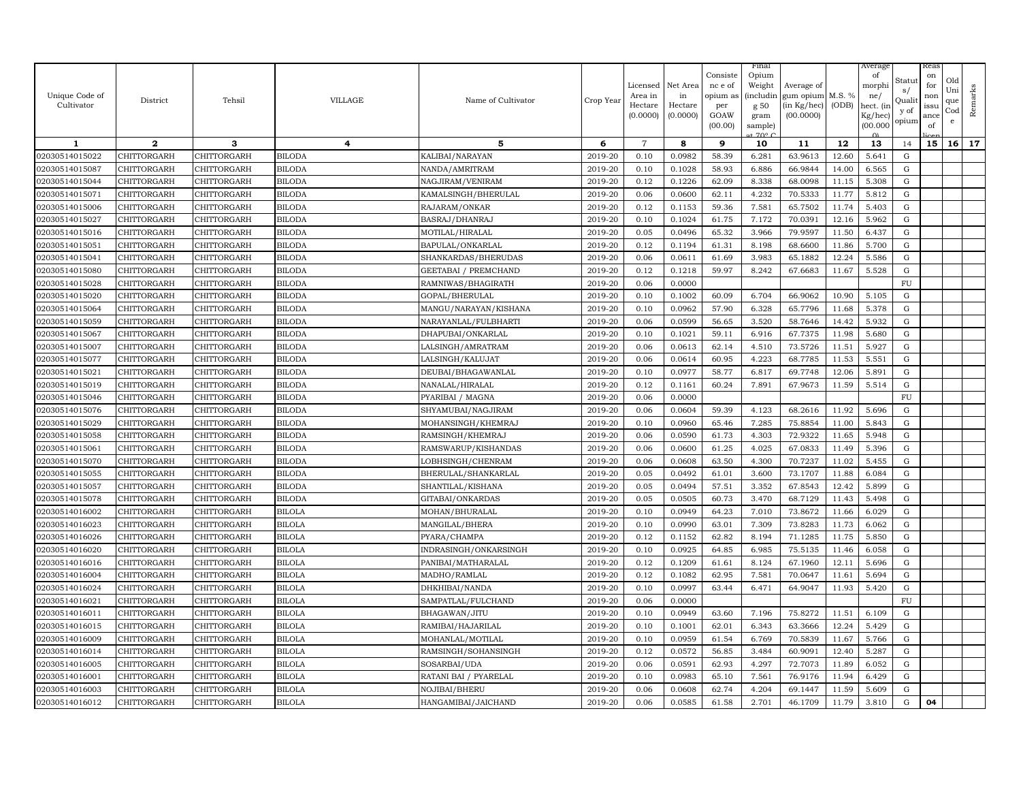| Unique Code of<br>Cultivator | District       | Tehsil      | VILLAGE       | Name of Cultivator    | Crop Year | Licensed<br>Area in<br>Hectare<br>(0.0000) | Net Area<br>in<br>Hectare<br>(0.0000) | Consiste<br>nc e of<br>opium as<br>per<br>GOAW<br>(00.00) | Final<br>Opium<br>Weight<br><i>(includin</i><br>g 50<br>gram<br>sample]<br>70° | Average of<br>gum opium M.S. %<br>(in Kg/hec)<br>(00.0000) | (ODB) | Averag<br>of<br>morphi<br>ne/<br>hect. (in<br>Kg/hec<br>(00.000) | Statut<br>s/<br>Quali<br>y of<br>opium | on<br>for<br>nor<br>isst<br>ance<br>of | Old<br>Uni<br>que<br>Cod | Remarks |
|------------------------------|----------------|-------------|---------------|-----------------------|-----------|--------------------------------------------|---------------------------------------|-----------------------------------------------------------|--------------------------------------------------------------------------------|------------------------------------------------------------|-------|------------------------------------------------------------------|----------------------------------------|----------------------------------------|--------------------------|---------|
| -1                           | $\overline{2}$ | 3           | 4             | 5                     | 6         | $\overline{7}$                             | 8                                     | 9                                                         | 10                                                                             | 11                                                         | 12    | 13                                                               | 14                                     | 15                                     | 16 <sup>1</sup>          | 17      |
| 02030514015022               | CHITTORGARH    | CHITTORGARH | <b>BILODA</b> | KALIBAI/NARAYAN       | 2019-20   | 0.10                                       | 0.0982                                | 58.39                                                     | 6.281                                                                          | 63.9613                                                    | 12.60 | 5.641                                                            | ${\rm G}$                              |                                        |                          |         |
| 02030514015087               | CHITTORGARH    | CHITTORGARH | <b>BILODA</b> | NANDA/AMRITRAM        | 2019-20   | 0.10                                       | 0.1028                                | 58.93                                                     | 6.886                                                                          | 66.9844                                                    | 14.00 | 6.565                                                            | G                                      |                                        |                          |         |
| 02030514015044               | CHITTORGARH    | CHITTORGARH | <b>BILODA</b> | NAGJIRAM/VENIRAM      | 2019-20   | 0.12                                       | 0.1226                                | 62.09                                                     | 8.338                                                                          | 68.0098                                                    | 11.15 | 5.308                                                            | G                                      |                                        |                          |         |
| 02030514015071               | CHITTORGARH    | CHITTORGARH | <b>BILODA</b> | KAMALSINGH/BHERULAL   | 2019-20   | 0.06                                       | 0.0600                                | 62.11                                                     | 4.232                                                                          | 70.5333                                                    | 11.77 | 5.812                                                            | G                                      |                                        |                          |         |
| 02030514015006               | CHITTORGARH    | CHITTORGARH | <b>BILODA</b> | RAJARAM/ONKAR         | 2019-20   | 0.12                                       | 0.1153                                | 59.36                                                     | 7.581                                                                          | 65.7502                                                    | 11.74 | 5.403                                                            | G                                      |                                        |                          |         |
| 02030514015027               | CHITTORGARH    | CHITTORGARH | <b>BILODA</b> | BASRAJ/DHANRAJ        | 2019-20   | 0.10                                       | 0.1024                                | 61.75                                                     | 7.172                                                                          | 70.0391                                                    | 12.16 | 5.962                                                            | G                                      |                                        |                          |         |
| 02030514015016               | CHITTORGARH    | CHITTORGARH | <b>BILODA</b> | MOTILAL/HIRALAL       | 2019-20   | 0.05                                       | 0.0496                                | 65.32                                                     | 3.966                                                                          | 79.9597                                                    | 11.50 | 6.437                                                            | G                                      |                                        |                          |         |
| 02030514015051               | CHITTORGARH    | CHITTORGARH | BILODA        | BAPULAL/ONKARLAL      | 2019-20   | 0.12                                       | 0.1194                                | 61.31                                                     | 8.198                                                                          | 68.6600                                                    | 11.86 | 5.700                                                            | G                                      |                                        |                          |         |
| 02030514015041               | CHITTORGARH    | CHITTORGARH | <b>BILODA</b> | SHANKARDAS/BHERUDAS   | 2019-20   | 0.06                                       | 0.0611                                | 61.69                                                     | 3.983                                                                          | 65.1882                                                    | 12.24 | 5.586                                                            | G                                      |                                        |                          |         |
| 02030514015080               | CHITTORGARH    | CHITTORGARH | <b>BILODA</b> | GEETABAI / PREMCHAND  | 2019-20   | 0.12                                       | 0.1218                                | 59.97                                                     | 8.242                                                                          | 67.6683                                                    | 11.67 | 5.528                                                            | ${\rm G}$                              |                                        |                          |         |
| 02030514015028               | CHITTORGARH    | CHITTORGARH | <b>BILODA</b> | RAMNIWAS/BHAGIRATH    | 2019-20   | 0.06                                       | 0.0000                                |                                                           |                                                                                |                                                            |       |                                                                  | ${\rm FU}$                             |                                        |                          |         |
| 02030514015020               | CHITTORGARH    | CHITTORGARH | BILODA        | GOPAL/BHERULAL        | 2019-20   | 0.10                                       | 0.1002                                | 60.09                                                     | 6.704                                                                          | 66.9062                                                    | 10.90 | 5.105                                                            | G                                      |                                        |                          |         |
| 02030514015064               | CHITTORGARH    | CHITTORGARH | <b>BILODA</b> | MANGU/NARAYAN/KISHANA | 2019-20   | 0.10                                       | 0.0962                                | 57.90                                                     | 6.328                                                                          | 65.7796                                                    | 11.68 | 5.378                                                            | ${\rm G}$                              |                                        |                          |         |
| 02030514015059               | CHITTORGARH    | CHITTORGARH | BILODA        | NARAYANLAL/FULBHARTI  | 2019-20   | 0.06                                       | 0.0599                                | 56.65                                                     | 3.520                                                                          | 58.7646                                                    | 14.42 | 5.932                                                            | ${\rm G}$                              |                                        |                          |         |
| 02030514015067               | CHITTORGARH    | CHITTORGARH | <b>BILODA</b> | DHAPUBAI/ONKARLAL     | 2019-20   | 0.10                                       | 0.1021                                | 59.11                                                     | 6.916                                                                          | 67.7375                                                    | 11.98 | 5.680                                                            | G                                      |                                        |                          |         |
| 02030514015007               | CHITTORGARH    | CHITTORGARH | <b>BILODA</b> | ALSINGH/AMRATRAM      | 2019-20   | 0.06                                       | 0.0613                                | 62.14                                                     | 4.510                                                                          | 73.5726                                                    | 11.51 | 5.927                                                            | ${\rm G}$                              |                                        |                          |         |
| 02030514015077               | CHITTORGARH    | CHITTORGARH | <b>BILODA</b> | LALSINGH/KALUJAT      | 2019-20   | 0.06                                       | 0.0614                                | 60.95                                                     | 4.223                                                                          | 68.7785                                                    | 11.53 | 5.551                                                            | ${\rm G}$                              |                                        |                          |         |
| 02030514015021               | CHITTORGARH    | CHITTORGARH | <b>BILODA</b> | DEUBAI/BHAGAWANLAL    | 2019-20   | 0.10                                       | 0.0977                                | 58.77                                                     | 6.817                                                                          | 69.7748                                                    | 12.06 | 5.891                                                            | ${\rm G}$                              |                                        |                          |         |
| 02030514015019               | CHITTORGARH    | CHITTORGARH | <b>BILODA</b> | NANALAL/HIRALAL       | 2019-20   | 0.12                                       | 0.1161                                | 60.24                                                     | 7.891                                                                          | 67.9673                                                    | 11.59 | 5.514                                                            | G                                      |                                        |                          |         |
| 02030514015046               | CHITTORGARH    | CHITTORGARH | BILODA        | PYARIBAI / MAGNA      | 2019-20   | 0.06                                       | 0.0000                                |                                                           |                                                                                |                                                            |       |                                                                  | FU                                     |                                        |                          |         |
| 02030514015076               | CHITTORGARH    | CHITTORGARH | BILODA        | SHYAMUBAI/NAGJIRAM    | 2019-20   | 0.06                                       | 0.0604                                | 59.39                                                     | 4.123                                                                          | 68.2616                                                    | 11.92 | 5.696                                                            | G                                      |                                        |                          |         |
| 02030514015029               | CHITTORGARH    | CHITTORGARH | BILODA        | MOHANSINGH/KHEMRAJ    | 2019-20   | 0.10                                       | 0.0960                                | 65.46                                                     | 7.285                                                                          | 75.8854                                                    | 11.00 | 5.843                                                            | G                                      |                                        |                          |         |
| 02030514015058               | CHITTORGARH    | CHITTORGARH | <b>BILODA</b> | RAMSINGH/KHEMRAJ      | 2019-20   | 0.06                                       | 0.0590                                | 61.73                                                     | 4.303                                                                          | 72.9322                                                    | 11.65 | 5.948                                                            | ${\rm G}$                              |                                        |                          |         |
| 02030514015061               | CHITTORGARH    | CHITTORGARH | <b>BILODA</b> | RAMSWARUP/KISHANDAS   | 2019-20   | 0.06                                       | 0.0600                                | 61.25                                                     | 4.025                                                                          | 67.0833                                                    | 11.49 | 5.396                                                            | G                                      |                                        |                          |         |
| 02030514015070               | CHITTORGARH    | CHITTORGARH | <b>BILODA</b> | LOBHSINGH/CHENRAM     | 2019-20   | 0.06                                       | 0.0608                                | 63.50                                                     | 4.300                                                                          | 70.7237                                                    | 11.02 | 5.455                                                            | G                                      |                                        |                          |         |
| 02030514015055               | CHITTORGARH    | CHITTORGARH | <b>BILODA</b> | BHERULAL/SHANKARLAL   | 2019-20   | 0.05                                       | 0.0492                                | 61.01                                                     | 3.600                                                                          | 73.1707                                                    | 11.88 | 6.084                                                            | ${\rm G}$                              |                                        |                          |         |
| 02030514015057               | CHITTORGARH    | CHITTORGARH | BILODA        | SHANTILAL/KISHANA     | 2019-20   | 0.05                                       | 0.0494                                | 57.51                                                     | 3.352                                                                          | 67.8543                                                    | 12.42 | 5.899                                                            | ${\rm G}$                              |                                        |                          |         |
| 02030514015078               | CHITTORGARH    | CHITTORGARH | BILODA        | GITABAI/ONKARDAS      | 2019-20   | 0.05                                       | 0.0505                                | 60.73                                                     | 3.470                                                                          | 68.7129                                                    | 11.43 | 5.498                                                            | ${\rm G}$                              |                                        |                          |         |
| 02030514016002               | CHITTORGARH    | CHITTORGARH | BILOLA        | MOHAN/BHURALAL        | 2019-20   | 0.10                                       | 0.0949                                | 64.23                                                     | 7.010                                                                          | 73.8672                                                    | 11.66 | 6.029                                                            | G                                      |                                        |                          |         |
| 02030514016023               | CHITTORGARH    | CHITTORGARH | <b>BILOLA</b> | MANGILAL/BHERA        | 2019-20   | 0.10                                       | 0.0990                                | 63.01                                                     | 7.309                                                                          | 73.8283                                                    | 11.73 | 6.062                                                            | ${\rm G}$                              |                                        |                          |         |
| 02030514016026               | CHITTORGARH    | CHITTORGARH | <b>BILOLA</b> | PYARA/CHAMPA          | 2019-20   | 0.12                                       | 0.1152                                | 62.82                                                     | 8.194                                                                          | 71.1285                                                    | 11.75 | 5.850                                                            | G                                      |                                        |                          |         |
| 02030514016020               | CHITTORGARH    | CHITTORGARH | <b>BILOLA</b> | INDRASINGH/ONKARSINGH | 2019-20   | 0.10                                       | 0.0925                                | 64.85                                                     | 6.985                                                                          | 75.5135                                                    | 11.46 | 6.058                                                            | ${\rm G}$                              |                                        |                          |         |
| 02030514016016               | CHITTORGARH    | CHITTORGARH | <b>BILOLA</b> | PANIBAI/MATHARALAL    | 2019-20   | 0.12                                       | 0.1209                                | 61.61                                                     | 8.124                                                                          | 67.1960                                                    | 12.11 | 5.696                                                            | ${\rm G}$                              |                                        |                          |         |
| 02030514016004               | CHITTORGARH    | CHITTORGARH | <b>BILOLA</b> | MADHO/RAMLAL          | 2019-20   | 0.12                                       | 0.1082                                | 62.95                                                     | 7.581                                                                          | 70.0647                                                    | 11.61 | 5.694                                                            | ${\rm G}$                              |                                        |                          |         |
| 02030514016024               | CHITTORGARH    | CHITTORGARH | BILOLA        | DHKHIBAI/NANDA        | 2019-20   | 0.10                                       | 0.0997                                | 63.44                                                     | 6.471                                                                          | 64.9047                                                    | 11.93 | 5.420                                                            | ${\rm G}$                              |                                        |                          |         |
| 02030514016021               | CHITTORGARH    | CHITTORGARH | BILOLA        | SAMPATLAL/FULCHAND    | 2019-20   | 0.06                                       | 0.0000                                |                                                           |                                                                                |                                                            |       |                                                                  | FU                                     |                                        |                          |         |
| 02030514016011               | CHITTORGARH    | CHITTORGARH | BILOLA        | BHAGAWAN/JITU         | 2019-20   | 0.10                                       | 0.0949                                | 63.60                                                     | 7.196                                                                          | 75.8272                                                    | 11.51 | 6.109                                                            | G                                      |                                        |                          |         |
| 02030514016015               | CHITTORGARH    | CHITTORGARH | <b>BILOLA</b> | RAMIBAI/HAJARILAL     | 2019-20   | 0.10                                       | 0.1001                                | 62.01                                                     | 6.343                                                                          | 63.3666                                                    | 12.24 | 5.429                                                            | G                                      |                                        |                          |         |
| 02030514016009               | CHITTORGARH    | CHITTORGARH | <b>BILOLA</b> | MOHANLAL/MOTILAL      | 2019-20   | 0.10                                       | 0.0959                                | 61.54                                                     | 6.769                                                                          | 70.5839                                                    | 11.67 | 5.766                                                            | ${\rm G}$                              |                                        |                          |         |
| 02030514016014               | CHITTORGARH    | CHITTORGARH | BILOLA        | RAMSINGH/SOHANSINGH   | 2019-20   | 0.12                                       | 0.0572                                | 56.85                                                     | 3.484                                                                          | 60.9091                                                    | 12.40 | 5.287                                                            | G                                      |                                        |                          |         |
| 02030514016005               | CHITTORGARH    | CHITTORGARH | <b>BILOLA</b> | SOSARBAI/UDA          | 2019-20   | 0.06                                       | 0.0591                                | 62.93                                                     | 4.297                                                                          | 72.7073                                                    | 11.89 | 6.052                                                            | G                                      |                                        |                          |         |
| 02030514016001               | CHITTORGARH    | CHITTORGARH | BILOLA        | RATANI BAI / PYARELAL | 2019-20   | 0.10                                       | 0.0983                                | 65.10                                                     | 7.561                                                                          | 76.9176                                                    | 11.94 | 6.429                                                            | ${\rm G}$                              |                                        |                          |         |
| 02030514016003               | CHITTORGARH    | CHITTORGARH | BILOLA        | NOJIBAI/BHERU         | 2019-20   | 0.06                                       | 0.0608                                | 62.74                                                     | 4.204                                                                          | 69.1447                                                    | 11.59 | 5.609                                                            | ${\rm G}$                              |                                        |                          |         |
| 02030514016012               | CHITTORGARH    | CHITTORGARH | BILOLA        | HANGAMIBAI/JAICHAND   | 2019-20   | 0.06                                       | 0.0585                                | 61.58                                                     | 2.701                                                                          | 46.1709                                                    | 11.79 | 3.810                                                            | ${\rm G}$                              | 04                                     |                          |         |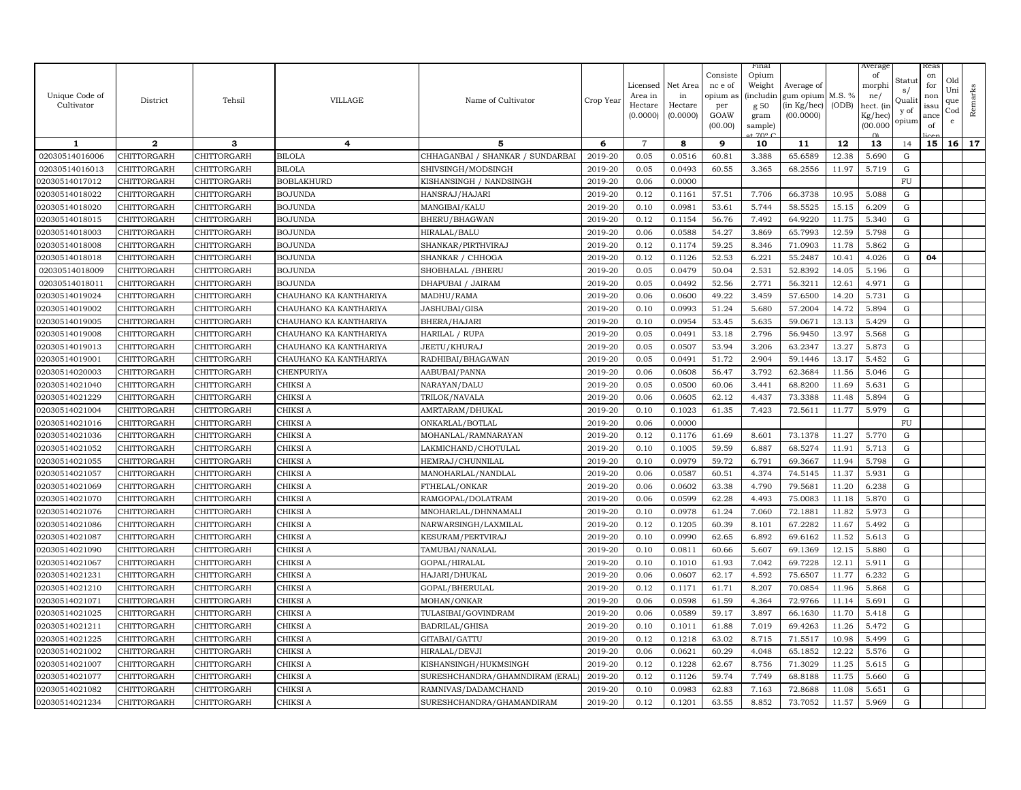| Unique Code of<br>Cultivator | District       | Tehsil      | VILLAGE                | Name of Cultivator               | Crop Year | Licensed<br>Area in<br>Hectare<br>(0.0000) | Net Area<br>in<br>Hectare<br>(0.0000) | Consiste<br>nc e of<br>opium as<br>per<br>GOAW<br>(00.00) | Final<br>Opium<br>Weight<br><i>(includin</i><br>g 50<br>gram<br>sample]<br>70° | Average of<br>gum opium M.S. %<br>(in Kg/hec)<br>(00.0000) | (ODB) | Averag<br>of<br>morphi<br>ne/<br>hect. (in<br>Kg/hec<br>(00.000) | Statut<br>s/<br>Quali<br>y of<br>opium | on<br>for<br>noi<br>isst<br>ance<br>of | Dld<br>Uni<br>que<br>Cod | Remarks |
|------------------------------|----------------|-------------|------------------------|----------------------------------|-----------|--------------------------------------------|---------------------------------------|-----------------------------------------------------------|--------------------------------------------------------------------------------|------------------------------------------------------------|-------|------------------------------------------------------------------|----------------------------------------|----------------------------------------|--------------------------|---------|
| -1                           | $\overline{2}$ | 3           | 4                      | 5                                | 6         | $\overline{7}$                             | 8                                     | 9                                                         | 10                                                                             | 11                                                         | 12    | 13                                                               | 14                                     | 15                                     | 16 <sup>1</sup>          | 17      |
| 02030514016006               | CHITTORGARH    | CHITTORGARH | <b>BILOLA</b>          | CHHAGANBAI / SHANKAR / SUNDARBAI | 2019-20   | 0.05                                       | 0.0516                                | 60.81                                                     | 3.388                                                                          | 65.6589                                                    | 12.38 | 5.690                                                            | G                                      |                                        |                          |         |
| 02030514016013               | CHITTORGARH    | CHITTORGARH | <b>BILOLA</b>          | SHIVSINGH/MODSINGH               | 2019-20   | 0.05                                       | 0.0493                                | 60.55                                                     | 3.365                                                                          | 68.2556                                                    | 11.97 | 5.719                                                            | G                                      |                                        |                          |         |
| 02030514017012               | CHITTORGARH    | CHITTORGARH | BOBLAKHURD             | KISHANSINGH / NANDSINGH          | 2019-20   | 0.06                                       | 0.0000                                |                                                           |                                                                                |                                                            |       |                                                                  | ${\rm FU}$                             |                                        |                          |         |
| 02030514018022               | CHITTORGARH    | CHITTORGARH | <b>BOJUNDA</b>         | HANSRAJ/HAJARI                   | 2019-20   | 0.12                                       | 0.1161                                | 57.51                                                     | 7.706                                                                          | 66.3738                                                    | 10.95 | 5.088                                                            | G                                      |                                        |                          |         |
| 02030514018020               | CHITTORGARH    | CHITTORGARH | <b>BOJUNDA</b>         | MANGIBAI/KALU                    | 2019-20   | 0.10                                       | 0.0981                                | 53.61                                                     | 5.744                                                                          | 58.5525                                                    | 15.15 | 6.209                                                            | G                                      |                                        |                          |         |
| 02030514018015               | CHITTORGARH    | CHITTORGARH | <b>BOJUNDA</b>         | BHERU/BHAGWAN                    | 2019-20   | 0.12                                       | 0.1154                                | 56.76                                                     | 7.492                                                                          | 64.9220                                                    | 11.75 | 5.340                                                            | G                                      |                                        |                          |         |
| 02030514018003               | CHITTORGARH    | CHITTORGARH | <b>BOJUNDA</b>         | HIRALAL/BALU                     | 2019-20   | 0.06                                       | 0.0588                                | 54.27                                                     | 3.869                                                                          | 65.7993                                                    | 12.59 | 5.798                                                            | G                                      |                                        |                          |         |
| 02030514018008               | CHITTORGARH    | CHITTORGARH | BOJUNDA                | SHANKAR/PIRTHVIRAJ               | 2019-20   | 0.12                                       | 0.1174                                | 59.25                                                     | 8.346                                                                          | 71.0903                                                    | 11.78 | 5.862                                                            | G                                      |                                        |                          |         |
| 02030514018018               | CHITTORGARH    | CHITTORGARH | <b>BOJUNDA</b>         | SHANKAR / CHHOGA                 | 2019-20   | 0.12                                       | 0.1126                                | 52.53                                                     | 6.221                                                                          | 55.2487                                                    | 10.41 | 4.026                                                            | G                                      | 04                                     |                          |         |
| 02030514018009               | CHITTORGARH    | CHITTORGARH | BOJUNDA                | SHOBHALAL / BHERU                | 2019-20   | 0.05                                       | 0.0479                                | 50.04                                                     | 2.531                                                                          | 52.8392                                                    | 14.05 | 5.196                                                            | G                                      |                                        |                          |         |
| 02030514018011               | CHITTORGARH    | CHITTORGARH | <b>BOJUNDA</b>         | DHAPUBAI / JAIRAM                | 2019-20   | 0.05                                       | 0.0492                                | 52.56                                                     | 2.771                                                                          | 56.3211                                                    | 12.61 | 4.971                                                            | G                                      |                                        |                          |         |
| 02030514019024               | CHITTORGARH    | CHITTORGARH | CHAUHANO KA KANTHARIYA | MADHU/RAMA                       | 2019-20   | 0.06                                       | 0.0600                                | 49.22                                                     | 3.459                                                                          | 57.6500                                                    | 14.20 | 5.731                                                            | G                                      |                                        |                          |         |
| 02030514019002               | CHITTORGARH    | CHITTORGARH | CHAUHANO KA KANTHARIYA | JASHUBAI/GISA                    | 2019-20   | 0.10                                       | 0.0993                                | 51.24                                                     | 5.680                                                                          | 57.2004                                                    | 14.72 | 5.894                                                            | ${\rm G}$                              |                                        |                          |         |
| 02030514019005               | CHITTORGARH    | CHITTORGARH | CHAUHANO KA KANTHARIYA | BHERA/HAJARI                     | 2019-20   | 0.10                                       | 0.0954                                | 53.45                                                     | 5.635                                                                          | 59.0671                                                    | 13.13 | 5.429                                                            | ${\rm G}$                              |                                        |                          |         |
| 02030514019008               | CHITTORGARH    | CHITTORGARH | CHAUHANO KA KANTHARIYA | HARILAL / RUPA                   | 2019-20   | 0.05                                       | 0.0491                                | 53.18                                                     | 2.796                                                                          | 56.9450                                                    | 13.97 | 5.568                                                            | ${\rm G}$                              |                                        |                          |         |
| 02030514019013               | CHITTORGARH    | CHITTORGARH | CHAUHANO KA KANTHARIYA | JEETU/KHURAJ                     | 2019-20   | 0.05                                       | 0.0507                                | 53.94                                                     | 3.206                                                                          | 63.2347                                                    | 13.27 | 5.873                                                            | ${\rm G}$                              |                                        |                          |         |
| 02030514019001               | CHITTORGARH    | CHITTORGARH | CHAUHANO KA KANTHARIYA | RADHIBAI/BHAGAWAN                | 2019-20   | 0.05                                       | 0.0491                                | 51.72                                                     | 2.904                                                                          | 59.1446                                                    | 13.17 | 5.452                                                            | G                                      |                                        |                          |         |
| 02030514020003               | CHITTORGARH    | CHITTORGARH | CHENPURIYA             | AABUBAI/PANNA                    | 2019-20   | 0.06                                       | 0.0608                                | 56.47                                                     | 3.792                                                                          | 62.3684                                                    | 11.56 | 5.046                                                            | ${\rm G}$                              |                                        |                          |         |
| 02030514021040               | CHITTORGARH    | CHITTORGARH | CHIKSI A               | NARAYAN/DALU                     | 2019-20   | 0.05                                       | 0.0500                                | 60.06                                                     | 3.441                                                                          | 68.8200                                                    | 11.69 | 5.631                                                            | G                                      |                                        |                          |         |
| 02030514021229               | CHITTORGARH    | CHITTORGARH | CHIKSI A               | TRILOK/NAVALA                    | 2019-20   | 0.06                                       | 0.0605                                | 62.12                                                     | 4.437                                                                          | 73.3388                                                    | 11.48 | 5.894                                                            | G                                      |                                        |                          |         |
| 02030514021004               | CHITTORGARH    | CHITTORGARH | CHIKSI A               | AMRTARAM/DHUKAL                  | 2019-20   | 0.10                                       | 0.1023                                | 61.35                                                     | 7.423                                                                          | 72.5611                                                    | 11.77 | 5.979                                                            | G                                      |                                        |                          |         |
| 02030514021016               | CHITTORGARH    | CHITTORGARH | CHIKSI A               | ONKARLAL/BOTLAL                  | 2019-20   | 0.06                                       | 0.0000                                |                                                           |                                                                                |                                                            |       |                                                                  | ${\rm FU}$                             |                                        |                          |         |
| 02030514021036               | CHITTORGARH    | CHITTORGARH | CHIKSI A               | MOHANLAL/RAMNARAYAN              | 2019-20   | 0.12                                       | 0.1176                                | 61.69                                                     | 8.601                                                                          | 73.1378                                                    | 11.27 | 5.770                                                            | ${\rm G}$                              |                                        |                          |         |
| 02030514021052               | CHITTORGARH    | CHITTORGARH | CHIKSI A               | LAKMICHAND/CHOTULAL              | 2019-20   | 0.10                                       | 0.1005                                | 59.59                                                     | 6.887                                                                          | 68.5274                                                    | 11.91 | 5.713                                                            | G                                      |                                        |                          |         |
| 02030514021055               | CHITTORGARH    | CHITTORGARH | CHIKSI A               | HEMRAJ/CHUNNILAL                 | 2019-20   | 0.10                                       | 0.0979                                | 59.72                                                     | 6.791                                                                          | 69.3667                                                    | 11.94 | 5.798                                                            | G                                      |                                        |                          |         |
| 02030514021057               | CHITTORGARH    | CHITTORGARH | CHIKSI A               | MANOHARLAL/NANDLAL               | 2019-20   | 0.06                                       | 0.0587                                | 60.51                                                     | 4.374                                                                          | 74.5145                                                    | 11.37 | 5.931                                                            | ${\rm G}$                              |                                        |                          |         |
| 02030514021069               | CHITTORGARH    | CHITTORGARH | CHIKSI A               | FTHELAL/ONKAR                    | 2019-20   | 0.06                                       | 0.0602                                | 63.38                                                     | 4.790                                                                          | 79.5681                                                    | 11.20 | 6.238                                                            | ${\rm G}$                              |                                        |                          |         |
| 02030514021070               | CHITTORGARH    | CHITTORGARH | CHIKSI A               | RAMGOPAL/DOLATRAM                | 2019-20   | 0.06                                       | 0.0599                                | 62.28                                                     | 4.493                                                                          | 75.0083                                                    | 11.18 | 5.870                                                            | G                                      |                                        |                          |         |
| 02030514021076               | CHITTORGARH    | CHITTORGARH | CHIKSI A               | MNOHARLAL/DHNNAMALI              | 2019-20   | 0.10                                       | 0.0978                                | 61.24                                                     | 7.060                                                                          | 72.1881                                                    | 11.82 | 5.973                                                            | G                                      |                                        |                          |         |
| 02030514021086               | CHITTORGARH    | CHITTORGARH | CHIKSI A               | NARWARSINGH/LAXMILAL             | 2019-20   | 0.12                                       | 0.1205                                | 60.39                                                     | 8.101                                                                          | 67.2282                                                    | 11.67 | 5.492                                                            | ${\rm G}$                              |                                        |                          |         |
| 02030514021087               | CHITTORGARH    | CHITTORGARH | CHIKSI A               | <b>KESURAM/PERTVIRAJ</b>         | 2019-20   | 0.10                                       | 0.0990                                | 62.65                                                     | 6.892                                                                          | 69.6162                                                    | 11.52 | 5.613                                                            | G                                      |                                        |                          |         |
| 02030514021090               | CHITTORGARH    | CHITTORGARH | CHIKSI A               | TAMUBAI/NANALAL                  | 2019-20   | 0.10                                       | 0.0811                                | 60.66                                                     | 5.607                                                                          | 69.1369                                                    | 12.15 | 5.880                                                            | ${\rm G}$                              |                                        |                          |         |
| 02030514021067               | CHITTORGARH    | CHITTORGARH | CHIKSI A               | GOPAL/HIRALAL                    | 2019-20   | 0.10                                       | 0.1010                                | 61.93                                                     | 7.042                                                                          | 69.7228                                                    | 12.11 | 5.911                                                            | ${\rm G}$                              |                                        |                          |         |
| 02030514021231               | CHITTORGARH    | CHITTORGARH | CHIKSI A               | HAJARI/DHUKAL                    | 2019-20   | 0.06                                       | 0.0607                                | 62.17                                                     | 4.592                                                                          | 75.6507                                                    | 11.77 | 6.232                                                            | ${\rm G}$                              |                                        |                          |         |
| 02030514021210               | CHITTORGARH    | CHITTORGARH | CHIKSI A               | GOPAL/BHERULAL                   | 2019-20   | 0.12                                       | 0.1171                                | 61.71                                                     | 8.207                                                                          | 70.0854                                                    | 11.96 | 5.868                                                            | ${\rm G}$                              |                                        |                          |         |
| 02030514021071               | CHITTORGARH    | CHITTORGARH | CHIKSI A               | MOHAN/ONKAR                      | 2019-20   | 0.06                                       | 0.0598                                | 61.59                                                     | 4.364                                                                          | 72.9766                                                    | 11.14 | 5.691                                                            | G                                      |                                        |                          |         |
| 02030514021025               | CHITTORGARH    | CHITTORGARH | CHIKSI A               | TULASIBAI/GOVINDRAM              | 2019-20   | 0.06                                       | 0.0589                                | 59.17                                                     | 3.897                                                                          | 66.1630                                                    | 11.70 | 5.418                                                            | G                                      |                                        |                          |         |
| 02030514021211               | CHITTORGARH    | CHITTORGARH | CHIKSI A               | BADRILAL/GHISA                   | 2019-20   | 0.10                                       | 0.1011                                | 61.88                                                     | 7.019                                                                          | 69.4263                                                    | 11.26 | 5.472                                                            | G                                      |                                        |                          |         |
| 02030514021225               | CHITTORGARH    | CHITTORGARH | CHIKSI A               | GITABAI/GATTU                    | 2019-20   | 0.12                                       | 0.1218                                | 63.02                                                     | 8.715                                                                          | 71.5517                                                    | 10.98 | 5.499                                                            | ${\rm G}$                              |                                        |                          |         |
| 02030514021002               | CHITTORGARH    | CHITTORGARH | CHIKSI A               | HIRALAL/DEVJI                    | 2019-20   | 0.06                                       | 0.0621                                | 60.29                                                     | 4.048                                                                          | 65.1852                                                    | 12.22 | 5.576                                                            | G                                      |                                        |                          |         |
| 02030514021007               | CHITTORGARH    | CHITTORGARH | CHIKSI A               | KISHANSINGH/HUKMSINGH            | 2019-20   | 0.12                                       | 0.1228                                | 62.67                                                     | 8.756                                                                          | 71.3029                                                    | 11.25 | 5.615                                                            | G                                      |                                        |                          |         |
| 02030514021077               | CHITTORGARH    | CHITTORGARH | CHIKSI A               | SURESHCHANDRA/GHAMNDIRAM (ERAL)  | 2019-20   | 0.12                                       | 0.1126                                | 59.74                                                     | 7.749                                                                          | 68.8188                                                    | 11.75 | 5.660                                                            | ${\rm G}$                              |                                        |                          |         |
| 02030514021082               | CHITTORGARH    | CHITTORGARH | CHIKSI A               | RAMNIVAS/DADAMCHAND              | 2019-20   | 0.10                                       | 0.0983                                | 62.83                                                     | 7.163                                                                          | 72.8688                                                    | 11.08 | 5.651                                                            | ${\rm G}$                              |                                        |                          |         |
| 02030514021234               | CHITTORGARH    | CHITTORGARH | CHIKSI A               | SURESHCHANDRA/GHAMANDIRAM        | 2019-20   | 0.12                                       | 0.1201                                | 63.55                                                     | 8.852                                                                          | 73.7052                                                    | 11.57 | 5.969                                                            | ${\rm G}$                              |                                        |                          |         |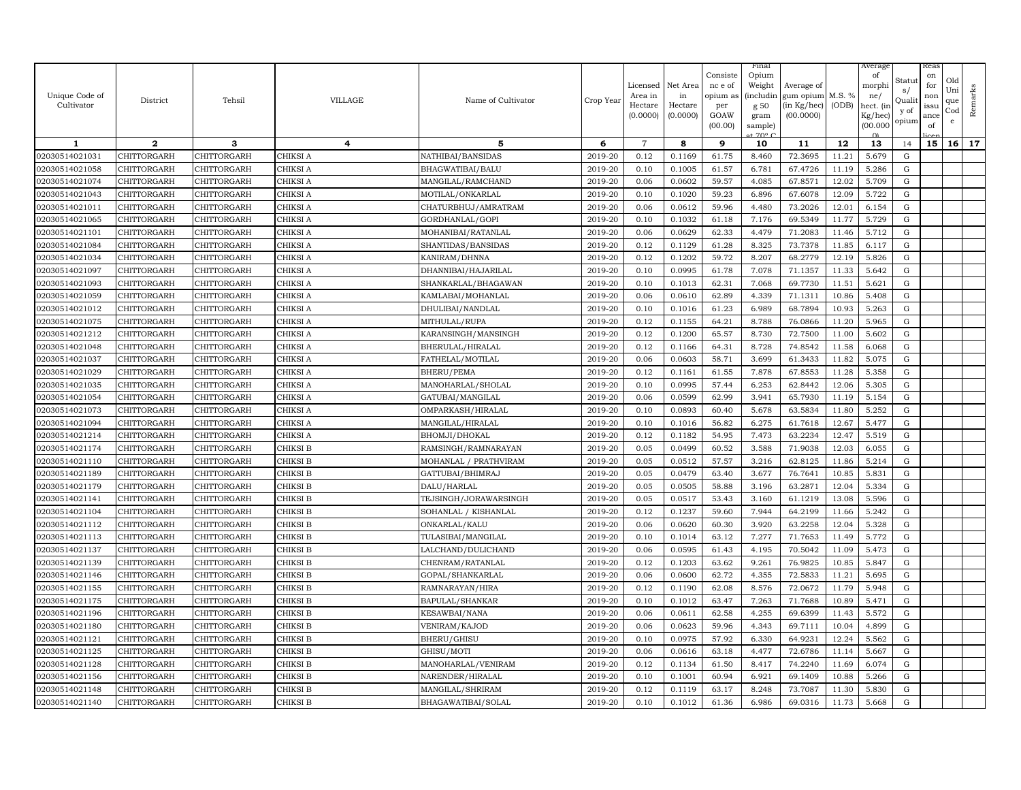| Unique Code of<br>Cultivator | District       | Tehsil      | VILLAGE  | Name of Cultivator    | Crop Year | Licensed<br>Area in<br>Hectare<br>(0.0000) | Net Area<br>in<br>Hectare<br>(0.0000) | Consiste<br>nc e of<br>opium as<br>per<br>GOAW<br>(00.00) | Final<br>Opium<br>Weight<br><i>(includin</i><br>g 50<br>gram<br>sample]<br>70° | Average of<br>gum opium M.S. %<br>(in Kg/hec)<br>(00.0000) | (ODB) | Averag<br>of<br>morphi<br>ne/<br>hect. (in<br>Kg/hec<br>(00.000) | Statut<br>s/<br>Quali<br>y of<br>opium | on<br>for<br>nor<br>isst<br>ance<br>of | Dld<br>Uni<br>que<br>Cod | Remarks |
|------------------------------|----------------|-------------|----------|-----------------------|-----------|--------------------------------------------|---------------------------------------|-----------------------------------------------------------|--------------------------------------------------------------------------------|------------------------------------------------------------|-------|------------------------------------------------------------------|----------------------------------------|----------------------------------------|--------------------------|---------|
| -1                           | $\overline{2}$ | 3           | 4        | 5                     | 6         | $\overline{7}$                             | 8                                     | 9                                                         | 10                                                                             | 11                                                         | 12    | 13                                                               | 14                                     | 15                                     | 16 <sup>1</sup>          | 17      |
| 02030514021031               | CHITTORGARH    | CHITTORGARH | CHIKSI A | NATHIBAI/BANSIDAS     | 2019-20   | 0.12                                       | 0.1169                                | 61.75                                                     | 8.460                                                                          | 72.3695                                                    | 11.21 | 5.679                                                            | G                                      |                                        |                          |         |
| 02030514021058               | CHITTORGARH    | CHITTORGARH | CHIKSI A | BHAGWATIBAI/BALU      | 2019-20   | 0.10                                       | 0.1005                                | 61.57                                                     | 6.781                                                                          | 67.4726                                                    | 11.19 | 5.286                                                            | G                                      |                                        |                          |         |
| 02030514021074               | CHITTORGARH    | CHITTORGARH | CHIKSI A | MANGILAL/RAMCHAND     | 2019-20   | 0.06                                       | 0.0602                                | 59.57                                                     | 4.085                                                                          | 67.8571                                                    | 12.02 | 5.709                                                            | G                                      |                                        |                          |         |
| 02030514021043               | CHITTORGARH    | CHITTORGARH | CHIKSI A | MOTILAL/ONKARLAL      | 2019-20   | 0.10                                       | 0.1020                                | 59.23                                                     | 6.896                                                                          | 67.6078                                                    | 12.09 | 5.722                                                            | G                                      |                                        |                          |         |
| 02030514021011               | CHITTORGARH    | CHITTORGARH | CHIKSI A | CHATURBHUJ/AMRATRAM   | 2019-20   | 0.06                                       | 0.0612                                | 59.96                                                     | 4.480                                                                          | 73.2026                                                    | 12.01 | 6.154                                                            | G                                      |                                        |                          |         |
| 02030514021065               | CHITTORGARH    | CHITTORGARH | CHIKSI A | GORDHANLAL/GOPI       | 2019-20   | 0.10                                       | 0.1032                                | 61.18                                                     | 7.176                                                                          | 69.5349                                                    | 11.77 | 5.729                                                            | G                                      |                                        |                          |         |
| 02030514021101               | CHITTORGARH    | CHITTORGARH | CHIKSI A | MOHANIBAI/RATANLAL    | 2019-20   | 0.06                                       | 0.0629                                | 62.33                                                     | 4.479                                                                          | 71.2083                                                    | 11.46 | 5.712                                                            | G                                      |                                        |                          |         |
| 02030514021084               | CHITTORGARH    | CHITTORGARH | CHIKSI A | SHANTIDAS/BANSIDAS    | 2019-20   | 0.12                                       | 0.1129                                | 61.28                                                     | 8.325                                                                          | 73.7378                                                    | 11.85 | 6.117                                                            | G                                      |                                        |                          |         |
| 02030514021034               | CHITTORGARH    | CHITTORGARH | CHIKSI A | KANIRAM/DHNNA         | 2019-20   | 0.12                                       | 0.1202                                | 59.72                                                     | 8.207                                                                          | 68.2779                                                    | 12.19 | 5.826                                                            | G                                      |                                        |                          |         |
| 02030514021097               | CHITTORGARH    | CHITTORGARH | CHIKSI A | DHANNIBAI/HAJARILAL   | 2019-20   | 0.10                                       | 0.0995                                | 61.78                                                     | 7.078                                                                          | 71.1357                                                    | 11.33 | 5.642                                                            | ${\rm G}$                              |                                        |                          |         |
| 02030514021093               | CHITTORGARH    | CHITTORGARH | CHIKSI A | SHANKARLAL/BHAGAWAN   | 2019-20   | 0.10                                       | 0.1013                                | 62.31                                                     | 7.068                                                                          | 69.7730                                                    | 11.51 | 5.621                                                            | G                                      |                                        |                          |         |
| 02030514021059               | CHITTORGARH    | CHITTORGARH | CHIKSI A | KAMLABAI/MOHANLAL     | 2019-20   | 0.06                                       | 0.0610                                | 62.89                                                     | 4.339                                                                          | 71.1311                                                    | 10.86 | 5.408                                                            | G                                      |                                        |                          |         |
| 02030514021012               | CHITTORGARH    | CHITTORGARH | CHIKSI A | DHULIBAI/NANDLAL      | 2019-20   | 0.10                                       | 0.1016                                | 61.23                                                     | 6.989                                                                          | 68.7894                                                    | 10.93 | 5.263                                                            | ${\rm G}$                              |                                        |                          |         |
| 02030514021075               | CHITTORGARH    | CHITTORGARH | CHIKSI A | MITHULAL/RUPA         | 2019-20   | 0.12                                       | 0.1155                                | 64.21                                                     | 8.788                                                                          | 76.0866                                                    | 11.20 | 5.965                                                            | ${\rm G}$                              |                                        |                          |         |
| 02030514021212               | CHITTORGARH    | CHITTORGARH | CHIKSI A | KARANSINGH/MANSINGH   | 2019-20   | 0.12                                       | 0.1200                                | 65.57                                                     | 8.730                                                                          | 72.7500                                                    | 11.00 | 5.602                                                            | ${\rm G}$                              |                                        |                          |         |
| 02030514021048               | CHITTORGARH    | CHITTORGARH | CHIKSI A | BHERULAL/HIRALAL      | 2019-20   | 0.12                                       | 0.1166                                | 64.31                                                     | 8.728                                                                          | 74.8542                                                    | 11.58 | 6.068                                                            | ${\rm G}$                              |                                        |                          |         |
| 02030514021037               | CHITTORGARH    | CHITTORGARH | CHIKSI A | FATHELAL/MOTILAL      | 2019-20   | 0.06                                       | 0.0603                                | 58.71                                                     | 3.699                                                                          | 61.3433                                                    | 11.82 | 5.075                                                            | G                                      |                                        |                          |         |
| 02030514021029               | CHITTORGARH    | CHITTORGARH | CHIKSI A | <b>BHERU/PEMA</b>     | 2019-20   | 0.12                                       | 0.1161                                | 61.55                                                     | 7.878                                                                          | 67.8553                                                    | 11.28 | 5.358                                                            | ${\rm G}$                              |                                        |                          |         |
| 02030514021035               | CHITTORGARH    | CHITTORGARH | CHIKSI A | MANOHARLAL/SHOLAL     | 2019-20   | 0.10                                       | 0.0995                                | 57.44                                                     | 6.253                                                                          | 62.8442                                                    | 12.06 | 5.305                                                            | G                                      |                                        |                          |         |
| 02030514021054               | CHITTORGARH    | CHITTORGARH | CHIKSI A | GATUBAI/MANGILAL      | 2019-20   | 0.06                                       | 0.0599                                | 62.99                                                     | 3.941                                                                          | 65.7930                                                    | 11.19 | 5.154                                                            | G                                      |                                        |                          |         |
| 02030514021073               | CHITTORGARH    | CHITTORGARH | CHIKSI A | OMPARKASH/HIRALAL     | 2019-20   | 0.10                                       | 0.0893                                | 60.40                                                     | 5.678                                                                          | 63.5834                                                    | 11.80 | 5.252                                                            | G                                      |                                        |                          |         |
| 02030514021094               | CHITTORGARH    | CHITTORGARH | CHIKSI A | MANGILAL/HIRALAL      | 2019-20   | 0.10                                       | 0.1016                                | 56.82                                                     | 6.275                                                                          | 61.7618                                                    | 12.67 | 5.477                                                            | ${\rm G}$                              |                                        |                          |         |
| 02030514021214               | CHITTORGARH    | CHITTORGARH | CHIKSI A | BHOMJI/DHOKAL         | 2019-20   | 0.12                                       | 0.1182                                | 54.95                                                     | 7.473                                                                          | 63.2234                                                    | 12.47 | 5.519                                                            | ${\rm G}$                              |                                        |                          |         |
| 02030514021174               | CHITTORGARH    | CHITTORGARH | CHIKSI B | RAMSINGH/RAMNARAYAN   | 2019-20   | 0.05                                       | 0.0499                                | 60.52                                                     | 3.588                                                                          | 71.9038                                                    | 12.03 | 6.055                                                            | G                                      |                                        |                          |         |
| 02030514021110               | CHITTORGARH    | CHITTORGARH | CHIKSI B | MOHANLAL / PRATHVIRAM | 2019-20   | 0.05                                       | 0.0512                                | 57.57                                                     | 3.216                                                                          | 62.8125                                                    | 11.86 | 5.214                                                            | G                                      |                                        |                          |         |
| 02030514021189               | CHITTORGARH    | CHITTORGARH | CHIKSI B | GATTUBAI/BHIMRAJ      | 2019-20   | 0.05                                       | 0.0479                                | 63.40                                                     | 3.677                                                                          | 76.7641                                                    | 10.85 | 5.831                                                            | ${\rm G}$                              |                                        |                          |         |
| 02030514021179               | CHITTORGARH    | CHITTORGARH | CHIKSI B | DALU/HARLAL           | 2019-20   | 0.05                                       | 0.0505                                | 58.88                                                     | 3.196                                                                          | 63.2871                                                    | 12.04 | 5.334                                                            | G                                      |                                        |                          |         |
| 02030514021141               | CHITTORGARH    | CHITTORGARH | CHIKSI B | TEJSINGH/JORAWARSINGH | 2019-20   | 0.05                                       | 0.0517                                | 53.43                                                     | 3.160                                                                          | 61.1219                                                    | 13.08 | 5.596                                                            | ${\rm G}$                              |                                        |                          |         |
| 02030514021104               | CHITTORGARH    | CHITTORGARH | CHIKSI B | SOHANLAL / KISHANLAL  | 2019-20   | 0.12                                       | 0.1237                                | 59.60                                                     | 7.944                                                                          | 64.2199                                                    | 11.66 | 5.242                                                            | G                                      |                                        |                          |         |
| 02030514021112               | CHITTORGARH    | CHITTORGARH | CHIKSI B | ONKARLAL/KALU         | 2019-20   | 0.06                                       | 0.0620                                | 60.30                                                     | 3.920                                                                          | 63.2258                                                    | 12.04 | 5.328                                                            | ${\rm G}$                              |                                        |                          |         |
| 02030514021113               | CHITTORGARH    | CHITTORGARH | CHIKSI B | TULASIBAI/MANGILAL    | 2019-20   | 0.10                                       | 0.1014                                | 63.12                                                     | 7.277                                                                          | 71.7653                                                    | 11.49 | 5.772                                                            | G                                      |                                        |                          |         |
| 02030514021137               | CHITTORGARH    | CHITTORGARH | CHIKSI B | LALCHAND/DULICHAND    | 2019-20   | 0.06                                       | 0.0595                                | 61.43                                                     | 4.195                                                                          | 70.5042                                                    | 11.09 | 5.473                                                            | ${\rm G}$                              |                                        |                          |         |
| 02030514021139               | CHITTORGARH    | CHITTORGARH | CHIKSI B | CHENRAM/RATANLAL      | 2019-20   | 0.12                                       | 0.1203                                | 63.62                                                     | 9.261                                                                          | 76.9825                                                    | 10.85 | 5.847                                                            | ${\rm G}$                              |                                        |                          |         |
| 02030514021146               | CHITTORGARH    | CHITTORGARH | CHIKSI B | GOPAL/SHANKARLAL      | 2019-20   | 0.06                                       | 0.0600                                | 62.72                                                     | 4.355                                                                          | 72.5833                                                    | 11.21 | 5.695                                                            | ${\rm G}$                              |                                        |                          |         |
| 02030514021155               | CHITTORGARH    | CHITTORGARH | CHIKSI B | RAMNARAYAN/HIRA       | 2019-20   | 0.12                                       | 0.1190                                | 62.08                                                     | 8.576                                                                          | 72.0672                                                    | 11.79 | 5.948                                                            | ${\rm G}$                              |                                        |                          |         |
| 02030514021175               | CHITTORGARH    | CHITTORGARH | CHIKSI B | BAPULAL/SHANKAR       | 2019-20   | 0.10                                       | 0.1012                                | 63.47                                                     | 7.263                                                                          | 71.7688                                                    | 10.89 | 5.471                                                            | G                                      |                                        |                          |         |
| 02030514021196               | CHITTORGARH    | CHITTORGARH | CHIKSI B | KESAWBAI/NANA         | 2019-20   | 0.06                                       | 0.0611                                | 62.58                                                     | 4.255                                                                          | 69.6399                                                    | 11.43 | 5.572                                                            | G                                      |                                        |                          |         |
| 02030514021180               | CHITTORGARH    | CHITTORGARH | CHIKSI B | VENIRAM/KAJOD         | 2019-20   | 0.06                                       | 0.0623                                | 59.96                                                     | 4.343                                                                          | 69.7111                                                    | 10.04 | 4.899                                                            | G                                      |                                        |                          |         |
| 02030514021121               | CHITTORGARH    | CHITTORGARH | CHIKSI B | BHERU/GHISU           | 2019-20   | 0.10                                       | 0.0975                                | 57.92                                                     | 6.330                                                                          | 64.9231                                                    | 12.24 | 5.562                                                            | ${\rm G}$                              |                                        |                          |         |
| 02030514021125               | CHITTORGARH    | CHITTORGARH | CHIKSI B | GHISU/MOTI            | 2019-20   | 0.06                                       | 0.0616                                | 63.18                                                     | 4.477                                                                          | 72.6786                                                    | 11.14 | 5.667                                                            | G                                      |                                        |                          |         |
| 02030514021128               | CHITTORGARH    | CHITTORGARH | CHIKSI B | MANOHARLAL/VENIRAM    | 2019-20   | 0.12                                       | 0.1134                                | 61.50                                                     | 8.417                                                                          | 74.2240                                                    | 11.69 | 6.074                                                            | G                                      |                                        |                          |         |
| 02030514021156               | CHITTORGARH    | CHITTORGARH | CHIKSI B | NARENDER/HIRALAL      | 2019-20   | 0.10                                       | 0.1001                                | 60.94                                                     | 6.921                                                                          | 69.1409                                                    | 10.88 | 5.266                                                            | ${\rm G}$                              |                                        |                          |         |
| 02030514021148               | CHITTORGARH    | CHITTORGARH | CHIKSI B | MANGILAL/SHRIRAM      | 2019-20   | 0.12                                       | 0.1119                                | 63.17                                                     | 8.248                                                                          | 73.7087                                                    | 11.30 | 5.830                                                            | ${\rm G}$                              |                                        |                          |         |
| 02030514021140               | CHITTORGARH    | CHITTORGARH | CHIKSI B | BHAGAWATIBAI/SOLAL    | 2019-20   | 0.10                                       | 0.1012                                | 61.36                                                     | 6.986                                                                          | 69.0316                                                    | 11.73 | 5.668                                                            | ${\rm G}$                              |                                        |                          |         |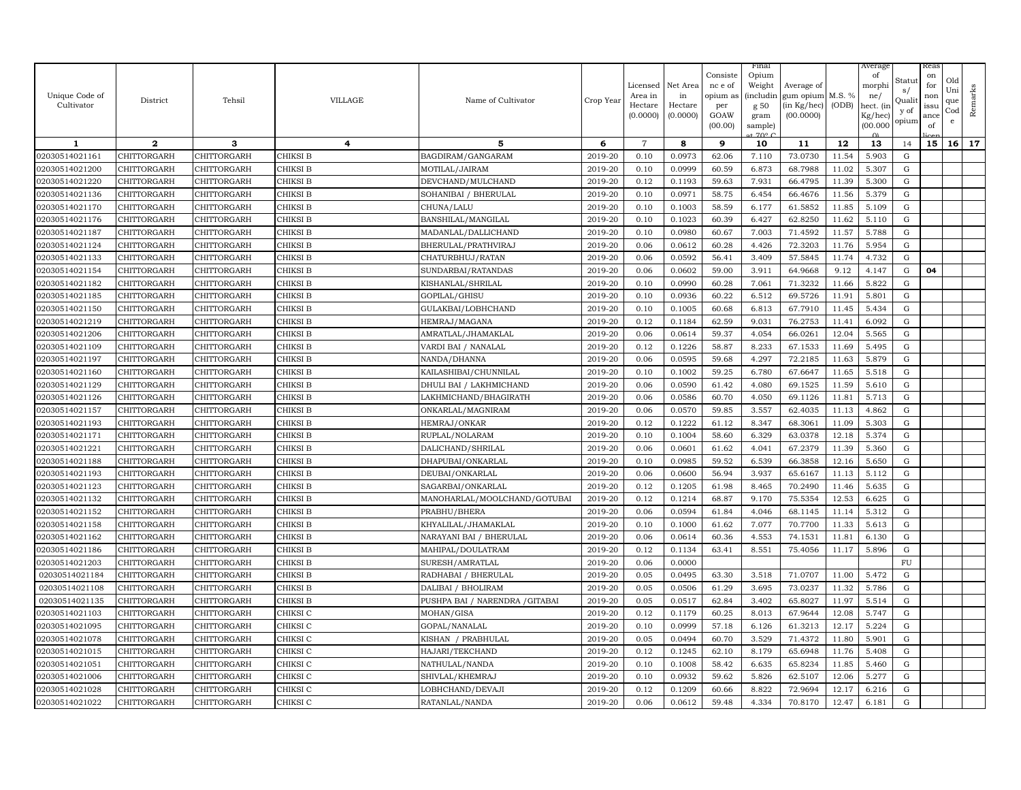| Unique Code of<br>Cultivator     | District                   | Tehsil                     | VILLAGE              | Name of Cultivator                           | Crop Year          | Licensed<br>Area in<br>Hectare<br>(0.0000) | Net Area<br>in<br>Hectare<br>(0.0000) | Consiste<br>nc e of<br>opium as<br>per<br>GOAW<br>(00.00) | Final<br>Opium<br>Weight<br><i>(includin</i><br>g 50<br>gram<br>sample]<br>$70^\circ$ | Average of<br>gum opium M.S. %<br>(in Kg/hec)<br>(00.0000) | (ODB)          | Averag<br>of<br>morphi<br>ne/<br>hect. (in<br>Kg/hec<br>(00.000) | Statut<br>s/<br>Quali<br>y of<br>opium | on<br>for<br>nor<br>isst<br>ance<br>of | Dld<br>Uni<br>que<br>Cod | Remarks |
|----------------------------------|----------------------------|----------------------------|----------------------|----------------------------------------------|--------------------|--------------------------------------------|---------------------------------------|-----------------------------------------------------------|---------------------------------------------------------------------------------------|------------------------------------------------------------|----------------|------------------------------------------------------------------|----------------------------------------|----------------------------------------|--------------------------|---------|
| -1                               | $\overline{2}$             | з                          | 4                    | 5                                            | 6                  | $\overline{7}$                             | 8                                     | 9                                                         | 10                                                                                    | 11                                                         | 12             | 13                                                               | 14                                     | 15                                     | 16                       | 17      |
| 02030514021161                   | CHITTORGARH                | CHITTORGARH                | CHIKSI B             | BAGDIRAM/GANGARAM                            | 2019-20            | 0.10                                       | 0.0973                                | 62.06                                                     | 7.110                                                                                 | 73.0730                                                    | 11.54          | 5.903                                                            | G                                      |                                        |                          |         |
| 02030514021200                   | CHITTORGARH                | CHITTORGARH                | CHIKSI B             | MOTILAL/JAIRAM                               | 2019-20            | 0.10                                       | 0.0999                                | 60.59                                                     | 6.873                                                                                 | 68.7988                                                    | 11.02          | 5.307                                                            | G                                      |                                        |                          |         |
| 02030514021220                   | CHITTORGARH                | CHITTORGARH                | CHIKSI B             | DEVCHAND/MULCHAND                            | 2019-20            | 0.12                                       | 0.1193                                | 59.63                                                     | 7.931                                                                                 | 66.4795                                                    | 11.39          | 5.300                                                            | G                                      |                                        |                          |         |
| 02030514021136                   | CHITTORGARH                | CHITTORGARH                | CHIKSI B             | SOHANIBAI / BHERULAL                         | 2019-20            | 0.10                                       | 0.0971                                | 58.75                                                     | 6.454                                                                                 | 66.4676                                                    | 11.56          | 5.379                                                            | ${\rm G}$                              |                                        |                          |         |
| 02030514021170                   | CHITTORGARH                | CHITTORGARH                | CHIKSI B             | CHUNA/LALU                                   | 2019-20            | 0.10                                       | 0.1003                                | 58.59                                                     | 6.177                                                                                 | 61.5852                                                    | 11.85          | 5.109                                                            | ${\rm G}$                              |                                        |                          |         |
| 02030514021176                   | CHITTORGARH                | CHITTORGARH                | CHIKSI B             | BANSHILAL/MANGILAL                           | 2019-20            | 0.10                                       | 0.1023                                | 60.39                                                     | 6.427                                                                                 | 62.8250                                                    | 11.62          | 5.110                                                            | G                                      |                                        |                          |         |
| 02030514021187                   | CHITTORGARH                | CHITTORGARH                | CHIKSI B             | MADANLAL/DALLICHAND                          | 2019-20            | 0.10                                       | 0.0980                                | 60.67                                                     | 7.003                                                                                 | 71.4592                                                    | 11.57          | 5.788                                                            | ${\rm G}$                              |                                        |                          |         |
| 02030514021124                   | CHITTORGARH                | CHITTORGARH                | CHIKSI B             | BHERULAL/PRATHVIRAJ                          | 2019-20            | 0.06                                       | 0.0612                                | 60.28                                                     | 4.426                                                                                 | 72.3203                                                    | 11.76          | 5.954                                                            | G                                      |                                        |                          |         |
| 02030514021133                   | CHITTORGARH                | CHITTORGARH                | CHIKSI B             | CHATURBHUJ/RATAN                             | 2019-20            | 0.06                                       | 0.0592                                | 56.41                                                     | 3.409                                                                                 | 57.5845                                                    | 11.74          | 4.732                                                            | ${\rm G}$                              |                                        |                          |         |
| 02030514021154                   | CHITTORGARH                | CHITTORGARH                | CHIKSI B             | SUNDARBAI/RATANDAS                           | 2019-20            | 0.06                                       | 0.0602                                | 59.00                                                     | 3.911                                                                                 | 64.9668                                                    | 9.12           | 4.147                                                            | G                                      | 04                                     |                          |         |
| 02030514021182                   | CHITTORGARH                | CHITTORGARH                | CHIKSI B             | KISHANLAL/SHRILAL                            | 2019-20            | 0.10                                       | 0.0990                                | 60.28                                                     | 7.061                                                                                 | 71.3232                                                    | 11.66          | 5.822                                                            | G                                      |                                        |                          |         |
| 02030514021185                   | CHITTORGARH                | CHITTORGARH                | CHIKSI B             | GOPILAL/GHISU                                | 2019-20            | 0.10                                       | 0.0936                                | 60.22                                                     | 6.512                                                                                 | 69.5726                                                    | 11.91          | 5.801                                                            | ${\rm G}$                              |                                        |                          |         |
| 02030514021150                   | CHITTORGARH                | CHITTORGARH                | CHIKSI B             | GULAKBAI/LOBHCHAND                           | 2019-20            | 0.10                                       | 0.1005                                | 60.68                                                     | 6.813                                                                                 | 67.7910                                                    | 11.45          | 5.434                                                            | ${\rm G}$                              |                                        |                          |         |
| 02030514021219                   | CHITTORGARH                | CHITTORGARH                | CHIKSI B             | HEMRAJ/MAGANA                                | 2019-20            | 0.12                                       | 0.1184                                | 62.59                                                     | 9.031                                                                                 | 76.2753                                                    | 11.41          | 6.092                                                            | G                                      |                                        |                          |         |
| 02030514021206                   | CHITTORGARH                | CHITTORGARH                | CHIKSI B             | AMRATLAL/JHAMAKLAL                           | 2019-20            | 0.06                                       | 0.0614                                | 59.37                                                     | 4.054                                                                                 | 66.0261                                                    | 12.04          | 5.565                                                            | ${\rm G}$                              |                                        |                          |         |
| 02030514021109                   | CHITTORGARH                | CHITTORGARH                | CHIKSI B             | VARDI BAI / NANALAL                          | 2019-20            | 0.12                                       | 0.1226                                | 58.87                                                     | 8.233                                                                                 | 67.1533                                                    | 11.69          | 5.495                                                            | ${\rm G}$                              |                                        |                          |         |
| 02030514021197                   | CHITTORGARH                | CHITTORGARH                | CHIKSI B             | NANDA/DHANNA                                 | 2019-20            | 0.06                                       | 0.0595                                | 59.68                                                     | 4.297                                                                                 | 72.2185                                                    | 11.63          | 5.879                                                            | G                                      |                                        |                          |         |
| 02030514021160                   | CHITTORGARH                | CHITTORGARH                | CHIKSI B             | KAILASHIBAI/CHUNNILAL                        | 2019-20            | 0.10                                       | 0.1002                                | 59.25                                                     | 6.780                                                                                 | 67.6647                                                    | 11.65          | 5.518                                                            | G                                      |                                        |                          |         |
| 02030514021129                   | CHITTORGARH                | CHITTORGARH                | CHIKSI B             | DHULI BAI / LAKHMICHAND                      | 2019-20            | 0.06                                       | 0.0590                                | 61.42                                                     | 4.080                                                                                 | 69.1525                                                    | 11.59          | 5.610                                                            | ${\rm G}$                              |                                        |                          |         |
| 02030514021126                   | CHITTORGARH                | CHITTORGARH                | CHIKSI B             | LAKHMICHAND/BHAGIRATH                        | 2019-20            | 0.06                                       | 0.0586                                | 60.70                                                     | 4.050                                                                                 | 69.1126                                                    | 11.81          | 5.713                                                            | $\mathbf G$                            |                                        |                          |         |
| 02030514021157                   | CHITTORGARH                | CHITTORGARH                | CHIKSI B             | ONKARLAL/MAGNIRAM                            | 2019-20            | 0.06                                       | 0.0570                                | 59.85                                                     | 3.557                                                                                 | 62.4035                                                    | 11.13          | 4.862                                                            | G                                      |                                        |                          |         |
| 02030514021193                   | CHITTORGARH                | CHITTORGARH                | CHIKSI B             | HEMRAJ/ONKAR                                 | 2019-20            | 0.12                                       | 0.1222                                | 61.12                                                     | 8.347                                                                                 | 68.3061                                                    | 11.09          | 5.303                                                            | G                                      |                                        |                          |         |
| 02030514021171                   | CHITTORGARH                | CHITTORGARH                | CHIKSI B             | RUPLAL/NOLARAM                               | 2019-20            | 0.10                                       | 0.1004                                | 58.60                                                     | 6.329                                                                                 | 63.0378                                                    | 12.18          | 5.374                                                            | G                                      |                                        |                          |         |
| 02030514021221                   | CHITTORGARH                | CHITTORGARH                | CHIKSI B             | DALICHAND/SHRILAL                            | 2019-20            | 0.06                                       | 0.0601                                | 61.62                                                     | 4.041                                                                                 | 67.2379                                                    | 11.39          | 5.360                                                            | ${\rm G}$                              |                                        |                          |         |
| 02030514021188                   | CHITTORGARH                | CHITTORGARH                | CHIKSI B             | DHAPUBAI/ONKARLAL                            | 2019-20            | 0.10                                       | 0.0985                                | 59.52                                                     | 6.539                                                                                 | 66.3858                                                    | 12.16          | 5.650                                                            | ${\rm G}$                              |                                        |                          |         |
| 02030514021193                   | CHITTORGARH                | <b>CHITTORGARH</b>         | CHIKSI B             | DEUBAI/ONKARLAL                              | 2019-20            | 0.06                                       | 0.0600                                | 56.94                                                     | 3.937                                                                                 | 65.6167                                                    | 11.13          | 5.112                                                            | G                                      |                                        |                          |         |
| 02030514021123                   | CHITTORGARH                | CHITTORGARH                | CHIKSI B             | SAGARBAI/ONKARLAL                            | 2019-20            | 0.12                                       | 0.1205                                | 61.98                                                     | 8.465                                                                                 | 70.2490                                                    | 11.46          | 5.635                                                            | ${\rm G}$                              |                                        |                          |         |
| 02030514021132                   | CHITTORGARH                | CHITTORGARH                | CHIKSI B             | MANOHARLAL/MOOLCHAND/GOTUBAI                 | 2019-20            | 0.12                                       | 0.1214                                | 68.87                                                     | 9.170                                                                                 | 75.5354                                                    | 12.53          | 6.625                                                            | ${\rm G}$                              |                                        |                          |         |
| 02030514021152                   | CHITTORGARH                | CHITTORGARH                | CHIKSI B             | PRABHU/BHERA                                 | 2019-20            | 0.06                                       | 0.0594                                | 61.84                                                     | 4.046                                                                                 | 68.1145                                                    | 11.14          | 5.312                                                            | ${\rm G}$<br>$\mathbf G$               |                                        |                          |         |
| 02030514021158                   | CHITTORGARH                | CHITTORGARH                | CHIKSI B             | KHYALILAL/JHAMAKLAL                          | 2019-20            | 0.10<br>0.06                               | 0.1000                                | 61.62                                                     | 7.077                                                                                 | 70.7700                                                    | 11.33<br>11.81 | 5.613                                                            | ${\rm G}$                              |                                        |                          |         |
| 02030514021162<br>02030514021186 | CHITTORGARH<br>CHITTORGARH | CHITTORGARH<br>CHITTORGARH | CHIKSI B<br>CHIKSI B | NARAYANI BAI / BHERULAL<br>MAHIPAL/DOULATRAM | 2019-20<br>2019-20 | 0.12                                       | 0.0614<br>0.1134                      | 60.36<br>63.41                                            | 4.553<br>8.551                                                                        | 74.1531<br>75.4056                                         | 11.17          | 6.130<br>5.896                                                   | ${\rm G}$                              |                                        |                          |         |
| 02030514021203                   | CHITTORGARH                | CHITTORGARH                | CHIKSI B             |                                              | 2019-20            | 0.06                                       | 0.0000                                |                                                           |                                                                                       |                                                            |                |                                                                  | FU                                     |                                        |                          |         |
| 02030514021184                   | CHITTORGARH                | CHITTORGARH                | CHIKSI B             | SURESH/AMRATLAL<br>RADHABAI / BHERULAL       | 2019-20            | 0.05                                       | 0.0495                                | 63.30                                                     | 3.518                                                                                 | 71.0707                                                    | 11.00          | 5.472                                                            | G                                      |                                        |                          |         |
| 02030514021108                   | CHITTORGARH                | CHITTORGARH                | CHIKSI B             | DALIBAI / BHOLIRAM                           | 2019-20            | 0.05                                       | 0.0506                                | 61.29                                                     | 3.695                                                                                 | 73.0237                                                    | 11.32          | 5.786                                                            | $\mathbf G$                            |                                        |                          |         |
| 02030514021135                   | CHITTORGARH                | CHITTORGARH                | CHIKSI B             |                                              | 2019-20            | 0.05                                       | 0.0517                                | 62.84                                                     | 3.402                                                                                 | 65.8027                                                    | 11.97          | 5.514                                                            | G                                      |                                        |                          |         |
|                                  |                            |                            |                      | PUSHPA BAI / NARENDRA / GITABAI              |                    | 0.12                                       | 0.1179                                |                                                           | 8.013                                                                                 |                                                            | 12.08          | 5.747                                                            | G                                      |                                        |                          |         |
| 02030514021103<br>02030514021095 | CHITTORGARH<br>CHITTORGARH | CHITTORGARH<br>CHITTORGARH | CHIKSI C<br>CHIKSI C | MOHAN/GISA<br>GOPAL/NANALAL                  | 2019-20<br>2019-20 | 0.10                                       | 0.0999                                | 60.25<br>57.18                                            | 6.126                                                                                 | 67.9644<br>61.3213                                         | 12.17          | 5.224                                                            | G                                      |                                        |                          |         |
| 02030514021078                   | CHITTORGARH                | CHITTORGARH                | CHIKSI C             | KISHAN / PRABHULAL                           | 2019-20            | 0.05                                       | 0.0494                                | 60.70                                                     | 3.529                                                                                 | 71.4372                                                    | 11.80          | 5.901                                                            | G                                      |                                        |                          |         |
|                                  |                            |                            |                      |                                              |                    | 0.12                                       | 0.1245                                |                                                           |                                                                                       | 65.6948                                                    | 11.76          |                                                                  | G                                      |                                        |                          |         |
| 02030514021015<br>02030514021051 | CHITTORGARH<br>CHITTORGARH | CHITTORGARH<br>CHITTORGARH | CHIKSI C<br>CHIKSI C | HAJARI/TEKCHAND                              | 2019-20<br>2019-20 | 0.10                                       | 0.1008                                | 62.10<br>58.42                                            | 8.179<br>6.635                                                                        | 65.8234                                                    | 11.85          | 5.408<br>5.460                                                   | G                                      |                                        |                          |         |
| 02030514021006                   | CHITTORGARH                | CHITTORGARH                | CHIKSI C             | NATHULAL/NANDA<br>SHIVLAL/KHEMRAJ            | 2019-20            | 0.10                                       | 0.0932                                | 59.62                                                     | 5.826                                                                                 | 62.5107                                                    | 12.06          | 5.277                                                            | G                                      |                                        |                          |         |
| 02030514021028                   | CHITTORGARH                | CHITTORGARH                | CHIKSI C             | LOBHCHAND/DEVAJI                             | 2019-20            | 0.12                                       | 0.1209                                | 60.66                                                     | 8.822                                                                                 | 72.9694                                                    | 12.17          | 6.216                                                            | ${\rm G}$                              |                                        |                          |         |
| 02030514021022                   | CHITTORGARH                | CHITTORGARH                | CHIKSI C             | RATANLAL/NANDA                               | 2019-20            | 0.06                                       | 0.0612                                | 59.48                                                     | 4.334                                                                                 | 70.8170                                                    | 12.47          | 6.181                                                            | ${\rm G}$                              |                                        |                          |         |
|                                  |                            |                            |                      |                                              |                    |                                            |                                       |                                                           |                                                                                       |                                                            |                |                                                                  |                                        |                                        |                          |         |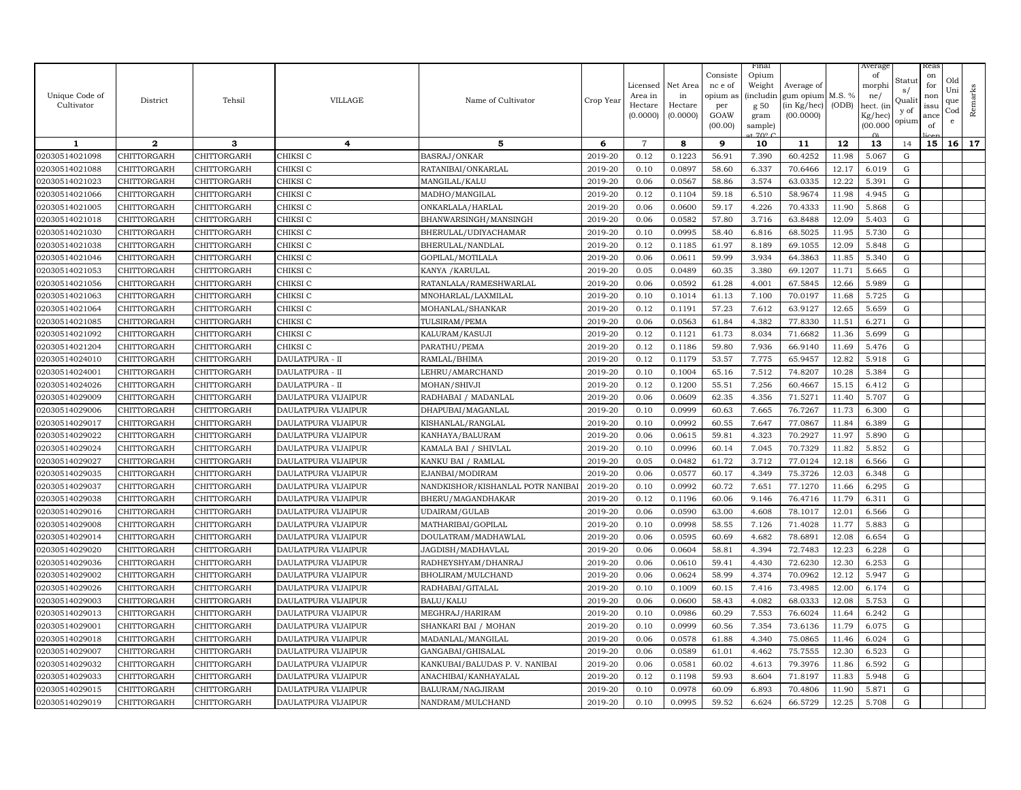| Unique Code of<br>Cultivator | District       | Tehsil             | VILLAGE             | Name of Cultivator                | Crop Year | Licensed<br>Area in<br>Hectare<br>(0.0000) | Net Area<br>in<br>Hectare<br>(0.0000) | Consiste<br>nc e of<br>opium as<br>per<br>GOAW<br>(00.00) | Final<br>Opium<br>Weight<br><i>(includin</i><br>g 50<br>gram<br>sample]<br>$70^\circ$ | Average of<br>gum opium M.S. %<br>(in Kg/hec)<br>(00.0000) | (ODB) | Averag<br>of<br>morphi<br>ne/<br>hect. (in<br>Kg/hec<br>(00.000) | Statu<br>s/<br>Quali<br>y of<br>opium | on<br>for<br>noi<br>isst<br>ance<br>of | blG<br>Uni<br>que | Remarks |
|------------------------------|----------------|--------------------|---------------------|-----------------------------------|-----------|--------------------------------------------|---------------------------------------|-----------------------------------------------------------|---------------------------------------------------------------------------------------|------------------------------------------------------------|-------|------------------------------------------------------------------|---------------------------------------|----------------------------------------|-------------------|---------|
| -1                           | $\overline{2}$ | з                  | 4                   | 5                                 | 6         | $\overline{7}$                             | 8                                     | 9                                                         | 10                                                                                    | 11                                                         | 12    | 13                                                               | 14                                    | 15                                     | 16 <sup>1</sup>   | 17      |
| 02030514021098               | CHITTORGARH    | CHITTORGARH        | CHIKSI C            | <b>BASRAJ/ONKAR</b>               | 2019-20   | 0.12                                       | 0.1223                                | 56.91                                                     | 7.390                                                                                 | 60.4252                                                    | 11.98 | 5.067                                                            | G                                     |                                        |                   |         |
| 02030514021088               | CHITTORGARH    | CHITTORGARH        | CHIKSI C            | RATANIBAI/ONKARLAL                | 2019-20   | 0.10                                       | 0.0897                                | 58.60                                                     | 6.337                                                                                 | 70.6466                                                    | 12.17 | 6.019                                                            | G                                     |                                        |                   |         |
| 02030514021023               | CHITTORGARH    | CHITTORGARH        | CHIKSI C            | MANGILAL/KALU                     | 2019-20   | 0.06                                       | 0.0567                                | 58.86                                                     | 3.574                                                                                 | 63.0335                                                    | 12.22 | 5.391                                                            | G                                     |                                        |                   |         |
| 02030514021066               | CHITTORGARH    | CHITTORGARH        | CHIKSI C            | MADHO/MANGILAL                    | 2019-20   | 0.12                                       | 0.1104                                | 59.18                                                     | 6.510                                                                                 | 58.9674                                                    | 11.98 | 4.945                                                            | ${\rm G}$                             |                                        |                   |         |
| 02030514021005               | CHITTORGARH    | CHITTORGARH        | CHIKSI C            | ONKARLALA/HARLAL                  | 2019-20   | 0.06                                       | 0.0600                                | 59.17                                                     | 4.226                                                                                 | 70.4333                                                    | 11.90 | 5.868                                                            | ${\rm G}$                             |                                        |                   |         |
| 02030514021018               | CHITTORGARH    | CHITTORGARH        | CHIKSI C            | BHANWARSINGH/MANSINGH             | 2019-20   | 0.06                                       | 0.0582                                | 57.80                                                     | 3.716                                                                                 | 63.8488                                                    | 12.09 | 5.403                                                            | G                                     |                                        |                   |         |
| 02030514021030               | CHITTORGARH    | CHITTORGARH        | CHIKSI C            | BHERULAL/UDIYACHAMAR              | 2019-20   | 0.10                                       | 0.0995                                | 58.40                                                     | 6.816                                                                                 | 68.5025                                                    | 11.95 | 5.730                                                            | ${\rm G}$                             |                                        |                   |         |
| 02030514021038               | CHITTORGARH    | CHITTORGARH        | CHIKSI C            | BHERULAL/NANDLAL                  | 2019-20   | 0.12                                       | 0.1185                                | 61.97                                                     | 8.189                                                                                 | 69.1055                                                    | 12.09 | 5.848                                                            | G                                     |                                        |                   |         |
| 02030514021046               | CHITTORGARH    | CHITTORGARH        | CHIKSI C            | GOPILAL/MOTILALA                  | 2019-20   | 0.06                                       | 0.0611                                | 59.99                                                     | 3.934                                                                                 | 64.3863                                                    | 11.85 | 5.340                                                            | ${\rm G}$                             |                                        |                   |         |
| 02030514021053               | CHITTORGARH    | CHITTORGARH        | CHIKSI C            | KANYA /KARULAL                    | 2019-20   | 0.05                                       | 0.0489                                | 60.35                                                     | 3.380                                                                                 | 69.1207                                                    | 11.71 | 5.665                                                            | G                                     |                                        |                   |         |
| 02030514021056               | CHITTORGARH    | CHITTORGARH        | CHIKSI C            | RATANLALA/RAMESHWARLAL            | 2019-20   | 0.06                                       | 0.0592                                | 61.28                                                     | 4.001                                                                                 | 67.5845                                                    | 12.66 | 5.989                                                            | G                                     |                                        |                   |         |
| 02030514021063               | CHITTORGARH    | CHITTORGARH        | CHIKSI C            | MNOHARLAL/LAXMILAL                | 2019-20   | 0.10                                       | 0.1014                                | 61.13                                                     | 7.100                                                                                 | 70.0197                                                    | 11.68 | 5.725                                                            | ${\rm G}$                             |                                        |                   |         |
| 02030514021064               | CHITTORGARH    | CHITTORGARH        | CHIKSI C            | MOHANLAL/SHANKAR                  | 2019-20   | 0.12                                       | 0.1191                                | 57.23                                                     | 7.612                                                                                 | 63.9127                                                    | 12.65 | 5.659                                                            | ${\rm G}$                             |                                        |                   |         |
| 02030514021085               | CHITTORGARH    | CHITTORGARH        | CHIKSI C            | TULSIRAM/PEMA                     | 2019-20   | 0.06                                       | 0.0563                                | 61.84                                                     | 4.382                                                                                 | 77.8330                                                    | 11.51 | 6.271                                                            | G                                     |                                        |                   |         |
| 02030514021092               | CHITTORGARH    | CHITTORGARH        | CHIKSI C            | KALURAM/KASUJI                    | 2019-20   | 0.12                                       | 0.1121                                | 61.73                                                     | 8.034                                                                                 | 71.6682                                                    | 11.36 | 5.699                                                            | ${\rm G}$                             |                                        |                   |         |
| 02030514021204               | CHITTORGARH    | CHITTORGARH        | CHIKSI C            | PARATHU/PEMA                      | 2019-20   | 0.12                                       | 0.1186                                | 59.80                                                     | 7.936                                                                                 | 66.9140                                                    | 11.69 | 5.476                                                            | ${\rm G}$                             |                                        |                   |         |
| 02030514024010               | CHITTORGARH    | CHITTORGARH        | DAULATPURA - II     | RAMLAL/BHIMA                      | 2019-20   | 0.12                                       | 0.1179                                | 53.57                                                     | 7.775                                                                                 | 65.9457                                                    | 12.82 | 5.918                                                            | ${\rm G}$                             |                                        |                   |         |
| 02030514024001               | CHITTORGARH    | CHITTORGARH        | DAULATPURA - II     | LEHRU/AMARCHAND                   | 2019-20   | 0.10                                       | 0.1004                                | 65.16                                                     | 7.512                                                                                 | 74.8207                                                    | 10.28 | 5.384                                                            | G                                     |                                        |                   |         |
| 02030514024026               | CHITTORGARH    | CHITTORGARH        | DAULATPURA - II     | MOHAN/SHIVJI                      | 2019-20   | 0.12                                       | 0.1200                                | 55.51                                                     | 7.256                                                                                 | 60.4667                                                    | 15.15 | 6.412                                                            | $\mathbf G$                           |                                        |                   |         |
| 02030514029009               | CHITTORGARH    | CHITTORGARH        | DAULATPURA VIJAIPUR | RADHABAI / MADANLAL               | 2019-20   | 0.06                                       | 0.0609                                | 62.35                                                     | 4.356                                                                                 | 71.5271                                                    | 11.40 | 5.707                                                            | $\mathbf G$                           |                                        |                   |         |
| 02030514029006               | CHITTORGARH    | CHITTORGARH        | DAULATPURA VIJAIPUR | DHAPUBAI/MAGANLAL                 | 2019-20   | 0.10                                       | 0.0999                                | 60.63                                                     | 7.665                                                                                 | 76.7267                                                    | 11.73 | 6.300                                                            | G                                     |                                        |                   |         |
| 02030514029017               | CHITTORGARH    | CHITTORGARH        | DAULATPURA VIJAIPUR | KISHANLAL/RANGLAL                 | 2019-20   | 0.10                                       | 0.0992                                | 60.55                                                     | 7.647                                                                                 | 77.0867                                                    | 11.84 | 6.389                                                            | G                                     |                                        |                   |         |
| 02030514029022               | CHITTORGARH    | CHITTORGARH        | DAULATPURA VIJAIPUR | KANHAYA/BALURAM                   | 2019-20   | 0.06                                       | 0.0615                                | 59.81                                                     | 4.323                                                                                 | 70.2927                                                    | 11.97 | 5.890                                                            | G                                     |                                        |                   |         |
| 02030514029024               | CHITTORGARH    | CHITTORGARH        | DAULATPURA VIJAIPUR | KAMALA BAI / SHIVLAL              | 2019-20   | 0.10                                       | 0.0996                                | 60.14                                                     | 7.045                                                                                 | 70.7329                                                    | 11.82 | 5.852                                                            | ${\rm G}$                             |                                        |                   |         |
| 02030514029027               | CHITTORGARH    | CHITTORGARH        | DAULATPURA VIJAIPUR | KANKU BAI / RAMLAL                | 2019-20   | 0.05                                       | 0.0482                                | 61.72                                                     | 3.712                                                                                 | 77.0124                                                    | 12.18 | 6.566                                                            | G                                     |                                        |                   |         |
| 02030514029035               | CHITTORGARH    | <b>CHITTORGARH</b> | DAULATPURA VIJAIPUR | EJANBAI/MODIRAM                   | 2019-20   | 0.06                                       | 0.0577                                | 60.17                                                     | 4.349                                                                                 | 75.3726                                                    | 12.03 | 6.348                                                            | G                                     |                                        |                   |         |
| 02030514029037               | CHITTORGARH    | CHITTORGARH        | DAULATPURA VIJAIPUR | NANDKISHOR/KISHANLAL POTR NANIBAI | 2019-20   | 0.10                                       | 0.0992                                | 60.72                                                     | 7.651                                                                                 | 77.1270                                                    | 11.66 | 6.295                                                            | ${\rm G}$                             |                                        |                   |         |
| 02030514029038               | CHITTORGARH    | CHITTORGARH        | DAULATPURA VIJAIPUR | BHERU/MAGANDHAKAR                 | 2019-20   | 0.12                                       | 0.1196                                | 60.06                                                     | 9.146                                                                                 | 76.4716                                                    | 11.79 | 6.311                                                            | ${\rm G}$                             |                                        |                   |         |
| 02030514029016               | CHITTORGARH    | CHITTORGARH        | DAULATPURA VIJAIPUR | UDAIRAM/GULAB                     | 2019-20   | 0.06                                       | 0.0590                                | 63.00                                                     | 4.608                                                                                 | 78.1017                                                    | 12.01 | 6.566                                                            | G                                     |                                        |                   |         |
| 02030514029008               | CHITTORGARH    | CHITTORGARH        | DAULATPURA VIJAIPUR | MATHARIBAI/GOPILAL                | 2019-20   | 0.10                                       | 0.0998                                | 58.55                                                     | 7.126                                                                                 | 71.4028                                                    | 11.77 | 5.883                                                            | $\mathbf G$                           |                                        |                   |         |
| 02030514029014               | CHITTORGARH    | CHITTORGARH        | DAULATPURA VIJAIPUR | DOULATRAM/MADHAWLAL               | 2019-20   | 0.06                                       | 0.0595                                | 60.69                                                     | 4.682                                                                                 | 78.6891                                                    | 12.08 | 6.654                                                            | ${\rm G}$                             |                                        |                   |         |
| 02030514029020               | CHITTORGARH    | CHITTORGARH        | DAULATPURA VIJAIPUR | JAGDISH/MADHAVLAL                 | 2019-20   | 0.06                                       | 0.0604                                | 58.81                                                     | 4.394                                                                                 | 72.7483                                                    | 12.23 | 6.228                                                            | ${\rm G}$                             |                                        |                   |         |
| 02030514029036               | CHITTORGARH    | CHITTORGARH        | DAULATPURA VIJAIPUR | RADHEYSHYAM / DHANRAJ             | 2019-20   | 0.06                                       | 0.0610                                | 59.41                                                     | 4.430                                                                                 | 72.6230                                                    | 12.30 | 6.253                                                            | ${\rm G}$                             |                                        |                   |         |
| 02030514029002               | CHITTORGARH    | CHITTORGARH        | DAULATPURA VIJAIPUR | BHOLIRAM/MULCHAND                 | 2019-20   | 0.06                                       | 0.0624                                | 58.99                                                     | 4.374                                                                                 | 70.0962                                                    | 12.12 | 5.947                                                            | G                                     |                                        |                   |         |
| 02030514029026               | CHITTORGARH    | CHITTORGARH        | DAULATPURA VIJAIPUR | RADHABAI/GITALAL                  | 2019-20   | 0.10                                       | 0.1009                                | 60.15                                                     | 7.416                                                                                 | 73.4985                                                    | 12.00 | 6.174                                                            | $\mathbf G$                           |                                        |                   |         |
| 02030514029003               | CHITTORGARH    | CHITTORGARH        | DAULATPURA VIJAIPUR | BALU/KALU                         | 2019-20   | 0.06                                       | 0.0600                                | 58.43                                                     | 4.082                                                                                 | 68.0333                                                    | 12.08 | 5.753                                                            | G                                     |                                        |                   |         |
| 02030514029013               | CHITTORGARH    | CHITTORGARH        | DAULATPURA VIJAIPUR | MEGHRAJ/HARIRAM                   | 2019-20   | 0.10                                       | 0.0986                                | 60.29                                                     | 7.553                                                                                 | 76.6024                                                    | 11.64 | 6.242                                                            | G                                     |                                        |                   |         |
| 02030514029001               | CHITTORGARH    | CHITTORGARH        | DAULATPURA VIJAIPUR | SHANKARI BAI / MOHAN              | 2019-20   | 0.10                                       | 0.0999                                | 60.56                                                     | 7.354                                                                                 | 73.6136                                                    | 11.79 | 6.075                                                            | G                                     |                                        |                   |         |
| 02030514029018               | CHITTORGARH    | CHITTORGARH        | DAULATPURA VIJAIPUR | MADANLAL/MANGILAL                 | 2019-20   | 0.06                                       | 0.0578                                | 61.88                                                     | 4.340                                                                                 | 75.0865                                                    | 11.46 | 6.024                                                            | G                                     |                                        |                   |         |
| 02030514029007               | CHITTORGARH    | CHITTORGARH        | DAULATPURA VIJAIPUR | GANGABAI/GHISALAL                 | 2019-20   | 0.06                                       | 0.0589                                | 61.01                                                     | 4.462                                                                                 | 75.7555                                                    | 12.30 | 6.523                                                            | G                                     |                                        |                   |         |
| 02030514029032               | CHITTORGARH    | CHITTORGARH        | DAULATPURA VIJAIPUR | KANKUBAI/BALUDAS P. V. NANIBAI    | 2019-20   | 0.06                                       | 0.0581                                | 60.02                                                     | 4.613                                                                                 | 79.3976                                                    | 11.86 | 6.592                                                            | ${\rm G}$                             |                                        |                   |         |
| 02030514029033               | CHITTORGARH    | CHITTORGARH        | DAULATPURA VIJAIPUR | ANACHIBAI/KANHAYALAL              | 2019-20   | 0.12                                       | 0.1198                                | 59.93                                                     | 8.604                                                                                 | 71.8197                                                    | 11.83 | 5.948                                                            | G                                     |                                        |                   |         |
| 02030514029015               | CHITTORGARH    | CHITTORGARH        | DAULATPURA VIJAIPUR | BALURAM/NAGJIRAM                  | 2019-20   | 0.10                                       | 0.0978                                | 60.09                                                     | 6.893                                                                                 | 70.4806                                                    | 11.90 | 5.871                                                            | ${\rm G}$                             |                                        |                   |         |
| 02030514029019               | CHITTORGARH    | CHITTORGARH        | DAULATPURA VIJAIPUR | NANDRAM/MULCHAND                  | 2019-20   | 0.10                                       | 0.0995                                | 59.52                                                     | 6.624                                                                                 | 66.5729                                                    | 12.25 | 5.708                                                            | ${\rm G}$                             |                                        |                   |         |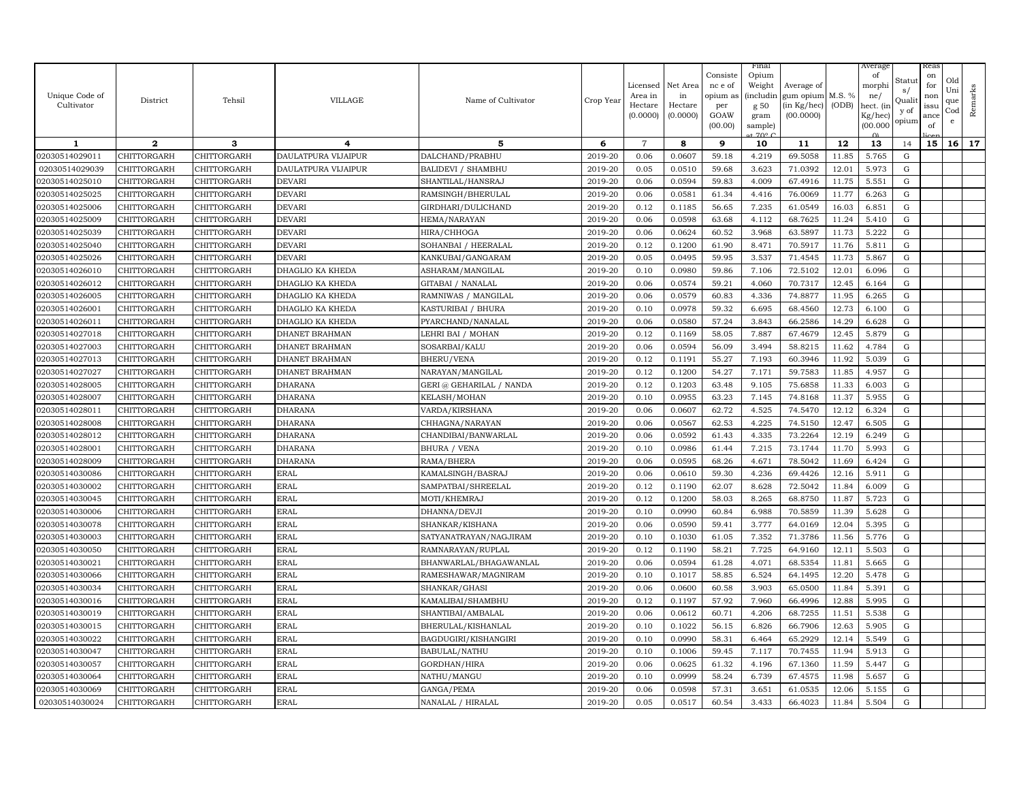| Unique Code of<br>Cultivator | District       | Tehsil      | VILLAGE               | Name of Cultivator       | Crop Year | Licensed<br>Area in<br>Hectare<br>(0.0000) | Net Area<br>in<br>Hectare<br>(0.0000) | Consiste<br>nc e of<br>opium as<br>per<br>GOAW<br>(00.00) | Final<br>Opium<br>Weight<br><i>(includin</i><br>g 50<br>gram<br>sample]<br>70° | Average of<br>gum opium M.S. %<br>(in Kg/hec)<br>(00.0000) | (ODB) | Averag<br>of<br>morphi<br>ne/<br>hect. (in<br>Kg/hec<br>(00.000) | Statut<br>s/<br>Quali<br>y of<br>opium | on<br>for<br>nor<br>isst<br>ance<br>of | Old<br>Uni<br>que<br>Cod | Remarks |
|------------------------------|----------------|-------------|-----------------------|--------------------------|-----------|--------------------------------------------|---------------------------------------|-----------------------------------------------------------|--------------------------------------------------------------------------------|------------------------------------------------------------|-------|------------------------------------------------------------------|----------------------------------------|----------------------------------------|--------------------------|---------|
| -1                           | $\overline{2}$ | 3           | 4                     | 5                        | 6         | $\overline{7}$                             | 8                                     | 9                                                         | 10                                                                             | 11                                                         | 12    | 13                                                               | 14                                     | 15                                     | 16 <sup>1</sup>          | 17      |
| 02030514029011               | CHITTORGARH    | CHITTORGARH | DAULATPURA VIJAIPUR   | DALCHAND/PRABHU          | 2019-20   | 0.06                                       | 0.0607                                | 59.18                                                     | 4.219                                                                          | 69.5058                                                    | 11.85 | 5.765                                                            | ${\rm G}$                              |                                        |                          |         |
| 02030514029039               | CHITTORGARH    | CHITTORGARH | DAULATPURA VIJAIPUR   | BALIDEVI / SHAMBHU       | 2019-20   | 0.05                                       | 0.0510                                | 59.68                                                     | 3.623                                                                          | 71.0392                                                    | 12.01 | 5.973                                                            | G                                      |                                        |                          |         |
| 02030514025010               | CHITTORGARH    | CHITTORGARH | DEVARI                | SHANTILAL/HANSRAJ        | 2019-20   | 0.06                                       | 0.0594                                | 59.83                                                     | 4.009                                                                          | 67.4916                                                    | 11.75 | 5.551                                                            | G                                      |                                        |                          |         |
| 02030514025025               | CHITTORGARH    | CHITTORGARH | <b>DEVARI</b>         | RAMSINGH/BHERULAL        | 2019-20   | 0.06                                       | 0.0581                                | 61.34                                                     | 4.416                                                                          | 76.0069                                                    | 11.77 | 6.263                                                            | G                                      |                                        |                          |         |
| 02030514025006               | CHITTORGARH    | CHITTORGARH | DEVARI                | GIRDHARI/DULICHAND       | 2019-20   | 0.12                                       | 0.1185                                | 56.65                                                     | 7.235                                                                          | 61.0549                                                    | 16.03 | 6.851                                                            | G                                      |                                        |                          |         |
| 02030514025009               | CHITTORGARH    | CHITTORGARH | DEVARI                | HEMA/NARAYAN             | 2019-20   | 0.06                                       | 0.0598                                | 63.68                                                     | 4.112                                                                          | 68.7625                                                    | 11.24 | 5.410                                                            | G                                      |                                        |                          |         |
| 02030514025039               | CHITTORGARH    | CHITTORGARH | DEVARI                | HIRA/CHHOGA              | 2019-20   | 0.06                                       | 0.0624                                | 60.52                                                     | 3.968                                                                          | 63.5897                                                    | 11.73 | 5.222                                                            | G                                      |                                        |                          |         |
| 02030514025040               | CHITTORGARH    | CHITTORGARH | DEVARI                | SOHANBAI / HEERALAL      | 2019-20   | 0.12                                       | 0.1200                                | 61.90                                                     | 8.471                                                                          | 70.5917                                                    | 11.76 | 5.811                                                            | G                                      |                                        |                          |         |
| 02030514025026               | CHITTORGARH    | CHITTORGARH | <b>DEVARI</b>         | KANKUBAI/GANGARAM        | 2019-20   | 0.05                                       | 0.0495                                | 59.95                                                     | 3.537                                                                          | 71.4545                                                    | 11.73 | 5.867                                                            | G                                      |                                        |                          |         |
| 02030514026010               | CHITTORGARH    | CHITTORGARH | DHAGLIO KA KHEDA      | ASHARAM/MANGILAL         | 2019-20   | 0.10                                       | 0.0980                                | 59.86                                                     | 7.106                                                                          | 72.5102                                                    | 12.01 | 6.096                                                            | ${\rm G}$                              |                                        |                          |         |
| 02030514026012               | CHITTORGARH    | CHITTORGARH | DHAGLIO KA KHEDA      | GITABAI / NANALAL        | 2019-20   | 0.06                                       | 0.0574                                | 59.21                                                     | 4.060                                                                          | 70.7317                                                    | 12.45 | 6.164                                                            | ${\rm G}$                              |                                        |                          |         |
| 02030514026005               | CHITTORGARH    | CHITTORGARH | DHAGLIO KA KHEDA      | RAMNIWAS / MANGILAL      | 2019-20   | 0.06                                       | 0.0579                                | 60.83                                                     | 4.336                                                                          | 74.8877                                                    | 11.95 | 6.265                                                            | G                                      |                                        |                          |         |
| 02030514026001               | CHITTORGARH    | CHITTORGARH | DHAGLIO KA KHEDA      | KASTURIBAI / BHURA       | 2019-20   | 0.10                                       | 0.0978                                | 59.32                                                     | 6.695                                                                          | 68.4560                                                    | 12.73 | 6.100                                                            | ${\rm G}$                              |                                        |                          |         |
| 02030514026011               | CHITTORGARH    | CHITTORGARH | DHAGLIO KA KHEDA      | PYARCHAND/NANALAL        | 2019-20   | 0.06                                       | 0.0580                                | 57.24                                                     | 3.843                                                                          | 66.2586                                                    | 14.29 | 6.628                                                            | ${\rm G}$                              |                                        |                          |         |
| 02030514027018               | CHITTORGARH    | CHITTORGARH | DHANET BRAHMAN        | LEHRI BAI / MOHAN        | 2019-20   | 0.12                                       | 0.1169                                | 58.05                                                     | 7.887                                                                          | 67.4679                                                    | 12.45 | 5.879                                                            | ${\rm G}$                              |                                        |                          |         |
| 02030514027003               | CHITTORGARH    | CHITTORGARH | DHANET BRAHMAN        | SOSARBAI/KALU            | 2019-20   | 0.06                                       | 0.0594                                | 56.09                                                     | 3.494                                                                          | 58.8215                                                    | 11.62 | 4.784                                                            | ${\rm G}$                              |                                        |                          |         |
| 02030514027013               | CHITTORGARH    | CHITTORGARH | <b>DHANET BRAHMAN</b> | <b>BHERU/VENA</b>        | 2019-20   | 0.12                                       | 0.1191                                | 55.27                                                     | 7.193                                                                          | 60.3946                                                    | 11.92 | 5.039                                                            | ${\rm G}$                              |                                        |                          |         |
| 02030514027027               | CHITTORGARH    | CHITTORGARH | <b>DHANET BRAHMAN</b> | NARAYAN/MANGILAL         | 2019-20   | 0.12                                       | 0.1200                                | 54.27                                                     | 7.171                                                                          | 59.7583                                                    | 11.85 | 4.957                                                            | ${\rm G}$                              |                                        |                          |         |
| 02030514028005               | CHITTORGARH    | CHITTORGARH | DHARANA               | GERI @ GEHARILAL / NANDA | 2019-20   | 0.12                                       | 0.1203                                | 63.48                                                     | 9.105                                                                          | 75.6858                                                    | 11.33 | 6.003                                                            | G                                      |                                        |                          |         |
| 02030514028007               | CHITTORGARH    | CHITTORGARH | DHARANA               | KELASH/MOHAN             | 2019-20   | 0.10                                       | 0.0955                                | 63.23                                                     | 7.145                                                                          | 74.8168                                                    | 11.37 | 5.955                                                            | G                                      |                                        |                          |         |
| 02030514028011               | CHITTORGARH    | CHITTORGARH | DHARANA               | VARDA/KIRSHANA           | 2019-20   | 0.06                                       | 0.0607                                | 62.72                                                     | 4.525                                                                          | 74.5470                                                    | 12.12 | 6.324                                                            | G                                      |                                        |                          |         |
| 02030514028008               | CHITTORGARH    | CHITTORGARH | DHARANA               | CHHAGNA/NARAYAN          | 2019-20   | 0.06                                       | 0.0567                                | 62.53                                                     | 4.225                                                                          | 74.5150                                                    | 12.47 | 6.505                                                            | ${\rm G}$                              |                                        |                          |         |
| 02030514028012               | CHITTORGARH    | CHITTORGARH | DHARANA               | CHANDIBAI/BANWARLAL      | 2019-20   | 0.06                                       | 0.0592                                | 61.43                                                     | 4.335                                                                          | 73.2264                                                    | 12.19 | 6.249                                                            | ${\rm G}$                              |                                        |                          |         |
| 02030514028001               | CHITTORGARH    | CHITTORGARH | DHARANA               | <b>BHURA / VENA</b>      | 2019-20   | 0.10                                       | 0.0986                                | 61.44                                                     | 7.215                                                                          | 73.1744                                                    | 11.70 | 5.993                                                            | G                                      |                                        |                          |         |
| 02030514028009               | CHITTORGARH    | CHITTORGARH | DHARANA               | RAMA/BHERA               | 2019-20   | 0.06                                       | 0.0595                                | 68.26                                                     | 4.671                                                                          | 78.5042                                                    | 11.69 | 6.424                                                            | G                                      |                                        |                          |         |
| 02030514030086               | CHITTORGARH    | CHITTORGARH | ERAL                  | KAMALSINGH/BASRAJ        | 2019-20   | 0.06                                       | 0.0610                                | 59.30                                                     | 4.236                                                                          | 69.4426                                                    | 12.16 | 5.911                                                            | ${\rm G}$                              |                                        |                          |         |
| 02030514030002               | CHITTORGARH    | CHITTORGARH | ERAL                  | SAMPATBAI/SHREELAL       | 2019-20   | 0.12                                       | 0.1190                                | 62.07                                                     | 8.628                                                                          | 72.5042                                                    | 11.84 | 6.009                                                            | ${\rm G}$                              |                                        |                          |         |
| 02030514030045               | CHITTORGARH    | CHITTORGARH | ERAL                  | MOTI/KHEMRAJ             | 2019-20   | 0.12                                       | 0.1200                                | 58.03                                                     | 8.265                                                                          | 68.8750                                                    | 11.87 | 5.723                                                            | ${\rm G}$                              |                                        |                          |         |
| 02030514030006               | CHITTORGARH    | CHITTORGARH | ERAL                  | DHANNA/DEVJI             | 2019-20   | 0.10                                       | 0.0990                                | 60.84                                                     | 6.988                                                                          | 70.5859                                                    | 11.39 | 5.628                                                            | G                                      |                                        |                          |         |
| 02030514030078               | CHITTORGARH    | CHITTORGARH | <b>ERAL</b>           | SHANKAR/KISHANA          | 2019-20   | 0.06                                       | 0.0590                                | 59.41                                                     | 3.777                                                                          | 64.0169                                                    | 12.04 | 5.395                                                            | ${\rm G}$                              |                                        |                          |         |
| 02030514030003               | CHITTORGARH    | CHITTORGARH | <b>ERAL</b>           | SATYANATRAYAN/NAGJIRAM   | 2019-20   | 0.10                                       | 0.1030                                | 61.05                                                     | 7.352                                                                          | 71.3786                                                    | 11.56 | 5.776                                                            | G                                      |                                        |                          |         |
| 02030514030050               | CHITTORGARH    | CHITTORGARH | <b>ERAL</b>           | RAMNARAYAN/RUPLAL        | 2019-20   | 0.12                                       | 0.1190                                | 58.21                                                     | 7.725                                                                          | 64.9160                                                    | 12.11 | 5.503                                                            | ${\rm G}$                              |                                        |                          |         |
| 02030514030021               | CHITTORGARH    | CHITTORGARH | <b>ERAL</b>           | BHANWARLAL/BHAGAWANLAL   | 2019-20   | 0.06                                       | 0.0594                                | 61.28                                                     | 4.071                                                                          | 68.5354                                                    | 11.81 | 5.665                                                            | ${\rm G}$                              |                                        |                          |         |
| 02030514030066               | CHITTORGARH    | CHITTORGARH | <b>ERAL</b>           | RAMESHAWAR/MAGNIRAM      | 2019-20   | 0.10                                       | 0.1017                                | 58.85                                                     | 6.524                                                                          | 64.1495                                                    | 12.20 | 5.478                                                            | ${\rm G}$                              |                                        |                          |         |
| 02030514030034               | CHITTORGARH    | CHITTORGARH | ERAL                  | SHANKAR/GHASI            | 2019-20   | 0.06                                       | 0.0600                                | 60.58                                                     | 3.903                                                                          | 65.0500                                                    | 11.84 | 5.391                                                            | ${\rm G}$                              |                                        |                          |         |
| 02030514030016               | CHITTORGARH    | CHITTORGARH | <b>ERAL</b>           | KAMALIBAI/SHAMBHU        | 2019-20   | 0.12                                       | 0.1197                                | 57.92                                                     | 7.960                                                                          | 66.4996                                                    | 12.88 | 5.995                                                            | G                                      |                                        |                          |         |
| 02030514030019               | CHITTORGARH    | CHITTORGARH | ERAL                  | SHANTIBAI/AMBALAL        | 2019-20   | 0.06                                       | 0.0612                                | 60.71                                                     | 4.206                                                                          | 68.7255                                                    | 11.51 | 5.538                                                            | G                                      |                                        |                          |         |
| 02030514030015               | CHITTORGARH    | CHITTORGARH | ERAL                  | BHERULAL/KISHANLAL       | 2019-20   | 0.10                                       | 0.1022                                | 56.15                                                     | 6.826                                                                          | 66.7906                                                    | 12.63 | 5.905                                                            | G                                      |                                        |                          |         |
| 02030514030022               | CHITTORGARH    | CHITTORGARH | <b>ERAL</b>           | BAGDUGIRI/KISHANGIRI     | 2019-20   | 0.10                                       | 0.0990                                | 58.31                                                     | 6.464                                                                          | 65.2929                                                    | 12.14 | 5.549                                                            | ${\rm G}$                              |                                        |                          |         |
| 02030514030047               | CHITTORGARH    | CHITTORGARH | <b>ERAL</b>           | <b>BABULAL/NATHU</b>     | 2019-20   | 0.10                                       | 0.1006                                | 59.45                                                     | 7.117                                                                          | 70.7455                                                    | 11.94 | 5.913                                                            | ${\rm G}$                              |                                        |                          |         |
| 02030514030057               | CHITTORGARH    | CHITTORGARH | <b>ERAL</b>           | GORDHAN/HIRA             | 2019-20   | 0.06                                       | 0.0625                                | 61.32                                                     | 4.196                                                                          | 67.1360                                                    | 11.59 | 5.447                                                            | G                                      |                                        |                          |         |
| 02030514030064               | CHITTORGARH    | CHITTORGARH | ERAL                  | NATHU/MANGU              | 2019-20   | 0.10                                       | 0.0999                                | 58.24                                                     | 6.739                                                                          | 67.4575                                                    | 11.98 | 5.657                                                            | ${\rm G}$                              |                                        |                          |         |
| 02030514030069               | CHITTORGARH    | CHITTORGARH | ERAL                  | GANGA/PEMA               | 2019-20   | 0.06                                       | 0.0598                                | 57.31                                                     | 3.651                                                                          | 61.0535                                                    | 12.06 | 5.155                                                            | ${\rm G}$                              |                                        |                          |         |
| 02030514030024               | CHITTORGARH    | CHITTORGARH | ERAL                  | NANALAL / HIRALAL        | 2019-20   | 0.05                                       | 0.0517                                | 60.54                                                     | 3.433                                                                          | 66.4023                                                    | 11.84 | 5.504                                                            | ${\rm G}$                              |                                        |                          |         |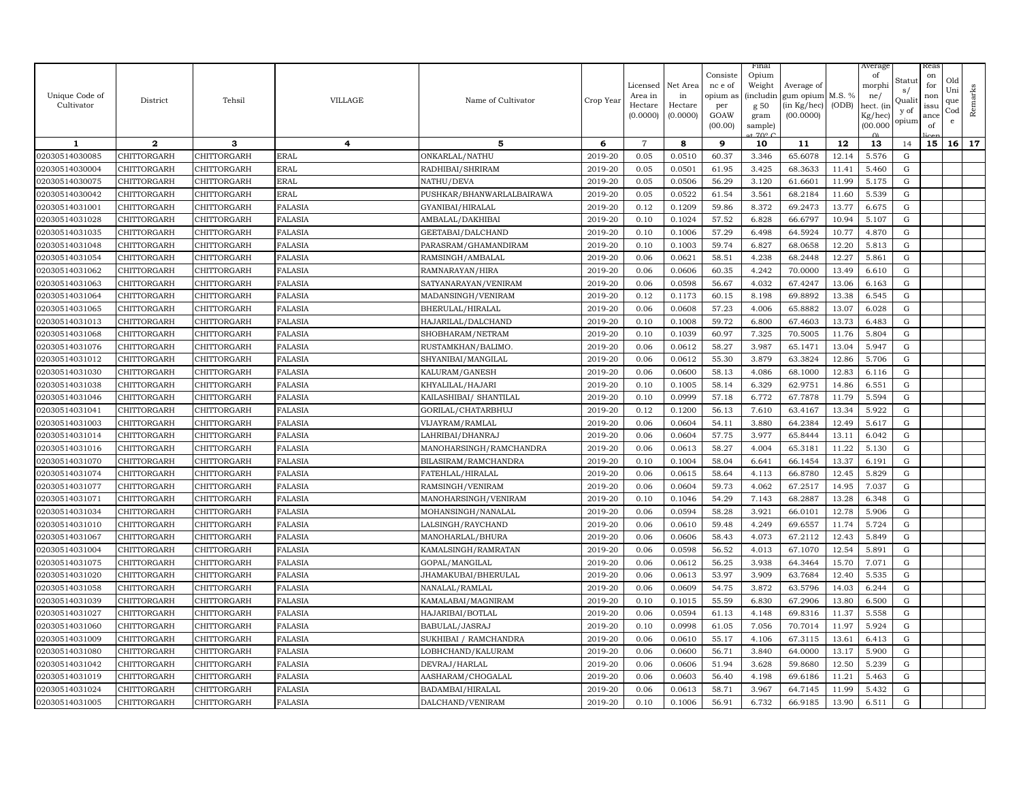| Unique Code of<br>Cultivator | District       | Tehsil      | VILLAGE        | Name of Cultivator        | Crop Year | Licensed<br>Area in<br>Hectare<br>(0.0000) | Net Area<br>in<br>Hectare<br>(0.0000) | Consiste<br>nc e of<br>opium as<br>per<br>GOAW<br>(00.00) | Final<br>Opium<br>Weight<br><i>(includin</i><br>g 50<br>gram<br>sample]<br>70° | Average of<br>gum opium M.S. %<br>(in Kg/hec)<br>(00.0000) | (ODB) | Averag<br>of<br>morphi<br>ne/<br>hect. (in<br>Kg/hec<br>(00.000) | Statut<br>s/<br>Quali<br>y of<br>opium | on<br>for<br>nor<br>isst<br>ance<br>of | Old<br>Uni<br>que<br>Cod | Remarks |
|------------------------------|----------------|-------------|----------------|---------------------------|-----------|--------------------------------------------|---------------------------------------|-----------------------------------------------------------|--------------------------------------------------------------------------------|------------------------------------------------------------|-------|------------------------------------------------------------------|----------------------------------------|----------------------------------------|--------------------------|---------|
| 1                            | $\overline{2}$ | 3           | 4              | 5                         | 6         | $\overline{7}$                             | 8                                     | 9                                                         | 10                                                                             | 11                                                         | 12    | 13                                                               | 14                                     | 15                                     | 16 <sup>1</sup>          | 17      |
| 02030514030085               | CHITTORGARH    | CHITTORGARH | ERAL           | ONKARLAL/NATHU            | 2019-20   | 0.05                                       | 0.0510                                | 60.37                                                     | 3.346                                                                          | 65.6078                                                    | 12.14 | 5.576                                                            | G                                      |                                        |                          |         |
| 02030514030004               | CHITTORGARH    | CHITTORGARH | <b>ERAL</b>    | RADHIBAI/SHRIRAM          | 2019-20   | 0.05                                       | 0.0501                                | 61.95                                                     | 3.425                                                                          | 68.3633                                                    | 11.41 | 5.460                                                            | G                                      |                                        |                          |         |
| 02030514030075               | CHITTORGARH    | CHITTORGARH | ERAL           | NATHU/DEVA                | 2019-20   | 0.05                                       | 0.0506                                | 56.29                                                     | 3.120                                                                          | 61.6601                                                    | 11.99 | 5.175                                                            | G                                      |                                        |                          |         |
| 02030514030042               | CHITTORGARH    | CHITTORGARH | <b>ERAL</b>    | PUSHKAR/BHANWARLALBAIRAWA | 2019-20   | 0.05                                       | 0.0522                                | 61.54                                                     | 3.561                                                                          | 68.2184                                                    | 11.60 | 5.539                                                            | G                                      |                                        |                          |         |
| 02030514031001               | CHITTORGARH    | CHITTORGARH | FALASIA        | GYANIBAI/HIRALAL          | 2019-20   | 0.12                                       | 0.1209                                | 59.86                                                     | 8.372                                                                          | 69.2473                                                    | 13.77 | 6.675                                                            | G                                      |                                        |                          |         |
| 02030514031028               | CHITTORGARH    | CHITTORGARH | <b>FALASIA</b> | AMBALAL/DAKHIBAI          | 2019-20   | 0.10                                       | 0.1024                                | 57.52                                                     | 6.828                                                                          | 66.6797                                                    | 10.94 | 5.107                                                            | G                                      |                                        |                          |         |
| 02030514031035               | CHITTORGARH    | CHITTORGARH | FALASIA        | GEETABAI/DALCHAND         | 2019-20   | 0.10                                       | 0.1006                                | 57.29                                                     | 6.498                                                                          | 64.5924                                                    | 10.77 | 4.870                                                            | G                                      |                                        |                          |         |
| 02030514031048               | CHITTORGARH    | CHITTORGARH | FALASIA        | PARASRAM/GHAMANDIRAM      | 2019-20   | 0.10                                       | 0.1003                                | 59.74                                                     | 6.827                                                                          | 68.0658                                                    | 12.20 | 5.813                                                            | G                                      |                                        |                          |         |
| 02030514031054               | CHITTORGARH    | CHITTORGARH | <b>FALASIA</b> | RAMSINGH/AMBALAL          | 2019-20   | 0.06                                       | 0.0621                                | 58.51                                                     | 4.238                                                                          | 68.2448                                                    | 12.27 | 5.861                                                            | G                                      |                                        |                          |         |
| 02030514031062               | CHITTORGARH    | CHITTORGARH | FALASIA        | RAMNARAYAN/HIRA           | 2019-20   | 0.06                                       | 0.0606                                | 60.35                                                     | 4.242                                                                          | 70.0000                                                    | 13.49 | 6.610                                                            | ${\rm G}$                              |                                        |                          |         |
| 02030514031063               | CHITTORGARH    | CHITTORGARH | FALASIA        | SATYANARAYAN/VENIRAM      | 2019-20   | 0.06                                       | 0.0598                                | 56.67                                                     | 4.032                                                                          | 67.4247                                                    | 13.06 | 6.163                                                            | G                                      |                                        |                          |         |
| 02030514031064               | CHITTORGARH    | CHITTORGARH | FALASIA        | MADANSINGH/VENIRAM        | 2019-20   | 0.12                                       | 0.1173                                | 60.15                                                     | 8.198                                                                          | 69.8892                                                    | 13.38 | 6.545                                                            | G                                      |                                        |                          |         |
| 02030514031065               | CHITTORGARH    | CHITTORGARH | FALASIA        | BHERULAL/HIRALAL          | 2019-20   | 0.06                                       | 0.0608                                | 57.23                                                     | 4.006                                                                          | 65.8882                                                    | 13.07 | 6.028                                                            | ${\rm G}$                              |                                        |                          |         |
| 02030514031013               | CHITTORGARH    | CHITTORGARH | FALASIA        | HAJARILAL/DALCHAND        | 2019-20   | 0.10                                       | 0.1008                                | 59.72                                                     | 6.800                                                                          | 67.4603                                                    | 13.73 | 6.483                                                            | ${\rm G}$                              |                                        |                          |         |
| 02030514031068               | CHITTORGARH    | CHITTORGARH | FALASIA        | SHOBHARAM/NETRAM          | 2019-20   | 0.10                                       | 0.1039                                | 60.97                                                     | 7.325                                                                          | 70.5005                                                    | 11.76 | 5.804                                                            | ${\rm G}$                              |                                        |                          |         |
| 02030514031076               | CHITTORGARH    | CHITTORGARH | FALASIA        | RUSTAMKHAN/BALIMO         | 2019-20   | 0.06                                       | 0.0612                                | 58.27                                                     | 3.987                                                                          | 65.1471                                                    | 13.04 | 5.947                                                            | ${\rm G}$                              |                                        |                          |         |
| 02030514031012               | CHITTORGARH    | CHITTORGARH | <b>FALASIA</b> | SHYANIBAI/MANGILAL        | 2019-20   | 0.06                                       | 0.0612                                | 55.30                                                     | 3.879                                                                          | 63.3824                                                    | 12.86 | 5.706                                                            | ${\rm G}$                              |                                        |                          |         |
| 02030514031030               | CHITTORGARH    | CHITTORGARH | FALASIA        | KALURAM/GANESH            | 2019-20   | 0.06                                       | 0.0600                                | 58.13                                                     | 4.086                                                                          | 68.1000                                                    | 12.83 | 6.116                                                            | ${\rm G}$                              |                                        |                          |         |
| 02030514031038               | CHITTORGARH    | CHITTORGARH | FALASIA        | KHYALILAL/HAJARI          | 2019-20   | 0.10                                       | 0.1005                                | 58.14                                                     | 6.329                                                                          | 62.9751                                                    | 14.86 | 6.551                                                            | G                                      |                                        |                          |         |
| 02030514031046               | CHITTORGARH    | CHITTORGARH | FALASIA        | KAILASHIBAI/ SHANTILAL    | 2019-20   | 0.10                                       | 0.0999                                | 57.18                                                     | 6.772                                                                          | 67.7878                                                    | 11.79 | 5.594                                                            | G                                      |                                        |                          |         |
| 02030514031041               | CHITTORGARH    | CHITTORGARH | FALASIA        | GORILAL/CHATARBHUJ        | 2019-20   | 0.12                                       | 0.1200                                | 56.13                                                     | 7.610                                                                          | 63.4167                                                    | 13.34 | 5.922                                                            | G                                      |                                        |                          |         |
| 02030514031003               | CHITTORGARH    | CHITTORGARH | FALASIA        | VIJAYRAM/RAMLAL           | 2019-20   | 0.06                                       | 0.0604                                | 54.11                                                     | 3.880                                                                          | 64.2384                                                    | 12.49 | 5.617                                                            | ${\rm G}$                              |                                        |                          |         |
| 02030514031014               | CHITTORGARH    | CHITTORGARH | FALASIA        | LAHRIBAI/DHANRAJ          | 2019-20   | 0.06                                       | 0.0604                                | 57.75                                                     | 3.977                                                                          | 65.8444                                                    | 13.11 | 6.042                                                            | ${\rm G}$                              |                                        |                          |         |
| 02030514031016               | CHITTORGARH    | CHITTORGARH | FALASIA        | MANOHARSINGH/RAMCHANDRA   | 2019-20   | 0.06                                       | 0.0613                                | 58.27                                                     | 4.004                                                                          | 65.3181                                                    | 11.22 | 5.130                                                            | G                                      |                                        |                          |         |
| 02030514031070               | CHITTORGARH    | CHITTORGARH | FALASIA        | BILASIRAM/RAMCHANDRA      | 2019-20   | 0.10                                       | 0.1004                                | 58.04                                                     | 6.641                                                                          | 66.1454                                                    | 13.37 | 6.191                                                            | G                                      |                                        |                          |         |
| 02030514031074               | CHITTORGARH    | CHITTORGARH | FALASIA        | FATEHLAL/HIRALAL          | 2019-20   | 0.06                                       | 0.0615                                | 58.64                                                     | 4.113                                                                          | 66.8780                                                    | 12.45 | 5.829                                                            | ${\rm G}$                              |                                        |                          |         |
| 02030514031077               | CHITTORGARH    | CHITTORGARH | FALASIA        | RAMSINGH/VENIRAM          | 2019-20   | 0.06                                       | 0.0604                                | 59.73                                                     | 4.062                                                                          | 67.2517                                                    | 14.95 | 7.037                                                            | ${\rm G}$                              |                                        |                          |         |
| 02030514031071               | CHITTORGARH    | CHITTORGARH | FALASIA        | MANOHARSINGH/VENIRAM      | 2019-20   | 0.10                                       | 0.1046                                | 54.29                                                     | 7.143                                                                          | 68.2887                                                    | 13.28 | 6.348                                                            | ${\rm G}$                              |                                        |                          |         |
| 02030514031034               | CHITTORGARH    | CHITTORGARH | FALASIA        | MOHANSINGH/NANALAL        | 2019-20   | 0.06                                       | 0.0594                                | 58.28                                                     | 3.921                                                                          | 66.0101                                                    | 12.78 | 5.906                                                            | G                                      |                                        |                          |         |
| 02030514031010               | CHITTORGARH    | CHITTORGARH | FALASIA        | LALSINGH/RAYCHAND         | 2019-20   | 0.06                                       | 0.0610                                | 59.48                                                     | 4.249                                                                          | 69.6557                                                    | 11.74 | 5.724                                                            | ${\rm G}$                              |                                        |                          |         |
| 02030514031067               | CHITTORGARH    | CHITTORGARH | FALASIA        | MANOHARLAL/BHURA          | 2019-20   | 0.06                                       | 0.0606                                | 58.43                                                     | 4.073                                                                          | 67.2112                                                    | 12.43 | 5.849                                                            | G                                      |                                        |                          |         |
| 02030514031004               | CHITTORGARH    | CHITTORGARH | FALASIA        | KAMALSINGH/RAMRATAN       | 2019-20   | 0.06                                       | 0.0598                                | 56.52                                                     | 4.013                                                                          | 67.1070                                                    | 12.54 | 5.891                                                            | ${\rm G}$                              |                                        |                          |         |
| 02030514031075               | CHITTORGARH    | CHITTORGARH | FALASIA        | GOPAL/MANGILAL            | 2019-20   | 0.06                                       | 0.0612                                | 56.25                                                     | 3.938                                                                          | 64.3464                                                    | 15.70 | 7.071                                                            | ${\rm G}$                              |                                        |                          |         |
| 02030514031020               | CHITTORGARH    | CHITTORGARH | FALASIA        | JHAMAKUBAI/BHERULAL       | 2019-20   | 0.06                                       | 0.0613                                | 53.97                                                     | 3.909                                                                          | 63.7684                                                    | 12.40 | 5.535                                                            | ${\rm G}$                              |                                        |                          |         |
| 02030514031058               | CHITTORGARH    | CHITTORGARH | FALASIA        | NANALAL/RAMLAL            | 2019-20   | 0.06                                       | 0.0609                                | 54.75                                                     | 3.872                                                                          | 63.5796                                                    | 14.03 | 6.244                                                            | ${\rm G}$                              |                                        |                          |         |
| 02030514031039               | CHITTORGARH    | CHITTORGARH | FALASIA        | KAMALABAI/MAGNIRAM        | 2019-20   | 0.10                                       | 0.1015                                | 55.59                                                     | 6.830                                                                          | 67.2906                                                    | 13.80 | 6.500                                                            | G                                      |                                        |                          |         |
| 02030514031027               | CHITTORGARH    | CHITTORGARH | FALASIA        | HAJARIBAI/BOTLAL          | 2019-20   | 0.06                                       | 0.0594                                | 61.13                                                     | 4.148                                                                          | 69.8316                                                    | 11.37 | 5.558                                                            | G                                      |                                        |                          |         |
| 02030514031060               | CHITTORGARH    | CHITTORGARH | FALASIA        | BABULAL/JASRAJ            | 2019-20   | 0.10                                       | 0.0998                                | 61.05                                                     | 7.056                                                                          | 70.7014                                                    | 11.97 | 5.924                                                            | G                                      |                                        |                          |         |
| 02030514031009               | CHITTORGARH    | CHITTORGARH | <b>FALASIA</b> | SUKHIBAI / RAMCHANDRA     | 2019-20   | 0.06                                       | 0.0610                                | 55.17                                                     | 4.106                                                                          | 67.3115                                                    | 13.61 | 6.413                                                            | ${\rm G}$                              |                                        |                          |         |
| 02030514031080               | CHITTORGARH    | CHITTORGARH | FALASIA        | LOBHCHAND/KALURAM         | 2019-20   | 0.06                                       | 0.0600                                | 56.71                                                     | 3.840                                                                          | 64.0000                                                    | 13.17 | 5.900                                                            | G                                      |                                        |                          |         |
| 02030514031042               | CHITTORGARH    | CHITTORGARH | <b>FALASIA</b> | DEVRAJ/HARLAL             | 2019-20   | 0.06                                       | 0.0606                                | 51.94                                                     | 3.628                                                                          | 59.8680                                                    | 12.50 | 5.239                                                            | G                                      |                                        |                          |         |
| 02030514031019               | CHITTORGARH    | CHITTORGARH | FALASIA        | AASHARAM/CHOGALAL         | 2019-20   | 0.06                                       | 0.0603                                | 56.40                                                     | 4.198                                                                          | 69.6186                                                    | 11.21 | 5.463                                                            | ${\rm G}$                              |                                        |                          |         |
| 02030514031024               | CHITTORGARH    | CHITTORGARH | FALASIA        | BADAMBAI/HIRALAL          | 2019-20   | 0.06                                       | 0.0613                                | 58.71                                                     | 3.967                                                                          | 64.7145                                                    | 11.99 | 5.432                                                            | ${\rm G}$                              |                                        |                          |         |
| 02030514031005               | CHITTORGARH    | CHITTORGARH | FALASIA        | DALCHAND/VENIRAM          | 2019-20   | 0.10                                       | 0.1006                                | 56.91                                                     | 6.732                                                                          | 66.9185                                                    | 13.90 | 6.511                                                            | ${\rm G}$                              |                                        |                          |         |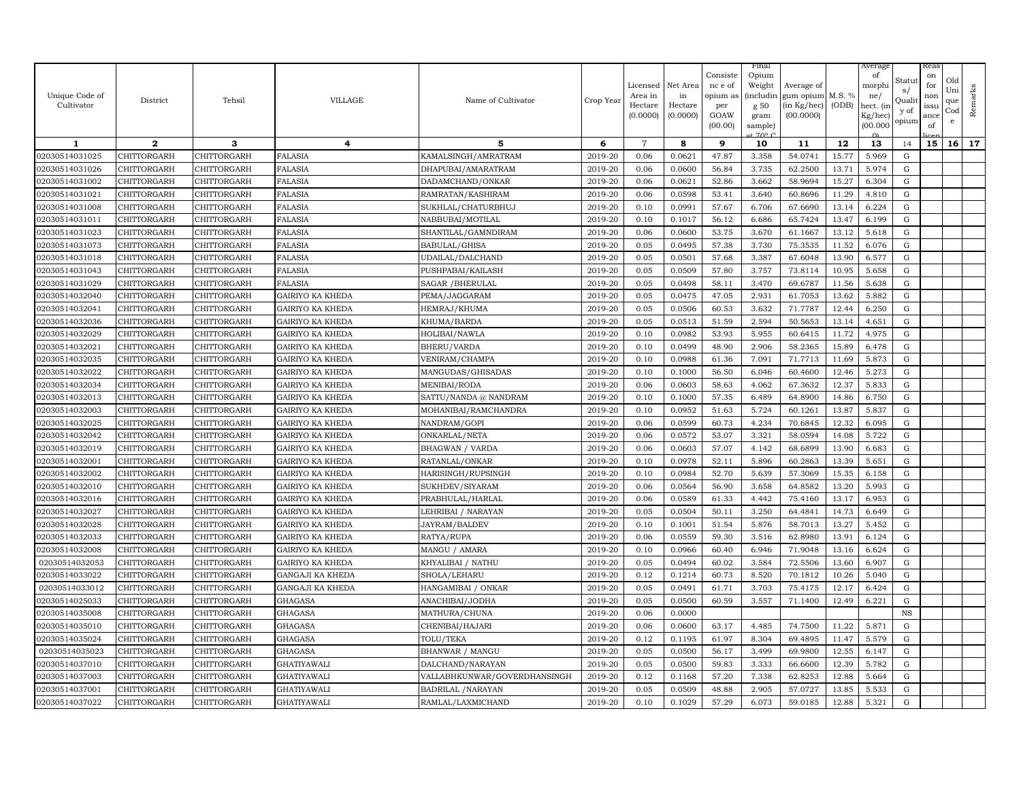| Unique Code of<br>Cultivator | District       | Tehsil      | VILLAGE          | Name of Cultivator           | Crop Year | Licensed<br>Area in<br>Hectare<br>(0.0000) | Net Area<br>in<br>Hectare<br>(0.0000) | Consiste<br>nc e of<br>opium as<br>per<br>GOAW<br>(00.00) | Final<br>Opium<br>Weight<br><i>(includin</i><br>g 50<br>gram<br>sample]<br>70° | Average of<br>gum opium M.S. %<br>(in Kg/hec)<br>(00.0000) | (ODB) | Averag<br>of<br>morphi<br>ne/<br>hect. (in<br>Kg/hec<br>(00.000) | Statut<br>s/<br>Quali<br>y of<br>opium | on<br>for<br>noi<br>isst<br>ance<br>of | Dld<br>Uni<br>que<br>Cod | Remarks |
|------------------------------|----------------|-------------|------------------|------------------------------|-----------|--------------------------------------------|---------------------------------------|-----------------------------------------------------------|--------------------------------------------------------------------------------|------------------------------------------------------------|-------|------------------------------------------------------------------|----------------------------------------|----------------------------------------|--------------------------|---------|
| -1                           | $\overline{2}$ | 3           | 4                | 5                            | 6         | $\overline{7}$                             | 8                                     | 9                                                         | 10                                                                             | 11                                                         | 12    | 13                                                               | 14                                     | 15                                     | 16 <sup>1</sup>          | 17      |
| 02030514031025               | CHITTORGARH    | CHITTORGARH | FALASIA          | KAMALSINGH/AMRATRAM          | 2019-20   | 0.06                                       | 0.0621                                | 47.87                                                     | 3.358                                                                          | 54.0741                                                    | 15.77 | 5.969                                                            | ${\rm G}$                              |                                        |                          |         |
| 02030514031026               | CHITTORGARH    | CHITTORGARH | FALASIA          | DHAPUBAI/AMARATRAM           | 2019-20   | 0.06                                       | 0.0600                                | 56.84                                                     | 3.735                                                                          | 62.2500                                                    | 13.71 | 5.974                                                            | G                                      |                                        |                          |         |
| 02030514031002               | CHITTORGARH    | CHITTORGARH | FALASIA          | DADAMCHAND/ONKAR             | 2019-20   | 0.06                                       | 0.0621                                | 52.86                                                     | 3.662                                                                          | 58.9694                                                    | 15.27 | 6.304                                                            | G                                      |                                        |                          |         |
| 02030514031021               | CHITTORGARH    | CHITTORGARH | FALASIA          | RAMRATAN/KASHIRAM            | 2019-20   | 0.06                                       | 0.0598                                | 53.41                                                     | 3.640                                                                          | 60.8696                                                    | 11.29 | 4.810                                                            | G                                      |                                        |                          |         |
| 02030514031008               | CHITTORGARH    | CHITTORGARH | FALASIA          | SUKHLAL/CHATURBHUJ           | 2019-20   | 0.10                                       | 0.0991                                | 57.67                                                     | 6.706                                                                          | 67.6690                                                    | 13.14 | 6.224                                                            | G                                      |                                        |                          |         |
| 02030514031011               | CHITTORGARH    | CHITTORGARH | FALASIA          | NABBUBAI/MOTILAL             | 2019-20   | 0.10                                       | 0.1017                                | 56.12                                                     | 6.686                                                                          | 65.7424                                                    | 13.47 | 6.199                                                            | G                                      |                                        |                          |         |
| 02030514031023               | CHITTORGARH    | CHITTORGARH | FALASIA          | SHANTILAL/GAMNDIRAM          | 2019-20   | 0.06                                       | 0.0600                                | 53.75                                                     | 3.670                                                                          | 61.1667                                                    | 13.12 | 5.618                                                            | G                                      |                                        |                          |         |
| 02030514031073               | CHITTORGARH    | CHITTORGARH | FALASIA          | <b>BABULAL/GHISA</b>         | 2019-20   | 0.05                                       | 0.0495                                | 57.38                                                     | 3.730                                                                          | 75.3535                                                    | 11.52 | 6.076                                                            | G                                      |                                        |                          |         |
| 02030514031018               | CHITTORGARH    | CHITTORGARH | <b>FALASIA</b>   | UDAILAL/DALCHAND             | 2019-20   | 0.05                                       | 0.0501                                | 57.68                                                     | 3.387                                                                          | 67.6048                                                    | 13.90 | 6.577                                                            | G                                      |                                        |                          |         |
| 02030514031043               | CHITTORGARH    | CHITTORGARH | FALASIA          | PUSHPABAI/KAILASH            | 2019-20   | 0.05                                       | 0.0509                                | 57.80                                                     | 3.757                                                                          | 73.8114                                                    | 10.95 | 5.658                                                            | ${\rm G}$                              |                                        |                          |         |
| 02030514031029               | CHITTORGARH    | CHITTORGARH | FALASIA          | SAGAR / BHERULAL             | 2019-20   | 0.05                                       | 0.0498                                | 58.11                                                     | 3.470                                                                          | 69.6787                                                    | 11.56 | 5.638                                                            | ${\rm G}$                              |                                        |                          |         |
| 02030514032040               | CHITTORGARH    | CHITTORGARH | GAIRIYO KA KHEDA | PEMA/JAGGARAM                | 2019-20   | 0.05                                       | 0.0475                                | 47.05                                                     | 2.931                                                                          | 61.7053                                                    | 13.62 | 5.882                                                            | G                                      |                                        |                          |         |
| 02030514032041               | CHITTORGARH    | CHITTORGARH | GAIRIYO KA KHEDA | HEMRAJ/KHUMA                 | 2019-20   | 0.05                                       | 0.0506                                | 60.53                                                     | 3.632                                                                          | 71.7787                                                    | 12.44 | 6.250                                                            | ${\rm G}$                              |                                        |                          |         |
| 02030514032036               | CHITTORGARH    | CHITTORGARH | GAIRIYO KA KHEDA | KHUMA/BARDA                  | 2019-20   | 0.05                                       | 0.0513                                | 51.59                                                     | 2.594                                                                          | 50.5653                                                    | 13.14 | 4.651                                                            | ${\rm G}$                              |                                        |                          |         |
| 02030514032029               | CHITTORGARH    | CHITTORGARH | GAIRIYO KA KHEDA | HOLIBAI/NAWLA                | 2019-20   | 0.10                                       | 0.0982                                | 53.93                                                     | 5.955                                                                          | 60.6415                                                    | 11.72 | 4.975                                                            | ${\rm G}$                              |                                        |                          |         |
| 02030514032021               | CHITTORGARH    | CHITTORGARH | GAIRIYO KA KHEDA | BHERU/VARDA                  | 2019-20   | 0.10                                       | 0.0499                                | 48.90                                                     | 2.906                                                                          | 58.2365                                                    | 15.89 | 6.478                                                            | ${\rm G}$                              |                                        |                          |         |
| 02030514032035               | CHITTORGARH    | CHITTORGARH | GAIRIYO KA KHEDA | VENIRAM/CHAMPA               | 2019-20   | 0.10                                       | 0.0988                                | 61.36                                                     | 7.091                                                                          | 71.7713                                                    | 11.69 | 5.873                                                            | ${\rm G}$                              |                                        |                          |         |
| 02030514032022               | CHITTORGARH    | CHITTORGARH | GAIRIYO KA KHEDA | MANGUDAS/GHISADAS            | 2019-20   | 0.10                                       | 0.1000                                | 56.50                                                     | 6.046                                                                          | 60.4600                                                    | 12.46 | 5.273                                                            | G                                      |                                        |                          |         |
| 02030514032034               | CHITTORGARH    | CHITTORGARH | GAIRIYO KA KHEDA | MENIBAI/RODA                 | 2019-20   | 0.06                                       | 0.0603                                | 58.63                                                     | 4.062                                                                          | 67.3632                                                    | 12.37 | 5.833                                                            | G                                      |                                        |                          |         |
| 02030514032013               | CHITTORGARH    | CHITTORGARH | GAIRIYO KA KHEDA | SATTU/NANDA @ NANDRAM        | 2019-20   | 0.10                                       | 0.1000                                | 57.35                                                     | 6.489                                                                          | 64.8900                                                    | 14.86 | 6.750                                                            | G                                      |                                        |                          |         |
| 02030514032003               | CHITTORGARH    | CHITTORGARH | GAIRIYO KA KHEDA | MOHANIBAI/RAMCHANDRA         | 2019-20   | 0.10                                       | 0.0952                                | 51.63                                                     | 5.724                                                                          | 60.1261                                                    | 13.87 | 5.837                                                            | G                                      |                                        |                          |         |
| 02030514032025               | CHITTORGARH    | CHITTORGARH | GAIRIYO KA KHEDA | NANDRAM/GOPI                 | 2019-20   | 0.06                                       | 0.0599                                | 60.73                                                     | 4.234                                                                          | 70.6845                                                    | 12.32 | 6.095                                                            | ${\rm G}$                              |                                        |                          |         |
| 02030514032042               | CHITTORGARH    | CHITTORGARH | GAIRIYO KA KHEDA | ONKARLAL/NETA                | 2019-20   | 0.06                                       | 0.0572                                | 53.07                                                     | 3.321                                                                          | 58.0594                                                    | 14.08 | 5.722                                                            | ${\rm G}$                              |                                        |                          |         |
| 02030514032019               | CHITTORGARH    | CHITTORGARH | GAIRIYO KA KHEDA | <b>BHAGWAN / VARDA</b>       | 2019-20   | 0.06                                       | 0.0603                                | 57.07                                                     | 4.142                                                                          | 68.6899                                                    | 13.90 | 6.683                                                            | G                                      |                                        |                          |         |
| 02030514032001               | CHITTORGARH    | CHITTORGARH | GAIRIYO KA KHEDA | RATANLAL/ONKAR               | 2019-20   | 0.10                                       | 0.0978                                | 52.11                                                     | 5.896                                                                          | 60.2863                                                    | 13.39 | 5.651                                                            | G                                      |                                        |                          |         |
| 02030514032002               | CHITTORGARH    | CHITTORGARH | GAIRIYO KA KHEDA | HARISINGH/RUPSINGH           | 2019-20   | 0.10                                       | 0.0984                                | 52.70                                                     | 5.639                                                                          | 57.3069                                                    | 15.35 | 6.158                                                            | ${\rm G}$                              |                                        |                          |         |
| 02030514032010               | CHITTORGARH    | CHITTORGARH | GAIRIYO KA KHEDA | SUKHDEV/SIYARAM              | 2019-20   | 0.06                                       | 0.0564                                | 56.90                                                     | 3.658                                                                          | 64.8582                                                    | 13.20 | 5.993                                                            | G                                      |                                        |                          |         |
| 02030514032016               | CHITTORGARH    | CHITTORGARH | GAIRIYO KA KHEDA | PRABHULAL/HARLAL             | 2019-20   | 0.06                                       | 0.0589                                | 61.33                                                     | 4.442                                                                          | 75.4160                                                    | 13.17 | 6.953                                                            | ${\rm G}$                              |                                        |                          |         |
| 02030514032027               | CHITTORGARH    | CHITTORGARH | GAIRIYO KA KHEDA | LEHRIBAI / NARAYAN           | 2019-20   | 0.05                                       | 0.0504                                | 50.11                                                     | 3.250                                                                          | 64.4841                                                    | 14.73 | 6.649                                                            | G                                      |                                        |                          |         |
| 02030514032028               | CHITTORGARH    | CHITTORGARH | GAIRIYO KA KHEDA | JAYRAM/BALDEV                | 2019-20   | 0.10                                       | 0.1001                                | 51.54                                                     | 5.876                                                                          | 58.7013                                                    | 13.27 | 5.452                                                            | ${\rm G}$                              |                                        |                          |         |
| 02030514032033               | CHITTORGARH    | CHITTORGARH | GAIRIYO KA KHEDA | RATYA/RUPA                   | 2019-20   | 0.06                                       | 0.0559                                | 59.30                                                     | 3.516                                                                          | 62.8980                                                    | 13.91 | 6.124                                                            | $\mathbf G$                            |                                        |                          |         |
| 02030514032008               | CHITTORGARH    | CHITTORGARH | GAIRIYO KA KHEDA | MANGU / AMARA                | 2019-20   | 0.10                                       | 0.0966                                | 60.40                                                     | 6.946                                                                          | 71.9048                                                    | 13.16 | 6.624                                                            | ${\rm G}$                              |                                        |                          |         |
| 02030514032053               | CHITTORGARH    | CHITTORGARH | GAIRIYO KA KHEDA | KHYALIBAI / NATHU            | 2019-20   | 0.05                                       | 0.0494                                | 60.02                                                     | 3.584                                                                          | 72.5506                                                    | 13.60 | 6.907                                                            | ${\rm G}$                              |                                        |                          |         |
| 02030514033022               | CHITTORGARH    | CHITTORGARH | GANGAJI KA KHEDA | SHOLA/LEHARU                 | 2019-20   | 0.12                                       | 0.1214                                | 60.73                                                     | 8.520                                                                          | 70.1812                                                    | 10.26 | 5.040                                                            | ${\rm G}$                              |                                        |                          |         |
| 02030514033012               | CHITTORGARH    | CHITTORGARH | GANGAJI KA KHEDA | HANGAMIBAI / ONKAR           | 2019-20   | 0.05                                       | 0.0491                                | 61.71                                                     | 3.703                                                                          | 75.4175                                                    | 12.17 | 6.424                                                            | ${\rm G}$                              |                                        |                          |         |
| 02030514025033               | CHITTORGARH    | CHITTORGARH | GHAGASA          | ANACHIBAI/JODHA              | 2019-20   | 0.05                                       | 0.0500                                | 60.59                                                     | 3.557                                                                          | 71.1400                                                    | 12.49 | 6.221                                                            | G                                      |                                        |                          |         |
| 02030514035008               | CHITTORGARH    | CHITTORGARH | GHAGASA          | MATHURA/CHUNA                | 2019-20   | 0.06                                       | 0.0000                                |                                                           |                                                                                |                                                            |       |                                                                  | NS                                     |                                        |                          |         |
| 02030514035010               | CHITTORGARH    | CHITTORGARH | GHAGASA          | CHENIBAI/HAJARI              | 2019-20   | 0.06                                       | 0.0600                                | 63.17                                                     | 4.485                                                                          | 74.7500                                                    | 11.22 | 5.871                                                            | G                                      |                                        |                          |         |
| 02030514035024               | CHITTORGARH    | CHITTORGARH | GHAGASA          | TOLU/TEKA                    | 2019-20   | 0.12                                       | 0.1195                                | 61.97                                                     | 8.304                                                                          | 69.4895                                                    | 11.47 | 5.579                                                            | G                                      |                                        |                          |         |
| 02030514035023               | CHITTORGARH    | CHITTORGARH | GHAGASA          | <b>BHANWAR / MANGU</b>       | 2019-20   | 0.05                                       | 0.0500                                | 56.17                                                     | 3.499                                                                          | 69.9800                                                    | 12.55 | 6.147                                                            | G                                      |                                        |                          |         |
| 02030514037010               | CHITTORGARH    | CHITTORGARH | GHATIYAWALI      | DALCHAND/NARAYAN             | 2019-20   | 0.05                                       | 0.0500                                | 59.83                                                     | 3.333                                                                          | 66.6600                                                    | 12.39 | 5.782                                                            | G                                      |                                        |                          |         |
| 02030514037003               | CHITTORGARH    | CHITTORGARH | GHATIYAWALI      | VALLABHKUNWAR/GOVERDHANSINGH | 2019-20   | 0.12                                       | 0.1168                                | 57.20                                                     | 7.338                                                                          | 62.8253                                                    | 12.88 | 5.664                                                            | ${\rm G}$                              |                                        |                          |         |
| 02030514037001               | CHITTORGARH    | CHITTORGARH | GHATIYAWALI      | <b>BADRILAL / NARAYAN</b>    | 2019-20   | 0.05                                       | 0.0509                                | 48.88                                                     | 2.905                                                                          | 57.0727                                                    | 13.85 | 5.533                                                            | ${\rm G}$                              |                                        |                          |         |
| 02030514037022               | CHITTORGARH    | CHITTORGARH | GHATIYAWALI      | RAMLAL/LAXMICHAND            | 2019-20   | 0.10                                       | 0.1029                                | 57.29                                                     | 6.073                                                                          | 59.0185                                                    | 12.88 | 5.321                                                            | ${\rm G}$                              |                                        |                          |         |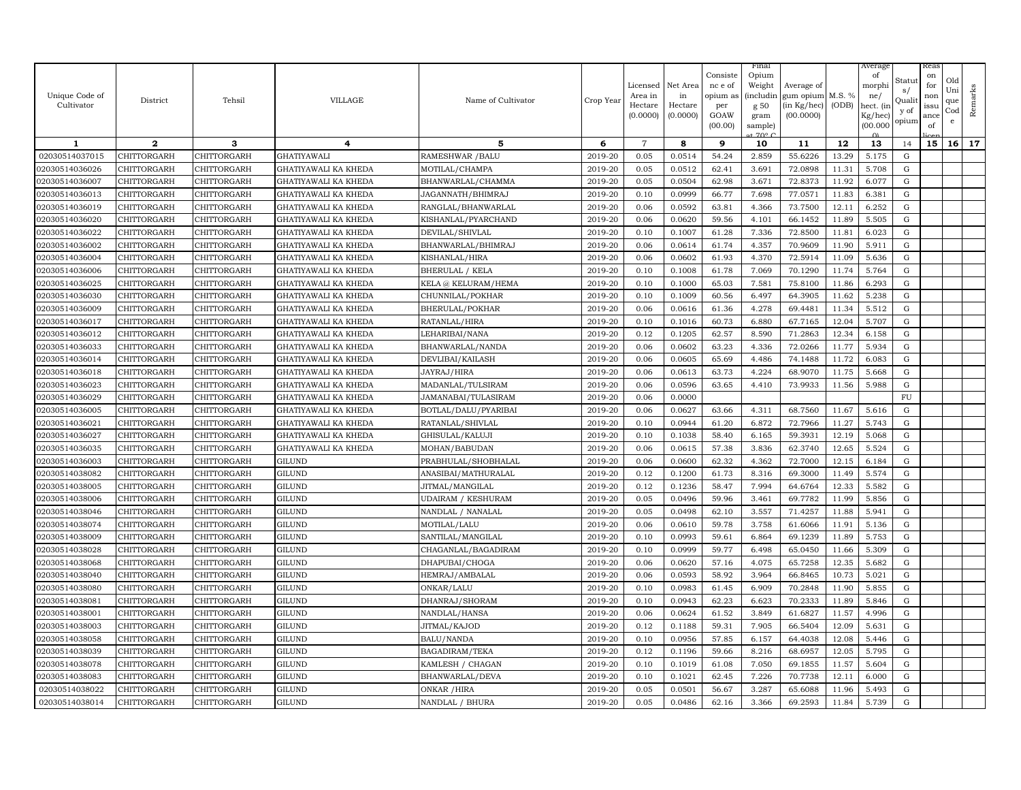| Unique Code of<br>Cultivator | District     | Tehsil      | VILLAGE                     | Name of Cultivator        | Crop Year | Licensed<br>Area in<br>Hectare<br>(0.0000) | Net Area<br>in<br>Hectare<br>(0.0000) | Consiste<br>nc e of<br>opium as<br>per<br>GOAW<br>(00.00) | Final<br>Opium<br>Weight<br><i>(includin</i><br>g 50<br>gram<br>sample]<br>70° | Average of<br>gum opium M.S. %<br>(in Kg/hec)<br>(00.0000) | (ODB) | <i><u><b>Werage</b></u></i><br>of<br>morphi<br>ne/<br>nect. (ir<br>Kg/hec]<br>(00.000) | Statu<br>s/<br>Quali<br>y of<br>opium | on<br>for<br>noi<br>isst<br>ance<br>of | Old<br>Uni<br>que<br>Cod | Remarks |
|------------------------------|--------------|-------------|-----------------------------|---------------------------|-----------|--------------------------------------------|---------------------------------------|-----------------------------------------------------------|--------------------------------------------------------------------------------|------------------------------------------------------------|-------|----------------------------------------------------------------------------------------|---------------------------------------|----------------------------------------|--------------------------|---------|
| 1                            | $\mathbf{2}$ | 3           | $\overline{4}$              | 5                         | 6         | $\overline{7}$                             | 8                                     | 9                                                         | 10                                                                             | 11                                                         | 12    | 13                                                                                     | 14                                    | 15                                     | 16                       | 17      |
| 02030514037015               | CHITTORGARH  | CHITTORGARH | <b>GHATIYAWALI</b>          | RAMESHWAR / BALU          | 2019-20   | 0.05                                       | 0.0514                                | 54.24                                                     | 2.859                                                                          | 55.6226                                                    | 13.29 | 5.175                                                                                  | $\mathbf G$                           |                                        |                          |         |
| 02030514036026               | CHITTORGARH  | CHITTORGARH | GHATIYAWALI KA KHEDA        | MOTILAL/CHAMPA            | 2019-20   | 0.05                                       | 0.0512                                | 62.41                                                     | 3.691                                                                          | 72.0898                                                    | 11.31 | 5.708                                                                                  | G                                     |                                        |                          |         |
| 02030514036007               | CHITTORGARH  | CHITTORGARH | GHATIYAWALI KA KHEDA        | BHANWARLAL/CHAMMA         | 2019-20   | 0.05                                       | 0.0504                                | 62.98                                                     | 3.671                                                                          | 72.8373                                                    | 11.92 | 6.077                                                                                  | G                                     |                                        |                          |         |
| 02030514036013               | CHITTORGARH  | CHITTORGARH | GHATIYAWALI KA KHEDA        | JAGANNATH/BHIMRAJ         | 2019-20   | 0.10                                       | 0.0999                                | 66.77                                                     | 7.698                                                                          | 77.0571                                                    | 11.83 | 6.381                                                                                  | G                                     |                                        |                          |         |
| 02030514036019               | CHITTORGARH  | CHITTORGARH | GHATIYAWALI KA KHEDA        | RANGLAL/BHANWARLAL        | 2019-20   | 0.06                                       | 0.0592                                | 63.81                                                     | 4.366                                                                          | 73.7500                                                    | 12.11 | 6.252                                                                                  | G                                     |                                        |                          |         |
| 02030514036020               | CHITTORGARH  | CHITTORGARH | GHATIYAWALI KA KHEDA        | KISHANLAL/PYARCHAND       | 2019-20   | 0.06                                       | 0.0620                                | 59.56                                                     | 4.101                                                                          | 66.1452                                                    | 11.89 | 5.505                                                                                  | G                                     |                                        |                          |         |
| 02030514036022               | CHITTORGARH  | CHITTORGARH | GHATIYAWALI KA KHEDA        | DEVILAL/SHIVLAL           | 2019-20   | 0.10                                       | 0.1007                                | 61.28                                                     | 7.336                                                                          | 72.8500                                                    | 11.81 | 6.023                                                                                  | G                                     |                                        |                          |         |
| 02030514036002               | CHITTORGARH  | CHITTORGARH | GHATIYAWALI KA KHEDA        | BHANWARLAL/BHIMRAJ        | 2019-20   | 0.06                                       | 0.0614                                | 61.74                                                     | 4.357                                                                          | 70.9609                                                    | 11.90 | 5.911                                                                                  | G                                     |                                        |                          |         |
| 02030514036004               | CHITTORGARH  | CHITTORGARH | GHATIYAWALI KA KHEDA        | KISHANLAL/HIRA            | 2019-20   | 0.06                                       | 0.0602                                | 61.93                                                     | 4.370                                                                          | 72.5914                                                    | 11.09 | 5.636                                                                                  | G                                     |                                        |                          |         |
| 02030514036006               | CHITTORGARH  | CHITTORGARH | GHATIYAWALI KA KHEDA        | <b>BHERULAL / KELA</b>    | 2019-20   | 0.10                                       | 0.1008                                | 61.78                                                     | 7.069                                                                          | 70.1290                                                    | 11.74 | 5.764                                                                                  | ${\rm G}$                             |                                        |                          |         |
| 02030514036025               | CHITTORGARH  | CHITTORGARH | <b>GHATIYAWALI KA KHEDA</b> | KELA @ KELURAM/HEMA       | 2019-20   | 0.10                                       | 0.1000                                | 65.03                                                     | 7.581                                                                          | 75.8100                                                    | 11.86 | 6.293                                                                                  | G                                     |                                        |                          |         |
| 02030514036030               | CHITTORGARH  | CHITTORGARH | GHATIYAWALI KA KHEDA        | CHUNNILAL/POKHAR          | 2019-20   | 0.10                                       | 0.1009                                | 60.56                                                     | 6.497                                                                          | 64.3905                                                    | 11.62 | 5.238                                                                                  | G                                     |                                        |                          |         |
| 02030514036009               | CHITTORGARH  | CHITTORGARH | GHATIYAWALI KA KHEDA        | BHERULAL/POKHAR           | 2019-20   | 0.06                                       | 0.0616                                | 61.36                                                     | 4.278                                                                          | 69.4481                                                    | 11.34 | 5.512                                                                                  | ${\rm G}$                             |                                        |                          |         |
| 02030514036017               | CHITTORGARH  | CHITTORGARH | GHATIYAWALI KA KHEDA        | RATANLAL/HIRA             | 2019-20   | 0.10                                       | 0.1016                                | 60.73                                                     | 6.880                                                                          | 67.7165                                                    | 12.04 | 5.707                                                                                  | ${\rm G}$                             |                                        |                          |         |
| 02030514036012               | CHITTORGARH  | CHITTORGARH | <b>GHATIYAWALI KA KHEDA</b> | LEHARIBAI/NANA            | 2019-20   | 0.12                                       | 0.1205                                | 62.57                                                     | 8.590                                                                          | 71.2863                                                    | 12.34 | 6.158                                                                                  | G                                     |                                        |                          |         |
| 02030514036033               | CHITTORGARH  | CHITTORGARH | GHATIYAWALI KA KHEDA        | BHANWARLAL/NANDA          | 2019-20   | 0.06                                       | 0.0602                                | 63.23                                                     | 4.336                                                                          | 72.0266                                                    | 11.77 | 5.934                                                                                  | ${\rm G}$                             |                                        |                          |         |
| 02030514036014               | CHITTORGARH  | CHITTORGARH | <b>GHATIYAWALI KA KHEDA</b> | DEVLIBAI/KAILASH          | 2019-20   | 0.06                                       | 0.0605                                | 65.69                                                     | 4.486                                                                          | 74.1488                                                    | 11.72 | 6.083                                                                                  | ${\rm G}$                             |                                        |                          |         |
| 02030514036018               | CHITTORGARH  | CHITTORGARH | GHATIYAWALI KA KHEDA        | JAYRAJ/HIRA               | 2019-20   | 0.06                                       | 0.0613                                | 63.73                                                     | 4.224                                                                          | 68.9070                                                    | 11.75 | 5.668                                                                                  | G                                     |                                        |                          |         |
| 02030514036023               | CHITTORGARH  | CHITTORGARH | GHATIYAWALI KA KHEDA        | MADANLAL/TULSIRAM         | 2019-20   | 0.06                                       | 0.0596                                | 63.65                                                     | 4.410                                                                          | 73.9933                                                    | 11.56 | 5.988                                                                                  | G                                     |                                        |                          |         |
| 02030514036029               | CHITTORGARH  | CHITTORGARH | GHATIYAWALI KA KHEDA        | JAMANABAI/TULASIRAM       | 2019-20   | 0.06                                       | 0.0000                                |                                                           |                                                                                |                                                            |       |                                                                                        | FU                                    |                                        |                          |         |
| 02030514036005               | CHITTORGARH  | CHITTORGARH | GHATIYAWALI KA KHEDA        | BOTLAL/DALU/PYARIBAI      | 2019-20   | 0.06                                       | 0.0627                                | 63.66                                                     | 4.311                                                                          | 68.7560                                                    | 11.67 | 5.616                                                                                  | G                                     |                                        |                          |         |
| 02030514036021               | CHITTORGARH  | CHITTORGARH | GHATIYAWALI KA KHEDA        | RATANLAL/SHIVLAL          | 2019-20   | 0.10                                       | 0.0944                                | 61.20                                                     | 6.872                                                                          | 72.7966                                                    | 11.27 | 5.743                                                                                  | G                                     |                                        |                          |         |
| 02030514036027               | CHITTORGARH  | CHITTORGARH | GHATIYAWALI KA KHEDA        | GHISULAL/KALUJI           | 2019-20   | 0.10                                       | 0.1038                                | 58.40                                                     | 6.165                                                                          | 59.3931                                                    | 12.19 | 5.068                                                                                  | ${\rm G}$                             |                                        |                          |         |
| 02030514036035               | CHITTORGARH  | CHITTORGARH | GHATIYAWALI KA KHEDA        | MOHAN/BABUDAN             | 2019-20   | 0.06                                       | 0.0615                                | 57.38                                                     | 3.836                                                                          | 62.3740                                                    | 12.65 | 5.524                                                                                  | G                                     |                                        |                          |         |
| 02030514036003               | CHITTORGARH  | CHITTORGARH | GILUND                      | PRABHULAL/SHOBHALAL       | 2019-20   | 0.06                                       | 0.0600                                | 62.32                                                     | 4.362                                                                          | 72.7000                                                    | 12.15 | 6.184                                                                                  | G                                     |                                        |                          |         |
| 02030514038082               | CHITTORGARH  | CHITTORGARH | <b>GILUND</b>               | ANASIBAI/MATHURALAL       | 2019-20   | 0.12                                       | 0.1200                                | 61.73                                                     | 8.316                                                                          | 69.3000                                                    | 11.49 | 5.574                                                                                  | ${\rm G}$                             |                                        |                          |         |
| 02030514038005               | CHITTORGARH  | CHITTORGARH | GILUND                      | JITMAL/MANGILAL           | 2019-20   | 0.12                                       | 0.1236                                | 58.47                                                     | 7.994                                                                          | 64.6764                                                    | 12.33 | 5.582                                                                                  | ${\rm G}$                             |                                        |                          |         |
| 02030514038006               | CHITTORGARH  | CHITTORGARH | GILUND                      | <b>UDAIRAM / KESHURAM</b> | 2019-20   | 0.05                                       | 0.0496                                | 59.96                                                     | 3.461                                                                          | 69.7782                                                    | 11.99 | 5.856                                                                                  | ${\rm G}$                             |                                        |                          |         |
| 02030514038046               | CHITTORGARH  | CHITTORGARH | GILUND                      | NANDLAL / NANALAL         | 2019-20   | 0.05                                       | 0.0498                                | 62.10                                                     | 3.557                                                                          | 71.4257                                                    | 11.88 | 5.941                                                                                  | G                                     |                                        |                          |         |
| 02030514038074               | CHITTORGARH  | CHITTORGARH | GILUND                      | MOTILAL/LALU              | 2019-20   | 0.06                                       | 0.0610                                | 59.78                                                     | 3.758                                                                          | 61.6066                                                    | 11.91 | 5.136                                                                                  | ${\rm G}$                             |                                        |                          |         |
| 02030514038009               | CHITTORGARH  | CHITTORGARH | <b>GILUND</b>               | SANTILAL/MANGILAL         | 2019-20   | 0.10                                       | 0.0993                                | 59.61                                                     | 6.864                                                                          | 69.1239                                                    | 11.89 | 5.753                                                                                  | G                                     |                                        |                          |         |
| 02030514038028               | CHITTORGARH  | CHITTORGARH | <b>GILUND</b>               | CHAGANLAL/BAGADIRAM       | 2019-20   | 0.10                                       | 0.0999                                | 59.77                                                     | 6.498                                                                          | 65.0450                                                    | 11.66 | 5.309                                                                                  | ${\rm G}$                             |                                        |                          |         |
| 02030514038068               | CHITTORGARH  | CHITTORGARH | <b>GILUND</b>               | DHAPUBAI/CHOGA            | 2019-20   | 0.06                                       | 0.0620                                | 57.16                                                     | 4.075                                                                          | 65.7258                                                    | 12.35 | 5.682                                                                                  | ${\rm G}$                             |                                        |                          |         |
| 02030514038040               | CHITTORGARH  | CHITTORGARH | <b>GILUND</b>               | HEMRAJ/AMBALAL            | 2019-20   | 0.06                                       | 0.0593                                | 58.92                                                     | 3.964                                                                          | 66.8465                                                    | 10.73 | 5.021                                                                                  | ${\rm G}$                             |                                        |                          |         |
| 02030514038080               | CHITTORGARH  | CHITTORGARH | GILUND                      | ONKAR/LALU                | 2019-20   | 0.10                                       | 0.0983                                | 61.45                                                     | 6.909                                                                          | 70.2848                                                    | 11.90 | 5.855                                                                                  | ${\rm G}$                             |                                        |                          |         |
| 02030514038081               | CHITTORGARH  | CHITTORGARH | GILUND                      | DHANRAJ/SHORAM            | 2019-20   | 0.10                                       | 0.0943                                | 62.23                                                     | 6.623                                                                          | 70.2333                                                    | 11.89 | 5.846                                                                                  | G                                     |                                        |                          |         |
| 02030514038001               | CHITTORGARH  | CHITTORGARH | GILUND                      | NANDLAL/HANSA             | 2019-20   | 0.06                                       | 0.0624                                | 61.52                                                     | 3.849                                                                          | 61.6827                                                    | 11.57 | 4.996                                                                                  | G                                     |                                        |                          |         |
| 02030514038003               | CHITTORGARH  | CHITTORGARH | <b>GILUND</b>               | JITMAL/KAJOD              | 2019-20   | 0.12                                       | 0.1188                                | 59.31                                                     | 7.905                                                                          | 66.5404                                                    | 12.09 | 5.631                                                                                  | G                                     |                                        |                          |         |
| 02030514038058               | CHITTORGARH  | CHITTORGARH | <b>GILUND</b>               | BALU/NANDA                | 2019-20   | 0.10                                       | 0.0956                                | 57.85                                                     | 6.157                                                                          | 64.4038                                                    | 12.08 | 5.446                                                                                  | ${\rm G}$                             |                                        |                          |         |
| 02030514038039               | CHITTORGARH  | CHITTORGARH | <b>GILUND</b>               | BAGADIRAM/TEKA            | 2019-20   | 0.12                                       | 0.1196                                | 59.66                                                     | 8.216                                                                          | 68.6957                                                    | 12.05 | 5.795                                                                                  | G                                     |                                        |                          |         |
| 02030514038078               | CHITTORGARH  | CHITTORGARH | <b>GILUND</b>               | KAMLESH / CHAGAN          | 2019-20   | 0.10                                       | 0.1019                                | 61.08                                                     | 7.050                                                                          | 69.1855                                                    | 11.57 | 5.604                                                                                  | G                                     |                                        |                          |         |
| 02030514038083               | CHITTORGARH  | CHITTORGARH | GILUND                      | BHANWARLAL/DEVA           | 2019-20   | 0.10                                       | 0.1021                                | 62.45                                                     | 7.226                                                                          | 70.7738                                                    | 12.11 | 6.000                                                                                  | ${\rm G}$                             |                                        |                          |         |
| 02030514038022               | CHITTORGARH  | CHITTORGARH | GILUND                      | ONKAR / HIRA              | 2019-20   | 0.05                                       | 0.0501                                | 56.67                                                     | 3.287                                                                          | 65.6088                                                    | 11.96 | 5.493                                                                                  | ${\rm G}$                             |                                        |                          |         |
| 02030514038014               | CHITTORGARH  | CHITTORGARH | GILUND                      | NANDLAL / BHURA           | 2019-20   | 0.05                                       | 0.0486                                | 62.16                                                     | 3.366                                                                          | 69.2593                                                    | 11.84 | 5.739                                                                                  | $\mathbf G$                           |                                        |                          |         |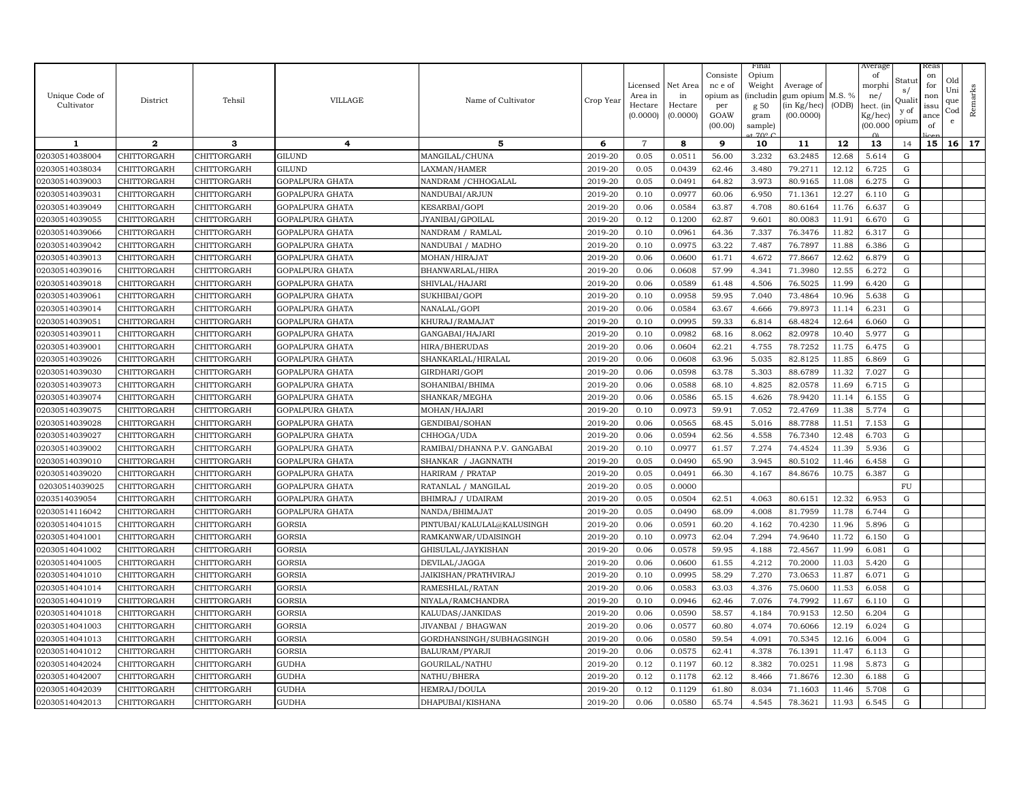| Unique Code of<br>Cultivator | District       | Tehsil      | VILLAGE                | Name of Cultivator           | Crop Year | Licensed<br>Area in<br>Hectare<br>(0.0000) | Net Area<br>in<br>Hectare<br>(0.0000) | Consiste<br>nc e of<br>opium as<br>per<br>GOAW<br>(00.00) | Final<br>Opium<br>Weight<br><i>(includin</i><br>g 50<br>gram<br>sample]<br>70° | Average of<br>gum opium M.S. %<br>(in Kg/hec)<br>(00.0000) | (ODB) | <i><u><b>Werage</b></u></i><br>of<br>morphi<br>ne/<br>aect. (ir<br>Kg/hec)<br>(00.000) | Statu<br>s/<br>Quali<br>y of<br>opium | on<br>for<br>noi<br>isst<br>ance<br>of | Old<br>Uni<br>que | Remarks |
|------------------------------|----------------|-------------|------------------------|------------------------------|-----------|--------------------------------------------|---------------------------------------|-----------------------------------------------------------|--------------------------------------------------------------------------------|------------------------------------------------------------|-------|----------------------------------------------------------------------------------------|---------------------------------------|----------------------------------------|-------------------|---------|
| 1                            | $\overline{a}$ | 3           | 4                      | 5                            | 6         | $\overline{7}$                             | 8                                     | 9                                                         | 10                                                                             | 11                                                         | 12    | 13                                                                                     | 14                                    | 15                                     | 16 <sup>1</sup>   | 17      |
| 02030514038004               | CHITTORGARH    | CHITTORGARH | <b>GILUND</b>          | MANGILAL/CHUNA               | 2019-20   | 0.05                                       | 0.0511                                | 56.00                                                     | 3.232                                                                          | 63.2485                                                    | 12.68 | 5.614                                                                                  | G                                     |                                        |                   |         |
| 02030514038034               | CHITTORGARH    | CHITTORGARH | <b>GILUND</b>          | LAXMAN/HAMER                 | 2019-20   | 0.05                                       | 0.0439                                | 62.46                                                     | 3.480                                                                          | 79.2711                                                    | 12.12 | 6.725                                                                                  | G                                     |                                        |                   |         |
| 02030514039003               | CHITTORGARH    | CHITTORGARH | GOPALPURA GHATA        | NANDRAM / CHHOGALAL          | 2019-20   | 0.05                                       | 0.0491                                | 64.82                                                     | 3.973                                                                          | 80.9165                                                    | 11.08 | 6.275                                                                                  | G                                     |                                        |                   |         |
| 02030514039031               | CHITTORGARH    | CHITTORGARH | GOPALPURA GHATA        | NANDUBAI/ARJUN               | 2019-20   | 0.10                                       | 0.0977                                | 60.06                                                     | 6.950                                                                          | 71.1361                                                    | 12.27 | 6.110                                                                                  | G                                     |                                        |                   |         |
| 02030514039049               | CHITTORGARH    | CHITTORGARH | GOPALPURA GHATA        | KESARBAI/GOPI                | 2019-20   | 0.06                                       | 0.0584                                | 63.87                                                     | 4.708                                                                          | 80.6164                                                    | 11.76 | 6.637                                                                                  | G                                     |                                        |                   |         |
| 02030514039055               | CHITTORGARH    | CHITTORGARH | <b>GOPALPURA GHATA</b> | JYANIBAI/GPOILAL             | 2019-20   | 0.12                                       | 0.1200                                | 62.87                                                     | 9.601                                                                          | 80.0083                                                    | 11.91 | 6.670                                                                                  | G                                     |                                        |                   |         |
| 02030514039066               | CHITTORGARH    | CHITTORGARH | GOPALPURA GHATA        | NANDRAM / RAMLAL             | 2019-20   | 0.10                                       | 0.0961                                | 64.36                                                     | 7.337                                                                          | 76.3476                                                    | 11.82 | 6.317                                                                                  | G                                     |                                        |                   |         |
| 02030514039042               | CHITTORGARH    | CHITTORGARH | GOPALPURA GHATA        | NANDUBAI / MADHO             | 2019-20   | 0.10                                       | 0.0975                                | 63.22                                                     | 7.487                                                                          | 76.7897                                                    | 11.88 | 6.386                                                                                  | G                                     |                                        |                   |         |
| 02030514039013               | CHITTORGARH    | CHITTORGARH | GOPALPURA GHATA        | MOHAN/HIRAJAT                | 2019-20   | 0.06                                       | 0.0600                                | 61.71                                                     | 4.672                                                                          | 77.8667                                                    | 12.62 | 6.879                                                                                  | G                                     |                                        |                   |         |
| 02030514039016               | CHITTORGARH    | CHITTORGARH | GOPALPURA GHATA        | BHANWARLAL/HIRA              | 2019-20   | 0.06                                       | 0.0608                                | 57.99                                                     | 4.341                                                                          | 71.3980                                                    | 12.55 | 6.272                                                                                  | G                                     |                                        |                   |         |
| 02030514039018               | CHITTORGARH    | CHITTORGARH | GOPALPURA GHATA        | SHIVLAL/HAJARI               | 2019-20   | 0.06                                       | 0.0589                                | 61.48                                                     | 4.506                                                                          | 76.5025                                                    | 11.99 | 6.420                                                                                  | ${\rm G}$                             |                                        |                   |         |
| 02030514039061               | CHITTORGARH    | CHITTORGARH | GOPALPURA GHATA        | SUKHIBAI/GOPI                | 2019-20   | 0.10                                       | 0.0958                                | 59.95                                                     | 7.040                                                                          | 73.4864                                                    | 10.96 | 5.638                                                                                  | ${\rm G}$                             |                                        |                   |         |
| 02030514039014               | CHITTORGARH    | CHITTORGARH | GOPALPURA GHATA        | NANALAL/GOPI                 | 2019-20   | 0.06                                       | 0.0584                                | 63.67                                                     | 4.666                                                                          | 79.8973                                                    | 11.14 | 6.231                                                                                  | ${\rm G}$                             |                                        |                   |         |
| 02030514039051               | CHITTORGARH    | CHITTORGARH | GOPALPURA GHATA        | KHURAJ/RAMAJAT               | 2019-20   | 0.10                                       | 0.0995                                | 59.33                                                     | 6.814                                                                          | 68.4824                                                    | 12.64 | 6.060                                                                                  | G                                     |                                        |                   |         |
| 02030514039011               | CHITTORGARH    | CHITTORGARH | GOPALPURA GHATA        | GANGABAI/HAJARI              | 2019-20   | 0.10                                       | 0.0982                                | 68.16                                                     | 8.062                                                                          | 82.0978                                                    | 10.40 | 5.977                                                                                  | ${\rm G}$                             |                                        |                   |         |
| 02030514039001               | CHITTORGARH    | CHITTORGARH | GOPALPURA GHATA        | HIRA/BHERUDAS                | 2019-20   | 0.06                                       | 0.0604                                | 62.21                                                     | 4.755                                                                          | 78.7252                                                    | 11.75 | 6.475                                                                                  | ${\rm G}$                             |                                        |                   |         |
| 02030514039026               | CHITTORGARH    | CHITTORGARH | GOPALPURA GHATA        | SHANKARLAL/HIRALAL           | 2019-20   | 0.06                                       | 0.0608                                | 63.96                                                     | 5.035                                                                          | 82.8125                                                    | 11.85 | 6.869                                                                                  | ${\rm G}$                             |                                        |                   |         |
| 02030514039030               | CHITTORGARH    | CHITTORGARH | GOPALPURA GHATA        | GIRDHARI/GOPI                | 2019-20   | 0.06                                       | 0.0598                                | 63.78                                                     | 5.303                                                                          | 88.6789                                                    | 11.32 | 7.027                                                                                  | G                                     |                                        |                   |         |
| 02030514039073               | CHITTORGARH    | CHITTORGARH | GOPALPURA GHATA        | SOHANIBAI/BHIMA              | 2019-20   | 0.06                                       | 0.0588                                | 68.10                                                     | 4.825                                                                          | 82.0578                                                    | 11.69 | 6.715                                                                                  | ${\rm G}$                             |                                        |                   |         |
| 02030514039074               | CHITTORGARH    | CHITTORGARH | GOPALPURA GHATA        | SHANKAR/MEGHA                | 2019-20   | 0.06                                       | 0.0586                                | 65.15                                                     | 4.626                                                                          | 78.9420                                                    | 11.14 | 6.155                                                                                  | G                                     |                                        |                   |         |
| 02030514039075               | CHITTORGARH    | CHITTORGARH | GOPALPURA GHATA        | MOHAN/HAJARI                 | 2019-20   | 0.10                                       | 0.0973                                | 59.91                                                     | 7.052                                                                          | 72.4769                                                    | 11.38 | 5.774                                                                                  | G                                     |                                        |                   |         |
| 02030514039028               | CHITTORGARH    | CHITTORGARH | GOPALPURA GHATA        | GENDIBAI/SOHAN               | 2019-20   | 0.06                                       | 0.0565                                | 68.45                                                     | 5.016                                                                          | 88.7788                                                    | 11.51 | 7.153                                                                                  | G                                     |                                        |                   |         |
| 02030514039027               | CHITTORGARH    | CHITTORGARH | GOPALPURA GHATA        | CHHOGA/UDA                   | 2019-20   | 0.06                                       | 0.0594                                | 62.56                                                     | 4.558                                                                          | 76.7340                                                    | 12.48 | 6.703                                                                                  | G                                     |                                        |                   |         |
| 02030514039002               | CHITTORGARH    | CHITTORGARH | GOPALPURA GHATA        | RAMIBAI/DHANNA P.V. GANGABAI | 2019-20   | 0.10                                       | 0.0977                                | 61.57                                                     | 7.274                                                                          | 74.4524                                                    | 11.39 | 5.936                                                                                  | ${\rm G}$                             |                                        |                   |         |
| 02030514039010               | CHITTORGARH    | CHITTORGARH | GOPALPURA GHATA        | SHANKAR / JAGNNATH           | 2019-20   | 0.05                                       | 0.0490                                | 65.90                                                     | 3.945                                                                          | 80.5102                                                    | 11.46 | 6.458                                                                                  | G                                     |                                        |                   |         |
| 02030514039020               | CHITTORGARH    | CHITTORGARH | GOPALPURA GHATA        | <b>HARIRAM / PRATAP</b>      | 2019-20   | 0.05                                       | 0.0491                                | 66.30                                                     | 4.167                                                                          | 84.8676                                                    | 10.75 | 6.387                                                                                  | G                                     |                                        |                   |         |
| 02030514039025               | CHITTORGARH    | CHITTORGARH | GOPALPURA GHATA        | RATANLAL / MANGILAL          | 2019-20   | 0.05                                       | 0.0000                                |                                                           |                                                                                |                                                            |       |                                                                                        | ${\rm FU}$                            |                                        |                   |         |
| 0203514039054                | CHITTORGARH    | CHITTORGARH | GOPALPURA GHATA        | BHIMRAJ / UDAIRAM            | 2019-20   | 0.05                                       | 0.0504                                | 62.51                                                     | 4.063                                                                          | 80.6151                                                    | 12.32 | 6.953                                                                                  | ${\rm G}$                             |                                        |                   |         |
| 02030514116042               | CHITTORGARH    | CHITTORGARH | GOPALPURA GHATA        | NANDA/BHIMAJAT               | 2019-20   | 0.05                                       | 0.0490                                | 68.09                                                     | 4.008                                                                          | 81.7959                                                    | 11.78 | 6.744                                                                                  | G                                     |                                        |                   |         |
| 02030514041015               | CHITTORGARH    | CHITTORGARH | <b>GORSIA</b>          | PINTUBAI/KALULAL@KALUSINGH   | 2019-20   | 0.06                                       | 0.0591                                | 60.20                                                     | 4.162                                                                          | 70.4230                                                    | 11.96 | 5.896                                                                                  | G                                     |                                        |                   |         |
| 02030514041001               | CHITTORGARH    | CHITTORGARH | GORSIA                 | RAMKANWAR/UDAISINGH          | 2019-20   | 0.10                                       | 0.0973                                | 62.04                                                     | 7.294                                                                          | 74.9640                                                    | 11.72 | 6.150                                                                                  | ${\rm G}$                             |                                        |                   |         |
| 02030514041002               | CHITTORGARH    | CHITTORGARH | <b>GORSIA</b>          | GHISULAL/JAYKISHAN           | 2019-20   | 0.06                                       | 0.0578                                | 59.95                                                     | 4.188                                                                          | 72.4567                                                    | 11.99 | 6.081                                                                                  | ${\rm G}$                             |                                        |                   |         |
| 02030514041005               | CHITTORGARH    | CHITTORGARH | <b>GORSIA</b>          | DEVILAL/JAGGA                | 2019-20   | 0.06                                       | 0.0600                                | 61.55                                                     | 4.212                                                                          | 70.2000                                                    | 11.03 | 5.420                                                                                  | G                                     |                                        |                   |         |
| 02030514041010               | CHITTORGARH    | CHITTORGARH | <b>GORSIA</b>          | <b>JAIKISHAN/PRATHVIRAJ</b>  | 2019-20   | 0.10                                       | 0.0995                                | 58.29                                                     | 7.270                                                                          | 73.0653                                                    | 11.87 | 6.071                                                                                  | G                                     |                                        |                   |         |
| 02030514041014               | CHITTORGARH    | CHITTORGARH | <b>GORSIA</b>          | RAMESHLAL/RATAN              | 2019-20   | 0.06                                       | 0.0583                                | 63.03                                                     | 4.376                                                                          | 75.0600                                                    | 11.53 | 6.058                                                                                  | G                                     |                                        |                   |         |
| 02030514041019               | CHITTORGARH    | CHITTORGARH | <b>GORSIA</b>          | NIYALA/RAMCHANDRA            | 2019-20   | 0.10                                       | 0.0946                                | 62.46                                                     | 7.076                                                                          | 74.7992                                                    | 11.67 | 6.110                                                                                  | G                                     |                                        |                   |         |
| 02030514041018               | CHITTORGARH    | CHITTORGARH | <b>GORSIA</b>          | KALUDAS/JANKIDAS             | 2019-20   | 0.06                                       | 0.0590                                | 58.57                                                     | 4.184                                                                          | 70.9153                                                    | 12.50 | 6.204                                                                                  | $\mathbf G$                           |                                        |                   |         |
| 02030514041003               | CHITTORGARH    | CHITTORGARH | <b>GORSIA</b>          | JIVANBAI / BHAGWAN           | 2019-20   | 0.06                                       | 0.0577                                | 60.80                                                     | 4.074                                                                          | 70.6066                                                    | 12.19 | 6.024                                                                                  | G                                     |                                        |                   |         |
| 02030514041013               | CHITTORGARH    | CHITTORGARH | <b>GORSIA</b>          | GORDHANSINGH/SUBHAGSINGH     | 2019-20   | 0.06                                       | 0.0580                                | 59.54                                                     | 4.091                                                                          | 70.5345                                                    | 12.16 | 6.004                                                                                  | G                                     |                                        |                   |         |
| 02030514041012               | CHITTORGARH    | CHITTORGARH | <b>GORSIA</b>          | BALURAM/PYARJI               | 2019-20   | 0.06                                       | 0.0575                                | 62.41                                                     | 4.378                                                                          | 76.1391                                                    | 11.47 | 6.113                                                                                  | G                                     |                                        |                   |         |
| 02030514042024               | CHITTORGARH    | CHITTORGARH | <b>GUDHA</b>           | GOURILAL/NATHU               | 2019-20   | 0.12                                       | 0.1197                                | 60.12                                                     | 8.382                                                                          | 70.0251                                                    | 11.98 | 5.873                                                                                  | G                                     |                                        |                   |         |
| 02030514042007               | CHITTORGARH    | CHITTORGARH | <b>GUDHA</b>           | NATHU/BHERA                  | 2019-20   | 0.12                                       | 0.1178                                | 62.12                                                     | 8.466                                                                          | 71.8676                                                    | 12.30 | 6.188                                                                                  | G                                     |                                        |                   |         |
| 02030514042039               | CHITTORGARH    | CHITTORGARH | <b>GUDHA</b>           | HEMRAJ/DOULA                 | 2019-20   | 0.12                                       | 0.1129                                | 61.80                                                     | 8.034                                                                          | 71.1603                                                    | 11.46 | 5.708                                                                                  | ${\rm G}$                             |                                        |                   |         |
| 02030514042013               | CHITTORGARH    | CHITTORGARH | <b>GUDHA</b>           | DHAPUBAI/KISHANA             | 2019-20   | 0.06                                       | 0.0580                                | 65.74                                                     | 4.545                                                                          | 78.3621                                                    | 11.93 | 6.545                                                                                  | ${\rm G}$                             |                                        |                   |         |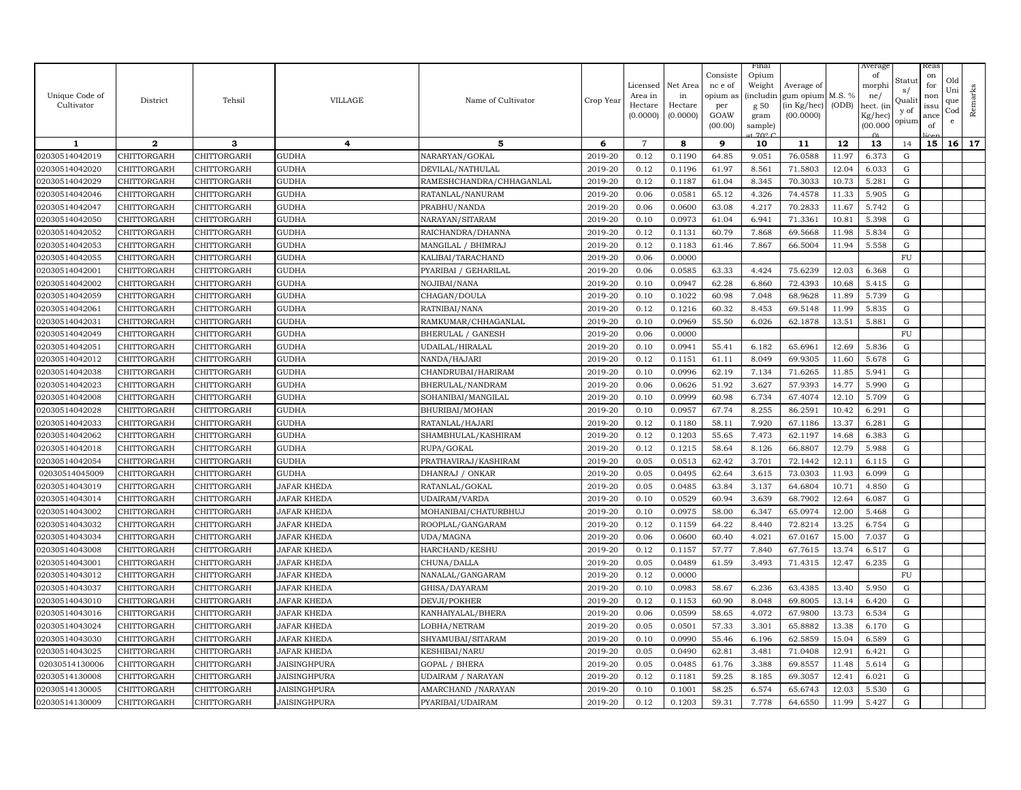| Unique Code of<br>Cultivator | District       | Tehsil      | VILLAGE            | Name of Cultivator       | Crop Year | Licensed<br>Area in<br>Hectare<br>(0.0000) | Net Area<br>in<br>Hectare<br>(0.0000) | Consiste<br>nc e of<br>opium as<br>per<br>GOAW<br>(00.00) | Final<br>Opium<br>Weight<br><i>(includin</i><br>g 50<br>gram<br>sample]<br>70° | Average of<br>gum opium M.S. %<br>(in Kg/hec)<br>(00.0000) | (ODB) | Averag<br>of<br>morphi<br>ne/<br>hect. (in<br>Kg/hec<br>(00.000) | Statut<br>s/<br>Quali<br>y of<br>opium | on<br>for<br>nor<br>isst<br>ance<br>of | Old<br>Uni<br>que<br>Cod | Remarks |
|------------------------------|----------------|-------------|--------------------|--------------------------|-----------|--------------------------------------------|---------------------------------------|-----------------------------------------------------------|--------------------------------------------------------------------------------|------------------------------------------------------------|-------|------------------------------------------------------------------|----------------------------------------|----------------------------------------|--------------------------|---------|
| -1                           | $\overline{2}$ | 3           | 4                  | 5                        | 6         | $\overline{7}$                             | 8                                     | 9                                                         | 10                                                                             | 11                                                         | 12    | 13                                                               | 14                                     | 15                                     | 16 <sup>1</sup>          | 17      |
| 02030514042019               | CHITTORGARH    | CHITTORGARH | GUDHA              | NARARYAN/GOKAL           | 2019-20   | 0.12                                       | 0.1190                                | 64.85                                                     | 9.051                                                                          | 76.0588                                                    | 11.97 | 6.373                                                            | G                                      |                                        |                          |         |
| 02030514042020               | CHITTORGARH    | CHITTORGARH | GUDHA              | DEVILAL/NATHULAL         | 2019-20   | 0.12                                       | 0.1196                                | 61.97                                                     | 8.561                                                                          | 71.5803                                                    | 12.04 | 6.033                                                            | G                                      |                                        |                          |         |
| 02030514042029               | CHITTORGARH    | CHITTORGARH | GUDHA              | RAMESHCHANDRA/CHHAGANLAL | 2019-20   | 0.12                                       | 0.1187                                | 61.04                                                     | 8.345                                                                          | 70.3033                                                    | 10.73 | 5.281                                                            | G                                      |                                        |                          |         |
| 02030514042046               | CHITTORGARH    | CHITTORGARH | GUDHA              | RATANLAL/NANURAM         | 2019-20   | 0.06                                       | 0.0581                                | 65.12                                                     | 4.326                                                                          | 74.4578                                                    | 11.33 | 5.905                                                            | G                                      |                                        |                          |         |
| 02030514042047               | CHITTORGARH    | CHITTORGARH | GUDHA              | PRABHU/NANDA             | 2019-20   | 0.06                                       | 0.0600                                | 63.08                                                     | 4.217                                                                          | 70.2833                                                    | 11.67 | 5.742                                                            | G                                      |                                        |                          |         |
| 02030514042050               | CHITTORGARH    | CHITTORGARH | GUDHA              | NARAYAN/SITARAM          | 2019-20   | 0.10                                       | 0.0973                                | 61.04                                                     | 6.941                                                                          | 71.3361                                                    | 10.81 | 5.398                                                            | G                                      |                                        |                          |         |
| 02030514042052               | CHITTORGARH    | CHITTORGARH | GUDHA              | RAICHANDRA/DHANNA        | 2019-20   | 0.12                                       | 0.1131                                | 60.79                                                     | 7.868                                                                          | 69.5668                                                    | 11.98 | 5.834                                                            | G                                      |                                        |                          |         |
| 02030514042053               | CHITTORGARH    | CHITTORGARH | GUDHA              | MANGILAL / BHIMRAJ       | 2019-20   | 0.12                                       | 0.1183                                | 61.46                                                     | 7.867                                                                          | 66.5004                                                    | 11.94 | 5.558                                                            | G                                      |                                        |                          |         |
| 02030514042055               | CHITTORGARH    | CHITTORGARH | GUDHA              | KALIBAI/TARACHAND        | 2019-20   | 0.06                                       | 0.0000                                |                                                           |                                                                                |                                                            |       |                                                                  | ${\rm FU}$                             |                                        |                          |         |
| 02030514042001               | CHITTORGARH    | CHITTORGARH | GUDHA              | PYARIBAI / GEHARILAL     | 2019-20   | 0.06                                       | 0.0585                                | 63.33                                                     | 4.424                                                                          | 75.6239                                                    | 12.03 | 6.368                                                            | ${\rm G}$                              |                                        |                          |         |
| 02030514042002               | CHITTORGARH    | CHITTORGARH | GUDHA              | NOJIBAI/NANA             | 2019-20   | 0.10                                       | 0.0947                                | 62.28                                                     | 6.860                                                                          | 72.4393                                                    | 10.68 | 5.415                                                            | ${\rm G}$                              |                                        |                          |         |
| 02030514042059               | CHITTORGARH    | CHITTORGARH | GUDHA              | CHAGAN/DOULA             | 2019-20   | 0.10                                       | 0.1022                                | 60.98                                                     | 7.048                                                                          | 68.9628                                                    | 11.89 | 5.739                                                            | G                                      |                                        |                          |         |
| 02030514042061               | CHITTORGARH    | CHITTORGARH | GUDHA              | RATNIBAI/NANA            | 2019-20   | 0.12                                       | 0.1216                                | 60.32                                                     | 8.453                                                                          | 69.5148                                                    | 11.99 | 5.835                                                            | ${\rm G}$                              |                                        |                          |         |
| 02030514042031               | CHITTORGARH    | CHITTORGARH | GUDHA              | RAMKUMAR/CHHAGANLAL      | 2019-20   | 0.10                                       | 0.0969                                | 55.50                                                     | 6.026                                                                          | 62.1878                                                    | 13.51 | 5.881                                                            | G                                      |                                        |                          |         |
| 02030514042049               | CHITTORGARH    | CHITTORGARH | GUDHA              | BHERULAL / GANESH        | 2019-20   | 0.06                                       | 0.0000                                |                                                           |                                                                                |                                                            |       |                                                                  | FU                                     |                                        |                          |         |
| 02030514042051               | CHITTORGARH    | CHITTORGARH | GUDHA              | UDAILAL/HIRALAL          | 2019-20   | 0.10                                       | 0.0941                                | 55.41                                                     | 6.182                                                                          | 65.6961                                                    | 12.69 | 5.836                                                            | ${\rm G}$                              |                                        |                          |         |
| 02030514042012               | CHITTORGARH    | CHITTORGARH | <b>GUDHA</b>       | NANDA/HAJARI             | 2019-20   | 0.12                                       | 0.1151                                | 61.11                                                     | 8.049                                                                          | 69.9305                                                    | 11.60 | 5.678                                                            | G                                      |                                        |                          |         |
| 02030514042038               | CHITTORGARH    | CHITTORGARH | <b>GUDHA</b>       | CHANDRUBAI/HARIRAM       | 2019-20   | 0.10                                       | 0.0996                                | 62.19                                                     | 7.134                                                                          | 71.6265                                                    | 11.85 | 5.941                                                            | ${\rm G}$                              |                                        |                          |         |
| 02030514042023               | CHITTORGARH    | CHITTORGARH | GUDHA              | BHERULAL/NANDRAM         | 2019-20   | 0.06                                       | 0.0626                                | 51.92                                                     | 3.627                                                                          | 57.9393                                                    | 14.77 | 5.990                                                            | G                                      |                                        |                          |         |
| 02030514042008               | CHITTORGARH    | CHITTORGARH | GUDHA              | SOHANIBAI/MANGILAL       | 2019-20   | 0.10                                       | 0.0999                                | 60.98                                                     | 6.734                                                                          | 67.4074                                                    | 12.10 | 5.709                                                            | G                                      |                                        |                          |         |
| 02030514042028               | CHITTORGARH    | CHITTORGARH | GUDHA              | BHURIBAI/MOHAN           | 2019-20   | 0.10                                       | 0.0957                                | 67.74                                                     | 8.255                                                                          | 86.2591                                                    | 10.42 | 6.291                                                            | G                                      |                                        |                          |         |
| 02030514042033               | CHITTORGARH    | CHITTORGARH | GUDHA              | RATANLAL/HAJARI          | 2019-20   | 0.12                                       | 0.1180                                | 58.11                                                     | 7.920                                                                          | 67.1186                                                    | 13.37 | 6.281                                                            | G                                      |                                        |                          |         |
| 02030514042062               | CHITTORGARH    | CHITTORGARH | GUDHA              | SHAMBHULAL/KASHIRAM      | 2019-20   | 0.12                                       | 0.1203                                | 55.65                                                     | 7.473                                                                          | 62.1197                                                    | 14.68 | 6.383                                                            | ${\rm G}$                              |                                        |                          |         |
| 02030514042018               | CHITTORGARH    | CHITTORGARH | GUDHA              | RUPA/GOKAL               | 2019-20   | 0.12                                       | 0.1215                                | 58.64                                                     | 8.126                                                                          | 66.8807                                                    | 12.79 | 5.988                                                            | G                                      |                                        |                          |         |
| 02030514042054               | CHITTORGARH    | CHITTORGARH | GUDHA              | PRATHAVIRAJ/KASHIRAM     | 2019-20   | 0.05                                       | 0.0513                                | 62.42                                                     | 3.701                                                                          | 72.1442                                                    | 12.11 | 6.115                                                            | G                                      |                                        |                          |         |
| 02030514045009               | CHITTORGARH    | CHITTORGARH | <b>GUDHA</b>       | DHANRAJ / ONKAR          | 2019-20   | 0.05                                       | 0.0495                                | 62.64                                                     | 3.615                                                                          | 73.0303                                                    | 11.93 | 6.099                                                            | ${\rm G}$                              |                                        |                          |         |
| 02030514043019               | CHITTORGARH    | CHITTORGARH | JAFAR KHEDA        | RATANLAL/GOKAL           | 2019-20   | 0.05                                       | 0.0485                                | 63.84                                                     | 3.137                                                                          | 64.6804                                                    | 10.71 | 4.850                                                            | ${\rm G}$                              |                                        |                          |         |
| 02030514043014               | CHITTORGARH    | CHITTORGARH | JAFAR KHEDA        | UDAIRAM/VARDA            | 2019-20   | 0.10                                       | 0.0529                                | 60.94                                                     | 3.639                                                                          | 68.7902                                                    | 12.64 | 6.087                                                            | ${\rm G}$                              |                                        |                          |         |
| 02030514043002               | CHITTORGARH    | CHITTORGARH | JAFAR KHEDA        | MOHANIBAI/CHATURBHUJ     | 2019-20   | 0.10                                       | 0.0975                                | 58.00                                                     | 6.347                                                                          | 65.0974                                                    | 12.00 | 5.468                                                            | G                                      |                                        |                          |         |
| 02030514043032               | CHITTORGARH    | CHITTORGARH | JAFAR KHEDA        | ROOPLAL/GANGARAM         | 2019-20   | 0.12                                       | 0.1159                                | 64.22                                                     | 8.440                                                                          | 72.8214                                                    | 13.25 | 6.754                                                            | ${\rm G}$                              |                                        |                          |         |
| 02030514043034               | CHITTORGARH    | CHITTORGARH | <b>JAFAR KHEDA</b> | UDA/MAGNA                | 2019-20   | 0.06                                       | 0.0600                                | 60.40                                                     | 4.021                                                                          | 67.0167                                                    | 15.00 | 7.037                                                            | G                                      |                                        |                          |         |
| 02030514043008               | CHITTORGARH    | CHITTORGARH | <b>JAFAR KHEDA</b> | HARCHAND/KESHU           | 2019-20   | 0.12                                       | 0.1157                                | 57.77                                                     | 7.840                                                                          | 67.7615                                                    | 13.74 | 6.517                                                            | G                                      |                                        |                          |         |
| 02030514043001               | CHITTORGARH    | CHITTORGARH | <b>JAFAR KHEDA</b> | CHUNA/DALLA              | 2019-20   | 0.05                                       | 0.0489                                | 61.59                                                     | 3.493                                                                          | 71.4315                                                    | 12.47 | 6.235                                                            | ${\rm G}$                              |                                        |                          |         |
| 02030514043012               | CHITTORGARH    | CHITTORGARH | <b>JAFAR KHEDA</b> | NANALAL/GANGARAM         | 2019-20   | 0.12                                       | 0.0000                                |                                                           |                                                                                |                                                            |       |                                                                  | ${\rm FU}$                             |                                        |                          |         |
| 02030514043037               | CHITTORGARH    | CHITTORGARH | JAFAR KHEDA        | GHISA/DAYARAM            | 2019-20   | 0.10                                       | 0.0983                                | 58.67                                                     | 6.236                                                                          | 63.4385                                                    | 13.40 | 5.950                                                            | G                                      |                                        |                          |         |
| 02030514043010               | CHITTORGARH    | CHITTORGARH | JAFAR KHEDA        | DEVJI/POKHER             | 2019-20   | 0.12                                       | 0.1153                                | 60.90                                                     | 8.048                                                                          | 69.8005                                                    | 13.14 | 6.420                                                            | G                                      |                                        |                          |         |
| 02030514043016               | CHITTORGARH    | CHITTORGARH | <b>JAFAR KHEDA</b> | KANHAIYALAL/BHERA        | 2019-20   | 0.06                                       | 0.0599                                | 58.65                                                     | 4.072                                                                          | 67.9800                                                    | 13.73 | 6.534                                                            | G                                      |                                        |                          |         |
| 02030514043024               | CHITTORGARH    | CHITTORGARH | <b>JAFAR KHEDA</b> | LOBHA/NETRAM             | 2019-20   | 0.05                                       | 0.0501                                | 57.33                                                     | 3.301                                                                          | 65.8882                                                    | 13.38 | 6.170                                                            | G                                      |                                        |                          |         |
| 02030514043030               | CHITTORGARH    | CHITTORGARH | <b>JAFAR KHEDA</b> | SHYAMUBAI/SITARAM        | 2019-20   | 0.10                                       | 0.0990                                | 55.46                                                     | 6.196                                                                          | 62.5859                                                    | 15.04 | 6.589                                                            | ${\rm G}$                              |                                        |                          |         |
| 02030514043025               | CHITTORGARH    | CHITTORGARH | JAFAR KHEDA        | KESHIBAI/NARU            | 2019-20   | 0.05                                       | 0.0490                                | 62.81                                                     | 3.481                                                                          | 71.0408                                                    | 12.91 | 6.421                                                            | G                                      |                                        |                          |         |
| 02030514130006               | CHITTORGARH    | CHITTORGARH | JAISINGHPURA       | GOPAL / BHERA            | 2019-20   | 0.05                                       | 0.0485                                | 61.76                                                     | 3.388                                                                          | 69.8557                                                    | 11.48 | 5.614                                                            | G                                      |                                        |                          |         |
| 02030514130008               | CHITTORGARH    | CHITTORGARH | JAISINGHPURA       | UDAIRAM / NARAYAN        | 2019-20   | 0.12                                       | 0.1181                                | 59.25                                                     | 8.185                                                                          | 69.3057                                                    | 12.41 | 6.021                                                            | ${\rm G}$                              |                                        |                          |         |
| 02030514130005               | CHITTORGARH    | CHITTORGARH | JAISINGHPURA       | AMARCHAND / NARAYAN      | 2019-20   | 0.10                                       | 0.1001                                | 58.25                                                     | 6.574                                                                          | 65.6743                                                    | 12.03 | 5.530                                                            | ${\rm G}$                              |                                        |                          |         |
| 02030514130009               | CHITTORGARH    | CHITTORGARH | JAISINGHPURA       | PYARIBAI/UDAIRAM         | 2019-20   | 0.12                                       | 0.1203                                | 59.31                                                     | 7.778                                                                          | 64.6550                                                    | 11.99 | 5.427                                                            | ${\rm G}$                              |                                        |                          |         |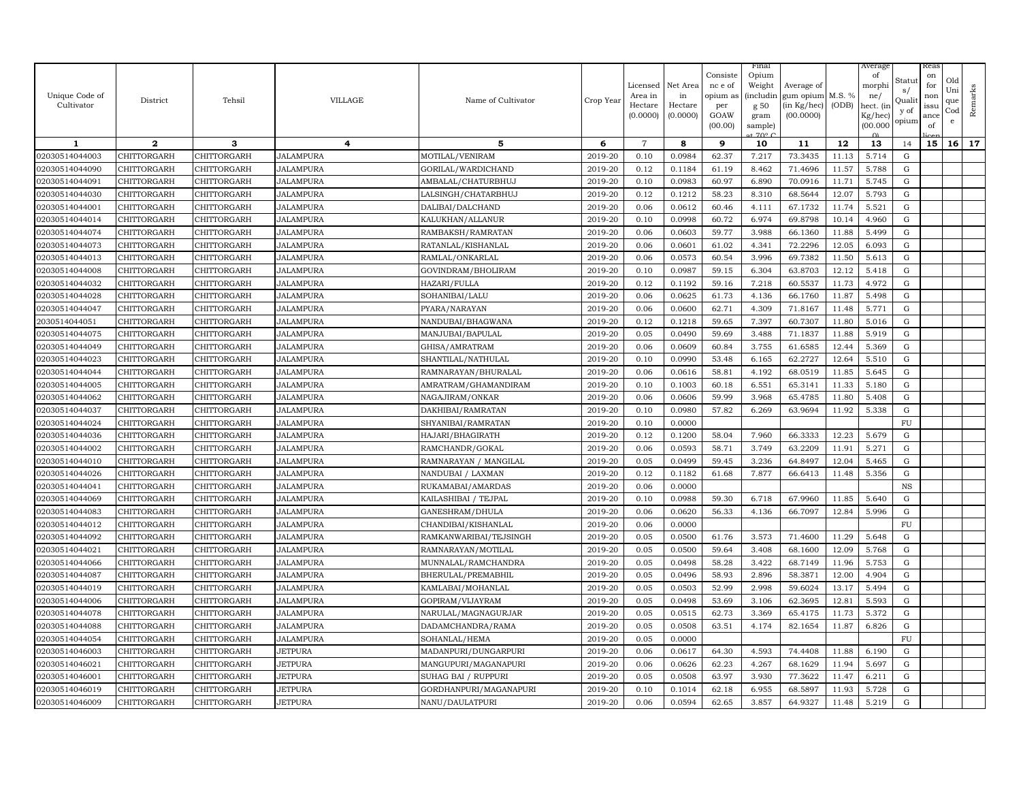| Unique Code of<br>Cultivator | District       | Tehsil      | VILLAGE          | Name of Cultivator     | Crop Year | Licensed<br>Area in<br>Hectare<br>(0.0000) | Net Area<br>in<br>Hectare<br>(0.0000) | Consiste<br>nc e of<br>opium as<br>per<br>GOAW<br>(00.00) | Final<br>Opium<br>Weight<br><i>(includin</i><br>g 50<br>gram<br>sample]<br>70° | Average of<br>gum opium M.S. %<br>(in Kg/hec)<br>(00.0000) | (ODB) | Averag<br>of<br>morphi<br>ne/<br>hect. (in<br>Kg/hec<br>(00.000) | Statut<br>s/<br>Quali<br>y of<br>opium | on<br>for<br>noi<br>isst<br>ance<br>of | Dld<br>Uni<br>que<br>Cod | Remarks |
|------------------------------|----------------|-------------|------------------|------------------------|-----------|--------------------------------------------|---------------------------------------|-----------------------------------------------------------|--------------------------------------------------------------------------------|------------------------------------------------------------|-------|------------------------------------------------------------------|----------------------------------------|----------------------------------------|--------------------------|---------|
| 1                            | $\overline{2}$ | 3           | 4                | 5                      | 6         | $\overline{7}$                             | 8                                     | 9                                                         | 10                                                                             | 11                                                         | 12    | 13                                                               | 14                                     | 15                                     | 16 <sup>1</sup>          | 17      |
| 02030514044003               | CHITTORGARH    | CHITTORGARH | <b>JALAMPURA</b> | MOTILAL/VENIRAM        | 2019-20   | 0.10                                       | 0.0984                                | 62.37                                                     | 7.217                                                                          | 73.3435                                                    | 11.13 | 5.714                                                            | $\mathbf G$                            |                                        |                          |         |
| 02030514044090               | CHITTORGARH    | CHITTORGARH | JALAMPURA        | GORILAL/WARDICHAND     | 2019-20   | 0.12                                       | 0.1184                                | 61.19                                                     | 8.462                                                                          | 71.4696                                                    | 11.57 | 5.788                                                            | G                                      |                                        |                          |         |
| 02030514044091               | CHITTORGARH    | CHITTORGARH | JALAMPURA        | AMBALAL/CHATURBHUJ     | 2019-20   | 0.10                                       | 0.0983                                | 60.97                                                     | 6.890                                                                          | 70.0916                                                    | 11.71 | 5.745                                                            | G                                      |                                        |                          |         |
| 02030514044030               | CHITTORGARH    | CHITTORGARH | JALAMPURA        | LALSINGH/CHATARBHUJ    | 2019-20   | 0.12                                       | 0.1212                                | 58.23                                                     | 8.310                                                                          | 68.5644                                                    | 12.07 | 5.793                                                            | G                                      |                                        |                          |         |
| 02030514044001               | CHITTORGARH    | CHITTORGARH | JALAMPURA        | DALIBAI/DALCHAND       | 2019-20   | 0.06                                       | 0.0612                                | 60.46                                                     | 4.111                                                                          | 67.1732                                                    | 11.74 | 5.521                                                            | G                                      |                                        |                          |         |
| 02030514044014               | CHITTORGARH    | CHITTORGARH | JALAMPURA        | KALUKHAN/ALLANUR       | 2019-20   | 0.10                                       | 0.0998                                | 60.72                                                     | 6.974                                                                          | 69.8798                                                    | 10.14 | 4.960                                                            | G                                      |                                        |                          |         |
| 02030514044074               | CHITTORGARH    | CHITTORGARH | JALAMPURA        | RAMBAKSH/RAMRATAN      | 2019-20   | 0.06                                       | 0.0603                                | 59.77                                                     | 3.988                                                                          | 66.1360                                                    | 11.88 | 5.499                                                            | G                                      |                                        |                          |         |
| 02030514044073               | CHITTORGARH    | CHITTORGARH | JALAMPURA        | RATANLAL/KISHANLAL     | 2019-20   | 0.06                                       | 0.0601                                | 61.02                                                     | 4.341                                                                          | 72.2296                                                    | 12.05 | 6.093                                                            | G                                      |                                        |                          |         |
| 02030514044013               | CHITTORGARH    | CHITTORGARH | JALAMPURA        | RAMLAL/ONKARLAL        | 2019-20   | 0.06                                       | 0.0573                                | 60.54                                                     | 3.996                                                                          | 69.7382                                                    | 11.50 | 5.613                                                            | G                                      |                                        |                          |         |
| 02030514044008               | CHITTORGARH    | CHITTORGARH | JALAMPURA        | GOVINDRAM/BHOLIRAM     | 2019-20   | 0.10                                       | 0.0987                                | 59.15                                                     | 6.304                                                                          | 63.8703                                                    | 12.12 | 5.418                                                            | ${\rm G}$                              |                                        |                          |         |
| 02030514044032               | CHITTORGARH    | CHITTORGARH | <b>JALAMPURA</b> | HAZARI/FULLA           | 2019-20   | 0.12                                       | 0.1192                                | 59.16                                                     | 7.218                                                                          | 60.5537                                                    | 11.73 | 4.972                                                            | ${\rm G}$                              |                                        |                          |         |
| 02030514044028               | CHITTORGARH    | CHITTORGARH | <b>JALAMPURA</b> | SOHANIBAI/LALU         | 2019-20   | 0.06                                       | 0.0625                                | 61.73                                                     | 4.136                                                                          | 66.1760                                                    | 11.87 | 5.498                                                            | G                                      |                                        |                          |         |
| 02030514044047               | CHITTORGARH    | CHITTORGARH | <b>JALAMPURA</b> | PYARA/NARAYAN          | 2019-20   | 0.06                                       | 0.0600                                | 62.71                                                     | 4.309                                                                          | 71.8167                                                    | 11.48 | 5.771                                                            | ${\rm G}$                              |                                        |                          |         |
| 2030514044051                | CHITTORGARH    | CHITTORGARH | JALAMPURA        | NANDUBAI/BHAGWANA      | 2019-20   | 0.12                                       | 0.1218                                | 59.65                                                     | 7.397                                                                          | 60.7307                                                    | 11.80 | 5.016                                                            | ${\rm G}$                              |                                        |                          |         |
| 02030514044075               | CHITTORGARH    | CHITTORGARH | <b>JALAMPURA</b> | MANJUBAI/BAPULAL       | 2019-20   | 0.05                                       | 0.0490                                | 59.69                                                     | 3.488                                                                          | 71.1837                                                    | 11.88 | 5.919                                                            | ${\rm G}$                              |                                        |                          |         |
| 02030514044049               | CHITTORGARH    | CHITTORGARH | <b>JALAMPURA</b> | <b>GHISA/AMRATRAM</b>  | 2019-20   | 0.06                                       | 0.0609                                | 60.84                                                     | 3.755                                                                          | 61.6585                                                    | 12.44 | 5.369                                                            | ${\rm G}$                              |                                        |                          |         |
| 02030514044023               | CHITTORGARH    | CHITTORGARH | <b>JALAMPURA</b> | SHANTILAL/NATHULAL     | 2019-20   | 0.10                                       | 0.0990                                | 53.48                                                     | 6.165                                                                          | 62.2727                                                    | 12.64 | 5.510                                                            | ${\rm G}$                              |                                        |                          |         |
| 02030514044044               | CHITTORGARH    | CHITTORGARH | JALAMPURA        | RAMNARAYAN/BHURALAL    | 2019-20   | 0.06                                       | 0.0616                                | 58.81                                                     | 4.192                                                                          | 68.0519                                                    | 11.85 | 5.645                                                            | ${\rm G}$                              |                                        |                          |         |
| 02030514044005               | CHITTORGARH    | CHITTORGARH | JALAMPURA        | AMRATRAM/GHAMANDIRAM   | 2019-20   | 0.10                                       | 0.1003                                | 60.18                                                     | 6.551                                                                          | 65.3141                                                    | 11.33 | 5.180                                                            | G                                      |                                        |                          |         |
| 02030514044062               | CHITTORGARH    | CHITTORGARH | JALAMPURA        | NAGAJIRAM/ONKAR        | 2019-20   | 0.06                                       | 0.0606                                | 59.99                                                     | 3.968                                                                          | 65.4785                                                    | 11.80 | 5.408                                                            | G                                      |                                        |                          |         |
| 02030514044037               | CHITTORGARH    | CHITTORGARH | JALAMPURA        | DAKHIBAI/RAMRATAN      | 2019-20   | 0.10                                       | 0.0980                                | 57.82                                                     | 6.269                                                                          | 63.9694                                                    | 11.92 | 5.338                                                            | G                                      |                                        |                          |         |
| 02030514044024               | CHITTORGARH    | CHITTORGARH | JALAMPURA        | SHYANIBAI/RAMRATAN     | 2019-20   | 0.10                                       | 0.0000                                |                                                           |                                                                                |                                                            |       |                                                                  | ${\rm FU}$                             |                                        |                          |         |
| 02030514044036               | CHITTORGARH    | CHITTORGARH | <b>JALAMPURA</b> | HAJARI/BHAGIRATH       | 2019-20   | 0.12                                       | 0.1200                                | 58.04                                                     | 7.960                                                                          | 66.3333                                                    | 12.23 | 5.679                                                            | ${\rm G}$                              |                                        |                          |         |
| 02030514044002               | CHITTORGARH    | CHITTORGARH | JALAMPURA        | RAMCHANDR/GOKAL        | 2019-20   | 0.06                                       | 0.0593                                | 58.71                                                     | 3.749                                                                          | 63.2209                                                    | 11.91 | 5.271                                                            | G                                      |                                        |                          |         |
| 02030514044010               | CHITTORGARH    | CHITTORGARH | JALAMPURA        | RAMNARAYAN / MANGILAL  | 2019-20   | 0.05                                       | 0.0499                                | 59.45                                                     | 3.236                                                                          | 64.8497                                                    | 12.04 | 5.465                                                            | G                                      |                                        |                          |         |
| 02030514044026               | CHITTORGARH    | CHITTORGARH | <b>JALAMPURA</b> | NANDUBAI / LAXMAN      | 2019-20   | 0.12                                       | 0.1182                                | 61.68                                                     | 7.877                                                                          | 66.6413                                                    | 11.48 | 5.356                                                            | ${\rm G}$                              |                                        |                          |         |
| 02030514044041               | CHITTORGARH    | CHITTORGARH | JALAMPURA        | RUKAMABAI/AMARDAS      | 2019-20   | 0.06                                       | 0.0000                                |                                                           |                                                                                |                                                            |       |                                                                  | $_{\rm NS}$                            |                                        |                          |         |
| 02030514044069               | CHITTORGARH    | CHITTORGARH | <b>JALAMPURA</b> | KAILASHIBAI / TEJPAL   | 2019-20   | 0.10                                       | 0.0988                                | 59.30                                                     | 6.718                                                                          | 67.9960                                                    | 11.85 | 5.640                                                            | G                                      |                                        |                          |         |
| 02030514044083               | CHITTORGARH    | CHITTORGARH | <b>JALAMPURA</b> | GANESHRAM/DHULA        | 2019-20   | 0.06                                       | 0.0620                                | 56.33                                                     | 4.136                                                                          | 66.7097                                                    | 12.84 | 5.996                                                            | G                                      |                                        |                          |         |
| 02030514044012               | CHITTORGARH    | CHITTORGARH | <b>JALAMPURA</b> | CHANDIBAI/KISHANLAL    | 2019-20   | 0.06                                       | 0.0000                                |                                                           |                                                                                |                                                            |       |                                                                  | FU                                     |                                        |                          |         |
| 02030514044092               | CHITTORGARH    | CHITTORGARH | <b>JALAMPURA</b> | RAMKANWARIBAI/TEJSINGH | 2019-20   | 0.05                                       | 0.0500                                | 61.76                                                     | 3.573                                                                          | 71.4600                                                    | 11.29 | 5.648                                                            | G                                      |                                        |                          |         |
| 02030514044021               | CHITTORGARH    | CHITTORGARH | <b>JALAMPURA</b> | RAMNARAYAN/MOTILAL     | 2019-20   | 0.05                                       | 0.0500                                | 59.64                                                     | 3.408                                                                          | 68.1600                                                    | 12.09 | 5.768                                                            | ${\rm G}$                              |                                        |                          |         |
| 02030514044066               | CHITTORGARH    | CHITTORGARH | <b>JALAMPURA</b> | MUNNALAL/RAMCHANDRA    | 2019-20   | 0.05                                       | 0.0498                                | 58.28                                                     | 3.422                                                                          | 68.7149                                                    | 11.96 | 5.753                                                            | ${\rm G}$                              |                                        |                          |         |
| 02030514044087               | CHITTORGARH    | CHITTORGARH | <b>JALAMPURA</b> | BHERULAL/PREMABHIL     | 2019-20   | 0.05                                       | 0.0496                                | 58.93                                                     | 2.896                                                                          | 58.3871                                                    | 12.00 | 4.904                                                            | ${\rm G}$                              |                                        |                          |         |
| 02030514044019               | CHITTORGARH    | CHITTORGARH | JALAMPURA        | KAMLABAI/MOHANLAL      | 2019-20   | 0.05                                       | 0.0503                                | 52.99                                                     | 2.998                                                                          | 59.6024                                                    | 13.17 | 5.494                                                            | ${\rm G}$                              |                                        |                          |         |
| 02030514044006               | CHITTORGARH    | CHITTORGARH | JALAMPURA        | GOPIRAM/VIJAYRAM       | 2019-20   | 0.05                                       | 0.0498                                | 53.69                                                     | 3.106                                                                          | 62.3695                                                    | 12.81 | 5.593                                                            | G                                      |                                        |                          |         |
| 02030514044078               | CHITTORGARH    | CHITTORGARH | <b>JALAMPURA</b> | NARULAL/MAGNAGURJAR    | 2019-20   | 0.05                                       | 0.0515                                | 62.73                                                     | 3.369                                                                          | 65.4175                                                    | 11.73 | 5.372                                                            | G                                      |                                        |                          |         |
| 02030514044088               | CHITTORGARH    | CHITTORGARH | <b>JALAMPURA</b> | DADAMCHANDRA/RAMA      | 2019-20   | 0.05                                       | 0.0508                                | 63.51                                                     | 4.174                                                                          | 82.1654                                                    | 11.87 | 6.826                                                            | G                                      |                                        |                          |         |
| 02030514044054               | CHITTORGARH    | CHITTORGARH | <b>JALAMPURA</b> | SOHANLAL/HEMA          | 2019-20   | 0.05                                       | 0.0000                                |                                                           |                                                                                |                                                            |       |                                                                  | ${\rm FU}$                             |                                        |                          |         |
| 02030514046003               | CHITTORGARH    | CHITTORGARH | JETPURA          | MADANPURI/DUNGARPURI   | 2019-20   | 0.06                                       | 0.0617                                | 64.30                                                     | 4.593                                                                          | 74.4408                                                    | 11.88 | 6.190                                                            | G                                      |                                        |                          |         |
| 02030514046021               | CHITTORGARH    | CHITTORGARH | <b>JETPURA</b>   | MANGUPURI/MAGANAPURI   | 2019-20   | 0.06                                       | 0.0626                                | 62.23                                                     | 4.267                                                                          | 68.1629                                                    | 11.94 | 5.697                                                            | G                                      |                                        |                          |         |
| 02030514046001               | CHITTORGARH    | CHITTORGARH | JETPURA          | SUHAG BAI / RUPPURI    | 2019-20   | 0.05                                       | 0.0508                                | 63.97                                                     | 3.930                                                                          | 77.3622                                                    | 11.47 | 6.211                                                            | ${\rm G}$                              |                                        |                          |         |
| 02030514046019               | CHITTORGARH    | CHITTORGARH | <b>JETPURA</b>   | GORDHANPURI/MAGANAPURI | 2019-20   | 0.10                                       | 0.1014                                | 62.18                                                     | 6.955                                                                          | 68.5897                                                    | 11.93 | 5.728                                                            | ${\rm G}$                              |                                        |                          |         |
| 02030514046009               | CHITTORGARH    | CHITTORGARH | <b>JETPURA</b>   | NANU/DAULATPURI        | 2019-20   | 0.06                                       | 0.0594                                | 62.65                                                     | 3.857                                                                          | 64.9327                                                    | 11.48 | 5.219                                                            | ${\rm G}$                              |                                        |                          |         |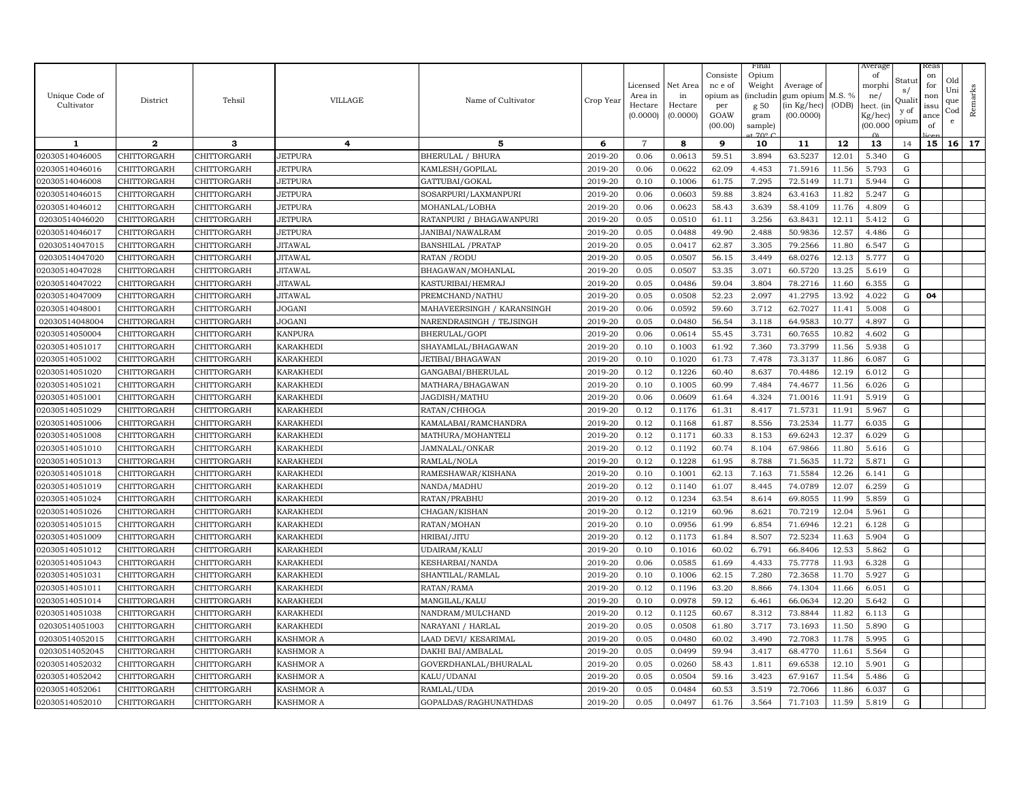| Unique Code of<br>Cultivator | District       | Tehsil      | VILLAGE          | Name of Cultivator         | Crop Year | Licensed<br>Area in<br>Hectare<br>(0.0000) | Net Area<br>in<br>Hectare<br>(0.0000) | Consiste<br>nc e of<br>opium as<br>per<br>GOAW<br>(00.00) | Final<br>Opium<br>Weight<br><i>(includin</i><br>g 50<br>gram<br>sample)<br>$70^\circ$ | Average of<br>gum opium M.S. %<br>(in Kg/hec)<br>(00.0000) | (ODB) | Averag<br>of<br>morphi<br>ne/<br>hect. (in<br>Kg/hec)<br>(00.000) | Statut<br>s/<br>Quali<br>y of<br>opium | on<br>for<br>noi<br>isst<br>ance<br>of | Dld<br>Uni<br>que<br>∠od | Remarks |
|------------------------------|----------------|-------------|------------------|----------------------------|-----------|--------------------------------------------|---------------------------------------|-----------------------------------------------------------|---------------------------------------------------------------------------------------|------------------------------------------------------------|-------|-------------------------------------------------------------------|----------------------------------------|----------------------------------------|--------------------------|---------|
|                              | $\overline{2}$ | 3           | 4                | 5                          | 6         | $\overline{7}$                             | 8                                     | 9                                                         | 10                                                                                    | 11                                                         | 12    | 13                                                                | 14                                     | 15                                     | 16 <sup>1</sup>          | 17      |
| 02030514046005               | CHITTORGARH    | CHITTORGARH | <b>JETPURA</b>   | <b>BHERULAL / BHURA</b>    | 2019-20   | 0.06                                       | 0.0613                                | 59.51                                                     | 3.894                                                                                 | 63.5237                                                    | 12.01 | 5.340                                                             | G                                      |                                        |                          |         |
| 02030514046016               | CHITTORGARH    | CHITTORGARH | <b>JETPURA</b>   | KAMLESH/GOPILAL            | 2019-20   | 0.06                                       | 0.0622                                | 62.09                                                     | 4.453                                                                                 | 71.5916                                                    | 11.56 | 5.793                                                             | G                                      |                                        |                          |         |
| 02030514046008               | CHITTORGARH    | CHITTORGARH | <b>JETPURA</b>   | GATTUBAI/GOKAL             | 2019-20   | 0.10                                       | 0.1006                                | 61.75                                                     | 7.295                                                                                 | 72.5149                                                    | 11.71 | 5.944                                                             | G                                      |                                        |                          |         |
| 02030514046015               | CHITTORGARH    | CHITTORGARH | <b>JETPURA</b>   | SOSARPURI/LAXMANPURI       | 2019-20   | 0.06                                       | 0.0603                                | 59.88                                                     | 3.824                                                                                 | 63.4163                                                    | 11.82 | 5.247                                                             | ${\rm G}$                              |                                        |                          |         |
| 02030514046012               | CHITTORGARH    | CHITTORGARH | JETPURA          | MOHANLAL/LOBHA             | 2019-20   | 0.06                                       | 0.0623                                | 58.43                                                     | 3.639                                                                                 | 58.4109                                                    | 11.76 | 4.809                                                             | G                                      |                                        |                          |         |
| 02030514046020               | CHITTORGARH    | CHITTORGARH | JETPURA          | RATANPURI / BHAGAWANPURI   | 2019-20   | 0.05                                       | 0.0510                                | 61.11                                                     | 3.256                                                                                 | 63.8431                                                    | 12.11 | 5.412                                                             | G                                      |                                        |                          |         |
| 02030514046017               | CHITTORGARH    | CHITTORGARH | <b>JETPURA</b>   | JANIBAI/NAWALRAM           | 2019-20   | 0.05                                       | 0.0488                                | 49.90                                                     | 2.488                                                                                 | 50.9836                                                    | 12.57 | 4.486                                                             | ${\rm G}$                              |                                        |                          |         |
| 02030514047015               | CHITTORGARH    | CHITTORGARH | <b>JITAWAL</b>   | <b>BANSHILAL / PRATAP</b>  | 2019-20   | 0.05                                       | 0.0417                                | 62.87                                                     | 3.305                                                                                 | 79.2566                                                    | 11.80 | 6.547                                                             | G                                      |                                        |                          |         |
| 02030514047020               | CHITTORGARH    | CHITTORGARH | JITAWAL          | RATAN / RODU               | 2019-20   | 0.05                                       | 0.0507                                | 56.15                                                     | 3.449                                                                                 | 68.0276                                                    | 12.13 | 5.777                                                             | ${\rm G}$                              |                                        |                          |         |
| 02030514047028               | CHITTORGARH    | CHITTORGARH | <b>JITAWAL</b>   | BHAGAWAN/MOHANLAL          | 2019-20   | 0.05                                       | 0.0507                                | 53.35                                                     | 3.071                                                                                 | 60.5720                                                    | 13.25 | 5.619                                                             | G                                      |                                        |                          |         |
| 02030514047022               | CHITTORGARH    | CHITTORGARH | JITAWAL          | KASTURIBAI/HEMRAJ          | 2019-20   | 0.05                                       | 0.0486                                | 59.04                                                     | 3.804                                                                                 | 78.2716                                                    | 11.60 | 6.355                                                             | ${\rm G}$                              |                                        |                          |         |
| 02030514047009               | CHITTORGARH    | CHITTORGARH | <b>JITAWAL</b>   | PREMCHAND/NATHU            | 2019-20   | 0.05                                       | 0.0508                                | 52.23                                                     | 2.097                                                                                 | 41.2795                                                    | 13.92 | 4.022                                                             | ${\rm G}$                              | 04                                     |                          |         |
| 02030514048001               | CHITTORGARH    | CHITTORGARH | JOGANI           | MAHAVEERSINGH / KARANSINGH | 2019-20   | 0.06                                       | 0.0592                                | 59.60                                                     | 3.712                                                                                 | 62.7027                                                    | 11.41 | 5.008                                                             | ${\rm G}$                              |                                        |                          |         |
| 02030514048004               | CHITTORGARH    | CHITTORGARH | JOGANI           | NARENDRASINGH / TEJSINGH   | 2019-20   | 0.05                                       | 0.0480                                | 56.54                                                     | 3.118                                                                                 | 64.9583                                                    | 10.77 | 4.897                                                             | G                                      |                                        |                          |         |
| 02030514050004               | CHITTORGARH    | CHITTORGARH | KANPURA          | BHERULAL/GOPI              | 2019-20   | 0.06                                       | 0.0614                                | 55.45                                                     | 3.731                                                                                 | 60.7655                                                    | 10.82 | 4.602                                                             | ${\rm G}$                              |                                        |                          |         |
| 02030514051017               | CHITTORGARH    | CHITTORGARH | KARAKHEDI        | SHAYAMLAL/BHAGAWAN         | 2019-20   | 0.10                                       | 0.1003                                | 61.92                                                     | 7.360                                                                                 | 73.3799                                                    | 11.56 | 5.938                                                             | ${\rm G}$                              |                                        |                          |         |
| 02030514051002               | CHITTORGARH    | CHITTORGARH | KARAKHEDI        | JETIBAI/BHAGAWAN           | 2019-20   | 0.10                                       | 0.1020                                | 61.73                                                     | 7.478                                                                                 | 73.3137                                                    | 11.86 | 6.087                                                             | G                                      |                                        |                          |         |
| 02030514051020               | CHITTORGARH    | CHITTORGARH | KARAKHEDI        | GANGABAI/BHERULAL          | 2019-20   | 0.12                                       | 0.1226                                | 60.40                                                     | 8.637                                                                                 | 70.4486                                                    | 12.19 | 6.012                                                             | G                                      |                                        |                          |         |
| 02030514051021               | CHITTORGARH    | CHITTORGARH | KARAKHEDI        | MATHARA/BHAGAWAN           | 2019-20   | 0.10                                       | 0.1005                                | 60.99                                                     | 7.484                                                                                 | 74.4677                                                    | 11.56 | 6.026                                                             | ${\bf G}$                              |                                        |                          |         |
| 02030514051001               | CHITTORGARH    | CHITTORGARH | KARAKHEDI        | JAGDISH/MATHU              | 2019-20   | 0.06                                       | 0.0609                                | 61.64                                                     | 4.324                                                                                 | 71.0016                                                    | 11.91 | 5.919                                                             | ${\bf G}$                              |                                        |                          |         |
| 02030514051029               | CHITTORGARH    | CHITTORGARH | KARAKHEDI        | RATAN/CHHOGA               | 2019-20   | 0.12                                       | 0.1176                                | 61.31                                                     | 8.417                                                                                 | 71.5731                                                    | 11.91 | 5.967                                                             | G                                      |                                        |                          |         |
| 02030514051006               | CHITTORGARH    | CHITTORGARH | KARAKHEDI        | KAMALABAI/RAMCHANDRA       | 2019-20   | 0.12                                       | 0.1168                                | 61.87                                                     | 8.556                                                                                 | 73.2534                                                    | 11.77 | 6.035                                                             | G                                      |                                        |                          |         |
| 02030514051008               | CHITTORGARH    | CHITTORGARH | KARAKHEDI        | MATHURA/MOHANTELI          | 2019-20   | 0.12                                       | 0.1171                                | 60.33                                                     | 8.153                                                                                 | 69.6243                                                    | 12.37 | 6.029                                                             | G                                      |                                        |                          |         |
| 02030514051010               | CHITTORGARH    | CHITTORGARH | KARAKHEDI        | JAMNALAL/ONKAR             | 2019-20   | 0.12                                       | 0.1192                                | 60.74                                                     | 8.104                                                                                 | 67.9866                                                    | 11.80 | 5.616                                                             | ${\rm G}$                              |                                        |                          |         |
| 02030514051013               | CHITTORGARH    | CHITTORGARH | KARAKHEDI        | RAMLAL/NOLA                | 2019-20   | 0.12                                       | 0.1228                                | 61.95                                                     | 8.788                                                                                 | 71.5635                                                    | 11.72 | 5.871                                                             | ${\rm G}$                              |                                        |                          |         |
| 02030514051018               | CHITTORGARH    | CHITTORGARH | KARAKHEDI        | RAMESHAWAR/KISHANA         | 2019-20   | 0.10                                       | 0.1001                                | 62.13                                                     | 7.163                                                                                 | 71.5584                                                    | 12.26 | 6.141                                                             | G                                      |                                        |                          |         |
| 02030514051019               | CHITTORGARH    | CHITTORGARH | KARAKHEDI        | NANDA/MADHU                | 2019-20   | 0.12                                       | 0.1140                                | 61.07                                                     | 8.445                                                                                 | 74.0789                                                    | 12.07 | 6.259                                                             | ${\rm G}$                              |                                        |                          |         |
| 02030514051024               | CHITTORGARH    | CHITTORGARH | KARAKHEDI        | RATAN/PRABHU               | 2019-20   | 0.12                                       | 0.1234                                | 63.54                                                     | 8.614                                                                                 | 69.8055                                                    | 11.99 | 5.859                                                             | ${\rm G}$                              |                                        |                          |         |
| 02030514051026               | CHITTORGARH    | CHITTORGARH | KARAKHEDI        | CHAGAN/KISHAN              | 2019-20   | 0.12                                       | 0.1219                                | 60.96                                                     | 8.621                                                                                 | 70.7219                                                    | 12.04 | 5.961                                                             | G                                      |                                        |                          |         |
| 02030514051015               | CHITTORGARH    | CHITTORGARH | KARAKHEDI        | RATAN/MOHAN                | 2019-20   | 0.10                                       | 0.0956                                | 61.99                                                     | 6.854                                                                                 | 71.6946                                                    | 12.21 | 6.128                                                             | $\mathbf G$                            |                                        |                          |         |
| 02030514051009               | CHITTORGARH    | CHITTORGARH | KARAKHEDI        | HRIBAI/JITU                | 2019-20   | 0.12                                       | 0.1173                                | 61.84                                                     | 8.507                                                                                 | 72.5234                                                    | 11.63 | 5.904                                                             | ${\rm G}$                              |                                        |                          |         |
| 02030514051012               | CHITTORGARH    | CHITTORGARH | KARAKHEDI        | UDAIRAM/KALU               | 2019-20   | 0.10                                       | 0.1016                                | 60.02                                                     | 6.791                                                                                 | 66.8406                                                    | 12.53 | 5.862                                                             | ${\rm G}$                              |                                        |                          |         |
| 02030514051043               | CHITTORGARH    | CHITTORGARH | KARAKHEDI        | KESHARBAI/NANDA            | 2019-20   | 0.06                                       | 0.0585                                | 61.69                                                     | 4.433                                                                                 | 75.7778                                                    | 11.93 | 6.328                                                             | ${\rm G}$                              |                                        |                          |         |
| 02030514051031               | CHITTORGARH    | CHITTORGARH | KARAKHEDI        | SHANTILAL/RAMLAL           | 2019-20   | 0.10                                       | 0.1006                                | 62.15                                                     | 7.280                                                                                 | 72.3658                                                    | 11.70 | 5.927                                                             | G                                      |                                        |                          |         |
| 02030514051011               | CHITTORGARH    | CHITTORGARH | KARAKHEDI        | RATAN/RAMA                 | 2019-20   | 0.12                                       | 0.1196                                | 63.20                                                     | 8.866                                                                                 | 74.1304                                                    | 11.66 | 6.051                                                             | ${\bf G}$                              |                                        |                          |         |
| 02030514051014               | CHITTORGARH    | CHITTORGARH | KARAKHEDI        | MANGILAL/KALU              | 2019-20   | 0.10                                       | 0.0978                                | 59.12                                                     | 6.461                                                                                 | 66.0634                                                    | 12.20 | 5.642                                                             | G                                      |                                        |                          |         |
| 02030514051038               | CHITTORGARH    | CHITTORGARH | KARAKHEDI        | NANDRAM/MULCHAND           | 2019-20   | 0.12                                       | 0.1125                                | 60.67                                                     | 8.312                                                                                 | 73.8844                                                    | 11.82 | 6.113                                                             | G                                      |                                        |                          |         |
| 02030514051003               | CHITTORGARH    | CHITTORGARH | KARAKHEDI        | NARAYANI / HARLAL          | 2019-20   | 0.05                                       | 0.0508                                | 61.80                                                     | 3.717                                                                                 | 73.1693                                                    | 11.50 | 5.890                                                             | G                                      |                                        |                          |         |
| 02030514052015               | CHITTORGARH    | CHITTORGARH | KASHMOR A        | LAAD DEVI/KESARIMAL        | 2019-20   | 0.05                                       | 0.0480                                | 60.02                                                     | 3.490                                                                                 | 72.7083                                                    | 11.78 | 5.995                                                             | G                                      |                                        |                          |         |
| 02030514052045               | CHITTORGARH    | CHITTORGARH | KASHMOR A        | DAKHI BAI/AMBALAL          | 2019-20   | 0.05                                       | 0.0499                                | 59.94                                                     | 3.417                                                                                 | 68.4770                                                    | 11.61 | 5.564                                                             | ${\rm G}$                              |                                        |                          |         |
| 02030514052032               | CHITTORGARH    | CHITTORGARH | KASHMOR A        | GOVERDHANLAL/BHURALAL      | 2019-20   | 0.05                                       | 0.0260                                | 58.43                                                     | 1.811                                                                                 | 69.6538                                                    | 12.10 | 5.901                                                             | G                                      |                                        |                          |         |
| 02030514052042               | CHITTORGARH    | CHITTORGARH | KASHMOR A        | KALU/UDANAI                | 2019-20   | 0.05                                       | 0.0504                                | 59.16                                                     | 3.423                                                                                 | 67.9167                                                    | 11.54 | 5.486                                                             | G                                      |                                        |                          |         |
| 02030514052061               | CHITTORGARH    | CHITTORGARH | KASHMOR A        | RAMLAL/UDA                 | 2019-20   | 0.05                                       | 0.0484                                | 60.53                                                     | 3.519                                                                                 | 72.7066                                                    | 11.86 | 6.037                                                             | ${\rm G}$                              |                                        |                          |         |
| 02030514052010               | CHITTORGARH    | CHITTORGARH | <b>KASHMOR A</b> | GOPALDAS/RAGHUNATHDAS      | 2019-20   | 0.05                                       | 0.0497                                | 61.76                                                     | 3.564                                                                                 | 71.7103                                                    | 11.59 | 5.819                                                             | ${\rm G}$                              |                                        |                          |         |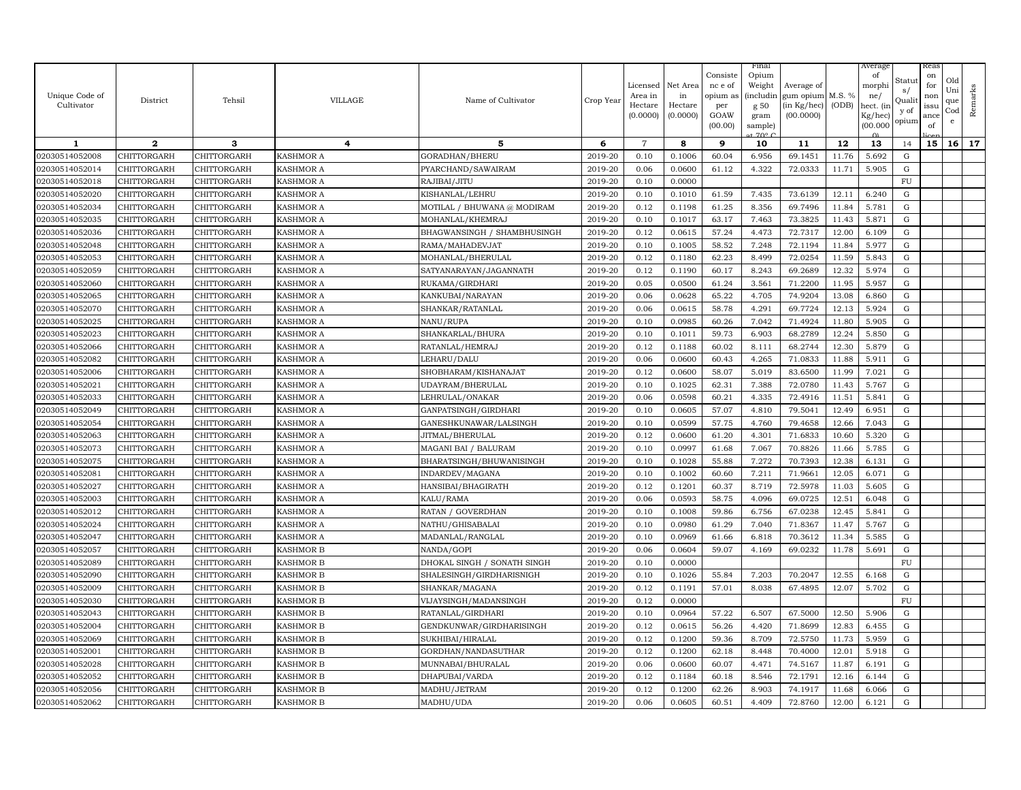| Unique Code of<br>Cultivator | District       | Tehsil             | VILLAGE          | Name of Cultivator          | Crop Year | Licensed<br>Area in<br>Hectare<br>(0.0000) | Net Area<br>in<br>Hectare<br>(0.0000) | Consiste<br>nc e of<br>opium as<br>per<br>GOAW<br>(00.00) | Final<br>Opium<br>Weight<br><i>(includin</i><br>g 50<br>gram<br>sample]<br>$70^\circ$ | Average of<br>gum opium M.S. %<br>(in Kg/hec)<br>(00.0000) | (ODB) | Averag<br>of<br>morphi<br>ne/<br>hect. (in<br>Kg/hec)<br>(00.000) | Statut<br>s/<br>Quali<br>y of<br>opium | on<br>for<br>nor<br>isst<br>ance<br>of | Dld<br>Uni<br>que<br>Cod | Remarks |
|------------------------------|----------------|--------------------|------------------|-----------------------------|-----------|--------------------------------------------|---------------------------------------|-----------------------------------------------------------|---------------------------------------------------------------------------------------|------------------------------------------------------------|-------|-------------------------------------------------------------------|----------------------------------------|----------------------------------------|--------------------------|---------|
| -1                           | $\overline{2}$ | 3                  | 4                | 5                           | 6         | $\overline{7}$                             | 8                                     | 9                                                         | 10                                                                                    | 11                                                         | 12    | 13                                                                | 14                                     | 15                                     | 16 <sup>1</sup>          | 17      |
| 02030514052008               | CHITTORGARH    | CHITTORGARH        | KASHMOR A        | GORADHAN/BHERU              | 2019-20   | 0.10                                       | 0.1006                                | 60.04                                                     | 6.956                                                                                 | 69.1451                                                    | 11.76 | 5.692                                                             | G                                      |                                        |                          |         |
| 02030514052014               | CHITTORGARH    | CHITTORGARH        | KASHMOR A        | PYARCHAND/SAWAIRAM          | 2019-20   | 0.06                                       | 0.0600                                | 61.12                                                     | 4.322                                                                                 | 72.0333                                                    | 11.71 | 5.905                                                             | G                                      |                                        |                          |         |
| 02030514052018               | CHITTORGARH    | CHITTORGARH        | KASHMOR A        | RAJIBAI/JITU                | 2019-20   | 0.10                                       | 0.0000                                |                                                           |                                                                                       |                                                            |       |                                                                   | ${\rm FU}$                             |                                        |                          |         |
| 02030514052020               | CHITTORGARH    | CHITTORGARH        | <b>KASHMOR A</b> | KISHANLAL/LEHRU             | 2019-20   | 0.10                                       | 0.1010                                | 61.59                                                     | 7.435                                                                                 | 73.6139                                                    | 12.11 | 6.240                                                             | ${\rm G}$                              |                                        |                          |         |
| 02030514052034               | CHITTORGARH    | CHITTORGARH        | KASHMOR A        | MOTILAL / BHUWANA @ MODIRAM | 2019-20   | 0.12                                       | 0.1198                                | 61.25                                                     | 8.356                                                                                 | 69.7496                                                    | 11.84 | 5.781                                                             | G                                      |                                        |                          |         |
| 02030514052035               | CHITTORGARH    | CHITTORGARH        | KASHMOR A        | MOHANLAL/KHEMRAJ            | 2019-20   | 0.10                                       | 0.1017                                | 63.17                                                     | 7.463                                                                                 | 73.3825                                                    | 11.43 | 5.871                                                             | G                                      |                                        |                          |         |
| 02030514052036               | CHITTORGARH    | CHITTORGARH        | KASHMOR A        | BHAGWANSINGH / SHAMBHUSINGH | 2019-20   | 0.12                                       | 0.0615                                | 57.24                                                     | 4.473                                                                                 | 72.7317                                                    | 12.00 | 6.109                                                             | ${\rm G}$                              |                                        |                          |         |
| 02030514052048               | CHITTORGARH    | CHITTORGARH        | KASHMOR A        | RAMA/MAHADEVJAT             | 2019-20   | 0.10                                       | 0.1005                                | 58.52                                                     | 7.248                                                                                 | 72.1194                                                    | 11.84 | 5.977                                                             | ${\rm G}$                              |                                        |                          |         |
| 02030514052053               | CHITTORGARH    | CHITTORGARH        | KASHMOR A        | MOHANLAL/BHERULAL           | 2019-20   | 0.12                                       | 0.1180                                | 62.23                                                     | 8.499                                                                                 | 72.0254                                                    | 11.59 | 5.843                                                             | ${\rm G}$                              |                                        |                          |         |
| 02030514052059               | CHITTORGARH    | CHITTORGARH        | KASHMOR A        | SATYANARAYAN/JAGANNATH      | 2019-20   | 0.12                                       | 0.1190                                | 60.17                                                     | 8.243                                                                                 | 69.2689                                                    | 12.32 | 5.974                                                             | G                                      |                                        |                          |         |
| 02030514052060               | CHITTORGARH    | CHITTORGARH        | KASHMOR A        | RUKAMA/GIRDHARI             | 2019-20   | 0.05                                       | 0.0500                                | 61.24                                                     | 3.561                                                                                 | 71.2200                                                    | 11.95 | 5.957                                                             | G                                      |                                        |                          |         |
| 02030514052065               | CHITTORGARH    | CHITTORGARH        | KASHMOR A        | KANKUBAI/NARAYAN            | 2019-20   | 0.06                                       | 0.0628                                | 65.22                                                     | 4.705                                                                                 | 74.9204                                                    | 13.08 | 6.860                                                             | ${\rm G}$                              |                                        |                          |         |
| 02030514052070               | CHITTORGARH    | CHITTORGARH        | KASHMOR A        | SHANKAR/RATANLAL            | 2019-20   | 0.06                                       | 0.0615                                | 58.78                                                     | 4.291                                                                                 | 69.7724                                                    | 12.13 | 5.924                                                             | ${\rm G}$                              |                                        |                          |         |
| 02030514052025               | CHITTORGARH    | CHITTORGARH        | KASHMOR A        | NANU/RUPA                   | 2019-20   | 0.10                                       | 0.0985                                | 60.26                                                     | 7.042                                                                                 | 71.4924                                                    | 11.80 | 5.905                                                             | G                                      |                                        |                          |         |
| 02030514052023               | CHITTORGARH    | CHITTORGARH        | KASHMOR A        | SHANKARLAL/BHURA            | 2019-20   | 0.10                                       | 0.1011                                | 59.73                                                     | 6.903                                                                                 | 68.2789                                                    | 12.24 | 5.850                                                             | ${\rm G}$                              |                                        |                          |         |
| 02030514052066               | CHITTORGARH    | CHITTORGARH        | KASHMOR A        | RATANLAL/HEMRAJ             | 2019-20   | 0.12                                       | 0.1188                                | 60.02                                                     | 8.111                                                                                 | 68.2744                                                    | 12.30 | 5.879                                                             | ${\rm G}$                              |                                        |                          |         |
| 02030514052082               | CHITTORGARH    | CHITTORGARH        | KASHMOR A        | LEHARU/DALU                 | 2019-20   | 0.06                                       | 0.0600                                | 60.43                                                     | 4.265                                                                                 | 71.0833                                                    | 11.88 | 5.911                                                             | ${\rm G}$                              |                                        |                          |         |
| 02030514052006               | CHITTORGARH    | CHITTORGARH        | KASHMOR A        | SHOBHARAM/KISHANAJAT        | 2019-20   | 0.12                                       | 0.0600                                | 58.07                                                     | 5.019                                                                                 | 83.6500                                                    | 11.99 | 7.021                                                             | G                                      |                                        |                          |         |
| 02030514052021               | CHITTORGARH    | CHITTORGARH        | <b>KASHMOR A</b> | UDAYRAM/BHERULAL            | 2019-20   | 0.10                                       | 0.1025                                | 62.31                                                     | 7.388                                                                                 | 72.0780                                                    | 11.43 | 5.767                                                             | ${\rm G}$                              |                                        |                          |         |
| 02030514052033               | CHITTORGARH    | CHITTORGARH        | KASHMOR A        | LEHRULAL/ONAKAR             | 2019-20   | 0.06                                       | 0.0598                                | 60.21                                                     | 4.335                                                                                 | 72.4916                                                    | 11.51 | 5.841                                                             | ${\bf G}$                              |                                        |                          |         |
| 02030514052049               | CHITTORGARH    | CHITTORGARH        | KASHMOR A        | GANPATSINGH/GIRDHARI        | 2019-20   | 0.10                                       | 0.0605                                | 57.07                                                     | 4.810                                                                                 | 79.5041                                                    | 12.49 | 6.951                                                             | G                                      |                                        |                          |         |
| 02030514052054               | CHITTORGARH    | CHITTORGARH        | KASHMOR A        | GANESHKUNAWAR/LALSINGH      | 2019-20   | 0.10                                       | 0.0599                                | 57.75                                                     | 4.760                                                                                 | 79.4658                                                    | 12.66 | 7.043                                                             | G                                      |                                        |                          |         |
| 02030514052063               | CHITTORGARH    | CHITTORGARH        | KASHMOR A        | JITMAL/BHERULAL             | 2019-20   | 0.12                                       | 0.0600                                | 61.20                                                     | 4.301                                                                                 | 71.6833                                                    | 10.60 | 5.320                                                             | G                                      |                                        |                          |         |
| 02030514052073               | CHITTORGARH    | CHITTORGARH        | KASHMOR A        | MAGANI BAI / BALURAM        | 2019-20   | 0.10                                       | 0.0997                                | 61.68                                                     | 7.067                                                                                 | 70.8826                                                    | 11.66 | 5.785                                                             | ${\rm G}$                              |                                        |                          |         |
| 02030514052075               | CHITTORGARH    | CHITTORGARH        | KASHMOR A        | BHARATSINGH/BHUWANISINGH    | 2019-20   | 0.10                                       | 0.1028                                | 55.88                                                     | 7.272                                                                                 | 70.7393                                                    | 12.38 | 6.131                                                             | ${\rm G}$                              |                                        |                          |         |
| 02030514052081               | CHITTORGARH    | <b>CHITTORGARH</b> | KASHMOR A        | INDARDEV/MAGANA             | 2019-20   | 0.10                                       | 0.1002                                | 60.60                                                     | 7.211                                                                                 | 71.9661                                                    | 12.05 | 6.071                                                             | G                                      |                                        |                          |         |
| 02030514052027               | CHITTORGARH    | CHITTORGARH        | KASHMOR A        | HANSIBAI/BHAGIRATH          | 2019-20   | 0.12                                       | 0.1201                                | 60.37                                                     | 8.719                                                                                 | 72.5978                                                    | 11.03 | 5.605                                                             | ${\rm G}$                              |                                        |                          |         |
| 02030514052003               | CHITTORGARH    | CHITTORGARH        | KASHMOR A        | KALU/RAMA                   | 2019-20   | 0.06                                       | 0.0593                                | 58.75                                                     | 4.096                                                                                 | 69.0725                                                    | 12.51 | 6.048                                                             | ${\rm G}$                              |                                        |                          |         |
| 02030514052012               | CHITTORGARH    | CHITTORGARH        | KASHMOR A        | RATAN / GOVERDHAN           | 2019-20   | 0.10                                       | 0.1008                                | 59.86                                                     | 6.756                                                                                 | 67.0238                                                    | 12.45 | 5.841                                                             | G                                      |                                        |                          |         |
| 02030514052024               | CHITTORGARH    | CHITTORGARH        | KASHMOR A        | NATHU/GHISABALAI            | 2019-20   | 0.10                                       | 0.0980                                | 61.29                                                     | 7.040                                                                                 | 71.8367                                                    | 11.47 | 5.767                                                             | $\mathbf G$                            |                                        |                          |         |
| 02030514052047               | CHITTORGARH    | CHITTORGARH        | KASHMOR A        | MADANLAL/RANGLAL            | 2019-20   | 0.10                                       | 0.0969                                | 61.66                                                     | 6.818                                                                                 | 70.3612                                                    | 11.34 | 5.585                                                             | ${\rm G}$                              |                                        |                          |         |
| 02030514052057               | CHITTORGARH    | CHITTORGARH        | KASHMOR B        | NANDA/GOPI                  | 2019-20   | 0.06                                       | 0.0604                                | 59.07                                                     | 4.169                                                                                 | 69.0232                                                    | 11.78 | 5.691                                                             | ${\rm G}$                              |                                        |                          |         |
| 02030514052089               | CHITTORGARH    | CHITTORGARH        | KASHMOR B        | DHOKAL SINGH / SONATH SINGH | 2019-20   | 0.10                                       | 0.0000                                |                                                           |                                                                                       |                                                            |       |                                                                   | FU                                     |                                        |                          |         |
| 02030514052090               | CHITTORGARH    | CHITTORGARH        | KASHMOR B        | SHALESINGH/GIRDHARISNIGH    | 2019-20   | 0.10                                       | 0.1026                                | 55.84                                                     | 7.203                                                                                 | 70.2047                                                    | 12.55 | 6.168                                                             | G                                      |                                        |                          |         |
| 02030514052009               | CHITTORGARH    | CHITTORGARH        | <b>KASHMOR B</b> | SHANKAR/MAGANA              | 2019-20   | 0.12                                       | 0.1191                                | 57.01                                                     | 8.038                                                                                 | 67.4895                                                    | 12.07 | 5.702                                                             | G                                      |                                        |                          |         |
| 02030514052030               | CHITTORGARH    | CHITTORGARH        | KASHMOR B        | VIJAYSINGH/MADANSINGH       | 2019-20   | 0.12                                       | 0.0000                                |                                                           |                                                                                       |                                                            |       |                                                                   | ${\rm FU}$                             |                                        |                          |         |
| 02030514052043               | CHITTORGARH    | CHITTORGARH        | KASHMOR B        | RATANLAL/GIRDHARI           | 2019-20   | 0.10                                       | 0.0964                                | 57.22                                                     | 6.507                                                                                 | 67.5000                                                    | 12.50 | 5.906                                                             | G                                      |                                        |                          |         |
| 02030514052004               | CHITTORGARH    | CHITTORGARH        | KASHMOR B        | GENDKUNWAR/GIRDHARISINGH    | 2019-20   | 0.12                                       | 0.0615                                | 56.26                                                     | 4.420                                                                                 | 71.8699                                                    | 12.83 | 6.455                                                             | G                                      |                                        |                          |         |
| 02030514052069               | CHITTORGARH    | CHITTORGARH        | KASHMOR B        | SUKHIBAI/HIRALAL            | 2019-20   | 0.12                                       | 0.1200                                | 59.36                                                     | 8.709                                                                                 | 72.5750                                                    | 11.73 | 5.959                                                             | G                                      |                                        |                          |         |
| 02030514052001               | CHITTORGARH    | CHITTORGARH        | KASHMOR B        | GORDHAN/NANDASUTHAR         | 2019-20   | 0.12                                       | 0.1200                                | 62.18                                                     | 8.448                                                                                 | 70.4000                                                    | 12.01 | 5.918                                                             | G                                      |                                        |                          |         |
| 02030514052028               | CHITTORGARH    | CHITTORGARH        | KASHMOR B        | MUNNABAI/BHURALAL           | 2019-20   | 0.06                                       | 0.0600                                | 60.07                                                     | 4.471                                                                                 | 74.5167                                                    | 11.87 | 6.191                                                             | G                                      |                                        |                          |         |
| 02030514052052               | CHITTORGARH    | CHITTORGARH        | KASHMOR B        | DHAPUBAI/VARDA              | 2019-20   | 0.12                                       | 0.1184                                | 60.18                                                     | 8.546                                                                                 | 72.1791                                                    | 12.16 | 6.144                                                             | G                                      |                                        |                          |         |
| 02030514052056               | CHITTORGARH    | CHITTORGARH        | KASHMOR B        | MADHU/JETRAM                | 2019-20   | 0.12                                       | 0.1200                                | 62.26                                                     | 8.903                                                                                 | 74.1917                                                    | 11.68 | 6.066                                                             | ${\rm G}$                              |                                        |                          |         |
| 02030514052062               | CHITTORGARH    | CHITTORGARH        | <b>KASHMOR B</b> | MADHU/UDA                   | 2019-20   | 0.06                                       | 0.0605                                | 60.51                                                     | 4.409                                                                                 | 72.8760                                                    | 12.00 | 6.121                                                             | ${\rm G}$                              |                                        |                          |         |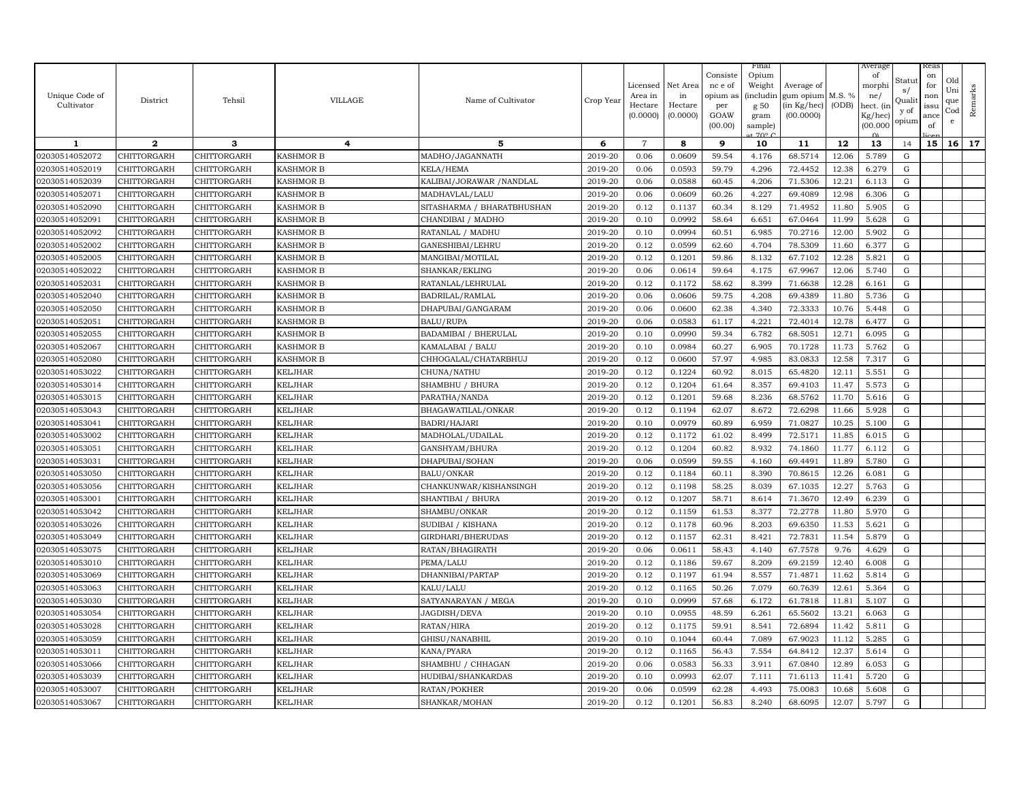| Unique Code of<br>Cultivator | District       | Tehsil      | VILLAGE          | Name of Cultivator         | Crop Year | Licensed<br>Area in<br>Hectare<br>(0.0000) | Net Area<br>in<br>Hectare<br>(0.0000) | Consiste<br>nc e of<br>opium as<br>per<br>GOAW<br>(00.00) | Final<br>Opium<br>Weight<br><i>(includin</i><br>g 50<br>gram<br>sample]<br>70° | Average of<br>gum opium M.S. %<br>(in Kg/hec)<br>(00.0000) | (ODB) | Averag<br>of<br>morphi<br>ne/<br>hect. (in<br>Kg/hec<br>(00.000) | Statut<br>s/<br>Quali<br>y of<br>opium | on<br>for<br>nor<br>isst<br>ance<br>of | Old<br>Uni<br>que<br>Cod | Remarks |
|------------------------------|----------------|-------------|------------------|----------------------------|-----------|--------------------------------------------|---------------------------------------|-----------------------------------------------------------|--------------------------------------------------------------------------------|------------------------------------------------------------|-------|------------------------------------------------------------------|----------------------------------------|----------------------------------------|--------------------------|---------|
| -1                           | $\overline{2}$ | 3           | 4                | 5                          | 6         | $\overline{7}$                             | 8                                     | 9                                                         | 10                                                                             | 11                                                         | 12    | 13                                                               | 14                                     | 15                                     | 16 <sup>1</sup>          | 17      |
| 02030514052072               | CHITTORGARH    | CHITTORGARH | KASHMOR B        | MADHO/JAGANNATH            | 2019-20   | 0.06                                       | 0.0609                                | 59.54                                                     | 4.176                                                                          | 68.5714                                                    | 12.06 | 5.789                                                            | ${\rm G}$                              |                                        |                          |         |
| 02030514052019               | CHITTORGARH    | CHITTORGARH | KASHMOR B        | KELA/HEMA                  | 2019-20   | 0.06                                       | 0.0593                                | 59.79                                                     | 4.296                                                                          | 72.4452                                                    | 12.38 | 6.279                                                            | G                                      |                                        |                          |         |
| 02030514052039               | CHITTORGARH    | CHITTORGARH | KASHMOR B        | KALIBAI/JORAWAR /NANDLAL   | 2019-20   | 0.06                                       | 0.0588                                | 60.45                                                     | 4.206                                                                          | 71.5306                                                    | 12.21 | 6.113                                                            | G                                      |                                        |                          |         |
| 02030514052071               | CHITTORGARH    | CHITTORGARH | KASHMOR B        | MADHAVLAL/LALU             | 2019-20   | 0.06                                       | 0.0609                                | 60.26                                                     | 4.227                                                                          | 69.4089                                                    | 12.98 | 6.306                                                            | G                                      |                                        |                          |         |
| 02030514052090               | CHITTORGARH    | CHITTORGARH | KASHMOR B        | SITASHARMA / BHARATBHUSHAN | 2019-20   | 0.12                                       | 0.1137                                | 60.34                                                     | 8.129                                                                          | 71.4952                                                    | 11.80 | 5.905                                                            | G                                      |                                        |                          |         |
| 02030514052091               | CHITTORGARH    | CHITTORGARH | KASHMOR B        | CHANDIBAI / MADHO          | 2019-20   | 0.10                                       | 0.0992                                | 58.64                                                     | 6.651                                                                          | 67.0464                                                    | 11.99 | 5.628                                                            | G                                      |                                        |                          |         |
| 02030514052092               | CHITTORGARH    | CHITTORGARH | KASHMOR B        | RATANLAL / MADHU           | 2019-20   | 0.10                                       | 0.0994                                | 60.51                                                     | 6.985                                                                          | 70.2716                                                    | 12.00 | 5.902                                                            | G                                      |                                        |                          |         |
| 02030514052002               | CHITTORGARH    | CHITTORGARH | KASHMOR B        | GANESHIBAI/LEHRU           | 2019-20   | 0.12                                       | 0.0599                                | 62.60                                                     | 4.704                                                                          | 78.5309                                                    | 11.60 | 6.377                                                            | G                                      |                                        |                          |         |
| 02030514052005               | CHITTORGARH    | CHITTORGARH | <b>KASHMOR B</b> | MANGIBAI/MOTILAL           | 2019-20   | 0.12                                       | 0.1201                                | 59.86                                                     | 8.132                                                                          | 67.7102                                                    | 12.28 | 5.821                                                            | G                                      |                                        |                          |         |
| 02030514052022               | CHITTORGARH    | CHITTORGARH | KASHMOR B        | SHANKAR/EKLING             | 2019-20   | 0.06                                       | 0.0614                                | 59.64                                                     | 4.175                                                                          | 67.9967                                                    | 12.06 | 5.740                                                            | ${\rm G}$                              |                                        |                          |         |
| 02030514052031               | CHITTORGARH    | CHITTORGARH | KASHMOR B        | RATANLAL/LEHRULAL          | 2019-20   | 0.12                                       | 0.1172                                | 58.62                                                     | 8.399                                                                          | 71.6638                                                    | 12.28 | 6.161                                                            | G                                      |                                        |                          |         |
| 02030514052040               | CHITTORGARH    | CHITTORGARH | KASHMOR B        | BADRILAL/RAMLAL            | 2019-20   | 0.06                                       | 0.0606                                | 59.75                                                     | 4.208                                                                          | 69.4389                                                    | 11.80 | 5.736                                                            | G                                      |                                        |                          |         |
| 02030514052050               | CHITTORGARH    | CHITTORGARH | KASHMOR B        | DHAPUBAI/GANGARAM          | 2019-20   | 0.06                                       | 0.0600                                | 62.38                                                     | 4.340                                                                          | 72.3333                                                    | 10.76 | 5.448                                                            | ${\rm G}$                              |                                        |                          |         |
| 02030514052051               | CHITTORGARH    | CHITTORGARH | KASHMOR B        | <b>BALU/RUPA</b>           | 2019-20   | 0.06                                       | 0.0583                                | 61.17                                                     | 4.221                                                                          | 72.4014                                                    | 12.78 | 6.477                                                            | ${\rm G}$                              |                                        |                          |         |
| 02030514052055               | CHITTORGARH    | CHITTORGARH | KASHMOR B        | BADAMIBAI / BHERULAL       | 2019-20   | 0.10                                       | 0.0990                                | 59.34                                                     | 6.782                                                                          | 68.5051                                                    | 12.71 | 6.095                                                            | G                                      |                                        |                          |         |
| 02030514052067               | CHITTORGARH    | CHITTORGARH | KASHMOR B        | KAMALABAI / BALU           | 2019-20   | 0.10                                       | 0.0984                                | 60.27                                                     | 6.905                                                                          | 70.1728                                                    | 11.73 | 5.762                                                            | ${\rm G}$                              |                                        |                          |         |
| 02030514052080               | CHITTORGARH    | CHITTORGARH | <b>KASHMOR B</b> | CHHOGALAL/CHATARBHUJ       | 2019-20   | 0.12                                       | 0.0600                                | 57.97                                                     | 4.985                                                                          | 83.0833                                                    | 12.58 | 7.317                                                            | ${\rm G}$                              |                                        |                          |         |
| 02030514053022               | CHITTORGARH    | CHITTORGARH | <b>KELJHAR</b>   | CHUNA/NATHU                | 2019-20   | 0.12                                       | 0.1224                                | 60.92                                                     | 8.015                                                                          | 65.4820                                                    | 12.11 | 5.551                                                            | ${\rm G}$                              |                                        |                          |         |
| 02030514053014               | CHITTORGARH    | CHITTORGARH | KELJHAR          | SHAMBHU / BHURA            | 2019-20   | 0.12                                       | 0.1204                                | 61.64                                                     | 8.357                                                                          | 69.4103                                                    | 11.47 | 5.573                                                            | G                                      |                                        |                          |         |
| 02030514053015               | CHITTORGARH    | CHITTORGARH | KELJHAR          | PARATHA/NANDA              | 2019-20   | 0.12                                       | 0.1201                                | 59.68                                                     | 8.236                                                                          | 68.5762                                                    | 11.70 | 5.616                                                            | G                                      |                                        |                          |         |
| 02030514053043               | CHITTORGARH    | CHITTORGARH | KELJHAR          | BHAGAWATILAL/ONKAR         | 2019-20   | 0.12                                       | 0.1194                                | 62.07                                                     | 8.672                                                                          | 72.6298                                                    | 11.66 | 5.928                                                            | G                                      |                                        |                          |         |
| 02030514053041               | CHITTORGARH    | CHITTORGARH | KELJHAR          | BADRI/HAJARI               | 2019-20   | 0.10                                       | 0.0979                                | 60.89                                                     | 6.959                                                                          | 71.0827                                                    | 10.25 | 5.100                                                            | G                                      |                                        |                          |         |
| 02030514053002               | CHITTORGARH    | CHITTORGARH | KELJHAR          | MADHOLAL/UDAILAL           | 2019-20   | 0.12                                       | 0.1172                                | 61.02                                                     | 8.499                                                                          | 72.5171                                                    | 11.85 | 6.015                                                            | ${\rm G}$                              |                                        |                          |         |
| 02030514053051               | CHITTORGARH    | CHITTORGARH | KELJHAR          | GANSHYAM/BHURA             | 2019-20   | 0.12                                       | 0.1204                                | 60.82                                                     | 8.932                                                                          | 74.1860                                                    | 11.77 | 6.112                                                            | G                                      |                                        |                          |         |
| 02030514053031               | CHITTORGARH    | CHITTORGARH | KELJHAR          | DHAPUBAI/SOHAN             | 2019-20   | 0.06                                       | 0.0599                                | 59.55                                                     | 4.160                                                                          | 69.4491                                                    | 11.89 | 5.780                                                            | G                                      |                                        |                          |         |
| 02030514053050               | CHITTORGARH    | CHITTORGARH | <b>KELJHAR</b>   | <b>BALU/ONKAR</b>          | 2019-20   | 0.12                                       | 0.1184                                | 60.11                                                     | 8.390                                                                          | 70.8615                                                    | 12.26 | 6.081                                                            | ${\rm G}$                              |                                        |                          |         |
| 02030514053056               | CHITTORGARH    | CHITTORGARH | KELJHAR          | CHANKUNWAR/KISHANSINGH     | 2019-20   | 0.12                                       | 0.1198                                | 58.25                                                     | 8.039                                                                          | 67.1035                                                    | 12.27 | 5.763                                                            | ${\rm G}$                              |                                        |                          |         |
| 02030514053001               | CHITTORGARH    | CHITTORGARH | KELJHAR          | SHANTIBAI / BHURA          | 2019-20   | 0.12                                       | 0.1207                                | 58.71                                                     | 8.614                                                                          | 71.3670                                                    | 12.49 | 6.239                                                            | ${\rm G}$                              |                                        |                          |         |
| 02030514053042               | CHITTORGARH    | CHITTORGARH | KELJHAR          | SHAMBU/ONKAR               | 2019-20   | 0.12                                       | 0.1159                                | 61.53                                                     | 8.377                                                                          | 72.2778                                                    | 11.80 | 5.970                                                            | G                                      |                                        |                          |         |
| 02030514053026               | CHITTORGARH    | CHITTORGARH | KELJHAR          | SUDIBAI / KISHANA          | 2019-20   | 0.12                                       | 0.1178                                | 60.96                                                     | 8.203                                                                          | 69.6350                                                    | 11.53 | 5.621                                                            | ${\rm G}$                              |                                        |                          |         |
| 02030514053049               | CHITTORGARH    | CHITTORGARH | KELJHAR          | GIRDHARI/BHERUDAS          | 2019-20   | 0.12                                       | 0.1157                                | 62.31                                                     | 8.421                                                                          | 72.7831                                                    | 11.54 | 5.879                                                            | G                                      |                                        |                          |         |
| 02030514053075               | CHITTORGARH    | CHITTORGARH | KELJHAR          | RATAN/BHAGIRATH            | 2019-20   | 0.06                                       | 0.0611                                | 58.43                                                     | 4.140                                                                          | 67.7578                                                    | 9.76  | 4.629                                                            | ${\rm G}$                              |                                        |                          |         |
| 02030514053010               | CHITTORGARH    | CHITTORGARH | KELJHAR          | PEMA/LALU                  | 2019-20   | 0.12                                       | 0.1186                                | 59.67                                                     | 8.209                                                                          | 69.2159                                                    | 12.40 | 6.008                                                            | ${\rm G}$                              |                                        |                          |         |
| 02030514053069               | CHITTORGARH    | CHITTORGARH | KELJHAR          | DHANNIBAI/PARTAP           | 2019-20   | 0.12                                       | 0.1197                                | 61.94                                                     | 8.557                                                                          | 71.4871                                                    | 11.62 | 5.814                                                            | ${\rm G}$                              |                                        |                          |         |
| 02030514053063               | CHITTORGARH    | CHITTORGARH | KELJHAR          | KALU/LALU                  | 2019-20   | 0.12                                       | 0.1165                                | 50.26                                                     | 7.079                                                                          | 60.7639                                                    | 12.61 | 5.364                                                            | ${\rm G}$                              |                                        |                          |         |
| 02030514053030               | CHITTORGARH    | CHITTORGARH | KELJHAR          | SATYANARAYAN / MEGA        | 2019-20   | 0.10                                       | 0.0999                                | 57.68                                                     | 6.172                                                                          | 61.7818                                                    | 11.81 | 5.107                                                            | G                                      |                                        |                          |         |
| 02030514053054               | CHITTORGARH    | CHITTORGARH | KELJHAR          | JAGDISH/DEVA               | 2019-20   | 0.10                                       | 0.0955                                | 48.59                                                     | 6.261                                                                          | 65.5602                                                    | 13.21 | 6.063                                                            | G                                      |                                        |                          |         |
| 02030514053028               | CHITTORGARH    | CHITTORGARH | KELJHAR          | RATAN/HIRA                 | 2019-20   | 0.12                                       | 0.1175                                | 59.91                                                     | 8.541                                                                          | 72.6894                                                    | 11.42 | 5.811                                                            | G                                      |                                        |                          |         |
| 02030514053059               | CHITTORGARH    | CHITTORGARH | KELJHAR          | GHISU/NANABHIL             | 2019-20   | 0.10                                       | 0.1044                                | 60.44                                                     | 7.089                                                                          | 67.9023                                                    | 11.12 | 5.285                                                            | ${\rm G}$                              |                                        |                          |         |
| 02030514053011               | CHITTORGARH    | CHITTORGARH | KELJHAR          | KANA/PYARA                 | 2019-20   | 0.12                                       | 0.1165                                | 56.43                                                     | 7.554                                                                          | 64.8412                                                    | 12.37 | 5.614                                                            | G                                      |                                        |                          |         |
| 02030514053066               | CHITTORGARH    | CHITTORGARH | KELJHAR          | SHAMBHU / CHHAGAN          | 2019-20   | 0.06                                       | 0.0583                                | 56.33                                                     | 3.911                                                                          | 67.0840                                                    | 12.89 | 6.053                                                            | G                                      |                                        |                          |         |
| 02030514053039               | CHITTORGARH    | CHITTORGARH | KELJHAR          | HUDIBAI/SHANKARDAS         | 2019-20   | 0.10                                       | 0.0993                                | 62.07                                                     | 7.111                                                                          | 71.6113                                                    | 11.41 | 5.720                                                            | ${\rm G}$                              |                                        |                          |         |
| 02030514053007               | CHITTORGARH    | CHITTORGARH | KELJHAR          | RATAN/POKHER               | 2019-20   | 0.06                                       | 0.0599                                | 62.28                                                     | 4.493                                                                          | 75.0083                                                    | 10.68 | 5.608                                                            | ${\rm G}$                              |                                        |                          |         |
| 02030514053067               | CHITTORGARH    | CHITTORGARH | KELJHAR          | SHANKAR/MOHAN              | 2019-20   | 0.12                                       | 0.1201                                | 56.83                                                     | 8.240                                                                          | 68.6095                                                    | 12.07 | 5.797                                                            | ${\rm G}$                              |                                        |                          |         |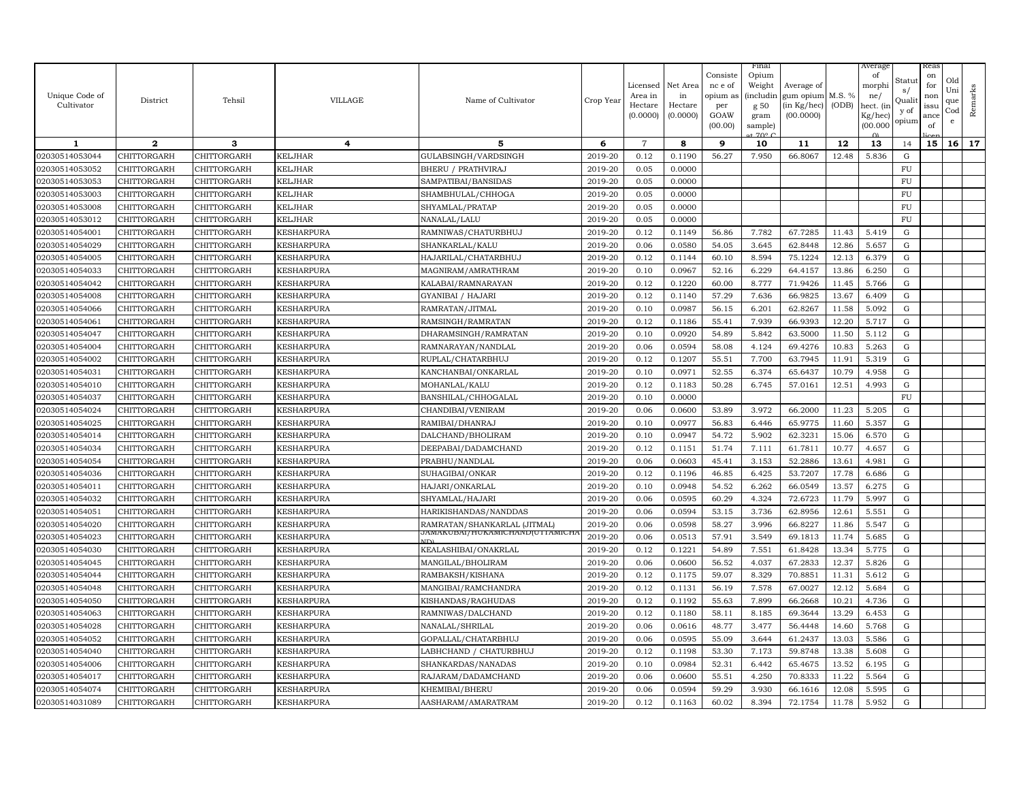| Unique Code of<br>Cultivator | District       | Tehsil             | VILLAGE           | Name of Cultivator              | Crop Year | Licensed<br>Area in<br>Hectare<br>(0.0000) | Net Area<br>in<br>Hectare<br>(0.0000) | Consiste<br>nc e of<br>opium as<br>per<br>GOAW<br>(00.00) | Final<br>Opium<br>Weight<br><i>(includin</i><br>g 50<br>gram<br>sample]<br>70° | Average of<br>gum opium<br>(in Kg/hec)<br>(00.0000) | M.S. %<br>(ODB) | <i><u><b>Werage</b></u></i><br>of<br>morphi<br>ne/<br>hect. (in<br>Kg/hec]<br>(00.000) | Statut<br>s/<br>Quali<br>y of<br>opium | on<br>for<br>nor<br>isst<br>ance<br>of | Old<br>Uni<br>que | Remarks |
|------------------------------|----------------|--------------------|-------------------|---------------------------------|-----------|--------------------------------------------|---------------------------------------|-----------------------------------------------------------|--------------------------------------------------------------------------------|-----------------------------------------------------|-----------------|----------------------------------------------------------------------------------------|----------------------------------------|----------------------------------------|-------------------|---------|
|                              | $\overline{2}$ | з                  | $\overline{4}$    | 5                               | 6         | $\overline{7}$                             | 8                                     | 9                                                         | 10                                                                             | 11                                                  | 12              | 13                                                                                     | 14                                     | 15                                     | 16 <sup>1</sup>   | 17      |
| 02030514053044               | CHITTORGARH    | CHITTORGARH        | KELJHAR           | GULABSINGH/VARDSINGH            | 2019-20   | 0.12                                       | 0.1190                                | 56.27                                                     | 7.950                                                                          | 66.8067                                             | 12.48           | 5.836                                                                                  | G                                      |                                        |                   |         |
| 02030514053052               | CHITTORGARH    | CHITTORGARH        | KELJHAR           | BHERU / PRATHVIRAJ              | 2019-20   | 0.05                                       | 0.0000                                |                                                           |                                                                                |                                                     |                 |                                                                                        | ${\rm FU}$                             |                                        |                   |         |
| 02030514053053               | CHITTORGARH    | CHITTORGARH        | KELJHAR           | SAMPATIBAI/BANSIDAS             | 2019-20   | 0.05                                       | 0.0000                                |                                                           |                                                                                |                                                     |                 |                                                                                        | ${\rm FU}$                             |                                        |                   |         |
| 02030514053003               | CHITTORGARH    | CHITTORGARH        | KELJHAR           | SHAMBHULAL/CHHOGA               | 2019-20   | 0.05                                       | 0.0000                                |                                                           |                                                                                |                                                     |                 |                                                                                        | ${\rm FU}$                             |                                        |                   |         |
| 02030514053008               | CHITTORGARH    | CHITTORGARH        | KELJHAR           | SHYAMLAL/PRATAP                 | 2019-20   | 0.05                                       | 0.0000                                |                                                           |                                                                                |                                                     |                 |                                                                                        | FU                                     |                                        |                   |         |
| 02030514053012               | CHITTORGARH    | CHITTORGARH        | KELJHAR           | NANALAL/LALU                    | 2019-20   | 0.05                                       | 0.0000                                |                                                           |                                                                                |                                                     |                 |                                                                                        | FU                                     |                                        |                   |         |
| 02030514054001               | CHITTORGARH    | CHITTORGARH        | KESHARPURA        | RAMNIWAS/CHATURBHUJ             | 2019-20   | 0.12                                       | 0.1149                                | 56.86                                                     | 7.782                                                                          | 67.7285                                             | 11.43           | 5.419                                                                                  | ${\rm G}$                              |                                        |                   |         |
| 02030514054029               | CHITTORGARH    | CHITTORGARH        | KESHARPURA        | SHANKARLAL/KALU                 | 2019-20   | 0.06                                       | 0.0580                                | 54.05                                                     | 3.645                                                                          | 62.8448                                             | 12.86           | 5.657                                                                                  | ${\rm G}$                              |                                        |                   |         |
| 02030514054005               | CHITTORGARH    | CHITTORGARH        | KESHARPURA        | HAJARILAL/CHATARBHUJ            | 2019-20   | 0.12                                       | 0.1144                                | 60.10                                                     | 8.594                                                                          | 75.1224                                             | 12.13           | 6.379                                                                                  | ${\rm G}$                              |                                        |                   |         |
| 02030514054033               | CHITTORGARH    | CHITTORGARH        | KESHARPURA        | MAGNIRAM/AMRATHRAM              | 2019-20   | 0.10                                       | 0.0967                                | 52.16                                                     | 6.229                                                                          | 64.4157                                             | 13.86           | 6.250                                                                                  | G                                      |                                        |                   |         |
| 02030514054042               | CHITTORGARH    | CHITTORGARH        | KESHARPURA        | KALABAI/RAMNARAYAN              | 2019-20   | 0.12                                       | 0.1220                                | 60.00                                                     | 8.777                                                                          | 71.9426                                             | 11.45           | 5.766                                                                                  | G                                      |                                        |                   |         |
| 02030514054008               | CHITTORGARH    | CHITTORGARH        | KESHARPURA        | GYANIBAI / HAJARI               | 2019-20   | 0.12                                       | 0.1140                                | 57.29                                                     | 7.636                                                                          | 66.9825                                             | 13.67           | 6.409                                                                                  | ${\rm G}$                              |                                        |                   |         |
| 02030514054066               | CHITTORGARH    | CHITTORGARH        | KESHARPURA        | RAMRATAN/JITMAL                 | 2019-20   | 0.10                                       | 0.0987                                | 56.15                                                     | 6.201                                                                          | 62.8267                                             | 11.58           | 5.092                                                                                  | ${\rm G}$                              |                                        |                   |         |
| 02030514054061               | CHITTORGARH    | CHITTORGARH        | KESHARPURA        | RAMSINGH/RAMRATAN               | 2019-20   | 0.12                                       | 0.1186                                | 55.41                                                     | 7.939                                                                          | 66.9393                                             | 12.20           | 5.717                                                                                  | G                                      |                                        |                   |         |
| 02030514054047               | CHITTORGARH    | CHITTORGARH        | KESHARPURA        | DHARAMSINGH/RAMRATAN            | 2019-20   | 0.10                                       | 0.0920                                | 54.89                                                     | 5.842                                                                          | 63.5000                                             | 11.50           | 5.112                                                                                  | ${\rm G}$                              |                                        |                   |         |
| 02030514054004               | CHITTORGARH    | CHITTORGARH        | KESHARPURA        | RAMNARAYAN/NANDLAL              | 2019-20   | 0.06                                       | 0.0594                                | 58.08                                                     | 4.124                                                                          | 69.4276                                             | 10.83           | 5.263                                                                                  | ${\rm G}$                              |                                        |                   |         |
| 02030514054002               | CHITTORGARH    | CHITTORGARH        | KESHARPURA        | RUPLAL/CHATARBHUJ               | 2019-20   | 0.12                                       | 0.1207                                | 55.51                                                     | 7.700                                                                          | 63.7945                                             | 11.91           | 5.319                                                                                  | G                                      |                                        |                   |         |
| 02030514054031               | CHITTORGARH    | CHITTORGARH        | KESHARPURA        | KANCHANBAI/ONKARLAL             | 2019-20   | 0.10                                       | 0.0971                                | 52.55                                                     | 6.374                                                                          | 65.6437                                             | 10.79           | 4.958                                                                                  | G                                      |                                        |                   |         |
| 02030514054010               | CHITTORGARH    | CHITTORGARH        | KESHARPURA        | MOHANLAL/KALU                   | 2019-20   | 0.12                                       | 0.1183                                | 50.28                                                     | 6.745                                                                          | 57.0161                                             | 12.51           | 4.993                                                                                  | ${\bf G}$                              |                                        |                   |         |
| 02030514054037               | CHITTORGARH    | CHITTORGARH        | KESHARPURA        | BANSHILAL/CHHOGALAL             | 2019-20   | 0.10                                       | 0.0000                                |                                                           |                                                                                |                                                     |                 |                                                                                        | FU                                     |                                        |                   |         |
| 02030514054024               | CHITTORGARH    | CHITTORGARH        | KESHARPURA        | CHANDIBAI/VENIRAM               | 2019-20   | 0.06                                       | 0.0600                                | 53.89                                                     | 3.972                                                                          | 66.2000                                             | 11.23           | 5.205                                                                                  | ${\rm G}$                              |                                        |                   |         |
| 02030514054025               | CHITTORGARH    | CHITTORGARH        | KESHARPURA        | RAMIBAI/DHANRAJ                 | 2019-20   | 0.10                                       | 0.0977                                | 56.83                                                     | 6.446                                                                          | 65.9775                                             | 11.60           | 5.357                                                                                  | G                                      |                                        |                   |         |
| 02030514054014               | CHITTORGARH    | CHITTORGARH        | KESHARPURA        | DALCHAND/BHOLIRAM               | 2019-20   | 0.10                                       | 0.0947                                | 54.72                                                     | 5.902                                                                          | 62.3231                                             | 15.06           | 6.570                                                                                  | G                                      |                                        |                   |         |
| 02030514054034               | CHITTORGARH    | CHITTORGARH        | KESHARPURA        | DEEPABAI/DADAMCHAND             | 2019-20   | 0.12                                       | 0.1151                                | 51.74                                                     | 7.111                                                                          | 61.7811                                             | 10.77           | 4.657                                                                                  | ${\rm G}$                              |                                        |                   |         |
| 02030514054054               | CHITTORGARH    | CHITTORGARH        | KESHARPURA        | PRABHU/NANDLAL                  | 2019-20   | 0.06                                       | 0.0603                                | 45.41                                                     | 3.153                                                                          | 52.2886                                             | 13.61           | 4.981                                                                                  | ${\rm G}$                              |                                        |                   |         |
| 02030514054036               | CHITTORGARH    | <b>CHITTORGARH</b> | KESHARPURA        | SUHAGIBAI/ONKAR                 | 2019-20   | 0.12                                       | 0.1196                                | 46.85                                                     | 6.425                                                                          | 53.7207                                             | 17.78           | 6.686                                                                                  | G                                      |                                        |                   |         |
| 02030514054011               | CHITTORGARH    | CHITTORGARH        | KESHARPURA        | HAJARI/ONKARLAL                 | 2019-20   | 0.10                                       | 0.0948                                | 54.52                                                     | 6.262                                                                          | 66.0549                                             | 13.57           | 6.275                                                                                  | ${\rm G}$                              |                                        |                   |         |
| 02030514054032               | CHITTORGARH    | CHITTORGARH        | KESHARPURA        | SHYAMLAL/HAJARI                 | 2019-20   | 0.06                                       | 0.0595                                | 60.29                                                     | 4.324                                                                          | 72.6723                                             | 11.79           | 5.997                                                                                  | ${\rm G}$                              |                                        |                   |         |
| 02030514054051               | CHITTORGARH    | CHITTORGARH        | KESHARPURA        | HARIKISHANDAS/NANDDAS           | 2019-20   | 0.06                                       | 0.0594                                | 53.15                                                     | 3.736                                                                          | 62.8956                                             | 12.61           | 5.551                                                                                  | G                                      |                                        |                   |         |
| 02030514054020               | CHITTORGARH    | CHITTORGARH        | KESHARPURA        | RAMRATAN/SHANKARLAL (JITMAL)    | 2019-20   | 0.06                                       | 0.0598                                | 58.27                                                     | 3.996                                                                          | 66.8227                                             | 11.86           | 5.547                                                                                  | $\mathbf G$                            |                                        |                   |         |
| 02030514054023               | CHITTORGARH    | CHITTORGARH        | KESHARPURA        | JAMAKUBAI/HUKAMICHAND(UTTAMICH/ | 2019-20   | 0.06                                       | 0.0513                                | 57.91                                                     | 3.549                                                                          | 69.1813                                             | 11.74           | 5.685                                                                                  | ${\rm G}$                              |                                        |                   |         |
| 02030514054030               | CHITTORGARH    | CHITTORGARH        | KESHARPURA        | KEALASHIBAI/ONAKRLAL            | 2019-20   | 0.12                                       | 0.1221                                | 54.89                                                     | 7.551                                                                          | 61.8428                                             | 13.34           | 5.775                                                                                  | ${\rm G}$                              |                                        |                   |         |
| 02030514054045               | CHITTORGARH    | CHITTORGARH        | KESHARPURA        | MANGILAL/BHOLIRAM               | 2019-20   | 0.06                                       | 0.0600                                | 56.52                                                     | 4.037                                                                          | 67.2833                                             | 12.37           | 5.826                                                                                  | $\mathbf G$                            |                                        |                   |         |
| 02030514054044               | CHITTORGARH    | CHITTORGARH        | KESHARPURA        | RAMBAKSH/KISHANA                | 2019-20   | 0.12                                       | 0.1175                                | 59.07                                                     | 8.329                                                                          | 70.8851                                             | 11.31           | 5.612                                                                                  | G                                      |                                        |                   |         |
| 02030514054048               | CHITTORGARH    | CHITTORGARH        | KESHARPURA        | MANGIBAI/RAMCHANDRA             | 2019-20   | 0.12                                       | 0.1131                                | 56.19                                                     | 7.578                                                                          | 67.0027                                             | 12.12           | 5.684                                                                                  | $\mathbf G$                            |                                        |                   |         |
| 02030514054050               | CHITTORGARH    | CHITTORGARH        | KESHARPURA        | KISHANDAS/RAGHUDAS              | 2019-20   | 0.12                                       | 0.1192                                | 55.63                                                     | 7.899                                                                          | 66.2668                                             | 10.21           | 4.736                                                                                  | ${\bf G}$                              |                                        |                   |         |
| 02030514054063               | CHITTORGARH    | CHITTORGARH        | KESHARPURA        | RAMNIWAS/DALCHAND               | 2019-20   | 0.12                                       | 0.1180                                | 58.11                                                     | 8.185                                                                          | 69.3644                                             | 13.29           | 6.453                                                                                  | G                                      |                                        |                   |         |
| 02030514054028               | CHITTORGARH    | CHITTORGARH        | KESHARPURA        | NANALAL/SHRILAL                 | 2019-20   | 0.06                                       | 0.0616                                | 48.77                                                     | 3.477                                                                          | 56.4448                                             | 14.60           | 5.768                                                                                  | G                                      |                                        |                   |         |
| 02030514054052               | CHITTORGARH    | CHITTORGARH        | KESHARPURA        | GOPALLAL/CHATARBHUJ             | 2019-20   | 0.06                                       | 0.0595                                | 55.09                                                     | 3.644                                                                          | 61.2437                                             | 13.03           | 5.586                                                                                  | G                                      |                                        |                   |         |
| 02030514054040               | CHITTORGARH    | CHITTORGARH        | <b>KESHARPURA</b> | LABHCHAND / CHATURBHUJ          | 2019-20   | 0.12                                       | 0.1198                                | 53.30                                                     | 7.173                                                                          | 59.8748                                             | 13.38           | 5.608                                                                                  | G                                      |                                        |                   |         |
| 02030514054006               | CHITTORGARH    | CHITTORGARH        | KESHARPURA        | SHANKARDAS/NANADAS              | 2019-20   | 0.10                                       | 0.0984                                | 52.31                                                     | 6.442                                                                          | 65.4675                                             | 13.52           | 6.195                                                                                  | ${\rm G}$                              |                                        |                   |         |
| 02030514054017               | CHITTORGARH    | CHITTORGARH        | KESHARPURA        | RAJARAM/DADAMCHAND              | 2019-20   | 0.06                                       | 0.0600                                | 55.51                                                     | 4.250                                                                          | 70.8333                                             | 11.22           | 5.564                                                                                  | G                                      |                                        |                   |         |
| 02030514054074               | CHITTORGARH    | CHITTORGARH        | KESHARPURA        | KHEMIBAI/BHERU                  | 2019-20   | 0.06                                       | 0.0594                                | 59.29                                                     | 3.930                                                                          | 66.1616                                             | 12.08           | 5.595                                                                                  | ${\rm G}$                              |                                        |                   |         |
| 02030514031089               | CHITTORGARH    | CHITTORGARH        | KESHARPURA        | AASHARAM/AMARATRAM              | 2019-20   | 0.12                                       | 0.1163                                | 60.02                                                     | 8.394                                                                          | 72.1754                                             | 11.78           | 5.952                                                                                  | ${\rm G}$                              |                                        |                   |         |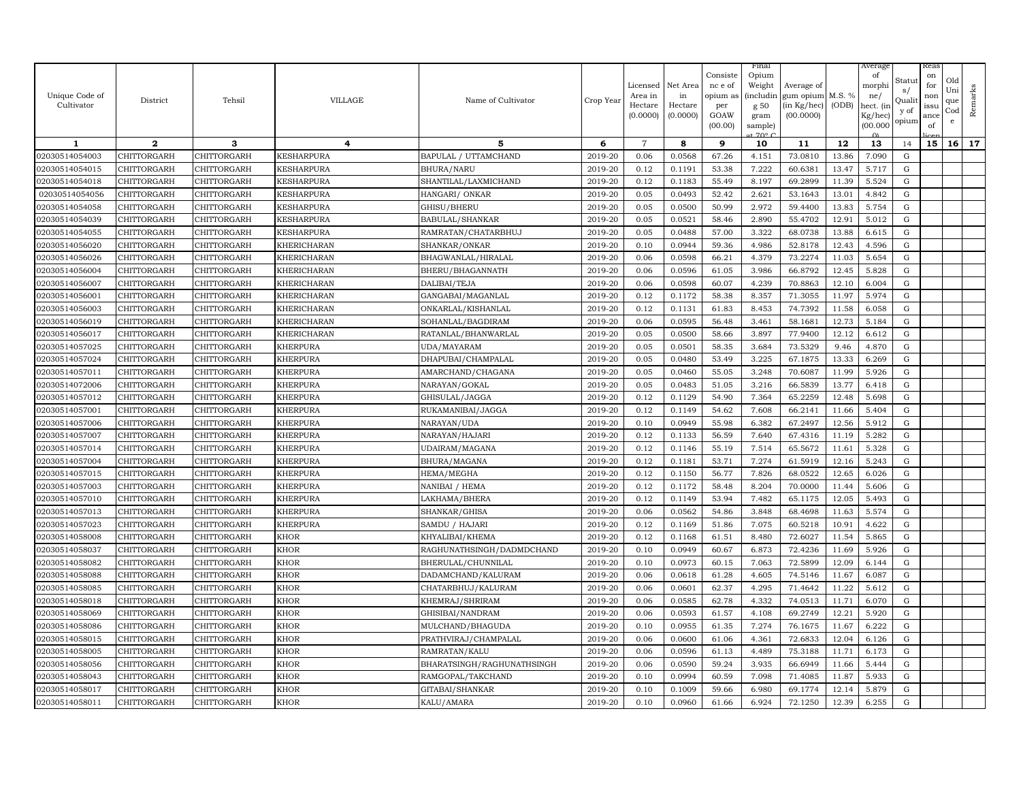| Unique Code of<br>Cultivator | District       | Tehsil      | VILLAGE            | Name of Cultivator         | Crop Year | Licensed<br>Area in<br>Hectare<br>(0.0000) | Net Area<br>in<br>Hectare<br>(0.0000) | Consiste<br>nc e of<br>opium as<br>per<br>GOAW<br>(00.00) | Final<br>Opium<br>Weight<br><i>(includin</i><br>g 50<br>gram<br>sample]<br>70° | Average of<br>gum opium M.S. %<br>(in Kg/hec)<br>(00.0000) | (ODB) | Averag<br>of<br>morphi<br>ne/<br>hect. (in<br>Kg/hec<br>(00.000) | Statut<br>s/<br>Quali<br>y of<br>opium | on<br>for<br>nor<br>isst<br>ance<br>of | Old<br>Uni<br>que<br>Cod | Remarks |
|------------------------------|----------------|-------------|--------------------|----------------------------|-----------|--------------------------------------------|---------------------------------------|-----------------------------------------------------------|--------------------------------------------------------------------------------|------------------------------------------------------------|-------|------------------------------------------------------------------|----------------------------------------|----------------------------------------|--------------------------|---------|
| -1                           | $\overline{2}$ | 3           | $\overline{4}$     | 5                          | 6         | $\overline{7}$                             | 8                                     | 9                                                         | 10                                                                             | 11                                                         | 12    | 13                                                               | 14                                     | 15                                     | 16 <sup>1</sup>          | 17      |
| 02030514054003               | CHITTORGARH    | CHITTORGARH | <b>KESHARPURA</b>  | BAPULAL / UTTAMCHAND       | 2019-20   | 0.06                                       | 0.0568                                | 67.26                                                     | 4.151                                                                          | 73.0810                                                    | 13.86 | 7.090                                                            | ${\rm G}$                              |                                        |                          |         |
| 02030514054015               | CHITTORGARH    | CHITTORGARH | KESHARPURA         | BHURA/NARU                 | 2019-20   | 0.12                                       | 0.1191                                | 53.38                                                     | 7.222                                                                          | 60.6381                                                    | 13.47 | 5.717                                                            | G                                      |                                        |                          |         |
| 02030514054018               | CHITTORGARH    | CHITTORGARH | KESHARPURA         | SHANTILAL/LAXMICHAND       | 2019-20   | 0.12                                       | 0.1183                                | 55.49                                                     | 8.197                                                                          | 69.2899                                                    | 11.39 | 5.524                                                            | G                                      |                                        |                          |         |
| 02030514054056               | CHITTORGARH    | CHITTORGARH | KESHARPURA         | HANGARI/ ONKAR             | 2019-20   | 0.05                                       | 0.0493                                | 52.42                                                     | 2.621                                                                          | 53.1643                                                    | 13.01 | 4.842                                                            | G                                      |                                        |                          |         |
| 02030514054058               | CHITTORGARH    | CHITTORGARH | KESHARPURA         | GHISU/BHERU                | 2019-20   | 0.05                                       | 0.0500                                | 50.99                                                     | 2.972                                                                          | 59.4400                                                    | 13.83 | 5.754                                                            | G                                      |                                        |                          |         |
| 02030514054039               | CHITTORGARH    | CHITTORGARH | KESHARPURA         | BABULAL/SHANKAR            | 2019-20   | 0.05                                       | 0.0521                                | 58.46                                                     | 2.890                                                                          | 55.4702                                                    | 12.91 | 5.012                                                            | G                                      |                                        |                          |         |
| 02030514054055               | CHITTORGARH    | CHITTORGARH | KESHARPURA         | RAMRATAN/CHATARBHUJ        | 2019-20   | 0.05                                       | 0.0488                                | 57.00                                                     | 3.322                                                                          | 68.0738                                                    | 13.88 | 6.615                                                            | G                                      |                                        |                          |         |
| 02030514056020               | CHITTORGARH    | CHITTORGARH | KHERICHARAN        | SHANKAR/ONKAR              | 2019-20   | 0.10                                       | 0.0944                                | 59.36                                                     | 4.986                                                                          | 52.8178                                                    | 12.43 | 4.596                                                            | G                                      |                                        |                          |         |
| 02030514056026               | CHITTORGARH    | CHITTORGARH | KHERICHARAN        | BHAGWANLAL/HIRALAL         | 2019-20   | 0.06                                       | 0.0598                                | 66.21                                                     | 4.379                                                                          | 73.2274                                                    | 11.03 | 5.654                                                            | G                                      |                                        |                          |         |
| 02030514056004               | CHITTORGARH    | CHITTORGARH | KHERICHARAN        | BHERU/BHAGANNATH           | 2019-20   | 0.06                                       | 0.0596                                | 61.05                                                     | 3.986                                                                          | 66.8792                                                    | 12.45 | 5.828                                                            | ${\rm G}$                              |                                        |                          |         |
| 02030514056007               | CHITTORGARH    | CHITTORGARH | KHERICHARAN        | DALIBAI/TEJA               | 2019-20   | 0.06                                       | 0.0598                                | 60.07                                                     | 4.239                                                                          | 70.8863                                                    | 12.10 | 6.004                                                            | ${\rm G}$                              |                                        |                          |         |
| 02030514056001               | CHITTORGARH    | CHITTORGARH | KHERICHARAN        | GANGABAI/MAGANLAL          | 2019-20   | 0.12                                       | 0.1172                                | 58.38                                                     | 8.357                                                                          | 71.3055                                                    | 11.97 | 5.974                                                            | G                                      |                                        |                          |         |
| 02030514056003               | CHITTORGARH    | CHITTORGARH | KHERICHARAN        | ONKARLAL/KISHANLAL         | 2019-20   | 0.12                                       | 0.1131                                | 61.83                                                     | 8.453                                                                          | 74.7392                                                    | 11.58 | 6.058                                                            | ${\rm G}$                              |                                        |                          |         |
| 02030514056019               | CHITTORGARH    | CHITTORGARH | <b>KHERICHARAN</b> | SOHANLAL/BAGDIRAM          | 2019-20   | 0.06                                       | 0.0595                                | 56.48                                                     | 3.461                                                                          | 58.1681                                                    | 12.73 | 5.184                                                            | ${\rm G}$                              |                                        |                          |         |
| 02030514056017               | CHITTORGARH    | CHITTORGARH | KHERICHARAN        | RATANLAL/BHANWARLAL        | 2019-20   | 0.05                                       | 0.0500                                | 58.66                                                     | 3.897                                                                          | 77.9400                                                    | 12.12 | 6.612                                                            | ${\rm G}$                              |                                        |                          |         |
| 02030514057025               | CHITTORGARH    | CHITTORGARH | KHERPURA           | UDA/MAYARAM                | 2019-20   | 0.05                                       | 0.0501                                | 58.35                                                     | 3.684                                                                          | 73.5329                                                    | 9.46  | 4.870                                                            | ${\rm G}$                              |                                        |                          |         |
| 02030514057024               | CHITTORGARH    | CHITTORGARH | KHERPURA           | DHAPUBAI/CHAMPALAL         | 2019-20   | 0.05                                       | 0.0480                                | 53.49                                                     | 3.225                                                                          | 67.1875                                                    | 13.33 | 6.269                                                            | ${\rm G}$                              |                                        |                          |         |
| 02030514057011               | CHITTORGARH    | CHITTORGARH | KHERPURA           | AMARCHAND/CHAGANA          | 2019-20   | 0.05                                       | 0.0460                                | 55.05                                                     | 3.248                                                                          | 70.6087                                                    | 11.99 | 5.926                                                            | ${\rm G}$                              |                                        |                          |         |
| 02030514072006               | CHITTORGARH    | CHITTORGARH | KHERPURA           | NARAYAN/GOKAL              | 2019-20   | 0.05                                       | 0.0483                                | 51.05                                                     | 3.216                                                                          | 66.5839                                                    | 13.77 | 6.418                                                            | G                                      |                                        |                          |         |
| 02030514057012               | CHITTORGARH    | CHITTORGARH | KHERPURA           | GHISULAL/JAGGA             | 2019-20   | 0.12                                       | 0.1129                                | 54.90                                                     | 7.364                                                                          | 65.2259                                                    | 12.48 | 5.698                                                            | G                                      |                                        |                          |         |
| 02030514057001               | CHITTORGARH    | CHITTORGARH | KHERPURA           | RUKAMANIBAI/JAGGA          | 2019-20   | 0.12                                       | 0.1149                                | 54.62                                                     | 7.608                                                                          | 66.2141                                                    | 11.66 | 5.404                                                            | G                                      |                                        |                          |         |
| 02030514057006               | CHITTORGARH    | CHITTORGARH | KHERPURA           | NARAYAN/UDA                | 2019-20   | 0.10                                       | 0.0949                                | 55.98                                                     | 6.382                                                                          | 67.2497                                                    | 12.56 | 5.912                                                            | ${\rm G}$                              |                                        |                          |         |
| 02030514057007               | CHITTORGARH    | CHITTORGARH | KHERPURA           | NARAYAN/HAJARI             | 2019-20   | 0.12                                       | 0.1133                                | 56.59                                                     | 7.640                                                                          | 67.4316                                                    | 11.19 | 5.282                                                            | ${\rm G}$                              |                                        |                          |         |
| 02030514057014               | CHITTORGARH    | CHITTORGARH | KHERPURA           | UDAIRAM/MAGANA             | 2019-20   | 0.12                                       | 0.1146                                | 55.19                                                     | 7.514                                                                          | 65.5672                                                    | 11.61 | 5.328                                                            | G                                      |                                        |                          |         |
| 02030514057004               | CHITTORGARH    | CHITTORGARH | KHERPURA           | BHURA/MAGANA               | 2019-20   | 0.12                                       | 0.1181                                | 53.71                                                     | 7.274                                                                          | 61.5919                                                    | 12.16 | 5.243                                                            | G                                      |                                        |                          |         |
| 02030514057015               | CHITTORGARH    | CHITTORGARH | KHERPURA           | HEMA/MEGHA                 | 2019-20   | 0.12                                       | 0.1150                                | 56.77                                                     | 7.826                                                                          | 68.0522                                                    | 12.65 | 6.026                                                            | ${\rm G}$                              |                                        |                          |         |
| 02030514057003               | CHITTORGARH    | CHITTORGARH | KHERPURA           | NANIBAI / HEMA             | 2019-20   | 0.12                                       | 0.1172                                | 58.48                                                     | 8.204                                                                          | 70.0000                                                    | 11.44 | 5.606                                                            | G                                      |                                        |                          |         |
| 02030514057010               | CHITTORGARH    | CHITTORGARH | KHERPURA           | AKHAMA/BHERA               | 2019-20   | 0.12                                       | 0.1149                                | 53.94                                                     | 7.482                                                                          | 65.1175                                                    | 12.05 | 5.493                                                            | ${\rm G}$                              |                                        |                          |         |
| 02030514057013               | CHITTORGARH    | CHITTORGARH | KHERPURA           | SHANKAR/GHISA              | 2019-20   | 0.06                                       | 0.0562                                | 54.86                                                     | 3.848                                                                          | 68.4698                                                    | 11.63 | 5.574                                                            | G                                      |                                        |                          |         |
| 02030514057023               | CHITTORGARH    | CHITTORGARH | KHERPURA           | SAMDU / HAJARI             | 2019-20   | 0.12                                       | 0.1169                                | 51.86                                                     | 7.075                                                                          | 60.5218                                                    | 10.91 | 4.622                                                            | ${\rm G}$                              |                                        |                          |         |
| 02030514058008               | CHITTORGARH    | CHITTORGARH | KHOR               | KHYALIBAI/KHEMA            | 2019-20   | 0.12                                       | 0.1168                                | 61.51                                                     | 8.480                                                                          | 72.6027                                                    | 11.54 | 5.865                                                            | G                                      |                                        |                          |         |
| 02030514058037               | CHITTORGARH    | CHITTORGARH | KHOR               | RAGHUNATHSINGH/DADMDCHAND  | 2019-20   | 0.10                                       | 0.0949                                | 60.67                                                     | 6.873                                                                          | 72.4236                                                    | 11.69 | 5.926                                                            | ${\rm G}$                              |                                        |                          |         |
| 02030514058082               | CHITTORGARH    | CHITTORGARH | KHOR               | BHERULAL/CHUNNILAL         | 2019-20   | 0.10                                       | 0.0973                                | 60.15                                                     | 7.063                                                                          | 72.5899                                                    | 12.09 | 6.144                                                            | ${\rm G}$                              |                                        |                          |         |
| 02030514058088               | CHITTORGARH    | CHITTORGARH | KHOR               | DADAMCHAND/KALURAM         | 2019-20   | 0.06                                       | 0.0618                                | 61.28                                                     | 4.605                                                                          | 74.5146                                                    | 11.67 | 6.087                                                            | ${\rm G}$                              |                                        |                          |         |
| 02030514058085               | CHITTORGARH    | CHITTORGARH | KHOR               | CHATARBHUJ/KALURAM         | 2019-20   | 0.06                                       | 0.0601                                | 62.37                                                     | 4.295                                                                          | 71.4642                                                    | 11.22 | 5.612                                                            | ${\rm G}$                              |                                        |                          |         |
| 02030514058018               | CHITTORGARH    | CHITTORGARH | KHOR               | KHEMRAJ/SHRIRAM            | 2019-20   | 0.06                                       | 0.0585                                | 62.78                                                     | 4.332                                                                          | 74.0513                                                    | 11.71 | 6.070                                                            | G                                      |                                        |                          |         |
| 02030514058069               | CHITTORGARH    | CHITTORGARH | KHOR               | GHISIBAI/NANDRAM           | 2019-20   | 0.06                                       | 0.0593                                | 61.57                                                     | 4.108                                                                          | 69.2749                                                    | 12.21 | 5.920                                                            | G                                      |                                        |                          |         |
| 02030514058086               | CHITTORGARH    | CHITTORGARH | KHOR               | MULCHAND/BHAGUDA           | 2019-20   | 0.10                                       | 0.0955                                | 61.35                                                     | 7.274                                                                          | 76.1675                                                    | 11.67 | 6.222                                                            | G                                      |                                        |                          |         |
| 02030514058015               | CHITTORGARH    | CHITTORGARH | KHOR               | PRATHVIRAJ/CHAMPALAL       | 2019-20   | 0.06                                       | 0.0600                                | 61.06                                                     | 4.361                                                                          | 72.6833                                                    | 12.04 | 6.126                                                            | ${\rm G}$                              |                                        |                          |         |
| 02030514058005               | CHITTORGARH    | CHITTORGARH | KHOR               | RAMRATAN/KALU              | 2019-20   | 0.06                                       | 0.0596                                | 61.13                                                     | 4.489                                                                          | 75.3188                                                    | 11.71 | 6.173                                                            | G                                      |                                        |                          |         |
| 02030514058056               | CHITTORGARH    | CHITTORGARH | KHOR               | BHARATSINGH/RAGHUNATHSINGH | 2019-20   | 0.06                                       | 0.0590                                | 59.24                                                     | 3.935                                                                          | 66.6949                                                    | 11.66 | 5.444                                                            | G                                      |                                        |                          |         |
| 02030514058043               | CHITTORGARH    | CHITTORGARH | KHOR               | RAMGOPAL/TAKCHAND          | 2019-20   | 0.10                                       | 0.0994                                | 60.59                                                     | 7.098                                                                          | 71.4085                                                    | 11.87 | 5.933                                                            | ${\rm G}$                              |                                        |                          |         |
| 02030514058017               | CHITTORGARH    | CHITTORGARH | KHOR               | GITABAI/SHANKAR            | 2019-20   | 0.10                                       | 0.1009                                | 59.66                                                     | 6.980                                                                          | 69.1774                                                    | 12.14 | 5.879                                                            | ${\rm G}$                              |                                        |                          |         |
| 02030514058011               | CHITTORGARH    | CHITTORGARH | KHOR               | KALU/AMARA                 | 2019-20   | 0.10                                       | 0.0960                                | 61.66                                                     | 6.924                                                                          | 72.1250                                                    | 12.39 | 6.255                                                            | ${\rm G}$                              |                                        |                          |         |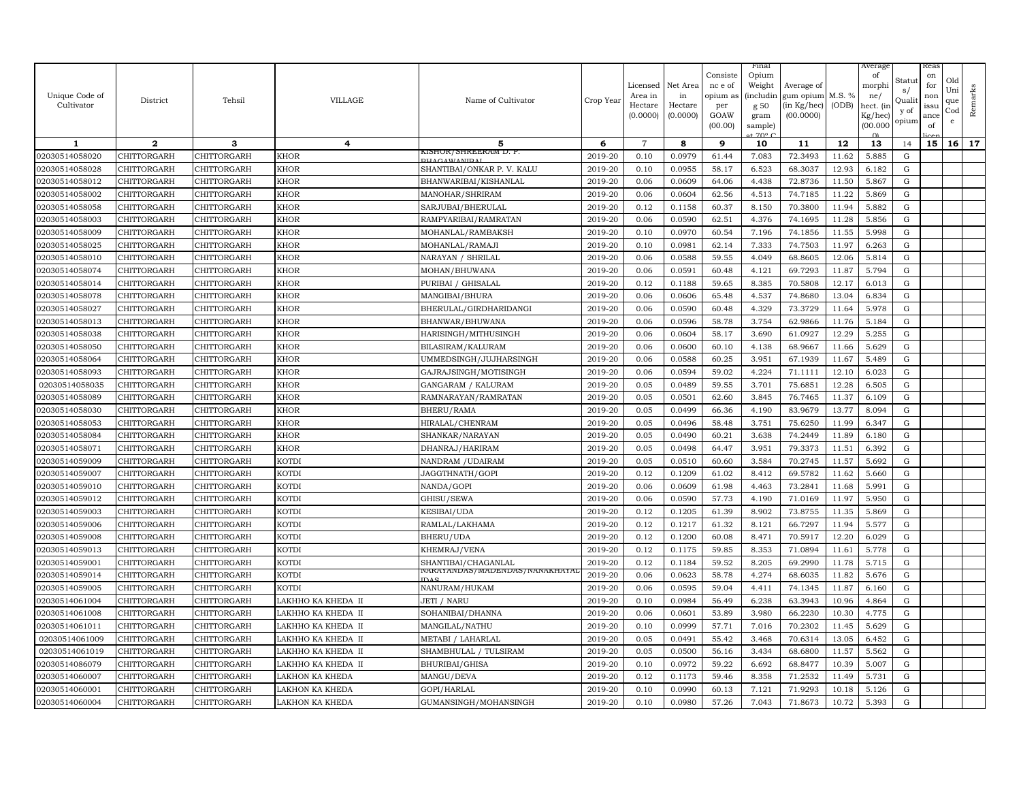| Unique Code of<br>Cultivator | District       | Tehsil             | VILLAGE            | Name of Cultivator                                     | Crop Year | Licensed<br>Area in<br>Hectare<br>(0.0000) | Net Area<br>in<br>Hectare<br>(0.0000) | Consiste<br>nc e of<br>opium as<br>per<br>GOAW<br>(00.00) | Final<br>Opium<br>Weight<br><i>(includin</i><br>g 50<br>gram<br>sample]<br>$70^\circ$ | Average of<br>gum opium M.S. %<br>(in Kg/hec)<br>(00.0000) | (ODB) | <i><u><b>Werage</b></u></i><br>of<br>morphi<br>ne/<br>hect. (in<br>Kg/hec<br>(00.000) | Statu<br>s/<br>Quali<br>y of<br>opium | on<br>for<br>noi<br>isst<br>ance<br>of | blG<br>Uni<br>que | Remarks |
|------------------------------|----------------|--------------------|--------------------|--------------------------------------------------------|-----------|--------------------------------------------|---------------------------------------|-----------------------------------------------------------|---------------------------------------------------------------------------------------|------------------------------------------------------------|-------|---------------------------------------------------------------------------------------|---------------------------------------|----------------------------------------|-------------------|---------|
|                              | $\overline{2}$ | з                  | 4                  | 5<br>KISHOR/SHREERAM D. P.                             | 6         | $\overline{7}$                             | 8                                     | 9                                                         | 10                                                                                    | 11                                                         | 12    | 13                                                                                    | 14                                    | 15                                     | 16                | 17      |
| 02030514058020               | CHITTORGARH    | CHITTORGARH        | KHOR               |                                                        | 2019-20   | 0.10                                       | 0.0979                                | 61.44                                                     | 7.083                                                                                 | 72.3493                                                    | 11.62 | 5.885                                                                                 | G                                     |                                        |                   |         |
| 02030514058028               | CHITTORGARH    | CHITTORGARH        | KHOR               | SHANTIBAI/ONKAR P. V. KALU                             | 2019-20   | 0.10                                       | 0.0955                                | 58.17                                                     | 6.523                                                                                 | 68.3037                                                    | 12.93 | 6.182                                                                                 | G                                     |                                        |                   |         |
| 02030514058012               | CHITTORGARH    | CHITTORGARH        | KHOR               | BHANWARIBAI/KISHANLAL                                  | 2019-20   | 0.06                                       | 0.0609                                | 64.06                                                     | 4.438                                                                                 | 72.8736                                                    | 11.50 | 5.867                                                                                 | G                                     |                                        |                   |         |
| 02030514058002               | CHITTORGARH    | CHITTORGARH        | KHOR               | MANOHAR/SHRIRAM                                        | 2019-20   | 0.06                                       | 0.0604                                | 62.56                                                     | 4.513                                                                                 | 74.7185                                                    | 11.22 | 5.869                                                                                 | ${\rm G}$                             |                                        |                   |         |
| 02030514058058               | CHITTORGARH    | CHITTORGARH        | KHOR               | SARJUBAI/BHERULAL                                      | 2019-20   | 0.12                                       | 0.1158                                | 60.37                                                     | 8.150                                                                                 | 70.3800                                                    | 11.94 | 5.882                                                                                 | G                                     |                                        |                   |         |
| 02030514058003               | CHITTORGARH    | CHITTORGARH        | KHOR               | RAMPYARIBAI/RAMRATAN                                   | 2019-20   | 0.06                                       | 0.0590                                | 62.51                                                     | 4.376                                                                                 | 74.1695                                                    | 11.28 | 5.856                                                                                 | G                                     |                                        |                   |         |
| 02030514058009               | CHITTORGARH    | CHITTORGARH        | KHOR               | MOHANLAL/RAMBAKSH                                      | 2019-20   | 0.10                                       | 0.0970                                | 60.54                                                     | 7.196                                                                                 | 74.1856                                                    | 11.55 | 5.998                                                                                 | ${\rm G}$                             |                                        |                   |         |
| 02030514058025               | CHITTORGARH    | CHITTORGARH        | KHOR               | MOHANLAL/RAMAJI                                        | 2019-20   | 0.10                                       | 0.0981                                | 62.14                                                     | 7.333                                                                                 | 74.7503                                                    | 11.97 | 6.263                                                                                 | G                                     |                                        |                   |         |
| 02030514058010               | CHITTORGARH    | CHITTORGARH        | KHOR               | NARAYAN / SHRILAL                                      | 2019-20   | 0.06                                       | 0.0588                                | 59.55                                                     | 4.049                                                                                 | 68.8605                                                    | 12.06 | 5.814                                                                                 | ${\rm G}$                             |                                        |                   |         |
| 02030514058074               | CHITTORGARH    | CHITTORGARH        | KHOR               | MOHAN/BHUWANA                                          | 2019-20   | 0.06                                       | 0.0591                                | 60.48                                                     | 4.121                                                                                 | 69.7293                                                    | 11.87 | 5.794                                                                                 | G                                     |                                        |                   |         |
| 02030514058014               | CHITTORGARH    | CHITTORGARH        | KHOR               | PURIBAI / GHISALAL                                     | 2019-20   | 0.12                                       | 0.1188                                | 59.65                                                     | 8.385                                                                                 | 70.5808                                                    | 12.17 | 6.013                                                                                 | ${\rm G}$                             |                                        |                   |         |
| 02030514058078               | CHITTORGARH    | CHITTORGARH        | KHOR               | MANGIBAI/BHURA                                         | 2019-20   | 0.06                                       | 0.0606                                | 65.48                                                     | 4.537                                                                                 | 74.8680                                                    | 13.04 | 6.834                                                                                 | ${\rm G}$                             |                                        |                   |         |
| 02030514058027               | CHITTORGARH    | CHITTORGARH        | KHOR               | BHERULAL/GIRDHARIDANGI                                 | 2019-20   | 0.06                                       | 0.0590                                | 60.48                                                     | 4.329                                                                                 | 73.3729                                                    | 11.64 | 5.978                                                                                 | ${\rm G}$                             |                                        |                   |         |
| 02030514058013               | CHITTORGARH    | CHITTORGARH        | KHOR               | BHANWAR/BHUWANA                                        | 2019-20   | 0.06                                       | 0.0596                                | 58.78                                                     | 3.754                                                                                 | 62.9866                                                    | 11.76 | 5.184                                                                                 | G                                     |                                        |                   |         |
| 02030514058038               | CHITTORGARH    | CHITTORGARH        | KHOR               | HARISINGH/MITHUSINGH                                   | 2019-20   | 0.06                                       | 0.0604                                | 58.17                                                     | 3.690                                                                                 | 61.0927                                                    | 12.29 | 5.255                                                                                 | ${\rm G}$                             |                                        |                   |         |
| 02030514058050               | CHITTORGARH    | CHITTORGARH        | KHOR               | BILASIRAM/KALURAM                                      | 2019-20   | 0.06                                       | 0.0600                                | 60.10                                                     | 4.138                                                                                 | 68.9667                                                    | 11.66 | 5.629                                                                                 | ${\rm G}$                             |                                        |                   |         |
| 02030514058064               | CHITTORGARH    | CHITTORGARH        | KHOR               | UMMEDSINGH/JUJHARSINGH                                 | 2019-20   | 0.06                                       | 0.0588                                | 60.25                                                     | 3.951                                                                                 | 67.1939                                                    | 11.67 | 5.489                                                                                 | G                                     |                                        |                   |         |
| 02030514058093               | CHITTORGARH    | CHITTORGARH        | KHOR               | GAJRAJSINGH/MOTISINGH                                  | 2019-20   | 0.06                                       | 0.0594                                | 59.02                                                     | 4.224                                                                                 | 71.1111                                                    | 12.10 | 6.023                                                                                 | G                                     |                                        |                   |         |
| 02030514058035               | CHITTORGARH    | CHITTORGARH        | KHOR               | GANGARAM / KALURAM                                     | 2019-20   | 0.05                                       | 0.0489                                | 59.55                                                     | 3.701                                                                                 | 75.6851                                                    | 12.28 | 6.505                                                                                 | ${\bf G}$                             |                                        |                   |         |
| 02030514058089               | CHITTORGARH    | CHITTORGARH        | KHOR               | RAMNARAYAN/RAMRATAN                                    | 2019-20   | 0.05                                       | 0.0501                                | 62.60                                                     | 3.845                                                                                 | 76.7465                                                    | 11.37 | 6.109                                                                                 | ${\bf G}$                             |                                        |                   |         |
| 02030514058030               | CHITTORGARH    | CHITTORGARH        | KHOR               | BHERU/RAMA                                             | 2019-20   | 0.05                                       | 0.0499                                | 66.36                                                     | 4.190                                                                                 | 83.9679                                                    | 13.77 | 8.094                                                                                 | G                                     |                                        |                   |         |
| 02030514058053               | CHITTORGARH    | CHITTORGARH        | KHOR               | HIRALAL/CHENRAM                                        | 2019-20   | 0.05                                       | 0.0496                                | 58.48                                                     | 3.751                                                                                 | 75.6250                                                    | 11.99 | 6.347                                                                                 | G                                     |                                        |                   |         |
| 02030514058084               | CHITTORGARH    | CHITTORGARH        | KHOR               | SHANKAR/NARAYAN                                        | 2019-20   | 0.05                                       | 0.0490                                | 60.21                                                     | 3.638                                                                                 | 74.2449                                                    | 11.89 | 6.180                                                                                 | G                                     |                                        |                   |         |
| 02030514058071               | CHITTORGARH    | CHITTORGARH        | KHOR               | DHANRAJ/HARIRAM                                        | 2019-20   | 0.05                                       | 0.0498                                | 64.47                                                     | 3.951                                                                                 | 79.3373                                                    | 11.51 | 6.392                                                                                 | ${\rm G}$                             |                                        |                   |         |
| 02030514059009               | CHITTORGARH    | CHITTORGARH        | KOTDI              | NANDRAM / UDAIRAM                                      | 2019-20   | 0.05                                       | 0.0510                                | 60.60                                                     | 3.584                                                                                 | 70.2745                                                    | 11.57 | 5.692                                                                                 | ${\rm G}$                             |                                        |                   |         |
| 02030514059007               | CHITTORGARH    | <b>CHITTORGARH</b> | KOTDI              | JAGGTHNATH/GOPI                                        | 2019-20   | 0.12                                       | 0.1209                                | 61.02                                                     | 8.412                                                                                 | 69.5782                                                    | 11.62 | 5.660                                                                                 | G                                     |                                        |                   |         |
| 02030514059010               | CHITTORGARH    | CHITTORGARH        | KOTDI              | NANDA/GOPI                                             | 2019-20   | 0.06                                       | 0.0609                                | 61.98                                                     | 4.463                                                                                 | 73.2841                                                    | 11.68 | 5.991                                                                                 | ${\rm G}$                             |                                        |                   |         |
| 02030514059012               | CHITTORGARH    | CHITTORGARH        | KOTDI              | GHISU/SEWA                                             | 2019-20   | 0.06                                       | 0.0590                                | 57.73                                                     | 4.190                                                                                 | 71.0169                                                    | 11.97 | 5.950                                                                                 | ${\rm G}$                             |                                        |                   |         |
| 02030514059003               | CHITTORGARH    | CHITTORGARH        | KOTDI              | KESIBAI/UDA                                            | 2019-20   | 0.12                                       | 0.1205                                | 61.39                                                     | 8.902                                                                                 | 73.8755                                                    | 11.35 | 5.869                                                                                 | ${\rm G}$                             |                                        |                   |         |
| 02030514059006               | CHITTORGARH    | CHITTORGARH        | KOTDI              | RAMLAL/LAKHAMA                                         | 2019-20   | 0.12                                       | 0.1217                                | 61.32                                                     | 8.121                                                                                 | 66.7297                                                    | 11.94 | 5.577                                                                                 | $\mathbf G$                           |                                        |                   |         |
| 02030514059008               | CHITTORGARH    | CHITTORGARH        | KOTDI              | BHERU/UDA                                              | 2019-20   | 0.12                                       | 0.1200                                | 60.08                                                     | 8.471                                                                                 | 70.5917                                                    | 12.20 | 6.029                                                                                 | ${\rm G}$                             |                                        |                   |         |
| 02030514059013               | CHITTORGARH    | CHITTORGARH        | KOTDI              | KHEMRAJ/VENA                                           | 2019-20   | 0.12                                       | 0.1175                                | 59.85                                                     | 8.353                                                                                 | 71.0894                                                    | 11.61 | 5.778                                                                                 | ${\rm G}$                             |                                        |                   |         |
| 02030514059001               | CHITTORGARH    | CHITTORGARH        | KOTDI              | SHANTIBAI/CHAGANLAL<br>NARAYANDAS/ MADENDAS/ NANAKHAYA | 2019-20   | 0.12                                       | 0.1184                                | 59.52                                                     | 8.205                                                                                 | 69.2990                                                    | 11.78 | 5.715                                                                                 | ${\rm G}$                             |                                        |                   |         |
| 02030514059014               | CHITTORGARH    | CHITTORGARH        | KOTDI              |                                                        | 2019-20   | 0.06                                       | 0.0623                                | 58.78                                                     | 4.274                                                                                 | 68.6035                                                    | 11.82 | 5.676                                                                                 | G                                     |                                        |                   |         |
| 02030514059005               | CHITTORGARH    | CHITTORGARH        | KOTDI              | NANURAM/HUKAM                                          | 2019-20   | 0.06                                       | 0.0595                                | 59.04                                                     | 4.411                                                                                 | 74.1345                                                    | 11.87 | 6.160                                                                                 | ${\bf G}$                             |                                        |                   |         |
| 02030514061004               | CHITTORGARH    | CHITTORGARH        | LAKHHO KA KHEDA II | JETI / NARU                                            | 2019-20   | 0.10                                       | 0.0984                                | 56.49                                                     | 6.238                                                                                 | 63.3943                                                    | 10.96 | 4.864                                                                                 | $\mathbf G$                           |                                        |                   |         |
| 02030514061008               | CHITTORGARH    | CHITTORGARH        | LAKHHO KA KHEDA II | SOHANIBAI/DHANNA                                       | 2019-20   | 0.06                                       | 0.0601                                | 53.89                                                     | 3.980                                                                                 | 66.2230                                                    | 10.30 | 4.775                                                                                 | G                                     |                                        |                   |         |
| 02030514061011               | CHITTORGARH    | CHITTORGARH        | LAKHHO KA KHEDA II | MANGILAL/NATHU                                         | 2019-20   | 0.10                                       | 0.0999                                | 57.71                                                     | 7.016                                                                                 | 70.2302                                                    | 11.45 | 5.629                                                                                 | G                                     |                                        |                   |         |
| 02030514061009               | CHITTORGARH    | CHITTORGARH        | LAKHHO KA KHEDA II | METABI / LAHARLAL                                      | 2019-20   | 0.05                                       | 0.0491                                | 55.42                                                     | 3.468                                                                                 | 70.6314                                                    | 13.05 | 6.452                                                                                 | G                                     |                                        |                   |         |
| 02030514061019               | CHITTORGARH    | CHITTORGARH        | LAKHHO KA KHEDA II | SHAMBHULAL / TULSIRAM                                  | 2019-20   | 0.05                                       | 0.0500                                | 56.16                                                     | 3.434                                                                                 | 68.6800                                                    | 11.57 | 5.562                                                                                 | ${\rm G}$                             |                                        |                   |         |
| 02030514086079               | CHITTORGARH    | CHITTORGARH        | LAKHHO KA KHEDA II | BHURIBAI/GHISA                                         | 2019-20   | 0.10                                       | 0.0972                                | 59.22                                                     | 6.692                                                                                 | 68.8477                                                    | 10.39 | 5.007                                                                                 | G                                     |                                        |                   |         |
| 02030514060007               | CHITTORGARH    | CHITTORGARH        | LAKHON KA KHEDA    | MANGU/DEVA                                             | 2019-20   | 0.12                                       | 0.1173                                | 59.46                                                     | 8.358                                                                                 | 71.2532                                                    | 11.49 | 5.731                                                                                 | G                                     |                                        |                   |         |
| 02030514060001               | CHITTORGARH    | CHITTORGARH        | LAKHON KA KHEDA    | GOPI/HARLAL                                            | 2019-20   | 0.10                                       | 0.0990                                | 60.13                                                     | 7.121                                                                                 | 71.9293                                                    | 10.18 | 5.126                                                                                 | ${\rm G}$                             |                                        |                   |         |
| 02030514060004               | CHITTORGARH    | CHITTORGARH        | LAKHON KA KHEDA    | GUMANSINGH/MOHANSINGH                                  | 2019-20   | 0.10                                       | 0.0980                                | 57.26                                                     | 7.043                                                                                 | 71.8673                                                    | 10.72 | 5.393                                                                                 | ${\rm G}$                             |                                        |                   |         |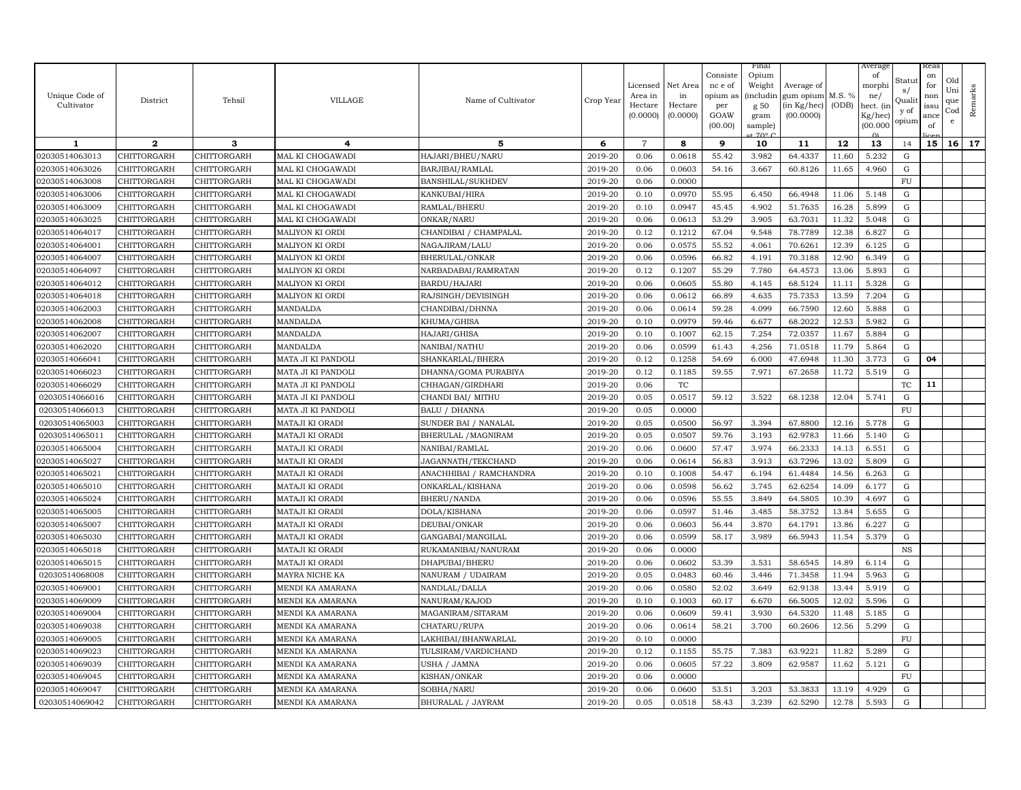| Unique Code of<br>Cultivator | District       | Tehsil      | VILLAGE            | Name of Cultivator      | Crop Year | Licensed<br>Area in<br>Hectare<br>(0.0000) | Net Area<br>in<br>Hectare<br>(0.0000) | Consiste<br>nc e of<br>opium as<br>per<br>GOAW<br>(00.00) | Final<br>Opium<br>Weight<br><i>(includin</i><br>g 50<br>gram<br>sample]<br>70° | Average of<br>gum opium M.S. %<br>(in Kg/hec)<br>(00.0000) | (ODB) | <del>l</del> verag<br>of<br>morphi<br>ne/<br>aect. (ir<br>Kg/hec)<br>(00.000) | Statu<br>s/<br>Quali<br>y of<br>opium | on<br>for<br>isst<br>ance<br>of | Old<br>Uni<br>que | Remarks |
|------------------------------|----------------|-------------|--------------------|-------------------------|-----------|--------------------------------------------|---------------------------------------|-----------------------------------------------------------|--------------------------------------------------------------------------------|------------------------------------------------------------|-------|-------------------------------------------------------------------------------|---------------------------------------|---------------------------------|-------------------|---------|
| 1                            | $\overline{a}$ | 3           | 4                  | 5                       | 6         | $\overline{7}$                             | 8                                     | 9                                                         | 10                                                                             | 11                                                         | 12    | 13                                                                            | 14                                    | 15                              | 16                | 17      |
| 02030514063013               | CHITTORGARH    | CHITTORGARH | MAL KI CHOGAWADI   | HAJARI/BHEU/NARU        | 2019-20   | 0.06                                       | 0.0618                                | 55.42                                                     | 3.982                                                                          | 64.4337                                                    | 11.60 | 5.232                                                                         | G                                     |                                 |                   |         |
| 02030514063026               | CHITTORGARH    | CHITTORGARH | MAL KI CHOGAWADI   | BARJIBAI/RAMLAL         | 2019-20   | 0.06                                       | 0.0603                                | 54.16                                                     | 3.667                                                                          | 60.8126                                                    | 11.65 | 4.960                                                                         | G                                     |                                 |                   |         |
| 02030514063008               | CHITTORGARH    | CHITTORGARH | MAL KI CHOGAWADI   | BANSHILAL/SUKHDEV       | 2019-20   | 0.06                                       | 0.0000                                |                                                           |                                                                                |                                                            |       |                                                                               | ${\rm FU}$                            |                                 |                   |         |
| 02030514063006               | CHITTORGARH    | CHITTORGARH | MAL KI CHOGAWADI   | KANKUBAI/HIRA           | 2019-20   | 0.10                                       | 0.0970                                | 55.95                                                     | 6.450                                                                          | 66.4948                                                    | 11.06 | 5.148                                                                         | G                                     |                                 |                   |         |
| 02030514063009               | CHITTORGARH    | CHITTORGARH | MAL KI CHOGAWADI   | RAMLAL/BHERU            | 2019-20   | 0.10                                       | 0.0947                                | 45.45                                                     | 4.902                                                                          | 51.7635                                                    | 16.28 | 5.899                                                                         | G                                     |                                 |                   |         |
| 02030514063025               | CHITTORGARH    | CHITTORGARH | MAL KI CHOGAWADI   | ONKAR/NARU              | 2019-20   | 0.06                                       | 0.0613                                | 53.29                                                     | 3.905                                                                          | 63.7031                                                    | 11.32 | 5.048                                                                         | G                                     |                                 |                   |         |
| 02030514064017               | CHITTORGARH    | CHITTORGARH | MALIYON KI ORDI    | CHANDIBAI / CHAMPALAL   | 2019-20   | 0.12                                       | 0.1212                                | 67.04                                                     | 9.548                                                                          | 78.7789                                                    | 12.38 | 6.827                                                                         | G                                     |                                 |                   |         |
| 02030514064001               | CHITTORGARH    | CHITTORGARH | MALIYON KI ORDI    | NAGAJIRAM/LALU          | 2019-20   | 0.06                                       | 0.0575                                | 55.52                                                     | 4.061                                                                          | 70.6261                                                    | 12.39 | 6.125                                                                         | G                                     |                                 |                   |         |
| 02030514064007               | CHITTORGARH    | CHITTORGARH | MALIYON KI ORDI    | BHERULAL/ONKAR          | 2019-20   | 0.06                                       | 0.0596                                | 66.82                                                     | 4.191                                                                          | 70.3188                                                    | 12.90 | 6.349                                                                         | G                                     |                                 |                   |         |
| 02030514064097               | CHITTORGARH    | CHITTORGARH | MALIYON KI ORDI    | NARBADABAI/RAMRATAN     | 2019-20   | 0.12                                       | 0.1207                                | 55.29                                                     | 7.780                                                                          | 64.4573                                                    | 13.06 | 5.893                                                                         | G                                     |                                 |                   |         |
| 02030514064012               | CHITTORGARH    | CHITTORGARH | MALIYON KI ORDI    | BARDU/HAJARI            | 2019-20   | 0.06                                       | 0.0605                                | 55.80                                                     | 4.145                                                                          | 68.5124                                                    | 11.11 | 5.328                                                                         | ${\rm G}$                             |                                 |                   |         |
| 02030514064018               | CHITTORGARH    | CHITTORGARH | MALIYON KI ORDI    | RAJSINGH/DEVISINGH      | 2019-20   | 0.06                                       | 0.0612                                | 66.89                                                     | 4.635                                                                          | 75.7353                                                    | 13.59 | 7.204                                                                         | ${\rm G}$                             |                                 |                   |         |
| 02030514062003               | CHITTORGARH    | CHITTORGARH | <b>MANDALDA</b>    | CHANDIBAI/DHNNA         | 2019-20   | 0.06                                       | 0.0614                                | 59.28                                                     | 4.099                                                                          | 66.7590                                                    | 12.60 | 5.888                                                                         | G                                     |                                 |                   |         |
| 02030514062008               | CHITTORGARH    | CHITTORGARH | MANDALDA           | KHUMA/GHISA             | 2019-20   | 0.10                                       | 0.0979                                | 59.46                                                     | 6.677                                                                          | 68.2022                                                    | 12.53 | 5.982                                                                         | ${\rm G}$                             |                                 |                   |         |
| 02030514062007               | CHITTORGARH    | CHITTORGARH | <b>MANDALDA</b>    | HAJARI/GHISA            | 2019-20   | 0.10                                       | 0.1007                                | 62.15                                                     | 7.254                                                                          | 72.0357                                                    | 11.67 | 5.884                                                                         | ${\rm G}$                             |                                 |                   |         |
| 02030514062020               | CHITTORGARH    | CHITTORGARH | MANDALDA           | NANIBAI/NATHU           | 2019-20   | 0.06                                       | 0.0599                                | 61.43                                                     | 4.256                                                                          | 71.0518                                                    | 11.79 | 5.864                                                                         | $\mathbf G$                           |                                 |                   |         |
| 02030514066041               | CHITTORGARH    | CHITTORGARH | MATA JI KI PANDOLI | SHANKARLAL/BHERA        | 2019-20   | 0.12                                       | 0.1258                                | 54.69                                                     | 6.000                                                                          | 47.6948                                                    | 11.30 | 3.773                                                                         | ${\rm G}$                             | 04                              |                   |         |
| 02030514066023               | CHITTORGARH    | CHITTORGARH | MATA JI KI PANDOLI | DHANNA/GOMA PURABIYA    | 2019-20   | 0.12                                       | 0.1185                                | 59.55                                                     | 7.971                                                                          | 67.2658                                                    | 11.72 | 5.519                                                                         | $\mathbf G$                           |                                 |                   |         |
| 02030514066029               | CHITTORGARH    | CHITTORGARH | MATA JI KI PANDOLI | CHHAGAN/GIRDHARI        | 2019-20   | 0.06                                       | TC                                    |                                                           |                                                                                |                                                            |       |                                                                               | TC                                    | 11                              |                   |         |
| 02030514066016               | CHITTORGARH    | CHITTORGARH | MATA JI KI PANDOLI | CHANDI BAI/ MITHU       | 2019-20   | 0.05                                       | 0.0517                                | 59.12                                                     | 3.522                                                                          | 68.1238                                                    | 12.04 | 5.741                                                                         | G                                     |                                 |                   |         |
| 02030514066013               | CHITTORGARH    | CHITTORGARH | MATA JI KI PANDOLI | <b>BALU / DHANNA</b>    | 2019-20   | 0.05                                       | 0.0000                                |                                                           |                                                                                |                                                            |       |                                                                               | FU                                    |                                 |                   |         |
| 02030514065003               | CHITTORGARH    | CHITTORGARH | MATAJI KI ORADI    | SUNDER BAI / NANALAL    | 2019-20   | 0.05                                       | 0.0500                                | 56.97                                                     | 3.394                                                                          | 67.8800                                                    | 12.16 | 5.778                                                                         | G                                     |                                 |                   |         |
| 02030514065011               | CHITTORGARH    | CHITTORGARH | MATAJI KI ORADI    | BHERULAL / MAGNIRAM     | 2019-20   | 0.05                                       | 0.0507                                | 59.76                                                     | 3.193                                                                          | 62.9783                                                    | 11.66 | 5.140                                                                         | G                                     |                                 |                   |         |
| 02030514065004               | CHITTORGARH    | CHITTORGARH | MATAJI KI ORADI    | NANIBAI/RAMLAL          | 2019-20   | 0.06                                       | 0.0600                                | 57.47                                                     | 3.974                                                                          | 66.2333                                                    | 14.13 | 6.551                                                                         | G                                     |                                 |                   |         |
| 02030514065027               | CHITTORGARH    | CHITTORGARH | MATAJI KI ORADI    | JAGANNATH/TEKCHAND      | 2019-20   | 0.06                                       | 0.0614                                | 56.83                                                     | 3.913                                                                          | 63.7296                                                    | 13.02 | 5.809                                                                         | G                                     |                                 |                   |         |
| 02030514065021               | CHITTORGARH    | CHITTORGARH | MATAJI KI ORADI    | ANACHHIBAI / RAMCHANDRA | 2019-20   | 0.10                                       | 0.1008                                | 54.47                                                     | 6.194                                                                          | 61.4484                                                    | 14.56 | 6.263                                                                         | ${\rm G}$                             |                                 |                   |         |
| 02030514065010               | CHITTORGARH    | CHITTORGARH | MATAJI KI ORADI    | ONKARLAL/KISHANA        | 2019-20   | 0.06                                       | 0.0598                                | 56.62                                                     | 3.745                                                                          | 62.6254                                                    | 14.09 | 6.177                                                                         | G                                     |                                 |                   |         |
| 02030514065024               | CHITTORGARH    | CHITTORGARH | MATAJI KI ORADI    | BHERU/NANDA             | 2019-20   | 0.06                                       | 0.0596                                | 55.55                                                     | 3.849                                                                          | 64.5805                                                    | 10.39 | 4.697                                                                         | G                                     |                                 |                   |         |
| 02030514065005               | CHITTORGARH    | CHITTORGARH | MATAJI KI ORADI    | DOLA/KISHANA            | 2019-20   | 0.06                                       | 0.0597                                | 51.46                                                     | 3.485                                                                          | 58.3752                                                    | 13.84 | 5.655                                                                         | ${\rm G}$                             |                                 |                   |         |
| 02030514065007               | CHITTORGARH    | CHITTORGARH | MATAJI KI ORADI    | DEUBAI/ONKAR            | 2019-20   | 0.06                                       | 0.0603                                | 56.44                                                     | 3.870                                                                          | 64.1791                                                    | 13.86 | 6.227                                                                         | ${\rm G}$                             |                                 |                   |         |
| 02030514065030               | CHITTORGARH    | CHITTORGARH | MATAJI KI ORADI    | GANGABAI/MANGILAL       | 2019-20   | 0.06                                       | 0.0599                                | 58.17                                                     | 3.989                                                                          | 66.5943                                                    | 11.54 | 5.379                                                                         | G                                     |                                 |                   |         |
| 02030514065018               | CHITTORGARH    | CHITTORGARH | MATAJI KI ORADI    | RUKAMANIBAI/NANURAM     | 2019-20   | 0.06                                       | 0.0000                                |                                                           |                                                                                |                                                            |       |                                                                               | NS                                    |                                 |                   |         |
| 02030514065015               | CHITTORGARH    | CHITTORGARH | MATAJI KI ORADI    | DHAPUBAI/BHERU          | 2019-20   | 0.06                                       | 0.0602                                | 53.39                                                     | 3.531                                                                          | 58.6545                                                    | 14.89 | 6.114                                                                         | ${\rm G}$                             |                                 |                   |         |
| 02030514068008               | CHITTORGARH    | CHITTORGARH | MAYRA NICHE KA     | NANURAM / UDAIRAM       | 2019-20   | 0.05                                       | 0.0483                                | 60.46                                                     | 3.446                                                                          | 71.3458                                                    | 11.94 | 5.963                                                                         | $\mathbf G$                           |                                 |                   |         |
| 02030514069001               | CHITTORGARH    | CHITTORGARH | MENDI KA AMARANA   | NANDLAL/DALLA           | 2019-20   | 0.06                                       | 0.0580                                | 52.02                                                     | 3.649                                                                          | 62.9138                                                    | 13.44 | 5.919                                                                         | G                                     |                                 |                   |         |
| 02030514069009               | CHITTORGARH    | CHITTORGARH | MENDI KA AMARANA   | NANURAM/KAJOD           | 2019-20   | 0.10                                       | 0.1003                                | 60.17                                                     | 6.670                                                                          | 66.5005                                                    | 12.02 | 5.596                                                                         | G                                     |                                 |                   |         |
| 02030514069004               | CHITTORGARH    | CHITTORGARH | MENDI KA AMARANA   | MAGANIRAM/SITARAM       | 2019-20   | 0.06                                       | 0.0609                                | 59.41                                                     | 3.930                                                                          | 64.5320                                                    | 11.48 | 5.185                                                                         | G                                     |                                 |                   |         |
| 02030514069038               | CHITTORGARH    | CHITTORGARH | MENDI KA AMARANA   | CHATARU/RUPA            | 2019-20   | 0.06                                       | 0.0614                                | 58.21                                                     | 3.700                                                                          | 60.2606                                                    | 12.56 | 5.299                                                                         | G                                     |                                 |                   |         |
| 02030514069005               | CHITTORGARH    | CHITTORGARH | MENDI KA AMARANA   | LAKHIBAI/BHANWARLAL     | 2019-20   | 0.10                                       | 0.0000                                |                                                           |                                                                                |                                                            |       |                                                                               | FU                                    |                                 |                   |         |
| 02030514069023               | CHITTORGARH    | CHITTORGARH | MENDI KA AMARANA   | TULSIRAM/VARDICHAND     | 2019-20   | 0.12                                       | 0.1155                                | 55.75                                                     | 7.383                                                                          | 63.9221                                                    | 11.82 | 5.289                                                                         | G                                     |                                 |                   |         |
| 02030514069039               | CHITTORGARH    | CHITTORGARH | MENDI KA AMARANA   | USHA / JAMNA            | 2019-20   | 0.06                                       | 0.0605                                | 57.22                                                     | 3.809                                                                          | 62.9587                                                    | 11.62 | 5.121                                                                         | ${\rm G}$                             |                                 |                   |         |
| 02030514069045               | CHITTORGARH    | CHITTORGARH | MENDI KA AMARANA   | KISHAN/ONKAR            | 2019-20   | 0.06                                       | 0.0000                                |                                                           |                                                                                |                                                            |       |                                                                               | ${\rm FU}$                            |                                 |                   |         |
| 02030514069047               | CHITTORGARH    | CHITTORGARH | MENDI KA AMARANA   | SOBHA/NARU              | 2019-20   | 0.06                                       | 0.0600                                | 53.51                                                     | 3.203                                                                          | 53.3833                                                    | 13.19 | 4.929                                                                         | ${\rm G}$                             |                                 |                   |         |
| 02030514069042               | CHITTORGARH    | CHITTORGARH | MENDI KA AMARANA   | BHURALAL / JAYRAM       | 2019-20   | 0.05                                       | 0.0518                                | 58.43                                                     | 3.239                                                                          | 62.5290                                                    | 12.78 | 5.593                                                                         | ${\rm G}$                             |                                 |                   |         |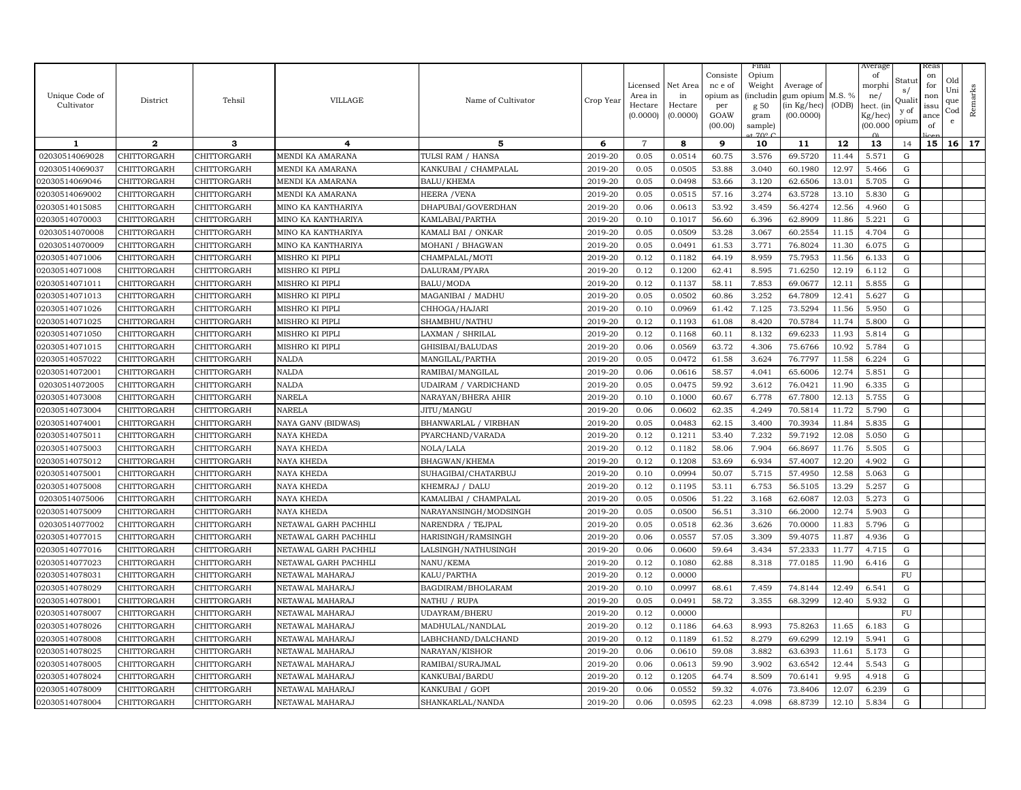| Unique Code of<br>Cultivator | District       | Tehsil             | VILLAGE              | Name of Cultivator          | Crop Year | Licensed<br>Area in<br>Hectare<br>(0.0000) | Net Area<br>in<br>Hectare<br>(0.0000) | Consiste<br>nc e of<br>opium as<br>per<br>GOAW<br>(00.00) | Final<br>Opium<br>Weight<br><i>(includin</i><br>g 50<br>gram<br>sample]<br>$70^\circ$ | Average of<br>gum opium M.S. %<br>(in Kg/hec)<br>(00.0000) | (ODB) | Averag<br>of<br>morphi<br>ne/<br>hect. (in<br>Kg/hec<br>(00.000) | Statut<br>s/<br>Quali<br>y of<br>opium | on<br>for<br>noi<br>isst<br>ance<br>of | Dld<br>Uni<br>que<br>Cod | Remarks |
|------------------------------|----------------|--------------------|----------------------|-----------------------------|-----------|--------------------------------------------|---------------------------------------|-----------------------------------------------------------|---------------------------------------------------------------------------------------|------------------------------------------------------------|-------|------------------------------------------------------------------|----------------------------------------|----------------------------------------|--------------------------|---------|
| -1                           | $\overline{2}$ | з                  | 4                    | 5                           | 6         | $\overline{7}$                             | 8                                     | 9                                                         | 10                                                                                    | 11                                                         | 12    | 13                                                               | 14                                     | 15                                     | 16                       | 17      |
| 02030514069028               | CHITTORGARH    | CHITTORGARH        | MENDI KA AMARANA     | TULSI RAM / HANSA           | 2019-20   | 0.05                                       | 0.0514                                | 60.75                                                     | 3.576                                                                                 | 69.5720                                                    | 11.44 | 5.571                                                            | G                                      |                                        |                          |         |
| 02030514069037               | CHITTORGARH    | CHITTORGARH        | MENDI KA AMARANA     | KANKUBAI / CHAMPALAL        | 2019-20   | 0.05                                       | 0.0505                                | 53.88                                                     | 3.040                                                                                 | 60.1980                                                    | 12.97 | 5.466                                                            | G                                      |                                        |                          |         |
| 02030514069046               | CHITTORGARH    | CHITTORGARH        | MENDI KA AMARANA     | BALU/KHEMA                  | 2019-20   | 0.05                                       | 0.0498                                | 53.66                                                     | 3.120                                                                                 | 62.6506                                                    | 13.01 | 5.705                                                            | G                                      |                                        |                          |         |
| 02030514069002               | CHITTORGARH    | CHITTORGARH        | MENDI KA AMARANA     | <b>HEERA / VENA</b>         | 2019-20   | 0.05                                       | 0.0515                                | 57.16                                                     | 3.274                                                                                 | 63.5728                                                    | 13.10 | 5.830                                                            | ${\rm G}$                              |                                        |                          |         |
| 02030514015085               | CHITTORGARH    | CHITTORGARH        | MINO KA KANTHARIYA   | DHAPUBAI/GOVERDHAN          | 2019-20   | 0.06                                       | 0.0613                                | 53.92                                                     | 3.459                                                                                 | 56.4274                                                    | 12.56 | 4.960                                                            | G                                      |                                        |                          |         |
| 02030514070003               | CHITTORGARH    | CHITTORGARH        | MINO KA KANTHARIYA   | KAMLABAI/PARTHA             | 2019-20   | 0.10                                       | 0.1017                                | 56.60                                                     | 6.396                                                                                 | 62.8909                                                    | 11.86 | 5.221                                                            | G                                      |                                        |                          |         |
| 02030514070008               | CHITTORGARH    | CHITTORGARH        | MINO KA KANTHARIYA   | KAMALI BAI / ONKAR          | 2019-20   | 0.05                                       | 0.0509                                | 53.28                                                     | 3.067                                                                                 | 60.2554                                                    | 11.15 | 4.704                                                            | ${\rm G}$                              |                                        |                          |         |
| 02030514070009               | CHITTORGARH    | CHITTORGARH        | MINO KA KANTHARIYA   | MOHANI / BHAGWAN            | 2019-20   | 0.05                                       | 0.0491                                | 61.53                                                     | 3.771                                                                                 | 76.8024                                                    | 11.30 | 6.075                                                            | G                                      |                                        |                          |         |
| 02030514071006               | CHITTORGARH    | CHITTORGARH        | MISHRO KI PIPLI      | CHAMPALAL/MOTI              | 2019-20   | 0.12                                       | 0.1182                                | 64.19                                                     | 8.959                                                                                 | 75.7953                                                    | 11.56 | 6.133                                                            | ${\rm G}$                              |                                        |                          |         |
| 02030514071008               | CHITTORGARH    | CHITTORGARH        | MISHRO KI PIPLI      | DALURAM/PYARA               | 2019-20   | 0.12                                       | 0.1200                                | 62.41                                                     | 8.595                                                                                 | 71.6250                                                    | 12.19 | 6.112                                                            | G                                      |                                        |                          |         |
| 02030514071011               | CHITTORGARH    | CHITTORGARH        | MISHRO KI PIPLI      | BALU/MODA                   | 2019-20   | 0.12                                       | 0.1137                                | 58.11                                                     | 7.853                                                                                 | 69.0677                                                    | 12.11 | 5.855                                                            | G                                      |                                        |                          |         |
| 02030514071013               | CHITTORGARH    | CHITTORGARH        | MISHRO KI PIPLI      | MAGANIBAI / MADHU           | 2019-20   | 0.05                                       | 0.0502                                | 60.86                                                     | 3.252                                                                                 | 64.7809                                                    | 12.41 | 5.627                                                            | ${\rm G}$                              |                                        |                          |         |
| 02030514071026               | CHITTORGARH    | CHITTORGARH        | MISHRO KI PIPLI      | CHHOGA/HAJARI               | 2019-20   | 0.10                                       | 0.0969                                | 61.42                                                     | 7.125                                                                                 | 73.5294                                                    | 11.56 | 5.950                                                            | ${\rm G}$                              |                                        |                          |         |
| 02030514071025               | CHITTORGARH    | CHITTORGARH        | MISHRO KI PIPLI      | SHAMBHU/NATHU               | 2019-20   | 0.12                                       | 0.1193                                | 61.08                                                     | 8.420                                                                                 | 70.5784                                                    | 11.74 | 5.800                                                            | G                                      |                                        |                          |         |
| 02030514071050               | CHITTORGARH    | CHITTORGARH        | MISHRO KI PIPLI      | LAXMAN / SHRILAL            | 2019-20   | 0.12                                       | 0.1168                                | 60.11                                                     | 8.132                                                                                 | 69.6233                                                    | 11.93 | 5.814                                                            | ${\rm G}$                              |                                        |                          |         |
| 02030514071015               | CHITTORGARH    | CHITTORGARH        | MISHRO KI PIPLI      | <b>GHISIBAI/BALUDAS</b>     | 2019-20   | 0.06                                       | 0.0569                                | 63.72                                                     | 4.306                                                                                 | 75.6766                                                    | 10.92 | 5.784                                                            | ${\rm G}$                              |                                        |                          |         |
| 02030514057022               | CHITTORGARH    | CHITTORGARH        | NALDA                | MANGILAL/PARTHA             | 2019-20   | 0.05                                       | 0.0472                                | 61.58                                                     | 3.624                                                                                 | 76.7797                                                    | 11.58 | 6.224                                                            | $\mathbf G$                            |                                        |                          |         |
| 02030514072001               | CHITTORGARH    | CHITTORGARH        | NALDA                | RAMIBAI/MANGILAL            | 2019-20   | 0.06                                       | 0.0616                                | 58.57                                                     | 4.041                                                                                 | 65.6006                                                    | 12.74 | 5.851                                                            | G                                      |                                        |                          |         |
| 02030514072005               | CHITTORGARH    | CHITTORGARH        | NALDA                | <b>UDAIRAM / VARDICHAND</b> | 2019-20   | 0.05                                       | 0.0475                                | 59.92                                                     | 3.612                                                                                 | 76.0421                                                    | 11.90 | 6.335                                                            | $\mathbf G$                            |                                        |                          |         |
| 02030514073008               | CHITTORGARH    | CHITTORGARH        | NARELA               | NARAYAN/BHERA AHIR          | 2019-20   | 0.10                                       | 0.1000                                | 60.67                                                     | 6.778                                                                                 | 67.7800                                                    | 12.13 | 5.755                                                            | $\mathbf G$                            |                                        |                          |         |
| 02030514073004               | CHITTORGARH    | CHITTORGARH        | NARELA               | JITU/MANGU                  | 2019-20   | 0.06                                       | 0.0602                                | 62.35                                                     | 4.249                                                                                 | 70.5814                                                    | 11.72 | 5.790                                                            | G                                      |                                        |                          |         |
| 02030514074001               | CHITTORGARH    | CHITTORGARH        | NAYA GANV (BIDWAS)   | BHANWARLAL / VIRBHAN        | 2019-20   | 0.05                                       | 0.0483                                | 62.15                                                     | 3.400                                                                                 | 70.3934                                                    | 11.84 | 5.835                                                            | G                                      |                                        |                          |         |
| 02030514075011               | CHITTORGARH    | CHITTORGARH        | NAYA KHEDA           | PYARCHAND/VARADA            | 2019-20   | 0.12                                       | 0.1211                                | 53.40                                                     | 7.232                                                                                 | 59.7192                                                    | 12.08 | 5.050                                                            | G                                      |                                        |                          |         |
| 02030514075003               | CHITTORGARH    | CHITTORGARH        | NAYA KHEDA           | NOLA/LALA                   | 2019-20   | 0.12                                       | 0.1182                                | 58.06                                                     | 7.904                                                                                 | 66.8697                                                    | 11.76 | 5.505                                                            | ${\rm G}$                              |                                        |                          |         |
| 02030514075012               | CHITTORGARH    | CHITTORGARH        | NAYA KHEDA           | BHAGWAN/KHEMA               | 2019-20   | 0.12                                       | 0.1208                                | 53.69                                                     | 6.934                                                                                 | 57.4007                                                    | 12.20 | 4.902                                                            | ${\rm G}$                              |                                        |                          |         |
| 02030514075001               | CHITTORGARH    | <b>CHITTORGARH</b> | NAYA KHEDA           | SUHAGIBAI/CHATARBUJ         | 2019-20   | 0.10                                       | 0.0994                                | 50.07                                                     | 5.715                                                                                 | 57.4950                                                    | 12.58 | 5.063                                                            | G                                      |                                        |                          |         |
| 02030514075008               | CHITTORGARH    | CHITTORGARH        | NAYA KHEDA           | KHEMRAJ / DALU              | 2019-20   | 0.12                                       | 0.1195                                | 53.11                                                     | 6.753                                                                                 | 56.5105                                                    | 13.29 | 5.257                                                            | ${\rm G}$                              |                                        |                          |         |
| 02030514075006               | CHITTORGARH    | CHITTORGARH        | NAYA KHEDA           | KAMALIBAI / CHAMPALAL       | 2019-20   | 0.05                                       | 0.0506                                | 51.22                                                     | 3.168                                                                                 | 62.6087                                                    | 12.03 | 5.273                                                            | ${\rm G}$                              |                                        |                          |         |
| 02030514075009               | CHITTORGARH    | CHITTORGARH        | NAYA KHEDA           | NARAYANSINGH/MODSINGH       | 2019-20   | 0.05                                       | 0.0500                                | 56.51                                                     | 3.310                                                                                 | 66.2000                                                    | 12.74 | 5.903                                                            | G                                      |                                        |                          |         |
| 02030514077002               | CHITTORGARH    | CHITTORGARH        | NETAWAL GARH PACHHLI | NARENDRA / TEJPAL           | 2019-20   | 0.05                                       | 0.0518                                | 62.36                                                     | 3.626                                                                                 | 70.0000                                                    | 11.83 | 5.796                                                            | $\mathbf G$                            |                                        |                          |         |
| 02030514077015               | CHITTORGARH    | CHITTORGARH        | NETAWAL GARH PACHHLI | HARISINGH/RAMSINGH          | 2019-20   | 0.06                                       | 0.0557                                | 57.05                                                     | 3.309                                                                                 | 59.4075                                                    | 11.87 | 4.936                                                            | ${\rm G}$                              |                                        |                          |         |
| 02030514077016               | CHITTORGARH    | CHITTORGARH        | NETAWAL GARH PACHHLI | LALSINGH/NATHUSINGH         | 2019-20   | 0.06                                       | 0.0600                                | 59.64                                                     | 3.434                                                                                 | 57.2333                                                    | 11.77 | 4.715                                                            | G                                      |                                        |                          |         |
| 02030514077023               | CHITTORGARH    | CHITTORGARH        | NETAWAL GARH PACHHLI | NANU/KEMA                   | 2019-20   | 0.12                                       | 0.1080                                | 62.88                                                     | 8.318                                                                                 | 77.0185                                                    | 11.90 | 6.416                                                            | ${\rm G}$                              |                                        |                          |         |
| 02030514078031               | CHITTORGARH    | CHITTORGARH        | NETAWAL MAHARAJ      | KALU/PARTHA                 | 2019-20   | 0.12                                       | 0.0000                                |                                                           |                                                                                       |                                                            |       |                                                                  | ${\rm FU}$                             |                                        |                          |         |
| 02030514078029               | CHITTORGARH    | CHITTORGARH        | NETAWAL MAHARAJ      | BAGDIRAM/BHOLARAM           | 2019-20   | 0.10                                       | 0.0997                                | 68.61                                                     | 7.459                                                                                 | 74.8144                                                    | 12.49 | 6.541                                                            | G                                      |                                        |                          |         |
| 02030514078001               | CHITTORGARH    | CHITTORGARH        | NETAWAL MAHARAJ      | NATHU / RUPA                | 2019-20   | 0.05                                       | 0.0491                                | 58.72                                                     | 3.355                                                                                 | 68.3299                                                    | 12.40 | 5.932                                                            | G                                      |                                        |                          |         |
| 02030514078007               | CHITTORGARH    | CHITTORGARH        | NETAWAL MAHARAJ      | UDAYRAM/BHERU               | 2019-20   | 0.12                                       | 0.0000                                |                                                           |                                                                                       |                                                            |       |                                                                  | FU                                     |                                        |                          |         |
| 02030514078026               | CHITTORGARH    | CHITTORGARH        | NETAWAL MAHARAJ      | MADHULAL/NANDLAL            | 2019-20   | 0.12                                       | 0.1186                                | 64.63                                                     | 8.993                                                                                 | 75.8263                                                    | 11.65 | 6.183                                                            | G                                      |                                        |                          |         |
| 02030514078008               | CHITTORGARH    | CHITTORGARH        | NETAWAL MAHARAJ      | LABHCHAND/DALCHAND          | 2019-20   | 0.12                                       | 0.1189                                | 61.52                                                     | 8.279                                                                                 | 69.6299                                                    | 12.19 | 5.941                                                            | G                                      |                                        |                          |         |
| 02030514078025               | CHITTORGARH    | CHITTORGARH        | NETAWAL MAHARAJ      | NARAYAN/KISHOR              | 2019-20   | 0.06                                       | 0.0610                                | 59.08                                                     | 3.882                                                                                 | 63.6393                                                    | 11.61 | 5.173                                                            | G                                      |                                        |                          |         |
| 02030514078005               | CHITTORGARH    | CHITTORGARH        | NETAWAL MAHARAJ      | RAMIBAI/SURAJMAL            | 2019-20   | 0.06                                       | 0.0613                                | 59.90                                                     | 3.902                                                                                 | 63.6542                                                    | 12.44 | 5.543                                                            | G                                      |                                        |                          |         |
| 02030514078024               | CHITTORGARH    | CHITTORGARH        | NETAWAL MAHARAJ      | KANKUBAI/BARDU              | 2019-20   | 0.12                                       | 0.1205                                | 64.74                                                     | 8.509                                                                                 | 70.6141                                                    | 9.95  | 4.918                                                            | G                                      |                                        |                          |         |
| 02030514078009               | CHITTORGARH    | CHITTORGARH        | NETAWAL MAHARAJ      | KANKUBAI / GOPI             | 2019-20   | 0.06                                       | 0.0552                                | 59.32                                                     | 4.076                                                                                 | 73.8406                                                    | 12.07 | 6.239                                                            | ${\rm G}$                              |                                        |                          |         |
| 02030514078004               | CHITTORGARH    | CHITTORGARH        | NETAWAL MAHARAJ      | SHANKARLAL/NANDA            | 2019-20   | 0.06                                       | 0.0595                                | 62.23                                                     | 4.098                                                                                 | 68.8739                                                    | 12.10 | 5.834                                                            | ${\rm G}$                              |                                        |                          |         |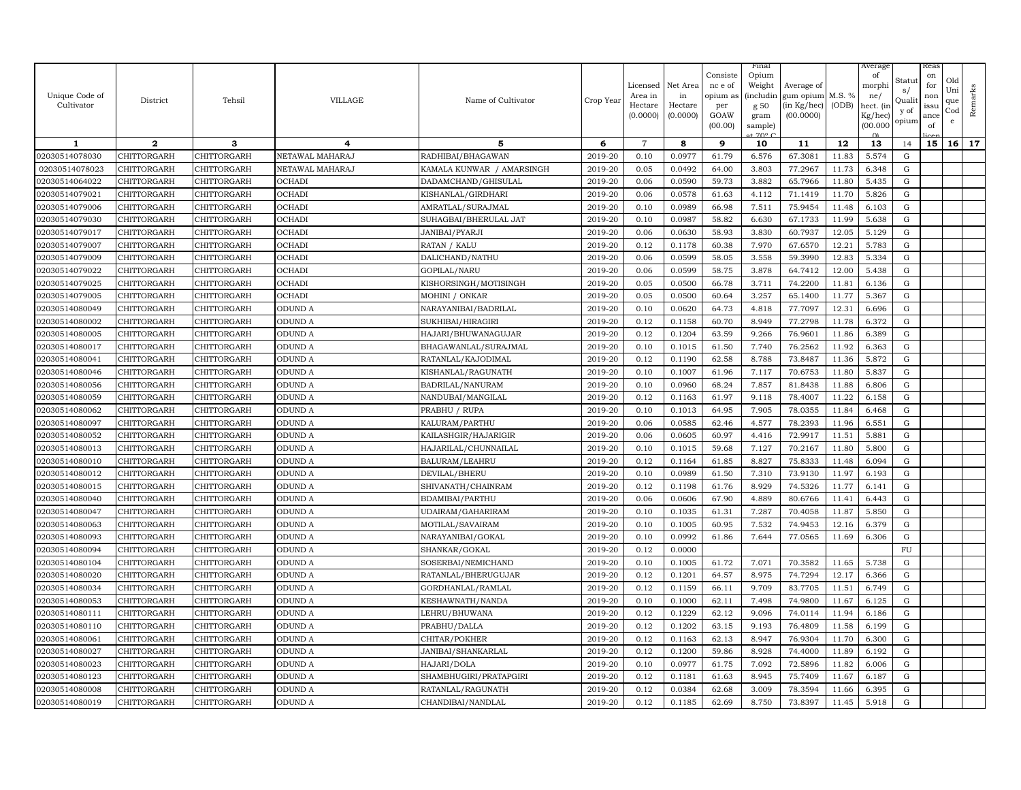| Unique Code of<br>Cultivator | District       | Tehsil      | VILLAGE         | Name of Cultivator        | Crop Year | Licensed<br>Area in<br>Hectare<br>(0.0000) | Net Area<br>in<br>Hectare<br>(0.0000) | Consiste<br>nc e of<br>opium as<br>per<br>GOAW<br>(00.00) | Final<br>Opium<br>Weight<br><i>(includin</i><br>g 50<br>gram<br>sample]<br>70° | Average of<br>gum opium M.S. %<br>(in Kg/hec)<br>(00.0000) | (ODB) | Averag<br>of<br>morphi<br>ne/<br>hect. (in<br>Kg/hec<br>(00.000) | Statut<br>s/<br>Quali<br>y of<br>opium | on<br>for<br>noi<br>isst<br>ance<br>of | Dld<br>Uni<br>que<br>Cod | Remarks |
|------------------------------|----------------|-------------|-----------------|---------------------------|-----------|--------------------------------------------|---------------------------------------|-----------------------------------------------------------|--------------------------------------------------------------------------------|------------------------------------------------------------|-------|------------------------------------------------------------------|----------------------------------------|----------------------------------------|--------------------------|---------|
| -1                           | $\overline{2}$ | 3           | 4               | 5                         | 6         | $\overline{7}$                             | 8                                     | 9                                                         | 10                                                                             | 11                                                         | 12    | 13                                                               | 14                                     | 15                                     | 16 <sup>1</sup>          | 17      |
| 02030514078030               | CHITTORGARH    | CHITTORGARH | NETAWAL MAHARAJ | RADHIBAI/BHAGAWAN         | 2019-20   | 0.10                                       | 0.0977                                | 61.79                                                     | 6.576                                                                          | 67.3081                                                    | 11.83 | 5.574                                                            | G                                      |                                        |                          |         |
| 02030514078023               | CHITTORGARH    | CHITTORGARH | NETAWAL MAHARAJ | KAMALA KUNWAR / AMARSINGH | 2019-20   | 0.05                                       | 0.0492                                | 64.00                                                     | 3.803                                                                          | 77.2967                                                    | 11.73 | 6.348                                                            | G                                      |                                        |                          |         |
| 02030514064022               | CHITTORGARH    | CHITTORGARH | OCHADI          | DADAMCHAND/GHISULAL       | 2019-20   | 0.06                                       | 0.0590                                | 59.73                                                     | 3.882                                                                          | 65.7966                                                    | 11.80 | 5.435                                                            | G                                      |                                        |                          |         |
| 02030514079021               | CHITTORGARH    | CHITTORGARH | OCHADI          | KISHANLAL/GIRDHARI        | 2019-20   | 0.06                                       | 0.0578                                | 61.63                                                     | 4.112                                                                          | 71.1419                                                    | 11.70 | 5.826                                                            | G                                      |                                        |                          |         |
| 02030514079006               | CHITTORGARH    | CHITTORGARH | OCHADI          | AMRATLAL/SURAJMAL         | 2019-20   | 0.10                                       | 0.0989                                | 66.98                                                     | 7.511                                                                          | 75.9454                                                    | 11.48 | 6.103                                                            | G                                      |                                        |                          |         |
| 02030514079030               | CHITTORGARH    | CHITTORGARH | OCHADI          | SUHAGBAI/BHERULAL JAT     | 2019-20   | 0.10                                       | 0.0987                                | 58.82                                                     | 6.630                                                                          | 67.1733                                                    | 11.99 | 5.638                                                            | G                                      |                                        |                          |         |
| 02030514079017               | CHITTORGARH    | CHITTORGARH | OCHADI          | JANIBAI/PYARJI            | 2019-20   | 0.06                                       | 0.0630                                | 58.93                                                     | 3.830                                                                          | 60.7937                                                    | 12.05 | 5.129                                                            | G                                      |                                        |                          |         |
| 02030514079007               | CHITTORGARH    | CHITTORGARH | OCHADI          | RATAN / KALU              | 2019-20   | 0.12                                       | 0.1178                                | 60.38                                                     | 7.970                                                                          | 67.6570                                                    | 12.21 | 5.783                                                            | G                                      |                                        |                          |         |
| 02030514079009               | CHITTORGARH    | CHITTORGARH | OCHADI          | DALICHAND/NATHU           | 2019-20   | 0.06                                       | 0.0599                                | 58.05                                                     | 3.558                                                                          | 59.3990                                                    | 12.83 | 5.334                                                            | G                                      |                                        |                          |         |
| 02030514079022               | CHITTORGARH    | CHITTORGARH | OCHADI          | GOPILAL/NARU              | 2019-20   | 0.06                                       | 0.0599                                | 58.75                                                     | 3.878                                                                          | 64.7412                                                    | 12.00 | 5.438                                                            | ${\rm G}$                              |                                        |                          |         |
| 02030514079025               | CHITTORGARH    | CHITTORGARH | OCHADI          | KISHORSINGH/MOTISINGH     | 2019-20   | 0.05                                       | 0.0500                                | 66.78                                                     | 3.711                                                                          | 74.2200                                                    | 11.81 | 6.136                                                            | G                                      |                                        |                          |         |
| 02030514079005               | CHITTORGARH    | CHITTORGARH | OCHADI          | MOHINI / ONKAR            | 2019-20   | 0.05                                       | 0.0500                                | 60.64                                                     | 3.257                                                                          | 65.1400                                                    | 11.77 | 5.367                                                            | G                                      |                                        |                          |         |
| 02030514080049               | CHITTORGARH    | CHITTORGARH | ODUND A         | NARAYANIBAI/BADRILAL      | 2019-20   | 0.10                                       | 0.0620                                | 64.73                                                     | 4.818                                                                          | 77.7097                                                    | 12.31 | 6.696                                                            | ${\rm G}$                              |                                        |                          |         |
| 02030514080002               | CHITTORGARH    | CHITTORGARH | ODUND A         | SUKHIBAI/HIRAGIRI         | 2019-20   | 0.12                                       | 0.1158                                | 60.70                                                     | 8.949                                                                          | 77.2798                                                    | 11.78 | 6.372                                                            | ${\rm G}$                              |                                        |                          |         |
| 02030514080005               | CHITTORGARH    | CHITTORGARH | ODUND A         | HAJARI/BHUWANAGUJAR       | 2019-20   | 0.12                                       | 0.1204                                | 63.59                                                     | 9.266                                                                          | 76.9601                                                    | 11.86 | 6.389                                                            | ${\rm G}$                              |                                        |                          |         |
| 02030514080017               | CHITTORGARH    | CHITTORGARH | ODUND A         | BHAGAWANLAL/SURAJMAL      | 2019-20   | 0.10                                       | 0.1015                                | 61.50                                                     | 7.740                                                                          | 76.2562                                                    | 11.92 | 6.363                                                            | ${\rm G}$                              |                                        |                          |         |
| 02030514080041               | CHITTORGARH    | CHITTORGARH | ODUND A         | RATANLAL/KAJODIMAL        | 2019-20   | 0.12                                       | 0.1190                                | 62.58                                                     | 8.788                                                                          | 73.8487                                                    | 11.36 | 5.872                                                            | ${\rm G}$                              |                                        |                          |         |
| 02030514080046               | CHITTORGARH    | CHITTORGARH | ODUND A         | KISHANLAL/RAGUNATH        | 2019-20   | 0.10                                       | 0.1007                                | 61.96                                                     | 7.117                                                                          | 70.6753                                                    | 11.80 | 5.837                                                            | ${\rm G}$                              |                                        |                          |         |
| 02030514080056               | CHITTORGARH    | CHITTORGARH | ODUND A         | BADRILAL/NANURAM          | 2019-20   | 0.10                                       | 0.0960                                | 68.24                                                     | 7.857                                                                          | 81.8438                                                    | 11.88 | 6.806                                                            | G                                      |                                        |                          |         |
| 02030514080059               | CHITTORGARH    | CHITTORGARH | ODUND A         | NANDUBAI/MANGILAL         | 2019-20   | 0.12                                       | 0.1163                                | 61.97                                                     | 9.118                                                                          | 78.4007                                                    | 11.22 | 6.158                                                            | G                                      |                                        |                          |         |
| 02030514080062               | CHITTORGARH    | CHITTORGARH | ODUND A         | PRABHU / RUPA             | 2019-20   | 0.10                                       | 0.1013                                | 64.95                                                     | 7.905                                                                          | 78.0355                                                    | 11.84 | 6.468                                                            | G                                      |                                        |                          |         |
| 02030514080097               | CHITTORGARH    | CHITTORGARH | ODUND A         | KALURAM/PARTHU            | 2019-20   | 0.06                                       | 0.0585                                | 62.46                                                     | 4.577                                                                          | 78.2393                                                    | 11.96 | 6.551                                                            | G                                      |                                        |                          |         |
| 02030514080052               | CHITTORGARH    | CHITTORGARH | ODUND A         | KAILASHGIR/HAJARIGIR      | 2019-20   | 0.06                                       | 0.0605                                | 60.97                                                     | 4.416                                                                          | 72.9917                                                    | 11.51 | 5.881                                                            | ${\rm G}$                              |                                        |                          |         |
| 02030514080013               | CHITTORGARH    | CHITTORGARH | ODUND A         | HAJARILAL/CHUNNAILAL      | 2019-20   | 0.10                                       | 0.1015                                | 59.68                                                     | 7.127                                                                          | 70.2167                                                    | 11.80 | 5.800                                                            | G                                      |                                        |                          |         |
| 02030514080010               | CHITTORGARH    | CHITTORGARH | ODUND A         | BALURAM/LEAHRU            | 2019-20   | 0.12                                       | 0.1164                                | 61.85                                                     | 8.827                                                                          | 75.8333                                                    | 11.48 | 6.094                                                            | G                                      |                                        |                          |         |
| 02030514080012               | CHITTORGARH    | CHITTORGARH | ODUND A         | DEVILAL/BHERU             | 2019-20   | 0.10                                       | 0.0989                                | 61.50                                                     | 7.310                                                                          | 73.9130                                                    | 11.97 | 6.193                                                            | ${\rm G}$                              |                                        |                          |         |
| 02030514080015               | CHITTORGARH    | CHITTORGARH | ODUND A         | SHIVANATH/CHAINRAM        | 2019-20   | 0.12                                       | 0.1198                                | 61.76                                                     | 8.929                                                                          | 74.5326                                                    | 11.77 | 6.141                                                            | G                                      |                                        |                          |         |
| 02030514080040               | CHITTORGARH    | CHITTORGARH | ODUND A         | <b>BDAMIBAI/PARTHU</b>    | 2019-20   | 0.06                                       | 0.0606                                | 67.90                                                     | 4.889                                                                          | 80.6766                                                    | 11.41 | 6.443                                                            | ${\rm G}$                              |                                        |                          |         |
| 02030514080047               | CHITTORGARH    | CHITTORGARH | ODUND A         | UDAIRAM/GAHARIRAM         | 2019-20   | 0.10                                       | 0.1035                                | 61.31                                                     | 7.287                                                                          | 70.4058                                                    | 11.87 | 5.850                                                            | G                                      |                                        |                          |         |
| 02030514080063               | CHITTORGARH    | CHITTORGARH | ODUND A         | MOTILAL/SAVAIRAM          | 2019-20   | 0.10                                       | 0.1005                                | 60.95                                                     | 7.532                                                                          | 74.9453                                                    | 12.16 | 6.379                                                            | ${\rm G}$                              |                                        |                          |         |
| 02030514080093               | CHITTORGARH    | CHITTORGARH | ODUND A         | NARAYANIBAI/GOKAL         | 2019-20   | 0.10                                       | 0.0992                                | 61.86                                                     | 7.644                                                                          | 77.0565                                                    | 11.69 | 6.306                                                            | G                                      |                                        |                          |         |
| 02030514080094               | CHITTORGARH    | CHITTORGARH | ODUND A         | SHANKAR/GOKAL             | 2019-20   | 0.12                                       | 0.0000                                |                                                           |                                                                                |                                                            |       |                                                                  | FU                                     |                                        |                          |         |
| 02030514080104               | CHITTORGARH    | CHITTORGARH | ODUND A         | SOSERBAI/NEMICHAND        | 2019-20   | 0.10                                       | 0.1005                                | 61.72                                                     | 7.071                                                                          | 70.3582                                                    | 11.65 | 5.738                                                            | $\mathbf G$                            |                                        |                          |         |
| 02030514080020               | CHITTORGARH    | CHITTORGARH | ODUND A         | RATANLAL/BHERUGUJAR       | 2019-20   | 0.12                                       | 0.1201                                | 64.57                                                     | 8.975                                                                          | 74.7294                                                    | 12.17 | 6.366                                                            | ${\rm G}$                              |                                        |                          |         |
| 02030514080034               | CHITTORGARH    | CHITTORGARH | ODUND A         | GORDHANLAL/RAMLAL         | 2019-20   | 0.12                                       | 0.1159                                | 66.11                                                     | 9.709                                                                          | 83.7705                                                    | 11.51 | 6.749                                                            | G                                      |                                        |                          |         |
| 02030514080053               | CHITTORGARH    | CHITTORGARH | ODUND A         | KESHAWNATH/NANDA          | 2019-20   | 0.10                                       | 0.1000                                | 62.11                                                     | 7.498                                                                          | 74.9800                                                    | 11.67 | 6.125                                                            | G                                      |                                        |                          |         |
| 02030514080111               | CHITTORGARH    | CHITTORGARH | ODUND A         | LEHRU/BHUWANA             | 2019-20   | 0.12                                       | 0.1229                                | 62.12                                                     | 9.096                                                                          | 74.0114                                                    | 11.94 | 6.186                                                            | G                                      |                                        |                          |         |
| 02030514080110               | CHITTORGARH    | CHITTORGARH | ODUND A         | PRABHU/DALLA              | 2019-20   | 0.12                                       | 0.1202                                | 63.15                                                     | 9.193                                                                          | 76.4809                                                    | 11.58 | 6.199                                                            | G                                      |                                        |                          |         |
| 02030514080061               | CHITTORGARH    | CHITTORGARH | ODUND A         | CHITAR/POKHER             | 2019-20   | 0.12                                       | 0.1163                                | 62.13                                                     | 8.947                                                                          | 76.9304                                                    | 11.70 | 6.300                                                            | ${\rm G}$                              |                                        |                          |         |
| 02030514080027               | CHITTORGARH    | CHITTORGARH | ODUND A         | JANIBAI/SHANKARLAL        | 2019-20   | 0.12                                       | 0.1200                                | 59.86                                                     | 8.928                                                                          | 74.4000                                                    | 11.89 | 6.192                                                            | G                                      |                                        |                          |         |
| 02030514080023               | CHITTORGARH    | CHITTORGARH | ODUND A         | HAJARI/DOLA               | 2019-20   | 0.10                                       | 0.0977                                | 61.75                                                     | 7.092                                                                          | 72.5896                                                    | 11.82 | 6.006                                                            | G                                      |                                        |                          |         |
| 02030514080123               | CHITTORGARH    | CHITTORGARH | ODUND A         | SHAMBHUGIRI/PRATAPGIRI    | 2019-20   | 0.12                                       | 0.1181                                | 61.63                                                     | 8.945                                                                          | 75.7409                                                    | 11.67 | 6.187                                                            | ${\rm G}$                              |                                        |                          |         |
| 02030514080008               | CHITTORGARH    | CHITTORGARH | ODUND A         | RATANLAL/RAGUNATH         | 2019-20   | 0.12                                       | 0.0384                                | 62.68                                                     | 3.009                                                                          | 78.3594                                                    | 11.66 | 6.395                                                            | ${\rm G}$                              |                                        |                          |         |
| 02030514080019               | CHITTORGARH    | CHITTORGARH | ODUND A         | CHANDIBAI/NANDLAL         | 2019-20   | 0.12                                       | 0.1185                                | 62.69                                                     | 8.750                                                                          | 73.8397                                                    | 11.45 | 5.918                                                            | ${\rm G}$                              |                                        |                          |         |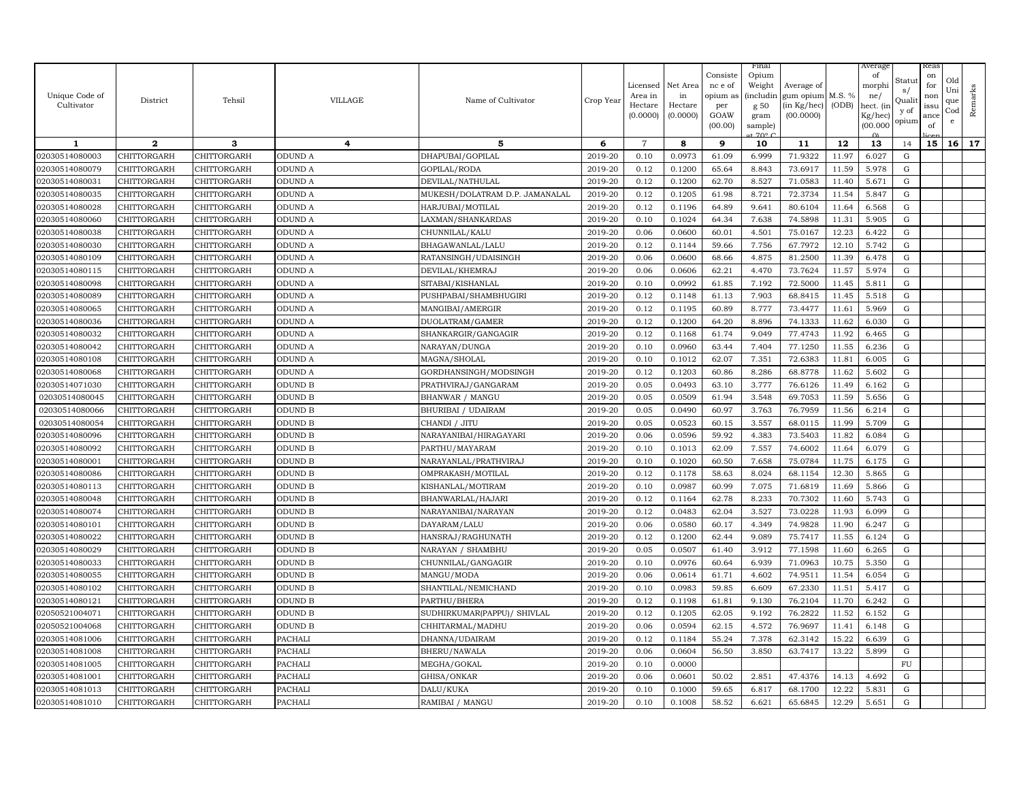| 0.0973<br>71.9322<br>${\rm G}$<br>02030514080003<br>CHITTORGARH<br>CHITTORGARH<br>ODUND A<br>DHAPUBAI/GOPILAL<br>2019-20<br>0.10<br>61.09<br>6.999<br>11.97<br>6.027<br>0.1200<br>8.843<br>73.6917<br>02030514080079<br>CHITTORGARH<br>CHITTORGARH<br>ODUND A<br>GOPILAL/RODA<br>2019-20<br>0.12<br>65.64<br>11.59<br>5.978<br>G<br>0.12<br>02030514080031<br>CHITTORGARH<br>CHITTORGARH<br>ODUND A<br>DEVILAL/NATHULAL<br>2019-20<br>0.1200<br>62.70<br>8.527<br>71.0583<br>11.40<br>5.671<br>G<br>02030514080035<br>CHITTORGARH<br>CHITTORGARH<br>ODUND A<br>MUKESH/DOLATRAM D.P. JAMANALAL<br>2019-20<br>0.12<br>0.1205<br>61.98<br>8.721<br>72.3734<br>11.54<br>5.847<br>G<br>2019-20<br>0.12<br>0.1196<br>64.89<br>9.641<br>80.6104<br>11.64<br>6.568<br>G<br>02030514080028<br>CHITTORGARH<br>CHITTORGARH<br>ODUND A<br>HARJUBAI/MOTILAL<br>02030514080060<br>CHITTORGARH<br>CHITTORGARH<br>ODUND A<br>LAXMAN/SHANKARDAS<br>2019-20<br>0.10<br>0.1024<br>64.34<br>7.638<br>74.5898<br>11.31<br>5.905<br>G<br>2019-20<br>0.0600<br>G<br>02030514080038<br>CHITTORGARH<br>ODUND A<br>CHUNNILAL/KALU<br>0.06<br>60.01<br>4.501<br>75.0167<br>12.23<br>6.422<br>CHITTORGARH<br>2019-20<br>0.12<br>0.1144<br>7.756<br>67.7972<br>12.10<br>5.742<br>G<br>02030514080030<br>CHITTORGARH<br>CHITTORGARH<br>ODUND A<br>BHAGAWANLAL/LALU<br>59.66<br>02030514080109<br>2019-20<br>0.06<br>0.0600<br>4.875<br>81.2500<br>11.39<br>6.478<br>G<br>CHITTORGARH<br>CHITTORGARH<br>ODUND A<br>RATANSINGH/UDAISINGH<br>68.66<br>0.0606<br>4.470<br>73.7624<br>11.57<br>5.974<br>${\rm G}$<br>02030514080115<br>CHITTORGARH<br>CHITTORGARH<br>ODUND A<br>DEVILAL/KHEMRAJ<br>2019-20<br>0.06<br>62.21<br>2019-20<br>0.10<br>0.0992<br>61.85<br>7.192<br>72.5000<br>11.45<br>5.811<br>G<br>02030514080098<br>CHITTORGARH<br>CHITTORGARH<br>ODUND A<br>SITABAI/KISHANLAL<br>02030514080089<br>CHITTORGARH<br>CHITTORGARH<br>ODUND A<br>PUSHPABAI/SHAMBHUGIRI<br>2019-20<br>0.12<br>0.1148<br>61.13<br>7.903<br>68.8415<br>11.45<br>5.518<br>G<br>2019-20<br>0.1195<br>8.777<br>73.4477<br>11.61<br>${\rm G}$<br>02030514080065<br>CHITTORGARH<br>CHITTORGARH<br>ODUND A<br>MANGIBAI/AMERGIR<br>0.12<br>60.89<br>5.969<br>74.1333<br>11.62<br>${\rm G}$<br>02030514080036<br>CHITTORGARH<br>CHITTORGARH<br>ODUND A<br>DUOLATRAM/GAMER<br>2019-20<br>0.12<br>0.1200<br>64.20<br>8.896<br>6.030<br>2019-20<br>77.4743<br>11.92<br>${\rm G}$<br>02030514080032<br>CHITTORGARH<br>CHITTORGARH<br>ODUND A<br>SHANKARGIR/GANGAGIR<br>0.12<br>0.1168<br>61.74<br>9.049<br>6.465<br>${\rm G}$<br>02030514080042<br>ODUND A<br>NARAYAN/DUNGA<br>2019-20<br>0.10<br>0.0960<br>63.44<br>7.404<br>77.1250<br>11.55<br>6.236<br>CHITTORGARH<br>CHITTORGARH<br>7.351<br>${\rm G}$<br>02030514080108<br>CHITTORGARH<br>CHITTORGARH<br>ODUND A<br>MAGNA/SHOLAL<br>2019-20<br>0.10<br>0.1012<br>62.07<br>72.6383<br>11.81<br>6.005<br>2019-20<br>0.12<br>0.1203<br>60.86<br>8.286<br>68.8778<br>11.62<br>5.602<br>${\rm G}$<br>02030514080068<br>CHITTORGARH<br>CHITTORGARH<br>ODUND A<br>GORDHANSINGH/MODSINGH<br>0.0493<br>02030514071030<br>CHITTORGARH<br>CHITTORGARH<br>ODUND B<br>PRATHVIRAJ/GANGARAM<br>2019-20<br>0.05<br>63.10<br>3.777<br>76.6126<br>11.49<br>6.162<br>G<br>02030514080045<br>CHITTORGARH<br>CHITTORGARH<br>ODUND B<br><b>BHANWAR / MANGU</b><br>2019-20<br>0.05<br>0.0509<br>61.94<br>3.548<br>69.7053<br>11.59<br>5.656<br>G<br>ODUND B<br>BHURIBAI / UDAIRAM<br>2019-20<br>0.05<br>0.0490<br>60.97<br>3.763<br>76.7959<br>11.56<br>6.214<br>G<br>02030514080066<br>CHITTORGARH<br>CHITTORGARH<br>2019-20<br>0.0523<br>3.557<br>68.0115<br>${\rm G}$<br>02030514080054<br>CHITTORGARH<br>CHITTORGARH<br>ODUND B<br>CHANDI / JITU<br>0.05<br>60.15<br>11.99<br>5.709<br>0.0596<br>${\rm G}$<br>02030514080096<br>ODUND B<br>NARAYANIBAI/HIRAGAYARI<br>2019-20<br>0.06<br>59.92<br>4.383<br>73.5403<br>11.82<br>6.084<br>CHITTORGARH<br>CHITTORGARH<br>G<br>ODUND B<br>2019-20<br>0.10<br>0.1013<br>62.09<br>7.557<br>74.6002<br>11.64<br>6.079<br>02030514080092<br>CHITTORGARH<br>CHITTORGARH<br>PARTHU/MAYARAM<br>NARAYANLAL/PRATHVIRAJ<br>0.10<br>0.1020<br>7.658<br>75.0784<br>11.75<br>6.175<br>G<br>02030514080001<br>CHITTORGARH<br>CHITTORGARH<br>ODUND B<br>2019-20<br>60.50<br>02030514080086<br>ODUND B<br>OMPRAKASH/MOTILAL<br>2019-20<br>0.12<br>0.1178<br>58.63<br>8.024<br>68.1154<br>12.30<br>5.865<br>${\rm G}$<br>CHITTORGARH<br>CHITTORGARH<br>0.10<br>0.0987<br>7.075<br>71.6819<br>11.69<br>${\rm G}$<br>02030514080113<br>CHITTORGARH<br>CHITTORGARH<br>ODUND B<br>KISHANLAL/MOTIRAM<br>2019-20<br>60.99<br>5.866<br>${\rm G}$<br>02030514080048<br>CHITTORGARH<br>ODUND B<br>BHANWARLAL/HAJARI<br>2019-20<br>0.12<br>0.1164<br>62.78<br>8.233<br>70.7302<br>11.60<br>5.743<br>CHITTORGARH<br>02030514080074<br>CHITTORGARH<br>CHITTORGARH<br>ODUND B<br>2019-20<br>0.12<br>0.0483<br>62.04<br>3.527<br>73.0228<br>11.93<br>6.099<br>G<br>NARAYANIBAI/NARAYAN<br>2019-20<br>0.0580<br>4.349<br>74.9828<br>11.90<br>${\rm G}$<br>02030514080101<br>CHITTORGARH<br>CHITTORGARH<br>ODUND B<br>DAYARAM/LALU<br>0.06<br>60.17<br>6.247<br>0.12<br>0.1200<br>9.089<br>11.55<br>G<br>02030514080022<br>CHITTORGARH<br>CHITTORGARH<br>ODUND B<br>HANSRAJ/RAGHUNATH<br>2019-20<br>62.44<br>75.7417<br>6.124<br>0.05<br>0.0507<br>77.1598<br>${\rm G}$<br>02030514080029<br>CHITTORGARH<br>CHITTORGARH<br>ODUND B<br>NARAYAN / SHAMBHU<br>2019-20<br>61.40<br>3.912<br>11.60<br>6.265<br>0.10<br>0.0976<br>10.75<br>5.350<br>${\rm G}$<br>02030514080033<br>CHITTORGARH<br>CHITTORGARH<br>ODUND B<br>CHUNNILAL/GANGAGIR<br>2019-20<br>60.64<br>6.939<br>71.0963<br>02030514080055<br>MANGU/MODA<br>2019-20<br>0.06<br>0.0614<br>61.71<br>4.602<br>74.9511<br>11.54<br>6.054<br>${\rm G}$<br>CHITTORGARH<br>CHITTORGARH<br>ODUND B<br>0.10<br>0.0983<br>6.609<br>67.2330<br>${\rm G}$<br>02030514080102<br>CHITTORGARH<br>CHITTORGARH<br>ODUND B<br>SHANTILAL/NEMICHAND<br>2019-20<br>59.85<br>11.51<br>5.417<br>02030514080121<br>CHITTORGARH<br>CHITTORGARH<br>ODUND B<br>PARTHU/BHERA<br>2019-20<br>0.12<br>0.1198<br>61.81<br>9.130<br>76.2104<br>11.70<br>6.242<br>G<br>02050521004071<br>CHITTORGARH<br>CHITTORGARH<br>ODUND B<br>SUDHIRKUMAR(PAPPU) / SHIVLAL<br>2019-20<br>0.12<br>0.1205<br>62.05<br>9.192<br>76.2822<br>11.52<br>6.152<br>G<br>0.0594<br>G<br>02050521004068<br>CHITTORGARH<br>CHITTORGARH<br>ODUND B<br>CHHITARMAL/MADHU<br>2019-20<br>0.06<br>62.15<br>4.572<br>76.9697<br>11.41<br>6.148<br>02030514081006<br>PACHALI<br>2019-20<br>0.1184<br>7.378<br>62.3142<br>15.22<br>${\rm G}$<br>CHITTORGARH<br>CHITTORGARH<br>DHANNA/UDAIRAM<br>0.12<br>55.24<br>6.639<br>${\rm G}$<br>2019-20<br>0.06<br>0.0604<br>3.850<br>63.7417<br>13.22<br>5.899<br>02030514081008<br>CHITTORGARH<br>CHITTORGARH<br>PACHALI<br>BHERU/NAWALA<br>56.50<br>${\rm FU}$<br>02030514081005<br>PACHALI<br>MEGHA/GOKAL<br>2019-20<br>0.10<br>0.0000<br>CHITTORGARH<br>CHITTORGARH<br>PACHALI<br>0.0601<br>50.02<br>2.851<br>47.4376<br>${\rm G}$<br>02030514081001<br>CHITTORGARH<br>CHITTORGARH<br>GHISA/ONKAR<br>2019-20<br>0.06<br>14.13<br>4.692<br>PACHALI<br>2019-20<br>68.1700<br>12.22<br>5.831<br>${\rm G}$<br>02030514081013<br>CHITTORGARH<br>CHITTORGARH<br>DALU/KUKA<br>0.10<br>0.1000<br>59.65<br>6.817<br>0.10<br>0.1008<br>58.52<br>6.621<br>12.29<br>5.651<br>${\rm G}$<br>02030514081010<br>CHITTORGARH<br>CHITTORGARH<br>PACHALI<br>RAMIBAI / MANGU<br>2019-20<br>65.6845 | Unique Code of<br>Cultivator | District       | Tehsil | VILLAGE | Name of Cultivator | Crop Year | Licensed<br>Area in<br>Hectare<br>(0.0000) | Net Area<br>in<br>Hectare<br>(0.0000) | Consiste<br>nc e of<br>opium as<br>per<br>GOAW<br>(00.00) | Final<br>Opium<br>Weight<br><i>(includin</i><br>g 50<br>gram<br>sample]<br>70° | Average of<br>gum opium M.S. %<br>(in Kg/hec)<br>(00.0000) | (ODB) | Averag<br>of<br>morphi<br>ne/<br>hect. (in<br>Kg/hec<br>(00.000) | Statut<br>s/<br>Quali<br>y of<br>opium | on<br>for<br>nor<br>isst<br>ance<br>of | Dld<br>Uni<br>que<br>Cod | Remarks |
|------------------------------------------------------------------------------------------------------------------------------------------------------------------------------------------------------------------------------------------------------------------------------------------------------------------------------------------------------------------------------------------------------------------------------------------------------------------------------------------------------------------------------------------------------------------------------------------------------------------------------------------------------------------------------------------------------------------------------------------------------------------------------------------------------------------------------------------------------------------------------------------------------------------------------------------------------------------------------------------------------------------------------------------------------------------------------------------------------------------------------------------------------------------------------------------------------------------------------------------------------------------------------------------------------------------------------------------------------------------------------------------------------------------------------------------------------------------------------------------------------------------------------------------------------------------------------------------------------------------------------------------------------------------------------------------------------------------------------------------------------------------------------------------------------------------------------------------------------------------------------------------------------------------------------------------------------------------------------------------------------------------------------------------------------------------------------------------------------------------------------------------------------------------------------------------------------------------------------------------------------------------------------------------------------------------------------------------------------------------------------------------------------------------------------------------------------------------------------------------------------------------------------------------------------------------------------------------------------------------------------------------------------------------------------------------------------------------------------------------------------------------------------------------------------------------------------------------------------------------------------------------------------------------------------------------------------------------------------------------------------------------------------------------------------------------------------------------------------------------------------------------------------------------------------------------------------------------------------------------------------------------------------------------------------------------------------------------------------------------------------------------------------------------------------------------------------------------------------------------------------------------------------------------------------------------------------------------------------------------------------------------------------------------------------------------------------------------------------------------------------------------------------------------------------------------------------------------------------------------------------------------------------------------------------------------------------------------------------------------------------------------------------------------------------------------------------------------------------------------------------------------------------------------------------------------------------------------------------------------------------------------------------------------------------------------------------------------------------------------------------------------------------------------------------------------------------------------------------------------------------------------------------------------------------------------------------------------------------------------------------------------------------------------------------------------------------------------------------------------------------------------------------------------------------------------------------------------------------------------------------------------------------------------------------------------------------------------------------------------------------------------------------------------------------------------------------------------------------------------------------------------------------------------------------------------------------------------------------------------------------------------------------------------------------------------------------------------------------------------------------------------------------------------------------------------------------------------------------------------------------------------------------------------------------------------------------------------------------------------------------------------------------------------------------------------------------------------------------------------------------------------------------------------------------------------------------------------------------------------------------------------------------------------------------------------------------------------------------------------------------------------------------------------------------------------------------------------------------------------------------------------------------------------------------------------------------------------------------------------------------------------------------------------------------------------------------------------------------------------------------------------------------------------------------------------------------------------------------------------------------------------------------------------------------------------------------------------------------------------------------------------------------------------------------------------------------------------------------------------------------------------------------------------------------------------------------------------------------------------------------------------------------------------------------------------------------------------------------------------------------------------------------------------------------------------------------------------------------------------------------------------------------------------------------------------------------------------------------------------------------------------------------------------------------------------------------------------------------------------------------------------------------------------------------------------------------------------------------------------------------|------------------------------|----------------|--------|---------|--------------------|-----------|--------------------------------------------|---------------------------------------|-----------------------------------------------------------|--------------------------------------------------------------------------------|------------------------------------------------------------|-------|------------------------------------------------------------------|----------------------------------------|----------------------------------------|--------------------------|---------|
|                                                                                                                                                                                                                                                                                                                                                                                                                                                                                                                                                                                                                                                                                                                                                                                                                                                                                                                                                                                                                                                                                                                                                                                                                                                                                                                                                                                                                                                                                                                                                                                                                                                                                                                                                                                                                                                                                                                                                                                                                                                                                                                                                                                                                                                                                                                                                                                                                                                                                                                                                                                                                                                                                                                                                                                                                                                                                                                                                                                                                                                                                                                                                                                                                                                                                                                                                                                                                                                                                                                                                                                                                                                                                                                                                                                                                                                                                                                                                                                                                                                                                                                                                                                                                                                                                                                                                                                                                                                                                                                                                                                                                                                                                                                                                                                                                                                                                                                                                                                                                                                                                                                                                                                                                                                                                                                                                                                                                                                                                                                                                                                                                                                                                                                                                                                                                                                                                                                                                                                                                                                                                                                                                                                                                                                                                                                                                                                                                                                                                                                                                                                                                                                                                                                                                                                                                                                                                                                                                                                                                                                                                                                                                                                                                                                                                                                                                                                                                                                                                                      | -1                           | $\overline{2}$ | 3      | 4       | 5                  | 6         | $\overline{7}$                             | 8                                     | 9                                                         | 10                                                                             | 11                                                         | 12    | 13                                                               | 14                                     | 15                                     | 16 <sup>1</sup>          | 17      |
|                                                                                                                                                                                                                                                                                                                                                                                                                                                                                                                                                                                                                                                                                                                                                                                                                                                                                                                                                                                                                                                                                                                                                                                                                                                                                                                                                                                                                                                                                                                                                                                                                                                                                                                                                                                                                                                                                                                                                                                                                                                                                                                                                                                                                                                                                                                                                                                                                                                                                                                                                                                                                                                                                                                                                                                                                                                                                                                                                                                                                                                                                                                                                                                                                                                                                                                                                                                                                                                                                                                                                                                                                                                                                                                                                                                                                                                                                                                                                                                                                                                                                                                                                                                                                                                                                                                                                                                                                                                                                                                                                                                                                                                                                                                                                                                                                                                                                                                                                                                                                                                                                                                                                                                                                                                                                                                                                                                                                                                                                                                                                                                                                                                                                                                                                                                                                                                                                                                                                                                                                                                                                                                                                                                                                                                                                                                                                                                                                                                                                                                                                                                                                                                                                                                                                                                                                                                                                                                                                                                                                                                                                                                                                                                                                                                                                                                                                                                                                                                                                                      |                              |                |        |         |                    |           |                                            |                                       |                                                           |                                                                                |                                                            |       |                                                                  |                                        |                                        |                          |         |
|                                                                                                                                                                                                                                                                                                                                                                                                                                                                                                                                                                                                                                                                                                                                                                                                                                                                                                                                                                                                                                                                                                                                                                                                                                                                                                                                                                                                                                                                                                                                                                                                                                                                                                                                                                                                                                                                                                                                                                                                                                                                                                                                                                                                                                                                                                                                                                                                                                                                                                                                                                                                                                                                                                                                                                                                                                                                                                                                                                                                                                                                                                                                                                                                                                                                                                                                                                                                                                                                                                                                                                                                                                                                                                                                                                                                                                                                                                                                                                                                                                                                                                                                                                                                                                                                                                                                                                                                                                                                                                                                                                                                                                                                                                                                                                                                                                                                                                                                                                                                                                                                                                                                                                                                                                                                                                                                                                                                                                                                                                                                                                                                                                                                                                                                                                                                                                                                                                                                                                                                                                                                                                                                                                                                                                                                                                                                                                                                                                                                                                                                                                                                                                                                                                                                                                                                                                                                                                                                                                                                                                                                                                                                                                                                                                                                                                                                                                                                                                                                                                      |                              |                |        |         |                    |           |                                            |                                       |                                                           |                                                                                |                                                            |       |                                                                  |                                        |                                        |                          |         |
|                                                                                                                                                                                                                                                                                                                                                                                                                                                                                                                                                                                                                                                                                                                                                                                                                                                                                                                                                                                                                                                                                                                                                                                                                                                                                                                                                                                                                                                                                                                                                                                                                                                                                                                                                                                                                                                                                                                                                                                                                                                                                                                                                                                                                                                                                                                                                                                                                                                                                                                                                                                                                                                                                                                                                                                                                                                                                                                                                                                                                                                                                                                                                                                                                                                                                                                                                                                                                                                                                                                                                                                                                                                                                                                                                                                                                                                                                                                                                                                                                                                                                                                                                                                                                                                                                                                                                                                                                                                                                                                                                                                                                                                                                                                                                                                                                                                                                                                                                                                                                                                                                                                                                                                                                                                                                                                                                                                                                                                                                                                                                                                                                                                                                                                                                                                                                                                                                                                                                                                                                                                                                                                                                                                                                                                                                                                                                                                                                                                                                                                                                                                                                                                                                                                                                                                                                                                                                                                                                                                                                                                                                                                                                                                                                                                                                                                                                                                                                                                                                                      |                              |                |        |         |                    |           |                                            |                                       |                                                           |                                                                                |                                                            |       |                                                                  |                                        |                                        |                          |         |
|                                                                                                                                                                                                                                                                                                                                                                                                                                                                                                                                                                                                                                                                                                                                                                                                                                                                                                                                                                                                                                                                                                                                                                                                                                                                                                                                                                                                                                                                                                                                                                                                                                                                                                                                                                                                                                                                                                                                                                                                                                                                                                                                                                                                                                                                                                                                                                                                                                                                                                                                                                                                                                                                                                                                                                                                                                                                                                                                                                                                                                                                                                                                                                                                                                                                                                                                                                                                                                                                                                                                                                                                                                                                                                                                                                                                                                                                                                                                                                                                                                                                                                                                                                                                                                                                                                                                                                                                                                                                                                                                                                                                                                                                                                                                                                                                                                                                                                                                                                                                                                                                                                                                                                                                                                                                                                                                                                                                                                                                                                                                                                                                                                                                                                                                                                                                                                                                                                                                                                                                                                                                                                                                                                                                                                                                                                                                                                                                                                                                                                                                                                                                                                                                                                                                                                                                                                                                                                                                                                                                                                                                                                                                                                                                                                                                                                                                                                                                                                                                                                      |                              |                |        |         |                    |           |                                            |                                       |                                                           |                                                                                |                                                            |       |                                                                  |                                        |                                        |                          |         |
|                                                                                                                                                                                                                                                                                                                                                                                                                                                                                                                                                                                                                                                                                                                                                                                                                                                                                                                                                                                                                                                                                                                                                                                                                                                                                                                                                                                                                                                                                                                                                                                                                                                                                                                                                                                                                                                                                                                                                                                                                                                                                                                                                                                                                                                                                                                                                                                                                                                                                                                                                                                                                                                                                                                                                                                                                                                                                                                                                                                                                                                                                                                                                                                                                                                                                                                                                                                                                                                                                                                                                                                                                                                                                                                                                                                                                                                                                                                                                                                                                                                                                                                                                                                                                                                                                                                                                                                                                                                                                                                                                                                                                                                                                                                                                                                                                                                                                                                                                                                                                                                                                                                                                                                                                                                                                                                                                                                                                                                                                                                                                                                                                                                                                                                                                                                                                                                                                                                                                                                                                                                                                                                                                                                                                                                                                                                                                                                                                                                                                                                                                                                                                                                                                                                                                                                                                                                                                                                                                                                                                                                                                                                                                                                                                                                                                                                                                                                                                                                                                                      |                              |                |        |         |                    |           |                                            |                                       |                                                           |                                                                                |                                                            |       |                                                                  |                                        |                                        |                          |         |
|                                                                                                                                                                                                                                                                                                                                                                                                                                                                                                                                                                                                                                                                                                                                                                                                                                                                                                                                                                                                                                                                                                                                                                                                                                                                                                                                                                                                                                                                                                                                                                                                                                                                                                                                                                                                                                                                                                                                                                                                                                                                                                                                                                                                                                                                                                                                                                                                                                                                                                                                                                                                                                                                                                                                                                                                                                                                                                                                                                                                                                                                                                                                                                                                                                                                                                                                                                                                                                                                                                                                                                                                                                                                                                                                                                                                                                                                                                                                                                                                                                                                                                                                                                                                                                                                                                                                                                                                                                                                                                                                                                                                                                                                                                                                                                                                                                                                                                                                                                                                                                                                                                                                                                                                                                                                                                                                                                                                                                                                                                                                                                                                                                                                                                                                                                                                                                                                                                                                                                                                                                                                                                                                                                                                                                                                                                                                                                                                                                                                                                                                                                                                                                                                                                                                                                                                                                                                                                                                                                                                                                                                                                                                                                                                                                                                                                                                                                                                                                                                                                      |                              |                |        |         |                    |           |                                            |                                       |                                                           |                                                                                |                                                            |       |                                                                  |                                        |                                        |                          |         |
|                                                                                                                                                                                                                                                                                                                                                                                                                                                                                                                                                                                                                                                                                                                                                                                                                                                                                                                                                                                                                                                                                                                                                                                                                                                                                                                                                                                                                                                                                                                                                                                                                                                                                                                                                                                                                                                                                                                                                                                                                                                                                                                                                                                                                                                                                                                                                                                                                                                                                                                                                                                                                                                                                                                                                                                                                                                                                                                                                                                                                                                                                                                                                                                                                                                                                                                                                                                                                                                                                                                                                                                                                                                                                                                                                                                                                                                                                                                                                                                                                                                                                                                                                                                                                                                                                                                                                                                                                                                                                                                                                                                                                                                                                                                                                                                                                                                                                                                                                                                                                                                                                                                                                                                                                                                                                                                                                                                                                                                                                                                                                                                                                                                                                                                                                                                                                                                                                                                                                                                                                                                                                                                                                                                                                                                                                                                                                                                                                                                                                                                                                                                                                                                                                                                                                                                                                                                                                                                                                                                                                                                                                                                                                                                                                                                                                                                                                                                                                                                                                                      |                              |                |        |         |                    |           |                                            |                                       |                                                           |                                                                                |                                                            |       |                                                                  |                                        |                                        |                          |         |
|                                                                                                                                                                                                                                                                                                                                                                                                                                                                                                                                                                                                                                                                                                                                                                                                                                                                                                                                                                                                                                                                                                                                                                                                                                                                                                                                                                                                                                                                                                                                                                                                                                                                                                                                                                                                                                                                                                                                                                                                                                                                                                                                                                                                                                                                                                                                                                                                                                                                                                                                                                                                                                                                                                                                                                                                                                                                                                                                                                                                                                                                                                                                                                                                                                                                                                                                                                                                                                                                                                                                                                                                                                                                                                                                                                                                                                                                                                                                                                                                                                                                                                                                                                                                                                                                                                                                                                                                                                                                                                                                                                                                                                                                                                                                                                                                                                                                                                                                                                                                                                                                                                                                                                                                                                                                                                                                                                                                                                                                                                                                                                                                                                                                                                                                                                                                                                                                                                                                                                                                                                                                                                                                                                                                                                                                                                                                                                                                                                                                                                                                                                                                                                                                                                                                                                                                                                                                                                                                                                                                                                                                                                                                                                                                                                                                                                                                                                                                                                                                                                      |                              |                |        |         |                    |           |                                            |                                       |                                                           |                                                                                |                                                            |       |                                                                  |                                        |                                        |                          |         |
|                                                                                                                                                                                                                                                                                                                                                                                                                                                                                                                                                                                                                                                                                                                                                                                                                                                                                                                                                                                                                                                                                                                                                                                                                                                                                                                                                                                                                                                                                                                                                                                                                                                                                                                                                                                                                                                                                                                                                                                                                                                                                                                                                                                                                                                                                                                                                                                                                                                                                                                                                                                                                                                                                                                                                                                                                                                                                                                                                                                                                                                                                                                                                                                                                                                                                                                                                                                                                                                                                                                                                                                                                                                                                                                                                                                                                                                                                                                                                                                                                                                                                                                                                                                                                                                                                                                                                                                                                                                                                                                                                                                                                                                                                                                                                                                                                                                                                                                                                                                                                                                                                                                                                                                                                                                                                                                                                                                                                                                                                                                                                                                                                                                                                                                                                                                                                                                                                                                                                                                                                                                                                                                                                                                                                                                                                                                                                                                                                                                                                                                                                                                                                                                                                                                                                                                                                                                                                                                                                                                                                                                                                                                                                                                                                                                                                                                                                                                                                                                                                                      |                              |                |        |         |                    |           |                                            |                                       |                                                           |                                                                                |                                                            |       |                                                                  |                                        |                                        |                          |         |
|                                                                                                                                                                                                                                                                                                                                                                                                                                                                                                                                                                                                                                                                                                                                                                                                                                                                                                                                                                                                                                                                                                                                                                                                                                                                                                                                                                                                                                                                                                                                                                                                                                                                                                                                                                                                                                                                                                                                                                                                                                                                                                                                                                                                                                                                                                                                                                                                                                                                                                                                                                                                                                                                                                                                                                                                                                                                                                                                                                                                                                                                                                                                                                                                                                                                                                                                                                                                                                                                                                                                                                                                                                                                                                                                                                                                                                                                                                                                                                                                                                                                                                                                                                                                                                                                                                                                                                                                                                                                                                                                                                                                                                                                                                                                                                                                                                                                                                                                                                                                                                                                                                                                                                                                                                                                                                                                                                                                                                                                                                                                                                                                                                                                                                                                                                                                                                                                                                                                                                                                                                                                                                                                                                                                                                                                                                                                                                                                                                                                                                                                                                                                                                                                                                                                                                                                                                                                                                                                                                                                                                                                                                                                                                                                                                                                                                                                                                                                                                                                                                      |                              |                |        |         |                    |           |                                            |                                       |                                                           |                                                                                |                                                            |       |                                                                  |                                        |                                        |                          |         |
|                                                                                                                                                                                                                                                                                                                                                                                                                                                                                                                                                                                                                                                                                                                                                                                                                                                                                                                                                                                                                                                                                                                                                                                                                                                                                                                                                                                                                                                                                                                                                                                                                                                                                                                                                                                                                                                                                                                                                                                                                                                                                                                                                                                                                                                                                                                                                                                                                                                                                                                                                                                                                                                                                                                                                                                                                                                                                                                                                                                                                                                                                                                                                                                                                                                                                                                                                                                                                                                                                                                                                                                                                                                                                                                                                                                                                                                                                                                                                                                                                                                                                                                                                                                                                                                                                                                                                                                                                                                                                                                                                                                                                                                                                                                                                                                                                                                                                                                                                                                                                                                                                                                                                                                                                                                                                                                                                                                                                                                                                                                                                                                                                                                                                                                                                                                                                                                                                                                                                                                                                                                                                                                                                                                                                                                                                                                                                                                                                                                                                                                                                                                                                                                                                                                                                                                                                                                                                                                                                                                                                                                                                                                                                                                                                                                                                                                                                                                                                                                                                                      |                              |                |        |         |                    |           |                                            |                                       |                                                           |                                                                                |                                                            |       |                                                                  |                                        |                                        |                          |         |
|                                                                                                                                                                                                                                                                                                                                                                                                                                                                                                                                                                                                                                                                                                                                                                                                                                                                                                                                                                                                                                                                                                                                                                                                                                                                                                                                                                                                                                                                                                                                                                                                                                                                                                                                                                                                                                                                                                                                                                                                                                                                                                                                                                                                                                                                                                                                                                                                                                                                                                                                                                                                                                                                                                                                                                                                                                                                                                                                                                                                                                                                                                                                                                                                                                                                                                                                                                                                                                                                                                                                                                                                                                                                                                                                                                                                                                                                                                                                                                                                                                                                                                                                                                                                                                                                                                                                                                                                                                                                                                                                                                                                                                                                                                                                                                                                                                                                                                                                                                                                                                                                                                                                                                                                                                                                                                                                                                                                                                                                                                                                                                                                                                                                                                                                                                                                                                                                                                                                                                                                                                                                                                                                                                                                                                                                                                                                                                                                                                                                                                                                                                                                                                                                                                                                                                                                                                                                                                                                                                                                                                                                                                                                                                                                                                                                                                                                                                                                                                                                                                      |                              |                |        |         |                    |           |                                            |                                       |                                                           |                                                                                |                                                            |       |                                                                  |                                        |                                        |                          |         |
|                                                                                                                                                                                                                                                                                                                                                                                                                                                                                                                                                                                                                                                                                                                                                                                                                                                                                                                                                                                                                                                                                                                                                                                                                                                                                                                                                                                                                                                                                                                                                                                                                                                                                                                                                                                                                                                                                                                                                                                                                                                                                                                                                                                                                                                                                                                                                                                                                                                                                                                                                                                                                                                                                                                                                                                                                                                                                                                                                                                                                                                                                                                                                                                                                                                                                                                                                                                                                                                                                                                                                                                                                                                                                                                                                                                                                                                                                                                                                                                                                                                                                                                                                                                                                                                                                                                                                                                                                                                                                                                                                                                                                                                                                                                                                                                                                                                                                                                                                                                                                                                                                                                                                                                                                                                                                                                                                                                                                                                                                                                                                                                                                                                                                                                                                                                                                                                                                                                                                                                                                                                                                                                                                                                                                                                                                                                                                                                                                                                                                                                                                                                                                                                                                                                                                                                                                                                                                                                                                                                                                                                                                                                                                                                                                                                                                                                                                                                                                                                                                                      |                              |                |        |         |                    |           |                                            |                                       |                                                           |                                                                                |                                                            |       |                                                                  |                                        |                                        |                          |         |
|                                                                                                                                                                                                                                                                                                                                                                                                                                                                                                                                                                                                                                                                                                                                                                                                                                                                                                                                                                                                                                                                                                                                                                                                                                                                                                                                                                                                                                                                                                                                                                                                                                                                                                                                                                                                                                                                                                                                                                                                                                                                                                                                                                                                                                                                                                                                                                                                                                                                                                                                                                                                                                                                                                                                                                                                                                                                                                                                                                                                                                                                                                                                                                                                                                                                                                                                                                                                                                                                                                                                                                                                                                                                                                                                                                                                                                                                                                                                                                                                                                                                                                                                                                                                                                                                                                                                                                                                                                                                                                                                                                                                                                                                                                                                                                                                                                                                                                                                                                                                                                                                                                                                                                                                                                                                                                                                                                                                                                                                                                                                                                                                                                                                                                                                                                                                                                                                                                                                                                                                                                                                                                                                                                                                                                                                                                                                                                                                                                                                                                                                                                                                                                                                                                                                                                                                                                                                                                                                                                                                                                                                                                                                                                                                                                                                                                                                                                                                                                                                                                      |                              |                |        |         |                    |           |                                            |                                       |                                                           |                                                                                |                                                            |       |                                                                  |                                        |                                        |                          |         |
|                                                                                                                                                                                                                                                                                                                                                                                                                                                                                                                                                                                                                                                                                                                                                                                                                                                                                                                                                                                                                                                                                                                                                                                                                                                                                                                                                                                                                                                                                                                                                                                                                                                                                                                                                                                                                                                                                                                                                                                                                                                                                                                                                                                                                                                                                                                                                                                                                                                                                                                                                                                                                                                                                                                                                                                                                                                                                                                                                                                                                                                                                                                                                                                                                                                                                                                                                                                                                                                                                                                                                                                                                                                                                                                                                                                                                                                                                                                                                                                                                                                                                                                                                                                                                                                                                                                                                                                                                                                                                                                                                                                                                                                                                                                                                                                                                                                                                                                                                                                                                                                                                                                                                                                                                                                                                                                                                                                                                                                                                                                                                                                                                                                                                                                                                                                                                                                                                                                                                                                                                                                                                                                                                                                                                                                                                                                                                                                                                                                                                                                                                                                                                                                                                                                                                                                                                                                                                                                                                                                                                                                                                                                                                                                                                                                                                                                                                                                                                                                                                                      |                              |                |        |         |                    |           |                                            |                                       |                                                           |                                                                                |                                                            |       |                                                                  |                                        |                                        |                          |         |
|                                                                                                                                                                                                                                                                                                                                                                                                                                                                                                                                                                                                                                                                                                                                                                                                                                                                                                                                                                                                                                                                                                                                                                                                                                                                                                                                                                                                                                                                                                                                                                                                                                                                                                                                                                                                                                                                                                                                                                                                                                                                                                                                                                                                                                                                                                                                                                                                                                                                                                                                                                                                                                                                                                                                                                                                                                                                                                                                                                                                                                                                                                                                                                                                                                                                                                                                                                                                                                                                                                                                                                                                                                                                                                                                                                                                                                                                                                                                                                                                                                                                                                                                                                                                                                                                                                                                                                                                                                                                                                                                                                                                                                                                                                                                                                                                                                                                                                                                                                                                                                                                                                                                                                                                                                                                                                                                                                                                                                                                                                                                                                                                                                                                                                                                                                                                                                                                                                                                                                                                                                                                                                                                                                                                                                                                                                                                                                                                                                                                                                                                                                                                                                                                                                                                                                                                                                                                                                                                                                                                                                                                                                                                                                                                                                                                                                                                                                                                                                                                                                      |                              |                |        |         |                    |           |                                            |                                       |                                                           |                                                                                |                                                            |       |                                                                  |                                        |                                        |                          |         |
|                                                                                                                                                                                                                                                                                                                                                                                                                                                                                                                                                                                                                                                                                                                                                                                                                                                                                                                                                                                                                                                                                                                                                                                                                                                                                                                                                                                                                                                                                                                                                                                                                                                                                                                                                                                                                                                                                                                                                                                                                                                                                                                                                                                                                                                                                                                                                                                                                                                                                                                                                                                                                                                                                                                                                                                                                                                                                                                                                                                                                                                                                                                                                                                                                                                                                                                                                                                                                                                                                                                                                                                                                                                                                                                                                                                                                                                                                                                                                                                                                                                                                                                                                                                                                                                                                                                                                                                                                                                                                                                                                                                                                                                                                                                                                                                                                                                                                                                                                                                                                                                                                                                                                                                                                                                                                                                                                                                                                                                                                                                                                                                                                                                                                                                                                                                                                                                                                                                                                                                                                                                                                                                                                                                                                                                                                                                                                                                                                                                                                                                                                                                                                                                                                                                                                                                                                                                                                                                                                                                                                                                                                                                                                                                                                                                                                                                                                                                                                                                                                                      |                              |                |        |         |                    |           |                                            |                                       |                                                           |                                                                                |                                                            |       |                                                                  |                                        |                                        |                          |         |
|                                                                                                                                                                                                                                                                                                                                                                                                                                                                                                                                                                                                                                                                                                                                                                                                                                                                                                                                                                                                                                                                                                                                                                                                                                                                                                                                                                                                                                                                                                                                                                                                                                                                                                                                                                                                                                                                                                                                                                                                                                                                                                                                                                                                                                                                                                                                                                                                                                                                                                                                                                                                                                                                                                                                                                                                                                                                                                                                                                                                                                                                                                                                                                                                                                                                                                                                                                                                                                                                                                                                                                                                                                                                                                                                                                                                                                                                                                                                                                                                                                                                                                                                                                                                                                                                                                                                                                                                                                                                                                                                                                                                                                                                                                                                                                                                                                                                                                                                                                                                                                                                                                                                                                                                                                                                                                                                                                                                                                                                                                                                                                                                                                                                                                                                                                                                                                                                                                                                                                                                                                                                                                                                                                                                                                                                                                                                                                                                                                                                                                                                                                                                                                                                                                                                                                                                                                                                                                                                                                                                                                                                                                                                                                                                                                                                                                                                                                                                                                                                                                      |                              |                |        |         |                    |           |                                            |                                       |                                                           |                                                                                |                                                            |       |                                                                  |                                        |                                        |                          |         |
|                                                                                                                                                                                                                                                                                                                                                                                                                                                                                                                                                                                                                                                                                                                                                                                                                                                                                                                                                                                                                                                                                                                                                                                                                                                                                                                                                                                                                                                                                                                                                                                                                                                                                                                                                                                                                                                                                                                                                                                                                                                                                                                                                                                                                                                                                                                                                                                                                                                                                                                                                                                                                                                                                                                                                                                                                                                                                                                                                                                                                                                                                                                                                                                                                                                                                                                                                                                                                                                                                                                                                                                                                                                                                                                                                                                                                                                                                                                                                                                                                                                                                                                                                                                                                                                                                                                                                                                                                                                                                                                                                                                                                                                                                                                                                                                                                                                                                                                                                                                                                                                                                                                                                                                                                                                                                                                                                                                                                                                                                                                                                                                                                                                                                                                                                                                                                                                                                                                                                                                                                                                                                                                                                                                                                                                                                                                                                                                                                                                                                                                                                                                                                                                                                                                                                                                                                                                                                                                                                                                                                                                                                                                                                                                                                                                                                                                                                                                                                                                                                                      |                              |                |        |         |                    |           |                                            |                                       |                                                           |                                                                                |                                                            |       |                                                                  |                                        |                                        |                          |         |
|                                                                                                                                                                                                                                                                                                                                                                                                                                                                                                                                                                                                                                                                                                                                                                                                                                                                                                                                                                                                                                                                                                                                                                                                                                                                                                                                                                                                                                                                                                                                                                                                                                                                                                                                                                                                                                                                                                                                                                                                                                                                                                                                                                                                                                                                                                                                                                                                                                                                                                                                                                                                                                                                                                                                                                                                                                                                                                                                                                                                                                                                                                                                                                                                                                                                                                                                                                                                                                                                                                                                                                                                                                                                                                                                                                                                                                                                                                                                                                                                                                                                                                                                                                                                                                                                                                                                                                                                                                                                                                                                                                                                                                                                                                                                                                                                                                                                                                                                                                                                                                                                                                                                                                                                                                                                                                                                                                                                                                                                                                                                                                                                                                                                                                                                                                                                                                                                                                                                                                                                                                                                                                                                                                                                                                                                                                                                                                                                                                                                                                                                                                                                                                                                                                                                                                                                                                                                                                                                                                                                                                                                                                                                                                                                                                                                                                                                                                                                                                                                                                      |                              |                |        |         |                    |           |                                            |                                       |                                                           |                                                                                |                                                            |       |                                                                  |                                        |                                        |                          |         |
|                                                                                                                                                                                                                                                                                                                                                                                                                                                                                                                                                                                                                                                                                                                                                                                                                                                                                                                                                                                                                                                                                                                                                                                                                                                                                                                                                                                                                                                                                                                                                                                                                                                                                                                                                                                                                                                                                                                                                                                                                                                                                                                                                                                                                                                                                                                                                                                                                                                                                                                                                                                                                                                                                                                                                                                                                                                                                                                                                                                                                                                                                                                                                                                                                                                                                                                                                                                                                                                                                                                                                                                                                                                                                                                                                                                                                                                                                                                                                                                                                                                                                                                                                                                                                                                                                                                                                                                                                                                                                                                                                                                                                                                                                                                                                                                                                                                                                                                                                                                                                                                                                                                                                                                                                                                                                                                                                                                                                                                                                                                                                                                                                                                                                                                                                                                                                                                                                                                                                                                                                                                                                                                                                                                                                                                                                                                                                                                                                                                                                                                                                                                                                                                                                                                                                                                                                                                                                                                                                                                                                                                                                                                                                                                                                                                                                                                                                                                                                                                                                                      |                              |                |        |         |                    |           |                                            |                                       |                                                           |                                                                                |                                                            |       |                                                                  |                                        |                                        |                          |         |
|                                                                                                                                                                                                                                                                                                                                                                                                                                                                                                                                                                                                                                                                                                                                                                                                                                                                                                                                                                                                                                                                                                                                                                                                                                                                                                                                                                                                                                                                                                                                                                                                                                                                                                                                                                                                                                                                                                                                                                                                                                                                                                                                                                                                                                                                                                                                                                                                                                                                                                                                                                                                                                                                                                                                                                                                                                                                                                                                                                                                                                                                                                                                                                                                                                                                                                                                                                                                                                                                                                                                                                                                                                                                                                                                                                                                                                                                                                                                                                                                                                                                                                                                                                                                                                                                                                                                                                                                                                                                                                                                                                                                                                                                                                                                                                                                                                                                                                                                                                                                                                                                                                                                                                                                                                                                                                                                                                                                                                                                                                                                                                                                                                                                                                                                                                                                                                                                                                                                                                                                                                                                                                                                                                                                                                                                                                                                                                                                                                                                                                                                                                                                                                                                                                                                                                                                                                                                                                                                                                                                                                                                                                                                                                                                                                                                                                                                                                                                                                                                                                      |                              |                |        |         |                    |           |                                            |                                       |                                                           |                                                                                |                                                            |       |                                                                  |                                        |                                        |                          |         |
|                                                                                                                                                                                                                                                                                                                                                                                                                                                                                                                                                                                                                                                                                                                                                                                                                                                                                                                                                                                                                                                                                                                                                                                                                                                                                                                                                                                                                                                                                                                                                                                                                                                                                                                                                                                                                                                                                                                                                                                                                                                                                                                                                                                                                                                                                                                                                                                                                                                                                                                                                                                                                                                                                                                                                                                                                                                                                                                                                                                                                                                                                                                                                                                                                                                                                                                                                                                                                                                                                                                                                                                                                                                                                                                                                                                                                                                                                                                                                                                                                                                                                                                                                                                                                                                                                                                                                                                                                                                                                                                                                                                                                                                                                                                                                                                                                                                                                                                                                                                                                                                                                                                                                                                                                                                                                                                                                                                                                                                                                                                                                                                                                                                                                                                                                                                                                                                                                                                                                                                                                                                                                                                                                                                                                                                                                                                                                                                                                                                                                                                                                                                                                                                                                                                                                                                                                                                                                                                                                                                                                                                                                                                                                                                                                                                                                                                                                                                                                                                                                                      |                              |                |        |         |                    |           |                                            |                                       |                                                           |                                                                                |                                                            |       |                                                                  |                                        |                                        |                          |         |
|                                                                                                                                                                                                                                                                                                                                                                                                                                                                                                                                                                                                                                                                                                                                                                                                                                                                                                                                                                                                                                                                                                                                                                                                                                                                                                                                                                                                                                                                                                                                                                                                                                                                                                                                                                                                                                                                                                                                                                                                                                                                                                                                                                                                                                                                                                                                                                                                                                                                                                                                                                                                                                                                                                                                                                                                                                                                                                                                                                                                                                                                                                                                                                                                                                                                                                                                                                                                                                                                                                                                                                                                                                                                                                                                                                                                                                                                                                                                                                                                                                                                                                                                                                                                                                                                                                                                                                                                                                                                                                                                                                                                                                                                                                                                                                                                                                                                                                                                                                                                                                                                                                                                                                                                                                                                                                                                                                                                                                                                                                                                                                                                                                                                                                                                                                                                                                                                                                                                                                                                                                                                                                                                                                                                                                                                                                                                                                                                                                                                                                                                                                                                                                                                                                                                                                                                                                                                                                                                                                                                                                                                                                                                                                                                                                                                                                                                                                                                                                                                                                      |                              |                |        |         |                    |           |                                            |                                       |                                                           |                                                                                |                                                            |       |                                                                  |                                        |                                        |                          |         |
|                                                                                                                                                                                                                                                                                                                                                                                                                                                                                                                                                                                                                                                                                                                                                                                                                                                                                                                                                                                                                                                                                                                                                                                                                                                                                                                                                                                                                                                                                                                                                                                                                                                                                                                                                                                                                                                                                                                                                                                                                                                                                                                                                                                                                                                                                                                                                                                                                                                                                                                                                                                                                                                                                                                                                                                                                                                                                                                                                                                                                                                                                                                                                                                                                                                                                                                                                                                                                                                                                                                                                                                                                                                                                                                                                                                                                                                                                                                                                                                                                                                                                                                                                                                                                                                                                                                                                                                                                                                                                                                                                                                                                                                                                                                                                                                                                                                                                                                                                                                                                                                                                                                                                                                                                                                                                                                                                                                                                                                                                                                                                                                                                                                                                                                                                                                                                                                                                                                                                                                                                                                                                                                                                                                                                                                                                                                                                                                                                                                                                                                                                                                                                                                                                                                                                                                                                                                                                                                                                                                                                                                                                                                                                                                                                                                                                                                                                                                                                                                                                                      |                              |                |        |         |                    |           |                                            |                                       |                                                           |                                                                                |                                                            |       |                                                                  |                                        |                                        |                          |         |
|                                                                                                                                                                                                                                                                                                                                                                                                                                                                                                                                                                                                                                                                                                                                                                                                                                                                                                                                                                                                                                                                                                                                                                                                                                                                                                                                                                                                                                                                                                                                                                                                                                                                                                                                                                                                                                                                                                                                                                                                                                                                                                                                                                                                                                                                                                                                                                                                                                                                                                                                                                                                                                                                                                                                                                                                                                                                                                                                                                                                                                                                                                                                                                                                                                                                                                                                                                                                                                                                                                                                                                                                                                                                                                                                                                                                                                                                                                                                                                                                                                                                                                                                                                                                                                                                                                                                                                                                                                                                                                                                                                                                                                                                                                                                                                                                                                                                                                                                                                                                                                                                                                                                                                                                                                                                                                                                                                                                                                                                                                                                                                                                                                                                                                                                                                                                                                                                                                                                                                                                                                                                                                                                                                                                                                                                                                                                                                                                                                                                                                                                                                                                                                                                                                                                                                                                                                                                                                                                                                                                                                                                                                                                                                                                                                                                                                                                                                                                                                                                                                      |                              |                |        |         |                    |           |                                            |                                       |                                                           |                                                                                |                                                            |       |                                                                  |                                        |                                        |                          |         |
|                                                                                                                                                                                                                                                                                                                                                                                                                                                                                                                                                                                                                                                                                                                                                                                                                                                                                                                                                                                                                                                                                                                                                                                                                                                                                                                                                                                                                                                                                                                                                                                                                                                                                                                                                                                                                                                                                                                                                                                                                                                                                                                                                                                                                                                                                                                                                                                                                                                                                                                                                                                                                                                                                                                                                                                                                                                                                                                                                                                                                                                                                                                                                                                                                                                                                                                                                                                                                                                                                                                                                                                                                                                                                                                                                                                                                                                                                                                                                                                                                                                                                                                                                                                                                                                                                                                                                                                                                                                                                                                                                                                                                                                                                                                                                                                                                                                                                                                                                                                                                                                                                                                                                                                                                                                                                                                                                                                                                                                                                                                                                                                                                                                                                                                                                                                                                                                                                                                                                                                                                                                                                                                                                                                                                                                                                                                                                                                                                                                                                                                                                                                                                                                                                                                                                                                                                                                                                                                                                                                                                                                                                                                                                                                                                                                                                                                                                                                                                                                                                                      |                              |                |        |         |                    |           |                                            |                                       |                                                           |                                                                                |                                                            |       |                                                                  |                                        |                                        |                          |         |
|                                                                                                                                                                                                                                                                                                                                                                                                                                                                                                                                                                                                                                                                                                                                                                                                                                                                                                                                                                                                                                                                                                                                                                                                                                                                                                                                                                                                                                                                                                                                                                                                                                                                                                                                                                                                                                                                                                                                                                                                                                                                                                                                                                                                                                                                                                                                                                                                                                                                                                                                                                                                                                                                                                                                                                                                                                                                                                                                                                                                                                                                                                                                                                                                                                                                                                                                                                                                                                                                                                                                                                                                                                                                                                                                                                                                                                                                                                                                                                                                                                                                                                                                                                                                                                                                                                                                                                                                                                                                                                                                                                                                                                                                                                                                                                                                                                                                                                                                                                                                                                                                                                                                                                                                                                                                                                                                                                                                                                                                                                                                                                                                                                                                                                                                                                                                                                                                                                                                                                                                                                                                                                                                                                                                                                                                                                                                                                                                                                                                                                                                                                                                                                                                                                                                                                                                                                                                                                                                                                                                                                                                                                                                                                                                                                                                                                                                                                                                                                                                                                      |                              |                |        |         |                    |           |                                            |                                       |                                                           |                                                                                |                                                            |       |                                                                  |                                        |                                        |                          |         |
|                                                                                                                                                                                                                                                                                                                                                                                                                                                                                                                                                                                                                                                                                                                                                                                                                                                                                                                                                                                                                                                                                                                                                                                                                                                                                                                                                                                                                                                                                                                                                                                                                                                                                                                                                                                                                                                                                                                                                                                                                                                                                                                                                                                                                                                                                                                                                                                                                                                                                                                                                                                                                                                                                                                                                                                                                                                                                                                                                                                                                                                                                                                                                                                                                                                                                                                                                                                                                                                                                                                                                                                                                                                                                                                                                                                                                                                                                                                                                                                                                                                                                                                                                                                                                                                                                                                                                                                                                                                                                                                                                                                                                                                                                                                                                                                                                                                                                                                                                                                                                                                                                                                                                                                                                                                                                                                                                                                                                                                                                                                                                                                                                                                                                                                                                                                                                                                                                                                                                                                                                                                                                                                                                                                                                                                                                                                                                                                                                                                                                                                                                                                                                                                                                                                                                                                                                                                                                                                                                                                                                                                                                                                                                                                                                                                                                                                                                                                                                                                                                                      |                              |                |        |         |                    |           |                                            |                                       |                                                           |                                                                                |                                                            |       |                                                                  |                                        |                                        |                          |         |
|                                                                                                                                                                                                                                                                                                                                                                                                                                                                                                                                                                                                                                                                                                                                                                                                                                                                                                                                                                                                                                                                                                                                                                                                                                                                                                                                                                                                                                                                                                                                                                                                                                                                                                                                                                                                                                                                                                                                                                                                                                                                                                                                                                                                                                                                                                                                                                                                                                                                                                                                                                                                                                                                                                                                                                                                                                                                                                                                                                                                                                                                                                                                                                                                                                                                                                                                                                                                                                                                                                                                                                                                                                                                                                                                                                                                                                                                                                                                                                                                                                                                                                                                                                                                                                                                                                                                                                                                                                                                                                                                                                                                                                                                                                                                                                                                                                                                                                                                                                                                                                                                                                                                                                                                                                                                                                                                                                                                                                                                                                                                                                                                                                                                                                                                                                                                                                                                                                                                                                                                                                                                                                                                                                                                                                                                                                                                                                                                                                                                                                                                                                                                                                                                                                                                                                                                                                                                                                                                                                                                                                                                                                                                                                                                                                                                                                                                                                                                                                                                                                      |                              |                |        |         |                    |           |                                            |                                       |                                                           |                                                                                |                                                            |       |                                                                  |                                        |                                        |                          |         |
|                                                                                                                                                                                                                                                                                                                                                                                                                                                                                                                                                                                                                                                                                                                                                                                                                                                                                                                                                                                                                                                                                                                                                                                                                                                                                                                                                                                                                                                                                                                                                                                                                                                                                                                                                                                                                                                                                                                                                                                                                                                                                                                                                                                                                                                                                                                                                                                                                                                                                                                                                                                                                                                                                                                                                                                                                                                                                                                                                                                                                                                                                                                                                                                                                                                                                                                                                                                                                                                                                                                                                                                                                                                                                                                                                                                                                                                                                                                                                                                                                                                                                                                                                                                                                                                                                                                                                                                                                                                                                                                                                                                                                                                                                                                                                                                                                                                                                                                                                                                                                                                                                                                                                                                                                                                                                                                                                                                                                                                                                                                                                                                                                                                                                                                                                                                                                                                                                                                                                                                                                                                                                                                                                                                                                                                                                                                                                                                                                                                                                                                                                                                                                                                                                                                                                                                                                                                                                                                                                                                                                                                                                                                                                                                                                                                                                                                                                                                                                                                                                                      |                              |                |        |         |                    |           |                                            |                                       |                                                           |                                                                                |                                                            |       |                                                                  |                                        |                                        |                          |         |
|                                                                                                                                                                                                                                                                                                                                                                                                                                                                                                                                                                                                                                                                                                                                                                                                                                                                                                                                                                                                                                                                                                                                                                                                                                                                                                                                                                                                                                                                                                                                                                                                                                                                                                                                                                                                                                                                                                                                                                                                                                                                                                                                                                                                                                                                                                                                                                                                                                                                                                                                                                                                                                                                                                                                                                                                                                                                                                                                                                                                                                                                                                                                                                                                                                                                                                                                                                                                                                                                                                                                                                                                                                                                                                                                                                                                                                                                                                                                                                                                                                                                                                                                                                                                                                                                                                                                                                                                                                                                                                                                                                                                                                                                                                                                                                                                                                                                                                                                                                                                                                                                                                                                                                                                                                                                                                                                                                                                                                                                                                                                                                                                                                                                                                                                                                                                                                                                                                                                                                                                                                                                                                                                                                                                                                                                                                                                                                                                                                                                                                                                                                                                                                                                                                                                                                                                                                                                                                                                                                                                                                                                                                                                                                                                                                                                                                                                                                                                                                                                                                      |                              |                |        |         |                    |           |                                            |                                       |                                                           |                                                                                |                                                            |       |                                                                  |                                        |                                        |                          |         |
|                                                                                                                                                                                                                                                                                                                                                                                                                                                                                                                                                                                                                                                                                                                                                                                                                                                                                                                                                                                                                                                                                                                                                                                                                                                                                                                                                                                                                                                                                                                                                                                                                                                                                                                                                                                                                                                                                                                                                                                                                                                                                                                                                                                                                                                                                                                                                                                                                                                                                                                                                                                                                                                                                                                                                                                                                                                                                                                                                                                                                                                                                                                                                                                                                                                                                                                                                                                                                                                                                                                                                                                                                                                                                                                                                                                                                                                                                                                                                                                                                                                                                                                                                                                                                                                                                                                                                                                                                                                                                                                                                                                                                                                                                                                                                                                                                                                                                                                                                                                                                                                                                                                                                                                                                                                                                                                                                                                                                                                                                                                                                                                                                                                                                                                                                                                                                                                                                                                                                                                                                                                                                                                                                                                                                                                                                                                                                                                                                                                                                                                                                                                                                                                                                                                                                                                                                                                                                                                                                                                                                                                                                                                                                                                                                                                                                                                                                                                                                                                                                                      |                              |                |        |         |                    |           |                                            |                                       |                                                           |                                                                                |                                                            |       |                                                                  |                                        |                                        |                          |         |
|                                                                                                                                                                                                                                                                                                                                                                                                                                                                                                                                                                                                                                                                                                                                                                                                                                                                                                                                                                                                                                                                                                                                                                                                                                                                                                                                                                                                                                                                                                                                                                                                                                                                                                                                                                                                                                                                                                                                                                                                                                                                                                                                                                                                                                                                                                                                                                                                                                                                                                                                                                                                                                                                                                                                                                                                                                                                                                                                                                                                                                                                                                                                                                                                                                                                                                                                                                                                                                                                                                                                                                                                                                                                                                                                                                                                                                                                                                                                                                                                                                                                                                                                                                                                                                                                                                                                                                                                                                                                                                                                                                                                                                                                                                                                                                                                                                                                                                                                                                                                                                                                                                                                                                                                                                                                                                                                                                                                                                                                                                                                                                                                                                                                                                                                                                                                                                                                                                                                                                                                                                                                                                                                                                                                                                                                                                                                                                                                                                                                                                                                                                                                                                                                                                                                                                                                                                                                                                                                                                                                                                                                                                                                                                                                                                                                                                                                                                                                                                                                                                      |                              |                |        |         |                    |           |                                            |                                       |                                                           |                                                                                |                                                            |       |                                                                  |                                        |                                        |                          |         |
|                                                                                                                                                                                                                                                                                                                                                                                                                                                                                                                                                                                                                                                                                                                                                                                                                                                                                                                                                                                                                                                                                                                                                                                                                                                                                                                                                                                                                                                                                                                                                                                                                                                                                                                                                                                                                                                                                                                                                                                                                                                                                                                                                                                                                                                                                                                                                                                                                                                                                                                                                                                                                                                                                                                                                                                                                                                                                                                                                                                                                                                                                                                                                                                                                                                                                                                                                                                                                                                                                                                                                                                                                                                                                                                                                                                                                                                                                                                                                                                                                                                                                                                                                                                                                                                                                                                                                                                                                                                                                                                                                                                                                                                                                                                                                                                                                                                                                                                                                                                                                                                                                                                                                                                                                                                                                                                                                                                                                                                                                                                                                                                                                                                                                                                                                                                                                                                                                                                                                                                                                                                                                                                                                                                                                                                                                                                                                                                                                                                                                                                                                                                                                                                                                                                                                                                                                                                                                                                                                                                                                                                                                                                                                                                                                                                                                                                                                                                                                                                                                                      |                              |                |        |         |                    |           |                                            |                                       |                                                           |                                                                                |                                                            |       |                                                                  |                                        |                                        |                          |         |
|                                                                                                                                                                                                                                                                                                                                                                                                                                                                                                                                                                                                                                                                                                                                                                                                                                                                                                                                                                                                                                                                                                                                                                                                                                                                                                                                                                                                                                                                                                                                                                                                                                                                                                                                                                                                                                                                                                                                                                                                                                                                                                                                                                                                                                                                                                                                                                                                                                                                                                                                                                                                                                                                                                                                                                                                                                                                                                                                                                                                                                                                                                                                                                                                                                                                                                                                                                                                                                                                                                                                                                                                                                                                                                                                                                                                                                                                                                                                                                                                                                                                                                                                                                                                                                                                                                                                                                                                                                                                                                                                                                                                                                                                                                                                                                                                                                                                                                                                                                                                                                                                                                                                                                                                                                                                                                                                                                                                                                                                                                                                                                                                                                                                                                                                                                                                                                                                                                                                                                                                                                                                                                                                                                                                                                                                                                                                                                                                                                                                                                                                                                                                                                                                                                                                                                                                                                                                                                                                                                                                                                                                                                                                                                                                                                                                                                                                                                                                                                                                                                      |                              |                |        |         |                    |           |                                            |                                       |                                                           |                                                                                |                                                            |       |                                                                  |                                        |                                        |                          |         |
|                                                                                                                                                                                                                                                                                                                                                                                                                                                                                                                                                                                                                                                                                                                                                                                                                                                                                                                                                                                                                                                                                                                                                                                                                                                                                                                                                                                                                                                                                                                                                                                                                                                                                                                                                                                                                                                                                                                                                                                                                                                                                                                                                                                                                                                                                                                                                                                                                                                                                                                                                                                                                                                                                                                                                                                                                                                                                                                                                                                                                                                                                                                                                                                                                                                                                                                                                                                                                                                                                                                                                                                                                                                                                                                                                                                                                                                                                                                                                                                                                                                                                                                                                                                                                                                                                                                                                                                                                                                                                                                                                                                                                                                                                                                                                                                                                                                                                                                                                                                                                                                                                                                                                                                                                                                                                                                                                                                                                                                                                                                                                                                                                                                                                                                                                                                                                                                                                                                                                                                                                                                                                                                                                                                                                                                                                                                                                                                                                                                                                                                                                                                                                                                                                                                                                                                                                                                                                                                                                                                                                                                                                                                                                                                                                                                                                                                                                                                                                                                                                                      |                              |                |        |         |                    |           |                                            |                                       |                                                           |                                                                                |                                                            |       |                                                                  |                                        |                                        |                          |         |
|                                                                                                                                                                                                                                                                                                                                                                                                                                                                                                                                                                                                                                                                                                                                                                                                                                                                                                                                                                                                                                                                                                                                                                                                                                                                                                                                                                                                                                                                                                                                                                                                                                                                                                                                                                                                                                                                                                                                                                                                                                                                                                                                                                                                                                                                                                                                                                                                                                                                                                                                                                                                                                                                                                                                                                                                                                                                                                                                                                                                                                                                                                                                                                                                                                                                                                                                                                                                                                                                                                                                                                                                                                                                                                                                                                                                                                                                                                                                                                                                                                                                                                                                                                                                                                                                                                                                                                                                                                                                                                                                                                                                                                                                                                                                                                                                                                                                                                                                                                                                                                                                                                                                                                                                                                                                                                                                                                                                                                                                                                                                                                                                                                                                                                                                                                                                                                                                                                                                                                                                                                                                                                                                                                                                                                                                                                                                                                                                                                                                                                                                                                                                                                                                                                                                                                                                                                                                                                                                                                                                                                                                                                                                                                                                                                                                                                                                                                                                                                                                                                      |                              |                |        |         |                    |           |                                            |                                       |                                                           |                                                                                |                                                            |       |                                                                  |                                        |                                        |                          |         |
|                                                                                                                                                                                                                                                                                                                                                                                                                                                                                                                                                                                                                                                                                                                                                                                                                                                                                                                                                                                                                                                                                                                                                                                                                                                                                                                                                                                                                                                                                                                                                                                                                                                                                                                                                                                                                                                                                                                                                                                                                                                                                                                                                                                                                                                                                                                                                                                                                                                                                                                                                                                                                                                                                                                                                                                                                                                                                                                                                                                                                                                                                                                                                                                                                                                                                                                                                                                                                                                                                                                                                                                                                                                                                                                                                                                                                                                                                                                                                                                                                                                                                                                                                                                                                                                                                                                                                                                                                                                                                                                                                                                                                                                                                                                                                                                                                                                                                                                                                                                                                                                                                                                                                                                                                                                                                                                                                                                                                                                                                                                                                                                                                                                                                                                                                                                                                                                                                                                                                                                                                                                                                                                                                                                                                                                                                                                                                                                                                                                                                                                                                                                                                                                                                                                                                                                                                                                                                                                                                                                                                                                                                                                                                                                                                                                                                                                                                                                                                                                                                                      |                              |                |        |         |                    |           |                                            |                                       |                                                           |                                                                                |                                                            |       |                                                                  |                                        |                                        |                          |         |
|                                                                                                                                                                                                                                                                                                                                                                                                                                                                                                                                                                                                                                                                                                                                                                                                                                                                                                                                                                                                                                                                                                                                                                                                                                                                                                                                                                                                                                                                                                                                                                                                                                                                                                                                                                                                                                                                                                                                                                                                                                                                                                                                                                                                                                                                                                                                                                                                                                                                                                                                                                                                                                                                                                                                                                                                                                                                                                                                                                                                                                                                                                                                                                                                                                                                                                                                                                                                                                                                                                                                                                                                                                                                                                                                                                                                                                                                                                                                                                                                                                                                                                                                                                                                                                                                                                                                                                                                                                                                                                                                                                                                                                                                                                                                                                                                                                                                                                                                                                                                                                                                                                                                                                                                                                                                                                                                                                                                                                                                                                                                                                                                                                                                                                                                                                                                                                                                                                                                                                                                                                                                                                                                                                                                                                                                                                                                                                                                                                                                                                                                                                                                                                                                                                                                                                                                                                                                                                                                                                                                                                                                                                                                                                                                                                                                                                                                                                                                                                                                                                      |                              |                |        |         |                    |           |                                            |                                       |                                                           |                                                                                |                                                            |       |                                                                  |                                        |                                        |                          |         |
|                                                                                                                                                                                                                                                                                                                                                                                                                                                                                                                                                                                                                                                                                                                                                                                                                                                                                                                                                                                                                                                                                                                                                                                                                                                                                                                                                                                                                                                                                                                                                                                                                                                                                                                                                                                                                                                                                                                                                                                                                                                                                                                                                                                                                                                                                                                                                                                                                                                                                                                                                                                                                                                                                                                                                                                                                                                                                                                                                                                                                                                                                                                                                                                                                                                                                                                                                                                                                                                                                                                                                                                                                                                                                                                                                                                                                                                                                                                                                                                                                                                                                                                                                                                                                                                                                                                                                                                                                                                                                                                                                                                                                                                                                                                                                                                                                                                                                                                                                                                                                                                                                                                                                                                                                                                                                                                                                                                                                                                                                                                                                                                                                                                                                                                                                                                                                                                                                                                                                                                                                                                                                                                                                                                                                                                                                                                                                                                                                                                                                                                                                                                                                                                                                                                                                                                                                                                                                                                                                                                                                                                                                                                                                                                                                                                                                                                                                                                                                                                                                                      |                              |                |        |         |                    |           |                                            |                                       |                                                           |                                                                                |                                                            |       |                                                                  |                                        |                                        |                          |         |
|                                                                                                                                                                                                                                                                                                                                                                                                                                                                                                                                                                                                                                                                                                                                                                                                                                                                                                                                                                                                                                                                                                                                                                                                                                                                                                                                                                                                                                                                                                                                                                                                                                                                                                                                                                                                                                                                                                                                                                                                                                                                                                                                                                                                                                                                                                                                                                                                                                                                                                                                                                                                                                                                                                                                                                                                                                                                                                                                                                                                                                                                                                                                                                                                                                                                                                                                                                                                                                                                                                                                                                                                                                                                                                                                                                                                                                                                                                                                                                                                                                                                                                                                                                                                                                                                                                                                                                                                                                                                                                                                                                                                                                                                                                                                                                                                                                                                                                                                                                                                                                                                                                                                                                                                                                                                                                                                                                                                                                                                                                                                                                                                                                                                                                                                                                                                                                                                                                                                                                                                                                                                                                                                                                                                                                                                                                                                                                                                                                                                                                                                                                                                                                                                                                                                                                                                                                                                                                                                                                                                                                                                                                                                                                                                                                                                                                                                                                                                                                                                                                      |                              |                |        |         |                    |           |                                            |                                       |                                                           |                                                                                |                                                            |       |                                                                  |                                        |                                        |                          |         |
|                                                                                                                                                                                                                                                                                                                                                                                                                                                                                                                                                                                                                                                                                                                                                                                                                                                                                                                                                                                                                                                                                                                                                                                                                                                                                                                                                                                                                                                                                                                                                                                                                                                                                                                                                                                                                                                                                                                                                                                                                                                                                                                                                                                                                                                                                                                                                                                                                                                                                                                                                                                                                                                                                                                                                                                                                                                                                                                                                                                                                                                                                                                                                                                                                                                                                                                                                                                                                                                                                                                                                                                                                                                                                                                                                                                                                                                                                                                                                                                                                                                                                                                                                                                                                                                                                                                                                                                                                                                                                                                                                                                                                                                                                                                                                                                                                                                                                                                                                                                                                                                                                                                                                                                                                                                                                                                                                                                                                                                                                                                                                                                                                                                                                                                                                                                                                                                                                                                                                                                                                                                                                                                                                                                                                                                                                                                                                                                                                                                                                                                                                                                                                                                                                                                                                                                                                                                                                                                                                                                                                                                                                                                                                                                                                                                                                                                                                                                                                                                                                                      |                              |                |        |         |                    |           |                                            |                                       |                                                           |                                                                                |                                                            |       |                                                                  |                                        |                                        |                          |         |
|                                                                                                                                                                                                                                                                                                                                                                                                                                                                                                                                                                                                                                                                                                                                                                                                                                                                                                                                                                                                                                                                                                                                                                                                                                                                                                                                                                                                                                                                                                                                                                                                                                                                                                                                                                                                                                                                                                                                                                                                                                                                                                                                                                                                                                                                                                                                                                                                                                                                                                                                                                                                                                                                                                                                                                                                                                                                                                                                                                                                                                                                                                                                                                                                                                                                                                                                                                                                                                                                                                                                                                                                                                                                                                                                                                                                                                                                                                                                                                                                                                                                                                                                                                                                                                                                                                                                                                                                                                                                                                                                                                                                                                                                                                                                                                                                                                                                                                                                                                                                                                                                                                                                                                                                                                                                                                                                                                                                                                                                                                                                                                                                                                                                                                                                                                                                                                                                                                                                                                                                                                                                                                                                                                                                                                                                                                                                                                                                                                                                                                                                                                                                                                                                                                                                                                                                                                                                                                                                                                                                                                                                                                                                                                                                                                                                                                                                                                                                                                                                                                      |                              |                |        |         |                    |           |                                            |                                       |                                                           |                                                                                |                                                            |       |                                                                  |                                        |                                        |                          |         |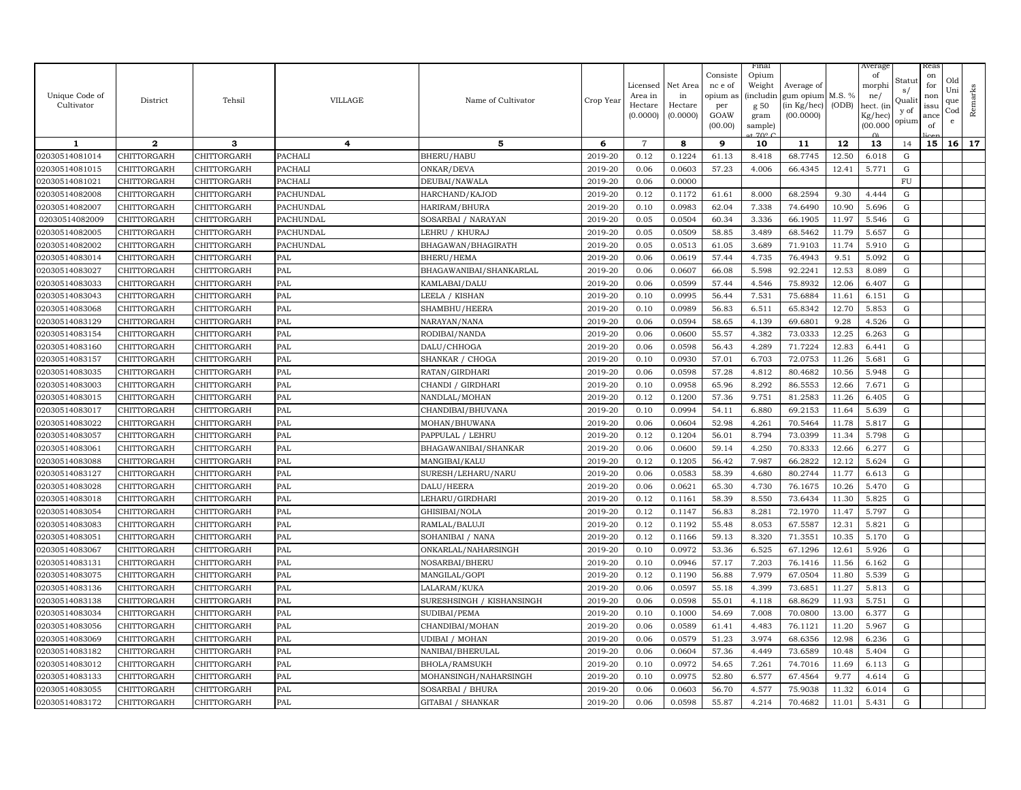| Unique Code of<br>Cultivator | District       | Tehsil             | VILLAGE   | Name of Cultivator        | Crop Year | Licensed<br>Area in<br>Hectare<br>(0.0000) | Net Area<br>in<br>Hectare<br>(0.0000) | Consiste<br>nc e of<br>opium as<br>per<br>GOAW<br>(00.00) | Final<br>Opium<br>Weight<br><i>(includin</i><br>g 50<br>gram<br>sample]<br>70° | Average of<br>gum opium M.S. %<br>(in Kg/hec)<br>(00.0000) | (ODB) | Averag<br>of<br>morphi<br>ne/<br>hect. (in<br>Kg/hec<br>(00.000) | Statut<br>s/<br>Quali<br>y of<br>opium | on<br>for<br>nor<br>isst<br>ance<br>of | Old<br>Uni<br>que<br>Cod | Remarks |
|------------------------------|----------------|--------------------|-----------|---------------------------|-----------|--------------------------------------------|---------------------------------------|-----------------------------------------------------------|--------------------------------------------------------------------------------|------------------------------------------------------------|-------|------------------------------------------------------------------|----------------------------------------|----------------------------------------|--------------------------|---------|
| -1                           | $\overline{2}$ | 3                  | 4         | 5                         | 6         | $\overline{7}$                             | 8                                     | 9                                                         | 10                                                                             | 11                                                         | 12    | 13                                                               | 14                                     | 15                                     | 16 <sup>1</sup>          | 17      |
| 02030514081014               | CHITTORGARH    | CHITTORGARH        | PACHALI   | BHERU/HABU                | 2019-20   | 0.12                                       | 0.1224                                | 61.13                                                     | 8.418                                                                          | 68.7745                                                    | 12.50 | 6.018                                                            | ${\rm G}$                              |                                        |                          |         |
| 02030514081015               | CHITTORGARH    | CHITTORGARH        | PACHALI   | ONKAR/DEVA                | 2019-20   | 0.06                                       | 0.0603                                | 57.23                                                     | 4.006                                                                          | 66.4345                                                    | 12.41 | 5.771                                                            | G                                      |                                        |                          |         |
| 02030514081021               | CHITTORGARH    | CHITTORGARH        | PACHALI   | DEUBAI/NAWALA             | 2019-20   | 0.06                                       | 0.0000                                |                                                           |                                                                                |                                                            |       |                                                                  | ${\rm FU}$                             |                                        |                          |         |
| 02030514082008               | CHITTORGARH    | CHITTORGARH        | PACHUNDAL | HARCHAND/KAJOD            | 2019-20   | 0.12                                       | 0.1172                                | 61.61                                                     | 8.000                                                                          | 68.2594                                                    | 9.30  | 4.444                                                            | G                                      |                                        |                          |         |
| 02030514082007               | CHITTORGARH    | CHITTORGARH        | PACHUNDAL | HARIRAM/BHURA             | 2019-20   | 0.10                                       | 0.0983                                | 62.04                                                     | 7.338                                                                          | 74.6490                                                    | 10.90 | 5.696                                                            | G                                      |                                        |                          |         |
| 02030514082009               | CHITTORGARH    | CHITTORGARH        | PACHUNDAL | SOSARBAI / NARAYAN        | 2019-20   | 0.05                                       | 0.0504                                | 60.34                                                     | 3.336                                                                          | 66.1905                                                    | 11.97 | 5.546                                                            | G                                      |                                        |                          |         |
| 02030514082005               | CHITTORGARH    | CHITTORGARH        | PACHUNDAL | LEHRU / KHURAJ            | 2019-20   | 0.05                                       | 0.0509                                | 58.85                                                     | 3.489                                                                          | 68.5462                                                    | 11.79 | 5.657                                                            | G                                      |                                        |                          |         |
| 02030514082002               | CHITTORGARH    | CHITTORGARH        | PACHUNDAL | BHAGAWAN/BHAGIRATH        | 2019-20   | 0.05                                       | 0.0513                                | 61.05                                                     | 3.689                                                                          | 71.9103                                                    | 11.74 | 5.910                                                            | G                                      |                                        |                          |         |
| 02030514083014               | CHITTORGARH    | CHITTORGARH        | PAL       | <b>BHERU/HEMA</b>         | 2019-20   | 0.06                                       | 0.0619                                | 57.44                                                     | 4.735                                                                          | 76.4943                                                    | 9.51  | 5.092                                                            | G                                      |                                        |                          |         |
| 02030514083027               | CHITTORGARH    | CHITTORGARH        | PAL       | BHAGAWANIBAI/SHANKARLAL   | 2019-20   | 0.06                                       | 0.0607                                | 66.08                                                     | 5.598                                                                          | 92.2241                                                    | 12.53 | 8.089                                                            | ${\rm G}$                              |                                        |                          |         |
| 02030514083033               | CHITTORGARH    | CHITTORGARH        | PAL       | KAMLABAI/DALU             | 2019-20   | 0.06                                       | 0.0599                                | 57.44                                                     | 4.546                                                                          | 75.8932                                                    | 12.06 | 6.407                                                            | G                                      |                                        |                          |         |
| 02030514083043               | CHITTORGARH    | CHITTORGARH        | PAL       | LEELA / KISHAN            | 2019-20   | 0.10                                       | 0.0995                                | 56.44                                                     | 7.531                                                                          | 75.6884                                                    | 11.61 | 6.151                                                            | G                                      |                                        |                          |         |
| 02030514083068               | CHITTORGARH    | CHITTORGARH        | PAL       | SHAMBHU/HEERA             | 2019-20   | 0.10                                       | 0.0989                                | 56.83                                                     | 6.511                                                                          | 65.8342                                                    | 12.70 | 5.853                                                            | ${\rm G}$                              |                                        |                          |         |
| 02030514083129               | CHITTORGARH    | CHITTORGARH        | PAL       | NARAYAN/NANA              | 2019-20   | 0.06                                       | 0.0594                                | 58.65                                                     | 4.139                                                                          | 69.6801                                                    | 9.28  | 4.526                                                            | ${\rm G}$                              |                                        |                          |         |
| 02030514083154               | CHITTORGARH    | CHITTORGARH        | PAL       | RODIBAI/NANDA             | 2019-20   | 0.06                                       | 0.0600                                | 55.57                                                     | 4.382                                                                          | 73.0333                                                    | 12.25 | 6.263                                                            | ${\rm G}$                              |                                        |                          |         |
| 02030514083160               | CHITTORGARH    | CHITTORGARH        | PAL       | DALU/CHHOGA               | 2019-20   | 0.06                                       | 0.0598                                | 56.43                                                     | 4.289                                                                          | 71.7224                                                    | 12.83 | 6.441                                                            | ${\rm G}$                              |                                        |                          |         |
| 02030514083157               | CHITTORGARH    | CHITTORGARH        | PAL       | SHANKAR / CHOGA           | 2019-20   | 0.10                                       | 0.0930                                | 57.01                                                     | 6.703                                                                          | 72.0753                                                    | 11.26 | 5.681                                                            | ${\rm G}$                              |                                        |                          |         |
| 02030514083035               | CHITTORGARH    | CHITTORGARH        | PAL       | RATAN/GIRDHARI            | 2019-20   | 0.06                                       | 0.0598                                | 57.28                                                     | 4.812                                                                          | 80.4682                                                    | 10.56 | 5.948                                                            | ${\rm G}$                              |                                        |                          |         |
| 02030514083003               | CHITTORGARH    | CHITTORGARH        | PAL       | CHANDI / GIRDHARI         | 2019-20   | 0.10                                       | 0.0958                                | 65.96                                                     | 8.292                                                                          | 86.5553                                                    | 12.66 | 7.671                                                            | G                                      |                                        |                          |         |
| 02030514083015               | CHITTORGARH    | CHITTORGARH        | PAL       | NANDLAL/MOHAN             | 2019-20   | 0.12                                       | 0.1200                                | 57.36                                                     | 9.751                                                                          | 81.2583                                                    | 11.26 | 6.405                                                            | G                                      |                                        |                          |         |
| 02030514083017               | CHITTORGARH    | CHITTORGARH        | PAL       | CHANDIBAI/BHUVANA         | 2019-20   | 0.10                                       | 0.0994                                | 54.11                                                     | 6.880                                                                          | 69.2153                                                    | 11.64 | 5.639                                                            | G                                      |                                        |                          |         |
| 02030514083022               | CHITTORGARH    | CHITTORGARH        | PAL       | MOHAN/BHUWANA             | 2019-20   | 0.06                                       | 0.0604                                | 52.98                                                     | 4.261                                                                          | 70.5464                                                    | 11.78 | 5.817                                                            | ${\rm G}$                              |                                        |                          |         |
| 02030514083057               | CHITTORGARH    | CHITTORGARH        | PAL       | PAPPULAL / LEHRU          | 2019-20   | 0.12                                       | 0.1204                                | 56.01                                                     | 8.794                                                                          | 73.0399                                                    | 11.34 | 5.798                                                            | ${\rm G}$                              |                                        |                          |         |
| 02030514083061               | CHITTORGARH    | CHITTORGARH        | PAL       | BHAGAWANIBAI/SHANKAR      | 2019-20   | 0.06                                       | 0.0600                                | 59.14                                                     | 4.250                                                                          | 70.8333                                                    | 12.66 | 6.277                                                            | ${\rm G}$                              |                                        |                          |         |
| 02030514083088               | CHITTORGARH    | CHITTORGARH        | PAL       | MANGIBAI/KALU             | 2019-20   | 0.12                                       | 0.1205                                | 56.42                                                     | 7.987                                                                          | 66.2822                                                    | 12.12 | 5.624                                                            | G                                      |                                        |                          |         |
| 02030514083127               | CHITTORGARH    | CHITTORGARH        | PAL       | SURESH/LEHARU/NARU        | 2019-20   | 0.06                                       | 0.0583                                | 58.39                                                     | 4.680                                                                          | 80.2744                                                    | 11.77 | 6.613                                                            | ${\rm G}$                              |                                        |                          |         |
| 02030514083028               | CHITTORGARH    | CHITTORGARH        | PAL       | DALU/HEERA                | 2019-20   | 0.06                                       | 0.0621                                | 65.30                                                     | 4.730                                                                          | 76.1675                                                    | 10.26 | 5.470                                                            | ${\rm G}$                              |                                        |                          |         |
| 02030514083018               | CHITTORGARH    | CHITTORGARH        | PAL       | LEHARU/GIRDHARI           | 2019-20   | 0.12                                       | 0.1161                                | 58.39                                                     | 8.550                                                                          | 73.6434                                                    | 11.30 | 5.825                                                            | ${\rm G}$                              |                                        |                          |         |
| 02030514083054               | CHITTORGARH    | CHITTORGARH        | PAL       | GHISIBAI/NOLA             | 2019-20   | 0.12                                       | 0.1147                                | 56.83                                                     | 8.281                                                                          | 72.1970                                                    | 11.47 | 5.797                                                            | G                                      |                                        |                          |         |
| 02030514083083               | CHITTORGARH    | CHITTORGARH        | PAL       | RAMLAL/BALUJI             | 2019-20   | 0.12                                       | 0.1192                                | 55.48                                                     | 8.053                                                                          | 67.5587                                                    | 12.31 | 5.821                                                            | ${\rm G}$                              |                                        |                          |         |
| 02030514083051               | CHITTORGARH    | CHITTORGARH        | PAL       | SOHANIBAI / NANA          | 2019-20   | 0.12                                       | 0.1166                                | 59.13                                                     | 8.320                                                                          | 71.3551                                                    | 10.35 | 5.170                                                            | G                                      |                                        |                          |         |
| 02030514083067               | CHITTORGARH    | CHITTORGARH        | PAL       | ONKARLAL/NAHARSINGH       | 2019-20   | 0.10                                       | 0.0972                                | 53.36                                                     | 6.525                                                                          | 67.1296                                                    | 12.61 | 5.926                                                            | ${\rm G}$                              |                                        |                          |         |
| 02030514083131               | CHITTORGARH    | CHITTORGARH        | PAL       | NOSARBAI/BHERU            | 2019-20   | 0.10                                       | 0.0946                                | 57.17                                                     | 7.203                                                                          | 76.1416                                                    | 11.56 | 6.162                                                            | ${\rm G}$                              |                                        |                          |         |
| 02030514083075               | CHITTORGARH    | CHITTORGARH        | PAL       | MANGILAL/GOPI             | 2019-20   | 0.12                                       | 0.1190                                | 56.88                                                     | 7.979                                                                          | 67.0504                                                    | 11.80 | 5.539                                                            | ${\rm G}$                              |                                        |                          |         |
| 02030514083136               | CHITTORGARH    | CHITTORGARH        | PAL       | LALARAM/KUKA              | 2019-20   | 0.06                                       | 0.0597                                | 55.18                                                     | 4.399                                                                          | 73.6851                                                    | 11.27 | 5.813                                                            | ${\rm G}$                              |                                        |                          |         |
| 02030514083138               | CHITTORGARH    | CHITTORGARH        | PAL       | SURESHSINGH / KISHANSINGH | 2019-20   | 0.06                                       | 0.0598                                | 55.01                                                     | 4.118                                                                          | 68.8629                                                    | 11.93 | 5.751                                                            | G                                      |                                        |                          |         |
| 02030514083034               | CHITTORGARH    | CHITTORGARH        | PAL       | SUDIBAI/PEMA              | 2019-20   | 0.10                                       | 0.1000                                | 54.69                                                     | 7.008                                                                          | 70.0800                                                    | 13.00 | 6.377                                                            | G                                      |                                        |                          |         |
| 02030514083056               | CHITTORGARH    | CHITTORGARH        | PAL       | CHANDIBAI/MOHAN           | 2019-20   | 0.06                                       | 0.0589                                | 61.41                                                     | 4.483                                                                          | 76.1121                                                    | 11.20 | 5.967                                                            | G                                      |                                        |                          |         |
| 02030514083069               | CHITTORGARH    | CHITTORGARH        | PAL       | UDIBAI / MOHAN            | 2019-20   | 0.06                                       | 0.0579                                | 51.23                                                     | 3.974                                                                          | 68.6356                                                    | 12.98 | 6.236                                                            | ${\rm G}$                              |                                        |                          |         |
| 02030514083182               | CHITTORGARH    | CHITTORGARH        | PAL       | NANIBAI/BHERULAL          | 2019-20   | 0.06                                       | 0.0604                                | 57.36                                                     | 4.449                                                                          | 73.6589                                                    | 10.48 | 5.404                                                            | G                                      |                                        |                          |         |
| 02030514083012               | CHITTORGARH    | <b>CHITTORGARH</b> | PAL       | <b>BHOLA/RAMSUKH</b>      | 2019-20   | 0.10                                       | 0.0972                                | 54.65                                                     | 7.261                                                                          | 74.7016                                                    | 11.69 | 6.113                                                            | G                                      |                                        |                          |         |
| 02030514083133               | CHITTORGARH    | CHITTORGARH        | PAL       | MOHANSINGH/NAHARSINGH     | 2019-20   | 0.10                                       | 0.0975                                | 52.80                                                     | 6.577                                                                          | 67.4564                                                    | 9.77  | 4.614                                                            | ${\rm G}$                              |                                        |                          |         |
| 02030514083055               | CHITTORGARH    | CHITTORGARH        | PAL       | SOSARBAI / BHURA          | 2019-20   | 0.06                                       | 0.0603                                | 56.70                                                     | 4.577                                                                          | 75.9038                                                    | 11.32 | 6.014                                                            | ${\rm G}$                              |                                        |                          |         |
| 02030514083172               | CHITTORGARH    | CHITTORGARH        | PAL       | GITABAI / SHANKAR         | 2019-20   | 0.06                                       | 0.0598                                | 55.87                                                     | 4.214                                                                          | 70.4682                                                    | 11.01 | 5.431                                                            | ${\rm G}$                              |                                        |                          |         |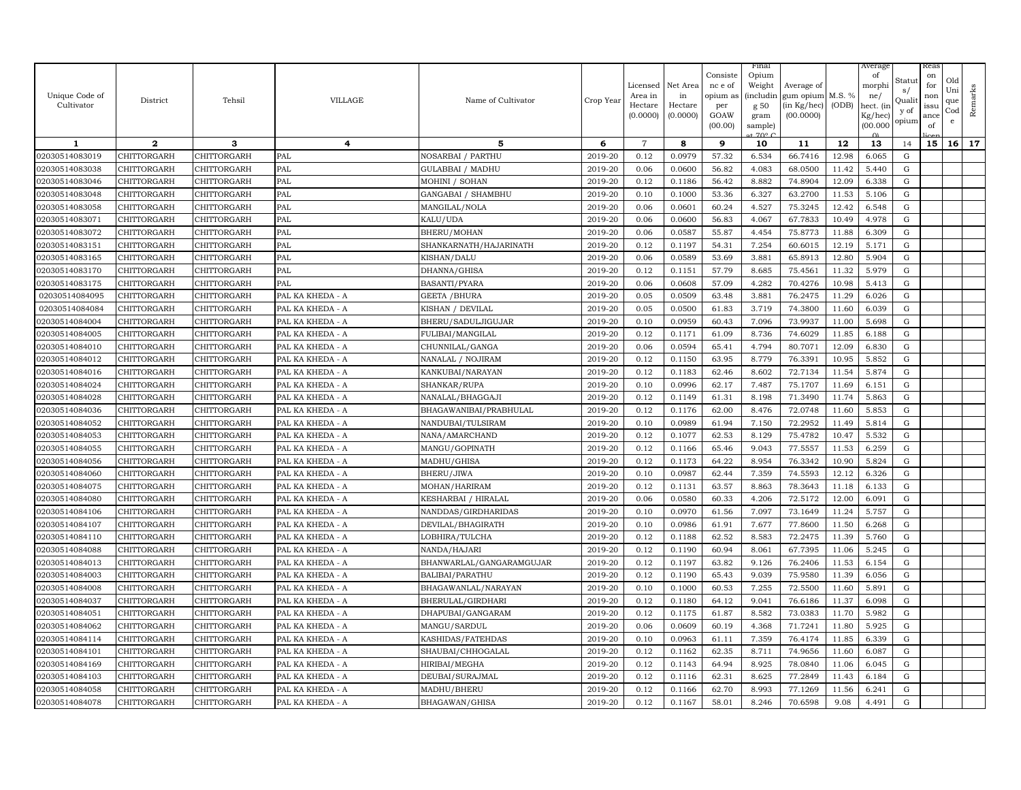| Unique Code of<br>Cultivator | District       | Tehsil             | VILLAGE          | Name of Cultivator       | Crop Year | Licensed<br>Area in<br>Hectare<br>(0.0000) | Net Area<br>in<br>Hectare<br>(0.0000) | Consiste<br>nc e of<br>opium as<br>per<br>GOAW<br>(00.00) | Final<br>Opium<br>Weight<br><i>(includin</i><br>g 50<br>gram<br>sample]<br>$70^\circ$ | Average of<br>gum opium M.S. %<br>(in Kg/hec)<br>(00.0000) | (ODB) | Averag<br>of<br>morphi<br>ne/<br>hect. (in<br>Kg/hec<br>(00.000) | Statut<br>s/<br>Quali<br>y of<br>opium | on<br>for<br>noi<br>isst<br>ance<br>of | Dld<br>Uni<br>que<br>Cod | Remarks |
|------------------------------|----------------|--------------------|------------------|--------------------------|-----------|--------------------------------------------|---------------------------------------|-----------------------------------------------------------|---------------------------------------------------------------------------------------|------------------------------------------------------------|-------|------------------------------------------------------------------|----------------------------------------|----------------------------------------|--------------------------|---------|
| -1                           | $\overline{2}$ | з                  | 4                | 5                        | 6         | $\overline{7}$                             | 8                                     | 9                                                         | 10                                                                                    | 11                                                         | 12    | 13                                                               | 14                                     | 15                                     | 16 <sup>1</sup>          | 17      |
| 02030514083019               | CHITTORGARH    | CHITTORGARH        | PAL              | NOSARBAI / PARTHU        | 2019-20   | 0.12                                       | 0.0979                                | 57.32                                                     | 6.534                                                                                 | 66.7416                                                    | 12.98 | 6.065                                                            | G                                      |                                        |                          |         |
| 02030514083038               | CHITTORGARH    | CHITTORGARH        | PAL              | GULABBAI / MADHU         | 2019-20   | 0.06                                       | 0.0600                                | 56.82                                                     | 4.083                                                                                 | 68.0500                                                    | 11.42 | 5.440                                                            | G                                      |                                        |                          |         |
| 02030514083046               | CHITTORGARH    | CHITTORGARH        | PAL              | MOHINI / SOHAN           | 2019-20   | 0.12                                       | 0.1186                                | 56.42                                                     | 8.882                                                                                 | 74.8904                                                    | 12.09 | 6.338                                                            | G                                      |                                        |                          |         |
| 02030514083048               | CHITTORGARH    | CHITTORGARH        | PAL              | GANGABAI / SHAMBHU       | 2019-20   | 0.10                                       | 0.1000                                | 53.36                                                     | 6.327                                                                                 | 63.2700                                                    | 11.53 | 5.106                                                            | ${\rm G}$                              |                                        |                          |         |
| 02030514083058               | CHITTORGARH    | CHITTORGARH        | PAL              | MANGILAL/NOLA            | 2019-20   | 0.06                                       | 0.0601                                | 60.24                                                     | 4.527                                                                                 | 75.3245                                                    | 12.42 | 6.548                                                            | G                                      |                                        |                          |         |
| 02030514083071               | CHITTORGARH    | CHITTORGARH        | PAL              | KALU/UDA                 | 2019-20   | 0.06                                       | 0.0600                                | 56.83                                                     | 4.067                                                                                 | 67.7833                                                    | 10.49 | 4.978                                                            | G                                      |                                        |                          |         |
| 02030514083072               | CHITTORGARH    | CHITTORGARH        | PAL              | BHERU/MOHAN              | 2019-20   | 0.06                                       | 0.0587                                | 55.87                                                     | 4.454                                                                                 | 75.8773                                                    | 11.88 | 6.309                                                            | ${\rm G}$                              |                                        |                          |         |
| 02030514083151               | CHITTORGARH    | CHITTORGARH        | PAL              | SHANKARNATH/HAJARINATH   | 2019-20   | 0.12                                       | 0.1197                                | 54.31                                                     | 7.254                                                                                 | 60.6015                                                    | 12.19 | 5.171                                                            | G                                      |                                        |                          |         |
| 02030514083165               | CHITTORGARH    | CHITTORGARH        | PAL              | KISHAN/DALU              | 2019-20   | 0.06                                       | 0.0589                                | 53.69                                                     | 3.881                                                                                 | 65.8913                                                    | 12.80 | 5.904                                                            | ${\rm G}$                              |                                        |                          |         |
| 02030514083170               | CHITTORGARH    | CHITTORGARH        | PAL              | DHANNA/GHISA             | 2019-20   | 0.12                                       | 0.1151                                | 57.79                                                     | 8.685                                                                                 | 75.4561                                                    | 11.32 | 5.979                                                            | G                                      |                                        |                          |         |
| 02030514083175               | CHITTORGARH    | CHITTORGARH        | PAL              | <b>BASANTI/PYARA</b>     | 2019-20   | 0.06                                       | 0.0608                                | 57.09                                                     | 4.282                                                                                 | 70.4276                                                    | 10.98 | 5.413                                                            | G                                      |                                        |                          |         |
| 02030514084095               | CHITTORGARH    | CHITTORGARH        | PAL KA KHEDA - A | GEETA / BHURA            | 2019-20   | 0.05                                       | 0.0509                                | 63.48                                                     | 3.881                                                                                 | 76.2475                                                    | 11.29 | 6.026                                                            | ${\rm G}$                              |                                        |                          |         |
| 02030514084084               | CHITTORGARH    | CHITTORGARH        | PAL KA KHEDA - A | KISHAN / DEVILAL         | 2019-20   | 0.05                                       | 0.0500                                | 61.83                                                     | 3.719                                                                                 | 74.3800                                                    | 11.60 | 6.039                                                            | ${\rm G}$                              |                                        |                          |         |
| 02030514084004               | CHITTORGARH    | CHITTORGARH        | PAL KA KHEDA - A | BHERU/SADULJIGUJAR       | 2019-20   | 0.10                                       | 0.0959                                | 60.43                                                     | 7.096                                                                                 | 73.9937                                                    | 11.00 | 5.698                                                            | G                                      |                                        |                          |         |
| 02030514084005               | CHITTORGARH    | CHITTORGARH        | PAL KA KHEDA - A | FULIBAI/MANGILAL         | 2019-20   | 0.12                                       | 0.1171                                | 61.09                                                     | 8.736                                                                                 | 74.6029                                                    | 11.85 | 6.188                                                            | ${\rm G}$                              |                                        |                          |         |
| 02030514084010               | CHITTORGARH    | CHITTORGARH        | PAL KA KHEDA - A | CHUNNILAL/GANGA          | 2019-20   | 0.06                                       | 0.0594                                | 65.41                                                     | 4.794                                                                                 | 80.7071                                                    | 12.09 | 6.830                                                            | ${\rm G}$                              |                                        |                          |         |
| 02030514084012               | CHITTORGARH    | CHITTORGARH        | PAL KA KHEDA - A | NANALAL / NOJIRAM        | 2019-20   | 0.12                                       | 0.1150                                | 63.95                                                     | 8.779                                                                                 | 76.3391                                                    | 10.95 | 5.852                                                            | G                                      |                                        |                          |         |
| 02030514084016               | CHITTORGARH    | CHITTORGARH        | PAL KA KHEDA - A | KANKUBAI/NARAYAN         | 2019-20   | 0.12                                       | 0.1183                                | 62.46                                                     | 8.602                                                                                 | 72.7134                                                    | 11.54 | 5.874                                                            | G                                      |                                        |                          |         |
| 02030514084024               | CHITTORGARH    | CHITTORGARH        | PAL KA KHEDA - A | SHANKAR/RUPA             | 2019-20   | 0.10                                       | 0.0996                                | 62.17                                                     | 7.487                                                                                 | 75.1707                                                    | 11.69 | 6.151                                                            | $\mathbf G$                            |                                        |                          |         |
| 02030514084028               | CHITTORGARH    | CHITTORGARH        | PAL KA KHEDA - A | NANALAL/BHAGGAJI         | 2019-20   | 0.12                                       | 0.1149                                | 61.31                                                     | 8.198                                                                                 | 71.3490                                                    | 11.74 | 5.863                                                            | $\mathbf G$                            |                                        |                          |         |
| 02030514084036               | CHITTORGARH    | CHITTORGARH        | PAL KA KHEDA - A | BHAGAWANIBAI/PRABHULAL   | 2019-20   | 0.12                                       | 0.1176                                | 62.00                                                     | 8.476                                                                                 | 72.0748                                                    | 11.60 | 5.853                                                            | G                                      |                                        |                          |         |
| 02030514084052               | CHITTORGARH    | CHITTORGARH        | PAL KA KHEDA - A | NANDUBAI/TULSIRAM        | 2019-20   | 0.10                                       | 0.0989                                | 61.94                                                     | 7.150                                                                                 | 72.2952                                                    | 11.49 | 5.814                                                            | G                                      |                                        |                          |         |
| 02030514084053               | CHITTORGARH    | CHITTORGARH        | PAL KA KHEDA - A | NANA/AMARCHAND           | 2019-20   | 0.12                                       | 0.1077                                | 62.53                                                     | 8.129                                                                                 | 75.4782                                                    | 10.47 | 5.532                                                            | G                                      |                                        |                          |         |
| 02030514084055               | CHITTORGARH    | CHITTORGARH        | PAL KA KHEDA - A | MANGU/GOPINATH           | 2019-20   | 0.12                                       | 0.1166                                | 65.46                                                     | 9.043                                                                                 | 77.5557                                                    | 11.53 | 6.259                                                            | ${\rm G}$                              |                                        |                          |         |
| 02030514084056               | CHITTORGARH    | CHITTORGARH        | PAL KA KHEDA - A | MADHU/GHISA              | 2019-20   | 0.12                                       | 0.1173                                | 64.22                                                     | 8.954                                                                                 | 76.3342                                                    | 10.90 | 5.824                                                            | ${\rm G}$                              |                                        |                          |         |
| 02030514084060               | CHITTORGARH    | <b>CHITTORGARH</b> | PAL KA KHEDA - A | BHERU/JIWA               | 2019-20   | 0.10                                       | 0.0987                                | 62.44                                                     | 7.359                                                                                 | 74.5593                                                    | 12.12 | 6.326                                                            | G                                      |                                        |                          |         |
| 02030514084075               | CHITTORGARH    | CHITTORGARH        | PAL KA KHEDA - A | MOHAN/HARIRAM            | 2019-20   | 0.12                                       | 0.1131                                | 63.57                                                     | 8.863                                                                                 | 78.3643                                                    | 11.18 | 6.133                                                            | ${\rm G}$                              |                                        |                          |         |
| 02030514084080               | CHITTORGARH    | CHITTORGARH        | PAL KA KHEDA - A | KESHARBAI / HIRALAL      | 2019-20   | 0.06                                       | 0.0580                                | 60.33                                                     | 4.206                                                                                 | 72.5172                                                    | 12.00 | 6.091                                                            | ${\rm G}$                              |                                        |                          |         |
| 02030514084106               | CHITTORGARH    | CHITTORGARH        | PAL KA KHEDA - A | NANDDAS/GIRDHARIDAS      | 2019-20   | 0.10                                       | 0.0970                                | 61.56                                                     | 7.097                                                                                 | 73.1649                                                    | 11.24 | 5.757                                                            | ${\rm G}$                              |                                        |                          |         |
| 02030514084107               | CHITTORGARH    | CHITTORGARH        | PAL KA KHEDA - A | DEVILAL/BHAGIRATH        | 2019-20   | 0.10                                       | 0.0986                                | 61.91                                                     | 7.677                                                                                 | 77.8600                                                    | 11.50 | 6.268                                                            | $\mathbf G$                            |                                        |                          |         |
| 02030514084110               | CHITTORGARH    | CHITTORGARH        | PAL KA KHEDA - A | LOBHIRA/TULCHA           | 2019-20   | 0.12                                       | 0.1188                                | 62.52                                                     | 8.583                                                                                 | 72.2475                                                    | 11.39 | 5.760                                                            | ${\rm G}$                              |                                        |                          |         |
| 02030514084088               | CHITTORGARH    | CHITTORGARH        | PAL KA KHEDA - A | NANDA/HAJARI             | 2019-20   | 0.12                                       | 0.1190                                | 60.94                                                     | 8.061                                                                                 | 67.7395                                                    | 11.06 | 5.245                                                            | ${\rm G}$                              |                                        |                          |         |
| 02030514084013               | CHITTORGARH    | CHITTORGARH        | PAL KA KHEDA - A | BHANWARLAL/GANGARAMGUJAR | 2019-20   | 0.12                                       | 0.1197                                | 63.82                                                     | 9.126                                                                                 | 76.2406                                                    | 11.53 | 6.154                                                            | ${\rm G}$                              |                                        |                          |         |
| 02030514084003               | CHITTORGARH    | CHITTORGARH        | PAL KA KHEDA - A | BALIBAI/PARATHU          | 2019-20   | 0.12                                       | 0.1190                                | 65.43                                                     | 9.039                                                                                 | 75.9580                                                    | 11.39 | 6.056                                                            | G                                      |                                        |                          |         |
| 02030514084008               | CHITTORGARH    | CHITTORGARH        | PAL KA KHEDA - A | BHAGAWANLAL/NARAYAN      | 2019-20   | 0.10                                       | 0.1000                                | 60.53                                                     | 7.255                                                                                 | 72.5500                                                    | 11.60 | 5.891                                                            | $\mathbf G$                            |                                        |                          |         |
| 02030514084037               | CHITTORGARH    | CHITTORGARH        | PAL KA KHEDA - A | BHERULAL/GIRDHARI        | 2019-20   | 0.12                                       | 0.1180                                | 64.12                                                     | 9.041                                                                                 | 76.6186                                                    | 11.37 | 6.098                                                            | G                                      |                                        |                          |         |
| 02030514084051               | CHITTORGARH    | CHITTORGARH        | PAL KA KHEDA - A | DHAPUBAI/GANGARAM        | 2019-20   | 0.12                                       | 0.1175                                | 61.87                                                     | 8.582                                                                                 | 73.0383                                                    | 11.70 | 5.982                                                            | G                                      |                                        |                          |         |
| 02030514084062               | CHITTORGARH    | CHITTORGARH        | PAL KA KHEDA - A | MANGU/SARDUL             | 2019-20   | 0.06                                       | 0.0609                                | 60.19                                                     | 4.368                                                                                 | 71.7241                                                    | 11.80 | 5.925                                                            | G                                      |                                        |                          |         |
| 02030514084114               | CHITTORGARH    | CHITTORGARH        | PAL KA KHEDA - A | KASHIDAS/FATEHDAS        | 2019-20   | 0.10                                       | 0.0963                                | 61.11                                                     | 7.359                                                                                 | 76.4174                                                    | 11.85 | 6.339                                                            | G                                      |                                        |                          |         |
| 02030514084101               | CHITTORGARH    | CHITTORGARH        | PAL KA KHEDA - A | SHAUBAI/CHHOGALAL        | 2019-20   | 0.12                                       | 0.1162                                | 62.35                                                     | 8.711                                                                                 | 74.9656                                                    | 11.60 | 6.087                                                            | G                                      |                                        |                          |         |
| 02030514084169               | CHITTORGARH    | CHITTORGARH        | PAL KA KHEDA - A | HIRIBAI/MEGHA            | 2019-20   | 0.12                                       | 0.1143                                | 64.94                                                     | 8.925                                                                                 | 78.0840                                                    | 11.06 | 6.045                                                            | G                                      |                                        |                          |         |
| 02030514084103               | CHITTORGARH    | CHITTORGARH        | PAL KA KHEDA - A | DEUBAI/SURAJMAL          | 2019-20   | 0.12                                       | 0.1116                                | 62.31                                                     | 8.625                                                                                 | 77.2849                                                    | 11.43 | 6.184                                                            | G                                      |                                        |                          |         |
| 02030514084058               | CHITTORGARH    | CHITTORGARH        | PAL KA KHEDA - A | MADHU/BHERU              | 2019-20   | 0.12                                       | 0.1166                                | 62.70                                                     | 8.993                                                                                 | 77.1269                                                    | 11.56 | 6.241                                                            | ${\rm G}$                              |                                        |                          |         |
| 02030514084078               | CHITTORGARH    | CHITTORGARH        | PAL KA KHEDA - A | BHAGAWAN/GHISA           | 2019-20   | 0.12                                       | 0.1167                                | 58.01                                                     | 8.246                                                                                 | 70.6598                                                    | 9.08  | 4.491                                                            | ${\rm G}$                              |                                        |                          |         |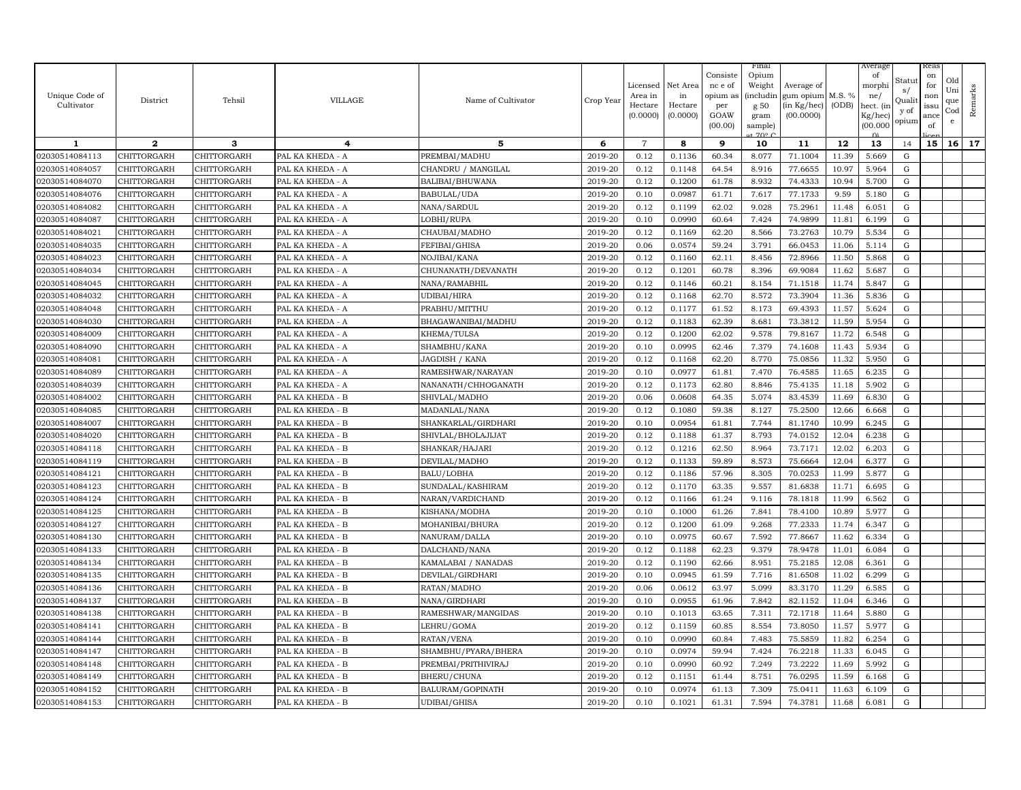| Unique Code of<br>Cultivator<br>1 | District<br>$\mathbf{2}$ | Tehsil<br>3 | VILLAGE<br>4     | Name of Cultivator<br>5 | Crop Year<br>6 | Licensed<br>Area in<br>Hectare<br>(0.0000)<br>$\overline{7}$ | Net Area<br>in<br>Hectare<br>(0.0000)<br>8 | Consiste<br>nc e of<br>opium as<br>per<br>GOAW<br>(00.00)<br>9 | Final<br>Opium<br>Weight<br><i>(includin</i><br>g 50<br>gram<br>sample)<br>$70^\circ$<br>10 | Average of<br>gum opium M.S. %<br>(in Kg/hec)<br>(00.0000)<br>11 | (ODB)<br>12 | Averag<br>of<br>morphi<br>ne/<br>hect. (in<br>Kg/hec<br>(00.000)<br>13 | Statu<br>s/<br>Quali<br>y of<br>opium<br>14 | kea<br>on<br>for<br>nor<br>isst<br>ance<br>of<br>15 | Old<br>Uni<br>que<br>Cod<br>16 | Remarks<br>17 |
|-----------------------------------|--------------------------|-------------|------------------|-------------------------|----------------|--------------------------------------------------------------|--------------------------------------------|----------------------------------------------------------------|---------------------------------------------------------------------------------------------|------------------------------------------------------------------|-------------|------------------------------------------------------------------------|---------------------------------------------|-----------------------------------------------------|--------------------------------|---------------|
| 02030514084113                    | CHITTORGARH              | CHITTORGARH | PAL KA KHEDA - A | PREMBAI/MADHU           | 2019-20        | 0.12                                                         | 0.1136                                     | 60.34                                                          | 8.077                                                                                       | 71.1004                                                          | 11.39       | 5.669                                                                  | $\mathbf G$                                 |                                                     |                                |               |
| 02030514084057                    | CHITTORGARH              | CHITTORGARH | PAL KA KHEDA - A | CHANDRU / MANGILAL      | 2019-20        | 0.12                                                         | 0.1148                                     | 64.54                                                          | 8.916                                                                                       | 77.6655                                                          | 10.97       | 5.964                                                                  | ${\rm G}$                                   |                                                     |                                |               |
| 02030514084070                    | CHITTORGARH              | CHITTORGARH | PAL KA KHEDA - A | BALIBAI/BHUWANA         | 2019-20        | 0.12                                                         | 0.1200                                     | 61.78                                                          | 8.932                                                                                       | 74.4333                                                          | 10.94       | 5.700                                                                  | G                                           |                                                     |                                |               |
| 02030514084076                    | CHITTORGARH              | CHITTORGARH | PAL KA KHEDA - A | BABULAL/UDA             | 2019-20        | 0.10                                                         | 0.0987                                     | 61.71                                                          | 7.617                                                                                       | 77.1733                                                          | 9.59        | 5.180                                                                  | G                                           |                                                     |                                |               |
| 02030514084082                    | CHITTORGARH              | CHITTORGARH | PAL KA KHEDA - A | NANA/SARDUL             | 2019-20        | 0.12                                                         | 0.1199                                     | 62.02                                                          | 9.028                                                                                       | 75.2961                                                          | 11.48       | 6.051                                                                  | $\mathbf G$                                 |                                                     |                                |               |
| 02030514084087                    | CHITTORGARH              | CHITTORGARH | PAL KA KHEDA - A | LOBHI/RUPA              | 2019-20        | 0.10                                                         | 0.0990                                     | 60.64                                                          | 7.424                                                                                       | 74.9899                                                          | 11.81       | 6.199                                                                  | ${\rm G}$                                   |                                                     |                                |               |
| 02030514084021                    | CHITTORGARH              | CHITTORGARH | PAL KA KHEDA - A | CHAUBAI/MADHO           | 2019-20        | 0.12                                                         | 0.1169                                     | 62.20                                                          | 8.566                                                                                       | 73.2763                                                          | 10.79       | 5.534                                                                  | G                                           |                                                     |                                |               |
| 02030514084035                    | CHITTORGARH              | CHITTORGARH | PAL KA KHEDA - A | FEFIBAI/GHISA           | 2019-20        | 0.06                                                         | 0.0574                                     | 59.24                                                          | 3.791                                                                                       | 66.0453                                                          | 11.06       | 5.114                                                                  | G                                           |                                                     |                                |               |
| 02030514084023                    | CHITTORGARH              | CHITTORGARH | PAL KA KHEDA - A | NOJIBAI/KANA            | 2019-20        | 0.12                                                         | 0.1160                                     | 62.11                                                          | 8.456                                                                                       | 72.8966                                                          | 11.50       | 5.868                                                                  | ${\rm G}$                                   |                                                     |                                |               |
| 02030514084034                    | CHITTORGARH              | CHITTORGARH | PAL KA KHEDA - A | CHUNANATH/DEVANATH      | 2019-20        | 0.12                                                         | 0.1201                                     | 60.78                                                          | 8.396                                                                                       | 69.9084                                                          | 11.62       | 5.687                                                                  | G                                           |                                                     |                                |               |
| 02030514084045                    | CHITTORGARH              | CHITTORGARH | PAL KA KHEDA - A | NANA/RAMABHIL           | 2019-20        | 0.12                                                         | 0.1146                                     | 60.21                                                          | 8.154                                                                                       | 71.1518                                                          | 11.74       | 5.847                                                                  | G                                           |                                                     |                                |               |
| 02030514084032                    | CHITTORGARH              | CHITTORGARH | PAL KA KHEDA - A | UDIBAI/HIRA             | 2019-20        | 0.12                                                         | 0.1168                                     | 62.70                                                          | 8.572                                                                                       | 73.3904                                                          | 11.36       | 5.836                                                                  | G                                           |                                                     |                                |               |
| 02030514084048                    | CHITTORGARH              | CHITTORGARH | PAL KA KHEDA - A | PRABHU/MITTHU           | 2019-20        | 0.12                                                         | 0.1177                                     | 61.52                                                          | 8.173                                                                                       | 69.4393                                                          | 11.57       | 5.624                                                                  | ${\rm G}$                                   |                                                     |                                |               |
| 02030514084030                    | CHITTORGARH              | CHITTORGARH | PAL KA KHEDA - A | BHAGAWANIBAI/MADHU      | 2019-20        | 0.12                                                         | 0.1183                                     | 62.39                                                          | 8.681                                                                                       | 73.3812                                                          | 11.59       | 5.954                                                                  | ${\rm G}$                                   |                                                     |                                |               |
| 02030514084009                    | CHITTORGARH              | CHITTORGARH | PAL KA KHEDA - A | KHEMA/TULSA             | 2019-20        | 0.12                                                         | 0.1200                                     | 62.02                                                          | 9.578                                                                                       | 79.8167                                                          | 11.72       | 6.548                                                                  | $\mathbf G$                                 |                                                     |                                |               |
| 02030514084090                    | CHITTORGARH              | CHITTORGARH | PAL KA KHEDA - A | SHAMBHU/KANA            | 2019-20        | 0.10                                                         | 0.0995                                     | 62.46                                                          | 7.379                                                                                       | 74.1608                                                          | 11.43       | 5.934                                                                  | $\mathbf G$                                 |                                                     |                                |               |
| 02030514084081                    | CHITTORGARH              | CHITTORGARH | PAL KA KHEDA - A | JAGDISH / KANA          | 2019-20        | 0.12                                                         | 0.1168                                     | 62.20                                                          | 8.770                                                                                       | 75.0856                                                          | 11.32       | 5.950                                                                  | G                                           |                                                     |                                |               |
| 02030514084089                    | CHITTORGARH              | CHITTORGARH | PAL KA KHEDA - A | RAMESHWAR/NARAYAN       | 2019-20        | 0.10                                                         | 0.0977                                     | 61.81                                                          | 7.470                                                                                       | 76.4585                                                          | 11.65       | 6.235                                                                  | G                                           |                                                     |                                |               |
| 02030514084039                    | CHITTORGARH              | CHITTORGARH | PAL KA KHEDA - A | NANANATH/CHHOGANATH     | 2019-20        | 0.12                                                         | 0.1173                                     | 62.80                                                          | 8.846                                                                                       | 75.4135                                                          | 11.18       | 5.902                                                                  | G                                           |                                                     |                                |               |
| 02030514084002                    | CHITTORGARH              | CHITTORGARH | PAL KA KHEDA - B | SHIVLAL/MADHO           | 2019-20        | 0.06                                                         | 0.0608                                     | 64.35                                                          | 5.074                                                                                       | 83.4539                                                          | 11.69       | 6.830                                                                  | $\mathbf G$                                 |                                                     |                                |               |
| 02030514084085                    | CHITTORGARH              | CHITTORGARH | PAL KA KHEDA - B | MADANLAL/NANA           | 2019-20        | 0.12                                                         | 0.1080                                     | 59.38                                                          | 8.127                                                                                       | 75.2500                                                          | 12.66       | 6.668                                                                  | G                                           |                                                     |                                |               |
| 02030514084007                    | CHITTORGARH              | CHITTORGARH | PAL KA KHEDA - B | SHANKARLAL/GIRDHARI     | 2019-20        | 0.10                                                         | 0.0954                                     | 61.81                                                          | 7.744                                                                                       | 81.1740                                                          | 10.99       | 6.245                                                                  | ${\rm G}$                                   |                                                     |                                |               |
| 02030514084020                    | CHITTORGARH              | CHITTORGARH | PAL KA KHEDA - B | SHIVLAL/BHOLAJIJAT      | 2019-20        | 0.12                                                         | 0.1188                                     | 61.37                                                          | 8.793                                                                                       | 74.0152                                                          | 12.04       | 6.238                                                                  | G                                           |                                                     |                                |               |
| 02030514084118                    | CHITTORGARH              | CHITTORGARH | PAL KA KHEDA - B | SHANKAR/HAJARI          | 2019-20        | 0.12                                                         | 0.1216                                     | 62.50                                                          | 8.964                                                                                       | 73.7171                                                          | 12.02       | 6.203                                                                  | G                                           |                                                     |                                |               |
| 02030514084119                    | CHITTORGARH              | CHITTORGARH | PAL KA KHEDA - B | DEVILAL/MADHO           | 2019-20        | 0.12                                                         | 0.1133                                     | 59.89                                                          | 8.573                                                                                       | 75.6664                                                          | 12.04       | 6.377                                                                  | G                                           |                                                     |                                |               |
| 02030514084121                    | CHITTORGARH              | CHITTORGARH | PAL KA KHEDA - B | <b>BALU/LOBHA</b>       | 2019-20        | 0.12                                                         | 0.1186                                     | 57.96                                                          | 8.305                                                                                       | 70.0253                                                          | 11.99       | 5.877                                                                  | ${\rm G}$                                   |                                                     |                                |               |
| 02030514084123                    | CHITTORGARH              | CHITTORGARH | PAL KA KHEDA - B | SUNDALAL/KASHIRAM       | 2019-20        | 0.12                                                         | 0.1170                                     | 63.35                                                          | 9.557                                                                                       | 81.6838                                                          | 11.71       | 6.695                                                                  | ${\rm G}$                                   |                                                     |                                |               |
| 02030514084124                    | CHITTORGARH              | CHITTORGARH | PAL KA KHEDA - B | NARAN/VARDICHAND        | 2019-20        | 0.12                                                         | 0.1166                                     | 61.24                                                          | 9.116                                                                                       | 78.1818                                                          | 11.99       | 6.562                                                                  | G                                           |                                                     |                                |               |
| 02030514084125                    | CHITTORGARH              | CHITTORGARH | PAL KA KHEDA - B | KISHANA/MODHA           | 2019-20        | 0.10                                                         | 0.1000                                     | 61.26                                                          | 7.841                                                                                       | 78.4100                                                          | 10.89       | 5.977                                                                  | G                                           |                                                     |                                |               |
| 02030514084127                    | CHITTORGARH              | CHITTORGARH | PAL KA KHEDA - B | MOHANIBAI/BHURA         | 2019-20        | 0.12                                                         | 0.1200                                     | 61.09                                                          | 9.268                                                                                       | 77.2333                                                          | 11.74       | 6.347                                                                  | ${\rm G}$                                   |                                                     |                                |               |
| 02030514084130                    | CHITTORGARH              | CHITTORGARH | PAL KA KHEDA - B | NANURAM/DALLA           | 2019-20        | 0.10                                                         | 0.0975                                     | 60.67                                                          | 7.592                                                                                       | 77.8667                                                          | 11.62       | 6.334                                                                  | ${\rm G}$                                   |                                                     |                                |               |
| 02030514084133                    | CHITTORGARH              | CHITTORGARH | PAL KA KHEDA - B | DALCHAND/NANA           | 2019-20        | 0.12                                                         | 0.1188                                     | 62.23                                                          | 9.379                                                                                       | 78.9478                                                          | 11.01       | 6.084                                                                  | $\mathbf G$                                 |                                                     |                                |               |
| 02030514084134                    | CHITTORGARH              | CHITTORGARH | PAL KA KHEDA - B | KAMALABAI / NANADAS     | 2019-20        | 0.12                                                         | 0.1190                                     | 62.66                                                          | 8.951                                                                                       | 75.2185                                                          | 12.08       | 6.361                                                                  | ${\rm G}$                                   |                                                     |                                |               |
| 02030514084135                    | CHITTORGARH              | CHITTORGARH | PAL KA KHEDA - B | DEVILAL/GIRDHARI        | 2019-20        | 0.10                                                         | 0.0945                                     | 61.59                                                          | 7.716                                                                                       | 81.6508                                                          | 11.02       | 6.299                                                                  | ${\rm G}$                                   |                                                     |                                |               |
| 02030514084136                    | CHITTORGARH              | CHITTORGARH | PAL KA KHEDA - B | RATAN/MADHO             | 2019-20        | 0.06                                                         | 0.0612                                     | 63.97                                                          | 5.099                                                                                       | 83.3170                                                          | 11.29       | 6.585                                                                  | ${\bf G}$                                   |                                                     |                                |               |
| 02030514084137                    | CHITTORGARH              | CHITTORGARH | PAL KA KHEDA - B | NANA/GIRDHARI           | 2019-20        | 0.10                                                         | 0.0955                                     | 61.96                                                          | 7.842                                                                                       | 82.1152                                                          | 11.04       | 6.346                                                                  | G                                           |                                                     |                                |               |
| 02030514084138                    | CHITTORGARH              | CHITTORGARH | PAL KA KHEDA - B | RAMESHWAR/MANGIDAS      | 2019-20        | 0.10                                                         | 0.1013                                     | 63.65                                                          | 7.311                                                                                       | 72.1718                                                          | 11.64       | 5.880                                                                  | $\mathbf G$                                 |                                                     |                                |               |
| 02030514084141                    | CHITTORGARH              | CHITTORGARH | PAL KA KHEDA - B | LEHRU/GOMA              | 2019-20        | 0.12                                                         | 0.1159                                     | 60.85                                                          | 8.554                                                                                       | 73.8050                                                          | 11.57       | 5.977                                                                  | ${\rm G}$                                   |                                                     |                                |               |
| 02030514084144                    | CHITTORGARH              | CHITTORGARH | PAL KA KHEDA - B | RATAN/VENA              | 2019-20        | 0.10                                                         | 0.0990                                     | 60.84                                                          | 7.483                                                                                       | 75.5859                                                          | 11.82       | 6.254                                                                  | G                                           |                                                     |                                |               |
| 02030514084147                    | CHITTORGARH              | CHITTORGARH | PAL KA KHEDA - B | SHAMBHU/PYARA/BHERA     | 2019-20        | 0.10                                                         | 0.0974                                     | 59.94                                                          | 7.424                                                                                       | 76.2218                                                          | 11.33       | 6.045                                                                  | G                                           |                                                     |                                |               |
| 02030514084148                    | CHITTORGARH              | CHITTORGARH | PAL KA KHEDA - B | PREMBAI/PRITHIVIRAJ     | 2019-20        | 0.10                                                         | 0.0990                                     | 60.92                                                          | 7.249                                                                                       | 73.2222                                                          | 11.69       | 5.992                                                                  | ${\rm G}$                                   |                                                     |                                |               |
| 02030514084149                    | CHITTORGARH              | CHITTORGARH | PAL KA KHEDA - B | BHERU/CHUNA             | 2019-20        | 0.12                                                         | 0.1151                                     | 61.44                                                          | 8.751                                                                                       | 76.0295                                                          | 11.59       | 6.168                                                                  | G                                           |                                                     |                                |               |
| 02030514084152                    | CHITTORGARH              | CHITTORGARH | PAL KA KHEDA - B | BALURAM/GOPINATH        | 2019-20        | 0.10                                                         | 0.0974                                     | 61.13                                                          | 7.309                                                                                       | 75.0411                                                          | 11.63       | 6.109                                                                  | ${\rm G}$                                   |                                                     |                                |               |
| 02030514084153                    | CHITTORGARH              | CHITTORGARH | PAL KA KHEDA - B | UDIBAI/GHISA            | 2019-20        | 0.10                                                         | 0.1021                                     | 61.31                                                          | 7.594                                                                                       | 74.3781                                                          | 11.68       | 6.081                                                                  | ${\rm G}$                                   |                                                     |                                |               |
|                                   |                          |             |                  |                         |                |                                                              |                                            |                                                                |                                                                                             |                                                                  |             |                                                                        |                                             |                                                     |                                |               |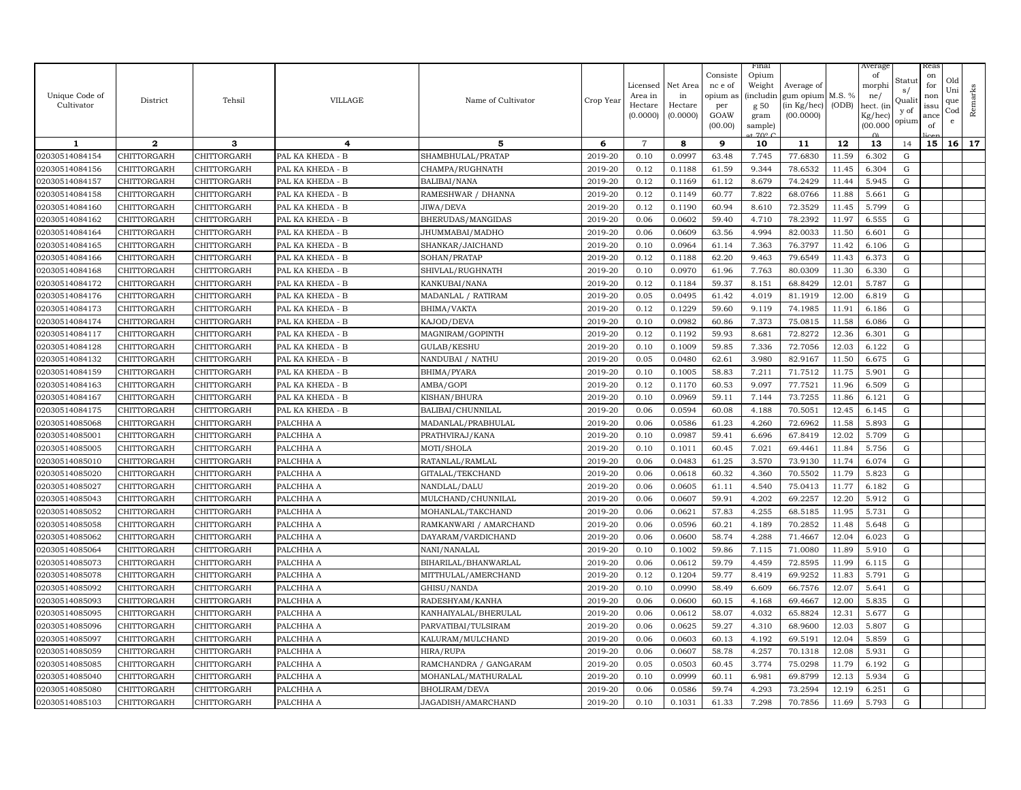| Unique Code of<br>Cultivator | District       | Tehsil             | VILLAGE          | Name of Cultivator     | Crop Year | Licensed<br>Area in<br>Hectare<br>(0.0000) | Net Area<br>in<br>Hectare<br>(0.0000) | Consiste<br>nc e of<br>opium as<br>per<br>GOAW<br>(00.00) | Final<br>Opium<br>Weight<br><i>(includin</i><br>g 50<br>gram<br>sample]<br>$70^\circ$ | Average of<br>gum opium M.S. %<br>(in Kg/hec)<br>(00.0000) | (ODB) | Averag<br>of<br>morphi<br>ne/<br>hect. (in<br>Kg/hec<br>(00.000) | Statut<br>s/<br>Quali<br>y of<br>opium | on<br>for<br>noi<br>isst<br>ance<br>of | Dld<br>Uni<br>que<br>Cod | Remarks |
|------------------------------|----------------|--------------------|------------------|------------------------|-----------|--------------------------------------------|---------------------------------------|-----------------------------------------------------------|---------------------------------------------------------------------------------------|------------------------------------------------------------|-------|------------------------------------------------------------------|----------------------------------------|----------------------------------------|--------------------------|---------|
| -1                           | $\overline{2}$ | 3                  | $\overline{4}$   | 5                      | 6         | $\overline{7}$                             | 8                                     | 9                                                         | 10                                                                                    | 11                                                         | 12    | 13                                                               | 14                                     | 15                                     | 16 <sup>1</sup>          | 17      |
| 02030514084154               | CHITTORGARH    | CHITTORGARH        | PAL KA KHEDA - B | SHAMBHULAL/PRATAP      | 2019-20   | 0.10                                       | 0.0997                                | 63.48                                                     | 7.745                                                                                 | 77.6830                                                    | 11.59 | 6.302                                                            | G                                      |                                        |                          |         |
| 02030514084156               | CHITTORGARH    | CHITTORGARH        | PAL KA KHEDA - B | CHAMPA/RUGHNATH        | 2019-20   | 0.12                                       | 0.1188                                | 61.59                                                     | 9.344                                                                                 | 78.6532                                                    | 11.45 | 6.304                                                            | G                                      |                                        |                          |         |
| 02030514084157               | CHITTORGARH    | CHITTORGARH        | PAL KA KHEDA - B | BALIBAI/NANA           | 2019-20   | 0.12                                       | 0.1169                                | 61.12                                                     | 8.679                                                                                 | 74.2429                                                    | 11.44 | 5.945                                                            | G                                      |                                        |                          |         |
| 02030514084158               | CHITTORGARH    | CHITTORGARH        | PAL KA KHEDA - B | RAMESHWAR / DHANNA     | 2019-20   | 0.12                                       | 0.1149                                | 60.77                                                     | 7.822                                                                                 | 68.0766                                                    | 11.88 | 5.661                                                            | ${\rm G}$                              |                                        |                          |         |
| 02030514084160               | CHITTORGARH    | CHITTORGARH        | PAL KA KHEDA - B | JIWA/DEVA              | 2019-20   | 0.12                                       | 0.1190                                | 60.94                                                     | 8.610                                                                                 | 72.3529                                                    | 11.45 | 5.799                                                            | G                                      |                                        |                          |         |
| 02030514084162               | CHITTORGARH    | CHITTORGARH        | PAL KA KHEDA - B | BHERUDAS/MANGIDAS      | 2019-20   | 0.06                                       | 0.0602                                | 59.40                                                     | 4.710                                                                                 | 78.2392                                                    | 11.97 | 6.555                                                            | G                                      |                                        |                          |         |
| 02030514084164               | CHITTORGARH    | CHITTORGARH        | PAL KA KHEDA - B | JHUMMABAI/MADHO        | 2019-20   | 0.06                                       | 0.0609                                | 63.56                                                     | 4.994                                                                                 | 82.0033                                                    | 11.50 | 6.601                                                            | ${\rm G}$                              |                                        |                          |         |
| 02030514084165               | CHITTORGARH    | CHITTORGARH        | PAL KA KHEDA - B | SHANKAR/JAICHAND       | 2019-20   | 0.10                                       | 0.0964                                | 61.14                                                     | 7.363                                                                                 | 76.3797                                                    | 11.42 | 6.106                                                            | G                                      |                                        |                          |         |
| 02030514084166               | CHITTORGARH    | CHITTORGARH        | PAL KA KHEDA - B | SOHAN/PRATAP           | 2019-20   | 0.12                                       | 0.1188                                | 62.20                                                     | 9.463                                                                                 | 79.6549                                                    | 11.43 | 6.373                                                            | ${\rm G}$                              |                                        |                          |         |
| 02030514084168               | CHITTORGARH    | CHITTORGARH        | PAL KA KHEDA - B | SHIVLAL/RUGHNATH       | 2019-20   | 0.10                                       | 0.0970                                | 61.96                                                     | 7.763                                                                                 | 80.0309                                                    | 11.30 | 6.330                                                            | G                                      |                                        |                          |         |
| 02030514084172               | CHITTORGARH    | CHITTORGARH        | PAL KA KHEDA - B | KANKUBAI/NANA          | 2019-20   | 0.12                                       | 0.1184                                | 59.37                                                     | 8.151                                                                                 | 68.8429                                                    | 12.01 | 5.787                                                            | G                                      |                                        |                          |         |
| 02030514084176               | CHITTORGARH    | CHITTORGARH        | PAL KA KHEDA - B | MADANLAL / RATIRAM     | 2019-20   | 0.05                                       | 0.0495                                | 61.42                                                     | 4.019                                                                                 | 81.1919                                                    | 12.00 | 6.819                                                            | ${\rm G}$                              |                                        |                          |         |
| 02030514084173               | CHITTORGARH    | CHITTORGARH        | PAL KA KHEDA - B | BHIMA/VAKTA            | 2019-20   | 0.12                                       | 0.1229                                | 59.60                                                     | 9.119                                                                                 | 74.1985                                                    | 11.91 | 6.186                                                            | ${\rm G}$                              |                                        |                          |         |
| 02030514084174               | CHITTORGARH    | CHITTORGARH        | PAL KA KHEDA - B | KAJOD/DEVA             | 2019-20   | 0.10                                       | 0.0982                                | 60.86                                                     | 7.373                                                                                 | 75.0815                                                    | 11.58 | 6.086                                                            | G                                      |                                        |                          |         |
| 02030514084117               | CHITTORGARH    | CHITTORGARH        | PAL KA KHEDA - B | MAGNIRAM/GOPINTH       | 2019-20   | 0.12                                       | 0.1192                                | 59.93                                                     | 8.681                                                                                 | 72.8272                                                    | 12.36 | 6.301                                                            | ${\rm G}$                              |                                        |                          |         |
| 02030514084128               | CHITTORGARH    | CHITTORGARH        | PAL KA KHEDA - B | GULAB/KESHU            | 2019-20   | 0.10                                       | 0.1009                                | 59.85                                                     | 7.336                                                                                 | 72.7056                                                    | 12.03 | 6.122                                                            | ${\rm G}$                              |                                        |                          |         |
| 02030514084132               | CHITTORGARH    | CHITTORGARH        | PAL KA KHEDA - B | NANDUBAI / NATHU       | 2019-20   | 0.05                                       | 0.0480                                | 62.61                                                     | 3.980                                                                                 | 82.9167                                                    | 11.50 | 6.675                                                            | G                                      |                                        |                          |         |
| 02030514084159               | CHITTORGARH    | CHITTORGARH        | PAL KA KHEDA - B | BHIMA/PYARA            | 2019-20   | 0.10                                       | 0.1005                                | 58.83                                                     | 7.211                                                                                 | 71.7512                                                    | 11.75 | 5.901                                                            | G                                      |                                        |                          |         |
| 02030514084163               | CHITTORGARH    | CHITTORGARH        | PAL KA KHEDA - B | AMBA/GOPI              | 2019-20   | 0.12                                       | 0.1170                                | 60.53                                                     | 9.097                                                                                 | 77.7521                                                    | 11.96 | 6.509                                                            | ${\bf G}$                              |                                        |                          |         |
| 02030514084167               | CHITTORGARH    | CHITTORGARH        | PAL KA KHEDA - B | KISHAN/BHURA           | 2019-20   | 0.10                                       | 0.0969                                | 59.11                                                     | 7.144                                                                                 | 73.7255                                                    | 11.86 | 6.121                                                            | ${\bf G}$                              |                                        |                          |         |
| 02030514084175               | CHITTORGARH    | CHITTORGARH        | PAL KA KHEDA - B | BALIBAI/CHUNNILAL      | 2019-20   | 0.06                                       | 0.0594                                | 60.08                                                     | 4.188                                                                                 | 70.5051                                                    | 12.45 | 6.145                                                            | G                                      |                                        |                          |         |
| 02030514085068               | CHITTORGARH    | CHITTORGARH        | PALCHHA A        | MADANLAL/PRABHULAL     | 2019-20   | 0.06                                       | 0.0586                                | 61.23                                                     | 4.260                                                                                 | 72.6962                                                    | 11.58 | 5.893                                                            | G                                      |                                        |                          |         |
| 02030514085001               | CHITTORGARH    | CHITTORGARH        | PALCHHA A        | PRATHVIRAJ/KANA        | 2019-20   | 0.10                                       | 0.0987                                | 59.41                                                     | 6.696                                                                                 | 67.8419                                                    | 12.02 | 5.709                                                            | G                                      |                                        |                          |         |
| 02030514085005               | CHITTORGARH    | CHITTORGARH        | PALCHHA A        | MOTI/SHOLA             | 2019-20   | 0.10                                       | 0.1011                                | 60.45                                                     | 7.021                                                                                 | 69.4461                                                    | 11.84 | 5.756                                                            | ${\rm G}$                              |                                        |                          |         |
| 02030514085010               | CHITTORGARH    | CHITTORGARH        | PALCHHA A        | RATANLAL/RAMLAL        | 2019-20   | 0.06                                       | 0.0483                                | 61.25                                                     | 3.570                                                                                 | 73.9130                                                    | 11.74 | 6.074                                                            | ${\rm G}$                              |                                        |                          |         |
| 02030514085020               | CHITTORGARH    | <b>CHITTORGARH</b> | PALCHHA A        | GITALAL/TEKCHAND       | 2019-20   | 0.06                                       | 0.0618                                | 60.32                                                     | 4.360                                                                                 | 70.5502                                                    | 11.79 | 5.823                                                            | G                                      |                                        |                          |         |
| 02030514085027               | CHITTORGARH    | CHITTORGARH        | PALCHHA A        | NANDLAL/DALU           | 2019-20   | 0.06                                       | 0.0605                                | 61.11                                                     | 4.540                                                                                 | 75.0413                                                    | 11.77 | 6.182                                                            | ${\rm G}$                              |                                        |                          |         |
| 02030514085043               | CHITTORGARH    | CHITTORGARH        | PALCHHA A        | MULCHAND/CHUNNILAL     | 2019-20   | 0.06                                       | 0.0607                                | 59.91                                                     | 4.202                                                                                 | 69.2257                                                    | 12.20 | 5.912                                                            | ${\rm G}$                              |                                        |                          |         |
| 02030514085052               | CHITTORGARH    | CHITTORGARH        | PALCHHA A        | MOHANLAL/TAKCHAND      | 2019-20   | 0.06                                       | 0.0621                                | 57.83                                                     | 4.255                                                                                 | 68.5185                                                    | 11.95 | 5.731                                                            | G                                      |                                        |                          |         |
| 02030514085058               | CHITTORGARH    | CHITTORGARH        | PALCHHA A        | RAMKANWARI / AMARCHAND | 2019-20   | 0.06                                       | 0.0596                                | 60.21                                                     | 4.189                                                                                 | 70.2852                                                    | 11.48 | 5.648                                                            | $\mathbf G$                            |                                        |                          |         |
| 02030514085062               | CHITTORGARH    | CHITTORGARH        | PALCHHA A        | DAYARAM/VARDICHAND     | 2019-20   | 0.06                                       | 0.0600                                | 58.74                                                     | 4.288                                                                                 | 71.4667                                                    | 12.04 | 6.023                                                            | ${\rm G}$                              |                                        |                          |         |
| 02030514085064               | CHITTORGARH    | CHITTORGARH        | PALCHHA A        | NANI/NANALAL           | 2019-20   | 0.10                                       | 0.1002                                | 59.86                                                     | 7.115                                                                                 | 71.0080                                                    | 11.89 | 5.910                                                            | ${\rm G}$                              |                                        |                          |         |
| 02030514085073               | CHITTORGARH    | CHITTORGARH        | PALCHHA A        | BIHARILAL/BHANWARLAL   | 2019-20   | 0.06                                       | 0.0612                                | 59.79                                                     | 4.459                                                                                 | 72.8595                                                    | 11.99 | 6.115                                                            | $\mathbf G$                            |                                        |                          |         |
| 02030514085078               | CHITTORGARH    | CHITTORGARH        | PALCHHA A        | MITTHULAL/AMERCHAND    | 2019-20   | 0.12                                       | 0.1204                                | 59.77                                                     | 8.419                                                                                 | 69.9252                                                    | 11.83 | 5.791                                                            | G                                      |                                        |                          |         |
| 02030514085092               | CHITTORGARH    | CHITTORGARH        | PALCHHA A        | GHISU/NANDA            | 2019-20   | 0.10                                       | 0.0990                                | 58.49                                                     | 6.609                                                                                 | 66.7576                                                    | 12.07 | 5.641                                                            | ${\bf G}$                              |                                        |                          |         |
| 02030514085093               | CHITTORGARH    | CHITTORGARH        | PALCHHA A        | RADESHYAM/KANHA        | 2019-20   | 0.06                                       | 0.0600                                | 60.15                                                     | 4.168                                                                                 | 69.4667                                                    | 12.00 | 5.835                                                            | G                                      |                                        |                          |         |
| 02030514085095               | CHITTORGARH    | CHITTORGARH        | PALCHHA A        | KANHAIYALAL/BHERULAL   | 2019-20   | 0.06                                       | 0.0612                                | 58.07                                                     | 4.032                                                                                 | 65.8824                                                    | 12.31 | 5.677                                                            | G                                      |                                        |                          |         |
| 02030514085096               | CHITTORGARH    | CHITTORGARH        | PALCHHA A        | PARVATIBAI/TULSIRAM    | 2019-20   | 0.06                                       | 0.0625                                | 59.27                                                     | 4.310                                                                                 | 68.9600                                                    | 12.03 | 5.807                                                            | G                                      |                                        |                          |         |
| 02030514085097               | CHITTORGARH    | CHITTORGARH        | PALCHHA A        | KALURAM/MULCHAND       | 2019-20   | 0.06                                       | 0.0603                                | 60.13                                                     | 4.192                                                                                 | 69.5191                                                    | 12.04 | 5.859                                                            | G                                      |                                        |                          |         |
| 02030514085059               | CHITTORGARH    | CHITTORGARH        | PALCHHA A        | HIRA/RUPA              | 2019-20   | 0.06                                       | 0.0607                                | 58.78                                                     | 4.257                                                                                 | 70.1318                                                    | 12.08 | 5.931                                                            | G                                      |                                        |                          |         |
| 02030514085085               | CHITTORGARH    | CHITTORGARH        | PALCHHA A        | RAMCHANDRA / GANGARAM  | 2019-20   | 0.05                                       | 0.0503                                | 60.45                                                     | 3.774                                                                                 | 75.0298                                                    | 11.79 | 6.192                                                            | G                                      |                                        |                          |         |
| 02030514085040               | CHITTORGARH    | CHITTORGARH        | PALCHHA A        | MOHANLAL/MATHURALAL    | 2019-20   | 0.10                                       | 0.0999                                | 60.11                                                     | 6.981                                                                                 | 69.8799                                                    | 12.13 | 5.934                                                            | G                                      |                                        |                          |         |
| 02030514085080               | CHITTORGARH    | CHITTORGARH        | PALCHHA A        | <b>BHOLIRAM/DEVA</b>   | 2019-20   | 0.06                                       | 0.0586                                | 59.74                                                     | 4.293                                                                                 | 73.2594                                                    | 12.19 | 6.251                                                            | ${\rm G}$                              |                                        |                          |         |
| 02030514085103               | CHITTORGARH    | CHITTORGARH        | PALCHHA A        | JAGADISH/AMARCHAND     | 2019-20   | 0.10                                       | 0.1031                                | 61.33                                                     | 7.298                                                                                 | 70.7856                                                    | 11.69 | 5.793                                                            | ${\rm G}$                              |                                        |                          |         |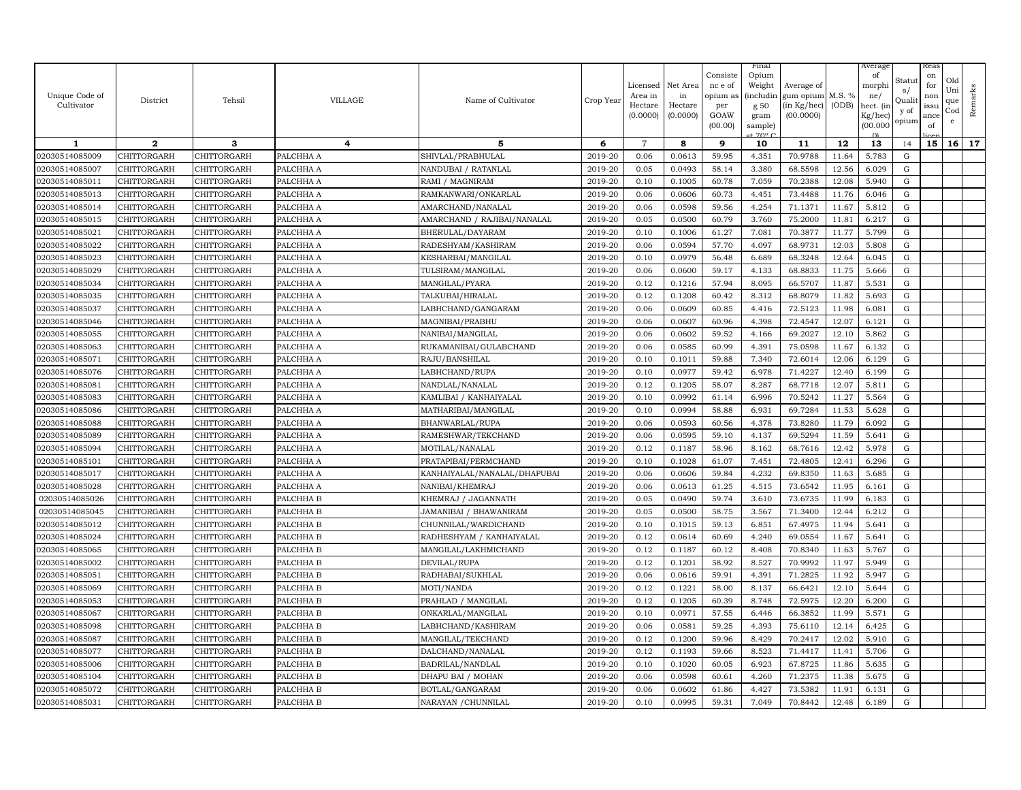| Unique Code of<br>Cultivator | District       | Tehsil             | VILLAGE   | Name of Cultivator           | Crop Year | Licensed<br>Area in<br>Hectare<br>(0.0000) | Net Area<br>in<br>Hectare<br>(0.0000) | Consiste<br>nc e of<br>opium as<br>per<br>GOAW<br>(00.00) | Final<br>Opium<br>Weight<br><i>(includin</i><br>g 50<br>gram<br>sample)<br>$70^\circ$ | Average of<br>gum opium M.S. %<br>(in Kg/hec)<br>(00.0000) | (ODB) | Averag<br>of<br>morphi<br>ne/<br>hect. (in<br>Kg/hec<br>(00.000) | Statut<br>s/<br>Quali<br>y of<br>opium | on<br>for<br>nor<br>isst<br>ance<br>of | Dld<br>Uni<br>que<br>Cod | Remarks |
|------------------------------|----------------|--------------------|-----------|------------------------------|-----------|--------------------------------------------|---------------------------------------|-----------------------------------------------------------|---------------------------------------------------------------------------------------|------------------------------------------------------------|-------|------------------------------------------------------------------|----------------------------------------|----------------------------------------|--------------------------|---------|
| -1                           | $\overline{2}$ | з                  | 4         | 5                            | 6         | $\overline{7}$                             | 8                                     | 9                                                         | 10                                                                                    | 11                                                         | 12    | 13                                                               | 14                                     | 15                                     | 16 <sup>1</sup>          | 17      |
| 02030514085009               | CHITTORGARH    | CHITTORGARH        | PALCHHA A | SHIVLAL/PRABHULAL            | 2019-20   | 0.06                                       | 0.0613                                | 59.95                                                     | 4.351                                                                                 | 70.9788                                                    | 11.64 | 5.783                                                            | G                                      |                                        |                          |         |
| 02030514085007               | CHITTORGARH    | CHITTORGARH        | PALCHHA A | NANDUBAI / RATANLAL          | 2019-20   | 0.05                                       | 0.0493                                | 58.14                                                     | 3.380                                                                                 | 68.5598                                                    | 12.56 | 6.029                                                            | G                                      |                                        |                          |         |
| 02030514085011               | CHITTORGARH    | CHITTORGARH        | PALCHHA A | RAMI / MAGNIRAM              | 2019-20   | 0.10                                       | 0.1005                                | 60.78                                                     | 7.059                                                                                 | 70.2388                                                    | 12.08 | 5.940                                                            | G                                      |                                        |                          |         |
| 02030514085013               | CHITTORGARH    | CHITTORGARH        | PALCHHA A | RAMKANWARI/ONKARLAL          | 2019-20   | 0.06                                       | 0.0606                                | 60.73                                                     | 4.451                                                                                 | 73.4488                                                    | 11.76 | 6.046                                                            | ${\rm G}$                              |                                        |                          |         |
| 02030514085014               | CHITTORGARH    | CHITTORGARH        | PALCHHA A | AMARCHAND/NANALAL            | 2019-20   | 0.06                                       | 0.0598                                | 59.56                                                     | 4.254                                                                                 | 71.1371                                                    | 11.67 | 5.812                                                            | G                                      |                                        |                          |         |
| 02030514085015               | CHITTORGARH    | CHITTORGARH        | PALCHHA A | AMARCHAND / RAJIBAI/NANALAL  | 2019-20   | 0.05                                       | 0.0500                                | 60.79                                                     | 3.760                                                                                 | 75.2000                                                    | 11.81 | 6.217                                                            | G                                      |                                        |                          |         |
| 02030514085021               | CHITTORGARH    | CHITTORGARH        | PALCHHA A | BHERULAL/DAYARAM             | 2019-20   | 0.10                                       | 0.1006                                | 61.27                                                     | 7.081                                                                                 | 70.3877                                                    | 11.77 | 5.799                                                            | ${\rm G}$                              |                                        |                          |         |
| 02030514085022               | CHITTORGARH    | CHITTORGARH        | PALCHHA A | RADESHYAM/KASHIRAM           | 2019-20   | 0.06                                       | 0.0594                                | 57.70                                                     | 4.097                                                                                 | 68.9731                                                    | 12.03 | 5.808                                                            | G                                      |                                        |                          |         |
| 02030514085023               | CHITTORGARH    | CHITTORGARH        | PALCHHA A | KESHARBAI/MANGILAL           | 2019-20   | 0.10                                       | 0.0979                                | 56.48                                                     | 6.689                                                                                 | 68.3248                                                    | 12.64 | 6.045                                                            | ${\rm G}$                              |                                        |                          |         |
| 02030514085029               | CHITTORGARH    | CHITTORGARH        | PALCHHA A | TULSIRAM/MANGILAL            | 2019-20   | 0.06                                       | 0.0600                                | 59.17                                                     | 4.133                                                                                 | 68.8833                                                    | 11.75 | 5.666                                                            | G                                      |                                        |                          |         |
| 02030514085034               | CHITTORGARH    | CHITTORGARH        | PALCHHA A | MANGILAL/PYARA               | 2019-20   | 0.12                                       | 0.1216                                | 57.94                                                     | 8.095                                                                                 | 66.5707                                                    | 11.87 | 5.531                                                            | G                                      |                                        |                          |         |
| 02030514085035               | CHITTORGARH    | CHITTORGARH        | PALCHHA A | TALKUBAI/HIRALAL             | 2019-20   | 0.12                                       | 0.1208                                | 60.42                                                     | 8.312                                                                                 | 68.8079                                                    | 11.82 | 5.693                                                            | ${\rm G}$                              |                                        |                          |         |
| 02030514085037               | CHITTORGARH    | CHITTORGARH        | PALCHHA A | ABHCHAND/GANGARAM            | 2019-20   | 0.06                                       | 0.0609                                | 60.85                                                     | 4.416                                                                                 | 72.5123                                                    | 11.98 | 6.081                                                            | ${\rm G}$                              |                                        |                          |         |
| 02030514085046               | CHITTORGARH    | CHITTORGARH        | PALCHHA A | MAGNIBAI/PRABHU              | 2019-20   | 0.06                                       | 0.0607                                | 60.96                                                     | 4.398                                                                                 | 72.4547                                                    | 12.07 | 6.121                                                            | G                                      |                                        |                          |         |
| 02030514085055               | CHITTORGARH    | CHITTORGARH        | PALCHHA A | NANIBAI/MANGILAL             | 2019-20   | 0.06                                       | 0.0602                                | 59.52                                                     | 4.166                                                                                 | 69.2027                                                    | 12.10 | 5.862                                                            | ${\rm G}$                              |                                        |                          |         |
| 02030514085063               | CHITTORGARH    | CHITTORGARH        | PALCHHA A | RUKAMANIBAI/GULABCHAND       | 2019-20   | 0.06                                       | 0.0585                                | 60.99                                                     | 4.391                                                                                 | 75.0598                                                    | 11.67 | 6.132                                                            | ${\rm G}$                              |                                        |                          |         |
| 02030514085071               | CHITTORGARH    | CHITTORGARH        | PALCHHA A | RAJU/BANSHILAL               | 2019-20   | 0.10                                       | 0.1011                                | 59.88                                                     | 7.340                                                                                 | 72.6014                                                    | 12.06 | 6.129                                                            | G                                      |                                        |                          |         |
| 02030514085076               | CHITTORGARH    | CHITTORGARH        | PALCHHA A | LABHCHAND/RUPA               | 2019-20   | 0.10                                       | 0.0977                                | 59.42                                                     | 6.978                                                                                 | 71.4227                                                    | 12.40 | 6.199                                                            | G                                      |                                        |                          |         |
| 02030514085081               | CHITTORGARH    | CHITTORGARH        | PALCHHA A | NANDLAL/NANALAL              | 2019-20   | 0.12                                       | 0.1205                                | 58.07                                                     | 8.287                                                                                 | 68.7718                                                    | 12.07 | 5.811                                                            | ${\bf G}$                              |                                        |                          |         |
| 02030514085083               | CHITTORGARH    | CHITTORGARH        | PALCHHA A | KAMLIBAI / KANHAIYALAL       | 2019-20   | 0.10                                       | 0.0992                                | 61.14                                                     | 6.996                                                                                 | 70.5242                                                    | 11.27 | 5.564                                                            | ${\bf G}$                              |                                        |                          |         |
| 02030514085086               | CHITTORGARH    | CHITTORGARH        | PALCHHA A | MATHARIBAI/MANGILAL          | 2019-20   | 0.10                                       | 0.0994                                | 58.88                                                     | 6.931                                                                                 | 69.7284                                                    | 11.53 | 5.628                                                            | G                                      |                                        |                          |         |
| 02030514085088               | CHITTORGARH    | CHITTORGARH        | PALCHHA A | BHANWARLAL/RUPA              | 2019-20   | 0.06                                       | 0.0593                                | 60.56                                                     | 4.378                                                                                 | 73.8280                                                    | 11.79 | 6.092                                                            | G                                      |                                        |                          |         |
| 02030514085089               | CHITTORGARH    | CHITTORGARH        | PALCHHA A | RAMESHWAR/TEKCHAND           | 2019-20   | 0.06                                       | 0.0595                                | 59.10                                                     | 4.137                                                                                 | 69.5294                                                    | 11.59 | 5.641                                                            | G                                      |                                        |                          |         |
| 02030514085094               | CHITTORGARH    | CHITTORGARH        | PALCHHA A | MOTILAL/NANALAL              | 2019-20   | 0.12                                       | 0.1187                                | 58.96                                                     | 8.162                                                                                 | 68.7616                                                    | 12.42 | 5.978                                                            | ${\rm G}$                              |                                        |                          |         |
| 02030514085101               | CHITTORGARH    | CHITTORGARH        | PALCHHA A | PRATAPIBAI/PERMCHAND         | 2019-20   | 0.10                                       | 0.1028                                | 61.07                                                     | 7.451                                                                                 | 72.4805                                                    | 12.41 | 6.296                                                            | ${\rm G}$                              |                                        |                          |         |
| 02030514085017               | CHITTORGARH    | <b>CHITTORGARH</b> | PALCHHA A | KANHAIYALAL/NANALAL/DHAPUBAI | 2019-20   | 0.06                                       | 0.0606                                | 59.84                                                     | 4.232                                                                                 | 69.8350                                                    | 11.63 | 5.685                                                            | G                                      |                                        |                          |         |
| 02030514085028               | CHITTORGARH    | CHITTORGARH        | PALCHHA A | NANIBAI/KHEMRAJ              | 2019-20   | 0.06                                       | 0.0613                                | 61.25                                                     | 4.515                                                                                 | 73.6542                                                    | 11.95 | 6.161                                                            | G                                      |                                        |                          |         |
| 02030514085026               | CHITTORGARH    | CHITTORGARH        | PALCHHA B | KHEMRAJ / JAGANNATH          | 2019-20   | 0.05                                       | 0.0490                                | 59.74                                                     | 3.610                                                                                 | 73.6735                                                    | 11.99 | 6.183                                                            | ${\rm G}$                              |                                        |                          |         |
| 02030514085045               | CHITTORGARH    | CHITTORGARH        | PALCHHA B | JAMANIBAI / BHAWANIRAM       | 2019-20   | 0.05                                       | 0.0500                                | 58.75                                                     | 3.567                                                                                 | 71.3400                                                    | 12.44 | 6.212                                                            | G                                      |                                        |                          |         |
| 02030514085012               | CHITTORGARH    | CHITTORGARH        | PALCHHA B | CHUNNILAL/WARDICHAND         | 2019-20   | 0.10                                       | 0.1015                                | 59.13                                                     | 6.851                                                                                 | 67.4975                                                    | 11.94 | 5.641                                                            | $\mathbf G$                            |                                        |                          |         |
| 02030514085024               | CHITTORGARH    | CHITTORGARH        | PALCHHA B | RADHESHYAM / KANHAIYALAL     | 2019-20   | 0.12                                       | 0.0614                                | 60.69                                                     | 4.240                                                                                 | 69.0554                                                    | 11.67 | 5.641                                                            | ${\rm G}$                              |                                        |                          |         |
| 02030514085065               | CHITTORGARH    | CHITTORGARH        | PALCHHA B | MANGILAL/LAKHMICHAND         | 2019-20   | 0.12                                       | 0.1187                                | 60.12                                                     | 8.408                                                                                 | 70.8340                                                    | 11.63 | 5.767                                                            | ${\rm G}$                              |                                        |                          |         |
| 02030514085002               | CHITTORGARH    | CHITTORGARH        | PALCHHA B | DEVILAL/RUPA                 | 2019-20   | 0.12                                       | 0.1201                                | 58.92                                                     | 8.527                                                                                 | 70.9992                                                    | 11.97 | 5.949                                                            | ${\rm G}$                              |                                        |                          |         |
| 02030514085051               | CHITTORGARH    | CHITTORGARH        | PALCHHA B | RADHABAI/SUKHLAL             | 2019-20   | 0.06                                       | 0.0616                                | 59.91                                                     | 4.391                                                                                 | 71.2825                                                    | 11.92 | 5.947                                                            | G                                      |                                        |                          |         |
| 02030514085069               | CHITTORGARH    | CHITTORGARH        | PALCHHA B | MOTI/NANDA                   | 2019-20   | 0.12                                       | 0.1221                                | 58.00                                                     | 8.137                                                                                 | 66.6421                                                    | 12.10 | 5.644                                                            | ${\bf G}$                              |                                        |                          |         |
| 02030514085053               | CHITTORGARH    | CHITTORGARH        | PALCHHA B | PRAHLAD / MANGILAL           | 2019-20   | 0.12                                       | 0.1205                                | 60.39                                                     | 8.748                                                                                 | 72.5975                                                    | 12.20 | 6.200                                                            | G                                      |                                        |                          |         |
| 02030514085067               | CHITTORGARH    | CHITTORGARH        | PALCHHA B | ONKARLAL/MANGILAL            | 2019-20   | 0.10                                       | 0.0971                                | 57.55                                                     | 6.446                                                                                 | 66.3852                                                    | 11.99 | 5.571                                                            | G                                      |                                        |                          |         |
| 02030514085098               | CHITTORGARH    | CHITTORGARH        | PALCHHA B | LABHCHAND/KASHIRAM           | 2019-20   | 0.06                                       | 0.0581                                | 59.25                                                     | 4.393                                                                                 | 75.6110                                                    | 12.14 | 6.425                                                            | G                                      |                                        |                          |         |
| 02030514085087               | CHITTORGARH    | CHITTORGARH        | PALCHHA B | MANGILAL/TEKCHAND            | 2019-20   | 0.12                                       | 0.1200                                | 59.96                                                     | 8.429                                                                                 | 70.2417                                                    | 12.02 | 5.910                                                            | G                                      |                                        |                          |         |
| 02030514085077               | CHITTORGARH    | CHITTORGARH        | PALCHHA B | DALCHAND/NANALAL             | 2019-20   | 0.12                                       | 0.1193                                | 59.66                                                     | 8.523                                                                                 | 71.4417                                                    | 11.41 | 5.706                                                            | G                                      |                                        |                          |         |
| 02030514085006               | CHITTORGARH    | CHITTORGARH        | PALCHHA B | BADRILAL/NANDLAL             | 2019-20   | 0.10                                       | 0.1020                                | 60.05                                                     | 6.923                                                                                 | 67.8725                                                    | 11.86 | 5.635                                                            | G                                      |                                        |                          |         |
| 02030514085104               | CHITTORGARH    | CHITTORGARH        | PALCHHA B | DHAPU BAI / MOHAN            | 2019-20   | 0.06                                       | 0.0598                                | 60.61                                                     | 4.260                                                                                 | 71.2375                                                    | 11.38 | 5.675                                                            | G                                      |                                        |                          |         |
| 02030514085072               | CHITTORGARH    | CHITTORGARH        | PALCHHA B | BOTLAL/GANGARAM              | 2019-20   | 0.06                                       | 0.0602                                | 61.86                                                     | 4.427                                                                                 | 73.5382                                                    | 11.91 | 6.131                                                            | ${\rm G}$                              |                                        |                          |         |
| 02030514085031               | CHITTORGARH    | CHITTORGARH        | PALCHHA B | NARAYAN / CHUNNILAL          | 2019-20   | 0.10                                       | 0.0995                                | 59.31                                                     | 7.049                                                                                 | 70.8442                                                    | 12.48 | 6.189                                                            | ${\rm G}$                              |                                        |                          |         |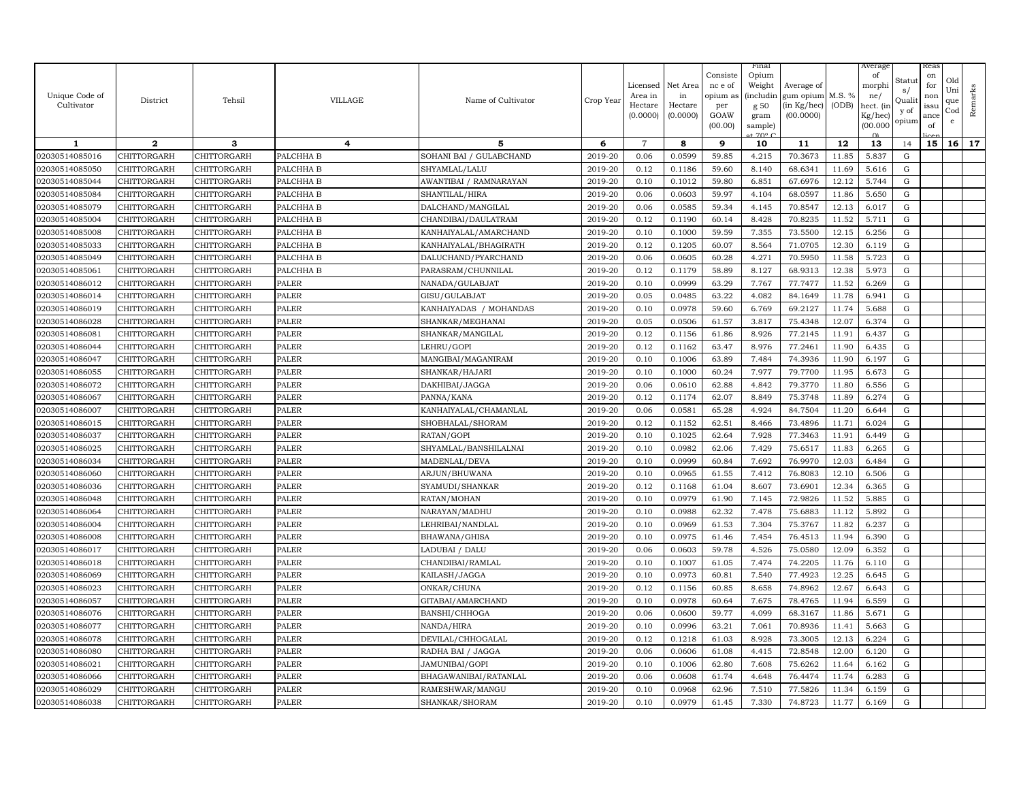| Unique Code of<br>Cultivator | District       | Tehsil      | VILLAGE   | Name of Cultivator      | Crop Year | Licensed<br>Area in<br>Hectare<br>(0.0000) | Net Area<br>in<br>Hectare<br>(0.0000) | Consiste<br>nc e of<br>opium as<br>per<br>GOAW<br>(00.00) | Final<br>Opium<br>Weight<br><i>(includin</i><br>g 50<br>gram<br>sample]<br>70° | Average of<br>gum opium M.S. %<br>(in Kg/hec)<br>(00.0000) | (ODB) | Averag<br>of<br>morphi<br>ne/<br>hect. (in<br>Kg/hec<br>(00.000) | Statut<br>s/<br>Quali<br>y of<br>opium | on<br>for<br>nor<br>isst<br>ance<br>of | Old<br>Uni<br>que<br>Cod | Remarks |
|------------------------------|----------------|-------------|-----------|-------------------------|-----------|--------------------------------------------|---------------------------------------|-----------------------------------------------------------|--------------------------------------------------------------------------------|------------------------------------------------------------|-------|------------------------------------------------------------------|----------------------------------------|----------------------------------------|--------------------------|---------|
| -1                           | $\overline{2}$ | 3           | 4         | 5                       | 6         | $\overline{7}$                             | 8                                     | 9                                                         | 10                                                                             | 11                                                         | 12    | 13                                                               | 14                                     | 15                                     | 16 <sup>1</sup>          | 17      |
| 02030514085016               | CHITTORGARH    | CHITTORGARH | PALCHHA B | SOHANI BAI / GULABCHAND | 2019-20   | 0.06                                       | 0.0599                                | 59.85                                                     | 4.215                                                                          | 70.3673                                                    | 11.85 | 5.837                                                            | ${\rm G}$                              |                                        |                          |         |
| 02030514085050               | CHITTORGARH    | CHITTORGARH | PALCHHA B | SHYAMLAL/LALU           | 2019-20   | 0.12                                       | 0.1186                                | 59.60                                                     | 8.140                                                                          | 68.6341                                                    | 11.69 | 5.616                                                            | G                                      |                                        |                          |         |
| 02030514085044               | CHITTORGARH    | CHITTORGARH | PALCHHA B | AWANTIBAI / RAMNARAYAN  | 2019-20   | 0.10                                       | 0.1012                                | 59.80                                                     | 6.851                                                                          | 67.6976                                                    | 12.12 | 5.744                                                            | G                                      |                                        |                          |         |
| 02030514085084               | CHITTORGARH    | CHITTORGARH | PALCHHA B | SHANTILAL/HIRA          | 2019-20   | 0.06                                       | 0.0603                                | 59.97                                                     | 4.104                                                                          | 68.0597                                                    | 11.86 | 5.650                                                            | G                                      |                                        |                          |         |
| 02030514085079               | CHITTORGARH    | CHITTORGARH | PALCHHA B | DALCHAND/MANGILAL       | 2019-20   | 0.06                                       | 0.0585                                | 59.34                                                     | 4.145                                                                          | 70.8547                                                    | 12.13 | 6.017                                                            | G                                      |                                        |                          |         |
| 02030514085004               | CHITTORGARH    | CHITTORGARH | PALCHHA B | CHANDIBAI/DAULATRAM     | 2019-20   | 0.12                                       | 0.1190                                | 60.14                                                     | 8.428                                                                          | 70.8235                                                    | 11.52 | 5.711                                                            | G                                      |                                        |                          |         |
| 02030514085008               | CHITTORGARH    | CHITTORGARH | PALCHHA B | KANHAIYALAL/AMARCHAND   | 2019-20   | 0.10                                       | 0.1000                                | 59.59                                                     | 7.355                                                                          | 73.5500                                                    | 12.15 | 6.256                                                            | G                                      |                                        |                          |         |
| 02030514085033               | CHITTORGARH    | CHITTORGARH | PALCHHA B | KANHAIYALAL/BHAGIRATH   | 2019-20   | 0.12                                       | 0.1205                                | 60.07                                                     | 8.564                                                                          | 71.0705                                                    | 12.30 | 6.119                                                            | G                                      |                                        |                          |         |
| 02030514085049               | CHITTORGARH    | CHITTORGARH | PALCHHA B | DALUCHAND/PYARCHAND     | 2019-20   | 0.06                                       | 0.0605                                | 60.28                                                     | 4.271                                                                          | 70.5950                                                    | 11.58 | 5.723                                                            | G                                      |                                        |                          |         |
| 02030514085061               | CHITTORGARH    | CHITTORGARH | PALCHHA B | PARASRAM/CHUNNILAL      | 2019-20   | 0.12                                       | 0.1179                                | 58.89                                                     | 8.127                                                                          | 68.9313                                                    | 12.38 | 5.973                                                            | ${\rm G}$                              |                                        |                          |         |
| 02030514086012               | CHITTORGARH    | CHITTORGARH | PALER     | NANADA/GULABJAT         | 2019-20   | 0.10                                       | 0.0999                                | 63.29                                                     | 7.767                                                                          | 77.7477                                                    | 11.52 | 6.269                                                            | ${\rm G}$                              |                                        |                          |         |
| 02030514086014               | CHITTORGARH    | CHITTORGARH | PALER     | GISU/GULABJAT           | 2019-20   | 0.05                                       | 0.0485                                | 63.22                                                     | 4.082                                                                          | 84.1649                                                    | 11.78 | 6.941                                                            | G                                      |                                        |                          |         |
| 02030514086019               | CHITTORGARH    | CHITTORGARH | PALER     | KANHAIYADAS / MOHANDAS  | 2019-20   | 0.10                                       | 0.0978                                | 59.60                                                     | 6.769                                                                          | 69.2127                                                    | 11.74 | 5.688                                                            | ${\rm G}$                              |                                        |                          |         |
| 02030514086028               | CHITTORGARH    | CHITTORGARH | PALER     | SHANKAR/MEGHANAI        | 2019-20   | 0.05                                       | 0.0506                                | 61.57                                                     | 3.817                                                                          | 75.4348                                                    | 12.07 | 6.374                                                            | ${\rm G}$                              |                                        |                          |         |
| 02030514086081               | CHITTORGARH    | CHITTORGARH | PALER     | SHANKAR/MANGILAL        | 2019-20   | 0.12                                       | 0.1156                                | 61.86                                                     | 8.926                                                                          | 77.2145                                                    | 11.91 | 6.437                                                            | G                                      |                                        |                          |         |
| 02030514086044               | CHITTORGARH    | CHITTORGARH | PALER     | LEHRU/GOPI              | 2019-20   | 0.12                                       | 0.1162                                | 63.47                                                     | 8.976                                                                          | 77.2461                                                    | 11.90 | 6.435                                                            | ${\rm G}$                              |                                        |                          |         |
| 02030514086047               | CHITTORGARH    | CHITTORGARH | PALER     | MANGIBAI/MAGANIRAM      | 2019-20   | 0.10                                       | 0.1006                                | 63.89                                                     | 7.484                                                                          | 74.3936                                                    | 11.90 | 6.197                                                            | ${\rm G}$                              |                                        |                          |         |
| 02030514086055               | CHITTORGARH    | CHITTORGARH | PALER     | SHANKAR/HAJARI          | 2019-20   | 0.10                                       | 0.1000                                | 60.24                                                     | 7.977                                                                          | 79.7700                                                    | 11.95 | 6.673                                                            | ${\rm G}$                              |                                        |                          |         |
| 02030514086072               | CHITTORGARH    | CHITTORGARH | PALER     | DAKHIBAI/JAGGA          | 2019-20   | 0.06                                       | 0.0610                                | 62.88                                                     | 4.842                                                                          | 79.3770                                                    | 11.80 | 6.556                                                            | G                                      |                                        |                          |         |
| 02030514086067               | CHITTORGARH    | CHITTORGARH | PALER     | PANNA/KANA              | 2019-20   | 0.12                                       | 0.1174                                | 62.07                                                     | 8.849                                                                          | 75.3748                                                    | 11.89 | 6.274                                                            | G                                      |                                        |                          |         |
| 02030514086007               | CHITTORGARH    | CHITTORGARH | PALER     | KANHAIYALAL/CHAMANLAL   | 2019-20   | 0.06                                       | 0.0581                                | 65.28                                                     | 4.924                                                                          | 84.7504                                                    | 11.20 | 6.644                                                            | G                                      |                                        |                          |         |
| 02030514086015               | CHITTORGARH    | CHITTORGARH | PALER     | SHOBHALAL/SHORAM        | 2019-20   | 0.12                                       | 0.1152                                | 62.51                                                     | 8.466                                                                          | 73.4896                                                    | 11.71 | 6.024                                                            | ${\rm G}$                              |                                        |                          |         |
| 02030514086037               | CHITTORGARH    | CHITTORGARH | PALER     | RATAN/GOPI              | 2019-20   | 0.10                                       | 0.1025                                | 62.64                                                     | 7.928                                                                          | 77.3463                                                    | 11.91 | 6.449                                                            | ${\rm G}$                              |                                        |                          |         |
| 02030514086025               | CHITTORGARH    | CHITTORGARH | PALER     | SHYAMLAL/BANSHILALNAI   | 2019-20   | 0.10                                       | 0.0982                                | 62.06                                                     | 7.429                                                                          | 75.6517                                                    | 11.83 | 6.265                                                            | G                                      |                                        |                          |         |
| 02030514086034               | CHITTORGARH    | CHITTORGARH | PALER     | MADENLAL/DEVA           | 2019-20   | 0.10                                       | 0.0999                                | 60.84                                                     | 7.692                                                                          | 76.9970                                                    | 12.03 | 6.484                                                            | G                                      |                                        |                          |         |
| 02030514086060               | CHITTORGARH    | CHITTORGARH | PALER     | ARJUN/BHUWANA           | 2019-20   | 0.10                                       | 0.0965                                | 61.55                                                     | 7.412                                                                          | 76.8083                                                    | 12.10 | 6.506                                                            | ${\rm G}$                              |                                        |                          |         |
| 02030514086036               | CHITTORGARH    | CHITTORGARH | PALER     | SYAMUDI/SHANKAR         | 2019-20   | 0.12                                       | 0.1168                                | 61.04                                                     | 8.607                                                                          | 73.6901                                                    | 12.34 | 6.365                                                            | ${\rm G}$                              |                                        |                          |         |
| 02030514086048               | CHITTORGARH    | CHITTORGARH | PALER     | RATAN/MOHAN             | 2019-20   | 0.10                                       | 0.0979                                | 61.90                                                     | 7.145                                                                          | 72.9826                                                    | 11.52 | 5.885                                                            | ${\rm G}$                              |                                        |                          |         |
| 02030514086064               | CHITTORGARH    | CHITTORGARH | PALER     | NARAYAN/MADHU           | 2019-20   | 0.10                                       | 0.0988                                | 62.32                                                     | 7.478                                                                          | 75.6883                                                    | 11.12 | 5.892                                                            | G                                      |                                        |                          |         |
| 02030514086004               | CHITTORGARH    | CHITTORGARH | PALER     | LEHRIBAI/NANDLAL        | 2019-20   | 0.10                                       | 0.0969                                | 61.53                                                     | 7.304                                                                          | 75.3767                                                    | 11.82 | 6.237                                                            | ${\rm G}$                              |                                        |                          |         |
| 02030514086008               | CHITTORGARH    | CHITTORGARH | PALER     | BHAWANA/GHISA           | 2019-20   | 0.10                                       | 0.0975                                | 61.46                                                     | 7.454                                                                          | 76.4513                                                    | 11.94 | 6.390                                                            | G                                      |                                        |                          |         |
| 02030514086017               | CHITTORGARH    | CHITTORGARH | PALER     | LADUBAI / DALU          | 2019-20   | 0.06                                       | 0.0603                                | 59.78                                                     | 4.526                                                                          | 75.0580                                                    | 12.09 | 6.352                                                            | ${\rm G}$                              |                                        |                          |         |
| 02030514086018               | CHITTORGARH    | CHITTORGARH | PALER     | CHANDIBAI/RAMLAL        | 2019-20   | 0.10                                       | 0.1007                                | 61.05                                                     | 7.474                                                                          | 74.2205                                                    | 11.76 | 6.110                                                            | ${\rm G}$                              |                                        |                          |         |
| 02030514086069               | CHITTORGARH    | CHITTORGARH | PALER     | KAILASH/JAGGA           | 2019-20   | 0.10                                       | 0.0973                                | 60.81                                                     | 7.540                                                                          | 77.4923                                                    | 12.25 | 6.645                                                            | ${\rm G}$                              |                                        |                          |         |
| 02030514086023               | CHITTORGARH    | CHITTORGARH | PALER     | ONKAR/CHUNA             | 2019-20   | 0.12                                       | 0.1156                                | 60.85                                                     | 8.658                                                                          | 74.8962                                                    | 12.67 | 6.643                                                            | ${\rm G}$                              |                                        |                          |         |
| 02030514086057               | CHITTORGARH    | CHITTORGARH | PALER     | GITABAI/AMARCHAND       | 2019-20   | 0.10                                       | 0.0978                                | 60.64                                                     | 7.675                                                                          | 78.4765                                                    | 11.94 | 6.559                                                            | G                                      |                                        |                          |         |
| 02030514086076               | CHITTORGARH    | CHITTORGARH | PALER     | BANSHI/CHHOGA           | 2019-20   | 0.06                                       | 0.0600                                | 59.77                                                     | 4.099                                                                          | 68.3167                                                    | 11.86 | 5.671                                                            | G                                      |                                        |                          |         |
| 02030514086077               | CHITTORGARH    | CHITTORGARH | PALER     | NANDA/HIRA              | 2019-20   | 0.10                                       | 0.0996                                | 63.21                                                     | 7.061                                                                          | 70.8936                                                    | 11.41 | 5.663                                                            | G                                      |                                        |                          |         |
| 02030514086078               | CHITTORGARH    | CHITTORGARH | PALER     | DEVILAL/CHHOGALAL       | 2019-20   | 0.12                                       | 0.1218                                | 61.03                                                     | 8.928                                                                          | 73.3005                                                    | 12.13 | 6.224                                                            | ${\rm G}$                              |                                        |                          |         |
| 02030514086080               | CHITTORGARH    | CHITTORGARH | PALER     | RADHA BAI / JAGGA       | 2019-20   | 0.06                                       | 0.0606                                | 61.08                                                     | 4.415                                                                          | 72.8548                                                    | 12.00 | 6.120                                                            | ${\rm G}$                              |                                        |                          |         |
| 02030514086021               | CHITTORGARH    | CHITTORGARH | PALER     | JAMUNIBAI/GOPI          | 2019-20   | 0.10                                       | 0.1006                                | 62.80                                                     | 7.608                                                                          | 75.6262                                                    | 11.64 | 6.162                                                            | G                                      |                                        |                          |         |
| 02030514086066               | CHITTORGARH    | CHITTORGARH | PALER     | BHAGAWANIBAI/RATANLAL   | 2019-20   | 0.06                                       | 0.0608                                | 61.74                                                     | 4.648                                                                          | 76.4474                                                    | 11.74 | 6.283                                                            | ${\rm G}$                              |                                        |                          |         |
| 02030514086029               | CHITTORGARH    | CHITTORGARH | PALER     | RAMESHWAR/MANGU         | 2019-20   | 0.10                                       | 0.0968                                | 62.96                                                     | 7.510                                                                          | 77.5826                                                    | 11.34 | 6.159                                                            | ${\rm G}$                              |                                        |                          |         |
| 02030514086038               | CHITTORGARH    | CHITTORGARH | PALER     | SHANKAR/SHORAM          | 2019-20   | 0.10                                       | 0.0979                                | 61.45                                                     | 7.330                                                                          | 74.8723                                                    | 11.77 | 6.169                                                            | ${\rm G}$                              |                                        |                          |         |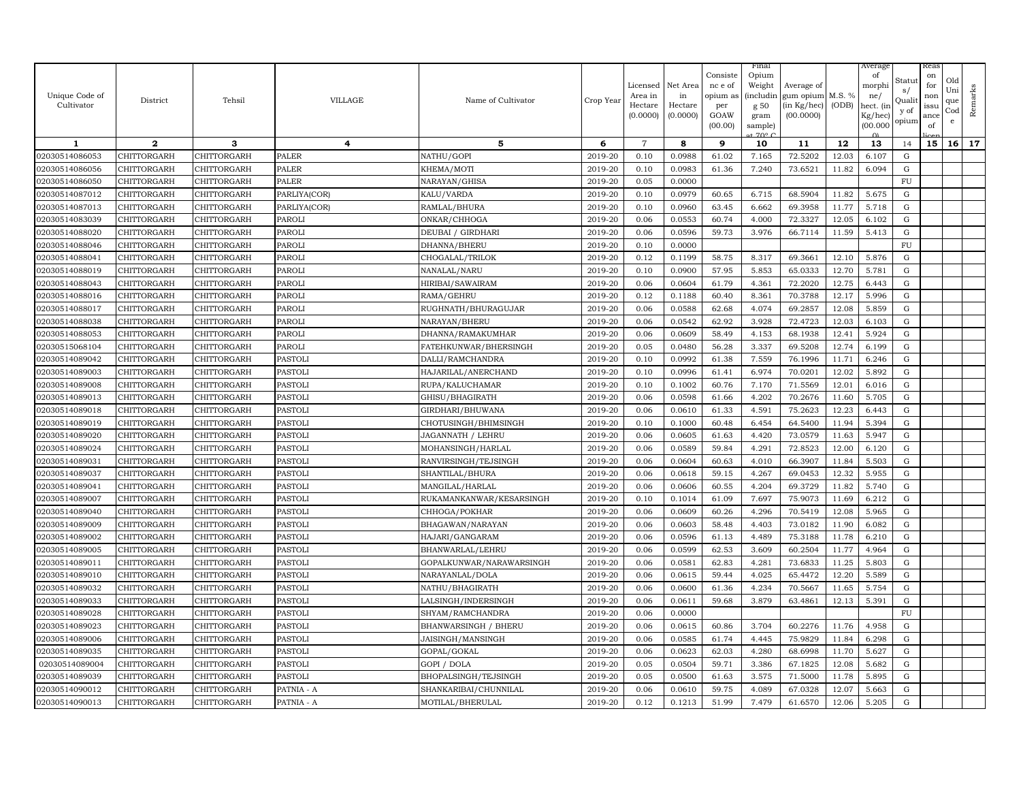| Unique Code of<br>Cultivator | District       | Tehsil      | VILLAGE        | Name of Cultivator       | Crop Year | Licensed<br>Area in<br>Hectare<br>(0.0000) | Net Area<br>in<br>Hectare<br>(0.0000) | Consiste<br>nc e of<br>opium as<br>per<br>GOAW<br>(00.00) | Final<br>Opium<br>Weight<br><i>(includin</i><br>g 50<br>gram<br>sample]<br>70° | Average of<br>gum opium M.S. %<br>(in Kg/hec)<br>(00.0000) | (ODB) | Averag<br>of<br>morphi<br>ne/<br>hect. (in<br>Kg/hec<br>(00.000) | Statut<br>s/<br>Quali<br>y of<br>opium | on<br>for<br>nor<br>isst<br>ance<br>of | Dld<br>Uni<br>que<br>Cod | Remarks |
|------------------------------|----------------|-------------|----------------|--------------------------|-----------|--------------------------------------------|---------------------------------------|-----------------------------------------------------------|--------------------------------------------------------------------------------|------------------------------------------------------------|-------|------------------------------------------------------------------|----------------------------------------|----------------------------------------|--------------------------|---------|
| 1                            | $\overline{2}$ | 3           | 4              | 5                        | 6         | $\overline{7}$                             | 8                                     | 9                                                         | 10                                                                             | 11                                                         | 12    | 13                                                               | 14                                     | 15                                     | 16 <sup>1</sup>          | 17      |
| 02030514086053               | CHITTORGARH    | CHITTORGARH | PALER          | NATHU/GOPI               | 2019-20   | 0.10                                       | 0.0988                                | 61.02                                                     | 7.165                                                                          | 72.5202                                                    | 12.03 | 6.107                                                            | $\mathbf G$                            |                                        |                          |         |
| 02030514086056               | CHITTORGARH    | CHITTORGARH | PALER          | KHEMA/MOTI               | 2019-20   | 0.10                                       | 0.0983                                | 61.36                                                     | 7.240                                                                          | 73.6521                                                    | 11.82 | 6.094                                                            | G                                      |                                        |                          |         |
| 02030514086050               | CHITTORGARH    | CHITTORGARH | PALER          | NARAYAN/GHISA            | 2019-20   | 0.05                                       | 0.0000                                |                                                           |                                                                                |                                                            |       |                                                                  | ${\rm FU}$                             |                                        |                          |         |
| 02030514087012               | CHITTORGARH    | CHITTORGARH | PARLIYA(COR)   | KALU/VARDA               | 2019-20   | 0.10                                       | 0.0979                                | 60.65                                                     | 6.715                                                                          | 68.5904                                                    | 11.82 | 5.675                                                            | G                                      |                                        |                          |         |
| 02030514087013               | CHITTORGARH    | CHITTORGARH | PARLIYA(COR)   | RAMLAL/BHURA             | 2019-20   | 0.10                                       | 0.0960                                | 63.45                                                     | 6.662                                                                          | 69.3958                                                    | 11.77 | 5.718                                                            | G                                      |                                        |                          |         |
| 02030514083039               | CHITTORGARH    | CHITTORGARH | PAROLI         | ONKAR/CHHOGA             | 2019-20   | 0.06                                       | 0.0553                                | 60.74                                                     | 4.000                                                                          | 72.3327                                                    | 12.05 | 6.102                                                            | G                                      |                                        |                          |         |
| 02030514088020               | CHITTORGARH    | CHITTORGARH | PAROLI         | DEUBAI / GIRDHARI        | 2019-20   | 0.06                                       | 0.0596                                | 59.73                                                     | 3.976                                                                          | 66.7114                                                    | 11.59 | 5.413                                                            | G                                      |                                        |                          |         |
| 02030514088046               | CHITTORGARH    | CHITTORGARH | PAROLI         | DHANNA/BHERU             | 2019-20   | 0.10                                       | 0.0000                                |                                                           |                                                                                |                                                            |       |                                                                  | ${\rm FU}$                             |                                        |                          |         |
| 02030514088041               | CHITTORGARH    | CHITTORGARH | PAROLI         | CHOGALAL/TRILOK          | 2019-20   | 0.12                                       | 0.1199                                | 58.75                                                     | 8.317                                                                          | 69.3661                                                    | 12.10 | 5.876                                                            | G                                      |                                        |                          |         |
| 02030514088019               | CHITTORGARH    | CHITTORGARH | PAROLI         | NANALAL/NARU             | 2019-20   | 0.10                                       | 0.0900                                | 57.95                                                     | 5.853                                                                          | 65.0333                                                    | 12.70 | 5.781                                                            | ${\rm G}$                              |                                        |                          |         |
| 02030514088043               | CHITTORGARH    | CHITTORGARH | PAROLI         | HIRIBAI/SAWAIRAM         | 2019-20   | 0.06                                       | 0.0604                                | 61.79                                                     | 4.361                                                                          | 72.2020                                                    | 12.75 | 6.443                                                            | ${\rm G}$                              |                                        |                          |         |
| 02030514088016               | CHITTORGARH    | CHITTORGARH | PAROLI         | RAMA/GEHRU               | 2019-20   | 0.12                                       | 0.1188                                | 60.40                                                     | 8.361                                                                          | 70.3788                                                    | 12.17 | 5.996                                                            | G                                      |                                        |                          |         |
| 02030514088017               | CHITTORGARH    | CHITTORGARH | PAROLI         | RUGHNATH/BHURAGUJAR      | 2019-20   | 0.06                                       | 0.0588                                | 62.68                                                     | 4.074                                                                          | 69.2857                                                    | 12.08 | 5.859                                                            | ${\rm G}$                              |                                        |                          |         |
| 02030514088038               | CHITTORGARH    | CHITTORGARH | PAROLI         | NARAYAN/BHERU            | 2019-20   | 0.06                                       | 0.0542                                | 62.92                                                     | 3.928                                                                          | 72.4723                                                    | 12.03 | 6.103                                                            | ${\rm G}$                              |                                        |                          |         |
| 02030514088053               | CHITTORGARH    | CHITTORGARH | PAROLI         | DHANNA/RAMAKUMHAR        | 2019-20   | 0.06                                       | 0.0609                                | 58.49                                                     | 4.153                                                                          | 68.1938                                                    | 12.41 | 5.924                                                            | ${\rm G}$                              |                                        |                          |         |
| 02030515068104               | CHITTORGARH    | CHITTORGARH | PAROLI         | FATEHKUNWAR/BHERSINGH    | 2019-20   | 0.05                                       | 0.0480                                | 56.28                                                     | 3.337                                                                          | 69.5208                                                    | 12.74 | 6.199                                                            | ${\rm G}$                              |                                        |                          |         |
| 02030514089042               | CHITTORGARH    | CHITTORGARH | PASTOLI        | DALLI/RAMCHANDRA         | 2019-20   | 0.10                                       | 0.0992                                | 61.38                                                     | 7.559                                                                          | 76.1996                                                    | 11.71 | 6.246                                                            | G                                      |                                        |                          |         |
| 02030514089003               | CHITTORGARH    | CHITTORGARH | PASTOLI        | HAJARILAL/ANERCHAND      | 2019-20   | 0.10                                       | 0.0996                                | 61.41                                                     | 6.974                                                                          | 70.0201                                                    | 12.02 | 5.892                                                            | G                                      |                                        |                          |         |
| 02030514089008               | CHITTORGARH    | CHITTORGARH | PASTOLI        | RUPA/KALUCHAMAR          | 2019-20   | 0.10                                       | 0.1002                                | 60.76                                                     | 7.170                                                                          | 71.5569                                                    | 12.01 | 6.016                                                            | G                                      |                                        |                          |         |
| 02030514089013               | CHITTORGARH    | CHITTORGARH | PASTOLI        | GHISU/BHAGIRATH          | 2019-20   | 0.06                                       | 0.0598                                | 61.66                                                     | 4.202                                                                          | 70.2676                                                    | 11.60 | 5.705                                                            | G                                      |                                        |                          |         |
| 02030514089018               | CHITTORGARH    | CHITTORGARH | PASTOLI        | GIRDHARI/BHUWANA         | 2019-20   | 0.06                                       | 0.0610                                | 61.33                                                     | 4.591                                                                          | 75.2623                                                    | 12.23 | 6.443                                                            | G                                      |                                        |                          |         |
| 02030514089019               | CHITTORGARH    | CHITTORGARH | PASTOLI        | CHOTUSINGH/BHIMSINGH     | 2019-20   | 0.10                                       | 0.1000                                | 60.48                                                     | 6.454                                                                          | 64.5400                                                    | 11.94 | 5.394                                                            | ${\rm G}$                              |                                        |                          |         |
| 02030514089020               | CHITTORGARH    | CHITTORGARH | PASTOLI        | JAGANNATH / LEHRU        | 2019-20   | 0.06                                       | 0.0605                                | 61.63                                                     | 4.420                                                                          | 73.0579                                                    | 11.63 | 5.947                                                            | ${\rm G}$                              |                                        |                          |         |
| 02030514089024               | CHITTORGARH    | CHITTORGARH | PASTOLI        | MOHANSINGH/HARLAL        | 2019-20   | 0.06                                       | 0.0589                                | 59.84                                                     | 4.291                                                                          | 72.8523                                                    | 12.00 | 6.120                                                            | G                                      |                                        |                          |         |
| 02030514089031               | CHITTORGARH    | CHITTORGARH | PASTOLI        | RANVIRSINGH/TEJSINGH     | 2019-20   | 0.06                                       | 0.0604                                | 60.63                                                     | 4.010                                                                          | 66.3907                                                    | 11.84 | 5.503                                                            | G                                      |                                        |                          |         |
| 02030514089037               | CHITTORGARH    | CHITTORGARH | PASTOLI        | SHANTILAL/BHURA          | 2019-20   | 0.06                                       | 0.0618                                | 59.15                                                     | 4.267                                                                          | 69.0453                                                    | 12.32 | 5.955                                                            | ${\rm G}$                              |                                        |                          |         |
| 02030514089041               | CHITTORGARH    | CHITTORGARH | PASTOLI        | MANGILAL/HARLAL          | 2019-20   | 0.06                                       | 0.0606                                | 60.55                                                     | 4.204                                                                          | 69.3729                                                    | 11.82 | 5.740                                                            | G                                      |                                        |                          |         |
| 02030514089007               | CHITTORGARH    | CHITTORGARH | PASTOLI        | RUKAMANKANWAR/KESARSINGH | 2019-20   | 0.10                                       | 0.1014                                | 61.09                                                     | 7.697                                                                          | 75.9073                                                    | 11.69 | 6.212                                                            | ${\rm G}$                              |                                        |                          |         |
| 02030514089040               | CHITTORGARH    | CHITTORGARH | PASTOLI        | CHHOGA/POKHAR            | 2019-20   | 0.06                                       | 0.0609                                | 60.26                                                     | 4.296                                                                          | 70.5419                                                    | 12.08 | 5.965                                                            | G                                      |                                        |                          |         |
| 02030514089009               | CHITTORGARH    | CHITTORGARH | PASTOLI        | BHAGAWAN/NARAYAN         | 2019-20   | 0.06                                       | 0.0603                                | 58.48                                                     | 4.403                                                                          | 73.0182                                                    | 11.90 | 6.082                                                            | ${\rm G}$                              |                                        |                          |         |
| 02030514089002               | CHITTORGARH    | CHITTORGARH | PASTOLI        | HAJARI/GANGARAM          | 2019-20   | 0.06                                       | 0.0596                                | 61.13                                                     | 4.489                                                                          | 75.3188                                                    | 11.78 | 6.210                                                            | G                                      |                                        |                          |         |
| 02030514089005               | CHITTORGARH    | CHITTORGARH | PASTOLI        | BHANWARLAL/LEHRU         | 2019-20   | 0.06                                       | 0.0599                                | 62.53                                                     | 3.609                                                                          | 60.2504                                                    | 11.77 | 4.964                                                            | ${\rm G}$                              |                                        |                          |         |
| 02030514089011               | CHITTORGARH    | CHITTORGARH | PASTOLI        | GOPALKUNWAR/NARAWARSINGH | 2019-20   | 0.06                                       | 0.0581                                | 62.83                                                     | 4.281                                                                          | 73.6833                                                    | 11.25 | 5.803                                                            | ${\rm G}$                              |                                        |                          |         |
| 02030514089010               | CHITTORGARH    | CHITTORGARH | PASTOLI        | NARAYANLAL/DOLA          | 2019-20   | 0.06                                       | 0.0615                                | 59.44                                                     | 4.025                                                                          | 65.4472                                                    | 12.20 | 5.589                                                            | ${\rm G}$                              |                                        |                          |         |
| 02030514089032               | CHITTORGARH    | CHITTORGARH | PASTOLI        | NATHU/BHAGIRATH          | 2019-20   | 0.06                                       | 0.0600                                | 61.36                                                     | 4.234                                                                          | 70.5667                                                    | 11.65 | 5.754                                                            | ${\rm G}$                              |                                        |                          |         |
| 02030514089033               | CHITTORGARH    | CHITTORGARH | PASTOLI        | LALSINGH/INDERSINGH      | 2019-20   | 0.06                                       | 0.0611                                | 59.68                                                     | 3.879                                                                          | 63.4861                                                    | 12.13 | 5.391                                                            | G                                      |                                        |                          |         |
| 02030514089028               | CHITTORGARH    | CHITTORGARH | PASTOLI        | SHYAM/RAMCHANDRA         | 2019-20   | 0.06                                       | 0.0000                                |                                                           |                                                                                |                                                            |       |                                                                  | FU                                     |                                        |                          |         |
| 02030514089023               | CHITTORGARH    | CHITTORGARH | PASTOLI        | BHANWARSINGH / BHERU     | 2019-20   | 0.06                                       | 0.0615                                | 60.86                                                     | 3.704                                                                          | 60.2276                                                    | 11.76 | 4.958                                                            | G                                      |                                        |                          |         |
| 02030514089006               | CHITTORGARH    | CHITTORGARH | <b>PASTOLI</b> | JAISINGH/MANSINGH        | 2019-20   | 0.06                                       | 0.0585                                | 61.74                                                     | 4.445                                                                          | 75.9829                                                    | 11.84 | 6.298                                                            | G                                      |                                        |                          |         |
| 02030514089035               | CHITTORGARH    | CHITTORGARH | PASTOLI        | GOPAL/GOKAL              | 2019-20   | 0.06                                       | 0.0623                                | 62.03                                                     | 4.280                                                                          | 68.6998                                                    | 11.70 | 5.627                                                            | G                                      |                                        |                          |         |
| 02030514089004               | CHITTORGARH    | CHITTORGARH | <b>PASTOLI</b> | GOPI / DOLA              | 2019-20   | 0.05                                       | 0.0504                                | 59.71                                                     | 3.386                                                                          | 67.1825                                                    | 12.08 | 5.682                                                            | G                                      |                                        |                          |         |
| 02030514089039               | CHITTORGARH    | CHITTORGARH | PASTOLI        | BHOPALSINGH/TEJSINGH     | 2019-20   | 0.05                                       | 0.0500                                | 61.63                                                     | 3.575                                                                          | 71.5000                                                    | 11.78 | 5.895                                                            | ${\rm G}$                              |                                        |                          |         |
| 02030514090012               | CHITTORGARH    | CHITTORGARH | PATNIA - A     | SHANKARIBAI/CHUNNILAL    | 2019-20   | 0.06                                       | 0.0610                                | 59.75                                                     | 4.089                                                                          | 67.0328                                                    | 12.07 | 5.663                                                            | ${\rm G}$                              |                                        |                          |         |
| 02030514090013               | CHITTORGARH    | CHITTORGARH | PATNIA - A     | MOTILAL/BHERULAL         | 2019-20   | 0.12                                       | 0.1213                                | 51.99                                                     | 7.479                                                                          | 61.6570                                                    | 12.06 | 5.205                                                            | ${\rm G}$                              |                                        |                          |         |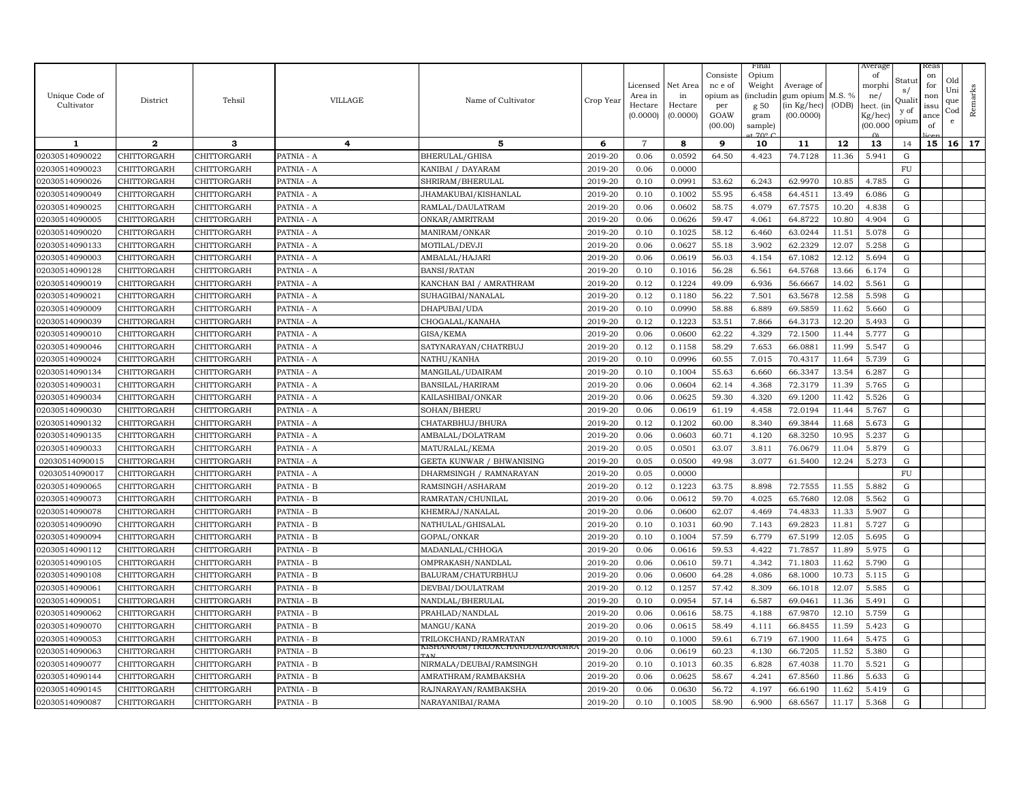| Unique Code of<br>Cultivator | District       | Tehsil             | VILLAGE    | Name of Cultivator             | Crop Year | Licensed<br>Area in<br>Hectare<br>(0.0000) | Net Area<br>in<br>Hectare<br>(0.0000) | Consiste<br>nc e of<br>opium as<br>per<br>GOAW<br>(00.00) | Final<br>Opium<br>Weight<br><i>(includin</i><br>g 50<br>gram<br>sample]<br>70° | Average of<br>gum opium M.S. %<br>(in Kg/hec)<br>(00.0000) | (ODB) | <i><u><b>Werage</b></u></i><br>of<br>morphi<br>ne/<br>hect. (in<br>Kg/hec]<br>(00.000) | Statut<br>s/<br>Quali<br>y of<br>opium | on<br>for<br>nor<br>isst<br>ance<br>of | Old<br>Uni<br>que<br>Cod | Remarks |
|------------------------------|----------------|--------------------|------------|--------------------------------|-----------|--------------------------------------------|---------------------------------------|-----------------------------------------------------------|--------------------------------------------------------------------------------|------------------------------------------------------------|-------|----------------------------------------------------------------------------------------|----------------------------------------|----------------------------------------|--------------------------|---------|
| -1                           | $\overline{2}$ | 3                  | 4          | 5                              | 6         | $\overline{7}$                             | 8                                     | 9                                                         | 10                                                                             | 11                                                         | 12    | 13                                                                                     | 14                                     | 15                                     | 16 <sup>1</sup>          | 17      |
| 02030514090022               | CHITTORGARH    | CHITTORGARH        | PATNIA - A | BHERULAL/GHISA                 | 2019-20   | 0.06                                       | 0.0592                                | 64.50                                                     | 4.423                                                                          | 74.7128                                                    | 11.36 | 5.941                                                                                  | ${\rm G}$                              |                                        |                          |         |
| 02030514090023               | CHITTORGARH    | CHITTORGARH        | PATNIA - A | KANIBAI / DAYARAM              | 2019-20   | 0.06                                       | 0.0000                                |                                                           |                                                                                |                                                            |       |                                                                                        | ${\rm FU}$                             |                                        |                          |         |
| 02030514090026               | CHITTORGARH    | CHITTORGARH        | PATNIA - A | SHRIRAM/BHERULAL               | 2019-20   | 0.10                                       | 0.0991                                | 53.62                                                     | 6.243                                                                          | 62.9970                                                    | 10.85 | 4.785                                                                                  | G                                      |                                        |                          |         |
| 02030514090049               | CHITTORGARH    | CHITTORGARH        | PATNIA - A | JHAMAKUBAI/KISHANLAL           | 2019-20   | 0.10                                       | 0.1002                                | 55.95                                                     | 6.458                                                                          | 64.4511                                                    | 13.49 | 6.086                                                                                  | G                                      |                                        |                          |         |
| 02030514090025               | CHITTORGARH    | CHITTORGARH        | PATNIA - A | RAMLAL/DAULATRAM               | 2019-20   | 0.06                                       | 0.0602                                | 58.75                                                     | 4.079                                                                          | 67.7575                                                    | 10.20 | 4.838                                                                                  | G                                      |                                        |                          |         |
| 02030514090005               | CHITTORGARH    | CHITTORGARH        | PATNIA - A | ONKAR/AMRITRAM                 | 2019-20   | 0.06                                       | 0.0626                                | 59.47                                                     | 4.061                                                                          | 64.8722                                                    | 10.80 | 4.904                                                                                  | G                                      |                                        |                          |         |
| 02030514090020               | CHITTORGARH    | <b>CHITTORGARH</b> | PATNIA - A | MANIRAM/ONKAR                  | 2019-20   | 0.10                                       | 0.1025                                | 58.12                                                     | 6.460                                                                          | 63.0244                                                    | 11.51 | 5.078                                                                                  | G                                      |                                        |                          |         |
| 02030514090133               | CHITTORGARH    | CHITTORGARH        | PATNIA - A | MOTILAL/DEVJI                  | 2019-20   | 0.06                                       | 0.0627                                | 55.18                                                     | 3.902                                                                          | 62.2329                                                    | 12.07 | 5.258                                                                                  | G                                      |                                        |                          |         |
| 02030514090003               | CHITTORGARH    | CHITTORGARH        | PATNIA - A | AMBALAL/HAJARI                 | 2019-20   | 0.06                                       | 0.0619                                | 56.03                                                     | 4.154                                                                          | 67.1082                                                    | 12.12 | 5.694                                                                                  | ${\rm G}$                              |                                        |                          |         |
| 02030514090128               | CHITTORGARH    | CHITTORGARH        | PATNIA - A | <b>BANSI/RATAN</b>             | 2019-20   | 0.10                                       | 0.1016                                | 56.28                                                     | 6.561                                                                          | 64.5768                                                    | 13.66 | 6.174                                                                                  | ${\rm G}$                              |                                        |                          |         |
| 02030514090019               | CHITTORGARH    | CHITTORGARH        | PATNIA - A | KANCHAN BAI / AMRATHRAM        | 2019-20   | 0.12                                       | 0.1224                                | 49.09                                                     | 6.936                                                                          | 56.6667                                                    | 14.02 | 5.561                                                                                  | ${\rm G}$                              |                                        |                          |         |
| 02030514090021               | CHITTORGARH    | CHITTORGARH        | PATNIA - A | SUHAGIBAI/NANALAL              | 2019-20   | 0.12                                       | 0.1180                                | 56.22                                                     | 7.501                                                                          | 63.5678                                                    | 12.58 | 5.598                                                                                  | G                                      |                                        |                          |         |
| 02030514090009               | CHITTORGARH    | CHITTORGARH        | PATNIA - A | DHAPUBAI/UDA                   | 2019-20   | 0.10                                       | 0.0990                                | 58.88                                                     | 6.889                                                                          | 69.5859                                                    | 11.62 | 5.660                                                                                  | ${\rm G}$                              |                                        |                          |         |
| 02030514090039               | CHITTORGARH    | CHITTORGARH        | PATNIA - A | CHOGALAL/KANAHA                | 2019-20   | 0.12                                       | 0.1223                                | 53.51                                                     | 7.866                                                                          | 64.3173                                                    | 12.20 | 5.493                                                                                  | ${\rm G}$                              |                                        |                          |         |
| 02030514090010               | CHITTORGARH    | CHITTORGARH        | PATNIA - A | GISA/KEMA                      | 2019-20   | 0.06                                       | 0.0600                                | 62.22                                                     | 4.329                                                                          | 72.1500                                                    | 11.44 | 5.777                                                                                  | ${\rm G}$                              |                                        |                          |         |
| 02030514090046               | CHITTORGARH    | CHITTORGARH        | PATNIA - A | SATYNARAYAN/CHATRBUJ           | 2019-20   | 0.12                                       | 0.1158                                | 58.29                                                     | 7.653                                                                          | 66.0881                                                    | 11.99 | 5.547                                                                                  | ${\rm G}$                              |                                        |                          |         |
| 02030514090024               | CHITTORGARH    | CHITTORGARH        | PATNIA - A | NATHU/KANHA                    | 2019-20   | 0.10                                       | 0.0996                                | 60.55                                                     | 7.015                                                                          | 70.4317                                                    | 11.64 | 5.739                                                                                  | ${\rm G}$                              |                                        |                          |         |
| 02030514090134               | CHITTORGARH    | CHITTORGARH        | PATNIA - A | MANGILAL/UDAIRAM               | 2019-20   | 0.10                                       | 0.1004                                | 55.63                                                     | 6.660                                                                          | 66.3347                                                    | 13.54 | 6.287                                                                                  | G                                      |                                        |                          |         |
| 02030514090031               | CHITTORGARH    | CHITTORGARH        | PATNIA - A | BANSILAL/HARIRAM               | 2019-20   | 0.06                                       | 0.0604                                | 62.14                                                     | 4.368                                                                          | 72.3179                                                    | 11.39 | 5.765                                                                                  | G                                      |                                        |                          |         |
| 02030514090034               | CHITTORGARH    | CHITTORGARH        | PATNIA - A | KAILASHIBAI/ONKAR              | 2019-20   | 0.06                                       | 0.0625                                | 59.30                                                     | 4.320                                                                          | 69.1200                                                    | 11.42 | 5.526                                                                                  | G                                      |                                        |                          |         |
| 02030514090030               | CHITTORGARH    | CHITTORGARH        | PATNIA - A | SOHAN/BHERU                    | 2019-20   | 0.06                                       | 0.0619                                | 61.19                                                     | 4.458                                                                          | 72.0194                                                    | 11.44 | 5.767                                                                                  | G                                      |                                        |                          |         |
| 02030514090132               | CHITTORGARH    | CHITTORGARH        | PATNIA - A | CHATARBHUJ/BHURA               | 2019-20   | 0.12                                       | 0.1202                                | 60.00                                                     | 8.340                                                                          | 69.3844                                                    | 11.68 | 5.673                                                                                  | G                                      |                                        |                          |         |
| 02030514090135               | CHITTORGARH    | CHITTORGARH        | PATNIA - A | AMBALAL/DOLATRAM               | 2019-20   | 0.06                                       | 0.0603                                | 60.71                                                     | 4.120                                                                          | 68.3250                                                    | 10.95 | 5.237                                                                                  | ${\rm G}$                              |                                        |                          |         |
| 02030514090033               | CHITTORGARH    | CHITTORGARH        | PATNIA - A | MATURALAL/KEMA                 | 2019-20   | 0.05                                       | 0.0501                                | 63.07                                                     | 3.811                                                                          | 76.0679                                                    | 11.04 | 5.879                                                                                  | G                                      |                                        |                          |         |
| 02030514090015               | CHITTORGARH    | CHITTORGARH        | PATNIA - A | GEETA KUNWAR / BHWANISING      | 2019-20   | 0.05                                       | 0.0500                                | 49.98                                                     | 3.077                                                                          | 61.5400                                                    | 12.24 | 5.273                                                                                  | $\mathbf G$                            |                                        |                          |         |
| 02030514090017               | CHITTORGARH    | CHITTORGARH        | PATNIA - A | DHARMSINGH / RAMNARAYAN        | 2019-20   | 0.05                                       | 0.0000                                |                                                           |                                                                                |                                                            |       |                                                                                        | ${\rm FU}$                             |                                        |                          |         |
| 02030514090065               | CHITTORGARH    | CHITTORGARH        | PATNIA - B | RAMSINGH/ASHARAM               | 2019-20   | 0.12                                       | 0.1223                                | 63.75                                                     | 8.898                                                                          | 72.7555                                                    | 11.55 | 5.882                                                                                  | G                                      |                                        |                          |         |
| 02030514090073               | CHITTORGARH    | CHITTORGARH        | PATNIA - B | RAMRATAN/CHUNILAL              | 2019-20   | 0.06                                       | 0.0612                                | 59.70                                                     | 4.025                                                                          | 65.7680                                                    | 12.08 | 5.562                                                                                  | G                                      |                                        |                          |         |
| 02030514090078               | CHITTORGARH    | CHITTORGARH        | PATNIA - B | KHEMRAJ/NANALAL                | 2019-20   | 0.06                                       | 0.0600                                | 62.07                                                     | 4.469                                                                          | 74.4833                                                    | 11.33 | 5.907                                                                                  | G                                      |                                        |                          |         |
| 02030514090090               | CHITTORGARH    | CHITTORGARH        | PATNIA - B | NATHULAL/GHISALAL              | 2019-20   | 0.10                                       | 0.1031                                | 60.90                                                     | 7.143                                                                          | 69.2823                                                    | 11.81 | 5.727                                                                                  | ${\rm G}$                              |                                        |                          |         |
| 02030514090094               | CHITTORGARH    | CHITTORGARH        | PATNIA - B | GOPAL/ONKAR                    | 2019-20   | 0.10                                       | 0.1004                                | 57.59                                                     | 6.779                                                                          | 67.5199                                                    | 12.05 | 5.695                                                                                  | G                                      |                                        |                          |         |
| 02030514090112               | CHITTORGARH    | CHITTORGARH        | PATNIA - B | MADANLAL/CHHOGA                | 2019-20   | 0.06                                       | 0.0616                                | 59.53                                                     | 4.422                                                                          | 71.7857                                                    | 11.89 | 5.975                                                                                  | ${\rm G}$                              |                                        |                          |         |
| 02030514090105               | CHITTORGARH    | CHITTORGARH        | PATNIA - B | OMPRAKASH/NANDLAL              | 2019-20   | 0.06                                       | 0.0610                                | 59.71                                                     | 4.342                                                                          | 71.1803                                                    | 11.62 | 5.790                                                                                  | ${\rm G}$                              |                                        |                          |         |
| 02030514090108               | CHITTORGARH    | CHITTORGARH        | PATNIA - B | BALURAM/CHATURBHUJ             | 2019-20   | 0.06                                       | 0.0600                                | 64.28                                                     | 4.086                                                                          | 68.1000                                                    | 10.73 | 5.115                                                                                  | ${\rm G}$                              |                                        |                          |         |
| 02030514090061               | CHITTORGARH    | CHITTORGARH        | PATNIA - B | DEVBAI/DOULATRAM               | 2019-20   | 0.12                                       | 0.1257                                | 57.42                                                     | 8.309                                                                          | 66.1018                                                    | 12.07 | 5.585                                                                                  | ${\rm G}$                              |                                        |                          |         |
| 02030514090051               | CHITTORGARH    | CHITTORGARH        | PATNIA - B | NANDLAL/BHERULAL               | 2019-20   | 0.10                                       | 0.0954                                | 57.14                                                     | 6.587                                                                          | 69.0461                                                    | 11.36 | 5.491                                                                                  | G                                      |                                        |                          |         |
| 02030514090062               | CHITTORGARH    | CHITTORGARH        | PATNIA - B | PRAHLAD/NANDLAL                | 2019-20   | 0.06                                       | 0.0616                                | 58.75                                                     | 4.188                                                                          | 67.9870                                                    | 12.10 | 5.759                                                                                  | G                                      |                                        |                          |         |
| 02030514090070               | CHITTORGARH    | CHITTORGARH        | PATNIA - B | MANGU/KANA                     | 2019-20   | 0.06                                       | 0.0615                                | 58.49                                                     | 4.111                                                                          | 66.8455                                                    | 11.59 | 5.423                                                                                  | G                                      |                                        |                          |         |
| 02030514090053               | CHITTORGARH    | CHITTORGARH        | PATNIA - B | TRILOKCHAND/RAMRATAN           | 2019-20   | 0.10                                       | 0.1000                                | 59.61                                                     | 6.719                                                                          | 67.1900                                                    | 11.64 | 5.475                                                                                  | ${\rm G}$                              |                                        |                          |         |
| 02030514090063               | CHITTORGARH    | CHITTORGARH        | PATNIA - B | KISHANRAM/IRILOKCHANDDADARAMR. | 2019-20   | 0.06                                       | 0.0619                                | 60.23                                                     | 4.130                                                                          | 66.7205                                                    | 11.52 | 5.380                                                                                  | G                                      |                                        |                          |         |
| 02030514090077               | CHITTORGARH    | <b>CHITTORGARH</b> | PATNIA - B | NIRMALA/DEUBAI/RAMSINGH        | 2019-20   | 0.10                                       | 0.1013                                | 60.35                                                     | 6.828                                                                          | 67.4038                                                    | 11.70 | 5.521                                                                                  | G                                      |                                        |                          |         |
| 02030514090144               | CHITTORGARH    | CHITTORGARH        | PATNIA - B | AMRATHRAM/RAMBAKSHA            | 2019-20   | 0.06                                       | 0.0625                                | 58.67                                                     | 4.241                                                                          | 67.8560                                                    | 11.86 | 5.633                                                                                  | ${\rm G}$                              |                                        |                          |         |
| 02030514090145               | CHITTORGARH    | CHITTORGARH        | PATNIA - B | RAJNARAYAN/RAMBAKSHA           | 2019-20   | 0.06                                       | 0.0630                                | 56.72                                                     | 4.197                                                                          | 66.6190                                                    | 11.62 | 5.419                                                                                  | ${\rm G}$                              |                                        |                          |         |
| 02030514090087               | CHITTORGARH    | CHITTORGARH        | PATNIA - B | NARAYANIBAI/RAMA               | 2019-20   | 0.10                                       | 0.1005                                | 58.90                                                     | 6.900                                                                          | 68.6567                                                    | 11.17 | 5.368                                                                                  | ${\rm G}$                              |                                        |                          |         |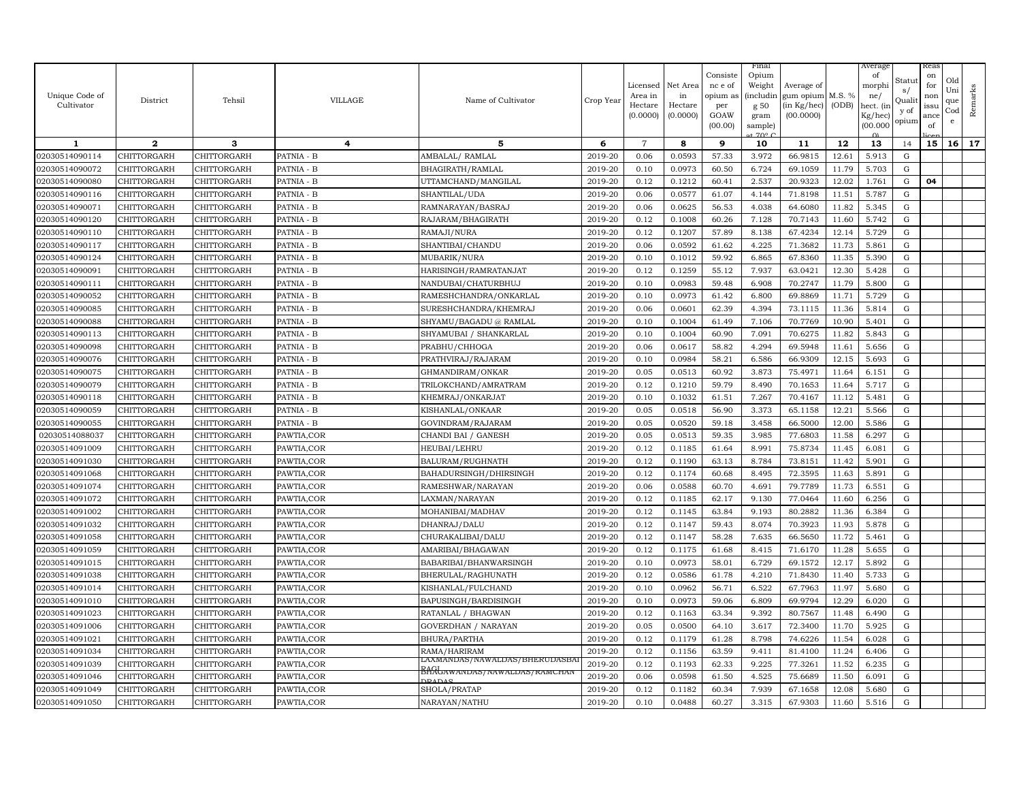| Unique Code of<br>Cultivator | District       | Tehsil      | VILLAGE     | Name of Cultivator                                            | Crop Year | Licensed<br>Area in<br>Hectare<br>(0.0000) | Net Area<br>in<br>Hectare<br>(0.0000) | Consiste<br>nc e of<br>opium as<br>per<br>GOAW<br>(00.00) | Final<br>Opium<br>Weight<br><i>(includin</i><br>g 50<br>gram<br>sample)<br>$70^\circ$ | Average of<br>gum opium M.S. %<br>(in Kg/hec)<br>(00.0000) | (ODB) | <i><u><b>Werage</b></u></i><br>of<br>morphi<br>ne/<br>hect. (in<br>Kg/hec<br>(00.000) | Statut<br>s/<br>Quali<br>y of<br>opium | on<br>for<br>nor<br>isst<br>ance<br>of | Old<br>Uni<br>que<br>∠od | Remarks |
|------------------------------|----------------|-------------|-------------|---------------------------------------------------------------|-----------|--------------------------------------------|---------------------------------------|-----------------------------------------------------------|---------------------------------------------------------------------------------------|------------------------------------------------------------|-------|---------------------------------------------------------------------------------------|----------------------------------------|----------------------------------------|--------------------------|---------|
| 1                            | $\overline{2}$ | 3           | 4           | 5                                                             | 6         | $\overline{7}$                             | 8                                     | 9                                                         | 10                                                                                    | 11                                                         | 12    | 13                                                                                    | 14                                     | 15                                     | 16                       | 17      |
| 02030514090114               | CHITTORGARH    | CHITTORGARH | PATNIA - B  | AMBALAL/RAMLAL                                                | 2019-20   | 0.06                                       | 0.0593                                | 57.33                                                     | 3.972                                                                                 | 66.9815                                                    | 12.61 | 5.913                                                                                 | G                                      |                                        |                          |         |
| 02030514090072               | CHITTORGARH    | CHITTORGARH | PATNIA - B  | BHAGIRATH/RAMLAL                                              | 2019-20   | 0.10                                       | 0.0973                                | 60.50                                                     | 6.724                                                                                 | 69.1059                                                    | 11.79 | 5.703                                                                                 | G                                      |                                        |                          |         |
| 02030514090080               | CHITTORGARH    | CHITTORGARH | PATNIA - B  | UTTAMCHAND/MANGILAL                                           | 2019-20   | 0.12                                       | 0.1212                                | 60.41                                                     | 2.537                                                                                 | 20.9323                                                    | 12.02 | 1.761                                                                                 | G                                      | 04                                     |                          |         |
| 02030514090116               | CHITTORGARH    | CHITTORGARH | PATNIA - B  | SHANTILAL/UDA                                                 | 2019-20   | 0.06                                       | 0.0577                                | 61.07                                                     | 4.144                                                                                 | 71.8198                                                    | 11.51 | 5.787                                                                                 | G                                      |                                        |                          |         |
| 02030514090071               | CHITTORGARH    | CHITTORGARH | PATNIA - B  | RAMNARAYAN/BASRAJ                                             | 2019-20   | 0.06                                       | 0.0625                                | 56.53                                                     | 4.038                                                                                 | 64.6080                                                    | 11.82 | 5.345                                                                                 | G                                      |                                        |                          |         |
| 02030514090120               | CHITTORGARH    | CHITTORGARH | PATNIA - B  | RAJARAM/BHAGIRATH                                             | 2019-20   | 0.12                                       | 0.1008                                | 60.26                                                     | 7.128                                                                                 | 70.7143                                                    | 11.60 | 5.742                                                                                 | G                                      |                                        |                          |         |
| 02030514090110               | CHITTORGARH    | CHITTORGARH | PATNIA - B  | RAMAJI/NURA                                                   | 2019-20   | 0.12                                       | 0.1207                                | 57.89                                                     | 8.138                                                                                 | 67.4234                                                    | 12.14 | 5.729                                                                                 | ${\rm G}$                              |                                        |                          |         |
| 02030514090117               | CHITTORGARH    | CHITTORGARH | PATNIA - B  | SHANTIBAI/CHANDU                                              | 2019-20   | 0.06                                       | 0.0592                                | 61.62                                                     | 4.225                                                                                 | 71.3682                                                    | 11.73 | 5.861                                                                                 | ${\rm G}$                              |                                        |                          |         |
| 02030514090124               | CHITTORGARH    | CHITTORGARH | PATNIA - B  | MUBARIK/NURA                                                  | 2019-20   | 0.10                                       | 0.1012                                | 59.92                                                     | 6.865                                                                                 | 67.8360                                                    | 11.35 | 5.390                                                                                 | ${\rm G}$                              |                                        |                          |         |
| 02030514090091               | CHITTORGARH    | CHITTORGARH | PATNIA - B  | HARISINGH/RAMRATANJAT                                         | 2019-20   | 0.12                                       | 0.1259                                | 55.12                                                     | 7.937                                                                                 | 63.0421                                                    | 12.30 | 5.428                                                                                 | G                                      |                                        |                          |         |
| 02030514090111               | CHITTORGARH    | CHITTORGARH | PATNIA - B  | NANDUBAI/CHATURBHUJ                                           | 2019-20   | 0.10                                       | 0.0983                                | 59.48                                                     | 6.908                                                                                 | 70.2747                                                    | 11.79 | 5.800                                                                                 | ${\rm G}$                              |                                        |                          |         |
| 02030514090052               | CHITTORGARH    | CHITTORGARH | PATNIA - B  | RAMESHCHANDRA/ONKARLAL                                        | 2019-20   | 0.10                                       | 0.0973                                | 61.42                                                     | 6.800                                                                                 | 69.8869                                                    | 11.71 | 5.729                                                                                 | ${\rm G}$                              |                                        |                          |         |
| 02030514090085               | CHITTORGARH    | CHITTORGARH | PATNIA - B  | SURESHCHANDRA/KHEMRAJ                                         | 2019-20   | 0.06                                       | 0.0601                                | 62.39                                                     | 4.394                                                                                 | 73.1115                                                    | 11.36 | 5.814                                                                                 | G                                      |                                        |                          |         |
| 02030514090088               | CHITTORGARH    | CHITTORGARH | PATNIA - B  | SHYAMU/BAGADU @ RAMLAL                                        | 2019-20   | 0.10                                       | 0.1004                                | 61.49                                                     | 7.106                                                                                 | 70.7769                                                    | 10.90 | 5.401                                                                                 | ${\rm G}$                              |                                        |                          |         |
| 02030514090113               | CHITTORGARH    | CHITTORGARH | PATNIA - B  | SHYAMUBAI / SHANKARLAL                                        | 2019-20   | 0.10                                       | 0.1004                                | 60.90                                                     | 7.091                                                                                 | 70.6275                                                    | 11.82 | 5.843                                                                                 | ${\rm G}$                              |                                        |                          |         |
| 02030514090098               | CHITTORGARH    | CHITTORGARH | PATNIA - B  | PRABHU/CHHOGA                                                 | 2019-20   | 0.06                                       | 0.0617                                | 58.82                                                     | 4.294                                                                                 | 69.5948                                                    | 11.61 | 5.656                                                                                 | $\mathbf G$                            |                                        |                          |         |
| 02030514090076               | CHITTORGARH    | CHITTORGARH | PATNIA - B  | PRATHVIRAJ/RAJARAM                                            | 2019-20   | 0.10                                       | 0.0984                                | 58.21                                                     | 6.586                                                                                 | 66.9309                                                    | 12.15 | 5.693                                                                                 | ${\rm G}$                              |                                        |                          |         |
| 02030514090075               | CHITTORGARH    | CHITTORGARH | PATNIA - B  | GHMANDIRAM/ONKAR                                              | 2019-20   | 0.05                                       | 0.0513                                | 60.92                                                     | 3.873                                                                                 | 75.4971                                                    | 11.64 | 6.151                                                                                 | ${\rm G}$                              |                                        |                          |         |
| 02030514090079               | CHITTORGARH    | CHITTORGARH | PATNIA - B  | TRILOKCHAND/AMRATRAM                                          | 2019-20   | 0.12                                       | 0.1210                                | 59.79                                                     | 8.490                                                                                 | 70.1653                                                    | 11.64 | 5.717                                                                                 | ${\rm G}$                              |                                        |                          |         |
| 02030514090118               | CHITTORGARH    | CHITTORGARH | PATNIA - B  | KHEMRAJ/ONKARJAT                                              | 2019-20   | 0.10                                       | 0.1032                                | 61.51                                                     | 7.267                                                                                 | 70.4167                                                    | 11.12 | 5.481                                                                                 | G                                      |                                        |                          |         |
| 02030514090059               | CHITTORGARH    | CHITTORGARH | PATNIA - B  | KISHANLAL/ONKAAR                                              | 2019-20   | 0.05                                       | 0.0518                                | 56.90                                                     | 3.373                                                                                 | 65.1158                                                    | 12.21 | 5.566                                                                                 | G                                      |                                        |                          |         |
| 02030514090055               | CHITTORGARH    | CHITTORGARH | PATNIA - B  | GOVINDRAM/RAJARAM                                             | 2019-20   | 0.05                                       | 0.0520                                | 59.18                                                     | 3.458                                                                                 | 66.5000                                                    | 12.00 | 5.586                                                                                 | G                                      |                                        |                          |         |
| 02030514088037               | CHITTORGARH    | CHITTORGARH | PAWTIA,COR  | CHANDI BAI / GANESH                                           | 2019-20   | 0.05                                       | 0.0513                                | 59.35                                                     | 3.985                                                                                 | 77.6803                                                    | 11.58 | 6.297                                                                                 | G                                      |                                        |                          |         |
| 02030514091009               | CHITTORGARH    | CHITTORGARH | PAWTIA, COR | HEUBAI/LEHRU                                                  | 2019-20   | 0.12                                       | 0.1185                                | 61.64                                                     | 8.991                                                                                 | 75.8734                                                    | 11.45 | 6.081                                                                                 | G                                      |                                        |                          |         |
| 02030514091030               | CHITTORGARH    | CHITTORGARH | PAWTIA,COR  | BALURAM/RUGHNATH                                              | 2019-20   | 0.12                                       | 0.1190                                | 63.13                                                     | 8.784                                                                                 | 73.8151                                                    | 11.42 | 5.901                                                                                 | G                                      |                                        |                          |         |
| 02030514091068               | CHITTORGARH    | CHITTORGARH | PAWTIA, COR | BAHADURSINGH/DHIRSINGH                                        | 2019-20   | 0.12                                       | 0.1174                                | 60.68                                                     | 8.495                                                                                 | 72.3595                                                    | 11.63 | 5.891                                                                                 | ${\rm G}$                              |                                        |                          |         |
| 02030514091074               | CHITTORGARH    | CHITTORGARH | PAWTIA,COR  | RAMESHWAR/NARAYAN                                             | 2019-20   | 0.06                                       | 0.0588                                | 60.70                                                     | 4.691                                                                                 | 79.7789                                                    | 11.73 | 6.551                                                                                 | G                                      |                                        |                          |         |
| 02030514091072               | CHITTORGARH    | CHITTORGARH | PAWTIA,COR  | LAXMAN/NARAYAN                                                | 2019-20   | 0.12                                       | 0.1185                                | 62.17                                                     | 9.130                                                                                 | 77.0464                                                    | 11.60 | 6.256                                                                                 | G                                      |                                        |                          |         |
| 02030514091002               | CHITTORGARH    | CHITTORGARH | PAWTIA, COR | MOHANIBAI/MADHAV                                              | 2019-20   | 0.12                                       | 0.1145                                | 63.84                                                     | 9.193                                                                                 | 80.2882                                                    | 11.36 | 6.384                                                                                 | ${\rm G}$                              |                                        |                          |         |
| 02030514091032               | CHITTORGARH    | CHITTORGARH | PAWTIA, COR | DHANRAJ/DALU                                                  | 2019-20   | 0.12                                       | 0.1147                                | 59.43                                                     | 8.074                                                                                 | 70.3923                                                    | 11.93 | 5.878                                                                                 | ${\rm G}$                              |                                        |                          |         |
| 02030514091058               | CHITTORGARH    | CHITTORGARH | PAWTIA,COR  | CHURAKALIBAI/DALU                                             | 2019-20   | 0.12                                       | 0.1147                                | 58.28                                                     | 7.635                                                                                 | 66.5650                                                    | 11.72 | 5.461                                                                                 | G                                      |                                        |                          |         |
| 02030514091059               | CHITTORGARH    | CHITTORGARH | PAWTIA,COR  | AMARIBAI/BHAGAWAN                                             | 2019-20   | 0.12                                       | 0.1175                                | 61.68                                                     | 8.415                                                                                 | 71.6170                                                    | 11.28 | 5.655                                                                                 | G                                      |                                        |                          |         |
| 02030514091015               | CHITTORGARH    | CHITTORGARH | PAWTIA, COR | BABARIBAI/BHANWARSINGH                                        | 2019-20   | 0.10                                       | 0.0973                                | 58.01                                                     | 6.729                                                                                 | 69.1572                                                    | 12.17 | 5.892                                                                                 | ${\rm G}$                              |                                        |                          |         |
| 02030514091038               | CHITTORGARH    | CHITTORGARH | PAWTIA,COR  | BHERULAL/RAGHUNATH                                            | 2019-20   | 0.12                                       | 0.0586                                | 61.78                                                     | 4.210                                                                                 | 71.8430                                                    | 11.40 | 5.733                                                                                 | ${\rm G}$                              |                                        |                          |         |
| 02030514091014               | CHITTORGARH    | CHITTORGARH | PAWTIA,COR  | KISHANLAL/FULCHAND                                            | 2019-20   | 0.10                                       | 0.0962                                | 56.71                                                     | 6.522                                                                                 | 67.7963                                                    | 11.97 | 5.680                                                                                 | G                                      |                                        |                          |         |
| 02030514091010               | CHITTORGARH    | CHITTORGARH | PAWTIA, COR | BAPUSINGH/BARDISINGH                                          | 2019-20   | 0.10                                       | 0.0973                                | 59.06                                                     | 6.809                                                                                 | 69.9794                                                    | 12.29 | 6.020                                                                                 | G                                      |                                        |                          |         |
| 02030514091023               | CHITTORGARH    | CHITTORGARH | PAWTIA,COR  | RATANLAL / BHAGWAN                                            | 2019-20   | 0.12                                       | 0.1163                                | 63.34                                                     | 9.392                                                                                 | 80.7567                                                    | 11.48 | 6.490                                                                                 | ${\rm G}$                              |                                        |                          |         |
| 02030514091006               | CHITTORGARH    | CHITTORGARH | PAWTIA, COR | GOVERDHAN / NARAYAN                                           | 2019-20   | 0.05                                       | 0.0500                                | 64.10                                                     | 3.617                                                                                 | 72.3400                                                    | 11.70 | 5.925                                                                                 | G                                      |                                        |                          |         |
| 02030514091021               | CHITTORGARH    | CHITTORGARH | PAWTIA,COR  | BHURA/PARTHA                                                  | 2019-20   | 0.12                                       | 0.1179                                | 61.28                                                     | 8.798                                                                                 | 74.6226                                                    | 11.54 | 6.028                                                                                 | G                                      |                                        |                          |         |
| 02030514091034               | CHITTORGARH    | CHITTORGARH | PAWTIA, COR | RAMA/HARIRAM                                                  | 2019-20   | 0.12                                       | 0.1156                                | 63.59                                                     | 9.411                                                                                 | 81.4100                                                    | 11.24 | 6.406                                                                                 | G                                      |                                        |                          |         |
| 02030514091039               | CHITTORGARH    | CHITTORGARH | PAWTIA, COR | LAXMANDAS/NAWALDAS/BHERUDASBA<br>BAAGAWANDAS/NAWALDAS/RAMCHAN | 2019-20   | 0.12                                       | 0.1193                                | 62.33                                                     | 9.225                                                                                 | 77.3261                                                    | 11.52 | 6.235                                                                                 | G                                      |                                        |                          |         |
| 02030514091046               | CHITTORGARH    | CHITTORGARH | PAWTIA,COR  |                                                               | 2019-20   | 0.06                                       | 0.0598                                | 61.50                                                     | 4.525                                                                                 | 75.6689                                                    | 11.50 | 6.091                                                                                 | G                                      |                                        |                          |         |
| 02030514091049               | CHITTORGARH    | CHITTORGARH | PAWTIA,COR  | SHOLA/PRATAP                                                  | 2019-20   | 0.12                                       | 0.1182                                | 60.34                                                     | 7.939                                                                                 | 67.1658                                                    | 12.08 | 5.680                                                                                 | ${\rm G}$                              |                                        |                          |         |
| 02030514091050               | CHITTORGARH    | CHITTORGARH | PAWTIA, COR | NARAYAN/NATHU                                                 | 2019-20   | 0.10                                       | 0.0488                                | 60.27                                                     | 3.315                                                                                 | 67.9303                                                    | 11.60 | 5.516                                                                                 | ${\rm G}$                              |                                        |                          |         |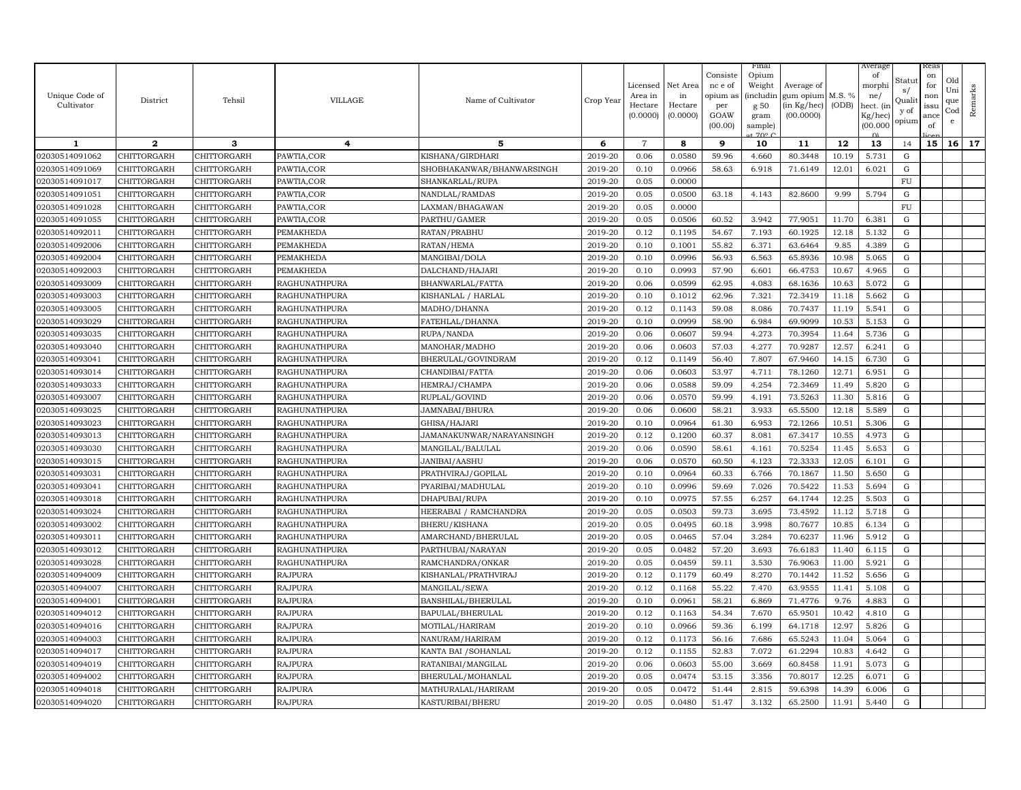| Unique Code of<br>Cultivator | District       | Tehsil             | VILLAGE        | Name of Cultivator        | Crop Year | Licensed<br>Area in<br>Hectare<br>(0.0000) | Net Area<br>in<br>Hectare<br>(0.0000) | Consiste<br>nc e of<br>opium as<br>per<br>GOAW<br>(00.00) | Final<br>Opium<br>Weight<br><i>(includin</i><br>g 50<br>gram<br>sample]<br>$70^\circ$ | Average of<br>gum opium M.S. %<br>(in Kg/hec)<br>(00.0000) | (ODB) | Averag<br>of<br>morphi<br>ne/<br>hect. (in<br>Kg/hec)<br>(00.000) | Statut<br>s/<br>Quali<br>y of<br>opium | on<br>for<br>noi<br>isst<br>ance<br>of | Old<br>Uni<br>que | Remarks |
|------------------------------|----------------|--------------------|----------------|---------------------------|-----------|--------------------------------------------|---------------------------------------|-----------------------------------------------------------|---------------------------------------------------------------------------------------|------------------------------------------------------------|-------|-------------------------------------------------------------------|----------------------------------------|----------------------------------------|-------------------|---------|
| -1                           | $\overline{2}$ | 3                  | 4              | 5                         | 6         | $\overline{7}$                             | 8                                     | 9                                                         | 10                                                                                    | 11                                                         | 12    | 13                                                                | 14                                     | 15                                     | 16                | 17      |
| 02030514091062               | CHITTORGARH    | CHITTORGARH        | PAWTIA, COR    | KISHANA/GIRDHARI          | 2019-20   | 0.06                                       | 0.0580                                | 59.96                                                     | 4.660                                                                                 | 80.3448                                                    | 10.19 | 5.731                                                             | G                                      |                                        |                   |         |
| 02030514091069               | CHITTORGARH    | CHITTORGARH        | PAWTIA, COR    | SHOBHAKANWAR/BHANWARSINGH | 2019-20   | 0.10                                       | 0.0966                                | 58.63                                                     | 6.918                                                                                 | 71.6149                                                    | 12.01 | 6.021                                                             | G                                      |                                        |                   |         |
| 02030514091017               | CHITTORGARH    | CHITTORGARH        | PAWTIA, COR    | SHANKARLAL/RUPA           | 2019-20   | 0.05                                       | 0.0000                                |                                                           |                                                                                       |                                                            |       |                                                                   | ${\rm FU}$                             |                                        |                   |         |
| 02030514091051               | CHITTORGARH    | CHITTORGARH        | PAWTIA, COR    | NANDLAL/RAMDAS            | 2019-20   | 0.05                                       | 0.0500                                | 63.18                                                     | 4.143                                                                                 | 82.8600                                                    | 9.99  | 5.794                                                             | ${\rm G}$                              |                                        |                   |         |
| 02030514091028               | CHITTORGARH    | CHITTORGARH        | PAWTIA, COR    | LAXMAN/BHAGAWAN           | 2019-20   | 0.05                                       | 0.0000                                |                                                           |                                                                                       |                                                            |       |                                                                   | FU                                     |                                        |                   |         |
| 02030514091055               | CHITTORGARH    | CHITTORGARH        | PAWTIA,COR     | PARTHU/GAMER              | 2019-20   | 0.05                                       | 0.0506                                | 60.52                                                     | 3.942                                                                                 | 77.9051                                                    | 11.70 | 6.381                                                             | G                                      |                                        |                   |         |
| 02030514092011               | CHITTORGARH    | CHITTORGARH        | PEMAKHEDA      | RATAN/PRABHU              | 2019-20   | 0.12                                       | 0.1195                                | 54.67                                                     | 7.193                                                                                 | 60.1925                                                    | 12.18 | 5.132                                                             | ${\rm G}$                              |                                        |                   |         |
| 02030514092006               | CHITTORGARH    | CHITTORGARH        | PEMAKHEDA      | RATAN/HEMA                | 2019-20   | 0.10                                       | 0.1001                                | 55.82                                                     | 6.371                                                                                 | 63.6464                                                    | 9.85  | 4.389                                                             | G                                      |                                        |                   |         |
| 02030514092004               | CHITTORGARH    | CHITTORGARH        | PEMAKHEDA      | MANGIBAI/DOLA             | 2019-20   | 0.10                                       | 0.0996                                | 56.93                                                     | 6.563                                                                                 | 65.8936                                                    | 10.98 | 5.065                                                             | ${\rm G}$                              |                                        |                   |         |
| 02030514092003               | CHITTORGARH    | CHITTORGARH        | PEMAKHEDA      | DALCHAND/HAJARI           | 2019-20   | 0.10                                       | 0.0993                                | 57.90                                                     | 6.601                                                                                 | 66.4753                                                    | 10.67 | 4.965                                                             | G                                      |                                        |                   |         |
| 02030514093009               | CHITTORGARH    | CHITTORGARH        | RAGHUNATHPURA  | BHANWARLAL/FATTA          | 2019-20   | 0.06                                       | 0.0599                                | 62.95                                                     | 4.083                                                                                 | 68.1636                                                    | 10.63 | 5.072                                                             | G                                      |                                        |                   |         |
| 02030514093003               | CHITTORGARH    | CHITTORGARH        | RAGHUNATHPURA  | KISHANLAL / HARLAL        | 2019-20   | 0.10                                       | 0.1012                                | 62.96                                                     | 7.321                                                                                 | 72.3419                                                    | 11.18 | 5.662                                                             | ${\rm G}$                              |                                        |                   |         |
| 02030514093005               | CHITTORGARH    | CHITTORGARH        | RAGHUNATHPURA  | MADHO/DHANNA              | 2019-20   | 0.12                                       | 0.1143                                | 59.08                                                     | 8.086                                                                                 | 70.7437                                                    | 11.19 | 5.541                                                             | ${\rm G}$                              |                                        |                   |         |
| 02030514093029               | CHITTORGARH    | CHITTORGARH        | RAGHUNATHPURA  | FATEHLAL/DHANNA           | 2019-20   | 0.10                                       | 0.0999                                | 58.90                                                     | 6.984                                                                                 | 69.9099                                                    | 10.53 | 5.153                                                             | G                                      |                                        |                   |         |
| 02030514093035               | CHITTORGARH    | CHITTORGARH        | RAGHUNATHPURA  | RUPA/NANDA                | 2019-20   | 0.06                                       | 0.0607                                | 59.94                                                     | 4.273                                                                                 | 70.3954                                                    | 11.64 | 5.736                                                             | ${\rm G}$                              |                                        |                   |         |
| 02030514093040               | CHITTORGARH    | CHITTORGARH        | RAGHUNATHPURA  | MANOHAR/MADHO             | 2019-20   | 0.06                                       | 0.0603                                | 57.03                                                     | 4.277                                                                                 | 70.9287                                                    | 12.57 | 6.241                                                             | ${\rm G}$                              |                                        |                   |         |
| 02030514093041               | CHITTORGARH    | CHITTORGARH        | RAGHUNATHPURA  | BHERULAL/GOVINDRAM        | 2019-20   | 0.12                                       | 0.1149                                | 56.40                                                     | 7.807                                                                                 | 67.9460                                                    | 14.15 | 6.730                                                             | G                                      |                                        |                   |         |
| 02030514093014               | CHITTORGARH    | CHITTORGARH        | RAGHUNATHPURA  | CHANDIBAI/FATTA           | 2019-20   | 0.06                                       | 0.0603                                | 53.97                                                     | 4.711                                                                                 | 78.1260                                                    | 12.71 | 6.951                                                             | G                                      |                                        |                   |         |
| 02030514093033               | CHITTORGARH    | CHITTORGARH        | RAGHUNATHPURA  | HEMRAJ/CHAMPA             | 2019-20   | 0.06                                       | 0.0588                                | 59.09                                                     | 4.254                                                                                 | 72.3469                                                    | 11.49 | 5.820                                                             | $\mathbf G$                            |                                        |                   |         |
| 02030514093007               | CHITTORGARH    | CHITTORGARH        | RAGHUNATHPURA  | RUPLAL/GOVIND             | 2019-20   | 0.06                                       | 0.0570                                | 59.99                                                     | 4.191                                                                                 | 73.5263                                                    | 11.30 | 5.816                                                             | $\mathbf G$                            |                                        |                   |         |
| 02030514093025               | CHITTORGARH    | CHITTORGARH        | RAGHUNATHPURA  | JAMNABAI/BHURA            | 2019-20   | 0.06                                       | 0.0600                                | 58.21                                                     | 3.933                                                                                 | 65.5500                                                    | 12.18 | 5.589                                                             | G                                      |                                        |                   |         |
| 02030514093023               | CHITTORGARH    | CHITTORGARH        | RAGHUNATHPURA  | GHISA/HAJARI              | 2019-20   | 0.10                                       | 0.0964                                | 61.30                                                     | 6.953                                                                                 | 72.1266                                                    | 10.51 | 5.306                                                             | G                                      |                                        |                   |         |
| 02030514093013               | CHITTORGARH    | CHITTORGARH        | RAGHUNATHPURA  | JAMANAKUNWAR/NARAYANSINGH | 2019-20   | 0.12                                       | 0.1200                                | 60.37                                                     | 8.081                                                                                 | 67.3417                                                    | 10.55 | 4.973                                                             | G                                      |                                        |                   |         |
| 02030514093030               | CHITTORGARH    | CHITTORGARH        | RAGHUNATHPURA  | MANGILAL/BALULAL          | 2019-20   | 0.06                                       | 0.0590                                | 58.61                                                     | 4.161                                                                                 | 70.5254                                                    | 11.45 | 5.653                                                             | ${\rm G}$                              |                                        |                   |         |
| 02030514093015               | CHITTORGARH    | CHITTORGARH        | RAGHUNATHPURA  | JANIBAI/AASHU             | 2019-20   | 0.06                                       | 0.0570                                | 60.50                                                     | 4.123                                                                                 | 72.3333                                                    | 12.05 | 6.101                                                             | ${\rm G}$                              |                                        |                   |         |
| 02030514093031               | CHITTORGARH    | <b>CHITTORGARH</b> | RAGHUNATHPURA  | PRATHVIRAJ/GOPILAL        | 2019-20   | 0.10                                       | 0.0964                                | 60.33                                                     | 6.766                                                                                 | 70.1867                                                    | 11.50 | 5.650                                                             | G                                      |                                        |                   |         |
| 02030514093041               | CHITTORGARH    | CHITTORGARH        | RAGHUNATHPURA  | PYARIBAI/MADHULAL         | 2019-20   | 0.10                                       | 0.0996                                | 59.69                                                     | 7.026                                                                                 | 70.5422                                                    | 11.53 | 5.694                                                             | ${\rm G}$                              |                                        |                   |         |
| 02030514093018               | CHITTORGARH    | CHITTORGARH        | RAGHUNATHPURA  | DHAPUBAI/RUPA             | 2019-20   | 0.10                                       | 0.0975                                | 57.55                                                     | 6.257                                                                                 | 64.1744                                                    | 12.25 | 5.503                                                             | ${\rm G}$                              |                                        |                   |         |
| 02030514093024               | CHITTORGARH    | CHITTORGARH        | RAGHUNATHPURA  | HEERABAI / RAMCHANDRA     | 2019-20   | 0.05                                       | 0.0503                                | 59.73                                                     | 3.695                                                                                 | 73.4592                                                    | 11.12 | 5.718                                                             | G                                      |                                        |                   |         |
| 02030514093002               | CHITTORGARH    | CHITTORGARH        | RAGHUNATHPURA  | <b>BHERU/KISHANA</b>      | 2019-20   | 0.05                                       | 0.0495                                | 60.18                                                     | 3.998                                                                                 | 80.7677                                                    | 10.85 | 6.134                                                             | $\mathbf G$                            |                                        |                   |         |
| 02030514093011               | CHITTORGARH    | CHITTORGARH        | RAGHUNATHPURA  | AMARCHAND/BHERULAL        | 2019-20   | 0.05                                       | 0.0465                                | 57.04                                                     | 3.284                                                                                 | 70.6237                                                    | 11.96 | 5.912                                                             | ${\rm G}$                              |                                        |                   |         |
| 02030514093012               | CHITTORGARH    | CHITTORGARH        | RAGHUNATHPURA  | PARTHUBAI/NARAYAN         | 2019-20   | 0.05                                       | 0.0482                                | 57.20                                                     | 3.693                                                                                 | 76.6183                                                    | 11.40 | 6.115                                                             | ${\rm G}$                              |                                        |                   |         |
| 02030514093028               | CHITTORGARH    | CHITTORGARH        | RAGHUNATHPURA  | RAMCHANDRA/ONKAR          | 2019-20   | 0.05                                       | 0.0459                                | 59.11                                                     | 3.530                                                                                 | 76.9063                                                    | 11.00 | 5.921                                                             | ${\rm G}$                              |                                        |                   |         |
| 02030514094009               | CHITTORGARH    | CHITTORGARH        | <b>RAJPURA</b> | KISHANLAL/PRATHVIRAJ      | 2019-20   | 0.12                                       | 0.1179                                | 60.49                                                     | 8.270                                                                                 | 70.1442                                                    | 11.52 | 5.656                                                             | G                                      |                                        |                   |         |
| 02030514094007               | CHITTORGARH    | CHITTORGARH        | <b>RAJPURA</b> | MANGILAL/SEWA             | 2019-20   | 0.12                                       | 0.1168                                | 55.22                                                     | 7.470                                                                                 | 63.9555                                                    | 11.41 | 5.108                                                             | $\mathbf G$                            |                                        |                   |         |
| 02030514094001               | CHITTORGARH    | CHITTORGARH        | <b>RAJPURA</b> | BANSHILAL/BHERULAL        | 2019-20   | 0.10                                       | 0.0961                                | 58.21                                                     | 6.869                                                                                 | 71.4776                                                    | 9.76  | 4.883                                                             | G                                      |                                        |                   |         |
| 02030514094012               | CHITTORGARH    | CHITTORGARH        | RAJPURA        | BAPULAL/BHERULAL          | 2019-20   | 0.12                                       | 0.1163                                | 54.34                                                     | 7.670                                                                                 | 65.9501                                                    | 10.42 | 4.810                                                             | G                                      |                                        |                   |         |
| 02030514094016               | CHITTORGARH    | CHITTORGARH        | RAJPURA        | MOTILAL/HARIRAM           | 2019-20   | 0.10                                       | 0.0966                                | 59.36                                                     | 6.199                                                                                 | 64.1718                                                    | 12.97 | 5.826                                                             | G                                      |                                        |                   |         |
| 02030514094003               | CHITTORGARH    | CHITTORGARH        | RAJPURA        | NANURAM/HARIRAM           | 2019-20   | 0.12                                       | 0.1173                                | 56.16                                                     | 7.686                                                                                 | 65.5243                                                    | 11.04 | 5.064                                                             | G                                      |                                        |                   |         |
| 02030514094017               | CHITTORGARH    | CHITTORGARH        | RAJPURA        | KANTA BAI / SOHANLAL      | 2019-20   | 0.12                                       | 0.1155                                | 52.83                                                     | 7.072                                                                                 | 61.2294                                                    | 10.83 | 4.642                                                             | G                                      |                                        |                   |         |
| 02030514094019               | CHITTORGARH    | CHITTORGARH        | <b>RAJPURA</b> | RATANIBAI/MANGILAL        | 2019-20   | 0.06                                       | 0.0603                                | 55.00                                                     | 3.669                                                                                 | 60.8458                                                    | 11.91 | 5.073                                                             | G                                      |                                        |                   |         |
| 02030514094002               | CHITTORGARH    | CHITTORGARH        | RAJPURA        | BHERULAL/MOHANLAL         | 2019-20   | 0.05                                       | 0.0474                                | 53.15                                                     | 3.356                                                                                 | 70.8017                                                    | 12.25 | 6.071                                                             | G                                      |                                        |                   |         |
| 02030514094018               | CHITTORGARH    | CHITTORGARH        | <b>RAJPURA</b> | MATHURALAL/HARIRAM        | 2019-20   | 0.05                                       | 0.0472                                | 51.44                                                     | 2.815                                                                                 | 59.6398                                                    | 14.39 | 6.006                                                             | ${\rm G}$                              |                                        |                   |         |
| 02030514094020               | CHITTORGARH    | CHITTORGARH        | <b>RAJPURA</b> | KASTURIBAI/BHERU          | 2019-20   | 0.05                                       | 0.0480                                | 51.47                                                     | 3.132                                                                                 | 65.2500                                                    | 11.91 | 5.440                                                             | ${\rm G}$                              |                                        |                   |         |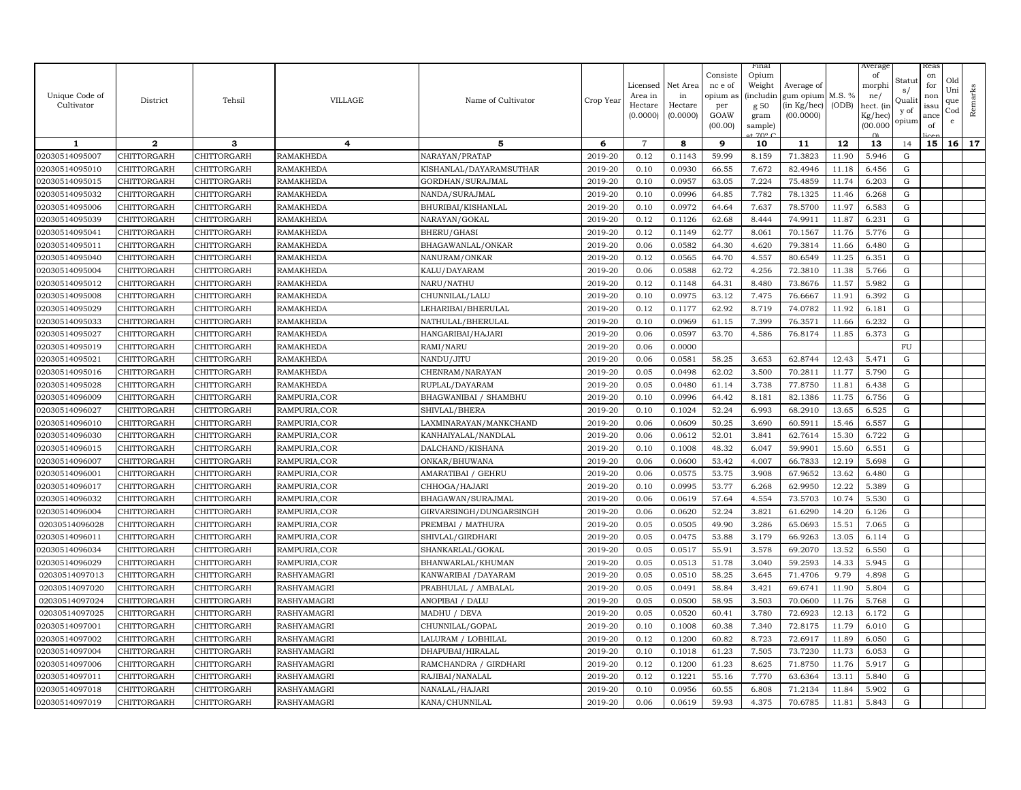| Unique Code of<br>Cultivator | District       | Tehsil             | VILLAGE       | Name of Cultivator      | Crop Year | Licensed<br>Area in<br>Hectare<br>(0.0000) | Net Area<br>in<br>Hectare<br>(0.0000) | Consiste<br>nc e of<br>opium as<br>per<br>GOAW<br>(00.00) | Final<br>Opium<br>Weight<br><i>(includin</i><br>g 50<br>gram<br>sample]<br>70° | Average of<br>gum opium<br>(in Kg/hec)<br>(00.0000) | M.S. %<br>(ODB) | Averag<br>of<br>morphi<br>ne/<br>hect. (in<br>Kg/hec)<br>(00.000) | Statut<br>s/<br>Quali<br>y of<br>opium | on<br>for<br>nor<br>isst<br>ance<br>of | Dld<br>Uni<br>que<br>Cod | Remarks |
|------------------------------|----------------|--------------------|---------------|-------------------------|-----------|--------------------------------------------|---------------------------------------|-----------------------------------------------------------|--------------------------------------------------------------------------------|-----------------------------------------------------|-----------------|-------------------------------------------------------------------|----------------------------------------|----------------------------------------|--------------------------|---------|
| -1                           | $\overline{2}$ | з                  | 4             | 5                       | 6         | $\overline{7}$                             | 8                                     | 9                                                         | 10                                                                             | 11                                                  | 12              | 13                                                                | 14                                     | 15                                     | 16 <sup>1</sup>          | 17      |
| 02030514095007               | CHITTORGARH    | CHITTORGARH        | RAMAKHEDA     | NARAYAN/PRATAP          | 2019-20   | 0.12                                       | 0.1143                                | 59.99                                                     | 8.159                                                                          | 71.3823                                             | 11.90           | 5.946                                                             | G                                      |                                        |                          |         |
| 02030514095010               | CHITTORGARH    | CHITTORGARH        | RAMAKHEDA     | KISHANLAL/DAYARAMSUTHAR | 2019-20   | 0.10                                       | 0.0930                                | 66.55                                                     | 7.672                                                                          | 82.4946                                             | 11.18           | 6.456                                                             | G                                      |                                        |                          |         |
| 02030514095015               | CHITTORGARH    | CHITTORGARH        | RAMAKHEDA     | GORDHAN/SURAJMAL        | 2019-20   | 0.10                                       | 0.0957                                | 63.05                                                     | 7.224                                                                          | 75.4859                                             | 11.74           | 6.203                                                             | G                                      |                                        |                          |         |
| 02030514095032               | CHITTORGARH    | CHITTORGARH        | RAMAKHEDA     | NANDA/SURAJMAL          | 2019-20   | 0.10                                       | 0.0996                                | 64.85                                                     | 7.782                                                                          | 78.1325                                             | 11.46           | 6.268                                                             | ${\rm G}$                              |                                        |                          |         |
| 02030514095006               | CHITTORGARH    | CHITTORGARH        | RAMAKHEDA     | BHURIBAI/KISHANLAL      | 2019-20   | 0.10                                       | 0.0972                                | 64.64                                                     | 7.637                                                                          | 78.5700                                             | 11.97           | 6.583                                                             | G                                      |                                        |                          |         |
| 02030514095039               | CHITTORGARH    | CHITTORGARH        | RAMAKHEDA     | NARAYAN/GOKAL           | 2019-20   | 0.12                                       | 0.1126                                | 62.68                                                     | 8.444                                                                          | 74.9911                                             | 11.87           | 6.231                                                             | G                                      |                                        |                          |         |
| 02030514095041               | CHITTORGARH    | CHITTORGARH        | RAMAKHEDA     | BHERU/GHASI             | 2019-20   | 0.12                                       | 0.1149                                | 62.77                                                     | 8.061                                                                          | 70.1567                                             | 11.76           | 5.776                                                             | ${\rm G}$                              |                                        |                          |         |
| 02030514095011               | CHITTORGARH    | CHITTORGARH        | RAMAKHEDA     | BHAGAWANLAL/ONKAR       | 2019-20   | 0.06                                       | 0.0582                                | 64.30                                                     | 4.620                                                                          | 79.3814                                             | 11.66           | 6.480                                                             | G                                      |                                        |                          |         |
| 02030514095040               | CHITTORGARH    | CHITTORGARH        | RAMAKHEDA     | NANURAM/ONKAR           | 2019-20   | 0.12                                       | 0.0565                                | 64.70                                                     | 4.557                                                                          | 80.6549                                             | 11.25           | 6.351                                                             | ${\rm G}$                              |                                        |                          |         |
| 02030514095004               | CHITTORGARH    | CHITTORGARH        | RAMAKHEDA     | KALU/DAYARAM            | 2019-20   | 0.06                                       | 0.0588                                | 62.72                                                     | 4.256                                                                          | 72.3810                                             | 11.38           | 5.766                                                             | G                                      |                                        |                          |         |
| 02030514095012               | CHITTORGARH    | CHITTORGARH        | RAMAKHEDA     | NARU/NATHU              | 2019-20   | 0.12                                       | 0.1148                                | 64.31                                                     | 8.480                                                                          | 73.8676                                             | 11.57           | 5.982                                                             | ${\rm G}$                              |                                        |                          |         |
| 02030514095008               | CHITTORGARH    | CHITTORGARH        | RAMAKHEDA     | CHUNNILAL/LALU          | 2019-20   | 0.10                                       | 0.0975                                | 63.12                                                     | 7.475                                                                          | 76.6667                                             | 11.91           | 6.392                                                             | ${\rm G}$                              |                                        |                          |         |
| 02030514095029               | CHITTORGARH    | CHITTORGARH        | RAMAKHEDA     | LEHARIBAI/BHERULAL      | 2019-20   | 0.12                                       | 0.1177                                | 62.92                                                     | 8.719                                                                          | 74.0782                                             | 11.92           | 6.181                                                             | ${\rm G}$                              |                                        |                          |         |
| 02030514095033               | CHITTORGARH    | CHITTORGARH        | RAMAKHEDA     | NATHULAL/BHERULAL       | 2019-20   | 0.10                                       | 0.0969                                | 61.15                                                     | 7.399                                                                          | 76.3571                                             | 11.66           | 6.232                                                             | $\mathbf G$                            |                                        |                          |         |
| 02030514095027               | CHITTORGARH    | CHITTORGARH        | RAMAKHEDA     | HANGARIBAI/HAJARI       | 2019-20   | 0.06                                       | 0.0597                                | 63.70                                                     | 4.586                                                                          | 76.8174                                             | 11.85           | 6.373                                                             | ${\rm G}$                              |                                        |                          |         |
| 02030514095019               | CHITTORGARH    | CHITTORGARH        | RAMAKHEDA     | RAMI/NARU               | 2019-20   | 0.06                                       | 0.0000                                |                                                           |                                                                                |                                                     |                 |                                                                   | ${\rm FU}$                             |                                        |                          |         |
| 02030514095021               | CHITTORGARH    | CHITTORGARH        | RAMAKHEDA     | NANDU/JITU              | 2019-20   | 0.06                                       | 0.0581                                | 58.25                                                     | 3.653                                                                          | 62.8744                                             | 12.43           | 5.471                                                             | G                                      |                                        |                          |         |
| 02030514095016               | CHITTORGARH    | CHITTORGARH        | RAMAKHEDA     | CHENRAM/NARAYAN         | 2019-20   | 0.05                                       | 0.0498                                | 62.02                                                     | 3.500                                                                          | 70.2811                                             | 11.77           | 5.790                                                             | G                                      |                                        |                          |         |
| 02030514095028               | CHITTORGARH    | CHITTORGARH        | RAMAKHEDA     | RUPLAL/DAYARAM          | 2019-20   | 0.05                                       | 0.0480                                | 61.14                                                     | 3.738                                                                          | 77.8750                                             | 11.81           | 6.438                                                             | $\mathbf G$                            |                                        |                          |         |
| 02030514096009               | CHITTORGARH    | CHITTORGARH        | RAMPURIA, COR | BHAGWANIBAI / SHAMBHU   | 2019-20   | 0.10                                       | 0.0996                                | 64.42                                                     | 8.181                                                                          | 82.1386                                             | 11.75           | 6.756                                                             | $\mathbf G$                            |                                        |                          |         |
| 02030514096027               | CHITTORGARH    | CHITTORGARH        | RAMPURIA, COR | SHIVLAL/BHERA           | 2019-20   | 0.10                                       | 0.1024                                | 52.24                                                     | 6.993                                                                          | 68.2910                                             | 13.65           | 6.525                                                             | G                                      |                                        |                          |         |
| 02030514096010               | CHITTORGARH    | CHITTORGARH        | RAMPURIA, COR | LAXMINARAYAN/MANKCHAND  | 2019-20   | 0.06                                       | 0.0609                                | 50.25                                                     | 3.690                                                                          | 60.5911                                             | 15.46           | 6.557                                                             | G                                      |                                        |                          |         |
| 02030514096030               | CHITTORGARH    | CHITTORGARH        | RAMPURIA,COR  | KANHAIYALAL/NANDLAL     | 2019-20   | 0.06                                       | 0.0612                                | 52.01                                                     | 3.841                                                                          | 62.7614                                             | 15.30           | 6.722                                                             | G                                      |                                        |                          |         |
| 02030514096015               | CHITTORGARH    | CHITTORGARH        | RAMPURIA, COR | DALCHAND/KISHANA        | 2019-20   | 0.10                                       | 0.1008                                | 48.32                                                     | 6.047                                                                          | 59.9901                                             | 15.60           | 6.551                                                             | ${\rm G}$                              |                                        |                          |         |
| 02030514096007               | CHITTORGARH    | CHITTORGARH        | RAMPURIA,COR  | ONKAR/BHUWANA           | 2019-20   | 0.06                                       | 0.0600                                | 53.42                                                     | 4.007                                                                          | 66.7833                                             | 12.19           | 5.698                                                             | ${\rm G}$                              |                                        |                          |         |
| 02030514096001               | CHITTORGARH    | <b>CHITTORGARH</b> | RAMPURIA, COR | AMARATIBAI / GEHRU      | 2019-20   | 0.06                                       | 0.0575                                | 53.75                                                     | 3.908                                                                          | 67.9652                                             | 13.62           | 6.480                                                             | G                                      |                                        |                          |         |
| 02030514096017               | CHITTORGARH    | CHITTORGARH        | RAMPURIA,COR  | CHHOGA/HAJARI           | 2019-20   | 0.10                                       | 0.0995                                | 53.77                                                     | 6.268                                                                          | 62.9950                                             | 12.22           | 5.389                                                             | ${\rm G}$                              |                                        |                          |         |
| 02030514096032               | CHITTORGARH    | CHITTORGARH        | RAMPURIA, COR | BHAGAWAN/SURAJMAL       | 2019-20   | 0.06                                       | 0.0619                                | 57.64                                                     | 4.554                                                                          | 73.5703                                             | 10.74           | 5.530                                                             | ${\rm G}$                              |                                        |                          |         |
| 02030514096004               | CHITTORGARH    | CHITTORGARH        | RAMPURIA, COR | GIRVARSINGH/DUNGARSINGH | 2019-20   | 0.06                                       | 0.0620                                | 52.24                                                     | 3.821                                                                          | 61.6290                                             | 14.20           | 6.126                                                             | G                                      |                                        |                          |         |
| 02030514096028               | CHITTORGARH    | CHITTORGARH        | RAMPURIA,COR  | PREMBAI / MATHURA       | 2019-20   | 0.05                                       | 0.0505                                | 49.90                                                     | 3.286                                                                          | 65.0693                                             | 15.51           | 7.065                                                             | $\mathbf G$                            |                                        |                          |         |
| 02030514096011               | CHITTORGARH    | CHITTORGARH        | RAMPURIA, COR | SHIVLAL/GIRDHARI        | 2019-20   | 0.05                                       | 0.0475                                | 53.88                                                     | 3.179                                                                          | 66.9263                                             | 13.05           | 6.114                                                             | ${\rm G}$                              |                                        |                          |         |
| 02030514096034               | CHITTORGARH    | CHITTORGARH        | RAMPURIA, COR | SHANKARLAL/GOKAL        | 2019-20   | 0.05                                       | 0.0517                                | 55.91                                                     | 3.578                                                                          | 69.2070                                             | 13.52           | 6.550                                                             | ${\rm G}$                              |                                        |                          |         |
| 02030514096029               | CHITTORGARH    | CHITTORGARH        | RAMPURIA, COR | BHANWARLAL/KHUMAN       | 2019-20   | 0.05                                       | 0.0513                                | 51.78                                                     | 3.040                                                                          | 59.2593                                             | 14.33           | 5.945                                                             | ${\rm G}$                              |                                        |                          |         |
| 02030514097013               | CHITTORGARH    | CHITTORGARH        | RASHYAMAGRI   | KANWARIBAI /DAYARAM     | 2019-20   | 0.05                                       | 0.0510                                | 58.25                                                     | 3.645                                                                          | 71.4706                                             | 9.79            | 4.898                                                             | G                                      |                                        |                          |         |
| 02030514097020               | CHITTORGARH    | CHITTORGARH        | RASHYAMAGRI   | PRABHULAL / AMBALAL     | 2019-20   | 0.05                                       | 0.0491                                | 58.84                                                     | 3.421                                                                          | 69.6741                                             | 11.90           | 5.804                                                             | $\mathbf G$                            |                                        |                          |         |
| 02030514097024               | CHITTORGARH    | CHITTORGARH        | RASHYAMAGRI   | ANOPIBAI / DALU         | 2019-20   | 0.05                                       | 0.0500                                | 58.95                                                     | 3.503                                                                          | 70.0600                                             | 11.76           | 5.768                                                             | G                                      |                                        |                          |         |
| 02030514097025               | CHITTORGARH    | CHITTORGARH        | RASHYAMAGRI   | MADHU / DEVA            | 2019-20   | 0.05                                       | 0.0520                                | 60.41                                                     | 3.780                                                                          | 72.6923                                             | 12.13           | 6.172                                                             | G                                      |                                        |                          |         |
| 02030514097001               | CHITTORGARH    | CHITTORGARH        | RASHYAMAGRI   | CHUNNILAL/GOPAL         | 2019-20   | 0.10                                       | 0.1008                                | 60.38                                                     | 7.340                                                                          | 72.8175                                             | 11.79           | 6.010                                                             | G                                      |                                        |                          |         |
| 02030514097002               | CHITTORGARH    | CHITTORGARH        | RASHYAMAGRI   | LALURAM / LOBHILAL      | 2019-20   | 0.12                                       | 0.1200                                | 60.82                                                     | 8.723                                                                          | 72.6917                                             | 11.89           | 6.050                                                             | G                                      |                                        |                          |         |
| 02030514097004               | CHITTORGARH    | CHITTORGARH        | RASHYAMAGRI   | DHAPUBAI/HIRALAL        | 2019-20   | 0.10                                       | 0.1018                                | 61.23                                                     | 7.505                                                                          | 73.7230                                             | 11.73           | 6.053                                                             | G                                      |                                        |                          |         |
| 02030514097006               | CHITTORGARH    | CHITTORGARH        | RASHYAMAGRI   | RAMCHANDRA / GIRDHARI   | 2019-20   | 0.12                                       | 0.1200                                | 61.23                                                     | 8.625                                                                          | 71.8750                                             | 11.76           | 5.917                                                             | G                                      |                                        |                          |         |
| 02030514097011               | CHITTORGARH    | CHITTORGARH        | RASHYAMAGRI   | RAJIBAI/NANALAL         | 2019-20   | 0.12                                       | 0.1221                                | 55.16                                                     | 7.770                                                                          | 63.6364                                             | 13.11           | 5.840                                                             | G                                      |                                        |                          |         |
| 02030514097018               | CHITTORGARH    | CHITTORGARH        | RASHYAMAGRI   | NANALAL/HAJARI          | 2019-20   | 0.10                                       | 0.0956                                | 60.55                                                     | 6.808                                                                          | 71.2134                                             | 11.84           | 5.902                                                             | ${\rm G}$                              |                                        |                          |         |
| 02030514097019               | CHITTORGARH    | CHITTORGARH        | RASHYAMAGRI   | KANA/CHUNNILAL          | 2019-20   | 0.06                                       | 0.0619                                | 59.93                                                     | 4.375                                                                          | 70.6785                                             | 11.81           | 5.843                                                             | ${\rm G}$                              |                                        |                          |         |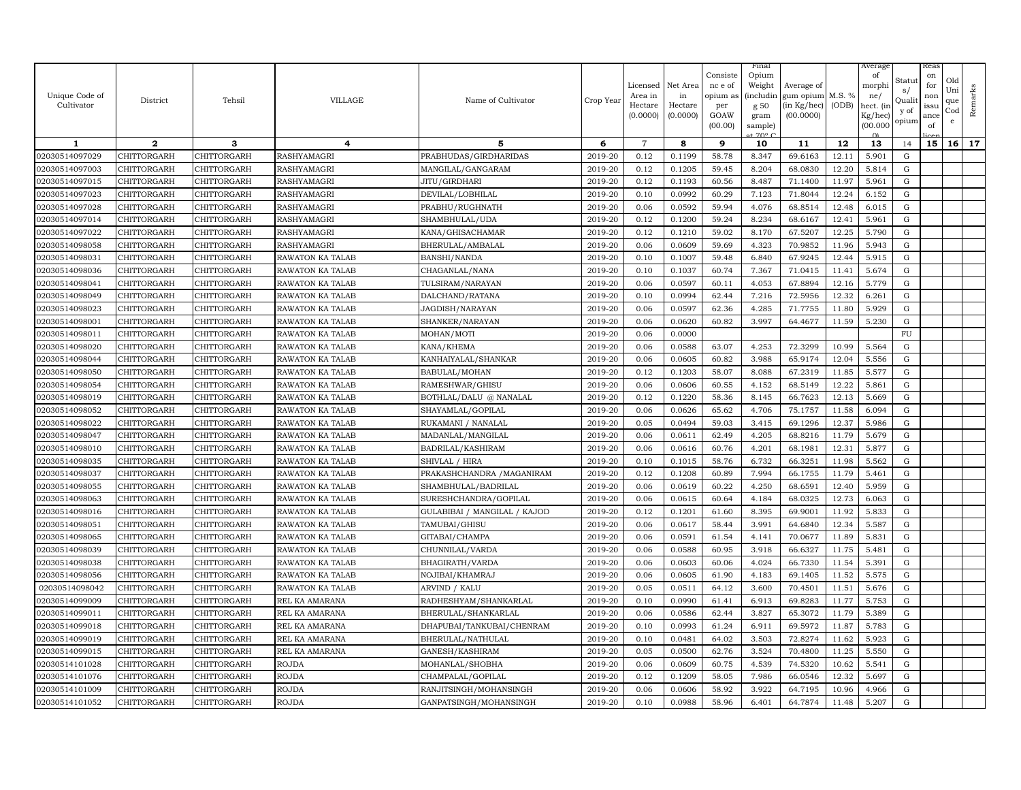| Unique Code of<br>Cultivator | District       | Tehsil      | VILLAGE          | Name of Cultivator           | Crop Year | Licensed<br>Area in<br>Hectare<br>(0.0000) | Net Area<br>in<br>Hectare<br>(0.0000) | Consiste<br>nc e of<br>opium as<br>per<br>GOAW<br>(00.00) | Final<br>Opium<br>Weight<br><i>(includin</i><br>g 50<br>gram<br>sample]<br>70° | Average of<br>gum opium M.S. %<br>(in Kg/hec)<br>(00.0000) | (ODB) | <i><u><b>Werage</b></u></i><br>of<br>morphi<br>ne/<br>aect. (ir<br>Kg/hec)<br>(00.000) | Statu<br>s/<br>Quali<br>y of<br>opium | on<br>for<br>noi<br>isst<br>ance<br>of | bIC<br>Uni<br>que | Remarks |
|------------------------------|----------------|-------------|------------------|------------------------------|-----------|--------------------------------------------|---------------------------------------|-----------------------------------------------------------|--------------------------------------------------------------------------------|------------------------------------------------------------|-------|----------------------------------------------------------------------------------------|---------------------------------------|----------------------------------------|-------------------|---------|
| 1                            | $\overline{a}$ | 3           | 4                | 5                            | 6         | $\overline{7}$                             | 8                                     | 9                                                         | 10                                                                             | 11                                                         | 12    | 13                                                                                     | 14                                    | 15                                     | 16                | 17      |
| 02030514097029               | CHITTORGARH    | CHITTORGARH | RASHYAMAGRI      | PRABHUDAS/GIRDHARIDAS        | 2019-20   | 0.12                                       | 0.1199                                | 58.78                                                     | 8.347                                                                          | 69.6163                                                    | 12.11 | 5.901                                                                                  | G                                     |                                        |                   |         |
| 02030514097003               | CHITTORGARH    | CHITTORGARH | RASHYAMAGRI      | MANGILAL/GANGARAM            | 2019-20   | 0.12                                       | 0.1205                                | 59.45                                                     | 8.204                                                                          | 68.0830                                                    | 12.20 | 5.814                                                                                  | G                                     |                                        |                   |         |
| 02030514097015               | CHITTORGARH    | CHITTORGARH | RASHYAMAGRI      | JITU/GIRDHARI                | 2019-20   | 0.12                                       | 0.1193                                | 60.56                                                     | 8.487                                                                          | 71.1400                                                    | 11.97 | 5.961                                                                                  | G                                     |                                        |                   |         |
| 02030514097023               | CHITTORGARH    | CHITTORGARH | RASHYAMAGRI      | DEVILAL/LOBHILAL             | 2019-20   | 0.10                                       | 0.0992                                | 60.29                                                     | 7.123                                                                          | 71.8044                                                    | 12.24 | 6.152                                                                                  | G                                     |                                        |                   |         |
| 02030514097028               | CHITTORGARH    | CHITTORGARH | RASHYAMAGRI      | PRABHU/RUGHNATH              | 2019-20   | 0.06                                       | 0.0592                                | 59.94                                                     | 4.076                                                                          | 68.8514                                                    | 12.48 | 6.015                                                                                  | ${\rm G}$                             |                                        |                   |         |
| 02030514097014               | CHITTORGARH    | CHITTORGARH | RASHYAMAGRI      | SHAMBHULAL/UDA               | 2019-20   | 0.12                                       | 0.1200                                | 59.24                                                     | 8.234                                                                          | 68.6167                                                    | 12.41 | 5.961                                                                                  | G                                     |                                        |                   |         |
| 02030514097022               | CHITTORGARH    | CHITTORGARH | RASHYAMAGRI      | KANA/GHISACHAMAR             | 2019-20   | 0.12                                       | 0.1210                                | 59.02                                                     | 8.170                                                                          | 67.5207                                                    | 12.25 | 5.790                                                                                  | G                                     |                                        |                   |         |
| 02030514098058               | CHITTORGARH    | CHITTORGARH | RASHYAMAGRI      | BHERULAL/AMBALAL             | 2019-20   | 0.06                                       | 0.0609                                | 59.69                                                     | 4.323                                                                          | 70.9852                                                    | 11.96 | 5.943                                                                                  | G                                     |                                        |                   |         |
| 02030514098031               | CHITTORGARH    | CHITTORGARH | RAWATON KA TALAB | BANSHI/NANDA                 | 2019-20   | 0.10                                       | 0.1007                                | 59.48                                                     | 6.840                                                                          | 67.9245                                                    | 12.44 | 5.915                                                                                  | G                                     |                                        |                   |         |
| 02030514098036               | CHITTORGARH    | CHITTORGARH | RAWATON KA TALAB | CHAGANLAL/NANA               | 2019-20   | 0.10                                       | 0.1037                                | 60.74                                                     | 7.367                                                                          | 71.0415                                                    | 11.41 | 5.674                                                                                  | G                                     |                                        |                   |         |
| 02030514098041               | CHITTORGARH    | CHITTORGARH | RAWATON KA TALAB | TULSIRAM/NARAYAN             | 2019-20   | 0.06                                       | 0.0597                                | 60.11                                                     | 4.053                                                                          | 67.8894                                                    | 12.16 | 5.779                                                                                  | ${\rm G}$                             |                                        |                   |         |
| 02030514098049               | CHITTORGARH    | CHITTORGARH | RAWATON KA TALAB | DALCHAND/RATANA              | 2019-20   | 0.10                                       | 0.0994                                | 62.44                                                     | 7.216                                                                          | 72.5956                                                    | 12.32 | 6.261                                                                                  | G                                     |                                        |                   |         |
| 02030514098023               | CHITTORGARH    | CHITTORGARH | RAWATON KA TALAB | JAGDISH/NARAYAN              | 2019-20   | 0.06                                       | 0.0597                                | 62.36                                                     | 4.285                                                                          | 71.7755                                                    | 11.80 | 5.929                                                                                  | ${\rm G}$                             |                                        |                   |         |
| 02030514098001               | CHITTORGARH    | CHITTORGARH | RAWATON KA TALAB | SHANKER/NARAYAN              | 2019-20   | 0.06                                       | 0.0620                                | 60.82                                                     | 3.997                                                                          | 64.4677                                                    | 11.59 | 5.230                                                                                  | G                                     |                                        |                   |         |
| 02030514098011               | CHITTORGARH    | CHITTORGARH | RAWATON KA TALAB | MOHAN/MOTI                   | 2019-20   | 0.06                                       | 0.0000                                |                                                           |                                                                                |                                                            |       |                                                                                        | FU                                    |                                        |                   |         |
| 02030514098020               | CHITTORGARH    | CHITTORGARH | RAWATON KA TALAB | KANA/KHEMA                   | 2019-20   | 0.06                                       | 0.0588                                | 63.07                                                     | 4.253                                                                          | 72.3299                                                    | 10.99 | 5.564                                                                                  | ${\rm G}$                             |                                        |                   |         |
| 02030514098044               | CHITTORGARH    | CHITTORGARH | RAWATON KA TALAB | KANHAIYALAL/SHANKAR          | 2019-20   | 0.06                                       | 0.0605                                | 60.82                                                     | 3.988                                                                          | 65.9174                                                    | 12.04 | 5.556                                                                                  | $\mathbf G$                           |                                        |                   |         |
| 02030514098050               | CHITTORGARH    | CHITTORGARH | RAWATON KA TALAB | BABULAL/MOHAN                | 2019-20   | 0.12                                       | 0.1203                                | 58.07                                                     | 8.088                                                                          | 67.2319                                                    | 11.85 | 5.577                                                                                  | G                                     |                                        |                   |         |
| 02030514098054               | CHITTORGARH    | CHITTORGARH | RAWATON KA TALAB | RAMESHWAR/GHISU              | 2019-20   | 0.06                                       | 0.0606                                | 60.55                                                     | 4.152                                                                          | 68.5149                                                    | 12.22 | 5.861                                                                                  | ${\rm G}$                             |                                        |                   |         |
| 02030514098019               | CHITTORGARH    | CHITTORGARH | RAWATON KA TALAB | BOTHLAL/DALU @ NANALAL       | 2019-20   | 0.12                                       | 0.1220                                | 58.36                                                     | 8.145                                                                          | 66.7623                                                    | 12.13 | 5.669                                                                                  | G                                     |                                        |                   |         |
| 02030514098052               | CHITTORGARH    | CHITTORGARH | RAWATON KA TALAB | SHAYAMLAL/GOPILAL            | 2019-20   | 0.06                                       | 0.0626                                | 65.62                                                     | 4.706                                                                          | 75.1757                                                    | 11.58 | 6.094                                                                                  | G                                     |                                        |                   |         |
| 02030514098022               | CHITTORGARH    | CHITTORGARH | RAWATON KA TALAB | RUKAMANI / NANALAL           | 2019-20   | 0.05                                       | 0.0494                                | 59.03                                                     | 3.415                                                                          | 69.1296                                                    | 12.37 | 5.986                                                                                  | G                                     |                                        |                   |         |
| 02030514098047               | CHITTORGARH    | CHITTORGARH | RAWATON KA TALAB | MADANLAL/MANGILAL            | 2019-20   | 0.06                                       | 0.0611                                | 62.49                                                     | 4.205                                                                          | 68.8216                                                    | 11.79 | 5.679                                                                                  | G                                     |                                        |                   |         |
| 02030514098010               | CHITTORGARH    | CHITTORGARH | RAWATON KA TALAB | BADRILAL/KASHIRAM            | 2019-20   | 0.06                                       | 0.0616                                | 60.76                                                     | 4.201                                                                          | 68.1981                                                    | 12.31 | 5.877                                                                                  | ${\rm G}$                             |                                        |                   |         |
| 02030514098035               | CHITTORGARH    | CHITTORGARH | RAWATON KA TALAB | SHIVLAL / HIRA               | 2019-20   | 0.10                                       | 0.1015                                | 58.76                                                     | 6.732                                                                          | 66.3251                                                    | 11.98 | 5.562                                                                                  | ${\rm G}$                             |                                        |                   |         |
| 02030514098037               | CHITTORGARH    | CHITTORGARH | RAWATON KA TALAB | PRAKASHCHANDRA / MAGANIRAM   | 2019-20   | 0.12                                       | 0.1208                                | 60.89                                                     | 7.994                                                                          | 66.1755                                                    | 11.79 | 5.461                                                                                  | G                                     |                                        |                   |         |
| 02030514098055               | CHITTORGARH    | CHITTORGARH | RAWATON KA TALAB | SHAMBHULAL/BADRILAL          | 2019-20   | 0.06                                       | 0.0619                                | 60.22                                                     | 4.250                                                                          | 68.6591                                                    | 12.40 | 5.959                                                                                  | ${\rm G}$                             |                                        |                   |         |
| 02030514098063               | CHITTORGARH    | CHITTORGARH | RAWATON KA TALAB | SURESHCHANDRA/GOPILAL        | 2019-20   | 0.06                                       | 0.0615                                | 60.64                                                     | 4.184                                                                          | 68.0325                                                    | 12.73 | 6.063                                                                                  | ${\rm G}$                             |                                        |                   |         |
| 02030514098016               | CHITTORGARH    | CHITTORGARH | RAWATON KA TALAB | GULABIBAI / MANGILAL / KAJOD | 2019-20   | 0.12                                       | 0.1201                                | 61.60                                                     | 8.395                                                                          | 69.9001                                                    | 11.92 | 5.833                                                                                  | ${\rm G}$                             |                                        |                   |         |
| 02030514098051               | CHITTORGARH    | CHITTORGARH | RAWATON KA TALAB | TAMUBAI/GHISU                | 2019-20   | 0.06                                       | 0.0617                                | 58.44                                                     | 3.991                                                                          | 64.6840                                                    | 12.34 | 5.587                                                                                  | G                                     |                                        |                   |         |
| 02030514098065               | CHITTORGARH    | CHITTORGARH | RAWATON KA TALAB | GITABAI/CHAMPA               | 2019-20   | 0.06                                       | 0.0591                                | 61.54                                                     | 4.141                                                                          | 70.0677                                                    | 11.89 | 5.831                                                                                  | ${\rm G}$                             |                                        |                   |         |
| 02030514098039               | CHITTORGARH    | CHITTORGARH | RAWATON KA TALAB | CHUNNILAL/VARDA              | 2019-20   | 0.06                                       | 0.0588                                | 60.95                                                     | 3.918                                                                          | 66.6327                                                    | 11.75 | 5.481                                                                                  | ${\rm G}$                             |                                        |                   |         |
| 02030514098038               | CHITTORGARH    | CHITTORGARH | RAWATON KA TALAB | BHAGIRATH/VARDA              | 2019-20   | 0.06                                       | 0.0603                                | 60.06                                                     | 4.024                                                                          | 66.7330                                                    | 11.54 | 5.391                                                                                  | G                                     |                                        |                   |         |
| 02030514098056               | CHITTORGARH    | CHITTORGARH | RAWATON KA TALAB | NOJIBAI/KHAMRAJ              | 2019-20   | 0.06                                       | 0.0605                                | 61.90                                                     | 4.183                                                                          | 69.1405                                                    | 11.52 | 5.575                                                                                  | G                                     |                                        |                   |         |
| 02030514098042               | CHITTORGARH    | CHITTORGARH | RAWATON KA TALAB | ARVIND / KALU                | 2019-20   | 0.05                                       | 0.0511                                | 64.12                                                     | 3.600                                                                          | 70.4501                                                    | 11.51 | 5.676                                                                                  | $\mathbf G$                           |                                        |                   |         |
| 02030514099009               | CHITTORGARH    | CHITTORGARH | REL KA AMARANA   | RADHESHYAM/SHANKARLAL        | 2019-20   | 0.10                                       | 0.0990                                | 61.41                                                     | 6.913                                                                          | 69.8283                                                    | 11.77 | 5.753                                                                                  | G                                     |                                        |                   |         |
| 02030514099011               | CHITTORGARH    | CHITTORGARH | REL KA AMARANA   | BHERULAL/SHANKARLAL          | 2019-20   | 0.06                                       | 0.0586                                | 62.44                                                     | 3.827                                                                          | 65.3072                                                    | 11.79 | 5.389                                                                                  | G                                     |                                        |                   |         |
| 02030514099018               | CHITTORGARH    | CHITTORGARH | REL KA AMARANA   | DHAPUBAI/TANKUBAI/CHENRAM    | 2019-20   | 0.10                                       | 0.0993                                | 61.24                                                     | 6.911                                                                          | 69.5972                                                    | 11.87 | 5.783                                                                                  | G                                     |                                        |                   |         |
| 02030514099019               | CHITTORGARH    | CHITTORGARH | REL KA AMARANA   | BHERULAL/NATHULAL            | 2019-20   | 0.10                                       | 0.0481                                | 64.02                                                     | 3.503                                                                          | 72.8274                                                    | 11.62 | 5.923                                                                                  | G                                     |                                        |                   |         |
| 02030514099015               | CHITTORGARH    | CHITTORGARH | REL KA AMARANA   | GANESH/KASHIRAM              | 2019-20   | 0.05                                       | 0.0500                                | 62.76                                                     | 3.524                                                                          | 70.4800                                                    | 11.25 | 5.550                                                                                  | G                                     |                                        |                   |         |
| 02030514101028               | CHITTORGARH    | CHITTORGARH | <b>ROJDA</b>     | MOHANLAL/SHOBHA              | 2019-20   | 0.06                                       | 0.0609                                | 60.75                                                     | 4.539                                                                          | 74.5320                                                    | 10.62 | 5.541                                                                                  | G                                     |                                        |                   |         |
| 02030514101076               | CHITTORGARH    | CHITTORGARH | <b>ROJDA</b>     | CHAMPALAL/GOPILAL            | 2019-20   | 0.12                                       | 0.1209                                | 58.05                                                     | 7.986                                                                          | 66.0546                                                    | 12.32 | 5.697                                                                                  | G                                     |                                        |                   |         |
| 02030514101009               | CHITTORGARH    | CHITTORGARH | <b>ROJDA</b>     | RANJITSINGH/MOHANSINGH       | 2019-20   | 0.06                                       | 0.0606                                | 58.92                                                     | 3.922                                                                          | 64.7195                                                    | 10.96 | 4.966                                                                                  | ${\rm G}$                             |                                        |                   |         |
| 02030514101052               | CHITTORGARH    | CHITTORGARH | <b>ROJDA</b>     | GANPATSINGH/MOHANSINGH       | 2019-20   | 0.10                                       | 0.0988                                | 58.96                                                     | 6.401                                                                          | 64.7874                                                    | 11.48 | 5.207                                                                                  | ${\rm G}$                             |                                        |                   |         |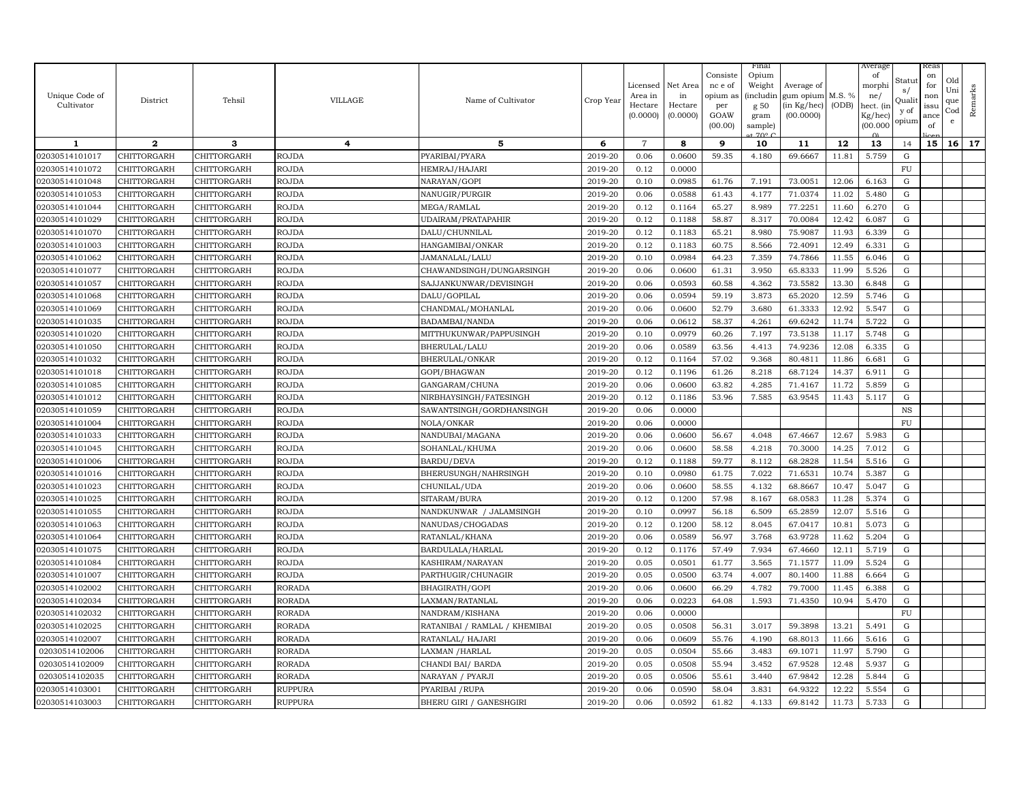| Unique Code of<br>Cultivator | District       | Tehsil             | VILLAGE        | Name of Cultivator            | Crop Year | Licensed<br>Area in<br>Hectare<br>(0.0000) | Net Area<br>in<br>Hectare<br>(0.0000) | Consiste<br>nc e of<br>opium as<br>per<br>GOAW<br>(00.00) | Final<br>Opium<br>Weight<br><i>(includin</i><br>g 50<br>gram<br>sample]<br>$70^\circ$ | Average of<br>gum opium M.S. %<br>(in Kg/hec)<br>(00.0000) | (ODB) | Averag<br>of<br>morphi<br>ne/<br>hect. (in<br>Kg/hec)<br>(00.000) | Statut<br>s/<br>Quali<br>y of<br>opium | on<br>for<br>nor<br>isst<br>ance<br>of | Old<br>Uni<br>que<br>Cod | Remarks |
|------------------------------|----------------|--------------------|----------------|-------------------------------|-----------|--------------------------------------------|---------------------------------------|-----------------------------------------------------------|---------------------------------------------------------------------------------------|------------------------------------------------------------|-------|-------------------------------------------------------------------|----------------------------------------|----------------------------------------|--------------------------|---------|
|                              | $\overline{2}$ | з                  | 4              | 5                             | 6         | $\overline{7}$                             | 8                                     | 9                                                         | 10                                                                                    | 11                                                         | 12    | 13                                                                | 14                                     | 15                                     | 16                       | 17      |
| 02030514101017               | CHITTORGARH    | CHITTORGARH        | ROJDA          | PYARIBAI/PYARA                | 2019-20   | 0.06                                       | 0.0600                                | 59.35                                                     | 4.180                                                                                 | 69.6667                                                    | 11.81 | 5.759                                                             | ${\rm G}$                              |                                        |                          |         |
| 02030514101072               | CHITTORGARH    | CHITTORGARH        | ROJDA          | HEMRAJ/HAJARI                 | 2019-20   | 0.12                                       | 0.0000                                |                                                           |                                                                                       |                                                            |       |                                                                   | ${\rm FU}$                             |                                        |                          |         |
| 02030514101048               | CHITTORGARH    | CHITTORGARH        | ROJDA          | NARAYAN/GOPI                  | 2019-20   | 0.10                                       | 0.0985                                | 61.76                                                     | 7.191                                                                                 | 73.0051                                                    | 12.06 | 6.163                                                             | G                                      |                                        |                          |         |
| 02030514101053               | CHITTORGARH    | CHITTORGARH        | ROJDA          | NANUGIR/PURGIR                | 2019-20   | 0.06                                       | 0.0588                                | 61.43                                                     | 4.177                                                                                 | 71.0374                                                    | 11.02 | 5.480                                                             | ${\rm G}$                              |                                        |                          |         |
| 02030514101044               | CHITTORGARH    | CHITTORGARH        | ROJDA          | MEGA/RAMLAL                   | 2019-20   | 0.12                                       | 0.1164                                | 65.27                                                     | 8.989                                                                                 | 77.2251                                                    | 11.60 | 6.270                                                             | G                                      |                                        |                          |         |
| 02030514101029               | CHITTORGARH    | CHITTORGARH        | ROJDA          | UDAIRAM/PRATAPAHIR            | 2019-20   | 0.12                                       | 0.1188                                | 58.87                                                     | 8.317                                                                                 | 70.0084                                                    | 12.42 | 6.087                                                             | G                                      |                                        |                          |         |
| 02030514101070               | CHITTORGARH    | CHITTORGARH        | ROJDA          | DALU/CHUNNILAL                | 2019-20   | 0.12                                       | 0.1183                                | 65.21                                                     | 8.980                                                                                 | 75.9087                                                    | 11.93 | 6.339                                                             | ${\rm G}$                              |                                        |                          |         |
| 02030514101003               | CHITTORGARH    | CHITTORGARH        | ROJDA          | HANGAMIBAI/ONKAR              | 2019-20   | 0.12                                       | 0.1183                                | 60.75                                                     | 8.566                                                                                 | 72.4091                                                    | 12.49 | 6.331                                                             | G                                      |                                        |                          |         |
| 02030514101062               | CHITTORGARH    | CHITTORGARH        | <b>ROJDA</b>   | JAMANALAL/LALU                | 2019-20   | 0.10                                       | 0.0984                                | 64.23                                                     | 7.359                                                                                 | 74.7866                                                    | 11.55 | 6.046                                                             | ${\rm G}$                              |                                        |                          |         |
| 02030514101077               | CHITTORGARH    | CHITTORGARH        | ROJDA          | CHAWANDSINGH/DUNGARSINGH      | 2019-20   | 0.06                                       | 0.0600                                | 61.31                                                     | 3.950                                                                                 | 65.8333                                                    | 11.99 | 5.526                                                             | G                                      |                                        |                          |         |
| 02030514101057               | CHITTORGARH    | CHITTORGARH        | ROJDA          | SAJJANKUNWAR/DEVISINGH        | 2019-20   | 0.06                                       | 0.0593                                | 60.58                                                     | 4.362                                                                                 | 73.5582                                                    | 13.30 | 6.848                                                             | ${\rm G}$                              |                                        |                          |         |
| 02030514101068               | CHITTORGARH    | CHITTORGARH        | ROJDA          | DALU/GOPILAL                  | 2019-20   | 0.06                                       | 0.0594                                | 59.19                                                     | 3.873                                                                                 | 65.2020                                                    | 12.59 | 5.746                                                             | ${\rm G}$                              |                                        |                          |         |
| 02030514101069               | CHITTORGARH    | CHITTORGARH        | ROJDA          | CHANDMAL/MOHANLAL             | 2019-20   | 0.06                                       | 0.0600                                | 52.79                                                     | 3.680                                                                                 | 61.3333                                                    | 12.92 | 5.547                                                             | ${\rm G}$                              |                                        |                          |         |
| 02030514101035               | CHITTORGARH    | CHITTORGARH        | ROJDA          | BADAMBAI/NANDA                | 2019-20   | 0.06                                       | 0.0612                                | 58.37                                                     | 4.261                                                                                 | 69.6242                                                    | 11.74 | 5.722                                                             | ${\rm G}$                              |                                        |                          |         |
| 02030514101020               | CHITTORGARH    | CHITTORGARH        | ROJDA          | MITTHUKUNWAR/PAPPUSINGH       | 2019-20   | 0.10                                       | 0.0979                                | 60.26                                                     | 7.197                                                                                 | 73.5138                                                    | 11.17 | 5.748                                                             | ${\rm G}$                              |                                        |                          |         |
| 02030514101050               | CHITTORGARH    | CHITTORGARH        | ROJDA          | BHERULAL/LALU                 | 2019-20   | 0.06                                       | 0.0589                                | 63.56                                                     | 4.413                                                                                 | 74.9236                                                    | 12.08 | 6.335                                                             | ${\rm G}$                              |                                        |                          |         |
| 02030514101032               | CHITTORGARH    | CHITTORGARH        | ROJDA          | BHERULAL/ONKAR                | 2019-20   | 0.12                                       | 0.1164                                | 57.02                                                     | 9.368                                                                                 | 80.4811                                                    | 11.86 | 6.681                                                             | ${\rm G}$                              |                                        |                          |         |
| 02030514101018               | CHITTORGARH    | CHITTORGARH        | ROJDA          | GOPI/BHAGWAN                  | 2019-20   | 0.12                                       | 0.1196                                | 61.26                                                     | 8.218                                                                                 | 68.7124                                                    | 14.37 | 6.911                                                             | G                                      |                                        |                          |         |
| 02030514101085               | CHITTORGARH    | CHITTORGARH        | ROJDA          | GANGARAM/CHUNA                | 2019-20   | 0.06                                       | 0.0600                                | 63.82                                                     | 4.285                                                                                 | 71.4167                                                    | 11.72 | 5.859                                                             | ${\rm G}$                              |                                        |                          |         |
| 02030514101012               | CHITTORGARH    | CHITTORGARH        | ROJDA          | NIRBHAYSINGH/FATESINGH        | 2019-20   | 0.12                                       | 0.1186                                | 53.96                                                     | 7.585                                                                                 | 63.9545                                                    | 11.43 | 5.117                                                             | ${\rm G}$                              |                                        |                          |         |
| 02030514101059               | CHITTORGARH    | CHITTORGARH        | ROJDA          | SAWANTSINGH/GORDHANSINGH      | 2019-20   | 0.06                                       | 0.0000                                |                                                           |                                                                                       |                                                            |       |                                                                   | $_{\rm NS}$                            |                                        |                          |         |
| 02030514101004               | CHITTORGARH    | CHITTORGARH        | ROJDA          | NOLA/ONKAR                    | 2019-20   | 0.06                                       | 0.0000                                |                                                           |                                                                                       |                                                            |       |                                                                   | FU                                     |                                        |                          |         |
| 02030514101033               | CHITTORGARH    | CHITTORGARH        | ROJDA          | NANDUBAI/MAGANA               | 2019-20   | 0.06                                       | 0.0600                                | 56.67                                                     | 4.048                                                                                 | 67.4667                                                    | 12.67 | 5.983                                                             | G                                      |                                        |                          |         |
| 02030514101045               | CHITTORGARH    | CHITTORGARH        | ROJDA          | SOHANLAL/KHUMA                | 2019-20   | 0.06                                       | 0.0600                                | 58.58                                                     | 4.218                                                                                 | 70.3000                                                    | 14.25 | 7.012                                                             | ${\rm G}$                              |                                        |                          |         |
| 02030514101006               | CHITTORGARH    | CHITTORGARH        | ROJDA          | <b>BARDU/DEVA</b>             | 2019-20   | 0.12                                       | 0.1188                                | 59.77                                                     | 8.112                                                                                 | 68.2828                                                    | 11.54 | 5.516                                                             | ${\rm G}$                              |                                        |                          |         |
| 02030514101016               | CHITTORGARH    | <b>CHITTORGARH</b> | ROJDA          | BHERUSUNGH/NAHRSINGH          | 2019-20   | 0.10                                       | 0.0980                                | 61.75                                                     | 7.022                                                                                 | 71.6531                                                    | 10.74 | 5.387                                                             | G                                      |                                        |                          |         |
| 02030514101023               | CHITTORGARH    | CHITTORGARH        | ROJDA          | CHUNILAL/UDA                  | 2019-20   | 0.06                                       | 0.0600                                | 58.55                                                     | 4.132                                                                                 | 68.8667                                                    | 10.47 | 5.047                                                             | ${\rm G}$                              |                                        |                          |         |
| 02030514101025               | CHITTORGARH    | CHITTORGARH        | ROJDA          | SITARAM/BURA                  | 2019-20   | 0.12                                       | 0.1200                                | 57.98                                                     | 8.167                                                                                 | 68.0583                                                    | 11.28 | 5.374                                                             | ${\rm G}$                              |                                        |                          |         |
| 02030514101055               | CHITTORGARH    | CHITTORGARH        | ROJDA          | NANDKUNWAR / JALAMSINGH       | 2019-20   | 0.10                                       | 0.0997                                | 56.18                                                     | 6.509                                                                                 | 65.2859                                                    | 12.07 | 5.516                                                             | ${\rm G}$                              |                                        |                          |         |
| 02030514101063               | CHITTORGARH    | CHITTORGARH        | ROJDA          | NANUDAS/CHOGADAS              | 2019-20   | 0.12                                       | 0.1200                                | 58.12                                                     | 8.045                                                                                 | 67.0417                                                    | 10.81 | 5.073                                                             | $\mathbf G$                            |                                        |                          |         |
| 02030514101064               | CHITTORGARH    | CHITTORGARH        | ROJDA          | RATANLAL/KHANA                | 2019-20   | 0.06                                       | 0.0589                                | 56.97                                                     | 3.768                                                                                 | 63.9728                                                    | 11.62 | 5.204                                                             | ${\rm G}$                              |                                        |                          |         |
| 02030514101075               | CHITTORGARH    | CHITTORGARH        | ROJDA          | BARDULALA/HARLAL              | 2019-20   | 0.12                                       | 0.1176                                | 57.49                                                     | 7.934                                                                                 | 67.4660                                                    | 12.11 | 5.719                                                             | ${\rm G}$                              |                                        |                          |         |
| 02030514101084               | CHITTORGARH    | CHITTORGARH        | ROJDA          | KASHIRAM/NARAYAN              | 2019-20   | 0.05                                       | 0.0501                                | 61.77                                                     | 3.565                                                                                 | 71.1577                                                    | 11.09 | 5.524                                                             | ${\rm G}$                              |                                        |                          |         |
| 02030514101007               | CHITTORGARH    | CHITTORGARH        | ROJDA          | PARTHUGIR/CHUNAGIR            | 2019-20   | 0.05                                       | 0.0500                                | 63.74                                                     | 4.007                                                                                 | 80.1400                                                    | 11.88 | 6.664                                                             | G                                      |                                        |                          |         |
| 02030514102002               | CHITTORGARH    | CHITTORGARH        | RORADA         | BHAGIRATH/GOPI                | 2019-20   | 0.06                                       | 0.0600                                | 66.29                                                     | 4.782                                                                                 | 79.7000                                                    | 11.45 | 6.388                                                             | ${\rm G}$                              |                                        |                          |         |
| 02030514102034               | CHITTORGARH    | CHITTORGARH        | RORADA         | LAXMAN/RATANLAL               | 2019-20   | 0.06                                       | 0.0223                                | 64.08                                                     | 1.593                                                                                 | 71.4350                                                    | 10.94 | 5.470                                                             | G                                      |                                        |                          |         |
| 02030514102032               | CHITTORGARH    | CHITTORGARH        | RORADA         | NANDRAM/KISHANA               | 2019-20   | 0.06                                       | 0.0000                                |                                                           |                                                                                       |                                                            |       |                                                                   | FU                                     |                                        |                          |         |
| 02030514102025               | CHITTORGARH    | CHITTORGARH        | RORADA         | RATANIBAI / RAMLAL / KHEMIBAI | 2019-20   | 0.05                                       | 0.0508                                | 56.31                                                     | 3.017                                                                                 | 59.3898                                                    | 13.21 | 5.491                                                             | G                                      |                                        |                          |         |
| 02030514102007               | CHITTORGARH    | CHITTORGARH        | RORADA         | RATANLAL/ HAJARI              | 2019-20   | 0.06                                       | 0.0609                                | 55.76                                                     | 4.190                                                                                 | 68.8013                                                    | 11.66 | 5.616                                                             | G                                      |                                        |                          |         |
| 02030514102006               | CHITTORGARH    | CHITTORGARH        | RORADA         | LAXMAN /HARLAL                | 2019-20   | 0.05                                       | 0.0504                                | 55.66                                                     | 3.483                                                                                 | 69.1071                                                    | 11.97 | 5.790                                                             | G                                      |                                        |                          |         |
| 02030514102009               | CHITTORGARH    | CHITTORGARH        | RORADA         | CHANDI BAI/ BARDA             | 2019-20   | 0.05                                       | 0.0508                                | 55.94                                                     | 3.452                                                                                 | 67.9528                                                    | 12.48 | 5.937                                                             | G                                      |                                        |                          |         |
| 02030514102035               | CHITTORGARH    | CHITTORGARH        | RORADA         | NARAYAN / PYARJI              | 2019-20   | 0.05                                       | 0.0506                                | 55.61                                                     | 3.440                                                                                 | 67.9842                                                    | 12.28 | 5.844                                                             | G                                      |                                        |                          |         |
| 02030514103001               | CHITTORGARH    | CHITTORGARH        | <b>RUPPURA</b> | PYARIBAI / RUPA               | 2019-20   | 0.06                                       | 0.0590                                | 58.04                                                     | 3.831                                                                                 | 64.9322                                                    | 12.22 | 5.554                                                             | ${\rm G}$                              |                                        |                          |         |
| 02030514103003               | CHITTORGARH    | CHITTORGARH        | <b>RUPPURA</b> | BHERU GIRI / GANESHGIRI       | 2019-20   | 0.06                                       | 0.0592                                | 61.82                                                     | 4.133                                                                                 | 69.8142                                                    | 11.73 | 5.733                                                             | ${\rm G}$                              |                                        |                          |         |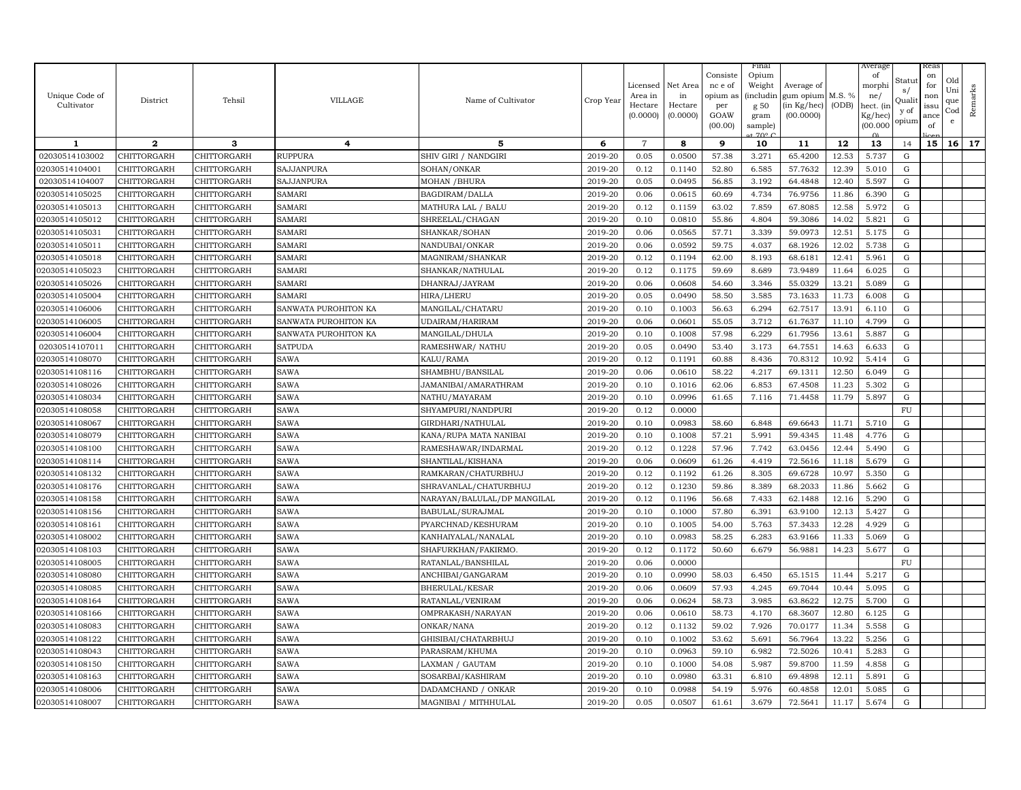| Unique Code of<br>Cultivator | District       | Tehsil      | VILLAGE              | Name of Cultivator          | Crop Year | Licensed<br>Area in<br>Hectare<br>(0.0000) | Net Area<br>in<br>Hectare<br>(0.0000) | Consiste<br>nc e of<br>opium as<br>per<br>GOAW<br>(00.00) | Final<br>Opium<br>Weight<br><i>(includin</i><br>g 50<br>gram<br>sample]<br>70° | Average of<br>gum opium M.S. %<br>(in Kg/hec)<br>(00.0000) | (ODB) | Averag<br>of<br>morphi<br>ne/<br>hect. (in<br>Kg/hec<br>(00.000) | Statut<br>s/<br>Quali<br>y of<br>opium | on<br>for<br>nor<br>isst<br>ance<br>of | Old<br>Uni<br>que<br>Cod | Remarks |
|------------------------------|----------------|-------------|----------------------|-----------------------------|-----------|--------------------------------------------|---------------------------------------|-----------------------------------------------------------|--------------------------------------------------------------------------------|------------------------------------------------------------|-------|------------------------------------------------------------------|----------------------------------------|----------------------------------------|--------------------------|---------|
| 1                            | $\overline{2}$ | 3           | 4                    | 5                           | 6         | $\overline{7}$                             | 8                                     | 9                                                         | 10                                                                             | 11                                                         | 12    | 13                                                               | 14                                     | 15                                     | 16 <sup>1</sup>          | 17      |
| 02030514103002               | CHITTORGARH    | CHITTORGARH | RUPPURA              | SHIV GIRI / NANDGIRI        | 2019-20   | 0.05                                       | 0.0500                                | 57.38                                                     | 3.271                                                                          | 65.4200                                                    | 12.53 | 5.737                                                            | ${\rm G}$                              |                                        |                          |         |
| 02030514104001               | CHITTORGARH    | CHITTORGARH | <b>SAJJANPURA</b>    | SOHAN/ONKAR                 | 2019-20   | 0.12                                       | 0.1140                                | 52.80                                                     | 6.585                                                                          | 57.7632                                                    | 12.39 | 5.010                                                            | G                                      |                                        |                          |         |
| 02030514104007               | CHITTORGARH    | CHITTORGARH | <b>SAJJANPURA</b>    | MOHAN / BHURA               | 2019-20   | 0.05                                       | 0.0495                                | 56.85                                                     | 3.192                                                                          | 64.4848                                                    | 12.40 | 5.597                                                            | G                                      |                                        |                          |         |
| 02030514105025               | CHITTORGARH    | CHITTORGARH | <b>SAMARI</b>        | BAGDIRAM/DALLA              | 2019-20   | 0.06                                       | 0.0615                                | 60.69                                                     | 4.734                                                                          | 76.9756                                                    | 11.86 | 6.390                                                            | G                                      |                                        |                          |         |
| 02030514105013               | CHITTORGARH    | CHITTORGARH | <b>SAMARI</b>        | MATHURA LAL / BALU          | 2019-20   | 0.12                                       | 0.1159                                | 63.02                                                     | 7.859                                                                          | 67.8085                                                    | 12.58 | 5.972                                                            | G                                      |                                        |                          |         |
| 02030514105012               | CHITTORGARH    | CHITTORGARH | SAMARI               | SHREELAL/CHAGAN             | 2019-20   | 0.10                                       | 0.0810                                | 55.86                                                     | 4.804                                                                          | 59.3086                                                    | 14.02 | 5.821                                                            | G                                      |                                        |                          |         |
| 02030514105031               | CHITTORGARH    | CHITTORGARH | SAMARI               | SHANKAR/SOHAN               | 2019-20   | 0.06                                       | 0.0565                                | 57.71                                                     | 3.339                                                                          | 59.0973                                                    | 12.51 | 5.175                                                            | G                                      |                                        |                          |         |
| 02030514105011               | CHITTORGARH    | CHITTORGARH | SAMARI               | NANDUBAI/ONKAR              | 2019-20   | 0.06                                       | 0.0592                                | 59.75                                                     | 4.037                                                                          | 68.1926                                                    | 12.02 | 5.738                                                            | G                                      |                                        |                          |         |
| 02030514105018               | CHITTORGARH    | CHITTORGARH | <b>SAMARI</b>        | MAGNIRAM/SHANKAR            | 2019-20   | 0.12                                       | 0.1194                                | 62.00                                                     | 8.193                                                                          | 68.6181                                                    | 12.41 | 5.961                                                            | G                                      |                                        |                          |         |
| 02030514105023               | CHITTORGARH    | CHITTORGARH | SAMARI               | SHANKAR/NATHULAL            | 2019-20   | 0.12                                       | 0.1175                                | 59.69                                                     | 8.689                                                                          | 73.9489                                                    | 11.64 | 6.025                                                            | ${\rm G}$                              |                                        |                          |         |
| 02030514105026               | CHITTORGARH    | CHITTORGARH | <b>SAMARI</b>        | DHANRAJ/JAYRAM              | 2019-20   | 0.06                                       | 0.0608                                | 54.60                                                     | 3.346                                                                          | 55.0329                                                    | 13.21 | 5.089                                                            | ${\rm G}$                              |                                        |                          |         |
| 02030514105004               | CHITTORGARH    | CHITTORGARH | SAMARI               | HIRA/LHERU                  | 2019-20   | 0.05                                       | 0.0490                                | 58.50                                                     | 3.585                                                                          | 73.1633                                                    | 11.73 | 6.008                                                            | G                                      |                                        |                          |         |
| 02030514106006               | CHITTORGARH    | CHITTORGARH | SANWATA PUROHITON KA | MANGILAL/CHATARU            | 2019-20   | 0.10                                       | 0.1003                                | 56.63                                                     | 6.294                                                                          | 62.7517                                                    | 13.91 | 6.110                                                            | ${\rm G}$                              |                                        |                          |         |
| 02030514106005               | CHITTORGARH    | CHITTORGARH | SANWATA PUROHITON KA | <b>JDAIRAM/HARIRAM</b>      | 2019-20   | 0.06                                       | 0.0601                                | 55.05                                                     | 3.712                                                                          | 61.7637                                                    | 11.10 | 4.799                                                            | ${\rm G}$                              |                                        |                          |         |
| 02030514106004               | CHITTORGARH    | CHITTORGARH | SANWATA PUROHITON KA | MANGILAL/DHULA              | 2019-20   | 0.10                                       | 0.1008                                | 57.98                                                     | 6.229                                                                          | 61.7956                                                    | 13.61 | 5.887                                                            | ${\rm G}$                              |                                        |                          |         |
| 02030514107011               | CHITTORGARH    | CHITTORGARH | SATPUDA              | RAMESHWAR/NATHU             | 2019-20   | 0.05                                       | 0.0490                                | 53.40                                                     | 3.173                                                                          | 64.7551                                                    | 14.63 | 6.633                                                            | ${\rm G}$                              |                                        |                          |         |
| 02030514108070               | CHITTORGARH    | CHITTORGARH | <b>SAWA</b>          | KALU/RAMA                   | 2019-20   | 0.12                                       | 0.1191                                | 60.88                                                     | 8.436                                                                          | 70.8312                                                    | 10.92 | 5.414                                                            | ${\rm G}$                              |                                        |                          |         |
| 02030514108116               | CHITTORGARH    | CHITTORGARH | <b>SAWA</b>          | SHAMBHU/BANSILAL            | 2019-20   | 0.06                                       | 0.0610                                | 58.22                                                     | 4.217                                                                          | 69.1311                                                    | 12.50 | 6.049                                                            | ${\rm G}$                              |                                        |                          |         |
| 02030514108026               | CHITTORGARH    | CHITTORGARH | SAWA                 | JAMANIBAI/AMARATHRAM        | 2019-20   | 0.10                                       | 0.1016                                | 62.06                                                     | 6.853                                                                          | 67.4508                                                    | 11.23 | 5.302                                                            | G                                      |                                        |                          |         |
| 02030514108034               | CHITTORGARH    | CHITTORGARH | SAWA                 | NATHU/MAYARAM               | 2019-20   | 0.10                                       | 0.0996                                | 61.65                                                     | 7.116                                                                          | 71.4458                                                    | 11.79 | 5.897                                                            | G                                      |                                        |                          |         |
| 02030514108058               | CHITTORGARH    | CHITTORGARH | <b>SAWA</b>          | SHYAMPURI/NANDPURI          | 2019-20   | 0.12                                       | 0.0000                                |                                                           |                                                                                |                                                            |       |                                                                  | FU                                     |                                        |                          |         |
| 02030514108067               | CHITTORGARH    | CHITTORGARH | SAWA                 | GIRDHARI/NATHULAL           | 2019-20   | 0.10                                       | 0.0983                                | 58.60                                                     | 6.848                                                                          | 69.6643                                                    | 11.71 | 5.710                                                            | ${\rm G}$                              |                                        |                          |         |
| 02030514108079               | CHITTORGARH    | CHITTORGARH | SAWA                 | KANA/RUPA MATA NANIBAI      | 2019-20   | 0.10                                       | 0.1008                                | 57.21                                                     | 5.991                                                                          | 59.4345                                                    | 11.48 | 4.776                                                            | ${\rm G}$                              |                                        |                          |         |
| 02030514108100               | CHITTORGARH    | CHITTORGARH | SAWA                 | RAMESHAWAR/INDARMAL         | 2019-20   | 0.12                                       | 0.1228                                | 57.96                                                     | 7.742                                                                          | 63.0456                                                    | 12.44 | 5.490                                                            | ${\rm G}$                              |                                        |                          |         |
| 02030514108114               | CHITTORGARH    | CHITTORGARH | <b>SAWA</b>          | SHANTILAL/KISHANA           | 2019-20   | 0.06                                       | 0.0609                                | 61.26                                                     | 4.419                                                                          | 72.5616                                                    | 11.18 | 5.679                                                            | G                                      |                                        |                          |         |
| 02030514108132               | CHITTORGARH    | CHITTORGARH | <b>SAWA</b>          | RAMKARAN/CHATURBHUJ         | 2019-20   | 0.12                                       | 0.1192                                | 61.26                                                     | 8.305                                                                          | 69.6728                                                    | 10.97 | 5.350                                                            | ${\rm G}$                              |                                        |                          |         |
| 02030514108176               | CHITTORGARH    | CHITTORGARH | SAWA                 | SHRAVANLAL/CHATURBHUJ       | 2019-20   | 0.12                                       | 0.1230                                | 59.86                                                     | 8.389                                                                          | 68.2033                                                    | 11.86 | 5.662                                                            | ${\rm G}$                              |                                        |                          |         |
| 02030514108158               | CHITTORGARH    | CHITTORGARH | SAWA                 | NARAYAN/BALULAL/DP MANGILAL | 2019-20   | 0.12                                       | 0.1196                                | 56.68                                                     | 7.433                                                                          | 62.1488                                                    | 12.16 | 5.290                                                            | ${\rm G}$                              |                                        |                          |         |
| 02030514108156               | CHITTORGARH    | CHITTORGARH | SAWA                 | BABULAL/SURAJMAL            | 2019-20   | 0.10                                       | 0.1000                                | 57.80                                                     | 6.391                                                                          | 63.9100                                                    | 12.13 | 5.427                                                            | G                                      |                                        |                          |         |
| 02030514108161               | CHITTORGARH    | CHITTORGARH | <b>SAWA</b>          | PYARCHNAD/KESHURAM          | 2019-20   | 0.10                                       | 0.1005                                | 54.00                                                     | 5.763                                                                          | 57.3433                                                    | 12.28 | 4.929                                                            | ${\rm G}$                              |                                        |                          |         |
| 02030514108002               | CHITTORGARH    | CHITTORGARH | SAWA                 | KANHAIYALAL/NANALAL         | 2019-20   | 0.10                                       | 0.0983                                | 58.25                                                     | 6.283                                                                          | 63.9166                                                    | 11.33 | 5.069                                                            | ${\rm G}$                              |                                        |                          |         |
| 02030514108103               | CHITTORGARH    | CHITTORGARH | SAWA                 | SHAFURKHAN/FAKIRMO          | 2019-20   | 0.12                                       | 0.1172                                | 50.60                                                     | 6.679                                                                          | 56.9881                                                    | 14.23 | 5.677                                                            | ${\rm G}$                              |                                        |                          |         |
| 02030514108005               | CHITTORGARH    | CHITTORGARH | SAWA                 | RATANLAL/BANSHILAL          | 2019-20   | 0.06                                       | 0.0000                                |                                                           |                                                                                |                                                            |       |                                                                  | ${\rm FU}$                             |                                        |                          |         |
| 02030514108080               | CHITTORGARH    | CHITTORGARH | <b>SAWA</b>          | ANCHIBAI/GANGARAM           | 2019-20   | 0.10                                       | 0.0990                                | 58.03                                                     | 6.450                                                                          | 65.1515                                                    | 11.44 | 5.217                                                            | G                                      |                                        |                          |         |
| 02030514108085               | CHITTORGARH    | CHITTORGARH | SAWA                 | <b>BHERULAL/KESAR</b>       | 2019-20   | 0.06                                       | 0.0609                                | 57.93                                                     | 4.245                                                                          | 69.7044                                                    | 10.44 | 5.095                                                            | ${\rm G}$                              |                                        |                          |         |
| 02030514108164               | CHITTORGARH    | CHITTORGARH | SAWA                 | RATANLAL/VENIRAM            | 2019-20   | 0.06                                       | 0.0624                                | 58.73                                                     | 3.985                                                                          | 63.8622                                                    | 12.75 | 5.700                                                            | G                                      |                                        |                          |         |
| 02030514108166               | CHITTORGARH    | CHITTORGARH | SAWA                 | OMPRAKASH/NARAYAN           | 2019-20   | 0.06                                       | 0.0610                                | 58.73                                                     | 4.170                                                                          | 68.3607                                                    | 12.80 | 6.125                                                            | G                                      |                                        |                          |         |
| 02030514108083               | CHITTORGARH    | CHITTORGARH | SAWA                 | ONKAR/NANA                  | 2019-20   | 0.12                                       | 0.1132                                | 59.02                                                     | 7.926                                                                          | 70.0177                                                    | 11.34 | 5.558                                                            | G                                      |                                        |                          |         |
| 02030514108122               | CHITTORGARH    | CHITTORGARH | <b>SAWA</b>          | GHISIBAI/CHATARBHUJ         | 2019-20   | 0.10                                       | 0.1002                                | 53.62                                                     | 5.691                                                                          | 56.7964                                                    | 13.22 | 5.256                                                            | ${\rm G}$                              |                                        |                          |         |
| 02030514108043               | CHITTORGARH    | CHITTORGARH | SAWA                 | PARASRAM/KHUMA              | 2019-20   | 0.10                                       | 0.0963                                | 59.10                                                     | 6.982                                                                          | 72.5026                                                    | 10.41 | 5.283                                                            | ${\rm G}$                              |                                        |                          |         |
| 02030514108150               | CHITTORGARH    | CHITTORGARH | <b>SAWA</b>          | LAXMAN / GAUTAM             | 2019-20   | 0.10                                       | 0.1000                                | 54.08                                                     | 5.987                                                                          | 59.8700                                                    | 11.59 | 4.858                                                            | G                                      |                                        |                          |         |
| 02030514108163               | CHITTORGARH    | CHITTORGARH | <b>SAWA</b>          | SOSARBAI/KASHIRAM           | 2019-20   | 0.10                                       | 0.0980                                | 63.31                                                     | 6.810                                                                          | 69.4898                                                    | 12.11 | 5.891                                                            | ${\rm G}$                              |                                        |                          |         |
| 02030514108006               | CHITTORGARH    | CHITTORGARH | <b>SAWA</b>          | DADAMCHAND / ONKAR          | 2019-20   | 0.10                                       | 0.0988                                | 54.19                                                     | 5.976                                                                          | 60.4858                                                    | 12.01 | 5.085                                                            | ${\rm G}$                              |                                        |                          |         |
| 02030514108007               | CHITTORGARH    | CHITTORGARH | SAWA                 | MAGNIBAI / MITHHULAL        | 2019-20   | 0.05                                       | 0.0507                                | 61.61                                                     | 3.679                                                                          | 72.5641                                                    | 11.17 | 5.674                                                            | ${\rm G}$                              |                                        |                          |         |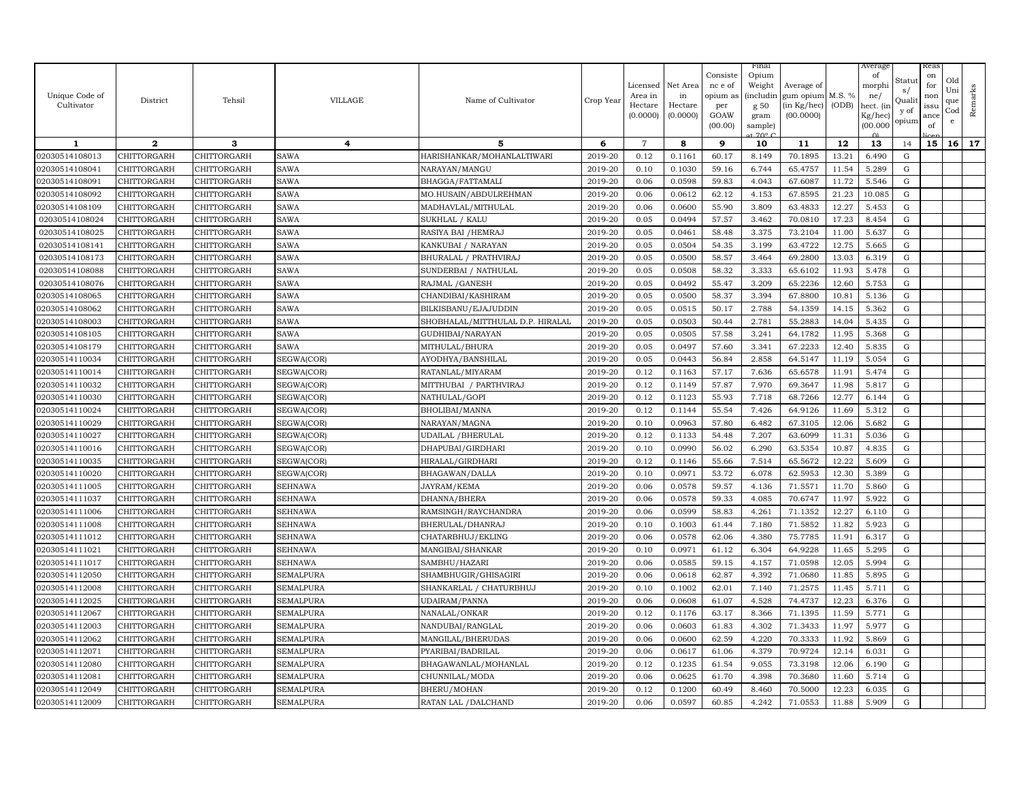| Unique Code of<br>Cultivator | District       | Tehsil      | VILLAGE          | Name of Cultivator               | Crop Year | Licensed<br>Area in<br>Hectare<br>(0.0000) | Net Area<br>in<br>Hectare<br>(0.0000) | Consiste<br>nc e of<br>opium as<br>per<br>GOAW<br>(00.00) | Final<br>Opium<br>Weight<br><i>(includin</i><br>g 50<br>gram<br>sample)<br>$70^\circ$ | Average of<br>gum opium M.S. %<br>(in Kg/hec)<br>(00.0000) | (ODB) | Averag<br>of<br>morphi<br>ne/<br>hect. (in<br>Kg/hec<br>(00.000) | Statut<br>s/<br>Quali<br>y of<br>opium | on<br>for<br>noi<br>isst<br>ance<br>of | Old<br>Uni<br>que<br>Cod | Remarks |
|------------------------------|----------------|-------------|------------------|----------------------------------|-----------|--------------------------------------------|---------------------------------------|-----------------------------------------------------------|---------------------------------------------------------------------------------------|------------------------------------------------------------|-------|------------------------------------------------------------------|----------------------------------------|----------------------------------------|--------------------------|---------|
|                              | $\overline{2}$ | з           | 4                | 5                                | 6         | $\overline{7}$                             | 8                                     | 9                                                         | 10                                                                                    | 11                                                         | 12    | 13                                                               | 14                                     | 15                                     | 16 <sup>1</sup>          | 17      |
| 02030514108013               | CHITTORGARH    | CHITTORGARH | SAWA             | HARISHANKAR/MOHANLALTIWARI       | 2019-20   | 0.12                                       | 0.1161                                | 60.17                                                     | 8.149                                                                                 | 70.1895                                                    | 13.21 | 6.490                                                            | G                                      |                                        |                          |         |
| 02030514108041               | CHITTORGARH    | CHITTORGARH | <b>SAWA</b>      | NARAYAN/MANGU                    | 2019-20   | 0.10                                       | 0.1030                                | 59.16                                                     | 6.744                                                                                 | 65.4757                                                    | 11.54 | 5.289                                                            | G                                      |                                        |                          |         |
| 02030514108091               | CHITTORGARH    | CHITTORGARH | <b>SAWA</b>      | BHAGGA/FATTAMALI                 | 2019-20   | 0.06                                       | 0.0598                                | 59.83                                                     | 4.043                                                                                 | 67.6087                                                    | 11.72 | 5.546                                                            | G                                      |                                        |                          |         |
| 02030514108092               | CHITTORGARH    | CHITTORGARH | <b>SAWA</b>      | MO.HUSAIN/ABDULREHMAN            | 2019-20   | 0.06                                       | 0.0612                                | 62.12                                                     | 4.153                                                                                 | 67.8595                                                    | 21.23 | 10.085                                                           | ${\rm G}$                              |                                        |                          |         |
| 02030514108109               | CHITTORGARH    | CHITTORGARH | <b>SAWA</b>      | MADHAVLAL/MITHULAL               | 2019-20   | 0.06                                       | 0.0600                                | 55.90                                                     | 3.809                                                                                 | 63.4833                                                    | 12.27 | 5.453                                                            | G                                      |                                        |                          |         |
| 02030514108024               | CHITTORGARH    | CHITTORGARH | SAWA             | SUKHLAL / KALU                   | 2019-20   | 0.05                                       | 0.0494                                | 57.57                                                     | 3.462                                                                                 | 70.0810                                                    | 17.23 | 8.454                                                            | G                                      |                                        |                          |         |
| 02030514108025               | CHITTORGARH    | CHITTORGARH | SAWA             | RASIYA BAI / HEMRAJ              | 2019-20   | 0.05                                       | 0.0461                                | 58.48                                                     | 3.375                                                                                 | 73.2104                                                    | 11.00 | 5.637                                                            | ${\rm G}$                              |                                        |                          |         |
| 02030514108141               | CHITTORGARH    | CHITTORGARH | SAWA             | KANKUBAI / NARAYAN               | 2019-20   | 0.05                                       | 0.0504                                | 54.35                                                     | 3.199                                                                                 | 63.4722                                                    | 12.75 | 5.665                                                            | G                                      |                                        |                          |         |
| 02030514108173               | CHITTORGARH    | CHITTORGARH | <b>SAWA</b>      | BHURALAL / PRATHVIRAJ            | 2019-20   | 0.05                                       | 0.0500                                | 58.57                                                     | 3.464                                                                                 | 69.2800                                                    | 13.03 | 6.319                                                            | ${\rm G}$                              |                                        |                          |         |
| 02030514108088               | CHITTORGARH    | CHITTORGARH | <b>SAWA</b>      | SUNDERBAI / NATHULAL             | 2019-20   | 0.05                                       | 0.0508                                | 58.32                                                     | 3.333                                                                                 | 65.6102                                                    | 11.93 | 5.478                                                            | G                                      |                                        |                          |         |
| 02030514108076               | CHITTORGARH    | CHITTORGARH | <b>SAWA</b>      | RAJMAL / GANESH                  | 2019-20   | 0.05                                       | 0.0492                                | 55.47                                                     | 3.209                                                                                 | 65.2236                                                    | 12.60 | 5.753                                                            | G                                      |                                        |                          |         |
| 02030514108065               | CHITTORGARH    | CHITTORGARH | <b>SAWA</b>      | CHANDIBAI/KASHIRAM               | 2019-20   | 0.05                                       | 0.0500                                | 58.37                                                     | 3.394                                                                                 | 67.8800                                                    | 10.81 | 5.136                                                            | ${\rm G}$                              |                                        |                          |         |
| 02030514108062               | CHITTORGARH    | CHITTORGARH | <b>SAWA</b>      | BILKISBANU/EJAJUDDIN             | 2019-20   | 0.05                                       | 0.0515                                | 50.17                                                     | 2.788                                                                                 | 54.1359                                                    | 14.15 | 5.362                                                            | ${\rm G}$                              |                                        |                          |         |
| 02030514108003               | CHITTORGARH    | CHITTORGARH | SAWA             | SHOBHALAL/MITTHULAL D.P. HIRALAL | 2019-20   | 0.05                                       | 0.0503                                | 50.44                                                     | 2.781                                                                                 | 55.2883                                                    | 14.04 | 5.435                                                            | G                                      |                                        |                          |         |
| 02030514108105               | CHITTORGARH    | CHITTORGARH | <b>SAWA</b>      | GUDHIBAI/NARAYAN                 | 2019-20   | 0.05                                       | 0.0505                                | 57.58                                                     | 3.241                                                                                 | 64.1782                                                    | 11.95 | 5.368                                                            | ${\rm G}$                              |                                        |                          |         |
| 02030514108179               | CHITTORGARH    | CHITTORGARH | <b>SAWA</b>      | MITHULAL/BHURA                   | 2019-20   | 0.05                                       | 0.0497                                | 57.60                                                     | 3.341                                                                                 | 67.2233                                                    | 12.40 | 5.835                                                            | ${\rm G}$                              |                                        |                          |         |
| 02030514110034               | CHITTORGARH    | CHITTORGARH | SEGWA(COR)       | AYODHYA/BANSHILAL                | 2019-20   | 0.05                                       | 0.0443                                | 56.84                                                     | 2.858                                                                                 | 64.5147                                                    | 11.19 | 5.054                                                            | $\mathbf G$                            |                                        |                          |         |
| 02030514110014               | CHITTORGARH    | CHITTORGARH | SEGWA(COR)       | RATANLAL/MIYARAM                 | 2019-20   | 0.12                                       | 0.1163                                | 57.17                                                     | 7.636                                                                                 | 65.6578                                                    | 11.91 | 5.474                                                            | G                                      |                                        |                          |         |
| 02030514110032               | CHITTORGARH    | CHITTORGARH | SEGWA(COR)       | MITTHUBAI / PARTHVIRAJ           | 2019-20   | 0.12                                       | 0.1149                                | 57.87                                                     | 7.970                                                                                 | 69.3647                                                    | 11.98 | 5.817                                                            | ${\rm G}$                              |                                        |                          |         |
| 02030514110030               | CHITTORGARH    | CHITTORGARH | SEGWA(COR)       | NATHULAL/GOPI                    | 2019-20   | 0.12                                       | 0.1123                                | 55.93                                                     | 7.718                                                                                 | 68.7266                                                    | 12.77 | 6.144                                                            | ${\bf G}$                              |                                        |                          |         |
| 02030514110024               | CHITTORGARH    | CHITTORGARH | SEGWA(COR)       | BHOLIBAI/MANNA                   | 2019-20   | 0.12                                       | 0.1144                                | 55.54                                                     | 7.426                                                                                 | 64.9126                                                    | 11.69 | 5.312                                                            | G                                      |                                        |                          |         |
| 02030514110029               | CHITTORGARH    | CHITTORGARH | SEGWA(COR)       | NARAYAN/MAGNA                    | 2019-20   | 0.10                                       | 0.0963                                | 57.80                                                     | 6.482                                                                                 | 67.3105                                                    | 12.06 | 5.682                                                            | G                                      |                                        |                          |         |
| 02030514110027               | CHITTORGARH    | CHITTORGARH | SEGWA(COR)       | UDAILAL /BHERULAL                | 2019-20   | 0.12                                       | 0.1133                                | 54.48                                                     | 7.207                                                                                 | 63.6099                                                    | 11.31 | 5.036                                                            | G                                      |                                        |                          |         |
| 02030514110016               | CHITTORGARH    | CHITTORGARH | SEGWA(COR)       | DHAPUBAI/GIRDHARI                | 2019-20   | 0.10                                       | 0.0990                                | 56.02                                                     | 6.290                                                                                 | 63.5354                                                    | 10.87 | 4.835                                                            | ${\rm G}$                              |                                        |                          |         |
| 02030514110035               | CHITTORGARH    | CHITTORGARH | SEGWA(COR)       | HIRALAL/GIRDHARI                 | 2019-20   | 0.12                                       | 0.1146                                | 55.66                                                     | 7.514                                                                                 | 65.5672                                                    | 12.22 | 5.609                                                            | ${\rm G}$                              |                                        |                          |         |
| 02030514110020               | CHITTORGARH    | CHITTORGARH | SEGWA(COR)       | BHAGAWAN/DALLA                   | 2019-20   | 0.10                                       | 0.0971                                | 53.72                                                     | 6.078                                                                                 | 62.5953                                                    | 12.30 | 5.389                                                            | G                                      |                                        |                          |         |
| 02030514111005               | CHITTORGARH    | CHITTORGARH | <b>SEHNAWA</b>   | JAYRAM/KEMA                      | 2019-20   | 0.06                                       | 0.0578                                | 59.57                                                     | 4.136                                                                                 | 71.5571                                                    | 11.70 | 5.860                                                            | ${\rm G}$                              |                                        |                          |         |
| 02030514111037               | CHITTORGARH    | CHITTORGARH | <b>SEHNAWA</b>   | DHANNA/BHERA                     | 2019-20   | 0.06                                       | 0.0578                                | 59.33                                                     | 4.085                                                                                 | 70.6747                                                    | 11.97 | 5.922                                                            | ${\rm G}$                              |                                        |                          |         |
| 02030514111006               | CHITTORGARH    | CHITTORGARH | SEHNAWA          | RAMSINGH/RAYCHANDRA              | 2019-20   | 0.06                                       | 0.0599                                | 58.83                                                     | 4.261                                                                                 | 71.1352                                                    | 12.27 | 6.110                                                            | ${\rm G}$                              |                                        |                          |         |
| 02030514111008               | CHITTORGARH    | CHITTORGARH | <b>SEHNAWA</b>   | BHERULAL/DHANRAJ                 | 2019-20   | 0.10                                       | 0.1003                                | 61.44                                                     | 7.180                                                                                 | 71.5852                                                    | 11.82 | 5.923                                                            | $\mathbf G$                            |                                        |                          |         |
| 02030514111012               | CHITTORGARH    | CHITTORGARH | <b>SEHNAWA</b>   | CHATARBHUJ/EKLING                | 2019-20   | 0.06                                       | 0.0578                                | 62.06                                                     | 4.380                                                                                 | 75.7785                                                    | 11.91 | 6.317                                                            | ${\rm G}$                              |                                        |                          |         |
| 02030514111021               | CHITTORGARH    | CHITTORGARH | <b>SEHNAWA</b>   | MANGIBAI/SHANKAR                 | 2019-20   | 0.10                                       | 0.0971                                | 61.12                                                     | 6.304                                                                                 | 64.9228                                                    | 11.65 | 5.295                                                            | ${\rm G}$                              |                                        |                          |         |
| 02030514111017               | CHITTORGARH    | CHITTORGARH | <b>SEHNAWA</b>   | SAMBHU/HAZARI                    | 2019-20   | 0.06                                       | 0.0585                                | 59.15                                                     | 4.157                                                                                 | 71.0598                                                    | 12.05 | 5.994                                                            | ${\rm G}$                              |                                        |                          |         |
| 02030514112050               | CHITTORGARH    | CHITTORGARH | <b>SEMALPURA</b> | SHAMBHUGIR/GHISAGIRI             | 2019-20   | 0.06                                       | 0.0618                                | 62.87                                                     | 4.392                                                                                 | 71.0680                                                    | 11.85 | 5.895                                                            | G                                      |                                        |                          |         |
| 02030514112008               | CHITTORGARH    | CHITTORGARH | <b>SEMALPURA</b> | SHANKARLAL / CHATURBHUJ          | 2019-20   | 0.10                                       | 0.1002                                | 62.01                                                     | 7.140                                                                                 | 71.2575                                                    | 11.45 | 5.711                                                            | ${\bf G}$                              |                                        |                          |         |
| 02030514112025               | CHITTORGARH    | CHITTORGARH | SEMALPURA        | UDAIRAM/PANNA                    | 2019-20   | 0.06                                       | 0.0608                                | 61.07                                                     | 4.528                                                                                 | 74.4737                                                    | 12.23 | 6.376                                                            | G                                      |                                        |                          |         |
| 02030514112067               | CHITTORGARH    | CHITTORGARH | SEMALPURA        | NANALAL/ONKAR                    | 2019-20   | 0.12                                       | 0.1176                                | 63.17                                                     | 8.366                                                                                 | 71.1395                                                    | 11.59 | 5.771                                                            | G                                      |                                        |                          |         |
| 02030514112003               | CHITTORGARH    | CHITTORGARH | SEMALPURA        | NANDUBAI/RANGLAL                 | 2019-20   | 0.06                                       | 0.0603                                | 61.83                                                     | 4.302                                                                                 | 71.3433                                                    | 11.97 | 5.977                                                            | G                                      |                                        |                          |         |
| 02030514112062               | CHITTORGARH    | CHITTORGARH | SEMALPURA        | MANGILAL/BHERUDAS                | 2019-20   | 0.06                                       | 0.0600                                | 62.59                                                     | 4.220                                                                                 | 70.3333                                                    | 11.92 | 5.869                                                            | G                                      |                                        |                          |         |
| 02030514112071               | CHITTORGARH    | CHITTORGARH | SEMALPURA        | PYARIBAI/BADRILAL                | 2019-20   | 0.06                                       | 0.0617                                | 61.06                                                     | 4.379                                                                                 | 70.9724                                                    | 12.14 | 6.031                                                            | G                                      |                                        |                          |         |
| 02030514112080               | CHITTORGARH    | CHITTORGARH | SEMALPURA        | BHAGAWANLAL/MOHANLAL             | 2019-20   | 0.12                                       | 0.1235                                | 61.54                                                     | 9.055                                                                                 | 73.3198                                                    | 12.06 | 6.190                                                            | G                                      |                                        |                          |         |
| 02030514112081               | CHITTORGARH    | CHITTORGARH | SEMALPURA        | CHUNNILAL/MODA                   | 2019-20   | 0.06                                       | 0.0625                                | 61.70                                                     | 4.398                                                                                 | 70.3680                                                    | 11.60 | 5.714                                                            | G                                      |                                        |                          |         |
| 02030514112049               | CHITTORGARH    | CHITTORGARH | SEMALPURA        | BHERU/MOHAN                      | 2019-20   | 0.12                                       | 0.1200                                | 60.49                                                     | 8.460                                                                                 | 70.5000                                                    | 12.23 | 6.035                                                            | ${\rm G}$                              |                                        |                          |         |
| 02030514112009               | CHITTORGARH    | CHITTORGARH | <b>SEMALPURA</b> | RATAN LAL / DALCHAND             | 2019-20   | 0.06                                       | 0.0597                                | 60.85                                                     | 4.242                                                                                 | 71.0553                                                    | 11.88 | 5.909                                                            | ${\rm G}$                              |                                        |                          |         |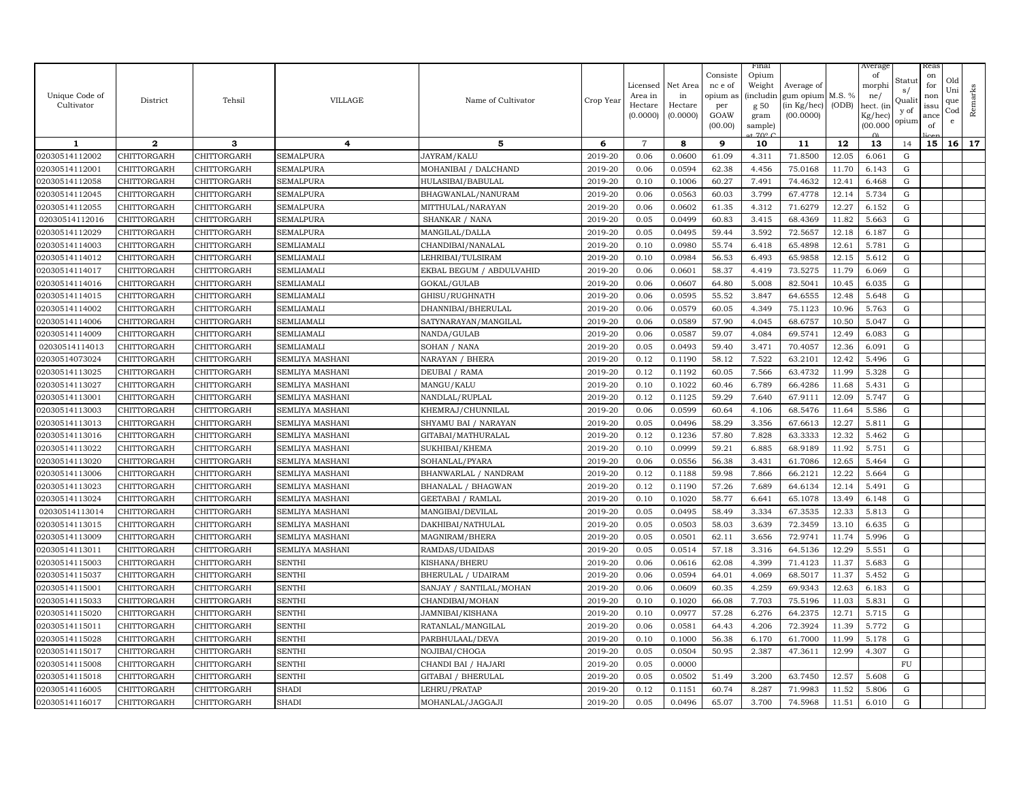| Unique Code of<br>Cultivator | District       | Tehsil      | VILLAGE           | Name of Cultivator       | Crop Year | Licensed<br>Area in<br>Hectare<br>(0.0000) | Net Area<br>in<br>Hectare<br>(0.0000) | Consiste<br>nc e of<br>opium as<br>per<br>GOAW<br>(00.00) | Final<br>Opium<br>Weight<br><i>(includin</i><br>g 50<br>gram<br>sample]<br>70° | Average of<br>gum opium M.S. %<br>(in Kg/hec)<br>(00.0000) | (ODB) | Averag<br>of<br>morphi<br>ne/<br>hect. (in<br>Kg/hec<br>(00.000) | Statut<br>s/<br>Quali<br>y of<br>opium | on<br>for<br>nor<br>isst<br>ance<br>of | Dld<br>Uni<br>que<br>Cod | Remarks |
|------------------------------|----------------|-------------|-------------------|--------------------------|-----------|--------------------------------------------|---------------------------------------|-----------------------------------------------------------|--------------------------------------------------------------------------------|------------------------------------------------------------|-------|------------------------------------------------------------------|----------------------------------------|----------------------------------------|--------------------------|---------|
| 1                            | $\overline{2}$ | 3           | $\overline{4}$    | 5                        | 6         | $\overline{7}$                             | 8                                     | 9                                                         | 10                                                                             | 11                                                         | 12    | 13                                                               | 14                                     | 15                                     | 16 <sup>1</sup>          | 17      |
| 02030514112002               | CHITTORGARH    | CHITTORGARH | SEMALPURA         | JAYRAM/KALU              | 2019-20   | 0.06                                       | 0.0600                                | 61.09                                                     | 4.311                                                                          | 71.8500                                                    | 12.05 | 6.061                                                            | G                                      |                                        |                          |         |
| 02030514112001               | CHITTORGARH    | CHITTORGARH | SEMALPURA         | MOHANIBAI / DALCHAND     | 2019-20   | 0.06                                       | 0.0594                                | 62.38                                                     | 4.456                                                                          | 75.0168                                                    | 11.70 | 6.143                                                            | G                                      |                                        |                          |         |
| 02030514112058               | CHITTORGARH    | CHITTORGARH | <b>SEMALPURA</b>  | HULASIBAI/BABULAL        | 2019-20   | 0.10                                       | 0.1006                                | 60.27                                                     | 7.491                                                                          | 74.4632                                                    | 12.41 | 6.468                                                            | G                                      |                                        |                          |         |
| 02030514112045               | CHITTORGARH    | CHITTORGARH | SEMALPURA         | BHAGWANLAL/NANURAM       | 2019-20   | 0.06                                       | 0.0563                                | 60.03                                                     | 3.799                                                                          | 67.4778                                                    | 12.14 | 5.734                                                            | G                                      |                                        |                          |         |
| 02030514112055               | CHITTORGARH    | CHITTORGARH | SEMALPURA         | MITTHULAL/NARAYAN        | 2019-20   | 0.06                                       | 0.0602                                | 61.35                                                     | 4.312                                                                          | 71.6279                                                    | 12.27 | 6.152                                                            | G                                      |                                        |                          |         |
| 02030514112016               | CHITTORGARH    | CHITTORGARH | SEMALPURA         | SHANKAR / NANA           | 2019-20   | 0.05                                       | 0.0499                                | 60.83                                                     | 3.415                                                                          | 68.4369                                                    | 11.82 | 5.663                                                            | G                                      |                                        |                          |         |
| 02030514112029               | CHITTORGARH    | CHITTORGARH | <b>SEMALPURA</b>  | MANGILAL/DALLA           | 2019-20   | 0.05                                       | 0.0495                                | 59.44                                                     | 3.592                                                                          | 72.5657                                                    | 12.18 | 6.187                                                            | G                                      |                                        |                          |         |
| 02030514114003               | CHITTORGARH    | CHITTORGARH | SEMLIAMALI        | CHANDIBAI/NANALAL        | 2019-20   | 0.10                                       | 0.0980                                | 55.74                                                     | 6.418                                                                          | 65.4898                                                    | 12.61 | 5.781                                                            | G                                      |                                        |                          |         |
| 02030514114012               | CHITTORGARH    | CHITTORGARH | <b>SEMLIAMALI</b> | LEHRIBAI/TULSIRAM        | 2019-20   | 0.10                                       | 0.0984                                | 56.53                                                     | 6.493                                                                          | 65.9858                                                    | 12.15 | 5.612                                                            | G                                      |                                        |                          |         |
| 02030514114017               | CHITTORGARH    | CHITTORGARH | SEMLIAMALI        | EKBAL BEGUM / ABDULVAHID | 2019-20   | 0.06                                       | 0.0601                                | 58.37                                                     | 4.419                                                                          | 73.5275                                                    | 11.79 | 6.069                                                            | ${\rm G}$                              |                                        |                          |         |
| 02030514114016               | CHITTORGARH    | CHITTORGARH | SEMLIAMALI        | GOKAL/GULAB              | 2019-20   | 0.06                                       | 0.0607                                | 64.80                                                     | 5.008                                                                          | 82.5041                                                    | 10.45 | 6.035                                                            | G                                      |                                        |                          |         |
| 02030514114015               | CHITTORGARH    | CHITTORGARH | SEMLIAMALI        | GHISU/RUGHNATH           | 2019-20   | 0.06                                       | 0.0595                                | 55.52                                                     | 3.847                                                                          | 64.6555                                                    | 12.48 | 5.648                                                            | G                                      |                                        |                          |         |
| 02030514114002               | CHITTORGARH    | CHITTORGARH | SEMLIAMALI        | DHANNIBAI/BHERULAL       | 2019-20   | 0.06                                       | 0.0579                                | 60.05                                                     | 4.349                                                                          | 75.1123                                                    | 10.96 | 5.763                                                            | ${\rm G}$                              |                                        |                          |         |
| 02030514114006               | CHITTORGARH    | CHITTORGARH | SEMLIAMALI        | SATYNARAYAN/MANGILAL     | 2019-20   | 0.06                                       | 0.0589                                | 57.90                                                     | 4.045                                                                          | 68.6757                                                    | 10.50 | 5.047                                                            | ${\rm G}$                              |                                        |                          |         |
| 02030514114009               | CHITTORGARH    | CHITTORGARH | SEMLIAMALI        | NANDA/GULAB              | 2019-20   | 0.06                                       | 0.0587                                | 59.07                                                     | 4.084                                                                          | 69.5741                                                    | 12.49 | 6.083                                                            | G                                      |                                        |                          |         |
| 02030514114013               | CHITTORGARH    | CHITTORGARH | SEMLIAMALI        | SOHAN / NANA             | 2019-20   | 0.05                                       | 0.0493                                | 59.40                                                     | 3.471                                                                          | 70.4057                                                    | 12.36 | 6.091                                                            | ${\rm G}$                              |                                        |                          |         |
| 02030514073024               | CHITTORGARH    | CHITTORGARH | SEMLIYA MASHANI   | NARAYAN / BHERA          | 2019-20   | 0.12                                       | 0.1190                                | 58.12                                                     | 7.522                                                                          | 63.2101                                                    | 12.42 | 5.496                                                            | G                                      |                                        |                          |         |
| 02030514113025               | CHITTORGARH    | CHITTORGARH | SEMLIYA MASHANI   | DEUBAI / RAMA            | 2019-20   | 0.12                                       | 0.1192                                | 60.05                                                     | 7.566                                                                          | 63.4732                                                    | 11.99 | 5.328                                                            | ${\rm G}$                              |                                        |                          |         |
| 02030514113027               | CHITTORGARH    | CHITTORGARH | SEMLIYA MASHANI   | MANGU/KALU               | 2019-20   | 0.10                                       | 0.1022                                | 60.46                                                     | 6.789                                                                          | 66.4286                                                    | 11.68 | 5.431                                                            | G                                      |                                        |                          |         |
| 02030514113001               | CHITTORGARH    | CHITTORGARH | SEMLIYA MASHANI   | NANDLAL/RUPLAL           | 2019-20   | 0.12                                       | 0.1125                                | 59.29                                                     | 7.640                                                                          | 67.9111                                                    | 12.09 | 5.747                                                            | G                                      |                                        |                          |         |
| 02030514113003               | CHITTORGARH    | CHITTORGARH | SEMLIYA MASHANI   | KHEMRAJ/CHUNNILAL        | 2019-20   | 0.06                                       | 0.0599                                | 60.64                                                     | 4.106                                                                          | 68.5476                                                    | 11.64 | 5.586                                                            | G                                      |                                        |                          |         |
| 02030514113013               | CHITTORGARH    | CHITTORGARH | SEMLIYA MASHANI   | SHYAMU BAI / NARAYAN     | 2019-20   | 0.05                                       | 0.0496                                | 58.29                                                     | 3.356                                                                          | 67.6613                                                    | 12.27 | 5.811                                                            | G                                      |                                        |                          |         |
| 02030514113016               | CHITTORGARH    | CHITTORGARH | SEMLIYA MASHANI   | GITABAI/MATHURALAL       | 2019-20   | 0.12                                       | 0.1236                                | 57.80                                                     | 7.828                                                                          | 63.3333                                                    | 12.32 | 5.462                                                            | ${\rm G}$                              |                                        |                          |         |
| 02030514113022               | CHITTORGARH    | CHITTORGARH | SEMLIYA MASHANI   | SUKHIBAI/KHEMA           | 2019-20   | 0.10                                       | 0.0999                                | 59.21                                                     | 6.885                                                                          | 68.9189                                                    | 11.92 | 5.751                                                            | G                                      |                                        |                          |         |
| 02030514113020               | CHITTORGARH    | CHITTORGARH | SEMLIYA MASHANI   | SOHANLAL/PYARA           | 2019-20   | 0.06                                       | 0.0556                                | 56.38                                                     | 3.431                                                                          | 61.7086                                                    | 12.65 | 5.464                                                            | G                                      |                                        |                          |         |
| 02030514113006               | CHITTORGARH    | CHITTORGARH | SEMLIYA MASHANI   | BHANWARLAL / NANDRAM     | 2019-20   | 0.12                                       | 0.1188                                | 59.98                                                     | 7.866                                                                          | 66.2121                                                    | 12.22 | 5.664                                                            | ${\rm G}$                              |                                        |                          |         |
| 02030514113023               | CHITTORGARH    | CHITTORGARH | SEMLIYA MASHANI   | BHANALAL / BHAGWAN       | 2019-20   | 0.12                                       | 0.1190                                | 57.26                                                     | 7.689                                                                          | 64.6134                                                    | 12.14 | 5.491                                                            | G                                      |                                        |                          |         |
| 02030514113024               | CHITTORGARH    | CHITTORGARH | SEMLIYA MASHANI   | GEETABAI / RAMLAL        | 2019-20   | 0.10                                       | 0.1020                                | 58.77                                                     | 6.641                                                                          | 65.1078                                                    | 13.49 | 6.148                                                            | ${\rm G}$                              |                                        |                          |         |
| 02030514113014               | CHITTORGARH    | CHITTORGARH | SEMLIYA MASHANI   | MANGIBAI/DEVILAL         | 2019-20   | 0.05                                       | 0.0495                                | 58.49                                                     | 3.334                                                                          | 67.3535                                                    | 12.33 | 5.813                                                            | G                                      |                                        |                          |         |
| 02030514113015               | CHITTORGARH    | CHITTORGARH | SEMLIYA MASHANI   | DAKHIBAI/NATHULAL        | 2019-20   | 0.05                                       | 0.0503                                | 58.03                                                     | 3.639                                                                          | 72.3459                                                    | 13.10 | 6.635                                                            | ${\rm G}$                              |                                        |                          |         |
| 02030514113009               | CHITTORGARH    | CHITTORGARH | SEMLIYA MASHANI   | MAGNIRAM/BHERA           | 2019-20   | 0.05                                       | 0.0501                                | 62.11                                                     | 3.656                                                                          | 72.9741                                                    | 11.74 | 5.996                                                            | G                                      |                                        |                          |         |
| 02030514113011               | CHITTORGARH    | CHITTORGARH | SEMLIYA MASHANI   | RAMDAS/UDAIDAS           | 2019-20   | 0.05                                       | 0.0514                                | 57.18                                                     | 3.316                                                                          | 64.5136                                                    | 12.29 | 5.551                                                            | ${\rm G}$                              |                                        |                          |         |
| 02030514115003               | CHITTORGARH    | CHITTORGARH | <b>SENTHI</b>     | KISHANA/BHERU            | 2019-20   | 0.06                                       | 0.0616                                | 62.08                                                     | 4.399                                                                          | 71.4123                                                    | 11.37 | 5.683                                                            | ${\rm G}$                              |                                        |                          |         |
| 02030514115037               | CHITTORGARH    | CHITTORGARH | SENTHI            | BHERULAL / UDAIRAM       | 2019-20   | 0.06                                       | 0.0594                                | 64.01                                                     | 4.069                                                                          | 68.5017                                                    | 11.37 | 5.452                                                            | ${\rm G}$                              |                                        |                          |         |
| 02030514115001               | CHITTORGARH    | CHITTORGARH | SENTHI            | SANJAY / SANTILAL/MOHAN  | 2019-20   | 0.06                                       | 0.0609                                | 60.35                                                     | 4.259                                                                          | 69.9343                                                    | 12.63 | 6.183                                                            | ${\rm G}$                              |                                        |                          |         |
| 02030514115033               | CHITTORGARH    | CHITTORGARH | SENTHI            | CHANDIBAI/MOHAN          | 2019-20   | 0.10                                       | 0.1020                                | 66.08                                                     | 7.703                                                                          | 75.5196                                                    | 11.03 | 5.831                                                            | G                                      |                                        |                          |         |
| 02030514115020               | CHITTORGARH    | CHITTORGARH | SENTHI            | JAMNIBAI/KISHANA         | 2019-20   | 0.10                                       | 0.0977                                | 57.28                                                     | 6.276                                                                          | 64.2375                                                    | 12.71 | 5.715                                                            | G                                      |                                        |                          |         |
| 02030514115011               | CHITTORGARH    | CHITTORGARH | SENTHI            | RATANLAL/MANGILAL        | 2019-20   | 0.06                                       | 0.0581                                | 64.43                                                     | 4.206                                                                          | 72.3924                                                    | 11.39 | 5.772                                                            | G                                      |                                        |                          |         |
| 02030514115028               | CHITTORGARH    | CHITTORGARH | <b>SENTHI</b>     | PARBHULAAL/DEVA          | 2019-20   | 0.10                                       | 0.1000                                | 56.38                                                     | 6.170                                                                          | 61.7000                                                    | 11.99 | 5.178                                                            | ${\rm G}$                              |                                        |                          |         |
| 02030514115017               | CHITTORGARH    | CHITTORGARH | SENTHI            | NOJIBAI/CHOGA            | 2019-20   | 0.05                                       | 0.0504                                | 50.95                                                     | 2.387                                                                          | 47.3611                                                    | 12.99 | 4.307                                                            | ${\rm G}$                              |                                        |                          |         |
| 02030514115008               | CHITTORGARH    | CHITTORGARH | <b>SENTHI</b>     | CHANDI BAI / HAJARI      | 2019-20   | 0.05                                       | 0.0000                                |                                                           |                                                                                |                                                            |       |                                                                  | ${\rm FU}$                             |                                        |                          |         |
| 02030514115018               | CHITTORGARH    | CHITTORGARH | SENTHI            | GITABAI / BHERULAL       | 2019-20   | 0.05                                       | 0.0502                                | 51.49                                                     | 3.200                                                                          | 63.7450                                                    | 12.57 | 5.608                                                            | ${\rm G}$                              |                                        |                          |         |
| 02030514116005               | CHITTORGARH    | CHITTORGARH | <b>SHADI</b>      | LEHRU/PRATAP             | 2019-20   | 0.12                                       | 0.1151                                | 60.74                                                     | 8.287                                                                          | 71.9983                                                    | 11.52 | 5.806                                                            | ${\rm G}$                              |                                        |                          |         |
| 02030514116017               | CHITTORGARH    | CHITTORGARH | SHADI             | MOHANLAL/JAGGAJI         | 2019-20   | 0.05                                       | 0.0496                                | 65.07                                                     | 3.700                                                                          | 74.5968                                                    | 11.51 | 6.010                                                            | ${\rm G}$                              |                                        |                          |         |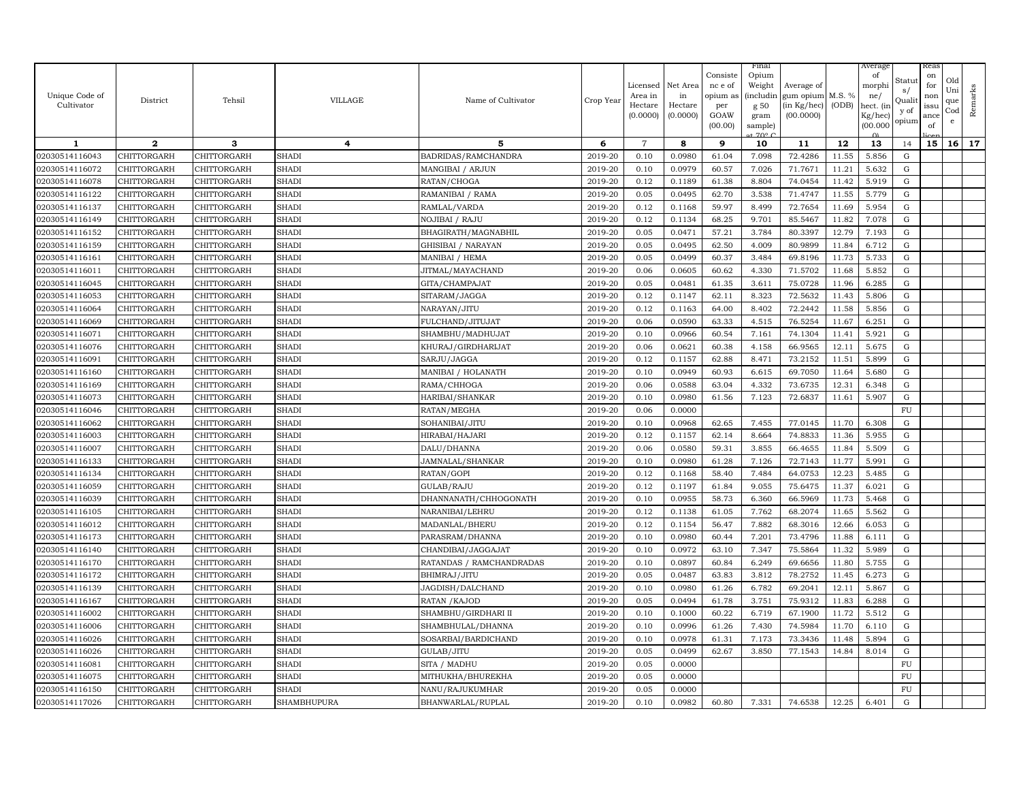| Unique Code of<br>Cultivator | District     | Tehsil      | VILLAGE            | Name of Cultivator       | Crop Year | Licensed<br>Area in<br>Hectare<br>(0.0000) | Net Area<br>in<br>Hectare<br>(0.0000) | Consiste<br>nc e of<br>opium as<br>per<br>GOAW<br>(00.00) | Final<br>Opium<br>Weight<br><i>(includir)</i><br>g 50<br>gram<br>sample)<br>70° | Average of<br>gum opium<br>(in Kg/hec)<br>(00.0000) | M.S. %<br>(ODB) | Averag<br>of<br>morphi<br>ne/<br>hect. (in<br>Kg/hec<br>(00.000) | Statut<br>s/<br>Quali<br>y of<br>opium | on<br>for<br>noi<br>isst<br>ance<br>of | Dld<br>Uni<br>que<br>Cod | Remarks |
|------------------------------|--------------|-------------|--------------------|--------------------------|-----------|--------------------------------------------|---------------------------------------|-----------------------------------------------------------|---------------------------------------------------------------------------------|-----------------------------------------------------|-----------------|------------------------------------------------------------------|----------------------------------------|----------------------------------------|--------------------------|---------|
| 1                            | $\mathbf{2}$ | з           | 4                  | 5                        | 6         | $\overline{7}$                             | 8                                     | 9                                                         | 10                                                                              | 11                                                  | 12              | 13                                                               | 14                                     | 15                                     | 16 <sup>1</sup>          | 17      |
| 02030514116043               | CHITTORGARH  | CHITTORGARH | <b>SHADI</b>       | BADRIDAS/RAMCHANDRA      | 2019-20   | 0.10                                       | 0.0980                                | 61.04                                                     | 7.098                                                                           | 72.4286                                             | 11.55           | 5.856                                                            | G                                      |                                        |                          |         |
| 02030514116072               | CHITTORGARH  | CHITTORGARH | <b>SHADI</b>       | MANGIBAI / ARJUN         | 2019-20   | 0.10                                       | 0.0979                                | 60.57                                                     | 7.026                                                                           | 71.7671                                             | 11.21           | 5.632                                                            | G                                      |                                        |                          |         |
| 02030514116078               | CHITTORGARH  | CHITTORGARH | <b>SHADI</b>       | RATAN/CHOGA              | 2019-20   | 0.12                                       | 0.1189                                | 61.38                                                     | 8.804                                                                           | 74.0454                                             | 11.42           | 5.919                                                            | G                                      |                                        |                          |         |
| 02030514116122               | CHITTORGARH  | CHITTORGARH | <b>SHADI</b>       | RAMANIBAI / RAMA         | 2019-20   | 0.05                                       | 0.0495                                | 62.70                                                     | 3.538                                                                           | 71.4747                                             | 11.55           | 5.779                                                            | ${\rm G}$                              |                                        |                          |         |
| 02030514116137               | CHITTORGARH  | CHITTORGARH | <b>SHADI</b>       | RAMLAL/VARDA             | 2019-20   | 0.12                                       | 0.1168                                | 59.97                                                     | 8.499                                                                           | 72.7654                                             | 11.69           | 5.954                                                            | G                                      |                                        |                          |         |
| 02030514116149               | CHITTORGARH  | CHITTORGARH | <b>SHADI</b>       | NOJIBAI / RAJU           | 2019-20   | 0.12                                       | 0.1134                                | 68.25                                                     | 9.701                                                                           | 85.5467                                             | 11.82           | 7.078                                                            | G                                      |                                        |                          |         |
| 02030514116152               | CHITTORGARH  | CHITTORGARH | <b>SHADI</b>       | BHAGIRATH/MAGNABHIL      | 2019-20   | 0.05                                       | 0.0471                                | 57.21                                                     | 3.784                                                                           | 80.3397                                             | 12.79           | 7.193                                                            | ${\rm G}$                              |                                        |                          |         |
| 02030514116159               | CHITTORGARH  | CHITTORGARH | <b>SHADI</b>       | GHISIBAI / NARAYAN       | 2019-20   | 0.05                                       | 0.0495                                | 62.50                                                     | 4.009                                                                           | 80.9899                                             | 11.84           | 6.712                                                            | ${\rm G}$                              |                                        |                          |         |
| 02030514116161               | CHITTORGARH  | CHITTORGARH | <b>SHADI</b>       | MANIBAI / HEMA           | 2019-20   | 0.05                                       | 0.0499                                | 60.37                                                     | 3.484                                                                           | 69.8196                                             | 11.73           | 5.733                                                            | ${\rm G}$                              |                                        |                          |         |
| 02030514116011               | CHITTORGARH  | CHITTORGARH | <b>SHADI</b>       | JITMAL/MAYACHAND         | 2019-20   | 0.06                                       | 0.0605                                | 60.62                                                     | 4.330                                                                           | 71.5702                                             | 11.68           | 5.852                                                            | G                                      |                                        |                          |         |
| 02030514116045               | CHITTORGARH  | CHITTORGARH | <b>SHADI</b>       | GITA/CHAMPAJAT           | 2019-20   | 0.05                                       | 0.0481                                | 61.35                                                     | 3.611                                                                           | 75.0728                                             | 11.96           | 6.285                                                            | ${\rm G}$                              |                                        |                          |         |
| 02030514116053               | CHITTORGARH  | CHITTORGARH | <b>SHADI</b>       | SITARAM/JAGGA            | 2019-20   | 0.12                                       | 0.1147                                | 62.11                                                     | 8.323                                                                           | 72.5632                                             | 11.43           | 5.806                                                            | ${\rm G}$                              |                                        |                          |         |
| 02030514116064               | CHITTORGARH  | CHITTORGARH | <b>SHADI</b>       | NARAYAN/JITU             | 2019-20   | 0.12                                       | 0.1163                                | 64.00                                                     | 8.402                                                                           | 72.2442                                             | 11.58           | 5.856                                                            | ${\rm G}$                              |                                        |                          |         |
| 02030514116069               | CHITTORGARH  | CHITTORGARH | <b>SHADI</b>       | FULCHAND/JITUJAT         | 2019-20   | 0.06                                       | 0.0590                                | 63.33                                                     | 4.515                                                                           | 76.5254                                             | 11.67           | 6.251                                                            | $\mathbf G$                            |                                        |                          |         |
| 02030514116071               | CHITTORGARH  | CHITTORGARH | <b>SHADI</b>       | SHAMBHU/MADHUJAT         | 2019-20   | 0.10                                       | 0.0966                                | 60.54                                                     | 7.161                                                                           | 74.1304                                             | 11.41           | 5.921                                                            | ${\rm G}$                              |                                        |                          |         |
| 02030514116076               | CHITTORGARH  | CHITTORGARH | <b>SHADI</b>       | KHURAJ/GIRDHARIJAT       | 2019-20   | 0.06                                       | 0.0621                                | 60.38                                                     | 4.158                                                                           | 66.9565                                             | 12.11           | 5.675                                                            | ${\rm G}$                              |                                        |                          |         |
| 02030514116091               | CHITTORGARH  | CHITTORGARH | <b>SHADI</b>       | SARJU/JAGGA              | 2019-20   | 0.12                                       | 0.1157                                | 62.88                                                     | 8.471                                                                           | 73.2152                                             | 11.51           | 5.899                                                            | ${\rm G}$                              |                                        |                          |         |
| 02030514116160               | CHITTORGARH  | CHITTORGARH | <b>SHADI</b>       | MANIBAI / HOLANATH       | 2019-20   | 0.10                                       | 0.0949                                | 60.93                                                     | 6.615                                                                           | 69.7050                                             | 11.64           | 5.680                                                            | G                                      |                                        |                          |         |
| 02030514116169               | CHITTORGARH  | CHITTORGARH | <b>SHADI</b>       | RAMA/CHHOGA              | 2019-20   | 0.06                                       | 0.0588                                | 63.04                                                     | 4.332                                                                           | 73.6735                                             | 12.31           | 6.348                                                            | ${\rm G}$                              |                                        |                          |         |
| 02030514116073               | CHITTORGARH  | CHITTORGARH | <b>SHADI</b>       | HARIBAI/SHANKAR          | 2019-20   | 0.10                                       | 0.0980                                | 61.56                                                     | 7.123                                                                           | 72.6837                                             | 11.61           | 5.907                                                            | ${\rm G}$                              |                                        |                          |         |
| 02030514116046               | CHITTORGARH  | CHITTORGARH | <b>SHADI</b>       | RATAN/MEGHA              | 2019-20   | 0.06                                       | 0.0000                                |                                                           |                                                                                 |                                                     |                 |                                                                  | ${\rm FU}$                             |                                        |                          |         |
| 02030514116062               | CHITTORGARH  | CHITTORGARH | <b>SHADI</b>       | SOHANIBAI/JITU           | 2019-20   | 0.10                                       | 0.0968                                | 62.65                                                     | 7.455                                                                           | 77.0145                                             | 11.70           | 6.308                                                            | G                                      |                                        |                          |         |
| 02030514116003               | CHITTORGARH  | CHITTORGARH | <b>SHADI</b>       | HIRABAI/HAJARI           | 2019-20   | 0.12                                       | 0.1157                                | 62.14                                                     | 8.664                                                                           | 74.8833                                             | 11.36           | 5.955                                                            | ${\rm G}$                              |                                        |                          |         |
| 02030514116007               | CHITTORGARH  | CHITTORGARH | <b>SHADI</b>       | DALU/DHANNA              | 2019-20   | 0.06                                       | 0.0580                                | 59.31                                                     | 3.855                                                                           | 66.4655                                             | 11.84           | 5.509                                                            | ${\rm G}$                              |                                        |                          |         |
| 02030514116133               | CHITTORGARH  | CHITTORGARH | <b>SHADI</b>       | JAMNALAL/SHANKAR         | 2019-20   | 0.10                                       | 0.0980                                | 61.28                                                     | 7.126                                                                           | 72.7143                                             | 11.77           | 5.991                                                            | ${\rm G}$                              |                                        |                          |         |
| 02030514116134               | CHITTORGARH  | CHITTORGARH | <b>SHADI</b>       | RATAN/GOPI               | 2019-20   | 0.12                                       | 0.1168                                | 58.40                                                     | 7.484                                                                           | 64.0753                                             | 12.23           | 5.485                                                            | G                                      |                                        |                          |         |
| 02030514116059               | CHITTORGARH  | CHITTORGARH | <b>SHADI</b>       | GULAB/RAJU               | 2019-20   | 0.12                                       | 0.1197                                | 61.84                                                     | 9.055                                                                           | 75.6475                                             | 11.37           | 6.021                                                            | ${\rm G}$                              |                                        |                          |         |
| 02030514116039               | CHITTORGARH  | CHITTORGARH | <b>SHADI</b>       | DHANNANATH/CHHOGONATH    | 2019-20   | 0.10                                       | 0.0955                                | 58.73                                                     | 6.360                                                                           | 66.5969                                             | 11.73           | 5.468                                                            | ${\rm G}$                              |                                        |                          |         |
| 02030514116105               | CHITTORGARH  | CHITTORGARH | <b>SHADI</b>       | NARANIBAI/LEHRU          | 2019-20   | 0.12                                       | 0.1138                                | 61.05                                                     | 7.762                                                                           | 68.2074                                             | 11.65           | 5.562                                                            | ${\rm G}$                              |                                        |                          |         |
| 02030514116012               | CHITTORGARH  | CHITTORGARH | <b>SHADI</b>       | MADANLAL/BHERU           | 2019-20   | 0.12                                       | 0.1154                                | 56.47                                                     | 7.882                                                                           | 68.3016                                             | 12.66           | 6.053                                                            | $\mathbf G$                            |                                        |                          |         |
| 02030514116173               | CHITTORGARH  | CHITTORGARH | <b>SHADI</b>       | PARASRAM/DHANNA          | 2019-20   | 0.10                                       | 0.0980                                | 60.44                                                     | 7.201                                                                           | 73.4796                                             | 11.88           | 6.111                                                            | ${\rm G}$                              |                                        |                          |         |
| 02030514116140               | CHITTORGARH  | CHITTORGARH | <b>SHADI</b>       | CHANDIBAI/JAGGAJAT       | 2019-20   | 0.10                                       | 0.0972                                | 63.10                                                     | 7.347                                                                           | 75.5864                                             | 11.32           | 5.989                                                            | ${\rm G}$                              |                                        |                          |         |
| 02030514116170               | CHITTORGARH  | CHITTORGARH | <b>SHADI</b>       | RATANDAS / RAMCHANDRADAS | 2019-20   | 0.10                                       | 0.0897                                | 60.84                                                     | 6.249                                                                           | 69.6656                                             | 11.80           | 5.755                                                            | ${\rm G}$                              |                                        |                          |         |
| 02030514116172               | CHITTORGARH  | CHITTORGARH | <b>SHADI</b>       | BHIMRAJ/JITU             | 2019-20   | 0.05                                       | 0.0487                                | 63.83                                                     | 3.812                                                                           | 78.2752                                             | 11.45           | 6.273                                                            | ${\rm G}$                              |                                        |                          |         |
| 02030514116139               | CHITTORGARH  | CHITTORGARH | <b>SHADI</b>       | JAGDISH/DALCHAND         | 2019-20   | 0.10                                       | 0.0980                                | 61.26                                                     | 6.782                                                                           | 69.2041                                             | 12.11           | 5.867                                                            | ${\bf G}$                              |                                        |                          |         |
| 02030514116167               | CHITTORGARH  | CHITTORGARH | <b>SHADI</b>       | RATAN / KAJOD            | 2019-20   | 0.05                                       | 0.0494                                | 61.78                                                     | 3.751                                                                           | 75.9312                                             | 11.83           | 6.288                                                            | ${\bf G}$                              |                                        |                          |         |
| 02030514116002               | CHITTORGARH  | CHITTORGARH | <b>SHADI</b>       | SHAMBHU/GIRDHARI II      | 2019-20   | 0.10                                       | 0.1000                                | 60.22                                                     | 6.719                                                                           | 67.1900                                             | 11.72           | 5.512                                                            | ${\rm G}$                              |                                        |                          |         |
| 02030514116006               | CHITTORGARH  | CHITTORGARH | <b>SHADI</b>       | SHAMBHULAL/DHANNA        | 2019-20   | 0.10                                       | 0.0996                                | 61.26                                                     | 7.430                                                                           | 74.5984                                             | 11.70           | 6.110                                                            | G                                      |                                        |                          |         |
| 02030514116026               | CHITTORGARH  | CHITTORGARH | SHADI              | SOSARBAI/BARDICHAND      | 2019-20   | 0.10                                       | 0.0978                                | 61.31                                                     | 7.173                                                                           | 73.3436                                             | 11.48           | 5.894                                                            | G                                      |                                        |                          |         |
| 02030514116026               | CHITTORGARH  | CHITTORGARH | <b>SHADI</b>       | GULAB/JITU               | 2019-20   | 0.05                                       | 0.0499                                | 62.67                                                     | 3.850                                                                           | 77.1543                                             | 14.84           | 8.014                                                            | ${\rm G}$                              |                                        |                          |         |
| 02030514116081               | CHITTORGARH  | CHITTORGARH | <b>SHADI</b>       | SITA / MADHU             | 2019-20   | 0.05                                       | 0.0000                                |                                                           |                                                                                 |                                                     |                 |                                                                  | ${\rm FU}$                             |                                        |                          |         |
| 02030514116075               | CHITTORGARH  | CHITTORGARH | <b>SHADI</b>       | MITHUKHA/BHUREKHA        | 2019-20   | 0.05                                       | 0.0000                                |                                                           |                                                                                 |                                                     |                 |                                                                  | ${\rm FU}$                             |                                        |                          |         |
| 02030514116150               | CHITTORGARH  | CHITTORGARH | <b>SHADI</b>       | NANU/RAJUKUMHAR          | 2019-20   | 0.05                                       | 0.0000                                |                                                           |                                                                                 |                                                     |                 |                                                                  | ${\rm FU}$                             |                                        |                          |         |
| 02030514117026               | CHITTORGARH  | CHITTORGARH | <b>SHAMBHUPURA</b> | BHANWARLAL/RUPLAL        | 2019-20   | 0.10                                       | 0.0982                                | 60.80                                                     | 7.331                                                                           | 74.6538                                             | 12.25           | 6.401                                                            | ${\rm G}$                              |                                        |                          |         |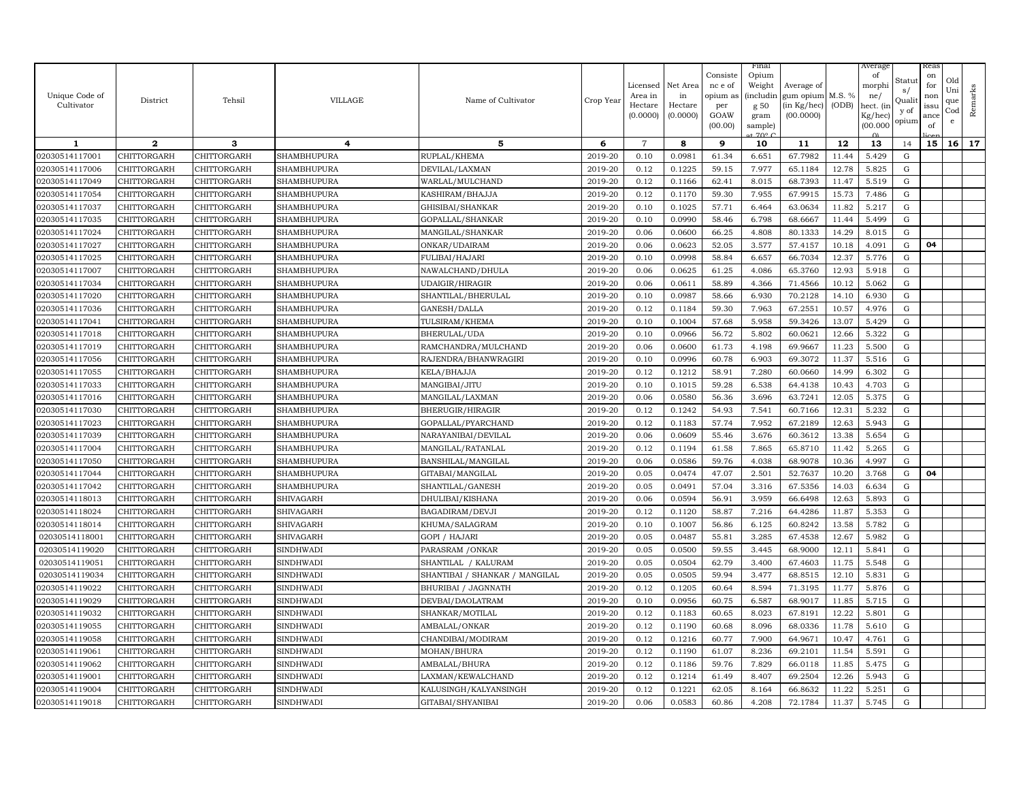| Unique Code of<br>Cultivator | District       | Tehsil             | VILLAGE          | Name of Cultivator             | Crop Year | Licensed<br>Area in<br>Hectare<br>(0.0000) | Net Area<br>in<br>Hectare<br>(0.0000) | Consiste<br>nc e of<br>opium as<br>per<br>GOAW<br>(00.00) | Final<br>Opium<br>Weight<br><i>(includin</i><br>g 50<br>gram<br>sample]<br>$70^\circ$ | Average of<br>gum opium M.S. %<br>(in Kg/hec)<br>(00.0000) | (ODB) | Averag<br>of<br>morphi<br>ne/<br>hect. (in<br>Kg/hec<br>(00.000) | Statut<br>s/<br>Quali<br>y of<br>opium | on<br>for<br>noi<br>isst<br>ance<br>of | Dld<br>Uni<br>que | Remarks |
|------------------------------|----------------|--------------------|------------------|--------------------------------|-----------|--------------------------------------------|---------------------------------------|-----------------------------------------------------------|---------------------------------------------------------------------------------------|------------------------------------------------------------|-------|------------------------------------------------------------------|----------------------------------------|----------------------------------------|-------------------|---------|
| -1                           | $\overline{2}$ | 3                  | $\overline{4}$   | 5                              | 6         | $\overline{7}$                             | 8                                     | 9                                                         | 10                                                                                    | 11                                                         | 12    | 13                                                               | 14                                     | 15                                     | 16 <sup>1</sup>   | 17      |
| 02030514117001               | CHITTORGARH    | CHITTORGARH        | SHAMBHUPURA      | RUPLAL/KHEMA                   | 2019-20   | 0.10                                       | 0.0981                                | 61.34                                                     | 6.651                                                                                 | 67.7982                                                    | 11.44 | 5.429                                                            | G                                      |                                        |                   |         |
| 02030514117006               | CHITTORGARH    | CHITTORGARH        | SHAMBHUPURA      | DEVILAL/LAXMAN                 | 2019-20   | 0.12                                       | 0.1225                                | 59.15                                                     | 7.977                                                                                 | 65.1184                                                    | 12.78 | 5.825                                                            | G                                      |                                        |                   |         |
| 02030514117049               | CHITTORGARH    | CHITTORGARH        | SHAMBHUPURA      | WARLAL/MULCHAND                | 2019-20   | 0.12                                       | 0.1166                                | 62.41                                                     | 8.015                                                                                 | 68.7393                                                    | 11.47 | 5.519                                                            | G                                      |                                        |                   |         |
| 02030514117054               | CHITTORGARH    | CHITTORGARH        | SHAMBHUPURA      | KASHIRAM/BHAJJA                | 2019-20   | 0.12                                       | 0.1170                                | 59.30                                                     | 7.955                                                                                 | 67.9915                                                    | 15.73 | 7.486                                                            | ${\rm G}$                              |                                        |                   |         |
| 02030514117037               | CHITTORGARH    | CHITTORGARH        | SHAMBHUPURA      | GHISIBAI/SHANKAR               | 2019-20   | 0.10                                       | 0.1025                                | 57.71                                                     | 6.464                                                                                 | 63.0634                                                    | 11.82 | 5.217                                                            | ${\rm G}$                              |                                        |                   |         |
| 02030514117035               | CHITTORGARH    | CHITTORGARH        | SHAMBHUPURA      | GOPALLAL/SHANKAR               | 2019-20   | 0.10                                       | 0.0990                                | 58.46                                                     | 6.798                                                                                 | 68.6667                                                    | 11.44 | 5.499                                                            | G                                      |                                        |                   |         |
| 02030514117024               | CHITTORGARH    | CHITTORGARH        | SHAMBHUPURA      | MANGILAL/SHANKAR               | 2019-20   | 0.06                                       | 0.0600                                | 66.25                                                     | 4.808                                                                                 | 80.1333                                                    | 14.29 | 8.015                                                            | ${\rm G}$                              |                                        |                   |         |
| 02030514117027               | CHITTORGARH    | CHITTORGARH        | SHAMBHUPURA      | ONKAR/UDAIRAM                  | 2019-20   | 0.06                                       | 0.0623                                | 52.05                                                     | 3.577                                                                                 | 57.4157                                                    | 10.18 | 4.091                                                            | G                                      | 04                                     |                   |         |
| 02030514117025               | CHITTORGARH    | CHITTORGARH        | SHAMBHUPURA      | FULIBAI/HAJARI                 | 2019-20   | 0.10                                       | 0.0998                                | 58.84                                                     | 6.657                                                                                 | 66.7034                                                    | 12.37 | 5.776                                                            | ${\rm G}$                              |                                        |                   |         |
| 02030514117007               | CHITTORGARH    | CHITTORGARH        | SHAMBHUPURA      | NAWALCHAND/DHULA               | 2019-20   | 0.06                                       | 0.0625                                | 61.25                                                     | 4.086                                                                                 | 65.3760                                                    | 12.93 | 5.918                                                            | G                                      |                                        |                   |         |
| 02030514117034               | CHITTORGARH    | CHITTORGARH        | SHAMBHUPURA      | <b>UDAIGIR/HIRAGIR</b>         | 2019-20   | 0.06                                       | 0.0611                                | 58.89                                                     | 4.366                                                                                 | 71.4566                                                    | 10.12 | 5.062                                                            | G                                      |                                        |                   |         |
| 02030514117020               | CHITTORGARH    | CHITTORGARH        | SHAMBHUPURA      | SHANTILAL/BHERULAL             | 2019-20   | 0.10                                       | 0.0987                                | 58.66                                                     | 6.930                                                                                 | 70.2128                                                    | 14.10 | 6.930                                                            | ${\rm G}$                              |                                        |                   |         |
| 02030514117036               | CHITTORGARH    | CHITTORGARH        | SHAMBHUPURA      | GANESH/DALLA                   | 2019-20   | 0.12                                       | 0.1184                                | 59.30                                                     | 7.963                                                                                 | 67.2551                                                    | 10.57 | 4.976                                                            | ${\rm G}$                              |                                        |                   |         |
| 02030514117041               | CHITTORGARH    | CHITTORGARH        | SHAMBHUPURA      | TULSIRAM/KHEMA                 | 2019-20   | 0.10                                       | 0.1004                                | 57.68                                                     | 5.958                                                                                 | 59.3426                                                    | 13.07 | 5.429                                                            | G                                      |                                        |                   |         |
| 02030514117018               | CHITTORGARH    | CHITTORGARH        | SHAMBHUPURA      | BHERULAL/UDA                   | 2019-20   | 0.10                                       | 0.0966                                | 56.72                                                     | 5.802                                                                                 | 60.0621                                                    | 12.66 | 5.322                                                            | ${\rm G}$                              |                                        |                   |         |
| 02030514117019               | CHITTORGARH    | CHITTORGARH        | SHAMBHUPURA      | RAMCHANDRA/MULCHAND            | 2019-20   | 0.06                                       | 0.0600                                | 61.73                                                     | 4.198                                                                                 | 69.9667                                                    | 11.23 | 5.500                                                            | ${\rm G}$                              |                                        |                   |         |
| 02030514117056               | CHITTORGARH    | CHITTORGARH        | SHAMBHUPURA      | RAJENDRA/BHANWRAGIRI           | 2019-20   | 0.10                                       | 0.0996                                | 60.78                                                     | 6.903                                                                                 | 69.3072                                                    | 11.37 | 5.516                                                            | G                                      |                                        |                   |         |
| 02030514117055               | CHITTORGARH    | CHITTORGARH        | SHAMBHUPURA      | KELA/BHAJJA                    | 2019-20   | 0.12                                       | 0.1212                                | 58.91                                                     | 7.280                                                                                 | 60.0660                                                    | 14.99 | 6.302                                                            | G                                      |                                        |                   |         |
| 02030514117033               | CHITTORGARH    | CHITTORGARH        | SHAMBHUPURA      | MANGIBAI/JITU                  | 2019-20   | 0.10                                       | 0.1015                                | 59.28                                                     | 6.538                                                                                 | 64.4138                                                    | 10.43 | 4.703                                                            | ${\bf G}$                              |                                        |                   |         |
| 02030514117016               | CHITTORGARH    | CHITTORGARH        | SHAMBHUPURA      | MANGILAL/LAXMAN                | 2019-20   | 0.06                                       | 0.0580                                | 56.36                                                     | 3.696                                                                                 | 63.7241                                                    | 12.05 | 5.375                                                            | ${\bf G}$                              |                                        |                   |         |
| 02030514117030               | CHITTORGARH    | CHITTORGARH        | SHAMBHUPURA      | BHERUGIR/HIRAGIR               | 2019-20   | 0.12                                       | 0.1242                                | 54.93                                                     | 7.541                                                                                 | 60.7166                                                    | 12.31 | 5.232                                                            | G                                      |                                        |                   |         |
| 02030514117023               | CHITTORGARH    | CHITTORGARH        | SHAMBHUPURA      | GOPALLAL/PYARCHAND             | 2019-20   | 0.12                                       | 0.1183                                | 57.74                                                     | 7.952                                                                                 | 67.2189                                                    | 12.63 | 5.943                                                            | G                                      |                                        |                   |         |
| 02030514117039               | CHITTORGARH    | CHITTORGARH        | SHAMBHUPURA      | NARAYANIBAI/DEVILAL            | 2019-20   | 0.06                                       | 0.0609                                | 55.46                                                     | 3.676                                                                                 | 60.3612                                                    | 13.38 | 5.654                                                            | G                                      |                                        |                   |         |
| 02030514117004               | CHITTORGARH    | CHITTORGARH        | SHAMBHUPURA      | MANGILAL/RATANLAL              | 2019-20   | 0.12                                       | 0.1194                                | 61.58                                                     | 7.865                                                                                 | 65.8710                                                    | 11.42 | 5.265                                                            | ${\rm G}$                              |                                        |                   |         |
| 02030514117050               | CHITTORGARH    | CHITTORGARH        | SHAMBHUPURA      | BANSHILAL/MANGILAL             | 2019-20   | 0.06                                       | 0.0586                                | 59.76                                                     | 4.038                                                                                 | 68.9078                                                    | 10.36 | 4.997                                                            | ${\rm G}$                              |                                        |                   |         |
| 02030514117044               | CHITTORGARH    | <b>CHITTORGARH</b> | SHAMBHUPURA      | GITABAI/MANGILAL               | 2019-20   | 0.05                                       | 0.0474                                | 47.07                                                     | 2.501                                                                                 | 52.7637                                                    | 10.20 | 3.768                                                            | G                                      | 04                                     |                   |         |
| 02030514117042               | CHITTORGARH    | CHITTORGARH        | SHAMBHUPURA      | SHANTILAL/GANESH               | 2019-20   | 0.05                                       | 0.0491                                | 57.04                                                     | 3.316                                                                                 | 67.5356                                                    | 14.03 | 6.634                                                            | ${\rm G}$                              |                                        |                   |         |
| 02030514118013               | CHITTORGARH    | CHITTORGARH        | <b>SHIVAGARH</b> | DHULIBAI/KISHANA               | 2019-20   | 0.06                                       | 0.0594                                | 56.91                                                     | 3.959                                                                                 | 66.6498                                                    | 12.63 | 5.893                                                            | ${\rm G}$                              |                                        |                   |         |
| 02030514118024               | CHITTORGARH    | CHITTORGARH        | SHIVAGARH        | BAGADIRAM/DEVJI                | 2019-20   | 0.12                                       | 0.1120                                | 58.87                                                     | 7.216                                                                                 | 64.4286                                                    | 11.87 | 5.353                                                            | ${\rm G}$                              |                                        |                   |         |
| 02030514118014               | CHITTORGARH    | CHITTORGARH        | SHIVAGARH        | KHUMA/SALAGRAM                 | 2019-20   | 0.10                                       | 0.1007                                | 56.86                                                     | 6.125                                                                                 | 60.8242                                                    | 13.58 | 5.782                                                            | $\mathbf G$                            |                                        |                   |         |
| 02030514118001               | CHITTORGARH    | CHITTORGARH        | SHIVAGARH        | GOPI / HAJARI                  | 2019-20   | 0.05                                       | 0.0487                                | 55.81                                                     | 3.285                                                                                 | 67.4538                                                    | 12.67 | 5.982                                                            | ${\rm G}$                              |                                        |                   |         |
| 02030514119020               | CHITTORGARH    | CHITTORGARH        | SINDHWADI        | PARASRAM / ONKAR               | 2019-20   | 0.05                                       | 0.0500                                | 59.55                                                     | 3.445                                                                                 | 68.9000                                                    | 12.11 | 5.841                                                            | ${\rm G}$                              |                                        |                   |         |
| 02030514119051               | CHITTORGARH    | CHITTORGARH        | SINDHWADI        | SHANTILAL / KALURAM            | 2019-20   | 0.05                                       | 0.0504                                | 62.79                                                     | 3.400                                                                                 | 67.4603                                                    | 11.75 | 5.548                                                            | ${\rm G}$                              |                                        |                   |         |
| 02030514119034               | CHITTORGARH    | CHITTORGARH        | <b>SINDHWADI</b> | SHANTIBAI / SHANKAR / MANGILAL | 2019-20   | 0.05                                       | 0.0505                                | 59.94                                                     | 3.477                                                                                 | 68.8515                                                    | 12.10 | 5.831                                                            | G                                      |                                        |                   |         |
| 02030514119022               | CHITTORGARH    | CHITTORGARH        | SINDHWADI        | BHURIBAI / JAGNNATH            | 2019-20   | 0.12                                       | 0.1205                                | 60.64                                                     | 8.594                                                                                 | 71.3195                                                    | 11.77 | 5.876                                                            | $\mathbf G$                            |                                        |                   |         |
| 02030514119029               | CHITTORGARH    | CHITTORGARH        | <b>SINDHWADI</b> | DEVBAI/DAOLATRAM               | 2019-20   | 0.10                                       | 0.0956                                | 60.75                                                     | 6.587                                                                                 | 68.9017                                                    | 11.85 | 5.715                                                            | G                                      |                                        |                   |         |
| 02030514119032               | CHITTORGARH    | CHITTORGARH        | SINDHWADI        | SHANKAR/MOTILAL                | 2019-20   | 0.12                                       | 0.1183                                | 60.65                                                     | 8.023                                                                                 | 67.8191                                                    | 12.22 | 5.801                                                            | G                                      |                                        |                   |         |
| 02030514119055               | CHITTORGARH    | CHITTORGARH        | SINDHWADI        | AMBALAL/ONKAR                  | 2019-20   | 0.12                                       | 0.1190                                | 60.68                                                     | 8.096                                                                                 | 68.0336                                                    | 11.78 | 5.610                                                            | G                                      |                                        |                   |         |
| 02030514119058               | CHITTORGARH    | CHITTORGARH        | SINDHWADI        | CHANDIBAI/MODIRAM              | 2019-20   | 0.12                                       | 0.1216                                | 60.77                                                     | 7.900                                                                                 | 64.9671                                                    | 10.47 | 4.761                                                            | G                                      |                                        |                   |         |
| 02030514119061               | CHITTORGARH    | CHITTORGARH        | SINDHWADI        | MOHAN/BHURA                    | 2019-20   | 0.12                                       | 0.1190                                | 61.07                                                     | 8.236                                                                                 | 69.2101                                                    | 11.54 | 5.591                                                            | G                                      |                                        |                   |         |
| 02030514119062               | CHITTORGARH    | CHITTORGARH        | SINDHWADI        | AMBALAL/BHURA                  | 2019-20   | 0.12                                       | 0.1186                                | 59.76                                                     | 7.829                                                                                 | 66.0118                                                    | 11.85 | 5.475                                                            | ${\rm G}$                              |                                        |                   |         |
| 02030514119001               | CHITTORGARH    | CHITTORGARH        | SINDHWADI        | LAXMAN/KEWALCHAND              | 2019-20   | 0.12                                       | 0.1214                                | 61.49                                                     | 8.407                                                                                 | 69.2504                                                    | 12.26 | 5.943                                                            | G                                      |                                        |                   |         |
| 02030514119004               | CHITTORGARH    | CHITTORGARH        | SINDHWADI        | KALUSINGH/KALYANSINGH          | 2019-20   | 0.12                                       | 0.1221                                | 62.05                                                     | 8.164                                                                                 | 66.8632                                                    | 11.22 | 5.251                                                            | ${\rm G}$                              |                                        |                   |         |
| 02030514119018               | CHITTORGARH    | CHITTORGARH        | <b>SINDHWADI</b> | GITABAI/SHYANIBAI              | 2019-20   | 0.06                                       | 0.0583                                | 60.86                                                     | 4.208                                                                                 | 72.1784                                                    | 11.37 | 5.745                                                            | ${\rm G}$                              |                                        |                   |         |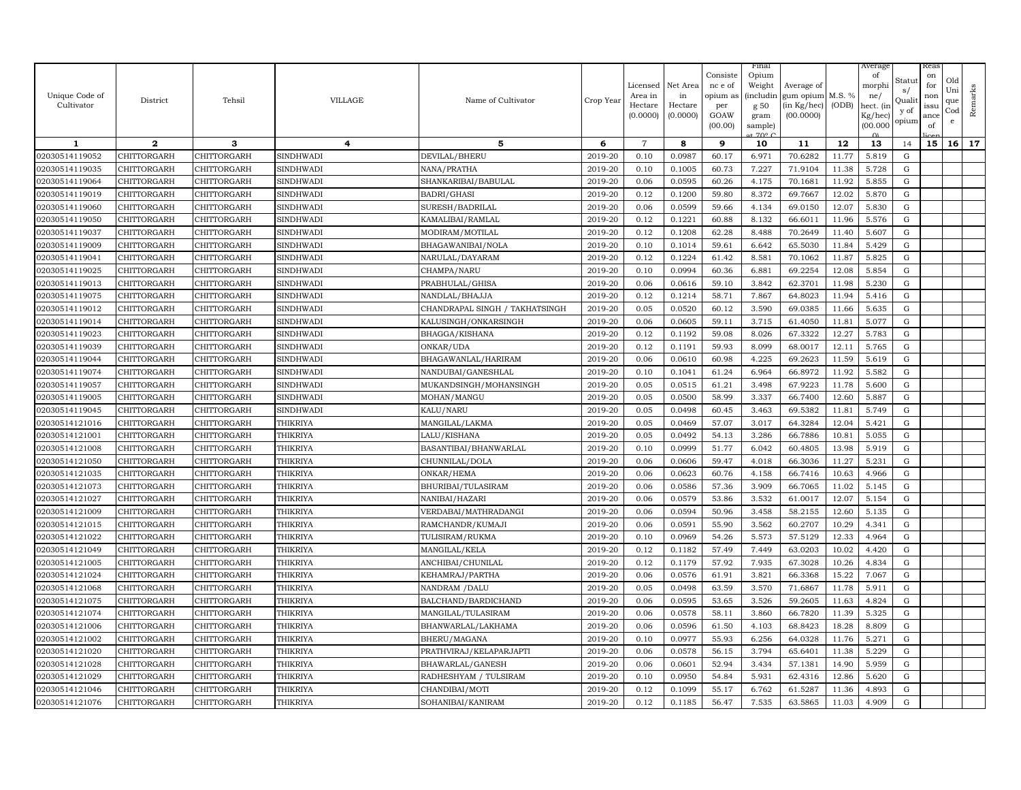| Unique Code of<br>Cultivator | District       | Tehsil      | VILLAGE          | Name of Cultivator             | Crop Year | Licensed<br>Area in<br>Hectare<br>(0.0000) | Net Area<br>in<br>Hectare<br>(0.0000) | Consiste<br>nc e of<br>opium as<br>per<br>GOAW<br>(00.00) | Final<br>Opium<br>Weight<br><i>(includin</i><br>g 50<br>gram<br>sample)<br>$70^\circ$ | Average of<br>gum opium M.S. %<br>(in Kg/hec)<br>(00.0000) | (ODB) | Averag<br>of<br>morphi<br>ne/<br>hect. (in<br>Kg/hec<br>(00.000) | Statut<br>s/<br>Quali<br>y of<br>opium | on<br>for<br>noi<br>isst<br>ance<br>of | Dld<br>Uni<br>que | Remarks |
|------------------------------|----------------|-------------|------------------|--------------------------------|-----------|--------------------------------------------|---------------------------------------|-----------------------------------------------------------|---------------------------------------------------------------------------------------|------------------------------------------------------------|-------|------------------------------------------------------------------|----------------------------------------|----------------------------------------|-------------------|---------|
| -1                           | $\overline{2}$ | з           | 4                | 5                              | 6         | $\overline{7}$                             | 8                                     | 9                                                         | 10                                                                                    | 11                                                         | 12    | 13                                                               | 14                                     | 15                                     | 16 <sup>1</sup>   | 17      |
| 02030514119052               | CHITTORGARH    | CHITTORGARH | SINDHWADI        | DEVILAL/BHERU                  | 2019-20   | 0.10                                       | 0.0987                                | 60.17                                                     | 6.971                                                                                 | 70.6282                                                    | 11.77 | 5.819                                                            | G                                      |                                        |                   |         |
| 02030514119035               | CHITTORGARH    | CHITTORGARH | <b>SINDHWADI</b> | NANA/PRATHA                    | 2019-20   | 0.10                                       | 0.1005                                | 60.73                                                     | 7.227                                                                                 | 71.9104                                                    | 11.38 | 5.728                                                            | G                                      |                                        |                   |         |
| 02030514119064               | CHITTORGARH    | CHITTORGARH | SINDHWADI        | SHANKARIBAI/BABULAL            | 2019-20   | 0.06                                       | 0.0595                                | 60.26                                                     | 4.175                                                                                 | 70.1681                                                    | 11.92 | 5.855                                                            | G                                      |                                        |                   |         |
| 02030514119019               | CHITTORGARH    | CHITTORGARH | <b>SINDHWADI</b> | BADRI/GHASI                    | 2019-20   | 0.12                                       | 0.1200                                | 59.80                                                     | 8.372                                                                                 | 69.7667                                                    | 12.02 | 5.870                                                            | ${\rm G}$                              |                                        |                   |         |
| 02030514119060               | CHITTORGARH    | CHITTORGARH | SINDHWADI        | SURESH/BADRILAL                | 2019-20   | 0.06                                       | 0.0599                                | 59.66                                                     | 4.134                                                                                 | 69.0150                                                    | 12.07 | 5.830                                                            | G                                      |                                        |                   |         |
| 02030514119050               | CHITTORGARH    | CHITTORGARH | SINDHWADI        | KAMALIBAI/RAMLAL               | 2019-20   | 0.12                                       | 0.1221                                | 60.88                                                     | 8.132                                                                                 | 66.6011                                                    | 11.96 | 5.576                                                            | G                                      |                                        |                   |         |
| 02030514119037               | CHITTORGARH    | CHITTORGARH | SINDHWADI        | MODIRAM/MOTILAL                | 2019-20   | 0.12                                       | 0.1208                                | 62.28                                                     | 8.488                                                                                 | 70.2649                                                    | 11.40 | 5.607                                                            | ${\rm G}$                              |                                        |                   |         |
| 02030514119009               | CHITTORGARH    | CHITTORGARH | SINDHWADI        | BHAGAWANIBAI/NOLA              | 2019-20   | 0.10                                       | 0.1014                                | 59.61                                                     | 6.642                                                                                 | 65.5030                                                    | 11.84 | 5.429                                                            | G                                      |                                        |                   |         |
| 02030514119041               | CHITTORGARH    | CHITTORGARH | SINDHWADI        | NARULAL/DAYARAM                | 2019-20   | 0.12                                       | 0.1224                                | 61.42                                                     | 8.581                                                                                 | 70.1062                                                    | 11.87 | 5.825                                                            | ${\rm G}$                              |                                        |                   |         |
| 02030514119025               | CHITTORGARH    | CHITTORGARH | SINDHWADI        | CHAMPA/NARU                    | 2019-20   | 0.10                                       | 0.0994                                | 60.36                                                     | 6.881                                                                                 | 69.2254                                                    | 12.08 | 5.854                                                            | G                                      |                                        |                   |         |
| 02030514119013               | CHITTORGARH    | CHITTORGARH | <b>SINDHWADI</b> | PRABHULAL/GHISA                | 2019-20   | 0.06                                       | 0.0616                                | 59.10                                                     | 3.842                                                                                 | 62.3701                                                    | 11.98 | 5.230                                                            | ${\rm G}$                              |                                        |                   |         |
| 02030514119075               | CHITTORGARH    | CHITTORGARH | SINDHWADI        | NANDLAL/BHAJJA                 | 2019-20   | 0.12                                       | 0.1214                                | 58.71                                                     | 7.867                                                                                 | 64.8023                                                    | 11.94 | 5.416                                                            | ${\rm G}$                              |                                        |                   |         |
| 02030514119012               | CHITTORGARH    | CHITTORGARH | SINDHWADI        | CHANDRAPAL SINGH / TAKHATSINGH | 2019-20   | 0.05                                       | 0.0520                                | 60.12                                                     | 3.590                                                                                 | 69.0385                                                    | 11.66 | 5.635                                                            | ${\rm G}$                              |                                        |                   |         |
| 02030514119014               | CHITTORGARH    | CHITTORGARH | SINDHWADI        | KALUSINGH/ONKARSINGH           | 2019-20   | 0.06                                       | 0.0605                                | 59.11                                                     | 3.715                                                                                 | 61.4050                                                    | 11.81 | 5.077                                                            | G                                      |                                        |                   |         |
| 02030514119023               | CHITTORGARH    | CHITTORGARH | SINDHWADI        | BHAGGA/KISHANA                 | 2019-20   | 0.12                                       | 0.1192                                | 59.08                                                     | 8.026                                                                                 | 67.3322                                                    | 12.27 | 5.783                                                            | ${\rm G}$                              |                                        |                   |         |
| 02030514119039               | CHITTORGARH    | CHITTORGARH | SINDHWADI        | ONKAR/UDA                      | 2019-20   | 0.12                                       | 0.1191                                | 59.93                                                     | 8.099                                                                                 | 68.0017                                                    | 12.11 | 5.765                                                            | ${\rm G}$                              |                                        |                   |         |
| 02030514119044               | CHITTORGARH    | CHITTORGARH | SINDHWADI        | BHAGAWANLAL/HARIRAM            | 2019-20   | 0.06                                       | 0.0610                                | 60.98                                                     | 4.225                                                                                 | 69.2623                                                    | 11.59 | 5.619                                                            | $\mathbf G$                            |                                        |                   |         |
| 02030514119074               | CHITTORGARH    | CHITTORGARH | <b>SINDHWADI</b> | NANDUBAI/GANESHLAL             | 2019-20   | 0.10                                       | 0.1041                                | 61.24                                                     | 6.964                                                                                 | 66.8972                                                    | 11.92 | 5.582                                                            | G                                      |                                        |                   |         |
| 02030514119057               | CHITTORGARH    | CHITTORGARH | <b>SINDHWADI</b> | MUKANDSINGH/MOHANSINGH         | 2019-20   | 0.05                                       | 0.0515                                | 61.21                                                     | 3.498                                                                                 | 67.9223                                                    | 11.78 | 5.600                                                            | ${\bf G}$                              |                                        |                   |         |
| 02030514119005               | CHITTORGARH    | CHITTORGARH | SINDHWADI        | MOHAN/MANGU                    | 2019-20   | 0.05                                       | 0.0500                                | 58.99                                                     | 3.337                                                                                 | 66.7400                                                    | 12.60 | 5.887                                                            | ${\bf G}$                              |                                        |                   |         |
| 02030514119045               | CHITTORGARH    | CHITTORGARH | SINDHWADI        | KALU/NARU                      | 2019-20   | 0.05                                       | 0.0498                                | 60.45                                                     | 3.463                                                                                 | 69.5382                                                    | 11.81 | 5.749                                                            | G                                      |                                        |                   |         |
| 02030514121016               | CHITTORGARH    | CHITTORGARH | THIKRIYA         | MANGILAL/LAKMA                 | 2019-20   | 0.05                                       | 0.0469                                | 57.07                                                     | 3.017                                                                                 | 64.3284                                                    | 12.04 | 5.421                                                            | G                                      |                                        |                   |         |
| 02030514121001               | CHITTORGARH    | CHITTORGARH | THIKRIYA         | LALU/KISHANA                   | 2019-20   | 0.05                                       | 0.0492                                | 54.13                                                     | 3.286                                                                                 | 66.7886                                                    | 10.81 | 5.055                                                            | G                                      |                                        |                   |         |
| 02030514121008               | CHITTORGARH    | CHITTORGARH | THIKRIYA         | BASANTIBAI/BHANWARLAL          | 2019-20   | 0.10                                       | 0.0999                                | 51.77                                                     | 6.042                                                                                 | 60.4805                                                    | 13.98 | 5.919                                                            | ${\rm G}$                              |                                        |                   |         |
| 02030514121050               | CHITTORGARH    | CHITTORGARH | THIKRIYA         | CHUNNILAL/DOLA                 | 2019-20   | 0.06                                       | 0.0606                                | 59.47                                                     | 4.018                                                                                 | 66.3036                                                    | 11.27 | 5.231                                                            | ${\rm G}$                              |                                        |                   |         |
| 02030514121035               | CHITTORGARH    | CHITTORGARH | THIKRIYA         | ONKAR/HEMA                     | 2019-20   | 0.06                                       | 0.0623                                | 60.76                                                     | 4.158                                                                                 | 66.7416                                                    | 10.63 | 4.966                                                            | G                                      |                                        |                   |         |
| 02030514121073               | CHITTORGARH    | CHITTORGARH | THIKRIYA         | BHURIBAI/TULASIRAM             | 2019-20   | 0.06                                       | 0.0586                                | 57.36                                                     | 3.909                                                                                 | 66.7065                                                    | 11.02 | 5.145                                                            | ${\rm G}$                              |                                        |                   |         |
| 02030514121027               | CHITTORGARH    | CHITTORGARH | THIKRIYA         | NANIBAI/HAZARI                 | 2019-20   | 0.06                                       | 0.0579                                | 53.86                                                     | 3.532                                                                                 | 61.0017                                                    | 12.07 | 5.154                                                            | ${\rm G}$                              |                                        |                   |         |
| 02030514121009               | CHITTORGARH    | CHITTORGARH | THIKRIYA         | VERDABAI/MATHRADANGI           | 2019-20   | 0.06                                       | 0.0594                                | 50.96                                                     | 3.458                                                                                 | 58.2155                                                    | 12.60 | 5.135                                                            | ${\rm G}$                              |                                        |                   |         |
| 02030514121015               | CHITTORGARH    | CHITTORGARH | THIKRIYA         | RAMCHANDR/KUMAJI               | 2019-20   | 0.06                                       | 0.0591                                | 55.90                                                     | 3.562                                                                                 | 60.2707                                                    | 10.29 | 4.341                                                            | $\mathbf G$                            |                                        |                   |         |
| 02030514121022               | CHITTORGARH    | CHITTORGARH | THIKRIYA         | TULISIRAM/RUKMA                | 2019-20   | 0.10                                       | 0.0969                                | 54.26                                                     | 5.573                                                                                 | 57.5129                                                    | 12.33 | 4.964                                                            | ${\rm G}$                              |                                        |                   |         |
| 02030514121049               | CHITTORGARH    | CHITTORGARH | THIKRIYA         | MANGILAL/KELA                  | 2019-20   | 0.12                                       | 0.1182                                | 57.49                                                     | 7.449                                                                                 | 63.0203                                                    | 10.02 | 4.420                                                            | ${\rm G}$                              |                                        |                   |         |
| 02030514121005               | CHITTORGARH    | CHITTORGARH | THIKRIYA         | ANCHIBAI/CHUNILAL              | 2019-20   | 0.12                                       | 0.1179                                | 57.92                                                     | 7.935                                                                                 | 67.3028                                                    | 10.26 | 4.834                                                            | ${\rm G}$                              |                                        |                   |         |
| 02030514121024               | CHITTORGARH    | CHITTORGARH | THIKRIYA         | KEHAMRAJ/PARTHA                | 2019-20   | 0.06                                       | 0.0576                                | 61.91                                                     | 3.821                                                                                 | 66.3368                                                    | 15.22 | 7.067                                                            | G                                      |                                        |                   |         |
| 02030514121068               | CHITTORGARH    | CHITTORGARH | THIKRIYA         | NANDRAM / DALU                 | 2019-20   | 0.05                                       | 0.0498                                | 63.59                                                     | 3.570                                                                                 | 71.6867                                                    | 11.78 | 5.911                                                            | ${\bf G}$                              |                                        |                   |         |
| 02030514121075               | CHITTORGARH    | CHITTORGARH | THIKRIYA         | BALCHAND/BARDICHAND            | 2019-20   | 0.06                                       | 0.0595                                | 53.65                                                     | 3.526                                                                                 | 59.2605                                                    | 11.63 | 4.824                                                            | ${\bf G}$                              |                                        |                   |         |
| 02030514121074               | CHITTORGARH    | CHITTORGARH | THIKRIYA         | MANGILAL/TULASIRAM             | 2019-20   | 0.06                                       | 0.0578                                | 58.11                                                     | 3.860                                                                                 | 66.7820                                                    | 11.39 | 5.325                                                            | G                                      |                                        |                   |         |
| 02030514121006               | CHITTORGARH    | CHITTORGARH | THIKRIYA         | BHANWARLAL/LAKHAMA             | 2019-20   | 0.06                                       | 0.0596                                | 61.50                                                     | 4.103                                                                                 | 68.8423                                                    | 18.28 | 8.809                                                            | G                                      |                                        |                   |         |
| 02030514121002               | CHITTORGARH    | CHITTORGARH | THIKRIYA         | BHERU/MAGANA                   | 2019-20   | 0.10                                       | 0.0977                                | 55.93                                                     | 6.256                                                                                 | 64.0328                                                    | 11.76 | 5.271                                                            | G                                      |                                        |                   |         |
| 02030514121020               | CHITTORGARH    | CHITTORGARH | THIKRIYA         | PRATHVIRAJ/KELAPARJAPTI        | 2019-20   | 0.06                                       | 0.0578                                | 56.15                                                     | 3.794                                                                                 | 65.6401                                                    | 11.38 | 5.229                                                            | G                                      |                                        |                   |         |
| 02030514121028               | CHITTORGARH    | CHITTORGARH | THIKRIYA         | BHAWARLAL/GANESH               | 2019-20   | 0.06                                       | 0.0601                                | 52.94                                                     | 3.434                                                                                 | 57.1381                                                    | 14.90 | 5.959                                                            | G                                      |                                        |                   |         |
| 02030514121029               | CHITTORGARH    | CHITTORGARH | THIKRIYA         | RADHESHYAM / TULSIRAM          | 2019-20   | 0.10                                       | 0.0950                                | 54.84                                                     | 5.931                                                                                 | 62.4316                                                    | 12.86 | 5.620                                                            | G                                      |                                        |                   |         |
| 02030514121046               | CHITTORGARH    | CHITTORGARH | THIKRIYA         | CHANDIBAI/MOTI                 | 2019-20   | 0.12                                       | 0.1099                                | 55.17                                                     | 6.762                                                                                 | 61.5287                                                    | 11.36 | 4.893                                                            | ${\rm G}$                              |                                        |                   |         |
| 02030514121076               | CHITTORGARH    | CHITTORGARH | THIKRIYA         | SOHANIBAI/KANIRAM              | 2019-20   | 0.12                                       | 0.1185                                | 56.47                                                     | 7.535                                                                                 | 63.5865                                                    | 11.03 | 4.909                                                            | ${\rm G}$                              |                                        |                   |         |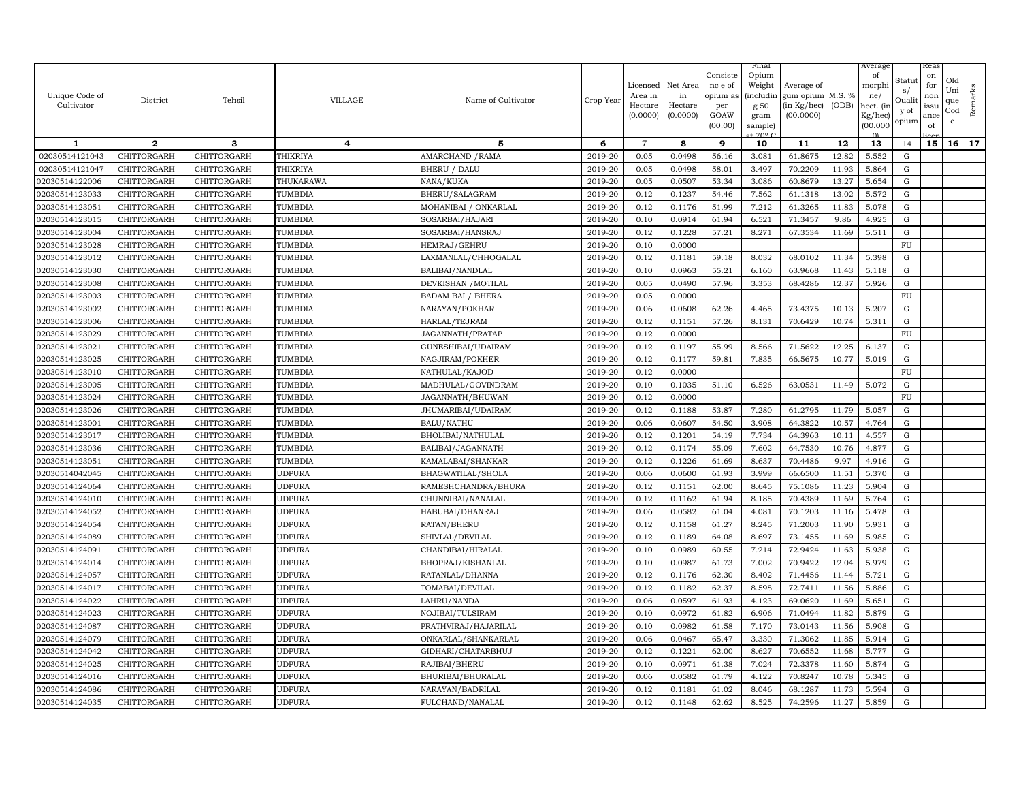| Unique Code of<br>Cultivator | District       | Tehsil      | VILLAGE         | Name of Cultivator       | Crop Year | Licensed<br>Area in<br>Hectare<br>(0.0000) | Net Area<br>in<br>Hectare<br>(0.0000) | Consiste<br>nc e of<br>opium as<br>per<br>GOAW<br>(00.00) | Final<br>Opium<br>Weight<br><i>(includin</i><br>g 50<br>gram<br>sample]<br>70° | Average of<br>gum opium M.S. %<br>(in Kg/hec)<br>(00.0000) | (ODB) | Averag<br>of<br>morphi<br>ne/<br>hect. (in<br>Kg/hec<br>(00.000) | Statut<br>s/<br>Quali<br>y of<br>opium | on<br>for<br>nor<br>isst<br>ance<br>of | Old<br>Uni<br>que<br>Cod | Remarks |
|------------------------------|----------------|-------------|-----------------|--------------------------|-----------|--------------------------------------------|---------------------------------------|-----------------------------------------------------------|--------------------------------------------------------------------------------|------------------------------------------------------------|-------|------------------------------------------------------------------|----------------------------------------|----------------------------------------|--------------------------|---------|
| 1                            | $\overline{2}$ | 3           | 4               | 5                        | 6         | $\overline{7}$                             | 8                                     | 9                                                         | 10                                                                             | 11                                                         | 12    | 13                                                               | 14                                     | 15                                     | 16 <sup>1</sup>          | 17      |
| 02030514121043               | CHITTORGARH    | CHITTORGARH | <b>THIKRIYA</b> | AMARCHAND / RAMA         | 2019-20   | 0.05                                       | 0.0498                                | 56.16                                                     | 3.081                                                                          | 61.8675                                                    | 12.82 | 5.552                                                            | $\mathbf G$                            |                                        |                          |         |
| 02030514121047               | CHITTORGARH    | CHITTORGARH | THIKRIYA        | BHERU / DALU             | 2019-20   | 0.05                                       | 0.0498                                | 58.01                                                     | 3.497                                                                          | 70.2209                                                    | 11.93 | 5.864                                                            | G                                      |                                        |                          |         |
| 02030514122006               | CHITTORGARH    | CHITTORGARH | THUKARAWA       | NANA/KUKA                | 2019-20   | 0.05                                       | 0.0507                                | 53.34                                                     | 3.086                                                                          | 60.8679                                                    | 13.27 | 5.654                                                            | G                                      |                                        |                          |         |
| 02030514123033               | CHITTORGARH    | CHITTORGARH | TUMBDIA         | BHERU/SALAGRAM           | 2019-20   | 0.12                                       | 0.1237                                | 54.46                                                     | 7.562                                                                          | 61.1318                                                    | 13.02 | 5.572                                                            | G                                      |                                        |                          |         |
| 02030514123051               | CHITTORGARH    | CHITTORGARH | TUMBDIA         | MOHANIBAI / ONKARLAL     | 2019-20   | 0.12                                       | 0.1176                                | 51.99                                                     | 7.212                                                                          | 61.3265                                                    | 11.83 | 5.078                                                            | G                                      |                                        |                          |         |
| 02030514123015               | CHITTORGARH    | CHITTORGARH | TUMBDIA         | SOSARBAI/HAJARI          | 2019-20   | 0.10                                       | 0.0914                                | 61.94                                                     | 6.521                                                                          | 71.3457                                                    | 9.86  | 4.925                                                            | G                                      |                                        |                          |         |
| 02030514123004               | CHITTORGARH    | CHITTORGARH | TUMBDIA         | SOSARBAI/HANSRAJ         | 2019-20   | 0.12                                       | 0.1228                                | 57.21                                                     | 8.271                                                                          | 67.3534                                                    | 11.69 | 5.511                                                            | G                                      |                                        |                          |         |
| 02030514123028               | CHITTORGARH    | CHITTORGARH | TUMBDIA         | HEMRAJ/GEHRU             | 2019-20   | 0.10                                       | 0.0000                                |                                                           |                                                                                |                                                            |       |                                                                  | ${\rm FU}$                             |                                        |                          |         |
| 02030514123012               | CHITTORGARH    | CHITTORGARH | TUMBDIA         | LAXMANLAL/CHHOGALAL      | 2019-20   | 0.12                                       | 0.1181                                | 59.18                                                     | 8.032                                                                          | 68.0102                                                    | 11.34 | 5.398                                                            | G                                      |                                        |                          |         |
| 02030514123030               | CHITTORGARH    | CHITTORGARH | TUMBDIA         | BALIBAI/NANDLAL          | 2019-20   | 0.10                                       | 0.0963                                | 55.21                                                     | 6.160                                                                          | 63.9668                                                    | 11.43 | 5.118                                                            | ${\rm G}$                              |                                        |                          |         |
| 02030514123008               | CHITTORGARH    | CHITTORGARH | TUMBDIA         | DEVKISHAN / MOTILAL      | 2019-20   | 0.05                                       | 0.0490                                | 57.96                                                     | 3.353                                                                          | 68.4286                                                    | 12.37 | 5.926                                                            | G                                      |                                        |                          |         |
| 02030514123003               | CHITTORGARH    | CHITTORGARH | TUMBDIA         | <b>BADAM BAI / BHERA</b> | 2019-20   | 0.05                                       | 0.0000                                |                                                           |                                                                                |                                                            |       |                                                                  | ${\rm FU}$                             |                                        |                          |         |
| 02030514123002               | CHITTORGARH    | CHITTORGARH | TUMBDIA         | NARAYAN/POKHAR           | 2019-20   | 0.06                                       | 0.0608                                | 62.26                                                     | 4.465                                                                          | 73.4375                                                    | 10.13 | 5.207                                                            | ${\rm G}$                              |                                        |                          |         |
| 02030514123006               | CHITTORGARH    | CHITTORGARH | TUMBDIA         | HARLAL/TEJRAM            | 2019-20   | 0.12                                       | 0.1151                                | 57.26                                                     | 8.131                                                                          | 70.6429                                                    | 10.74 | 5.311                                                            | G                                      |                                        |                          |         |
| 02030514123029               | CHITTORGARH    | CHITTORGARH | TUMBDIA         | JAGANNATH/PRATAP         | 2019-20   | 0.12                                       | 0.0000                                |                                                           |                                                                                |                                                            |       |                                                                  | FU                                     |                                        |                          |         |
| 02030514123021               | CHITTORGARH    | CHITTORGARH | TUMBDIA         | GUNESHIBAI/UDAIRAM       | 2019-20   | 0.12                                       | 0.1197                                | 55.99                                                     | 8.566                                                                          | 71.5622                                                    | 12.25 | 6.137                                                            | ${\rm G}$                              |                                        |                          |         |
| 02030514123025               | CHITTORGARH    | CHITTORGARH | TUMBDIA         | NAGJIRAM/POKHER          | 2019-20   | 0.12                                       | 0.1177                                | 59.81                                                     | 7.835                                                                          | 66.5675                                                    | 10.77 | 5.019                                                            | ${\rm G}$                              |                                        |                          |         |
| 02030514123010               | CHITTORGARH    | CHITTORGARH | TUMBDIA         | NATHULAL/KAJOD           | 2019-20   | 0.12                                       | 0.0000                                |                                                           |                                                                                |                                                            |       |                                                                  | ${\rm FU}$                             |                                        |                          |         |
| 02030514123005               | CHITTORGARH    | CHITTORGARH | TUMBDIA         | MADHULAL/GOVINDRAM       | 2019-20   | 0.10                                       | 0.1035                                | 51.10                                                     | 6.526                                                                          | 63.0531                                                    | 11.49 | 5.072                                                            | G                                      |                                        |                          |         |
| 02030514123024               | CHITTORGARH    | CHITTORGARH | TUMBDIA         | JAGANNATH/BHUWAN         | 2019-20   | 0.12                                       | 0.0000                                |                                                           |                                                                                |                                                            |       |                                                                  | FU                                     |                                        |                          |         |
| 02030514123026               | CHITTORGARH    | CHITTORGARH | TUMBDIA         | JHUMARIBAI/UDAIRAM       | 2019-20   | 0.12                                       | 0.1188                                | 53.87                                                     | 7.280                                                                          | 61.2795                                                    | 11.79 | 5.057                                                            | G                                      |                                        |                          |         |
| 02030514123001               | CHITTORGARH    | CHITTORGARH | TUMBDIA         | BALU/NATHU               | 2019-20   | 0.06                                       | 0.0607                                | 54.50                                                     | 3.908                                                                          | 64.3822                                                    | 10.57 | 4.764                                                            | ${\rm G}$                              |                                        |                          |         |
| 02030514123017               | CHITTORGARH    | CHITTORGARH | TUMBDIA         | BHOLIBAI/NATHULAL        | 2019-20   | 0.12                                       | 0.1201                                | 54.19                                                     | 7.734                                                                          | 64.3963                                                    | 10.11 | 4.557                                                            | ${\rm G}$                              |                                        |                          |         |
| 02030514123036               | CHITTORGARH    | CHITTORGARH | TUMBDIA         | BALIBAI/JAGANNATH        | 2019-20   | 0.12                                       | 0.1174                                | 55.09                                                     | 7.602                                                                          | 64.7530                                                    | 10.76 | 4.877                                                            | G                                      |                                        |                          |         |
| 02030514123051               | CHITTORGARH    | CHITTORGARH | TUMBDIA         | KAMALABAI/SHANKAR        | 2019-20   | 0.12                                       | 0.1226                                | 61.69                                                     | 8.637                                                                          | 70.4486                                                    | 9.97  | 4.916                                                            | G                                      |                                        |                          |         |
| 02030514042045               | CHITTORGARH    | CHITTORGARH | UDPURA          | BHAGWATILAL/SHOLA        | 2019-20   | 0.06                                       | 0.0600                                | 61.93                                                     | 3.999                                                                          | 66.6500                                                    | 11.51 | 5.370                                                            | ${\rm G}$                              |                                        |                          |         |
| 02030514124064               | CHITTORGARH    | CHITTORGARH | UDPURA          | RAMESHCHANDRA/BHURA      | 2019-20   | 0.12                                       | 0.1151                                | 62.00                                                     | 8.645                                                                          | 75.1086                                                    | 11.23 | 5.904                                                            | G                                      |                                        |                          |         |
| 02030514124010               | CHITTORGARH    | CHITTORGARH | UDPURA          | CHUNNIBAI/NANALAL        | 2019-20   | 0.12                                       | 0.1162                                | 61.94                                                     | 8.185                                                                          | 70.4389                                                    | 11.69 | 5.764                                                            | ${\rm G}$                              |                                        |                          |         |
| 02030514124052               | CHITTORGARH    | CHITTORGARH | UDPURA          | HABUBAI/DHANRAJ          | 2019-20   | 0.06                                       | 0.0582                                | 61.04                                                     | 4.081                                                                          | 70.1203                                                    | 11.16 | 5.478                                                            | G                                      |                                        |                          |         |
| 02030514124054               | CHITTORGARH    | CHITTORGARH | UDPURA          | RATAN/BHERU              | 2019-20   | 0.12                                       | 0.1158                                | 61.27                                                     | 8.245                                                                          | 71.2003                                                    | 11.90 | 5.931                                                            | ${\rm G}$                              |                                        |                          |         |
| 02030514124089               | CHITTORGARH    | CHITTORGARH | UDPURA          | SHIVLAL/DEVILAL          | 2019-20   | 0.12                                       | 0.1189                                | 64.08                                                     | 8.697                                                                          | 73.1455                                                    | 11.69 | 5.985                                                            | G                                      |                                        |                          |         |
| 02030514124091               | CHITTORGARH    | CHITTORGARH | UDPURA          | CHANDIBAI/HIRALAL        | 2019-20   | 0.10                                       | 0.0989                                | 60.55                                                     | 7.214                                                                          | 72.9424                                                    | 11.63 | 5.938                                                            | ${\rm G}$                              |                                        |                          |         |
| 02030514124014               | CHITTORGARH    | CHITTORGARH | UDPURA          | BHOPRAJ/KISHANLAL        | 2019-20   | 0.10                                       | 0.0987                                | 61.73                                                     | 7.002                                                                          | 70.9422                                                    | 12.04 | 5.979                                                            | ${\rm G}$                              |                                        |                          |         |
| 02030514124057               | CHITTORGARH    | CHITTORGARH | UDPURA          | RATANLAL/DHANNA          | 2019-20   | 0.12                                       | 0.1176                                | 62.30                                                     | 8.402                                                                          | 71.4456                                                    | 11.44 | 5.721                                                            | ${\rm G}$                              |                                        |                          |         |
| 02030514124017               | CHITTORGARH    | CHITTORGARH | UDPURA          | TOMABAI/DEVILAL          | 2019-20   | 0.12                                       | 0.1182                                | 62.37                                                     | 8.598                                                                          | 72.7411                                                    | 11.56 | 5.886                                                            | ${\rm G}$                              |                                        |                          |         |
| 02030514124022               | CHITTORGARH    | CHITTORGARH | UDPURA          | LAHRU/NANDA              | 2019-20   | 0.06                                       | 0.0597                                | 61.93                                                     | 4.123                                                                          | 69.0620                                                    | 11.69 | 5.651                                                            | G                                      |                                        |                          |         |
| 02030514124023               | CHITTORGARH    | CHITTORGARH | UDPURA          | NOJIBAI/TULSIRAM         | 2019-20   | 0.10                                       | 0.0972                                | 61.82                                                     | 6.906                                                                          | 71.0494                                                    | 11.82 | 5.879                                                            | G                                      |                                        |                          |         |
| 02030514124087               | CHITTORGARH    | CHITTORGARH | UDPURA          | PRATHVIRAJ/HAJARILAL     | 2019-20   | 0.10                                       | 0.0982                                | 61.58                                                     | 7.170                                                                          | 73.0143                                                    | 11.56 | 5.908                                                            | G                                      |                                        |                          |         |
| 02030514124079               | CHITTORGARH    | CHITTORGARH | UDPURA          | ONKARLAL/SHANKARLAL      | 2019-20   | 0.06                                       | 0.0467                                | 65.47                                                     | 3.330                                                                          | 71.3062                                                    | 11.85 | 5.914                                                            | ${\rm G}$                              |                                        |                          |         |
| 02030514124042               | CHITTORGARH    | CHITTORGARH | UDPURA          | GIDHARI/CHATARBHUJ       | 2019-20   | 0.12                                       | 0.1221                                | 62.00                                                     | 8.627                                                                          | 70.6552                                                    | 11.68 | 5.777                                                            | G                                      |                                        |                          |         |
| 02030514124025               | CHITTORGARH    | CHITTORGARH | UDPURA          | RAJIBAI/BHERU            | 2019-20   | 0.10                                       | 0.0971                                | 61.38                                                     | 7.024                                                                          | 72.3378                                                    | 11.60 | 5.874                                                            | G                                      |                                        |                          |         |
| 02030514124016               | CHITTORGARH    | CHITTORGARH | UDPURA          | BHURIBAI/BHURALAL        | 2019-20   | 0.06                                       | 0.0582                                | 61.79                                                     | 4.122                                                                          | 70.8247                                                    | 10.78 | 5.345                                                            | ${\rm G}$                              |                                        |                          |         |
| 02030514124086               | CHITTORGARH    | CHITTORGARH | UDPURA          | NARAYAN/BADRILAL         | 2019-20   | 0.12                                       | 0.1181                                | 61.02                                                     | 8.046                                                                          | 68.1287                                                    | 11.73 | 5.594                                                            | ${\rm G}$                              |                                        |                          |         |
| 02030514124035               | CHITTORGARH    | CHITTORGARH | UDPURA          | FULCHAND/NANALAL         | 2019-20   | 0.12                                       | 0.1148                                | 62.62                                                     | 8.525                                                                          | 74.2596                                                    | 11.27 | 5.859                                                            | ${\rm G}$                              |                                        |                          |         |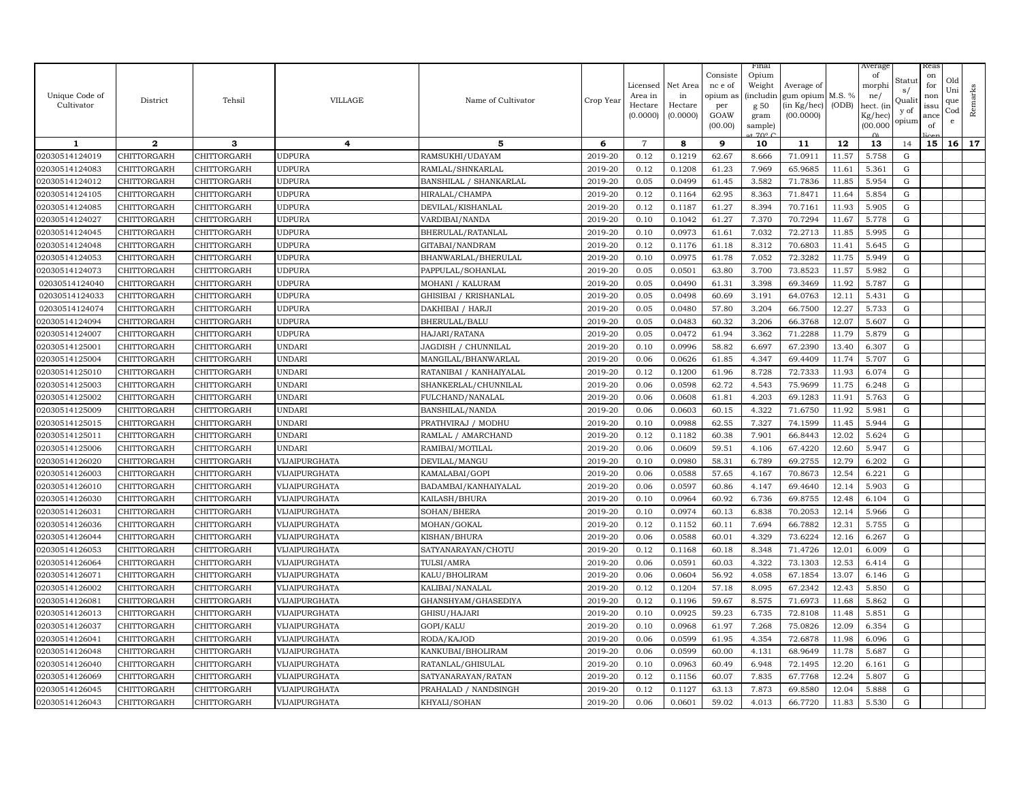| Unique Code of<br>Cultivator | District       | Tehsil             | VILLAGE       | Name of Cultivator      | Crop Year | Licensed<br>Area in<br>Hectare<br>(0.0000) | Net Area<br>in<br>Hectare<br>(0.0000) | Consiste<br>nc e of<br>opium as<br>per<br>GOAW<br>(00.00) | Final<br>Opium<br>Weight<br><i>(includin</i><br>g 50<br>gram<br>sample]<br>$70^\circ$ | Average of<br>gum opium M.S. %<br>(in Kg/hec)<br>(00.0000) | (ODB) | Averag<br>of<br>morphi<br>ne/<br>hect. (in<br>Kg/hec)<br>(00.000) | Statu<br>s/<br>Quali<br>y of<br>opium | on<br>for<br>noi<br>isst<br>ance<br>of | Old<br>Uni<br>que | Remarks |
|------------------------------|----------------|--------------------|---------------|-------------------------|-----------|--------------------------------------------|---------------------------------------|-----------------------------------------------------------|---------------------------------------------------------------------------------------|------------------------------------------------------------|-------|-------------------------------------------------------------------|---------------------------------------|----------------------------------------|-------------------|---------|
| -1                           | $\overline{2}$ | з                  | 4             | 5                       | 6         | $\overline{7}$                             | 8                                     | 9                                                         | 10                                                                                    | 11                                                         | 12    | 13                                                                | 14                                    | 15                                     | 16                | 17      |
| 02030514124019               | CHITTORGARH    | CHITTORGARH        | UDPURA        | RAMSUKHI/UDAYAM         | 2019-20   | 0.12                                       | 0.1219                                | 62.67                                                     | 8.666                                                                                 | 71.0911                                                    | 11.57 | 5.758                                                             | G                                     |                                        |                   |         |
| 02030514124083               | CHITTORGARH    | CHITTORGARH        | UDPURA        | RAMLAL/SHNKARLAL        | 2019-20   | 0.12                                       | 0.1208                                | 61.23                                                     | 7.969                                                                                 | 65.9685                                                    | 11.61 | 5.361                                                             | G                                     |                                        |                   |         |
| 02030514124012               | CHITTORGARH    | CHITTORGARH        | UDPURA        | BANSHILAL / SHANKARLAL  | 2019-20   | 0.05                                       | 0.0499                                | 61.45                                                     | 3.582                                                                                 | 71.7836                                                    | 11.85 | 5.954                                                             | G                                     |                                        |                   |         |
| 02030514124105               | CHITTORGARH    | CHITTORGARH        | <b>UDPURA</b> | HIRALAL/CHAMPA          | 2019-20   | 0.12                                       | 0.1164                                | 62.95                                                     | 8.363                                                                                 | 71.8471                                                    | 11.64 | 5.854                                                             | ${\rm G}$                             |                                        |                   |         |
| 02030514124085               | CHITTORGARH    | CHITTORGARH        | UDPURA        | DEVILAL/KISHANLAL       | 2019-20   | 0.12                                       | 0.1187                                | 61.27                                                     | 8.394                                                                                 | 70.7161                                                    | 11.93 | 5.905                                                             | G                                     |                                        |                   |         |
| 02030514124027               | CHITTORGARH    | CHITTORGARH        | UDPURA        | VARDIBAI/NANDA          | 2019-20   | 0.10                                       | 0.1042                                | 61.27                                                     | 7.370                                                                                 | 70.7294                                                    | 11.67 | 5.778                                                             | G                                     |                                        |                   |         |
| 02030514124045               | CHITTORGARH    | CHITTORGARH        | UDPURA        | BHERULAL/RATANLAL       | 2019-20   | 0.10                                       | 0.0973                                | 61.61                                                     | 7.032                                                                                 | 72.2713                                                    | 11.85 | 5.995                                                             | ${\rm G}$                             |                                        |                   |         |
| 02030514124048               | CHITTORGARH    | CHITTORGARH        | UDPURA        | GITABAI/NANDRAM         | 2019-20   | 0.12                                       | 0.1176                                | 61.18                                                     | 8.312                                                                                 | 70.6803                                                    | 11.41 | 5.645                                                             | G                                     |                                        |                   |         |
| 02030514124053               | CHITTORGARH    | CHITTORGARH        | UDPURA        | BHANWARLAL/BHERULAL     | 2019-20   | 0.10                                       | 0.0975                                | 61.78                                                     | 7.052                                                                                 | 72.3282                                                    | 11.75 | 5.949                                                             | ${\rm G}$                             |                                        |                   |         |
| 02030514124073               | CHITTORGARH    | CHITTORGARH        | UDPURA        | PAPPULAL/SOHANLAL       | 2019-20   | 0.05                                       | 0.0501                                | 63.80                                                     | 3.700                                                                                 | 73.8523                                                    | 11.57 | 5.982                                                             | G                                     |                                        |                   |         |
| 02030514124040               | CHITTORGARH    | CHITTORGARH        | UDPURA        | MOHANI / KALURAM        | 2019-20   | 0.05                                       | 0.0490                                | 61.31                                                     | 3.398                                                                                 | 69.3469                                                    | 11.92 | 5.787                                                             | G                                     |                                        |                   |         |
| 02030514124033               | CHITTORGARH    | CHITTORGARH        | UDPURA        | GHISIBAI / KRISHANLAL   | 2019-20   | 0.05                                       | 0.0498                                | 60.69                                                     | 3.191                                                                                 | 64.0763                                                    | 12.11 | 5.431                                                             | ${\rm G}$                             |                                        |                   |         |
| 02030514124074               | CHITTORGARH    | CHITTORGARH        | UDPURA        | DAKHIBAI / HARJI        | 2019-20   | 0.05                                       | 0.0480                                | 57.80                                                     | 3.204                                                                                 | 66.7500                                                    | 12.27 | 5.733                                                             | ${\rm G}$                             |                                        |                   |         |
| 02030514124094               | CHITTORGARH    | CHITTORGARH        | UDPURA        | BHERULAL/BALU           | 2019-20   | 0.05                                       | 0.0483                                | 60.32                                                     | 3.206                                                                                 | 66.3768                                                    | 12.07 | 5.607                                                             | G                                     |                                        |                   |         |
| 02030514124007               | CHITTORGARH    | CHITTORGARH        | UDPURA        | HAJARI/RATANA           | 2019-20   | 0.05                                       | 0.0472                                | 61.94                                                     | 3.362                                                                                 | 71.2288                                                    | 11.79 | 5.879                                                             | ${\rm G}$                             |                                        |                   |         |
| 02030514125001               | CHITTORGARH    | CHITTORGARH        | UNDARI        | JAGDISH / CHUNNILAL     | 2019-20   | 0.10                                       | 0.0996                                | 58.82                                                     | 6.697                                                                                 | 67.2390                                                    | 13.40 | 6.307                                                             | ${\rm G}$                             |                                        |                   |         |
| 02030514125004               | CHITTORGARH    | CHITTORGARH        | UNDARI        | MANGILAL/BHANWARLAL     | 2019-20   | 0.06                                       | 0.0626                                | 61.85                                                     | 4.347                                                                                 | 69.4409                                                    | 11.74 | 5.707                                                             | G                                     |                                        |                   |         |
| 02030514125010               | CHITTORGARH    | CHITTORGARH        | UNDARI        | RATANIBAI / KANHAIYALAL | 2019-20   | 0.12                                       | 0.1200                                | 61.96                                                     | 8.728                                                                                 | 72.7333                                                    | 11.93 | 6.074                                                             | G                                     |                                        |                   |         |
| 02030514125003               | CHITTORGARH    | CHITTORGARH        | UNDARI        | SHANKERLAL/CHUNNILAL    | 2019-20   | 0.06                                       | 0.0598                                | 62.72                                                     | 4.543                                                                                 | 75.9699                                                    | 11.75 | 6.248                                                             | ${\bf G}$                             |                                        |                   |         |
| 02030514125002               | CHITTORGARH    | CHITTORGARH        | UNDARI        | FULCHAND/NANALAL        | 2019-20   | 0.06                                       | 0.0608                                | 61.81                                                     | 4.203                                                                                 | 69.1283                                                    | 11.91 | 5.763                                                             | ${\bf G}$                             |                                        |                   |         |
| 02030514125009               | CHITTORGARH    | CHITTORGARH        | UNDARI        | BANSHILAL/NANDA         | 2019-20   | 0.06                                       | 0.0603                                | 60.15                                                     | 4.322                                                                                 | 71.6750                                                    | 11.92 | 5.981                                                             | G                                     |                                        |                   |         |
| 02030514125015               | CHITTORGARH    | CHITTORGARH        | UNDARI        | PRATHVIRAJ / MODHU      | 2019-20   | 0.10                                       | 0.0988                                | 62.55                                                     | 7.327                                                                                 | 74.1599                                                    | 11.45 | 5.944                                                             | G                                     |                                        |                   |         |
| 02030514125011               | CHITTORGARH    | CHITTORGARH        | UNDARI        | RAMLAL / AMARCHAND      | 2019-20   | 0.12                                       | 0.1182                                | 60.38                                                     | 7.901                                                                                 | 66.8443                                                    | 12.02 | 5.624                                                             | G                                     |                                        |                   |         |
| 02030514125006               | CHITTORGARH    | CHITTORGARH        | UNDARI        | RAMIBAI/MOTILAL         | 2019-20   | 0.06                                       | 0.0609                                | 59.51                                                     | 4.106                                                                                 | 67.4220                                                    | 12.60 | 5.947                                                             | ${\rm G}$                             |                                        |                   |         |
| 02030514126020               | CHITTORGARH    | CHITTORGARH        | VIJAIPURGHATA | DEVILAL/MANGU           | 2019-20   | 0.10                                       | 0.0980                                | 58.31                                                     | 6.789                                                                                 | 69.2755                                                    | 12.79 | 6.202                                                             | ${\rm G}$                             |                                        |                   |         |
| 02030514126003               | CHITTORGARH    | <b>CHITTORGARH</b> | VIJAIPURGHATA | KAMALABAI/GOPI          | 2019-20   | 0.06                                       | 0.0588                                | 57.65                                                     | 4.167                                                                                 | 70.8673                                                    | 12.54 | 6.221                                                             | G                                     |                                        |                   |         |
| 02030514126010               | CHITTORGARH    | CHITTORGARH        | VIJAIPURGHATA | BADAMBAI/KANHAIYALAL    | 2019-20   | 0.06                                       | 0.0597                                | 60.86                                                     | 4.147                                                                                 | 69.4640                                                    | 12.14 | 5.903                                                             | ${\rm G}$                             |                                        |                   |         |
| 02030514126030               | CHITTORGARH    | CHITTORGARH        | VIJAIPURGHATA | KAILASH/BHURA           | 2019-20   | 0.10                                       | 0.0964                                | 60.92                                                     | 6.736                                                                                 | 69.8755                                                    | 12.48 | 6.104                                                             | ${\rm G}$                             |                                        |                   |         |
| 02030514126031               | CHITTORGARH    | CHITTORGARH        | VIJAIPURGHATA | SOHAN/BHERA             | 2019-20   | 0.10                                       | 0.0974                                | 60.13                                                     | 6.838                                                                                 | 70.2053                                                    | 12.14 | 5.966                                                             | G                                     |                                        |                   |         |
| 02030514126036               | CHITTORGARH    | CHITTORGARH        | VIJAIPURGHATA | MOHAN/GOKAL             | 2019-20   | 0.12                                       | 0.1152                                | 60.11                                                     | 7.694                                                                                 | 66.7882                                                    | 12.31 | 5.755                                                             | $\mathbf G$                           |                                        |                   |         |
| 02030514126044               | CHITTORGARH    | CHITTORGARH        | VIJAIPURGHATA | KISHAN/BHURA            | 2019-20   | 0.06                                       | 0.0588                                | 60.01                                                     | 4.329                                                                                 | 73.6224                                                    | 12.16 | 6.267                                                             | ${\rm G}$                             |                                        |                   |         |
| 02030514126053               | CHITTORGARH    | CHITTORGARH        | VIJAIPURGHATA | SATYANARAYAN/CHOTU      | 2019-20   | 0.12                                       | 0.1168                                | 60.18                                                     | 8.348                                                                                 | 71.4726                                                    | 12.01 | 6.009                                                             | ${\rm G}$                             |                                        |                   |         |
| 02030514126064               | CHITTORGARH    | CHITTORGARH        | VIJAIPURGHATA | TULSI/AMRA              | 2019-20   | 0.06                                       | 0.0591                                | 60.03                                                     | 4.322                                                                                 | 73.1303                                                    | 12.53 | 6.414                                                             | ${\rm G}$                             |                                        |                   |         |
| 02030514126071               | CHITTORGARH    | CHITTORGARH        | VIJAIPURGHATA | KALU/BHOLIRAM           | 2019-20   | 0.06                                       | 0.0604                                | 56.92                                                     | 4.058                                                                                 | 67.1854                                                    | 13.07 | 6.146                                                             | G                                     |                                        |                   |         |
| 02030514126002               | CHITTORGARH    | CHITTORGARH        | VIJAIPURGHATA | KALIBAI/NANALAL         | 2019-20   | 0.12                                       | 0.1204                                | 57.18                                                     | 8.095                                                                                 | 67.2342                                                    | 12.43 | 5.850                                                             | ${\bf G}$                             |                                        |                   |         |
| 02030514126081               | CHITTORGARH    | CHITTORGARH        | VIJAIPURGHATA | GHANSHYAM/GHASEDIYA     | 2019-20   | 0.12                                       | 0.1196                                | 59.67                                                     | 8.575                                                                                 | 71.6973                                                    | 11.68 | 5.862                                                             | ${\bf G}$                             |                                        |                   |         |
| 02030514126013               | CHITTORGARH    | CHITTORGARH        | VIJAIPURGHATA | GHISU/HAJARI            | 2019-20   | 0.10                                       | 0.0925                                | 59.23                                                     | 6.735                                                                                 | 72.8108                                                    | 11.48 | 5.851                                                             | G                                     |                                        |                   |         |
| 02030514126037               | CHITTORGARH    | CHITTORGARH        | VIJAIPURGHATA | GOPI/KALU               | 2019-20   | 0.10                                       | 0.0968                                | 61.97                                                     | 7.268                                                                                 | 75.0826                                                    | 12.09 | 6.354                                                             | G                                     |                                        |                   |         |
| 02030514126041               | CHITTORGARH    | CHITTORGARH        | VIJAIPURGHATA | RODA/KAJOD              | 2019-20   | 0.06                                       | 0.0599                                | 61.95                                                     | 4.354                                                                                 | 72.6878                                                    | 11.98 | 6.096                                                             | G                                     |                                        |                   |         |
| 02030514126048               | CHITTORGARH    | CHITTORGARH        | VIJAIPURGHATA | KANKUBAI/BHOLIRAM       | 2019-20   | 0.06                                       | 0.0599                                | 60.00                                                     | 4.131                                                                                 | 68.9649                                                    | 11.78 | 5.687                                                             | G                                     |                                        |                   |         |
| 02030514126040               | CHITTORGARH    | CHITTORGARH        | VIJAIPURGHATA | RATANLAL/GHISULAL       | 2019-20   | 0.10                                       | 0.0963                                | 60.49                                                     | 6.948                                                                                 | 72.1495                                                    | 12.20 | 6.161                                                             | G                                     |                                        |                   |         |
| 02030514126069               | CHITTORGARH    | CHITTORGARH        | VIJAIPURGHATA | SATYANARAYAN/RATAN      | 2019-20   | 0.12                                       | 0.1156                                | 60.07                                                     | 7.835                                                                                 | 67.7768                                                    | 12.24 | 5.807                                                             | G                                     |                                        |                   |         |
| 02030514126045               | CHITTORGARH    | CHITTORGARH        | VIJAIPURGHATA | PRAHALAD / NANDSINGH    | 2019-20   | 0.12                                       | 0.1127                                | 63.13                                                     | 7.873                                                                                 | 69.8580                                                    | 12.04 | 5.888                                                             | ${\rm G}$                             |                                        |                   |         |
| 02030514126043               | CHITTORGARH    | CHITTORGARH        | VIJAIPURGHATA | KHYALI/SOHAN            | 2019-20   | 0.06                                       | 0.0601                                | 59.02                                                     | 4.013                                                                                 | 66.7720                                                    | 11.83 | 5.530                                                             | ${\rm G}$                             |                                        |                   |         |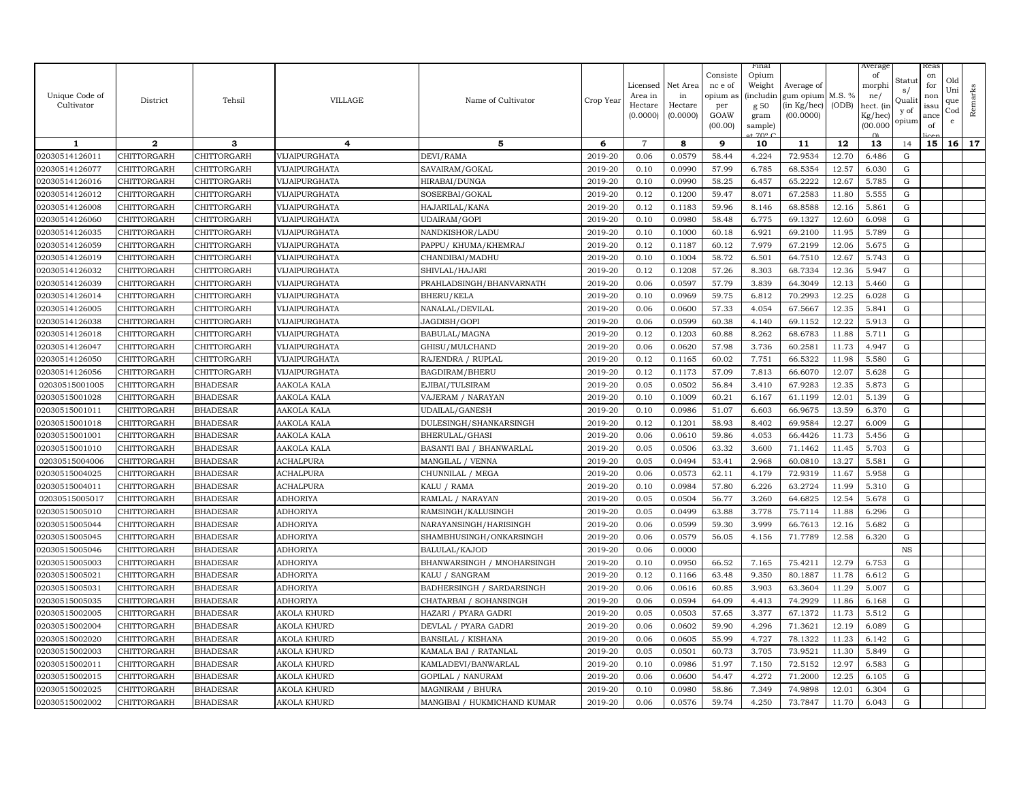| Unique Code of<br>Cultivator | District       | Tehsil             | <b>VILLAGE</b>  | Name of Cultivator          | Crop Year | Licensed<br>Area in<br>Hectare<br>(0.0000) | Net Area<br>in<br>Hectare<br>(0.0000) | Consiste<br>nc e of<br>opium as<br>per<br>GOAW<br>(00.00) | Final<br>Opium<br>Weight<br><i>(includin</i><br>g 50<br>gram<br>sample)<br>$70^\circ$ | Average of<br>gum opium M.S. %<br>(in Kg/hec)<br>(00.0000) | (ODB) | Averag<br>of<br>morphi<br>ne/<br>hect. (in<br>Kg/hec)<br>(00.000) | Statu<br>s/<br>Ouali<br>y of<br>opium | on<br>for<br>noi<br>issı<br>ance<br>of | blG<br>Uni<br>que | Remarks |
|------------------------------|----------------|--------------------|-----------------|-----------------------------|-----------|--------------------------------------------|---------------------------------------|-----------------------------------------------------------|---------------------------------------------------------------------------------------|------------------------------------------------------------|-------|-------------------------------------------------------------------|---------------------------------------|----------------------------------------|-------------------|---------|
| -1                           | $\overline{2}$ | з                  | 4               | 5                           | 6         | $\overline{7}$                             | 8                                     | 9                                                         | 10                                                                                    | 11                                                         | 12    | 13                                                                | 14                                    | 15                                     | 16 <sup>1</sup>   | 17      |
| 02030514126011               | CHITTORGARH    | CHITTORGARH        | VIJAIPURGHATA   | DEVI/RAMA                   | 2019-20   | 0.06                                       | 0.0579                                | 58.44                                                     | 4.224                                                                                 | 72.9534                                                    | 12.70 | 6.486                                                             | G                                     |                                        |                   |         |
| 02030514126077               | CHITTORGARH    | CHITTORGARH        | VIJAIPURGHATA   | SAVAIRAM/GOKAL              | 2019-20   | 0.10                                       | 0.0990                                | 57.99                                                     | 6.785                                                                                 | 68.5354                                                    | 12.57 | 6.030                                                             | G                                     |                                        |                   |         |
| 02030514126016               | CHITTORGARH    | CHITTORGARH        | VIJAIPURGHATA   | HIRABAI/DUNGA               | 2019-20   | 0.10                                       | 0.0990                                | 58.25                                                     | 6.457                                                                                 | 65.2222                                                    | 12.67 | 5.785                                                             | G                                     |                                        |                   |         |
| 02030514126012               | CHITTORGARH    | CHITTORGARH        | VIJAIPURGHATA   | SOSERBAI/GOKAL              | 2019-20   | 0.12                                       | 0.1200                                | 59.47                                                     | 8.071                                                                                 | 67.2583                                                    | 11.80 | 5.555                                                             | G                                     |                                        |                   |         |
| 02030514126008               | CHITTORGARH    | CHITTORGARH        | VIJAIPURGHATA   | HAJARILAL/KANA              | 2019-20   | 0.12                                       | 0.1183                                | 59.96                                                     | 8.146                                                                                 | 68.8588                                                    | 12.16 | 5.861                                                             | G                                     |                                        |                   |         |
| 02030514126060               | CHITTORGARH    | CHITTORGARH        | VIJAIPURGHATA   | UDAIRAM/GOPI                | 2019-20   | 0.10                                       | 0.0980                                | 58.48                                                     | 6.775                                                                                 | 69.1327                                                    | 12.60 | 6.098                                                             | G                                     |                                        |                   |         |
| 02030514126035               | CHITTORGARH    | CHITTORGARH        | VIJAIPURGHATA   | NANDKISHOR/LADU             | 2019-20   | 0.10                                       | 0.1000                                | 60.18                                                     | 6.921                                                                                 | 69.2100                                                    | 11.95 | 5.789                                                             | G                                     |                                        |                   |         |
| 02030514126059               | CHITTORGARH    | CHITTORGARH        | VIJAIPURGHATA   | PAPPU/KHUMA/KHEMRAJ         | 2019-20   | 0.12                                       | 0.1187                                | 60.12                                                     | 7.979                                                                                 | 67.2199                                                    | 12.06 | 5.675                                                             | G                                     |                                        |                   |         |
| 02030514126019               | CHITTORGARH    | CHITTORGARH        | VIJAIPURGHATA   | CHANDIBAI/MADHU             | 2019-20   | 0.10                                       | 0.1004                                | 58.72                                                     | 6.501                                                                                 | 64.7510                                                    | 12.67 | 5.743                                                             | G                                     |                                        |                   |         |
| 02030514126032               | CHITTORGARH    | CHITTORGARH        | VIJAIPURGHATA   | SHIVLAL/HAJARI              | 2019-20   | 0.12                                       | 0.1208                                | 57.26                                                     | 8.303                                                                                 | 68.7334                                                    | 12.36 | 5.947                                                             | G                                     |                                        |                   |         |
| 02030514126039               | CHITTORGARH    | <b>CHITTORGARH</b> | VIJAIPURGHATA   | PRAHLADSINGH/BHANVARNATH    | 2019-20   | 0.06                                       | 0.0597                                | 57.79                                                     | 3.839                                                                                 | 64.3049                                                    | 12.13 | 5.460                                                             | G                                     |                                        |                   |         |
| 02030514126014               | CHITTORGARH    | <b>CHITTORGARH</b> | VIJAIPURGHATA   | BHERU/KELA                  | 2019-20   | 0.10                                       | 0.0969                                | 59.75                                                     | 6.812                                                                                 | 70.2993                                                    | 12.25 | 6.028                                                             | G                                     |                                        |                   |         |
| 02030514126005               | CHITTORGARH    | CHITTORGARH        | VIJAIPURGHATA   | NANALAL/DEVILAL             | 2019-20   | 0.06                                       | 0.0600                                | 57.33                                                     | 4.054                                                                                 | 67.5667                                                    | 12.35 | 5.841                                                             | ${\rm G}$                             |                                        |                   |         |
| 02030514126038               | CHITTORGARH    | CHITTORGARH        | VIJAIPURGHATA   | JAGDISH/GOPI                | 2019-20   | 0.06                                       | 0.0599                                | 60.38                                                     | 4.140                                                                                 | 69.1152                                                    | 12.22 | 5.913                                                             | G                                     |                                        |                   |         |
| 02030514126018               | CHITTORGARH    | CHITTORGARH        | VIJAIPURGHATA   | BABULAL/MAGNA               | 2019-20   | 0.12                                       | 0.1203                                | 60.88                                                     | 8.262                                                                                 | 68.6783                                                    | 11.88 | 5.711                                                             | $\mathbf G$                           |                                        |                   |         |
| 02030514126047               | CHITTORGARH    | CHITTORGARH        | VIJAIPURGHATA   | GHISU/MULCHAND              | 2019-20   | 0.06                                       | 0.0620                                | 57.98                                                     | 3.736                                                                                 | 60.2581                                                    | 11.73 | 4.947                                                             | G                                     |                                        |                   |         |
| 02030514126050               | CHITTORGARH    | CHITTORGARH        | VIJAIPURGHATA   | RAJENDRA / RUPLAL           | 2019-20   | 0.12                                       | 0.1165                                | 60.02                                                     | 7.751                                                                                 | 66.5322                                                    | 11.98 | 5.580                                                             | ${\rm G}$                             |                                        |                   |         |
| 02030514126056               | CHITTORGARH    | CHITTORGARH        | VIJAIPURGHATA   | <b>BAGDIRAM/BHERU</b>       | 2019-20   | 0.12                                       | 0.1173                                | 57.09                                                     | 7.813                                                                                 | 66.6070                                                    | 12.07 | 5.628                                                             | $\mathbf G$                           |                                        |                   |         |
| 02030515001005               | CHITTORGARH    | <b>BHADESAR</b>    | AAKOLA KALA     | EJIBAI/TULSIRAM             | 2019-20   | 0.05                                       | 0.0502                                | 56.84                                                     | 3.410                                                                                 | 67.9283                                                    | 12.35 | 5.873                                                             | G                                     |                                        |                   |         |
| 02030515001028               | CHITTORGARH    | <b>BHADESAR</b>    | AAKOLA KALA     | VAJERAM / NARAYAN           | 2019-20   | 0.10                                       | 0.1009                                | 60.21                                                     | 6.167                                                                                 | 61.1199                                                    | 12.01 | 5.139                                                             | G                                     |                                        |                   |         |
| 02030515001011               | CHITTORGARH    | <b>BHADESAR</b>    | AAKOLA KALA     | UDAILAL/GANESH              | 2019-20   | 0.10                                       | 0.0986                                | 51.07                                                     | 6.603                                                                                 | 66.9675                                                    | 13.59 | 6.370                                                             | G                                     |                                        |                   |         |
| 02030515001018               | CHITTORGARH    | <b>BHADESAR</b>    | AAKOLA KALA     | DULESINGH/SHANKARSINGH      | 2019-20   | 0.12                                       | 0.1201                                | 58.93                                                     | 8.402                                                                                 | 69.9584                                                    | 12.27 | 6.009                                                             | G                                     |                                        |                   |         |
| 02030515001001               | CHITTORGARH    | <b>BHADESAR</b>    | AAKOLA KALA     | BHERULAL/GHASI              | 2019-20   | 0.06                                       | 0.0610                                | 59.86                                                     | 4.053                                                                                 | 66.4426                                                    | 11.73 | 5.456                                                             | G                                     |                                        |                   |         |
| 02030515001010               | CHITTORGARH    | <b>BHADESAR</b>    | AAKOLA KALA     | BASANTI BAI / BHANWARLAL    | 2019-20   | 0.05                                       | 0.0506                                | 63.32                                                     | 3.600                                                                                 | 71.1462                                                    | 11.45 | 5.703                                                             | G                                     |                                        |                   |         |
| 02030515004006               | CHITTORGARH    | <b>BHADESAR</b>    | ACHALPURA       | MANGILAL / VENNA            | 2019-20   | 0.05                                       | 0.0494                                | 53.41                                                     | 2.968                                                                                 | 60.0810                                                    | 13.27 | 5.581                                                             | G                                     |                                        |                   |         |
| 02030515004025               | CHITTORGARH    | <b>BHADESAR</b>    | ACHALPURA       | CHUNNILAL / MEGA            | 2019-20   | 0.06                                       | 0.0573                                | 62.11                                                     | 4.179                                                                                 | 72.9319                                                    | 11.67 | 5.958                                                             | ${\rm G}$                             |                                        |                   |         |
| 02030515004011               | CHITTORGARH    | <b>BHADESAR</b>    | ACHALPURA       | KALU / RAMA                 | 2019-20   | 0.10                                       | 0.0984                                | 57.80                                                     | 6.226                                                                                 | 63.2724                                                    | 11.99 | 5.310                                                             | G                                     |                                        |                   |         |
| 02030515005017               | CHITTORGARH    | <b>BHADESAR</b>    | ADHORIYA        | RAMLAL / NARAYAN            | 2019-20   | 0.05                                       | 0.0504                                | 56.77                                                     | 3.260                                                                                 | 64.6825                                                    | 12.54 | 5.678                                                             | ${\rm G}$                             |                                        |                   |         |
| 02030515005010               | CHITTORGARH    | <b>BHADESAR</b>    | ADHORIYA        | RAMSINGH/KALUSINGH          | 2019-20   | 0.05                                       | 0.0499                                | 63.88                                                     | 3.778                                                                                 | 75.7114                                                    | 11.88 | 6.296                                                             | G                                     |                                        |                   |         |
| 02030515005044               | CHITTORGARH    | <b>BHADESAR</b>    | <b>ADHORIYA</b> | NARAYANSINGH/HARISINGH      | 2019-20   | 0.06                                       | 0.0599                                | 59.30                                                     | 3.999                                                                                 | 66.7613                                                    | 12.16 | 5.682                                                             | ${\rm G}$                             |                                        |                   |         |
| 02030515005045               | CHITTORGARH    | <b>BHADESAR</b>    | ADHORIYA        | SHAMBHUSINGH/ONKARSINGH     | 2019-20   | 0.06                                       | 0.0579                                | 56.05                                                     | 4.156                                                                                 | 71.7789                                                    | 12.58 | 6.320                                                             | ${\rm G}$                             |                                        |                   |         |
| 02030515005046               | CHITTORGARH    | <b>BHADESAR</b>    | ADHORIYA        | BALULAL/KAJOD               | 2019-20   | 0.06                                       | 0.0000                                |                                                           |                                                                                       |                                                            |       |                                                                   | NS                                    |                                        |                   |         |
| 02030515005003               | CHITTORGARH    | <b>BHADESAR</b>    | ADHORIYA        | BHANWARSINGH / MNOHARSINGH  | 2019-20   | 0.10                                       | 0.0950                                | 66.52                                                     | 7.165                                                                                 | 75.4211                                                    | 12.79 | 6.753                                                             | G                                     |                                        |                   |         |
| 02030515005021               | CHITTORGARH    | <b>BHADESAR</b>    | ADHORIYA        | KALU / SANGRAM              | 2019-20   | 0.12                                       | 0.1166                                | 63.48                                                     | 9.350                                                                                 | 80.1887                                                    | 11.78 | 6.612                                                             | ${\rm G}$                             |                                        |                   |         |
| 02030515005031               | CHITTORGARH    | <b>BHADESAR</b>    | ADHORIYA        | BADHERSINGH / SARDARSINGH   | 2019-20   | 0.06                                       | 0.0616                                | 60.85                                                     | 3.903                                                                                 | 63.3604                                                    | 11.29 | 5.007                                                             | ${\rm G}$                             |                                        |                   |         |
| 02030515005035               | CHITTORGARH    | <b>BHADESAR</b>    | ADHORIYA        | CHATARBAI / SOHANSINGH      | 2019-20   | 0.06                                       | 0.0594                                | 64.09                                                     | 4.413                                                                                 | 74.2929                                                    | 11.86 | 6.168                                                             | G                                     |                                        |                   |         |
| 02030515002005               | CHITTORGARH    | <b>BHADESAR</b>    | AKOLA KHURD     | HAZARI / PYARA GADRI        | 2019-20   | 0.05                                       | 0.0503                                | 57.65                                                     | 3.377                                                                                 | 67.1372                                                    | 11.73 | 5.512                                                             | G                                     |                                        |                   |         |
| 02030515002004               | CHITTORGARH    | <b>BHADESAR</b>    | AKOLA KHURD     | DEVLAL / PYARA GADRI        | 2019-20   | 0.06                                       | 0.0602                                | 59.90                                                     | 4.296                                                                                 | 71.3621                                                    | 12.19 | 6.089                                                             | ${\bf G}$                             |                                        |                   |         |
| 02030515002020               | CHITTORGARH    | <b>BHADESAR</b>    | AKOLA KHURD     | <b>BANSILAL / KISHANA</b>   | 2019-20   | 0.06                                       | 0.0605                                | 55.99                                                     | 4.727                                                                                 | 78.1322                                                    | 11.23 | 6.142                                                             | G                                     |                                        |                   |         |
| 02030515002003               | CHITTORGARH    | <b>BHADESAR</b>    | AKOLA KHURD     | KAMALA BAI / RATANLAL       | 2019-20   | 0.05                                       | 0.0501                                | 60.73                                                     | 3.705                                                                                 | 73.9521                                                    | 11.30 | 5.849                                                             | G                                     |                                        |                   |         |
| 02030515002011               | CHITTORGARH    | <b>BHADESAR</b>    | AKOLA KHURD     | KAMLADEVI/BANWARLAL         | 2019-20   | 0.10                                       | 0.0986                                | 51.97                                                     | 7.150                                                                                 | 72.5152                                                    | 12.97 | 6.583                                                             | G                                     |                                        |                   |         |
| 02030515002015               | CHITTORGARH    | <b>BHADESAR</b>    | AKOLA KHURD     | GOPILAL / NANURAM           | 2019-20   | 0.06                                       | 0.0600                                | 54.47                                                     | 4.272                                                                                 | 71.2000                                                    | 12.25 | 6.105                                                             | G                                     |                                        |                   |         |
| 02030515002025               | CHITTORGARH    | <b>BHADESAR</b>    | AKOLA KHURD     | MAGNIRAM / BHURA            | 2019-20   | 0.10                                       | 0.0980                                | 58.86                                                     | 7.349                                                                                 | 74.9898                                                    | 12.01 | 6.304                                                             | G                                     |                                        |                   |         |
| 02030515002002               | CHITTORGARH    | <b>BHADESAR</b>    | AKOLA KHURD     | MANGIBAI / HUKMICHAND KUMAR | 2019-20   | 0.06                                       | 0.0576                                | 59.74                                                     | 4.250                                                                                 | 73.7847                                                    | 11.70 | 6.043                                                             | ${\rm G}$                             |                                        |                   |         |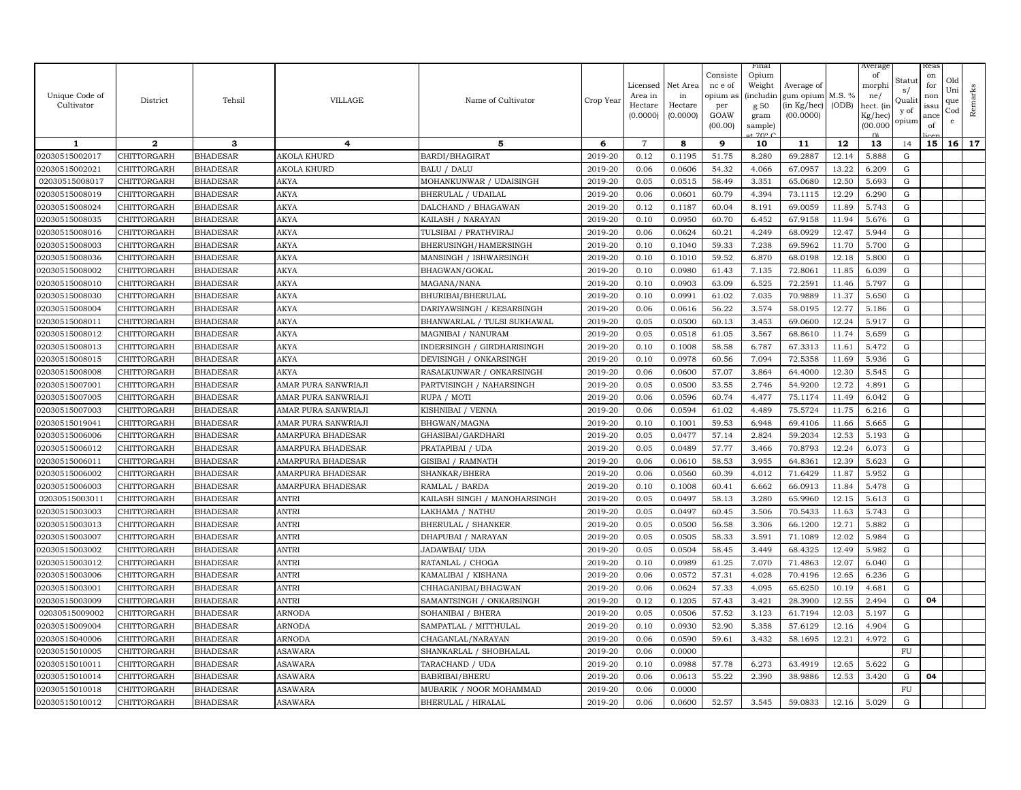| Unique Code of<br>Cultivator | District       | Tehsil          | VILLAGE             | Name of Cultivator           | Crop Year | Licensed<br>Area in<br>Hectare<br>(0.0000) | Net Area<br>in<br>Hectare<br>(0.0000) | Consiste<br>nc e of<br>opium as<br>per<br>GOAW<br>(00.00) | Final<br>Opium<br>Weight<br><i>(includin</i><br>g 50<br>gram<br>sample]<br>70° | Average of<br>gum opium M.S. %<br>(in Kg/hec)<br>(00.0000) | (ODB) | <b>Averag</b><br>of<br>morphi<br>ne/<br>aect. (ir<br>Kg/hec)<br>(00.000) | Statu<br>s/<br>Quali<br>y of<br>opium | on<br>for<br>noi<br>isst<br>ance<br>of | Old<br>Uni<br>que | Remarks |
|------------------------------|----------------|-----------------|---------------------|------------------------------|-----------|--------------------------------------------|---------------------------------------|-----------------------------------------------------------|--------------------------------------------------------------------------------|------------------------------------------------------------|-------|--------------------------------------------------------------------------|---------------------------------------|----------------------------------------|-------------------|---------|
| 1                            | $\overline{a}$ | 3               | $\overline{4}$      | 5                            | 6         | $\overline{7}$                             | 8                                     | 9                                                         | 10                                                                             | 11                                                         | 12    | 13                                                                       | 14                                    | 15                                     | 16                | 17      |
| 02030515002017               | CHITTORGARH    | <b>BHADESAR</b> | <b>AKOLA KHURD</b>  | BARDI/BHAGIRAT               | 2019-20   | 0.12                                       | 0.1195                                | 51.75                                                     | 8.280                                                                          | 69.2887                                                    | 12.14 | 5.888                                                                    | G                                     |                                        |                   |         |
| 02030515002021               | CHITTORGARH    | BHADESAR        | <b>AKOLA KHURD</b>  | BALU / DALU                  | 2019-20   | 0.06                                       | 0.0606                                | 54.32                                                     | 4.066                                                                          | 67.0957                                                    | 13.22 | 6.209                                                                    | G                                     |                                        |                   |         |
| 02030515008017               | CHITTORGARH    | <b>BHADESAR</b> | AKYA                | MOHANKUNWAR / UDAISINGH      | 2019-20   | 0.05                                       | 0.0515                                | 58.49                                                     | 3.351                                                                          | 65.0680                                                    | 12.50 | 5.693                                                                    | G                                     |                                        |                   |         |
| 02030515008019               | CHITTORGARH    | <b>BHADESAR</b> | AKYA                | BHERULAL / UDAILAL           | 2019-20   | 0.06                                       | 0.0601                                | 60.79                                                     | 4.394                                                                          | 73.1115                                                    | 12.29 | 6.290                                                                    | G                                     |                                        |                   |         |
| 02030515008024               | CHITTORGARH    | <b>BHADESAR</b> | AKYA                | DALCHAND / BHAGAWAN          | 2019-20   | 0.12                                       | 0.1187                                | 60.04                                                     | 8.191                                                                          | 69.0059                                                    | 11.89 | 5.743                                                                    | G                                     |                                        |                   |         |
| 02030515008035               | CHITTORGARH    | <b>BHADESAR</b> | AKYA                | KAILASH / NARAYAN            | 2019-20   | 0.10                                       | 0.0950                                | 60.70                                                     | 6.452                                                                          | 67.9158                                                    | 11.94 | 5.676                                                                    | G                                     |                                        |                   |         |
| 02030515008016               | CHITTORGARH    | <b>BHADESAR</b> | AKYA                | TULSIBAI / PRATHVIRAJ        | 2019-20   | 0.06                                       | 0.0624                                | 60.21                                                     | 4.249                                                                          | 68.0929                                                    | 12.47 | 5.944                                                                    | G                                     |                                        |                   |         |
| 02030515008003               | CHITTORGARH    | <b>BHADESAR</b> | AKYA                | BHERUSINGH/HAMERSINGH        | 2019-20   | 0.10                                       | 0.1040                                | 59.33                                                     | 7.238                                                                          | 69.5962                                                    | 11.70 | 5.700                                                                    | G                                     |                                        |                   |         |
| 02030515008036               | CHITTORGARH    | <b>BHADESAR</b> | AKYA                | MANSINGH / ISHWARSINGH       | 2019-20   | 0.10                                       | 0.1010                                | 59.52                                                     | 6.870                                                                          | 68.0198                                                    | 12.18 | 5.800                                                                    | G                                     |                                        |                   |         |
| 02030515008002               | CHITTORGARH    | BHADESAR        | AKYA                | BHAGWAN/GOKAL                | 2019-20   | 0.10                                       | 0.0980                                | 61.43                                                     | 7.135                                                                          | 72.8061                                                    | 11.85 | 6.039                                                                    | G                                     |                                        |                   |         |
| 02030515008010               | CHITTORGARH    | <b>BHADESAR</b> | AKYA                | MAGANA/NANA                  | 2019-20   | 0.10                                       | 0.0903                                | 63.09                                                     | 6.525                                                                          | 72.2591                                                    | 11.46 | 5.797                                                                    | ${\rm G}$                             |                                        |                   |         |
| 02030515008030               | CHITTORGARH    | <b>BHADESAR</b> | AKYA                | BHURIBAI/BHERULAL            | 2019-20   | 0.10                                       | 0.0991                                | 61.02                                                     | 7.035                                                                          | 70.9889                                                    | 11.37 | 5.650                                                                    | ${\rm G}$                             |                                        |                   |         |
| 02030515008004               | CHITTORGARH    | <b>BHADESAR</b> | AKYA                | DARIYAWSINGH / KESARSINGH    | 2019-20   | 0.06                                       | 0.0616                                | 56.22                                                     | 3.574                                                                          | 58.0195                                                    | 12.77 | 5.186                                                                    | G                                     |                                        |                   |         |
| 02030515008011               | CHITTORGARH    | <b>BHADESAR</b> | AKYA                | BHANWARLAL / TULSI SUKHAWAL  | 2019-20   | 0.05                                       | 0.0500                                | 60.13                                                     | 3.453                                                                          | 69.0600                                                    | 12.24 | 5.917                                                                    | G                                     |                                        |                   |         |
| 02030515008012               | CHITTORGARH    | BHADESAR        | AKYA                | MAGNIBAI / NANURAM           | 2019-20   | 0.05                                       | 0.0518                                | 61.05                                                     | 3.567                                                                          | 68.8610                                                    | 11.74 | 5.659                                                                    | ${\rm G}$                             |                                        |                   |         |
| 02030515008013               | CHITTORGARH    | <b>BHADESAR</b> | AKYA                | INDERSINGH / GIRDHARISINGH   | 2019-20   | 0.10                                       | 0.1008                                | 58.58                                                     | 6.787                                                                          | 67.3313                                                    | 11.61 | 5.472                                                                    | ${\rm G}$                             |                                        |                   |         |
| 02030515008015               | CHITTORGARH    | <b>BHADESAR</b> | AKYA                | DEVISINGH / ONKARSINGH       | 2019-20   | 0.10                                       | 0.0978                                | 60.56                                                     | 7.094                                                                          | 72.5358                                                    | 11.69 | 5.936                                                                    | ${\rm G}$                             |                                        |                   |         |
| 02030515008008               | CHITTORGARH    | <b>BHADESAR</b> | <b>AKYA</b>         | RASALKUNWAR / ONKARSINGH     | 2019-20   | 0.06                                       | 0.0600                                | 57.07                                                     | 3.864                                                                          | 64.4000                                                    | 12.30 | 5.545                                                                    | G                                     |                                        |                   |         |
| 02030515007001               | CHITTORGARH    | <b>BHADESAR</b> | AMAR PURA SANWRIAJI | PARTVISINGH / NAHARSINGH     | 2019-20   | 0.05                                       | 0.0500                                | 53.55                                                     | 2.746                                                                          | 54.9200                                                    | 12.72 | 4.891                                                                    | ${\rm G}$                             |                                        |                   |         |
| 02030515007005               | CHITTORGARH    | <b>BHADESAR</b> | AMAR PURA SANWRIAJI | RUPA / MOTI                  | 2019-20   | 0.06                                       | 0.0596                                | 60.74                                                     | 4.477                                                                          | 75.1174                                                    | 11.49 | 6.042                                                                    | G                                     |                                        |                   |         |
| 02030515007003               | CHITTORGARH    | <b>BHADESAR</b> | AMAR PURA SANWRIAJI | KISHNIBAI / VENNA            | 2019-20   | 0.06                                       | 0.0594                                | 61.02                                                     | 4.489                                                                          | 75.5724                                                    | 11.75 | 6.216                                                                    | G                                     |                                        |                   |         |
| 02030515019041               | CHITTORGARH    | <b>BHADESAR</b> | AMAR PURA SANWRIAJI | BHGWAN/MAGNA                 | 2019-20   | 0.10                                       | 0.1001                                | 59.53                                                     | 6.948                                                                          | 69.4106                                                    | 11.66 | 5.665                                                                    | G                                     |                                        |                   |         |
| 02030515006006               | CHITTORGARH    | BHADESAR        | AMARPURA BHADESAR   | GHASIBAI/GARDHARI            | 2019-20   | 0.05                                       | 0.0477                                | 57.14                                                     | 2.824                                                                          | 59.2034                                                    | 12.53 | 5.193                                                                    | G                                     |                                        |                   |         |
| 02030515006012               | CHITTORGARH    | <b>BHADESAR</b> | AMARPURA BHADESAR   | PRATAPIBAI / UDA             | 2019-20   | 0.05                                       | 0.0489                                | 57.77                                                     | 3.466                                                                          | 70.8793                                                    | 12.24 | 6.073                                                                    | G                                     |                                        |                   |         |
| 02030515006011               | CHITTORGARH    | <b>BHADESAR</b> | AMARPURA BHADESAR   | GISIBAI / RAMNATH            | 2019-20   | 0.06                                       | 0.0610                                | 58.53                                                     | 3.955                                                                          | 64.8361                                                    | 12.39 | 5.623                                                                    | ${\rm G}$                             |                                        |                   |         |
| 02030515006002               | CHITTORGARH    | <b>BHADESAR</b> | AMARPURA BHADESAR   | SHANKAR/BHERA                | 2019-20   | 0.06                                       | 0.0560                                | 60.39                                                     | 4.012                                                                          | 71.6429                                                    | 11.87 | 5.952                                                                    | G                                     |                                        |                   |         |
| 02030515006003               | CHITTORGARH    | <b>BHADESAR</b> | AMARPURA BHADESAR   | RAMLAL / BARDA               | 2019-20   | 0.10                                       | 0.1008                                | 60.41                                                     | 6.662                                                                          | 66.0913                                                    | 11.84 | 5.478                                                                    | ${\rm G}$                             |                                        |                   |         |
| 02030515003011               | CHITTORGARH    | <b>BHADESAR</b> | <b>ANTRI</b>        | KAILASH SINGH / MANOHARSINGH | 2019-20   | 0.05                                       | 0.0497                                | 58.13                                                     | 3.280                                                                          | 65.9960                                                    | 12.15 | 5.613                                                                    | ${\rm G}$                             |                                        |                   |         |
| 02030515003003               | CHITTORGARH    | <b>BHADESAR</b> | ANTRI               | LAKHAMA / NATHU              | 2019-20   | 0.05                                       | 0.0497                                | 60.45                                                     | 3.506                                                                          | 70.5433                                                    | 11.63 | 5.743                                                                    | G                                     |                                        |                   |         |
| 02030515003013               | CHITTORGARH    | <b>BHADESAR</b> | <b>ANTRI</b>        | <b>BHERULAL / SHANKER</b>    | 2019-20   | 0.05                                       | 0.0500                                | 56.58                                                     | 3.306                                                                          | 66.1200                                                    | 12.71 | 5.882                                                                    | G                                     |                                        |                   |         |
| 02030515003007               | CHITTORGARH    | <b>BHADESAR</b> | ANTRI               | DHAPUBAI / NARAYAN           | 2019-20   | 0.05                                       | 0.0505                                | 58.33                                                     | 3.591                                                                          | 71.1089                                                    | 12.02 | 5.984                                                                    | ${\rm G}$                             |                                        |                   |         |
| 02030515003002               | CHITTORGARH    | <b>BHADESAR</b> | ANTRI               | JADAWBAI/ UDA                | 2019-20   | 0.05                                       | 0.0504                                | 58.45                                                     | 3.449                                                                          | 68.4325                                                    | 12.49 | 5.982                                                                    | ${\rm G}$                             |                                        |                   |         |
| 02030515003012               | CHITTORGARH    | <b>BHADESAR</b> | <b>ANTRI</b>        | RATANLAL / CHOGA             | 2019-20   | 0.10                                       | 0.0989                                | 61.25                                                     | 7.070                                                                          | 71.4863                                                    | 12.07 | 6.040                                                                    | G                                     |                                        |                   |         |
| 02030515003006               | CHITTORGARH    | BHADESAR        | ANTRI               | KAMALIBAI / KISHANA          | 2019-20   | 0.06                                       | 0.0572                                | 57.31                                                     | 4.028                                                                          | 70.4196                                                    | 12.65 | 6.236                                                                    | G                                     |                                        |                   |         |
| 02030515003001               | CHITTORGARH    | <b>BHADESAR</b> | <b>ANTRI</b>        | CHHAGANIBAI/BHAGWAN          | 2019-20   | 0.06                                       | 0.0624                                | 57.33                                                     | 4.095                                                                          | 65.6250                                                    | 10.19 | 4.681                                                                    | G                                     |                                        |                   |         |
| 02030515003009               | CHITTORGARH    | <b>BHADESAR</b> | <b>ANTRI</b>        | SAMANTSINGH / ONKARSINGH     | 2019-20   | 0.12                                       | 0.1205                                | 57.43                                                     | 3.421                                                                          | 28.3900                                                    | 12.55 | 2.494                                                                    | ${\rm G}$                             | 04                                     |                   |         |
| 02030515009002               | CHITTORGARH    | <b>BHADESAR</b> | ARNODA              | SOHANIBAI / BHERA            | 2019-20   | 0.05                                       | 0.0506                                | 57.52                                                     | 3.123                                                                          | 61.7194                                                    | 12.03 | 5.197                                                                    | G                                     |                                        |                   |         |
| 02030515009004               | CHITTORGARH    | BHADESAR        | ARNODA              | SAMPATLAL / MITTHULAL        | 2019-20   | 0.10                                       | 0.0930                                | 52.90                                                     | 5.358                                                                          | 57.6129                                                    | 12.16 | 4.904                                                                    | G                                     |                                        |                   |         |
| 02030515040006               | CHITTORGARH    | <b>BHADESAR</b> | ARNODA              | CHAGANLAL/NARAYAN            | 2019-20   | 0.06                                       | 0.0590                                | 59.61                                                     | 3.432                                                                          | 58.1695                                                    | 12.21 | 4.972                                                                    | G                                     |                                        |                   |         |
| 02030515010005               | CHITTORGARH    | <b>BHADESAR</b> | <b>ASAWARA</b>      | SHANKARLAL / SHOBHALAL       | 2019-20   | 0.06                                       | 0.0000                                |                                                           |                                                                                |                                                            |       |                                                                          | ${\rm FU}$                            |                                        |                   |         |
| 02030515010011               | CHITTORGARH    | <b>BHADESAR</b> | <b>ASAWARA</b>      | TARACHAND / UDA              | 2019-20   | 0.10                                       | 0.0988                                | 57.78                                                     | 6.273                                                                          | 63.4919                                                    | 12.65 | 5.622                                                                    | G                                     |                                        |                   |         |
| 02030515010014               | CHITTORGARH    | BHADESAR        | ASAWARA             | BABRIBAI/BHERU               | 2019-20   | 0.06                                       | 0.0613                                | 55.22                                                     | 2.390                                                                          | 38.9886                                                    | 12.53 | 3.420                                                                    | G                                     | 04                                     |                   |         |
| 02030515010018               | CHITTORGARH    | <b>BHADESAR</b> | <b>ASAWARA</b>      | MUBARIK / NOOR MOHAMMAD      | 2019-20   | 0.06                                       | 0.0000                                |                                                           |                                                                                |                                                            |       |                                                                          | ${\rm FU}$                            |                                        |                   |         |
| 02030515010012               | CHITTORGARH    | <b>BHADESAR</b> | <b>ASAWARA</b>      | BHERULAL / HIRALAL           | 2019-20   | 0.06                                       | 0.0600                                | 52.57                                                     | 3.545                                                                          | 59.0833                                                    | 12.16 | 5.029                                                                    | ${\rm G}$                             |                                        |                   |         |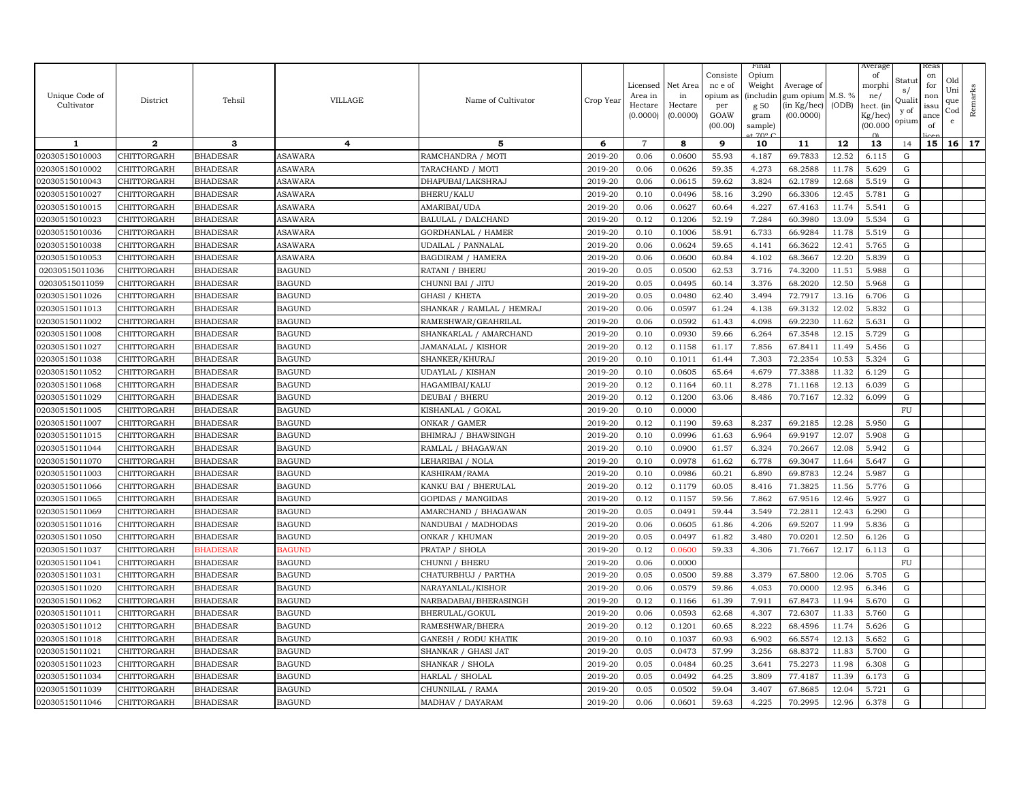| Unique Code of<br>Cultivator | District       | Tehsil          | VILLAGE        | Name of Cultivator        | Crop Year | Licensed<br>Area in<br>Hectare<br>(0.0000) | Net Area<br>in<br>Hectare<br>(0.0000) | Consiste<br>nc e of<br>opium as<br>per<br>GOAW<br>(00.00) | Final<br>Opium<br>Weight<br><i>(includin</i><br>g 50<br>gram<br>sample<br>70° | Average of<br>gum opium M.S. %<br>(in Kg/hec)<br>(00.0000) | (ODB) | Averag<br>of<br>morphi<br>ne/<br>hect. (ir<br>Kg/hec<br>(00.000) | Statu<br>s/<br>Quali<br>y of<br>opium | on<br>for<br>non<br>issu<br>ance<br>of | Old<br>'Ini<br>que<br>Cod | Remarks |
|------------------------------|----------------|-----------------|----------------|---------------------------|-----------|--------------------------------------------|---------------------------------------|-----------------------------------------------------------|-------------------------------------------------------------------------------|------------------------------------------------------------|-------|------------------------------------------------------------------|---------------------------------------|----------------------------------------|---------------------------|---------|
| -1                           | $\overline{2}$ | 3               | 4              | 5                         | 6         | $\overline{7}$                             | 8                                     | 9                                                         | 10                                                                            | 11                                                         | 12    | 13                                                               | 14                                    | 15                                     |                           | 16 17   |
| 02030515010003               | CHITTORGARH    | <b>BHADESAR</b> | ASAWARA        | RAMCHANDRA / MOTI         | 2019-20   | 0.06                                       | 0.0600                                | 55.93                                                     | 4.187                                                                         | 69.7833                                                    | 12.52 | 6.115                                                            | $\mathbf G$                           |                                        |                           |         |
| 02030515010002               | CHITTORGARH    | <b>BHADESAR</b> | ASAWARA        | TARACHAND / MOTI          | 2019-20   | 0.06                                       | 0.0626                                | 59.35                                                     | 4.273                                                                         | 68.2588                                                    | 11.78 | 5.629                                                            | ${\rm G}$                             |                                        |                           |         |
| 02030515010043               | CHITTORGARH    | <b>BHADESAR</b> | ASAWARA        | DHAPUBAI/LAKSHRAJ         | 2019-20   | 0.06                                       | 0.0615                                | 59.62                                                     | 3.824                                                                         | 62.1789                                                    | 12.68 | 5.519                                                            | G                                     |                                        |                           |         |
| 02030515010027               | CHITTORGARH    | <b>BHADESAR</b> | ASAWARA        | BHERU/KALU                | 2019-20   | 0.10                                       | 0.0496                                | 58.16                                                     | 3.290                                                                         | 66.3306                                                    | 12.45 | 5.781                                                            | G                                     |                                        |                           |         |
| 02030515010015               | CHITTORGARH    | <b>BHADESAR</b> | ASAWARA        | AMARIBAI/UDA              | 2019-20   | 0.06                                       | 0.0627                                | 60.64                                                     | 4.227                                                                         | 67.4163                                                    | 11.74 | 5.541                                                            | G                                     |                                        |                           |         |
| 02030515010023               | CHITTORGARH    | <b>BHADESAR</b> | ASAWARA        | BALULAL / DALCHAND        | 2019-20   | 0.12                                       | 0.1206                                | 52.19                                                     | 7.284                                                                         | 60.3980                                                    | 13.09 | 5.534                                                            | G                                     |                                        |                           |         |
| 02030515010036               | CHITTORGARH    | <b>BHADESAR</b> | ASAWARA        | GORDHANLAL / HAMER        | 2019-20   | 0.10                                       | 0.1006                                | 58.91                                                     | 6.733                                                                         | 66.9284                                                    | 11.78 | 5.519                                                            | G                                     |                                        |                           |         |
| 02030515010038               | CHITTORGARH    | <b>BHADESAR</b> | ASAWARA        | UDAILAL / PANNALAL        | 2019-20   | 0.06                                       | 0.0624                                | 59.65                                                     | 4.141                                                                         | 66.3622                                                    | 12.41 | 5.765                                                            | G                                     |                                        |                           |         |
| 02030515010053               | CHITTORGARH    | <b>BHADESAR</b> | <b>ASAWARA</b> | <b>BAGDIRAM / HAMERA</b>  | 2019-20   | 0.06                                       | 0.0600                                | 60.84                                                     | 4.102                                                                         | 68.3667                                                    | 12.20 | 5.839                                                            | G                                     |                                        |                           |         |
| 02030515011036               | CHITTORGARH    | <b>BHADESAR</b> | <b>BAGUND</b>  | RATANI / BHERU            | 2019-20   | 0.05                                       | 0.0500                                | 62.53                                                     | 3.716                                                                         | 74.3200                                                    | 11.51 | 5.988                                                            | G                                     |                                        |                           |         |
| 02030515011059               | CHITTORGARH    | <b>BHADESAR</b> | <b>BAGUND</b>  | CHUNNI BAI / JITU         | 2019-20   | 0.05                                       | 0.0495                                | 60.14                                                     | 3.376                                                                         | 68.2020                                                    | 12.50 | 5.968                                                            | G                                     |                                        |                           |         |
| 02030515011026               | CHITTORGARH    | <b>BHADESAR</b> | BAGUND         | GHASI / KHETA             | 2019-20   | 0.05                                       | 0.0480                                | 62.40                                                     | 3.494                                                                         | 72.7917                                                    | 13.16 | 6.706                                                            | G                                     |                                        |                           |         |
| 02030515011013               | CHITTORGARH    | <b>BHADESAR</b> | BAGUND         | SHANKAR / RAMLAL / HEMRAJ | 2019-20   | 0.06                                       | 0.0597                                | 61.24                                                     | 4.138                                                                         | 69.3132                                                    | 12.02 | 5.832                                                            | G                                     |                                        |                           |         |
| 02030515011002               | CHITTORGARH    | <b>BHADESAR</b> | BAGUND         | RAMESHWAR/GEAHRILAL       | 2019-20   | 0.06                                       | 0.0592                                | 61.43                                                     | 4.098                                                                         | 69.2230                                                    | 11.62 | 5.631                                                            | G                                     |                                        |                           |         |
| 02030515011008               | CHITTORGARH    | <b>BHADESAR</b> | <b>BAGUND</b>  | SHANKARLAL / AMARCHAND    | 2019-20   | 0.10                                       | 0.0930                                | 59.66                                                     | 6.264                                                                         | 67.3548                                                    | 12.15 | 5.729                                                            | G                                     |                                        |                           |         |
| 02030515011027               | CHITTORGARH    | <b>BHADESAR</b> | <b>BAGUND</b>  | JAMANALAL / KISHOR        | 2019-20   | 0.12                                       | 0.1158                                | 61.17                                                     | 7.856                                                                         | 67.8411                                                    | 11.49 | 5.456                                                            | ${\rm G}$                             |                                        |                           |         |
| 02030515011038               | CHITTORGARH    | <b>BHADESAR</b> | <b>BAGUND</b>  | SHANKER/KHURAJ            | 2019-20   | 0.10                                       | 0.1011                                | 61.44                                                     | 7.303                                                                         | 72.2354                                                    | 10.53 | 5.324                                                            | ${\rm G}$                             |                                        |                           |         |
| 02030515011052               | CHITTORGARH    | <b>BHADESAR</b> | <b>BAGUND</b>  | UDAYLAL / KISHAN          | 2019-20   | 0.10                                       | 0.0605                                | 65.64                                                     | 4.679                                                                         | 77.3388                                                    | 11.32 | 6.129                                                            | G                                     |                                        |                           |         |
| 02030515011068               | CHITTORGARH    | <b>BHADESAR</b> | <b>BAGUND</b>  | HAGAMIBAI/KALU            | 2019-20   | 0.12                                       | 0.1164                                | 60.11                                                     | 8.278                                                                         | 71.1168                                                    | 12.13 | 6.039                                                            | G                                     |                                        |                           |         |
| 02030515011029               | CHITTORGARH    | <b>BHADESAR</b> | <b>BAGUND</b>  | DEUBAI / BHERU            | 2019-20   | 0.12                                       | 0.1200                                | 63.06                                                     | 8.486                                                                         | 70.7167                                                    | 12.32 | 6.099                                                            | G                                     |                                        |                           |         |
| 02030515011005               | CHITTORGARH    | <b>BHADESAR</b> | <b>BAGUND</b>  | KISHANLAL / GOKAL         | 2019-20   | 0.10                                       | 0.0000                                |                                                           |                                                                               |                                                            |       |                                                                  | ${\rm FU}$                            |                                        |                           |         |
| 02030515011007               | CHITTORGARH    | <b>BHADESAR</b> | <b>BAGUND</b>  | ONKAR / GAMER             | 2019-20   | 0.12                                       | 0.1190                                | 59.63                                                     | 8.237                                                                         | 69.2185                                                    | 12.28 | 5.950                                                            | G                                     |                                        |                           |         |
| 02030515011015               | CHITTORGARH    | <b>BHADESAR</b> | <b>BAGUND</b>  | BHIMRAJ / BHAWSINGH       | 2019-20   | 0.10                                       | 0.0996                                | 61.63                                                     | 6.964                                                                         | 69.9197                                                    | 12.07 | 5.908                                                            | G                                     |                                        |                           |         |
| 02030515011044               | CHITTORGARH    | <b>BHADESAR</b> | BAGUND         | RAMLAL / BHAGAWAN         | 2019-20   | 0.10                                       | 0.0900                                | 61.57                                                     | 6.324                                                                         | 70.2667                                                    | 12.08 | 5.942                                                            | G                                     |                                        |                           |         |
| 02030515011070               | CHITTORGARH    | <b>BHADESAR</b> | <b>BAGUND</b>  | LEHARIBAI / NOLA          | 2019-20   | 0.10                                       | 0.0978                                | 61.62                                                     | 6.778                                                                         | 69.3047                                                    | 11.64 | 5.647                                                            | G                                     |                                        |                           |         |
| 02030515011003               | CHITTORGARH    | <b>BHADESAR</b> | <b>BAGUND</b>  | KASHIRAM/RAMA             | 2019-20   | 0.10                                       | 0.0986                                | 60.21                                                     | 6.890                                                                         | 69.8783                                                    | 12.24 | 5.987                                                            | G                                     |                                        |                           |         |
| 02030515011066               | CHITTORGARH    | <b>BHADESAR</b> | BAGUND         | KANKU BAI / BHERULAL      | 2019-20   | 0.12                                       | 0.1179                                | 60.05                                                     | 8.416                                                                         | 71.3825                                                    | 11.56 | 5.776                                                            | G                                     |                                        |                           |         |
| 02030515011065               | CHITTORGARH    | <b>BHADESAR</b> | BAGUND         | GOPIDAS / MANGIDAS        | 2019-20   | 0.12                                       | 0.1157                                | 59.56                                                     | 7.862                                                                         | 67.9516                                                    | 12.46 | 5.927                                                            | G                                     |                                        |                           |         |
| 02030515011069               | CHITTORGARH    | <b>BHADESAR</b> | <b>BAGUND</b>  | AMARCHAND / BHAGAWAN      | 2019-20   | 0.05                                       | 0.0491                                | 59.44                                                     | 3.549                                                                         | 72.2811                                                    | 12.43 | 6.290                                                            | G                                     |                                        |                           |         |
| 02030515011016               | CHITTORGARH    | <b>BHADESAR</b> | BAGUND         | NANDUBAI / MADHODAS       | 2019-20   | 0.06                                       | 0.0605                                | 61.86                                                     | 4.206                                                                         | 69.5207                                                    | 11.99 | 5.836                                                            | ${\rm G}$                             |                                        |                           |         |
| 02030515011050               | CHITTORGARH    | <b>BHADESAR</b> | <b>BAGUND</b>  | ONKAR / KHUMAN            | 2019-20   | 0.05                                       | 0.0497                                | 61.82                                                     | 3.480                                                                         | 70.0201                                                    | 12.50 | 6.126                                                            | $\mathbf G$                           |                                        |                           |         |
| 02030515011037               | CHITTORGARH    | <b>BHADESAR</b> | <b>BAGUND</b>  | PRATAP / SHOLA            | 2019-20   | 0.12                                       | 0.0600                                | 59.33                                                     | 4.306                                                                         | 71.7667                                                    | 12.17 | 6.113                                                            | $\mathbf G$                           |                                        |                           |         |
| 02030515011041               | CHITTORGARH    | <b>BHADESAR</b> | <b>BAGUND</b>  | CHUNNI / BHERU            | 2019-20   | 0.06                                       | 0.0000                                |                                                           |                                                                               |                                                            |       |                                                                  | ${\rm FU}$                            |                                        |                           |         |
| 02030515011031               | CHITTORGARH    | <b>BHADESAR</b> | <b>BAGUND</b>  | CHATURBHUJ / PARTHA       | 2019-20   | 0.05                                       | 0.0500                                | 59.88                                                     | 3.379                                                                         | 67.5800                                                    | 12.06 | 5.705                                                            | G                                     |                                        |                           |         |
| 02030515011020               | CHITTORGARH    | <b>BHADESAR</b> | <b>BAGUND</b>  | NARAYANLAL/KISHOR         | 2019-20   | 0.06                                       | 0.0579                                | 59.86                                                     | 4.053                                                                         | 70.0000                                                    | 12.95 | 6.346                                                            | G                                     |                                        |                           |         |
| 02030515011062               | CHITTORGARH    | <b>BHADESAR</b> | <b>BAGUND</b>  | NARBADABAI/BHERASINGH     | 2019-20   | 0.12                                       | 0.1166                                | 61.39                                                     | 7.911                                                                         | 67.8473                                                    | 11.94 | 5.670                                                            | G                                     |                                        |                           |         |
| 02030515011011               | CHITTORGARH    | <b>BHADESAR</b> | <b>BAGUND</b>  | BHERULAL/GOKUL            | 2019-20   | 0.06                                       | 0.0593                                | 62.68                                                     | 4.307                                                                         | 72.6307                                                    | 11.33 | 5.760                                                            | G                                     |                                        |                           |         |
| 02030515011012               | CHITTORGARH    | <b>BHADESAR</b> | <b>BAGUND</b>  | RAMESHWAR/BHERA           | 2019-20   | 0.12                                       | 0.1201                                | 60.65                                                     | 8.222                                                                         | 68.4596                                                    | 11.74 | 5.626                                                            | G                                     |                                        |                           |         |
| 02030515011018               | CHITTORGARH    | <b>BHADESAR</b> | <b>BAGUND</b>  | GANESH / RODU KHATIK      | 2019-20   | 0.10                                       | 0.1037                                | 60.93                                                     | 6.902                                                                         | 66.5574                                                    | 12.13 | 5.652                                                            | ${\rm G}$                             |                                        |                           |         |
| 02030515011021               | CHITTORGARH    | <b>BHADESAR</b> | BAGUND         | SHANKAR / GHASI JAT       | 2019-20   | 0.05                                       | 0.0473                                | 57.99                                                     | 3.256                                                                         | 68.8372                                                    | 11.83 | 5.700                                                            | G                                     |                                        |                           |         |
| 02030515011023               | CHITTORGARH    | <b>BHADESAR</b> | <b>BAGUND</b>  | SHANKAR / SHOLA           | 2019-20   | 0.05                                       | 0.0484                                | 60.25                                                     | 3.641                                                                         | 75.2273                                                    | 11.98 | 6.308                                                            | G                                     |                                        |                           |         |
| 02030515011034               | CHITTORGARH    | <b>BHADESAR</b> | <b>BAGUND</b>  | HARLAL / SHOLAL           | 2019-20   | 0.05                                       | 0.0492                                | 64.25                                                     | 3.809                                                                         | 77.4187                                                    | 11.39 | 6.173                                                            | G                                     |                                        |                           |         |
| 02030515011039               | CHITTORGARH    | <b>BHADESAR</b> | BAGUND         | CHUNNILAL / RAMA          | 2019-20   | 0.05                                       | 0.0502                                | 59.04                                                     | 3.407                                                                         | 67.8685                                                    | 12.04 | 5.721                                                            | G                                     |                                        |                           |         |
| 02030515011046               | CHITTORGARH    | <b>BHADESAR</b> | BAGUND         | MADHAV / DAYARAM          | 2019-20   | 0.06                                       | 0.0601                                | 59.63                                                     | 4.225                                                                         | 70.2995                                                    | 12.96 | 6.378                                                            | ${\rm G}$                             |                                        |                           |         |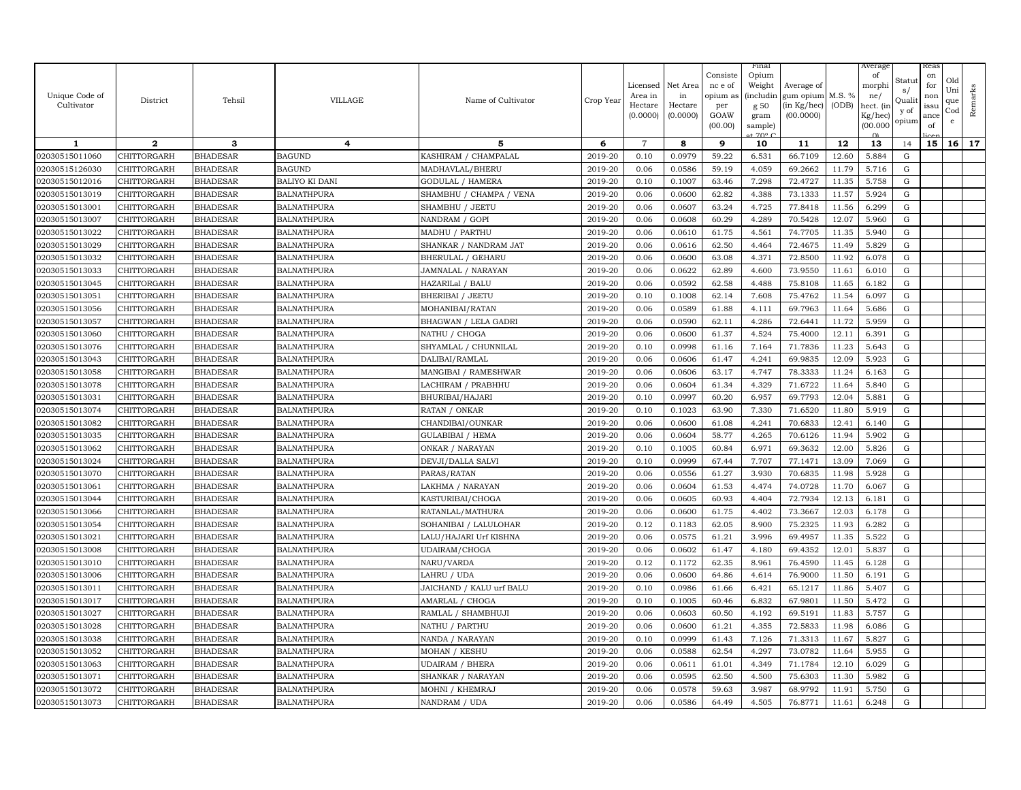| Unique Code of<br>Cultivator | District       | Tehsil          | VILLAGE            | Name of Cultivator       | Crop Year | Licensed<br>Area in<br>Hectare<br>(0.0000) | Net Area<br>in<br>Hectare<br>(0.0000) | Consiste<br>nc e of<br>opium as<br>per<br>GOAW<br>(00.00) | Final<br>Opium<br>Weight<br><i>(includin</i><br>g 50<br>gram<br>sample)<br>$70^\circ$ | Average of<br>gum opium M.S. %<br>(in Kg/hec)<br>(00.0000) | (ODB) | Average<br>of<br>morphi<br>ne/<br>hect. (in<br>Kg/hec<br>(00.000) | Statut<br>s/<br>Quali<br>y of<br>opium | on<br>for<br>nor<br>isst<br>ance<br>of | Old<br>Uni<br>que<br>Cod | Remarks |
|------------------------------|----------------|-----------------|--------------------|--------------------------|-----------|--------------------------------------------|---------------------------------------|-----------------------------------------------------------|---------------------------------------------------------------------------------------|------------------------------------------------------------|-------|-------------------------------------------------------------------|----------------------------------------|----------------------------------------|--------------------------|---------|
| -1                           | $\overline{2}$ | з               | 4                  | 5                        | 6         | $\overline{7}$                             | 8                                     | 9                                                         | 10                                                                                    | 11                                                         | 12    | 13                                                                | 14                                     | 15                                     | 16 <sup>1</sup>          | 17      |
| 02030515011060               | CHITTORGARH    | <b>BHADESAR</b> | <b>BAGUND</b>      | KASHIRAM / CHAMPALAL     | 2019-20   | 0.10                                       | 0.0979                                | 59.22                                                     | 6.531                                                                                 | 66.7109                                                    | 12.60 | 5.884                                                             | G                                      |                                        |                          |         |
| 02030515126030               | CHITTORGARH    | <b>BHADESAR</b> | <b>BAGUND</b>      | MADHAVLAL/BHERU          | 2019-20   | 0.06                                       | 0.0586                                | 59.19                                                     | 4.059                                                                                 | 69.2662                                                    | 11.79 | 5.716                                                             | G                                      |                                        |                          |         |
| 02030515012016               | CHITTORGARH    | <b>BHADESAR</b> | BALIYO KI DANI     | <b>GODULAL / HAMERA</b>  | 2019-20   | 0.10                                       | 0.1007                                | 63.46                                                     | 7.298                                                                                 | 72.4727                                                    | 11.35 | 5.758                                                             | G                                      |                                        |                          |         |
| 02030515013019               | CHITTORGARH    | <b>BHADESAR</b> | <b>BALNATHPURA</b> | SHAMBHU / CHAMPA / VENA  | 2019-20   | 0.06                                       | 0.0600                                | 62.82                                                     | 4.388                                                                                 | 73.1333                                                    | 11.57 | 5.924                                                             | ${\rm G}$                              |                                        |                          |         |
| 02030515013001               | CHITTORGARH    | <b>BHADESAR</b> | BALNATHPURA        | SHAMBHU / JEETU          | 2019-20   | 0.06                                       | 0.0607                                | 63.24                                                     | 4.725                                                                                 | 77.8418                                                    | 11.56 | 6.299                                                             | G                                      |                                        |                          |         |
| 02030515013007               | CHITTORGARH    | <b>BHADESAR</b> | BALNATHPURA        | NANDRAM / GOPI           | 2019-20   | 0.06                                       | 0.0608                                | 60.29                                                     | 4.289                                                                                 | 70.5428                                                    | 12.07 | 5.960                                                             | G                                      |                                        |                          |         |
| 02030515013022               | CHITTORGARH    | <b>BHADESAR</b> | BALNATHPURA        | MADHU / PARTHU           | 2019-20   | 0.06                                       | 0.0610                                | 61.75                                                     | 4.561                                                                                 | 74.7705                                                    | 11.35 | 5.940                                                             | ${\rm G}$                              |                                        |                          |         |
| 02030515013029               | CHITTORGARH    | <b>BHADESAR</b> | BALNATHPURA        | SHANKAR / NANDRAM JAT    | 2019-20   | 0.06                                       | 0.0616                                | 62.50                                                     | 4.464                                                                                 | 72.4675                                                    | 11.49 | 5.829                                                             | G                                      |                                        |                          |         |
| 02030515013032               | CHITTORGARH    | <b>BHADESAR</b> | <b>BALNATHPURA</b> | <b>BHERULAL / GEHARU</b> | 2019-20   | 0.06                                       | 0.0600                                | 63.08                                                     | 4.371                                                                                 | 72.8500                                                    | 11.92 | 6.078                                                             | ${\rm G}$                              |                                        |                          |         |
| 02030515013033               | CHITTORGARH    | <b>BHADESAR</b> | BALNATHPURA        | JAMNALAL / NARAYAN       | 2019-20   | 0.06                                       | 0.0622                                | 62.89                                                     | 4.600                                                                                 | 73.9550                                                    | 11.61 | 6.010                                                             | G                                      |                                        |                          |         |
| 02030515013045               | CHITTORGARH    | <b>BHADESAR</b> | <b>BALNATHPURA</b> | HAZARILal / BALU         | 2019-20   | 0.06                                       | 0.0592                                | 62.58                                                     | 4.488                                                                                 | 75.8108                                                    | 11.65 | 6.182                                                             | G                                      |                                        |                          |         |
| 02030515013051               | CHITTORGARH    | <b>BHADESAR</b> | <b>BALNATHPURA</b> | BHERIBAI / JEETU         | 2019-20   | 0.10                                       | 0.1008                                | 62.14                                                     | 7.608                                                                                 | 75.4762                                                    | 11.54 | 6.097                                                             | ${\rm G}$                              |                                        |                          |         |
| 02030515013056               | CHITTORGARH    | <b>BHADESAR</b> | BALNATHPURA        | MOHANIBAI/RATAN          | 2019-20   | 0.06                                       | 0.0589                                | 61.88                                                     | 4.111                                                                                 | 69.7963                                                    | 11.64 | 5.686                                                             | ${\rm G}$                              |                                        |                          |         |
| 02030515013057               | CHITTORGARH    | <b>BHADESAR</b> | BALNATHPURA        | BHAGWAN / LELA GADRI     | 2019-20   | 0.06                                       | 0.0590                                | 62.11                                                     | 4.286                                                                                 | 72.6441                                                    | 11.72 | 5.959                                                             | G                                      |                                        |                          |         |
| 02030515013060               | CHITTORGARH    | <b>BHADESAR</b> | BALNATHPURA        | NATHU / CHOGA            | 2019-20   | 0.06                                       | 0.0600                                | 61.37                                                     | 4.524                                                                                 | 75.4000                                                    | 12.11 | 6.391                                                             | ${\rm G}$                              |                                        |                          |         |
| 02030515013076               | CHITTORGARH    | <b>BHADESAR</b> | BALNATHPURA        | SHYAMLAL / CHUNNILAL     | 2019-20   | 0.10                                       | 0.0998                                | 61.16                                                     | 7.164                                                                                 | 71.7836                                                    | 11.23 | 5.643                                                             | ${\rm G}$                              |                                        |                          |         |
| 02030515013043               | CHITTORGARH    | <b>BHADESAR</b> | <b>BALNATHPURA</b> | DALIBAI/RAMLAL           | 2019-20   | 0.06                                       | 0.0606                                | 61.47                                                     | 4.241                                                                                 | 69.9835                                                    | 12.09 | 5.923                                                             | G                                      |                                        |                          |         |
| 02030515013058               | CHITTORGARH    | <b>BHADESAR</b> | <b>BALNATHPURA</b> | MANGIBAI / RAMESHWAR     | 2019-20   | 0.06                                       | 0.0606                                | 63.17                                                     | 4.747                                                                                 | 78.3333                                                    | 11.24 | 6.163                                                             | G                                      |                                        |                          |         |
| 02030515013078               | CHITTORGARH    | <b>BHADESAR</b> | <b>BALNATHPURA</b> | LACHIRAM / PRABHHU       | 2019-20   | 0.06                                       | 0.0604                                | 61.34                                                     | 4.329                                                                                 | 71.6722                                                    | 11.64 | 5.840                                                             | ${\rm G}$                              |                                        |                          |         |
| 02030515013031               | CHITTORGARH    | <b>BHADESAR</b> | <b>BALNATHPURA</b> | BHURIBAI/HAJARI          | 2019-20   | 0.10                                       | 0.0997                                | 60.20                                                     | 6.957                                                                                 | 69.7793                                                    | 12.04 | 5.881                                                             | ${\rm G}$                              |                                        |                          |         |
| 02030515013074               | CHITTORGARH    | <b>BHADESAR</b> | BALNATHPURA        | RATAN / ONKAR            | 2019-20   | 0.10                                       | 0.1023                                | 63.90                                                     | 7.330                                                                                 | 71.6520                                                    | 11.80 | 5.919                                                             | G                                      |                                        |                          |         |
| 02030515013082               | CHITTORGARH    | <b>BHADESAR</b> | BALNATHPURA        | CHANDIBAI/OUNKAR         | 2019-20   | 0.06                                       | 0.0600                                | 61.08                                                     | 4.241                                                                                 | 70.6833                                                    | 12.41 | 6.140                                                             | G                                      |                                        |                          |         |
| 02030515013035               | CHITTORGARH    | <b>BHADESAR</b> | BALNATHPURA        | GULABIBAI / HEMA         | 2019-20   | 0.06                                       | 0.0604                                | 58.77                                                     | 4.265                                                                                 | 70.6126                                                    | 11.94 | 5.902                                                             | G                                      |                                        |                          |         |
| 02030515013062               | CHITTORGARH    | <b>BHADESAR</b> | BALNATHPURA        | ONKAR / NARAYAN          | 2019-20   | 0.10                                       | 0.1005                                | 60.84                                                     | 6.971                                                                                 | 69.3632                                                    | 12.00 | 5.826                                                             | ${\rm G}$                              |                                        |                          |         |
| 02030515013024               | CHITTORGARH    | <b>BHADESAR</b> | BALNATHPURA        | DEVJI/DALLA SALVI        | 2019-20   | 0.10                                       | 0.0999                                | 67.44                                                     | 7.707                                                                                 | 77.1471                                                    | 13.09 | 7.069                                                             | G                                      |                                        |                          |         |
| 02030515013070               | CHITTORGARH    | <b>BHADESAR</b> | <b>BALNATHPURA</b> | PARAS/RATAN              | 2019-20   | 0.06                                       | 0.0556                                | 61.27                                                     | 3.930                                                                                 | 70.6835                                                    | 11.98 | 5.928                                                             | G                                      |                                        |                          |         |
| 02030515013061               | CHITTORGARH    | <b>BHADESAR</b> | BALNATHPURA        | LAKHMA / NARAYAN         | 2019-20   | 0.06                                       | 0.0604                                | 61.53                                                     | 4.474                                                                                 | 74.0728                                                    | 11.70 | 6.067                                                             | ${\rm G}$                              |                                        |                          |         |
| 02030515013044               | CHITTORGARH    | <b>BHADESAR</b> | <b>BALNATHPURA</b> | KASTURIBAI/CHOGA         | 2019-20   | 0.06                                       | 0.0605                                | 60.93                                                     | 4.404                                                                                 | 72.7934                                                    | 12.13 | 6.181                                                             | ${\rm G}$                              |                                        |                          |         |
| 02030515013066               | CHITTORGARH    | <b>BHADESAR</b> | BALNATHPURA        | RATANLAL/MATHURA         | 2019-20   | 0.06                                       | 0.0600                                | 61.75                                                     | 4.402                                                                                 | 73.3667                                                    | 12.03 | 6.178                                                             | G                                      |                                        |                          |         |
| 02030515013054               | CHITTORGARH    | <b>BHADESAR</b> | BALNATHPURA        | SOHANIBAI / LALULOHAR    | 2019-20   | 0.12                                       | 0.1183                                | 62.05                                                     | 8.900                                                                                 | 75.2325                                                    | 11.93 | 6.282                                                             | $\mathbf G$                            |                                        |                          |         |
| 02030515013021               | CHITTORGARH    | <b>BHADESAR</b> | BALNATHPURA        | LALU/HAJARI Urf KISHNA   | 2019-20   | 0.06                                       | 0.0575                                | 61.21                                                     | 3.996                                                                                 | 69.4957                                                    | 11.35 | 5.522                                                             | ${\rm G}$                              |                                        |                          |         |
| 02030515013008               | CHITTORGARH    | <b>BHADESAR</b> | BALNATHPURA        | UDAIRAM/CHOGA            | 2019-20   | 0.06                                       | 0.0602                                | 61.47                                                     | 4.180                                                                                 | 69.4352                                                    | 12.01 | 5.837                                                             | ${\rm G}$                              |                                        |                          |         |
| 02030515013010               | CHITTORGARH    | <b>BHADESAR</b> | <b>BALNATHPURA</b> | NARU/VARDA               | 2019-20   | 0.12                                       | 0.1172                                | 62.35                                                     | 8.961                                                                                 | 76.4590                                                    | 11.45 | 6.128                                                             | ${\rm G}$                              |                                        |                          |         |
| 02030515013006               | CHITTORGARH    | <b>BHADESAR</b> | <b>BALNATHPURA</b> | LAHRU / UDA              | 2019-20   | 0.06                                       | 0.0600                                | 64.86                                                     | 4.614                                                                                 | 76.9000                                                    | 11.50 | 6.191                                                             | G                                      |                                        |                          |         |
| 02030515013011               | CHITTORGARH    | <b>BHADESAR</b> | <b>BALNATHPURA</b> | JAICHAND / KALU urf BALU | 2019-20   | 0.10                                       | 0.0986                                | 61.66                                                     | 6.421                                                                                 | 65.1217                                                    | 11.86 | 5.407                                                             | G                                      |                                        |                          |         |
| 02030515013017               | CHITTORGARH    | <b>BHADESAR</b> | <b>BALNATHPURA</b> | AMARLAL / CHOGA          | 2019-20   | 0.10                                       | 0.1005                                | 60.46                                                     | 6.832                                                                                 | 67.9801                                                    | 11.50 | 5.472                                                             | G                                      |                                        |                          |         |
| 02030515013027               | CHITTORGARH    | <b>BHADESAR</b> | BALNATHPURA        | RAMLAL / SHAMBHUJI       | 2019-20   | 0.06                                       | 0.0603                                | 60.50                                                     | 4.192                                                                                 | 69.5191                                                    | 11.83 | 5.757                                                             | G                                      |                                        |                          |         |
| 02030515013028               | CHITTORGARH    | <b>BHADESAR</b> | BALNATHPURA        | NATHU / PARTHU           | 2019-20   | 0.06                                       | 0.0600                                | 61.21                                                     | 4.355                                                                                 | 72.5833                                                    | 11.98 | 6.086                                                             | G                                      |                                        |                          |         |
| 02030515013038               | CHITTORGARH    | <b>BHADESAR</b> | BALNATHPURA        | NANDA / NARAYAN          | 2019-20   | 0.10                                       | 0.0999                                | 61.43                                                     | 7.126                                                                                 | 71.3313                                                    | 11.67 | 5.827                                                             | G                                      |                                        |                          |         |
| 02030515013052               | CHITTORGARH    | <b>BHADESAR</b> | BALNATHPURA        | MOHAN / KESHU            | 2019-20   | 0.06                                       | 0.0588                                | 62.54                                                     | 4.297                                                                                 | 73.0782                                                    | 11.64 | 5.955                                                             | G                                      |                                        |                          |         |
| 02030515013063               | CHITTORGARH    | <b>BHADESAR</b> | BALNATHPURA        | UDAIRAM / BHERA          | 2019-20   | 0.06                                       | 0.0611                                | 61.01                                                     | 4.349                                                                                 | 71.1784                                                    | 12.10 | 6.029                                                             | G                                      |                                        |                          |         |
| 02030515013071               | CHITTORGARH    | <b>BHADESAR</b> | BALNATHPURA        | SHANKAR / NARAYAN        | 2019-20   | 0.06                                       | 0.0595                                | 62.50                                                     | 4.500                                                                                 | 75.6303                                                    | 11.30 | 5.982                                                             | G                                      |                                        |                          |         |
| 02030515013072               | CHITTORGARH    | <b>BHADESAR</b> | BALNATHPURA        | MOHNI / KHEMRAJ          | 2019-20   | 0.06                                       | 0.0578                                | 59.63                                                     | 3.987                                                                                 | 68.9792                                                    | 11.91 | 5.750                                                             | ${\rm G}$                              |                                        |                          |         |
| 02030515013073               | CHITTORGARH    | <b>BHADESAR</b> | <b>BALNATHPURA</b> | NANDRAM / UDA            | 2019-20   | 0.06                                       | 0.0586                                | 64.49                                                     | 4.505                                                                                 | 76.8771                                                    | 11.61 | 6.248                                                             | ${\rm G}$                              |                                        |                          |         |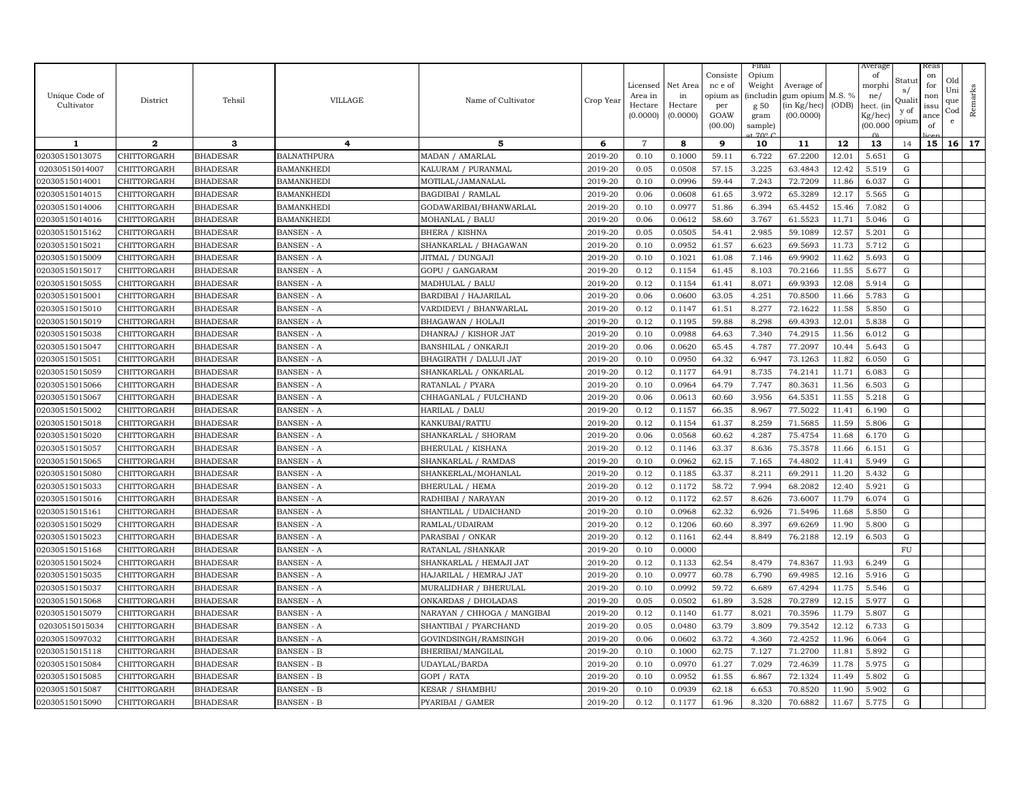| Unique Code of<br>Cultivator | District       | Tehsil          | VILLAGE            | Name of Cultivator          | Crop Year | Licensed<br>Area in<br>Hectare<br>(0.0000) | Net Area<br>in<br>Hectare<br>(0.0000) | Consiste<br>nc e of<br>opium as<br>per<br>GOAW<br>(00.00) | Final<br>Opium<br>Weight<br><i>(includin</i><br>g 50<br>gram<br>sample)<br>$70^\circ$ | Average of<br>gum opium M.S. %<br>(in Kg/hec)<br>(00.0000) | (ODB) | Average<br>of<br>morphi<br>ne/<br>hect. (in<br>Kg/hec<br>(00.000) | Statut<br>s/<br>Quali<br>y of<br>opium | on<br>for<br>nor<br>isst<br>ance<br>of | Old<br>Uni<br>que<br>Cod | Remarks |
|------------------------------|----------------|-----------------|--------------------|-----------------------------|-----------|--------------------------------------------|---------------------------------------|-----------------------------------------------------------|---------------------------------------------------------------------------------------|------------------------------------------------------------|-------|-------------------------------------------------------------------|----------------------------------------|----------------------------------------|--------------------------|---------|
| -1                           | $\overline{2}$ | з               | 4                  | 5                           | 6         | $\overline{7}$                             | 8                                     | 9                                                         | 10                                                                                    | 11                                                         | 12    | 13                                                                | 14                                     | 15                                     | 16 <sup>1</sup>          | 17      |
| 02030515013075               | CHITTORGARH    | <b>BHADESAR</b> | <b>BALNATHPURA</b> | MADAN / AMARLAL             | 2019-20   | 0.10                                       | 0.1000                                | 59.11                                                     | 6.722                                                                                 | 67.2200                                                    | 12.01 | 5.651                                                             | G                                      |                                        |                          |         |
| 02030515014007               | CHITTORGARH    | <b>BHADESAR</b> | BAMANKHEDI         | KALURAM / PURANMAL          | 2019-20   | 0.05                                       | 0.0508                                | 57.15                                                     | 3.225                                                                                 | 63.4843                                                    | 12.42 | 5.519                                                             | G                                      |                                        |                          |         |
| 02030515014001               | CHITTORGARH    | <b>BHADESAR</b> | BAMANKHEDI         | MOTILAL/JAMANALAL           | 2019-20   | 0.10                                       | 0.0996                                | 59.44                                                     | 7.243                                                                                 | 72.7209                                                    | 11.86 | 6.037                                                             | G                                      |                                        |                          |         |
| 02030515014015               | CHITTORGARH    | <b>BHADESAR</b> | <b>BAMANKHEDI</b>  | <b>BAGDIBAI / RAMLAL</b>    | 2019-20   | 0.06                                       | 0.0608                                | 61.65                                                     | 3.972                                                                                 | 65.3289                                                    | 12.17 | 5.565                                                             | ${\rm G}$                              |                                        |                          |         |
| 02030515014006               | CHITTORGARH    | <b>BHADESAR</b> | BAMANKHEDI         | GODAWARIBAI/BHANWARLAL      | 2019-20   | 0.10                                       | 0.0977                                | 51.86                                                     | 6.394                                                                                 | 65.4452                                                    | 15.46 | 7.082                                                             | G                                      |                                        |                          |         |
| 02030515014016               | CHITTORGARH    | <b>BHADESAR</b> | BAMANKHEDI         | MOHANLAL / BALU             | 2019-20   | 0.06                                       | 0.0612                                | 58.60                                                     | 3.767                                                                                 | 61.5523                                                    | 11.71 | 5.046                                                             | G                                      |                                        |                          |         |
| 02030515015162               | CHITTORGARH    | <b>BHADESAR</b> | BANSEN - A         | BHERA / KISHNA              | 2019-20   | 0.05                                       | 0.0505                                | 54.41                                                     | 2.985                                                                                 | 59.1089                                                    | 12.57 | 5.201                                                             | ${\rm G}$                              |                                        |                          |         |
| 02030515015021               | CHITTORGARH    | <b>BHADESAR</b> | BANSEN - A         | SHANKARLAL / BHAGAWAN       | 2019-20   | 0.10                                       | 0.0952                                | 61.57                                                     | 6.623                                                                                 | 69.5693                                                    | 11.73 | 5.712                                                             | G                                      |                                        |                          |         |
| 02030515015009               | CHITTORGARH    | <b>BHADESAR</b> | <b>BANSEN - A</b>  | JITMAL / DUNGAJI            | 2019-20   | 0.10                                       | 0.1021                                | 61.08                                                     | 7.146                                                                                 | 69.9902                                                    | 11.62 | 5.693                                                             | ${\rm G}$                              |                                        |                          |         |
| 02030515015017               | CHITTORGARH    | <b>BHADESAR</b> | <b>BANSEN - A</b>  | GOPU / GANGARAM             | 2019-20   | 0.12                                       | 0.1154                                | 61.45                                                     | 8.103                                                                                 | 70.2166                                                    | 11.55 | 5.677                                                             | G                                      |                                        |                          |         |
| 02030515015055               | CHITTORGARH    | <b>BHADESAR</b> | BANSEN - A         | MADHULAL / BALU             | 2019-20   | 0.12                                       | 0.1154                                | 61.41                                                     | 8.071                                                                                 | 69.9393                                                    | 12.08 | 5.914                                                             | G                                      |                                        |                          |         |
| 02030515015001               | CHITTORGARH    | <b>BHADESAR</b> | BANSEN - A         | <b>BARDIBAI / HAJARILAL</b> | 2019-20   | 0.06                                       | 0.0600                                | 63.05                                                     | 4.251                                                                                 | 70.8500                                                    | 11.66 | 5.783                                                             | ${\rm G}$                              |                                        |                          |         |
| 02030515015010               | CHITTORGARH    | <b>BHADESAR</b> | BANSEN - A         | VARDIDEVI / BHANWARLAL      | 2019-20   | 0.12                                       | 0.1147                                | 61.51                                                     | 8.277                                                                                 | 72.1622                                                    | 11.58 | 5.850                                                             | ${\rm G}$                              |                                        |                          |         |
| 02030515015019               | CHITTORGARH    | <b>BHADESAR</b> | BANSEN - A         | BHAGAWAN / HOLAJI           | 2019-20   | 0.12                                       | 0.1195                                | 59.88                                                     | 8.298                                                                                 | 69.4393                                                    | 12.01 | 5.838                                                             | G                                      |                                        |                          |         |
| 02030515015038               | CHITTORGARH    | <b>BHADESAR</b> | BANSEN - A         | DHANRAJ / KISHOR JAT        | 2019-20   | 0.10                                       | 0.0988                                | 64.63                                                     | 7.340                                                                                 | 74.2915                                                    | 11.56 | 6.012                                                             | ${\rm G}$                              |                                        |                          |         |
| 02030515015047               | CHITTORGARH    | <b>BHADESAR</b> | <b>BANSEN - A</b>  | BANSHILAL / ONKARJI         | 2019-20   | 0.06                                       | 0.0620                                | 65.45                                                     | 4.787                                                                                 | 77.2097                                                    | 10.44 | 5.643                                                             | ${\rm G}$                              |                                        |                          |         |
| 02030515015051               | CHITTORGARH    | <b>BHADESAR</b> | <b>BANSEN - A</b>  | BHAGIRATH / DALUJI JAT      | 2019-20   | 0.10                                       | 0.0950                                | 64.32                                                     | 6.947                                                                                 | 73.1263                                                    | 11.82 | 6.050                                                             | G                                      |                                        |                          |         |
| 02030515015059               | CHITTORGARH    | <b>BHADESAR</b> | BANSEN - A         | SHANKARLAL / ONKARLAL       | 2019-20   | 0.12                                       | 0.1177                                | 64.91                                                     | 8.735                                                                                 | 74.2141                                                    | 11.71 | 6.083                                                             | G                                      |                                        |                          |         |
| 02030515015066               | CHITTORGARH    | <b>BHADESAR</b> | <b>BANSEN - A</b>  | RATANLAL / PYARA            | 2019-20   | 0.10                                       | 0.0964                                | 64.79                                                     | 7.747                                                                                 | 80.3631                                                    | 11.56 | 6.503                                                             | ${\rm G}$                              |                                        |                          |         |
| 02030515015067               | CHITTORGARH    | <b>BHADESAR</b> | BANSEN - A         | CHHAGANLAL / FULCHAND       | 2019-20   | 0.06                                       | 0.0613                                | 60.60                                                     | 3.956                                                                                 | 64.5351                                                    | 11.55 | 5.218                                                             | $\mathbf G$                            |                                        |                          |         |
| 02030515015002               | CHITTORGARH    | <b>BHADESAR</b> | BANSEN - A         | HARILAL / DALU              | 2019-20   | 0.12                                       | 0.1157                                | 66.35                                                     | 8.967                                                                                 | 77.5022                                                    | 11.41 | 6.190                                                             | G                                      |                                        |                          |         |
| 02030515015018               | CHITTORGARH    | <b>BHADESAR</b> | BANSEN - A         | KANKUBAI/RATTU              | 2019-20   | 0.12                                       | 0.1154                                | 61.37                                                     | 8.259                                                                                 | 71.5685                                                    | 11.59 | 5.806                                                             | G                                      |                                        |                          |         |
| 02030515015020               | CHITTORGARH    | <b>BHADESAR</b> | BANSEN - A         | SHANKARLAL / SHORAM         | 2019-20   | 0.06                                       | 0.0568                                | 60.62                                                     | 4.287                                                                                 | 75.4754                                                    | 11.68 | 6.170                                                             | G                                      |                                        |                          |         |
| 02030515015057               | CHITTORGARH    | <b>BHADESAR</b> | BANSEN - A         | BHERULAL / KISHANA          | 2019-20   | 0.12                                       | 0.1146                                | 63.37                                                     | 8.636                                                                                 | 75.3578                                                    | 11.66 | 6.151                                                             | ${\rm G}$                              |                                        |                          |         |
| 02030515015065               | CHITTORGARH    | <b>BHADESAR</b> | BANSEN - A         | SHANKARLAL / RAMDAS         | 2019-20   | 0.10                                       | 0.0962                                | 62.15                                                     | 7.165                                                                                 | 74.4802                                                    | 11.41 | 5.949                                                             | G                                      |                                        |                          |         |
| 02030515015080               | CHITTORGARH    | <b>BHADESAR</b> | <b>BANSEN - A</b>  | SHANKERLAL/MOHANLAL         | 2019-20   | 0.12                                       | 0.1185                                | 63.37                                                     | 8.211                                                                                 | 69.2911                                                    | 11.20 | 5.432                                                             | G                                      |                                        |                          |         |
| 02030515015033               | CHITTORGARH    | <b>BHADESAR</b> | <b>BANSEN - A</b>  | <b>BHERULAL / HEMA</b>      | 2019-20   | 0.12                                       | 0.1172                                | 58.72                                                     | 7.994                                                                                 | 68.2082                                                    | 12.40 | 5.921                                                             | G                                      |                                        |                          |         |
| 02030515015016               | CHITTORGARH    | <b>BHADESAR</b> | <b>BANSEN - A</b>  | RADHIBAI / NARAYAN          | 2019-20   | 0.12                                       | 0.1172                                | 62.57                                                     | 8.626                                                                                 | 73.6007                                                    | 11.79 | 6.074                                                             | ${\rm G}$                              |                                        |                          |         |
| 02030515015161               | CHITTORGARH    | <b>BHADESAR</b> | BANSEN - A         | SHANTILAL / UDAICHAND       | 2019-20   | 0.10                                       | 0.0968                                | 62.32                                                     | 6.926                                                                                 | 71.5496                                                    | 11.68 | 5.850                                                             | G                                      |                                        |                          |         |
| 02030515015029               | CHITTORGARH    | <b>BHADESAR</b> | <b>BANSEN - A</b>  | RAMLAL/UDAIRAM              | 2019-20   | 0.12                                       | 0.1206                                | 60.60                                                     | 8.397                                                                                 | 69.6269                                                    | 11.90 | 5.800                                                             | $\mathbf G$                            |                                        |                          |         |
| 02030515015023               | CHITTORGARH    | <b>BHADESAR</b> | BANSEN - A         | PARASBAI / ONKAR            | 2019-20   | 0.12                                       | 0.1161                                | 62.44                                                     | 8.849                                                                                 | 76.2188                                                    | 12.19 | 6.503                                                             | ${\rm G}$                              |                                        |                          |         |
| 02030515015168               | CHITTORGARH    | <b>BHADESAR</b> | BANSEN - A         | RATANLAL / SHANKAR          | 2019-20   | 0.10                                       | 0.0000                                |                                                           |                                                                                       |                                                            |       |                                                                   | FU                                     |                                        |                          |         |
| 02030515015024               | CHITTORGARH    | <b>BHADESAR</b> | <b>BANSEN - A</b>  | SHANKARLAL / HEMAJI JAT     | 2019-20   | 0.12                                       | 0.1133                                | 62.54                                                     | 8.479                                                                                 | 74.8367                                                    | 11.93 | 6.249                                                             | $\mathbf G$                            |                                        |                          |         |
| 02030515015035               | CHITTORGARH    | <b>BHADESAR</b> | BANSEN - A         | HAJARILAL / HEMRAJ JAT      | 2019-20   | 0.10                                       | 0.0977                                | 60.78                                                     | 6.790                                                                                 | 69.4985                                                    | 12.16 | 5.916                                                             | G                                      |                                        |                          |         |
| 02030515015037               | CHITTORGARH    | <b>BHADESAR</b> | <b>BANSEN - A</b>  | MURALIDHAR / BHERULAL       | 2019-20   | 0.10                                       | 0.0992                                | 59.72                                                     | 6.689                                                                                 | 67.4294                                                    | 11.75 | 5.546                                                             | ${\rm G}$                              |                                        |                          |         |
| 02030515015068               | CHITTORGARH    | <b>BHADESAR</b> | BANSEN - A         | ONKARDAS / DHOLADAS         | 2019-20   | 0.05                                       | 0.0502                                | 61.89                                                     | 3.528                                                                                 | 70.2789                                                    | 12.15 | 5.977                                                             | ${\rm G}$                              |                                        |                          |         |
| 02030515015079               | CHITTORGARH    | <b>BHADESAR</b> | BANSEN - A         | NARAYAN / CHHOGA / MANGIBAI | 2019-20   | 0.12                                       | 0.1140                                | 61.77                                                     | 8.021                                                                                 | 70.3596                                                    | 11.79 | 5.807                                                             | G                                      |                                        |                          |         |
| 02030515015034               | CHITTORGARH    | <b>BHADESAR</b> | BANSEN - A         | SHANTIBAI / PYARCHAND       | 2019-20   | 0.05                                       | 0.0480                                | 63.79                                                     | 3.809                                                                                 | 79.3542                                                    | 12.12 | 6.733                                                             | G                                      |                                        |                          |         |
| 02030515097032               | CHITTORGARH    | <b>BHADESAR</b> | BANSEN - A         | GOVINDSINGH/RAMSINGH        | 2019-20   | 0.06                                       | 0.0602                                | 63.72                                                     | 4.360                                                                                 | 72.4252                                                    | 11.96 | 6.064                                                             | G                                      |                                        |                          |         |
| 02030515015118               | CHITTORGARH    | <b>BHADESAR</b> | BANSEN - B         | BHERIBAI/MANGILAL           | 2019-20   | 0.10                                       | 0.1000                                | 62.75                                                     | 7.127                                                                                 | 71.2700                                                    | 11.81 | 5.892                                                             | G                                      |                                        |                          |         |
| 02030515015084               | CHITTORGARH    | <b>BHADESAR</b> | BANSEN - B         | UDAYLAL/BARDA               | 2019-20   | 0.10                                       | 0.0970                                | 61.27                                                     | 7.029                                                                                 | 72.4639                                                    | 11.78 | 5.975                                                             | G                                      |                                        |                          |         |
| 02030515015085               | CHITTORGARH    | <b>BHADESAR</b> | BANSEN - B         | GOPI / RATA                 | 2019-20   | 0.10                                       | 0.0952                                | 61.55                                                     | 6.867                                                                                 | 72.1324                                                    | 11.49 | 5.802                                                             | G                                      |                                        |                          |         |
| 02030515015087               | CHITTORGARH    | <b>BHADESAR</b> | <b>BANSEN - B</b>  | KESAR / SHAMBHU             | 2019-20   | 0.10                                       | 0.0939                                | 62.18                                                     | 6.653                                                                                 | 70.8520                                                    | 11.90 | 5.902                                                             | ${\rm G}$                              |                                        |                          |         |
| 02030515015090               | CHITTORGARH    | <b>BHADESAR</b> | <b>BANSEN - B</b>  | PYARIBAI / GAMER            | 2019-20   | 0.12                                       | 0.1177                                | 61.96                                                     | 8.320                                                                                 | 70.6882                                                    | 11.67 | 5.775                                                             | ${\rm G}$                              |                                        |                          |         |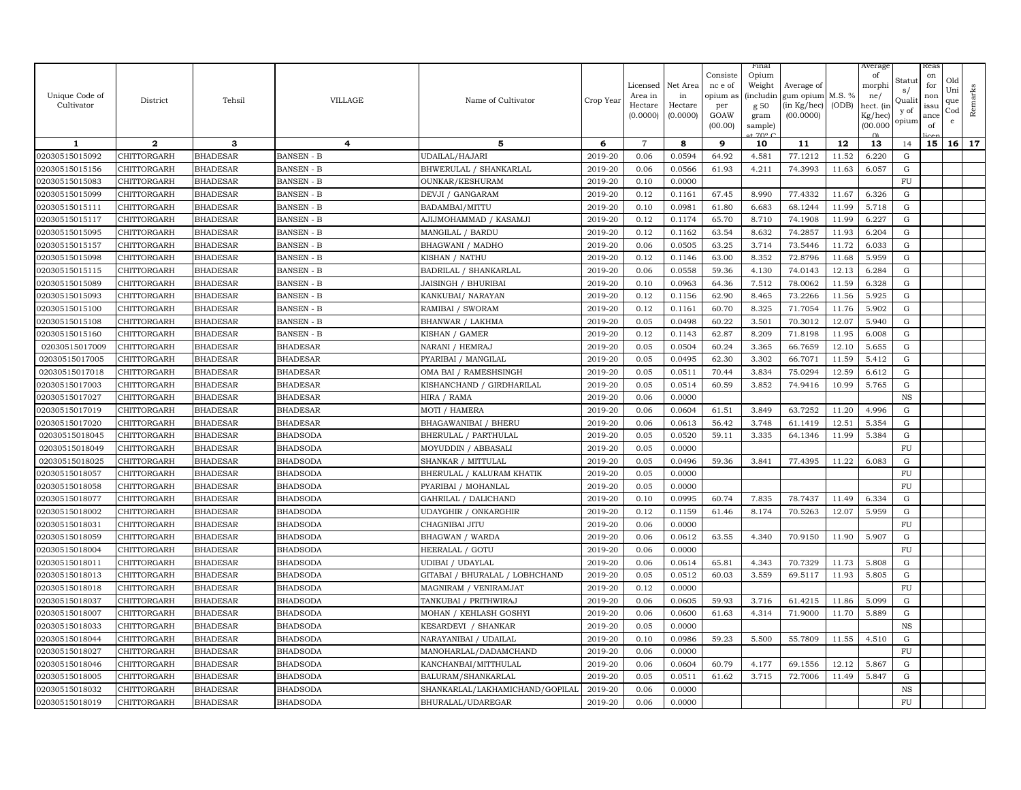| Unique Code of<br>Cultivator | District       | Tehsil          | VILLAGE           | Name of Cultivator              | Crop Year | Licensed<br>Area in<br>Hectare<br>(0.0000) | Net Area<br>in<br>Hectare<br>(0.0000) | Consiste<br>nc e of<br>opium as<br>per<br>GOAW<br>(00.00) | Final<br>Opium<br>Weight<br><i>(includin</i><br>g 50<br>gram<br>sample)<br>$70^\circ$ | Average of<br>gum opium M.S. %<br>(in Kg/hec)<br>(00.0000) | (ODB) | Averag<br>of<br>morphi<br>ne/<br>hect. (in<br>Kg/hec<br>(00.000) | Statut<br>s/<br>Quali<br>y of<br>opium | on<br>for<br>nor<br>isst<br>ance<br>of | Old<br>Uni<br>que<br>Cod | Remarks |
|------------------------------|----------------|-----------------|-------------------|---------------------------------|-----------|--------------------------------------------|---------------------------------------|-----------------------------------------------------------|---------------------------------------------------------------------------------------|------------------------------------------------------------|-------|------------------------------------------------------------------|----------------------------------------|----------------------------------------|--------------------------|---------|
| 1                            | $\overline{2}$ | з               | 4                 | 5                               | 6         | $\overline{7}$                             | 8                                     | 9                                                         | 10                                                                                    | 11                                                         | 12    | 13                                                               | 14                                     | 15                                     | 16 <sup>1</sup>          | 17      |
| 02030515015092               | CHITTORGARH    | <b>BHADESAR</b> | <b>BANSEN - B</b> | UDAILAL/HAJARI                  | 2019-20   | 0.06                                       | 0.0594                                | 64.92                                                     | 4.581                                                                                 | 77.1212                                                    | 11.52 | 6.220                                                            | G                                      |                                        |                          |         |
| 02030515015156               | CHITTORGARH    | <b>BHADESAR</b> | <b>BANSEN - B</b> | BHWERULAL / SHANKARLAL          | 2019-20   | 0.06                                       | 0.0566                                | 61.93                                                     | 4.211                                                                                 | 74.3993                                                    | 11.63 | 6.057                                                            | G                                      |                                        |                          |         |
| 02030515015083               | CHITTORGARH    | <b>BHADESAR</b> | BANSEN - B        | <b>OUNKAR/KESHURAM</b>          | 2019-20   | 0.10                                       | 0.0000                                |                                                           |                                                                                       |                                                            |       |                                                                  | ${\rm FU}$                             |                                        |                          |         |
| 02030515015099               | CHITTORGARH    | <b>BHADESAR</b> | <b>BANSEN - B</b> | DEVJI / GANGARAM                | 2019-20   | 0.12                                       | 0.1161                                | 67.45                                                     | 8.990                                                                                 | 77.4332                                                    | 11.67 | 6.326                                                            | ${\rm G}$                              |                                        |                          |         |
| 02030515015111               | CHITTORGARH    | <b>BHADESAR</b> | BANSEN - B        | BADAMBAI/MITTU                  | 2019-20   | 0.10                                       | 0.0981                                | 61.80                                                     | 6.683                                                                                 | 68.1244                                                    | 11.99 | 5.718                                                            | G                                      |                                        |                          |         |
| 02030515015117               | CHITTORGARH    | <b>BHADESAR</b> | BANSEN - B        | AJIJMOHAMMAD / KASAMJI          | 2019-20   | 0.12                                       | 0.1174                                | 65.70                                                     | 8.710                                                                                 | 74.1908                                                    | 11.99 | 6.227                                                            | G                                      |                                        |                          |         |
| 02030515015095               | CHITTORGARH    | <b>BHADESAR</b> | BANSEN - B        | MANGILAL / BARDU                | 2019-20   | 0.12                                       | 0.1162                                | 63.54                                                     | 8.632                                                                                 | 74.2857                                                    | 11.93 | 6.204                                                            | ${\rm G}$                              |                                        |                          |         |
| 02030515015157               | CHITTORGARH    | <b>BHADESAR</b> | BANSEN - B        | BHAGWANI / MADHO                | 2019-20   | 0.06                                       | 0.0505                                | 63.25                                                     | 3.714                                                                                 | 73.5446                                                    | 11.72 | 6.033                                                            | G                                      |                                        |                          |         |
| 02030515015098               | CHITTORGARH    | <b>BHADESAR</b> | <b>BANSEN - B</b> | KISHAN / NATHU                  | 2019-20   | 0.12                                       | 0.1146                                | 63.00                                                     | 8.352                                                                                 | 72.8796                                                    | 11.68 | 5.959                                                            | ${\rm G}$                              |                                        |                          |         |
| 02030515015115               | CHITTORGARH    | <b>BHADESAR</b> | BANSEN - B        | BADRILAL / SHANKARLAL           | 2019-20   | 0.06                                       | 0.0558                                | 59.36                                                     | 4.130                                                                                 | 74.0143                                                    | 12.13 | 6.284                                                            | G                                      |                                        |                          |         |
| 02030515015089               | CHITTORGARH    | <b>BHADESAR</b> | BANSEN - B        | JAISINGH / BHURIBAI             | 2019-20   | 0.10                                       | 0.0963                                | 64.36                                                     | 7.512                                                                                 | 78.0062                                                    | 11.59 | 6.328                                                            | G                                      |                                        |                          |         |
| 02030515015093               | CHITTORGARH    | <b>BHADESAR</b> | <b>BANSEN - B</b> | KANKUBAI/NARAYAN                | 2019-20   | 0.12                                       | 0.1156                                | 62.90                                                     | 8.465                                                                                 | 73.2266                                                    | 11.56 | 5.925                                                            | ${\rm G}$                              |                                        |                          |         |
| 02030515015100               | CHITTORGARH    | <b>BHADESAR</b> | BANSEN - B        | RAMIBAI / SWORAM                | 2019-20   | 0.12                                       | 0.1161                                | 60.70                                                     | 8.325                                                                                 | 71.7054                                                    | 11.76 | 5.902                                                            | ${\rm G}$                              |                                        |                          |         |
| 02030515015108               | CHITTORGARH    | <b>BHADESAR</b> | BANSEN - B        | <b>BHANWAR / LAKHMA</b>         | 2019-20   | 0.05                                       | 0.0498                                | 60.22                                                     | 3.501                                                                                 | 70.3012                                                    | 12.07 | 5.940                                                            | G                                      |                                        |                          |         |
| 02030515015160               | CHITTORGARH    | <b>BHADESAR</b> | BANSEN - B        | KISHAN / GAMER                  | 2019-20   | 0.12                                       | 0.1143                                | 62.87                                                     | 8.209                                                                                 | 71.8198                                                    | 11.95 | 6.008                                                            | ${\rm G}$                              |                                        |                          |         |
| 02030515017009               | CHITTORGARH    | <b>BHADESAR</b> | <b>BHADESAR</b>   | NARANI / HEMRAJ                 | 2019-20   | 0.05                                       | 0.0504                                | 60.24                                                     | 3.365                                                                                 | 66.7659                                                    | 12.10 | 5.655                                                            | ${\rm G}$                              |                                        |                          |         |
| 02030515017005               | CHITTORGARH    | <b>BHADESAR</b> | <b>BHADESAR</b>   | PYARIBAI / MANGILAL             | 2019-20   | 0.05                                       | 0.0495                                | 62.30                                                     | 3.302                                                                                 | 66.7071                                                    | 11.59 | 5.412                                                            | G                                      |                                        |                          |         |
| 02030515017018               | CHITTORGARH    | <b>BHADESAR</b> | <b>BHADESAR</b>   | OMA BAI / RAMESHSINGH           | 2019-20   | 0.05                                       | 0.0511                                | 70.44                                                     | 3.834                                                                                 | 75.0294                                                    | 12.59 | 6.612                                                            | G                                      |                                        |                          |         |
| 02030515017003               | CHITTORGARH    | <b>BHADESAR</b> | <b>BHADESAR</b>   | KISHANCHAND / GIRDHARILAL       | 2019-20   | 0.05                                       | 0.0514                                | 60.59                                                     | 3.852                                                                                 | 74.9416                                                    | 10.99 | 5.765                                                            | ${\rm G}$                              |                                        |                          |         |
| 02030515017027               | CHITTORGARH    | <b>BHADESAR</b> | <b>BHADESAR</b>   | HIRA / RAMA                     | 2019-20   | 0.06                                       | 0.0000                                |                                                           |                                                                                       |                                                            |       |                                                                  | $_{\rm NS}$                            |                                        |                          |         |
| 02030515017019               | CHITTORGARH    | <b>BHADESAR</b> | BHADESAR          | MOTI / HAMERA                   | 2019-20   | 0.06                                       | 0.0604                                | 61.51                                                     | 3.849                                                                                 | 63.7252                                                    | 11.20 | 4.996                                                            | G                                      |                                        |                          |         |
| 02030515017020               | CHITTORGARH    | <b>BHADESAR</b> | <b>BHADESAR</b>   | BHAGAWANIBAI / BHERU            | 2019-20   | 0.06                                       | 0.0613                                | 56.42                                                     | 3.748                                                                                 | 61.1419                                                    | 12.51 | 5.354                                                            | G                                      |                                        |                          |         |
| 02030515018045               | CHITTORGARH    | <b>BHADESAR</b> | BHADSODA          | BHERULAL / PARTHULAL            | 2019-20   | 0.05                                       | 0.0520                                | 59.11                                                     | 3.335                                                                                 | 64.1346                                                    | 11.99 | 5.384                                                            | G                                      |                                        |                          |         |
| 02030515018049               | CHITTORGARH    | <b>BHADESAR</b> | BHADSODA          | MOYUDDIN / ABBASALI             | 2019-20   | 0.05                                       | 0.0000                                |                                                           |                                                                                       |                                                            |       |                                                                  | ${\rm FU}$                             |                                        |                          |         |
| 02030515018025               | CHITTORGARH    | <b>BHADESAR</b> | <b>BHADSODA</b>   | SHANKAR / MITTULAL              | 2019-20   | 0.05                                       | 0.0496                                | 59.36                                                     | 3.841                                                                                 | 77.4395                                                    | 11.22 | 6.083                                                            | ${\rm G}$                              |                                        |                          |         |
| 02030515018057               | CHITTORGARH    | <b>BHADESAR</b> | <b>BHADSODA</b>   | BHERULAL / KALURAM KHATIK       | 2019-20   | 0.05                                       | 0.0000                                |                                                           |                                                                                       |                                                            |       |                                                                  | ${\rm FU}$                             |                                        |                          |         |
| 02030515018058               | CHITTORGARH    | <b>BHADESAR</b> | <b>BHADSODA</b>   | PYARIBAI / MOHANLAL             | 2019-20   | 0.05                                       | 0.0000                                |                                                           |                                                                                       |                                                            |       |                                                                  | ${\rm FU}$                             |                                        |                          |         |
| 02030515018077               | CHITTORGARH    | <b>BHADESAR</b> | <b>BHADSODA</b>   | GAHRILAL / DALICHAND            | 2019-20   | 0.10                                       | 0.0995                                | 60.74                                                     | 7.835                                                                                 | 78.7437                                                    | 11.49 | 6.334                                                            | ${\rm G}$                              |                                        |                          |         |
| 02030515018002               | CHITTORGARH    | <b>BHADESAR</b> | BHADSODA          | <b>UDAYGHIR / ONKARGHIR</b>     | 2019-20   | 0.12                                       | 0.1159                                | 61.46                                                     | 8.174                                                                                 | 70.5263                                                    | 12.07 | 5.959                                                            | ${\rm G}$                              |                                        |                          |         |
| 02030515018031               | CHITTORGARH    | <b>BHADESAR</b> | <b>BHADSODA</b>   | CHAGNIBAI JITU                  | 2019-20   | 0.06                                       | 0.0000                                |                                                           |                                                                                       |                                                            |       |                                                                  | FU                                     |                                        |                          |         |
| 02030515018059               | CHITTORGARH    | <b>BHADESAR</b> | BHADSODA          | <b>BHAGWAN / WARDA</b>          | 2019-20   | 0.06                                       | 0.0612                                | 63.55                                                     | 4.340                                                                                 | 70.9150                                                    | 11.90 | 5.907                                                            | G                                      |                                        |                          |         |
| 02030515018004               | CHITTORGARH    | <b>BHADESAR</b> | <b>BHADSODA</b>   | <b>HEERALAL / GOTU</b>          | 2019-20   | 0.06                                       | 0.0000                                |                                                           |                                                                                       |                                                            |       |                                                                  | ${\rm FU}$                             |                                        |                          |         |
| 02030515018011               | CHITTORGARH    | <b>BHADESAR</b> | <b>BHADSODA</b>   | UDIBAI / UDAYLAL                | 2019-20   | 0.06                                       | 0.0614                                | 65.81                                                     | 4.343                                                                                 | 70.7329                                                    | 11.73 | 5.808                                                            | G                                      |                                        |                          |         |
| 02030515018013               | CHITTORGARH    | <b>BHADESAR</b> | BHADSODA          | GITABAI / BHURALAL / LOBHCHAND  | 2019-20   | 0.05                                       | 0.0512                                | 60.03                                                     | 3.559                                                                                 | 69.5117                                                    | 11.93 | 5.805                                                            | G                                      |                                        |                          |         |
| 02030515018018               | CHITTORGARH    | <b>BHADESAR</b> | <b>BHADSODA</b>   | MAGNIRAM / VENIRAMJAT           | 2019-20   | 0.12                                       | 0.0000                                |                                                           |                                                                                       |                                                            |       |                                                                  | ${\rm FU}$                             |                                        |                          |         |
| 02030515018037               | CHITTORGARH    | <b>BHADESAR</b> | <b>BHADSODA</b>   | TANKUBAI / PRITHWIRAJ           | 2019-20   | 0.06                                       | 0.0605                                | 59.93                                                     | 3.716                                                                                 | 61.4215                                                    | 11.86 | 5.099                                                            | ${\rm G}$                              |                                        |                          |         |
| 02030515018007               | CHITTORGARH    | <b>BHADESAR</b> | BHADSODA          | MOHAN / KEHLASH GOSHYI          | 2019-20   | 0.06                                       | 0.0600                                | 61.63                                                     | 4.314                                                                                 | 71.9000                                                    | 11.70 | 5.889                                                            | G                                      |                                        |                          |         |
| 02030515018033               | CHITTORGARH    | <b>BHADESAR</b> | BHADSODA          | KESARDEVI / SHANKAR             | 2019-20   | 0.05                                       | 0.0000                                |                                                           |                                                                                       |                                                            |       |                                                                  | NS                                     |                                        |                          |         |
| 02030515018044               | CHITTORGARH    | <b>BHADESAR</b> | BHADSODA          | NARAYANIBAI / UDAILAL           | 2019-20   | 0.10                                       | 0.0986                                | 59.23                                                     | 5.500                                                                                 | 55.7809                                                    | 11.55 | 4.510                                                            | ${\rm G}$                              |                                        |                          |         |
| 02030515018027               | CHITTORGARH    | <b>BHADESAR</b> | BHADSODA          | MANOHARLAL/DADAMCHAND           | 2019-20   | 0.06                                       | 0.0000                                |                                                           |                                                                                       |                                                            |       |                                                                  | ${\rm FU}$                             |                                        |                          |         |
| 02030515018046               | CHITTORGARH    | <b>BHADESAR</b> | <b>BHADSODA</b>   | KANCHANBAI/MITTHULAL            | 2019-20   | 0.06                                       | 0.0604                                | 60.79                                                     | 4.177                                                                                 | 69.1556                                                    | 12.12 | 5.867                                                            | G                                      |                                        |                          |         |
| 02030515018005               | CHITTORGARH    | <b>BHADESAR</b> | BHADSODA          | BALURAM/SHANKARLAL              | 2019-20   | 0.05                                       | 0.0511                                | 61.62                                                     | 3.715                                                                                 | 72.7006                                                    | 11.49 | 5.847                                                            | ${\rm G}$                              |                                        |                          |         |
| 02030515018032               | CHITTORGARH    | <b>BHADESAR</b> | <b>BHADSODA</b>   | SHANKARLAL/LAKHAMICHAND/GOPILAL | 2019-20   | 0.06                                       | 0.0000                                |                                                           |                                                                                       |                                                            |       |                                                                  | $_{\rm NS}$                            |                                        |                          |         |
| 02030515018019               | CHITTORGARH    | <b>BHADESAR</b> | <b>BHADSODA</b>   | BHURALAL/UDAREGAR               | 2019-20   | 0.06                                       | 0.0000                                |                                                           |                                                                                       |                                                            |       |                                                                  | ${\rm FU}$                             |                                        |                          |         |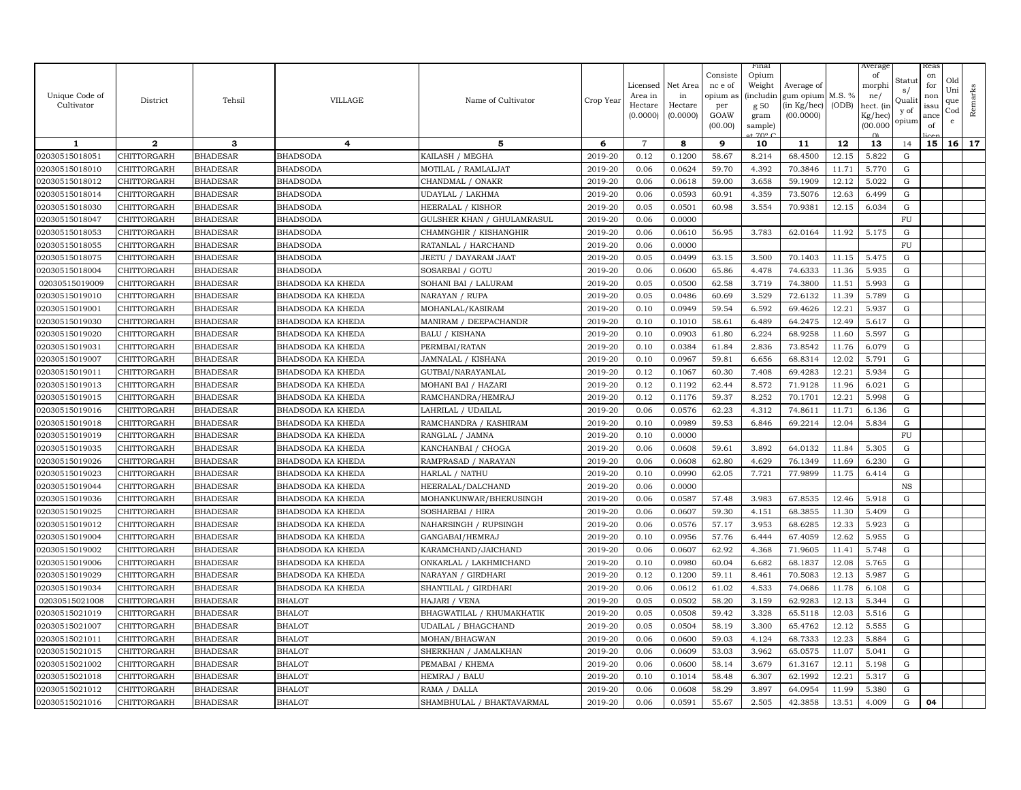| Unique Code of<br>Cultivator | District       | Tehsil          | VILLAGE                  | Name of Cultivator         | Crop Year | Licensed<br>Area in<br>Hectare<br>(0.0000) | Net Area<br>in<br>Hectare<br>(0.0000) | Consiste<br>nc e of<br>opium as<br>per<br>GOAW<br>(00.00) | Final<br>Opium<br>Weight<br><i>(includin</i><br>g 50<br>gram<br>sample]<br>$70^\circ$ | Average of<br>gum opium M.S. %<br>(in Kg/hec)<br>(00.0000) | (ODB) | Averag<br>of<br>morphi<br>ne/<br>hect. (in<br>Kg/hec<br>(00.000) | Statu<br>s/<br>Quali<br>y of<br>opium | on<br>for<br>noi<br>isst<br>ance<br>of | Dld<br>Uni<br>que<br>Cod | Remarks |
|------------------------------|----------------|-----------------|--------------------------|----------------------------|-----------|--------------------------------------------|---------------------------------------|-----------------------------------------------------------|---------------------------------------------------------------------------------------|------------------------------------------------------------|-------|------------------------------------------------------------------|---------------------------------------|----------------------------------------|--------------------------|---------|
| -1                           | $\overline{2}$ | з               | 4                        | 5                          | 6         | $\overline{7}$                             | 8                                     | 9                                                         | 10                                                                                    | 11                                                         | 12    | 13                                                               | 14                                    | 15                                     | 16 <sup>1</sup>          | 17      |
| 02030515018051               | CHITTORGARH    | <b>BHADESAR</b> | <b>BHADSODA</b>          | KAILASH / MEGHA            | 2019-20   | 0.12                                       | 0.1200                                | 58.67                                                     | 8.214                                                                                 | 68.4500                                                    | 12.15 | 5.822                                                            | G                                     |                                        |                          |         |
| 02030515018010               | CHITTORGARH    | <b>BHADESAR</b> | <b>BHADSODA</b>          | MOTILAL / RAMLALJAT        | 2019-20   | 0.06                                       | 0.0624                                | 59.70                                                     | 4.392                                                                                 | 70.3846                                                    | 11.71 | 5.770                                                            | G                                     |                                        |                          |         |
| 02030515018012               | CHITTORGARH    | <b>BHADESAR</b> | <b>BHADSODA</b>          | CHANDMAL / ONAKR           | 2019-20   | 0.06                                       | 0.0618                                | 59.00                                                     | 3.658                                                                                 | 59.1909                                                    | 12.12 | 5.022                                                            | G                                     |                                        |                          |         |
| 02030515018014               | CHITTORGARH    | <b>BHADESAR</b> | BHADSODA                 | UDAYLAL / LAKHMA           | 2019-20   | 0.06                                       | 0.0593                                | 60.91                                                     | 4.359                                                                                 | 73.5076                                                    | 12.63 | 6.499                                                            | ${\rm G}$                             |                                        |                          |         |
| 02030515018030               | CHITTORGARH    | <b>BHADESAR</b> | BHADSODA                 | HEERALAL / KISHOR          | 2019-20   | 0.05                                       | 0.0501                                | 60.98                                                     | 3.554                                                                                 | 70.9381                                                    | 12.15 | 6.034                                                            | ${\rm G}$                             |                                        |                          |         |
| 02030515018047               | CHITTORGARH    | <b>BHADESAR</b> | BHADSODA                 | GULSHER KHAN / GHULAMRASUL | 2019-20   | 0.06                                       | 0.0000                                |                                                           |                                                                                       |                                                            |       |                                                                  | FU                                    |                                        |                          |         |
| 02030515018053               | CHITTORGARH    | <b>BHADESAR</b> | BHADSODA                 | CHAMNGHIR / KISHANGHIR     | 2019-20   | 0.06                                       | 0.0610                                | 56.95                                                     | 3.783                                                                                 | 62.0164                                                    | 11.92 | 5.175                                                            | ${\rm G}$                             |                                        |                          |         |
| 02030515018055               | CHITTORGARH    | <b>BHADESAR</b> | BHADSODA                 | RATANLAL / HARCHAND        | 2019-20   | 0.06                                       | 0.0000                                |                                                           |                                                                                       |                                                            |       |                                                                  | ${\rm FU}$                            |                                        |                          |         |
| 02030515018075               | CHITTORGARH    | <b>BHADESAR</b> | <b>BHADSODA</b>          | JEETU / DAYARAM JAAT       | 2019-20   | 0.05                                       | 0.0499                                | 63.15                                                     | 3.500                                                                                 | 70.1403                                                    | 11.15 | 5.475                                                            | G                                     |                                        |                          |         |
| 02030515018004               | CHITTORGARH    | <b>BHADESAR</b> | BHADSODA                 | SOSARBAI / GOTU            | 2019-20   | 0.06                                       | 0.0600                                | 65.86                                                     | 4.478                                                                                 | 74.6333                                                    | 11.36 | 5.935                                                            | G                                     |                                        |                          |         |
| 02030515019009               | CHITTORGARH    | <b>BHADESAR</b> | BHADSODA KA KHEDA        | SOHANI BAI / LALURAM       | 2019-20   | 0.05                                       | 0.0500                                | 62.58                                                     | 3.719                                                                                 | 74.3800                                                    | 11.51 | 5.993                                                            | G                                     |                                        |                          |         |
| 02030515019010               | CHITTORGARH    | <b>BHADESAR</b> | BHADSODA KA KHEDA        | NARAYAN / RUPA             | 2019-20   | 0.05                                       | 0.0486                                | 60.69                                                     | 3.529                                                                                 | 72.6132                                                    | 11.39 | 5.789                                                            | ${\rm G}$                             |                                        |                          |         |
| 02030515019001               | CHITTORGARH    | <b>BHADESAR</b> | BHADSODA KA KHEDA        | MOHANLAL/KASIRAM           | 2019-20   | 0.10                                       | 0.0949                                | 59.54                                                     | 6.592                                                                                 | 69.4626                                                    | 12.21 | 5.937                                                            | ${\rm G}$                             |                                        |                          |         |
| 02030515019030               | CHITTORGARH    | <b>BHADESAR</b> | BHADSODA KA KHEDA        | MANIRAM / DEEPACHANDR      | 2019-20   | 0.10                                       | 0.1010                                | 58.61                                                     | 6.489                                                                                 | 64.2475                                                    | 12.49 | 5.617                                                            | G                                     |                                        |                          |         |
| 02030515019020               | CHITTORGARH    | <b>BHADESAR</b> | BHADSODA KA KHEDA        | <b>BALU / KISHANA</b>      | 2019-20   | 0.10                                       | 0.0903                                | 61.80                                                     | 6.224                                                                                 | 68.9258                                                    | 11.60 | 5.597                                                            | ${\rm G}$                             |                                        |                          |         |
| 02030515019031               | CHITTORGARH    | <b>BHADESAR</b> | BHADSODA KA KHEDA        | PERMBAI/RATAN              | 2019-20   | 0.10                                       | 0.0384                                | 61.84                                                     | 2.836                                                                                 | 73.8542                                                    | 11.76 | 6.079                                                            | ${\rm G}$                             |                                        |                          |         |
| 02030515019007               | CHITTORGARH    | <b>BHADESAR</b> | BHADSODA KA KHEDA        | JAMNALAL / KISHANA         | 2019-20   | 0.10                                       | 0.0967                                | 59.81                                                     | 6.656                                                                                 | 68.8314                                                    | 12.02 | 5.791                                                            | G                                     |                                        |                          |         |
| 02030515019011               | CHITTORGARH    | <b>BHADESAR</b> | BHADSODA KA KHEDA        | GUTBAI/NARAYANLAL          | 2019-20   | 0.12                                       | 0.1067                                | 60.30                                                     | 7.408                                                                                 | 69.4283                                                    | 12.21 | 5.934                                                            | G                                     |                                        |                          |         |
| 02030515019013               | CHITTORGARH    | <b>BHADESAR</b> | <b>BHADSODA KA KHEDA</b> | MOHANI BAI / HAZARI        | 2019-20   | 0.12                                       | 0.1192                                | 62.44                                                     | 8.572                                                                                 | 71.9128                                                    | 11.96 | 6.021                                                            | ${\rm G}$                             |                                        |                          |         |
| 02030515019015               | CHITTORGARH    | <b>BHADESAR</b> | BHADSODA KA KHEDA        | RAMCHANDRA/HEMRAJ          | 2019-20   | 0.12                                       | 0.1176                                | 59.37                                                     | 8.252                                                                                 | 70.1701                                                    | 12.21 | 5.998                                                            | $\mathbf G$                           |                                        |                          |         |
| 02030515019016               | CHITTORGARH    | <b>BHADESAR</b> | BHADSODA KA KHEDA        | LAHRILAL / UDAILAL         | 2019-20   | 0.06                                       | 0.0576                                | 62.23                                                     | 4.312                                                                                 | 74.8611                                                    | 11.71 | 6.136                                                            | G                                     |                                        |                          |         |
| 02030515019018               | CHITTORGARH    | <b>BHADESAR</b> | BHADSODA KA KHEDA        | RAMCHANDRA / KASHIRAM      | 2019-20   | 0.10                                       | 0.0989                                | 59.53                                                     | 6.846                                                                                 | 69.2214                                                    | 12.04 | 5.834                                                            | G                                     |                                        |                          |         |
| 02030515019019               | CHITTORGARH    | <b>BHADESAR</b> | BHADSODA KA KHEDA        | RANGLAL / JAMNA            | 2019-20   | 0.10                                       | 0.0000                                |                                                           |                                                                                       |                                                            |       |                                                                  | FU                                    |                                        |                          |         |
| 02030515019035               | CHITTORGARH    | <b>BHADESAR</b> | BHADSODA KA KHEDA        | KANCHANBAI / CHOGA         | 2019-20   | 0.06                                       | 0.0608                                | 59.61                                                     | 3.892                                                                                 | 64.0132                                                    | 11.84 | 5.305                                                            | ${\rm G}$                             |                                        |                          |         |
| 02030515019026               | CHITTORGARH    | <b>BHADESAR</b> | BHADSODA KA KHEDA        | RAMPRASAD / NARAYAN        | 2019-20   | 0.06                                       | 0.0608                                | 62.80                                                     | 4.629                                                                                 | 76.1349                                                    | 11.69 | 6.230                                                            | G                                     |                                        |                          |         |
| 02030515019023               | CHITTORGARH    | <b>BHADESAR</b> | BHADSODA KA KHEDA        | HARLAL / NATHU             | 2019-20   | 0.10                                       | 0.0990                                | 62.05                                                     | 7.721                                                                                 | 77.9899                                                    | 11.75 | 6.414                                                            | G                                     |                                        |                          |         |
| 02030515019044               | CHITTORGARH    | <b>BHADESAR</b> | BHADSODA KA KHEDA        | HEERALAL/DALCHAND          | 2019-20   | 0.06                                       | 0.0000                                |                                                           |                                                                                       |                                                            |       |                                                                  | $_{\rm NS}$                           |                                        |                          |         |
| 02030515019036               | CHITTORGARH    | <b>BHADESAR</b> | BHADSODA KA KHEDA        | MOHANKUNWAR/BHERUSINGH     | 2019-20   | 0.06                                       | 0.0587                                | 57.48                                                     | 3.983                                                                                 | 67.8535                                                    | 12.46 | 5.918                                                            | ${\rm G}$                             |                                        |                          |         |
| 02030515019025               | CHITTORGARH    | <b>BHADESAR</b> | BHADSODA KA KHEDA        | SOSHARBAI / HIRA           | 2019-20   | 0.06                                       | 0.0607                                | 59.30                                                     | 4.151                                                                                 | 68.3855                                                    | 11.30 | 5.409                                                            | G                                     |                                        |                          |         |
| 02030515019012               | CHITTORGARH    | <b>BHADESAR</b> | BHADSODA KA KHEDA        | NAHARSINGH / RUPSINGH      | 2019-20   | 0.06                                       | 0.0576                                | 57.17                                                     | 3.953                                                                                 | 68.6285                                                    | 12.33 | 5.923                                                            | $\mathbf G$                           |                                        |                          |         |
| 02030515019004               | CHITTORGARH    | <b>BHADESAR</b> | BHADSODA KA KHEDA        | GANGABAI/HEMRAJ            | 2019-20   | 0.10                                       | 0.0956                                | 57.76                                                     | 6.444                                                                                 | 67.4059                                                    | 12.62 | 5.955                                                            | ${\rm G}$                             |                                        |                          |         |
| 02030515019002               | CHITTORGARH    | <b>BHADESAR</b> | BHADSODA KA KHEDA        | KARAMCHAND/JAICHAND        | 2019-20   | 0.06                                       | 0.0607                                | 62.92                                                     | 4.368                                                                                 | 71.9605                                                    | 11.41 | 5.748                                                            | ${\rm G}$                             |                                        |                          |         |
| 02030515019006               | CHITTORGARH    | <b>BHADESAR</b> | <b>BHADSODA KA KHEDA</b> | ONKARLAL / LAKHMICHAND     | 2019-20   | 0.10                                       | 0.0980                                | 60.04                                                     | 6.682                                                                                 | 68.1837                                                    | 12.08 | 5.765                                                            | $\mathbf G$                           |                                        |                          |         |
| 02030515019029               | CHITTORGARH    | <b>BHADESAR</b> | <b>BHADSODA KA KHEDA</b> | NARAYAN / GIRDHARI         | 2019-20   | 0.12                                       | 0.1200                                | 59.11                                                     | 8.461                                                                                 | 70.5083                                                    | 12.13 | 5.987                                                            | G                                     |                                        |                          |         |
| 02030515019034               | CHITTORGARH    | <b>BHADESAR</b> | <b>BHADSODA KA KHEDA</b> | SHANTILAL / GIRDHARI       | 2019-20   | 0.06                                       | 0.0612                                | 61.02                                                     | 4.533                                                                                 | 74.0686                                                    | 11.78 | 6.108                                                            | G                                     |                                        |                          |         |
| 02030515021008               | CHITTORGARH    | <b>BHADESAR</b> | <b>BHALOT</b>            | HAJARI / VENA              | 2019-20   | 0.05                                       | 0.0502                                | 58.20                                                     | 3.159                                                                                 | 62.9283                                                    | 12.13 | 5.344                                                            | G                                     |                                        |                          |         |
| 02030515021019               | CHITTORGARH    | <b>BHADESAR</b> | BHALOT                   | BHAGWATILAL / KHUMAKHATIK  | 2019-20   | 0.05                                       | 0.0508                                | 59.42                                                     | 3.328                                                                                 | 65.5118                                                    | 12.03 | 5.516                                                            | G                                     |                                        |                          |         |
| 02030515021007               | CHITTORGARH    | <b>BHADESAR</b> | BHALOT                   | UDAILAL / BHAGCHAND        | 2019-20   | 0.05                                       | 0.0504                                | 58.19                                                     | 3.300                                                                                 | 65.4762                                                    | 12.12 | 5.555                                                            | G                                     |                                        |                          |         |
| 02030515021011               | CHITTORGARH    | <b>BHADESAR</b> | BHALOT                   | MOHAN/BHAGWAN              | 2019-20   | 0.06                                       | 0.0600                                | 59.03                                                     | 4.124                                                                                 | 68.7333                                                    | 12.23 | 5.884                                                            | G                                     |                                        |                          |         |
| 02030515021015               | CHITTORGARH    | <b>BHADESAR</b> | BHALOT                   | SHERKHAN / JAMALKHAN       | 2019-20   | 0.06                                       | 0.0609                                | 53.03                                                     | 3.962                                                                                 | 65.0575                                                    | 11.07 | 5.041                                                            | G                                     |                                        |                          |         |
| 02030515021002               | CHITTORGARH    | <b>BHADESAR</b> | <b>BHALOT</b>            | PEMABAI / KHEMA            | 2019-20   | 0.06                                       | 0.0600                                | 58.14                                                     | 3.679                                                                                 | 61.3167                                                    | 12.11 | 5.198                                                            | G                                     |                                        |                          |         |
| 02030515021018               | CHITTORGARH    | <b>BHADESAR</b> | BHALOT                   | HEMRAJ / BALU              | 2019-20   | 0.10                                       | 0.1014                                | 58.48                                                     | 6.307                                                                                 | 62.1992                                                    | 12.21 | 5.317                                                            | G                                     |                                        |                          |         |
| 02030515021012               | CHITTORGARH    | <b>BHADESAR</b> | <b>BHALOT</b>            | RAMA / DALLA               | 2019-20   | 0.06                                       | 0.0608                                | 58.29                                                     | 3.897                                                                                 | 64.0954                                                    | 11.99 | 5.380                                                            | ${\rm G}$                             |                                        |                          |         |
| 02030515021016               | CHITTORGARH    | <b>BHADESAR</b> | <b>BHALOT</b>            | SHAMBHULAL / BHAKTAVARMAL  | 2019-20   | 0.06                                       | 0.0591                                | 55.67                                                     | 2.505                                                                                 | 42.3858                                                    | 13.51 | 4.009                                                            | ${\rm G}$                             | 04                                     |                          |         |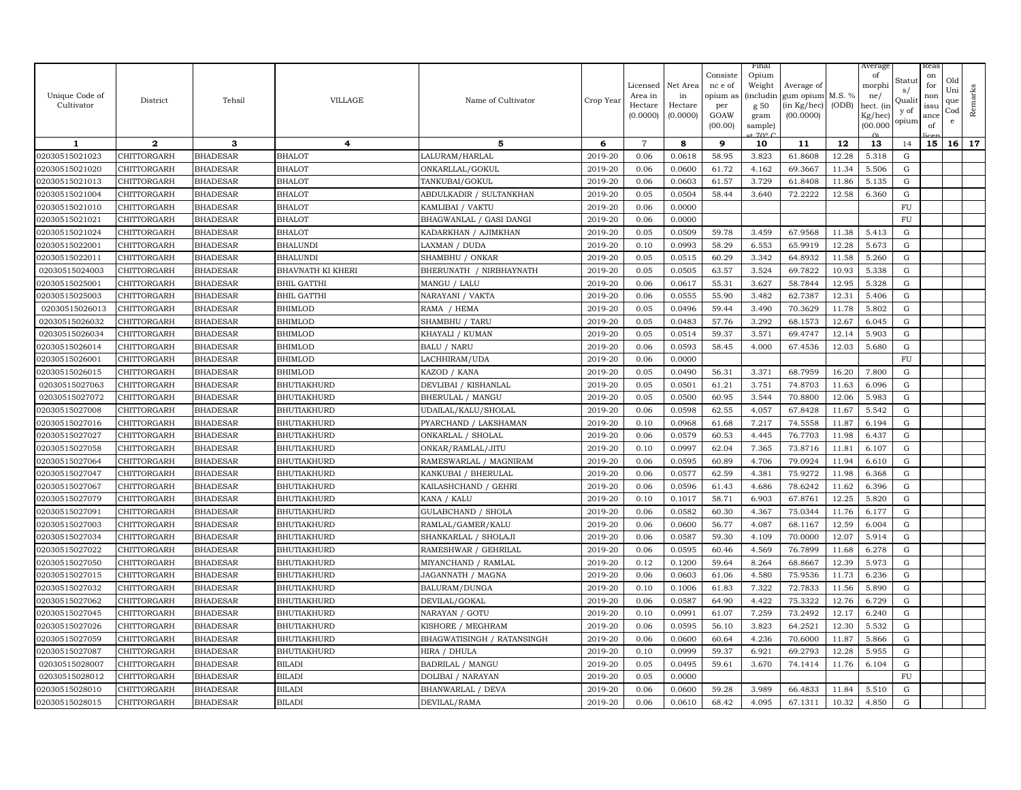| Unique Code of<br>Cultivator | District       | Tehsil          | VILLAGE            | Name of Cultivator         | Crop Year | Licensed<br>Area in<br>Hectare<br>(0.0000) | Net Area<br>in<br>Hectare<br>(0.0000) | Consiste<br>nc e of<br>opium as<br>per<br>GOAW<br>(00.00) | Final<br>Opium<br>Weight<br><i>(includin</i><br>g 50<br>gram<br>sample]<br>70° | Average of<br>gum opium M.S. %<br>(in Kg/hec)<br>(00.0000) | (ODB) | Averag<br>of<br>morphi<br>ne/<br>hect. (in<br>Kg/hec<br>(00.000) | Statut<br>s/<br>Quali<br>y of<br>opium | on<br>for<br>nor<br>isst<br>ance<br>of | Old<br>Uni<br>que<br>Cod | Remarks |
|------------------------------|----------------|-----------------|--------------------|----------------------------|-----------|--------------------------------------------|---------------------------------------|-----------------------------------------------------------|--------------------------------------------------------------------------------|------------------------------------------------------------|-------|------------------------------------------------------------------|----------------------------------------|----------------------------------------|--------------------------|---------|
| -1                           | $\overline{2}$ | 3               | 4                  | 5                          | 6         | $\overline{7}$                             | 8                                     | 9                                                         | 10                                                                             | 11                                                         | 12    | 13                                                               | 14                                     | 15                                     | 16 <sup>1</sup>          | 17      |
| 02030515021023               | CHITTORGARH    | <b>BHADESAR</b> | <b>BHALOT</b>      | LALURAM/HARLAL             | 2019-20   | 0.06                                       | 0.0618                                | 58.95                                                     | 3.823                                                                          | 61.8608                                                    | 12.28 | 5.318                                                            | G                                      |                                        |                          |         |
| 02030515021020               | CHITTORGARH    | <b>BHADESAR</b> | <b>BHALOT</b>      | ONKARLLAL/GOKUL            | 2019-20   | 0.06                                       | 0.0600                                | 61.72                                                     | 4.162                                                                          | 69.3667                                                    | 11.34 | 5.506                                                            | G                                      |                                        |                          |         |
| 02030515021013               | CHITTORGARH    | <b>BHADESAR</b> | <b>BHALOT</b>      | TANKUBAI/GOKUL             | 2019-20   | 0.06                                       | 0.0603                                | 61.57                                                     | 3.729                                                                          | 61.8408                                                    | 11.86 | 5.135                                                            | G                                      |                                        |                          |         |
| 02030515021004               | CHITTORGARH    | <b>BHADESAR</b> | BHALOT             | ABDULKADIR / SULTANKHAN    | 2019-20   | 0.05                                       | 0.0504                                | 58.44                                                     | 3.640                                                                          | 72.2222                                                    | 12.58 | 6.360                                                            | G                                      |                                        |                          |         |
| 02030515021010               | CHITTORGARH    | <b>BHADESAR</b> | BHALOT             | KAMLIBAI / VAKTU           | 2019-20   | 0.06                                       | 0.0000                                |                                                           |                                                                                |                                                            |       |                                                                  | ${\rm FU}$                             |                                        |                          |         |
| 02030515021021               | CHITTORGARH    | <b>BHADESAR</b> | BHALOT             | BHAGWANLAL / GASI DANGI    | 2019-20   | 0.06                                       | 0.0000                                |                                                           |                                                                                |                                                            |       |                                                                  | ${\rm FU}$                             |                                        |                          |         |
| 02030515021024               | CHITTORGARH    | <b>BHADESAR</b> | <b>BHALOT</b>      | KADARKHAN / AJIMKHAN       | 2019-20   | 0.05                                       | 0.0509                                | 59.78                                                     | 3.459                                                                          | 67.9568                                                    | 11.38 | 5.413                                                            | G                                      |                                        |                          |         |
| 02030515022001               | CHITTORGARH    | <b>BHADESAR</b> | BHALUNDI           | LAXMAN / DUDA              | 2019-20   | 0.10                                       | 0.0993                                | 58.29                                                     | 6.553                                                                          | 65.9919                                                    | 12.28 | 5.673                                                            | G                                      |                                        |                          |         |
| 02030515022011               | CHITTORGARH    | <b>BHADESAR</b> | <b>BHALUNDI</b>    | SHAMBHU / ONKAR            | 2019-20   | 0.05                                       | 0.0515                                | 60.29                                                     | 3.342                                                                          | 64.8932                                                    | 11.58 | 5.260                                                            | G                                      |                                        |                          |         |
| 02030515024003               | CHITTORGARH    | <b>BHADESAR</b> | BHAVNATH KI KHERI  | BHERUNATH / NIRBHAYNATH    | 2019-20   | 0.05                                       | 0.0505                                | 63.57                                                     | 3.524                                                                          | 69.7822                                                    | 10.93 | 5.338                                                            | ${\rm G}$                              |                                        |                          |         |
| 02030515025001               | CHITTORGARH    | <b>BHADESAR</b> | <b>BHIL GATTHI</b> | MANGU / LALU               | 2019-20   | 0.06                                       | 0.0617                                | 55.31                                                     | 3.627                                                                          | 58.7844                                                    | 12.95 | 5.328                                                            | G                                      |                                        |                          |         |
| 02030515025003               | CHITTORGARH    | <b>BHADESAR</b> | BHIL GATTHI        | NARAYANI / VAKTA           | 2019-20   | 0.06                                       | 0.0555                                | 55.90                                                     | 3.482                                                                          | 62.7387                                                    | 12.31 | 5.406                                                            | G                                      |                                        |                          |         |
| 02030515026013               | CHITTORGARH    | <b>BHADESAR</b> | BHIMLOD            | RAMA / HEMA                | 2019-20   | 0.05                                       | 0.0496                                | 59.44                                                     | 3.490                                                                          | 70.3629                                                    | 11.78 | 5.802                                                            | ${\rm G}$                              |                                        |                          |         |
| 02030515026032               | CHITTORGARH    | <b>BHADESAR</b> | BHIMLOD            | SHAMBHU / TARU             | 2019-20   | 0.05                                       | 0.0483                                | 57.76                                                     | 3.292                                                                          | 68.1573                                                    | 12.67 | 6.045                                                            | G                                      |                                        |                          |         |
| 02030515026034               | CHITTORGARH    | <b>BHADESAR</b> | <b>BHIMLOD</b>     | KHAYALI / KUMAN            | 2019-20   | 0.05                                       | 0.0514                                | 59.37                                                     | 3.571                                                                          | 69.4747                                                    | 12.14 | 5.903                                                            | G                                      |                                        |                          |         |
| 02030515026014               | CHITTORGARH    | <b>BHADESAR</b> | BHIMLOD            | <b>BALU / NARU</b>         | 2019-20   | 0.06                                       | 0.0593                                | 58.45                                                     | 4.000                                                                          | 67.4536                                                    | 12.03 | 5.680                                                            | ${\rm G}$                              |                                        |                          |         |
| 02030515026001               | CHITTORGARH    | <b>BHADESAR</b> | <b>BHIMLOD</b>     | LACHHIRAM/UDA              | 2019-20   | 0.06                                       | 0.0000                                |                                                           |                                                                                |                                                            |       |                                                                  | ${\rm FU}$                             |                                        |                          |         |
| 02030515026015               | CHITTORGARH    | <b>BHADESAR</b> | <b>BHIMLOD</b>     | KAZOD / KANA               | 2019-20   | 0.05                                       | 0.0490                                | 56.31                                                     | 3.371                                                                          | 68.7959                                                    | 16.20 | 7.800                                                            | G                                      |                                        |                          |         |
| 02030515027063               | CHITTORGARH    | <b>BHADESAR</b> | BHUTIAKHURD        | DEVLIBAI / KISHANLAL       | 2019-20   | 0.05                                       | 0.0501                                | 61.21                                                     | 3.751                                                                          | 74.8703                                                    | 11.63 | 6.096                                                            | G                                      |                                        |                          |         |
| 02030515027072               | CHITTORGARH    | <b>BHADESAR</b> | BHUTIAKHURD        | <b>BHERULAL / MANGU</b>    | 2019-20   | 0.05                                       | 0.0500                                | 60.95                                                     | 3.544                                                                          | 70.8800                                                    | 12.06 | 5.983                                                            | G                                      |                                        |                          |         |
| 02030515027008               | CHITTORGARH    | <b>BHADESAR</b> | BHUTIAKHURD        | UDAILAL/KALU/SHOLAL        | 2019-20   | 0.06                                       | 0.0598                                | 62.55                                                     | 4.057                                                                          | 67.8428                                                    | 11.67 | 5.542                                                            | G                                      |                                        |                          |         |
| 02030515027016               | CHITTORGARH    | <b>BHADESAR</b> | BHUTIAKHURD        | PYARCHAND / LAKSHAMAN      | 2019-20   | 0.10                                       | 0.0968                                | 61.68                                                     | 7.217                                                                          | 74.5558                                                    | 11.87 | 6.194                                                            | ${\rm G}$                              |                                        |                          |         |
| 02030515027027               | CHITTORGARH    | <b>BHADESAR</b> | BHUTIAKHURD        | ONKARLAL / SHOLAL          | 2019-20   | 0.06                                       | 0.0579                                | 60.53                                                     | 4.445                                                                          | 76.7703                                                    | 11.98 | 6.437                                                            | G                                      |                                        |                          |         |
| 02030515027058               | CHITTORGARH    | <b>BHADESAR</b> | BHUTIAKHURD        | ONKAR/RAMLAL/JITU          | 2019-20   | 0.10                                       | 0.0997                                | 62.04                                                     | 7.365                                                                          | 73.8716                                                    | 11.81 | 6.107                                                            | G                                      |                                        |                          |         |
| 02030515027064               | CHITTORGARH    | <b>BHADESAR</b> | BHUTIAKHURD        | RAMESWARLAL / MAGNIRAM     | 2019-20   | 0.06                                       | 0.0595                                | 60.89                                                     | 4.706                                                                          | 79.0924                                                    | 11.94 | 6.610                                                            | G                                      |                                        |                          |         |
| 02030515027047               | CHITTORGARH    | <b>BHADESAR</b> | BHUTIAKHURD        | KANKUBAI / BHERULAL        | 2019-20   | 0.06                                       | 0.0577                                | 62.59                                                     | 4.381                                                                          | 75.9272                                                    | 11.98 | 6.368                                                            | ${\rm G}$                              |                                        |                          |         |
| 02030515027067               | CHITTORGARH    | <b>BHADESAR</b> | BHUTIAKHURD        | KAILASHCHAND / GEHRI       | 2019-20   | 0.06                                       | 0.0596                                | 61.43                                                     | 4.686                                                                          | 78.6242                                                    | 11.62 | 6.396                                                            | G                                      |                                        |                          |         |
| 02030515027079               | CHITTORGARH    | <b>BHADESAR</b> | BHUTIAKHURD        | KANA / KALU                | 2019-20   | 0.10                                       | 0.1017                                | 58.71                                                     | 6.903                                                                          | 67.8761                                                    | 12.25 | 5.820                                                            | G                                      |                                        |                          |         |
| 02030515027091               | CHITTORGARH    | <b>BHADESAR</b> | BHUTIAKHURD        | GULABCHAND / SHOLA         | 2019-20   | 0.06                                       | 0.0582                                | 60.30                                                     | 4.367                                                                          | 75.0344                                                    | 11.76 | 6.177                                                            | G                                      |                                        |                          |         |
| 02030515027003               | CHITTORGARH    | <b>BHADESAR</b> | BHUTIAKHURD        | RAMLAL/GAMER/KALU          | 2019-20   | 0.06                                       | 0.0600                                | 56.77                                                     | 4.087                                                                          | 68.1167                                                    | 12.59 | 6.004                                                            | ${\rm G}$                              |                                        |                          |         |
| 02030515027034               | CHITTORGARH    | <b>BHADESAR</b> | BHUTIAKHURD        | SHANKARLAL / SHOLAJI       | 2019-20   | 0.06                                       | 0.0587                                | 59.30                                                     | 4.109                                                                          | 70.0000                                                    | 12.07 | 5.914                                                            | G                                      |                                        |                          |         |
| 02030515027022               | CHITTORGARH    | <b>BHADESAR</b> | BHUTIAKHURD        | RAMESHWAR / GEHRILAL       | 2019-20   | 0.06                                       | 0.0595                                | 60.46                                                     | 4.569                                                                          | 76.7899                                                    | 11.68 | 6.278                                                            | ${\rm G}$                              |                                        |                          |         |
| 02030515027050               | CHITTORGARH    | <b>BHADESAR</b> | BHUTIAKHURD        | MIYANCHAND / RAMLAL        | 2019-20   | 0.12                                       | 0.1200                                | 59.64                                                     | 8.264                                                                          | 68.8667                                                    | 12.39 | 5.973                                                            | ${\rm G}$                              |                                        |                          |         |
| 02030515027015               | CHITTORGARH    | <b>BHADESAR</b> | <b>BHUTIAKHURD</b> | JAGANNATH / MAGNA          | 2019-20   | 0.06                                       | 0.0603                                | 61.06                                                     | 4.580                                                                          | 75.9536                                                    | 11.73 | 6.236                                                            | ${\rm G}$                              |                                        |                          |         |
| 02030515027032               | CHITTORGARH    | <b>BHADESAR</b> | BHUTIAKHURD        | BALURAM/DUNGA              | 2019-20   | 0.10                                       | 0.1006                                | 61.83                                                     | 7.322                                                                          | 72.7833                                                    | 11.56 | 5.890                                                            | ${\rm G}$                              |                                        |                          |         |
| 02030515027062               | CHITTORGARH    | <b>BHADESAR</b> | BHUTIAKHURD        | DEVILAL/GOKAL              | 2019-20   | 0.06                                       | 0.0587                                | 64.90                                                     | 4.422                                                                          | 75.3322                                                    | 12.76 | 6.729                                                            | G                                      |                                        |                          |         |
| 02030515027045               | CHITTORGARH    | <b>BHADESAR</b> | BHUTIAKHURD        | NARAYAN / GOTU             | 2019-20   | 0.10                                       | 0.0991                                | 61.07                                                     | 7.259                                                                          | 73.2492                                                    | 12.17 | 6.240                                                            | G                                      |                                        |                          |         |
| 02030515027026               | CHITTORGARH    | <b>BHADESAR</b> | BHUTIAKHURD        | KISHORE / MEGHRAM          | 2019-20   | 0.06                                       | 0.0595                                | 56.10                                                     | 3.823                                                                          | 64.2521                                                    | 12.30 | 5.532                                                            | G                                      |                                        |                          |         |
| 02030515027059               | CHITTORGARH    | <b>BHADESAR</b> | BHUTIAKHURD        | BHAGWATISINGH / RATANSINGH | 2019-20   | 0.06                                       | 0.0600                                | 60.64                                                     | 4.236                                                                          | 70.6000                                                    | 11.87 | 5.866                                                            | G                                      |                                        |                          |         |
| 02030515027087               | CHITTORGARH    | <b>BHADESAR</b> | BHUTIAKHURD        | HIRA / DHULA               | 2019-20   | 0.10                                       | 0.0999                                | 59.37                                                     | 6.921                                                                          | 69.2793                                                    | 12.28 | 5.955                                                            | G                                      |                                        |                          |         |
| 02030515028007               | CHITTORGARH    | <b>BHADESAR</b> | <b>BILADI</b>      | BADRILAL / MANGU           | 2019-20   | 0.05                                       | 0.0495                                | 59.61                                                     | 3.670                                                                          | 74.1414                                                    | 11.76 | 6.104                                                            | G                                      |                                        |                          |         |
| 02030515028012               | CHITTORGARH    | <b>BHADESAR</b> | BILADI             | DOLIBAI / NARAYAN          | 2019-20   | 0.05                                       | 0.0000                                |                                                           |                                                                                |                                                            |       |                                                                  | ${\rm FU}$                             |                                        |                          |         |
| 02030515028010               | CHITTORGARH    | <b>BHADESAR</b> | <b>BILADI</b>      | BHANWARLAL / DEVA          | 2019-20   | 0.06                                       | 0.0600                                | 59.28                                                     | 3.989                                                                          | 66.4833                                                    | 11.84 | 5.510                                                            | ${\rm G}$                              |                                        |                          |         |
| 02030515028015               | CHITTORGARH    | <b>BHADESAR</b> | BILADI             | DEVILAL/RAMA               | 2019-20   | 0.06                                       | 0.0610                                | 68.42                                                     | 4.095                                                                          | 67.1311                                                    | 10.32 | 4.850                                                            | ${\rm G}$                              |                                        |                          |         |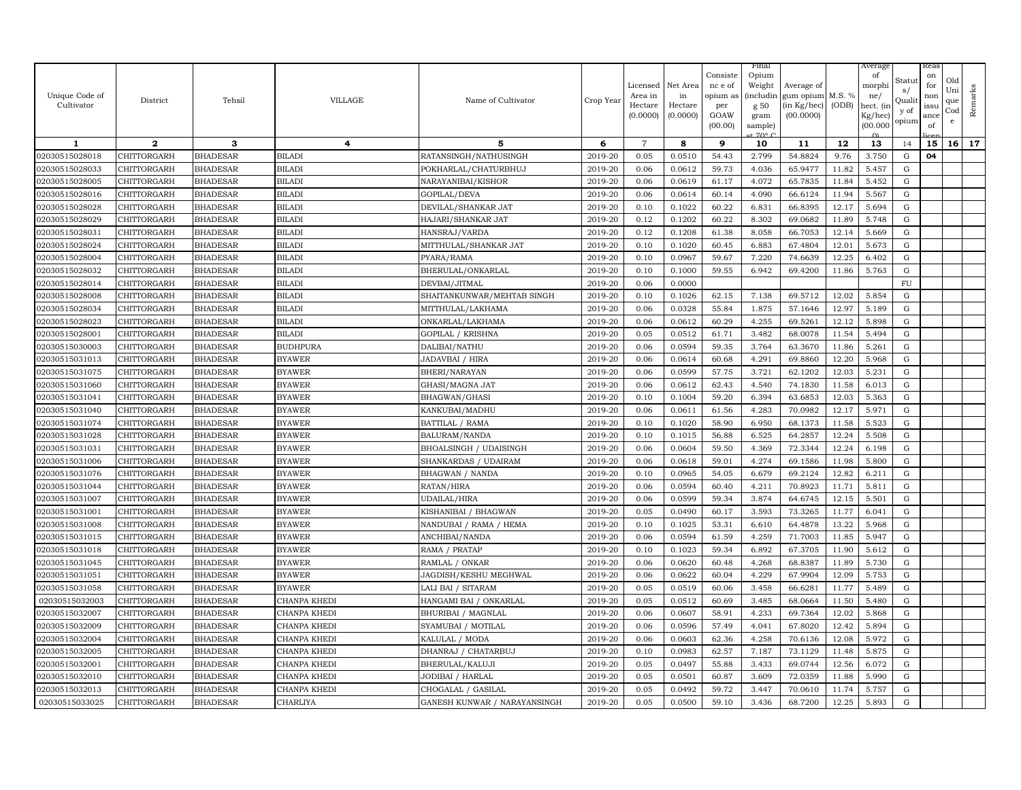| Unique Code of<br>Cultivator | District       | Tehsil          | VILLAGE         | Name of Cultivator           | Crop Year | Licensed<br>Area in<br>Hectare<br>(0.0000) | Net Area<br>in<br>Hectare<br>(0.0000) | Consiste<br>nc e of<br>opium as<br>per<br>GOAW<br>(00.00) | Final<br>Opium<br>Weight<br><i>(includin</i><br>g 50<br>gram<br>sample)<br>$70^\circ$ | Average of<br>gum opium M.S. %<br>(in Kg/hec)<br>(00.0000) | (ODB) | Average<br>of<br>morphi<br>ne/<br>hect. (in<br>Kg/hec<br>(00.000) | Statu<br>s/<br>Quali<br>y of<br>opium | on<br>for<br>nor<br>isst<br>ance<br>of | Old<br>Uni<br>que<br>Cod | Remarks |
|------------------------------|----------------|-----------------|-----------------|------------------------------|-----------|--------------------------------------------|---------------------------------------|-----------------------------------------------------------|---------------------------------------------------------------------------------------|------------------------------------------------------------|-------|-------------------------------------------------------------------|---------------------------------------|----------------------------------------|--------------------------|---------|
| -1                           | $\overline{2}$ | з               | 4               | 5                            | 6         | $\overline{7}$                             | 8                                     | 9                                                         | 10                                                                                    | 11                                                         | 12    | 13                                                                | 14                                    | 15                                     | 16 <sup>1</sup>          | 17      |
| 02030515028018               | CHITTORGARH    | <b>BHADESAR</b> | <b>BILADI</b>   | RATANSINGH/NATHUSINGH        | 2019-20   | 0.05                                       | 0.0510                                | 54.43                                                     | 2.799                                                                                 | 54.8824                                                    | 9.76  | 3.750                                                             | G                                     | 04                                     |                          |         |
| 02030515028033               | CHITTORGARH    | <b>BHADESAR</b> | <b>BILADI</b>   | POKHARLAL/CHATURBHUJ         | 2019-20   | 0.06                                       | 0.0612                                | 59.73                                                     | 4.036                                                                                 | 65.9477                                                    | 11.82 | 5.457                                                             | G                                     |                                        |                          |         |
| 02030515028005               | CHITTORGARH    | <b>BHADESAR</b> | <b>BILADI</b>   | NARAYANIBAI/KISHOR           | 2019-20   | 0.06                                       | 0.0619                                | 61.17                                                     | 4.072                                                                                 | 65.7835                                                    | 11.84 | 5.452                                                             | G                                     |                                        |                          |         |
| 02030515028016               | CHITTORGARH    | <b>BHADESAR</b> | BILADI          | GOPILAL/DEVA                 | 2019-20   | 0.06                                       | 0.0614                                | 60.14                                                     | 4.090                                                                                 | 66.6124                                                    | 11.94 | 5.567                                                             | ${\rm G}$                             |                                        |                          |         |
| 02030515028028               | CHITTORGARH    | <b>BHADESAR</b> | BILADI          | DEVILAL/SHANKAR JAT          | 2019-20   | 0.10                                       | 0.1022                                | 60.22                                                     | 6.831                                                                                 | 66.8395                                                    | 12.17 | 5.694                                                             | ${\rm G}$                             |                                        |                          |         |
| 02030515028029               | CHITTORGARH    | <b>BHADESAR</b> | BILADI          | HAJARI/SHANKAR JAT           | 2019-20   | 0.12                                       | 0.1202                                | 60.22                                                     | 8.302                                                                                 | 69.0682                                                    | 11.89 | 5.748                                                             | G                                     |                                        |                          |         |
| 02030515028031               | CHITTORGARH    | <b>BHADESAR</b> | BILADI          | HANSRAJ/VARDA                | 2019-20   | 0.12                                       | 0.1208                                | 61.38                                                     | 8.058                                                                                 | 66.7053                                                    | 12.14 | 5.669                                                             | ${\rm G}$                             |                                        |                          |         |
| 02030515028024               | CHITTORGARH    | <b>BHADESAR</b> | BILADI          | MITTHULAL/SHANKAR JAT        | 2019-20   | 0.10                                       | 0.1020                                | 60.45                                                     | 6.883                                                                                 | 67.4804                                                    | 12.01 | 5.673                                                             | G                                     |                                        |                          |         |
| 02030515028004               | CHITTORGARH    | <b>BHADESAR</b> | <b>BILADI</b>   | PYARA/RAMA                   | 2019-20   | 0.10                                       | 0.0967                                | 59.67                                                     | 7.220                                                                                 | 74.6639                                                    | 12.25 | 6.402                                                             | ${\rm G}$                             |                                        |                          |         |
| 02030515028032               | CHITTORGARH    | <b>BHADESAR</b> | BILADI          | BHERULAL/ONKARLAL            | 2019-20   | 0.10                                       | 0.1000                                | 59.55                                                     | 6.942                                                                                 | 69.4200                                                    | 11.86 | 5.763                                                             | G                                     |                                        |                          |         |
| 02030515028014               | CHITTORGARH    | <b>BHADESAR</b> | <b>BILADI</b>   | DEVBAI/JITMAL                | 2019-20   | 0.06                                       | 0.0000                                |                                                           |                                                                                       |                                                            |       |                                                                   | ${\rm FU}$                            |                                        |                          |         |
| 02030515028008               | CHITTORGARH    | <b>BHADESAR</b> | BILADI          | SHAITANKUNWAR/MEHTAB SINGH   | 2019-20   | 0.10                                       | 0.1026                                | 62.15                                                     | 7.138                                                                                 | 69.5712                                                    | 12.02 | 5.854                                                             | ${\rm G}$                             |                                        |                          |         |
| 02030515028034               | CHITTORGARH    | <b>BHADESAR</b> | BILADI          | MITTHULAL/LAKHAMA            | 2019-20   | 0.06                                       | 0.0328                                | 55.84                                                     | 1.875                                                                                 | 57.1646                                                    | 12.97 | 5.189                                                             | ${\rm G}$                             |                                        |                          |         |
| 02030515028023               | CHITTORGARH    | <b>BHADESAR</b> | <b>BILADI</b>   | ONKARLAL/LAKHAMA             | 2019-20   | 0.06                                       | 0.0612                                | 60.29                                                     | 4.255                                                                                 | 69.5261                                                    | 12.12 | 5.898                                                             | G                                     |                                        |                          |         |
| 02030515028001               | CHITTORGARH    | <b>BHADESAR</b> | <b>BILADI</b>   | GOPILAL / KRISHNA            | 2019-20   | 0.05                                       | 0.0512                                | 61.71                                                     | 3.482                                                                                 | 68.0078                                                    | 11.54 | 5.494                                                             | ${\rm G}$                             |                                        |                          |         |
| 02030515030003               | CHITTORGARH    | <b>BHADESAR</b> | <b>BUDHPURA</b> | DALIBAI/NATHU                | 2019-20   | 0.06                                       | 0.0594                                | 59.35                                                     | 3.764                                                                                 | 63.3670                                                    | 11.86 | 5.261                                                             | ${\rm G}$                             |                                        |                          |         |
| 02030515031013               | CHITTORGARH    | <b>BHADESAR</b> | <b>BYAWER</b>   | JADAVBAI / HIRA              | 2019-20   | 0.06                                       | 0.0614                                | 60.68                                                     | 4.291                                                                                 | 69.8860                                                    | 12.20 | 5.968                                                             | G                                     |                                        |                          |         |
| 02030515031075               | CHITTORGARH    | <b>BHADESAR</b> | <b>BYAWER</b>   | BHERI/NARAYAN                | 2019-20   | 0.06                                       | 0.0599                                | 57.75                                                     | 3.721                                                                                 | 62.1202                                                    | 12.03 | 5.231                                                             | G                                     |                                        |                          |         |
| 02030515031060               | CHITTORGARH    | <b>BHADESAR</b> | <b>BYAWER</b>   | GHASI/MAGNA JAT              | 2019-20   | 0.06                                       | 0.0612                                | 62.43                                                     | 4.540                                                                                 | 74.1830                                                    | 11.58 | 6.013                                                             | ${\rm G}$                             |                                        |                          |         |
| 02030515031041               | CHITTORGARH    | <b>BHADESAR</b> | <b>BYAWER</b>   | BHAGWAN/GHASI                | 2019-20   | 0.10                                       | 0.1004                                | 59.20                                                     | 6.394                                                                                 | 63.6853                                                    | 12.03 | 5.363                                                             | ${\bf G}$                             |                                        |                          |         |
| 02030515031040               | CHITTORGARH    | <b>BHADESAR</b> | BYAWER          | KANKUBAI/MADHU               | 2019-20   | 0.06                                       | 0.0611                                | 61.56                                                     | 4.283                                                                                 | 70.0982                                                    | 12.17 | 5.971                                                             | G                                     |                                        |                          |         |
| 02030515031074               | CHITTORGARH    | <b>BHADESAR</b> | BYAWER          | BATTILAL / RAMA              | 2019-20   | 0.10                                       | 0.1020                                | 58.90                                                     | 6.950                                                                                 | 68.1373                                                    | 11.58 | 5.523                                                             | G                                     |                                        |                          |         |
| 02030515031028               | CHITTORGARH    | <b>BHADESAR</b> | BYAWER          | BALURAM/NANDA                | 2019-20   | 0.10                                       | 0.1015                                | 56.88                                                     | 6.525                                                                                 | 64.2857                                                    | 12.24 | 5.508                                                             | G                                     |                                        |                          |         |
| 02030515031031               | CHITTORGARH    | <b>BHADESAR</b> | BYAWER          | BHOALSINGH / UDAISINGH       | 2019-20   | 0.06                                       | 0.0604                                | 59.50                                                     | 4.369                                                                                 | 72.3344                                                    | 12.24 | 6.198                                                             | ${\rm G}$                             |                                        |                          |         |
| 02030515031006               | CHITTORGARH    | <b>BHADESAR</b> | <b>BYAWER</b>   | SHANKARDAS / UDAIRAM         | 2019-20   | 0.06                                       | 0.0618                                | 59.01                                                     | 4.274                                                                                 | 69.1586                                                    | 11.98 | 5.800                                                             | ${\rm G}$                             |                                        |                          |         |
| 02030515031076               | CHITTORGARH    | <b>BHADESAR</b> | <b>BYAWER</b>   | BHAGWAN / NANDA              | 2019-20   | 0.10                                       | 0.0965                                | 54.05                                                     | 6.679                                                                                 | 69.2124                                                    | 12.82 | 6.211                                                             | G                                     |                                        |                          |         |
| 02030515031044               | CHITTORGARH    | <b>BHADESAR</b> | <b>BYAWER</b>   | RATAN/HIRA                   | 2019-20   | 0.06                                       | 0.0594                                | 60.40                                                     | 4.211                                                                                 | 70.8923                                                    | 11.71 | 5.811                                                             | G                                     |                                        |                          |         |
| 02030515031007               | CHITTORGARH    | <b>BHADESAR</b> | <b>BYAWER</b>   | UDAILAL/HIRA                 | 2019-20   | 0.06                                       | 0.0599                                | 59.34                                                     | 3.874                                                                                 | 64.6745                                                    | 12.15 | 5.501                                                             | ${\rm G}$                             |                                        |                          |         |
| 02030515031001               | CHITTORGARH    | <b>BHADESAR</b> | BYAWER          | KISHANIBAI / BHAGWAN         | 2019-20   | 0.05                                       | 0.0490                                | 60.17                                                     | 3.593                                                                                 | 73.3265                                                    | 11.77 | 6.041                                                             | G                                     |                                        |                          |         |
| 02030515031008               | CHITTORGARH    | <b>BHADESAR</b> | BYAWER          | NANDUBAI / RAMA / HEMA       | 2019-20   | 0.10                                       | 0.1025                                | 53.31                                                     | 6.610                                                                                 | 64.4878                                                    | 13.22 | 5.968                                                             | $\mathbf G$                           |                                        |                          |         |
| 02030515031015               | CHITTORGARH    | <b>BHADESAR</b> | BYAWER          | ANCHIBAI/NANDA               | 2019-20   | 0.06                                       | 0.0594                                | 61.59                                                     | 4.259                                                                                 | 71.7003                                                    | 11.85 | 5.947                                                             | ${\rm G}$                             |                                        |                          |         |
| 02030515031018               | CHITTORGARH    | <b>BHADESAR</b> | BYAWER          | RAMA / PRATAP                | 2019-20   | 0.10                                       | 0.1023                                | 59.34                                                     | 6.892                                                                                 | 67.3705                                                    | 11.90 | 5.612                                                             | ${\rm G}$                             |                                        |                          |         |
| 02030515031045               | CHITTORGARH    | <b>BHADESAR</b> | <b>BYAWER</b>   | RAMLAL / ONKAR               | 2019-20   | 0.06                                       | 0.0620                                | 60.48                                                     | 4.268                                                                                 | 68.8387                                                    | 11.89 | 5.730                                                             | G                                     |                                        |                          |         |
| 02030515031051               | CHITTORGARH    | <b>BHADESAR</b> | <b>BYAWER</b>   | JAGDISH/KESHU MEGHWAL        | 2019-20   | 0.06                                       | 0.0622                                | 60.04                                                     | 4.229                                                                                 | 67.9904                                                    | 12.09 | 5.753                                                             | G                                     |                                        |                          |         |
| 02030515031058               | CHITTORGARH    | <b>BHADESAR</b> | <b>BYAWER</b>   | LALI BAI / SITARAM           | 2019-20   | 0.05                                       | 0.0519                                | 60.06                                                     | 3.458                                                                                 | 66.6281                                                    | 11.77 | 5.489                                                             | ${\bf G}$                             |                                        |                          |         |
| 02030515032003               | CHITTORGARH    | <b>BHADESAR</b> | CHANPA KHEDI    | HANGAMI BAI / ONKARLAL       | 2019-20   | 0.05                                       | 0.0512                                | 60.69                                                     | 3.485                                                                                 | 68.0664                                                    | 11.50 | 5.480                                                             | G                                     |                                        |                          |         |
| 02030515032007               | CHITTORGARH    | <b>BHADESAR</b> | CHANPA KHEDI    | BHURIBAI / MAGNLAL           | 2019-20   | 0.06                                       | 0.0607                                | 58.91                                                     | 4.233                                                                                 | 69.7364                                                    | 12.02 | 5.868                                                             | G                                     |                                        |                          |         |
| 02030515032009               | CHITTORGARH    | <b>BHADESAR</b> | CHANPA KHEDI    | SYAMUBAI / MOTILAL           | 2019-20   | 0.06                                       | 0.0596                                | 57.49                                                     | 4.041                                                                                 | 67.8020                                                    | 12.42 | 5.894                                                             | G                                     |                                        |                          |         |
| 02030515032004               | CHITTORGARH    | <b>BHADESAR</b> | CHANPA KHEDI    | KALULAL / MODA               | 2019-20   | 0.06                                       | 0.0603                                | 62.36                                                     | 4.258                                                                                 | 70.6136                                                    | 12.08 | 5.972                                                             | G                                     |                                        |                          |         |
| 02030515032005               | CHITTORGARH    | <b>BHADESAR</b> | CHANPA KHEDI    | DHANRAJ / CHATARBUJ          | 2019-20   | 0.10                                       | 0.0983                                | 62.57                                                     | 7.187                                                                                 | 73.1129                                                    | 11.48 | 5.875                                                             | G                                     |                                        |                          |         |
| 02030515032001               | CHITTORGARH    | <b>BHADESAR</b> | CHANPA KHEDI    | BHERULAL/KALUJI              | 2019-20   | 0.05                                       | 0.0497                                | 55.88                                                     | 3.433                                                                                 | 69.0744                                                    | 12.56 | 6.072                                                             | G                                     |                                        |                          |         |
| 02030515032010               | CHITTORGARH    | <b>BHADESAR</b> | CHANPA KHEDI    | JODIBAI / HARLAL             | 2019-20   | 0.05                                       | 0.0501                                | 60.87                                                     | 3.609                                                                                 | 72.0359                                                    | 11.88 | 5.990                                                             | G                                     |                                        |                          |         |
| 02030515032013               | CHITTORGARH    | <b>BHADESAR</b> | CHANPA KHEDI    | CHOGALAL / GASILAL           | 2019-20   | 0.05                                       | 0.0492                                | 59.72                                                     | 3.447                                                                                 | 70.0610                                                    | 11.74 | 5.757                                                             | ${\rm G}$                             |                                        |                          |         |
| 02030515033025               | CHITTORGARH    | <b>BHADESAR</b> | CHARLIYA        | GANESH KUNWAR / NARAYANSINGH | 2019-20   | 0.05                                       | 0.0500                                | 59.10                                                     | 3.436                                                                                 | 68.7200                                                    | 12.25 | 5.893                                                             | ${\rm G}$                             |                                        |                          |         |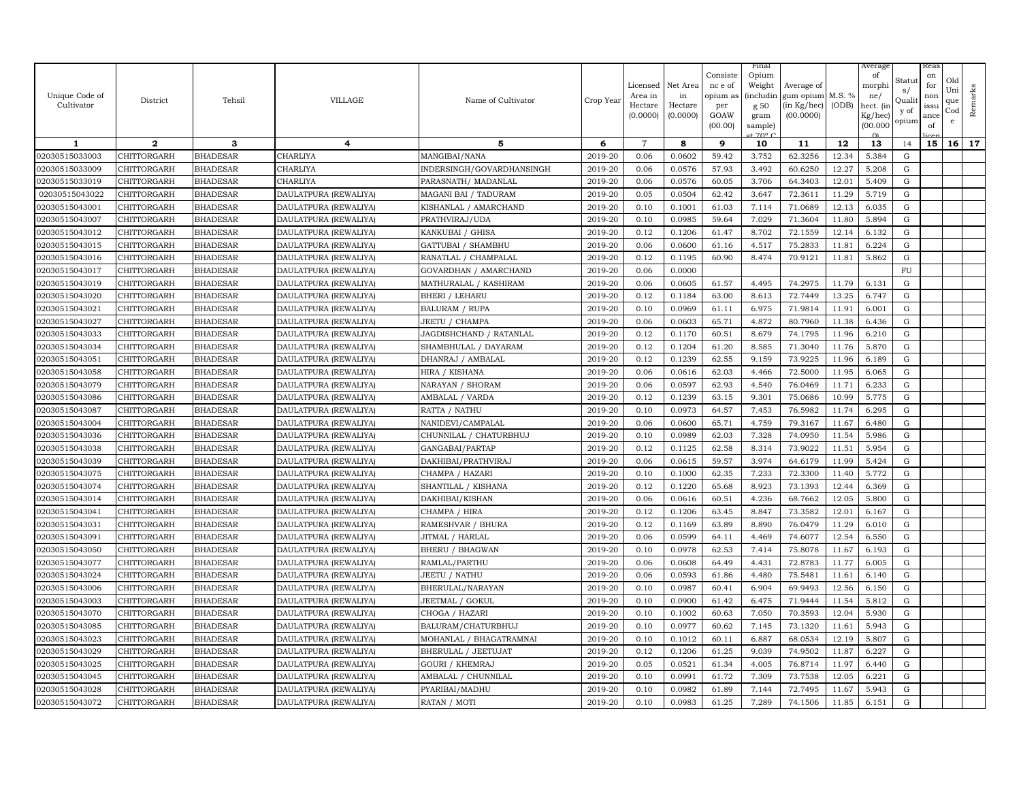| Unique Code of<br>Cultivator | District       | Tehsil          | VILLAGE               | Name of Cultivator        | Crop Year | Licensed<br>Area in<br>Hectare<br>(0.0000) | Net Area<br>in<br>Hectare<br>(0.0000) | Consiste<br>nc e of<br>opium as<br>per<br>GOAW<br>(00.00) | Final<br>Opium<br>Weight<br><i>(includin</i><br>g 50<br>gram<br>sample]<br>$70^\circ$ | Average of<br>gum opium M.S. %<br>(in Kg/hec)<br>(00.0000) | (ODB) | <i><u><b>Werage</b></u></i><br>of<br>morphi<br>ne/<br>hect. (in<br>Kg/hec]<br>(00.000) | Statu<br>s/<br>Quali<br>y of<br>opium | on<br>for<br>noi<br>isst<br>ance<br>of | blG<br>Uni<br>que | Remarks |
|------------------------------|----------------|-----------------|-----------------------|---------------------------|-----------|--------------------------------------------|---------------------------------------|-----------------------------------------------------------|---------------------------------------------------------------------------------------|------------------------------------------------------------|-------|----------------------------------------------------------------------------------------|---------------------------------------|----------------------------------------|-------------------|---------|
|                              | $\overline{2}$ | з               | 4                     | 5                         | 6         | $\overline{7}$                             | 8                                     | 9                                                         | 10                                                                                    | 11                                                         | 12    | 13                                                                                     | 14                                    | 15                                     | 16 <sup>1</sup>   | 17      |
| 02030515033003               | CHITTORGARH    | <b>BHADESAR</b> | CHARLIYA              | MANGIBAI/NANA             | 2019-20   | 0.06                                       | 0.0602                                | 59.42                                                     | 3.752                                                                                 | 62.3256                                                    | 12.34 | 5.384                                                                                  | G                                     |                                        |                   |         |
| 02030515033009               | CHITTORGARH    | <b>BHADESAR</b> | CHARLIYA              | INDERSINGH/GOVARDHANSINGH | 2019-20   | 0.06                                       | 0.0576                                | 57.93                                                     | 3.492                                                                                 | 60.6250                                                    | 12.27 | 5.208                                                                                  | G                                     |                                        |                   |         |
| 02030515033019               | CHITTORGARH    | <b>BHADESAR</b> | CHARLIYA              | PARASNATH / MADANLAL      | 2019-20   | 0.06                                       | 0.0576                                | 60.05                                                     | 3.706                                                                                 | 64.3403                                                    | 12.01 | 5.409                                                                                  | G                                     |                                        |                   |         |
| 02030515043022               | CHITTORGARH    | <b>BHADESAR</b> | DAULATPURA (REWALIYA) | MAGANI BAI / TADURAM      | 2019-20   | 0.05                                       | 0.0504                                | 62.42                                                     | 3.647                                                                                 | 72.3611                                                    | 11.29 | 5.719                                                                                  | ${\rm G}$                             |                                        |                   |         |
| 02030515043001               | CHITTORGARH    | <b>BHADESAR</b> | DAULATPURA (REWALIYA) | KISHANLAL / AMARCHAND     | 2019-20   | 0.10                                       | 0.1001                                | 61.03                                                     | 7.114                                                                                 | 71.0689                                                    | 12.13 | 6.035                                                                                  | G                                     |                                        |                   |         |
| 02030515043007               | CHITTORGARH    | <b>BHADESAR</b> | DAULATPURA (REWALIYA) | PRATHVIRAJ/UDA            | 2019-20   | 0.10                                       | 0.0985                                | 59.64                                                     | 7.029                                                                                 | 71.3604                                                    | 11.80 | 5.894                                                                                  | G                                     |                                        |                   |         |
| 02030515043012               | CHITTORGARH    | <b>BHADESAR</b> | DAULATPURA (REWALIYA) | KANKUBAI / GHISA          | 2019-20   | 0.12                                       | 0.1206                                | 61.47                                                     | 8.702                                                                                 | 72.1559                                                    | 12.14 | 6.132                                                                                  | ${\rm G}$                             |                                        |                   |         |
| 02030515043015               | CHITTORGARH    | <b>BHADESAR</b> | DAULATPURA (REWALIYA) | GATTUBAI / SHAMBHU        | 2019-20   | 0.06                                       | 0.0600                                | 61.16                                                     | 4.517                                                                                 | 75.2833                                                    | 11.81 | 6.224                                                                                  | G                                     |                                        |                   |         |
| 02030515043016               | CHITTORGARH    | <b>BHADESAR</b> | DAULATPURA (REWALIYA) | RANATLAL / CHAMPALAL      | 2019-20   | 0.12                                       | 0.1195                                | 60.90                                                     | 8.474                                                                                 | 70.9121                                                    | 11.81 | 5.862                                                                                  | ${\rm G}$                             |                                        |                   |         |
| 02030515043017               | CHITTORGARH    | <b>BHADESAR</b> | DAULATPURA (REWALIYA) | GOVARDHAN / AMARCHAND     | 2019-20   | 0.06                                       | 0.0000                                |                                                           |                                                                                       |                                                            |       |                                                                                        | ${\rm FU}$                            |                                        |                   |         |
| 02030515043019               | CHITTORGARH    | <b>BHADESAR</b> | DAULATPURA (REWALIYA) | MATHURALAL / KASHIRAM     | 2019-20   | 0.06                                       | 0.0605                                | 61.57                                                     | 4.495                                                                                 | 74.2975                                                    | 11.79 | 6.131                                                                                  | G                                     |                                        |                   |         |
| 02030515043020               | CHITTORGARH    | <b>BHADESAR</b> | DAULATPURA (REWALIYA) | <b>BHERI / LEHARU</b>     | 2019-20   | 0.12                                       | 0.1184                                | 63.00                                                     | 8.613                                                                                 | 72.7449                                                    | 13.25 | 6.747                                                                                  | ${\rm G}$                             |                                        |                   |         |
| 02030515043021               | CHITTORGARH    | <b>BHADESAR</b> | DAULATPURA (REWALIYA) | <b>BALURAM / RUPA</b>     | 2019-20   | 0.10                                       | 0.0969                                | 61.11                                                     | 6.975                                                                                 | 71.9814                                                    | 11.91 | 6.001                                                                                  | ${\rm G}$                             |                                        |                   |         |
| 02030515043027               | CHITTORGARH    | <b>BHADESAR</b> | DAULATPURA (REWALIYA) | JEETU / CHAMPA            | 2019-20   | 0.06                                       | 0.0603                                | 65.71                                                     | 4.872                                                                                 | 80.7960                                                    | 11.38 | 6.436                                                                                  | G                                     |                                        |                   |         |
| 02030515043033               | CHITTORGARH    | <b>BHADESAR</b> | DAULATPURA (REWALIYA) | JAGDISHCHAND / RATANLAL   | 2019-20   | 0.12                                       | 0.1170                                | 60.51                                                     | 8.679                                                                                 | 74.1795                                                    | 11.96 | 6.210                                                                                  | ${\rm G}$                             |                                        |                   |         |
| 02030515043034               | CHITTORGARH    | <b>BHADESAR</b> | DAULATPURA (REWALIYA) | SHAMBHULAL / DAYARAM      | 2019-20   | 0.12                                       | 0.1204                                | 61.20                                                     | 8.585                                                                                 | 71.3040                                                    | 11.76 | 5.870                                                                                  | ${\rm G}$                             |                                        |                   |         |
| 02030515043051               | CHITTORGARH    | <b>BHADESAR</b> | DAULATPURA (REWALIYA) | DHANRAJ / AMBALAL         | 2019-20   | 0.12                                       | 0.1239                                | 62.55                                                     | 9.159                                                                                 | 73.9225                                                    | 11.96 | 6.189                                                                                  | G                                     |                                        |                   |         |
| 02030515043058               | CHITTORGARH    | <b>BHADESAR</b> | DAULATPURA (REWALIYA) | HIRA / KISHANA            | 2019-20   | 0.06                                       | 0.0616                                | 62.03                                                     | 4.466                                                                                 | 72.5000                                                    | 11.95 | 6.065                                                                                  | G                                     |                                        |                   |         |
| 02030515043079               | CHITTORGARH    | <b>BHADESAR</b> | DAULATPURA (REWALIYA) | NARAYAN / SHORAM          | 2019-20   | 0.06                                       | 0.0597                                | 62.93                                                     | 4.540                                                                                 | 76.0469                                                    | 11.71 | 6.233                                                                                  | ${\bf G}$                             |                                        |                   |         |
| 02030515043086               | CHITTORGARH    | <b>BHADESAR</b> | DAULATPURA (REWALIYA) | AMBALAL / VARDA           | 2019-20   | 0.12                                       | 0.1239                                | 63.15                                                     | 9.301                                                                                 | 75.0686                                                    | 10.99 | 5.775                                                                                  | ${\bf G}$                             |                                        |                   |         |
| 02030515043087               | CHITTORGARH    | <b>BHADESAR</b> | DAULATPURA (REWALIYA) | RATTA / NATHU             | 2019-20   | 0.10                                       | 0.0973                                | 64.57                                                     | 7.453                                                                                 | 76.5982                                                    | 11.74 | 6.295                                                                                  | G                                     |                                        |                   |         |
| 02030515043004               | CHITTORGARH    | <b>BHADESAR</b> | DAULATPURA (REWALIYA) | NANIDEVI/CAMPALAL         | 2019-20   | 0.06                                       | 0.0600                                | 65.71                                                     | 4.759                                                                                 | 79.3167                                                    | 11.67 | 6.480                                                                                  | G                                     |                                        |                   |         |
| 02030515043036               | CHITTORGARH    | <b>BHADESAR</b> | DAULATPURA (REWALIYA) | CHUNNILAL / CHATURBHUJ    | 2019-20   | 0.10                                       | 0.0989                                | 62.03                                                     | 7.328                                                                                 | 74.0950                                                    | 11.54 | 5.986                                                                                  | G                                     |                                        |                   |         |
| 02030515043038               | CHITTORGARH    | <b>BHADESAR</b> | DAULATPURA (REWALIYA) | GANGABAI/PARTAP           | 2019-20   | 0.12                                       | 0.1125                                | 62.58                                                     | 8.314                                                                                 | 73.9022                                                    | 11.51 | 5.954                                                                                  | ${\rm G}$                             |                                        |                   |         |
| 02030515043039               | CHITTORGARH    | <b>BHADESAR</b> | DAULATPURA (REWALIYA) | DAKHIBAI/PRATHVIRAJ       | 2019-20   | 0.06                                       | 0.0615                                | 59.57                                                     | 3.974                                                                                 | 64.6179                                                    | 11.99 | 5.424                                                                                  | G                                     |                                        |                   |         |
| 02030515043075               | CHITTORGARH    | <b>BHADESAR</b> | DAULATPURA (REWALIYA) | CHAMPA / HAZARI           | 2019-20   | 0.10                                       | 0.1000                                | 62.35                                                     | 7.233                                                                                 | 72.3300                                                    | 11.40 | 5.772                                                                                  | G                                     |                                        |                   |         |
| 02030515043074               | CHITTORGARH    | <b>BHADESAR</b> | DAULATPURA (REWALIYA) | SHANTILAL / KISHANA       | 2019-20   | 0.12                                       | 0.1220                                | 65.68                                                     | 8.923                                                                                 | 73.1393                                                    | 12.44 | 6.369                                                                                  | ${\rm G}$                             |                                        |                   |         |
| 02030515043014               | CHITTORGARH    | <b>BHADESAR</b> | DAULATPURA (REWALIYA) | DAKHIBAI/KISHAN           | 2019-20   | 0.06                                       | 0.0616                                | 60.51                                                     | 4.236                                                                                 | 68.7662                                                    | 12.05 | 5.800                                                                                  | ${\rm G}$                             |                                        |                   |         |
| 02030515043041               | CHITTORGARH    | <b>BHADESAR</b> | DAULATPURA (REWALIYA) | CHAMPA / HIRA             | 2019-20   | 0.12                                       | 0.1206                                | 63.45                                                     | 8.847                                                                                 | 73.3582                                                    | 12.01 | 6.167                                                                                  | G                                     |                                        |                   |         |
| 02030515043031               | CHITTORGARH    | <b>BHADESAR</b> | DAULATPURA (REWALIYA) | RAMESHVAR / BHURA         | 2019-20   | 0.12                                       | 0.1169                                | 63.89                                                     | 8.890                                                                                 | 76.0479                                                    | 11.29 | 6.010                                                                                  | $\mathbf G$                           |                                        |                   |         |
| 02030515043091               | CHITTORGARH    | <b>BHADESAR</b> | DAULATPURA (REWALIYA) | JITMAL / HARLAL           | 2019-20   | 0.06                                       | 0.0599                                | 64.11                                                     | 4.469                                                                                 | 74.6077                                                    | 12.54 | 6.550                                                                                  | ${\rm G}$                             |                                        |                   |         |
| 02030515043050               | CHITTORGARH    | <b>BHADESAR</b> | DAULATPURA (REWALIYA) | BHERU / BHAGWAN           | 2019-20   | 0.10                                       | 0.0978                                | 62.53                                                     | 7.414                                                                                 | 75.8078                                                    | 11.67 | 6.193                                                                                  | ${\rm G}$                             |                                        |                   |         |
| 02030515043077               | CHITTORGARH    | <b>BHADESAR</b> | DAULATPURA (REWALIYA) | RAMLAL/PARTHU             | 2019-20   | 0.06                                       | 0.0608                                | 64.49                                                     | 4.431                                                                                 | 72.8783                                                    | 11.77 | 6.005                                                                                  | G                                     |                                        |                   |         |
| 02030515043024               | CHITTORGARH    | <b>BHADESAR</b> | DAULATPURA (REWALIYA) | JEETU / NATHU             | 2019-20   | 0.06                                       | 0.0593                                | 61.86                                                     | 4.480                                                                                 | 75.5481                                                    | 11.61 | 6.140                                                                                  | G                                     |                                        |                   |         |
| 02030515043006               | CHITTORGARH    | <b>BHADESAR</b> | DAULATPURA (REWALIYA) | BHERULAL/NARAYAN          | 2019-20   | 0.10                                       | 0.0987                                | 60.41                                                     | 6.904                                                                                 | 69.9493                                                    | 12.56 | 6.150                                                                                  | G                                     |                                        |                   |         |
| 02030515043003               | CHITTORGARH    | <b>BHADESAR</b> | DAULATPURA (REWALIYA) | JEETMAL / GOKUL           | 2019-20   | 0.10                                       | 0.0900                                | 61.42                                                     | 6.475                                                                                 | 71.9444                                                    | 11.54 | 5.812                                                                                  | G                                     |                                        |                   |         |
| 02030515043070               | CHITTORGARH    | <b>BHADESAR</b> | DAULATPURA (REWALIYA) | CHOGA / HAZARI            | 2019-20   | 0.10                                       | 0.1002                                | 60.63                                                     | 7.050                                                                                 | 70.3593                                                    | 12.04 | 5.930                                                                                  | G                                     |                                        |                   |         |
| 02030515043085               | CHITTORGARH    | <b>BHADESAR</b> | DAULATPURA (REWALIYA) | BALURAM/CHATURBHUJ        | 2019-20   | 0.10                                       | 0.0977                                | 60.62                                                     | 7.145                                                                                 | 73.1320                                                    | 11.61 | 5.943                                                                                  | G                                     |                                        |                   |         |
| 02030515043023               | CHITTORGARH    | <b>BHADESAR</b> | DAULATPURA (REWALIYA) | MOHANLAL / BHAGATRAMNAI   | 2019-20   | 0.10                                       | 0.1012                                | 60.11                                                     | 6.887                                                                                 | 68.0534                                                    | 12.19 | 5.807                                                                                  | G                                     |                                        |                   |         |
| 02030515043029               | CHITTORGARH    | <b>BHADESAR</b> | DAULATPURA (REWALIYA) | BHERULAL / JEETUJAT       | 2019-20   | 0.12                                       | 0.1206                                | 61.25                                                     | 9.039                                                                                 | 74.9502                                                    | 11.87 | 6.227                                                                                  | G                                     |                                        |                   |         |
| 02030515043025               | CHITTORGARH    | <b>BHADESAR</b> | DAULATPURA (REWALIYA) | GOURI / KHEMRAJ           | 2019-20   | 0.05                                       | 0.0521                                | 61.34                                                     | 4.005                                                                                 | 76.8714                                                    | 11.97 | 6.440                                                                                  | G                                     |                                        |                   |         |
| 02030515043045               | CHITTORGARH    | <b>BHADESAR</b> | DAULATPURA (REWALIYA) | AMBALAL / CHUNNILAL       | 2019-20   | 0.10                                       | 0.0991                                | 61.72                                                     | 7.309                                                                                 | 73.7538                                                    | 12.05 | 6.221                                                                                  | G                                     |                                        |                   |         |
| 02030515043028               | CHITTORGARH    | <b>BHADESAR</b> | DAULATPURA (REWALIYA) | PYARIBAI/MADHU            | 2019-20   | 0.10                                       | 0.0982                                | 61.89                                                     | 7.144                                                                                 | 72.7495                                                    | 11.67 | 5.943                                                                                  | ${\rm G}$                             |                                        |                   |         |
| 02030515043072               | CHITTORGARH    | <b>BHADESAR</b> | DAULATPURA (REWALIYA) | RATAN / MOTI              | 2019-20   | 0.10                                       | 0.0983                                | 61.25                                                     | 7.289                                                                                 | 74.1506                                                    | 11.85 | 6.151                                                                                  | ${\rm G}$                             |                                        |                   |         |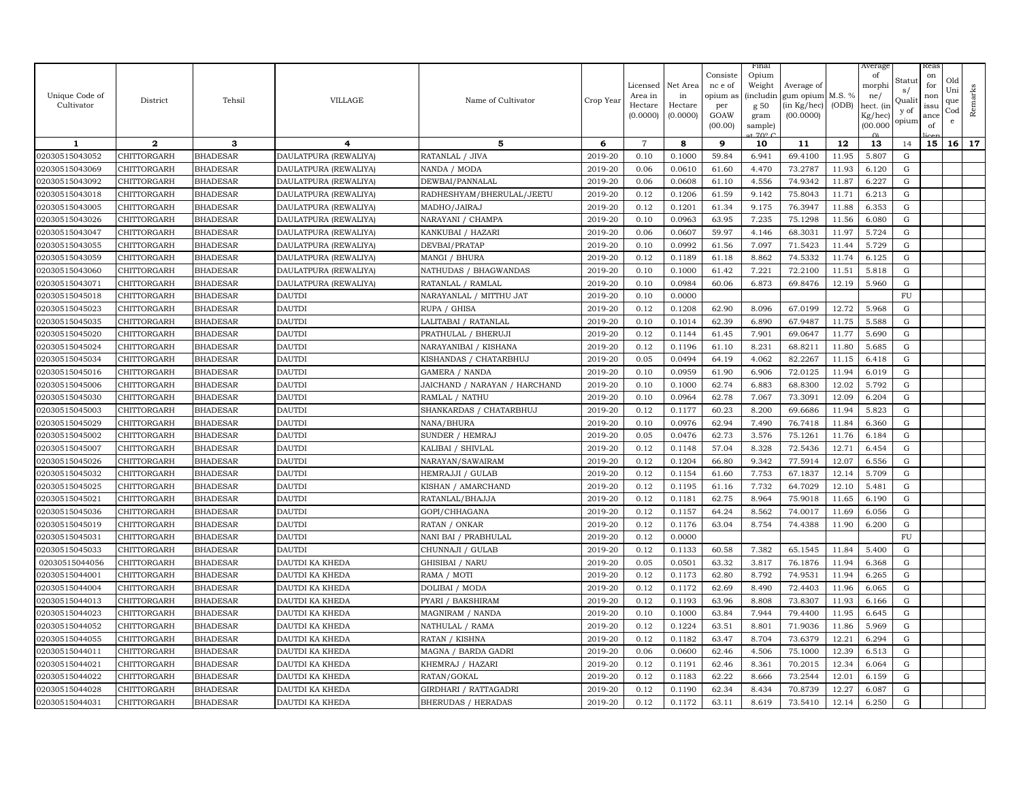| Unique Code of<br>Cultivator | District       | Tehsil          | VILLAGE               | Name of Cultivator            | Crop Year | Licensed<br>Area in<br>Hectare<br>(0.0000) | Net Area<br>in<br>Hectare<br>(0.0000) | Consiste<br>nc e of<br>opium as<br>per<br>GOAW<br>(00.00) | Final<br>Opium<br>Weight<br><i>(includin</i><br>g 50<br>gram<br>sample]<br>$70^\circ$ | Average of<br>gum opium M.S. %<br>(in Kg/hec)<br>(00.0000) | (ODB) | Average<br>of<br>morphi<br>ne/<br>hect. (in<br>Kg/hec<br>(00.000) | Statu<br>s/<br>Quali<br>y of<br>opium | on<br>for<br>noi<br>isst<br>ance<br>of | Old<br>Uni<br>que | Remarks |
|------------------------------|----------------|-----------------|-----------------------|-------------------------------|-----------|--------------------------------------------|---------------------------------------|-----------------------------------------------------------|---------------------------------------------------------------------------------------|------------------------------------------------------------|-------|-------------------------------------------------------------------|---------------------------------------|----------------------------------------|-------------------|---------|
| -1                           | $\overline{2}$ | з               |                       | 5                             | 6         | $\overline{7}$                             | 8                                     | 9                                                         | 10                                                                                    | 11                                                         | 12    | 13                                                                | 14                                    | 15                                     | 16 <sup>1</sup>   | 17      |
| 02030515043052               | CHITTORGARH    | <b>BHADESAR</b> | DAULATPURA (REWALIYA) | RATANLAL / JIVA               | 2019-20   | 0.10                                       | 0.1000                                | 59.84                                                     | 6.941                                                                                 | 69.4100                                                    | 11.95 | 5.807                                                             | G                                     |                                        |                   |         |
| 02030515043069               | CHITTORGARH    | <b>BHADESAR</b> | DAULATPURA (REWALIYA) | NANDA / MODA                  | 2019-20   | 0.06                                       | 0.0610                                | 61.60                                                     | 4.470                                                                                 | 73.2787                                                    | 11.93 | 6.120                                                             | G                                     |                                        |                   |         |
| 02030515043092               | CHITTORGARH    | <b>BHADESAR</b> | DAULATPURA (REWALIYA) | DEWBAI/PANNALAL               | 2019-20   | 0.06                                       | 0.0608                                | 61.10                                                     | 4.556                                                                                 | 74.9342                                                    | 11.87 | 6.227                                                             | G                                     |                                        |                   |         |
| 02030515043018               | CHITTORGARH    | <b>BHADESAR</b> | DAULATPURA (REWALIYA) | RADHESHYAM/BHERULAL/JEETU     | 2019-20   | 0.12                                       | 0.1206                                | 61.59                                                     | 9.142                                                                                 | 75.8043                                                    | 11.71 | 6.213                                                             | ${\rm G}$                             |                                        |                   |         |
| 02030515043005               | CHITTORGARH    | <b>BHADESAR</b> | DAULATPURA (REWALIYA) | MADHO/JAIRAJ                  | 2019-20   | 0.12                                       | 0.1201                                | 61.34                                                     | 9.175                                                                                 | 76.3947                                                    | 11.88 | 6.353                                                             | G                                     |                                        |                   |         |
| 02030515043026               | CHITTORGARH    | <b>BHADESAR</b> | DAULATPURA (REWALIYA) | NARAYANI / CHAMPA             | 2019-20   | 0.10                                       | 0.0963                                | 63.95                                                     | 7.235                                                                                 | 75.1298                                                    | 11.56 | 6.080                                                             | G                                     |                                        |                   |         |
| 02030515043047               | CHITTORGARH    | <b>BHADESAR</b> | DAULATPURA (REWALIYA) | KANKUBAI / HAZARI             | 2019-20   | 0.06                                       | 0.0607                                | 59.97                                                     | 4.146                                                                                 | 68.3031                                                    | 11.97 | 5.724                                                             | ${\rm G}$                             |                                        |                   |         |
| 02030515043055               | CHITTORGARH    | <b>BHADESAR</b> | DAULATPURA (REWALIYA) | DEVBAI/PRATAP                 | 2019-20   | 0.10                                       | 0.0992                                | 61.56                                                     | 7.097                                                                                 | 71.5423                                                    | 11.44 | 5.729                                                             | G                                     |                                        |                   |         |
| 02030515043059               | CHITTORGARH    | <b>BHADESAR</b> | DAULATPURA (REWALIYA) | MANGI / BHURA                 | 2019-20   | 0.12                                       | 0.1189                                | 61.18                                                     | 8.862                                                                                 | 74.5332                                                    | 11.74 | 6.125                                                             | ${\rm G}$                             |                                        |                   |         |
| 02030515043060               | CHITTORGARH    | <b>BHADESAR</b> | DAULATPURA (REWALIYA) | NATHUDAS / BHAGWANDAS         | 2019-20   | 0.10                                       | 0.1000                                | 61.42                                                     | 7.221                                                                                 | 72.2100                                                    | 11.51 | 5.818                                                             | G                                     |                                        |                   |         |
| 02030515043071               | CHITTORGARH    | <b>BHADESAR</b> | DAULATPURA (REWALIYA) | RATANLAL / RAMLAL             | 2019-20   | 0.10                                       | 0.0984                                | 60.06                                                     | 6.873                                                                                 | 69.8476                                                    | 12.19 | 5.960                                                             | G                                     |                                        |                   |         |
| 02030515045018               | CHITTORGARH    | <b>BHADESAR</b> | DAUTDI                | NARAYANLAL / MITTHU JAT       | 2019-20   | 0.10                                       | 0.0000                                |                                                           |                                                                                       |                                                            |       |                                                                   | ${\rm FU}$                            |                                        |                   |         |
| 02030515045023               | CHITTORGARH    | <b>BHADESAR</b> | DAUTDI                | RUPA / GHISA                  | 2019-20   | 0.12                                       | 0.1208                                | 62.90                                                     | 8.096                                                                                 | 67.0199                                                    | 12.72 | 5.968                                                             | G                                     |                                        |                   |         |
| 02030515045035               | CHITTORGARH    | <b>BHADESAR</b> | DAUTDI                | LALITABAI / RATANLAL          | 2019-20   | 0.10                                       | 0.1014                                | 62.39                                                     | 6.890                                                                                 | 67.9487                                                    | 11.75 | 5.588                                                             | G                                     |                                        |                   |         |
| 02030515045020               | CHITTORGARH    | <b>BHADESAR</b> | DAUTDI                | PRATHULAL / BHERUJI           | 2019-20   | 0.12                                       | 0.1144                                | 61.45                                                     | 7.901                                                                                 | 69.0647                                                    | 11.77 | 5.690                                                             | ${\rm G}$                             |                                        |                   |         |
| 02030515045024               | CHITTORGARH    | <b>BHADESAR</b> | DAUTDI                | NARAYANIBAI / KISHANA         | 2019-20   | 0.12                                       | 0.1196                                | 61.10                                                     | 8.231                                                                                 | 68.8211                                                    | 11.80 | 5.685                                                             | ${\rm G}$                             |                                        |                   |         |
| 02030515045034               | CHITTORGARH    | <b>BHADESAR</b> | DAUTDI                | KISHANDAS / CHATARBHUJ        | 2019-20   | 0.05                                       | 0.0494                                | 64.19                                                     | 4.062                                                                                 | 82.2267                                                    | 11.15 | 6.418                                                             | G                                     |                                        |                   |         |
| 02030515045016               | CHITTORGARH    | <b>BHADESAR</b> | <b>DAUTDI</b>         | GAMERA / NANDA                | 2019-20   | 0.10                                       | 0.0959                                | 61.90                                                     | 6.906                                                                                 | 72.0125                                                    | 11.94 | 6.019                                                             | G                                     |                                        |                   |         |
| 02030515045006               | CHITTORGARH    | <b>BHADESAR</b> | <b>DAUTDI</b>         | JAICHAND / NARAYAN / HARCHAND | 2019-20   | 0.10                                       | 0.1000                                | 62.74                                                     | 6.883                                                                                 | 68.8300                                                    | 12.02 | 5.792                                                             | ${\bf G}$                             |                                        |                   |         |
| 02030515045030               | CHITTORGARH    | <b>BHADESAR</b> | <b>DAUTDI</b>         | RAMLAL / NATHU                | 2019-20   | 0.10                                       | 0.0964                                | 62.78                                                     | 7.067                                                                                 | 73.3091                                                    | 12.09 | 6.204                                                             | ${\bf G}$                             |                                        |                   |         |
| 02030515045003               | CHITTORGARH    | <b>BHADESAR</b> | DAUTDI                | SHANKARDAS / CHATARBHUJ       | 2019-20   | 0.12                                       | 0.1177                                | 60.23                                                     | 8.200                                                                                 | 69.6686                                                    | 11.94 | 5.823                                                             | G                                     |                                        |                   |         |
| 02030515045029               | CHITTORGARH    | <b>BHADESAR</b> | DAUTDI                | NANA/BHURA                    | 2019-20   | 0.10                                       | 0.0976                                | 62.94                                                     | 7.490                                                                                 | 76.7418                                                    | 11.84 | 6.360                                                             | G                                     |                                        |                   |         |
| 02030515045002               | CHITTORGARH    | <b>BHADESAR</b> | DAUTDI                | SUNDER / HEMRAJ               | 2019-20   | 0.05                                       | 0.0476                                | 62.73                                                     | 3.576                                                                                 | 75.1261                                                    | 11.76 | 6.184                                                             | G                                     |                                        |                   |         |
| 02030515045007               | CHITTORGARH    | <b>BHADESAR</b> | DAUTDI                | KALIBAI / SHIVLAL             | 2019-20   | 0.12                                       | 0.1148                                | 57.04                                                     | 8.328                                                                                 | 72.5436                                                    | 12.71 | 6.454                                                             | ${\rm G}$                             |                                        |                   |         |
| 02030515045026               | CHITTORGARH    | <b>BHADESAR</b> | DAUTDI                | NARAYAN/SAWAIRAM              | 2019-20   | 0.12                                       | 0.1204                                | 66.80                                                     | 9.342                                                                                 | 77.5914                                                    | 12.07 | 6.556                                                             | G                                     |                                        |                   |         |
| 02030515045032               | CHITTORGARH    | <b>BHADESAR</b> | <b>DAUTDI</b>         | HEMRAJJI / GULAB              | 2019-20   | 0.12                                       | 0.1154                                | 61.60                                                     | 7.753                                                                                 | 67.1837                                                    | 12.14 | 5.709                                                             | G                                     |                                        |                   |         |
| 02030515045025               | CHITTORGARH    | <b>BHADESAR</b> | DAUTDI                | KISHAN / AMARCHAND            | 2019-20   | 0.12                                       | 0.1195                                | 61.16                                                     | 7.732                                                                                 | 64.7029                                                    | 12.10 | 5.481                                                             | G                                     |                                        |                   |         |
| 02030515045021               | CHITTORGARH    | <b>BHADESAR</b> | <b>DAUTDI</b>         | RATANLAL/BHAJJA               | 2019-20   | 0.12                                       | 0.1181                                | 62.75                                                     | 8.964                                                                                 | 75.9018                                                    | 11.65 | 6.190                                                             | ${\rm G}$                             |                                        |                   |         |
| 02030515045036               | CHITTORGARH    | <b>BHADESAR</b> | DAUTDI                | GOPI/CHHAGANA                 | 2019-20   | 0.12                                       | 0.1157                                | 64.24                                                     | 8.562                                                                                 | 74.0017                                                    | 11.69 | 6.056                                                             | G                                     |                                        |                   |         |
| 02030515045019               | CHITTORGARH    | <b>BHADESAR</b> | DAUTDI                | RATAN / ONKAR                 | 2019-20   | 0.12                                       | 0.1176                                | 63.04                                                     | 8.754                                                                                 | 74.4388                                                    | 11.90 | 6.200                                                             | $\mathbf G$                           |                                        |                   |         |
| 02030515045031               | CHITTORGARH    | <b>BHADESAR</b> | DAUTDI                | NANI BAI / PRABHULAL          | 2019-20   | 0.12                                       | 0.0000                                |                                                           |                                                                                       |                                                            |       |                                                                   | ${\rm FU}$                            |                                        |                   |         |
| 02030515045033               | CHITTORGARH    | <b>BHADESAR</b> | DAUTDI                | CHUNNAJI / GULAB              | 2019-20   | 0.12                                       | 0.1133                                | 60.58                                                     | 7.382                                                                                 | 65.1545                                                    | 11.84 | 5.400                                                             | ${\rm G}$                             |                                        |                   |         |
| 02030515044056               | CHITTORGARH    | <b>BHADESAR</b> | DAUTDI KA KHEDA       | <b>GHISIBAI / NARU</b>        | 2019-20   | 0.05                                       | 0.0501                                | 63.32                                                     | 3.817                                                                                 | 76.1876                                                    | 11.94 | 6.368                                                             | G                                     |                                        |                   |         |
| 02030515044001               | CHITTORGARH    | <b>BHADESAR</b> | DAUTDI KA KHEDA       | RAMA / MOTI                   | 2019-20   | 0.12                                       | 0.1173                                | 62.80                                                     | 8.792                                                                                 | 74.9531                                                    | 11.94 | 6.265                                                             | G                                     |                                        |                   |         |
| 02030515044004               | CHITTORGARH    | <b>BHADESAR</b> | DAUTDI KA KHEDA       | DOLIBAI / MODA                | 2019-20   | 0.12                                       | 0.1172                                | 62.69                                                     | 8.490                                                                                 | 72.4403                                                    | 11.96 | 6.065                                                             | G                                     |                                        |                   |         |
| 02030515044013               | CHITTORGARH    | <b>BHADESAR</b> | DAUTDI KA KHEDA       | PYARI / BAKSHIRAM             | 2019-20   | 0.12                                       | 0.1193                                | 63.96                                                     | 8.808                                                                                 | 73.8307                                                    | 11.93 | 6.166                                                             | G                                     |                                        |                   |         |
| 02030515044023               | CHITTORGARH    | <b>BHADESAR</b> | DAUTDI KA KHEDA       | MAGNIRAM / NANDA              | 2019-20   | 0.10                                       | 0.1000                                | 63.84                                                     | 7.944                                                                                 | 79.4400                                                    | 11.95 | 6.645                                                             | G                                     |                                        |                   |         |
| 02030515044052               | CHITTORGARH    | <b>BHADESAR</b> | DAUTDI KA KHEDA       | NATHULAL / RAMA               | 2019-20   | 0.12                                       | 0.1224                                | 63.51                                                     | 8.801                                                                                 | 71.9036                                                    | 11.86 | 5.969                                                             | G                                     |                                        |                   |         |
| 02030515044055               | CHITTORGARH    | <b>BHADESAR</b> | DAUTDI KA KHEDA       | RATAN / KISHNA                | 2019-20   | 0.12                                       | 0.1182                                | 63.47                                                     | 8.704                                                                                 | 73.6379                                                    | 12.21 | 6.294                                                             | G                                     |                                        |                   |         |
| 02030515044011               | CHITTORGARH    | <b>BHADESAR</b> | DAUTDI KA KHEDA       | MAGNA / BARDA GADRI           | 2019-20   | 0.06                                       | 0.0600                                | 62.46                                                     | 4.506                                                                                 | 75.1000                                                    | 12.39 | 6.513                                                             | G                                     |                                        |                   |         |
| 02030515044021               | CHITTORGARH    | <b>BHADESAR</b> | DAUTDI KA KHEDA       | KHEMRAJ / HAZARI              | 2019-20   | 0.12                                       | 0.1191                                | 62.46                                                     | 8.361                                                                                 | 70.2015                                                    | 12.34 | 6.064                                                             | ${\rm G}$                             |                                        |                   |         |
| 02030515044022               | CHITTORGARH    | <b>BHADESAR</b> | DAUTDI KA KHEDA       | RATAN/GOKAL                   | 2019-20   | 0.12                                       | 0.1183                                | 62.22                                                     | 8.666                                                                                 | 73.2544                                                    | 12.01 | 6.159                                                             | G                                     |                                        |                   |         |
| 02030515044028               | CHITTORGARH    | <b>BHADESAR</b> | DAUTDI KA KHEDA       | GIRDHARI / RATTAGADRI         | 2019-20   | 0.12                                       | 0.1190                                | 62.34                                                     | 8.434                                                                                 | 70.8739                                                    | 12.27 | 6.087                                                             | ${\rm G}$                             |                                        |                   |         |
| 02030515044031               | CHITTORGARH    | <b>BHADESAR</b> | DAUTDI KA KHEDA       | <b>BHERUDAS / HERADAS</b>     | 2019-20   | 0.12                                       | 0.1172                                | 63.11                                                     | 8.619                                                                                 | 73.5410                                                    | 12.14 | 6.250                                                             | ${\rm G}$                             |                                        |                   |         |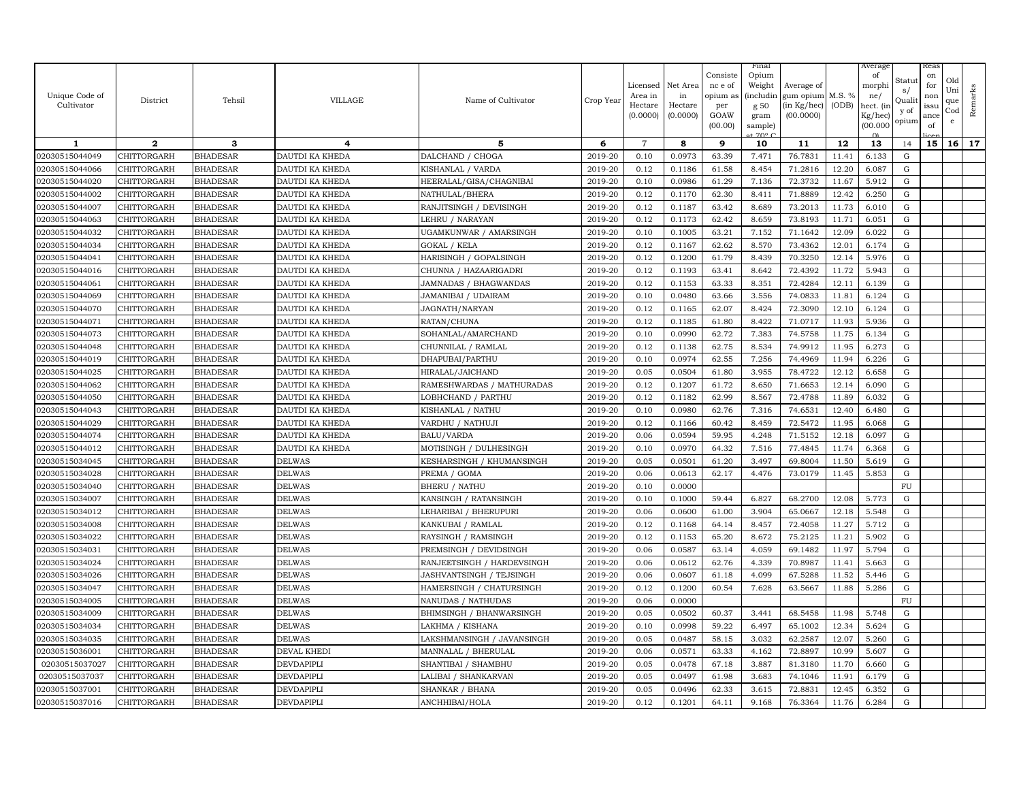| Unique Code of<br>Cultivator | District       | Tehsil          | VILLAGE           | Name of Cultivator         | Crop Year | Licensed<br>Area in<br>Hectare<br>(0.0000) | Net Area<br>in<br>Hectare<br>(0.0000) | Consiste<br>nc e of<br>opium as<br>per<br>GOAW<br>(00.00) | Final<br>Opium<br>Weight<br><i>(includin</i><br>g 50<br>gram<br>sample]<br>70° | Average of<br>gum opium M.S. %<br>(in Kg/hec)<br>(00.0000) | (ODB) | <b>Averag</b><br>of<br>morphi<br>ne/<br>aect. (ir<br>Kg/hec)<br>(00.000) | Statu<br>s/<br>Quali<br>y of<br>opium | on<br>for<br>noi<br>isst<br>ance<br>of | Old<br>Uni<br>que | Remarks |
|------------------------------|----------------|-----------------|-------------------|----------------------------|-----------|--------------------------------------------|---------------------------------------|-----------------------------------------------------------|--------------------------------------------------------------------------------|------------------------------------------------------------|-------|--------------------------------------------------------------------------|---------------------------------------|----------------------------------------|-------------------|---------|
| 1                            | $\overline{a}$ | 3               | 4                 | 5                          | 6         | $\overline{7}$                             | 8                                     | 9                                                         | 10                                                                             | 11                                                         | 12    | 13                                                                       | 14                                    | 15                                     | 16                | 17      |
| 02030515044049               | CHITTORGARH    | <b>BHADESAR</b> | DAUTDI KA KHEDA   | DALCHAND / CHOGA           | 2019-20   | 0.10                                       | 0.0973                                | 63.39                                                     | 7.471                                                                          | 76.7831                                                    | 11.41 | 6.133                                                                    | G                                     |                                        |                   |         |
| 02030515044066               | CHITTORGARH    | BHADESAR        | DAUTDI KA KHEDA   | KISHANLAL / VARDA          | 2019-20   | 0.12                                       | 0.1186                                | 61.58                                                     | 8.454                                                                          | 71.2816                                                    | 12.20 | 6.087                                                                    | G                                     |                                        |                   |         |
| 02030515044020               | CHITTORGARH    | <b>BHADESAR</b> | DAUTDI KA KHEDA   | HEERALAL/GISA/CHAGNIBAI    | 2019-20   | 0.10                                       | 0.0986                                | 61.29                                                     | 7.136                                                                          | 72.3732                                                    | 11.67 | 5.912                                                                    | G                                     |                                        |                   |         |
| 02030515044002               | CHITTORGARH    | <b>BHADESAR</b> | DAUTDI KA KHEDA   | NATHULAL/BHERA             | 2019-20   | 0.12                                       | 0.1170                                | 62.30                                                     | 8.411                                                                          | 71.8889                                                    | 12.42 | 6.250                                                                    | G                                     |                                        |                   |         |
| 02030515044007               | CHITTORGARH    | BHADESAR        | DAUTDI KA KHEDA   | RANJITSINGH / DEVISINGH    | 2019-20   | 0.12                                       | 0.1187                                | 63.42                                                     | 8.689                                                                          | 73.2013                                                    | 11.73 | 6.010                                                                    | G                                     |                                        |                   |         |
| 02030515044063               | CHITTORGARH    | <b>BHADESAR</b> | DAUTDI KA KHEDA   | LEHRU / NARAYAN            | 2019-20   | 0.12                                       | 0.1173                                | 62.42                                                     | 8.659                                                                          | 73.8193                                                    | 11.71 | 6.051                                                                    | G                                     |                                        |                   |         |
| 02030515044032               | CHITTORGARH    | <b>BHADESAR</b> | DAUTDI KA KHEDA   | UGAMKUNWAR / AMARSINGH     | 2019-20   | 0.10                                       | 0.1005                                | 63.21                                                     | 7.152                                                                          | 71.1642                                                    | 12.09 | 6.022                                                                    | G                                     |                                        |                   |         |
| 02030515044034               | CHITTORGARH    | <b>BHADESAR</b> | DAUTDI KA KHEDA   | <b>GOKAL / KELA</b>        | 2019-20   | 0.12                                       | 0.1167                                | 62.62                                                     | 8.570                                                                          | 73.4362                                                    | 12.01 | 6.174                                                                    | G                                     |                                        |                   |         |
| 02030515044041               | CHITTORGARH    | <b>BHADESAR</b> | DAUTDI KA KHEDA   | HARISINGH / GOPALSINGH     | 2019-20   | 0.12                                       | 0.1200                                | 61.79                                                     | 8.439                                                                          | 70.3250                                                    | 12.14 | 5.976                                                                    | G                                     |                                        |                   |         |
| 02030515044016               | CHITTORGARH    | <b>BHADESAR</b> | DAUTDI KA KHEDA   | CHUNNA / HAZAARIGADRI      | 2019-20   | 0.12                                       | 0.1193                                | 63.41                                                     | 8.642                                                                          | 72.4392                                                    | 11.72 | 5.943                                                                    | G                                     |                                        |                   |         |
| 02030515044061               | CHITTORGARH    | <b>BHADESAR</b> | DAUTDI KA KHEDA   | JAMNADAS / BHAGWANDAS      | 2019-20   | 0.12                                       | 0.1153                                | 63.33                                                     | 8.351                                                                          | 72.4284                                                    | 12.11 | 6.139                                                                    | ${\rm G}$                             |                                        |                   |         |
| 02030515044069               | CHITTORGARH    | <b>BHADESAR</b> | DAUTDI KA KHEDA   | JAMANIBAI / UDAIRAM        | 2019-20   | 0.10                                       | 0.0480                                | 63.66                                                     | 3.556                                                                          | 74.0833                                                    | 11.81 | 6.124                                                                    | ${\rm G}$                             |                                        |                   |         |
| 02030515044070               | CHITTORGARH    | <b>BHADESAR</b> | DAUTDI KA KHEDA   | JAGNATH/NARYAN             | 2019-20   | 0.12                                       | 0.1165                                | 62.07                                                     | 8.424                                                                          | 72.3090                                                    | 12.10 | 6.124                                                                    | ${\rm G}$                             |                                        |                   |         |
| 02030515044071               | CHITTORGARH    | <b>BHADESAR</b> | DAUTDI KA KHEDA   | RATAN/CHUNA                | 2019-20   | 0.12                                       | 0.1185                                | 61.80                                                     | 8.422                                                                          | 71.0717                                                    | 11.93 | 5.936                                                                    | G                                     |                                        |                   |         |
| 02030515044073               | CHITTORGARH    | BHADESAR        | DAUTDI KA KHEDA   | SOHANLAL/AMARCHAND         | 2019-20   | 0.10                                       | 0.0990                                | 62.72                                                     | 7.383                                                                          | 74.5758                                                    | 11.75 | 6.134                                                                    | ${\rm G}$                             |                                        |                   |         |
| 02030515044048               | CHITTORGARH    | <b>BHADESAR</b> | DAUTDI KA KHEDA   | CHUNNILAL / RAMLAL         | 2019-20   | 0.12                                       | 0.1138                                | 62.75                                                     | 8.534                                                                          | 74.9912                                                    | 11.95 | 6.273                                                                    | ${\rm G}$                             |                                        |                   |         |
| 02030515044019               | CHITTORGARH    | <b>BHADESAR</b> | DAUTDI KA KHEDA   | DHAPUBAI/PARTHU            | 2019-20   | 0.10                                       | 0.0974                                | 62.55                                                     | 7.256                                                                          | 74.4969                                                    | 11.94 | 6.226                                                                    | ${\rm G}$                             |                                        |                   |         |
| 02030515044025               | CHITTORGARH    | <b>BHADESAR</b> | DAUTDI KA KHEDA   | HIRALAL/JAICHAND           | 2019-20   | 0.05                                       | 0.0504                                | 61.80                                                     | 3.955                                                                          | 78.4722                                                    | 12.12 | 6.658                                                                    | G                                     |                                        |                   |         |
| 02030515044062               | CHITTORGARH    | <b>BHADESAR</b> | DAUTDI KA KHEDA   | RAMESHWARDAS / MATHURADAS  | 2019-20   | 0.12                                       | 0.1207                                | 61.72                                                     | 8.650                                                                          | 71.6653                                                    | 12.14 | 6.090                                                                    | ${\rm G}$                             |                                        |                   |         |
| 02030515044050               | CHITTORGARH    | <b>BHADESAR</b> | DAUTDI KA KHEDA   | LOBHCHAND / PARTHU         | 2019-20   | 0.12                                       | 0.1182                                | 62.99                                                     | 8.567                                                                          | 72.4788                                                    | 11.89 | 6.032                                                                    | G                                     |                                        |                   |         |
| 02030515044043               | CHITTORGARH    | BHADESAR        | DAUTDI KA KHEDA   | KISHANLAL / NATHU          | 2019-20   | 0.10                                       | 0.0980                                | 62.76                                                     | 7.316                                                                          | 74.6531                                                    | 12.40 | 6.480                                                                    | G                                     |                                        |                   |         |
| 02030515044029               | CHITTORGARH    | <b>BHADESAR</b> | DAUTDI KA KHEDA   | VARDHU / NATHUJI           | 2019-20   | 0.12                                       | 0.1166                                | 60.42                                                     | 8.459                                                                          | 72.5472                                                    | 11.95 | 6.068                                                                    | G                                     |                                        |                   |         |
| 02030515044074               | CHITTORGARH    | BHADESAR        | DAUTDI KA KHEDA   | BALU/VARDA                 | 2019-20   | 0.06                                       | 0.0594                                | 59.95                                                     | 4.248                                                                          | 71.5152                                                    | 12.18 | 6.097                                                                    | G                                     |                                        |                   |         |
| 02030515044012               | CHITTORGARH    | <b>BHADESAR</b> | DAUTDI KA KHEDA   | MOTISINGH / DULHESINGH     | 2019-20   | 0.10                                       | 0.0970                                | 64.32                                                     | 7.516                                                                          | 77.4845                                                    | 11.74 | 6.368                                                                    | G                                     |                                        |                   |         |
| 02030515034045               | CHITTORGARH    | <b>BHADESAR</b> | <b>DELWAS</b>     | KESHARSINGH / KHUMANSINGH  | 2019-20   | 0.05                                       | 0.0501                                | 61.20                                                     | 3.497                                                                          | 69.8004                                                    | 11.50 | 5.619                                                                    | G                                     |                                        |                   |         |
| 02030515034028               | CHITTORGARH    | <b>BHADESAR</b> | <b>DELWAS</b>     | PREMA / GOMA               | 2019-20   | 0.06                                       | 0.0613                                | 62.17                                                     | 4.476                                                                          | 73.0179                                                    | 11.45 | 5.853                                                                    | G                                     |                                        |                   |         |
| 02030515034040               | CHITTORGARH    | <b>BHADESAR</b> | <b>DELWAS</b>     | BHERU / NATHU              | 2019-20   | 0.10                                       | 0.0000                                |                                                           |                                                                                |                                                            |       |                                                                          | ${\rm FU}$                            |                                        |                   |         |
| 02030515034007               | CHITTORGARH    | <b>BHADESAR</b> | <b>DELWAS</b>     | KANSINGH / RATANSINGH      | 2019-20   | 0.10                                       | 0.1000                                | 59.44                                                     | 6.827                                                                          | 68.2700                                                    | 12.08 | 5.773                                                                    | ${\rm G}$                             |                                        |                   |         |
| 02030515034012               | CHITTORGARH    | <b>BHADESAR</b> | <b>DELWAS</b>     | LEHARIBAI / BHERUPURI      | 2019-20   | 0.06                                       | 0.0600                                | 61.00                                                     | 3.904                                                                          | 65.0667                                                    | 12.18 | 5.548                                                                    | G                                     |                                        |                   |         |
| 02030515034008               | CHITTORGARH    | <b>BHADESAR</b> | <b>DELWAS</b>     | KANKUBAI / RAMLAL          | 2019-20   | 0.12                                       | 0.1168                                | 64.14                                                     | 8.457                                                                          | 72.4058                                                    | 11.27 | 5.712                                                                    | G                                     |                                        |                   |         |
| 02030515034022               | CHITTORGARH    | <b>BHADESAR</b> | <b>DELWAS</b>     | RAYSINGH / RAMSINGH        | 2019-20   | 0.12                                       | 0.1153                                | 65.20                                                     | 8.672                                                                          | 75.2125                                                    | 11.21 | 5.902                                                                    | ${\rm G}$                             |                                        |                   |         |
| 02030515034031               | CHITTORGARH    | <b>BHADESAR</b> | <b>DELWAS</b>     | PREMSINGH / DEVIDSINGH     | 2019-20   | 0.06                                       | 0.0587                                | 63.14                                                     | 4.059                                                                          | 69.1482                                                    | 11.97 | 5.794                                                                    | ${\rm G}$                             |                                        |                   |         |
| 02030515034024               | CHITTORGARH    | <b>BHADESAR</b> | <b>DELWAS</b>     | RANJEETSINGH / HARDEVSINGH | 2019-20   | 0.06                                       | 0.0612                                | 62.76                                                     | 4.339                                                                          | 70.8987                                                    | 11.41 | 5.663                                                                    | G                                     |                                        |                   |         |
| 02030515034026               | CHITTORGARH    | <b>BHADESAR</b> | <b>DELWAS</b>     | JASHVANTSINGH / TEJSINGH   | 2019-20   | 0.06                                       | 0.0607                                | 61.18                                                     | 4.099                                                                          | 67.5288                                                    | 11.52 | 5.446                                                                    | G                                     |                                        |                   |         |
| 02030515034047               | CHITTORGARH    | <b>BHADESAR</b> | <b>DELWAS</b>     | HAMERSINGH / CHATURSINGH   | 2019-20   | 0.12                                       | 0.1200                                | 60.54                                                     | 7.628                                                                          | 63.5667                                                    | 11.88 | 5.286                                                                    | $\mathbf G$                           |                                        |                   |         |
| 02030515034005               | CHITTORGARH    | <b>BHADESAR</b> | <b>DELWAS</b>     | NANUDAS / NATHUDAS         | 2019-20   | 0.06                                       | 0.0000                                |                                                           |                                                                                |                                                            |       |                                                                          | FU                                    |                                        |                   |         |
| 02030515034009               | CHITTORGARH    | BHADESAR        | <b>DELWAS</b>     | BHIMSINGH / BHANWARSINGH   | 2019-20   | 0.05                                       | 0.0502                                | 60.37                                                     | 3.441                                                                          | 68.5458                                                    | 11.98 | 5.748                                                                    | $\mathbf G$                           |                                        |                   |         |
| 02030515034034               | CHITTORGARH    | BHADESAR        | DELWAS            | LAKHMA / KISHANA           | 2019-20   | 0.10                                       | 0.0998                                | 59.22                                                     | 6.497                                                                          | 65.1002                                                    | 12.34 | 5.624                                                                    | G                                     |                                        |                   |         |
| 02030515034035               | CHITTORGARH    | <b>BHADESAR</b> | DELWAS            | LAKSHMANSINGH / JAVANSINGH | 2019-20   | 0.05                                       | 0.0487                                | 58.15                                                     | 3.032                                                                          | 62.2587                                                    | 12.07 | 5.260                                                                    | G                                     |                                        |                   |         |
| 02030515036001               | CHITTORGARH    | <b>BHADESAR</b> | DEVAL KHEDI       | MANNALAL / BHERULAL        | 2019-20   | 0.06                                       | 0.0571                                | 63.33                                                     | 4.162                                                                          | 72.8897                                                    | 10.99 | 5.607                                                                    | G                                     |                                        |                   |         |
| 02030515037027               | CHITTORGARH    | <b>BHADESAR</b> | <b>DEVDAPIPLI</b> | SHANTIBAI / SHAMBHU        | 2019-20   | 0.05                                       | 0.0478                                | 67.18                                                     | 3.887                                                                          | 81.3180                                                    | 11.70 | 6.660                                                                    | G                                     |                                        |                   |         |
| 02030515037037               | CHITTORGARH    | BHADESAR        | DEVDAPIPLI        | LALIBAI / SHANKARVAN       | 2019-20   | 0.05                                       | 0.0497                                | 61.98                                                     | 3.683                                                                          | 74.1046                                                    | 11.91 | 6.179                                                                    | G                                     |                                        |                   |         |
| 02030515037001               | CHITTORGARH    | <b>BHADESAR</b> | <b>DEVDAPIPLI</b> | SHANKAR / BHANA            | 2019-20   | 0.05                                       | 0.0496                                | 62.33                                                     | 3.615                                                                          | 72.8831                                                    | 12.45 | 6.352                                                                    | ${\rm G}$                             |                                        |                   |         |
| 02030515037016               | CHITTORGARH    | <b>BHADESAR</b> | DEVDAPIPLI        | ANCHHIBAI/HOLA             | 2019-20   | 0.12                                       | 0.1201                                | 64.11                                                     | 9.168                                                                          | 76.3364                                                    | 11.76 | 6.284                                                                    | ${\rm G}$                             |                                        |                   |         |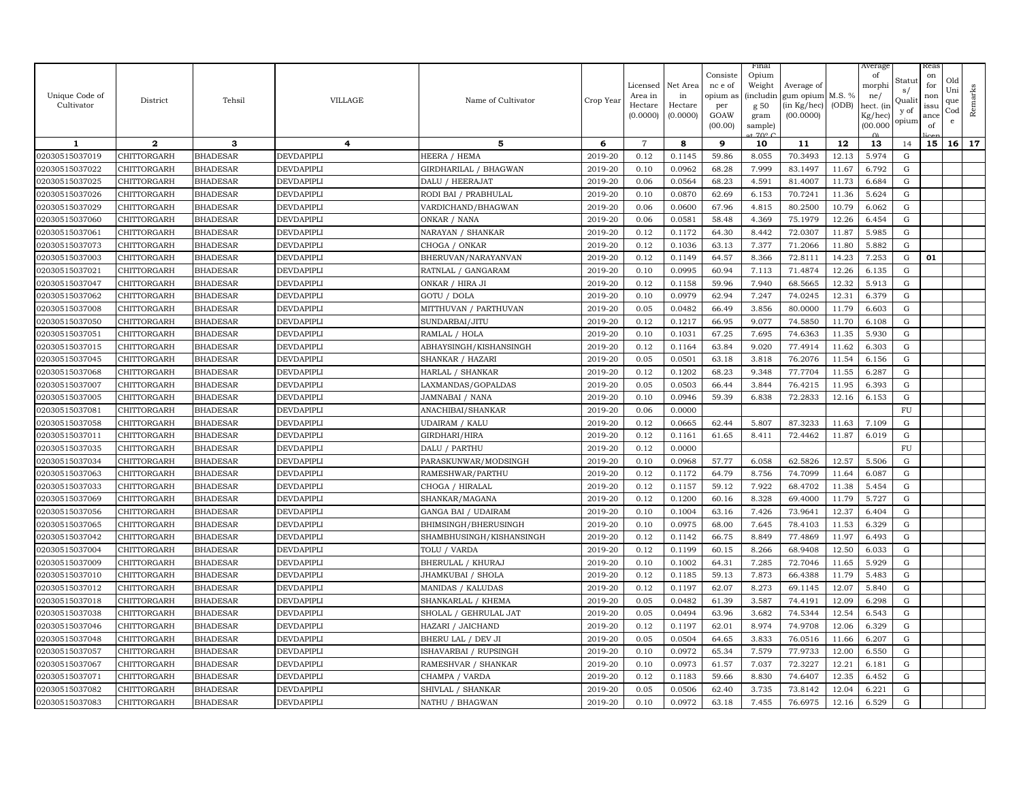| Unique Code of<br>Cultivator | District       | Tehsil          | VILLAGE           | Name of Cultivator       | Crop Year | Licensed<br>Area in<br>Hectare<br>(0.0000) | Net Area<br>in<br>Hectare<br>(0.0000) | Consiste<br>nc e of<br>opium as<br>per<br>GOAW<br>(00.00) | Final<br>Opium<br>Weight<br><i>(includin</i><br>g 50<br>gram<br>sample]<br>70° | Average of<br>gum opium M.S. %<br>(in Kg/hec)<br>(00.0000) | (ODB) | <del>l</del> verag<br>of<br>morphi<br>ne/<br>hect. (in<br>Kg/hec]<br>(00.000) | Statut<br>s/<br>Quali<br>y of<br>opium | on<br>for<br>nor<br>isst<br>ance<br>of | Old<br>Uni<br>que<br>Cod<br>e | Remarks |
|------------------------------|----------------|-----------------|-------------------|--------------------------|-----------|--------------------------------------------|---------------------------------------|-----------------------------------------------------------|--------------------------------------------------------------------------------|------------------------------------------------------------|-------|-------------------------------------------------------------------------------|----------------------------------------|----------------------------------------|-------------------------------|---------|
| -1                           | $\overline{2}$ | 3               | 4                 | 5                        | 6         | $\overline{7}$                             | 8                                     | 9                                                         | 10                                                                             | 11                                                         | 12    | 13                                                                            | 14                                     | 15                                     | 16 <sup>1</sup>               | 17      |
| 02030515037019               | CHITTORGARH    | <b>BHADESAR</b> | DEVDAPIPLI        | HEERA / HEMA             | 2019-20   | 0.12                                       | 0.1145                                | 59.86                                                     | 8.055                                                                          | 70.3493                                                    | 12.13 | 5.974                                                                         | G                                      |                                        |                               |         |
| 02030515037022               | CHITTORGARH    | <b>BHADESAR</b> | DEVDAPIPLI        | GIRDHARILAL / BHAGWAN    | 2019-20   | 0.10                                       | 0.0962                                | 68.28                                                     | 7.999                                                                          | 83.1497                                                    | 11.67 | 6.792                                                                         | G                                      |                                        |                               |         |
| 02030515037025               | CHITTORGARH    | <b>BHADESAR</b> | DEVDAPIPLI        | DALU / HEERAJAT          | 2019-20   | 0.06                                       | 0.0564                                | 68.23                                                     | 4.591                                                                          | 81.4007                                                    | 11.73 | 6.684                                                                         | G                                      |                                        |                               |         |
| 02030515037026               | CHITTORGARH    | <b>BHADESAR</b> | DEVDAPIPLI        | RODI BAI / PRABHULAL     | 2019-20   | 0.10                                       | 0.0870                                | 62.69                                                     | 6.153                                                                          | 70.7241                                                    | 11.36 | 5.624                                                                         | G                                      |                                        |                               |         |
| 02030515037029               | CHITTORGARH    | <b>BHADESAR</b> | DEVDAPIPLI        | VARDICHAND/BHAGWAN       | 2019-20   | 0.06                                       | 0.0600                                | 67.96                                                     | 4.815                                                                          | 80.2500                                                    | 10.79 | 6.062                                                                         | G                                      |                                        |                               |         |
| 02030515037060               | CHITTORGARH    | <b>BHADESAR</b> | DEVDAPIPLI        | ONKAR / NANA             | 2019-20   | 0.06                                       | 0.0581                                | 58.48                                                     | 4.369                                                                          | 75.1979                                                    | 12.26 | 6.454                                                                         | G                                      |                                        |                               |         |
| 02030515037061               | CHITTORGARH    | <b>BHADESAR</b> | DEVDAPIPLI        | NARAYAN / SHANKAR        | 2019-20   | 0.12                                       | 0.1172                                | 64.30                                                     | 8.442                                                                          | 72.0307                                                    | 11.87 | 5.985                                                                         | G                                      |                                        |                               |         |
| 02030515037073               | CHITTORGARH    | <b>BHADESAR</b> | DEVDAPIPLI        | CHOGA / ONKAR            | 2019-20   | 0.12                                       | 0.1036                                | 63.13                                                     | 7.377                                                                          | 71.2066                                                    | 11.80 | 5.882                                                                         | G                                      |                                        |                               |         |
| 02030515037003               | CHITTORGARH    | <b>BHADESAR</b> | DEVDAPIPLI        | BHERUVAN/NARAYANVAN      | 2019-20   | 0.12                                       | 0.1149                                | 64.57                                                     | 8.366                                                                          | 72.8111                                                    | 14.23 | 7.253                                                                         | G                                      | 01                                     |                               |         |
| 02030515037021               | CHITTORGARH    | <b>BHADESAR</b> | DEVDAPIPLI        | RATNLAL / GANGARAM       | 2019-20   | 0.10                                       | 0.0995                                | 60.94                                                     | 7.113                                                                          | 71.4874                                                    | 12.26 | 6.135                                                                         | G                                      |                                        |                               |         |
| 02030515037047               | CHITTORGARH    | <b>BHADESAR</b> | DEVDAPIPLI        | ONKAR / HIRA JI          | 2019-20   | 0.12                                       | 0.1158                                | 59.96                                                     | 7.940                                                                          | 68.5665                                                    | 12.32 | 5.913                                                                         | G                                      |                                        |                               |         |
| 02030515037062               | CHITTORGARH    | <b>BHADESAR</b> | DEVDAPIPLI        | GOTU / DOLA              | 2019-20   | 0.10                                       | 0.0979                                | 62.94                                                     | 7.247                                                                          | 74.0245                                                    | 12.31 | 6.379                                                                         | G                                      |                                        |                               |         |
| 02030515037008               | CHITTORGARH    | <b>BHADESAR</b> | <b>DEVDAPIPLI</b> | MITTHUVAN / PARTHUVAN    | 2019-20   | 0.05                                       | 0.0482                                | 66.49                                                     | 3.856                                                                          | 80.0000                                                    | 11.79 | 6.603                                                                         | ${\rm G}$                              |                                        |                               |         |
| 02030515037050               | CHITTORGARH    | <b>BHADESAR</b> | DEVDAPIPLI        | SUNDARBAI/JITU           | 2019-20   | 0.12                                       | 0.1217                                | 66.95                                                     | 9.077                                                                          | 74.5850                                                    | 11.70 | 6.108                                                                         | ${\rm G}$                              |                                        |                               |         |
| 02030515037051               | CHITTORGARH    | <b>BHADESAR</b> | DEVDAPIPLI        | RAMLAL / HOLA            | 2019-20   | 0.10                                       | 0.1031                                | 67.25                                                     | 7.695                                                                          | 74.6363                                                    | 11.35 | 5.930                                                                         | ${\rm G}$                              |                                        |                               |         |
| 02030515037015               | CHITTORGARH    | <b>BHADESAR</b> | DEVDAPIPLI        | ABHAYSINGH/KISHANSINGH   | 2019-20   | 0.12                                       | 0.1164                                | 63.84                                                     | 9.020                                                                          | 77.4914                                                    | 11.62 | 6.303                                                                         | ${\rm G}$                              |                                        |                               |         |
| 02030515037045               | CHITTORGARH    | <b>BHADESAR</b> | DEVDAPIPLI        | SHANKAR / HAZARI         | 2019-20   | 0.05                                       | 0.0501                                | 63.18                                                     | 3.818                                                                          | 76.2076                                                    | 11.54 | 6.156                                                                         | G                                      |                                        |                               |         |
| 02030515037068               | CHITTORGARH    | <b>BHADESAR</b> | DEVDAPIPLI        | HARLAL / SHANKAR         | 2019-20   | 0.12                                       | 0.1202                                | 68.23                                                     | 9.348                                                                          | 77.7704                                                    | 11.55 | 6.287                                                                         | ${\rm G}$                              |                                        |                               |         |
| 02030515037007               | CHITTORGARH    | <b>BHADESAR</b> | DEVDAPIPLI        | LAXMANDAS/GOPALDAS       | 2019-20   | 0.05                                       | 0.0503                                | 66.44                                                     | 3.844                                                                          | 76.4215                                                    | 11.95 | 6.393                                                                         | G                                      |                                        |                               |         |
| 02030515037005               | CHITTORGARH    | <b>BHADESAR</b> | DEVDAPIPLI        | JAMNABAI / NANA          | 2019-20   | 0.10                                       | 0.0946                                | 59.39                                                     | 6.838                                                                          | 72.2833                                                    | 12.16 | 6.153                                                                         | G                                      |                                        |                               |         |
| 02030515037081               | CHITTORGARH    | <b>BHADESAR</b> | DEVDAPIPLI        | ANACHIBAI/SHANKAR        | 2019-20   | 0.06                                       | 0.0000                                |                                                           |                                                                                |                                                            |       |                                                                               | FU                                     |                                        |                               |         |
| 02030515037058               | CHITTORGARH    | <b>BHADESAR</b> | DEVDAPIPLI        | UDAIRAM / KALU           | 2019-20   | 0.12                                       | 0.0665                                | 62.44                                                     | 5.807                                                                          | 87.3233                                                    | 11.63 | 7.109                                                                         | G                                      |                                        |                               |         |
| 02030515037011               | CHITTORGARH    | <b>BHADESAR</b> | DEVDAPIPLI        | GIRDHARI/HIRA            | 2019-20   | 0.12                                       | 0.1161                                | 61.65                                                     | 8.411                                                                          | 72.4462                                                    | 11.87 | 6.019                                                                         | ${\rm G}$                              |                                        |                               |         |
| 02030515037035               | CHITTORGARH    | <b>BHADESAR</b> | DEVDAPIPLI        | DALU / PARTHU            | 2019-20   | 0.12                                       | 0.0000                                |                                                           |                                                                                |                                                            |       |                                                                               | ${\rm FU}$                             |                                        |                               |         |
| 02030515037034               | CHITTORGARH    | <b>BHADESAR</b> | DEVDAPIPLI        | PARASKUNWAR/MODSINGH     | 2019-20   | 0.10                                       | 0.0968                                | 57.77                                                     | 6.058                                                                          | 62.5826                                                    | 12.57 | 5.506                                                                         | G                                      |                                        |                               |         |
| 02030515037063               | CHITTORGARH    | <b>BHADESAR</b> | DEVDAPIPLI        | RAMESHWAR/PARTHU         | 2019-20   | 0.12                                       | 0.1172                                | 64.79                                                     | 8.756                                                                          | 74.7099                                                    | 11.64 | 6.087                                                                         | ${\rm G}$                              |                                        |                               |         |
| 02030515037033               | CHITTORGARH    | <b>BHADESAR</b> | DEVDAPIPLI        | CHOGA / HIRALAL          | 2019-20   | 0.12                                       | 0.1157                                | 59.12                                                     | 7.922                                                                          | 68.4702                                                    | 11.38 | 5.454                                                                         | G                                      |                                        |                               |         |
| 02030515037069               | CHITTORGARH    | <b>BHADESAR</b> | DEVDAPIPLI        | SHANKAR/MAGANA           | 2019-20   | 0.12                                       | 0.1200                                | 60.16                                                     | 8.328                                                                          | 69.4000                                                    | 11.79 | 5.727                                                                         | G                                      |                                        |                               |         |
| 02030515037056               | CHITTORGARH    | <b>BHADESAR</b> | DEVDAPIPLI        | GANGA BAI / UDAIRAM      | 2019-20   | 0.10                                       | 0.1004                                | 63.16                                                     | 7.426                                                                          | 73.9641                                                    | 12.37 | 6.404                                                                         | G                                      |                                        |                               |         |
| 02030515037065               | CHITTORGARH    | <b>BHADESAR</b> | DEVDAPIPLI        | BHIMSINGH/BHERUSINGH     | 2019-20   | 0.10                                       | 0.0975                                | 68.00                                                     | 7.645                                                                          | 78.4103                                                    | 11.53 | 6.329                                                                         | ${\rm G}$                              |                                        |                               |         |
| 02030515037042               | CHITTORGARH    | <b>BHADESAR</b> | DEVDAPIPLI        | SHAMBHUSINGH/KISHANSINGH | 2019-20   | 0.12                                       | 0.1142                                | 66.75                                                     | 8.849                                                                          | 77.4869                                                    | 11.97 | 6.493                                                                         | G                                      |                                        |                               |         |
| 02030515037004               | CHITTORGARH    | <b>BHADESAR</b> | DEVDAPIPLI        | TOLU / VARDA             | 2019-20   | 0.12                                       | 0.1199                                | 60.15                                                     | 8.266                                                                          | 68.9408                                                    | 12.50 | 6.033                                                                         | ${\rm G}$                              |                                        |                               |         |
| 02030515037009               | CHITTORGARH    | <b>BHADESAR</b> | DEVDAPIPLI        | BHERULAL / KHURAJ        | 2019-20   | 0.10                                       | 0.1002                                | 64.31                                                     | 7.285                                                                          | 72.7046                                                    | 11.65 | 5.929                                                                         | ${\rm G}$                              |                                        |                               |         |
| 02030515037010               | CHITTORGARH    | <b>BHADESAR</b> | DEVDAPIPLI        | JHAMKUBAI / SHOLA        | 2019-20   | 0.12                                       | 0.1185                                | 59.13                                                     | 7.873                                                                          | 66.4388                                                    | 11.79 | 5.483                                                                         | ${\rm G}$                              |                                        |                               |         |
| 02030515037012               | CHITTORGARH    | <b>BHADESAR</b> | DEVDAPIPLI        | MANIDAS / KALUDAS        | 2019-20   | 0.12                                       | 0.1197                                | 62.07                                                     | 8.273                                                                          | 69.1145                                                    | 12.07 | 5.840                                                                         | ${\rm G}$                              |                                        |                               |         |
| 02030515037018               | CHITTORGARH    | <b>BHADESAR</b> | DEVDAPIPLI        | SHANKARLAL / KHEMA       | 2019-20   | 0.05                                       | 0.0482                                | 61.39                                                     | 3.587                                                                          | 74.4191                                                    | 12.09 | 6.298                                                                         | G                                      |                                        |                               |         |
| 02030515037038               | CHITTORGARH    | <b>BHADESAR</b> | DEVDAPIPLI        | SHOLAL / GEHRULAL JAT    | 2019-20   | 0.05                                       | 0.0494                                | 63.96                                                     | 3.682                                                                          | 74.5344                                                    | 12.54 | 6.543                                                                         | G                                      |                                        |                               |         |
| 02030515037046               | CHITTORGARH    | <b>BHADESAR</b> | DEVDAPIPLI        | HAZARI / JAICHAND        | 2019-20   | 0.12                                       | 0.1197                                | 62.01                                                     | 8.974                                                                          | 74.9708                                                    | 12.06 | 6.329                                                                         | G                                      |                                        |                               |         |
| 02030515037048               | CHITTORGARH    | <b>BHADESAR</b> | DEVDAPIPLI        | BHERU LAL / DEV JI       | 2019-20   | 0.05                                       | 0.0504                                | 64.65                                                     | 3.833                                                                          | 76.0516                                                    | 11.66 | 6.207                                                                         | G                                      |                                        |                               |         |
| 02030515037057               | CHITTORGARH    | <b>BHADESAR</b> | DEVDAPIPLI        | ISHAVARBAI / RUPSINGH    | 2019-20   | 0.10                                       | 0.0972                                | 65.34                                                     | 7.579                                                                          | 77.9733                                                    | 12.00 | 6.550                                                                         | G                                      |                                        |                               |         |
| 02030515037067               | CHITTORGARH    | <b>BHADESAR</b> | DEVDAPIPLI        | RAMESHVAR / SHANKAR      | 2019-20   | 0.10                                       | 0.0973                                | 61.57                                                     | 7.037                                                                          | 72.3227                                                    | 12.21 | 6.181                                                                         | G                                      |                                        |                               |         |
| 02030515037071               | CHITTORGARH    | <b>BHADESAR</b> | DEVDAPIPLI        | CHAMPA / VARDA           | 2019-20   | 0.12                                       | 0.1183                                | 59.66                                                     | 8.830                                                                          | 74.6407                                                    | 12.35 | 6.452                                                                         | ${\rm G}$                              |                                        |                               |         |
| 02030515037082               | CHITTORGARH    | <b>BHADESAR</b> | DEVDAPIPLI        | SHIVLAL / SHANKAR        | 2019-20   | 0.05                                       | 0.0506                                | 62.40                                                     | 3.735                                                                          | 73.8142                                                    | 12.04 | 6.221                                                                         | ${\rm G}$                              |                                        |                               |         |
| 02030515037083               | CHITTORGARH    | <b>BHADESAR</b> | DEVDAPIPLI        | NATHU / BHAGWAN          | 2019-20   | 0.10                                       | 0.0972                                | 63.18                                                     | 7.455                                                                          | 76.6975                                                    | 12.16 | 6.529                                                                         | ${\rm G}$                              |                                        |                               |         |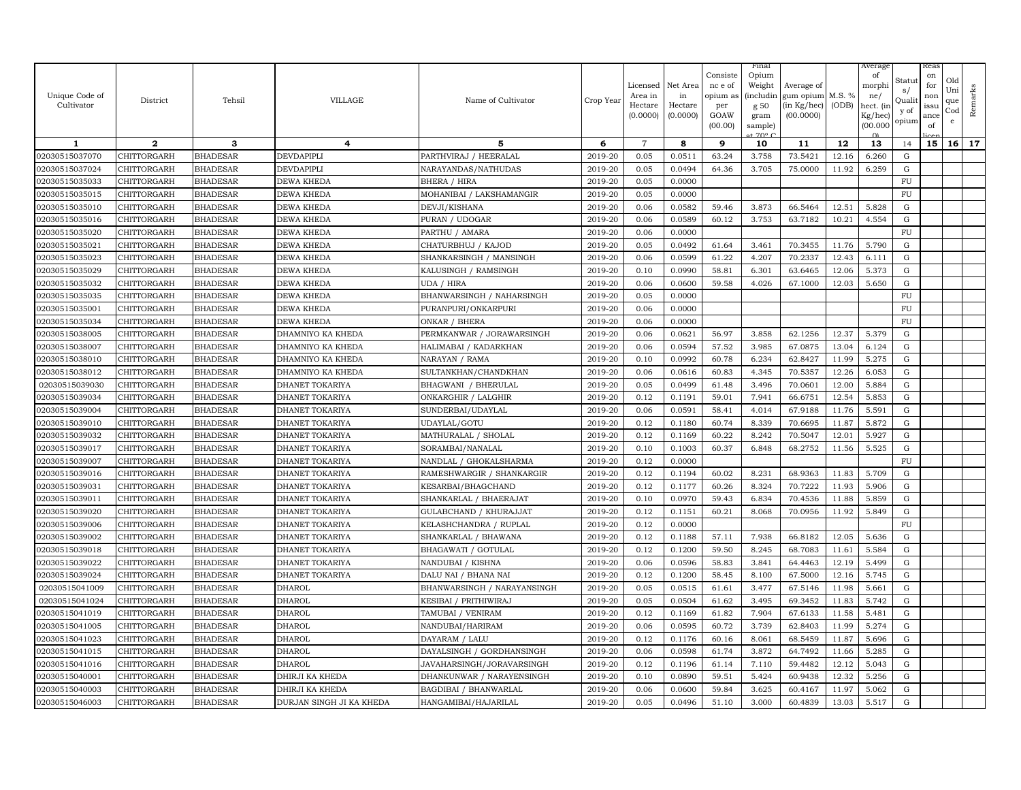| Unique Code of<br>Cultivator | District       | Tehsil          | VILLAGE                  | Name of Cultivator          | Crop Year | Licensed<br>Area in<br>Hectare<br>(0.0000) | Net Area<br>in<br>Hectare<br>(0.0000) | Consiste<br>nc e of<br>opium as<br>per<br>GOAW<br>(00.00) | Final<br>Opium<br>Weight<br><i>(includin</i><br>g 50<br>gram<br>sample]<br>70° | Average of<br>gum opium M.S. %<br>(in Kg/hec)<br>(00.0000) | (ODB) | <i><u><b>Werage</b></u></i><br>of<br>morphi<br>ne/<br>aect. (ir<br>Kg/hec)<br>(00.000) | Statu<br>s/<br>Quali<br>y of<br>opium | on<br>for<br>isst<br>ance<br>of | bIC<br>Uni<br>que | Remarks |
|------------------------------|----------------|-----------------|--------------------------|-----------------------------|-----------|--------------------------------------------|---------------------------------------|-----------------------------------------------------------|--------------------------------------------------------------------------------|------------------------------------------------------------|-------|----------------------------------------------------------------------------------------|---------------------------------------|---------------------------------|-------------------|---------|
| 1                            | $\overline{a}$ | 3               | 4                        | 5                           | 6         | $\overline{7}$                             | 8                                     | 9                                                         | 10                                                                             | 11                                                         | 12    | 13                                                                                     | 14                                    | 15                              | 16                | 17      |
| 02030515037070               | CHITTORGARH    | <b>BHADESAR</b> | <b>DEVDAPIPLI</b>        | PARTHVIRAJ / HEERALAL       | 2019-20   | 0.05                                       | 0.0511                                | 63.24                                                     | 3.758                                                                          | 73.5421                                                    | 12.16 | 6.260                                                                                  | G                                     |                                 |                   |         |
| 02030515037024               | CHITTORGARH    | BHADESAR        | <b>DEVDAPIPLI</b>        | NARAYANDAS/NATHUDAS         | 2019-20   | 0.05                                       | 0.0494                                | 64.36                                                     | 3.705                                                                          | 75.0000                                                    | 11.92 | 6.259                                                                                  | G                                     |                                 |                   |         |
| 02030515035033               | CHITTORGARH    | <b>BHADESAR</b> | <b>DEWA KHEDA</b>        | <b>BHERA / HIRA</b>         | 2019-20   | 0.05                                       | 0.0000                                |                                                           |                                                                                |                                                            |       |                                                                                        | ${\rm FU}$                            |                                 |                   |         |
| 02030515035015               | CHITTORGARH    | <b>BHADESAR</b> | <b>DEWA KHEDA</b>        | MOHANIBAI / LAKSHAMANGIR    | 2019-20   | 0.05                                       | 0.0000                                |                                                           |                                                                                |                                                            |       |                                                                                        | ${\rm FU}$                            |                                 |                   |         |
| 02030515035010               | CHITTORGARH    | <b>BHADESAR</b> | DEWA KHEDA               | DEVJI/KISHANA               | 2019-20   | 0.06                                       | 0.0582                                | 59.46                                                     | 3.873                                                                          | 66.5464                                                    | 12.51 | 5.828                                                                                  | G                                     |                                 |                   |         |
| 02030515035016               | CHITTORGARH    | <b>BHADESAR</b> | DEWA KHEDA               | PURAN / UDOGAR              | 2019-20   | 0.06                                       | 0.0589                                | 60.12                                                     | 3.753                                                                          | 63.7182                                                    | 10.21 | 4.554                                                                                  | G                                     |                                 |                   |         |
| 02030515035020               | CHITTORGARH    | <b>BHADESAR</b> | DEWA KHEDA               | PARTHU / AMARA              | 2019-20   | 0.06                                       | 0.0000                                |                                                           |                                                                                |                                                            |       |                                                                                        | ${\rm FU}$                            |                                 |                   |         |
| 02030515035021               | CHITTORGARH    | <b>BHADESAR</b> | DEWA KHEDA               | CHATURBHUJ / KAJOD          | 2019-20   | 0.05                                       | 0.0492                                | 61.64                                                     | 3.461                                                                          | 70.3455                                                    | 11.76 | 5.790                                                                                  | G                                     |                                 |                   |         |
| 02030515035023               | CHITTORGARH    | <b>BHADESAR</b> | DEWA KHEDA               | SHANKARSINGH / MANSINGH     | 2019-20   | 0.06                                       | 0.0599                                | 61.22                                                     | 4.207                                                                          | 70.2337                                                    | 12.43 | 6.111                                                                                  | G                                     |                                 |                   |         |
| 02030515035029               | CHITTORGARH    | <b>BHADESAR</b> | DEWA KHEDA               | KALUSINGH / RAMSINGH        | 2019-20   | 0.10                                       | 0.0990                                | 58.81                                                     | 6.301                                                                          | 63.6465                                                    | 12.06 | 5.373                                                                                  | G                                     |                                 |                   |         |
| 02030515035032               | CHITTORGARH    | <b>BHADESAR</b> | DEWA KHEDA               | UDA / HIRA                  | 2019-20   | 0.06                                       | 0.0600                                | 59.58                                                     | 4.026                                                                          | 67.1000                                                    | 12.03 | 5.650                                                                                  | ${\rm G}$                             |                                 |                   |         |
| 02030515035035               | CHITTORGARH    | <b>BHADESAR</b> | DEWA KHEDA               | BHANWARSINGH / NAHARSINGH   | 2019-20   | 0.05                                       | 0.0000                                |                                                           |                                                                                |                                                            |       |                                                                                        | ${\rm FU}$                            |                                 |                   |         |
| 02030515035001               | CHITTORGARH    | <b>BHADESAR</b> | DEWA KHEDA               | PURANPURI/ONKARPURI         | 2019-20   | 0.06                                       | 0.0000                                |                                                           |                                                                                |                                                            |       |                                                                                        | FU                                    |                                 |                   |         |
| 02030515035034               | CHITTORGARH    | <b>BHADESAR</b> | <b>DEWA KHEDA</b>        | ONKAR / BHERA               | 2019-20   | 0.06                                       | 0.0000                                |                                                           |                                                                                |                                                            |       |                                                                                        | FU                                    |                                 |                   |         |
| 02030515038005               | CHITTORGARH    | BHADESAR        | DHAMNIYO KA KHEDA        | PERMKANWAR / JORAWARSINGH   | 2019-20   | 0.06                                       | 0.0621                                | 56.97                                                     | 3.858                                                                          | 62.1256                                                    | 12.37 | 5.379                                                                                  | ${\rm G}$                             |                                 |                   |         |
| 02030515038007               | CHITTORGARH    | <b>BHADESAR</b> | DHAMNIYO KA KHEDA        | HALIMABAI / KADARKHAN       | 2019-20   | 0.06                                       | 0.0594                                | 57.52                                                     | 3.985                                                                          | 67.0875                                                    | 13.04 | 6.124                                                                                  | ${\rm G}$                             |                                 |                   |         |
| 02030515038010               | CHITTORGARH    | <b>BHADESAR</b> | DHAMNIYO KA KHEDA        | NARAYAN / RAMA              | 2019-20   | 0.10                                       | 0.0992                                | 60.78                                                     | 6.234                                                                          | 62.8427                                                    | 11.99 | 5.275                                                                                  | ${\rm G}$                             |                                 |                   |         |
| 02030515038012               | CHITTORGARH    | <b>BHADESAR</b> | DHAMNIYO KA KHEDA        | SULTANKHAN/CHANDKHAN        | 2019-20   | 0.06                                       | 0.0616                                | 60.83                                                     | 4.345                                                                          | 70.5357                                                    | 12.26 | 6.053                                                                                  | G                                     |                                 |                   |         |
| 02030515039030               | CHITTORGARH    | <b>BHADESAR</b> | <b>DHANET TOKARIYA</b>   | BHAGWANI / BHERULAL         | 2019-20   | 0.05                                       | 0.0499                                | 61.48                                                     | 3.496                                                                          | 70.0601                                                    | 12.00 | 5.884                                                                                  | ${\rm G}$                             |                                 |                   |         |
| 02030515039034               | CHITTORGARH    | <b>BHADESAR</b> | <b>DHANET TOKARIYA</b>   | ONKARGHIR / LALGHIR         | 2019-20   | 0.12                                       | 0.1191                                | 59.01                                                     | 7.941                                                                          | 66.6751                                                    | 12.54 | 5.853                                                                                  | G                                     |                                 |                   |         |
| 02030515039004               | CHITTORGARH    | <b>BHADESAR</b> | <b>DHANET TOKARIYA</b>   | SUNDERBAI/UDAYLAL           | 2019-20   | 0.06                                       | 0.0591                                | 58.41                                                     | 4.014                                                                          | 67.9188                                                    | 11.76 | 5.591                                                                                  | G                                     |                                 |                   |         |
| 02030515039010               | CHITTORGARH    | <b>BHADESAR</b> | DHANET TOKARIYA          | UDAYLAL/GOTU                | 2019-20   | 0.12                                       | 0.1180                                | 60.74                                                     | 8.339                                                                          | 70.6695                                                    | 11.87 | 5.872                                                                                  | G                                     |                                 |                   |         |
| 02030515039032               | CHITTORGARH    | BHADESAR        | DHANET TOKARIYA          | MATHURALAL / SHOLAL         | 2019-20   | 0.12                                       | 0.1169                                | 60.22                                                     | 8.242                                                                          | 70.5047                                                    | 12.01 | 5.927                                                                                  | G                                     |                                 |                   |         |
| 02030515039017               | CHITTORGARH    | <b>BHADESAR</b> | <b>DHANET TOKARIYA</b>   | SORAMBAI/NANALAL            | 2019-20   | 0.10                                       | 0.1003                                | 60.37                                                     | 6.848                                                                          | 68.2752                                                    | 11.56 | 5.525                                                                                  | ${\rm G}$                             |                                 |                   |         |
| 02030515039007               | CHITTORGARH    | <b>BHADESAR</b> | DHANET TOKARIYA          | NANDLAL / GHOKALSHARMA      | 2019-20   | 0.12                                       | 0.0000                                |                                                           |                                                                                |                                                            |       |                                                                                        | FU                                    |                                 |                   |         |
| 02030515039016               | CHITTORGARH    | <b>BHADESAR</b> | DHANET TOKARIYA          | RAMESHWARGIR / SHANKARGIR   | 2019-20   | 0.12                                       | 0.1194                                | 60.02                                                     | 8.231                                                                          | 68.9363                                                    | 11.83 | 5.709                                                                                  | G                                     |                                 |                   |         |
| 02030515039031               | CHITTORGARH    | <b>BHADESAR</b> | DHANET TOKARIYA          | KESARBAI/BHAGCHAND          | 2019-20   | 0.12                                       | 0.1177                                | 60.26                                                     | 8.324                                                                          | 70.7222                                                    | 11.93 | 5.906                                                                                  | ${\rm G}$                             |                                 |                   |         |
| 02030515039011               | CHITTORGARH    | <b>BHADESAR</b> | <b>DHANET TOKARIYA</b>   | SHANKARLAL / BHAERAJAT      | 2019-20   | 0.10                                       | 0.0970                                | 59.43                                                     | 6.834                                                                          | 70.4536                                                    | 11.88 | 5.859                                                                                  | ${\rm G}$                             |                                 |                   |         |
| 02030515039020               | CHITTORGARH    | <b>BHADESAR</b> | <b>DHANET TOKARIYA</b>   | GULABCHAND / KHURAJJAT      | 2019-20   | 0.12                                       | 0.1151                                | 60.21                                                     | 8.068                                                                          | 70.0956                                                    | 11.92 | 5.849                                                                                  | G                                     |                                 |                   |         |
| 02030515039006               | CHITTORGARH    | <b>BHADESAR</b> | <b>DHANET TOKARIYA</b>   | KELASHCHANDRA / RUPLAL      | 2019-20   | 0.12                                       | 0.0000                                |                                                           |                                                                                |                                                            |       |                                                                                        | FU                                    |                                 |                   |         |
| 02030515039002               | CHITTORGARH    | <b>BHADESAR</b> | <b>DHANET TOKARIYA</b>   | SHANKARLAL / BHAWANA        | 2019-20   | 0.12                                       | 0.1188                                | 57.11                                                     | 7.938                                                                          | 66.8182                                                    | 12.05 | 5.636                                                                                  | ${\rm G}$                             |                                 |                   |         |
| 02030515039018               | CHITTORGARH    | <b>BHADESAR</b> | <b>DHANET TOKARIYA</b>   | BHAGAWATI / GOTULAL         | 2019-20   | 0.12                                       | 0.1200                                | 59.50                                                     | 8.245                                                                          | 68.7083                                                    | 11.61 | 5.584                                                                                  | ${\rm G}$                             |                                 |                   |         |
| 02030515039022               | CHITTORGARH    | <b>BHADESAR</b> | <b>DHANET TOKARIYA</b>   | NANDUBAI / KISHNA           | 2019-20   | 0.06                                       | 0.0596                                | 58.83                                                     | 3.841                                                                          | 64.4463                                                    | 12.19 | 5.499                                                                                  | G                                     |                                 |                   |         |
| 02030515039024               | CHITTORGARH    | <b>BHADESAR</b> | <b>DHANET TOKARIYA</b>   | DALU NAI / BHANA NAI        | 2019-20   | 0.12                                       | 0.1200                                | 58.45                                                     | 8.100                                                                          | 67.5000                                                    | 12.16 | 5.745                                                                                  | G                                     |                                 |                   |         |
| 02030515041009               | CHITTORGARH    | <b>BHADESAR</b> | <b>DHAROL</b>            | BHANWARSINGH / NARAYANSINGH | 2019-20   | 0.05                                       | 0.0515                                | 61.61                                                     | 3.477                                                                          | 67.5146                                                    | 11.98 | 5.661                                                                                  | G                                     |                                 |                   |         |
| 02030515041024               | CHITTORGARH    | <b>BHADESAR</b> | <b>DHAROL</b>            | KESIBAI / PRITHIWIRAJ       | 2019-20   | 0.05                                       | 0.0504                                | 61.62                                                     | 3.495                                                                          | 69.3452                                                    | 11.83 | 5.742                                                                                  | G                                     |                                 |                   |         |
| 02030515041019               | CHITTORGARH    | <b>BHADESAR</b> | DHAROL                   | TAMUBAI / VENIRAM           | 2019-20   | 0.12                                       | 0.1169                                | 61.82                                                     | 7.904                                                                          | 67.6133                                                    | 11.58 | 5.481                                                                                  | G                                     |                                 |                   |         |
| 02030515041005               | CHITTORGARH    | BHADESAR        | DHAROL                   | NANDUBAI/HARIRAM            | 2019-20   | 0.06                                       | 0.0595                                | 60.72                                                     | 3.739                                                                          | 62.8403                                                    | 11.99 | 5.274                                                                                  | G                                     |                                 |                   |         |
| 02030515041023               | CHITTORGARH    | <b>BHADESAR</b> | DHAROL                   | DAYARAM / LALU              | 2019-20   | 0.12                                       | 0.1176                                | 60.16                                                     | 8.061                                                                          | 68.5459                                                    | 11.87 | 5.696                                                                                  | G                                     |                                 |                   |         |
| 02030515041015               | CHITTORGARH    | <b>BHADESAR</b> | <b>DHAROL</b>            | DAYALSINGH / GORDHANSINGH   | 2019-20   | 0.06                                       | 0.0598                                | 61.74                                                     | 3.872                                                                          | 64.7492                                                    | 11.66 | 5.285                                                                                  | G                                     |                                 |                   |         |
| 02030515041016               | CHITTORGARH    | <b>BHADESAR</b> | <b>DHAROL</b>            | JAVAHARSINGH/JORAVARSINGH   | 2019-20   | 0.12                                       | 0.1196                                | 61.14                                                     | 7.110                                                                          | 59.4482                                                    | 12.12 | 5.043                                                                                  | G                                     |                                 |                   |         |
| 02030515040001               | CHITTORGARH    | BHADESAR        | DHIRJI KA KHEDA          | DHANKUNWAR / NARAYENSINGH   | 2019-20   | 0.10                                       | 0.0890                                | 59.51                                                     | 5.424                                                                          | 60.9438                                                    | 12.32 | 5.256                                                                                  | G                                     |                                 |                   |         |
| 02030515040003               | CHITTORGARH    | <b>BHADESAR</b> | DHIRJI KA KHEDA          | BAGDIBAI / BHANWARLAL       | 2019-20   | 0.06                                       | 0.0600                                | 59.84                                                     | 3.625                                                                          | 60.4167                                                    | 11.97 | 5.062                                                                                  | ${\rm G}$                             |                                 |                   |         |
| 02030515046003               | CHITTORGARH    | <b>BHADESAR</b> | DURJAN SINGH JI KA KHEDA | HANGAMIBAI/HAJARILAL        | 2019-20   | 0.05                                       | 0.0496                                | 51.10                                                     | 3.000                                                                          | 60.4839                                                    | 13.03 | 5.517                                                                                  | ${\rm G}$                             |                                 |                   |         |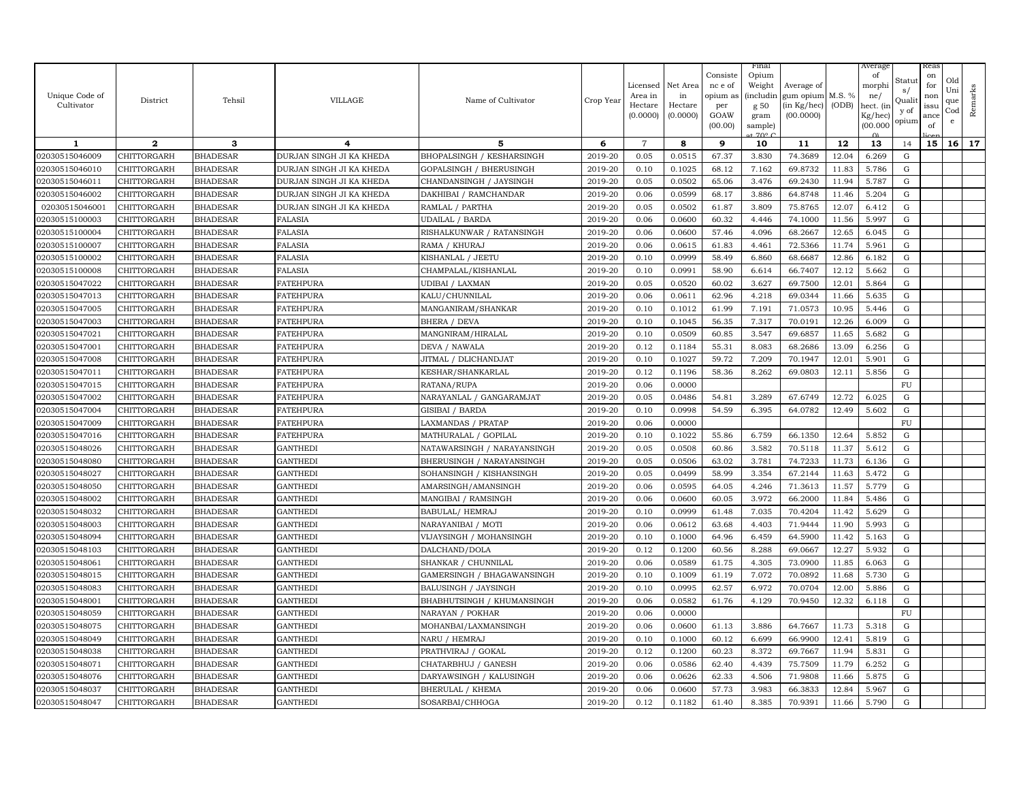| Unique Code of<br>Cultivator | District       | Tehsil          | VILLAGE                  | Name of Cultivator               | Crop Year | Licensed<br>Area in<br>Hectare<br>(0.0000) | Net Area<br>in<br>Hectare<br>(0.0000) | Consiste<br>nc e of<br>opium as<br>per<br>GOAW<br>(00.00) | Final<br>Opium<br>Weight<br><i>(includin</i><br>g 50<br>gram<br>sample<br>$70^\circ$ | Average of<br>gum opium M.S. %<br>(in Kg/hec)<br>(00.0000) | (ODB) | Averag<br>of<br>morphi<br>ne/<br>hect. (ir<br>Kg/hec<br>(00.000) | Statu<br>s/<br>Quali<br>y of<br>opium | on<br>for<br>nor<br>issu<br>ance<br>of | Old<br>nue<br>Cod | Remarks |
|------------------------------|----------------|-----------------|--------------------------|----------------------------------|-----------|--------------------------------------------|---------------------------------------|-----------------------------------------------------------|--------------------------------------------------------------------------------------|------------------------------------------------------------|-------|------------------------------------------------------------------|---------------------------------------|----------------------------------------|-------------------|---------|
| -1                           | $\overline{2}$ | 3               | 4                        | 5                                | 6         | $\overline{7}$                             | 8                                     | 9                                                         | 10                                                                                   | 11                                                         | 12    | 13                                                               | 14                                    | 15                                     |                   | 16 17   |
| 02030515046009               | CHITTORGARH    | <b>BHADESAR</b> | DURJAN SINGH JI KA KHEDA | <b>BHOPALSINGH / KESHARSINGH</b> | 2019-20   | 0.05                                       | 0.0515                                | 67.37                                                     | 3.830                                                                                | 74.3689                                                    | 12.04 | 6.269                                                            | $\mathbf G$                           |                                        |                   |         |
| 02030515046010               | CHITTORGARH    | <b>BHADESAR</b> | DURJAN SINGH JI KA KHEDA | GOPALSINGH / BHERUSINGH          | 2019-20   | 0.10                                       | 0.1025                                | 68.12                                                     | 7.162                                                                                | 69.8732                                                    | 11.83 | 5.786                                                            | G                                     |                                        |                   |         |
| 02030515046011               | CHITTORGARH    | <b>BHADESAR</b> | DURJAN SINGH JI KA KHEDA | CHANDANSINGH / JAYSINGH          | 2019-20   | 0.05                                       | 0.0502                                | 65.06                                                     | 3.476                                                                                | 69.2430                                                    | 11.94 | 5.787                                                            | G                                     |                                        |                   |         |
| 02030515046002               | CHITTORGARH    | <b>BHADESAR</b> | DURJAN SINGH JI KA KHEDA | DAKHIBAI / RAMCHANDAR            | 2019-20   | 0.06                                       | 0.0599                                | 68.17                                                     | 3.886                                                                                | 64.8748                                                    | 11.46 | 5.204                                                            | $\mathbf G$                           |                                        |                   |         |
| 02030515046001               | CHITTORGARH    | <b>BHADESAR</b> | DURJAN SINGH JI KA KHEDA | RAMLAL / PARTHA                  | 2019-20   | 0.05                                       | 0.0502                                | 61.87                                                     | 3.809                                                                                | 75.8765                                                    | 12.07 | 6.412                                                            | G                                     |                                        |                   |         |
| 02030515100003               | CHITTORGARH    | <b>BHADESAR</b> | FALASIA                  | <b>UDAILAL / BARDA</b>           | 2019-20   | 0.06                                       | 0.0600                                | 60.32                                                     | 4.446                                                                                | 74.1000                                                    | 11.56 | 5.997                                                            | G                                     |                                        |                   |         |
| 02030515100004               | CHITTORGARH    | <b>BHADESAR</b> | FALASIA                  | RISHALKUNWAR / RATANSINGH        | 2019-20   | 0.06                                       | 0.0600                                | 57.46                                                     | 4.096                                                                                | 68.2667                                                    | 12.65 | 6.045                                                            | G                                     |                                        |                   |         |
| 02030515100007               | CHITTORGARH    | <b>BHADESAR</b> | FALASIA                  | RAMA / KHURAJ                    | 2019-20   | 0.06                                       | 0.0615                                | 61.83                                                     | 4.461                                                                                | 72.5366                                                    | 11.74 | 5.961                                                            | G                                     |                                        |                   |         |
| 02030515100002               | CHITTORGARH    | <b>BHADESAR</b> | <b>FALASIA</b>           | KISHANLAL / JEETU                | 2019-20   | 0.10                                       | 0.0999                                | 58.49                                                     | 6.860                                                                                | 68.6687                                                    | 12.86 | 6.182                                                            | ${\rm G}$                             |                                        |                   |         |
| 02030515100008               | CHITTORGARH    | <b>BHADESAR</b> | <b>FALASIA</b>           | CHAMPALAL/KISHANLAL              | 2019-20   | 0.10                                       | 0.0991                                | 58.90                                                     | 6.614                                                                                | 66.7407                                                    | 12.12 | 5.662                                                            | G                                     |                                        |                   |         |
| 02030515047022               | CHITTORGARH    | <b>BHADESAR</b> | <b>FATEHPURA</b>         | UDIBAI / LAXMAN                  | 2019-20   | 0.05                                       | 0.0520                                | 60.02                                                     | 3.627                                                                                | 69.7500                                                    | 12.01 | 5.864                                                            | G                                     |                                        |                   |         |
| 02030515047013               | CHITTORGARH    | <b>BHADESAR</b> | FATEHPURA                | KALU/CHUNNILAL                   | 2019-20   | 0.06                                       | 0.0611                                | 62.96                                                     | 4.218                                                                                | 69.0344                                                    | 11.66 | 5.635                                                            | G                                     |                                        |                   |         |
| 02030515047005               | CHITTORGARH    | <b>BHADESAR</b> | FATEHPURA                | MANGANIRAM/SHANKAR               | 2019-20   | 0.10                                       | 0.1012                                | 61.99                                                     | 7.191                                                                                | 71.0573                                                    | 10.95 | 5.446                                                            | G                                     |                                        |                   |         |
| 02030515047003               | CHITTORGARH    | <b>BHADESAR</b> | FATEHPURA                | <b>BHERA / DEVA</b>              | 2019-20   | 0.10                                       | 0.1045                                | 56.35                                                     | 7.317                                                                                | 70.0191                                                    | 12.26 | 6.009                                                            | G                                     |                                        |                   |         |
| 02030515047021               | CHITTORGARH    | <b>BHADESAR</b> | FATEHPURA                | MANGNIRAM/HIRALAL                | 2019-20   | 0.10                                       | 0.0509                                | 60.85                                                     | 3.547                                                                                | 69.6857                                                    | 11.65 | 5.682                                                            | ${\rm G}$                             |                                        |                   |         |
| 02030515047001               | CHITTORGARH    | <b>BHADESAR</b> | <b>FATEHPURA</b>         | DEVA / NAWALA                    | 2019-20   | 0.12                                       | 0.1184                                | 55.31                                                     | 8.083                                                                                | 68.2686                                                    | 13.09 | 6.256                                                            | G                                     |                                        |                   |         |
| 02030515047008               | CHITTORGARH    | <b>BHADESAR</b> | <b>FATEHPURA</b>         | JITMAL / DLICHANDJAT             | 2019-20   | 0.10                                       | 0.1027                                | 59.72                                                     | 7.209                                                                                | 70.1947                                                    | 12.01 | 5.901                                                            | G                                     |                                        |                   |         |
| 02030515047011               | CHITTORGARH    | <b>BHADESAR</b> | <b>FATEHPURA</b>         | KESHAR/SHANKARLAL                | 2019-20   | 0.12                                       | 0.1196                                | 58.36                                                     | 8.262                                                                                | 69.0803                                                    | 12.11 | 5.856                                                            | $\mathbf G$                           |                                        |                   |         |
| 02030515047015               | CHITTORGARH    | <b>BHADESAR</b> | FATEHPURA                | RATANA/RUPA                      | 2019-20   | 0.06                                       | 0.0000                                |                                                           |                                                                                      |                                                            |       |                                                                  | ${\rm FU}$                            |                                        |                   |         |
| 02030515047002               | CHITTORGARH    | <b>BHADESAR</b> | <b>FATEHPURA</b>         | NARAYANLAL / GANGARAMJAT         | 2019-20   | 0.05                                       | 0.0486                                | 54.81                                                     | 3.289                                                                                | 67.6749                                                    | 12.72 | 6.025                                                            | $\mathbf G$                           |                                        |                   |         |
| 02030515047004               | CHITTORGARH    | <b>BHADESAR</b> | FATEHPURA                | GISIBAI / BARDA                  | 2019-20   | 0.10                                       | 0.0998                                | 54.59                                                     | 6.395                                                                                | 64.0782                                                    | 12.49 | 5.602                                                            | G                                     |                                        |                   |         |
| 02030515047009               | CHITTORGARH    | <b>BHADESAR</b> | <b>FATEHPURA</b>         | LAXMANDAS / PRATAP               | 2019-20   | 0.06                                       | 0.0000                                |                                                           |                                                                                      |                                                            |       |                                                                  | FU                                    |                                        |                   |         |
| 02030515047016               | CHITTORGARH    | <b>BHADESAR</b> | FATEHPURA                | MATHURALAL / GOPILAL             | 2019-20   | 0.10                                       | 0.1022                                | 55.86                                                     | 6.759                                                                                | 66.1350                                                    | 12.64 | 5.852                                                            | $\mathbf G$                           |                                        |                   |         |
| 02030515048026               | CHITTORGARH    | <b>BHADESAR</b> | <b>GANTHEDI</b>          | NATAWARSINGH / NARAYANSINGH      | 2019-20   | 0.05                                       | 0.0508                                | 60.86                                                     | 3.582                                                                                | 70.5118                                                    | 11.37 | 5.612                                                            | ${\rm G}$                             |                                        |                   |         |
| 02030515048080               | CHITTORGARH    | <b>BHADESAR</b> | <b>GANTHEDI</b>          | BHERUSINGH / NARAYANSINGH        | 2019-20   | 0.05                                       | 0.0506                                | 63.02                                                     | 3.781                                                                                | 74.7233                                                    | 11.73 | 6.136                                                            | G                                     |                                        |                   |         |
| 02030515048027               | CHITTORGARH    | <b>BHADESAR</b> | <b>GANTHEDI</b>          | SOHANSINGH / KISHANSINGH         | 2019-20   | 0.05                                       | 0.0499                                | 58.99                                                     | 3.354                                                                                | 67.2144                                                    | 11.63 | 5.472                                                            | G                                     |                                        |                   |         |
| 02030515048050               | CHITTORGARH    | <b>BHADESAR</b> | <b>GANTHEDI</b>          | AMARSINGH/AMANSINGH              | 2019-20   | 0.06                                       | 0.0595                                | 64.05                                                     | 4.246                                                                                | 71.3613                                                    | 11.57 | 5.779                                                            | G                                     |                                        |                   |         |
| 02030515048002               | CHITTORGARH    | <b>BHADESAR</b> | <b>GANTHEDI</b>          | MANGIBAI / RAMSINGH              | 2019-20   | 0.06                                       | 0.0600                                | 60.05                                                     | 3.972                                                                                | 66.2000                                                    | 11.84 | 5.486                                                            | G                                     |                                        |                   |         |
| 02030515048032               | CHITTORGARH    | <b>BHADESAR</b> | <b>GANTHEDI</b>          | <b>BABULAL/ HEMRAJ</b>           | 2019-20   | 0.10                                       | 0.0999                                | 61.48                                                     | 7.035                                                                                | 70.4204                                                    | 11.42 | 5.629                                                            | G                                     |                                        |                   |         |
| 02030515048003               | CHITTORGARH    | <b>BHADESAR</b> | <b>GANTHEDI</b>          | NARAYANIBAI / MOTI               | 2019-20   | 0.06                                       | 0.0612                                | 63.68                                                     | 4.403                                                                                | 71.9444                                                    | 11.90 | 5.993                                                            | G                                     |                                        |                   |         |
| 02030515048094               | CHITTORGARH    | <b>BHADESAR</b> | <b>GANTHEDI</b>          | VIJAYSINGH / MOHANSINGH          | 2019-20   | 0.10                                       | 0.1000                                | 64.96                                                     | 6.459                                                                                | 64.5900                                                    | 11.42 | 5.163                                                            | G                                     |                                        |                   |         |
| 02030515048103               | CHITTORGARH    | <b>BHADESAR</b> | <b>GANTHEDI</b>          | DALCHAND/DOLA                    | 2019-20   | 0.12                                       | 0.1200                                | 60.56                                                     | 8.288                                                                                | 69.0667                                                    | 12.27 | 5.932                                                            | G                                     |                                        |                   |         |
| 02030515048061               | CHITTORGARH    | <b>BHADESAR</b> | <b>GANTHEDI</b>          | SHANKAR / CHUNNILAL              | 2019-20   | 0.06                                       | 0.0589                                | 61.75                                                     | 4.305                                                                                | 73.0900                                                    | 11.85 | 6.063                                                            | $\mathbf G$                           |                                        |                   |         |
| 02030515048015               | CHITTORGARH    | <b>BHADESAR</b> | <b>GANTHEDI</b>          | GAMERSINGH / BHAGAWANSINGH       | 2019-20   | 0.10                                       | 0.1009                                | 61.19                                                     | 7.072                                                                                | 70.0892                                                    | 11.68 | 5.730                                                            | G                                     |                                        |                   |         |
| 02030515048083               | CHITTORGARH    | <b>BHADESAR</b> | <b>GANTHEDI</b>          | BALUSINGH / JAYSINGH             | 2019-20   | 0.10                                       | 0.0995                                | 62.57                                                     | 6.972                                                                                | 70.0704                                                    | 12.00 | 5.886                                                            | $\mathbf G$                           |                                        |                   |         |
| 02030515048001               | CHITTORGARH    | <b>BHADESAR</b> | <b>GANTHEDI</b>          | BHABHUTSINGH / KHUMANSINGH       | 2019-20   | 0.06                                       | 0.0582                                | 61.76                                                     | 4.129                                                                                | 70.9450                                                    | 12.32 | 6.118                                                            | G                                     |                                        |                   |         |
| 02030515048059               | CHITTORGARH    | <b>BHADESAR</b> | <b>GANTHEDI</b>          | NARAYAN / POKHAR                 | 2019-20   | 0.06                                       | 0.0000                                |                                                           |                                                                                      |                                                            |       |                                                                  | FU                                    |                                        |                   |         |
| 02030515048075               | CHITTORGARH    | <b>BHADESAR</b> | <b>GANTHEDI</b>          | MOHANBAI/LAXMANSINGH             | 2019-20   | 0.06                                       | 0.0600                                | 61.13                                                     | 3.886                                                                                | 64.7667                                                    | 11.73 | 5.318                                                            | G                                     |                                        |                   |         |
| 02030515048049               | CHITTORGARH    | <b>BHADESAR</b> | <b>GANTHEDI</b>          | NARU / HEMRAJ                    | 2019-20   | 0.10                                       | 0.1000                                | 60.12                                                     | 6.699                                                                                | 66.9900                                                    | 12.41 | 5.819                                                            | G                                     |                                        |                   |         |
| 02030515048038               | CHITTORGARH    | <b>BHADESAR</b> | <b>GANTHEDI</b>          | PRATHVIRAJ / GOKAL               | 2019-20   | 0.12                                       | 0.1200                                | 60.23                                                     | 8.372                                                                                | 69.7667                                                    | 11.94 | 5.831                                                            | G                                     |                                        |                   |         |
| 02030515048071               | CHITTORGARH    | <b>BHADESAR</b> | <b>GANTHEDI</b>          | CHATARBHUJ / GANESH              | 2019-20   | 0.06                                       | 0.0586                                | 62.40                                                     | 4.439                                                                                | 75.7509                                                    | 11.79 | 6.252                                                            | G                                     |                                        |                   |         |
| 02030515048076               | CHITTORGARH    | <b>BHADESAR</b> | <b>GANTHEDI</b>          | DARYAWSINGH / KALUSINGH          | 2019-20   | 0.06                                       | 0.0626                                | 62.33                                                     | 4.506                                                                                | 71.9808                                                    | 11.66 | 5.875                                                            | G                                     |                                        |                   |         |
| 02030515048037               | CHITTORGARH    | <b>BHADESAR</b> | <b>GANTHEDI</b>          | <b>BHERULAL / KHEMA</b>          | 2019-20   | 0.06                                       | 0.0600                                | 57.73                                                     | 3.983                                                                                | 66.3833                                                    | 12.84 | 5.967                                                            | G                                     |                                        |                   |         |
| 02030515048047               | CHITTORGARH    | <b>BHADESAR</b> | <b>GANTHEDI</b>          | SOSARBAI/CHHOGA                  | 2019-20   | 0.12                                       | 0.1182                                | 61.40                                                     | 8.385                                                                                | 70.9391                                                    | 11.66 | 5.790                                                            | G                                     |                                        |                   |         |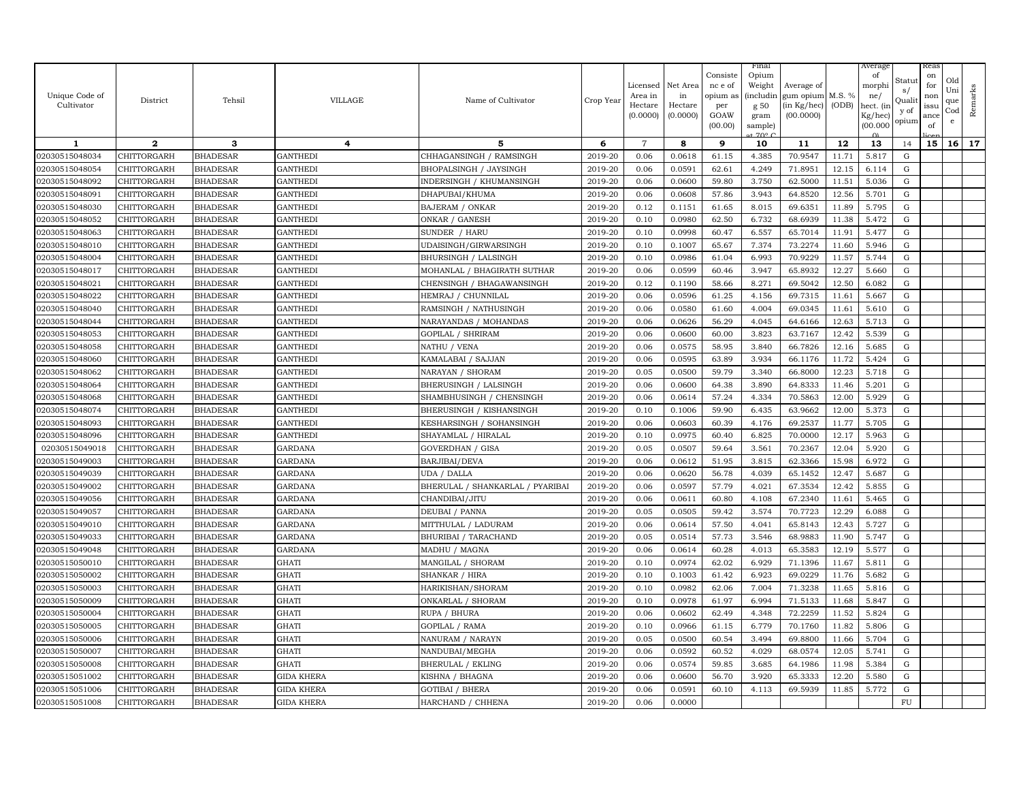| Unique Code of<br>Cultivator | District       | Tehsil          | VILLAGE           | Name of Cultivator               | Crop Year | Licensed<br>Area in<br>Hectare<br>(0.0000) | Net Area<br>in<br>Hectare<br>(0.0000) | Consiste<br>nc e of<br>opium as<br>per<br>GOAW<br>(00.00) | Final<br>Opium<br>Weight<br><i>(includin</i><br>g 50<br>gram<br>sample]<br>70° | Average of<br>gum opium M.S. %<br>(in Kg/hec)<br>(00.0000) | (ODB) | Average<br>of<br>morphi<br>ne/<br>hect. (in<br>Kg/hec<br>(00.000) | Statut<br>s/<br>Quali<br>y of<br>opium | on<br>for<br>nor<br>isst<br>ance<br>of | Old<br>Uni<br>que<br>Cod | Remarks |
|------------------------------|----------------|-----------------|-------------------|----------------------------------|-----------|--------------------------------------------|---------------------------------------|-----------------------------------------------------------|--------------------------------------------------------------------------------|------------------------------------------------------------|-------|-------------------------------------------------------------------|----------------------------------------|----------------------------------------|--------------------------|---------|
| 1                            | $\overline{2}$ | 3               | 4                 | 5                                | 6         | $\overline{7}$                             | 8                                     | 9                                                         | 10                                                                             | 11                                                         | 12    | 13                                                                | 14                                     | 15                                     | 16 <sup>1</sup>          | 17      |
| 02030515048034               | CHITTORGARH    | <b>BHADESAR</b> | <b>GANTHEDI</b>   | CHHAGANSINGH / RAMSINGH          | 2019-20   | 0.06                                       | 0.0618                                | 61.15                                                     | 4.385                                                                          | 70.9547                                                    | 11.71 | 5.817                                                             | G                                      |                                        |                          |         |
| 02030515048054               | CHITTORGARH    | <b>BHADESAR</b> | <b>GANTHEDI</b>   | BHOPALSINGH / JAYSINGH           | 2019-20   | 0.06                                       | 0.0591                                | 62.61                                                     | 4.249                                                                          | 71.8951                                                    | 12.15 | 6.114                                                             | G                                      |                                        |                          |         |
| 02030515048092               | CHITTORGARH    | <b>BHADESAR</b> | GANTHEDI          | INDERSINGH / KHUMANSINGH         | 2019-20   | 0.06                                       | 0.0600                                | 59.80                                                     | 3.750                                                                          | 62.5000                                                    | 11.51 | 5.036                                                             | G                                      |                                        |                          |         |
| 02030515048091               | CHITTORGARH    | <b>BHADESAR</b> | GANTHEDI          | DHAPUBAI/KHUMA                   | 2019-20   | 0.06                                       | 0.0608                                | 57.86                                                     | 3.943                                                                          | 64.8520                                                    | 12.56 | 5.701                                                             | G                                      |                                        |                          |         |
| 02030515048030               | CHITTORGARH    | <b>BHADESAR</b> | GANTHEDI          | <b>BAJERAM / ONKAR</b>           | 2019-20   | 0.12                                       | 0.1151                                | 61.65                                                     | 8.015                                                                          | 69.6351                                                    | 11.89 | 5.795                                                             | G                                      |                                        |                          |         |
| 02030515048052               | CHITTORGARH    | <b>BHADESAR</b> | GANTHEDI          | ONKAR / GANESH                   | 2019-20   | 0.10                                       | 0.0980                                | 62.50                                                     | 6.732                                                                          | 68.6939                                                    | 11.38 | 5.472                                                             | G                                      |                                        |                          |         |
| 02030515048063               | CHITTORGARH    | <b>BHADESAR</b> | <b>GANTHEDI</b>   | SUNDER / HARU                    | 2019-20   | 0.10                                       | 0.0998                                | 60.47                                                     | 6.557                                                                          | 65.7014                                                    | 11.91 | 5.477                                                             | G                                      |                                        |                          |         |
| 02030515048010               | CHITTORGARH    | <b>BHADESAR</b> | GANTHEDI          | UDAISINGH/GIRWARSINGH            | 2019-20   | 0.10                                       | 0.1007                                | 65.67                                                     | 7.374                                                                          | 73.2274                                                    | 11.60 | 5.946                                                             | G                                      |                                        |                          |         |
| 02030515048004               | CHITTORGARH    | <b>BHADESAR</b> | <b>GANTHEDI</b>   | <b>BHURSINGH / LALSINGH</b>      | 2019-20   | 0.10                                       | 0.0986                                | 61.04                                                     | 6.993                                                                          | 70.9229                                                    | 11.57 | 5.744                                                             | ${\rm G}$                              |                                        |                          |         |
| 02030515048017               | CHITTORGARH    | <b>BHADESAR</b> | GANTHEDI          | MOHANLAL / BHAGIRATH SUTHAR      | 2019-20   | 0.06                                       | 0.0599                                | 60.46                                                     | 3.947                                                                          | 65.8932                                                    | 12.27 | 5.660                                                             | ${\rm G}$                              |                                        |                          |         |
| 02030515048021               | CHITTORGARH    | <b>BHADESAR</b> | <b>GANTHEDI</b>   | CHENSINGH / BHAGAWANSINGH        | 2019-20   | 0.12                                       | 0.1190                                | 58.66                                                     | 8.271                                                                          | 69.5042                                                    | 12.50 | 6.082                                                             | ${\rm G}$                              |                                        |                          |         |
| 02030515048022               | CHITTORGARH    | <b>BHADESAR</b> | <b>GANTHEDI</b>   | HEMRAJ / CHUNNILAL               | 2019-20   | 0.06                                       | 0.0596                                | 61.25                                                     | 4.156                                                                          | 69.7315                                                    | 11.61 | 5.667                                                             | G                                      |                                        |                          |         |
| 02030515048040               | CHITTORGARH    | <b>BHADESAR</b> | GANTHEDI          | RAMSINGH / NATHUSINGH            | 2019-20   | 0.06                                       | 0.0580                                | 61.60                                                     | 4.004                                                                          | 69.0345                                                    | 11.61 | 5.610                                                             | ${\rm G}$                              |                                        |                          |         |
| 02030515048044               | CHITTORGARH    | <b>BHADESAR</b> | GANTHEDI          | NARAYANDAS / MOHANDAS            | 2019-20   | 0.06                                       | 0.0626                                | 56.29                                                     | 4.045                                                                          | 64.6166                                                    | 12.63 | 5.713                                                             | ${\rm G}$                              |                                        |                          |         |
| 02030515048053               | CHITTORGARH    | <b>BHADESAR</b> | <b>GANTHEDI</b>   | <b>GOPILAL / SHRIRAM</b>         | 2019-20   | 0.06                                       | 0.0600                                | 60.00                                                     | 3.823                                                                          | 63.7167                                                    | 12.42 | 5.539                                                             | G                                      |                                        |                          |         |
| 02030515048058               | CHITTORGARH    | <b>BHADESAR</b> | <b>GANTHEDI</b>   | NATHU / VENA                     | 2019-20   | 0.06                                       | 0.0575                                | 58.95                                                     | 3.840                                                                          | 66.7826                                                    | 12.16 | 5.685                                                             | ${\rm G}$                              |                                        |                          |         |
| 02030515048060               | CHITTORGARH    | <b>BHADESAR</b> | <b>GANTHEDI</b>   | KAMALABAI / SAJJAN               | 2019-20   | 0.06                                       | 0.0595                                | 63.89                                                     | 3.934                                                                          | 66.1176                                                    | 11.72 | 5.424                                                             | G                                      |                                        |                          |         |
| 02030515048062               | CHITTORGARH    | <b>BHADESAR</b> | <b>GANTHEDI</b>   | NARAYAN / SHORAM                 | 2019-20   | 0.05                                       | 0.0500                                | 59.79                                                     | 3.340                                                                          | 66.8000                                                    | 12.23 | 5.718                                                             | ${\rm G}$                              |                                        |                          |         |
| 02030515048064               | CHITTORGARH    | <b>BHADESAR</b> | GANTHEDI          | BHERUSINGH / LALSINGH            | 2019-20   | 0.06                                       | 0.0600                                | 64.38                                                     | 3.890                                                                          | 64.8333                                                    | 11.46 | 5.201                                                             | G                                      |                                        |                          |         |
| 02030515048068               | CHITTORGARH    | <b>BHADESAR</b> | GANTHEDI          | SHAMBHUSINGH / CHENSINGH         | 2019-20   | 0.06                                       | 0.0614                                | 57.24                                                     | 4.334                                                                          | 70.5863                                                    | 12.00 | 5.929                                                             | G                                      |                                        |                          |         |
| 02030515048074               | CHITTORGARH    | <b>BHADESAR</b> | <b>GANTHEDI</b>   | BHERUSINGH / KISHANSINGH         | 2019-20   | 0.10                                       | 0.1006                                | 59.90                                                     | 6.435                                                                          | 63.9662                                                    | 12.00 | 5.373                                                             | G                                      |                                        |                          |         |
| 02030515048093               | CHITTORGARH    | <b>BHADESAR</b> | GANTHEDI          | KESHARSINGH / SOHANSINGH         | 2019-20   | 0.06                                       | 0.0603                                | 60.39                                                     | 4.176                                                                          | 69.2537                                                    | 11.77 | 5.705                                                             | ${\rm G}$                              |                                        |                          |         |
| 02030515048096               | CHITTORGARH    | <b>BHADESAR</b> | GANTHEDI          | SHAYAMLAL / HIRALAL              | 2019-20   | 0.10                                       | 0.0975                                | 60.40                                                     | 6.825                                                                          | 70.0000                                                    | 12.17 | 5.963                                                             | G                                      |                                        |                          |         |
| 02030515049018               | CHITTORGARH    | <b>BHADESAR</b> | GARDANA           | GOVERDHAN / GISA                 | 2019-20   | 0.05                                       | 0.0507                                | 59.64                                                     | 3.561                                                                          | 70.2367                                                    | 12.04 | 5.920                                                             | G                                      |                                        |                          |         |
| 02030515049003               | CHITTORGARH    | <b>BHADESAR</b> | GARDANA           | BARJIBAI/DEVA                    | 2019-20   | 0.06                                       | 0.0612                                | 51.95                                                     | 3.815                                                                          | 62.3366                                                    | 15.98 | 6.972                                                             | G                                      |                                        |                          |         |
| 02030515049039               | CHITTORGARH    | <b>BHADESAR</b> | <b>GARDANA</b>    | UDA / DALLA                      | 2019-20   | 0.06                                       | 0.0620                                | 56.78                                                     | 4.039                                                                          | 65.1452                                                    | 12.47 | 5.687                                                             | ${\rm G}$                              |                                        |                          |         |
| 02030515049002               | CHITTORGARH    | <b>BHADESAR</b> | GARDANA           | BHERULAL / SHANKARLAL / PYARIBAI | 2019-20   | 0.06                                       | 0.0597                                | 57.79                                                     | 4.021                                                                          | 67.3534                                                    | 12.42 | 5.855                                                             | G                                      |                                        |                          |         |
| 02030515049056               | CHITTORGARH    | <b>BHADESAR</b> | GARDANA           | CHANDIBAI/JITU                   | 2019-20   | 0.06                                       | 0.0611                                | 60.80                                                     | 4.108                                                                          | 67.2340                                                    | 11.61 | 5.465                                                             | G                                      |                                        |                          |         |
| 02030515049057               | CHITTORGARH    | <b>BHADESAR</b> | GARDANA           | DEUBAI / PANNA                   | 2019-20   | 0.05                                       | 0.0505                                | 59.42                                                     | 3.574                                                                          | 70.7723                                                    | 12.29 | 6.088                                                             | G                                      |                                        |                          |         |
| 02030515049010               | CHITTORGARH    | <b>BHADESAR</b> | GARDANA           | MITTHULAL / LADURAM              | 2019-20   | 0.06                                       | 0.0614                                | 57.50                                                     | 4.041                                                                          | 65.8143                                                    | 12.43 | 5.727                                                             | ${\rm G}$                              |                                        |                          |         |
| 02030515049033               | CHITTORGARH    | <b>BHADESAR</b> | <b>GARDANA</b>    | BHURIBAI / TARACHAND             | 2019-20   | 0.05                                       | 0.0514                                | 57.73                                                     | 3.546                                                                          | 68.9883                                                    | 11.90 | 5.747                                                             | G                                      |                                        |                          |         |
| 02030515049048               | CHITTORGARH    | <b>BHADESAR</b> | GARDANA           | MADHU / MAGNA                    | 2019-20   | 0.06                                       | 0.0614                                | 60.28                                                     | 4.013                                                                          | 65.3583                                                    | 12.19 | 5.577                                                             | ${\rm G}$                              |                                        |                          |         |
| 02030515050010               | CHITTORGARH    | <b>BHADESAR</b> | GHATI             | MANGILAL / SHORAM                | 2019-20   | 0.10                                       | 0.0974                                | 62.02                                                     | 6.929                                                                          | 71.1396                                                    | 11.67 | 5.811                                                             | ${\rm G}$                              |                                        |                          |         |
| 02030515050002               | CHITTORGARH    | <b>BHADESAR</b> | <b>GHATI</b>      | SHANKAR / HIRA                   | 2019-20   | 0.10                                       | 0.1003                                | 61.42                                                     | 6.923                                                                          | 69.0229                                                    | 11.76 | 5.682                                                             | ${\rm G}$                              |                                        |                          |         |
| 02030515050003               | CHITTORGARH    | <b>BHADESAR</b> | GHATI             | HARIKISHAN/SHORAM                | 2019-20   | 0.10                                       | 0.0982                                | 62.06                                                     | 7.004                                                                          | 71.3238                                                    | 11.65 | 5.816                                                             | ${\rm G}$                              |                                        |                          |         |
| 02030515050009               | CHITTORGARH    | <b>BHADESAR</b> | GHATI             | ONKARLAL / SHORAM                | 2019-20   | 0.10                                       | 0.0978                                | 61.97                                                     | 6.994                                                                          | 71.5133                                                    | 11.68 | 5.847                                                             | G                                      |                                        |                          |         |
| 02030515050004               | CHITTORGARH    | <b>BHADESAR</b> | GHATI             | RUPA / BHURA                     | 2019-20   | 0.06                                       | 0.0602                                | 62.49                                                     | 4.348                                                                          | 72.2259                                                    | 11.52 | 5.824                                                             | G                                      |                                        |                          |         |
| 02030515050005               | CHITTORGARH    | <b>BHADESAR</b> | GHATI             | GOPILAL / RAMA                   | 2019-20   | 0.10                                       | 0.0966                                | 61.15                                                     | 6.779                                                                          | 70.1760                                                    | 11.82 | 5.806                                                             | G                                      |                                        |                          |         |
| 02030515050006               | CHITTORGARH    | <b>BHADESAR</b> | GHATI             | NANURAM / NARAYN                 | 2019-20   | 0.05                                       | 0.0500                                | 60.54                                                     | 3.494                                                                          | 69.8800                                                    | 11.66 | 5.704                                                             | ${\rm G}$                              |                                        |                          |         |
| 02030515050007               | CHITTORGARH    | <b>BHADESAR</b> | GHATI             | NANDUBAI/MEGHA                   | 2019-20   | 0.06                                       | 0.0592                                | 60.52                                                     | 4.029                                                                          | 68.0574                                                    | 12.05 | 5.741                                                             | G                                      |                                        |                          |         |
| 02030515050008               | CHITTORGARH    | <b>BHADESAR</b> | GHATI             | <b>BHERULAL / EKLING</b>         | 2019-20   | 0.06                                       | 0.0574                                | 59.85                                                     | 3.685                                                                          | 64.1986                                                    | 11.98 | 5.384                                                             | G                                      |                                        |                          |         |
| 02030515051002               | CHITTORGARH    | <b>BHADESAR</b> | <b>GIDA KHERA</b> | KISHNA / BHAGNA                  | 2019-20   | 0.06                                       | 0.0600                                | 56.70                                                     | 3.920                                                                          | 65.3333                                                    | 12.20 | 5.580                                                             | ${\rm G}$                              |                                        |                          |         |
| 02030515051006               | CHITTORGARH    | <b>BHADESAR</b> | <b>GIDA KHERA</b> | GOTIBAI / BHERA                  | 2019-20   | 0.06                                       | 0.0591                                | 60.10                                                     | 4.113                                                                          | 69.5939                                                    | 11.85 | 5.772                                                             | ${\rm G}$                              |                                        |                          |         |
| 02030515051008               | CHITTORGARH    | <b>BHADESAR</b> | <b>GIDA KHERA</b> | HARCHAND / CHHENA                | 2019-20   | 0.06                                       | 0.0000                                |                                                           |                                                                                |                                                            |       |                                                                   | FU                                     |                                        |                          |         |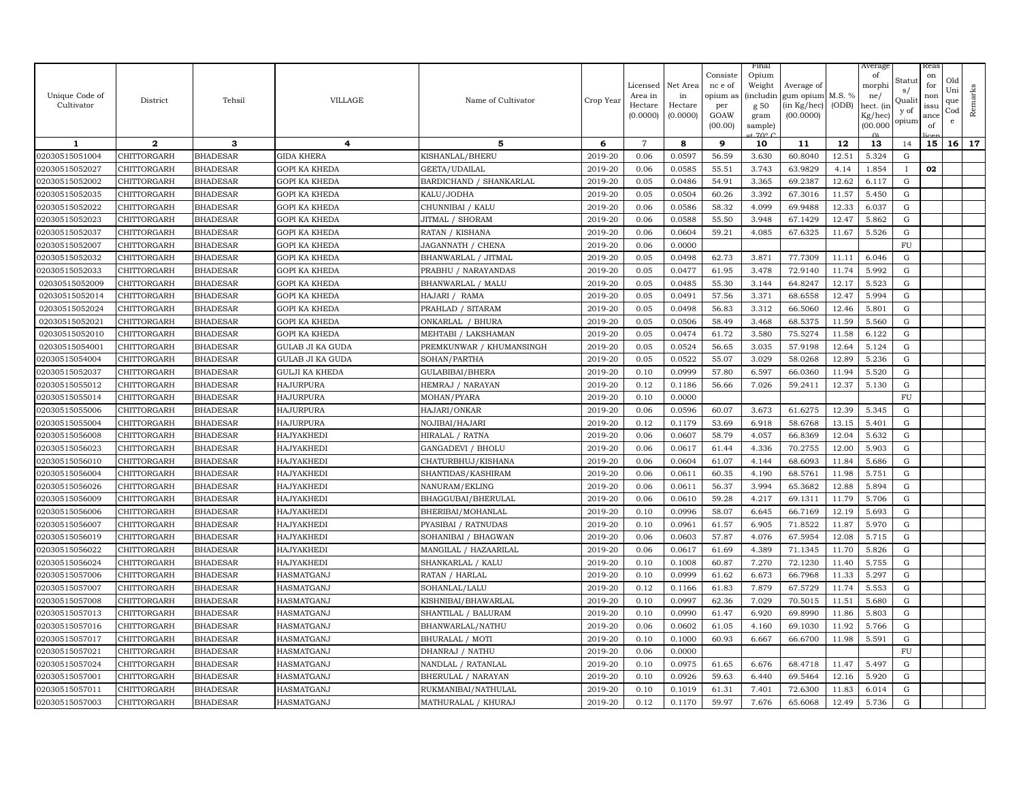| Unique Code of<br>Cultivator | District       | Tehsil          | VILLAGE            | Name of Cultivator       | Crop Year | Licensed<br>Area in<br>Hectare<br>(0.0000) | Net Area<br>in<br>Hectare<br>(0.0000) | Consiste<br>nc e of<br>opium as<br>per<br>GOAW<br>(00.00) | Final<br>Opium<br>Weight<br><i>(includin</i><br>g 50<br>gram<br>sample]<br>$70^\circ$ | Average of<br>gum opium M.S. %<br>(in Kg/hec)<br>(00.0000) | (ODB) | Average<br>of<br>morphi<br>ne/<br>hect. (in<br>Kg/hec<br>(00.000) | Statut<br>s/<br>Quali<br>y of<br>opium | on<br>for<br>nor<br>isst<br>ance<br>of | Dld<br>Uni<br>que<br>Cod | Remarks |
|------------------------------|----------------|-----------------|--------------------|--------------------------|-----------|--------------------------------------------|---------------------------------------|-----------------------------------------------------------|---------------------------------------------------------------------------------------|------------------------------------------------------------|-------|-------------------------------------------------------------------|----------------------------------------|----------------------------------------|--------------------------|---------|
| -1                           | $\overline{2}$ | з               | 4                  | 5                        | 6         | $\overline{7}$                             | 8                                     | 9                                                         | 10                                                                                    | 11                                                         | 12    | 13                                                                | 14                                     | 15                                     | 16                       | 17      |
| 02030515051004               | CHITTORGARH    | <b>BHADESAR</b> | <b>GIDA KHERA</b>  | KISHANLAL/BHERU          | 2019-20   | 0.06                                       | 0.0597                                | 56.59                                                     | 3.630                                                                                 | 60.8040                                                    | 12.51 | 5.324                                                             | G                                      |                                        |                          |         |
| 02030515052027               | CHITTORGARH    | <b>BHADESAR</b> | GOPI KA KHEDA      | GEETA/UDAILAL            | 2019-20   | 0.06                                       | 0.0585                                | 55.51                                                     | 3.743                                                                                 | 63.9829                                                    | 4.14  | 1.854                                                             | $\mathbf{I}$                           | 02                                     |                          |         |
| 02030515052002               | CHITTORGARH    | <b>BHADESAR</b> | GOPI KA KHEDA      | BARDICHAND / SHANKARLAL  | 2019-20   | 0.05                                       | 0.0486                                | 54.91                                                     | 3.365                                                                                 | 69.2387                                                    | 12.62 | 6.117                                                             | G                                      |                                        |                          |         |
| 02030515052035               | CHITTORGARH    | <b>BHADESAR</b> | GOPI KA KHEDA      | KALU/JODHA               | 2019-20   | 0.05                                       | 0.0504                                | 60.26                                                     | 3.392                                                                                 | 67.3016                                                    | 11.57 | 5.450                                                             | G                                      |                                        |                          |         |
| 02030515052022               | CHITTORGARH    | <b>BHADESAR</b> | GOPI KA KHEDA      | CHUNNIBAI / KALU         | 2019-20   | 0.06                                       | 0.0586                                | 58.32                                                     | 4.099                                                                                 | 69.9488                                                    | 12.33 | 6.037                                                             | G                                      |                                        |                          |         |
| 02030515052023               | CHITTORGARH    | <b>BHADESAR</b> | GOPI KA KHEDA      | JITMAL / SHORAM          | 2019-20   | 0.06                                       | 0.0588                                | 55.50                                                     | 3.948                                                                                 | 67.1429                                                    | 12.47 | 5.862                                                             | G                                      |                                        |                          |         |
| 02030515052037               | CHITTORGARH    | <b>BHADESAR</b> | GOPI KA KHEDA      | RATAN / KISHANA          | 2019-20   | 0.06                                       | 0.0604                                | 59.21                                                     | 4.085                                                                                 | 67.6325                                                    | 11.67 | 5.526                                                             | ${\rm G}$                              |                                        |                          |         |
| 02030515052007               | CHITTORGARH    | <b>BHADESAR</b> | GOPI KA KHEDA      | JAGANNATH / CHENA        | 2019-20   | 0.06                                       | 0.0000                                |                                                           |                                                                                       |                                                            |       |                                                                   | ${\rm FU}$                             |                                        |                          |         |
| 02030515052032               | CHITTORGARH    | <b>BHADESAR</b> | GOPI KA KHEDA      | BHANWARLAL / JITMAL      | 2019-20   | 0.05                                       | 0.0498                                | 62.73                                                     | 3.871                                                                                 | 77.7309                                                    | 11.11 | 6.046                                                             | ${\rm G}$                              |                                        |                          |         |
| 02030515052033               | CHITTORGARH    | <b>BHADESAR</b> | GOPI KA KHEDA      | PRABHU / NARAYANDAS      | 2019-20   | 0.05                                       | 0.0477                                | 61.95                                                     | 3.478                                                                                 | 72.9140                                                    | 11.74 | 5.992                                                             | G                                      |                                        |                          |         |
| 02030515052009               | CHITTORGARH    | <b>BHADESAR</b> | GOPI KA KHEDA      | BHANWARLAL / MALU        | 2019-20   | 0.05                                       | 0.0485                                | 55.30                                                     | 3.144                                                                                 | 64.8247                                                    | 12.17 | 5.523                                                             | G                                      |                                        |                          |         |
| 02030515052014               | CHITTORGARH    | <b>BHADESAR</b> | GOPI KA KHEDA      | HAJARI / RAMA            | 2019-20   | 0.05                                       | 0.0491                                | 57.56                                                     | 3.371                                                                                 | 68.6558                                                    | 12.47 | 5.994                                                             | ${\rm G}$                              |                                        |                          |         |
| 02030515052024               | CHITTORGARH    | <b>BHADESAR</b> | GOPI KA KHEDA      | PRAHLAD / SITARAM        | 2019-20   | 0.05                                       | 0.0498                                | 56.83                                                     | 3.312                                                                                 | 66.5060                                                    | 12.46 | 5.801                                                             | ${\rm G}$                              |                                        |                          |         |
| 02030515052021               | CHITTORGARH    | <b>BHADESAR</b> | GOPI KA KHEDA      | ONKARLAL / BHURA         | 2019-20   | 0.05                                       | 0.0506                                | 58.49                                                     | 3.468                                                                                 | 68.5375                                                    | 11.59 | 5.560                                                             | G                                      |                                        |                          |         |
| 02030515052010               | CHITTORGARH    | <b>BHADESAR</b> | GOPI KA KHEDA      | MEHTABI / LAKSHAMAN      | 2019-20   | 0.05                                       | 0.0474                                | 61.72                                                     | 3.580                                                                                 | 75.5274                                                    | 11.58 | 6.122                                                             | ${\rm G}$                              |                                        |                          |         |
| 02030515054001               | CHITTORGARH    | <b>BHADESAR</b> | GULAB JI KA GUDA   | PREMKUNWAR / KHUMANSINGH | 2019-20   | 0.05                                       | 0.0524                                | 56.65                                                     | 3.035                                                                                 | 57.9198                                                    | 12.64 | 5.124                                                             | ${\rm G}$                              |                                        |                          |         |
| 02030515054004               | CHITTORGARH    | <b>BHADESAR</b> | GULAB JI KA GUDA   | SOHAN/PARTHA             | 2019-20   | 0.05                                       | 0.0522                                | 55.07                                                     | 3.029                                                                                 | 58.0268                                                    | 12.89 | 5.236                                                             | G                                      |                                        |                          |         |
| 02030515052037               | CHITTORGARH    | <b>BHADESAR</b> | GULJI KA KHEDA     | GULABIBAI/BHERA          | 2019-20   | 0.10                                       | 0.0999                                | 57.80                                                     | 6.597                                                                                 | 66.0360                                                    | 11.94 | 5.520                                                             | G                                      |                                        |                          |         |
| 02030515055012               | CHITTORGARH    | <b>BHADESAR</b> | <b>HAJURPURA</b>   | HEMRAJ / NARAYAN         | 2019-20   | 0.12                                       | 0.1186                                | 56.66                                                     | 7.026                                                                                 | 59.2411                                                    | 12.37 | 5.130                                                             | ${\rm G}$                              |                                        |                          |         |
| 02030515055014               | CHITTORGARH    | <b>BHADESAR</b> | <b>HAJURPURA</b>   | MOHAN/PYARA              | 2019-20   | 0.10                                       | 0.0000                                |                                                           |                                                                                       |                                                            |       |                                                                   | ${\rm FU}$                             |                                        |                          |         |
| 02030515055006               | CHITTORGARH    | <b>BHADESAR</b> | HAJURPURA          | HAJARI/ONKAR             | 2019-20   | 0.06                                       | 0.0596                                | 60.07                                                     | 3.673                                                                                 | 61.6275                                                    | 12.39 | 5.345                                                             | G                                      |                                        |                          |         |
| 02030515055004               | CHITTORGARH    | <b>BHADESAR</b> | HAJURPURA          | NOJIBAI/HAJARI           | 2019-20   | 0.12                                       | 0.1179                                | 53.69                                                     | 6.918                                                                                 | 58.6768                                                    | 13.15 | 5.401                                                             | G                                      |                                        |                          |         |
| 02030515056008               | CHITTORGARH    | <b>BHADESAR</b> | HAJYAKHEDI         | HIRALAL / RATNA          | 2019-20   | 0.06                                       | 0.0607                                | 58.79                                                     | 4.057                                                                                 | 66.8369                                                    | 12.04 | 5.632                                                             | G                                      |                                        |                          |         |
| 02030515056023               | CHITTORGARH    | <b>BHADESAR</b> | HAJYAKHEDI         | GANGADEVI / BHOLU        | 2019-20   | 0.06                                       | 0.0617                                | 61.44                                                     | 4.336                                                                                 | 70.2755                                                    | 12.00 | 5.903                                                             | ${\rm G}$                              |                                        |                          |         |
| 02030515056010               | CHITTORGARH    | <b>BHADESAR</b> | HAJYAKHEDI         | CHATURBHUJ/KISHANA       | 2019-20   | 0.06                                       | 0.0604                                | 61.07                                                     | 4.144                                                                                 | 68.6093                                                    | 11.84 | 5.686                                                             | ${\rm G}$                              |                                        |                          |         |
| 02030515056004               | CHITTORGARH    | <b>BHADESAR</b> | HAJYAKHEDI         | SHANTIDAS/KASHIRAM       | 2019-20   | 0.06                                       | 0.0611                                | 60.35                                                     | 4.190                                                                                 | 68.5761                                                    | 11.98 | 5.751                                                             | G                                      |                                        |                          |         |
| 02030515056026               | CHITTORGARH    | <b>BHADESAR</b> | HAJYAKHEDI         | NANURAM/EKLING           | 2019-20   | 0.06                                       | 0.0611                                | 56.37                                                     | 3.994                                                                                 | 65.3682                                                    | 12.88 | 5.894                                                             | ${\rm G}$                              |                                        |                          |         |
| 02030515056009               | CHITTORGARH    | <b>BHADESAR</b> | HAJYAKHEDI         | BHAGGUBAI/BHERULAL       | 2019-20   | 0.06                                       | 0.0610                                | 59.28                                                     | 4.217                                                                                 | 69.1311                                                    | 11.79 | 5.706                                                             | ${\rm G}$                              |                                        |                          |         |
| 02030515056006               | CHITTORGARH    | <b>BHADESAR</b> | HAJYAKHEDI         | BHERIBAI/MOHANLAL        | 2019-20   | 0.10                                       | 0.0996                                | 58.07                                                     | 6.645                                                                                 | 66.7169                                                    | 12.19 | 5.693                                                             | G                                      |                                        |                          |         |
| 02030515056007               | CHITTORGARH    | <b>BHADESAR</b> | <b>HAJYAKHED</b> I | PYASIBAI / RATNUDAS      | 2019-20   | 0.10                                       | 0.0961                                | 61.57                                                     | 6.905                                                                                 | 71.8522                                                    | 11.87 | 5.970                                                             | $\mathbf G$                            |                                        |                          |         |
| 02030515056019               | CHITTORGARH    | <b>BHADESAR</b> | HAJYAKHEDI         | SOHANIBAI / BHAGWAN      | 2019-20   | 0.06                                       | 0.0603                                | 57.87                                                     | 4.076                                                                                 | 67.5954                                                    | 12.08 | 5.715                                                             | ${\rm G}$                              |                                        |                          |         |
| 02030515056022               | CHITTORGARH    | <b>BHADESAR</b> | HAJYAKHEDI         | MANGILAL / HAZAARILAL    | 2019-20   | 0.06                                       | 0.0617                                | 61.69                                                     | 4.389                                                                                 | 71.1345                                                    | 11.70 | 5.826                                                             | ${\rm G}$                              |                                        |                          |         |
| 02030515056024               | CHITTORGARH    | <b>BHADESAR</b> | HAJYAKHEDI         | SHANKARLAL / KALU        | 2019-20   | 0.10                                       | 0.1008                                | 60.87                                                     | 7.270                                                                                 | 72.1230                                                    | 11.40 | 5.755                                                             | $\mathbf G$                            |                                        |                          |         |
| 02030515057006               | CHITTORGARH    | <b>BHADESAR</b> | HASMATGANJ         | RATAN / HARLAL           | 2019-20   | 0.10                                       | 0.0999                                | 61.62                                                     | 6.673                                                                                 | 66.7968                                                    | 11.33 | 5.297                                                             | G                                      |                                        |                          |         |
| 02030515057007               | CHITTORGARH    | <b>BHADESAR</b> | <b>HASMATGANJ</b>  | SOHANLAL/LALU            | 2019-20   | 0.12                                       | 0.1166                                | 61.83                                                     | 7.879                                                                                 | 67.5729                                                    | 11.74 | 5.553                                                             | $\mathbf G$                            |                                        |                          |         |
| 02030515057008               | CHITTORGARH    | <b>BHADESAR</b> | HASMATGANJ         | KISHNIBAI/BHAWARLAL      | 2019-20   | 0.10                                       | 0.0997                                | 62.36                                                     | 7.029                                                                                 | 70.5015                                                    | 11.51 | 5.680                                                             | G                                      |                                        |                          |         |
| 02030515057013               | CHITTORGARH    | <b>BHADESAR</b> | HASMATGANJ         | SHANTILAL / BALURAM      | 2019-20   | 0.10                                       | 0.0990                                | 61.47                                                     | 6.920                                                                                 | 69.8990                                                    | 11.86 | 5.803                                                             | G                                      |                                        |                          |         |
| 02030515057016               | CHITTORGARH    | <b>BHADESAR</b> | HASMATGANJ         | BHANWARLAL/NATHU         | 2019-20   | 0.06                                       | 0.0602                                | 61.05                                                     | 4.160                                                                                 | 69.1030                                                    | 11.92 | 5.766                                                             | G                                      |                                        |                          |         |
| 02030515057017               | CHITTORGARH    | <b>BHADESAR</b> | HASMATGANJ         | <b>BHURALAL / MOTI</b>   | 2019-20   | 0.10                                       | 0.1000                                | 60.93                                                     | 6.667                                                                                 | 66.6700                                                    | 11.98 | 5.591                                                             | G                                      |                                        |                          |         |
| 02030515057021               | CHITTORGARH    | <b>BHADESAR</b> | HASMATGANJ         | DHANRAJ / NATHU          | 2019-20   | 0.06                                       | 0.0000                                |                                                           |                                                                                       |                                                            |       |                                                                   | ${\rm FU}$                             |                                        |                          |         |
| 02030515057024               | CHITTORGARH    | <b>BHADESAR</b> | HASMATGANJ         | NANDLAL / RATANLAL       | 2019-20   | 0.10                                       | 0.0975                                | 61.65                                                     | 6.676                                                                                 | 68.4718                                                    | 11.47 | 5.497                                                             | G                                      |                                        |                          |         |
| 02030515057001               | CHITTORGARH    | <b>BHADESAR</b> | HASMATGANJ         | BHERULAL / NARAYAN       | 2019-20   | 0.10                                       | 0.0926                                | 59.63                                                     | 6.440                                                                                 | 69.5464                                                    | 12.16 | 5.920                                                             | G                                      |                                        |                          |         |
| 02030515057011               | CHITTORGARH    | <b>BHADESAR</b> | HASMATGANJ         | RUKMANIBAI/NATHULAL      | 2019-20   | 0.10                                       | 0.1019                                | 61.31                                                     | 7.401                                                                                 | 72.6300                                                    | 11.83 | 6.014                                                             | ${\rm G}$                              |                                        |                          |         |
| 02030515057003               | CHITTORGARH    | <b>BHADESAR</b> | HASMATGANJ         | MATHURALAL / KHURAJ      | 2019-20   | 0.12                                       | 0.1170                                | 59.97                                                     | 7.676                                                                                 | 65.6068                                                    | 12.49 | 5.736                                                             | ${\rm G}$                              |                                        |                          |         |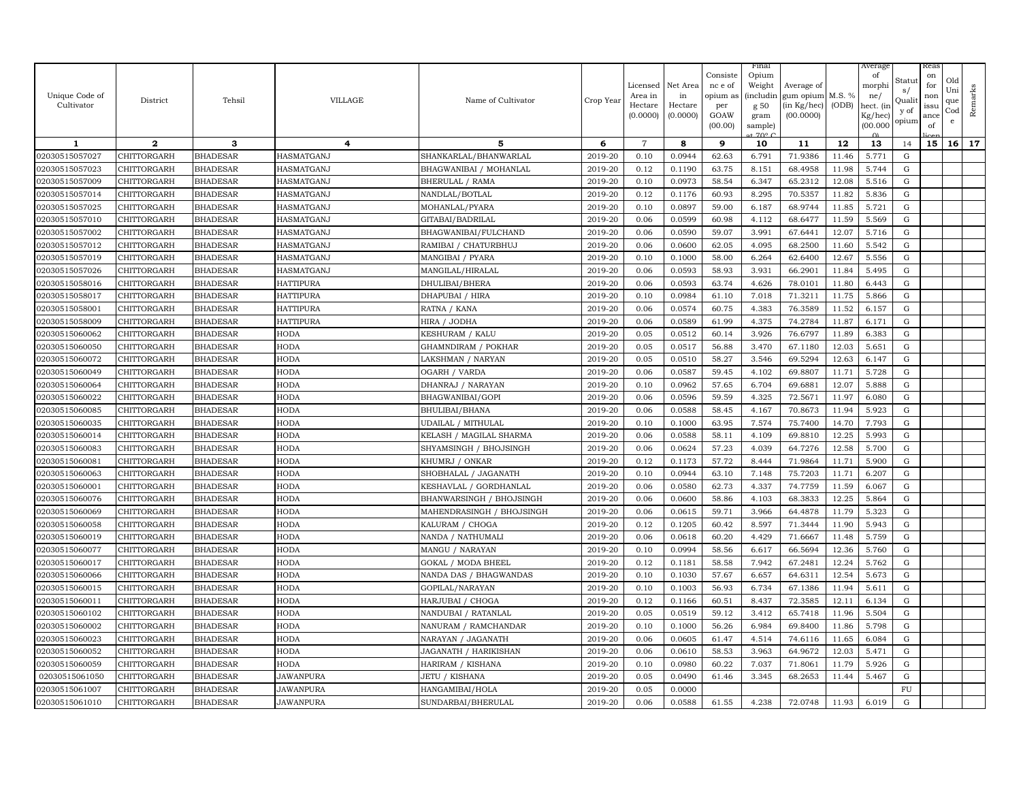| Unique Code of<br>Cultivator | District       | Tehsil          | VILLAGE           | Name of Cultivator        | Crop Year | Licensed<br>Area in<br>Hectare<br>(0.0000) | Net Area<br>in<br>Hectare<br>(0.0000) | Consiste<br>nc e of<br>opium as<br>per<br>GOAW<br>(00.00) | Final<br>Opium<br>Weight<br><i>(includin</i><br>g 50<br>gram<br>sample)<br>$70^\circ$ | Average of<br>gum opium M.S. %<br>(in Kg/hec)<br>(00.0000) | (ODB) | Averag<br>of<br>morphi<br>ne/<br>hect. (in<br>Kg/hec<br>(00.000) | Statut<br>s/<br>Quali<br>y of<br>opium | on<br>for<br>nor<br>isst<br>ance<br>of | Old<br>Uni<br>que<br>Cod | Remarks |
|------------------------------|----------------|-----------------|-------------------|---------------------------|-----------|--------------------------------------------|---------------------------------------|-----------------------------------------------------------|---------------------------------------------------------------------------------------|------------------------------------------------------------|-------|------------------------------------------------------------------|----------------------------------------|----------------------------------------|--------------------------|---------|
| -1                           | $\overline{2}$ | з               | 4                 | 5                         | 6         | $\overline{7}$                             | 8                                     | 9                                                         | 10                                                                                    | 11                                                         | 12    | 13                                                               | 14                                     | 15                                     | 16 <sup>1</sup>          | 17      |
| 02030515057027               | CHITTORGARH    | <b>BHADESAR</b> | <b>HASMATGANJ</b> | SHANKARLAL/BHANWARLAL     | 2019-20   | 0.10                                       | 0.0944                                | 62.63                                                     | 6.791                                                                                 | 71.9386                                                    | 11.46 | 5.771                                                            | G                                      |                                        |                          |         |
| 02030515057023               | CHITTORGARH    | <b>BHADESAR</b> | HASMATGANJ        | BHAGWANIBAI / MOHANLAL    | 2019-20   | 0.12                                       | 0.1190                                | 63.75                                                     | 8.151                                                                                 | 68.4958                                                    | 11.98 | 5.744                                                            | G                                      |                                        |                          |         |
| 02030515057009               | CHITTORGARH    | <b>BHADESAR</b> | HASMATGANJ        | <b>BHERULAL / RAMA</b>    | 2019-20   | 0.10                                       | 0.0973                                | 58.54                                                     | 6.347                                                                                 | 65.2312                                                    | 12.08 | 5.516                                                            | G                                      |                                        |                          |         |
| 02030515057014               | CHITTORGARH    | <b>BHADESAR</b> | HASMATGANJ        | NANDLAL/BOTLAL            | 2019-20   | 0.12                                       | 0.1176                                | 60.93                                                     | 8.295                                                                                 | 70.5357                                                    | 11.82 | 5.836                                                            | ${\rm G}$                              |                                        |                          |         |
| 02030515057025               | CHITTORGARH    | <b>BHADESAR</b> | HASMATGANJ        | MOHANLAL/PYARA            | 2019-20   | 0.10                                       | 0.0897                                | 59.00                                                     | 6.187                                                                                 | 68.9744                                                    | 11.85 | 5.721                                                            | G                                      |                                        |                          |         |
| 02030515057010               | CHITTORGARH    | <b>BHADESAR</b> | HASMATGANJ        | GITABAI/BADRILAL          | 2019-20   | 0.06                                       | 0.0599                                | 60.98                                                     | 4.112                                                                                 | 68.6477                                                    | 11.59 | 5.569                                                            | G                                      |                                        |                          |         |
| 02030515057002               | CHITTORGARH    | <b>BHADESAR</b> | HASMATGANJ        | BHAGWANIBAI/FULCHAND      | 2019-20   | 0.06                                       | 0.0590                                | 59.07                                                     | 3.991                                                                                 | 67.6441                                                    | 12.07 | 5.716                                                            | ${\rm G}$                              |                                        |                          |         |
| 02030515057012               | CHITTORGARH    | <b>BHADESAR</b> | HASMATGANJ        | RAMIBAI / CHATURBHUJ      | 2019-20   | 0.06                                       | 0.0600                                | 62.05                                                     | 4.095                                                                                 | 68.2500                                                    | 11.60 | 5.542                                                            | G                                      |                                        |                          |         |
| 02030515057019               | CHITTORGARH    | <b>BHADESAR</b> | HASMATGANJ        | MANGIBAI / PYARA          | 2019-20   | 0.10                                       | 0.1000                                | 58.00                                                     | 6.264                                                                                 | 62.6400                                                    | 12.67 | 5.556                                                            | ${\rm G}$                              |                                        |                          |         |
| 02030515057026               | CHITTORGARH    | <b>BHADESAR</b> | HASMATGANJ        | MANGILAL/HIRALAL          | 2019-20   | 0.06                                       | 0.0593                                | 58.93                                                     | 3.931                                                                                 | 66.2901                                                    | 11.84 | 5.495                                                            | G                                      |                                        |                          |         |
| 02030515058016               | CHITTORGARH    | <b>BHADESAR</b> | HATTIPURA         | DHULIBAI/BHERA            | 2019-20   | 0.06                                       | 0.0593                                | 63.74                                                     | 4.626                                                                                 | 78.0101                                                    | 11.80 | 6.443                                                            | G                                      |                                        |                          |         |
| 02030515058017               | CHITTORGARH    | <b>BHADESAR</b> | HATTIPURA         | DHAPUBAI / HIRA           | 2019-20   | 0.10                                       | 0.0984                                | 61.10                                                     | 7.018                                                                                 | 71.3211                                                    | 11.75 | 5.866                                                            | ${\rm G}$                              |                                        |                          |         |
| 02030515058001               | CHITTORGARH    | <b>BHADESAR</b> | HATTIPURA         | RATNA / KANA              | 2019-20   | 0.06                                       | 0.0574                                | 60.75                                                     | 4.383                                                                                 | 76.3589                                                    | 11.52 | 6.157                                                            | ${\rm G}$                              |                                        |                          |         |
| 02030515058009               | CHITTORGARH    | <b>BHADESAR</b> | HATTIPURA         | HIRA / JODHA              | 2019-20   | 0.06                                       | 0.0589                                | 61.99                                                     | 4.375                                                                                 | 74.2784                                                    | 11.87 | 6.171                                                            | G                                      |                                        |                          |         |
| 02030515060062               | CHITTORGARH    | <b>BHADESAR</b> | HODA              | KESHURAM / KALU           | 2019-20   | 0.05                                       | 0.0512                                | 60.14                                                     | 3.926                                                                                 | 76.6797                                                    | 11.89 | 6.383                                                            | ${\rm G}$                              |                                        |                          |         |
| 02030515060050               | CHITTORGARH    | <b>BHADESAR</b> | HODA              | GHAMNDIRAM / POKHAR       | 2019-20   | 0.05                                       | 0.0517                                | 56.88                                                     | 3.470                                                                                 | 67.1180                                                    | 12.03 | 5.651                                                            | ${\rm G}$                              |                                        |                          |         |
| 02030515060072               | CHITTORGARH    | <b>BHADESAR</b> | HODA              | LAKSHMAN / NARYAN         | 2019-20   | 0.05                                       | 0.0510                                | 58.27                                                     | 3.546                                                                                 | 69.5294                                                    | 12.63 | 6.147                                                            | G                                      |                                        |                          |         |
| 02030515060049               | CHITTORGARH    | <b>BHADESAR</b> | HODA              | OGARH / VARDA             | 2019-20   | 0.06                                       | 0.0587                                | 59.45                                                     | 4.102                                                                                 | 69.8807                                                    | 11.71 | 5.728                                                            | G                                      |                                        |                          |         |
| 02030515060064               | CHITTORGARH    | <b>BHADESAR</b> | HODA              | DHANRAJ / NARAYAN         | 2019-20   | 0.10                                       | 0.0962                                | 57.65                                                     | 6.704                                                                                 | 69.6881                                                    | 12.07 | 5.888                                                            | ${\rm G}$                              |                                        |                          |         |
| 02030515060022               | CHITTORGARH    | <b>BHADESAR</b> | HODA              | BHAGWANIBAI/GOPI          | 2019-20   | 0.06                                       | 0.0596                                | 59.59                                                     | 4.325                                                                                 | 72.5671                                                    | 11.97 | 6.080                                                            | ${\bf G}$                              |                                        |                          |         |
| 02030515060085               | CHITTORGARH    | <b>BHADESAR</b> | HODA              | BHULIBAI/BHANA            | 2019-20   | 0.06                                       | 0.0588                                | 58.45                                                     | 4.167                                                                                 | 70.8673                                                    | 11.94 | 5.923                                                            | G                                      |                                        |                          |         |
| 02030515060035               | CHITTORGARH    | <b>BHADESAR</b> | HODA              | UDAILAL / MITHULAL        | 2019-20   | 0.10                                       | 0.1000                                | 63.95                                                     | 7.574                                                                                 | 75.7400                                                    | 14.70 | 7.793                                                            | G                                      |                                        |                          |         |
| 02030515060014               | CHITTORGARH    | <b>BHADESAR</b> | HODA              | KELASH / MAGILAL SHARMA   | 2019-20   | 0.06                                       | 0.0588                                | 58.11                                                     | 4.109                                                                                 | 69.8810                                                    | 12.25 | 5.993                                                            | G                                      |                                        |                          |         |
| 02030515060083               | CHITTORGARH    | <b>BHADESAR</b> | HODA              | SHYAMSINGH / BHOJSINGH    | 2019-20   | 0.06                                       | 0.0624                                | 57.23                                                     | 4.039                                                                                 | 64.7276                                                    | 12.58 | 5.700                                                            | ${\rm G}$                              |                                        |                          |         |
| 02030515060081               | CHITTORGARH    | <b>BHADESAR</b> | HODA              | KHUMRJ / ONKAR            | 2019-20   | 0.12                                       | 0.1173                                | 57.72                                                     | 8.444                                                                                 | 71.9864                                                    | 11.71 | 5.900                                                            | ${\rm G}$                              |                                        |                          |         |
| 02030515060063               | CHITTORGARH    | <b>BHADESAR</b> | HODA              | SHOBHALAL / JAGANATH      | 2019-20   | 0.10                                       | 0.0944                                | 63.10                                                     | 7.148                                                                                 | 75.7203                                                    | 11.71 | 6.207                                                            | G                                      |                                        |                          |         |
| 02030515060001               | CHITTORGARH    | <b>BHADESAR</b> | HODA              | KESHAVLAL / GORDHANLAL    | 2019-20   | 0.06                                       | 0.0580                                | 62.73                                                     | 4.337                                                                                 | 74.7759                                                    | 11.59 | 6.067                                                            | ${\rm G}$                              |                                        |                          |         |
| 02030515060076               | CHITTORGARH    | <b>BHADESAR</b> | HODA              | BHANWARSINGH / BHOJSINGH  | 2019-20   | 0.06                                       | 0.0600                                | 58.86                                                     | 4.103                                                                                 | 68.3833                                                    | 12.25 | 5.864                                                            | ${\rm G}$                              |                                        |                          |         |
| 02030515060069               | CHITTORGARH    | <b>BHADESAR</b> | HODA              | MAHENDRASINGH / BHOJSINGH | 2019-20   | 0.06                                       | 0.0615                                | 59.71                                                     | 3.966                                                                                 | 64.4878                                                    | 11.79 | 5.323                                                            | G                                      |                                        |                          |         |
| 02030515060058               | CHITTORGARH    | <b>BHADESAR</b> | HODA              | KALURAM / CHOGA           | 2019-20   | 0.12                                       | 0.1205                                | 60.42                                                     | 8.597                                                                                 | 71.3444                                                    | 11.90 | 5.943                                                            | $\mathbf G$                            |                                        |                          |         |
| 02030515060019               | CHITTORGARH    | <b>BHADESAR</b> | HODA              | NANDA / NATHUMALI         | 2019-20   | 0.06                                       | 0.0618                                | 60.20                                                     | 4.429                                                                                 | 71.6667                                                    | 11.48 | 5.759                                                            | ${\rm G}$                              |                                        |                          |         |
| 02030515060077               | CHITTORGARH    | <b>BHADESAR</b> | HODA              | MANGU / NARAYAN           | 2019-20   | 0.10                                       | 0.0994                                | 58.56                                                     | 6.617                                                                                 | 66.5694                                                    | 12.36 | 5.760                                                            | ${\rm G}$                              |                                        |                          |         |
| 02030515060017               | CHITTORGARH    | <b>BHADESAR</b> | HODA              | <b>GOKAL / MODA BHEEL</b> | 2019-20   | 0.12                                       | 0.1181                                | 58.58                                                     | 7.942                                                                                 | 67.2481                                                    | 12.24 | 5.762                                                            | $\mathbf G$                            |                                        |                          |         |
| 02030515060066               | CHITTORGARH    | <b>BHADESAR</b> | HODA              | NANDA DAS / BHAGWANDAS    | 2019-20   | 0.10                                       | 0.1030                                | 57.67                                                     | 6.657                                                                                 | 64.6311                                                    | 12.54 | 5.673                                                            | G                                      |                                        |                          |         |
| 02030515060015               | CHITTORGARH    | <b>BHADESAR</b> | HODA              | GOPILAL/NARAYAN           | 2019-20   | 0.10                                       | 0.1003                                | 56.93                                                     | 6.734                                                                                 | 67.1386                                                    | 11.94 | 5.611                                                            | ${\rm G}$                              |                                        |                          |         |
| 02030515060011               | CHITTORGARH    | <b>BHADESAR</b> | HODA              | HARJUBAI / CHOGA          | 2019-20   | 0.12                                       | 0.1166                                | 60.51                                                     | 8.437                                                                                 | 72.3585                                                    | 12.11 | 6.134                                                            | G                                      |                                        |                          |         |
| 02030515060102               | CHITTORGARH    | <b>BHADESAR</b> | HODA              | NANDUBAI / RATANLAL       | 2019-20   | 0.05                                       | 0.0519                                | 59.12                                                     | 3.412                                                                                 | 65.7418                                                    | 11.96 | 5.504                                                            | G                                      |                                        |                          |         |
| 02030515060002               | CHITTORGARH    | <b>BHADESAR</b> | HODA              | NANURAM / RAMCHANDAR      | 2019-20   | 0.10                                       | 0.1000                                | 56.26                                                     | 6.984                                                                                 | 69.8400                                                    | 11.86 | 5.798                                                            | G                                      |                                        |                          |         |
| 02030515060023               | CHITTORGARH    | <b>BHADESAR</b> | HODA              | NARAYAN / JAGANATH        | 2019-20   | 0.06                                       | 0.0605                                | 61.47                                                     | 4.514                                                                                 | 74.6116                                                    | 11.65 | 6.084                                                            | G                                      |                                        |                          |         |
| 02030515060052               | CHITTORGARH    | <b>BHADESAR</b> | HODA              | JAGANATH / HARIKISHAN     | 2019-20   | 0.06                                       | 0.0610                                | 58.53                                                     | 3.963                                                                                 | 64.9672                                                    | 12.03 | 5.471                                                            | G                                      |                                        |                          |         |
| 02030515060059               | CHITTORGARH    | <b>BHADESAR</b> | HODA              | HARIRAM / KISHANA         | 2019-20   | 0.10                                       | 0.0980                                | 60.22                                                     | 7.037                                                                                 | 71.8061                                                    | 11.79 | 5.926                                                            | G                                      |                                        |                          |         |
| 02030515061050               | CHITTORGARH    | <b>BHADESAR</b> | JAWANPURA         | JETU / KISHANA            | 2019-20   | 0.05                                       | 0.0490                                | 61.46                                                     | 3.345                                                                                 | 68.2653                                                    | 11.44 | 5.467                                                            | ${\rm G}$                              |                                        |                          |         |
| 02030515061007               | CHITTORGARH    | <b>BHADESAR</b> | <b>JAWANPURA</b>  | HANGAMIBAI/HOLA           | 2019-20   | 0.05                                       | 0.0000                                |                                                           |                                                                                       |                                                            |       |                                                                  | ${\rm FU}$                             |                                        |                          |         |
| 02030515061010               | CHITTORGARH    | <b>BHADESAR</b> | <b>JAWANPURA</b>  | SUNDARBAI/BHERULAL        | 2019-20   | 0.06                                       | 0.0588                                | 61.55                                                     | 4.238                                                                                 | 72.0748                                                    | 11.93 | 6.019                                                            | ${\rm G}$                              |                                        |                          |         |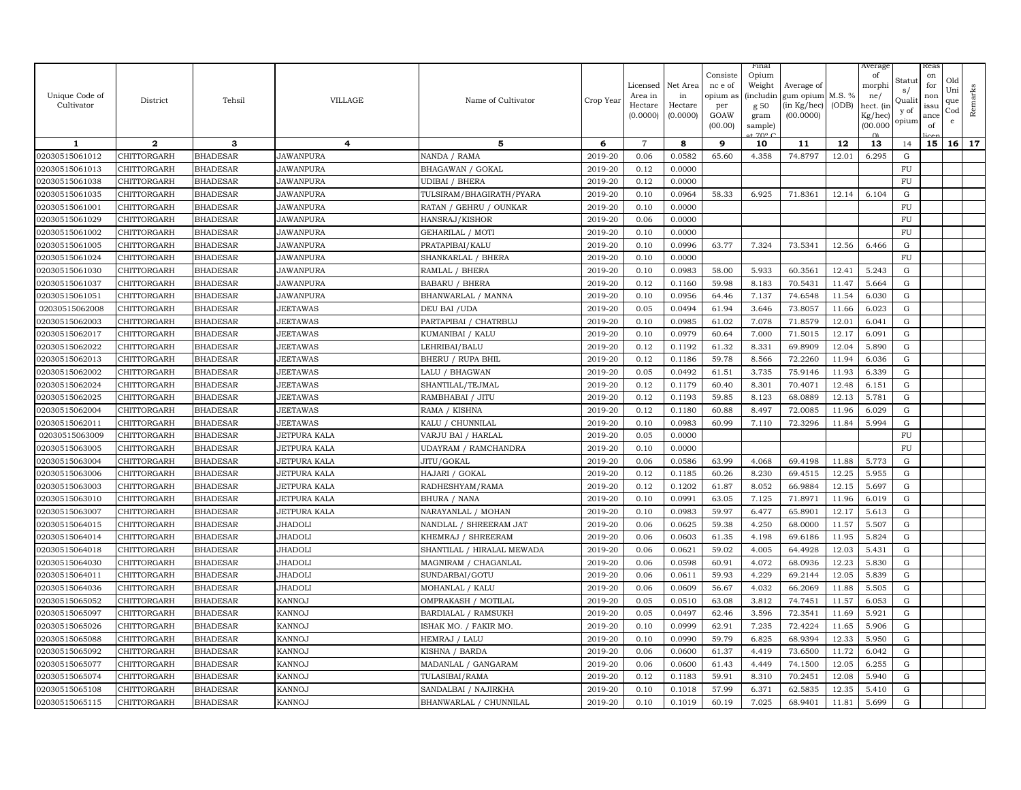| Unique Code of<br>Cultivator | District     | Tehsil          | VILLAGE             | Name of Cultivator         | Crop Year | Licensed<br>Area in<br>Hectare<br>(0.0000) | Net Area<br>in<br>Hectare<br>(0.0000) | Consiste<br>nc e of<br>opium as<br>per<br>GOAW<br>(00.00) | Final<br>Opium<br>Weight<br><i>(includin</i><br>g 50<br>gram<br>sample]<br>70° | Average of<br>gum opium M.S. %<br>(in Kg/hec)<br>(00.0000) | (ODB) | <b>Averag</b><br>of<br>morphi<br>ne/<br>aect. (ir<br>Kg/hec)<br>(00.000) | Statu<br>s/<br>Quali<br>y of<br>opium | on<br>for<br>noi<br>isst<br>ance<br>of | Old<br>Uni<br>que<br>∠od | Remarks |
|------------------------------|--------------|-----------------|---------------------|----------------------------|-----------|--------------------------------------------|---------------------------------------|-----------------------------------------------------------|--------------------------------------------------------------------------------|------------------------------------------------------------|-------|--------------------------------------------------------------------------|---------------------------------------|----------------------------------------|--------------------------|---------|
| 1                            | $\mathbf{2}$ | 3               | 4                   | 5                          | 6         | $\overline{7}$                             | 8                                     | 9                                                         | 10                                                                             | 11                                                         | 12    | 13                                                                       | 14                                    | 15                                     | 16                       | 17      |
| 02030515061012               | CHITTORGARH  | <b>BHADESAR</b> | <b>JAWANPURA</b>    | NANDA / RAMA               | 2019-20   | 0.06                                       | 0.0582                                | 65.60                                                     | 4.358                                                                          | 74.8797                                                    | 12.01 | 6.295                                                                    | $\mathbf G$                           |                                        |                          |         |
| 02030515061013               | CHITTORGARH  | <b>BHADESAR</b> | <b>JAWANPURA</b>    | BHAGAWAN / GOKAL           | 2019-20   | 0.12                                       | 0.0000                                |                                                           |                                                                                |                                                            |       |                                                                          | FU                                    |                                        |                          |         |
| 02030515061038               | CHITTORGARH  | <b>BHADESAR</b> | <b>JAWANPURA</b>    | UDIBAI / BHERA             | 2019-20   | 0.12                                       | 0.0000                                |                                                           |                                                                                |                                                            |       |                                                                          | ${\rm FU}$                            |                                        |                          |         |
| 02030515061035               | CHITTORGARH  | <b>BHADESAR</b> | <b>JAWANPURA</b>    | TULSIRAM/BHAGIRATH/PYARA   | 2019-20   | 0.10                                       | 0.0964                                | 58.33                                                     | 6.925                                                                          | 71.8361                                                    | 12.14 | 6.104                                                                    | ${\rm G}$                             |                                        |                          |         |
| 02030515061001               | CHITTORGARH  | <b>BHADESAR</b> | <b>JAWANPURA</b>    | RATAN / GEHRU / OUNKAR     | 2019-20   | 0.10                                       | 0.0000                                |                                                           |                                                                                |                                                            |       |                                                                          | FU                                    |                                        |                          |         |
| 02030515061029               | CHITTORGARH  | <b>BHADESAR</b> | <b>JAWANPURA</b>    | HANSRAJ/KISHOR             | 2019-20   | 0.06                                       | 0.0000                                |                                                           |                                                                                |                                                            |       |                                                                          | FU                                    |                                        |                          |         |
| 02030515061002               | CHITTORGARH  | <b>BHADESAR</b> | JAWANPURA           | GEHARILAL / MOTI           | 2019-20   | 0.10                                       | 0.0000                                |                                                           |                                                                                |                                                            |       |                                                                          | ${\rm FU}$                            |                                        |                          |         |
| 02030515061005               | CHITTORGARH  | <b>BHADESAR</b> | <b>JAWANPURA</b>    | PRATAPIBAI/KALU            | 2019-20   | 0.10                                       | 0.0996                                | 63.77                                                     | 7.324                                                                          | 73.5341                                                    | 12.56 | 6.466                                                                    | G                                     |                                        |                          |         |
| 02030515061024               | CHITTORGARH  | <b>BHADESAR</b> | <b>JAWANPURA</b>    | SHANKARLAL / BHERA         | 2019-20   | 0.10                                       | 0.0000                                |                                                           |                                                                                |                                                            |       |                                                                          | ${\rm FU}$                            |                                        |                          |         |
| 02030515061030               | CHITTORGARH  | <b>BHADESAR</b> | <b>JAWANPURA</b>    | RAMLAL / BHERA             | 2019-20   | 0.10                                       | 0.0983                                | 58.00                                                     | 5.933                                                                          | 60.3561                                                    | 12.41 | 5.243                                                                    | G                                     |                                        |                          |         |
| 02030515061037               | CHITTORGARH  | <b>BHADESAR</b> | <b>JAWANPURA</b>    | <b>BABARU / BHERA</b>      | 2019-20   | 0.12                                       | 0.1160                                | 59.98                                                     | 8.183                                                                          | 70.5431                                                    | 11.47 | 5.664                                                                    | G                                     |                                        |                          |         |
| 02030515061051               | CHITTORGARH  | <b>BHADESAR</b> | <b>JAWANPURA</b>    | BHANWARLAL / MANNA         | 2019-20   | 0.10                                       | 0.0956                                | 64.46                                                     | 7.137                                                                          | 74.6548                                                    | 11.54 | 6.030                                                                    | ${\rm G}$                             |                                        |                          |         |
| 02030515062008               | CHITTORGARH  | <b>BHADESAR</b> | <b>JEETAWAS</b>     | DEU BAI / UDA              | 2019-20   | 0.05                                       | 0.0494                                | 61.94                                                     | 3.646                                                                          | 73.8057                                                    | 11.66 | 6.023                                                                    | ${\rm G}$                             |                                        |                          |         |
| 02030515062003               | CHITTORGARH  | <b>BHADESAR</b> | <b>JEETAWAS</b>     | PARTAPIBAI / CHATRBUJ      | 2019-20   | 0.10                                       | 0.0985                                | 61.02                                                     | 7.078                                                                          | 71.8579                                                    | 12.01 | 6.041                                                                    | G                                     |                                        |                          |         |
| 02030515062017               | CHITTORGARH  | BHADESAR        | <b>JEETAWAS</b>     | KUMANIBAI / KALU           | 2019-20   | 0.10                                       | 0.0979                                | 60.64                                                     | 7.000                                                                          | 71.5015                                                    | 12.17 | 6.091                                                                    | ${\rm G}$                             |                                        |                          |         |
| 02030515062022               | CHITTORGARH  | <b>BHADESAR</b> | <b>JEETAWAS</b>     | LEHRIBAI/BALU              | 2019-20   | 0.12                                       | 0.1192                                | 61.32                                                     | 8.331                                                                          | 69.8909                                                    | 12.04 | 5.890                                                                    | ${\rm G}$                             |                                        |                          |         |
| 02030515062013               | CHITTORGARH  | <b>BHADESAR</b> | <b>JEETAWAS</b>     | BHERU / RUPA BHIL          | 2019-20   | 0.12                                       | 0.1186                                | 59.78                                                     | 8.566                                                                          | 72.2260                                                    | 11.94 | 6.036                                                                    | ${\rm G}$                             |                                        |                          |         |
| 02030515062002               | CHITTORGARH  | <b>BHADESAR</b> | <b>JEETAWAS</b>     | LALU / BHAGWAN             | 2019-20   | 0.05                                       | 0.0492                                | 61.51                                                     | 3.735                                                                          | 75.9146                                                    | 11.93 | 6.339                                                                    | G                                     |                                        |                          |         |
| 02030515062024               | CHITTORGARH  | <b>BHADESAR</b> | <b>JEETAWAS</b>     | SHANTILAL/TEJMAL           | 2019-20   | 0.12                                       | 0.1179                                | 60.40                                                     | 8.301                                                                          | 70.4071                                                    | 12.48 | 6.151                                                                    | ${\rm G}$                             |                                        |                          |         |
| 02030515062025               | CHITTORGARH  | <b>BHADESAR</b> | <b>JEETAWAS</b>     | RAMBHABAI / JITU           | 2019-20   | 0.12                                       | 0.1193                                | 59.85                                                     | 8.123                                                                          | 68.0889                                                    | 12.13 | 5.781                                                                    | G                                     |                                        |                          |         |
| 02030515062004               | CHITTORGARH  | <b>BHADESAR</b> | <b>JEETAWAS</b>     | RAMA / KISHNA              | 2019-20   | 0.12                                       | 0.1180                                | 60.88                                                     | 8.497                                                                          | 72.0085                                                    | 11.96 | 6.029                                                                    | G                                     |                                        |                          |         |
| 02030515062011               | CHITTORGARH  | <b>BHADESAR</b> | <b>JEETAWAS</b>     | KALU / CHUNNILAL           | 2019-20   | 0.10                                       | 0.0983                                | 60.99                                                     | 7.110                                                                          | 72.3296                                                    | 11.84 | 5.994                                                                    | G                                     |                                        |                          |         |
| 02030515063009               | CHITTORGARH  | BHADESAR        | JETPURA KALA        | VARJU BAI / HARLAL         | 2019-20   | 0.05                                       | 0.0000                                |                                                           |                                                                                |                                                            |       |                                                                          | FU                                    |                                        |                          |         |
| 02030515063005               | CHITTORGARH  | <b>BHADESAR</b> | JETPURA KALA        | UDAYRAM / RAMCHANDRA       | 2019-20   | 0.10                                       | 0.0000                                |                                                           |                                                                                |                                                            |       |                                                                          | ${\rm FU}$                            |                                        |                          |         |
| 02030515063004               | CHITTORGARH  | <b>BHADESAR</b> | <b>JETPURA KALA</b> | JITU/GOKAL                 | 2019-20   | 0.06                                       | 0.0586                                | 63.99                                                     | 4.068                                                                          | 69.4198                                                    | 11.88 | 5.773                                                                    | G                                     |                                        |                          |         |
| 02030515063006               | CHITTORGARH  | <b>BHADESAR</b> | JETPURA KALA        | HAJARI / GOKAL             | 2019-20   | 0.12                                       | 0.1185                                | 60.26                                                     | 8.230                                                                          | 69.4515                                                    | 12.25 | 5.955                                                                    | G                                     |                                        |                          |         |
| 02030515063003               | CHITTORGARH  | <b>BHADESAR</b> | JETPURA KALA        | RADHESHYAM/RAMA            | 2019-20   | 0.12                                       | 0.1202                                | 61.87                                                     | 8.052                                                                          | 66.9884                                                    | 12.15 | 5.697                                                                    | ${\rm G}$                             |                                        |                          |         |
| 02030515063010               | CHITTORGARH  | <b>BHADESAR</b> | <b>JETPURA KALA</b> | <b>BHURA / NANA</b>        | 2019-20   | 0.10                                       | 0.0991                                | 63.05                                                     | 7.125                                                                          | 71.8971                                                    | 11.96 | 6.019                                                                    | ${\rm G}$                             |                                        |                          |         |
| 02030515063007               | CHITTORGARH  | <b>BHADESAR</b> | JETPURA KALA        | NARAYANLAL / MOHAN         | 2019-20   | 0.10                                       | 0.0983                                | 59.97                                                     | 6.477                                                                          | 65.8901                                                    | 12.17 | 5.613                                                                    | G                                     |                                        |                          |         |
| 02030515064015               | CHITTORGARH  | <b>BHADESAR</b> | JHADOLI             | NANDLAL / SHREERAM JAT     | 2019-20   | 0.06                                       | 0.0625                                | 59.38                                                     | 4.250                                                                          | 68.0000                                                    | 11.57 | 5.507                                                                    | G                                     |                                        |                          |         |
| 02030515064014               | CHITTORGARH  | <b>BHADESAR</b> | <b>JHADOLI</b>      | KHEMRAJ / SHREERAM         | 2019-20   | 0.06                                       | 0.0603                                | 61.35                                                     | 4.198                                                                          | 69.6186                                                    | 11.95 | 5.824                                                                    | ${\rm G}$                             |                                        |                          |         |
| 02030515064018               | CHITTORGARH  | <b>BHADESAR</b> | <b>JHADOLI</b>      | SHANTILAL / HIRALAL MEWADA | 2019-20   | 0.06                                       | 0.0621                                | 59.02                                                     | 4.005                                                                          | 64.4928                                                    | 12.03 | 5.431                                                                    | ${\rm G}$                             |                                        |                          |         |
| 02030515064030               | CHITTORGARH  | <b>BHADESAR</b> | <b>JHADOLI</b>      | MAGNIRAM / CHAGANLAL       | 2019-20   | 0.06                                       | 0.0598                                | 60.91                                                     | 4.072                                                                          | 68.0936                                                    | 12.23 | 5.830                                                                    | G                                     |                                        |                          |         |
| 02030515064011               | CHITTORGARH  | <b>BHADESAR</b> | JHADOLI             | SUNDARBAI/GOTU             | 2019-20   | 0.06                                       | 0.0611                                | 59.93                                                     | 4.229                                                                          | 69.2144                                                    | 12.05 | 5.839                                                                    | G                                     |                                        |                          |         |
| 02030515064036               | CHITTORGARH  | <b>BHADESAR</b> | <b>JHADOLI</b>      | MOHANLAL / KALU            | 2019-20   | 0.06                                       | 0.0609                                | 56.67                                                     | 4.032                                                                          | 66.2069                                                    | 11.88 | 5.505                                                                    | $\mathbf G$                           |                                        |                          |         |
| 02030515065052               | CHITTORGARH  | <b>BHADESAR</b> | KANNOJ              | OMPRAKASH / MOTILAL        | 2019-20   | 0.05                                       | 0.0510                                | 63.08                                                     | 3.812                                                                          | 74.7451                                                    | 11.57 | 6.053                                                                    | G                                     |                                        |                          |         |
| 02030515065097               | CHITTORGARH  | <b>BHADESAR</b> | KANNOJ              | <b>BARDIALAL / RAMSUKH</b> | 2019-20   | 0.05                                       | 0.0497                                | 62.46                                                     | 3.596                                                                          | 72.3541                                                    | 11.69 | 5.921                                                                    | G                                     |                                        |                          |         |
| 02030515065026               | CHITTORGARH  | <b>BHADESAR</b> | KANNOJ              | ISHAK MO. / FAKIR MO.      | 2019-20   | 0.10                                       | 0.0999                                | 62.91                                                     | 7.235                                                                          | 72.4224                                                    | 11.65 | 5.906                                                                    | G                                     |                                        |                          |         |
| 02030515065088               | CHITTORGARH  | <b>BHADESAR</b> | KANNOJ              | HEMRAJ / LALU              | 2019-20   | 0.10                                       | 0.0990                                | 59.79                                                     | 6.825                                                                          | 68.9394                                                    | 12.33 | 5.950                                                                    | G                                     |                                        |                          |         |
| 02030515065092               | CHITTORGARH  | <b>BHADESAR</b> | KANNOJ              | KISHNA / BARDA             | 2019-20   | 0.06                                       | 0.0600                                | 61.37                                                     | 4.419                                                                          | 73.6500                                                    | 11.72 | 6.042                                                                    | G                                     |                                        |                          |         |
| 02030515065077               | CHITTORGARH  | <b>BHADESAR</b> | KANNOJ              | MADANLAL / GANGARAM        | 2019-20   | 0.06                                       | 0.0600                                | 61.43                                                     | 4.449                                                                          | 74.1500                                                    | 12.05 | 6.255                                                                    | G                                     |                                        |                          |         |
| 02030515065074               | CHITTORGARH  | BHADESAR        | KANNOJ              | TULASIBAI/RAMA             | 2019-20   | 0.12                                       | 0.1183                                | 59.91                                                     | 8.310                                                                          | 70.2451                                                    | 12.08 | 5.940                                                                    | G                                     |                                        |                          |         |
| 02030515065108               | CHITTORGARH  | <b>BHADESAR</b> | KANNOJ              | SANDALBAI / NAJIRKHA       | 2019-20   | 0.10                                       | 0.1018                                | 57.99                                                     | 6.371                                                                          | 62.5835                                                    | 12.35 | 5.410                                                                    | ${\rm G}$                             |                                        |                          |         |
| 02030515065115               | CHITTORGARH  | <b>BHADESAR</b> | KANNOJ              | BHANWARLAL / CHUNNILAL     | 2019-20   | 0.10                                       | 0.1019                                | 60.19                                                     | 7.025                                                                          | 68.9401                                                    | 11.81 | 5.699                                                                    | ${\rm G}$                             |                                        |                          |         |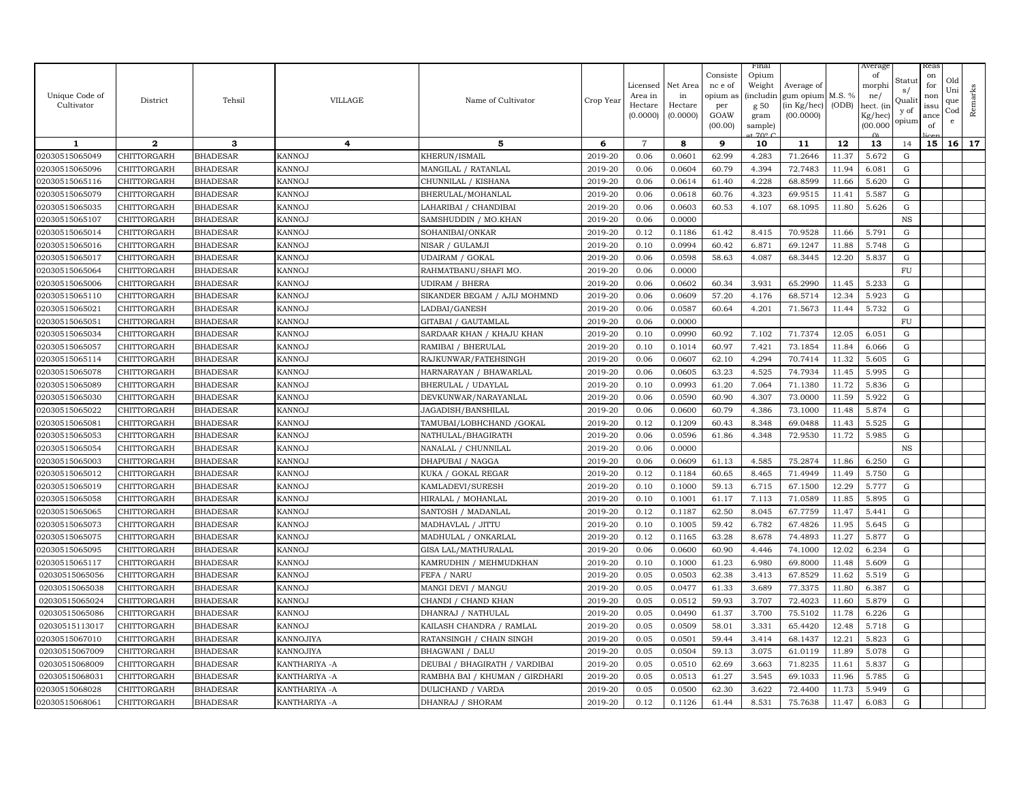| Unique Code of<br>Cultivator | District     | Tehsil          | VILLAGE        | Name of Cultivator             | Crop Year | Licensed<br>Area in<br>Hectare<br>(0.0000) | Net Area<br>in<br>Hectare<br>(0.0000) | Consiste<br>nc e of<br>opium as<br>per<br>GOAW<br>(00.00) | Final<br>Opium<br>Weight<br><i>(includin</i><br>g 50<br>gram<br>sample)<br>$70^\circ$ | Average of<br>gum opium<br>(in Kg/hec)<br>(00.0000) | M.S. %<br>(ODB) | Averag<br>of<br>morphi<br>ne/<br>hect. (in<br>$Kg/$ hec<br>(00.000) | Statu<br>s/<br>Quali<br>y of<br>opium | on<br>for<br>noi<br>isst<br>ance<br>of | Old<br>Uni<br>que | Remarks |
|------------------------------|--------------|-----------------|----------------|--------------------------------|-----------|--------------------------------------------|---------------------------------------|-----------------------------------------------------------|---------------------------------------------------------------------------------------|-----------------------------------------------------|-----------------|---------------------------------------------------------------------|---------------------------------------|----------------------------------------|-------------------|---------|
| 1                            | $\mathbf{2}$ | з               | 4              | 5                              | 6         | $\overline{7}$                             | 8                                     | 9                                                         | 10                                                                                    | 11                                                  | 12              | 13                                                                  | 14                                    | 15                                     | 16 <sup>1</sup>   | 17      |
| 02030515065049               | CHITTORGARH  | <b>BHADESAR</b> | KANNOJ         | KHERUN/ISMAIL                  | 2019-20   | 0.06                                       | 0.0601                                | 62.99                                                     | 4.283                                                                                 | 71.2646                                             | 11.37           | 5.672                                                               | G                                     |                                        |                   |         |
| 02030515065096               | CHITTORGARH  | <b>BHADESAR</b> | KANNOJ         | MANGILAL / RATANLAL            | 2019-20   | 0.06                                       | 0.0604                                | 60.79                                                     | 4.394                                                                                 | 72.7483                                             | 11.94           | 6.081                                                               | G                                     |                                        |                   |         |
| 02030515065116               | CHITTORGARH  | <b>BHADESAR</b> | KANNOJ         | CHUNNILAL / KISHANA            | 2019-20   | 0.06                                       | 0.0614                                | 61.40                                                     | 4.228                                                                                 | 68.8599                                             | 11.66           | 5.620                                                               | G                                     |                                        |                   |         |
| 02030515065079               | CHITTORGARH  | <b>BHADESAR</b> | KANNOJ         | BHERULAL/MOHANLAL              | 2019-20   | 0.06                                       | 0.0618                                | 60.76                                                     | 4.323                                                                                 | 69.9515                                             | 11.41           | 5.587                                                               | ${\rm G}$                             |                                        |                   |         |
| 02030515065035               | CHITTORGARH  | <b>BHADESAR</b> | KANNOJ         | LAHARIBAI / CHANDIBAI          | 2019-20   | 0.06                                       | 0.0603                                | 60.53                                                     | 4.107                                                                                 | 68.1095                                             | 11.80           | 5.626                                                               | ${\rm G}$                             |                                        |                   |         |
| 02030515065107               | CHITTORGARH  | <b>BHADESAR</b> | KANNOJ         | SAMSHUDDIN / MO.KHAN           | 2019-20   | 0.06                                       | 0.0000                                |                                                           |                                                                                       |                                                     |                 |                                                                     | NS                                    |                                        |                   |         |
| 02030515065014               | CHITTORGARH  | <b>BHADESAR</b> | KANNOJ         | SOHANIBAI/ONKAR                | 2019-20   | 0.12                                       | 0.1186                                | 61.42                                                     | 8.415                                                                                 | 70.9528                                             | 11.66           | 5.791                                                               | ${\rm G}$                             |                                        |                   |         |
| 02030515065016               | CHITTORGARH  | <b>BHADESAR</b> | KANNOJ         | NISAR / GULAMJI                | 2019-20   | 0.10                                       | 0.0994                                | 60.42                                                     | 6.871                                                                                 | 69.1247                                             | 11.88           | 5.748                                                               | ${\rm G}$                             |                                        |                   |         |
| 02030515065017               | CHITTORGARH  | <b>BHADESAR</b> | <b>KANNOJ</b>  | <b>UDAIRAM / GOKAL</b>         | 2019-20   | 0.06                                       | 0.0598                                | 58.63                                                     | 4.087                                                                                 | 68.3445                                             | 12.20           | 5.837                                                               | ${\rm G}$                             |                                        |                   |         |
| 02030515065064               | CHITTORGARH  | <b>BHADESAR</b> | KANNOJ         | RAHMATBANU/SHAFI MO.           | 2019-20   | 0.06                                       | 0.0000                                |                                                           |                                                                                       |                                                     |                 |                                                                     | ${\rm FU}$                            |                                        |                   |         |
| 02030515065006               | CHITTORGARH  | <b>BHADESAR</b> | KANNOJ         | <b>UDIRAM / BHERA</b>          | 2019-20   | 0.06                                       | 0.0602                                | 60.34                                                     | 3.931                                                                                 | 65.2990                                             | 11.45           | 5.233                                                               | G                                     |                                        |                   |         |
| 02030515065110               | CHITTORGARH  | <b>BHADESAR</b> | KANNOJ         | SIKANDER BEGAM / AJIJ MOHMND   | 2019-20   | 0.06                                       | 0.0609                                | 57.20                                                     | 4.176                                                                                 | 68.5714                                             | 12.34           | 5.923                                                               | ${\rm G}$                             |                                        |                   |         |
| 02030515065021               | CHITTORGARH  | <b>BHADESAR</b> | KANNOJ         | LADBAI/GANESH                  | 2019-20   | 0.06                                       | 0.0587                                | 60.64                                                     | 4.201                                                                                 | 71.5673                                             | 11.44           | 5.732                                                               | ${\rm G}$                             |                                        |                   |         |
| 02030515065051               | CHITTORGARH  | <b>BHADESAR</b> | KANNOJ         | GITABAI / GAUTAMLAL            | 2019-20   | 0.06                                       | 0.0000                                |                                                           |                                                                                       |                                                     |                 |                                                                     | FU                                    |                                        |                   |         |
| 02030515065034               | CHITTORGARH  | BHADESAR        | KANNOJ         | SARDAAR KHAN / KHAJU KHAN      | 2019-20   | 0.10                                       | 0.0990                                | 60.92                                                     | 7.102                                                                                 | 71.7374                                             | 12.05           | 6.051                                                               | ${\rm G}$                             |                                        |                   |         |
| 02030515065057               | CHITTORGARH  | <b>BHADESAR</b> | KANNOJ         | RAMIBAI / BHERULAL             | 2019-20   | 0.10                                       | 0.1014                                | 60.97                                                     | 7.421                                                                                 | 73.1854                                             | 11.84           | 6.066                                                               | ${\rm G}$                             |                                        |                   |         |
| 02030515065114               | CHITTORGARH  | <b>BHADESAR</b> | KANNOJ         | RAJKUNWAR/FATEHSINGH           | 2019-20   | 0.06                                       | 0.0607                                | 62.10                                                     | 4.294                                                                                 | 70.7414                                             | 11.32           | 5.605                                                               | G                                     |                                        |                   |         |
| 02030515065078               | CHITTORGARH  | <b>BHADESAR</b> | KANNOJ         | HARNARAYAN / BHAWARLAL         | 2019-20   | 0.06                                       | 0.0605                                | 63.23                                                     | 4.525                                                                                 | 74.7934                                             | 11.45           | 5.995                                                               | G                                     |                                        |                   |         |
| 02030515065089               | CHITTORGARH  | <b>BHADESAR</b> | KANNOJ         | BHERULAL / UDAYLAL             | 2019-20   | 0.10                                       | 0.0993                                | 61.20                                                     | 7.064                                                                                 | 71.1380                                             | 11.72           | 5.836                                                               | ${\rm G}$                             |                                        |                   |         |
| 02030515065030               | CHITTORGARH  | <b>BHADESAR</b> | KANNOJ         | DEVKUNWAR/NARAYANLAL           | 2019-20   | 0.06                                       | 0.0590                                | 60.90                                                     | 4.307                                                                                 | 73.0000                                             | 11.59           | 5.922                                                               | $\mathbf G$                           |                                        |                   |         |
| 02030515065022               | CHITTORGARH  | BHADESAR        | KANNOJ         | JAGADISH/BANSHILAL             | 2019-20   | 0.06                                       | 0.0600                                | 60.79                                                     | 4.386                                                                                 | 73.1000                                             | 11.48           | 5.874                                                               | G                                     |                                        |                   |         |
| 02030515065081               | CHITTORGARH  | <b>BHADESAR</b> | KANNOJ         | TAMUBAI/LOBHCHAND / GOKAL      | 2019-20   | 0.12                                       | 0.1209                                | 60.43                                                     | 8.348                                                                                 | 69.0488                                             | 11.43           | 5.525                                                               | G                                     |                                        |                   |         |
| 02030515065053               | CHITTORGARH  | BHADESAR        | KANNOJ         | NATHULAL/BHAGIRATH             | 2019-20   | 0.06                                       | 0.0596                                | 61.86                                                     | 4.348                                                                                 | 72.9530                                             | 11.72           | 5.985                                                               | G                                     |                                        |                   |         |
| 02030515065054               | CHITTORGARH  | <b>BHADESAR</b> | KANNOJ         | NANALAL / CHUNNILAL            | 2019-20   | 0.06                                       | 0.0000                                |                                                           |                                                                                       |                                                     |                 |                                                                     | $_{\rm NS}$                           |                                        |                   |         |
| 02030515065003               | CHITTORGARH  | <b>BHADESAR</b> | KANNOJ         | DHAPUBAI / NAGGA               | 2019-20   | 0.06                                       | 0.0609                                | 61.13                                                     | 4.585                                                                                 | 75.2874                                             | 11.86           | 6.250                                                               | ${\rm G}$                             |                                        |                   |         |
| 02030515065012               | CHITTORGARH  | <b>BHADESAR</b> | KANNOJ         | KUKA / GOKAL REGAR             | 2019-20   | 0.12                                       | 0.1184                                | 60.65                                                     | 8.465                                                                                 | 71.4949                                             | 11.49           | 5.750                                                               | G                                     |                                        |                   |         |
| 02030515065019               | CHITTORGARH  | <b>BHADESAR</b> | KANNOJ         | KAMLADEVI/SURESH               | 2019-20   | 0.10                                       | 0.1000                                | 59.13                                                     | 6.715                                                                                 | 67.1500                                             | 12.29           | 5.777                                                               | ${\rm G}$                             |                                        |                   |         |
| 02030515065058               | CHITTORGARH  | <b>BHADESAR</b> | KANNOJ         | HIRALAL / MOHANLAL             | 2019-20   | 0.10                                       | 0.1001                                | 61.17                                                     | 7.113                                                                                 | 71.0589                                             | 11.85           | 5.895                                                               | ${\rm G}$                             |                                        |                   |         |
| 02030515065065               | CHITTORGARH  | <b>BHADESAR</b> | KANNOJ         | SANTOSH / MADANLAL             | 2019-20   | 0.12                                       | 0.1187                                | 62.50                                                     | 8.045                                                                                 | 67.7759                                             | 11.47           | 5.441                                                               | G                                     |                                        |                   |         |
| 02030515065073               | CHITTORGARH  | <b>BHADESAR</b> | KANNOJ         | MADHAVLAL / JITTU              | 2019-20   | 0.10                                       | 0.1005                                | 59.42                                                     | 6.782                                                                                 | 67.4826                                             | 11.95           | 5.645                                                               | $\mathbf G$                           |                                        |                   |         |
| 02030515065075               | CHITTORGARH  | <b>BHADESAR</b> | KANNOJ         | MADHULAL / ONKARLAL            | 2019-20   | 0.12                                       | 0.1165                                | 63.28                                                     | 8.678                                                                                 | 74.4893                                             | 11.27           | 5.877                                                               | ${\rm G}$                             |                                        |                   |         |
| 02030515065095               | CHITTORGARH  | <b>BHADESAR</b> | KANNOJ         | GISA LAL/MATHURALAL            | 2019-20   | 0.06                                       | 0.0600                                | 60.90                                                     | 4.446                                                                                 | 74.1000                                             | 12.02           | 6.234                                                               | ${\rm G}$                             |                                        |                   |         |
| 02030515065117               | CHITTORGARH  | <b>BHADESAR</b> | KANNOJ         | KAMRUDHIN / MEHMUDKHAN         | 2019-20   | 0.10                                       | 0.1000                                | 61.23                                                     | 6.980                                                                                 | 69.8000                                             | 11.48           | 5.609                                                               | ${\rm G}$                             |                                        |                   |         |
| 02030515065056               | CHITTORGARH  | <b>BHADESAR</b> | KANNOJ         | FEFA / NARU                    | 2019-20   | 0.05                                       | 0.0503                                | 62.38                                                     | 3.413                                                                                 | 67.8529                                             | 11.62           | 5.519                                                               | G                                     |                                        |                   |         |
| 02030515065038               | CHITTORGARH  | <b>BHADESAR</b> | KANNOJ         | MANGI DEVI / MANGU             | 2019-20   | 0.05                                       | 0.0477                                | 61.33                                                     | 3.689                                                                                 | 77.3375                                             | 11.80           | 6.387                                                               | ${\rm G}$                             |                                        |                   |         |
| 02030515065024               | CHITTORGARH  | <b>BHADESAR</b> | KANNOJ         | CHANDI / CHAND KHAN            | 2019-20   | 0.05                                       | 0.0512                                | 59.93                                                     | 3.707                                                                                 | 72.4023                                             | 11.60           | 5.879                                                               | ${\bf G}$                             |                                        |                   |         |
| 02030515065086               | CHITTORGARH  | <b>BHADESAR</b> | KANNOJ         | DHANRAJ / NATHULAL             | 2019-20   | 0.05                                       | 0.0490                                | 61.37                                                     | 3.700                                                                                 | 75.5102                                             | 11.78           | 6.226                                                               | G                                     |                                        |                   |         |
| 02030515113017               | CHITTORGARH  | <b>BHADESAR</b> | KANNOJ         | KAILASH CHANDRA / RAMLAL       | 2019-20   | 0.05                                       | 0.0509                                | 58.01                                                     | 3.331                                                                                 | 65.4420                                             | 12.48           | 5.718                                                               | G                                     |                                        |                   |         |
| 02030515067010               | CHITTORGARH  | <b>BHADESAR</b> | KANNOJIYA      | RATANSINGH / CHAIN SINGH       | 2019-20   | 0.05                                       | 0.0501                                | 59.44                                                     | 3.414                                                                                 | 68.1437                                             | 12.21           | 5.823                                                               | G                                     |                                        |                   |         |
| 02030515067009               | CHITTORGARH  | <b>BHADESAR</b> | KANNOJIYA      | <b>BHAGWANI / DALU</b>         | 2019-20   | 0.05                                       | 0.0504                                | 59.13                                                     | 3.075                                                                                 | 61.0119                                             | 11.89           | 5.078                                                               | ${\rm G}$                             |                                        |                   |         |
| 02030515068009               | CHITTORGARH  | <b>BHADESAR</b> | KANTHARIYA - A | DEUBAI / BHAGIRATH / VARDIBAI  | 2019-20   | 0.05                                       | 0.0510                                | 62.69                                                     | 3.663                                                                                 | 71.8235                                             | 11.61           | 5.837                                                               | ${\rm G}$                             |                                        |                   |         |
| 02030515068031               | CHITTORGARH  | BHADESAR        | KANTHARIYA -A  | RAMBHA BAI / KHUMAN / GIRDHARI | 2019-20   | 0.05                                       | 0.0513                                | 61.27                                                     | 3.545                                                                                 | 69.1033                                             | 11.96           | 5.785                                                               | G                                     |                                        |                   |         |
| 02030515068028               | CHITTORGARH  | <b>BHADESAR</b> | KANTHARIYA - A | DULICHAND / VARDA              | 2019-20   | 0.05                                       | 0.0500                                | 62.30                                                     | 3.622                                                                                 | 72.4400                                             | 11.73           | 5.949                                                               | ${\rm G}$                             |                                        |                   |         |
| 02030515068061               | CHITTORGARH  | <b>BHADESAR</b> | KANTHARIYA - A | DHANRAJ / SHORAM               | 2019-20   | 0.12                                       | 0.1126                                | 61.44                                                     | 8.531                                                                                 | 75.7638                                             | 11.47           | 6.083                                                               | ${\rm G}$                             |                                        |                   |         |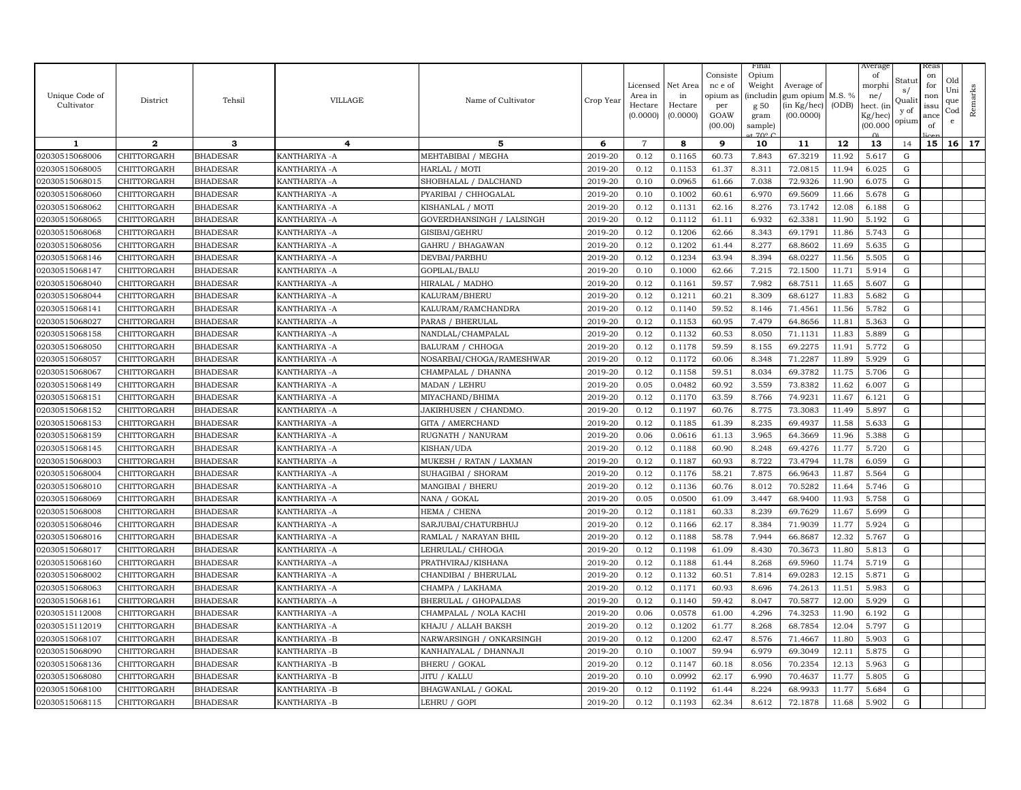| Unique Code of<br>Cultivator<br>1 | District<br>$\mathbf{2}$ | Tehsil<br>3                        | VILLAGE<br>4                          | Name of Cultivator<br>5             | Crop Year<br>6 | Licensed<br>Area in<br>Hectare<br>(0.0000)<br>$\overline{7}$ | Net Area<br>in<br>Hectare<br>(0.0000)<br>8 | Consiste<br>nc e of<br>opium as<br>per<br>GOAW<br>(00.00)<br>9 | Final<br>Opium<br>Weight<br><i>(includin</i><br>g 50<br>gram<br>sample)<br>$70^\circ$<br>10 | Average of<br>gum opium M.S. %<br>(in Kg/hec)<br>(00.0000)<br>11 | (ODB)<br>12 | Averag<br>of<br>morphi<br>ne/<br>hect. (in<br>Kg/hec<br>(00.000)<br>13 | Statu<br>s/<br>Quali<br>y of<br>opium<br>14 | ≺ea<br>on<br>for<br>nor<br>isst<br>ance<br>of<br>15 | Old<br>Uni<br>que<br>Cod<br>16 | Remarks<br>17 |
|-----------------------------------|--------------------------|------------------------------------|---------------------------------------|-------------------------------------|----------------|--------------------------------------------------------------|--------------------------------------------|----------------------------------------------------------------|---------------------------------------------------------------------------------------------|------------------------------------------------------------------|-------------|------------------------------------------------------------------------|---------------------------------------------|-----------------------------------------------------|--------------------------------|---------------|
| 02030515068006                    | CHITTORGARH              |                                    |                                       |                                     | 2019-20        | 0.12                                                         | 0.1165                                     | 60.73                                                          | 7.843                                                                                       | 67.3219                                                          | 11.92       | 5.617                                                                  | ${\rm G}$                                   |                                                     |                                |               |
| 02030515068005                    | CHITTORGARH              | <b>BHADESAR</b><br><b>BHADESAR</b> | <b>KANTHARIYA -A</b><br>KANTHARIYA -A | MEHTABIBAI / MEGHA<br>HARLAL / MOTI | 2019-20        | 0.12                                                         | 0.1153                                     | 61.37                                                          | 8.311                                                                                       | 72.0815                                                          | 11.94       | 6.025                                                                  | G                                           |                                                     |                                |               |
| 02030515068015                    | CHITTORGARH              | <b>BHADESAR</b>                    | KANTHARIYA -A                         | SHOBHALAL / DALCHAND                | 2019-20        | 0.10                                                         | 0.0965                                     | 61.66                                                          | 7.038                                                                                       | 72.9326                                                          | 11.90       | 6.075                                                                  | G                                           |                                                     |                                |               |
| 02030515068060                    | CHITTORGARH              | <b>BHADESAR</b>                    | KANTHARIYA -A                         | PYARIBAI / CHHOGALAL                | 2019-20        | 0.10                                                         | 0.1002                                     | 60.61                                                          | 6.970                                                                                       | 69.5609                                                          | 11.66       | 5.678                                                                  | G                                           |                                                     |                                |               |
| 02030515068062                    | CHITTORGARH              | <b>BHADESAR</b>                    | KANTHARIYA -A                         | KISHANLAL / MOTI                    | 2019-20        | 0.12                                                         | 0.1131                                     | 62.16                                                          | 8.276                                                                                       | 73.1742                                                          | 12.08       | 6.188                                                                  | G                                           |                                                     |                                |               |
| 02030515068065                    | CHITTORGARH              | <b>BHADESAR</b>                    | KANTHARIYA -A                         | GOVERDHANSINGH / LALSINGH           | 2019-20        | 0.12                                                         | 0.1112                                     | 61.11                                                          | 6.932                                                                                       | 62.3381                                                          | 11.90       | 5.192                                                                  | ${\rm G}$                                   |                                                     |                                |               |
| 02030515068068                    | CHITTORGARH              | <b>BHADESAR</b>                    | KANTHARIYA -A                         | GISIBAI/GEHRU                       | 2019-20        | 0.12                                                         | 0.1206                                     | 62.66                                                          | 8.343                                                                                       | 69.1791                                                          | 11.86       | 5.743                                                                  | G                                           |                                                     |                                |               |
| 02030515068056                    | CHITTORGARH              | <b>BHADESAR</b>                    | KANTHARIYA -A                         | GAHRU / BHAGAWAN                    | 2019-20        | 0.12                                                         | 0.1202                                     | 61.44                                                          | 8.277                                                                                       | 68.8602                                                          | 11.69       | 5.635                                                                  | G                                           |                                                     |                                |               |
| 02030515068146                    | CHITTORGARH              | <b>BHADESAR</b>                    | KANTHARIYA -A                         | DEVBAI/PARBHU                       | 2019-20        | 0.12                                                         | 0.1234                                     | 63.94                                                          | 8.394                                                                                       | 68.0227                                                          | 11.56       | 5.505                                                                  | ${\rm G}$                                   |                                                     |                                |               |
| 02030515068147                    | CHITTORGARH              | <b>BHADESAR</b>                    | KANTHARIYA -A                         | GOPILAL/BALU                        | 2019-20        | 0.10                                                         | 0.1000                                     | 62.66                                                          | 7.215                                                                                       | 72.1500                                                          | 11.71       | 5.914                                                                  | G                                           |                                                     |                                |               |
| 02030515068040                    | CHITTORGARH              | <b>BHADESAR</b>                    | KANTHARIYA - A                        | HIRALAL / MADHO                     | 2019-20        | 0.12                                                         | 0.1161                                     | 59.57                                                          | 7.982                                                                                       | 68.7511                                                          | 11.65       | 5.607                                                                  | G                                           |                                                     |                                |               |
| 02030515068044                    | CHITTORGARH              | <b>BHADESAR</b>                    | KANTHARIYA -A                         | KALURAM/BHERU                       | 2019-20        | 0.12                                                         | 0.1211                                     | 60.21                                                          | 8.309                                                                                       | 68.6127                                                          | 11.83       | 5.682                                                                  | G                                           |                                                     |                                |               |
| 02030515068141                    | CHITTORGARH              | <b>BHADESAR</b>                    | KANTHARIYA -A                         | KALURAM/RAMCHANDRA                  | 2019-20        | 0.12                                                         | 0.1140                                     | 59.52                                                          | 8.146                                                                                       | 71.4561                                                          | 11.56       | 5.782                                                                  | ${\rm G}$                                   |                                                     |                                |               |
| 02030515068027                    | CHITTORGARH              | <b>BHADESAR</b>                    | KANTHARIYA -A                         | PARAS / BHERULAL                    | 2019-20        | 0.12                                                         | 0.1153                                     | 60.95                                                          | 7.479                                                                                       | 64.8656                                                          | 11.81       | 5.363                                                                  | G                                           |                                                     |                                |               |
| 02030515068158                    | CHITTORGARH              | <b>BHADESAR</b>                    | KANTHARIYA -A                         | NANDLAL/CHAMPALAL                   | 2019-20        | 0.12                                                         | 0.1132                                     | 60.53                                                          | 8.050                                                                                       | 71.1131                                                          | 11.83       | 5.889                                                                  | G                                           |                                                     |                                |               |
| 02030515068050                    | CHITTORGARH              | <b>BHADESAR</b>                    | KANTHARIYA -A                         | BALURAM / CHHOGA                    | 2019-20        | 0.12                                                         | 0.1178                                     | 59.59                                                          | 8.155                                                                                       | 69.2275                                                          | 11.91       | 5.772                                                                  | $\mathbf G$                                 |                                                     |                                |               |
| 02030515068057                    | CHITTORGARH              | <b>BHADESAR</b>                    | KANTHARIYA -A                         | NOSARBAI/CHOGA/RAMESHWAR            | 2019-20        | 0.12                                                         | 0.1172                                     | 60.06                                                          | 8.348                                                                                       | 71.2287                                                          | 11.89       | 5.929                                                                  | G                                           |                                                     |                                |               |
| 02030515068067                    | CHITTORGARH              | <b>BHADESAR</b>                    | KANTHARIYA -A                         | CHAMPALAL / DHANNA                  | 2019-20        | 0.12                                                         | 0.1158                                     | 59.51                                                          | 8.034                                                                                       | 69.3782                                                          | 11.75       | 5.706                                                                  | G                                           |                                                     |                                |               |
| 02030515068149                    | CHITTORGARH              | <b>BHADESAR</b>                    | KANTHARIYA -A                         | MADAN / LEHRU                       | 2019-20        | 0.05                                                         | 0.0482                                     | 60.92                                                          | 3.559                                                                                       | 73.8382                                                          | 11.62       | 6.007                                                                  | ${\rm G}$                                   |                                                     |                                |               |
| 02030515068151                    | CHITTORGARH              | <b>BHADESAR</b>                    | KANTHARIYA -A                         | MIYACHAND/BHIMA                     | 2019-20        | 0.12                                                         | 0.1170                                     | 63.59                                                          | 8.766                                                                                       | 74.9231                                                          | 11.67       | 6.121                                                                  | G                                           |                                                     |                                |               |
| 02030515068152                    | CHITTORGARH              | <b>BHADESAR</b>                    | KANTHARIYA -A                         | JAKIRHUSEN / CHANDMO                | 2019-20        | 0.12                                                         | 0.1197                                     | 60.76                                                          | 8.775                                                                                       | 73.3083                                                          | 11.49       | 5.897                                                                  | G                                           |                                                     |                                |               |
| 02030515068153                    | CHITTORGARH              | <b>BHADESAR</b>                    | KANTHARIYA -A                         | GITA / AMERCHAND                    | 2019-20        | 0.12                                                         | 0.1185                                     | 61.39                                                          | 8.235                                                                                       | 69.4937                                                          | 11.58       | 5.633                                                                  | G                                           |                                                     |                                |               |
| 02030515068159                    | CHITTORGARH              | <b>BHADESAR</b>                    | KANTHARIYA -A                         | RUGNATH / NANURAM                   | 2019-20        | 0.06                                                         | 0.0616                                     | 61.13                                                          | 3.965                                                                                       | 64.3669                                                          | 11.96       | 5.388                                                                  | G                                           |                                                     |                                |               |
| 02030515068145                    | CHITTORGARH              | <b>BHADESAR</b>                    | KANTHARIYA -A                         | KISHAN/UDA                          | 2019-20        | 0.12                                                         | 0.1188                                     | 60.90                                                          | 8.248                                                                                       | 69.4276                                                          | 11.77       | 5.720                                                                  | G                                           |                                                     |                                |               |
| 02030515068003                    | CHITTORGARH              | <b>BHADESAR</b>                    | KANTHARIYA -A                         | MUKESH / RATAN / LAXMAN             | 2019-20        | 0.12                                                         | 0.1187                                     | 60.93                                                          | 8.722                                                                                       | 73.4794                                                          | 11.78       | 6.059                                                                  | G                                           |                                                     |                                |               |
| 02030515068004                    | CHITTORGARH              | <b>BHADESAR</b>                    | KANTHARIYA -A                         | SUHAGIBAI / SHORAM                  | 2019-20        | 0.12                                                         | 0.1176                                     | 58.21                                                          | 7.875                                                                                       | 66.9643                                                          | 11.87       | 5.564                                                                  | ${\rm G}$                                   |                                                     |                                |               |
| 02030515068010                    | CHITTORGARH              | <b>BHADESAR</b>                    | KANTHARIYA -A                         | MANGIBAI / BHERU                    | 2019-20        | 0.12                                                         | 0.1136                                     | 60.76                                                          | 8.012                                                                                       | 70.5282                                                          | 11.64       | 5.746                                                                  | ${\rm G}$                                   |                                                     |                                |               |
| 02030515068069                    | CHITTORGARH              | <b>BHADESAR</b>                    | KANTHARIYA -A                         | NANA / GOKAL                        | 2019-20        | 0.05                                                         | 0.0500                                     | 61.09                                                          | 3.447                                                                                       | 68.9400                                                          | 11.93       | 5.758                                                                  | G                                           |                                                     |                                |               |
| 02030515068008                    | CHITTORGARH              | <b>BHADESAR</b>                    | KANTHARIYA -A                         | HEMA / CHENA                        | 2019-20        | 0.12                                                         | 0.1181                                     | 60.33                                                          | 8.239                                                                                       | 69.7629                                                          | 11.67       | 5.699                                                                  | G                                           |                                                     |                                |               |
| 02030515068046                    | CHITTORGARH              | <b>BHADESAR</b>                    | KANTHARIYA -A                         | SARJUBAI/CHATURBHUJ                 | 2019-20        | 0.12                                                         | 0.1166                                     | 62.17                                                          | 8.384                                                                                       | 71.9039                                                          | 11.77       | 5.924                                                                  | ${\rm G}$                                   |                                                     |                                |               |
| 02030515068016                    | CHITTORGARH              | <b>BHADESAR</b>                    | KANTHARIYA -A                         | RAMLAL / NARAYAN BHIL               | 2019-20        | 0.12                                                         | 0.1188                                     | 58.78                                                          | 7.944                                                                                       | 66.8687                                                          | 12.32       | 5.767                                                                  | ${\rm G}$                                   |                                                     |                                |               |
| 02030515068017                    | CHITTORGARH              | <b>BHADESAR</b>                    | KANTHARIYA -A                         | LEHRULAL/ CHHOGA                    | 2019-20        | 0.12                                                         | 0.1198                                     | 61.09                                                          | 8.430                                                                                       | 70.3673                                                          | 11.80       | 5.813                                                                  | $\mathbf G$                                 |                                                     |                                |               |
| 02030515068160                    | CHITTORGARH              | <b>BHADESAR</b>                    | KANTHARIYA -A                         | PRATHVIRAJ/KISHANA                  | 2019-20        | 0.12                                                         | 0.1188                                     | 61.44                                                          | 8.268                                                                                       | 69.5960                                                          | 11.74       | 5.719                                                                  | ${\rm G}$                                   |                                                     |                                |               |
| 02030515068002                    | CHITTORGARH              | <b>BHADESAR</b>                    | KANTHARIYA -A                         | CHANDIBAI / BHERULAL                | 2019-20        | 0.12                                                         | 0.1132                                     | 60.51                                                          | 7.814                                                                                       | 69.0283                                                          | 12.15       | 5.871                                                                  | G                                           |                                                     |                                |               |
| 02030515068063                    | CHITTORGARH              | <b>BHADESAR</b>                    | KANTHARIYA -A                         | CHAMPA / LAKHAMA                    | 2019-20        | 0.12                                                         | 0.1171                                     | 60.93                                                          | 8.696                                                                                       | 74.2613                                                          | 11.51       | 5.983                                                                  | ${\rm G}$                                   |                                                     |                                |               |
| 02030515068161                    | CHITTORGARH              | <b>BHADESAR</b>                    | KANTHARIYA -A                         | BHERULAL / GHOPALDAS                | 2019-20        | 0.12                                                         | 0.1140                                     | 59.42                                                          | 8.047                                                                                       | 70.5877                                                          | 12.00       | 5.929                                                                  | G                                           |                                                     |                                |               |
| 02030515112008                    | CHITTORGARH              | <b>BHADESAR</b>                    | KANTHARIYA -A                         | CHAMPALAL / NOLA KACHI              | 2019-20        | 0.06                                                         | 0.0578                                     | 61.00                                                          | 4.296                                                                                       | 74.3253                                                          | 11.90       | 6.192                                                                  | ${\rm G}$                                   |                                                     |                                |               |
| 02030515112019                    | CHITTORGARH              | <b>BHADESAR</b>                    | KANTHARIYA -A                         | KHAJU / ALLAH BAKSH                 | 2019-20        | 0.12                                                         | 0.1202                                     | 61.77                                                          | 8.268                                                                                       | 68.7854                                                          | 12.04       | 5.797                                                                  | G                                           |                                                     |                                |               |
| 02030515068107                    | CHITTORGARH              | <b>BHADESAR</b>                    | KANTHARIYA -B                         | NARWARSINGH / ONKARSINGH            | 2019-20        | 0.12                                                         | 0.1200                                     | 62.47                                                          | 8.576                                                                                       | 71.4667                                                          | 11.80       | 5.903                                                                  | G                                           |                                                     |                                |               |
| 02030515068090                    | CHITTORGARH              | <b>BHADESAR</b>                    | KANTHARIYA -B                         | KANHAIYALAL / DHANNAJI              | 2019-20        | 0.10                                                         | 0.1007                                     | 59.94                                                          | 6.979                                                                                       | 69.3049                                                          | 12.11       | 5.875                                                                  | G                                           |                                                     |                                |               |
| 02030515068136                    | CHITTORGARH              | <b>BHADESAR</b>                    | KANTHARIYA -B                         | <b>BHERU / GOKAL</b>                | 2019-20        | 0.12                                                         | 0.1147                                     | 60.18                                                          | 8.056                                                                                       | 70.2354                                                          | 12.13       | 5.963                                                                  | G                                           |                                                     |                                |               |
| 02030515068080                    | CHITTORGARH              | <b>BHADESAR</b>                    | KANTHARIYA -B                         | JITU / KALLU                        | 2019-20        | 0.10                                                         | 0.0992                                     | 62.17                                                          | 6.990                                                                                       | 70.4637                                                          | 11.77       | 5.805                                                                  | G                                           |                                                     |                                |               |
| 02030515068100                    | CHITTORGARH              | <b>BHADESAR</b>                    | KANTHARIYA -B                         | BHAGWANLAL / GOKAL                  | 2019-20        | 0.12                                                         | 0.1192                                     | 61.44                                                          | 8.224                                                                                       | 68.9933                                                          | 11.77       | 5.684                                                                  | ${\rm G}$                                   |                                                     |                                |               |
|                                   |                          |                                    |                                       |                                     |                | 0.12                                                         |                                            |                                                                |                                                                                             |                                                                  |             | 5.902                                                                  | ${\rm G}$                                   |                                                     |                                |               |
| 02030515068115                    | CHITTORGARH              | <b>BHADESAR</b>                    | KANTHARIYA -B                         | LEHRU / GOPI                        | 2019-20        |                                                              | 0.1193                                     | 62.34                                                          | 8.612                                                                                       | 72.1878                                                          | 11.68       |                                                                        |                                             |                                                     |                                |               |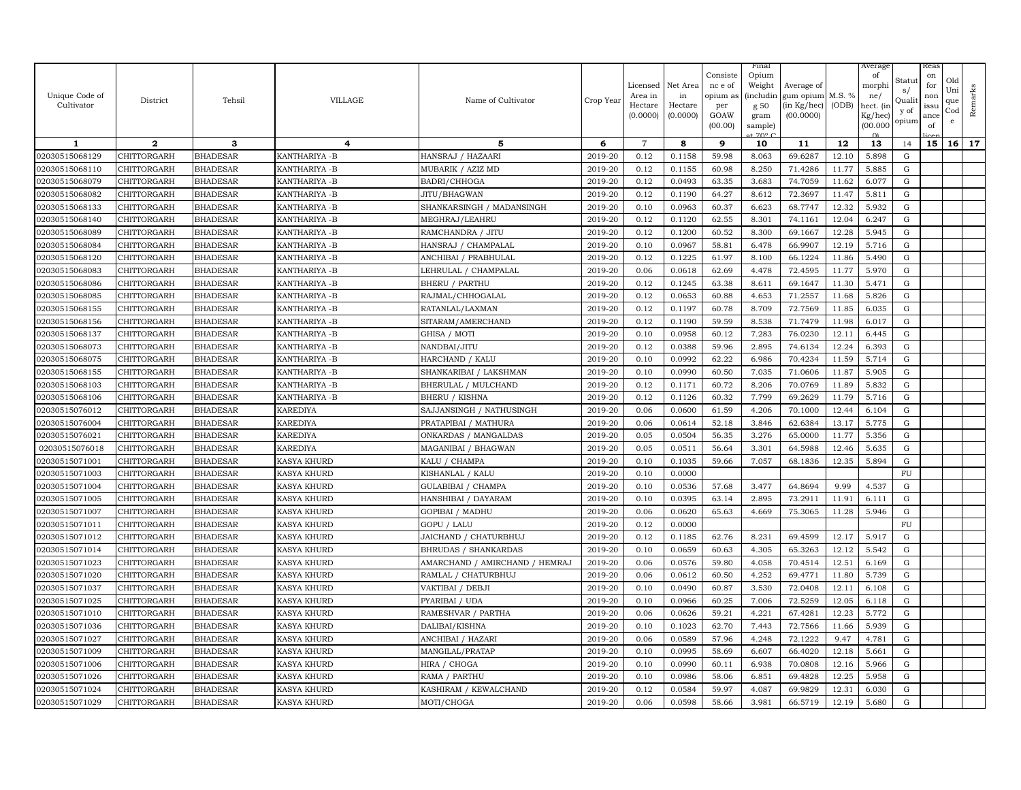| Unique Code of<br>Cultivator | District       | Tehsil          | VILLAGE        | Name of Cultivator             | Crop Year | Licensed<br>Area in<br>Hectare<br>(0.0000) | Net Area<br>in<br>Hectare<br>(0.0000) | Consiste<br>nc e of<br>opium as<br>per<br>GOAW<br>(00.00) | Final<br>Opium<br>Weight<br><i>(includin</i><br>g 50<br>gram<br>sample]<br>$70^\circ$ | Average of<br>gum opium M.S. %<br>(in Kg/hec)<br>(00.0000) | (ODB) | Average<br>of<br>morphi<br>ne/<br>hect. (in<br>Kg/hec<br>(00.000) | Statu<br>s/<br>Quali<br>y of<br>opium | on<br>for<br>nor<br>isst<br>ance<br>of | Old<br>Uni<br>que<br>Cod | Remarks |
|------------------------------|----------------|-----------------|----------------|--------------------------------|-----------|--------------------------------------------|---------------------------------------|-----------------------------------------------------------|---------------------------------------------------------------------------------------|------------------------------------------------------------|-------|-------------------------------------------------------------------|---------------------------------------|----------------------------------------|--------------------------|---------|
| -1                           | $\overline{2}$ | з               | $\overline{4}$ | 5                              | 6         | $\overline{7}$                             | 8                                     | 9                                                         | 10                                                                                    | 11                                                         | 12    | 13                                                                | 14                                    | 15                                     | 16 <sup>1</sup>          | 17      |
| 02030515068129               | CHITTORGARH    | <b>BHADESAR</b> | KANTHARIYA -B  | HANSRAJ / HAZAARI              | 2019-20   | 0.12                                       | 0.1158                                | 59.98                                                     | 8.063                                                                                 | 69.6287                                                    | 12.10 | 5.898                                                             | G                                     |                                        |                          |         |
| 02030515068110               | CHITTORGARH    | <b>BHADESAR</b> | KANTHARIYA -B  | MUBARIK / AZIZ MD              | 2019-20   | 0.12                                       | 0.1155                                | 60.98                                                     | 8.250                                                                                 | 71.4286                                                    | 11.77 | 5.885                                                             | G                                     |                                        |                          |         |
| 02030515068079               | CHITTORGARH    | <b>BHADESAR</b> | KANTHARIYA -B  | BADRI/CHHOGA                   | 2019-20   | 0.12                                       | 0.0493                                | 63.35                                                     | 3.683                                                                                 | 74.7059                                                    | 11.62 | 6.077                                                             | G                                     |                                        |                          |         |
| 02030515068082               | CHITTORGARH    | <b>BHADESAR</b> | KANTHARIYA -B  | <b>JITU/BHAGWAN</b>            | 2019-20   | 0.12                                       | 0.1190                                | 64.27                                                     | 8.612                                                                                 | 72.3697                                                    | 11.47 | 5.811                                                             | ${\rm G}$                             |                                        |                          |         |
| 02030515068133               | CHITTORGARH    | <b>BHADESAR</b> | KANTHARIYA -B  | SHANKARSINGH / MADANSINGH      | 2019-20   | 0.10                                       | 0.0963                                | 60.37                                                     | 6.623                                                                                 | 68.7747                                                    | 12.32 | 5.932                                                             | G                                     |                                        |                          |         |
| 02030515068140               | CHITTORGARH    | <b>BHADESAR</b> | KANTHARIYA -B  | MEGHRAJ/LEAHRU                 | 2019-20   | 0.12                                       | 0.1120                                | 62.55                                                     | 8.301                                                                                 | 74.1161                                                    | 12.04 | 6.247                                                             | G                                     |                                        |                          |         |
| 02030515068089               | CHITTORGARH    | <b>BHADESAR</b> | KANTHARIYA -B  | RAMCHANDRA / JITU              | 2019-20   | 0.12                                       | 0.1200                                | 60.52                                                     | 8.300                                                                                 | 69.1667                                                    | 12.28 | 5.945                                                             | ${\rm G}$                             |                                        |                          |         |
| 02030515068084               | CHITTORGARH    | <b>BHADESAR</b> | KANTHARIYA -B  | HANSRAJ / CHAMPALAL            | 2019-20   | 0.10                                       | 0.0967                                | 58.81                                                     | 6.478                                                                                 | 66.9907                                                    | 12.19 | 5.716                                                             | G                                     |                                        |                          |         |
| 02030515068120               | CHITTORGARH    | <b>BHADESAR</b> | KANTHARIYA -B  | ANCHIBAI / PRABHULAL           | 2019-20   | 0.12                                       | 0.1225                                | 61.97                                                     | 8.100                                                                                 | 66.1224                                                    | 11.86 | 5.490                                                             | ${\rm G}$                             |                                        |                          |         |
| 02030515068083               | CHITTORGARH    | <b>BHADESAR</b> | KANTHARIYA -B  | LEHRULAL / CHAMPALAL           | 2019-20   | 0.06                                       | 0.0618                                | 62.69                                                     | 4.478                                                                                 | 72.4595                                                    | 11.77 | 5.970                                                             | G                                     |                                        |                          |         |
| 02030515068086               | CHITTORGARH    | <b>BHADESAR</b> | KANTHARIYA -B  | <b>BHERU / PARTHU</b>          | 2019-20   | 0.12                                       | 0.1245                                | 63.38                                                     | 8.611                                                                                 | 69.1647                                                    | 11.30 | 5.471                                                             | G                                     |                                        |                          |         |
| 02030515068085               | CHITTORGARH    | <b>BHADESAR</b> | KANTHARIYA -B  | RAJMAL/CHHOGALAL               | 2019-20   | 0.12                                       | 0.0653                                | 60.88                                                     | 4.653                                                                                 | 71.2557                                                    | 11.68 | 5.826                                                             | ${\rm G}$                             |                                        |                          |         |
| 02030515068155               | CHITTORGARH    | <b>BHADESAR</b> | KANTHARIYA -B  | RATANLAL/LAXMAN                | 2019-20   | 0.12                                       | 0.1197                                | 60.78                                                     | 8.709                                                                                 | 72.7569                                                    | 11.85 | 6.035                                                             | ${\rm G}$                             |                                        |                          |         |
| 02030515068156               | CHITTORGARH    | <b>BHADESAR</b> | KANTHARIYA -B  | SITARAM/AMERCHAND              | 2019-20   | 0.12                                       | 0.1190                                | 59.59                                                     | 8.538                                                                                 | 71.7479                                                    | 11.98 | 6.017                                                             | G                                     |                                        |                          |         |
| 02030515068137               | CHITTORGARH    | <b>BHADESAR</b> | KANTHARIYA -B  | GHISA / MOTI                   | 2019-20   | 0.10                                       | 0.0958                                | 60.12                                                     | 7.283                                                                                 | 76.0230                                                    | 12.11 | 6.445                                                             | ${\rm G}$                             |                                        |                          |         |
| 02030515068073               | CHITTORGARH    | <b>BHADESAR</b> | KANTHARIYA -B  | NANDBAI/JITU                   | 2019-20   | 0.12                                       | 0.0388                                | 59.96                                                     | 2.895                                                                                 | 74.6134                                                    | 12.24 | 6.393                                                             | ${\rm G}$                             |                                        |                          |         |
| 02030515068075               | CHITTORGARH    | <b>BHADESAR</b> | KANTHARIYA -B  | HARCHAND / KALU                | 2019-20   | 0.10                                       | 0.0992                                | 62.22                                                     | 6.986                                                                                 | 70.4234                                                    | 11.59 | 5.714                                                             | G                                     |                                        |                          |         |
| 02030515068155               | CHITTORGARH    | <b>BHADESAR</b> | KANTHARIYA -B  | SHANKARIBAI / LAKSHMAN         | 2019-20   | 0.10                                       | 0.0990                                | 60.50                                                     | 7.035                                                                                 | 71.0606                                                    | 11.87 | 5.905                                                             | G                                     |                                        |                          |         |
| 02030515068103               | CHITTORGARH    | <b>BHADESAR</b> | KANTHARIYA -B  | BHERULAL / MULCHAND            | 2019-20   | 0.12                                       | 0.1171                                | 60.72                                                     | 8.206                                                                                 | 70.0769                                                    | 11.89 | 5.832                                                             | G                                     |                                        |                          |         |
| 02030515068106               | CHITTORGARH    | <b>BHADESAR</b> | KANTHARIYA -B  | <b>BHERU / KISHNA</b>          | 2019-20   | 0.12                                       | 0.1126                                | 60.32                                                     | 7.799                                                                                 | 69.2629                                                    | 11.79 | 5.716                                                             | ${\bf G}$                             |                                        |                          |         |
| 02030515076012               | CHITTORGARH    | <b>BHADESAR</b> | KAREDIYA       | SAJJANSINGH / NATHUSINGH       | 2019-20   | 0.06                                       | 0.0600                                | 61.59                                                     | 4.206                                                                                 | 70.1000                                                    | 12.44 | 6.104                                                             | G                                     |                                        |                          |         |
| 02030515076004               | CHITTORGARH    | <b>BHADESAR</b> | KAREDIYA       | PRATAPIBAI / MATHURA           | 2019-20   | 0.06                                       | 0.0614                                | 52.18                                                     | 3.846                                                                                 | 62.6384                                                    | 13.17 | 5.775                                                             | G                                     |                                        |                          |         |
| 02030515076021               | CHITTORGARH    | <b>BHADESAR</b> | KAREDIYA       | ONKARDAS / MANGALDAS           | 2019-20   | 0.05                                       | 0.0504                                | 56.35                                                     | 3.276                                                                                 | 65.0000                                                    | 11.77 | 5.356                                                             | G                                     |                                        |                          |         |
| 02030515076018               | CHITTORGARH    | <b>BHADESAR</b> | KAREDIYA       | MAGANIBAI / BHAGWAN            | 2019-20   | 0.05                                       | 0.0511                                | 56.64                                                     | 3.301                                                                                 | 64.5988                                                    | 12.46 | 5.635                                                             | ${\rm G}$                             |                                        |                          |         |
| 02030515071001               | CHITTORGARH    | <b>BHADESAR</b> | KASYA KHURD    | KALU / CHAMPA                  | 2019-20   | 0.10                                       | 0.1035                                | 59.66                                                     | 7.057                                                                                 | 68.1836                                                    | 12.35 | 5.894                                                             | ${\rm G}$                             |                                        |                          |         |
| 02030515071003               | CHITTORGARH    | <b>BHADESAR</b> | KASYA KHURD    | KISHANLAL / KALU               | 2019-20   | 0.10                                       | 0.0000                                |                                                           |                                                                                       |                                                            |       |                                                                   | ${\rm FU}$                            |                                        |                          |         |
| 02030515071004               | CHITTORGARH    | <b>BHADESAR</b> | KASYA KHURD    | GULABIBAI / CHAMPA             | 2019-20   | 0.10                                       | 0.0536                                | 57.68                                                     | 3.477                                                                                 | 64.8694                                                    | 9.99  | 4.537                                                             | G                                     |                                        |                          |         |
| 02030515071005               | CHITTORGARH    | <b>BHADESAR</b> | KASYA KHURD    | HANSHIBAI / DAYARAM            | 2019-20   | 0.10                                       | 0.0395                                | 63.14                                                     | 2.895                                                                                 | 73.2911                                                    | 11.91 | 6.111                                                             | ${\rm G}$                             |                                        |                          |         |
| 02030515071007               | CHITTORGARH    | <b>BHADESAR</b> | KASYA KHURD    | GOPIBAI / MADHU                | 2019-20   | 0.06                                       | 0.0620                                | 65.63                                                     | 4.669                                                                                 | 75.3065                                                    | 11.28 | 5.946                                                             | ${\rm G}$                             |                                        |                          |         |
| 02030515071011               | CHITTORGARH    | <b>BHADESAR</b> | KASYA KHURD    | GOPU / LALU                    | 2019-20   | 0.12                                       | 0.0000                                |                                                           |                                                                                       |                                                            |       |                                                                   | FU                                    |                                        |                          |         |
| 02030515071012               | CHITTORGARH    | <b>BHADESAR</b> | KASYA KHURD    | JAICHAND / CHATURBHUJ          | 2019-20   | 0.12                                       | 0.1185                                | 62.76                                                     | 8.231                                                                                 | 69.4599                                                    | 12.17 | 5.917                                                             | ${\rm G}$                             |                                        |                          |         |
| 02030515071014               | CHITTORGARH    | <b>BHADESAR</b> | KASYA KHURD    | BHRUDAS / SHANKARDAS           | 2019-20   | 0.10                                       | 0.0659                                | 60.63                                                     | 4.305                                                                                 | 65.3263                                                    | 12.12 | 5.542                                                             | ${\rm G}$                             |                                        |                          |         |
| 02030515071023               | CHITTORGARH    | <b>BHADESAR</b> | KASYA KHURD    | AMARCHAND / AMIRCHAND / HEMRAJ | 2019-20   | 0.06                                       | 0.0576                                | 59.80                                                     | 4.058                                                                                 | 70.4514                                                    | 12.51 | 6.169                                                             | G                                     |                                        |                          |         |
| 02030515071020               | CHITTORGARH    | <b>BHADESAR</b> | KASYA KHURD    | RAMLAL / CHATURBHUJ            | 2019-20   | 0.06                                       | 0.0612                                | 60.50                                                     | 4.252                                                                                 | 69.4771                                                    | 11.80 | 5.739                                                             | G                                     |                                        |                          |         |
| 02030515071037               | CHITTORGARH    | <b>BHADESAR</b> | KASYA KHURD    | VAKTIBAI / DEBJI               | 2019-20   | 0.10                                       | 0.0490                                | 60.87                                                     | 3.530                                                                                 | 72.0408                                                    | 12.11 | 6.108                                                             | G                                     |                                        |                          |         |
| 02030515071025               | CHITTORGARH    | <b>BHADESAR</b> | KASYA KHURD    | PYARIBAI / UDA                 | 2019-20   | 0.10                                       | 0.0966                                | 60.25                                                     | 7.006                                                                                 | 72.5259                                                    | 12.05 | 6.118                                                             | G                                     |                                        |                          |         |
| 02030515071010               | CHITTORGARH    | <b>BHADESAR</b> | KASYA KHURD    | RAMESHVAR / PARTHA             | 2019-20   | 0.06                                       | 0.0626                                | 59.21                                                     | 4.221                                                                                 | 67.4281                                                    | 12.23 | 5.772                                                             | G                                     |                                        |                          |         |
| 02030515071036               | CHITTORGARH    | <b>BHADESAR</b> | KASYA KHURD    | DALIBAI/KISHNA                 | 2019-20   | 0.10                                       | 0.1023                                | 62.70                                                     | 7.443                                                                                 | 72.7566                                                    | 11.66 | 5.939                                                             | G                                     |                                        |                          |         |
| 02030515071027               | CHITTORGARH    | <b>BHADESAR</b> | KASYA KHURD    | ANCHIBAI / HAZARI              | 2019-20   | 0.06                                       | 0.0589                                | 57.96                                                     | 4.248                                                                                 | 72.1222                                                    | 9.47  | 4.781                                                             | G                                     |                                        |                          |         |
| 02030515071009               | CHITTORGARH    | <b>BHADESAR</b> | KASYA KHURD    | MANGILAL/PRATAP                | 2019-20   | 0.10                                       | 0.0995                                | 58.69                                                     | 6.607                                                                                 | 66.4020                                                    | 12.18 | 5.661                                                             | G                                     |                                        |                          |         |
| 02030515071006               | CHITTORGARH    | <b>BHADESAR</b> | KASYA KHURD    | HIRA / CHOGA                   | 2019-20   | 0.10                                       | 0.0990                                | 60.11                                                     | 6.938                                                                                 | 70.0808                                                    | 12.16 | 5.966                                                             | G                                     |                                        |                          |         |
| 02030515071026               | CHITTORGARH    | <b>BHADESAR</b> | KASYA KHURD    | RAMA / PARTHU                  | 2019-20   | 0.10                                       | 0.0986                                | 58.06                                                     | 6.851                                                                                 | 69.4828                                                    | 12.25 | 5.958                                                             | G                                     |                                        |                          |         |
| 02030515071024               | CHITTORGARH    | <b>BHADESAR</b> | KASYA KHURD    | KASHIRAM / KEWALCHAND          | 2019-20   | 0.12                                       | 0.0584                                | 59.97                                                     | 4.087                                                                                 | 69.9829                                                    | 12.31 | 6.030                                                             | ${\rm G}$                             |                                        |                          |         |
| 02030515071029               | CHITTORGARH    | <b>BHADESAR</b> | KASYA KHURD    | MOTI/CHOGA                     | 2019-20   | 0.06                                       | 0.0598                                | 58.66                                                     | 3.981                                                                                 | 66.5719                                                    | 12.19 | 5.680                                                             | ${\rm G}$                             |                                        |                          |         |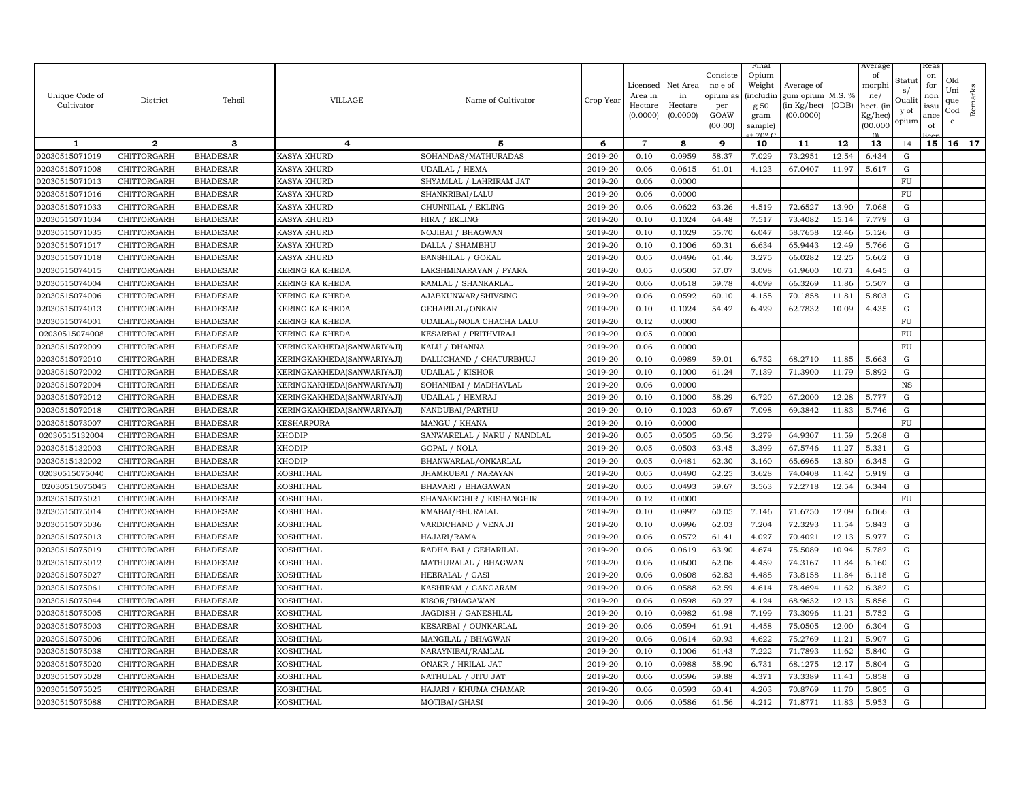| Unique Code of<br>Cultivator | District     | Tehsil          | VILLAGE                    | Name of Cultivator          | Crop Year | Licensed<br>Area in<br>Hectare<br>(0.0000) | Net Area<br>in<br>Hectare<br>(0.0000) | Consiste<br>nc e of<br>opium as<br>per<br>GOAW<br>(00.00) | Final<br>Opium<br>Weight<br><i>(includin</i><br>g 50<br>gram<br>sample]<br>70° | Average of<br>gum opium M.S. %<br>(in Kg/hec)<br>(00.0000) | (ODB) | <i><u><b>Werage</b></u></i><br>of<br>morphi<br>ne/<br>aect. (ir<br>Kg/hec)<br>(00.000) | Statu<br>s/<br>Quali<br>y of<br>opium | on<br>for<br>noi<br>isst<br>ance<br>of | Old<br>Uni<br>que<br>Cod | Remarks |
|------------------------------|--------------|-----------------|----------------------------|-----------------------------|-----------|--------------------------------------------|---------------------------------------|-----------------------------------------------------------|--------------------------------------------------------------------------------|------------------------------------------------------------|-------|----------------------------------------------------------------------------------------|---------------------------------------|----------------------------------------|--------------------------|---------|
| 1                            | $\mathbf{2}$ | 3               | 4                          | 5                           | 6         | $\overline{7}$                             | 8                                     | 9                                                         | 10                                                                             | 11                                                         | 12    | 13                                                                                     | 14                                    | 15                                     | 16                       | 17      |
| 02030515071019               | CHITTORGARH  | <b>BHADESAR</b> | KASYA KHURD                | SOHANDAS/MATHURADAS         | 2019-20   | 0.10                                       | 0.0959                                | 58.37                                                     | 7.029                                                                          | 73.2951                                                    | 12.54 | 6.434                                                                                  | G                                     |                                        |                          |         |
| 02030515071008               | CHITTORGARH  | <b>BHADESAR</b> | KASYA KHURD                | <b>UDAILAL / HEMA</b>       | 2019-20   | 0.06                                       | 0.0615                                | 61.01                                                     | 4.123                                                                          | 67.0407                                                    | 11.97 | 5.617                                                                                  | G                                     |                                        |                          |         |
| 02030515071013               | CHITTORGARH  | <b>BHADESAR</b> | KASYA KHURD                | SHYAMLAL / LAHRIRAM JAT     | 2019-20   | 0.06                                       | 0.0000                                |                                                           |                                                                                |                                                            |       |                                                                                        | ${\rm FU}$                            |                                        |                          |         |
| 02030515071016               | CHITTORGARH  | <b>BHADESAR</b> | KASYA KHURD                | SHANKRIBAI/LALU             | 2019-20   | 0.06                                       | 0.0000                                |                                                           |                                                                                |                                                            |       |                                                                                        | ${\rm FU}$                            |                                        |                          |         |
| 02030515071033               | CHITTORGARH  | <b>BHADESAR</b> | KASYA KHURD                | CHUNNILAL / EKLING          | 2019-20   | 0.06                                       | 0.0622                                | 63.26                                                     | 4.519                                                                          | 72.6527                                                    | 13.90 | 7.068                                                                                  | G                                     |                                        |                          |         |
| 02030515071034               | CHITTORGARH  | <b>BHADESAR</b> | KASYA KHURD                | HIRA / EKLING               | 2019-20   | 0.10                                       | 0.1024                                | 64.48                                                     | 7.517                                                                          | 73.4082                                                    | 15.14 | 7.779                                                                                  | G                                     |                                        |                          |         |
| 02030515071035               | CHITTORGARH  | <b>BHADESAR</b> | KASYA KHURD                | NOJIBAI / BHAGWAN           | 2019-20   | 0.10                                       | 0.1029                                | 55.70                                                     | 6.047                                                                          | 58.7658                                                    | 12.46 | 5.126                                                                                  | G                                     |                                        |                          |         |
| 02030515071017               | CHITTORGARH  | <b>BHADESAR</b> | KASYA KHURD                | DALLA / SHAMBHU             | 2019-20   | 0.10                                       | 0.1006                                | 60.31                                                     | 6.634                                                                          | 65.9443                                                    | 12.49 | 5.766                                                                                  | G                                     |                                        |                          |         |
| 02030515071018               | CHITTORGARH  | <b>BHADESAR</b> | KASYA KHURD                | <b>BANSHILAL / GOKAL</b>    | 2019-20   | 0.05                                       | 0.0496                                | 61.46                                                     | 3.275                                                                          | 66.0282                                                    | 12.25 | 5.662                                                                                  | G                                     |                                        |                          |         |
| 02030515074015               | CHITTORGARH  | <b>BHADESAR</b> | KERING KA KHEDA            | LAKSHMINARAYAN / PYARA      | 2019-20   | 0.05                                       | 0.0500                                | 57.07                                                     | 3.098                                                                          | 61.9600                                                    | 10.71 | 4.645                                                                                  | G                                     |                                        |                          |         |
| 02030515074004               | CHITTORGARH  | <b>BHADESAR</b> | KERING KA KHEDA            | RAMLAL / SHANKARLAL         | 2019-20   | 0.06                                       | 0.0618                                | 59.78                                                     | 4.099                                                                          | 66.3269                                                    | 11.86 | 5.507                                                                                  | ${\rm G}$                             |                                        |                          |         |
| 02030515074006               | CHITTORGARH  | <b>BHADESAR</b> | KERING KA KHEDA            | AJABKUNWAR/SHIVSING         | 2019-20   | 0.06                                       | 0.0592                                | 60.10                                                     | 4.155                                                                          | 70.1858                                                    | 11.81 | 5.803                                                                                  | G                                     |                                        |                          |         |
| 02030515074013               | CHITTORGARH  | <b>BHADESAR</b> | KERING KA KHEDA            | GEHARILAL/ONKAR             | 2019-20   | 0.10                                       | 0.1024                                | 54.42                                                     | 6.429                                                                          | 62.7832                                                    | 10.09 | 4.435                                                                                  | ${\rm G}$                             |                                        |                          |         |
| 02030515074001               | CHITTORGARH  | <b>BHADESAR</b> | KERING KA KHEDA            | UDAILAL/NOLA CHACHA LALU    | 2019-20   | 0.12                                       | 0.0000                                |                                                           |                                                                                |                                                            |       |                                                                                        | FU                                    |                                        |                          |         |
| 02030515074008               | CHITTORGARH  | BHADESAR        | KERING KA KHEDA            | KESARBAI / PRITHVIRAJ       | 2019-20   | 0.05                                       | 0.0000                                |                                                           |                                                                                |                                                            |       |                                                                                        | FU                                    |                                        |                          |         |
| 02030515072009               | CHITTORGARH  | <b>BHADESAR</b> | KERINGKAKHEDA(SANWARIYAJI) | KALU / DHANNA               | 2019-20   | 0.06                                       | 0.0000                                |                                                           |                                                                                |                                                            |       |                                                                                        | FU                                    |                                        |                          |         |
| 02030515072010               | CHITTORGARH  | <b>BHADESAR</b> | KERINGKAKHEDA(SANWARIYAJI) | DALLICHAND / CHATURBHUJ     | 2019-20   | 0.10                                       | 0.0989                                | 59.01                                                     | 6.752                                                                          | 68.2710                                                    | 11.85 | 5.663                                                                                  | ${\rm G}$                             |                                        |                          |         |
| 02030515072002               | CHITTORGARH  | <b>BHADESAR</b> | KERINGKAKHEDA(SANWARIYAJI  | <b>UDAILAL / KISHOR</b>     | 2019-20   | 0.10                                       | 0.1000                                | 61.24                                                     | 7.139                                                                          | 71.3900                                                    | 11.79 | 5.892                                                                                  | G                                     |                                        |                          |         |
| 02030515072004               | CHITTORGARH  | <b>BHADESAR</b> | KERINGKAKHEDA(SANWARIYAJI  | SOHANIBAI / MADHAVLAL       | 2019-20   | 0.06                                       | 0.0000                                |                                                           |                                                                                |                                                            |       |                                                                                        | $_{\rm NS}$                           |                                        |                          |         |
| 02030515072012               | CHITTORGARH  | <b>BHADESAR</b> | KERINGKAKHEDA(SANWARIYAJI) | <b>UDAILAL / HEMRAJ</b>     | 2019-20   | 0.10                                       | 0.1000                                | 58.29                                                     | 6.720                                                                          | 67.2000                                                    | 12.28 | 5.777                                                                                  | G                                     |                                        |                          |         |
| 02030515072018               | CHITTORGARH  | <b>BHADESAR</b> | KERINGKAKHEDA(SANWARIYAJI) | NANDUBAI/PARTHU             | 2019-20   | 0.10                                       | 0.1023                                | 60.67                                                     | 7.098                                                                          | 69.3842                                                    | 11.83 | 5.746                                                                                  | G                                     |                                        |                          |         |
| 02030515073007               | CHITTORGARH  | <b>BHADESAR</b> | KESHARPURA                 | MANGU / KHANA               | 2019-20   | 0.10                                       | 0.0000                                |                                                           |                                                                                |                                                            |       |                                                                                        | FU                                    |                                        |                          |         |
| 02030515132004               | CHITTORGARH  | BHADESAR        | KHODIP                     | SANWARELAL / NARU / NANDLAL | 2019-20   | 0.05                                       | 0.0505                                | 60.56                                                     | 3.279                                                                          | 64.9307                                                    | 11.59 | 5.268                                                                                  | G                                     |                                        |                          |         |
| 02030515132003               | CHITTORGARH  | <b>BHADESAR</b> | KHODIP                     | GOPAL / NOLA                | 2019-20   | 0.05                                       | 0.0503                                | 63.45                                                     | 3.399                                                                          | 67.5746                                                    | 11.27 | 5.331                                                                                  | G                                     |                                        |                          |         |
| 02030515132002               | CHITTORGARH  | <b>BHADESAR</b> | KHODIP                     | BHANWARLAL/ONKARLAL         | 2019-20   | 0.05                                       | 0.0481                                | 62.30                                                     | 3.160                                                                          | 65.6965                                                    | 13.80 | 6.345                                                                                  | G                                     |                                        |                          |         |
| 02030515075040               | CHITTORGARH  | <b>BHADESAR</b> | KOSHITHAL                  | JHAMKUBAI / NARAYAN         | 2019-20   | 0.05                                       | 0.0490                                | 62.25                                                     | 3.628                                                                          | 74.0408                                                    | 11.42 | 5.919                                                                                  | G                                     |                                        |                          |         |
| 02030515075045               | CHITTORGARH  | <b>BHADESAR</b> | <b>KOSHITHAL</b>           | BHAVARI / BHAGAWAN          | 2019-20   | 0.05                                       | 0.0493                                | 59.67                                                     | 3.563                                                                          | 72.2718                                                    | 12.54 | 6.344                                                                                  | ${\rm G}$                             |                                        |                          |         |
| 02030515075021               | CHITTORGARH  | <b>BHADESAR</b> | KOSHITHAL                  | SHANAKRGHIR / KISHANGHIR    | 2019-20   | 0.12                                       | 0.0000                                |                                                           |                                                                                |                                                            |       |                                                                                        | ${\rm FU}$                            |                                        |                          |         |
| 02030515075014               | CHITTORGARH  | <b>BHADESAR</b> | KOSHITHAL                  | RMABAI/BHURALAL             | 2019-20   | 0.10                                       | 0.0997                                | 60.05                                                     | 7.146                                                                          | 71.6750                                                    | 12.09 | 6.066                                                                                  | G                                     |                                        |                          |         |
| 02030515075036               | CHITTORGARH  | <b>BHADESAR</b> | KOSHITHAL                  | VARDICHAND / VENA JI        | 2019-20   | 0.10                                       | 0.0996                                | 62.03                                                     | 7.204                                                                          | 72.3293                                                    | 11.54 | 5.843                                                                                  | G                                     |                                        |                          |         |
| 02030515075013               | CHITTORGARH  | <b>BHADESAR</b> | KOSHITHAL                  | HAJARI/RAMA                 | 2019-20   | 0.06                                       | 0.0572                                | 61.41                                                     | 4.027                                                                          | 70.4021                                                    | 12.13 | 5.977                                                                                  | ${\rm G}$                             |                                        |                          |         |
| 02030515075019               | CHITTORGARH  | <b>BHADESAR</b> | KOSHITHAL                  | RADHA BAI / GEHARILAL       | 2019-20   | 0.06                                       | 0.0619                                | 63.90                                                     | 4.674                                                                          | 75.5089                                                    | 10.94 | 5.782                                                                                  | ${\rm G}$                             |                                        |                          |         |
| 02030515075012               | CHITTORGARH  | <b>BHADESAR</b> | KOSHITHAL                  | MATHURALAL / BHAGWAN        | 2019-20   | 0.06                                       | 0.0600                                | 62.06                                                     | 4.459                                                                          | 74.3167                                                    | 11.84 | 6.160                                                                                  | G                                     |                                        |                          |         |
| 02030515075027               | CHITTORGARH  | <b>BHADESAR</b> | KOSHITHAL                  | HEERALAL / GASI             | 2019-20   | 0.06                                       | 0.0608                                | 62.83                                                     | 4.488                                                                          | 73.8158                                                    | 11.84 | 6.118                                                                                  | G                                     |                                        |                          |         |
| 02030515075061               | CHITTORGARH  | <b>BHADESAR</b> | <b>KOSHITHAL</b>           | KASHIRAM / GANGARAM         | 2019-20   | 0.06                                       | 0.0588                                | 62.59                                                     | 4.614                                                                          | 78.4694                                                    | 11.62 | 6.382                                                                                  | $\mathbf G$                           |                                        |                          |         |
| 02030515075044               | CHITTORGARH  | <b>BHADESAR</b> | <b>KOSHITHAL</b>           | KISOR/BHAGAWAN              | 2019-20   | 0.06                                       | 0.0598                                | 60.27                                                     | 4.124                                                                          | 68.9632                                                    | 12.13 | 5.856                                                                                  | G                                     |                                        |                          |         |
| 02030515075005               | CHITTORGARH  | <b>BHADESAR</b> | KOSHITHAL                  | JAGDISH / GANESHLAL         | 2019-20   | 0.10                                       | 0.0982                                | 61.98                                                     | 7.199                                                                          | 73.3096                                                    | 11.21 | 5.752                                                                                  | G                                     |                                        |                          |         |
| 02030515075003               | CHITTORGARH  | <b>BHADESAR</b> | KOSHITHAL                  | KESARBAI / OUNKARLAL        | 2019-20   | 0.06                                       | 0.0594                                | 61.91                                                     | 4.458                                                                          | 75.0505                                                    | 12.00 | 6.304                                                                                  | G                                     |                                        |                          |         |
| 02030515075006               | CHITTORGARH  | <b>BHADESAR</b> | KOSHITHAL                  | MANGILAL / BHAGWAN          | 2019-20   | 0.06                                       | 0.0614                                | 60.93                                                     | 4.622                                                                          | 75.2769                                                    | 11.21 | 5.907                                                                                  | G                                     |                                        |                          |         |
| 02030515075038               | CHITTORGARH  | <b>BHADESAR</b> | KOSHITHAL                  | NARAYNIBAI/RAMLAL           | 2019-20   | 0.10                                       | 0.1006                                | 61.43                                                     | 7.222                                                                          | 71.7893                                                    | 11.62 | 5.840                                                                                  | G                                     |                                        |                          |         |
| 02030515075020               | CHITTORGARH  | <b>BHADESAR</b> | KOSHITHAL                  | ONAKR / HRILAL JAT          | 2019-20   | 0.10                                       | 0.0988                                | 58.90                                                     | 6.731                                                                          | 68.1275                                                    | 12.17 | 5.804                                                                                  | G                                     |                                        |                          |         |
| 02030515075028               | CHITTORGARH  | BHADESAR        | KOSHITHAL                  | NATHULAL / JITU JAT         | 2019-20   | 0.06                                       | 0.0596                                | 59.88                                                     | 4.371                                                                          | 73.3389                                                    | 11.41 | 5.858                                                                                  | G                                     |                                        |                          |         |
| 02030515075025               | CHITTORGARH  | <b>BHADESAR</b> | <b>KOSHITHAL</b>           | HAJARI / KHUMA CHAMAR       | 2019-20   | 0.06                                       | 0.0593                                | 60.41                                                     | 4.203                                                                          | 70.8769                                                    | 11.70 | 5.805                                                                                  | ${\rm G}$                             |                                        |                          |         |
| 02030515075088               | CHITTORGARH  | <b>BHADESAR</b> | <b>KOSHITHAL</b>           | MOTIBAI/GHASI               | 2019-20   | 0.06                                       | 0.0586                                | 61.56                                                     | 4.212                                                                          | 71.8771                                                    | 11.83 | 5.953                                                                                  | ${\rm G}$                             |                                        |                          |         |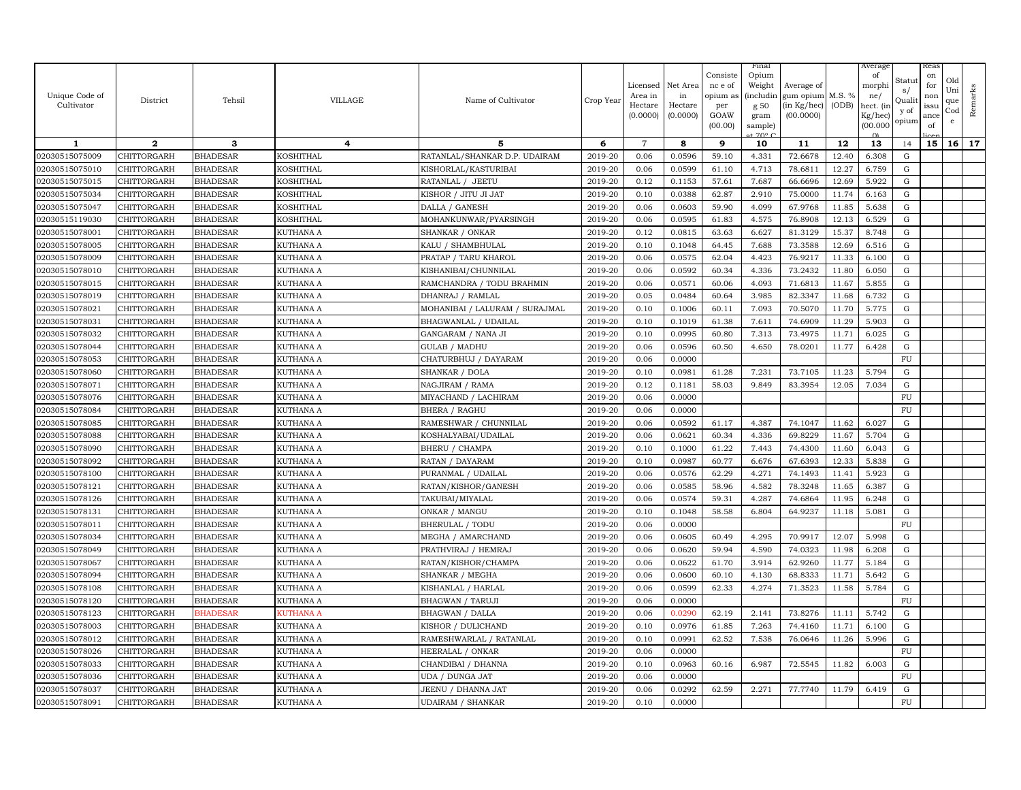| Unique Code of<br>Cultivator | District       | Tehsil          | VILLAGE          | Name of Cultivator             | Crop Year | Licensed<br>Area in<br>Hectare<br>(0.0000) | Net Area<br>in<br>Hectare<br>(0.0000) | Consiste<br>nc e of<br>opium as<br>per<br>GOAW<br>(00.00) | Final<br>Opium<br>Weight<br><i>(includin</i><br>g 50<br>gram<br>sample)<br>$70^\circ$ | Average of<br>gum opium M.S. %<br>(in Kg/hec)<br>(00.0000) | (ODB) | Averag<br>of<br>morphi<br>ne/<br>hect. (in<br>Kg/hec<br>(00.000) | Statut<br>s/<br>Quali<br>y of<br>opium | on<br>for<br>nor<br>isst<br>ance<br>of | Old<br>Uni<br>que<br>Cod | Remarks |
|------------------------------|----------------|-----------------|------------------|--------------------------------|-----------|--------------------------------------------|---------------------------------------|-----------------------------------------------------------|---------------------------------------------------------------------------------------|------------------------------------------------------------|-------|------------------------------------------------------------------|----------------------------------------|----------------------------------------|--------------------------|---------|
| 1                            | $\overline{2}$ | з               | 4                | 5                              | 6         | $\overline{7}$                             | 8                                     | 9                                                         | 10                                                                                    | 11                                                         | 12    | 13                                                               | 14                                     | 15                                     | 16 <sup>1</sup>          | 17      |
| 02030515075009               | CHITTORGARH    | <b>BHADESAR</b> | KOSHITHAL        | RATANLAL/SHANKAR D.P. UDAIRAM  | 2019-20   | 0.06                                       | 0.0596                                | 59.10                                                     | 4.331                                                                                 | 72.6678                                                    | 12.40 | 6.308                                                            | G                                      |                                        |                          |         |
| 02030515075010               | CHITTORGARH    | <b>BHADESAR</b> | KOSHITHAL        | KISHORLAL/KASTURIBAI           | 2019-20   | 0.06                                       | 0.0599                                | 61.10                                                     | 4.713                                                                                 | 78.6811                                                    | 12.27 | 6.759                                                            | G                                      |                                        |                          |         |
| 02030515075015               | CHITTORGARH    | <b>BHADESAR</b> | KOSHITHAL        | RATANLAL / JEETU               | 2019-20   | 0.12                                       | 0.1153                                | 57.61                                                     | 7.687                                                                                 | 66.6696                                                    | 12.69 | 5.922                                                            | G                                      |                                        |                          |         |
| 02030515075034               | CHITTORGARH    | <b>BHADESAR</b> | KOSHITHAL        | KISHOR / JITU JI JAT           | 2019-20   | 0.10                                       | 0.0388                                | 62.87                                                     | 2.910                                                                                 | 75.0000                                                    | 11.74 | 6.163                                                            | ${\rm G}$                              |                                        |                          |         |
| 02030515075047               | CHITTORGARH    | <b>BHADESAR</b> | KOSHITHAL        | DALLA / GANESH                 | 2019-20   | 0.06                                       | 0.0603                                | 59.90                                                     | 4.099                                                                                 | 67.9768                                                    | 11.85 | 5.638                                                            | G                                      |                                        |                          |         |
| 02030515119030               | CHITTORGARH    | <b>BHADESAR</b> | KOSHITHAL        | MOHANKUNWAR/PYARSINGH          | 2019-20   | 0.06                                       | 0.0595                                | 61.83                                                     | 4.575                                                                                 | 76.8908                                                    | 12.13 | 6.529                                                            | G                                      |                                        |                          |         |
| 02030515078001               | CHITTORGARH    | <b>BHADESAR</b> | KUTHANA A        | SHANKAR / ONKAR                | 2019-20   | 0.12                                       | 0.0815                                | 63.63                                                     | 6.627                                                                                 | 81.3129                                                    | 15.37 | 8.748                                                            | ${\rm G}$                              |                                        |                          |         |
| 02030515078005               | CHITTORGARH    | <b>BHADESAR</b> | KUTHANA A        | KALU / SHAMBHULAL              | 2019-20   | 0.10                                       | 0.1048                                | 64.45                                                     | 7.688                                                                                 | 73.3588                                                    | 12.69 | 6.516                                                            | G                                      |                                        |                          |         |
| 02030515078009               | CHITTORGARH    | <b>BHADESAR</b> | KUTHANA A        | PRATAP / TARU KHAROL           | 2019-20   | 0.06                                       | 0.0575                                | 62.04                                                     | 4.423                                                                                 | 76.9217                                                    | 11.33 | 6.100                                                            | ${\rm G}$                              |                                        |                          |         |
| 02030515078010               | CHITTORGARH    | <b>BHADESAR</b> | KUTHANA A        | KISHANIBAI/CHUNNILAL           | 2019-20   | 0.06                                       | 0.0592                                | 60.34                                                     | 4.336                                                                                 | 73.2432                                                    | 11.80 | 6.050                                                            | G                                      |                                        |                          |         |
| 02030515078015               | CHITTORGARH    | <b>BHADESAR</b> | KUTHANA A        | RAMCHANDRA / TODU BRAHMIN      | 2019-20   | 0.06                                       | 0.0571                                | 60.06                                                     | 4.093                                                                                 | 71.6813                                                    | 11.67 | 5.855                                                            | G                                      |                                        |                          |         |
| 02030515078019               | CHITTORGARH    | <b>BHADESAR</b> | KUTHANA A        | DHANRAJ / RAMLAL               | 2019-20   | 0.05                                       | 0.0484                                | 60.64                                                     | 3.985                                                                                 | 82.3347                                                    | 11.68 | 6.732                                                            | ${\rm G}$                              |                                        |                          |         |
| 02030515078021               | CHITTORGARH    | <b>BHADESAR</b> | KUTHANA A        | MOHANIBAI / LALURAM / SURAJMAL | 2019-20   | 0.10                                       | 0.1006                                | 60.11                                                     | 7.093                                                                                 | 70.5070                                                    | 11.70 | 5.775                                                            | ${\rm G}$                              |                                        |                          |         |
| 02030515078031               | CHITTORGARH    | <b>BHADESAR</b> | KUTHANA A        | BHAGWANLAL / UDAILAL           | 2019-20   | 0.10                                       | 0.1019                                | 61.38                                                     | 7.611                                                                                 | 74.6909                                                    | 11.29 | 5.903                                                            | G                                      |                                        |                          |         |
| 02030515078032               | CHITTORGARH    | <b>BHADESAR</b> | KUTHANA A        | GANGARAM / NANA JI             | 2019-20   | 0.10                                       | 0.0995                                | 60.80                                                     | 7.313                                                                                 | 73.4975                                                    | 11.71 | 6.025                                                            | G                                      |                                        |                          |         |
| 02030515078044               | CHITTORGARH    | <b>BHADESAR</b> | KUTHANA A        | GULAB / MADHU                  | 2019-20   | 0.06                                       | 0.0596                                | 60.50                                                     | 4.650                                                                                 | 78.0201                                                    | 11.77 | 6.428                                                            | G                                      |                                        |                          |         |
| 02030515078053               | CHITTORGARH    | <b>BHADESAR</b> | KUTHANA A        | CHATURBHUJ / DAYARAM           | 2019-20   | 0.06                                       | 0.0000                                |                                                           |                                                                                       |                                                            |       |                                                                  | FU                                     |                                        |                          |         |
| 02030515078060               | CHITTORGARH    | <b>BHADESAR</b> | KUTHANA A        | SHANKAR / DOLA                 | 2019-20   | 0.10                                       | 0.0981                                | 61.28                                                     | 7.231                                                                                 | 73.7105                                                    | 11.23 | 5.794                                                            | G                                      |                                        |                          |         |
| 02030515078071               | CHITTORGARH    | <b>BHADESAR</b> | KUTHANA A        | NAGJIRAM / RAMA                | 2019-20   | 0.12                                       | 0.1181                                | 58.03                                                     | 9.849                                                                                 | 83.3954                                                    | 12.05 | 7.034                                                            | ${\rm G}$                              |                                        |                          |         |
| 02030515078076               | CHITTORGARH    | <b>BHADESAR</b> | KUTHANA A        | MIYACHAND / LACHIRAM           | 2019-20   | 0.06                                       | 0.0000                                |                                                           |                                                                                       |                                                            |       |                                                                  | ${\rm FU}$                             |                                        |                          |         |
| 02030515078084               | CHITTORGARH    | <b>BHADESAR</b> | KUTHANA A        | BHERA / RAGHU                  | 2019-20   | 0.06                                       | 0.0000                                |                                                           |                                                                                       |                                                            |       |                                                                  | FU                                     |                                        |                          |         |
| 02030515078085               | CHITTORGARH    | <b>BHADESAR</b> | KUTHANA A        | RAMESHWAR / CHUNNILAL          | 2019-20   | 0.06                                       | 0.0592                                | 61.17                                                     | 4.387                                                                                 | 74.1047                                                    | 11.62 | 6.027                                                            | G                                      |                                        |                          |         |
| 02030515078088               | CHITTORGARH    | <b>BHADESAR</b> | KUTHANA A        | KOSHALYABAI/UDAILAL            | 2019-20   | 0.06                                       | 0.0621                                | 60.34                                                     | 4.336                                                                                 | 69.8229                                                    | 11.67 | 5.704                                                            | G                                      |                                        |                          |         |
| 02030515078090               | CHITTORGARH    | <b>BHADESAR</b> | KUTHANA A        | BHERU / CHAMPA                 | 2019-20   | 0.10                                       | 0.1000                                | 61.22                                                     | 7.443                                                                                 | 74.4300                                                    | 11.60 | 6.043                                                            | ${\rm G}$                              |                                        |                          |         |
| 02030515078092               | CHITTORGARH    | <b>BHADESAR</b> | KUTHANA A        | RATAN / DAYARAM                | 2019-20   | 0.10                                       | 0.0987                                | 60.77                                                     | 6.676                                                                                 | 67.6393                                                    | 12.33 | 5.838                                                            | ${\rm G}$                              |                                        |                          |         |
| 02030515078100               | CHITTORGARH    | <b>BHADESAR</b> | KUTHANA A        | PURANMAL / UDAILAL             | 2019-20   | 0.06                                       | 0.0576                                | 62.29                                                     | 4.271                                                                                 | 74.1493                                                    | 11.41 | 5.923                                                            | G                                      |                                        |                          |         |
| 02030515078121               | CHITTORGARH    | <b>BHADESAR</b> | KUTHANA A        | RATAN/KISHOR/GANESH            | 2019-20   | 0.06                                       | 0.0585                                | 58.96                                                     | 4.582                                                                                 | 78.3248                                                    | 11.65 | 6.387                                                            | ${\rm G}$                              |                                        |                          |         |
| 02030515078126               | CHITTORGARH    | <b>BHADESAR</b> | KUTHANA A        | TAKUBAI/MIYALAL                | 2019-20   | 0.06                                       | 0.0574                                | 59.31                                                     | 4.287                                                                                 | 74.6864                                                    | 11.95 | 6.248                                                            | ${\rm G}$                              |                                        |                          |         |
| 02030515078131               | CHITTORGARH    | <b>BHADESAR</b> | KUTHANA A        | ONKAR / MANGU                  | 2019-20   | 0.10                                       | 0.1048                                | 58.58                                                     | 6.804                                                                                 | 64.9237                                                    | 11.18 | 5.081                                                            | ${\rm G}$                              |                                        |                          |         |
| 02030515078011               | CHITTORGARH    | <b>BHADESAR</b> | KUTHANA A        | BHERULAL / TODU                | 2019-20   | 0.06                                       | 0.0000                                |                                                           |                                                                                       |                                                            |       |                                                                  | FU                                     |                                        |                          |         |
| 02030515078034               | CHITTORGARH    | <b>BHADESAR</b> | KUTHANA A        | MEGHA / AMARCHAND              | 2019-20   | 0.06                                       | 0.0605                                | 60.49                                                     | 4.295                                                                                 | 70.9917                                                    | 12.07 | 5.998                                                            | ${\rm G}$                              |                                        |                          |         |
| 02030515078049               | CHITTORGARH    | <b>BHADESAR</b> | KUTHANA A        | PRATHVIRAJ / HEMRAJ            | 2019-20   | 0.06                                       | 0.0620                                | 59.94                                                     | 4.590                                                                                 | 74.0323                                                    | 11.98 | 6.208                                                            | ${\rm G}$                              |                                        |                          |         |
| 02030515078067               | CHITTORGARH    | <b>BHADESAR</b> | KUTHANA A        | RATAN/KISHOR/CHAMPA            | 2019-20   | 0.06                                       | 0.0622                                | 61.70                                                     | 3.914                                                                                 | 62.9260                                                    | 11.77 | 5.184                                                            | $\mathbf G$                            |                                        |                          |         |
| 02030515078094               | CHITTORGARH    | <b>BHADESAR</b> | KUTHANA A        | SHANKAR / MEGHA                | 2019-20   | 0.06                                       | 0.0600                                | 60.10                                                     | 4.130                                                                                 | 68.8333                                                    | 11.71 | 5.642                                                            | G                                      |                                        |                          |         |
| 02030515078108               | CHITTORGARH    | <b>BHADESAR</b> | KUTHANA A        | KISHANLAL / HARLAL             | 2019-20   | 0.06                                       | 0.0599                                | 62.33                                                     | 4.274                                                                                 | 71.3523                                                    | 11.58 | 5.784                                                            | ${\rm G}$                              |                                        |                          |         |
| 02030515078120               | CHITTORGARH    | <b>BHADESAR</b> | KUTHANA A        | <b>BHAGWAN / TARUJI</b>        | 2019-20   | 0.06                                       | 0.0000                                |                                                           |                                                                                       |                                                            |       |                                                                  | FU                                     |                                        |                          |         |
| 02030515078123               | CHITTORGARH    | <b>BHADESAR</b> | <b>KUTHANA A</b> | BHAGWAN / DALLA                | 2019-20   | 0.06                                       | 0.0290                                | 62.19                                                     | 2.141                                                                                 | 73.8276                                                    | 11.11 | 5.742                                                            | G                                      |                                        |                          |         |
| 02030515078003               | CHITTORGARH    | <b>BHADESAR</b> | KUTHANA A        | KISHOR / DULICHAND             | 2019-20   | 0.10                                       | 0.0976                                | 61.85                                                     | 7.263                                                                                 | 74.4160                                                    | 11.71 | 6.100                                                            | G                                      |                                        |                          |         |
| 02030515078012               | CHITTORGARH    | <b>BHADESAR</b> | KUTHANA A        | RAMESHWARLAL / RATANLAL        | 2019-20   | 0.10                                       | 0.0991                                | 62.52                                                     | 7.538                                                                                 | 76.0646                                                    | 11.26 | 5.996                                                            | G                                      |                                        |                          |         |
| 02030515078026               | CHITTORGARH    | <b>BHADESAR</b> | KUTHANA A        | HEERALAL / ONKAR               | 2019-20   | 0.06                                       | 0.0000                                |                                                           |                                                                                       |                                                            |       |                                                                  | ${\rm FU}$                             |                                        |                          |         |
| 02030515078033               | CHITTORGARH    | <b>BHADESAR</b> | KUTHANA A        | CHANDIBAI / DHANNA             | 2019-20   | 0.10                                       | 0.0963                                | 60.16                                                     | 6.987                                                                                 | 72.5545                                                    | 11.82 | 6.003                                                            | G                                      |                                        |                          |         |
| 02030515078036               | CHITTORGARH    | <b>BHADESAR</b> | KUTHANA A        | UDA / DUNGA JAT                | 2019-20   | 0.06                                       | 0.0000                                |                                                           |                                                                                       |                                                            |       |                                                                  | ${\rm FU}$                             |                                        |                          |         |
| 02030515078037               | CHITTORGARH    | <b>BHADESAR</b> | KUTHANA A        | JEENU / DHANNA JAT             | 2019-20   | 0.06                                       | 0.0292                                | 62.59                                                     | 2.271                                                                                 | 77.7740                                                    | 11.79 | 6.419                                                            | ${\rm G}$                              |                                        |                          |         |
| 02030515078091               | CHITTORGARH    | <b>BHADESAR</b> | KUTHANA A        | <b>UDAIRAM / SHANKAR</b>       | 2019-20   | 0.10                                       | 0.0000                                |                                                           |                                                                                       |                                                            |       |                                                                  | ${\rm FU}$                             |                                        |                          |         |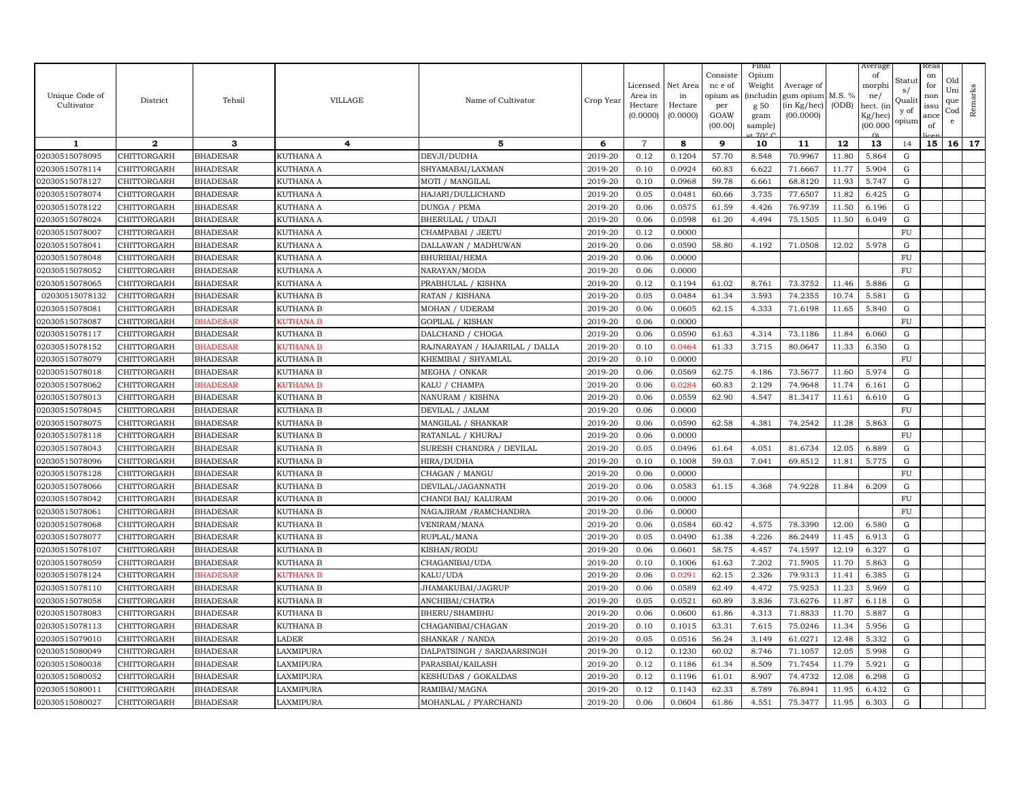| Unique Code of<br>Cultivator | District       | Tehsil          | VILLAGE          | Name of Cultivator             | Crop Year | Licensed<br>Area in<br>Hectare<br>(0.0000) | Net Area<br>in<br>Hectare<br>(0.0000) | Consiste<br>nc e of<br>opium as<br>per<br>GOAW<br>(00.00) | Final<br>Opium<br>Weight<br><i>(includin</i><br>g 50<br>gram<br>sample<br>$70^\circ$ | Average of<br>gum opium M.S. %<br>(in Kg/hec)<br>(00.0000) | (ODB) | Averag<br>of<br>morphi<br>ne/<br>hect. (ir<br>Kg/hec<br>(00.000) | Statu<br>s/<br>Quali<br>y of<br>opium | on<br>for<br>nor<br>issu<br>ance<br>of | Old<br>'Ini<br>que<br>Cod | Remarks |
|------------------------------|----------------|-----------------|------------------|--------------------------------|-----------|--------------------------------------------|---------------------------------------|-----------------------------------------------------------|--------------------------------------------------------------------------------------|------------------------------------------------------------|-------|------------------------------------------------------------------|---------------------------------------|----------------------------------------|---------------------------|---------|
| -1                           | $\overline{2}$ | з               | 4                | 5                              | 6         | $\overline{7}$                             | 8                                     | 9                                                         | 10                                                                                   | 11                                                         | 12    | 13                                                               | 14                                    | 15                                     | 16 17                     |         |
| 02030515078095               | CHITTORGARH    | <b>BHADESAR</b> | KUTHANA A        | DEVJI/DUDHA                    | 2019-20   | 0.12                                       | 0.1204                                | 57.70                                                     | 8.548                                                                                | 70.9967                                                    | 11.80 | 5.864                                                            | $\mathbf G$                           |                                        |                           |         |
| 02030515078114               | CHITTORGARH    | <b>BHADESAR</b> | KUTHANA A        | SHYAMABAI/LAXMAN               | 2019-20   | 0.10                                       | 0.0924                                | 60.83                                                     | 6.622                                                                                | 71.6667                                                    | 11.77 | 5.904                                                            | $\mathbf G$                           |                                        |                           |         |
| 02030515078127               | CHITTORGARH    | <b>BHADESAR</b> | KUTHANA A        | MOTI / MANGILAL                | 2019-20   | 0.10                                       | 0.0968                                | 59.78                                                     | 6.661                                                                                | 68.8120                                                    | 11.93 | 5.747                                                            | G                                     |                                        |                           |         |
| 02030515078074               | CHITTORGARH    | <b>BHADESAR</b> | KUTHANA A        | HAJARI/DULLICHAND              | 2019-20   | 0.05                                       | 0.0481                                | 60.66                                                     | 3.735                                                                                | 77.6507                                                    | 11.82 | 6.425                                                            | $\mathbf G$                           |                                        |                           |         |
| 02030515078122               | CHITTORGARH    | <b>BHADESAR</b> | KUTHANA A        | DUNGA / PEMA                   | 2019-20   | 0.06                                       | 0.0575                                | 61.59                                                     | 4.426                                                                                | 76.9739                                                    | 11.50 | 6.196                                                            | G                                     |                                        |                           |         |
| 02030515078024               | CHITTORGARH    | <b>BHADESAR</b> | KUTHANA A        | BHERULAL / UDAJI               | 2019-20   | 0.06                                       | 0.0598                                | 61.20                                                     | 4.494                                                                                | 75.1505                                                    | 11.50 | 6.049                                                            | G                                     |                                        |                           |         |
| 02030515078007               | CHITTORGARH    | <b>BHADESAR</b> | KUTHANA A        | CHAMPABAI / JEETU              | 2019-20   | 0.12                                       | 0.0000                                |                                                           |                                                                                      |                                                            |       |                                                                  | ${\rm FU}$                            |                                        |                           |         |
| 02030515078041               | CHITTORGARH    | <b>BHADESAR</b> | KUTHANA A        | DALLAWAN / MADHUWAN            | 2019-20   | 0.06                                       | 0.0590                                | 58.80                                                     | 4.192                                                                                | 71.0508                                                    | 12.02 | 5.978                                                            | $\mathbf G$                           |                                        |                           |         |
| 02030515078048               | CHITTORGARH    | <b>BHADESAR</b> | KUTHANA A        | BHURIBAI/HEMA                  | 2019-20   | 0.06                                       | 0.0000                                |                                                           |                                                                                      |                                                            |       |                                                                  | ${\rm FU}$                            |                                        |                           |         |
| 02030515078052               | CHITTORGARH    | <b>BHADESAR</b> | KUTHANA A        | NARAYAN/MODA                   | 2019-20   | 0.06                                       | 0.0000                                |                                                           |                                                                                      |                                                            |       |                                                                  | FU                                    |                                        |                           |         |
| 02030515078065               | CHITTORGARH    | <b>BHADESAR</b> | KUTHANA A        | PRABHULAL / KISHNA             | 2019-20   | 0.12                                       | 0.1194                                | 61.02                                                     | 8.761                                                                                | 73.3752                                                    | 11.46 | 5.886                                                            | G                                     |                                        |                           |         |
| 02030515078132               | CHITTORGARH    | <b>BHADESAR</b> | KUTHANA B        | RATAN / KISHANA                | 2019-20   | 0.05                                       | 0.0484                                | 61.34                                                     | 3.593                                                                                | 74.2355                                                    | 10.74 | 5.581                                                            | G                                     |                                        |                           |         |
| 02030515078081               | CHITTORGARH    | <b>BHADESAR</b> | KUTHANA B        | MOHAN / UDERAM                 | 2019-20   | 0.06                                       | 0.0605                                | 62.15                                                     | 4.333                                                                                | 71.6198                                                    | 11.65 | 5.840                                                            | G                                     |                                        |                           |         |
| 02030515078087               | CHITTORGARH    | <b>BHADESAR</b> | <b>KUTHANA B</b> | GOPILAL / KISHAN               | 2019-20   | 0.06                                       | 0.0000                                |                                                           |                                                                                      |                                                            |       |                                                                  | FU                                    |                                        |                           |         |
| 02030515078117               | CHITTORGARH    | <b>BHADESAR</b> | KUTHANA B        | DALCHAND / CHOGA               | 2019-20   | 0.06                                       | 0.0590                                | 61.63                                                     | 4.314                                                                                | 73.1186                                                    | 11.84 | 6.060                                                            | ${\rm G}$                             |                                        |                           |         |
| 02030515078152               | CHITTORGARH    | <b>BHADESAR</b> | <b>KUTHANA B</b> | RAJNARAYAN / HAJARILAL / DALLA | 2019-20   | 0.10                                       | 0.0464                                | 61.33                                                     | 3.715                                                                                | 80.0647                                                    | 11.33 | 6.350                                                            | $\mathbf G$                           |                                        |                           |         |
| 02030515078079               | CHITTORGARH    | <b>BHADESAR</b> | KUTHANA B        | KHEMIBAI / SHYAMLAL            | 2019-20   | 0.10                                       | 0.0000                                |                                                           |                                                                                      |                                                            |       |                                                                  | FU                                    |                                        |                           |         |
| 02030515078018               | CHITTORGARH    | <b>BHADESAR</b> | KUTHANA B        | MEGHA / ONKAR                  | 2019-20   | 0.06                                       | 0.0569                                | 62.75                                                     | 4.186                                                                                | 73.5677                                                    | 11.60 | 5.974                                                            | $\mathbf G$                           |                                        |                           |         |
| 02030515078062               | CHITTORGARH    | <b>BHADESAR</b> | <b>KUTHANA B</b> | KALU / CHAMPA                  | 2019-20   | 0.06                                       | 0.0284                                | 60.83                                                     | 2.129                                                                                | 74.9648                                                    | 11.74 | 6.161                                                            | $\mathbf G$                           |                                        |                           |         |
| 02030515078013               | CHITTORGARH    | <b>BHADESAR</b> | KUTHANA B        | NANURAM / KISHNA               | 2019-20   | 0.06                                       | 0.0559                                | 62.90                                                     | 4.547                                                                                | 81.3417                                                    | 11.61 | 6.610                                                            | $\mathbf G$                           |                                        |                           |         |
| 02030515078045               | CHITTORGARH    | <b>BHADESAR</b> | KUTHANA B        | DEVILAL / JALAM                | 2019-20   | 0.06                                       | 0.0000                                |                                                           |                                                                                      |                                                            |       |                                                                  | FU                                    |                                        |                           |         |
| 02030515078075               | CHITTORGARH    | <b>BHADESAR</b> | KUTHANA B        | MANGILAL / SHANKAR             | 2019-20   | 0.06                                       | 0.0590                                | 62.58                                                     | 4.381                                                                                | 74.2542                                                    | 11.28 | 5.863                                                            | G                                     |                                        |                           |         |
| 02030515078118               | CHITTORGARH    | <b>BHADESAR</b> | KUTHANA B        | RATANLAL / KHURAJ              | 2019-20   | 0.06                                       | 0.0000                                |                                                           |                                                                                      |                                                            |       |                                                                  | ${\rm FU}$                            |                                        |                           |         |
| 02030515078043               | CHITTORGARH    | <b>BHADESAR</b> | KUTHANA B        | SURESH CHANDRA / DEVILAL       | 2019-20   | 0.05                                       | 0.0496                                | 61.64                                                     | 4.051                                                                                | 81.6734                                                    | 12.05 | 6.889                                                            | G                                     |                                        |                           |         |
| 02030515078096               | CHITTORGARH    | <b>BHADESAR</b> | KUTHANA B        | HIRA/DUDHA                     | 2019-20   | 0.10                                       | 0.1008                                | 59.03                                                     | 7.041                                                                                | 69.8512                                                    | 11.81 | 5.775                                                            | G                                     |                                        |                           |         |
| 02030515078128               | CHITTORGARH    | <b>BHADESAR</b> | KUTHANA B        | CHAGAN / MANGU                 | 2019-20   | 0.06                                       | 0.0000                                |                                                           |                                                                                      |                                                            |       |                                                                  | FU                                    |                                        |                           |         |
| 02030515078066               | CHITTORGARH    | <b>BHADESAR</b> | KUTHANA B        | DEVILAL/JAGANNATH              | 2019-20   | 0.06                                       | 0.0583                                | 61.15                                                     | 4.368                                                                                | 74.9228                                                    | 11.84 | 6.209                                                            | G                                     |                                        |                           |         |
| 02030515078042               | CHITTORGARH    | <b>BHADESAR</b> | KUTHANA B        | CHANDI BAI/ KALURAM            | 2019-20   | 0.06                                       | 0.0000                                |                                                           |                                                                                      |                                                            |       |                                                                  | ${\rm FU}$                            |                                        |                           |         |
| 02030515078061               | CHITTORGARH    | <b>BHADESAR</b> | KUTHANA B        | NAGAJIRAM / RAMCHANDRA         | 2019-20   | 0.06                                       | 0.0000                                |                                                           |                                                                                      |                                                            |       |                                                                  | FU                                    |                                        |                           |         |
| 02030515078068               | CHITTORGARH    | <b>BHADESAR</b> | KUTHANA B        | <b>VENIRAM/MANA</b>            | 2019-20   | 0.06                                       | 0.0584                                | 60.42                                                     | 4.575                                                                                | 78.3390                                                    | 12.00 | 6.580                                                            | G                                     |                                        |                           |         |
| 02030515078077               | CHITTORGARH    | <b>BHADESAR</b> | KUTHANA B        | RUPLAL/MANA                    | 2019-20   | 0.05                                       | 0.0490                                | 61.38                                                     | 4.226                                                                                | 86.2449                                                    | 11.45 | 6.913                                                            | G                                     |                                        |                           |         |
| 02030515078107               | CHITTORGARH    | <b>BHADESAR</b> | KUTHANA B        | KISHAN/RODU                    | 2019-20   | 0.06                                       | 0.0601                                | 58.75                                                     | 4.457                                                                                | 74.1597                                                    | 12.19 | 6.327                                                            | G                                     |                                        |                           |         |
| 02030515078059               | CHITTORGARH    | <b>BHADESAR</b> | KUTHANA B        | CHAGANIBAI/UDA                 | 2019-20   | 0.10                                       | 0.1006                                | 61.63                                                     | 7.202                                                                                | 71.5905                                                    | 11.70 | 5.863                                                            | $\mathbf G$                           |                                        |                           |         |
| 02030515078124               | CHITTORGARH    | <b>BHADESAR</b> | KUTHANA B        | KALU/UDA                       | 2019-20   | 0.06                                       | 0.029                                 | 62.15                                                     | 2.326                                                                                | 79.9313                                                    | 11.41 | 6.385                                                            | G                                     |                                        |                           |         |
| 02030515078110               | CHITTORGARH    | <b>BHADESAR</b> | KUTHANA B        | JHAMAKUBAI/JAGRUP              | 2019-20   | 0.06                                       | 0.0589                                | 62.49                                                     | 4.472                                                                                | 75.9253                                                    | 11.23 | 5.969                                                            | $\mathbf G$                           |                                        |                           |         |
| 02030515078058               | CHITTORGARH    | <b>BHADESAR</b> | KUTHANA B        | ANCHIBAI/CHATRA                | 2019-20   | 0.05                                       | 0.0521                                | 60.89                                                     | 3.836                                                                                | 73.6276                                                    | 11.87 | 6.118                                                            | $\mathbf G$                           |                                        |                           |         |
| 02030515078083               | CHITTORGARH    | <b>BHADESAR</b> | KUTHANA B        | BHERU/SHAMBHU                  | 2019-20   | 0.06                                       | 0.0600                                | 61.86                                                     | 4.313                                                                                | 71.8833                                                    | 11.70 | 5.887                                                            | G                                     |                                        |                           |         |
| 02030515078113               | CHITTORGARH    | <b>BHADESAR</b> | KUTHANA B        | CHAGANIBAI/CHAGAN              | 2019-20   | 0.10                                       | 0.1015                                | 63.31                                                     | 7.615                                                                                | 75.0246                                                    | 11.34 | 5.956                                                            | G                                     |                                        |                           |         |
| 02030515079010               | CHITTORGARH    | <b>BHADESAR</b> | LADER            | SHANKAR / NANDA                | 2019-20   | 0.05                                       | 0.0516                                | 56.24                                                     | 3.149                                                                                | 61.0271                                                    | 12.48 | 5.332                                                            | G                                     |                                        |                           |         |
| 02030515080049               | CHITTORGARH    | <b>BHADESAR</b> | LAXMIPURA        | DALPATSINGH / SARDAARSINGH     | 2019-20   | 0.12                                       | 0.1230                                | 60.02                                                     | 8.746                                                                                | 71.1057                                                    | 12.05 | 5.998                                                            | G                                     |                                        |                           |         |
| 02030515080038               | CHITTORGARH    | <b>BHADESAR</b> | LAXMIPURA        | PARASBAI/KAILASH               | 2019-20   | 0.12                                       | 0.1186                                | 61.34                                                     | 8.509                                                                                | 71.7454                                                    | 11.79 | 5.921                                                            | G                                     |                                        |                           |         |
| 02030515080052               | CHITTORGARH    | <b>BHADESAR</b> | LAXMIPURA        | KESHUDAS / GOKALDAS            | 2019-20   | 0.12                                       | 0.1196                                | 61.01                                                     | 8.907                                                                                | 74.4732                                                    | 12.08 | 6.298                                                            | G                                     |                                        |                           |         |
| 02030515080011               | CHITTORGARH    | <b>BHADESAR</b> | LAXMIPURA        | RAMIBAI/MAGNA                  | 2019-20   | 0.12                                       | 0.1143                                | 62.33                                                     | 8.789                                                                                | 76.8941                                                    | 11.95 | 6.432                                                            | G                                     |                                        |                           |         |
| 02030515080027               | CHITTORGARH    | <b>BHADESAR</b> | LAXMIPURA        | MOHANLAL / PYARCHAND           | 2019-20   | 0.06                                       | 0.0604                                | 61.86                                                     | 4.551                                                                                | 75.3477                                                    | 11.95 | 6.303                                                            | G                                     |                                        |                           |         |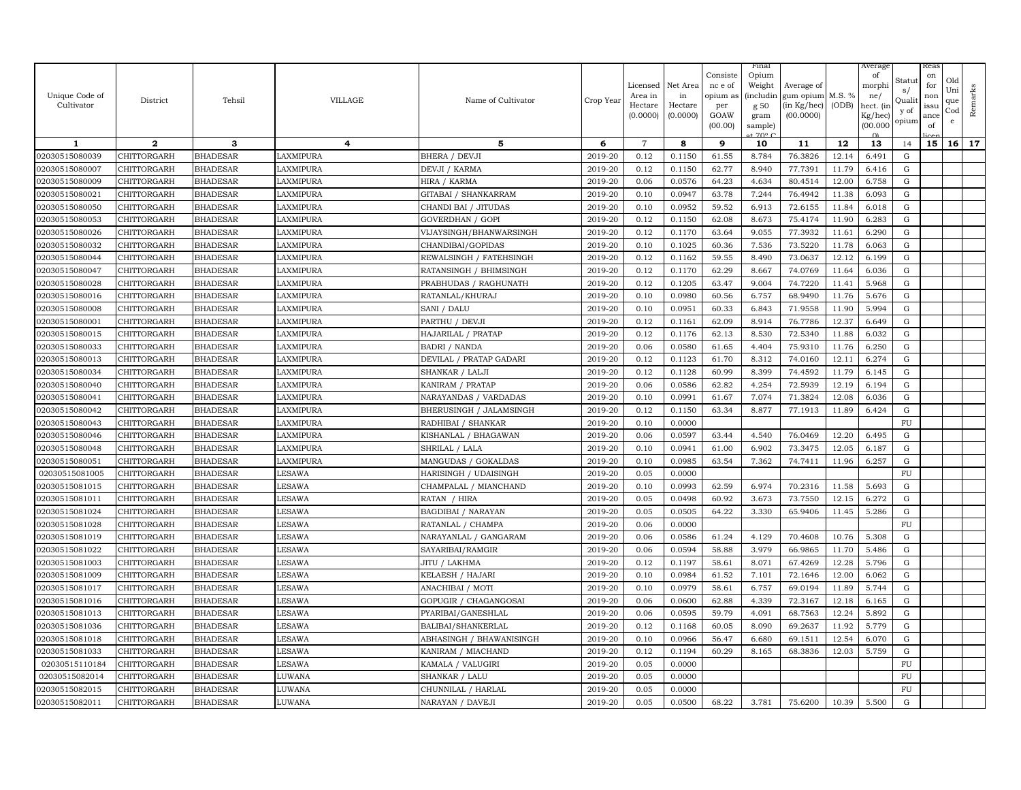| Unique Code of<br>Cultivator | District       | Tehsil          | VILLAGE         | Name of Cultivator       | Crop Year | Licensed<br>Area in<br>Hectare<br>(0.0000) | Net Area<br>in<br>Hectare<br>(0.0000) | Consiste<br>nc e of<br>opium as<br>per<br>GOAW<br>(00.00) | Final<br>Opium<br>Weight<br><i>(includin</i><br>g 50<br>gram<br>sample)<br>$70^\circ$ | Average of<br>gum opium M.S. %<br>(in Kg/hec)<br>(00.0000) | (ODB) | Average<br>of<br>morphi<br>ne/<br>hect. (in<br>Kg/hec<br>(00.000) | Statut<br>s/<br>Quali<br>y of<br>opium | on<br>for<br>nor<br>isst<br>ance<br>of | Old<br>Uni<br>que<br>Cod | Remarks |
|------------------------------|----------------|-----------------|-----------------|--------------------------|-----------|--------------------------------------------|---------------------------------------|-----------------------------------------------------------|---------------------------------------------------------------------------------------|------------------------------------------------------------|-------|-------------------------------------------------------------------|----------------------------------------|----------------------------------------|--------------------------|---------|
| -1                           | $\overline{2}$ | з               | 4               | 5                        | 6         | $\overline{7}$                             | 8                                     | 9                                                         | 10                                                                                    | 11                                                         | 12    | 13                                                                | 14                                     | 15                                     | 16 <sup>1</sup>          | 17      |
| 02030515080039               | CHITTORGARH    | <b>BHADESAR</b> | LAXMIPURA       | BHERA / DEVJI            | 2019-20   | 0.12                                       | 0.1150                                | 61.55                                                     | 8.784                                                                                 | 76.3826                                                    | 12.14 | 6.491                                                             | G                                      |                                        |                          |         |
| 02030515080007               | CHITTORGARH    | <b>BHADESAR</b> | LAXMIPURA       | DEVJI / KARMA            | 2019-20   | 0.12                                       | 0.1150                                | 62.77                                                     | 8.940                                                                                 | 77.7391                                                    | 11.79 | 6.416                                                             | G                                      |                                        |                          |         |
| 02030515080009               | CHITTORGARH    | <b>BHADESAR</b> | LAXMIPURA       | HIRA / KARMA             | 2019-20   | 0.06                                       | 0.0576                                | 64.23                                                     | 4.634                                                                                 | 80.4514                                                    | 12.00 | 6.758                                                             | G                                      |                                        |                          |         |
| 02030515080021               | CHITTORGARH    | <b>BHADESAR</b> | LAXMIPURA       | GITABAI / SHANKARRAM     | 2019-20   | 0.10                                       | 0.0947                                | 63.78                                                     | 7.244                                                                                 | 76.4942                                                    | 11.38 | 6.093                                                             | ${\rm G}$                              |                                        |                          |         |
| 02030515080050               | CHITTORGARH    | <b>BHADESAR</b> | LAXMIPURA       | CHANDI BAI / JITUDAS     | 2019-20   | 0.10                                       | 0.0952                                | 59.52                                                     | 6.913                                                                                 | 72.6155                                                    | 11.84 | 6.018                                                             | G                                      |                                        |                          |         |
| 02030515080053               | CHITTORGARH    | <b>BHADESAR</b> | LAXMIPURA       | GOVERDHAN / GOPI         | 2019-20   | 0.12                                       | 0.1150                                | 62.08                                                     | 8.673                                                                                 | 75.4174                                                    | 11.90 | 6.283                                                             | G                                      |                                        |                          |         |
| 02030515080026               | CHITTORGARH    | <b>BHADESAR</b> | LAXMIPURA       | VIJAYSINGH/BHANWARSINGH  | 2019-20   | 0.12                                       | 0.1170                                | 63.64                                                     | 9.055                                                                                 | 77.3932                                                    | 11.61 | 6.290                                                             | ${\rm G}$                              |                                        |                          |         |
| 02030515080032               | CHITTORGARH    | <b>BHADESAR</b> | LAXMIPURA       | CHANDIBAI/GOPIDAS        | 2019-20   | 0.10                                       | 0.1025                                | 60.36                                                     | 7.536                                                                                 | 73.5220                                                    | 11.78 | 6.063                                                             | G                                      |                                        |                          |         |
| 02030515080044               | CHITTORGARH    | <b>BHADESAR</b> | LAXMIPURA       | REWALSINGH / FATEHSINGH  | 2019-20   | 0.12                                       | 0.1162                                | 59.55                                                     | 8.490                                                                                 | 73.0637                                                    | 12.12 | 6.199                                                             | ${\rm G}$                              |                                        |                          |         |
| 02030515080047               | CHITTORGARH    | <b>BHADESAR</b> | LAXMIPURA       | RATANSINGH / BHIMSINGH   | 2019-20   | 0.12                                       | 0.1170                                | 62.29                                                     | 8.667                                                                                 | 74.0769                                                    | 11.64 | 6.036                                                             | G                                      |                                        |                          |         |
| 02030515080028               | CHITTORGARH    | <b>BHADESAR</b> | LAXMIPURA       | PRABHUDAS / RAGHUNATH    | 2019-20   | 0.12                                       | 0.1205                                | 63.47                                                     | 9.004                                                                                 | 74.7220                                                    | 11.41 | 5.968                                                             | G                                      |                                        |                          |         |
| 02030515080016               | CHITTORGARH    | <b>BHADESAR</b> | LAXMIPURA       | RATANLAL/KHURAJ          | 2019-20   | 0.10                                       | 0.0980                                | 60.56                                                     | 6.757                                                                                 | 68.9490                                                    | 11.76 | 5.676                                                             | ${\rm G}$                              |                                        |                          |         |
| 02030515080008               | CHITTORGARH    | <b>BHADESAR</b> | <b>AXMIPURA</b> | SANI / DALU              | 2019-20   | 0.10                                       | 0.0951                                | 60.33                                                     | 6.843                                                                                 | 71.9558                                                    | 11.90 | 5.994                                                             | ${\rm G}$                              |                                        |                          |         |
| 02030515080001               | CHITTORGARH    | <b>BHADESAR</b> | <b>AXMIPURA</b> | PARTHU / DEVJI           | 2019-20   | 0.12                                       | 0.1161                                | 62.09                                                     | 8.914                                                                                 | 76.7786                                                    | 12.37 | 6.649                                                             | G                                      |                                        |                          |         |
| 02030515080015               | CHITTORGARH    | <b>BHADESAR</b> | AXMIPURA        | HAJARILAL / PRATAP       | 2019-20   | 0.12                                       | 0.1176                                | 62.13                                                     | 8.530                                                                                 | 72.5340                                                    | 11.88 | 6.032                                                             | ${\rm G}$                              |                                        |                          |         |
| 02030515080033               | CHITTORGARH    | <b>BHADESAR</b> | <b>AXMIPURA</b> | <b>BADRI / NANDA</b>     | 2019-20   | 0.06                                       | 0.0580                                | 61.65                                                     | 4.404                                                                                 | 75.9310                                                    | 11.76 | 6.250                                                             | ${\rm G}$                              |                                        |                          |         |
| 02030515080013               | CHITTORGARH    | <b>BHADESAR</b> | LAXMIPURA       | DEVILAL / PRATAP GADARI  | 2019-20   | 0.12                                       | 0.1123                                | 61.70                                                     | 8.312                                                                                 | 74.0160                                                    | 12.11 | 6.274                                                             | G                                      |                                        |                          |         |
| 02030515080034               | CHITTORGARH    | <b>BHADESAR</b> | LAXMIPURA       | SHANKAR / LALJI          | 2019-20   | 0.12                                       | 0.1128                                | 60.99                                                     | 8.399                                                                                 | 74.4592                                                    | 11.79 | 6.145                                                             | G                                      |                                        |                          |         |
| 02030515080040               | CHITTORGARH    | <b>BHADESAR</b> | LAXMIPURA       | KANIRAM / PRATAP         | 2019-20   | 0.06                                       | 0.0586                                | 62.82                                                     | 4.254                                                                                 | 72.5939                                                    | 12.19 | 6.194                                                             | ${\rm G}$                              |                                        |                          |         |
| 02030515080041               | CHITTORGARH    | <b>BHADESAR</b> | LAXMIPURA       | NARAYANDAS / VARDADAS    | 2019-20   | 0.10                                       | 0.0991                                | 61.67                                                     | 7.074                                                                                 | 71.3824                                                    | 12.08 | 6.036                                                             | ${\rm G}$                              |                                        |                          |         |
| 02030515080042               | CHITTORGARH    | <b>BHADESAR</b> | LAXMIPURA       | BHERUSINGH / JALAMSINGH  | 2019-20   | 0.12                                       | 0.1150                                | 63.34                                                     | 8.877                                                                                 | 77.1913                                                    | 11.89 | 6.424                                                             | G                                      |                                        |                          |         |
| 02030515080043               | CHITTORGARH    | <b>BHADESAR</b> | LAXMIPURA       | RADHIBAI / SHANKAR       | 2019-20   | 0.10                                       | 0.0000                                |                                                           |                                                                                       |                                                            |       |                                                                   | FU                                     |                                        |                          |         |
| 02030515080046               | CHITTORGARH    | <b>BHADESAR</b> | LAXMIPURA       | KISHANLAL / BHAGAWAN     | 2019-20   | 0.06                                       | 0.0597                                | 63.44                                                     | 4.540                                                                                 | 76.0469                                                    | 12.20 | 6.495                                                             | G                                      |                                        |                          |         |
| 02030515080048               | CHITTORGARH    | <b>BHADESAR</b> | LAXMIPURA       | SHRILAL / LALA           | 2019-20   | 0.10                                       | 0.0941                                | 61.00                                                     | 6.902                                                                                 | 73.3475                                                    | 12.05 | 6.187                                                             | ${\rm G}$                              |                                        |                          |         |
| 02030515080051               | CHITTORGARH    | <b>BHADESAR</b> | LAXMIPURA       | MANGUDAS / GOKALDAS      | 2019-20   | 0.10                                       | 0.0985                                | 63.54                                                     | 7.362                                                                                 | 74.7411                                                    | 11.96 | 6.257                                                             | ${\rm G}$                              |                                        |                          |         |
| 02030515081005               | CHITTORGARH    | <b>BHADESAR</b> | LESAWA          | HARISINGH / UDAISINGH    | 2019-20   | 0.05                                       | 0.0000                                |                                                           |                                                                                       |                                                            |       |                                                                   | ${\rm FU}$                             |                                        |                          |         |
| 02030515081015               | CHITTORGARH    | <b>BHADESAR</b> | LESAWA          | CHAMPALAL / MIANCHAND    | 2019-20   | 0.10                                       | 0.0993                                | 62.59                                                     | 6.974                                                                                 | 70.2316                                                    | 11.58 | 5.693                                                             | G                                      |                                        |                          |         |
| 02030515081011               | CHITTORGARH    | <b>BHADESAR</b> | LESAWA          | RATAN / HIRA             | 2019-20   | 0.05                                       | 0.0498                                | 60.92                                                     | 3.673                                                                                 | 73.7550                                                    | 12.15 | 6.272                                                             | ${\rm G}$                              |                                        |                          |         |
| 02030515081024               | CHITTORGARH    | <b>BHADESAR</b> | LESAWA          | BAGDIBAI / NARAYAN       | 2019-20   | 0.05                                       | 0.0505                                | 64.22                                                     | 3.330                                                                                 | 65.9406                                                    | 11.45 | 5.286                                                             | ${\rm G}$                              |                                        |                          |         |
| 02030515081028               | CHITTORGARH    | <b>BHADESAR</b> | LESAWA          | RATANLAL / CHAMPA        | 2019-20   | 0.06                                       | 0.0000                                |                                                           |                                                                                       |                                                            |       |                                                                   | FU                                     |                                        |                          |         |
| 02030515081019               | CHITTORGARH    | <b>BHADESAR</b> | LESAWA          | NARAYANLAL / GANGARAM    | 2019-20   | 0.06                                       | 0.0586                                | 61.24                                                     | 4.129                                                                                 | 70.4608                                                    | 10.76 | 5.308                                                             | ${\rm G}$                              |                                        |                          |         |
| 02030515081022               | CHITTORGARH    | <b>BHADESAR</b> | LESAWA          | SAYARIBAI/RAMGIR         | 2019-20   | 0.06                                       | 0.0594                                | 58.88                                                     | 3.979                                                                                 | 66.9865                                                    | 11.70 | 5.486                                                             | ${\rm G}$                              |                                        |                          |         |
| 02030515081003               | CHITTORGARH    | <b>BHADESAR</b> | LESAWA          | JITU / LAKHMA            | 2019-20   | 0.12                                       | 0.1197                                | 58.61                                                     | 8.071                                                                                 | 67.4269                                                    | 12.28 | 5.796                                                             | ${\rm G}$                              |                                        |                          |         |
| 02030515081009               | CHITTORGARH    | <b>BHADESAR</b> | LESAWA          | KELAESH / HAJARI         | 2019-20   | 0.10                                       | 0.0984                                | 61.52                                                     | 7.101                                                                                 | 72.1646                                                    | 12.00 | 6.062                                                             | G                                      |                                        |                          |         |
| 02030515081017               | CHITTORGARH    | <b>BHADESAR</b> | LESAWA          | ANACHIBAI / MOTI         | 2019-20   | 0.10                                       | 0.0979                                | 58.61                                                     | 6.757                                                                                 | 69.0194                                                    | 11.89 | 5.744                                                             | ${\rm G}$                              |                                        |                          |         |
| 02030515081016               | CHITTORGARH    | <b>BHADESAR</b> | LESAWA          | GOPUGIR / CHAGANGOSAI    | 2019-20   | 0.06                                       | 0.0600                                | 62.88                                                     | 4.339                                                                                 | 72.3167                                                    | 12.18 | 6.165                                                             | ${\rm G}$                              |                                        |                          |         |
| 02030515081013               | CHITTORGARH    | <b>BHADESAR</b> | LESAWA          | PYARIBAI/GANESHLAL       | 2019-20   | 0.06                                       | 0.0595                                | 59.79                                                     | 4.091                                                                                 | 68.7563                                                    | 12.24 | 5.892                                                             | G                                      |                                        |                          |         |
| 02030515081036               | CHITTORGARH    | <b>BHADESAR</b> | LESAWA          | BALIBAI/SHANKERLAL       | 2019-20   | 0.12                                       | 0.1168                                | 60.05                                                     | 8.090                                                                                 | 69.2637                                                    | 11.92 | 5.779                                                             | G                                      |                                        |                          |         |
| 02030515081018               | CHITTORGARH    | <b>BHADESAR</b> | LESAWA          | ABHASINGH / BHAWANISINGH | 2019-20   | 0.10                                       | 0.0966                                | 56.47                                                     | 6.680                                                                                 | 69.1511                                                    | 12.54 | 6.070                                                             | G                                      |                                        |                          |         |
| 02030515081033               | CHITTORGARH    | <b>BHADESAR</b> | LESAWA          | KANIRAM / MIACHAND       | 2019-20   | 0.12                                       | 0.1194                                | 60.29                                                     | 8.165                                                                                 | 68.3836                                                    | 12.03 | 5.759                                                             | G                                      |                                        |                          |         |
| 02030515110184               | CHITTORGARH    | <b>BHADESAR</b> | LESAWA          | KAMALA / VALUGIRI        | 2019-20   | 0.05                                       | 0.0000                                |                                                           |                                                                                       |                                                            |       |                                                                   | ${\rm FU}$                             |                                        |                          |         |
| 02030515082014               | CHITTORGARH    | <b>BHADESAR</b> | LUWANA          | SHANKAR / LALU           | 2019-20   | 0.05                                       | 0.0000                                |                                                           |                                                                                       |                                                            |       |                                                                   | ${\rm FU}$                             |                                        |                          |         |
| 02030515082015               | CHITTORGARH    | <b>BHADESAR</b> | LUWANA          | CHUNNILAL / HARLAL       | 2019-20   | 0.05                                       | 0.0000                                |                                                           |                                                                                       |                                                            |       |                                                                   | ${\rm FU}$                             |                                        |                          |         |
| 02030515082011               | CHITTORGARH    | <b>BHADESAR</b> | LUWANA          | NARAYAN / DAVEJI         | 2019-20   | 0.05                                       | 0.0500                                | 68.22                                                     | 3.781                                                                                 | 75.6200                                                    | 10.39 | 5.500                                                             | ${\rm G}$                              |                                        |                          |         |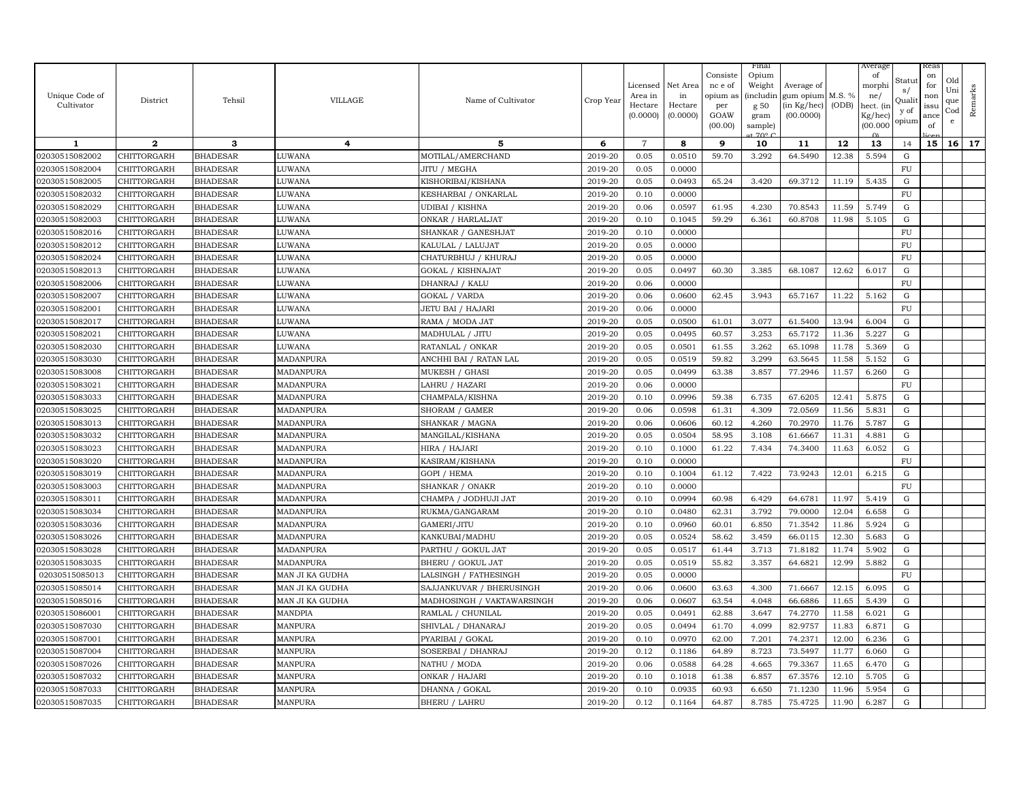| Unique Code of<br>Cultivator | District       | Tehsil          | VILLAGE         | Name of Cultivator         | Crop Year | Licensed<br>Area in<br>Hectare<br>(0.0000) | Net Area<br>in<br>Hectare<br>(0.0000) | Consiste<br>nc e of<br>opium as<br>per<br>GOAW<br>(00.00) | Final<br>Opium<br>Weight<br><i>(includin</i><br>g 50<br>gram<br>sample]<br>$70^\circ$ | Average of<br>gum opium M.S. %<br>(in Kg/hec)<br>(00.0000) | (ODB) | Averag<br>of<br>morphi<br>ne/<br>hect. (in<br>Kg/hec<br>(00.000) | Statut<br>s/<br>Quali<br>y of<br>opium | on<br>for<br>nor<br>isst<br>ance<br>of | Old<br>Uni<br>que<br>Cod<br>e | Remarks |
|------------------------------|----------------|-----------------|-----------------|----------------------------|-----------|--------------------------------------------|---------------------------------------|-----------------------------------------------------------|---------------------------------------------------------------------------------------|------------------------------------------------------------|-------|------------------------------------------------------------------|----------------------------------------|----------------------------------------|-------------------------------|---------|
| 1                            | $\overline{2}$ | з               | 4               | 5                          | 6         | $\overline{7}$                             | 8                                     | 9                                                         | 10                                                                                    | 11                                                         | 12    | 13                                                               | 14                                     | 15                                     | 16 <sup>1</sup>               | 17      |
| 02030515082002               | CHITTORGARH    | <b>BHADESAR</b> | LUWANA          | MOTILAL/AMERCHAND          | 2019-20   | 0.05                                       | 0.0510                                | 59.70                                                     | 3.292                                                                                 | 64.5490                                                    | 12.38 | 5.594                                                            | G                                      |                                        |                               |         |
| 02030515082004               | CHITTORGARH    | <b>BHADESAR</b> | LUWANA          | JITU / MEGHA               | 2019-20   | 0.05                                       | 0.0000                                |                                                           |                                                                                       |                                                            |       |                                                                  | ${\rm FU}$                             |                                        |                               |         |
| 02030515082005               | CHITTORGARH    | <b>BHADESAR</b> | LUWANA          | KISHORIBAI/KISHANA         | 2019-20   | 0.05                                       | 0.0493                                | 65.24                                                     | 3.420                                                                                 | 69.3712                                                    | 11.19 | 5.435                                                            | G                                      |                                        |                               |         |
| 02030515082032               | CHITTORGARH    | <b>BHADESAR</b> | LUWANA          | KESHARBAI / ONKARLAL       | 2019-20   | 0.10                                       | 0.0000                                |                                                           |                                                                                       |                                                            |       |                                                                  | ${\rm FU}$                             |                                        |                               |         |
| 02030515082029               | CHITTORGARH    | <b>BHADESAR</b> | LUWANA          | UDIBAI / KISHNA            | 2019-20   | 0.06                                       | 0.0597                                | 61.95                                                     | 4.230                                                                                 | 70.8543                                                    | 11.59 | 5.749                                                            | G                                      |                                        |                               |         |
| 02030515082003               | CHITTORGARH    | <b>BHADESAR</b> | LUWANA          | ONKAR / HARLALJAT          | 2019-20   | 0.10                                       | 0.1045                                | 59.29                                                     | 6.361                                                                                 | 60.8708                                                    | 11.98 | 5.105                                                            | G                                      |                                        |                               |         |
| 02030515082016               | CHITTORGARH    | <b>BHADESAR</b> | LUWANA          | SHANKAR / GANESHJAT        | 2019-20   | 0.10                                       | 0.0000                                |                                                           |                                                                                       |                                                            |       |                                                                  | ${\rm FU}$                             |                                        |                               |         |
| 02030515082012               | CHITTORGARH    | <b>BHADESAR</b> | LUWANA          | KALULAL / LALUJAT          | 2019-20   | 0.05                                       | 0.0000                                |                                                           |                                                                                       |                                                            |       |                                                                  | ${\rm FU}$                             |                                        |                               |         |
| 02030515082024               | CHITTORGARH    | <b>BHADESAR</b> | LUWANA          | CHATURBHUJ / KHURAJ        | 2019-20   | 0.05                                       | 0.0000                                |                                                           |                                                                                       |                                                            |       |                                                                  | ${\rm FU}$                             |                                        |                               |         |
| 02030515082013               | CHITTORGARH    | <b>BHADESAR</b> | LUWANA          | GOKAL / KISHNAJAT          | 2019-20   | 0.05                                       | 0.0497                                | 60.30                                                     | 3.385                                                                                 | 68.1087                                                    | 12.62 | 6.017                                                            | G                                      |                                        |                               |         |
| 02030515082006               | CHITTORGARH    | <b>BHADESAR</b> | LUWANA          | DHANRAJ / KALU             | 2019-20   | 0.06                                       | 0.0000                                |                                                           |                                                                                       |                                                            |       |                                                                  | ${\rm FU}$                             |                                        |                               |         |
| 02030515082007               | CHITTORGARH    | <b>BHADESAR</b> | LUWANA          | <b>GOKAL / VARDA</b>       | 2019-20   | 0.06                                       | 0.0600                                | 62.45                                                     | 3.943                                                                                 | 65.7167                                                    | 11.22 | 5.162                                                            | G                                      |                                        |                               |         |
| 02030515082001               | CHITTORGARH    | <b>BHADESAR</b> | LUWANA          | JETU BAI / HAJARI          | 2019-20   | 0.06                                       | 0.0000                                |                                                           |                                                                                       |                                                            |       |                                                                  | ${\rm FU}$                             |                                        |                               |         |
| 02030515082017               | CHITTORGARH    | <b>BHADESAR</b> | LUWANA          | RAMA / MODA JAT            | 2019-20   | 0.05                                       | 0.0500                                | 61.01                                                     | 3.077                                                                                 | 61.5400                                                    | 13.94 | 6.004                                                            | G                                      |                                        |                               |         |
| 02030515082021               | CHITTORGARH    | <b>BHADESAR</b> | LUWANA          | MADHULAL / JITU            | 2019-20   | 0.05                                       | 0.0495                                | 60.57                                                     | 3.253                                                                                 | 65.7172                                                    | 11.36 | 5.227                                                            | ${\rm G}$                              |                                        |                               |         |
| 02030515082030               | CHITTORGARH    | <b>BHADESAR</b> | LUWANA          | RATANLAL / ONKAR           | 2019-20   | 0.05                                       | 0.0501                                | 61.55                                                     | 3.262                                                                                 | 65.1098                                                    | 11.78 | 5.369                                                            | ${\rm G}$                              |                                        |                               |         |
| 02030515083030               | CHITTORGARH    | <b>BHADESAR</b> | MADANPURA       | ANCHHI BAI / RATAN LAL     | 2019-20   | 0.05                                       | 0.0519                                | 59.82                                                     | 3.299                                                                                 | 63.5645                                                    | 11.58 | 5.152                                                            | G                                      |                                        |                               |         |
| 02030515083008               | CHITTORGARH    | <b>BHADESAR</b> | MADANPURA       | MUKESH / GHASI             | 2019-20   | 0.05                                       | 0.0499                                | 63.38                                                     | 3.857                                                                                 | 77.2946                                                    | 11.57 | 6.260                                                            | G                                      |                                        |                               |         |
| 02030515083021               | CHITTORGARH    | <b>BHADESAR</b> | MADANPURA       | LAHRU / HAZARI             | 2019-20   | 0.06                                       | 0.0000                                |                                                           |                                                                                       |                                                            |       |                                                                  | ${\rm FU}$                             |                                        |                               |         |
| 02030515083033               | CHITTORGARH    | <b>BHADESAR</b> | MADANPURA       | CHAMPALA/KISHNA            | 2019-20   | 0.10                                       | 0.0996                                | 59.38                                                     | 6.735                                                                                 | 67.6205                                                    | 12.41 | 5.875                                                            | $\mathbf G$                            |                                        |                               |         |
| 02030515083025               | CHITTORGARH    | <b>BHADESAR</b> | MADANPURA       | SHORAM / GAMER             | 2019-20   | 0.06                                       | 0.0598                                | 61.31                                                     | 4.309                                                                                 | 72.0569                                                    | 11.56 | 5.831                                                            | G                                      |                                        |                               |         |
| 02030515083013               | CHITTORGARH    | <b>BHADESAR</b> | MADANPURA       | SHANKAR / MAGNA            | 2019-20   | 0.06                                       | 0.0606                                | 60.12                                                     | 4.260                                                                                 | 70.2970                                                    | 11.76 | 5.787                                                            | G                                      |                                        |                               |         |
| 02030515083032               | CHITTORGARH    | <b>BHADESAR</b> | MADANPURA       | MANGILAL/KISHANA           | 2019-20   | 0.05                                       | 0.0504                                | 58.95                                                     | 3.108                                                                                 | 61.6667                                                    | 11.31 | 4.881                                                            | G                                      |                                        |                               |         |
| 02030515083023               | CHITTORGARH    | <b>BHADESAR</b> | MADANPURA       | HIRA / HAJARI              | 2019-20   | 0.10                                       | 0.1000                                | 61.22                                                     | 7.434                                                                                 | 74.3400                                                    | 11.63 | 6.052                                                            | ${\rm G}$                              |                                        |                               |         |
| 02030515083020               | CHITTORGARH    | <b>BHADESAR</b> | MADANPURA       | KASIRAM/KISHANA            | 2019-20   | 0.10                                       | 0.0000                                |                                                           |                                                                                       |                                                            |       |                                                                  | FU                                     |                                        |                               |         |
| 02030515083019               | CHITTORGARH    | <b>BHADESAR</b> | MADANPURA       | GOPI / HEMA                | 2019-20   | 0.10                                       | 0.1004                                | 61.12                                                     | 7.422                                                                                 | 73.9243                                                    | 12.01 | 6.215                                                            | G                                      |                                        |                               |         |
| 02030515083003               | CHITTORGARH    | <b>BHADESAR</b> | MADANPURA       | SHANKAR / ONAKR            | 2019-20   | 0.10                                       | 0.0000                                |                                                           |                                                                                       |                                                            |       |                                                                  | ${\rm FU}$                             |                                        |                               |         |
| 02030515083011               | CHITTORGARH    | <b>BHADESAR</b> | MADANPURA       | CHAMPA / JODHUJI JAT       | 2019-20   | 0.10                                       | 0.0994                                | 60.98                                                     | 6.429                                                                                 | 64.6781                                                    | 11.97 | 5.419                                                            | ${\rm G}$                              |                                        |                               |         |
| 02030515083034               | CHITTORGARH    | <b>BHADESAR</b> | MADANPURA       | RUKMA/GANGARAM             | 2019-20   | 0.10                                       | 0.0480                                | 62.31                                                     | 3.792                                                                                 | 79.0000                                                    | 12.04 | 6.658                                                            | G                                      |                                        |                               |         |
| 02030515083036               | CHITTORGARH    | <b>BHADESAR</b> | MADANPURA       | GAMERI/JITU                | 2019-20   | 0.10                                       | 0.0960                                | 60.01                                                     | 6.850                                                                                 | 71.3542                                                    | 11.86 | 5.924                                                            | G                                      |                                        |                               |         |
| 02030515083026               | CHITTORGARH    | <b>BHADESAR</b> | MADANPURA       | KANKUBAI/MADHU             | 2019-20   | 0.05                                       | 0.0524                                | 58.62                                                     | 3.459                                                                                 | 66.0115                                                    | 12.30 | 5.683                                                            | ${\rm G}$                              |                                        |                               |         |
| 02030515083028               | CHITTORGARH    | <b>BHADESAR</b> | MADANPURA       | PARTHU / GOKUL JAT         | 2019-20   | 0.05                                       | 0.0517                                | 61.44                                                     | 3.713                                                                                 | 71.8182                                                    | 11.74 | 5.902                                                            | G                                      |                                        |                               |         |
| 02030515083035               | CHITTORGARH    | <b>BHADESAR</b> | MADANPURA       | <b>BHERU / GOKUL JAT</b>   | 2019-20   | 0.05                                       | 0.0519                                | 55.82                                                     | 3.357                                                                                 | 64.6821                                                    | 12.99 | 5.882                                                            | G                                      |                                        |                               |         |
| 02030515085013               | CHITTORGARH    | <b>BHADESAR</b> | MAN JI KA GUDHA | LALSINGH / FATHESINGH      | 2019-20   | 0.05                                       | 0.0000                                |                                                           |                                                                                       |                                                            |       |                                                                  | ${\rm FU}$                             |                                        |                               |         |
| 02030515085014               | CHITTORGARH    | <b>BHADESAR</b> | MAN JI KA GUDHA | SAJJANKUVAR / BHERUSINGH   | 2019-20   | 0.06                                       | 0.0600                                | 63.63                                                     | 4.300                                                                                 | 71.6667                                                    | 12.15 | 6.095                                                            | G                                      |                                        |                               |         |
| 02030515085016               | CHITTORGARH    | <b>BHADESAR</b> | MAN JI KA GUDHA | MADHOSINGH / VAKTAWARSINGH | 2019-20   | 0.06                                       | 0.0607                                | 63.54                                                     | 4.048                                                                                 | 66.6886                                                    | 11.65 | 5.439                                                            | ${\rm G}$                              |                                        |                               |         |
| 02030515086001               | CHITTORGARH    | <b>BHADESAR</b> | MANDPIA         | RAMLAL / CHUNILAL          | 2019-20   | 0.05                                       | 0.0491                                | 62.88                                                     | 3.647                                                                                 | 74.2770                                                    | 11.58 | 6.021                                                            | G                                      |                                        |                               |         |
| 02030515087030               | CHITTORGARH    | <b>BHADESAR</b> | MANPURA         | SHIVLAL / DHANARAJ         | 2019-20   | 0.05                                       | 0.0494                                | 61.70                                                     | 4.099                                                                                 | 82.9757                                                    | 11.83 | 6.871                                                            | G                                      |                                        |                               |         |
| 02030515087001               | CHITTORGARH    | <b>BHADESAR</b> | MANPURA         | PYARIBAI / GOKAL           | 2019-20   | 0.10                                       | 0.0970                                | 62.00                                                     | 7.201                                                                                 | 74.2371                                                    | 12.00 | 6.236                                                            | G                                      |                                        |                               |         |
| 02030515087004               | CHITTORGARH    | <b>BHADESAR</b> | MANPURA         | SOSERBAI / DHANRAJ         | 2019-20   | 0.12                                       | 0.1186                                | 64.89                                                     | 8.723                                                                                 | 73.5497                                                    | 11.77 | 6.060                                                            | G                                      |                                        |                               |         |
| 02030515087026               | CHITTORGARH    | <b>BHADESAR</b> | MANPURA         | NATHU / MODA               | 2019-20   | 0.06                                       | 0.0588                                | 64.28                                                     | 4.665                                                                                 | 79.3367                                                    | 11.65 | 6.470                                                            | G                                      |                                        |                               |         |
| 02030515087032               | CHITTORGARH    | <b>BHADESAR</b> | MANPURA         | ONKAR / HAJARI             | 2019-20   | 0.10                                       | 0.1018                                | 61.38                                                     | 6.857                                                                                 | 67.3576                                                    | 12.10 | 5.705                                                            | G                                      |                                        |                               |         |
| 02030515087033               | CHITTORGARH    | <b>BHADESAR</b> | <b>MANPURA</b>  | DHANNA / GOKAL             | 2019-20   | 0.10                                       | 0.0935                                | 60.93                                                     | 6.650                                                                                 | 71.1230                                                    | 11.96 | 5.954                                                            | ${\rm G}$                              |                                        |                               |         |
| 02030515087035               | CHITTORGARH    | <b>BHADESAR</b> | <b>MANPURA</b>  | <b>BHERU / LAHRU</b>       | 2019-20   | 0.12                                       | 0.1164                                | 64.87                                                     | 8.785                                                                                 | 75.4725                                                    | 11.90 | 6.287                                                            | ${\rm G}$                              |                                        |                               |         |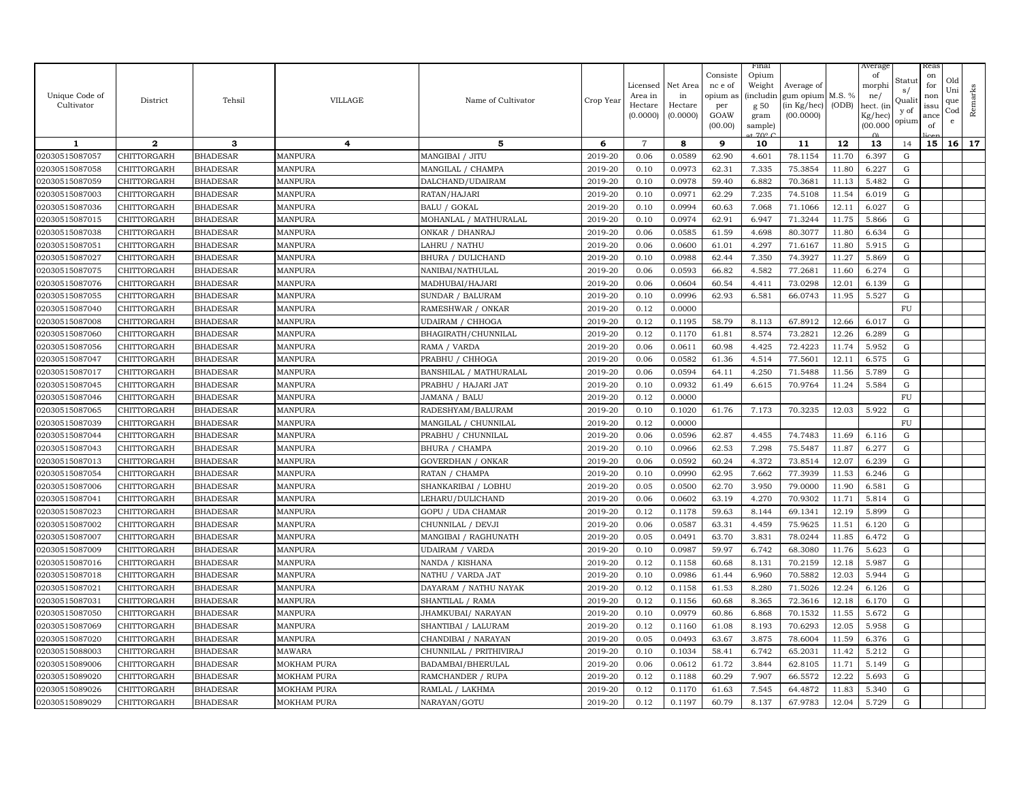| Unique Code of<br>Cultivator | District       | Tehsil          | VILLAGE            | Name of Cultivator      | Crop Year | Licensed<br>Area in<br>Hectare<br>(0.0000) | Net Area<br>in<br>Hectare<br>(0.0000) | Consiste<br>nc e of<br>opium as<br>per<br>GOAW<br>(00.00) | Final<br>Opium<br>Weight<br><i>(includin</i><br>g 50<br>gram<br>sample)<br>$70^\circ$ | Average of<br>gum opium M.S. %<br>(in Kg/hec)<br>(00.0000) | (ODB) | Averag<br>of<br>morphi<br>ne/<br>hect. (in<br>Kg/hec<br>(00.000) | Statut<br>s/<br>Quali<br>y of<br>opium | on<br>for<br>nor<br>isst<br>ance<br>of | Old<br>Uni<br>que<br>Cod | Remarks |
|------------------------------|----------------|-----------------|--------------------|-------------------------|-----------|--------------------------------------------|---------------------------------------|-----------------------------------------------------------|---------------------------------------------------------------------------------------|------------------------------------------------------------|-------|------------------------------------------------------------------|----------------------------------------|----------------------------------------|--------------------------|---------|
| -1                           | $\overline{2}$ | з               | 4                  | 5                       | 6         | $\overline{7}$                             | 8                                     | 9                                                         | 10                                                                                    | 11                                                         | 12    | 13                                                               | 14                                     | 15                                     | 16 <sup>1</sup>          | 17      |
| 02030515087057               | CHITTORGARH    | <b>BHADESAR</b> | <b>MANPURA</b>     | MANGIBAI / JITU         | 2019-20   | 0.06                                       | 0.0589                                | 62.90                                                     | 4.601                                                                                 | 78.1154                                                    | 11.70 | 6.397                                                            | G                                      |                                        |                          |         |
| 02030515087058               | CHITTORGARH    | <b>BHADESAR</b> | MANPURA            | MANGILAL / CHAMPA       | 2019-20   | 0.10                                       | 0.0973                                | 62.31                                                     | 7.335                                                                                 | 75.3854                                                    | 11.80 | 6.227                                                            | G                                      |                                        |                          |         |
| 02030515087059               | CHITTORGARH    | <b>BHADESAR</b> | MANPURA            | DALCHAND/UDAIRAM        | 2019-20   | 0.10                                       | 0.0978                                | 59.40                                                     | 6.882                                                                                 | 70.3681                                                    | 11.13 | 5.482                                                            | G                                      |                                        |                          |         |
| 02030515087003               | CHITTORGARH    | <b>BHADESAR</b> | <b>MANPURA</b>     | RATAN/HAJARI            | 2019-20   | 0.10                                       | 0.0971                                | 62.29                                                     | 7.235                                                                                 | 74.5108                                                    | 11.54 | 6.019                                                            | ${\rm G}$                              |                                        |                          |         |
| 02030515087036               | CHITTORGARH    | <b>BHADESAR</b> | MANPURA            | <b>BALU / GOKAL</b>     | 2019-20   | 0.10                                       | 0.0994                                | 60.63                                                     | 7.068                                                                                 | 71.1066                                                    | 12.11 | 6.027                                                            | G                                      |                                        |                          |         |
| 02030515087015               | CHITTORGARH    | <b>BHADESAR</b> | MANPURA            | MOHANLAL / MATHURALAL   | 2019-20   | 0.10                                       | 0.0974                                | 62.91                                                     | 6.947                                                                                 | 71.3244                                                    | 11.75 | 5.866                                                            | G                                      |                                        |                          |         |
| 02030515087038               | CHITTORGARH    | <b>BHADESAR</b> | MANPURA            | ONKAR / DHANRAJ         | 2019-20   | 0.06                                       | 0.0585                                | 61.59                                                     | 4.698                                                                                 | 80.3077                                                    | 11.80 | 6.634                                                            | ${\rm G}$                              |                                        |                          |         |
| 02030515087051               | CHITTORGARH    | <b>BHADESAR</b> | MANPURA            | LAHRU / NATHU           | 2019-20   | 0.06                                       | 0.0600                                | 61.01                                                     | 4.297                                                                                 | 71.6167                                                    | 11.80 | 5.915                                                            | G                                      |                                        |                          |         |
| 02030515087027               | CHITTORGARH    | <b>BHADESAR</b> | <b>MANPURA</b>     | BHURA / DULICHAND       | 2019-20   | 0.10                                       | 0.0988                                | 62.44                                                     | 7.350                                                                                 | 74.3927                                                    | 11.27 | 5.869                                                            | ${\rm G}$                              |                                        |                          |         |
| 02030515087075               | CHITTORGARH    | <b>BHADESAR</b> | MANPURA            | NANIBAI/NATHULAL        | 2019-20   | 0.06                                       | 0.0593                                | 66.82                                                     | 4.582                                                                                 | 77.2681                                                    | 11.60 | 6.274                                                            | G                                      |                                        |                          |         |
| 02030515087076               | CHITTORGARH    | <b>BHADESAR</b> | <b>MANPURA</b>     | MADHUBAI/HAJARI         | 2019-20   | 0.06                                       | 0.0604                                | 60.54                                                     | 4.411                                                                                 | 73.0298                                                    | 12.01 | 6.139                                                            | G                                      |                                        |                          |         |
| 02030515087055               | CHITTORGARH    | <b>BHADESAR</b> | <b>MANPURA</b>     | SUNDAR / BALURAM        | 2019-20   | 0.10                                       | 0.0996                                | 62.93                                                     | 6.581                                                                                 | 66.0743                                                    | 11.95 | 5.527                                                            | ${\rm G}$                              |                                        |                          |         |
| 02030515087040               | CHITTORGARH    | <b>BHADESAR</b> | MANPURA            | RAMESHWAR / ONKAR       | 2019-20   | 0.12                                       | 0.0000                                |                                                           |                                                                                       |                                                            |       |                                                                  | FU                                     |                                        |                          |         |
| 02030515087008               | CHITTORGARH    | <b>BHADESAR</b> | MANPURA            | UDAIRAM / CHHOGA        | 2019-20   | 0.12                                       | 0.1195                                | 58.79                                                     | 8.113                                                                                 | 67.8912                                                    | 12.66 | 6.017                                                            | G                                      |                                        |                          |         |
| 02030515087060               | CHITTORGARH    | <b>BHADESAR</b> | MANPURA            | BHAGIRATH/CHUNNILAL     | 2019-20   | 0.12                                       | 0.1170                                | 61.81                                                     | 8.574                                                                                 | 73.2821                                                    | 12.26 | 6.289                                                            | ${\rm G}$                              |                                        |                          |         |
| 02030515087056               | CHITTORGARH    | <b>BHADESAR</b> | MANPURA            | RAMA / VARDA            | 2019-20   | 0.06                                       | 0.0611                                | 60.98                                                     | 4.425                                                                                 | 72.4223                                                    | 11.74 | 5.952                                                            | ${\rm G}$                              |                                        |                          |         |
| 02030515087047               | CHITTORGARH    | <b>BHADESAR</b> | MANPURA            | PRABHU / CHHOGA         | 2019-20   | 0.06                                       | 0.0582                                | 61.36                                                     | 4.514                                                                                 | 77.5601                                                    | 12.11 | 6.575                                                            | G                                      |                                        |                          |         |
| 02030515087017               | CHITTORGARH    | <b>BHADESAR</b> | MANPURA            | BANSHILAL / MATHURALAL  | 2019-20   | 0.06                                       | 0.0594                                | 64.11                                                     | 4.250                                                                                 | 71.5488                                                    | 11.56 | 5.789                                                            | G                                      |                                        |                          |         |
| 02030515087045               | CHITTORGARH    | <b>BHADESAR</b> | <b>MANPURA</b>     | PRABHU / HAJARI JAT     | 2019-20   | 0.10                                       | 0.0932                                | 61.49                                                     | 6.615                                                                                 | 70.9764                                                    | 11.24 | 5.584                                                            | ${\rm G}$                              |                                        |                          |         |
| 02030515087046               | CHITTORGARH    | <b>BHADESAR</b> | <b>MANPURA</b>     | JAMANA / BALU           | 2019-20   | 0.12                                       | 0.0000                                |                                                           |                                                                                       |                                                            |       |                                                                  | ${\rm FU}$                             |                                        |                          |         |
| 02030515087065               | CHITTORGARH    | <b>BHADESAR</b> | MANPURA            | RADESHYAM/BALURAM       | 2019-20   | 0.10                                       | 0.1020                                | 61.76                                                     | 7.173                                                                                 | 70.3235                                                    | 12.03 | 5.922                                                            | G                                      |                                        |                          |         |
| 02030515087039               | CHITTORGARH    | <b>BHADESAR</b> | MANPURA            | MANGILAL / CHUNNILAL    | 2019-20   | 0.12                                       | 0.0000                                |                                                           |                                                                                       |                                                            |       |                                                                  | FU                                     |                                        |                          |         |
| 02030515087044               | CHITTORGARH    | <b>BHADESAR</b> | MANPURA            | PRABHU / CHUNNILAL      | 2019-20   | 0.06                                       | 0.0596                                | 62.87                                                     | 4.455                                                                                 | 74.7483                                                    | 11.69 | 6.116                                                            | G                                      |                                        |                          |         |
| 02030515087043               | CHITTORGARH    | <b>BHADESAR</b> | MANPURA            | BHURA / CHAMPA          | 2019-20   | 0.10                                       | 0.0966                                | 62.53                                                     | 7.298                                                                                 | 75.5487                                                    | 11.87 | 6.277                                                            | ${\rm G}$                              |                                        |                          |         |
| 02030515087013               | CHITTORGARH    | <b>BHADESAR</b> | MANPURA            | GOVERDHAN / ONKAR       | 2019-20   | 0.06                                       | 0.0592                                | 60.24                                                     | 4.372                                                                                 | 73.8514                                                    | 12.07 | 6.239                                                            | G                                      |                                        |                          |         |
| 02030515087054               | CHITTORGARH    | <b>BHADESAR</b> | <b>MANPURA</b>     | RATAN / CHAMPA          | 2019-20   | 0.10                                       | 0.0990                                | 62.95                                                     | 7.662                                                                                 | 77.3939                                                    | 11.53 | 6.246                                                            | G                                      |                                        |                          |         |
| 02030515087006               | CHITTORGARH    | <b>BHADESAR</b> | <b>MANPURA</b>     | SHANKARIBAI / LOBHU     | 2019-20   | 0.05                                       | 0.0500                                | 62.70                                                     | 3.950                                                                                 | 79.0000                                                    | 11.90 | 6.581                                                            | G                                      |                                        |                          |         |
| 02030515087041               | CHITTORGARH    | <b>BHADESAR</b> | <b>MANPURA</b>     | LEHARU/DULICHAND        | 2019-20   | 0.06                                       | 0.0602                                | 63.19                                                     | 4.270                                                                                 | 70.9302                                                    | 11.71 | 5.814                                                            | ${\rm G}$                              |                                        |                          |         |
| 02030515087023               | CHITTORGARH    | <b>BHADESAR</b> | MANPURA            | GOPU / UDA CHAMAR       | 2019-20   | 0.12                                       | 0.1178                                | 59.63                                                     | 8.144                                                                                 | 69.1341                                                    | 12.19 | 5.899                                                            | G                                      |                                        |                          |         |
| 02030515087002               | CHITTORGARH    | <b>BHADESAR</b> | MANPURA            | CHUNNILAL / DEVJI       | 2019-20   | 0.06                                       | 0.0587                                | 63.31                                                     | 4.459                                                                                 | 75.9625                                                    | 11.51 | 6.120                                                            | $\mathbf G$                            |                                        |                          |         |
| 02030515087007               | CHITTORGARH    | <b>BHADESAR</b> | MANPURA            | MANGIBAI / RAGHUNATH    | 2019-20   | 0.05                                       | 0.0491                                | 63.70                                                     | 3.831                                                                                 | 78.0244                                                    | 11.85 | 6.472                                                            | ${\rm G}$                              |                                        |                          |         |
| 02030515087009               | CHITTORGARH    | <b>BHADESAR</b> | MANPURA            | <b>UDAIRAM / VARDA</b>  | 2019-20   | 0.10                                       | 0.0987                                | 59.97                                                     | 6.742                                                                                 | 68.3080                                                    | 11.76 | 5.623                                                            | ${\rm G}$                              |                                        |                          |         |
| 02030515087016               | CHITTORGARH    | <b>BHADESAR</b> | MANPURA            | NANDA / KISHANA         | 2019-20   | 0.12                                       | 0.1158                                | 60.68                                                     | 8.131                                                                                 | 70.2159                                                    | 12.18 | 5.987                                                            | G                                      |                                        |                          |         |
| 02030515087018               | CHITTORGARH    | <b>BHADESAR</b> | MANPURA            | NATHU / VARDA JAT       | 2019-20   | 0.10                                       | 0.0986                                | 61.44                                                     | 6.960                                                                                 | 70.5882                                                    | 12.03 | 5.944                                                            | G                                      |                                        |                          |         |
| 02030515087021               | CHITTORGARH    | <b>BHADESAR</b> | <b>MANPURA</b>     | DAYARAM / NATHU NAYAK   | 2019-20   | 0.12                                       | 0.1158                                | 61.53                                                     | 8.280                                                                                 | 71.5026                                                    | 12.24 | 6.126                                                            | ${\rm G}$                              |                                        |                          |         |
| 02030515087031               | CHITTORGARH    | <b>BHADESAR</b> | MANPURA            | SHANTILAL / RAMA        | 2019-20   | 0.12                                       | 0.1156                                | 60.68                                                     | 8.365                                                                                 | 72.3616                                                    | 12.18 | 6.170                                                            | G                                      |                                        |                          |         |
| 02030515087050               | CHITTORGARH    | <b>BHADESAR</b> | MANPURA            | JHAMKUBAI/ NARAYAN      | 2019-20   | 0.10                                       | 0.0979                                | 60.86                                                     | 6.868                                                                                 | 70.1532                                                    | 11.55 | 5.672                                                            | G                                      |                                        |                          |         |
| 02030515087069               | CHITTORGARH    | <b>BHADESAR</b> | MANPURA            | SHANTIBAI / LALURAM     | 2019-20   | 0.12                                       | 0.1160                                | 61.08                                                     | 8.193                                                                                 | 70.6293                                                    | 12.05 | 5.958                                                            | G                                      |                                        |                          |         |
| 02030515087020               | CHITTORGARH    | <b>BHADESAR</b> | MANPURA            | CHANDIBAI / NARAYAN     | 2019-20   | 0.05                                       | 0.0493                                | 63.67                                                     | 3.875                                                                                 | 78.6004                                                    | 11.59 | 6.376                                                            | G                                      |                                        |                          |         |
| 02030515088003               | CHITTORGARH    | <b>BHADESAR</b> | MAWARA             | CHUNNILAL / PRITHIVIRAJ | 2019-20   | 0.10                                       | 0.1034                                | 58.41                                                     | 6.742                                                                                 | 65.2031                                                    | 11.42 | 5.212                                                            | G                                      |                                        |                          |         |
| 02030515089006               | CHITTORGARH    | <b>BHADESAR</b> | MOKHAM PURA        | BADAMBAI/BHERULAL       | 2019-20   | 0.06                                       | 0.0612                                | 61.72                                                     | 3.844                                                                                 | 62.8105                                                    | 11.71 | 5.149                                                            | G                                      |                                        |                          |         |
| 02030515089020               | CHITTORGARH    | <b>BHADESAR</b> | MOKHAM PURA        | RAMCHANDER / RUPA       | 2019-20   | 0.12                                       | 0.1188                                | 60.29                                                     | 7.907                                                                                 | 66.5572                                                    | 12.22 | 5.693                                                            | G                                      |                                        |                          |         |
| 02030515089026               | CHITTORGARH    | <b>BHADESAR</b> | MOKHAM PURA        | RAMLAL / LAKHMA         | 2019-20   | 0.12                                       | 0.1170                                | 61.63                                                     | 7.545                                                                                 | 64.4872                                                    | 11.83 | 5.340                                                            | ${\rm G}$                              |                                        |                          |         |
| 02030515089029               | CHITTORGARH    | <b>BHADESAR</b> | <b>MOKHAM PURA</b> | NARAYAN/GOTU            | 2019-20   | 0.12                                       | 0.1197                                | 60.79                                                     | 8.137                                                                                 | 67.9783                                                    | 12.04 | 5.729                                                            | ${\rm G}$                              |                                        |                          |         |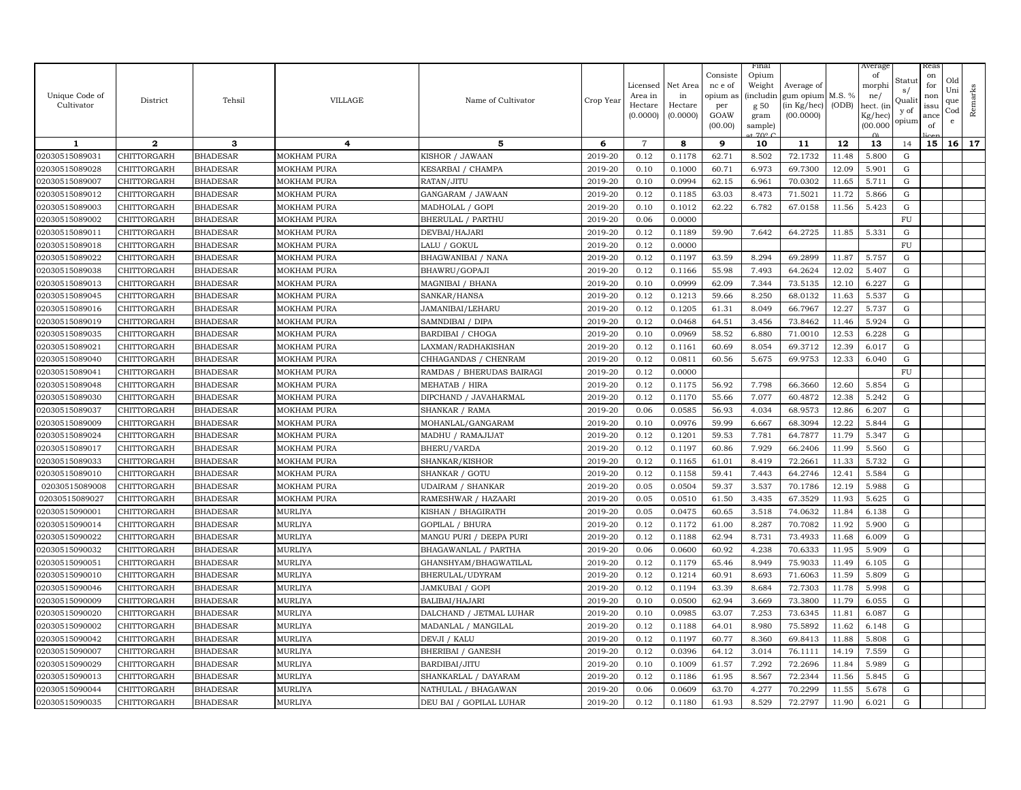| Unique Code of<br>Cultivator<br>1 | District<br>$\mathbf{2}$ | Tehsil<br>3                        | VILLAGE<br>4       | Name of Cultivator<br>5   | Crop Year<br>6 | Licensed<br>Area in<br>Hectare<br>(0.0000)<br>$\overline{7}$ | Net Area<br>in<br>Hectare<br>(0.0000)<br>8 | Consiste<br>nc e of<br>opium as<br>per<br>GOAW<br>(00.00)<br>9 | Final<br>Opium<br>Weight<br><i>(includin</i><br>g 50<br>gram<br>sample)<br>$70^\circ$<br>10 | Average of<br>gum opium M.S. %<br>(in Kg/hec)<br>(00.0000)<br>11 | (ODB)<br>12 | Averag<br>of<br>morphi<br>ne/<br>hect. (in<br>Kg/hec<br>(00.000) | Statu<br>s/<br>Quali<br>y of<br>opium | kea<br>on<br>for<br>nor<br>isst<br>ance<br>of | Old<br>Uni<br>que<br>Cod | Remarks<br>$16$ 17 |
|-----------------------------------|--------------------------|------------------------------------|--------------------|---------------------------|----------------|--------------------------------------------------------------|--------------------------------------------|----------------------------------------------------------------|---------------------------------------------------------------------------------------------|------------------------------------------------------------------|-------------|------------------------------------------------------------------|---------------------------------------|-----------------------------------------------|--------------------------|--------------------|
| 02030515089031                    | CHITTORGARH              |                                    | <b>MOKHAM PURA</b> | KISHOR / JAWAAN           | 2019-20        | 0.12                                                         | 0.1178                                     | 62.71                                                          | 8.502                                                                                       | 72.1732                                                          | 11.48       | 13<br>5.800                                                      | 14<br>G                               | 15                                            |                          |                    |
| 02030515089028                    | CHITTORGARH              | <b>BHADESAR</b><br><b>BHADESAR</b> | MOKHAM PURA        | KESARBAI / CHAMPA         | 2019-20        | 0.10                                                         | 0.1000                                     | 60.71                                                          | 6.973                                                                                       | 69.7300                                                          | 12.09       | 5.901                                                            | ${\rm G}$                             |                                               |                          |                    |
| 02030515089007                    | CHITTORGARH              | <b>BHADESAR</b>                    | MOKHAM PURA        | RATAN/JITU                | 2019-20        | 0.10                                                         | 0.0994                                     | 62.15                                                          | 6.961                                                                                       | 70.0302                                                          | 11.65       | 5.711                                                            | G                                     |                                               |                          |                    |
| 02030515089012                    | CHITTORGARH              | <b>BHADESAR</b>                    | MOKHAM PURA        | GANGARAM / JAWAAN         | 2019-20        | 0.12                                                         | 0.1185                                     | 63.03                                                          | 8.473                                                                                       | 71.5021                                                          | 11.72       | 5.866                                                            | G                                     |                                               |                          |                    |
| 02030515089003                    | CHITTORGARH              | <b>BHADESAR</b>                    | MOKHAM PURA        | MADHOLAL / GOPI           | 2019-20        | 0.10                                                         | 0.1012                                     | 62.22                                                          | 6.782                                                                                       | 67.0158                                                          | 11.56       | 5.423                                                            | G                                     |                                               |                          |                    |
| 02030515089002                    | CHITTORGARH              | <b>BHADESAR</b>                    | MOKHAM PURA        | BHERULAL / PARTHU         | 2019-20        | 0.06                                                         | 0.0000                                     |                                                                |                                                                                             |                                                                  |             |                                                                  | FU                                    |                                               |                          |                    |
| 02030515089011                    | CHITTORGARH              | <b>BHADESAR</b>                    | MOKHAM PURA        | DEVBAI/HAJARI             | 2019-20        | 0.12                                                         | 0.1189                                     | 59.90                                                          | 7.642                                                                                       | 64.2725                                                          | 11.85       | 5.331                                                            | G                                     |                                               |                          |                    |
| 02030515089018                    | CHITTORGARH              | <b>BHADESAR</b>                    | MOKHAM PURA        | LALU / GOKUL              | 2019-20        | 0.12                                                         | 0.0000                                     |                                                                |                                                                                             |                                                                  |             |                                                                  | FU                                    |                                               |                          |                    |
| 02030515089022                    | CHITTORGARH              | <b>BHADESAR</b>                    | MOKHAM PURA        | BHAGWANIBAI / NANA        | 2019-20        | 0.12                                                         | 0.1197                                     | 63.59                                                          | 8.294                                                                                       | 69.2899                                                          | 11.87       | 5.757                                                            | ${\rm G}$                             |                                               |                          |                    |
| 02030515089038                    | CHITTORGARH              | <b>BHADESAR</b>                    | MOKHAM PURA        | BHAWRU/GOPAJI             | 2019-20        | 0.12                                                         | 0.1166                                     | 55.98                                                          | 7.493                                                                                       | 64.2624                                                          | 12.02       | 5.407                                                            | G                                     |                                               |                          |                    |
| 02030515089013                    | CHITTORGARH              | <b>BHADESAR</b>                    | <b>MOKHAM PURA</b> | MAGNIBAI / BHANA          | 2019-20        | 0.10                                                         | 0.0999                                     | 62.09                                                          | 7.344                                                                                       | 73.5135                                                          | 12.10       | 6.227                                                            | G                                     |                                               |                          |                    |
| 02030515089045                    | CHITTORGARH              | <b>BHADESAR</b>                    | MOKHAM PURA        | SANKAR/HANSA              | 2019-20        | 0.12                                                         | 0.1213                                     | 59.66                                                          | 8.250                                                                                       | 68.0132                                                          | 11.63       | 5.537                                                            | G                                     |                                               |                          |                    |
| 02030515089016                    | CHITTORGARH              | <b>BHADESAR</b>                    | MOKHAM PURA        | JAMANIBAI/LEHARU          | 2019-20        | 0.12                                                         | 0.1205                                     | 61.31                                                          | 8.049                                                                                       | 66.7967                                                          | 12.27       | 5.737                                                            | ${\rm G}$                             |                                               |                          |                    |
| 02030515089019                    | CHITTORGARH              | <b>BHADESAR</b>                    | MOKHAM PURA        | SAMNDIBAI / DIPA          | 2019-20        | 0.12                                                         | 0.0468                                     | 64.51                                                          | 3.456                                                                                       | 73.8462                                                          | 11.46       | 5.924                                                            | ${\rm G}$                             |                                               |                          |                    |
| 02030515089035                    | CHITTORGARH              | <b>BHADESAR</b>                    | <b>MOKHAM PURA</b> | BARDIBAI / CHOGA          | 2019-20        | 0.10                                                         | 0.0969                                     | 58.52                                                          | 6.880                                                                                       | 71.0010                                                          | 12.53       | 6.228                                                            | $\mathbf G$                           |                                               |                          |                    |
| 02030515089021                    | CHITTORGARH              | <b>BHADESAR</b>                    | MOKHAM PURA        | LAXMAN/RADHAKISHAN        | 2019-20        | 0.12                                                         | 0.1161                                     | 60.69                                                          | 8.054                                                                                       | 69.3712                                                          | 12.39       | 6.017                                                            | $\mathbf G$                           |                                               |                          |                    |
| 02030515089040                    | CHITTORGARH              | <b>BHADESAR</b>                    | MOKHAM PURA        | CHHAGANDAS / CHENRAM      | 2019-20        | 0.12                                                         | 0.0811                                     | 60.56                                                          | 5.675                                                                                       | 69.9753                                                          | 12.33       | 6.040                                                            | G                                     |                                               |                          |                    |
| 02030515089041                    | CHITTORGARH              | <b>BHADESAR</b>                    | MOKHAM PURA        | RAMDAS / BHERUDAS BAIRAGI | 2019-20        | 0.12                                                         | 0.0000                                     |                                                                |                                                                                             |                                                                  |             |                                                                  | ${\rm FU}$                            |                                               |                          |                    |
| 02030515089048                    | CHITTORGARH              | <b>BHADESAR</b>                    | MOKHAM PURA        | MEHATAB / HIRA            | 2019-20        | 0.12                                                         | 0.1175                                     | 56.92                                                          | 7.798                                                                                       | 66.3660                                                          | 12.60       | 5.854                                                            | G                                     |                                               |                          |                    |
| 02030515089030                    | CHITTORGARH              | <b>BHADESAR</b>                    | MOKHAM PURA        | DIPCHAND / JAVAHARMAL     | 2019-20        | 0.12                                                         | 0.1170                                     | 55.66                                                          | 7.077                                                                                       | 60.4872                                                          | 12.38       | 5.242                                                            | G                                     |                                               |                          |                    |
| 02030515089037                    | CHITTORGARH              | <b>BHADESAR</b>                    | MOKHAM PURA        | SHANKAR / RAMA            | 2019-20        | 0.06                                                         | 0.0585                                     | 56.93                                                          | 4.034                                                                                       | 68.9573                                                          | 12.86       | 6.207                                                            | G                                     |                                               |                          |                    |
| 02030515089009                    | CHITTORGARH              | <b>BHADESAR</b>                    | MOKHAM PURA        | MOHANLAL/GANGARAM         | 2019-20        | 0.10                                                         | 0.0976                                     | 59.99                                                          | 6.667                                                                                       | 68.3094                                                          | 12.22       | 5.844                                                            | ${\rm G}$                             |                                               |                          |                    |
| 02030515089024                    | CHITTORGARH              | <b>BHADESAR</b>                    | <b>MOKHAM PURA</b> | MADHU / RAMAJIJAT         | 2019-20        | 0.12                                                         | 0.1201                                     | 59.53                                                          | 7.781                                                                                       | 64.7877                                                          | 11.79       | 5.347                                                            | G                                     |                                               |                          |                    |
| 02030515089017                    | CHITTORGARH              | <b>BHADESAR</b>                    | MOKHAM PURA        | BHERU/VARDA               | 2019-20        | 0.12                                                         | 0.1197                                     | 60.86                                                          | 7.929                                                                                       | 66.2406                                                          | 11.99       | 5.560                                                            | G                                     |                                               |                          |                    |
| 02030515089033                    | CHITTORGARH              | <b>BHADESAR</b>                    | MOKHAM PURA        | SHANKAR/KISHOR            | 2019-20        | 0.12                                                         | 0.1165                                     | 61.01                                                          | 8.419                                                                                       | 72.2661                                                          | 11.33       | 5.732                                                            | G                                     |                                               |                          |                    |
| 02030515089010                    | CHITTORGARH              | <b>BHADESAR</b>                    | <b>MOKHAM PURA</b> | SHANKAR / GOTU            | 2019-20        | 0.12                                                         | 0.1158                                     | 59.41                                                          | 7.443                                                                                       | 64.2746                                                          | 12.41       | 5.584                                                            | ${\rm G}$                             |                                               |                          |                    |
| 02030515089008                    | CHITTORGARH              | <b>BHADESAR</b>                    | MOKHAM PURA        | <b>UDAIRAM / SHANKAR</b>  | 2019-20        | 0.05                                                         | 0.0504                                     | 59.37                                                          | 3.537                                                                                       | 70.1786                                                          | 12.19       | 5.988                                                            | ${\rm G}$                             |                                               |                          |                    |
| 02030515089027                    | CHITTORGARH              | <b>BHADESAR</b>                    | MOKHAM PURA        | RAMESHWAR / HAZAARI       | 2019-20        | 0.05                                                         | 0.0510                                     | 61.50                                                          | 3.435                                                                                       | 67.3529                                                          | 11.93       | 5.625                                                            | G                                     |                                               |                          |                    |
| 02030515090001                    | CHITTORGARH              | <b>BHADESAR</b>                    | MURLIYA            | KISHAN / BHAGIRATH        | 2019-20        | 0.05                                                         | 0.0475                                     | 60.65                                                          | 3.518                                                                                       | 74.0632                                                          | 11.84       | 6.138                                                            | G                                     |                                               |                          |                    |
| 02030515090014                    | CHITTORGARH              | <b>BHADESAR</b>                    | MURLIYA            | GOPILAL / BHURA           | 2019-20        | 0.12                                                         | 0.1172                                     | 61.00                                                          | 8.287                                                                                       | 70.7082                                                          | 11.92       | 5.900                                                            | ${\rm G}$                             |                                               |                          |                    |
| 02030515090022                    | CHITTORGARH              | <b>BHADESAR</b>                    | MURLIYA            | MANGU PURI / DEEPA PURI   | 2019-20        | 0.12                                                         | 0.1188                                     | 62.94                                                          | 8.731                                                                                       | 73.4933                                                          | 11.68       | 6.009                                                            | ${\rm G}$                             |                                               |                          |                    |
| 02030515090032                    | CHITTORGARH              | <b>BHADESAR</b>                    | MURLIYA            | BHAGAWANLAL / PARTHA      | 2019-20        | 0.06                                                         | 0.0600                                     | 60.92                                                          | 4.238                                                                                       | 70.6333                                                          | 11.95       | 5.909                                                            | $\mathbf G$                           |                                               |                          |                    |
| 02030515090051                    | CHITTORGARH              | <b>BHADESAR</b>                    | MURLIYA            | GHANSHYAM/BHAGWATILAL     | 2019-20        | 0.12                                                         | 0.1179                                     | 65.46                                                          | 8.949                                                                                       | 75.9033                                                          | 11.49       | 6.105                                                            | ${\rm G}$                             |                                               |                          |                    |
| 02030515090010                    | CHITTORGARH              | <b>BHADESAR</b>                    | <b>MURLIYA</b>     | BHERULAL/UDYRAM           | 2019-20        | 0.12                                                         | 0.1214                                     | 60.91                                                          | 8.693                                                                                       | 71.6063                                                          | 11.59       | 5.809                                                            | G                                     |                                               |                          |                    |
| 02030515090046                    | CHITTORGARH              | <b>BHADESAR</b>                    | MURLIYA            | JAMKUBAI / GOPI           | 2019-20        | 0.12                                                         | 0.1194                                     | 63.39                                                          | 8.684                                                                                       | 72.7303                                                          | 11.78       | 5.998                                                            | ${\bf G}$                             |                                               |                          |                    |
| 02030515090009                    | CHITTORGARH              | <b>BHADESAR</b>                    | MURLIYA            | BALIBAI/HAJARI            | 2019-20        | 0.10                                                         | 0.0500                                     | 62.94                                                          | 3.669                                                                                       | 73.3800                                                          | 11.79       | 6.055                                                            | G                                     |                                               |                          |                    |
| 02030515090020                    | CHITTORGARH              | <b>BHADESAR</b>                    | MURLIYA            | DALCHAND / JETMAL LUHAR   | 2019-20        | 0.10                                                         | 0.0985                                     | 63.07                                                          | 7.253                                                                                       | 73.6345                                                          | 11.81       | 6.087                                                            | G                                     |                                               |                          |                    |
| 02030515090002                    | CHITTORGARH              | <b>BHADESAR</b>                    | MURLIYA            | MADANLAL / MANGILAL       | 2019-20        | 0.12                                                         | 0.1188                                     | 64.01                                                          | 8.980                                                                                       | 75.5892                                                          | 11.62       | 6.148                                                            | G                                     |                                               |                          |                    |
| 02030515090042                    | CHITTORGARH              | <b>BHADESAR</b>                    | MURLIYA            | DEVJI / KALU              | 2019-20        | 0.12                                                         | 0.1197                                     | 60.77                                                          | 8.360                                                                                       | 69.8413                                                          | 11.88       | 5.808                                                            | G                                     |                                               |                          |                    |
| 02030515090007                    | CHITTORGARH              | <b>BHADESAR</b>                    | MURLIYA            | BHERIBAI / GANESH         | 2019-20        | 0.12                                                         | 0.0396                                     | 64.12                                                          | 3.014                                                                                       | 76.1111                                                          | 14.19       | 7.559                                                            | G                                     |                                               |                          |                    |
| 02030515090029                    | CHITTORGARH              | <b>BHADESAR</b>                    | MURLIYA            | BARDIBAI/JITU             | 2019-20        | 0.10                                                         | 0.1009                                     | 61.57                                                          | 7.292                                                                                       | 72.2696                                                          | 11.84       | 5.989                                                            | G                                     |                                               |                          |                    |
| 02030515090013                    | CHITTORGARH              | <b>BHADESAR</b>                    | MURLIYA            | SHANKARLAL / DAYARAM      | 2019-20        | 0.12                                                         | 0.1186                                     | 61.95                                                          | 8.567                                                                                       | 72.2344                                                          | 11.56       | 5.845                                                            | G                                     |                                               |                          |                    |
| 02030515090044                    | CHITTORGARH              | <b>BHADESAR</b>                    | MURLIYA            | NATHULAL / BHAGAWAN       | 2019-20        | 0.06                                                         | 0.0609                                     | 63.70                                                          | 4.277                                                                                       | 70.2299                                                          | 11.55       | 5.678                                                            | ${\rm G}$                             |                                               |                          |                    |
|                                   |                          |                                    |                    |                           |                | 0.12                                                         |                                            |                                                                |                                                                                             |                                                                  | 11.90       | 6.021                                                            | ${\rm G}$                             |                                               |                          |                    |
| 02030515090035                    | CHITTORGARH              | <b>BHADESAR</b>                    | <b>MURLIYA</b>     | DEU BAI / GOPILAL LUHAR   | 2019-20        |                                                              | 0.1180                                     | 61.93                                                          | 8.529                                                                                       | 72.2797                                                          |             |                                                                  |                                       |                                               |                          |                    |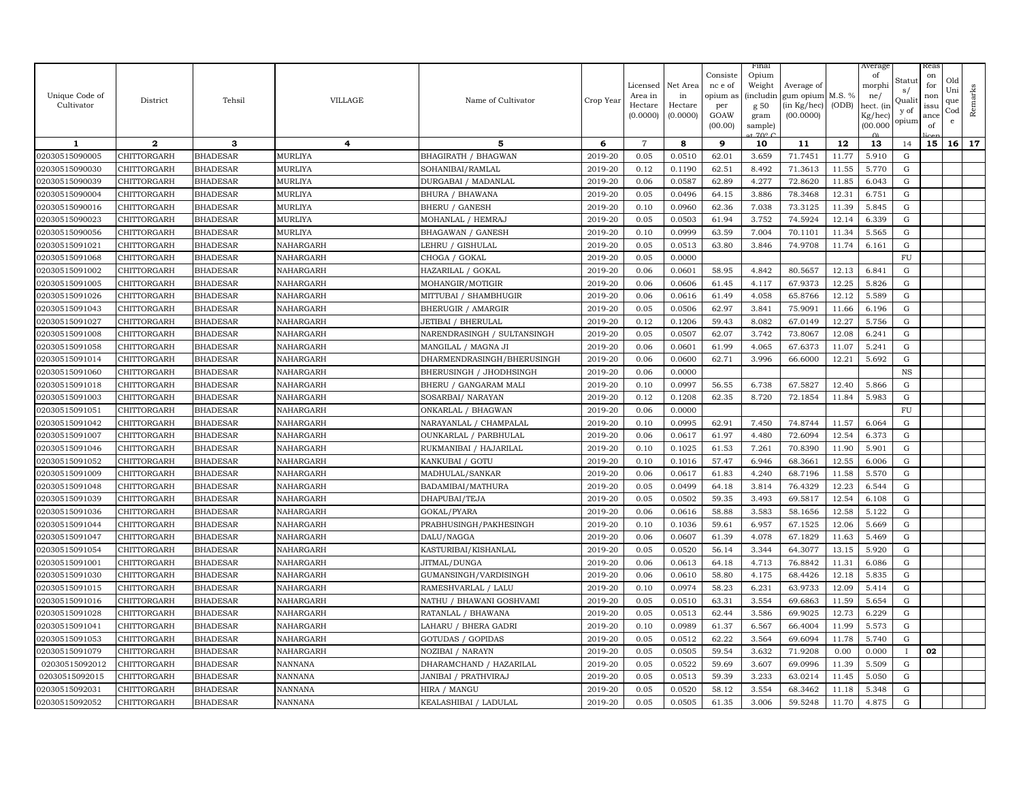| Unique Code of<br>Cultivator | District       | Tehsil          | VILLAGE        | Name of Cultivator          | Crop Year | Licensed<br>Area in<br>Hectare<br>(0.0000) | Net Area<br>in<br>Hectare<br>(0.0000) | Consiste<br>nc e of<br>opium as<br>per<br>GOAW<br>(00.00) | Final<br>Opium<br>Weight<br><i>(includin</i><br>g 50<br>gram<br>sample<br>$70^\circ$ | Average of<br>gum opium M.S. %<br>(in Kg/hec)<br>(00.0000) | (ODB) | Averag<br>of<br>morphi<br>ne/<br>hect. (ir<br>Kg/hec<br>(00.000) | Statu<br>$\mathbf{s}$<br>Quali<br>y of<br>opium | on<br>for<br>nor<br>issu<br>ance<br>of | ЫO<br>nue | Remarks |
|------------------------------|----------------|-----------------|----------------|-----------------------------|-----------|--------------------------------------------|---------------------------------------|-----------------------------------------------------------|--------------------------------------------------------------------------------------|------------------------------------------------------------|-------|------------------------------------------------------------------|-------------------------------------------------|----------------------------------------|-----------|---------|
|                              | $\overline{a}$ | 3               | 4              | 5                           | 6         | $\overline{7}$                             | 8                                     | 9                                                         | 10                                                                                   | 11                                                         | 12    | 13                                                               | 14                                              | 15                                     |           | $16$ 17 |
| 02030515090005               | CHITTORGARH    | <b>BHADESAR</b> | MURLIYA        | <b>BHAGIRATH / BHAGWAN</b>  | 2019-20   | 0.05                                       | 0.0510                                | 62.01                                                     | 3.659                                                                                | 71.7451                                                    | 11.77 | 5.910                                                            | G                                               |                                        |           |         |
| 02030515090030               | CHITTORGARH    | BHADESAR        | MURLIYA        | SOHANIBAI/RAMLAL            | 2019-20   | 0.12                                       | 0.1190                                | 62.51                                                     | 8.492                                                                                | 71.3613                                                    | 11.55 | 5.770                                                            | G                                               |                                        |           |         |
| 02030515090039               | CHITTORGARH    | <b>BHADESAR</b> | MURLIYA        | DURGABAI / MADANLAL         | 2019-20   | 0.06                                       | 0.0587                                | 62.89                                                     | 4.277                                                                                | 72.8620                                                    | 11.85 | 6.043                                                            | G                                               |                                        |           |         |
| 02030515090004               | CHITTORGARH    | <b>BHADESAR</b> | MURLIYA        | <b>BHURA / BHAWANA</b>      | 2019-20   | 0.05                                       | 0.0496                                | 64.15                                                     | 3.886                                                                                | 78.3468                                                    | 12.31 | 6.751                                                            | $\mathbf G$                                     |                                        |           |         |
| 02030515090016               | CHITTORGARH    | BHADESAR        | MURLIYA        | <b>BHERU / GANESH</b>       | 2019-20   | 0.10                                       | 0.0960                                | 62.36                                                     | 7.038                                                                                | 73.3125                                                    | 11.39 | 5.845                                                            | $\mathbf G$                                     |                                        |           |         |
| 02030515090023               | CHITTORGARH    | BHADESAR        | MURLIYA        | MOHANLAL / HEMRAJ           | 2019-20   | 0.05                                       | 0.0503                                | 61.94                                                     | 3.752                                                                                | 74.5924                                                    | 12.14 | 6.339                                                            | G                                               |                                        |           |         |
| 02030515090056               | CHITTORGARH    | <b>BHADESAR</b> | MURLIYA        | BHAGAWAN / GANESH           | 2019-20   | 0.10                                       | 0.0999                                | 63.59                                                     | 7.004                                                                                | 70.1101                                                    | 11.34 | 5.565                                                            | G                                               |                                        |           |         |
| 02030515091021               | CHITTORGARH    | <b>BHADESAR</b> | NAHARGARH      | LEHRU / GISHULAL            | 2019-20   | 0.05                                       | 0.0513                                | 63.80                                                     | 3.846                                                                                | 74.9708                                                    | 11.74 | 6.161                                                            | $\mathbf G$                                     |                                        |           |         |
| 02030515091068               | CHITTORGARH    | <b>BHADESAR</b> | NAHARGARH      | CHOGA / GOKAL               | 2019-20   | 0.05                                       | 0.0000                                |                                                           |                                                                                      |                                                            |       |                                                                  | ${\rm FU}$                                      |                                        |           |         |
| 02030515091002               | CHITTORGARH    | <b>BHADESAR</b> | NAHARGARH      | HAZARILAL / GOKAL           | 2019-20   | 0.06                                       | 0.0601                                | 58.95                                                     | 4.842                                                                                | 80.5657                                                    | 12.13 | 6.841                                                            | G                                               |                                        |           |         |
| 02030515091005               | CHITTORGARH    | <b>BHADESAR</b> | NAHARGARH      | MOHANGIR/MOTIGIR            | 2019-20   | 0.06                                       | 0.0606                                | 61.45                                                     | 4.117                                                                                | 67.9373                                                    | 12.25 | 5.826                                                            | G                                               |                                        |           |         |
| 02030515091026               | CHITTORGARH    | <b>BHADESAR</b> | NAHARGARH      | MITTUBAI / SHAMBHUGIR       | 2019-20   | 0.06                                       | 0.0616                                | 61.49                                                     | 4.058                                                                                | 65.8766                                                    | 12.12 | 5.589                                                            | G                                               |                                        |           |         |
| 02030515091043               | CHITTORGARH    | <b>BHADESAR</b> | NAHARGARH      | <b>BHERUGIR / AMARGIR</b>   | 2019-20   | 0.05                                       | 0.0506                                | 62.97                                                     | 3.841                                                                                | 75.9091                                                    | 11.66 | 6.196                                                            | G                                               |                                        |           |         |
| 02030515091027               | CHITTORGARH    | <b>BHADESAR</b> | NAHARGARH      | JETIBAI / BHERULAL          | 2019-20   | 0.12                                       | 0.1206                                | 59.43                                                     | 8.082                                                                                | 67.0149                                                    | 12.27 | 5.756                                                            | G                                               |                                        |           |         |
| 02030515091008               | CHITTORGARH    | BHADESAR        | NAHARGARH      | NARENDRASINGH / SULTANSINGH | 2019-20   | 0.05                                       | 0.0507                                | 62.07                                                     | 3.742                                                                                | 73.8067                                                    | 12.08 | 6.241                                                            | ${\rm G}$                                       |                                        |           |         |
| 02030515091058               | CHITTORGARH    | <b>BHADESAR</b> | NAHARGARH      | MANGILAL / MAGNA JI         | 2019-20   | 0.06                                       | 0.0601                                | 61.99                                                     | 4.065                                                                                | 67.6373                                                    | 11.07 | 5.241                                                            | ${\rm G}$                                       |                                        |           |         |
| 02030515091014               | CHITTORGARH    | <b>BHADESAR</b> | NAHARGARH      | DHARMENDRASINGH/BHERUSINGH  | 2019-20   | 0.06                                       | 0.0600                                | 62.71                                                     | 3.996                                                                                | 66.6000                                                    | 12.21 | 5.692                                                            | $\mathbf G$                                     |                                        |           |         |
| 02030515091060               | CHITTORGARH    | <b>BHADESAR</b> | NAHARGARH      | BHERUSINGH / JHODHSINGH     | 2019-20   | 0.06                                       | 0.0000                                |                                                           |                                                                                      |                                                            |       |                                                                  | <b>NS</b>                                       |                                        |           |         |
| 02030515091018               | CHITTORGARH    | <b>BHADESAR</b> | NAHARGARH      | BHERU / GANGARAM MALI       | 2019-20   | 0.10                                       | 0.0997                                | 56.55                                                     | 6.738                                                                                | 67.5827                                                    | 12.40 | 5.866                                                            | $\mathbf G$                                     |                                        |           |         |
| 02030515091003               | CHITTORGARH    | <b>BHADESAR</b> | NAHARGARH      | SOSARBAI/ NARAYAN           | 2019-20   | 0.12                                       | 0.1208                                | 62.35                                                     | 8.720                                                                                | 72.1854                                                    | 11.84 | 5.983                                                            | $\mathbf G$                                     |                                        |           |         |
| 02030515091051               | CHITTORGARH    | BHADESAR        | NAHARGARH      | ONKARLAL / BHAGWAN          | 2019-20   | 0.06                                       | 0.0000                                |                                                           |                                                                                      |                                                            |       |                                                                  | FU                                              |                                        |           |         |
| 02030515091042               | CHITTORGARH    | <b>BHADESAR</b> | NAHARGARH      | NARAYANLAL / CHAMPALAL      | 2019-20   | 0.10                                       | 0.0995                                | 62.91                                                     | 7.450                                                                                | 74.8744                                                    | 11.57 | 6.064                                                            | G                                               |                                        |           |         |
| 02030515091007               | CHITTORGARH    | BHADESAR        | NAHARGARH      | OUNKARLAL / PARBHULAL       | 2019-20   | 0.06                                       | 0.0617                                | 61.97                                                     | 4.480                                                                                | 72.6094                                                    | 12.54 | 6.373                                                            | G                                               |                                        |           |         |
| 02030515091046               | CHITTORGARH    | <b>BHADESAR</b> | NAHARGARH      | RUKMANIBAI / HAJARILAL      | 2019-20   | 0.10                                       | 0.1025                                | 61.53                                                     | 7.261                                                                                | 70.8390                                                    | 11.90 | 5.901                                                            | ${\rm G}$                                       |                                        |           |         |
| 02030515091052               | CHITTORGARH    | <b>BHADESAR</b> | NAHARGARH      | KANKUBAI / GOTU             | 2019-20   | 0.10                                       | 0.1016                                | 57.47                                                     | 6.946                                                                                | 68.3661                                                    | 12.55 | 6.006                                                            | G                                               |                                        |           |         |
| 02030515091009               | CHITTORGARH    | <b>BHADESAR</b> | NAHARGARH      | MADHULAL/SANKAR             | 2019-20   | 0.06                                       | 0.0617                                | 61.83                                                     | 4.240                                                                                | 68.7196                                                    | 11.58 | 5.570                                                            | G                                               |                                        |           |         |
| 02030515091048               | CHITTORGARH    | BHADESAR        | NAHARGARH      | BADAMIBAI/MATHURA           | 2019-20   | 0.05                                       | 0.0499                                | 64.18                                                     | 3.814                                                                                | 76.4329                                                    | 12.23 | 6.544                                                            | G                                               |                                        |           |         |
| 02030515091039               | CHITTORGARH    | <b>BHADESAR</b> | NAHARGARH      | DHAPUBAI/TEJA               | 2019-20   | 0.05                                       | 0.0502                                | 59.35                                                     | 3.493                                                                                | 69.5817                                                    | 12.54 | 6.108                                                            | G                                               |                                        |           |         |
| 02030515091036               | CHITTORGARH    | <b>BHADESAR</b> | NAHARGARH      | GOKAL/PYARA                 | 2019-20   | 0.06                                       | 0.0616                                | 58.88                                                     | 3.583                                                                                | 58.1656                                                    | 12.58 | 5.122                                                            | G                                               |                                        |           |         |
| 02030515091044               | CHITTORGARH    | <b>BHADESAR</b> | NAHARGARH      | PRABHUSINGH/PAKHESINGH      | 2019-20   | 0.10                                       | 0.1036                                | 59.61                                                     | 6.957                                                                                | 67.1525                                                    | 12.06 | 5.669                                                            | G                                               |                                        |           |         |
| 02030515091047               | CHITTORGARH    | <b>BHADESAR</b> | NAHARGARH      | DALU/NAGGA                  | 2019-20   | 0.06                                       | 0.0607                                | 61.39                                                     | 4.078                                                                                | 67.1829                                                    | 11.63 | 5.469                                                            | G                                               |                                        |           |         |
| 02030515091054               | CHITTORGARH    | <b>BHADESAR</b> | NAHARGARH      | KASTURIBAI/KISHANLAL        | 2019-20   | 0.05                                       | 0.0520                                | 56.14                                                     | 3.344                                                                                | 64.3077                                                    | 13.15 | 5.920                                                            | ${\rm G}$                                       |                                        |           |         |
| 02030515091001               | CHITTORGARH    | <b>BHADESAR</b> | NAHARGARH      | JITMAL/DUNGA                | 2019-20   | 0.06                                       | 0.0613                                | 64.18                                                     | 4.713                                                                                | 76.8842                                                    | 11.31 | 6.086                                                            | $\mathbf G$                                     |                                        |           |         |
| 02030515091030               | CHITTORGARH    | BHADESAR        | NAHARGARH      | GUMANSINGH/VARDISINGH       | 2019-20   | 0.06                                       | 0.0610                                | 58.80                                                     | 4.175                                                                                | 68.4426                                                    | 12.18 | 5.835                                                            | G                                               |                                        |           |         |
| 02030515091015               | CHITTORGARH    | <b>BHADESAR</b> | NAHARGARH      | RAMESHVARLAL / LALU         | 2019-20   | 0.10                                       | 0.0974                                | 58.23                                                     | 6.231                                                                                | 63.9733                                                    | 12.09 | 5.414                                                            | $\mathbf G$                                     |                                        |           |         |
| 02030515091016               | CHITTORGARH    | <b>BHADESAR</b> | NAHARGARH      | NATHU / BHAWANI GOSHVAMI    | 2019-20   | 0.05                                       | 0.0510                                | 63.31                                                     | 3.554                                                                                | 69.6863                                                    | 11.59 | 5.654                                                            | $\mathbf G$                                     |                                        |           |         |
| 02030515091028               | CHITTORGARH    | BHADESAR        | NAHARGARH      | RATANLAL / BHAWANA          | 2019-20   | 0.05                                       | 0.0513                                | 62.44                                                     | 3.586                                                                                | 69.9025                                                    | 12.73 | 6.229                                                            | G                                               |                                        |           |         |
| 02030515091041               | CHITTORGARH    | <b>BHADESAR</b> | NAHARGARH      | LAHARU / BHERA GADRI        | 2019-20   | 0.10                                       | 0.0989                                | 61.37                                                     | 6.567                                                                                | 66.4004                                                    | 11.99 | 5.573                                                            | G                                               |                                        |           |         |
| 02030515091053               | CHITTORGARH    | <b>BHADESAR</b> | NAHARGARH      | GOTUDAS / GOPIDAS           | 2019-20   | 0.05                                       | 0.0512                                | 62.22                                                     | 3.564                                                                                | 69.6094                                                    | 11.78 | 5.740                                                            | ${\rm G}$                                       |                                        |           |         |
| 02030515091079               | CHITTORGARH    | <b>BHADESAR</b> | NAHARGARH      | NOZIBAI / NARAYN            | 2019-20   | 0.05                                       | 0.0505                                | 59.54                                                     | 3.632                                                                                | 71.9208                                                    | 0.00  | 0.000                                                            | $\mathbf{I}$                                    | 02                                     |           |         |
| 02030515092012               | CHITTORGARH    | <b>BHADESAR</b> | NANNANA        | DHARAMCHAND / HAZARILAL     | 2019-20   | 0.05                                       | 0.0522                                | 59.69                                                     | 3.607                                                                                | 69.0996                                                    | 11.39 | 5.509                                                            | G                                               |                                        |           |         |
| 02030515092015               | CHITTORGARH    | BHADESAR        | NANNANA        | JANIBAI / PRATHVIRAJ        | 2019-20   | 0.05                                       | 0.0513                                | 59.39                                                     | 3.233                                                                                | 63.0214                                                    | 11.45 | 5.050                                                            | G                                               |                                        |           |         |
| 02030515092031               | CHITTORGARH    | <b>BHADESAR</b> | NANNANA        | HIRA / MANGU                | 2019-20   | 0.05                                       | 0.0520                                | 58.12                                                     | 3.554                                                                                | 68.3462                                                    | 11.18 | 5.348                                                            | G                                               |                                        |           |         |
| 02030515092052               | CHITTORGARH    | <b>BHADESAR</b> | <b>NANNANA</b> | KEALASHIBAI / LADULAL       | 2019-20   | 0.05                                       | 0.0505                                | 61.35                                                     | 3.006                                                                                | 59.5248                                                    | 11.70 | 4.875                                                            | G                                               |                                        |           |         |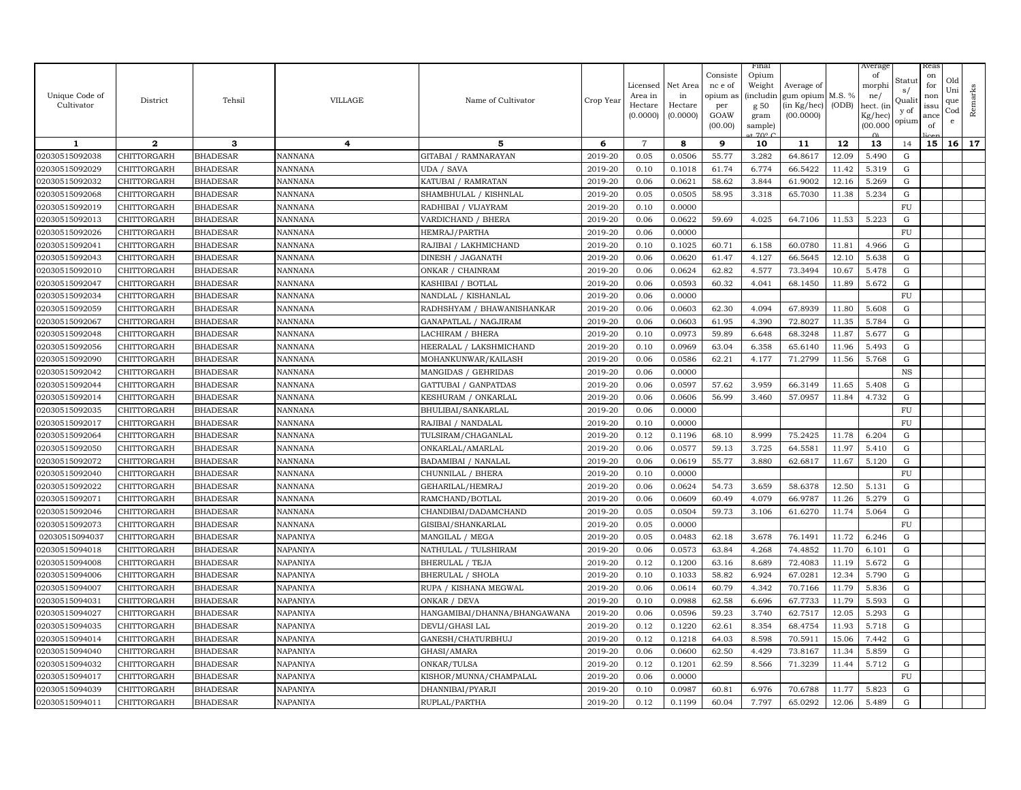| Unique Code of<br>Cultivator | District       | Tehsil          | VILLAGE  | Name of Cultivator           | Crop Year | Licensed<br>Area in<br>Hectare<br>(0.0000) | Net Area<br>in<br>Hectare<br>(0.0000) | Consiste<br>nc e of<br>opium as<br>per<br>GOAW<br>(00.00) | Final<br>Opium<br>Weight<br><i>(includin</i><br>g 50<br>gram<br>sample)<br>70° | Average of<br>gum opium M.S. %<br>(in Kg/hec)<br>(00.0000) | (ODB) | Averag<br>of<br>morphi<br>ne/<br>hect. (in<br>Kg/hec<br>(00.000) | Statut<br>s/<br>Quali<br>y of<br>opium | on<br>for<br>nor<br>isst<br>ance<br>of | Old<br>Uni<br>que<br>Cod | Remarks |
|------------------------------|----------------|-----------------|----------|------------------------------|-----------|--------------------------------------------|---------------------------------------|-----------------------------------------------------------|--------------------------------------------------------------------------------|------------------------------------------------------------|-------|------------------------------------------------------------------|----------------------------------------|----------------------------------------|--------------------------|---------|
| 1                            | $\overline{2}$ | з               | 4        | 5                            | 6         | $\overline{7}$                             | 8                                     | 9                                                         | 10                                                                             | 11                                                         | 12    | 13                                                               | 14                                     | 15                                     | 16 <sup>1</sup>          | 17      |
| 02030515092038               | CHITTORGARH    | <b>BHADESAR</b> | NANNANA  | GITABAI / RAMNARAYAN         | 2019-20   | 0.05                                       | 0.0506                                | 55.77                                                     | 3.282                                                                          | 64.8617                                                    | 12.09 | 5.490                                                            | G                                      |                                        |                          |         |
| 02030515092029               | CHITTORGARH    | <b>BHADESAR</b> | NANNANA  | UDA / SAVA                   | 2019-20   | 0.10                                       | 0.1018                                | 61.74                                                     | 6.774                                                                          | 66.5422                                                    | 11.42 | 5.319                                                            | G                                      |                                        |                          |         |
| 02030515092032               | CHITTORGARH    | <b>BHADESAR</b> | NANNANA  | KATUBAI / RAMRATAN           | 2019-20   | 0.06                                       | 0.0621                                | 58.62                                                     | 3.844                                                                          | 61.9002                                                    | 12.16 | 5.269                                                            | G                                      |                                        |                          |         |
| 02030515092068               | CHITTORGARH    | <b>BHADESAR</b> | NANNANA  | SHAMBHULAL / KISHNLAL        | 2019-20   | 0.05                                       | 0.0505                                | 58.95                                                     | 3.318                                                                          | 65.7030                                                    | 11.38 | 5.234                                                            | ${\rm G}$                              |                                        |                          |         |
| 02030515092019               | CHITTORGARH    | <b>BHADESAR</b> | NANNANA  | RADHIBAI / VIJAYRAM          | 2019-20   | 0.10                                       | 0.0000                                |                                                           |                                                                                |                                                            |       |                                                                  | ${\rm FU}$                             |                                        |                          |         |
| 02030515092013               | CHITTORGARH    | <b>BHADESAR</b> | NANNANA  | VARDICHAND / BHERA           | 2019-20   | 0.06                                       | 0.0622                                | 59.69                                                     | 4.025                                                                          | 64.7106                                                    | 11.53 | 5.223                                                            | G                                      |                                        |                          |         |
| 02030515092026               | CHITTORGARH    | <b>BHADESAR</b> | NANNANA  | HEMRAJ/PARTHA                | 2019-20   | 0.06                                       | 0.0000                                |                                                           |                                                                                |                                                            |       |                                                                  | ${\rm FU}$                             |                                        |                          |         |
| 02030515092041               | CHITTORGARH    | <b>BHADESAR</b> | NANNANA  | RAJIBAI / LAKHMICHAND        | 2019-20   | 0.10                                       | 0.1025                                | 60.71                                                     | 6.158                                                                          | 60.0780                                                    | 11.81 | 4.966                                                            | G                                      |                                        |                          |         |
| 02030515092043               | CHITTORGARH    | <b>BHADESAR</b> | NANNANA  | DINESH / JAGANATH            | 2019-20   | 0.06                                       | 0.0620                                | 61.47                                                     | 4.127                                                                          | 66.5645                                                    | 12.10 | 5.638                                                            | ${\rm G}$                              |                                        |                          |         |
| 02030515092010               | CHITTORGARH    | <b>BHADESAR</b> | NANNANA  | ONKAR / CHAINRAM             | 2019-20   | 0.06                                       | 0.0624                                | 62.82                                                     | 4.577                                                                          | 73.3494                                                    | 10.67 | 5.478                                                            | G                                      |                                        |                          |         |
| 02030515092047               | CHITTORGARH    | <b>BHADESAR</b> | NANNANA  | KASHIBAI / BOTLAL            | 2019-20   | 0.06                                       | 0.0593                                | 60.32                                                     | 4.041                                                                          | 68.1450                                                    | 11.89 | 5.672                                                            | G                                      |                                        |                          |         |
| 02030515092034               | CHITTORGARH    | <b>BHADESAR</b> | NANNANA  | NANDLAL / KISHANLAL          | 2019-20   | 0.06                                       | 0.0000                                |                                                           |                                                                                |                                                            |       |                                                                  | ${\rm FU}$                             |                                        |                          |         |
| 02030515092059               | CHITTORGARH    | <b>BHADESAR</b> | NANNANA  | RADHSHYAM / BHAWANISHANKAR   | 2019-20   | 0.06                                       | 0.0603                                | 62.30                                                     | 4.094                                                                          | 67.8939                                                    | 11.80 | 5.608                                                            | ${\rm G}$                              |                                        |                          |         |
| 02030515092067               | CHITTORGARH    | <b>BHADESAR</b> | NANNANA  | GANAPATLAL / NAGJIRAM        | 2019-20   | 0.06                                       | 0.0603                                | 61.95                                                     | 4.390                                                                          | 72.8027                                                    | 11.35 | 5.784                                                            | G                                      |                                        |                          |         |
| 02030515092048               | CHITTORGARH    | <b>BHADESAR</b> | NANNANA  | LACHIRAM / BHERA             | 2019-20   | 0.10                                       | 0.0973                                | 59.89                                                     | 6.648                                                                          | 68.3248                                                    | 11.87 | 5.677                                                            | ${\rm G}$                              |                                        |                          |         |
| 02030515092056               | CHITTORGARH    | <b>BHADESAR</b> | NANNANA  | HEERALAL / LAKSHMICHAND      | 2019-20   | 0.10                                       | 0.0969                                | 63.04                                                     | 6.358                                                                          | 65.6140                                                    | 11.96 | 5.493                                                            | G                                      |                                        |                          |         |
| 02030515092090               | CHITTORGARH    | <b>BHADESAR</b> | NANNANA  | MOHANKUNWAR/KAILASH          | 2019-20   | 0.06                                       | 0.0586                                | 62.21                                                     | 4.177                                                                          | 71.2799                                                    | 11.56 | 5.768                                                            | ${\rm G}$                              |                                        |                          |         |
| 02030515092042               | CHITTORGARH    | <b>BHADESAR</b> | NANNANA  | MANGIDAS / GEHRIDAS          | 2019-20   | 0.06                                       | 0.0000                                |                                                           |                                                                                |                                                            |       |                                                                  | NS                                     |                                        |                          |         |
| 02030515092044               | CHITTORGARH    | <b>BHADESAR</b> | NANNANA  | GATTUBAI / GANPATDAS         | 2019-20   | 0.06                                       | 0.0597                                | 57.62                                                     | 3.959                                                                          | 66.3149                                                    | 11.65 | 5.408                                                            | ${\rm G}$                              |                                        |                          |         |
| 02030515092014               | CHITTORGARH    | <b>BHADESAR</b> | NANNANA  | KESHURAM / ONKARLAL          | 2019-20   | 0.06                                       | 0.0606                                | 56.99                                                     | 3.460                                                                          | 57.0957                                                    | 11.84 | 4.732                                                            | ${\rm G}$                              |                                        |                          |         |
| 02030515092035               | CHITTORGARH    | <b>BHADESAR</b> | NANNANA  | BHULIBAI/SANKARLAL           | 2019-20   | 0.06                                       | 0.0000                                |                                                           |                                                                                |                                                            |       |                                                                  | ${\rm FU}$                             |                                        |                          |         |
| 02030515092017               | CHITTORGARH    | <b>BHADESAR</b> | NANNANA  | RAJIBAI / NANDALAL           | 2019-20   | 0.10                                       | 0.0000                                |                                                           |                                                                                |                                                            |       |                                                                  | FU                                     |                                        |                          |         |
| 02030515092064               | CHITTORGARH    | <b>BHADESAR</b> | NANNANA  | TULSIRAM/CHAGANLAL           | 2019-20   | 0.12                                       | 0.1196                                | 68.10                                                     | 8.999                                                                          | 75.2425                                                    | 11.78 | 6.204                                                            | G                                      |                                        |                          |         |
| 02030515092050               | CHITTORGARH    | <b>BHADESAR</b> | NANNANA  | ONKARLAL/AMARLAL             | 2019-20   | 0.06                                       | 0.0577                                | 59.13                                                     | 3.725                                                                          | 64.5581                                                    | 11.97 | 5.410                                                            | ${\rm G}$                              |                                        |                          |         |
| 02030515092072               | CHITTORGARH    | <b>BHADESAR</b> | NANNANA  | <b>BADAMIBAI / NANALAL</b>   | 2019-20   | 0.06                                       | 0.0619                                | 55.77                                                     | 3.880                                                                          | 62.6817                                                    | 11.67 | 5.120                                                            | ${\rm G}$                              |                                        |                          |         |
| 02030515092040               | CHITTORGARH    | <b>BHADESAR</b> | NANNANA  | CHUNNILAL / BHERA            | 2019-20   | 0.10                                       | 0.0000                                |                                                           |                                                                                |                                                            |       |                                                                  | ${\rm FU}$                             |                                        |                          |         |
| 02030515092022               | CHITTORGARH    | <b>BHADESAR</b> | NANNANA  | GEHARILAL/HEMRAJ             | 2019-20   | 0.06                                       | 0.0624                                | 54.73                                                     | 3.659                                                                          | 58.6378                                                    | 12.50 | 5.131                                                            | G                                      |                                        |                          |         |
| 02030515092071               | CHITTORGARH    | <b>BHADESAR</b> | NANNANA  | RAMCHAND/BOTLAL              | 2019-20   | 0.06                                       | 0.0609                                | 60.49                                                     | 4.079                                                                          | 66.9787                                                    | 11.26 | 5.279                                                            | ${\rm G}$                              |                                        |                          |         |
| 02030515092046               | CHITTORGARH    | <b>BHADESAR</b> | NANNANA  | CHANDIBAI/DADAMCHAND         | 2019-20   | 0.05                                       | 0.0504                                | 59.73                                                     | 3.106                                                                          | 61.6270                                                    | 11.74 | 5.064                                                            | ${\rm G}$                              |                                        |                          |         |
| 02030515092073               | CHITTORGARH    | <b>BHADESAR</b> | NANNANA  | GISIBAI/SHANKARLAL           | 2019-20   | 0.05                                       | 0.0000                                |                                                           |                                                                                |                                                            |       |                                                                  | FU                                     |                                        |                          |         |
| 02030515094037               | CHITTORGARH    | <b>BHADESAR</b> | NAPANIYA | MANGILAL / MEGA              | 2019-20   | 0.05                                       | 0.0483                                | 62.18                                                     | 3.678                                                                          | 76.1491                                                    | 11.72 | 6.246                                                            | ${\rm G}$                              |                                        |                          |         |
| 02030515094018               | CHITTORGARH    | <b>BHADESAR</b> | NAPANIYA | NATHULAL / TULSHIRAM         | 2019-20   | 0.06                                       | 0.0573                                | 63.84                                                     | 4.268                                                                          | 74.4852                                                    | 11.70 | 6.101                                                            | ${\rm G}$                              |                                        |                          |         |
| 02030515094008               | CHITTORGARH    | <b>BHADESAR</b> | NAPANIYA | BHERULAL / TEJA              | 2019-20   | 0.12                                       | 0.1200                                | 63.16                                                     | 8.689                                                                          | 72.4083                                                    | 11.19 | 5.672                                                            | G                                      |                                        |                          |         |
| 02030515094006               | CHITTORGARH    | <b>BHADESAR</b> | NAPANIYA | BHERULAL / SHOLA             | 2019-20   | 0.10                                       | 0.1033                                | 58.82                                                     | 6.924                                                                          | 67.0281                                                    | 12.34 | 5.790                                                            | G                                      |                                        |                          |         |
| 02030515094007               | CHITTORGARH    | <b>BHADESAR</b> | NAPANIYA | RUPA / KISHANA MEGWAL        | 2019-20   | 0.06                                       | 0.0614                                | 60.79                                                     | 4.342                                                                          | 70.7166                                                    | 11.79 | 5.836                                                            | ${\rm G}$                              |                                        |                          |         |
| 02030515094031               | CHITTORGARH    | <b>BHADESAR</b> | NAPANIYA | ONKAR / DEVA                 | 2019-20   | 0.10                                       | 0.0988                                | 62.58                                                     | 6.696                                                                          | 67.7733                                                    | 11.79 | 5.593                                                            | G                                      |                                        |                          |         |
| 02030515094027               | CHITTORGARH    | <b>BHADESAR</b> | NAPANIYA | HANGAMIBAI/DHANNA/BHANGAWANA | 2019-20   | 0.06                                       | 0.0596                                | 59.23                                                     | 3.740                                                                          | 62.7517                                                    | 12.05 | 5.293                                                            | G                                      |                                        |                          |         |
| 02030515094035               | CHITTORGARH    | <b>BHADESAR</b> | NAPANIYA | DEVLI/GHASI LAL              | 2019-20   | 0.12                                       | 0.1220                                | 62.61                                                     | 8.354                                                                          | 68.4754                                                    | 11.93 | 5.718                                                            | G                                      |                                        |                          |         |
| 02030515094014               | CHITTORGARH    | <b>BHADESAR</b> | NAPANIYA | GANESH/CHATURBHUJ            | 2019-20   | 0.12                                       | 0.1218                                | 64.03                                                     | 8.598                                                                          | 70.5911                                                    | 15.06 | 7.442                                                            | G                                      |                                        |                          |         |
| 02030515094040               | CHITTORGARH    | <b>BHADESAR</b> | NAPANIYA | GHASI/AMARA                  | 2019-20   | 0.06                                       | 0.0600                                | 62.50                                                     | 4.429                                                                          | 73.8167                                                    | 11.34 | 5.859                                                            | G                                      |                                        |                          |         |
| 02030515094032               | CHITTORGARH    | <b>BHADESAR</b> | NAPANIYA | ONKAR/TULSA                  | 2019-20   | 0.12                                       | 0.1201                                | 62.59                                                     | 8.566                                                                          | 71.3239                                                    | 11.44 | 5.712                                                            | ${\rm G}$                              |                                        |                          |         |
| 02030515094017               | CHITTORGARH    | <b>BHADESAR</b> | NAPANIYA | KISHOR/MUNNA/CHAMPALAL       | 2019-20   | 0.06                                       | 0.0000                                |                                                           |                                                                                |                                                            |       |                                                                  | ${\rm FU}$                             |                                        |                          |         |
| 02030515094039               | CHITTORGARH    | <b>BHADESAR</b> | NAPANIYA | DHANNIBAI/PYARJI             | 2019-20   | 0.10                                       | 0.0987                                | 60.81                                                     | 6.976                                                                          | 70.6788                                                    | 11.77 | 5.823                                                            | ${\rm G}$                              |                                        |                          |         |
| 02030515094011               | CHITTORGARH    | <b>BHADESAR</b> | NAPANIYA | RUPLAL/PARTHA                | 2019-20   | 0.12                                       | 0.1199                                | 60.04                                                     | 7.797                                                                          | 65.0292                                                    | 12.06 | 5.489                                                            | ${\rm G}$                              |                                        |                          |         |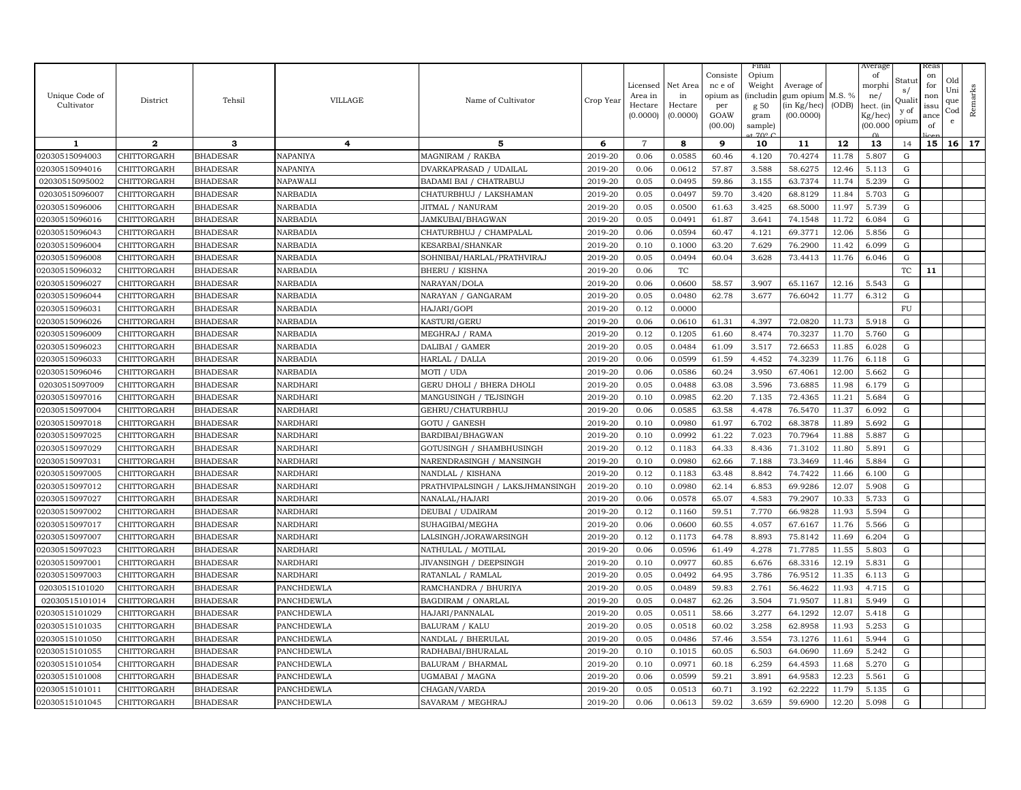| Unique Code of<br>Cultivator | District       | Tehsil          | VILLAGE    | Name of Cultivator               | Crop Year | Licensed<br>Area in<br>Hectare<br>(0.0000) | Net Area<br>in<br>Hectare<br>(0.0000) | Consiste<br>nc e of<br>opium as<br>per<br>GOAW<br>(00.00) | Final<br>Opium<br>Weight<br><i>(includin</i><br>g 50<br>gram<br>sample]<br>$70^\circ$ | Average of<br>gum opium M.S. %<br>(in Kg/hec)<br>(00.0000) | (ODB) | Average<br>of<br>morphi<br>ne/<br>hect. (in<br>Kg/hec<br>(00.000) | Statu<br>s/<br>Quali<br>y of<br>opium | on<br>for<br>nor<br>isst<br>ance<br>of | Dld<br>Uni<br>que<br>Cod | Remarks |
|------------------------------|----------------|-----------------|------------|----------------------------------|-----------|--------------------------------------------|---------------------------------------|-----------------------------------------------------------|---------------------------------------------------------------------------------------|------------------------------------------------------------|-------|-------------------------------------------------------------------|---------------------------------------|----------------------------------------|--------------------------|---------|
|                              | $\overline{2}$ | з               | 4          | 5                                | 6         | $\overline{7}$                             | 8                                     | 9                                                         | 10                                                                                    | 11                                                         | 12    | 13                                                                | 14                                    | 15                                     | 16                       | 17      |
| 02030515094003               | CHITTORGARH    | <b>BHADESAR</b> | NAPANIYA   | MAGNIRAM / RAKBA                 | 2019-20   | 0.06                                       | 0.0585                                | 60.46                                                     | 4.120                                                                                 | 70.4274                                                    | 11.78 | 5.807                                                             | G                                     |                                        |                          |         |
| 02030515094016               | CHITTORGARH    | <b>BHADESAR</b> | NAPANIYA   | DVARKAPRASAD / UDAILAL           | 2019-20   | 0.06                                       | 0.0612                                | 57.87                                                     | 3.588                                                                                 | 58.6275                                                    | 12.46 | 5.113                                                             | G                                     |                                        |                          |         |
| 02030515095002               | CHITTORGARH    | <b>BHADESAR</b> | NAPAWALI   | BADAMI BAI / CHATRABUJ           | 2019-20   | 0.05                                       | 0.0495                                | 59.86                                                     | 3.155                                                                                 | 63.7374                                                    | 11.74 | 5.239                                                             | G                                     |                                        |                          |         |
| 02030515096007               | CHITTORGARH    | <b>BHADESAR</b> | NARBADIA   | CHATURBHUJ / LAKSHAMAN           | 2019-20   | 0.05                                       | 0.0497                                | 59.70                                                     | 3.420                                                                                 | 68.8129                                                    | 11.84 | 5.703                                                             | ${\rm G}$                             |                                        |                          |         |
| 02030515096006               | CHITTORGARH    | <b>BHADESAR</b> | NARBADIA   | JITMAL / NANURAM                 | 2019-20   | 0.05                                       | 0.0500                                | 61.63                                                     | 3.425                                                                                 | 68.5000                                                    | 11.97 | 5.739                                                             | G                                     |                                        |                          |         |
| 02030515096016               | CHITTORGARH    | <b>BHADESAR</b> | NARBADIA   | JAMKUBAI/BHAGWAN                 | 2019-20   | 0.05                                       | 0.0491                                | 61.87                                                     | 3.641                                                                                 | 74.1548                                                    | 11.72 | 6.084                                                             | G                                     |                                        |                          |         |
| 02030515096043               | CHITTORGARH    | <b>BHADESAR</b> | NARBADIA   | CHATURBHUJ / CHAMPALAL           | 2019-20   | 0.06                                       | 0.0594                                | 60.47                                                     | 4.121                                                                                 | 69.3771                                                    | 12.06 | 5.856                                                             | ${\rm G}$                             |                                        |                          |         |
| 02030515096004               | CHITTORGARH    | <b>BHADESAR</b> | NARBADIA   | <b>KESARBAI/SHANKAR</b>          | 2019-20   | 0.10                                       | 0.1000                                | 63.20                                                     | 7.629                                                                                 | 76.2900                                                    | 11.42 | 6.099                                                             | G                                     |                                        |                          |         |
| 02030515096008               | CHITTORGARH    | <b>BHADESAR</b> | NARBADIA   | SOHNIBAI/HARLAL/PRATHVIRAJ       | 2019-20   | 0.05                                       | 0.0494                                | 60.04                                                     | 3.628                                                                                 | 73.4413                                                    | 11.76 | 6.046                                                             | ${\rm G}$                             |                                        |                          |         |
| 02030515096032               | CHITTORGARH    | <b>BHADESAR</b> | NARBADIA   | <b>BHERU / KISHNA</b>            | 2019-20   | 0.06                                       | TC                                    |                                                           |                                                                                       |                                                            |       |                                                                   | TC                                    | 11                                     |                          |         |
| 02030515096027               | CHITTORGARH    | <b>BHADESAR</b> | NARBADIA   | NARAYAN/DOLA                     | 2019-20   | 0.06                                       | 0.0600                                | 58.57                                                     | 3.907                                                                                 | 65.1167                                                    | 12.16 | 5.543                                                             | G                                     |                                        |                          |         |
| 02030515096044               | CHITTORGARH    | <b>BHADESAR</b> | NARBADIA   | NARAYAN / GANGARAM               | 2019-20   | 0.05                                       | 0.0480                                | 62.78                                                     | 3.677                                                                                 | 76.6042                                                    | 11.77 | 6.312                                                             | G                                     |                                        |                          |         |
| 02030515096031               | CHITTORGARH    | <b>BHADESAR</b> | NARBADIA   | HAJARI/GOPI                      | 2019-20   | 0.12                                       | 0.0000                                |                                                           |                                                                                       |                                                            |       |                                                                   | FU                                    |                                        |                          |         |
| 02030515096026               | CHITTORGARH    | <b>BHADESAR</b> | NARBADIA   | KASTURI/GERU                     | 2019-20   | 0.06                                       | 0.0610                                | 61.31                                                     | 4.397                                                                                 | 72.0820                                                    | 11.73 | 5.918                                                             | G                                     |                                        |                          |         |
| 02030515096009               | CHITTORGARH    | <b>BHADESAR</b> | NARBADIA   | MEGHRAJ / RAMA                   | 2019-20   | 0.12                                       | 0.1205                                | 61.60                                                     | 8.474                                                                                 | 70.3237                                                    | 11.70 | 5.760                                                             | ${\rm G}$                             |                                        |                          |         |
| 02030515096023               | CHITTORGARH    | <b>BHADESAR</b> | NARBADIA   | DALIBAI / GAMER                  | 2019-20   | 0.05                                       | 0.0484                                | 61.09                                                     | 3.517                                                                                 | 72.6653                                                    | 11.85 | 6.028                                                             | ${\rm G}$                             |                                        |                          |         |
| 02030515096033               | CHITTORGARH    | <b>BHADESAR</b> | NARBADIA   | HARLAL / DALLA                   | 2019-20   | 0.06                                       | 0.0599                                | 61.59                                                     | 4.452                                                                                 | 74.3239                                                    | 11.76 | 6.118                                                             | G                                     |                                        |                          |         |
| 02030515096046               | CHITTORGARH    | <b>BHADESAR</b> | NARBADIA   | MOTI / UDA                       | 2019-20   | 0.06                                       | 0.0586                                | 60.24                                                     | 3.950                                                                                 | 67.4061                                                    | 12.00 | 5.662                                                             | G                                     |                                        |                          |         |
| 02030515097009               | CHITTORGARH    | <b>BHADESAR</b> | NARDHARI   | GERU DHOLI / BHERA DHOLI         | 2019-20   | 0.05                                       | 0.0488                                | 63.08                                                     | 3.596                                                                                 | 73.6885                                                    | 11.98 | 6.179                                                             | ${\bf G}$                             |                                        |                          |         |
| 02030515097016               | CHITTORGARH    | <b>BHADESAR</b> | NARDHARI   | MANGUSINGH / TEJSINGH            | 2019-20   | 0.10                                       | 0.0985                                | 62.20                                                     | 7.135                                                                                 | 72.4365                                                    | 11.21 | 5.684                                                             | ${\bf G}$                             |                                        |                          |         |
| 02030515097004               | CHITTORGARH    | <b>BHADESAR</b> | NARDHARI   | GEHRU/CHATURBHUJ                 | 2019-20   | 0.06                                       | 0.0585                                | 63.58                                                     | 4.478                                                                                 | 76.5470                                                    | 11.37 | 6.092                                                             | G                                     |                                        |                          |         |
| 02030515097018               | CHITTORGARH    | <b>BHADESAR</b> | NARDHARI   | GOTU / GANESH                    | 2019-20   | 0.10                                       | 0.0980                                | 61.97                                                     | 6.702                                                                                 | 68.3878                                                    | 11.89 | 5.692                                                             | G                                     |                                        |                          |         |
| 02030515097025               | CHITTORGARH    | <b>BHADESAR</b> | NARDHARI   | BARDIBAI/BHAGWAN                 | 2019-20   | 0.10                                       | 0.0992                                | 61.22                                                     | 7.023                                                                                 | 70.7964                                                    | 11.88 | 5.887                                                             | G                                     |                                        |                          |         |
| 02030515097029               | CHITTORGARH    | <b>BHADESAR</b> | NARDHARI   | GOTUSINGH / SHAMBHUSINGH         | 2019-20   | 0.12                                       | 0.1183                                | 64.33                                                     | 8.436                                                                                 | 71.3102                                                    | 11.80 | 5.891                                                             | ${\rm G}$                             |                                        |                          |         |
| 02030515097031               | CHITTORGARH    | <b>BHADESAR</b> | NARDHARI   | NARENDRASINGH / MANSINGH         | 2019-20   | 0.10                                       | 0.0980                                | 62.66                                                     | 7.188                                                                                 | 73.3469                                                    | 11.46 | 5.884                                                             | ${\rm G}$                             |                                        |                          |         |
| 02030515097005               | CHITTORGARH    | <b>BHADESAR</b> | NARDHARI   | NANDLAL / KISHANA                | 2019-20   | 0.12                                       | 0.1183                                | 63.48                                                     | 8.842                                                                                 | 74.7422                                                    | 11.66 | 6.100                                                             | G                                     |                                        |                          |         |
| 02030515097012               | CHITTORGARH    | <b>BHADESAR</b> | NARDHARI   | PRATHVIPALSINGH / LAKSJHMANSINGH | 2019-20   | 0.10                                       | 0.0980                                | 62.14                                                     | 6.853                                                                                 | 69.9286                                                    | 12.07 | 5.908                                                             | ${\rm G}$                             |                                        |                          |         |
| 02030515097027               | CHITTORGARH    | <b>BHADESAR</b> | NARDHARI   | NANALAL/HAJARI                   | 2019-20   | 0.06                                       | 0.0578                                | 65.07                                                     | 4.583                                                                                 | 79.2907                                                    | 10.33 | 5.733                                                             | ${\rm G}$                             |                                        |                          |         |
| 02030515097002               | CHITTORGARH    | <b>BHADESAR</b> | NARDHARI   | DEUBAI / UDAIRAM                 | 2019-20   | 0.12                                       | 0.1160                                | 59.51                                                     | 7.770                                                                                 | 66.9828                                                    | 11.93 | 5.594                                                             | G                                     |                                        |                          |         |
| 02030515097017               | CHITTORGARH    | <b>BHADESAR</b> | NARDHARI   | SUHAGIBAI/MEGHA                  | 2019-20   | 0.06                                       | 0.0600                                | 60.55                                                     | 4.057                                                                                 | 67.6167                                                    | 11.76 | 5.566                                                             | $\mathbf G$                           |                                        |                          |         |
| 02030515097007               | CHITTORGARH    | <b>BHADESAR</b> | NARDHARI   | LALSINGH/JORAWARSINGH            | 2019-20   | 0.12                                       | 0.1173                                | 64.78                                                     | 8.893                                                                                 | 75.8142                                                    | 11.69 | 6.204                                                             | ${\rm G}$                             |                                        |                          |         |
| 02030515097023               | CHITTORGARH    | <b>BHADESAR</b> | NARDHARI   | NATHULAL / MOTILAL               | 2019-20   | 0.06                                       | 0.0596                                | 61.49                                                     | 4.278                                                                                 | 71.7785                                                    | 11.55 | 5.803                                                             | ${\rm G}$                             |                                        |                          |         |
| 02030515097001               | CHITTORGARH    | <b>BHADESAR</b> | NARDHARI   | JIVANSINGH / DEEPSINGH           | 2019-20   | 0.10                                       | 0.0977                                | 60.85                                                     | 6.676                                                                                 | 68.3316                                                    | 12.19 | 5.831                                                             | G                                     |                                        |                          |         |
| 02030515097003               | CHITTORGARH    | <b>BHADESAR</b> | NARDHARI   | RATANLAL / RAMLAL                | 2019-20   | 0.05                                       | 0.0492                                | 64.95                                                     | 3.786                                                                                 | 76.9512                                                    | 11.35 | 6.113                                                             | G                                     |                                        |                          |         |
| 02030515101020               | CHITTORGARH    | <b>BHADESAR</b> | PANCHDEWLA | RAMCHANDRA / BHURIYA             | 2019-20   | 0.05                                       | 0.0489                                | 59.83                                                     | 2.761                                                                                 | 56.4622                                                    | 11.93 | 4.715                                                             | $\mathbf G$                           |                                        |                          |         |
| 02030515101014               | CHITTORGARH    | <b>BHADESAR</b> | PANCHDEWLA | <b>BAGDIRAM / ONARLAL</b>        | 2019-20   | 0.05                                       | 0.0487                                | 62.26                                                     | 3.504                                                                                 | 71.9507                                                    | 11.81 | 5.949                                                             | G                                     |                                        |                          |         |
| 02030515101029               | CHITTORGARH    | <b>BHADESAR</b> | PANCHDEWLA | HAJARI/PANNALAL                  | 2019-20   | 0.05                                       | 0.0511                                | 58.66                                                     | 3.277                                                                                 | 64.1292                                                    | 12.07 | 5.418                                                             | G                                     |                                        |                          |         |
| 02030515101035               | CHITTORGARH    | <b>BHADESAR</b> | PANCHDEWLA | <b>BALURAM / KALU</b>            | 2019-20   | 0.05                                       | 0.0518                                | 60.02                                                     | 3.258                                                                                 | 62.8958                                                    | 11.93 | 5.253                                                             | G                                     |                                        |                          |         |
| 02030515101050               | CHITTORGARH    | <b>BHADESAR</b> | PANCHDEWLA | NANDLAL / BHERULAL               | 2019-20   | 0.05                                       | 0.0486                                | 57.46                                                     | 3.554                                                                                 | 73.1276                                                    | 11.61 | 5.944                                                             | G                                     |                                        |                          |         |
| 02030515101055               | CHITTORGARH    | <b>BHADESAR</b> | PANCHDEWLA | RADHABAI/BHURALAL                | 2019-20   | 0.10                                       | 0.1015                                | 60.05                                                     | 6.503                                                                                 | 64.0690                                                    | 11.69 | 5.242                                                             | G                                     |                                        |                          |         |
| 02030515101054               | CHITTORGARH    | <b>BHADESAR</b> | PANCHDEWLA | BALURAM / BHARMAL                | 2019-20   | 0.10                                       | 0.0971                                | 60.18                                                     | 6.259                                                                                 | 64.4593                                                    | 11.68 | 5.270                                                             | G                                     |                                        |                          |         |
| 02030515101008               | CHITTORGARH    | <b>BHADESAR</b> | PANCHDEWLA | UGMABAI / MAGNA                  | 2019-20   | 0.06                                       | 0.0599                                | 59.21                                                     | 3.891                                                                                 | 64.9583                                                    | 12.23 | 5.561                                                             | G                                     |                                        |                          |         |
| 02030515101011               | CHITTORGARH    | <b>BHADESAR</b> | PANCHDEWLA | CHAGAN/VARDA                     | 2019-20   | 0.05                                       | 0.0513                                | 60.71                                                     | 3.192                                                                                 | 62.2222                                                    | 11.79 | 5.135                                                             | ${\rm G}$                             |                                        |                          |         |
| 02030515101045               | CHITTORGARH    | <b>BHADESAR</b> | PANCHDEWLA | SAVARAM / MEGHRAJ                | 2019-20   | 0.06                                       | 0.0613                                | 59.02                                                     | 3.659                                                                                 | 59.6900                                                    | 12.20 | 5.098                                                             | ${\rm G}$                             |                                        |                          |         |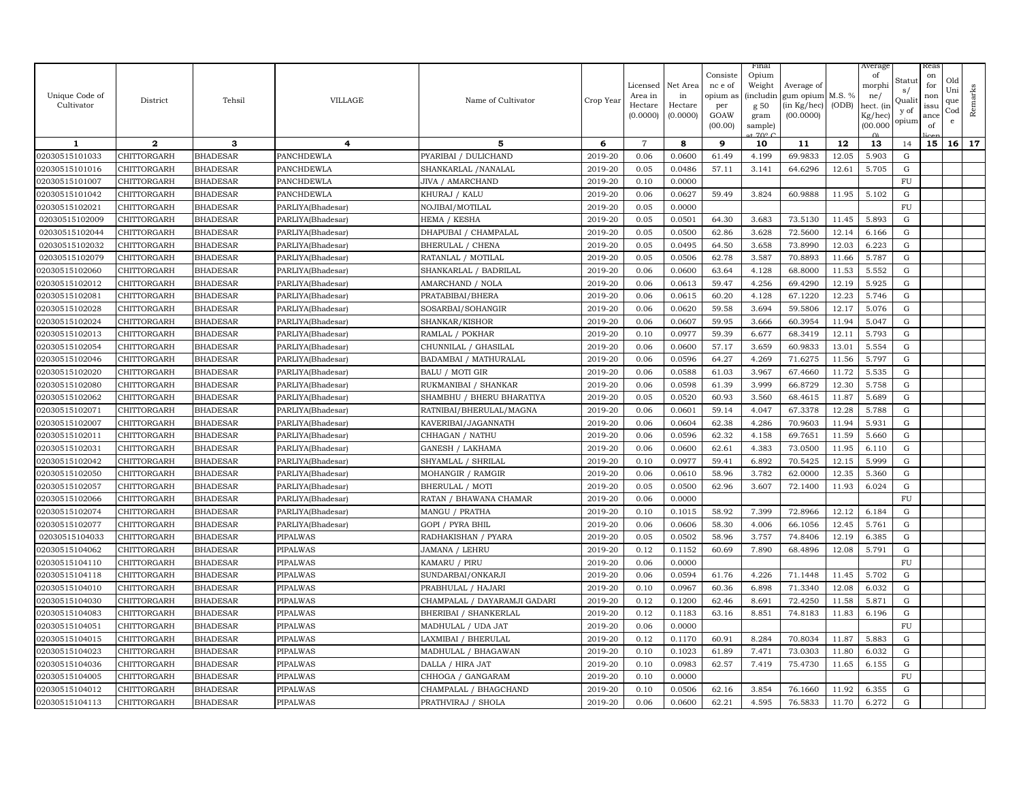| Unique Code of<br>Cultivator | District       | Tehsil          | VILLAGE           | Name of Cultivator           | Crop Year | Licensed<br>Area in<br>Hectare<br>(0.0000) | Net Area<br>in<br>Hectare<br>(0.0000) | Consiste<br>nc e of<br>opium as<br>per<br>GOAW<br>(00.00) | Final<br>Opium<br>Weight<br><i>(includin</i><br>g 50<br>gram<br>sample]<br>70° | Average of<br>gum opium M.S. %<br>(in Kg/hec)<br>(00.0000) | (ODB) | <i><u><b>Werage</b></u></i><br>of<br>morphi<br>ne/<br>aect. (ir<br>Kg/hec)<br>(00.000) | Statu<br>s/<br>Quali<br>y of<br>opium | on<br>for<br>isst<br>ance<br>of | bIC<br>Uni<br>que | Remarks |
|------------------------------|----------------|-----------------|-------------------|------------------------------|-----------|--------------------------------------------|---------------------------------------|-----------------------------------------------------------|--------------------------------------------------------------------------------|------------------------------------------------------------|-------|----------------------------------------------------------------------------------------|---------------------------------------|---------------------------------|-------------------|---------|
| 1                            | $\overline{a}$ | 3               | 4                 | 5                            | 6         | $\overline{7}$                             | 8                                     | 9                                                         | 10                                                                             | 11                                                         | 12    | 13                                                                                     | 14                                    | 15                              | 16                | 17      |
| 02030515101033               | CHITTORGARH    | <b>BHADESAR</b> | PANCHDEWLA        | PYARIBAI / DULICHAND         | 2019-20   | 0.06                                       | 0.0600                                | 61.49                                                     | 4.199                                                                          | 69.9833                                                    | 12.05 | 5.903                                                                                  | G                                     |                                 |                   |         |
| 02030515101016               | CHITTORGARH    | <b>BHADESAR</b> | PANCHDEWLA        | SHANKARLAL / NANALAL         | 2019-20   | 0.05                                       | 0.0486                                | 57.11                                                     | 3.141                                                                          | 64.6296                                                    | 12.61 | 5.705                                                                                  | G                                     |                                 |                   |         |
| 02030515101007               | CHITTORGARH    | <b>BHADESAR</b> | PANCHDEWLA        | JIVA / AMARCHAND             | 2019-20   | 0.10                                       | 0.0000                                |                                                           |                                                                                |                                                            |       |                                                                                        | ${\rm FU}$                            |                                 |                   |         |
| 02030515101042               | CHITTORGARH    | <b>BHADESAR</b> | PANCHDEWLA        | KHURAJ / KALU                | 2019-20   | 0.06                                       | 0.0627                                | 59.49                                                     | 3.824                                                                          | 60.9888                                                    | 11.95 | 5.102                                                                                  | G                                     |                                 |                   |         |
| 02030515102021               | CHITTORGARH    | BHADESAR        | PARLIYA(Bhadesar) | NOJIBAI/MOTILAL              | 2019-20   | 0.05                                       | 0.0000                                |                                                           |                                                                                |                                                            |       |                                                                                        | FU                                    |                                 |                   |         |
| 02030515102009               | CHITTORGARH    | BHADESAR        | PARLIYA(Bhadesar) | HEMA / KESHA                 | 2019-20   | 0.05                                       | 0.0501                                | 64.30                                                     | 3.683                                                                          | 73.5130                                                    | 11.45 | 5.893                                                                                  | G                                     |                                 |                   |         |
| 02030515102044               | CHITTORGARH    | <b>BHADESAR</b> | PARLIYA(Bhadesar) | DHAPUBAI / CHAMPALAL         | 2019-20   | 0.05                                       | 0.0500                                | 62.86                                                     | 3.628                                                                          | 72.5600                                                    | 12.14 | 6.166                                                                                  | G                                     |                                 |                   |         |
| 02030515102032               | CHITTORGARH    | <b>BHADESAR</b> | PARLIYA(Bhadesar) | BHERULAL / CHENA             | 2019-20   | 0.05                                       | 0.0495                                | 64.50                                                     | 3.658                                                                          | 73.8990                                                    | 12.03 | 6.223                                                                                  | G                                     |                                 |                   |         |
| 02030515102079               | CHITTORGARH    | <b>BHADESAR</b> | PARLIYA(Bhadesar) | RATANLAL / MOTILAL           | 2019-20   | 0.05                                       | 0.0506                                | 62.78                                                     | 3.587                                                                          | 70.8893                                                    | 11.66 | 5.787                                                                                  | G                                     |                                 |                   |         |
| 02030515102060               | CHITTORGARH    | <b>BHADESAR</b> | PARLIYA(Bhadesar) | SHANKARLAL / BADRILAL        | 2019-20   | 0.06                                       | 0.0600                                | 63.64                                                     | 4.128                                                                          | 68.8000                                                    | 11.53 | 5.552                                                                                  | G                                     |                                 |                   |         |
| 02030515102012               | CHITTORGARH    | <b>BHADESAR</b> | PARLIYA(Bhadesar) | AMARCHAND / NOLA             | 2019-20   | 0.06                                       | 0.0613                                | 59.47                                                     | 4.256                                                                          | 69.4290                                                    | 12.19 | 5.925                                                                                  | ${\rm G}$                             |                                 |                   |         |
| 02030515102081               | CHITTORGARH    | <b>BHADESAR</b> | PARLIYA(Bhadesar) | PRATABIBAI/BHERA             | 2019-20   | 0.06                                       | 0.0615                                | 60.20                                                     | 4.128                                                                          | 67.1220                                                    | 12.23 | 5.746                                                                                  | ${\rm G}$                             |                                 |                   |         |
| 02030515102028               | CHITTORGARH    | <b>BHADESAR</b> | PARLIYA(Bhadesar) | SOSARBAI/SOHANGIR            | 2019-20   | 0.06                                       | 0.0620                                | 59.58                                                     | 3.694                                                                          | 59.5806                                                    | 12.17 | 5.076                                                                                  | ${\rm G}$                             |                                 |                   |         |
| 02030515102024               | CHITTORGARH    | <b>BHADESAR</b> | PARLIYA(Bhadesar) | SHANKAR/KISHOR               | 2019-20   | 0.06                                       | 0.0607                                | 59.95                                                     | 3.666                                                                          | 60.3954                                                    | 11.94 | 5.047                                                                                  | G                                     |                                 |                   |         |
| 02030515102013               | CHITTORGARH    | BHADESAR        | PARLIYA(Bhadesar) | RAMLAL / POKHAR              | 2019-20   | 0.10                                       | 0.0977                                | 59.39                                                     | 6.677                                                                          | 68.3419                                                    | 12.11 | 5.793                                                                                  | ${\rm G}$                             |                                 |                   |         |
| 02030515102054               | CHITTORGARH    | <b>BHADESAR</b> | PARLIYA(Bhadesar) | CHUNNILAL / GHASILAL         | 2019-20   | 0.06                                       | 0.0600                                | 57.17                                                     | 3.659                                                                          | 60.9833                                                    | 13.01 | 5.554                                                                                  | ${\rm G}$                             |                                 |                   |         |
| 02030515102046               | CHITTORGARH    | <b>BHADESAR</b> | PARLIYA(Bhadesar) | BADAMBAI / MATHURALAL        | 2019-20   | 0.06                                       | 0.0596                                | 64.27                                                     | 4.269                                                                          | 71.6275                                                    | 11.56 | 5.797                                                                                  | $\mathbf G$                           |                                 |                   |         |
| 02030515102020               | CHITTORGARH    | <b>BHADESAR</b> | PARLIYA(Bhadesar) | <b>BALU / MOTI GIR</b>       | 2019-20   | 0.06                                       | 0.0588                                | 61.03                                                     | 3.967                                                                          | 67.4660                                                    | 11.72 | 5.535                                                                                  | G                                     |                                 |                   |         |
| 02030515102080               | CHITTORGARH    | <b>BHADESAR</b> | PARLIYA(Bhadesar) | RUKMANIBAI / SHANKAR         | 2019-20   | 0.06                                       | 0.0598                                | 61.39                                                     | 3.999                                                                          | 66.8729                                                    | 12.30 | 5.758                                                                                  | ${\rm G}$                             |                                 |                   |         |
| 02030515102062               | CHITTORGARH    | <b>BHADESAR</b> | PARLIYA(Bhadesar) | SHAMBHU / BHERU BHARATIYA    | 2019-20   | 0.05                                       | 0.0520                                | 60.93                                                     | 3.560                                                                          | 68.4615                                                    | 11.87 | 5.689                                                                                  | G                                     |                                 |                   |         |
| 02030515102071               | CHITTORGARH    | BHADESAR        | PARLIYA(Bhadesar) | RATNIBAI/BHERULAL/MAGNA      | 2019-20   | 0.06                                       | 0.0601                                | 59.14                                                     | 4.047                                                                          | 67.3378                                                    | 12.28 | 5.788                                                                                  | G                                     |                                 |                   |         |
| 02030515102007               | CHITTORGARH    | <b>BHADESAR</b> | PARLIYA(Bhadesar) | KAVERIBAI/JAGANNATH          | 2019-20   | 0.06                                       | 0.0604                                | 62.38                                                     | 4.286                                                                          | 70.9603                                                    | 11.94 | 5.931                                                                                  | G                                     |                                 |                   |         |
| 02030515102011               | CHITTORGARH    | BHADESAR        | PARLIYA(Bhadesar) | CHHAGAN / NATHU              | 2019-20   | 0.06                                       | 0.0596                                | 62.32                                                     | 4.158                                                                          | 69.7651                                                    | 11.59 | 5.660                                                                                  | G                                     |                                 |                   |         |
| 02030515102031               | CHITTORGARH    | <b>BHADESAR</b> | PARLIYA(Bhadesar) | GANESH / LAKHAMA             | 2019-20   | 0.06                                       | 0.0600                                | 62.61                                                     | 4.383                                                                          | 73.0500                                                    | 11.95 | 6.110                                                                                  | G                                     |                                 |                   |         |
| 02030515102042               | CHITTORGARH    | <b>BHADESAR</b> | PARLIYA(Bhadesar) | SHYAMLAL / SHRILAL           | 2019-20   | 0.10                                       | 0.0977                                | 59.41                                                     | 6.892                                                                          | 70.5425                                                    | 12.15 | 5.999                                                                                  | ${\rm G}$                             |                                 |                   |         |
| 02030515102050               | CHITTORGARH    | <b>BHADESAR</b> | PARLIYA(Bhadesar) | MOHANGIR / RAMGIR            | 2019-20   | 0.06                                       | 0.0610                                | 58.96                                                     | 3.782                                                                          | 62.0000                                                    | 12.35 | 5.360                                                                                  | G                                     |                                 |                   |         |
| 02030515102057               | CHITTORGARH    | <b>BHADESAR</b> | PARLIYA(Bhadesar) | BHERULAL / MOTI              | 2019-20   | 0.05                                       | 0.0500                                | 62.96                                                     | 3.607                                                                          | 72.1400                                                    | 11.93 | 6.024                                                                                  | ${\rm G}$                             |                                 |                   |         |
| 02030515102066               | CHITTORGARH    | <b>BHADESAR</b> | PARLIYA(Bhadesar) | RATAN / BHAWANA CHAMAR       | 2019-20   | 0.06                                       | 0.0000                                |                                                           |                                                                                |                                                            |       |                                                                                        | ${\rm FU}$                            |                                 |                   |         |
| 02030515102074               | CHITTORGARH    | <b>BHADESAR</b> | PARLIYA(Bhadesar) | MANGU / PRATHA               | 2019-20   | 0.10                                       | 0.1015                                | 58.92                                                     | 7.399                                                                          | 72.8966                                                    | 12.12 | 6.184                                                                                  | G                                     |                                 |                   |         |
| 02030515102077               | CHITTORGARH    | <b>BHADESAR</b> | PARLIYA(Bhadesar) | GOPI / PYRA BHIL             | 2019-20   | 0.06                                       | 0.0606                                | 58.30                                                     | 4.006                                                                          | 66.1056                                                    | 12.45 | 5.761                                                                                  | G                                     |                                 |                   |         |
| 02030515104033               | CHITTORGARH    | <b>BHADESAR</b> | PIPALWAS          | RADHAKISHAN / PYARA          | 2019-20   | 0.05                                       | 0.0502                                | 58.96                                                     | 3.757                                                                          | 74.8406                                                    | 12.19 | 6.385                                                                                  | ${\rm G}$                             |                                 |                   |         |
| 02030515104062               | CHITTORGARH    | <b>BHADESAR</b> | PIPALWAS          | JAMANA / LEHRU               | 2019-20   | 0.12                                       | 0.1152                                | 60.69                                                     | 7.890                                                                          | 68.4896                                                    | 12.08 | 5.791                                                                                  | ${\rm G}$                             |                                 |                   |         |
| 02030515104110               | CHITTORGARH    | <b>BHADESAR</b> | PIPALWAS          | KAMARU / PIRU                | 2019-20   | 0.06                                       | 0.0000                                |                                                           |                                                                                |                                                            |       |                                                                                        | FU                                    |                                 |                   |         |
| 02030515104118               | CHITTORGARH    | <b>BHADESAR</b> | PIPALWAS          | SUNDARBAI/ONKARJI            | 2019-20   | 0.06                                       | 0.0594                                | 61.76                                                     | 4.226                                                                          | 71.1448                                                    | 11.45 | 5.702                                                                                  | G                                     |                                 |                   |         |
| 02030515104010               | CHITTORGARH    | <b>BHADESAR</b> | PIPALWAS          | PRABHULAL / HAJARI           | 2019-20   | 0.10                                       | 0.0967                                | 60.36                                                     | 6.898                                                                          | 71.3340                                                    | 12.08 | 6.032                                                                                  | $\mathbf G$                           |                                 |                   |         |
| 02030515104030               | CHITTORGARH    | <b>BHADESAR</b> | PIPALWAS          | CHAMPALAL / DAYARAMJI GADARI | 2019-20   | 0.12                                       | 0.1200                                | 62.46                                                     | 8.691                                                                          | 72.4250                                                    | 11.58 | 5.871                                                                                  | G                                     |                                 |                   |         |
| 02030515104083               | CHITTORGARH    | <b>BHADESAR</b> | PIPALWAS          | <b>BHERIBAI / SHANKERLAL</b> | 2019-20   | 0.12                                       | 0.1183                                | 63.16                                                     | 8.851                                                                          | 74.8183                                                    | 11.83 | 6.196                                                                                  | $\mathbf G$                           |                                 |                   |         |
| 02030515104051               | CHITTORGARH    | <b>BHADESAR</b> | PIPALWAS          | MADHULAL / UDA JAT           | 2019-20   | 0.06                                       | 0.0000                                |                                                           |                                                                                |                                                            |       |                                                                                        | FU                                    |                                 |                   |         |
| 02030515104015               | CHITTORGARH    | <b>BHADESAR</b> | PIPALWAS          | LAXMIBAI / BHERULAL          | 2019-20   | 0.12                                       | 0.1170                                | 60.91                                                     | 8.284                                                                          | 70.8034                                                    | 11.87 | 5.883                                                                                  | G                                     |                                 |                   |         |
| 02030515104023               | CHITTORGARH    | <b>BHADESAR</b> | PIPALWAS          | MADHULAL / BHAGAWAN          | 2019-20   | 0.10                                       | 0.1023                                | 61.89                                                     | 7.471                                                                          | 73.0303                                                    | 11.80 | 6.032                                                                                  | G                                     |                                 |                   |         |
| 02030515104036               | CHITTORGARH    | <b>BHADESAR</b> | PIPALWAS          | DALLA / HIRA JAT             | 2019-20   | 0.10                                       | 0.0983                                | 62.57                                                     | 7.419                                                                          | 75.4730                                                    | 11.65 | 6.155                                                                                  | G                                     |                                 |                   |         |
| 02030515104005               | CHITTORGARH    | BHADESAR        | PIPALWAS          | CHHOGA / GANGARAM            | 2019-20   | 0.10                                       | 0.0000                                |                                                           |                                                                                |                                                            |       |                                                                                        | ${\rm FU}$                            |                                 |                   |         |
| 02030515104012               | CHITTORGARH    | <b>BHADESAR</b> | <b>PIPALWAS</b>   | CHAMPALAL / BHAGCHAND        | 2019-20   | 0.10                                       | 0.0506                                | 62.16                                                     | 3.854                                                                          | 76.1660                                                    | 11.92 | 6.355                                                                                  | ${\rm G}$                             |                                 |                   |         |
| 02030515104113               | CHITTORGARH    | <b>BHADESAR</b> | <b>PIPALWAS</b>   | PRATHVIRAJ / SHOLA           | 2019-20   | 0.06                                       | 0.0600                                | 62.21                                                     | 4.595                                                                          | 76.5833                                                    | 11.70 | 6.272                                                                                  | ${\rm G}$                             |                                 |                   |         |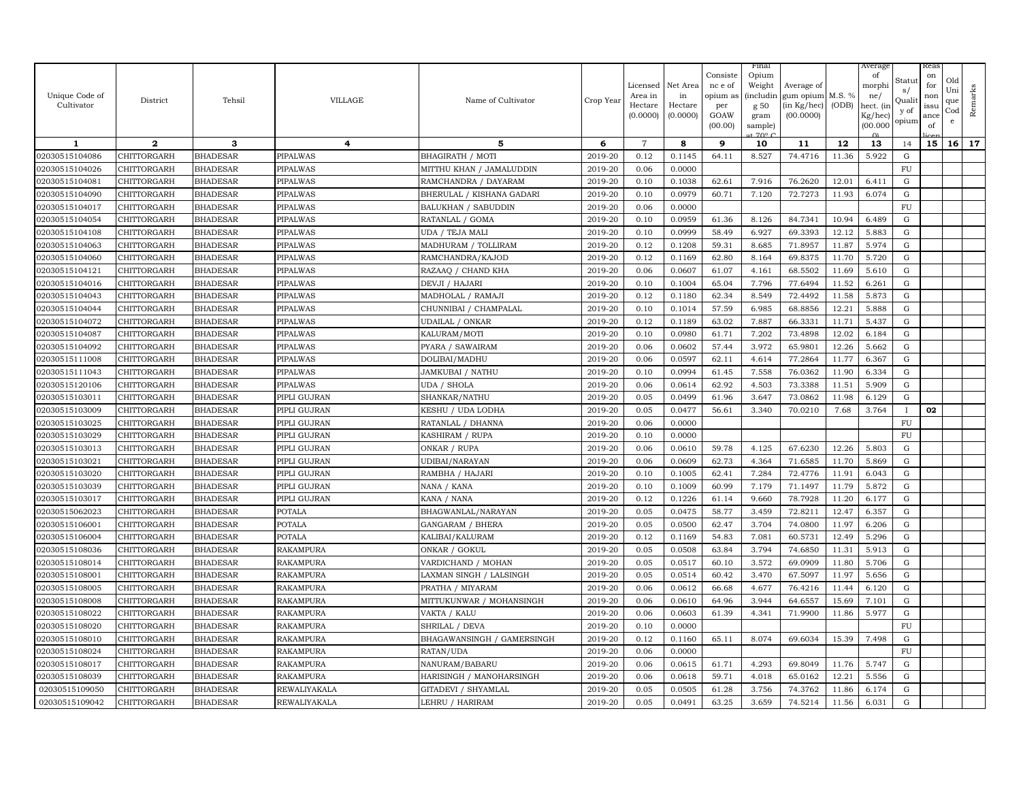| Unique Code of<br>Cultivator | District       | Tehsil          | VILLAGE         | Name of Cultivator         | Crop Year | Licensed<br>Area in<br>Hectare<br>(0.0000) | Net Area<br>in<br>Hectare<br>(0.0000) | Consiste<br>nc e of<br>opium as<br>per<br>GOAW<br>(00.00) | Final<br>Opium<br>Weight<br><i>(includin</i><br>g 50<br>gram<br>sample]<br>$70^\circ$ | Average of<br>gum opium M.S. %<br>(in Kg/hec)<br>(00.0000) | (ODB) | Average<br>of<br>morphi<br>ne/<br>hect. (in<br>Kg/hec)<br>(00.000) | Statu<br>s/<br>Quali<br>y of<br>opium | on<br>for<br>nor<br>isst<br>ance<br>of | Old<br>Uni<br>que<br>Cod | Remarks |
|------------------------------|----------------|-----------------|-----------------|----------------------------|-----------|--------------------------------------------|---------------------------------------|-----------------------------------------------------------|---------------------------------------------------------------------------------------|------------------------------------------------------------|-------|--------------------------------------------------------------------|---------------------------------------|----------------------------------------|--------------------------|---------|
|                              | $\overline{2}$ | з               | 4               | 5                          | 6         | $\overline{7}$                             | 8                                     | 9                                                         | 10                                                                                    | 11                                                         | 12    | 13                                                                 | 14                                    | 15                                     | 16 <sup>1</sup>          | 17      |
| 02030515104086               | CHITTORGARH    | <b>BHADESAR</b> | <b>PIPALWAS</b> | <b>BHAGIRATH / MOTI</b>    | 2019-20   | 0.12                                       | 0.1145                                | 64.11                                                     | 8.527                                                                                 | 74.4716                                                    | 11.36 | 5.922                                                              | G                                     |                                        |                          |         |
| 02030515104026               | CHITTORGARH    | <b>BHADESAR</b> | PIPALWAS        | MITTHU KHAN / JAMALUDDIN   | 2019-20   | 0.06                                       | 0.0000                                |                                                           |                                                                                       |                                                            |       |                                                                    | ${\rm FU}$                            |                                        |                          |         |
| 02030515104081               | CHITTORGARH    | <b>BHADESAR</b> | PIPALWAS        | RAMCHANDRA / DAYARAM       | 2019-20   | 0.10                                       | 0.1038                                | 62.61                                                     | 7.916                                                                                 | 76.2620                                                    | 12.01 | 6.411                                                              | G                                     |                                        |                          |         |
| 02030515104090               | CHITTORGARH    | <b>BHADESAR</b> | PIPALWAS        | BHERULAL / KISHANA GADARI  | 2019-20   | 0.10                                       | 0.0979                                | 60.71                                                     | 7.120                                                                                 | 72.7273                                                    | 11.93 | 6.074                                                              | ${\rm G}$                             |                                        |                          |         |
| 02030515104017               | CHITTORGARH    | <b>BHADESAR</b> | PIPALWAS        | <b>BALUKHAN / SABUDDIN</b> | 2019-20   | 0.06                                       | 0.0000                                |                                                           |                                                                                       |                                                            |       |                                                                    | ${\rm FU}$                            |                                        |                          |         |
| 02030515104054               | CHITTORGARH    | <b>BHADESAR</b> | PIPALWAS        | RATANLAL / GOMA            | 2019-20   | 0.10                                       | 0.0959                                | 61.36                                                     | 8.126                                                                                 | 84.7341                                                    | 10.94 | 6.489                                                              | G                                     |                                        |                          |         |
| 02030515104108               | CHITTORGARH    | <b>BHADESAR</b> | PIPALWAS        | UDA / TEJA MALI            | 2019-20   | 0.10                                       | 0.0999                                | 58.49                                                     | 6.927                                                                                 | 69.3393                                                    | 12.12 | 5.883                                                              | ${\rm G}$                             |                                        |                          |         |
| 02030515104063               | CHITTORGARH    | <b>BHADESAR</b> | PIPALWAS        | MADHURAM / TOLLIRAM        | 2019-20   | 0.12                                       | 0.1208                                | 59.31                                                     | 8.685                                                                                 | 71.8957                                                    | 11.87 | 5.974                                                              | G                                     |                                        |                          |         |
| 02030515104060               | CHITTORGARH    | <b>BHADESAR</b> | PIPALWAS        | RAMCHANDRA/KAJOD           | 2019-20   | 0.12                                       | 0.1169                                | 62.80                                                     | 8.164                                                                                 | 69.8375                                                    | 11.70 | 5.720                                                              | ${\rm G}$                             |                                        |                          |         |
| 02030515104121               | CHITTORGARH    | <b>BHADESAR</b> | PIPALWAS        | RAZAAQ / CHAND KHA         | 2019-20   | 0.06                                       | 0.0607                                | 61.07                                                     | 4.161                                                                                 | 68.5502                                                    | 11.69 | 5.610                                                              | G                                     |                                        |                          |         |
| 02030515104016               | CHITTORGARH    | <b>BHADESAR</b> | PIPALWAS        | DEVJI / HAJARI             | 2019-20   | 0.10                                       | 0.1004                                | 65.04                                                     | 7.796                                                                                 | 77.6494                                                    | 11.52 | 6.261                                                              | G                                     |                                        |                          |         |
| 02030515104043               | CHITTORGARH    | <b>BHADESAR</b> | PIPALWAS        | MADHOLAL / RAMAJI          | 2019-20   | 0.12                                       | 0.1180                                | 62.34                                                     | 8.549                                                                                 | 72.4492                                                    | 11.58 | 5.873                                                              | ${\rm G}$                             |                                        |                          |         |
| 02030515104044               | CHITTORGARH    | <b>BHADESAR</b> | PIPALWAS        | CHUNNIBAI / CHAMPALAL      | 2019-20   | 0.10                                       | 0.1014                                | 57.59                                                     | 6.985                                                                                 | 68.8856                                                    | 12.21 | 5.888                                                              | ${\rm G}$                             |                                        |                          |         |
| 02030515104072               | CHITTORGARH    | <b>BHADESAR</b> | PIPALWAS        | UDAILAL / ONKAR            | 2019-20   | 0.12                                       | 0.1189                                | 63.02                                                     | 7.887                                                                                 | 66.3331                                                    | 11.71 | 5.437                                                              | G                                     |                                        |                          |         |
| 02030515104087               | CHITTORGARH    | <b>BHADESAR</b> | PIPALWAS        | KALURAM/MOTI               | 2019-20   | 0.10                                       | 0.0980                                | 61.71                                                     | 7.202                                                                                 | 73.4898                                                    | 12.02 | 6.184                                                              | ${\rm G}$                             |                                        |                          |         |
| 02030515104092               | CHITTORGARH    | <b>BHADESAR</b> | PIPALWAS        | PYARA / SAWAIRAM           | 2019-20   | 0.06                                       | 0.0602                                | 57.44                                                     | 3.972                                                                                 | 65.9801                                                    | 12.26 | 5.662                                                              | ${\rm G}$                             |                                        |                          |         |
| 02030515111008               | CHITTORGARH    | <b>BHADESAR</b> | PIPALWAS        | DOLIBAI/MADHU              | 2019-20   | 0.06                                       | 0.0597                                | 62.11                                                     | 4.614                                                                                 | 77.2864                                                    | 11.77 | 6.367                                                              | G                                     |                                        |                          |         |
| 02030515111043               | CHITTORGARH    | <b>BHADESAR</b> | PIPALWAS        | JAMKUBAI / NATHU           | 2019-20   | 0.10                                       | 0.0994                                | 61.45                                                     | 7.558                                                                                 | 76.0362                                                    | 11.90 | 6.334                                                              | G                                     |                                        |                          |         |
| 02030515120106               | CHITTORGARH    | <b>BHADESAR</b> | PIPALWAS        | UDA / SHOLA                | 2019-20   | 0.06                                       | 0.0614                                | 62.92                                                     | 4.503                                                                                 | 73.3388                                                    | 11.51 | 5.909                                                              | ${\rm G}$                             |                                        |                          |         |
| 02030515103011               | CHITTORGARH    | <b>BHADESAR</b> | PIPLI GUJRAN    | SHANKAR/NATHU              | 2019-20   | 0.05                                       | 0.0499                                | 61.96                                                     | 3.647                                                                                 | 73.0862                                                    | 11.98 | 6.129                                                              | G                                     |                                        |                          |         |
| 02030515103009               | CHITTORGARH    | <b>BHADESAR</b> | PIPLI GUJRAN    | KESHU / UDA LODHA          | 2019-20   | 0.05                                       | 0.0477                                | 56.61                                                     | 3.340                                                                                 | 70.0210                                                    | 7.68  | 3.764                                                              | $\mathbf{I}$                          | 02                                     |                          |         |
| 02030515103025               | CHITTORGARH    | <b>BHADESAR</b> | PIPLI GUJRAN    | RATANLAL / DHANNA          | 2019-20   | 0.06                                       | 0.0000                                |                                                           |                                                                                       |                                                            |       |                                                                    | FU                                    |                                        |                          |         |
| 02030515103029               | CHITTORGARH    | <b>BHADESAR</b> | PIPLI GUJRAN    | KASHIRAM / RUPA            | 2019-20   | 0.10                                       | 0.0000                                |                                                           |                                                                                       |                                                            |       |                                                                    | FU                                    |                                        |                          |         |
| 02030515103013               | CHITTORGARH    | <b>BHADESAR</b> | PIPLI GUJRAN    | ONKAR / RUPA               | 2019-20   | 0.06                                       | 0.0610                                | 59.78                                                     | 4.125                                                                                 | 67.6230                                                    | 12.26 | 5.803                                                              | ${\rm G}$                             |                                        |                          |         |
| 02030515103021               | CHITTORGARH    | <b>BHADESAR</b> | PIPLI GUJRAN    | UDIBAI/NARAYAN             | 2019-20   | 0.06                                       | 0.0609                                | 62.73                                                     | 4.364                                                                                 | 71.6585                                                    | 11.70 | 5.869                                                              | ${\rm G}$                             |                                        |                          |         |
| 02030515103020               | CHITTORGARH    | <b>BHADESAR</b> | PIPLI GUJRAN    | RAMBHA / HAJARI            | 2019-20   | 0.10                                       | 0.1005                                | 62.41                                                     | 7.284                                                                                 | 72.4776                                                    | 11.91 | 6.043                                                              | G                                     |                                        |                          |         |
| 02030515103039               | CHITTORGARH    | <b>BHADESAR</b> | PIPLI GUJRAN    | NANA / KANA                | 2019-20   | 0.10                                       | 0.1009                                | 60.99                                                     | 7.179                                                                                 | 71.1497                                                    | 11.79 | 5.872                                                              | ${\rm G}$                             |                                        |                          |         |
| 02030515103017               | CHITTORGARH    | <b>BHADESAR</b> | PIPLI GUJRAN    | KANA / NANA                | 2019-20   | 0.12                                       | 0.1226                                | 61.14                                                     | 9.660                                                                                 | 78.7928                                                    | 11.20 | 6.177                                                              | ${\rm G}$                             |                                        |                          |         |
| 02030515062023               | CHITTORGARH    | <b>BHADESAR</b> | POTALA          | BHAGWANLAL/NARAYAN         | 2019-20   | 0.05                                       | 0.0475                                | 58.77                                                     | 3.459                                                                                 | 72.8211                                                    | 12.47 | 6.357                                                              | G                                     |                                        |                          |         |
| 02030515106001               | CHITTORGARH    | <b>BHADESAR</b> | POTALA          | GANGARAM / BHERA           | 2019-20   | 0.05                                       | 0.0500                                | 62.47                                                     | 3.704                                                                                 | 74.0800                                                    | 11.97 | 6.206                                                              | $\mathbf G$                           |                                        |                          |         |
| 02030515106004               | CHITTORGARH    | <b>BHADESAR</b> | POTALA          | KALIBAI/KALURAM            | 2019-20   | 0.12                                       | 0.1169                                | 54.83                                                     | 7.081                                                                                 | 60.5731                                                    | 12.49 | 5.296                                                              | ${\rm G}$                             |                                        |                          |         |
| 02030515108036               | CHITTORGARH    | <b>BHADESAR</b> | RAKAMPURA       | ONKAR / GOKUL              | 2019-20   | 0.05                                       | 0.0508                                | 63.84                                                     | 3.794                                                                                 | 74.6850                                                    | 11.31 | 5.913                                                              | G                                     |                                        |                          |         |
| 02030515108014               | CHITTORGARH    | <b>BHADESAR</b> | RAKAMPURA       | VARDICHAND / MOHAN         | 2019-20   | 0.05                                       | 0.0517                                | 60.10                                                     | 3.572                                                                                 | 69.0909                                                    | 11.80 | 5.706                                                              | ${\rm G}$                             |                                        |                          |         |
| 02030515108001               | CHITTORGARH    | <b>BHADESAR</b> | RAKAMPURA       | LAXMAN SINGH / LALSINGH    | 2019-20   | 0.05                                       | 0.0514                                | 60.42                                                     | 3.470                                                                                 | 67.5097                                                    | 11.97 | 5.656                                                              | G                                     |                                        |                          |         |
| 02030515108005               | CHITTORGARH    | <b>BHADESAR</b> | RAKAMPURA       | PRATHA / MIYARAM           | 2019-20   | 0.06                                       | 0.0612                                | 66.68                                                     | 4.677                                                                                 | 76.4216                                                    | 11.44 | 6.120                                                              | ${\rm G}$                             |                                        |                          |         |
| 02030515108008               | CHITTORGARH    | <b>BHADESAR</b> | RAKAMPURA       | MITTUKUNWAR / MOHANSINGH   | 2019-20   | 0.06                                       | 0.0610                                | 64.96                                                     | 3.944                                                                                 | 64.6557                                                    | 15.69 | 7.101                                                              | ${\rm G}$                             |                                        |                          |         |
| 02030515108022               | CHITTORGARH    | <b>BHADESAR</b> | RAKAMPURA       | VAKTA / KALU               | 2019-20   | 0.06                                       | 0.0603                                | 61.39                                                     | 4.341                                                                                 | 71.9900                                                    | 11.86 | 5.977                                                              | G                                     |                                        |                          |         |
| 02030515108020               | CHITTORGARH    | <b>BHADESAR</b> | RAKAMPURA       | SHRILAL / DEVA             | 2019-20   | 0.10                                       | 0.0000                                |                                                           |                                                                                       |                                                            |       |                                                                    | FU                                    |                                        |                          |         |
| 02030515108010               | CHITTORGARH    | <b>BHADESAR</b> | RAKAMPURA       | BHAGAWANSINGH / GAMERSINGH | 2019-20   | 0.12                                       | 0.1160                                | 65.11                                                     | 8.074                                                                                 | 69.6034                                                    | 15.39 | 7.498                                                              | G                                     |                                        |                          |         |
| 02030515108024               | CHITTORGARH    | <b>BHADESAR</b> | RAKAMPURA       | RATAN/UDA                  | 2019-20   | 0.06                                       | 0.0000                                |                                                           |                                                                                       |                                                            |       |                                                                    | ${\rm FU}$                            |                                        |                          |         |
| 02030515108017               | CHITTORGARH    | <b>BHADESAR</b> | RAKAMPURA       | NANURAM/BABARU             | 2019-20   | 0.06                                       | 0.0615                                | 61.71                                                     | 4.293                                                                                 | 69.8049                                                    | 11.76 | 5.747                                                              | G                                     |                                        |                          |         |
| 02030515108039               | CHITTORGARH    | <b>BHADESAR</b> | RAKAMPURA       | HARISINGH / MANOHARSINGH   | 2019-20   | 0.06                                       | 0.0618                                | 59.71                                                     | 4.018                                                                                 | 65.0162                                                    | 12.21 | 5.556                                                              | G                                     |                                        |                          |         |
| 02030515109050               | CHITTORGARH    | <b>BHADESAR</b> | REWALIYAKALA    | GITADEVI / SHYAMLAL        | 2019-20   | 0.05                                       | 0.0505                                | 61.28                                                     | 3.756                                                                                 | 74.3762                                                    | 11.86 | 6.174                                                              | ${\rm G}$                             |                                        |                          |         |
| 02030515109042               | CHITTORGARH    | <b>BHADESAR</b> | REWALIYAKALA    | LEHRU / HARIRAM            | 2019-20   | 0.05                                       | 0.0491                                | 63.25                                                     | 3.659                                                                                 | 74.5214                                                    | 11.56 | 6.031                                                              | ${\rm G}$                             |                                        |                          |         |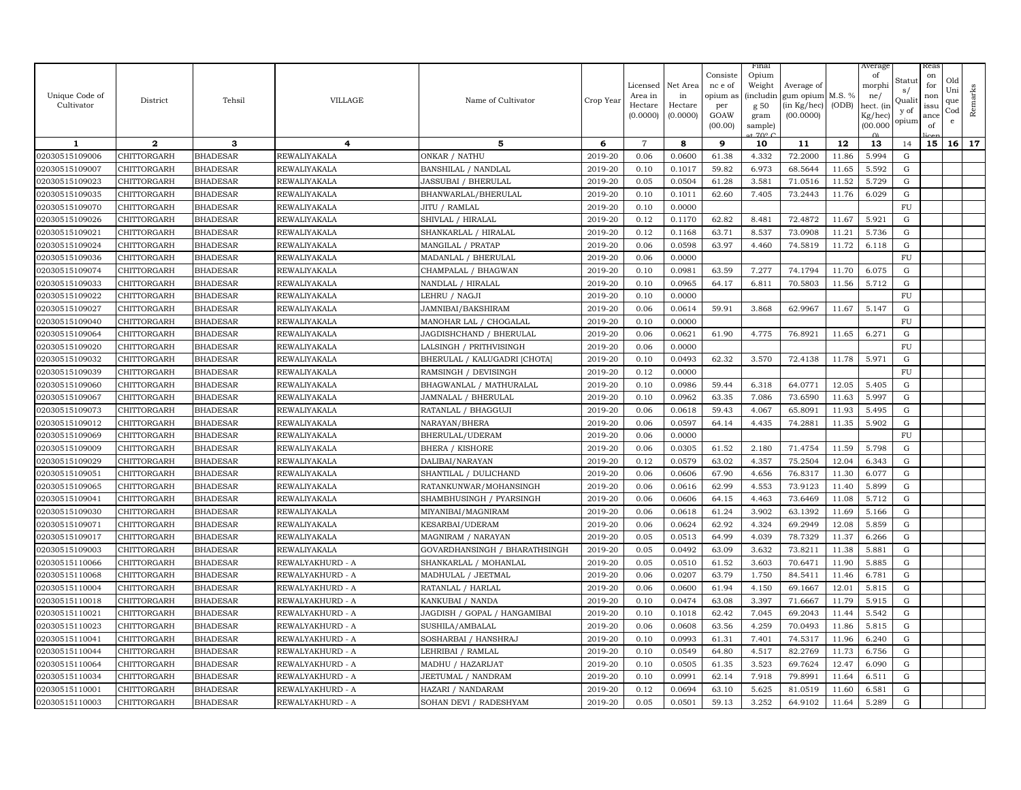| Unique Code of<br>Cultivator | District     | Tehsil          | VILLAGE          | Name of Cultivator            | Crop Year | Licensed<br>Area in<br>Hectare<br>(0.0000) | Net Area<br>in<br>Hectare<br>(0.0000) | Consiste<br>nc e of<br>opium as<br>per<br>GOAW<br>(00.00) | Final<br>Opium<br>Weight<br><i>(includin</i><br>g 50<br>gram<br>sample]<br>70° | Average of<br>gum opium M.S. %<br>(in Kg/hec)<br>(00.0000) | (ODB) | <i><u><b>Werage</b></u></i><br>of<br>morphi<br>ne/<br>hect. (in<br>Kg/hec)<br>(00.000) | Statu<br>s/<br>Quali<br>y of<br>opium | on<br>for<br>noi<br>isst<br>ance<br>of | Old<br>Uni<br>que | Remarks |
|------------------------------|--------------|-----------------|------------------|-------------------------------|-----------|--------------------------------------------|---------------------------------------|-----------------------------------------------------------|--------------------------------------------------------------------------------|------------------------------------------------------------|-------|----------------------------------------------------------------------------------------|---------------------------------------|----------------------------------------|-------------------|---------|
| 1                            | $\mathbf{2}$ | 3               | $\overline{4}$   | 5                             | 6         | $\overline{7}$                             | 8                                     | 9                                                         | 10                                                                             | 11                                                         | 12    | 13                                                                                     | 14                                    | 15                                     | 16                | 17      |
| 02030515109006               | CHITTORGARH  | <b>BHADESAR</b> | REWALIYAKALA     | ONKAR / NATHU                 | 2019-20   | 0.06                                       | 0.0600                                | 61.38                                                     | 4.332                                                                          | 72.2000                                                    | 11.86 | 5.994                                                                                  | G                                     |                                        |                   |         |
| 02030515109007               | CHITTORGARH  | BHADESAR        | REWALIYAKALA     | <b>BANSHILAL / NANDLAL</b>    | 2019-20   | 0.10                                       | 0.1017                                | 59.82                                                     | 6.973                                                                          | 68.5644                                                    | 11.65 | 5.592                                                                                  | G                                     |                                        |                   |         |
| 02030515109023               | CHITTORGARH  | <b>BHADESAR</b> | REWALIYAKALA     | JASSUBAI / BHERULAL           | 2019-20   | 0.05                                       | 0.0504                                | 61.28                                                     | 3.581                                                                          | 71.0516                                                    | 11.52 | 5.729                                                                                  | G                                     |                                        |                   |         |
| 02030515109035               | CHITTORGARH  | <b>BHADESAR</b> | REWALIYAKALA     | BHANWARLAL/BHERULAL           | 2019-20   | 0.10                                       | 0.1011                                | 62.60                                                     | 7.405                                                                          | 73.2443                                                    | 11.76 | 6.029                                                                                  | ${\rm G}$                             |                                        |                   |         |
| 02030515109070               | CHITTORGARH  | <b>BHADESAR</b> | REWALIYAKALA     | JITU / RAMLAL                 | 2019-20   | 0.10                                       | 0.0000                                |                                                           |                                                                                |                                                            |       |                                                                                        | FU                                    |                                        |                   |         |
| 02030515109026               | CHITTORGARH  | <b>BHADESAR</b> | REWALIYAKALA     | SHIVLAL / HIRALAL             | 2019-20   | 0.12                                       | 0.1170                                | 62.82                                                     | 8.481                                                                          | 72.4872                                                    | 11.67 | 5.921                                                                                  | G                                     |                                        |                   |         |
| 02030515109021               | CHITTORGARH  | <b>BHADESAR</b> | REWALIYAKALA     | SHANKARLAL / HIRALAL          | 2019-20   | 0.12                                       | 0.1168                                | 63.71                                                     | 8.537                                                                          | 73.0908                                                    | 11.21 | 5.736                                                                                  | G                                     |                                        |                   |         |
| 02030515109024               | CHITTORGARH  | <b>BHADESAR</b> | REWALIYAKALA     | MANGILAL / PRATAP             | 2019-20   | 0.06                                       | 0.0598                                | 63.97                                                     | 4.460                                                                          | 74.5819                                                    | 11.72 | 6.118                                                                                  | $\mathbf G$                           |                                        |                   |         |
| 02030515109036               | CHITTORGARH  | <b>BHADESAR</b> | REWALIYAKALA     | MADANLAL / BHERULAL           | 2019-20   | 0.06                                       | 0.0000                                |                                                           |                                                                                |                                                            |       |                                                                                        | ${\rm FU}$                            |                                        |                   |         |
| 02030515109074               | CHITTORGARH  | <b>BHADESAR</b> | REWALIYAKALA     | CHAMPALAL / BHAGWAN           | 2019-20   | 0.10                                       | 0.0981                                | 63.59                                                     | 7.277                                                                          | 74.1794                                                    | 11.70 | 6.075                                                                                  | G                                     |                                        |                   |         |
| 02030515109033               | CHITTORGARH  | <b>BHADESAR</b> | REWALIYAKALA     | NANDLAL / HIRALAL             | 2019-20   | 0.10                                       | 0.0965                                | 64.17                                                     | 6.811                                                                          | 70.5803                                                    | 11.56 | 5.712                                                                                  | ${\rm G}$                             |                                        |                   |         |
| 02030515109022               | CHITTORGARH  | <b>BHADESAR</b> | REWALIYAKALA     | LEHRU / NAGJI                 | 2019-20   | 0.10                                       | 0.0000                                |                                                           |                                                                                |                                                            |       |                                                                                        | ${\rm FU}$                            |                                        |                   |         |
| 02030515109027               | CHITTORGARH  | <b>BHADESAR</b> | REWALIYAKALA     | JAMNIBAI/BAKSHIRAM            | 2019-20   | 0.06                                       | 0.0614                                | 59.91                                                     | 3.868                                                                          | 62.9967                                                    | 11.67 | 5.147                                                                                  | ${\rm G}$                             |                                        |                   |         |
| 02030515109040               | CHITTORGARH  | <b>BHADESAR</b> | REWALIYAKALA     | MANOHAR LAL / CHOGALAL        | 2019-20   | 0.10                                       | 0.0000                                |                                                           |                                                                                |                                                            |       |                                                                                        | FU                                    |                                        |                   |         |
| 02030515109064               | CHITTORGARH  | BHADESAR        | REWALIYAKALA     | JAGDISHCHAND / BHERULAL       | 2019-20   | 0.06                                       | 0.0621                                | 61.90                                                     | 4.775                                                                          | 76.8921                                                    | 11.65 | 6.271                                                                                  | ${\rm G}$                             |                                        |                   |         |
| 02030515109020               | CHITTORGARH  | <b>BHADESAR</b> | REWALIYAKALA     | LALSINGH / PRITHVISINGH       | 2019-20   | 0.06                                       | 0.0000                                |                                                           |                                                                                |                                                            |       |                                                                                        | ${\rm FU}$                            |                                        |                   |         |
| 02030515109032               | CHITTORGARH  | <b>BHADESAR</b> | REWALIYAKALA     | BHERULAL / KALUGADRI [CHOTA]  | 2019-20   | 0.10                                       | 0.0493                                | 62.32                                                     | 3.570                                                                          | 72.4138                                                    | 11.78 | 5.971                                                                                  | ${\rm G}$                             |                                        |                   |         |
| 02030515109039               | CHITTORGARH  | <b>BHADESAR</b> | REWALIYAKALA     | RAMSINGH / DEVISINGH          | 2019-20   | 0.12                                       | 0.0000                                |                                                           |                                                                                |                                                            |       |                                                                                        | ${\rm FU}$                            |                                        |                   |         |
| 02030515109060               | CHITTORGARH  | <b>BHADESAR</b> | REWALIYAKALA     | BHAGWANLAL / MATHURALAL       | 2019-20   | 0.10                                       | 0.0986                                | 59.44                                                     | 6.318                                                                          | 64.0771                                                    | 12.05 | 5.405                                                                                  | ${\rm G}$                             |                                        |                   |         |
| 02030515109067               | CHITTORGARH  | <b>BHADESAR</b> | REWALIYAKALA     | JAMNALAL / BHERULAL           | 2019-20   | 0.10                                       | 0.0962                                | 63.35                                                     | 7.086                                                                          | 73.6590                                                    | 11.63 | 5.997                                                                                  | G                                     |                                        |                   |         |
| 02030515109073               | CHITTORGARH  | BHADESAR        | REWALIYAKALA     | RATANLAL / BHAGGUJI           | 2019-20   | 0.06                                       | 0.0618                                | 59.43                                                     | 4.067                                                                          | 65.8091                                                    | 11.93 | 5.495                                                                                  | G                                     |                                        |                   |         |
| 02030515109012               | CHITTORGARH  | <b>BHADESAR</b> | REWALIYAKALA     | NARAYAN/BHERA                 | 2019-20   | 0.06                                       | 0.0597                                | 64.14                                                     | 4.435                                                                          | 74.2881                                                    | 11.35 | 5.902                                                                                  | G                                     |                                        |                   |         |
| 02030515109069               | CHITTORGARH  | BHADESAR        | REWALIYAKALA     | BHERULAL/UDERAM               | 2019-20   | 0.06                                       | 0.0000                                |                                                           |                                                                                |                                                            |       |                                                                                        | ${\rm FU}$                            |                                        |                   |         |
| 02030515109009               | CHITTORGARH  | <b>BHADESAR</b> | REWALIYAKALA     | <b>BHERA / KISHORE</b>        | 2019-20   | 0.06                                       | 0.0305                                | 61.52                                                     | 2.180                                                                          | 71.4754                                                    | 11.59 | 5.798                                                                                  | G                                     |                                        |                   |         |
| 02030515109029               | CHITTORGARH  | <b>BHADESAR</b> | REWALIYAKALA     | DALIBAI/NARAYAN               | 2019-20   | 0.12                                       | 0.0579                                | 63.02                                                     | 4.357                                                                          | 75.2504                                                    | 12.04 | 6.343                                                                                  | ${\rm G}$                             |                                        |                   |         |
| 02030515109051               | CHITTORGARH  | <b>BHADESAR</b> | REWALIYAKALA     | SHANTILAL / DULICHAND         | 2019-20   | 0.06                                       | 0.0606                                | 67.90                                                     | 4.656                                                                          | 76.8317                                                    | 11.30 | 6.077                                                                                  | G                                     |                                        |                   |         |
| 02030515109065               | CHITTORGARH  | <b>BHADESAR</b> | REWALIYAKALA     | RATANKUNWAR/MOHANSINGH        | 2019-20   | 0.06                                       | 0.0616                                | 62.99                                                     | 4.553                                                                          | 73.9123                                                    | 11.40 | 5.899                                                                                  | ${\rm G}$                             |                                        |                   |         |
| 02030515109041               | CHITTORGARH  | <b>BHADESAR</b> | REWALIYAKALA     | SHAMBHUSINGH / PYARSINGH      | 2019-20   | 0.06                                       | 0.0606                                | 64.15                                                     | 4.463                                                                          | 73.6469                                                    | 11.08 | 5.712                                                                                  | ${\rm G}$                             |                                        |                   |         |
| 02030515109030               | CHITTORGARH  | <b>BHADESAR</b> | REWALIYAKALA     | MIYANIBAI/MAGNIRAM            | 2019-20   | 0.06                                       | 0.0618                                | 61.24                                                     | 3.902                                                                          | 63.1392                                                    | 11.69 | 5.166                                                                                  | G                                     |                                        |                   |         |
| 02030515109071               | CHITTORGARH  | <b>BHADESAR</b> | REWALIYAKALA     | <b>KESARBAI/UDERAM</b>        | 2019-20   | 0.06                                       | 0.0624                                | 62.92                                                     | 4.324                                                                          | 69.2949                                                    | 12.08 | 5.859                                                                                  | G                                     |                                        |                   |         |
| 02030515109017               | CHITTORGARH  | <b>BHADESAR</b> | REWALIYAKALA     | MAGNIRAM / NARAYAN            | 2019-20   | 0.05                                       | 0.0513                                | 64.99                                                     | 4.039                                                                          | 78.7329                                                    | 11.37 | 6.266                                                                                  | ${\rm G}$                             |                                        |                   |         |
| 02030515109003               | CHITTORGARH  | <b>BHADESAR</b> | REWALIYAKALA     | GOVARDHANSINGH / BHARATHSINGH | 2019-20   | 0.05                                       | 0.0492                                | 63.09                                                     | 3.632                                                                          | 73.8211                                                    | 11.38 | 5.881                                                                                  | ${\rm G}$                             |                                        |                   |         |
| 02030515110066               | CHITTORGARH  | <b>BHADESAR</b> | REWALYAKHURD - A | SHANKARLAL / MOHANLAL         | 2019-20   | 0.05                                       | 0.0510                                | 61.52                                                     | 3.603                                                                          | 70.6471                                                    | 11.90 | 5.885                                                                                  | G                                     |                                        |                   |         |
| 02030515110068               | CHITTORGARH  | <b>BHADESAR</b> | REWALYAKHURD - A | MADHULAL / JEETMAL            | 2019-20   | 0.06                                       | 0.0207                                | 63.79                                                     | 1.750                                                                          | 84.5411                                                    | 11.46 | 6.781                                                                                  | G                                     |                                        |                   |         |
| 02030515110004               | CHITTORGARH  | <b>BHADESAR</b> | REWALYAKHURD - A | RATANLAL / HARLAL             | 2019-20   | 0.06                                       | 0.0600                                | 61.94                                                     | 4.150                                                                          | 69.1667                                                    | 12.01 | 5.815                                                                                  | G                                     |                                        |                   |         |
| 02030515110018               | CHITTORGARH  | <b>BHADESAR</b> | REWALYAKHURD - A | KANKUBAI / NANDA              | 2019-20   | 0.10                                       | 0.0474                                | 63.08                                                     | 3.397                                                                          | 71.6667                                                    | 11.79 | 5.915                                                                                  | G                                     |                                        |                   |         |
| 02030515110021               | CHITTORGARH  | BHADESAR        | REWALYAKHURD - A | JAGDISH / GOPAL / HANGAMIBAI  | 2019-20   | 0.10                                       | 0.1018                                | 62.42                                                     | 7.045                                                                          | 69.2043                                                    | 11.44 | 5.542                                                                                  | G                                     |                                        |                   |         |
| 02030515110023               | CHITTORGARH  | <b>BHADESAR</b> | REWALYAKHURD - A | SUSHILA/AMBALAL               | 2019-20   | 0.06                                       | 0.0608                                | 63.56                                                     | 4.259                                                                          | 70.0493                                                    | 11.86 | 5.815                                                                                  | G                                     |                                        |                   |         |
| 02030515110041               | CHITTORGARH  | <b>BHADESAR</b> | REWALYAKHURD - A | SOSHARBAI / HANSHRAJ          | 2019-20   | 0.10                                       | 0.0993                                | 61.31                                                     | 7.401                                                                          | 74.5317                                                    | 11.96 | 6.240                                                                                  | G                                     |                                        |                   |         |
| 02030515110044               | CHITTORGARH  | <b>BHADESAR</b> | REWALYAKHURD - A | LEHRIBAI / RAMLAL             | 2019-20   | 0.10                                       | 0.0549                                | 64.80                                                     | 4.517                                                                          | 82.2769                                                    | 11.73 | 6.756                                                                                  | G                                     |                                        |                   |         |
| 02030515110064               | CHITTORGARH  | <b>BHADESAR</b> | REWALYAKHURD - A | MADHU / HAZARIJAT             | 2019-20   | 0.10                                       | 0.0505                                | 61.35                                                     | 3.523                                                                          | 69.7624                                                    | 12.47 | 6.090                                                                                  | G                                     |                                        |                   |         |
| 02030515110034               | CHITTORGARH  | BHADESAR        | REWALYAKHURD - A | JEETUMAL / NANDRAM            | 2019-20   | 0.10                                       | 0.0991                                | 62.14                                                     | 7.918                                                                          | 79.8991                                                    | 11.64 | 6.511                                                                                  | G                                     |                                        |                   |         |
| 02030515110001               | CHITTORGARH  | <b>BHADESAR</b> | REWALYAKHURD - A | HAZARI / NANDARAM             | 2019-20   | 0.12                                       | 0.0694                                | 63.10                                                     | 5.625                                                                          | 81.0519                                                    | 11.60 | 6.581                                                                                  | ${\rm G}$                             |                                        |                   |         |
| 02030515110003               | CHITTORGARH  | <b>BHADESAR</b> | REWALYAKHURD - A | SOHAN DEVI / RADESHYAM        | 2019-20   | 0.05                                       | 0.0501                                | 59.13                                                     | 3.252                                                                          | 64.9102                                                    | 11.64 | 5.289                                                                                  | ${\rm G}$                             |                                        |                   |         |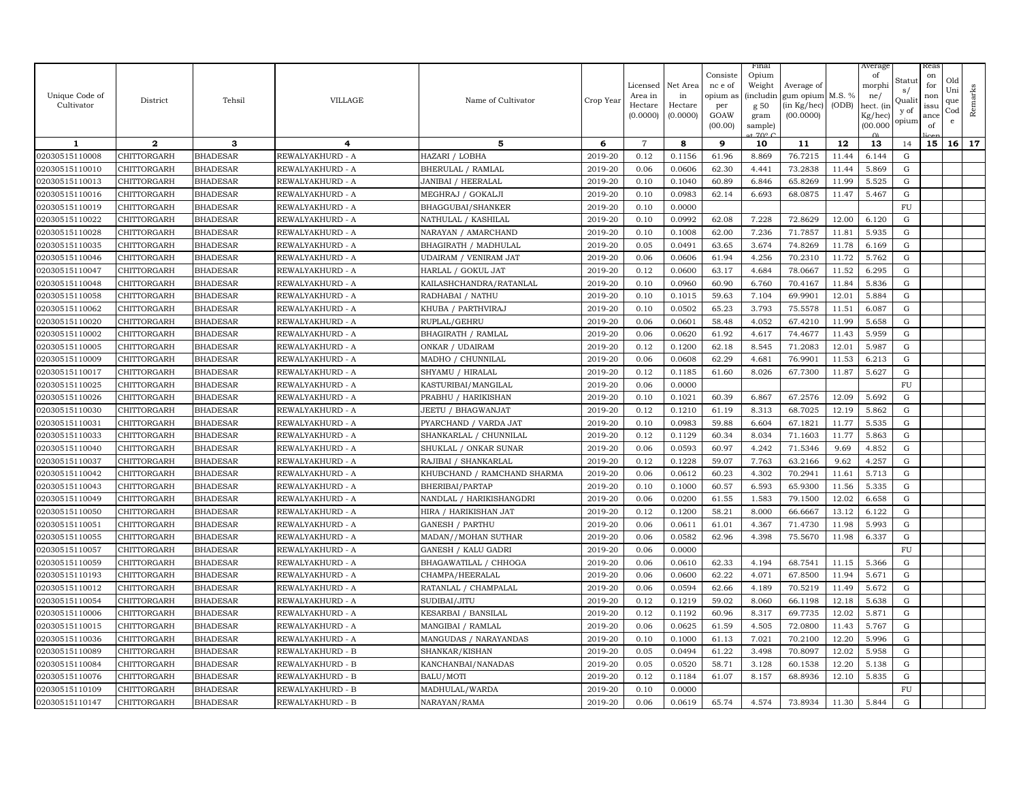| Unique Code of<br>Cultivator | District       | Tehsil          | VILLAGE          | Name of Cultivator           | Crop Year | Licensed<br>Area in<br>Hectare<br>(0.0000) | Net Area<br>in<br>Hectare<br>(0.0000) | Consiste<br>nc e of<br>opium as<br>per<br>GOAW<br>(00.00) | Final<br>Opium<br>Weight<br><i>(includin</i><br>g 50<br>gram<br>sample]<br>$70^\circ$ | Average of<br>gum opium M.S. %<br>(in Kg/hec)<br>(00.0000) | (ODB) | Averag<br>of<br>morphi<br>ne/<br>hect. (in<br>Kg/hec<br>(00.000) | Statu<br>s/<br>Quali<br>y of<br>opium | on<br>for<br>noi<br>isst<br>ance<br>of | Dld<br>Uni<br>que | Remarks |
|------------------------------|----------------|-----------------|------------------|------------------------------|-----------|--------------------------------------------|---------------------------------------|-----------------------------------------------------------|---------------------------------------------------------------------------------------|------------------------------------------------------------|-------|------------------------------------------------------------------|---------------------------------------|----------------------------------------|-------------------|---------|
| -1                           | $\overline{2}$ | з               | 4                | 5                            | 6         | $\overline{7}$                             | 8                                     | 9                                                         | 10                                                                                    | 11                                                         | 12    | 13                                                               | 14                                    | 15                                     | 16 <sup>1</sup>   | 17      |
| 02030515110008               | CHITTORGARH    | <b>BHADESAR</b> | REWALYAKHURD - A | HAZARI / LOBHA               | 2019-20   | 0.12                                       | 0.1156                                | 61.96                                                     | 8.869                                                                                 | 76.7215                                                    | 11.44 | 6.144                                                            | G                                     |                                        |                   |         |
| 02030515110010               | CHITTORGARH    | <b>BHADESAR</b> | REWALYAKHURD - A | BHERULAL / RAMLAL            | 2019-20   | 0.06                                       | 0.0606                                | 62.30                                                     | 4.441                                                                                 | 73.2838                                                    | 11.44 | 5.869                                                            | G                                     |                                        |                   |         |
| 02030515110013               | CHITTORGARH    | <b>BHADESAR</b> | REWALYAKHURD - A | JANIBAI / HEERALAL           | 2019-20   | 0.10                                       | 0.1040                                | 60.89                                                     | 6.846                                                                                 | 65.8269                                                    | 11.99 | 5.525                                                            | G                                     |                                        |                   |         |
| 02030515110016               | CHITTORGARH    | <b>BHADESAR</b> | REWALYAKHURD - A | MEGHRAJ / GOKALJI            | 2019-20   | 0.10                                       | 0.0983                                | 62.14                                                     | 6.693                                                                                 | 68.0875                                                    | 11.47 | 5.467                                                            | ${\rm G}$                             |                                        |                   |         |
| 02030515110019               | CHITTORGARH    | <b>BHADESAR</b> | REWALYAKHURD - A | BHAGGUBAI/SHANKER            | 2019-20   | 0.10                                       | 0.0000                                |                                                           |                                                                                       |                                                            |       |                                                                  | FU                                    |                                        |                   |         |
| 02030515110022               | CHITTORGARH    | <b>BHADESAR</b> | REWALYAKHURD - A | NATHULAL / KASHILAL          | 2019-20   | 0.10                                       | 0.0992                                | 62.08                                                     | 7.228                                                                                 | 72.8629                                                    | 12.00 | 6.120                                                            | G                                     |                                        |                   |         |
| 02030515110028               | CHITTORGARH    | <b>BHADESAR</b> | REWALYAKHURD - A | NARAYAN / AMARCHAND          | 2019-20   | 0.10                                       | 0.1008                                | 62.00                                                     | 7.236                                                                                 | 71.7857                                                    | 11.81 | 5.935                                                            | ${\rm G}$                             |                                        |                   |         |
| 02030515110035               | CHITTORGARH    | <b>BHADESAR</b> | REWALYAKHURD - A | BHAGIRATH / MADHULAL         | 2019-20   | 0.05                                       | 0.0491                                | 63.65                                                     | 3.674                                                                                 | 74.8269                                                    | 11.78 | 6.169                                                            | G                                     |                                        |                   |         |
| 02030515110046               | CHITTORGARH    | <b>BHADESAR</b> | REWALYAKHURD - A | <b>UDAIRAM / VENIRAM JAT</b> | 2019-20   | 0.06                                       | 0.0606                                | 61.94                                                     | 4.256                                                                                 | 70.2310                                                    | 11.72 | 5.762                                                            | ${\rm G}$                             |                                        |                   |         |
| 02030515110047               | CHITTORGARH    | <b>BHADESAR</b> | REWALYAKHURD - A | HARLAL / GOKUL JAT           | 2019-20   | 0.12                                       | 0.0600                                | 63.17                                                     | 4.684                                                                                 | 78.0667                                                    | 11.52 | 6.295                                                            | G                                     |                                        |                   |         |
| 02030515110048               | CHITTORGARH    | <b>BHADESAR</b> | REWALYAKHURD - A | KAILASHCHANDRA/RATANLAL      | 2019-20   | 0.10                                       | 0.0960                                | 60.90                                                     | 6.760                                                                                 | 70.4167                                                    | 11.84 | 5.836                                                            | G                                     |                                        |                   |         |
| 02030515110058               | CHITTORGARH    | <b>BHADESAR</b> | REWALYAKHURD - A | RADHABAI / NATHU             | 2019-20   | 0.10                                       | 0.1015                                | 59.63                                                     | 7.104                                                                                 | 69.9901                                                    | 12.01 | 5.884                                                            | ${\rm G}$                             |                                        |                   |         |
| 02030515110062               | CHITTORGARH    | <b>BHADESAR</b> | REWALYAKHURD - A | KHUBA / PARTHVIRAJ           | 2019-20   | 0.10                                       | 0.0502                                | 65.23                                                     | 3.793                                                                                 | 75.5578                                                    | 11.51 | 6.087                                                            | ${\rm G}$                             |                                        |                   |         |
| 02030515110020               | CHITTORGARH    | <b>BHADESAR</b> | REWALYAKHURD - A | RUPLAL/GEHRU                 | 2019-20   | 0.06                                       | 0.0601                                | 58.48                                                     | 4.052                                                                                 | 67.4210                                                    | 11.99 | 5.658                                                            | G                                     |                                        |                   |         |
| 02030515110002               | CHITTORGARH    | <b>BHADESAR</b> | REWALYAKHURD - A | BHAGIRATH / RAMLAL           | 2019-20   | 0.06                                       | 0.0620                                | 61.92                                                     | 4.617                                                                                 | 74.4677                                                    | 11.43 | 5.959                                                            | ${\rm G}$                             |                                        |                   |         |
| 02030515110005               | CHITTORGARH    | <b>BHADESAR</b> | REWALYAKHURD - A | ONKAR / UDAIRAM              | 2019-20   | 0.12                                       | 0.1200                                | 62.18                                                     | 8.545                                                                                 | 71.2083                                                    | 12.01 | 5.987                                                            | ${\rm G}$                             |                                        |                   |         |
| 02030515110009               | CHITTORGARH    | <b>BHADESAR</b> | REWALYAKHURD - A | MADHO / CHUNNILAL            | 2019-20   | 0.06                                       | 0.0608                                | 62.29                                                     | 4.681                                                                                 | 76.9901                                                    | 11.53 | 6.213                                                            | G                                     |                                        |                   |         |
| 02030515110017               | CHITTORGARH    | <b>BHADESAR</b> | REWALYAKHURD - A | SHYAMU / HIRALAL             | 2019-20   | 0.12                                       | 0.1185                                | 61.60                                                     | 8.026                                                                                 | 67.7300                                                    | 11.87 | 5.627                                                            | G                                     |                                        |                   |         |
| 02030515110025               | CHITTORGARH    | <b>BHADESAR</b> | REWALYAKHURD - A | KASTURIBAI/MANGILAL          | 2019-20   | 0.06                                       | 0.0000                                |                                                           |                                                                                       |                                                            |       |                                                                  | ${\rm FU}$                            |                                        |                   |         |
| 02030515110026               | CHITTORGARH    | <b>BHADESAR</b> | REWALYAKHURD - A | PRABHU / HARIKISHAN          | 2019-20   | 0.10                                       | 0.1021                                | 60.39                                                     | 6.867                                                                                 | 67.2576                                                    | 12.09 | 5.692                                                            | $\mathbf G$                           |                                        |                   |         |
| 02030515110030               | CHITTORGARH    | <b>BHADESAR</b> | REWALYAKHURD - A | JEETU / BHAGWANJAT           | 2019-20   | 0.12                                       | 0.1210                                | 61.19                                                     | 8.313                                                                                 | 68.7025                                                    | 12.19 | 5.862                                                            | G                                     |                                        |                   |         |
| 02030515110031               | CHITTORGARH    | <b>BHADESAR</b> | REWALYAKHURD - A | PYARCHAND / VARDA JAT        | 2019-20   | 0.10                                       | 0.0983                                | 59.88                                                     | 6.604                                                                                 | 67.1821                                                    | 11.77 | 5.535                                                            | G                                     |                                        |                   |         |
| 02030515110033               | CHITTORGARH    | <b>BHADESAR</b> | REWALYAKHURD - A | SHANKARLAL / CHUNNILAL       | 2019-20   | 0.12                                       | 0.1129                                | 60.34                                                     | 8.034                                                                                 | 71.1603                                                    | 11.77 | 5.863                                                            | G                                     |                                        |                   |         |
| 02030515110040               | CHITTORGARH    | <b>BHADESAR</b> | REWALYAKHURD - A | SHUKLAL / ONKAR SUNAR        | 2019-20   | 0.06                                       | 0.0593                                | 60.97                                                     | 4.242                                                                                 | 71.5346                                                    | 9.69  | 4.852                                                            | ${\rm G}$                             |                                        |                   |         |
| 02030515110037               | CHITTORGARH    | <b>BHADESAR</b> | REWALYAKHURD - A | RAJIBAI / SHANKARLAL         | 2019-20   | 0.12                                       | 0.1228                                | 59.07                                                     | 7.763                                                                                 | 63.2166                                                    | 9.62  | 4.257                                                            | G                                     |                                        |                   |         |
| 02030515110042               | CHITTORGARH    | <b>BHADESAR</b> | REWALYAKHURD - A | KHUBCHAND / RAMCHAND SHARMA  | 2019-20   | 0.06                                       | 0.0612                                | 60.23                                                     | 4.302                                                                                 | 70.2941                                                    | 11.61 | 5.713                                                            | G                                     |                                        |                   |         |
| 02030515110043               | CHITTORGARH    | <b>BHADESAR</b> | REWALYAKHURD - A | BHERIBAI/PARTAP              | 2019-20   | 0.10                                       | 0.1000                                | 60.57                                                     | 6.593                                                                                 | 65.9300                                                    | 11.56 | 5.335                                                            | ${\rm G}$                             |                                        |                   |         |
| 02030515110049               | CHITTORGARH    | <b>BHADESAR</b> | REWALYAKHURD - A | NANDLAL / HARIKISHANGDRI     | 2019-20   | 0.06                                       | 0.0200                                | 61.55                                                     | 1.583                                                                                 | 79.1500                                                    | 12.02 | 6.658                                                            | ${\rm G}$                             |                                        |                   |         |
| 02030515110050               | CHITTORGARH    | <b>BHADESAR</b> | REWALYAKHURD - A | HIRA / HARIKISHAN JAT        | 2019-20   | 0.12                                       | 0.1200                                | 58.21                                                     | 8.000                                                                                 | 66.6667                                                    | 13.12 | 6.122                                                            | G                                     |                                        |                   |         |
| 02030515110051               | CHITTORGARH    | <b>BHADESAR</b> | REWALYAKHURD - A | GANESH / PARTHU              | 2019-20   | 0.06                                       | 0.0611                                | 61.01                                                     | 4.367                                                                                 | 71.4730                                                    | 11.98 | 5.993                                                            | $\mathbf G$                           |                                        |                   |         |
| 02030515110055               | CHITTORGARH    | <b>BHADESAR</b> | REWALYAKHURD - A | MADAN//MOHAN SUTHAR          | 2019-20   | 0.06                                       | 0.0582                                | 62.96                                                     | 4.398                                                                                 | 75.5670                                                    | 11.98 | 6.337                                                            | ${\rm G}$                             |                                        |                   |         |
| 02030515110057               | CHITTORGARH    | <b>BHADESAR</b> | REWALYAKHURD - A | GANESH / KALU GADRI          | 2019-20   | 0.06                                       | 0.0000                                |                                                           |                                                                                       |                                                            |       |                                                                  | FU                                    |                                        |                   |         |
| 02030515110059               | CHITTORGARH    | <b>BHADESAR</b> | REWALYAKHURD - A | BHAGAWATILAL / CHHOGA        | 2019-20   | 0.06                                       | 0.0610                                | 62.33                                                     | 4.194                                                                                 | 68.7541                                                    | 11.15 | 5.366                                                            | $\mathbf G$                           |                                        |                   |         |
| 02030515110193               | CHITTORGARH    | <b>BHADESAR</b> | REWALYAKHURD - A | CHAMPA/HEERALAL              | 2019-20   | 0.06                                       | 0.0600                                | 62.22                                                     | 4.071                                                                                 | 67.8500                                                    | 11.94 | 5.671                                                            | G                                     |                                        |                   |         |
| 02030515110012               | CHITTORGARH    | <b>BHADESAR</b> | REWALYAKHURD - A | RATANLAL / CHAMPALAL         | 2019-20   | 0.06                                       | 0.0594                                | 62.66                                                     | 4.189                                                                                 | 70.5219                                                    | 11.49 | 5.672                                                            | G                                     |                                        |                   |         |
| 02030515110054               | CHITTORGARH    | <b>BHADESAR</b> | REWALYAKHURD - A | SUDIBAI/JITU                 | 2019-20   | 0.12                                       | 0.1219                                | 59.02                                                     | 8.060                                                                                 | 66.1198                                                    | 12.18 | 5.638                                                            | ${\rm G}$                             |                                        |                   |         |
| 02030515110006               | CHITTORGARH    | <b>BHADESAR</b> | REWALYAKHURD - A | KESARBAI / BANSILAL          | 2019-20   | 0.12                                       | 0.1192                                | 60.96                                                     | 8.317                                                                                 | 69.7735                                                    | 12.02 | 5.871                                                            | G                                     |                                        |                   |         |
| 02030515110015               | CHITTORGARH    | <b>BHADESAR</b> | REWALYAKHURD - A | MANGIBAI / RAMLAL            | 2019-20   | 0.06                                       | 0.0625                                | 61.59                                                     | 4.505                                                                                 | 72.0800                                                    | 11.43 | 5.767                                                            | G                                     |                                        |                   |         |
| 02030515110036               | CHITTORGARH    | <b>BHADESAR</b> | REWALYAKHURD - A | MANGUDAS / NARAYANDAS        | 2019-20   | 0.10                                       | 0.1000                                | 61.13                                                     | 7.021                                                                                 | 70.2100                                                    | 12.20 | 5.996                                                            | G                                     |                                        |                   |         |
| 02030515110089               | CHITTORGARH    | <b>BHADESAR</b> | REWALYAKHURD - B | SHANKAR/KISHAN               | 2019-20   | 0.05                                       | 0.0494                                | 61.22                                                     | 3.498                                                                                 | 70.8097                                                    | 12.02 | 5.958                                                            | G                                     |                                        |                   |         |
| 02030515110084               | CHITTORGARH    | <b>BHADESAR</b> | REWALYAKHURD - B | KANCHANBAI/NANADAS           | 2019-20   | 0.05                                       | 0.0520                                | 58.71                                                     | 3.128                                                                                 | 60.1538                                                    | 12.20 | 5.138                                                            | G                                     |                                        |                   |         |
| 02030515110076               | CHITTORGARH    | <b>BHADESAR</b> | REWALYAKHURD - B | BALU/MOTI                    | 2019-20   | 0.12                                       | 0.1184                                | 61.07                                                     | 8.157                                                                                 | 68.8936                                                    | 12.10 | 5.835                                                            | G                                     |                                        |                   |         |
| 02030515110109               | CHITTORGARH    | <b>BHADESAR</b> | REWALYAKHURD - B | MADHULAL/WARDA               | 2019-20   | 0.10                                       | 0.0000                                |                                                           |                                                                                       |                                                            |       |                                                                  | ${\rm FU}$                            |                                        |                   |         |
| 02030515110147               | CHITTORGARH    | <b>BHADESAR</b> | REWALYAKHURD - B | NARAYAN/RAMA                 | 2019-20   | 0.06                                       | 0.0619                                | 65.74                                                     | 4.574                                                                                 | 73.8934                                                    | 11.30 | 5.844                                                            | ${\rm G}$                             |                                        |                   |         |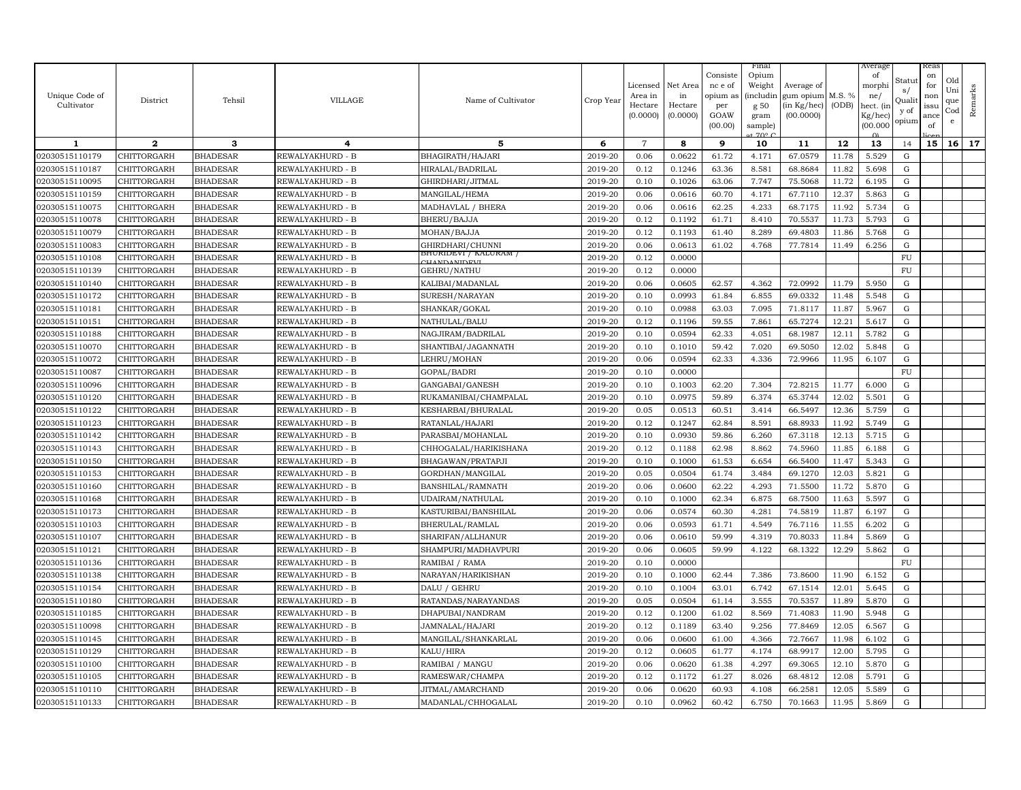| Unique Code of<br>Cultivator | District       | Tehsil          | VILLAGE          | Name of Cultivator                        | Crop Year | Licensed<br>Area in<br>Hectare<br>(0.0000) | Net Area<br>in<br>Hectare<br>(0.0000) | Consiste<br>nc e of<br>opium as<br>per<br>GOAW<br>(00.00) | Final<br>Opium<br>Weight<br><i>(includin</i><br>g 50<br>gram<br>sample]<br>$70^\circ$ | Average of<br>gum opium M.S. %<br>(in Kg/hec)<br>(00.0000) | (ODB) | <i><u><b>Werage</b></u></i><br>of<br>morphi<br>ne/<br>hect. (in<br>Kg/hec]<br>(00.000) | Statu<br>s/<br>Quali<br>y of<br>opium | on<br>for<br>noi<br>isst<br>ance<br>of | blG<br>Uni<br>que | Remarks |
|------------------------------|----------------|-----------------|------------------|-------------------------------------------|-----------|--------------------------------------------|---------------------------------------|-----------------------------------------------------------|---------------------------------------------------------------------------------------|------------------------------------------------------------|-------|----------------------------------------------------------------------------------------|---------------------------------------|----------------------------------------|-------------------|---------|
| -1                           | $\overline{2}$ | з               | 4                | 5                                         | 6         | $\overline{7}$                             | 8                                     | 9                                                         | 10                                                                                    | 11                                                         | 12    | 13                                                                                     | 14                                    | 15                                     | 16                | 17      |
| 02030515110179               | CHITTORGARH    | <b>BHADESAR</b> | REWALYAKHURD - B | BHAGIRATH/HAJARI                          | 2019-20   | 0.06                                       | 0.0622                                | 61.72                                                     | 4.171                                                                                 | 67.0579                                                    | 11.78 | 5.529                                                                                  | G                                     |                                        |                   |         |
| 02030515110187               | CHITTORGARH    | <b>BHADESAR</b> | REWALYAKHURD - B | HIRALAL/BADRILAL                          | 2019-20   | 0.12                                       | 0.1246                                | 63.36                                                     | 8.581                                                                                 | 68.8684                                                    | 11.82 | 5.698                                                                                  | G                                     |                                        |                   |         |
| 02030515110095               | CHITTORGARH    | <b>BHADESAR</b> | REWALYAKHURD - B | GHIRDHARI/JITMAL                          | 2019-20   | 0.10                                       | 0.1026                                | 63.06                                                     | 7.747                                                                                 | 75.5068                                                    | 11.72 | 6.195                                                                                  | G                                     |                                        |                   |         |
| 02030515110159               | CHITTORGARH    | <b>BHADESAR</b> | REWALYAKHURD - B | MANGILAL/HEMA                             | 2019-20   | 0.06                                       | 0.0616                                | 60.70                                                     | 4.171                                                                                 | 67.7110                                                    | 12.37 | 5.863                                                                                  | ${\rm G}$                             |                                        |                   |         |
| 02030515110075               | CHITTORGARH    | <b>BHADESAR</b> | REWALYAKHURD - B | MADHAVLAL / BHERA                         | 2019-20   | 0.06                                       | 0.0616                                | 62.25                                                     | 4.233                                                                                 | 68.7175                                                    | 11.92 | 5.734                                                                                  | G                                     |                                        |                   |         |
| 02030515110078               | CHITTORGARH    | <b>BHADESAR</b> | REWALYAKHURD - B | <b>BHERU/BAJJA</b>                        | 2019-20   | 0.12                                       | 0.1192                                | 61.71                                                     | 8.410                                                                                 | 70.5537                                                    | 11.73 | 5.793                                                                                  | G                                     |                                        |                   |         |
| 02030515110079               | CHITTORGARH    | <b>BHADESAR</b> | REWALYAKHURD - B | MOHAN/BAJJA                               | 2019-20   | 0.12                                       | 0.1193                                | 61.40                                                     | 8.289                                                                                 | 69.4803                                                    | 11.86 | 5.768                                                                                  | ${\rm G}$                             |                                        |                   |         |
| 02030515110083               | CHITTORGARH    | <b>BHADESAR</b> | REWALYAKHURD - B | GHIRDHARI/CHUNNI<br>BHUKIDEVI / KALURAM / | 2019-20   | 0.06                                       | 0.0613                                | 61.02                                                     | 4.768                                                                                 | 77.7814                                                    | 11.49 | 6.256                                                                                  | ${\rm G}$                             |                                        |                   |         |
| 02030515110108               | CHITTORGARH    | <b>BHADESAR</b> | REWALYAKHURD - B | <b>HANDANIDEVI</b>                        | 2019-20   | 0.12                                       | 0.0000                                |                                                           |                                                                                       |                                                            |       |                                                                                        | ${\rm FU}$                            |                                        |                   |         |
| 02030515110139               | CHITTORGARH    | <b>BHADESAR</b> | REWALYAKHURD - B | GEHRU/NATHU                               | 2019-20   | 0.12                                       | 0.0000                                |                                                           |                                                                                       |                                                            |       |                                                                                        | ${\rm FU}$                            |                                        |                   |         |
| 02030515110140               | CHITTORGARH    | <b>BHADESAR</b> | REWALYAKHURD - B | KALIBAI/MADANLAL                          | 2019-20   | 0.06                                       | 0.0605                                | 62.57                                                     | 4.362                                                                                 | 72.0992                                                    | 11.79 | 5.950                                                                                  | G                                     |                                        |                   |         |
| 02030515110172               | CHITTORGARH    | <b>BHADESAR</b> | REWALYAKHURD - B | SURESH/NARAYAN                            | 2019-20   | 0.10                                       | 0.0993                                | 61.84                                                     | 6.855                                                                                 | 69.0332                                                    | 11.48 | 5.548                                                                                  | ${\rm G}$                             |                                        |                   |         |
| 02030515110181               | CHITTORGARH    | <b>BHADESAR</b> | REWALYAKHURD - B | SHANKAR/GOKAL                             | 2019-20   | 0.10                                       | 0.0988                                | 63.03                                                     | 7.095                                                                                 | 71.8117                                                    | 11.87 | 5.967                                                                                  | ${\rm G}$                             |                                        |                   |         |
| 02030515110151               | CHITTORGARH    | <b>BHADESAR</b> | REWALYAKHURD - B | NATHULAL/BALU                             | 2019-20   | 0.12                                       | 0.1196                                | 59.55                                                     | 7.861                                                                                 | 65.7274                                                    | 12.21 | 5.617                                                                                  | G                                     |                                        |                   |         |
| 02030515110188               | CHITTORGARH    | <b>BHADESAR</b> | REWALYAKHURD - B | NAGJIRAM/BADRILAL                         | 2019-20   | 0.10                                       | 0.0594                                | 62.33                                                     | 4.051                                                                                 | 68.1987                                                    | 12.11 | 5.782                                                                                  | ${\rm G}$                             |                                        |                   |         |
| 02030515110070               | CHITTORGARH    | <b>BHADESAR</b> | REWALYAKHURD - B | SHANTIBAI/JAGANNATH                       | 2019-20   | 0.10                                       | 0.1010                                | 59.42                                                     | 7.020                                                                                 | 69.5050                                                    | 12.02 | 5.848                                                                                  | ${\rm G}$                             |                                        |                   |         |
| 02030515110072               | CHITTORGARH    | <b>BHADESAR</b> | REWALYAKHURD - B | LEHRU/MOHAN                               | 2019-20   | 0.06                                       | 0.0594                                | 62.33                                                     | 4.336                                                                                 | 72.9966                                                    | 11.95 | 6.107                                                                                  | G                                     |                                        |                   |         |
| 02030515110087               | CHITTORGARH    | <b>BHADESAR</b> | REWALYAKHURD - B | GOPAL/BADRI                               | 2019-20   | 0.10                                       | 0.0000                                |                                                           |                                                                                       |                                                            |       |                                                                                        | ${\rm FU}$                            |                                        |                   |         |
| 02030515110096               | CHITTORGARH    | <b>BHADESAR</b> | REWALYAKHURD - B | GANGABAI/GANESH                           | 2019-20   | 0.10                                       | 0.1003                                | 62.20                                                     | 7.304                                                                                 | 72.8215                                                    | 11.77 | 6.000                                                                                  | G                                     |                                        |                   |         |
| 02030515110120               | CHITTORGARH    | <b>BHADESAR</b> | REWALYAKHURD - B | RUKAMANIBAI/CHAMPALAL                     | 2019-20   | 0.10                                       | 0.0975                                | 59.89                                                     | 6.374                                                                                 | 65.3744                                                    | 12.02 | 5.501                                                                                  | $\mathbf G$                           |                                        |                   |         |
| 02030515110122               | CHITTORGARH    | <b>BHADESAR</b> | REWALYAKHURD - B | KESHARBAI/BHURALAL                        | 2019-20   | 0.05                                       | 0.0513                                | 60.51                                                     | 3.414                                                                                 | 66.5497                                                    | 12.36 | 5.759                                                                                  | G                                     |                                        |                   |         |
| 02030515110123               | CHITTORGARH    | <b>BHADESAR</b> | REWALYAKHURD - B | RATANLAL/HAJARI                           | 2019-20   | 0.12                                       | 0.1247                                | 62.84                                                     | 8.591                                                                                 | 68.8933                                                    | 11.92 | 5.749                                                                                  | G                                     |                                        |                   |         |
| 02030515110142               | CHITTORGARH    | <b>BHADESAR</b> | REWALYAKHURD - B | PARASBAI/MOHANLAL                         | 2019-20   | 0.10                                       | 0.0930                                | 59.86                                                     | 6.260                                                                                 | 67.3118                                                    | 12.13 | 5.715                                                                                  | G                                     |                                        |                   |         |
| 02030515110143               | CHITTORGARH    | <b>BHADESAR</b> | REWALYAKHURD - B | CHHOGALAL/HARIKISHANA                     | 2019-20   | 0.12                                       | 0.1188                                | 62.98                                                     | 8.862                                                                                 | 74.5960                                                    | 11.85 | 6.188                                                                                  | ${\rm G}$                             |                                        |                   |         |
| 02030515110150               | CHITTORGARH    | <b>BHADESAR</b> | REWALYAKHURD - B | BHAGAWAN/PRATAPJI                         | 2019-20   | 0.10                                       | 0.1000                                | 61.53                                                     | 6.654                                                                                 | 66.5400                                                    | 11.47 | 5.343                                                                                  | ${\rm G}$                             |                                        |                   |         |
| 02030515110153               | CHITTORGARH    | <b>BHADESAR</b> | REWALYAKHURD - B | GORDHAN/MANGILAL                          | 2019-20   | 0.05                                       | 0.0504                                | 61.74                                                     | 3.484                                                                                 | 69.1270                                                    | 12.03 | 5.821                                                                                  | G                                     |                                        |                   |         |
| 02030515110160               | CHITTORGARH    | <b>BHADESAR</b> | REWALYAKHURD - B | BANSHILAL/RAMNATH                         | 2019-20   | 0.06                                       | 0.0600                                | 62.22                                                     | 4.293                                                                                 | 71.5500                                                    | 11.72 | 5.870                                                                                  | ${\rm G}$                             |                                        |                   |         |
| 02030515110168               | CHITTORGARH    | <b>BHADESAR</b> | REWALYAKHURD - B | UDAIRAM/NATHULAL                          | 2019-20   | 0.10                                       | 0.1000                                | 62.34                                                     | 6.875                                                                                 | 68.7500                                                    | 11.63 | 5.597                                                                                  | ${\rm G}$                             |                                        |                   |         |
| 02030515110173               | CHITTORGARH    | <b>BHADESAR</b> | REWALYAKHURD - B | KASTURIBAI/BANSHILAL                      | 2019-20   | 0.06                                       | 0.0574                                | 60.30                                                     | 4.281                                                                                 | 74.5819                                                    | 11.87 | 6.197                                                                                  | G                                     |                                        |                   |         |
| 02030515110103               | CHITTORGARH    | <b>BHADESAR</b> | REWALYAKHURD - B | BHERULAL/RAMLAL                           | 2019-20   | 0.06                                       | 0.0593                                | 61.71                                                     | 4.549                                                                                 | 76.7116                                                    | 11.55 | 6.202                                                                                  | $\mathbf G$                           |                                        |                   |         |
| 02030515110107               | CHITTORGARH    | <b>BHADESAR</b> | REWALYAKHURD - B | SHARIFAN/ALLHANUR                         | 2019-20   | 0.06                                       | 0.0610                                | 59.99                                                     | 4.319                                                                                 | 70.8033                                                    | 11.84 | 5.869                                                                                  | ${\rm G}$                             |                                        |                   |         |
| 02030515110121               | CHITTORGARH    | <b>BHADESAR</b> | REWALYAKHURD - B | SHAMPURI/MADHAVPURI                       | 2019-20   | 0.06                                       | 0.0605                                | 59.99                                                     | 4.122                                                                                 | 68.1322                                                    | 12.29 | 5.862                                                                                  | ${\rm G}$                             |                                        |                   |         |
| 02030515110136               | CHITTORGARH    | <b>BHADESAR</b> | REWALYAKHURD - B | RAMIBAI / RAMA                            | 2019-20   | 0.10                                       | 0.0000                                |                                                           |                                                                                       |                                                            |       |                                                                                        | FU                                    |                                        |                   |         |
| 02030515110138               | CHITTORGARH    | <b>BHADESAR</b> | REWALYAKHURD - B | NARAYAN/HARIKISHAN                        | 2019-20   | 0.10                                       | 0.1000                                | 62.44                                                     | 7.386                                                                                 | 73.8600                                                    | 11.90 | 6.152                                                                                  | G                                     |                                        |                   |         |
| 02030515110154               | CHITTORGARH    | <b>BHADESAR</b> | REWALYAKHURD - B | DALU / GEHRU                              | 2019-20   | 0.10                                       | 0.1004                                | 63.01                                                     | 6.742                                                                                 | 67.1514                                                    | 12.01 | 5.645                                                                                  | $\mathbf G$                           |                                        |                   |         |
| 02030515110180               | CHITTORGARH    | <b>BHADESAR</b> | REWALYAKHURD - B | RATANDAS/NARAYANDAS                       | 2019-20   | 0.05                                       | 0.0504                                | 61.14                                                     | 3.555                                                                                 | 70.5357                                                    | 11.89 | 5.870                                                                                  | G                                     |                                        |                   |         |
| 02030515110185               | CHITTORGARH    | <b>BHADESAR</b> | REWALYAKHURD - B | DHAPUBAI/NANDRAM                          | 2019-20   | 0.12                                       | 0.1200                                | 61.02                                                     | 8.569                                                                                 | 71.4083                                                    | 11.90 | 5.948                                                                                  | G                                     |                                        |                   |         |
| 02030515110098               | CHITTORGARH    | <b>BHADESAR</b> | REWALYAKHURD - B | JAMNALAL/HAJARI                           | 2019-20   | 0.12                                       | 0.1189                                | 63.40                                                     | 9.256                                                                                 | 77.8469                                                    | 12.05 | 6.567                                                                                  | G                                     |                                        |                   |         |
| 02030515110145               | CHITTORGARH    | <b>BHADESAR</b> | REWALYAKHURD - B | MANGILAL/SHANKARLAL                       | 2019-20   | 0.06                                       | 0.0600                                | 61.00                                                     | 4.366                                                                                 | 72.7667                                                    | 11.98 | 6.102                                                                                  | G                                     |                                        |                   |         |
| 02030515110129               | CHITTORGARH    | <b>BHADESAR</b> | REWALYAKHURD - B | KALU/HIRA                                 | 2019-20   | 0.12                                       | 0.0605                                | 61.77                                                     | 4.174                                                                                 | 68.9917                                                    | 12.00 | 5.795                                                                                  | G                                     |                                        |                   |         |
| 02030515110100               | CHITTORGARH    | <b>BHADESAR</b> | REWALYAKHURD - B | RAMIBAI / MANGU                           | 2019-20   | 0.06                                       | 0.0620                                | 61.38                                                     | 4.297                                                                                 | 69.3065                                                    | 12.10 | 5.870                                                                                  | G                                     |                                        |                   |         |
| 02030515110105               | CHITTORGARH    | <b>BHADESAR</b> | REWALYAKHURD - B | RAMESWAR/CHAMPA                           | 2019-20   | 0.12                                       | 0.1172                                | 61.27                                                     | 8.026                                                                                 | 68.4812                                                    | 12.08 | 5.791                                                                                  | G                                     |                                        |                   |         |
| 02030515110110               | CHITTORGARH    | <b>BHADESAR</b> | REWALYAKHURD - B | JITMAL/AMARCHAND                          | 2019-20   | 0.06                                       | 0.0620                                | 60.93                                                     | 4.108                                                                                 | 66.2581                                                    | 12.05 | 5.589                                                                                  | ${\rm G}$                             |                                        |                   |         |
| 02030515110133               | CHITTORGARH    | <b>BHADESAR</b> | REWALYAKHURD - B | MADANLAL/CHHOGALAL                        | 2019-20   | 0.10                                       | 0.0962                                | 60.42                                                     | 6.750                                                                                 | 70.1663                                                    | 11.95 | 5.869                                                                                  | ${\rm G}$                             |                                        |                   |         |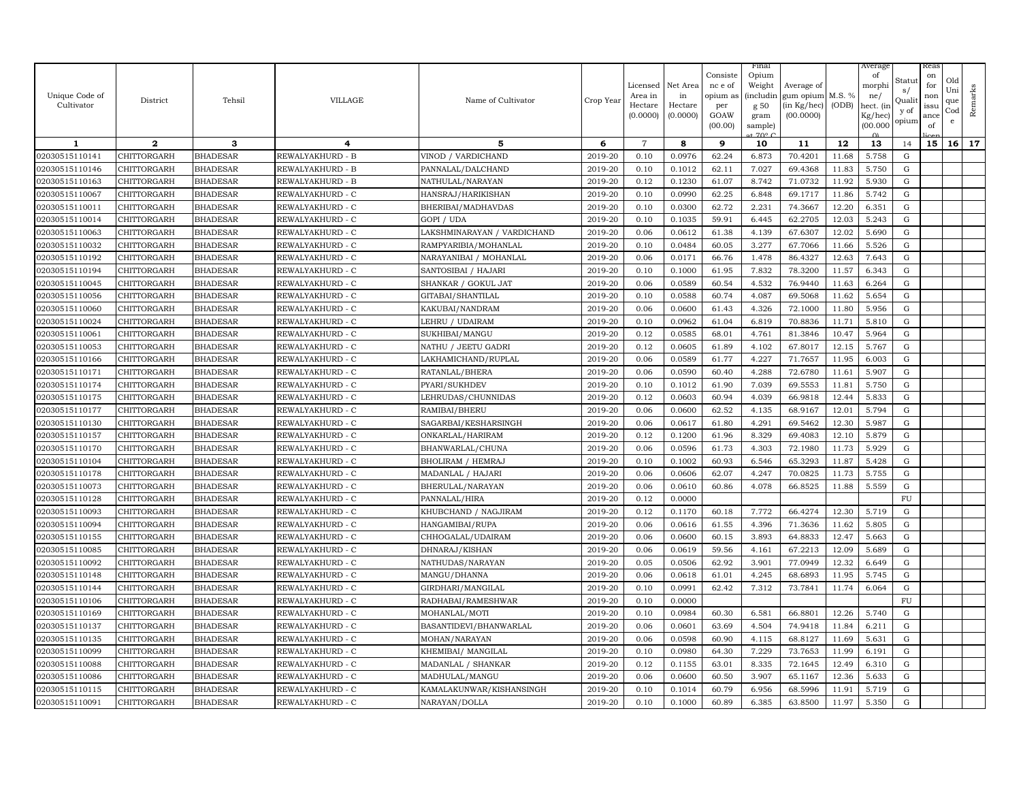| Unique Code of<br>Cultivator | District       | Tehsil          | VILLAGE          | Name of Cultivator          | Crop Year | Licensed<br>Area in<br>Hectare<br>(0.0000) | Net Area<br>in<br>Hectare<br>(0.0000) | Consiste<br>nc e of<br>opium as<br>per<br>GOAW<br>(00.00) | Final<br>Opium<br>Weight<br><i>(includin</i><br>g 50<br>gram<br>sample]<br>$70^\circ$ | Average of<br>gum opium M.S. %<br>(in Kg/hec)<br>(00.0000) | (ODB) | Averag<br>of<br>morphi<br>ne/<br>hect. (in<br>Kg/hec<br>(00.000) | Statu<br>s/<br>Quali<br>y of<br>opium | on<br>for<br>noi<br>isst<br>ance<br>of | blG<br>Uni<br>que | Remarks |
|------------------------------|----------------|-----------------|------------------|-----------------------------|-----------|--------------------------------------------|---------------------------------------|-----------------------------------------------------------|---------------------------------------------------------------------------------------|------------------------------------------------------------|-------|------------------------------------------------------------------|---------------------------------------|----------------------------------------|-------------------|---------|
| -1                           | $\overline{2}$ | з               | 4                | 5                           | 6         | $\overline{7}$                             | 8                                     | 9                                                         | 10                                                                                    | 11                                                         | 12    | 13                                                               | 14                                    | 15                                     | 16                | 17      |
| 02030515110141               | CHITTORGARH    | <b>BHADESAR</b> | REWALYAKHURD - B | VINOD / VARDICHAND          | 2019-20   | 0.10                                       | 0.0976                                | 62.24                                                     | 6.873                                                                                 | 70.4201                                                    | 11.68 | 5.758                                                            | G                                     |                                        |                   |         |
| 02030515110146               | CHITTORGARH    | <b>BHADESAR</b> | REWALYAKHURD - B | PANNALAL/DALCHAND           | 2019-20   | 0.10                                       | 0.1012                                | 62.11                                                     | 7.027                                                                                 | 69.4368                                                    | 11.83 | 5.750                                                            | G                                     |                                        |                   |         |
| 02030515110163               | CHITTORGARH    | <b>BHADESAR</b> | REWALYAKHURD - B | NATHULAL/NARAYAN            | 2019-20   | 0.12                                       | 0.1230                                | 61.07                                                     | 8.742                                                                                 | 71.0732                                                    | 11.92 | 5.930                                                            | G                                     |                                        |                   |         |
| 02030515110067               | CHITTORGARH    | <b>BHADESAR</b> | REWALYAKHURD - C | HANSRAJ/HARIKISHAN          | 2019-20   | 0.10                                       | 0.0990                                | 62.25                                                     | 6.848                                                                                 | 69.1717                                                    | 11.86 | 5.742                                                            | ${\rm G}$                             |                                        |                   |         |
| 02030515110011               | CHITTORGARH    | <b>BHADESAR</b> | REWALYAKHURD - C | BHERIBAI/MADHAVDAS          | 2019-20   | 0.10                                       | 0.0300                                | 62.72                                                     | 2.231                                                                                 | 74.3667                                                    | 12.20 | 6.351                                                            | G                                     |                                        |                   |         |
| 02030515110014               | CHITTORGARH    | <b>BHADESAR</b> | REWALYAKHURD - C | GOPI / UDA                  | 2019-20   | 0.10                                       | 0.1035                                | 59.91                                                     | 6.445                                                                                 | 62.2705                                                    | 12.03 | 5.243                                                            | G                                     |                                        |                   |         |
| 02030515110063               | CHITTORGARH    | <b>BHADESAR</b> | REWALYAKHURD - C | LAKSHMINARAYAN / VARDICHAND | 2019-20   | 0.06                                       | 0.0612                                | 61.38                                                     | 4.139                                                                                 | 67.6307                                                    | 12.02 | 5.690                                                            | ${\rm G}$                             |                                        |                   |         |
| 02030515110032               | CHITTORGARH    | <b>BHADESAR</b> | REWALYAKHURD - C | RAMPYARIBIA/MOHANLAL        | 2019-20   | 0.10                                       | 0.0484                                | 60.05                                                     | 3.277                                                                                 | 67.7066                                                    | 11.66 | 5.526                                                            | G                                     |                                        |                   |         |
| 02030515110192               | CHITTORGARH    | <b>BHADESAR</b> | REWALYAKHURD - C | NARAYANIBAI / MOHANLAL      | 2019-20   | 0.06                                       | 0.0171                                | 66.76                                                     | 1.478                                                                                 | 86.4327                                                    | 12.63 | 7.643                                                            | ${\rm G}$                             |                                        |                   |         |
| 02030515110194               | CHITTORGARH    | <b>BHADESAR</b> | REWALYAKHURD - C | SANTOSIBAI / HAJARI         | 2019-20   | 0.10                                       | 0.1000                                | 61.95                                                     | 7.832                                                                                 | 78.3200                                                    | 11.57 | 6.343                                                            | G                                     |                                        |                   |         |
| 02030515110045               | CHITTORGARH    | <b>BHADESAR</b> | REWALYAKHURD - C | SHANKAR / GOKUL JAT         | 2019-20   | 0.06                                       | 0.0589                                | 60.54                                                     | 4.532                                                                                 | 76.9440                                                    | 11.63 | 6.264                                                            | G                                     |                                        |                   |         |
| 02030515110056               | CHITTORGARH    | <b>BHADESAR</b> | REWALYAKHURD - C | GITABAI/SHANTILAL           | 2019-20   | 0.10                                       | 0.0588                                | 60.74                                                     | 4.087                                                                                 | 69.5068                                                    | 11.62 | 5.654                                                            | ${\rm G}$                             |                                        |                   |         |
| 02030515110060               | CHITTORGARH    | <b>BHADESAR</b> | REWALYAKHURD - C | KAKUBAI/NANDRAM             | 2019-20   | 0.06                                       | 0.0600                                | 61.43                                                     | 4.326                                                                                 | 72.1000                                                    | 11.80 | 5.956                                                            | ${\rm G}$                             |                                        |                   |         |
| 02030515110024               | CHITTORGARH    | <b>BHADESAR</b> | REWALYAKHURD - C | LEHRU / UDAIRAM             | 2019-20   | 0.10                                       | 0.0962                                | 61.04                                                     | 6.819                                                                                 | 70.8836                                                    | 11.71 | 5.810                                                            | G                                     |                                        |                   |         |
| 02030515110061               | CHITTORGARH    | <b>BHADESAR</b> | REWALYAKHURD - C | SUKHIBAI/MANGU              | 2019-20   | 0.12                                       | 0.0585                                | 68.01                                                     | 4.761                                                                                 | 81.3846                                                    | 10.47 | 5.964                                                            | ${\rm G}$                             |                                        |                   |         |
| 02030515110053               | CHITTORGARH    | <b>BHADESAR</b> | REWALYAKHURD - C | NATHU / JEETU GADRI         | 2019-20   | 0.12                                       | 0.0605                                | 61.89                                                     | 4.102                                                                                 | 67.8017                                                    | 12.15 | 5.767                                                            | ${\rm G}$                             |                                        |                   |         |
| 02030515110166               | CHITTORGARH    | <b>BHADESAR</b> | REWALYAKHURD - C | LAKHAMICHAND/RUPLAL         | 2019-20   | 0.06                                       | 0.0589                                | 61.77                                                     | 4.227                                                                                 | 71.7657                                                    | 11.95 | 6.003                                                            | G                                     |                                        |                   |         |
| 02030515110171               | CHITTORGARH    | <b>BHADESAR</b> | REWALYAKHURD - C | RATANLAL/BHERA              | 2019-20   | 0.06                                       | 0.0590                                | 60.40                                                     | 4.288                                                                                 | 72.6780                                                    | 11.61 | 5.907                                                            | G                                     |                                        |                   |         |
| 02030515110174               | CHITTORGARH    | <b>BHADESAR</b> | REWALYAKHURD - C | PYARI/SUKHDEV               | 2019-20   | 0.10                                       | 0.1012                                | 61.90                                                     | 7.039                                                                                 | 69.5553                                                    | 11.81 | 5.750                                                            | ${\bf G}$                             |                                        |                   |         |
| 02030515110175               | CHITTORGARH    | <b>BHADESAR</b> | REWALYAKHURD - C | LEHRUDAS/CHUNNIDAS          | 2019-20   | 0.12                                       | 0.0603                                | 60.94                                                     | 4.039                                                                                 | 66.9818                                                    | 12.44 | 5.833                                                            | $\mathbf G$                           |                                        |                   |         |
| 02030515110177               | CHITTORGARH    | <b>BHADESAR</b> | REWALYAKHURD - C | RAMIBAI/BHERU               | 2019-20   | 0.06                                       | 0.0600                                | 62.52                                                     | 4.135                                                                                 | 68.9167                                                    | 12.01 | 5.794                                                            | G                                     |                                        |                   |         |
| 02030515110130               | CHITTORGARH    | <b>BHADESAR</b> | REWALYAKHURD - C | SAGARBAI/KESHARSINGH        | 2019-20   | 0.06                                       | 0.0617                                | 61.80                                                     | 4.291                                                                                 | 69.5462                                                    | 12.30 | 5.987                                                            | G                                     |                                        |                   |         |
| 02030515110157               | CHITTORGARH    | <b>BHADESAR</b> | REWALYAKHURD - C | ONKARLAL/HARIRAM            | 2019-20   | 0.12                                       | 0.1200                                | 61.96                                                     | 8.329                                                                                 | 69.4083                                                    | 12.10 | 5.879                                                            | G                                     |                                        |                   |         |
| 02030515110170               | CHITTORGARH    | <b>BHADESAR</b> | REWALYAKHURD - C | BHANWARLAL/CHUNA            | 2019-20   | 0.06                                       | 0.0596                                | 61.73                                                     | 4.303                                                                                 | 72.1980                                                    | 11.73 | 5.929                                                            | ${\rm G}$                             |                                        |                   |         |
| 02030515110104               | CHITTORGARH    | <b>BHADESAR</b> | REWALYAKHURD - C | BHOLIRAM / HEMRAJ           | 2019-20   | 0.10                                       | 0.1002                                | 60.93                                                     | 6.546                                                                                 | 65.3293                                                    | 11.87 | 5.428                                                            | G                                     |                                        |                   |         |
| 02030515110178               | CHITTORGARH    | <b>BHADESAR</b> | REWALYAKHURD - C | MADANLAL / HAJARI           | 2019-20   | 0.06                                       | 0.0606                                | 62.07                                                     | 4.247                                                                                 | 70.0825                                                    | 11.73 | 5.755                                                            | G                                     |                                        |                   |         |
| 02030515110073               | CHITTORGARH    | <b>BHADESAR</b> | REWALYAKHURD - C | BHERULAL/NARAYAN            | 2019-20   | 0.06                                       | 0.0610                                | 60.86                                                     | 4.078                                                                                 | 66.8525                                                    | 11.88 | 5.559                                                            | G                                     |                                        |                   |         |
| 02030515110128               | CHITTORGARH    | <b>BHADESAR</b> | REWALYAKHURD - C | PANNALAL/HIRA               | 2019-20   | 0.12                                       | 0.0000                                |                                                           |                                                                                       |                                                            |       |                                                                  | ${\rm FU}$                            |                                        |                   |         |
| 02030515110093               | CHITTORGARH    | <b>BHADESAR</b> | REWALYAKHURD - C | KHUBCHAND / NAGJIRAM        | 2019-20   | 0.12                                       | 0.1170                                | 60.18                                                     | 7.772                                                                                 | 66.4274                                                    | 12.30 | 5.719                                                            | ${\rm G}$                             |                                        |                   |         |
| 02030515110094               | CHITTORGARH    | <b>BHADESAR</b> | REWALYAKHURD - C | HANGAMIBAI/RUPA             | 2019-20   | 0.06                                       | 0.0616                                | 61.55                                                     | 4.396                                                                                 | 71.3636                                                    | 11.62 | 5.805                                                            | $\mathbf G$                           |                                        |                   |         |
| 02030515110155               | CHITTORGARH    | <b>BHADESAR</b> | REWALYAKHURD - C | CHHOGALAL/UDAIRAM           | 2019-20   | 0.06                                       | 0.0600                                | 60.15                                                     | 3.893                                                                                 | 64.8833                                                    | 12.47 | 5.663                                                            | ${\rm G}$                             |                                        |                   |         |
| 02030515110085               | CHITTORGARH    | <b>BHADESAR</b> | REWALYAKHURD - C | DHNARAJ/KISHAN              | 2019-20   | 0.06                                       | 0.0619                                | 59.56                                                     | 4.161                                                                                 | 67.2213                                                    | 12.09 | 5.689                                                            | ${\rm G}$                             |                                        |                   |         |
| 02030515110092               | CHITTORGARH    | <b>BHADESAR</b> | REWALYAKHURD - C | NATHUDAS/NARAYAN            | 2019-20   | 0.05                                       | 0.0506                                | 62.92                                                     | 3.901                                                                                 | 77.0949                                                    | 12.32 | 6.649                                                            | $\mathbf G$                           |                                        |                   |         |
| 02030515110148               | CHITTORGARH    | <b>BHADESAR</b> | REWALYAKHURD - C | MANGU/DHANNA                | 2019-20   | 0.06                                       | 0.0618                                | 61.01                                                     | 4.245                                                                                 | 68.6893                                                    | 11.95 | 5.745                                                            | G                                     |                                        |                   |         |
| 02030515110144               | CHITTORGARH    | <b>BHADESAR</b> | REWALYAKHURD - C | GIRDHARI/MANGILAL           | 2019-20   | 0.10                                       | 0.0991                                | 62.42                                                     | 7.312                                                                                 | 73.7841                                                    | 11.74 | 6.064                                                            | $\mathbf G$                           |                                        |                   |         |
| 02030515110106               | CHITTORGARH    | <b>BHADESAR</b> | REWALYAKHURD - C | RADHABAI/RAMESHWAR          | 2019-20   | 0.10                                       | 0.0000                                |                                                           |                                                                                       |                                                            |       |                                                                  | FU                                    |                                        |                   |         |
| 02030515110169               | CHITTORGARH    | <b>BHADESAR</b> | REWALYAKHURD - C | MOHANLAL/MOTI               | 2019-20   | 0.10                                       | 0.0984                                | 60.30                                                     | 6.581                                                                                 | 66.8801                                                    | 12.26 | 5.740                                                            | G                                     |                                        |                   |         |
| 02030515110137               | CHITTORGARH    | <b>BHADESAR</b> | REWALYAKHURD - C | BASANTIDEVI/BHANWARLAL      | 2019-20   | 0.06                                       | 0.0601                                | 63.69                                                     | 4.504                                                                                 | 74.9418                                                    | 11.84 | 6.211                                                            | G                                     |                                        |                   |         |
| 02030515110135               | CHITTORGARH    | <b>BHADESAR</b> | REWALYAKHURD - C | MOHAN/NARAYAN               | 2019-20   | 0.06                                       | 0.0598                                | 60.90                                                     | 4.115                                                                                 | 68.8127                                                    | 11.69 | 5.631                                                            | G                                     |                                        |                   |         |
| 02030515110099               | CHITTORGARH    | <b>BHADESAR</b> | REWALYAKHURD - C | KHEMIBAI/ MANGILAL          | 2019-20   | 0.10                                       | 0.0980                                | 64.30                                                     | 7.229                                                                                 | 73.7653                                                    | 11.99 | 6.191                                                            | G                                     |                                        |                   |         |
| 02030515110088               | CHITTORGARH    | <b>BHADESAR</b> | REWALYAKHURD - C | MADANLAL / SHANKAR          | 2019-20   | 0.12                                       | 0.1155                                | 63.01                                                     | 8.335                                                                                 | 72.1645                                                    | 12.49 | 6.310                                                            | G                                     |                                        |                   |         |
| 02030515110086               | CHITTORGARH    | <b>BHADESAR</b> | REWALYAKHURD - C | MADHULAL/MANGU              | 2019-20   | 0.06                                       | 0.0600                                | 60.50                                                     | 3.907                                                                                 | 65.1167                                                    | 12.36 | 5.633                                                            | G                                     |                                        |                   |         |
| 02030515110115               | CHITTORGARH    | <b>BHADESAR</b> | REWALYAKHURD - C | KAMALAKUNWAR/KISHANSINGH    | 2019-20   | 0.10                                       | 0.1014                                | 60.79                                                     | 6.956                                                                                 | 68.5996                                                    | 11.91 | 5.719                                                            | ${\rm G}$                             |                                        |                   |         |
| 02030515110091               | CHITTORGARH    | <b>BHADESAR</b> | REWALYAKHURD - C | NARAYAN/DOLLA               | 2019-20   | 0.10                                       | 0.1000                                | 60.89                                                     | 6.385                                                                                 | 63.8500                                                    | 11.97 | 5.350                                                            | ${\rm G}$                             |                                        |                   |         |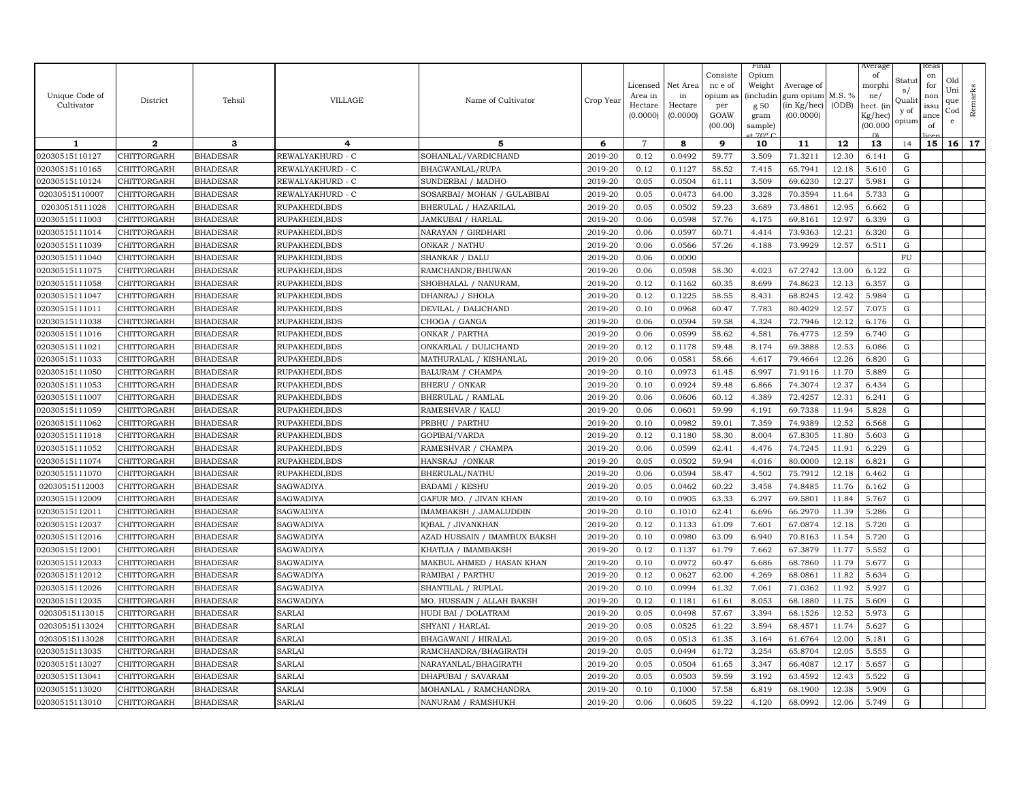| Unique Code of<br>Cultivator | District       | Tehsil          | VILLAGE          | Name of Cultivator           | Crop Year | Licensed<br>Area in<br>Hectare<br>(0.0000) | Net Area<br>in<br>Hectare<br>(0.0000) | Consiste<br>nc e of<br>opium as<br>per<br>GOAW<br>(00.00) | Final<br>Opium<br>Weight<br><i>(includin</i><br>g 50<br>gram<br>sample]<br>$70^\circ$ | Average of<br>gum opium M.S. %<br>(in Kg/hec)<br>(00.0000) | (ODB) | Average<br>of<br>morphi<br>ne/<br>hect. (in<br>Kg/hec<br>(00.000) | Statu<br>s/<br>Quali<br>y of<br>opium | on<br>for<br>nor<br>isst<br>ance<br>of | Dld<br>Uni<br>que<br>Cod | Remarks |
|------------------------------|----------------|-----------------|------------------|------------------------------|-----------|--------------------------------------------|---------------------------------------|-----------------------------------------------------------|---------------------------------------------------------------------------------------|------------------------------------------------------------|-------|-------------------------------------------------------------------|---------------------------------------|----------------------------------------|--------------------------|---------|
| -1                           | $\overline{2}$ | з               | 4                | 5                            | 6         | $\overline{7}$                             | 8                                     | 9                                                         | 10                                                                                    | 11                                                         | 12    | 13                                                                | 14                                    | 15                                     | 16 <sup>1</sup>          | 17      |
| 02030515110127               | CHITTORGARH    | <b>BHADESAR</b> | REWALYAKHURD - C | SOHANLAL/VARDICHAND          | 2019-20   | 0.12                                       | 0.0492                                | 59.77                                                     | 3.509                                                                                 | 71.3211                                                    | 12.30 | 6.141                                                             | G                                     |                                        |                          |         |
| 02030515110165               | CHITTORGARH    | <b>BHADESAR</b> | REWALYAKHURD - C | BHAGWANLAL/RUPA              | 2019-20   | 0.12                                       | 0.1127                                | 58.52                                                     | 7.415                                                                                 | 65.7941                                                    | 12.18 | 5.610                                                             | G                                     |                                        |                          |         |
| 02030515110124               | CHITTORGARH    | <b>BHADESAR</b> | REWALYAKHURD - C | SUNDERBAI / MADHO            | 2019-20   | 0.05                                       | 0.0504                                | 61.11                                                     | 3.509                                                                                 | 69.6230                                                    | 12.27 | 5.981                                                             | G                                     |                                        |                          |         |
| 02030515110007               | CHITTORGARH    | <b>BHADESAR</b> | REWALYAKHURD - C | SOSARBAI/ MOHAN / GULABIBAI  | 2019-20   | 0.05                                       | 0.0473                                | 64.00                                                     | 3.328                                                                                 | 70.3594                                                    | 11.64 | 5.733                                                             | ${\rm G}$                             |                                        |                          |         |
| 02030515111028               | CHITTORGARH    | <b>BHADESAR</b> | RUPAKHEDI,BDS    | BHERULAL / HAZARILAL         | 2019-20   | 0.05                                       | 0.0502                                | 59.23                                                     | 3.689                                                                                 | 73.4861                                                    | 12.95 | 6.662                                                             | G                                     |                                        |                          |         |
| 02030515111003               | CHITTORGARH    | <b>BHADESAR</b> | RUPAKHEDI,BDS    | JAMKUBAI / HARLAL            | 2019-20   | 0.06                                       | 0.0598                                | 57.76                                                     | 4.175                                                                                 | 69.8161                                                    | 12.97 | 6.339                                                             | G                                     |                                        |                          |         |
| 02030515111014               | CHITTORGARH    | <b>BHADESAR</b> | RUPAKHEDI,BDS    | NARAYAN / GIRDHARI           | 2019-20   | 0.06                                       | 0.0597                                | 60.71                                                     | 4.414                                                                                 | 73.9363                                                    | 12.21 | 6.320                                                             | ${\rm G}$                             |                                        |                          |         |
| 02030515111039               | CHITTORGARH    | <b>BHADESAR</b> | RUPAKHEDI,BDS    | ONKAR / NATHU                | 2019-20   | 0.06                                       | 0.0566                                | 57.26                                                     | 4.188                                                                                 | 73.9929                                                    | 12.57 | 6.511                                                             | $\mathbf G$                           |                                        |                          |         |
| 02030515111040               | CHITTORGARH    | <b>BHADESAR</b> | RUPAKHEDI, BDS   | SHANKAR / DALU               | 2019-20   | 0.06                                       | 0.0000                                |                                                           |                                                                                       |                                                            |       |                                                                   | ${\rm FU}$                            |                                        |                          |         |
| 02030515111075               | CHITTORGARH    | <b>BHADESAR</b> | RUPAKHEDI,BDS    | RAMCHANDR/BHUWAN             | 2019-20   | 0.06                                       | 0.0598                                | 58.30                                                     | 4.023                                                                                 | 67.2742                                                    | 13.00 | 6.122                                                             | G                                     |                                        |                          |         |
| 02030515111058               | CHITTORGARH    | <b>BHADESAR</b> | RUPAKHEDI,BDS    | SHOBHALAL / NANURAM,         | 2019-20   | 0.12                                       | 0.1162                                | 60.35                                                     | 8.699                                                                                 | 74.8623                                                    | 12.13 | 6.357                                                             | G                                     |                                        |                          |         |
| 02030515111047               | CHITTORGARH    | <b>BHADESAR</b> | RUPAKHEDI, BDS   | DHANRAJ / SHOLA              | 2019-20   | 0.12                                       | 0.1225                                | 58.55                                                     | 8.431                                                                                 | 68.8245                                                    | 12.42 | 5.984                                                             | ${\rm G}$                             |                                        |                          |         |
| 02030515111011               | CHITTORGARH    | <b>BHADESAR</b> | RUPAKHEDI, BDS   | DEVILAL / DALICHAND          | 2019-20   | 0.10                                       | 0.0968                                | 60.47                                                     | 7.783                                                                                 | 80.4029                                                    | 12.57 | 7.075                                                             | ${\rm G}$                             |                                        |                          |         |
| 02030515111038               | CHITTORGARH    | <b>BHADESAR</b> | RUPAKHEDI,BDS    | CHOGA / GANGA                | 2019-20   | 0.06                                       | 0.0594                                | 59.58                                                     | 4.324                                                                                 | 72.7946                                                    | 12.12 | 6.176                                                             | G                                     |                                        |                          |         |
| 02030515111016               | CHITTORGARH    | <b>BHADESAR</b> | RUPAKHEDI,BDS    | ONKAR / PARTHA               | 2019-20   | 0.06                                       | 0.0599                                | 58.62                                                     | 4.581                                                                                 | 76.4775                                                    | 12.59 | 6.740                                                             | ${\rm G}$                             |                                        |                          |         |
| 02030515111021               | CHITTORGARH    | <b>BHADESAR</b> | RUPAKHEDI, BDS   | ONKARLAL / DULICHAND         | 2019-20   | 0.12                                       | 0.1178                                | 59.48                                                     | 8.174                                                                                 | 69.3888                                                    | 12.53 | 6.086                                                             | ${\rm G}$                             |                                        |                          |         |
| 02030515111033               | CHITTORGARH    | <b>BHADESAR</b> | RUPAKHEDI, BDS   | MATHURALAL / KISHANLAL       | 2019-20   | 0.06                                       | 0.0581                                | 58.66                                                     | 4.617                                                                                 | 79.4664                                                    | 12.26 | 6.820                                                             | G                                     |                                        |                          |         |
| 02030515111050               | CHITTORGARH    | <b>BHADESAR</b> | RUPAKHEDI, BDS   | BALURAM / CHAMPA             | 2019-20   | 0.10                                       | 0.0973                                | 61.45                                                     | 6.997                                                                                 | 71.9116                                                    | 11.70 | 5.889                                                             | G                                     |                                        |                          |         |
| 02030515111053               | CHITTORGARH    | <b>BHADESAR</b> | RUPAKHEDI, BDS   | <b>BHERU / ONKAR</b>         | 2019-20   | 0.10                                       | 0.0924                                | 59.48                                                     | 6.866                                                                                 | 74.3074                                                    | 12.37 | 6.434                                                             | ${\bf G}$                             |                                        |                          |         |
| 02030515111007               | CHITTORGARH    | <b>BHADESAR</b> | RUPAKHEDI, BDS   | BHERULAL / RAMLAL            | 2019-20   | 0.06                                       | 0.0606                                | 60.12                                                     | 4.389                                                                                 | 72.4257                                                    | 12.31 | 6.241                                                             | ${\bf G}$                             |                                        |                          |         |
| 02030515111059               | CHITTORGARH    | <b>BHADESAR</b> | RUPAKHEDI,BDS    | RAMESHVAR / KALU             | 2019-20   | 0.06                                       | 0.0601                                | 59.99                                                     | 4.191                                                                                 | 69.7338                                                    | 11.94 | 5.828                                                             | G                                     |                                        |                          |         |
| 02030515111062               | CHITTORGARH    | <b>BHADESAR</b> | RUPAKHEDI,BDS    | PRBHU / PARTHU               | 2019-20   | 0.10                                       | 0.0982                                | 59.01                                                     | 7.359                                                                                 | 74.9389                                                    | 12.52 | 6.568                                                             | G                                     |                                        |                          |         |
| 02030515111018               | CHITTORGARH    | <b>BHADESAR</b> | RUPAKHEDI,BDS    | GOPIBAI/VARDA                | 2019-20   | 0.12                                       | 0.1180                                | 58.30                                                     | 8.004                                                                                 | 67.8305                                                    | 11.80 | 5.603                                                             | G                                     |                                        |                          |         |
| 02030515111052               | CHITTORGARH    | <b>BHADESAR</b> | RUPAKHEDI, BDS   | RAMESHVAR / CHAMPA           | 2019-20   | 0.06                                       | 0.0599                                | 62.41                                                     | 4.476                                                                                 | 74.7245                                                    | 11.91 | 6.229                                                             | ${\rm G}$                             |                                        |                          |         |
| 02030515111074               | CHITTORGARH    | <b>BHADESAR</b> | RUPAKHEDI,BDS    | HANSRAJ / ONKAR              | 2019-20   | 0.05                                       | 0.0502                                | 59.94                                                     | 4.016                                                                                 | 80.0000                                                    | 12.18 | 6.821                                                             | G                                     |                                        |                          |         |
| 02030515111070               | CHITTORGARH    | <b>BHADESAR</b> | RUPAKHEDI, BDS   | BHERULAL/NATHU               | 2019-20   | 0.06                                       | 0.0594                                | 58.47                                                     | 4.502                                                                                 | 75.7912                                                    | 12.18 | 6.462                                                             | G                                     |                                        |                          |         |
| 02030515112003               | CHITTORGARH    | <b>BHADESAR</b> | <b>SAGWADIYA</b> | <b>BADAMI / KESHU</b>        | 2019-20   | 0.05                                       | 0.0462                                | 60.22                                                     | 3.458                                                                                 | 74.8485                                                    | 11.76 | 6.162                                                             | ${\rm G}$                             |                                        |                          |         |
| 02030515112009               | CHITTORGARH    | <b>BHADESAR</b> | <b>SAGWADIYA</b> | GAFUR MO. / JIVAN KHAN       | 2019-20   | 0.10                                       | 0.0905                                | 63.33                                                     | 6.297                                                                                 | 69.5801                                                    | 11.84 | 5.767                                                             | ${\rm G}$                             |                                        |                          |         |
| 02030515112011               | CHITTORGARH    | <b>BHADESAR</b> | SAGWADIYA        | IMAMBAKSH / JAMALUDDIN       | 2019-20   | 0.10                                       | 0.1010                                | 62.41                                                     | 6.696                                                                                 | 66.2970                                                    | 11.39 | 5.286                                                             | G                                     |                                        |                          |         |
| 02030515112037               | CHITTORGARH    | <b>BHADESAR</b> | SAGWADIYA        | <b>OBAL / JIVANKHAN</b>      | 2019-20   | 0.12                                       | 0.1133                                | 61.09                                                     | 7.601                                                                                 | 67.0874                                                    | 12.18 | 5.720                                                             | $\mathbf G$                           |                                        |                          |         |
| 02030515112016               | CHITTORGARH    | <b>BHADESAR</b> | SAGWADIYA        | AZAD HUSSAIN / IMAMBUX BAKSH | 2019-20   | 0.10                                       | 0.0980                                | 63.09                                                     | 6.940                                                                                 | 70.8163                                                    | 11.54 | 5.720                                                             | ${\rm G}$                             |                                        |                          |         |
| 02030515112001               | CHITTORGARH    | <b>BHADESAR</b> | SAGWADIYA        | KHATIJA / IMAMBAKSH          | 2019-20   | 0.12                                       | 0.1137                                | 61.79                                                     | 7.662                                                                                 | 67.3879                                                    | 11.77 | 5.552                                                             | ${\rm G}$                             |                                        |                          |         |
| 02030515112033               | CHITTORGARH    | <b>BHADESAR</b> | SAGWADIYA        | MAKBUL AHMED / HASAN KHAN    | 2019-20   | 0.10                                       | 0.0972                                | 60.47                                                     | 6.686                                                                                 | 68.7860                                                    | 11.79 | 5.677                                                             | $\mathbf G$                           |                                        |                          |         |
| 02030515112012               | CHITTORGARH    | <b>BHADESAR</b> | <b>SAGWADIYA</b> | RAMIBAI / PARTHU             | 2019-20   | 0.12                                       | 0.0627                                | 62.00                                                     | 4.269                                                                                 | 68.0861                                                    | 11.82 | 5.634                                                             | G                                     |                                        |                          |         |
| 02030515112026               | CHITTORGARH    | <b>BHADESAR</b> | <b>SAGWADIYA</b> | SHANTILAL / RUPLAL           | 2019-20   | 0.10                                       | 0.0994                                | 61.32                                                     | 7.061                                                                                 | 71.0362                                                    | 11.92 | 5.927                                                             | G                                     |                                        |                          |         |
| 02030515112035               | CHITTORGARH    | <b>BHADESAR</b> | SAGWADIYA        | MO. HUSSAIN / ALLAH BAKSH    | 2019-20   | 0.12                                       | 0.1181                                | 61.61                                                     | 8.053                                                                                 | 68.1880                                                    | 11.75 | 5.609                                                             | G                                     |                                        |                          |         |
| 02030515113015               | CHITTORGARH    | <b>BHADESAR</b> | SARLAI           | HUDI BAI / DOLATRAM          | 2019-20   | 0.05                                       | 0.0498                                | 57.67                                                     | 3.394                                                                                 | 68.1526                                                    | 12.52 | 5.973                                                             | G                                     |                                        |                          |         |
| 02030515113024               | CHITTORGARH    | <b>BHADESAR</b> | SARLAI           | SHYANI / HARLAL              | 2019-20   | 0.05                                       | 0.0525                                | 61.22                                                     | 3.594                                                                                 | 68.4571                                                    | 11.74 | 5.627                                                             | G                                     |                                        |                          |         |
| 02030515113028               | CHITTORGARH    | <b>BHADESAR</b> | SARLAI           | BHAGAWANI / HIRALAL          | 2019-20   | 0.05                                       | 0.0513                                | 61.35                                                     | 3.164                                                                                 | 61.6764                                                    | 12.00 | 5.181                                                             | G                                     |                                        |                          |         |
| 02030515113035               | CHITTORGARH    | <b>BHADESAR</b> | SARLAI           | RAMCHANDRA/BHAGIRATH         | 2019-20   | 0.05                                       | 0.0494                                | 61.72                                                     | 3.254                                                                                 | 65.8704                                                    | 12.05 | 5.555                                                             | G                                     |                                        |                          |         |
| 02030515113027               | CHITTORGARH    | <b>BHADESAR</b> | SARLAI           | NARAYANLAL/BHAGIRATH         | 2019-20   | 0.05                                       | 0.0504                                | 61.65                                                     | 3.347                                                                                 | 66.4087                                                    | 12.17 | 5.657                                                             | G                                     |                                        |                          |         |
| 02030515113041               | CHITTORGARH    | <b>BHADESAR</b> | <b>SARLAI</b>    | DHAPUBAI / SAVARAM           | 2019-20   | 0.05                                       | 0.0503                                | 59.59                                                     | 3.192                                                                                 | 63.4592                                                    | 12.43 | 5.522                                                             | G                                     |                                        |                          |         |
| 02030515113020               | CHITTORGARH    | <b>BHADESAR</b> | <b>SARLAI</b>    | MOHANLAL / RAMCHANDRA        | 2019-20   | 0.10                                       | 0.1000                                | 57.58                                                     | 6.819                                                                                 | 68.1900                                                    | 12.38 | 5.909                                                             | ${\rm G}$                             |                                        |                          |         |
| 02030515113010               | CHITTORGARH    | <b>BHADESAR</b> | <b>SARLAI</b>    | NANURAM / RAMSHUKH           | 2019-20   | 0.06                                       | 0.0605                                | 59.22                                                     | 4.120                                                                                 | 68.0992                                                    | 12.06 | 5.749                                                             | ${\rm G}$                             |                                        |                          |         |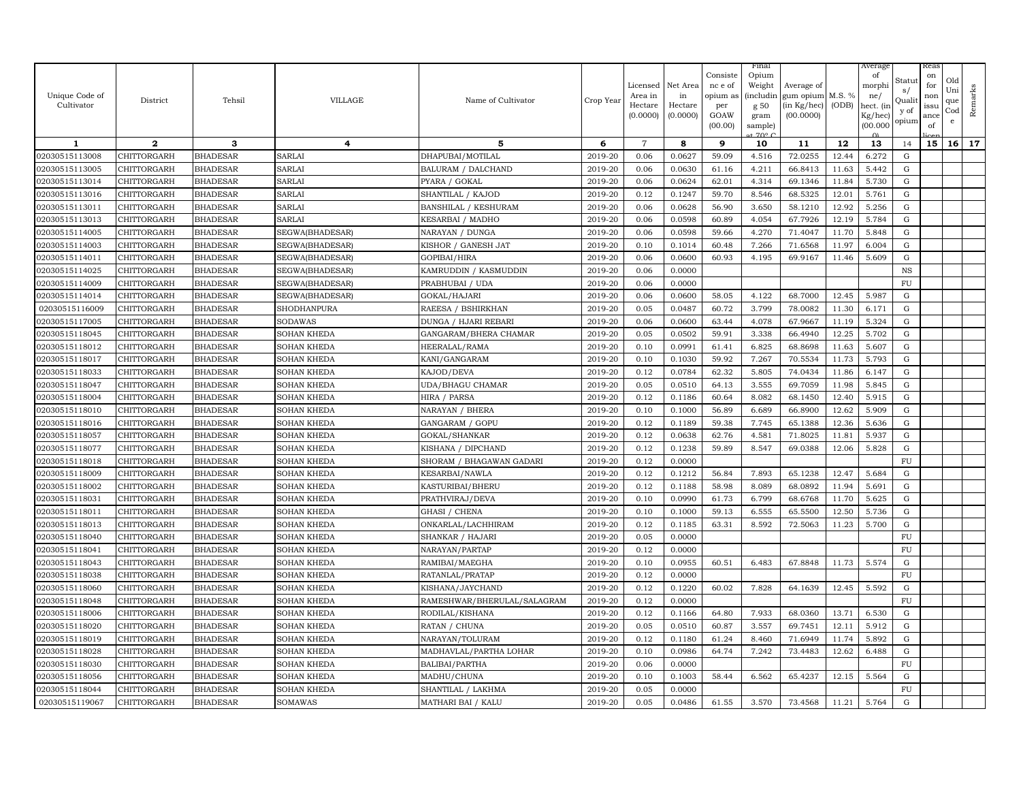| Unique Code of<br>Cultivator | District       | Tehsil          | VILLAGE            | Name of Cultivator          | Crop Year | Licensed<br>Area in<br>Hectare<br>(0.0000) | Net Area<br>in<br>Hectare<br>(0.0000) | Consiste<br>nc e of<br>opium as<br>per<br>GOAW<br>(00.00) | Final<br>Opium<br>Weight<br><i>(includin</i><br>g 50<br>gram<br>sample]<br>$70^\circ$ | Average of<br>gum opium M.S. %<br>(in Kg/hec)<br>(00.0000) | (ODB) | Averag<br>of<br>morphi<br>ne/<br>hect. (in<br>Kg/hec<br>(00.000) | Statu<br>s/<br>Quali<br>y of<br>opium | on<br>for<br>noi<br>isst<br>ance<br>of | Dld<br>Uni<br>que<br>Cod | Remarks |
|------------------------------|----------------|-----------------|--------------------|-----------------------------|-----------|--------------------------------------------|---------------------------------------|-----------------------------------------------------------|---------------------------------------------------------------------------------------|------------------------------------------------------------|-------|------------------------------------------------------------------|---------------------------------------|----------------------------------------|--------------------------|---------|
| -1                           | $\overline{2}$ | з               | 4                  | 5                           | 6         | $\overline{7}$                             | 8                                     | 9                                                         | 10                                                                                    | 11                                                         | 12    | 13                                                               | 14                                    | 15                                     | 16 <sup>1</sup>          | 17      |
| 02030515113008               | CHITTORGARH    | <b>BHADESAR</b> | SARLAI             | DHAPUBAI/MOTILAL            | 2019-20   | 0.06                                       | 0.0627                                | 59.09                                                     | 4.516                                                                                 | 72.0255                                                    | 12.44 | 6.272                                                            | G                                     |                                        |                          |         |
| 02030515113005               | CHITTORGARH    | <b>BHADESAR</b> | <b>SARLAI</b>      | BALURAM / DALCHAND          | 2019-20   | 0.06                                       | 0.0630                                | 61.16                                                     | 4.211                                                                                 | 66.8413                                                    | 11.63 | 5.442                                                            | G                                     |                                        |                          |         |
| 02030515113014               | CHITTORGARH    | <b>BHADESAR</b> | SARLAI             | PYARA / GOKAL               | 2019-20   | 0.06                                       | 0.0624                                | 62.01                                                     | 4.314                                                                                 | 69.1346                                                    | 11.84 | 5.730                                                            | G                                     |                                        |                          |         |
| 02030515113016               | CHITTORGARH    | <b>BHADESAR</b> | <b>SARLAI</b>      | SHANTILAL / KAJOD           | 2019-20   | 0.12                                       | 0.1247                                | 59.70                                                     | 8.546                                                                                 | 68.5325                                                    | 12.01 | 5.761                                                            | ${\rm G}$                             |                                        |                          |         |
| 02030515113011               | CHITTORGARH    | <b>BHADESAR</b> | SARLAI             | <b>BANSHILAL / KESHURAM</b> | 2019-20   | 0.06                                       | 0.0628                                | 56.90                                                     | 3.650                                                                                 | 58.1210                                                    | 12.92 | 5.256                                                            | G                                     |                                        |                          |         |
| 02030515113013               | CHITTORGARH    | <b>BHADESAR</b> | <b>SARLAI</b>      | KESARBAI / MADHO            | 2019-20   | 0.06                                       | 0.0598                                | 60.89                                                     | 4.054                                                                                 | 67.7926                                                    | 12.19 | 5.784                                                            | G                                     |                                        |                          |         |
| 02030515114005               | CHITTORGARH    | <b>BHADESAR</b> | SEGWA(BHADESAR)    | NARAYAN / DUNGA             | 2019-20   | 0.06                                       | 0.0598                                | 59.66                                                     | 4.270                                                                                 | 71.4047                                                    | 11.70 | 5.848                                                            | ${\rm G}$                             |                                        |                          |         |
| 02030515114003               | CHITTORGARH    | <b>BHADESAR</b> | SEGWA(BHADESAR)    | KISHOR / GANESH JAT         | 2019-20   | 0.10                                       | 0.1014                                | 60.48                                                     | 7.266                                                                                 | 71.6568                                                    | 11.97 | 6.004                                                            | G                                     |                                        |                          |         |
| 02030515114011               | CHITTORGARH    | <b>BHADESAR</b> | SEGWA(BHADESAR)    | GOPIBAI/HIRA                | 2019-20   | 0.06                                       | 0.0600                                | 60.93                                                     | 4.195                                                                                 | 69.9167                                                    | 11.46 | 5.609                                                            | ${\rm G}$                             |                                        |                          |         |
| 02030515114025               | CHITTORGARH    | <b>BHADESAR</b> | SEGWA(BHADESAR)    | KAMRUDDIN / KASMUDDIN       | 2019-20   | 0.06                                       | 0.0000                                |                                                           |                                                                                       |                                                            |       |                                                                  | NS                                    |                                        |                          |         |
| 02030515114009               | CHITTORGARH    | <b>BHADESAR</b> | SEGWA(BHADESAR)    | PRABHUBAI / UDA             | 2019-20   | 0.06                                       | 0.0000                                |                                                           |                                                                                       |                                                            |       |                                                                  | ${\rm FU}$                            |                                        |                          |         |
| 02030515114014               | CHITTORGARH    | <b>BHADESAR</b> | SEGWA(BHADESAR)    | GOKAL/HAJARI                | 2019-20   | 0.06                                       | 0.0600                                | 58.05                                                     | 4.122                                                                                 | 68.7000                                                    | 12.45 | 5.987                                                            | ${\rm G}$                             |                                        |                          |         |
| 02030515116009               | CHITTORGARH    | <b>BHADESAR</b> | SHODHANPURA        | RAEESA / BSHIRKHAN          | 2019-20   | 0.05                                       | 0.0487                                | 60.72                                                     | 3.799                                                                                 | 78.0082                                                    | 11.30 | 6.171                                                            | ${\rm G}$                             |                                        |                          |         |
| 02030515117005               | CHITTORGARH    | <b>BHADESAR</b> | SODAWAS            | DUNGA / HJARI REBARI        | 2019-20   | 0.06                                       | 0.0600                                | 63.44                                                     | 4.078                                                                                 | 67.9667                                                    | 11.19 | 5.324                                                            | G                                     |                                        |                          |         |
| 02030515118045               | CHITTORGARH    | <b>BHADESAR</b> | SOHAN KHEDA        | GANGARAM/BHERA CHAMAR       | 2019-20   | 0.05                                       | 0.0502                                | 59.91                                                     | 3.338                                                                                 | 66.4940                                                    | 12.25 | 5.702                                                            | ${\rm G}$                             |                                        |                          |         |
| 02030515118012               | CHITTORGARH    | <b>BHADESAR</b> | SOHAN KHEDA        | HEERALAL/RAMA               | 2019-20   | 0.10                                       | 0.0991                                | 61.41                                                     | 6.825                                                                                 | 68.8698                                                    | 11.63 | 5.607                                                            | ${\rm G}$                             |                                        |                          |         |
| 02030515118017               | CHITTORGARH    | <b>BHADESAR</b> | SOHAN KHEDA        | KANI/GANGARAM               | 2019-20   | 0.10                                       | 0.1030                                | 59.92                                                     | 7.267                                                                                 | 70.5534                                                    | 11.73 | 5.793                                                            | G                                     |                                        |                          |         |
| 02030515118033               | CHITTORGARH    | <b>BHADESAR</b> | <b>SOHAN KHEDA</b> | KAJOD/DEVA                  | 2019-20   | 0.12                                       | 0.0784                                | 62.32                                                     | 5.805                                                                                 | 74.0434                                                    | 11.86 | 6.147                                                            | G                                     |                                        |                          |         |
| 02030515118047               | CHITTORGARH    | <b>BHADESAR</b> | SOHAN KHEDA        | UDA/BHAGU CHAMAR            | 2019-20   | 0.05                                       | 0.0510                                | 64.13                                                     | 3.555                                                                                 | 69.7059                                                    | 11.98 | 5.845                                                            | ${\rm G}$                             |                                        |                          |         |
| 02030515118004               | CHITTORGARH    | <b>BHADESAR</b> | SOHAN KHEDA        | HIRA / PARSA                | 2019-20   | 0.12                                       | 0.1186                                | 60.64                                                     | 8.082                                                                                 | 68.1450                                                    | 12.40 | 5.915                                                            | ${\bf G}$                             |                                        |                          |         |
| 02030515118010               | CHITTORGARH    | <b>BHADESAR</b> | SOHAN KHEDA        | NARAYAN / BHERA             | 2019-20   | 0.10                                       | 0.1000                                | 56.89                                                     | 6.689                                                                                 | 66.8900                                                    | 12.62 | 5.909                                                            | G                                     |                                        |                          |         |
| 02030515118016               | CHITTORGARH    | <b>BHADESAR</b> | SOHAN KHEDA        | GANGARAM / GOPU             | 2019-20   | 0.12                                       | 0.1189                                | 59.38                                                     | 7.745                                                                                 | 65.1388                                                    | 12.36 | 5.636                                                            | G                                     |                                        |                          |         |
| 02030515118057               | CHITTORGARH    | <b>BHADESAR</b> | SOHAN KHEDA        | GOKAL/SHANKAR               | 2019-20   | 0.12                                       | 0.0638                                | 62.76                                                     | 4.581                                                                                 | 71.8025                                                    | 11.81 | 5.937                                                            | G                                     |                                        |                          |         |
| 02030515118077               | CHITTORGARH    | <b>BHADESAR</b> | SOHAN KHEDA        | KISHANA / DIPCHAND          | 2019-20   | 0.12                                       | 0.1238                                | 59.89                                                     | 8.547                                                                                 | 69.0388                                                    | 12.06 | 5.828                                                            | ${\rm G}$                             |                                        |                          |         |
| 02030515118018               | CHITTORGARH    | <b>BHADESAR</b> | SOHAN KHEDA        | SHORAM / BHAGAWAN GADARI    | 2019-20   | 0.12                                       | 0.0000                                |                                                           |                                                                                       |                                                            |       |                                                                  | FU                                    |                                        |                          |         |
| 02030515118009               | CHITTORGARH    | <b>BHADESAR</b> | <b>SOHAN KHEDA</b> | KESARBAI/NAWLA              | 2019-20   | 0.12                                       | 0.1212                                | 56.84                                                     | 7.893                                                                                 | 65.1238                                                    | 12.47 | 5.684                                                            | G                                     |                                        |                          |         |
| 02030515118002               | CHITTORGARH    | <b>BHADESAR</b> | SOHAN KHEDA        | KASTURIBAI/BHERU            | 2019-20   | 0.12                                       | 0.1188                                | 58.98                                                     | 8.089                                                                                 | 68.0892                                                    | 11.94 | 5.691                                                            | G                                     |                                        |                          |         |
| 02030515118031               | CHITTORGARH    | <b>BHADESAR</b> | SOHAN KHEDA        | PRATHVIRAJ/DEVA             | 2019-20   | 0.10                                       | 0.0990                                | 61.73                                                     | 6.799                                                                                 | 68.6768                                                    | 11.70 | 5.625                                                            | ${\rm G}$                             |                                        |                          |         |
| 02030515118011               | CHITTORGARH    | <b>BHADESAR</b> | SOHAN KHEDA        | GHASI / CHENA               | 2019-20   | 0.10                                       | 0.1000                                | 59.13                                                     | 6.555                                                                                 | 65.5500                                                    | 12.50 | 5.736                                                            | G                                     |                                        |                          |         |
| 02030515118013               | CHITTORGARH    | <b>BHADESAR</b> | SOHAN KHEDA        | ONKARLAL/LACHHIRAM          | 2019-20   | 0.12                                       | 0.1185                                | 63.31                                                     | 8.592                                                                                 | 72.5063                                                    | 11.23 | 5.700                                                            | ${\rm G}$                             |                                        |                          |         |
| 02030515118040               | CHITTORGARH    | <b>BHADESAR</b> | SOHAN KHEDA        | SHANKAR / HAJARI            | 2019-20   | 0.05                                       | 0.0000                                |                                                           |                                                                                       |                                                            |       |                                                                  | ${\rm FU}$                            |                                        |                          |         |
| 02030515118041               | CHITTORGARH    | <b>BHADESAR</b> | SOHAN KHEDA        | NARAYAN/PARTAP              | 2019-20   | 0.12                                       | 0.0000                                |                                                           |                                                                                       |                                                            |       |                                                                  | ${\rm FU}$                            |                                        |                          |         |
| 02030515118043               | CHITTORGARH    | <b>BHADESAR</b> | SOHAN KHEDA        | RAMIBAI/MAEGHA              | 2019-20   | 0.10                                       | 0.0955                                | 60.51                                                     | 6.483                                                                                 | 67.8848                                                    | 11.73 | 5.574                                                            | G                                     |                                        |                          |         |
| 02030515118038               | CHITTORGARH    | <b>BHADESAR</b> | <b>SOHAN KHEDA</b> | RATANLAL/PRATAP             | 2019-20   | 0.12                                       | 0.0000                                |                                                           |                                                                                       |                                                            |       |                                                                  | ${\rm FU}$                            |                                        |                          |         |
| 02030515118060               | CHITTORGARH    | <b>BHADESAR</b> | SOHAN KHEDA        | KISHANA/JAYCHAND            | 2019-20   | 0.12                                       | 0.1220                                | 60.02                                                     | 7.828                                                                                 | 64.1639                                                    | 12.45 | 5.592                                                            | G                                     |                                        |                          |         |
| 02030515118048               | CHITTORGARH    | <b>BHADESAR</b> | SOHAN KHEDA        | RAMESHWAR/BHERULAL/SALAGRAM | 2019-20   | 0.12                                       | 0.0000                                |                                                           |                                                                                       |                                                            |       |                                                                  | ${\rm FU}$                            |                                        |                          |         |
| 02030515118006               | CHITTORGARH    | <b>BHADESAR</b> | SOHAN KHEDA        | RODILAL/KISHANA             | 2019-20   | 0.12                                       | 0.1166                                | 64.80                                                     | 7.933                                                                                 | 68.0360                                                    | 13.71 | 6.530                                                            | G                                     |                                        |                          |         |
| 02030515118020               | CHITTORGARH    | <b>BHADESAR</b> | SOHAN KHEDA        | RATAN / CHUNA               | 2019-20   | 0.05                                       | 0.0510                                | 60.87                                                     | 3.557                                                                                 | 69.7451                                                    | 12.11 | 5.912                                                            | G                                     |                                        |                          |         |
| 02030515118019               | CHITTORGARH    | <b>BHADESAR</b> | SOHAN KHEDA        | NARAYAN/TOLURAM             | 2019-20   | 0.12                                       | 0.1180                                | 61.24                                                     | 8.460                                                                                 | 71.6949                                                    | 11.74 | 5.892                                                            | G                                     |                                        |                          |         |
| 02030515118028               | CHITTORGARH    | <b>BHADESAR</b> | SOHAN KHEDA        | MADHAVLAL/PARTHA LOHAR      | 2019-20   | 0.10                                       | 0.0986                                | 64.74                                                     | 7.242                                                                                 | 73.4483                                                    | 12.62 | 6.488                                                            | G                                     |                                        |                          |         |
| 02030515118030               | CHITTORGARH    | <b>BHADESAR</b> | SOHAN KHEDA        | BALIBAI/PARTHA              | 2019-20   | 0.06                                       | 0.0000                                |                                                           |                                                                                       |                                                            |       |                                                                  | ${\rm FU}$                            |                                        |                          |         |
| 02030515118056               | CHITTORGARH    | <b>BHADESAR</b> | SOHAN KHEDA        | MADHU/CHUNA                 | 2019-20   | 0.10                                       | 0.1003                                | 58.44                                                     | 6.562                                                                                 | 65.4237                                                    | 12.15 | 5.564                                                            | G                                     |                                        |                          |         |
| 02030515118044               | CHITTORGARH    | <b>BHADESAR</b> | SOHAN KHEDA        | SHANTILAL / LAKHMA          | 2019-20   | 0.05                                       | 0.0000                                |                                                           |                                                                                       |                                                            |       |                                                                  | ${\rm FU}$                            |                                        |                          |         |
| 02030515119067               | CHITTORGARH    | <b>BHADESAR</b> | SOMAWAS            | MATHARI BAI / KALU          | 2019-20   | 0.05                                       | 0.0486                                | 61.55                                                     | 3.570                                                                                 | 73.4568                                                    | 11.21 | 5.764                                                            | ${\rm G}$                             |                                        |                          |         |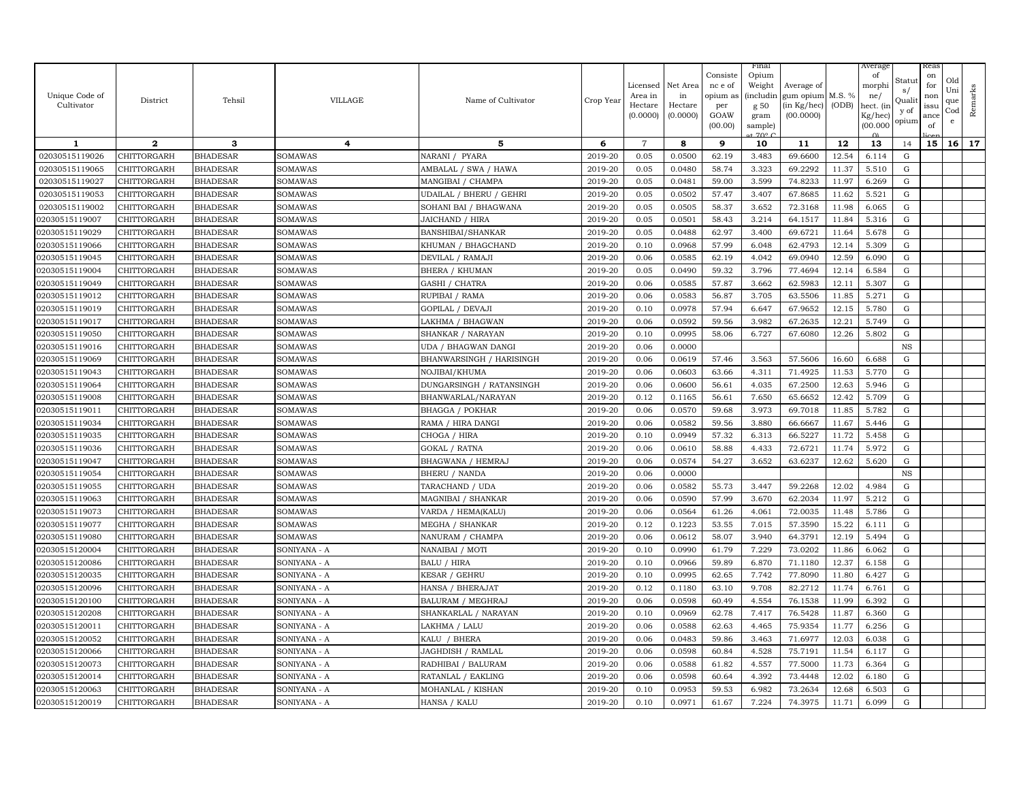| Unique Code of<br>Cultivator | District       | Tehsil          | VILLAGE        | Name of Cultivator             | Crop Year | Licensed<br>Area in<br>Hectare<br>(0.0000) | Net Area<br>in<br>Hectare<br>(0.0000) | Consiste<br>nc e of<br>opium as<br>per<br>GOAW<br>(00.00) | Final<br>Opium<br>Weight<br><i>(includin</i><br>g 50<br>gram<br>sample)<br>70° | Average of<br>gum opium M.S. %<br>(in Kg/hec)<br>(00.0000) | (ODB) | Averag<br>of<br>morphi<br>ne/<br>hect. (in<br>Kg/hec<br>(00.000) | Statut<br>s/<br>Quali<br>y of<br>opium | on<br>for<br>nor<br>isst<br>ance<br>of | Old<br>Uni<br>que<br>Cod | Remarks |
|------------------------------|----------------|-----------------|----------------|--------------------------------|-----------|--------------------------------------------|---------------------------------------|-----------------------------------------------------------|--------------------------------------------------------------------------------|------------------------------------------------------------|-------|------------------------------------------------------------------|----------------------------------------|----------------------------------------|--------------------------|---------|
| -1                           | $\overline{2}$ | з               | 4              | 5                              | 6         | $\overline{7}$                             | 8                                     | 9                                                         | 10                                                                             | 11                                                         | 12    | 13                                                               | 14                                     | 15                                     | 16                       | 17      |
| 02030515119026               | CHITTORGARH    | <b>BHADESAR</b> | SOMAWAS        | NARANI / PYARA                 | 2019-20   | 0.05                                       | 0.0500                                | 62.19                                                     | 3.483                                                                          | 69.6600                                                    | 12.54 | 6.114                                                            | G                                      |                                        |                          |         |
| 02030515119065               | CHITTORGARH    | <b>BHADESAR</b> | SOMAWAS        | AMBALAL / SWA / HAWA           | 2019-20   | 0.05                                       | 0.0480                                | 58.74                                                     | 3.323                                                                          | 69.2292                                                    | 11.37 | 5.510                                                            | G                                      |                                        |                          |         |
| 02030515119027               | CHITTORGARH    | <b>BHADESAR</b> | SOMAWAS        | MANGIBAI / CHAMPA              | 2019-20   | 0.05                                       | 0.0481                                | 59.00                                                     | 3.599                                                                          | 74.8233                                                    | 11.97 | 6.269                                                            | G                                      |                                        |                          |         |
| 02030515119053               | CHITTORGARH    | <b>BHADESAR</b> | SOMAWAS        | <b>UDAILAL / BHERU / GEHRI</b> | 2019-20   | 0.05                                       | 0.0502                                | 57.47                                                     | 3.407                                                                          | 67.8685                                                    | 11.62 | 5.521                                                            | ${\rm G}$                              |                                        |                          |         |
| 02030515119002               | CHITTORGARH    | <b>BHADESAR</b> | SOMAWAS        | SOHANI BAI / BHAGWANA          | 2019-20   | 0.05                                       | 0.0505                                | 58.37                                                     | 3.652                                                                          | 72.3168                                                    | 11.98 | 6.065                                                            | G                                      |                                        |                          |         |
| 02030515119007               | CHITTORGARH    | <b>BHADESAR</b> | SOMAWAS        | JAICHAND / HIRA                | 2019-20   | 0.05                                       | 0.0501                                | 58.43                                                     | 3.214                                                                          | 64.1517                                                    | 11.84 | 5.316                                                            | G                                      |                                        |                          |         |
| 02030515119029               | CHITTORGARH    | <b>BHADESAR</b> | SOMAWAS        | BANSHIBAI/SHANKAR              | 2019-20   | 0.05                                       | 0.0488                                | 62.97                                                     | 3.400                                                                          | 69.6721                                                    | 11.64 | 5.678                                                            | G                                      |                                        |                          |         |
| 02030515119066               | CHITTORGARH    | <b>BHADESAR</b> | SOMAWAS        | KHUMAN / BHAGCHAND             | 2019-20   | 0.10                                       | 0.0968                                | 57.99                                                     | 6.048                                                                          | 62.4793                                                    | 12.14 | 5.309                                                            | G                                      |                                        |                          |         |
| 02030515119045               | CHITTORGARH    | <b>BHADESAR</b> | SOMAWAS        | DEVILAL / RAMAJI               | 2019-20   | 0.06                                       | 0.0585                                | 62.19                                                     | 4.042                                                                          | 69.0940                                                    | 12.59 | 6.090                                                            | ${\rm G}$                              |                                        |                          |         |
| 02030515119004               | CHITTORGARH    | <b>BHADESAR</b> | SOMAWAS        | <b>BHERA / KHUMAN</b>          | 2019-20   | 0.05                                       | 0.0490                                | 59.32                                                     | 3.796                                                                          | 77.4694                                                    | 12.14 | 6.584                                                            | G                                      |                                        |                          |         |
| 02030515119049               | CHITTORGARH    | <b>BHADESAR</b> | SOMAWAS        | GASHI / CHATRA                 | 2019-20   | 0.06                                       | 0.0585                                | 57.87                                                     | 3.662                                                                          | 62.5983                                                    | 12.11 | 5.307                                                            | G                                      |                                        |                          |         |
| 02030515119012               | CHITTORGARH    | <b>BHADESAR</b> | SOMAWAS        | RUPIBAI / RAMA                 | 2019-20   | 0.06                                       | 0.0583                                | 56.87                                                     | 3.705                                                                          | 63.5506                                                    | 11.85 | 5.271                                                            | ${\rm G}$                              |                                        |                          |         |
| 02030515119019               | CHITTORGARH    | <b>BHADESAR</b> | SOMAWAS        | GOPILAL / DEVAJI               | 2019-20   | 0.10                                       | 0.0978                                | 57.94                                                     | 6.647                                                                          | 67.9652                                                    | 12.15 | 5.780                                                            | ${\rm G}$                              |                                        |                          |         |
| 02030515119017               | CHITTORGARH    | <b>BHADESAR</b> | SOMAWAS        | LAKHMA / BHAGWAN               | 2019-20   | 0.06                                       | 0.0592                                | 59.56                                                     | 3.982                                                                          | 67.2635                                                    | 12.21 | 5.749                                                            | G                                      |                                        |                          |         |
| 02030515119050               | CHITTORGARH    | <b>BHADESAR</b> | SOMAWAS        | SHANKAR / NARAYAN              | 2019-20   | 0.10                                       | 0.0995                                | 58.06                                                     | 6.727                                                                          | 67.6080                                                    | 12.26 | 5.802                                                            | ${\rm G}$                              |                                        |                          |         |
| 02030515119016               | CHITTORGARH    | <b>BHADESAR</b> | SOMAWAS        | UDA / BHAGWAN DANGI            | 2019-20   | 0.06                                       | 0.0000                                |                                                           |                                                                                |                                                            |       |                                                                  | $_{\rm NS}$                            |                                        |                          |         |
| 02030515119069               | CHITTORGARH    | <b>BHADESAR</b> | SOMAWAS        | BHANWARSINGH / HARISINGH       | 2019-20   | 0.06                                       | 0.0619                                | 57.46                                                     | 3.563                                                                          | 57.5606                                                    | 16.60 | 6.688                                                            | G                                      |                                        |                          |         |
| 02030515119043               | CHITTORGARH    | <b>BHADESAR</b> | SOMAWAS        | NOJIBAI/KHUMA                  | 2019-20   | 0.06                                       | 0.0603                                | 63.66                                                     | 4.311                                                                          | 71.4925                                                    | 11.53 | 5.770                                                            | G                                      |                                        |                          |         |
| 02030515119064               | CHITTORGARH    | <b>BHADESAR</b> | SOMAWAS        | DUNGARSINGH / RATANSINGH       | 2019-20   | 0.06                                       | 0.0600                                | 56.61                                                     | 4.035                                                                          | 67.2500                                                    | 12.63 | 5.946                                                            | ${\rm G}$                              |                                        |                          |         |
| 02030515119008               | CHITTORGARH    | <b>BHADESAR</b> | SOMAWAS        | BHANWARLAL/NARAYAN             | 2019-20   | 0.12                                       | 0.1165                                | 56.61                                                     | 7.650                                                                          | 65.6652                                                    | 12.42 | 5.709                                                            | ${\rm G}$                              |                                        |                          |         |
| 02030515119011               | CHITTORGARH    | <b>BHADESAR</b> | SOMAWAS        | BHAGGA / POKHAR                | 2019-20   | 0.06                                       | 0.0570                                | 59.68                                                     | 3.973                                                                          | 69.7018                                                    | 11.85 | 5.782                                                            | G                                      |                                        |                          |         |
| 02030515119034               | CHITTORGARH    | <b>BHADESAR</b> | SOMAWAS        | RAMA / HIRA DANGI              | 2019-20   | 0.06                                       | 0.0582                                | 59.56                                                     | 3.880                                                                          | 66.6667                                                    | 11.67 | 5.446                                                            | G                                      |                                        |                          |         |
| 02030515119035               | CHITTORGARH    | <b>BHADESAR</b> | SOMAWAS        | CHOGA / HIRA                   | 2019-20   | 0.10                                       | 0.0949                                | 57.32                                                     | 6.313                                                                          | 66.5227                                                    | 11.72 | 5.458                                                            | G                                      |                                        |                          |         |
| 02030515119036               | CHITTORGARH    | <b>BHADESAR</b> | SOMAWAS        | GOKAL / RATNA                  | 2019-20   | 0.06                                       | 0.0610                                | 58.88                                                     | 4.433                                                                          | 72.6721                                                    | 11.74 | 5.972                                                            | ${\rm G}$                              |                                        |                          |         |
| 02030515119047               | CHITTORGARH    | <b>BHADESAR</b> | SOMAWAS        | BHAGWANA / HEMRAJ              | 2019-20   | 0.06                                       | 0.0574                                | 54.27                                                     | 3.652                                                                          | 63.6237                                                    | 12.62 | 5.620                                                            | ${\rm G}$                              |                                        |                          |         |
| 02030515119054               | CHITTORGARH    | <b>BHADESAR</b> | <b>SOMAWAS</b> | BHERU / NANDA                  | 2019-20   | 0.06                                       | 0.0000                                |                                                           |                                                                                |                                                            |       |                                                                  | $_{\rm NS}$                            |                                        |                          |         |
| 02030515119055               | CHITTORGARH    | <b>BHADESAR</b> | SOMAWAS        | TARACHAND / UDA                | 2019-20   | 0.06                                       | 0.0582                                | 55.73                                                     | 3.447                                                                          | 59.2268                                                    | 12.02 | 4.984                                                            | G                                      |                                        |                          |         |
| 02030515119063               | CHITTORGARH    | <b>BHADESAR</b> | SOMAWAS        | MAGNIBAI / SHANKAR             | 2019-20   | 0.06                                       | 0.0590                                | 57.99                                                     | 3.670                                                                          | 62.2034                                                    | 11.97 | 5.212                                                            | ${\rm G}$                              |                                        |                          |         |
| 02030515119073               | CHITTORGARH    | <b>BHADESAR</b> | SOMAWAS        | VARDA / HEMA(KALU)             | 2019-20   | 0.06                                       | 0.0564                                | 61.26                                                     | 4.061                                                                          | 72.0035                                                    | 11.48 | 5.786                                                            | G                                      |                                        |                          |         |
| 02030515119077               | CHITTORGARH    | <b>BHADESAR</b> | SOMAWAS        | MEGHA / SHANKAR                | 2019-20   | 0.12                                       | 0.1223                                | 53.55                                                     | 7.015                                                                          | 57.3590                                                    | 15.22 | 6.111                                                            | $\mathbf G$                            |                                        |                          |         |
| 02030515119080               | CHITTORGARH    | <b>BHADESAR</b> | SOMAWAS        | NANURAM / CHAMPA               | 2019-20   | 0.06                                       | 0.0612                                | 58.07                                                     | 3.940                                                                          | 64.3791                                                    | 12.19 | 5.494                                                            | ${\rm G}$                              |                                        |                          |         |
| 02030515120004               | CHITTORGARH    | <b>BHADESAR</b> | SONIYANA - A   | NANAIBAI / MOTI                | 2019-20   | 0.10                                       | 0.0990                                | 61.79                                                     | 7.229                                                                          | 73.0202                                                    | 11.86 | 6.062                                                            | ${\rm G}$                              |                                        |                          |         |
| 02030515120086               | CHITTORGARH    | <b>BHADESAR</b> | SONIYANA - A   | <b>BALU / HIRA</b>             | 2019-20   | 0.10                                       | 0.0966                                | 59.89                                                     | 6.870                                                                          | 71.1180                                                    | 12.37 | 6.158                                                            | $\mathbf G$                            |                                        |                          |         |
| 02030515120035               | CHITTORGARH    | <b>BHADESAR</b> | SONIYANA - A   | KESAR / GEHRU                  | 2019-20   | 0.10                                       | 0.0995                                | 62.65                                                     | 7.742                                                                          | 77.8090                                                    | 11.80 | 6.427                                                            | G                                      |                                        |                          |         |
| 02030515120096               | CHITTORGARH    | <b>BHADESAR</b> | SONIYANA - A   | HANSA / BHERAJAT               | 2019-20   | 0.12                                       | 0.1180                                | 63.10                                                     | 9.708                                                                          | 82.2712                                                    | 11.74 | 6.761                                                            | ${\rm G}$                              |                                        |                          |         |
| 02030515120100               | CHITTORGARH    | <b>BHADESAR</b> | SONIYANA - A   | <b>BALURAM / MEGHRAJ</b>       | 2019-20   | 0.06                                       | 0.0598                                | 60.49                                                     | 4.554                                                                          | 76.1538                                                    | 11.99 | 6.392                                                            | ${\rm G}$                              |                                        |                          |         |
| 02030515120208               | CHITTORGARH    | <b>BHADESAR</b> | SONIYANA - A   | SHANKARLAL / NARAYAN           | 2019-20   | 0.10                                       | 0.0969                                | 62.78                                                     | 7.417                                                                          | 76.5428                                                    | 11.87 | 6.360                                                            | G                                      |                                        |                          |         |
| 02030515120011               | CHITTORGARH    | <b>BHADESAR</b> | SONIYANA - A   | LAKHMA / LALU                  | 2019-20   | 0.06                                       | 0.0588                                | 62.63                                                     | 4.465                                                                          | 75.9354                                                    | 11.77 | 6.256                                                            | G                                      |                                        |                          |         |
| 02030515120052               | CHITTORGARH    | <b>BHADESAR</b> | SONIYANA - A   | KALU / BHERA                   | 2019-20   | 0.06                                       | 0.0483                                | 59.86                                                     | 3.463                                                                          | 71.6977                                                    | 12.03 | 6.038                                                            | G                                      |                                        |                          |         |
| 02030515120066               | CHITTORGARH    | <b>BHADESAR</b> | SONIYANA - A   | JAGHDISH / RAMLAL              | 2019-20   | 0.06                                       | 0.0598                                | 60.84                                                     | 4.528                                                                          | 75.7191                                                    | 11.54 | 6.117                                                            | G                                      |                                        |                          |         |
| 02030515120073               | CHITTORGARH    | <b>BHADESAR</b> | SONIYANA - A   | RADHIBAI / BALURAM             | 2019-20   | 0.06                                       | 0.0588                                | 61.82                                                     | 4.557                                                                          | 77.5000                                                    | 11.73 | 6.364                                                            | ${\rm G}$                              |                                        |                          |         |
| 02030515120014               | CHITTORGARH    | <b>BHADESAR</b> | SONIYANA - A   | RATANLAL / EAKLING             | 2019-20   | 0.06                                       | 0.0598                                | 60.64                                                     | 4.392                                                                          | 73.4448                                                    | 12.02 | 6.180                                                            | G                                      |                                        |                          |         |
| 02030515120063               | CHITTORGARH    | <b>BHADESAR</b> | SONIYANA - A   | MOHANLAL / KISHAN              | 2019-20   | 0.10                                       | 0.0953                                | 59.53                                                     | 6.982                                                                          | 73.2634                                                    | 12.68 | 6.503                                                            | ${\rm G}$                              |                                        |                          |         |
| 02030515120019               | CHITTORGARH    | <b>BHADESAR</b> | SONIYANA - A   | HANSA / KALU                   | 2019-20   | 0.10                                       | 0.0971                                | 61.67                                                     | 7.224                                                                          | 74.3975                                                    | 11.71 | 6.099                                                            | ${\rm G}$                              |                                        |                          |         |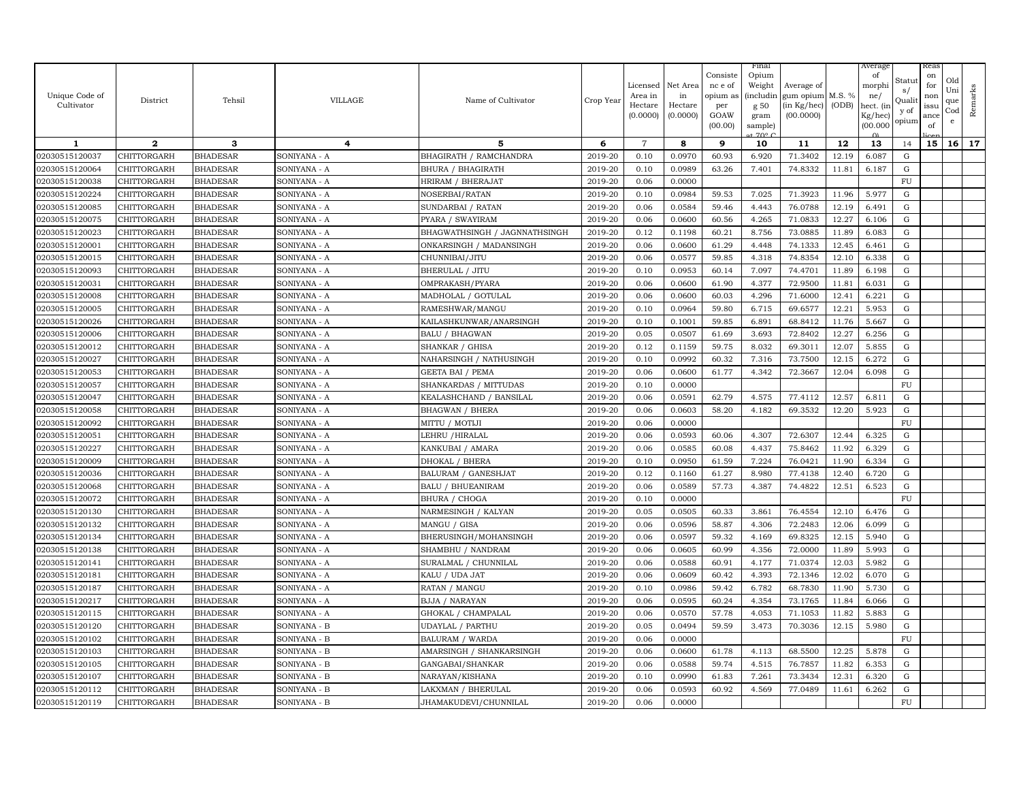| Unique Code of<br>Cultivator<br>1 | District<br>$\mathbf{2}$ | Tehsil<br>3     | VILLAGE<br>4 | Name of Cultivator<br>5       | Crop Year<br>6 | Licensed<br>Area in<br>Hectare<br>(0.0000)<br>$\overline{7}$ | Net Area<br>in<br>Hectare<br>(0.0000)<br>8 | Consiste<br>nc e of<br>opium as<br>per<br>GOAW<br>(00.00)<br>9 | Final<br>Opium<br>Weight<br><i>(includin</i><br>g 50<br>gram<br>sample)<br>$70^\circ$<br>10 | Average of<br>gum opium M.S. %<br>(in Kg/hec)<br>(00.0000)<br>11 | (ODB)<br>12 | Averag<br>of<br>morphi<br>ne/<br>hect. (in<br>Kg/hec<br>(00.000) | Statu<br>s/<br>Quali<br>y of<br>opium | kea<br>on<br>for<br>nor<br>isst<br>ance<br>of<br>15 | Old<br>Uni<br>que<br>Cod | Remarks<br>$16$   17 |
|-----------------------------------|--------------------------|-----------------|--------------|-------------------------------|----------------|--------------------------------------------------------------|--------------------------------------------|----------------------------------------------------------------|---------------------------------------------------------------------------------------------|------------------------------------------------------------------|-------------|------------------------------------------------------------------|---------------------------------------|-----------------------------------------------------|--------------------------|----------------------|
| 02030515120037                    | CHITTORGARH              | <b>BHADESAR</b> | SONIYANA - A | BHAGIRATH / RAMCHANDRA        | 2019-20        | 0.10                                                         | 0.0970                                     | 60.93                                                          | 6.920                                                                                       | 71.3402                                                          | 12.19       | 13<br>6.087                                                      | 14<br>G                               |                                                     |                          |                      |
| 02030515120064                    | CHITTORGARH              | <b>BHADESAR</b> | SONIYANA - A | BHURA / BHAGIRATH             | 2019-20        | 0.10                                                         | 0.0989                                     | 63.26                                                          | 7.401                                                                                       | 74.8332                                                          | 11.81       | 6.187                                                            | G                                     |                                                     |                          |                      |
| 02030515120038                    | CHITTORGARH              | <b>BHADESAR</b> | SONIYANA - A | HRIRAM / BHERAJAT             | 2019-20        | 0.06                                                         | 0.0000                                     |                                                                |                                                                                             |                                                                  |             |                                                                  | FU                                    |                                                     |                          |                      |
| 02030515120224                    | CHITTORGARH              | <b>BHADESAR</b> | SONIYANA - A | NOSERBAI/RATAN                | 2019-20        | 0.10                                                         | 0.0984                                     | 59.53                                                          | 7.025                                                                                       | 71.3923                                                          | 11.96       | 5.977                                                            | G                                     |                                                     |                          |                      |
| 02030515120085                    | CHITTORGARH              | <b>BHADESAR</b> | SONIYANA - A | SUNDARBAI / RATAN             | 2019-20        | 0.06                                                         | 0.0584                                     | 59.46                                                          | 4.443                                                                                       | 76.0788                                                          | 12.19       | 6.491                                                            | G                                     |                                                     |                          |                      |
| 02030515120075                    | CHITTORGARH              | <b>BHADESAR</b> | SONIYANA - A | PYARA / SWAYIRAM              | 2019-20        | 0.06                                                         | 0.0600                                     | 60.56                                                          | 4.265                                                                                       | 71.0833                                                          | 12.27       | 6.106                                                            | G                                     |                                                     |                          |                      |
| 02030515120023                    | CHITTORGARH              | <b>BHADESAR</b> | SONIYANA - A | BHAGWATHSINGH / JAGNNATHSINGH | 2019-20        | 0.12                                                         | 0.1198                                     | 60.21                                                          | 8.756                                                                                       | 73.0885                                                          | 11.89       | 6.083                                                            | G                                     |                                                     |                          |                      |
| 02030515120001                    | CHITTORGARH              | <b>BHADESAR</b> | SONIYANA - A | ONKARSINGH / MADANSINGH       | 2019-20        | 0.06                                                         | 0.0600                                     | 61.29                                                          | 4.448                                                                                       | 74.1333                                                          | 12.45       | 6.461                                                            | G                                     |                                                     |                          |                      |
| 02030515120015                    | CHITTORGARH              | <b>BHADESAR</b> | SONIYANA - A | CHUNNIBAI/JITU                | 2019-20        | 0.06                                                         | 0.0577                                     | 59.85                                                          | 4.318                                                                                       | 74.8354                                                          | 12.10       | 6.338                                                            | G                                     |                                                     |                          |                      |
| 02030515120093                    | CHITTORGARH              | <b>BHADESAR</b> | SONIYANA - A | <b>BHERULAL / JITU</b>        | 2019-20        | 0.10                                                         | 0.0953                                     | 60.14                                                          | 7.097                                                                                       | 74.4701                                                          | 11.89       | 6.198                                                            | G                                     |                                                     |                          |                      |
| 02030515120031                    | CHITTORGARH              | <b>BHADESAR</b> | SONIYANA - A | OMPRAKASH/PYARA               | 2019-20        | 0.06                                                         | 0.0600                                     | 61.90                                                          | 4.377                                                                                       | 72.9500                                                          | 11.81       | 6.031                                                            | ${\rm G}$                             |                                                     |                          |                      |
| 02030515120008                    | CHITTORGARH              | <b>BHADESAR</b> | SONIYANA - A | MADHOLAL / GOTULAL            | 2019-20        | 0.06                                                         | 0.0600                                     | 60.03                                                          | 4.296                                                                                       | 71.6000                                                          | 12.41       | 6.221                                                            | ${\rm G}$                             |                                                     |                          |                      |
| 02030515120005                    | CHITTORGARH              | <b>BHADESAR</b> | SONIYANA - A | RAMESHWAR/MANGU               | 2019-20        | 0.10                                                         | 0.0964                                     | 59.80                                                          | 6.715                                                                                       | 69.6577                                                          | 12.21       | 5.953                                                            | G                                     |                                                     |                          |                      |
| 02030515120026                    | CHITTORGARH              | <b>BHADESAR</b> | SONIYANA - A | KAILASHKUNWAR/ANARSINGH       | 2019-20        | 0.10                                                         | 0.1001                                     | 59.85                                                          | 6.891                                                                                       | 68.8412                                                          | 11.76       | 5.667                                                            | G                                     |                                                     |                          |                      |
| 02030515120006                    | CHITTORGARH              | <b>BHADESAR</b> | SONIYANA - A | <b>BALU / BHAGWAN</b>         | 2019-20        | 0.05                                                         | 0.0507                                     | 61.69                                                          | 3.693                                                                                       | 72.8402                                                          | 12.27       | 6.256                                                            | ${\rm G}$                             |                                                     |                          |                      |
| 02030515120012                    | CHITTORGARH              | <b>BHADESAR</b> | SONIYANA - A | SHANKAR / GHISA               | 2019-20        | 0.12                                                         | 0.1159                                     | 59.75                                                          | 8.032                                                                                       | 69.3011                                                          | 12.07       | 5.855                                                            | G                                     |                                                     |                          |                      |
| 02030515120027                    | CHITTORGARH              | <b>BHADESAR</b> | SONIYANA - A | NAHARSINGH / NATHUSINGH       | 2019-20        | 0.10                                                         | 0.0992                                     | 60.32                                                          | 7.316                                                                                       | 73.7500                                                          | 12.15       | 6.272                                                            | ${\rm G}$                             |                                                     |                          |                      |
| 02030515120053                    | CHITTORGARH              | <b>BHADESAR</b> | SONIYANA - A | GEETA BAI / PEMA              | 2019-20        | 0.06                                                         | 0.0600                                     | 61.77                                                          | 4.342                                                                                       | 72.3667                                                          | 12.04       | 6.098                                                            | G                                     |                                                     |                          |                      |
| 02030515120057                    | CHITTORGARH              | <b>BHADESAR</b> | SONIYANA - A | SHANKARDAS / MITTUDAS         | 2019-20        | 0.10                                                         | 0.0000                                     |                                                                |                                                                                             |                                                                  |             |                                                                  | ${\rm FU}$                            |                                                     |                          |                      |
| 02030515120047                    | CHITTORGARH              | <b>BHADESAR</b> | SONIYANA - A | KEALASHCHAND / BANSILAL       | 2019-20        | 0.06                                                         | 0.0591                                     | 62.79                                                          | 4.575                                                                                       | 77.4112                                                          | 12.57       | 6.811                                                            | $\mathbf G$                           |                                                     |                          |                      |
| 02030515120058                    | CHITTORGARH              | <b>BHADESAR</b> | SONIYANA - A | BHAGWAN / BHERA               | 2019-20        | 0.06                                                         | 0.0603                                     | 58.20                                                          | 4.182                                                                                       | 69.3532                                                          | 12.20       | 5.923                                                            | G                                     |                                                     |                          |                      |
| 02030515120092                    | CHITTORGARH              | <b>BHADESAR</b> | SONIYANA - A | MITTU / MOTIJI                | 2019-20        | 0.06                                                         | 0.0000                                     |                                                                |                                                                                             |                                                                  |             |                                                                  | FU                                    |                                                     |                          |                      |
| 02030515120051                    | CHITTORGARH              | <b>BHADESAR</b> | SONIYANA - A | LEHRU /HIRALAL                | 2019-20        | 0.06                                                         | 0.0593                                     | 60.06                                                          | 4.307                                                                                       | 72.6307                                                          | 12.44       | 6.325                                                            | G                                     |                                                     |                          |                      |
| 02030515120227                    | CHITTORGARH              | <b>BHADESAR</b> | SONIYANA - A | KANKUBAI / AMARA              | 2019-20        | 0.06                                                         | 0.0585                                     | 60.08                                                          | 4.437                                                                                       | 75.8462                                                          | 11.92       | 6.329                                                            | ${\rm G}$                             |                                                     |                          |                      |
| 02030515120009                    | CHITTORGARH              | <b>BHADESAR</b> | SONIYANA - A | DHOKAL / BHERA                | 2019-20        | 0.10                                                         | 0.0950                                     | 61.59                                                          | 7.224                                                                                       | 76.0421                                                          | 11.90       | 6.334                                                            | ${\rm G}$                             |                                                     |                          |                      |
| 02030515120036                    | CHITTORGARH              | <b>BHADESAR</b> | SONIYANA - A | BALURAM / GANESHJAT           | 2019-20        | 0.12                                                         | 0.1160                                     | 61.27                                                          | 8.980                                                                                       | 77.4138                                                          | 12.40       | 6.720                                                            | G                                     |                                                     |                          |                      |
| 02030515120068                    | CHITTORGARH              | <b>BHADESAR</b> | SONIYANA - A | <b>BALU / BHUEANIRAM</b>      | 2019-20        | 0.06                                                         | 0.0589                                     | 57.73                                                          | 4.387                                                                                       | 74.4822                                                          | 12.51       | 6.523                                                            | G                                     |                                                     |                          |                      |
| 02030515120072                    | CHITTORGARH              | <b>BHADESAR</b> | SONIYANA - A | BHURA / CHOGA                 | 2019-20        | 0.10                                                         | 0.0000                                     |                                                                |                                                                                             |                                                                  |             |                                                                  | ${\rm FU}$                            |                                                     |                          |                      |
| 02030515120130                    | CHITTORGARH              | <b>BHADESAR</b> | SONIYANA - A | NARMESINGH / KALYAN           | 2019-20        | 0.05                                                         | 0.0505                                     | 60.33                                                          | 3.861                                                                                       | 76.4554                                                          | 12.10       | 6.476                                                            | ${\rm G}$                             |                                                     |                          |                      |
| 02030515120132                    | CHITTORGARH              | <b>BHADESAR</b> | SONIYANA - A | MANGU / GISA                  | 2019-20        | 0.06                                                         | 0.0596                                     | 58.87                                                          | 4.306                                                                                       | 72.2483                                                          | 12.06       | 6.099                                                            | ${\rm G}$                             |                                                     |                          |                      |
| 02030515120134                    | CHITTORGARH              | <b>BHADESAR</b> | SONIYANA - A | BHERUSINGH/MOHANSINGH         | 2019-20        | 0.06                                                         | 0.0597                                     | 59.32                                                          | 4.169                                                                                       | 69.8325                                                          | 12.15       | 5.940                                                            | ${\rm G}$                             |                                                     |                          |                      |
| 02030515120138                    | CHITTORGARH              | <b>BHADESAR</b> | SONIYANA - A | SHAMBHU / NANDRAM             | 2019-20        | 0.06                                                         | 0.0605                                     | 60.99                                                          | 4.356                                                                                       | 72.0000                                                          | 11.89       | 5.993                                                            | G                                     |                                                     |                          |                      |
| 02030515120141                    | CHITTORGARH              | <b>BHADESAR</b> | SONIYANA - A | SURALMAL / CHUNNILAL          | 2019-20        | 0.06                                                         | 0.0588                                     | 60.91                                                          | 4.177                                                                                       | 71.0374                                                          | 12.03       | 5.982                                                            | ${\rm G}$                             |                                                     |                          |                      |
| 02030515120181                    | CHITTORGARH              | <b>BHADESAR</b> | SONIYANA - A | KALU / UDA JAT                | 2019-20        | 0.06                                                         | 0.0609                                     | 60.42                                                          | 4.393                                                                                       | 72.1346                                                          | 12.02       | 6.070                                                            | ${\rm G}$                             |                                                     |                          |                      |
| 02030515120187                    | CHITTORGARH              | <b>BHADESAR</b> | SONIYANA - A | RATAN / MANGU                 | 2019-20        | 0.10                                                         | 0.0986                                     | 59.42                                                          | 6.782                                                                                       | 68.7830                                                          | 11.90       | 5.730                                                            | G                                     |                                                     |                          |                      |
| 02030515120217                    | CHITTORGARH              | <b>BHADESAR</b> | SONIYANA - A | <b>BJJA / NARAYAN</b>         | 2019-20        | 0.06                                                         | 0.0595                                     | 60.24                                                          | 4.354                                                                                       | 73.1765                                                          | 11.84       | 6.066                                                            | G                                     |                                                     |                          |                      |
| 02030515120115                    | CHITTORGARH              | <b>BHADESAR</b> | SONIYANA - A | GHOKAL / CHAMPALAL            | 2019-20        | 0.06                                                         | 0.0570                                     | 57.78                                                          | 4.053                                                                                       | 71.1053                                                          | 11.82       | 5.883                                                            | G                                     |                                                     |                          |                      |
| 02030515120120                    | CHITTORGARH              | <b>BHADESAR</b> | SONIYANA - B | UDAYLAL / PARTHU              | 2019-20        | 0.05                                                         | 0.0494                                     | 59.59                                                          | 3.473                                                                                       | 70.3036                                                          | 12.15       | 5.980                                                            | G                                     |                                                     |                          |                      |
| 02030515120102                    | CHITTORGARH              | <b>BHADESAR</b> | SONIYANA - B | <b>BALURAM / WARDA</b>        | 2019-20        | 0.06                                                         | 0.0000                                     |                                                                |                                                                                             |                                                                  |             |                                                                  | FU                                    |                                                     |                          |                      |
| 02030515120103                    | CHITTORGARH              | <b>BHADESAR</b> | SONIYANA - B | AMARSINGH / SHANKARSINGH      | 2019-20        | 0.06                                                         | 0.0600                                     | 61.78                                                          | 4.113                                                                                       | 68.5500                                                          | 12.25       | 5.878                                                            | G                                     |                                                     |                          |                      |
| 02030515120105                    | CHITTORGARH              | <b>BHADESAR</b> | SONIYANA - B | GANGABAI/SHANKAR              | 2019-20        | 0.06                                                         | 0.0588                                     | 59.74                                                          | 4.515                                                                                       | 76.7857                                                          | 11.82       | 6.353                                                            | ${\rm G}$                             |                                                     |                          |                      |
| 02030515120107                    | CHITTORGARH              | <b>BHADESAR</b> | SONIYANA - B | NARAYAN/KISHANA               | 2019-20        | 0.10                                                         | 0.0990                                     | 61.83                                                          | 7.261                                                                                       | 73.3434                                                          | 12.31       | 6.320                                                            | ${\rm G}$                             |                                                     |                          |                      |
| 02030515120112                    | CHITTORGARH              | <b>BHADESAR</b> | SONIYANA - B | LAKXMAN / BHERULAL            | 2019-20        | 0.06                                                         | 0.0593                                     | 60.92                                                          | 4.569                                                                                       | 77.0489                                                          | 11.61       | 6.262                                                            | ${\rm G}$                             |                                                     |                          |                      |
| 02030515120119                    | CHITTORGARH              | <b>BHADESAR</b> | SONIYANA - B | JHAMAKUDEVI/CHUNNILAL         | 2019-20        | 0.06                                                         | 0.0000                                     |                                                                |                                                                                             |                                                                  |             |                                                                  | FU                                    |                                                     |                          |                      |
|                                   |                          |                 |              |                               |                |                                                              |                                            |                                                                |                                                                                             |                                                                  |             |                                                                  |                                       |                                                     |                          |                      |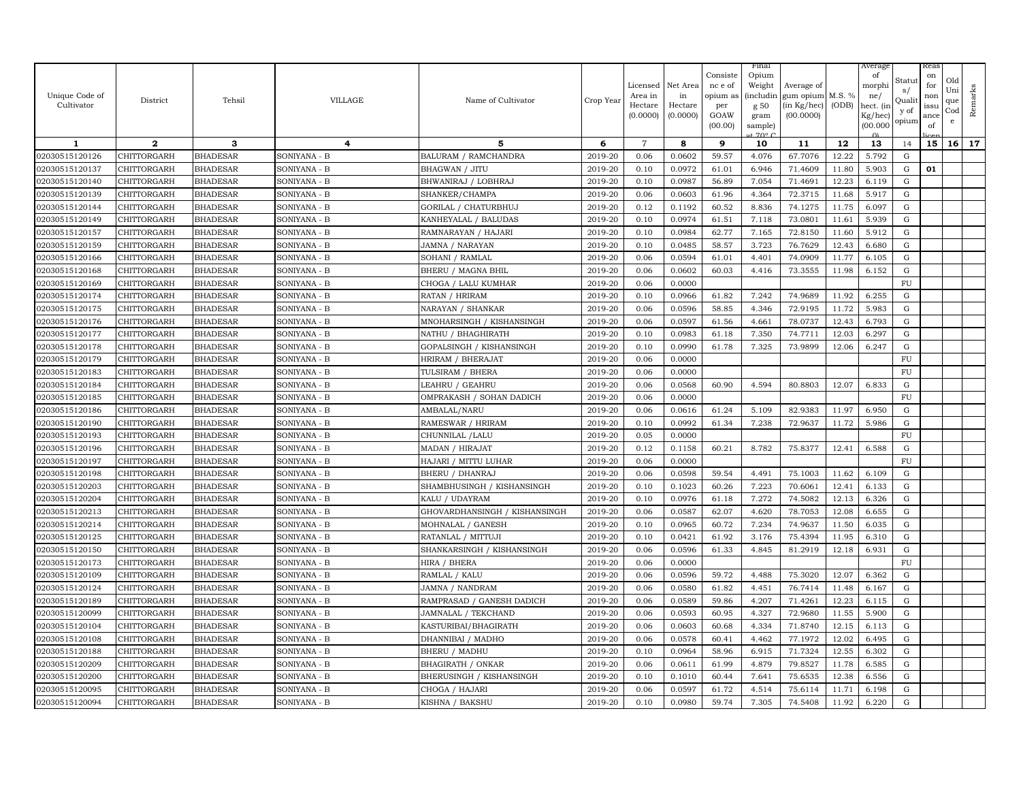| Unique Code of<br>Cultivator | District       | Tehsil          | VILLAGE                            | Name of Cultivator            | Crop Year | Licensed<br>Area in<br>Hectare<br>(0.0000) | Net Area<br>in<br>Hectare<br>(0.0000) | Consiste<br>nc e of<br>opium as<br>per<br>GOAW<br>(00.00) | Final<br>Opium<br>Weight<br><i>(includin</i><br>g 50<br>gram<br>sample<br>$70^\circ$ | Average of<br>gum opium M.S. %<br>(in Kg/hec)<br>(00.0000) | (ODB) | Averag<br>of<br>morphi<br>ne/<br>hect. (ir<br>Kg/hec<br>(00.000) | Statu<br>s/<br>Quali<br>y of<br>opium | on<br>for<br>nor<br>issu<br>ance<br>of | Old<br>'Ini<br>aue<br>Cod | Remarks |
|------------------------------|----------------|-----------------|------------------------------------|-------------------------------|-----------|--------------------------------------------|---------------------------------------|-----------------------------------------------------------|--------------------------------------------------------------------------------------|------------------------------------------------------------|-------|------------------------------------------------------------------|---------------------------------------|----------------------------------------|---------------------------|---------|
| -1                           | $\overline{2}$ | з               | $\overline{4}$                     | 5                             | 6         | $\overline{7}$                             | 8                                     | 9                                                         | 10                                                                                   | 11                                                         | 12    | 13                                                               | 14                                    | 15                                     |                           | 16 17   |
| 02030515120126               | CHITTORGARH    | <b>BHADESAR</b> | SONIYANA - B                       | <b>BALURAM / RAMCHANDRA</b>   | 2019-20   | 0.06                                       | 0.0602                                | 59.57                                                     | 4.076                                                                                | 67.7076                                                    | 12.22 | 5.792                                                            | $\mathbf G$                           |                                        |                           |         |
| 02030515120137               | CHITTORGARH    | <b>BHADESAR</b> | SONIYANA - B                       | BHAGWAN / JITU                | 2019-20   | 0.10                                       | 0.0972                                | 61.01                                                     | 6.946                                                                                | 71.4609                                                    | 11.80 | 5.903                                                            | G                                     | 01                                     |                           |         |
| 02030515120140               | CHITTORGARH    | <b>BHADESAR</b> | SONIYANA - B                       | BHWANIRAJ / LOBHRAJ           | 2019-20   | 0.10                                       | 0.0987                                | 56.89                                                     | 7.054                                                                                | 71.4691                                                    | 12.23 | 6.119                                                            | G                                     |                                        |                           |         |
| 02030515120139               | CHITTORGARH    | <b>BHADESAR</b> | $\textsc{SONIYANA}$ - $\textsc{B}$ | SHANKER/CHAMPA                | 2019-20   | 0.06                                       | 0.0603                                | 61.96                                                     | 4.364                                                                                | 72.3715                                                    | 11.68 | 5.917                                                            | G                                     |                                        |                           |         |
| 02030515120144               | CHITTORGARH    | <b>BHADESAR</b> | SONIYANA - B                       | GORILAL / CHATURBHUJ          | 2019-20   | 0.12                                       | 0.1192                                | 60.52                                                     | 8.836                                                                                | 74.1275                                                    | 11.75 | 6.097                                                            | G                                     |                                        |                           |         |
| 02030515120149               | CHITTORGARH    | <b>BHADESAR</b> | SONIYANA - B                       | KANHEYALAL / BALUDAS          | 2019-20   | 0.10                                       | 0.0974                                | 61.51                                                     | 7.118                                                                                | 73.0801                                                    | 11.61 | 5.939                                                            | G                                     |                                        |                           |         |
| 02030515120157               | CHITTORGARH    | <b>BHADESAR</b> | SONIYANA - B                       | RAMNARAYAN / HAJARI           | 2019-20   | 0.10                                       | 0.0984                                | 62.77                                                     | 7.165                                                                                | 72.8150                                                    | 11.60 | 5.912                                                            | G                                     |                                        |                           |         |
| 02030515120159               | CHITTORGARH    | <b>BHADESAR</b> | SONIYANA - B                       | JAMNA / NARAYAN               | 2019-20   | 0.10                                       | 0.0485                                | 58.57                                                     | 3.723                                                                                | 76.7629                                                    | 12.43 | 6.680                                                            | G                                     |                                        |                           |         |
| 02030515120166               | CHITTORGARH    | <b>BHADESAR</b> | SONIYANA - B                       | SOHANI / RAMLAL               | 2019-20   | 0.06                                       | 0.0594                                | 61.01                                                     | 4.401                                                                                | 74.0909                                                    | 11.77 | 6.105                                                            | ${\rm G}$                             |                                        |                           |         |
| 02030515120168               | CHITTORGARH    | <b>BHADESAR</b> | SONIYANA - B                       | BHERU / MAGNA BHIL            | 2019-20   | 0.06                                       | 0.0602                                | 60.03                                                     | 4.416                                                                                | 73.3555                                                    | 11.98 | 6.152                                                            | G                                     |                                        |                           |         |
| 02030515120169               | CHITTORGARH    | <b>BHADESAR</b> | SONIYANA - B                       | CHOGA / LALU KUMHAR           | 2019-20   | 0.06                                       | 0.0000                                |                                                           |                                                                                      |                                                            |       |                                                                  | ${\rm FU}$                            |                                        |                           |         |
| 02030515120174               | CHITTORGARH    | <b>BHADESAR</b> | SONIYANA - B                       | RATAN / HRIRAM                | 2019-20   | 0.10                                       | 0.0966                                | 61.82                                                     | 7.242                                                                                | 74.9689                                                    | 11.92 | 6.255                                                            | G                                     |                                        |                           |         |
| 02030515120175               | CHITTORGARH    | <b>BHADESAR</b> | SONIYANA - B                       | NARAYAN / SHANKAR             | 2019-20   | 0.06                                       | 0.0596                                | 58.85                                                     | 4.346                                                                                | 72.9195                                                    | 11.72 | 5.983                                                            | G                                     |                                        |                           |         |
| 02030515120176               | CHITTORGARH    | <b>BHADESAR</b> | SONIYANA - B                       | MNOHARSINGH / KISHANSINGH     | 2019-20   | 0.06                                       | 0.0597                                | 61.56                                                     | 4.661                                                                                | 78.0737                                                    | 12.43 | 6.793                                                            | G                                     |                                        |                           |         |
| 02030515120177               | CHITTORGARH    | <b>BHADESAR</b> | SONIYANA - B                       | NATHU / BHAGHIRATH            | 2019-20   | 0.10                                       | 0.0983                                | 61.18                                                     | 7.350                                                                                | 74.7711                                                    | 12.03 | 6.297                                                            | ${\rm G}$                             |                                        |                           |         |
| 02030515120178               | CHITTORGARH    | <b>BHADESAR</b> | SONIYANA - B                       | GOPALSINGH / KISHANSINGH      | 2019-20   | 0.10                                       | 0.0990                                | 61.78                                                     | 7.325                                                                                | 73.9899                                                    | 12.06 | 6.247                                                            | G                                     |                                        |                           |         |
| 02030515120179               | CHITTORGARH    | <b>BHADESAR</b> | SONIYANA - B                       | HRIRAM / BHERAJAT             | 2019-20   | 0.06                                       | 0.0000                                |                                                           |                                                                                      |                                                            |       |                                                                  | FU                                    |                                        |                           |         |
| 02030515120183               | CHITTORGARH    | <b>BHADESAR</b> | SONIYANA - B                       | TULSIRAM / BHERA              | 2019-20   | 0.06                                       | 0.0000                                |                                                           |                                                                                      |                                                            |       |                                                                  | ${\rm FU}$                            |                                        |                           |         |
| 02030515120184               | CHITTORGARH    | <b>BHADESAR</b> | SONIYANA - B                       | LEAHRU / GEAHRU               | 2019-20   | 0.06                                       | 0.0568                                | 60.90                                                     | 4.594                                                                                | 80.8803                                                    | 12.07 | 6.833                                                            | G                                     |                                        |                           |         |
| 02030515120185               | CHITTORGARH    | <b>BHADESAR</b> | SONIYANA - B                       | OMPRAKASH / SOHAN DADICH      | 2019-20   | 0.06                                       | 0.0000                                |                                                           |                                                                                      |                                                            |       |                                                                  | ${\rm FU}$                            |                                        |                           |         |
| 02030515120186               | CHITTORGARH    | <b>BHADESAR</b> | SONIYANA - B                       | AMBALAL/NARU                  | 2019-20   | 0.06                                       | 0.0616                                | 61.24                                                     | 5.109                                                                                | 82.9383                                                    | 11.97 | 6.950                                                            | G                                     |                                        |                           |         |
| 02030515120190               | CHITTORGARH    | <b>BHADESAR</b> | SONIYANA - B                       | RAMESWAR / HRIRAM             | 2019-20   | 0.10                                       | 0.0992                                | 61.34                                                     | 7.238                                                                                | 72.9637                                                    | 11.72 | 5.986                                                            | G                                     |                                        |                           |         |
| 02030515120193               | CHITTORGARH    | <b>BHADESAR</b> | SONIYANA - B                       | CHUNNILAL /LALU               | 2019-20   | 0.05                                       | 0.0000                                |                                                           |                                                                                      |                                                            |       |                                                                  | ${\rm FU}$                            |                                        |                           |         |
| 02030515120196               | CHITTORGARH    | <b>BHADESAR</b> | SONIYANA - B                       | MADAN / HIRAJAT               | 2019-20   | 0.12                                       | 0.1158                                | 60.21                                                     | 8.782                                                                                | 75.8377                                                    | 12.41 | 6.588                                                            | ${\rm G}$                             |                                        |                           |         |
| 02030515120197               | CHITTORGARH    | <b>BHADESAR</b> | SONIYANA - B                       | HAJARI / MITTU LUHAR          | 2019-20   | 0.06                                       | 0.0000                                |                                                           |                                                                                      |                                                            |       |                                                                  | FU                                    |                                        |                           |         |
| 02030515120198               | CHITTORGARH    | <b>BHADESAR</b> | SONIYANA - B                       | BHERU / DHANRAJ               | 2019-20   | 0.06                                       | 0.0598                                | 59.54                                                     | 4.491                                                                                | 75.1003                                                    | 11.62 | 6.109                                                            | G                                     |                                        |                           |         |
| 02030515120203               | CHITTORGARH    | <b>BHADESAR</b> | SONIYANA - B                       | SHAMBHUSINGH / KISHANSINGH    | 2019-20   | 0.10                                       | 0.1023                                | 60.26                                                     | 7.223                                                                                | 70.6061                                                    | 12.41 | 6.133                                                            | G                                     |                                        |                           |         |
| 02030515120204               | CHITTORGARH    | <b>BHADESAR</b> | SONIYANA - B                       | KALU / UDAYRAM                | 2019-20   | 0.10                                       | 0.0976                                | 61.18                                                     | 7.272                                                                                | 74.5082                                                    | 12.13 | 6.326                                                            | G                                     |                                        |                           |         |
| 02030515120213               | CHITTORGARH    | <b>BHADESAR</b> | SONIYANA - B                       | GHOVARDHANSINGH / KISHANSINGH | 2019-20   | 0.06                                       | 0.0587                                | 62.07                                                     | 4.620                                                                                | 78.7053                                                    | 12.08 | 6.655                                                            | G                                     |                                        |                           |         |
| 02030515120214               | CHITTORGARH    | <b>BHADESAR</b> | SONIYANA - B                       | MOHNALAL / GANESH             | 2019-20   | 0.10                                       | 0.0965                                | 60.72                                                     | 7.234                                                                                | 74.9637                                                    | 11.50 | 6.035                                                            | G                                     |                                        |                           |         |
| 02030515120125               | CHITTORGARH    | <b>BHADESAR</b> | SONIYANA - B                       | RATANLAL / MITTUJI            | 2019-20   | 0.10                                       | 0.0421                                | 61.92                                                     | 3.176                                                                                | 75.4394                                                    | 11.95 | 6.310                                                            | G                                     |                                        |                           |         |
| 02030515120150               | CHITTORGARH    | <b>BHADESAR</b> | SONIYANA - B                       | SHANKARSINGH / KISHANSINGH    | 2019-20   | 0.06                                       | 0.0596                                | 61.33                                                     | 4.845                                                                                | 81.2919                                                    | 12.18 | 6.931                                                            | G                                     |                                        |                           |         |
| 02030515120173               | CHITTORGARH    | <b>BHADESAR</b> | SONIYANA - B                       | HIRA / BHERA                  | 2019-20   | 0.06                                       | 0.0000                                |                                                           |                                                                                      |                                                            |       |                                                                  | FU                                    |                                        |                           |         |
| 02030515120109               | CHITTORGARH    | <b>BHADESAR</b> | SONIYANA - B                       | RAMLAL / KALU                 | 2019-20   | 0.06                                       | 0.0596                                | 59.72                                                     | 4.488                                                                                | 75.3020                                                    | 12.07 | 6.362                                                            | G                                     |                                        |                           |         |
| 02030515120124               | CHITTORGARH    | <b>BHADESAR</b> | SONIYANA - B                       | JAMNA / NANDRAM               | 2019-20   | 0.06                                       | 0.0580                                | 61.82                                                     | 4.451                                                                                | 76.7414                                                    | 11.48 | 6.167                                                            | $\mathbf G$                           |                                        |                           |         |
| 02030515120189               | CHITTORGARH    | <b>BHADESAR</b> | SONIYANA - B                       | RAMPRASAD / GANESH DADICH     | 2019-20   | 0.06                                       | 0.0589                                | 59.86                                                     | 4.207                                                                                | 71.4261                                                    | 12.23 | 6.115                                                            | G                                     |                                        |                           |         |
| 02030515120099               | CHITTORGARH    | <b>BHADESAR</b> | SONIYANA - B                       | JAMNALAL / TEKCHAND           | 2019-20   | 0.06                                       | 0.0593                                | 60.95                                                     | 4.327                                                                                | 72.9680                                                    | 11.55 | 5.900                                                            | G                                     |                                        |                           |         |
| 02030515120104               | CHITTORGARH    | <b>BHADESAR</b> | SONIYANA - B                       | KASTURIBAI/BHAGIRATH          | 2019-20   | 0.06                                       | 0.0603                                | 60.68                                                     | 4.334                                                                                | 71.8740                                                    | 12.15 | 6.113                                                            | G                                     |                                        |                           |         |
| 02030515120108               | CHITTORGARH    | <b>BHADESAR</b> | SONIYANA - B                       | DHANNIBAI / MADHO             | 2019-20   | 0.06                                       | 0.0578                                | 60.41                                                     | 4.462                                                                                | 77.1972                                                    | 12.02 | 6.495                                                            | G                                     |                                        |                           |         |
| 02030515120188               | CHITTORGARH    | <b>BHADESAR</b> | SONIYANA - B                       | BHERU / MADHU                 | 2019-20   | 0.10                                       | 0.0964                                | 58.96                                                     | 6.915                                                                                | 71.7324                                                    | 12.55 | 6.302                                                            | G                                     |                                        |                           |         |
| 02030515120209               | CHITTORGARH    | <b>BHADESAR</b> | SONIYANA - B                       | <b>BHAGIRATH / ONKAR</b>      | 2019-20   | 0.06                                       | 0.0611                                | 61.99                                                     | 4.879                                                                                | 79.8527                                                    | 11.78 | 6.585                                                            | G                                     |                                        |                           |         |
| 02030515120200               | CHITTORGARH    | <b>BHADESAR</b> | SONIYANA - B                       | BHERUSINGH / KISHANSINGH      | 2019-20   | 0.10                                       | 0.1010                                | 60.44                                                     | 7.641                                                                                | 75.6535                                                    | 12.38 | 6.556                                                            | G                                     |                                        |                           |         |
| 02030515120095               | CHITTORGARH    | <b>BHADESAR</b> | SONIYANA - B                       | CHOGA / HAJARI                | 2019-20   | 0.06                                       | 0.0597                                | 61.72                                                     | 4.514                                                                                | 75.6114                                                    | 11.71 | 6.198                                                            | G                                     |                                        |                           |         |
| 02030515120094               | CHITTORGARH    | <b>BHADESAR</b> | SONIYANA - B                       | KISHNA / BAKSHU               | 2019-20   | 0.10                                       | 0.0980                                | 59.74                                                     | 7.305                                                                                | 74.5408                                                    | 11.92 | 6.220                                                            | G                                     |                                        |                           |         |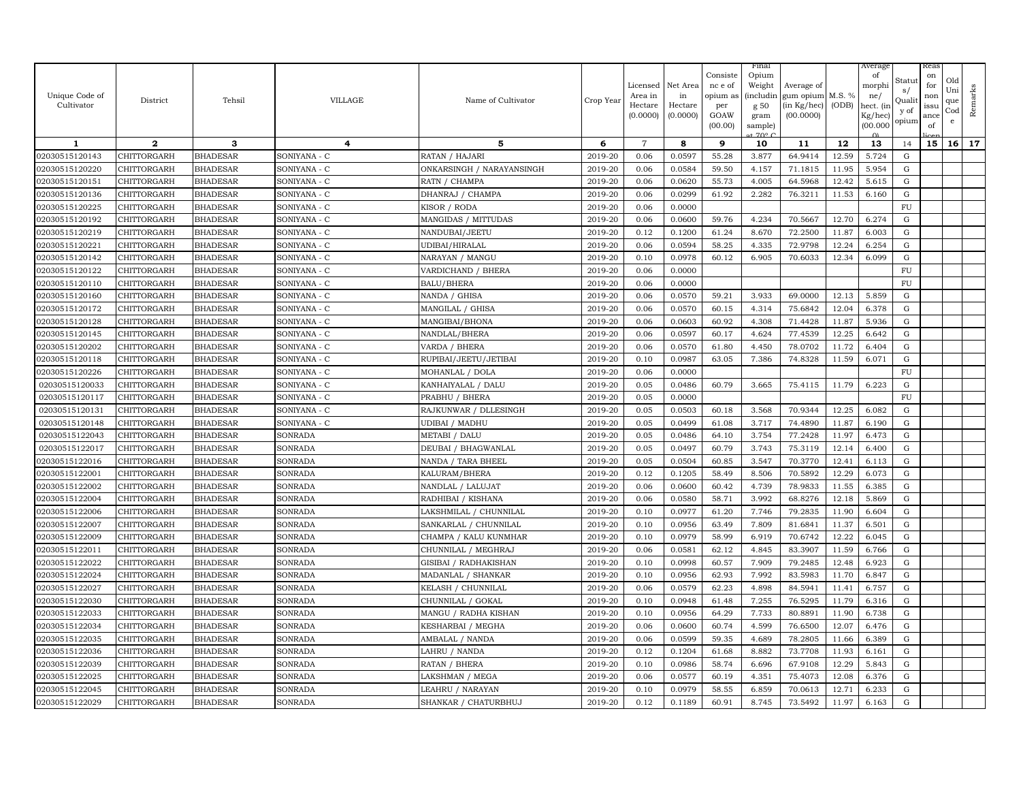| Unique Code of<br>Cultivator | District       | Tehsil          | VILLAGE        | Name of Cultivator        | Crop Year | Licensed<br>Area in<br>Hectare<br>(0.0000) | Net Area<br>in<br>Hectare<br>(0.0000) | Consiste<br>nc e of<br>opium as<br>per<br>GOAW<br>(00.00) | Final<br>Opium<br>Weight<br><i>(includin</i><br>g 50<br>gram<br>sample)<br>70° | Average of<br>gum opium M.S. %<br>(in Kg/hec)<br>(00.0000) | (ODB) | Average<br>of<br>morphi<br>ne/<br>hect. (in<br>Kg/hec<br>(00.000) | Statut<br>s/<br>Quali<br>y of<br>opium | on<br>for<br>nor<br>isst<br>ance<br>of | Old<br>Uni<br>que<br>Cod | Remarks |
|------------------------------|----------------|-----------------|----------------|---------------------------|-----------|--------------------------------------------|---------------------------------------|-----------------------------------------------------------|--------------------------------------------------------------------------------|------------------------------------------------------------|-------|-------------------------------------------------------------------|----------------------------------------|----------------------------------------|--------------------------|---------|
| -1                           | $\overline{2}$ | з               | 4              | 5                         | 6         | $\overline{7}$                             | 8                                     | 9                                                         | 10                                                                             | 11                                                         | 12    | 13                                                                | 14                                     | 15                                     | 16 <sup>1</sup>          | 17      |
| 02030515120143               | CHITTORGARH    | <b>BHADESAR</b> | SONIYANA - C   | RATAN / HAJARI            | 2019-20   | 0.06                                       | 0.0597                                | 55.28                                                     | 3.877                                                                          | 64.9414                                                    | 12.59 | 5.724                                                             | G                                      |                                        |                          |         |
| 02030515120220               | CHITTORGARH    | <b>BHADESAR</b> | SONIYANA - C   | ONKARSINGH / NARAYANSINGH | 2019-20   | 0.06                                       | 0.0584                                | 59.50                                                     | 4.157                                                                          | 71.1815                                                    | 11.95 | 5.954                                                             | G                                      |                                        |                          |         |
| 02030515120151               | CHITTORGARH    | <b>BHADESAR</b> | SONIYANA - C   | RATN / CHAMPA             | 2019-20   | 0.06                                       | 0.0620                                | 55.73                                                     | 4.005                                                                          | 64.5968                                                    | 12.42 | 5.615                                                             | G                                      |                                        |                          |         |
| 02030515120136               | CHITTORGARH    | <b>BHADESAR</b> | SONIYANA - C   | DHANRAJ / CHAMPA          | 2019-20   | 0.06                                       | 0.0299                                | 61.92                                                     | 2.282                                                                          | 76.3211                                                    | 11.53 | 6.160                                                             | ${\rm G}$                              |                                        |                          |         |
| 02030515120225               | CHITTORGARH    | <b>BHADESAR</b> | SONIYANA - C   | KISOR / RODA              | 2019-20   | 0.06                                       | 0.0000                                |                                                           |                                                                                |                                                            |       |                                                                   | FU                                     |                                        |                          |         |
| 02030515120192               | CHITTORGARH    | <b>BHADESAR</b> | SONIYANA - C   | MANGIDAS / MITTUDAS       | 2019-20   | 0.06                                       | 0.0600                                | 59.76                                                     | 4.234                                                                          | 70.5667                                                    | 12.70 | 6.274                                                             | G                                      |                                        |                          |         |
| 02030515120219               | CHITTORGARH    | <b>BHADESAR</b> | SONIYANA - C   | NANDUBAI/JEETU            | 2019-20   | 0.12                                       | 0.1200                                | 61.24                                                     | 8.670                                                                          | 72.2500                                                    | 11.87 | 6.003                                                             | ${\rm G}$                              |                                        |                          |         |
| 02030515120221               | CHITTORGARH    | <b>BHADESAR</b> | SONIYANA - C   | UDIBAI/HIRALAL            | 2019-20   | 0.06                                       | 0.0594                                | 58.25                                                     | 4.335                                                                          | 72.9798                                                    | 12.24 | 6.254                                                             | G                                      |                                        |                          |         |
| 02030515120142               | CHITTORGARH    | <b>BHADESAR</b> | SONIYANA - C   | NARAYAN / MANGU           | 2019-20   | 0.10                                       | 0.0978                                | 60.12                                                     | 6.905                                                                          | 70.6033                                                    | 12.34 | 6.099                                                             | ${\rm G}$                              |                                        |                          |         |
| 02030515120122               | CHITTORGARH    | <b>BHADESAR</b> | SONIYANA - C   | VARDICHAND / BHERA        | 2019-20   | 0.06                                       | 0.0000                                |                                                           |                                                                                |                                                            |       |                                                                   | ${\rm FU}$                             |                                        |                          |         |
| 02030515120110               | CHITTORGARH    | <b>BHADESAR</b> | SONIYANA - C   | <b>BALU/BHERA</b>         | 2019-20   | 0.06                                       | 0.0000                                |                                                           |                                                                                |                                                            |       |                                                                   | ${\rm FU}$                             |                                        |                          |         |
| 02030515120160               | CHITTORGARH    | <b>BHADESAR</b> | SONIYANA - C   | NANDA / GHISA             | 2019-20   | 0.06                                       | 0.0570                                | 59.21                                                     | 3.933                                                                          | 69.0000                                                    | 12.13 | 5.859                                                             | ${\rm G}$                              |                                        |                          |         |
| 02030515120172               | CHITTORGARH    | <b>BHADESAR</b> | SONIYANA - C   | MANGILAL / GHISA          | 2019-20   | 0.06                                       | 0.0570                                | 60.15                                                     | 4.314                                                                          | 75.6842                                                    | 12.04 | 6.378                                                             | G                                      |                                        |                          |         |
| 02030515120128               | CHITTORGARH    | <b>BHADESAR</b> | SONIYANA - C   | MANGIBAI/BHONA            | 2019-20   | 0.06                                       | 0.0603                                | 60.92                                                     | 4.308                                                                          | 71.4428                                                    | 11.87 | 5.936                                                             | G                                      |                                        |                          |         |
| 02030515120145               | CHITTORGARH    | <b>BHADESAR</b> | SONIYANA - C   | NANDLAL/BHERA             | 2019-20   | 0.06                                       | 0.0597                                | 60.17                                                     | 4.624                                                                          | 77.4539                                                    | 12.25 | 6.642                                                             | ${\rm G}$                              |                                        |                          |         |
| 02030515120202               | CHITTORGARH    | <b>BHADESAR</b> | SONIYANA - C   | VARDA / BHERA             | 2019-20   | 0.06                                       | 0.0570                                | 61.80                                                     | 4.450                                                                          | 78.0702                                                    | 11.72 | 6.404                                                             | G                                      |                                        |                          |         |
| 02030515120118               | CHITTORGARH    | <b>BHADESAR</b> | SONIYANA - C   | RUPIBAI/JEETU/JETIBAI     | 2019-20   | 0.10                                       | 0.0987                                | 63.05                                                     | 7.386                                                                          | 74.8328                                                    | 11.59 | 6.071                                                             | ${\rm G}$                              |                                        |                          |         |
| 02030515120226               | CHITTORGARH    | <b>BHADESAR</b> | SONIYANA - C   | MOHANLAL / DOLA           | 2019-20   | 0.06                                       | 0.0000                                |                                                           |                                                                                |                                                            |       |                                                                   | ${\rm FU}$                             |                                        |                          |         |
| 02030515120033               | CHITTORGARH    | <b>BHADESAR</b> | SONIYANA - C   | KANHAIYALAL / DALU        | 2019-20   | 0.05                                       | 0.0486                                | 60.79                                                     | 3.665                                                                          | 75.4115                                                    | 11.79 | 6.223                                                             | G                                      |                                        |                          |         |
| 02030515120117               | CHITTORGARH    | <b>BHADESAR</b> | SONIYANA - C   | PRABHU / BHERA            | 2019-20   | 0.05                                       | 0.0000                                |                                                           |                                                                                |                                                            |       |                                                                   | ${\rm FU}$                             |                                        |                          |         |
| 02030515120131               | CHITTORGARH    | <b>BHADESAR</b> | SONIYANA - C   | RAJKUNWAR / DLLESINGH     | 2019-20   | 0.05                                       | 0.0503                                | 60.18                                                     | 3.568                                                                          | 70.9344                                                    | 12.25 | 6.082                                                             | G                                      |                                        |                          |         |
| 02030515120148               | CHITTORGARH    | <b>BHADESAR</b> | SONIYANA - C   | UDIBAI / MADHU            | 2019-20   | 0.05                                       | 0.0499                                | 61.08                                                     | 3.717                                                                          | 74.4890                                                    | 11.87 | 6.190                                                             | G                                      |                                        |                          |         |
| 02030515122043               | CHITTORGARH    | <b>BHADESAR</b> | SONRADA        | METABI / DALU             | 2019-20   | 0.05                                       | 0.0486                                | 64.10                                                     | 3.754                                                                          | 77.2428                                                    | 11.97 | 6.473                                                             | G                                      |                                        |                          |         |
| 02030515122017               | CHITTORGARH    | <b>BHADESAR</b> | SONRADA        | DEUBAI / BHAGWANLAL       | 2019-20   | 0.05                                       | 0.0497                                | 60.79                                                     | 3.743                                                                          | 75.3119                                                    | 12.14 | 6.400                                                             | ${\rm G}$                              |                                        |                          |         |
| 02030515122016               | CHITTORGARH    | <b>BHADESAR</b> | SONRADA        | NANDA / TARA BHEEL        | 2019-20   | 0.05                                       | 0.0504                                | 60.85                                                     | 3.547                                                                          | 70.3770                                                    | 12.41 | 6.113                                                             | ${\rm G}$                              |                                        |                          |         |
| 02030515122001               | CHITTORGARH    | <b>BHADESAR</b> | <b>SONRADA</b> | KALURAM/BHERA             | 2019-20   | 0.12                                       | 0.1205                                | 58.49                                                     | 8.506                                                                          | 70.5892                                                    | 12.29 | 6.073                                                             | G                                      |                                        |                          |         |
| 02030515122002               | CHITTORGARH    | <b>BHADESAR</b> | SONRADA        | NANDLAL / LALUJAT         | 2019-20   | 0.06                                       | 0.0600                                | 60.42                                                     | 4.739                                                                          | 78.9833                                                    | 11.55 | 6.385                                                             | ${\rm G}$                              |                                        |                          |         |
| 02030515122004               | CHITTORGARH    | <b>BHADESAR</b> | SONRADA        | RADHIBAI / KISHANA        | 2019-20   | 0.06                                       | 0.0580                                | 58.71                                                     | 3.992                                                                          | 68.8276                                                    | 12.18 | 5.869                                                             | ${\rm G}$                              |                                        |                          |         |
| 02030515122006               | CHITTORGARH    | <b>BHADESAR</b> | SONRADA        | LAKSHMILAL / CHUNNILAL    | 2019-20   | 0.10                                       | 0.0977                                | 61.20                                                     | 7.746                                                                          | 79.2835                                                    | 11.90 | 6.604                                                             | G                                      |                                        |                          |         |
| 02030515122007               | CHITTORGARH    | <b>BHADESAR</b> | SONRADA        | SANKARLAL / CHUNNILAL     | 2019-20   | 0.10                                       | 0.0956                                | 63.49                                                     | 7.809                                                                          | 81.6841                                                    | 11.37 | 6.501                                                             | $\mathbf G$                            |                                        |                          |         |
| 02030515122009               | CHITTORGARH    | <b>BHADESAR</b> | SONRADA        | CHAMPA / KALU KUNMHAR     | 2019-20   | 0.10                                       | 0.0979                                | 58.99                                                     | 6.919                                                                          | 70.6742                                                    | 12.22 | 6.045                                                             | ${\rm G}$                              |                                        |                          |         |
| 02030515122011               | CHITTORGARH    | <b>BHADESAR</b> | SONRADA        | CHUNNILAL / MEGHRAJ       | 2019-20   | 0.06                                       | 0.0581                                | 62.12                                                     | 4.845                                                                          | 83.3907                                                    | 11.59 | 6.766                                                             | ${\rm G}$                              |                                        |                          |         |
| 02030515122022               | CHITTORGARH    | <b>BHADESAR</b> | <b>SONRADA</b> | GISIBAI / RADHAKISHAN     | 2019-20   | 0.10                                       | 0.0998                                | 60.57                                                     | 7.909                                                                          | 79.2485                                                    | 12.48 | 6.923                                                             | G                                      |                                        |                          |         |
| 02030515122024               | CHITTORGARH    | <b>BHADESAR</b> | <b>SONRADA</b> | MADANLAL / SHANKAR        | 2019-20   | 0.10                                       | 0.0956                                | 62.93                                                     | 7.992                                                                          | 83.5983                                                    | 11.70 | 6.847                                                             | G                                      |                                        |                          |         |
| 02030515122027               | CHITTORGARH    | <b>BHADESAR</b> | SONRADA        | KELASH / CHUNNILAL        | 2019-20   | 0.06                                       | 0.0579                                | 62.23                                                     | 4.898                                                                          | 84.5941                                                    | 11.41 | 6.757                                                             | G                                      |                                        |                          |         |
| 02030515122030               | CHITTORGARH    | <b>BHADESAR</b> | <b>SONRADA</b> | CHUNNILAL / GOKAL         | 2019-20   | 0.10                                       | 0.0948                                | 61.48                                                     | 7.255                                                                          | 76.5295                                                    | 11.79 | 6.316                                                             | ${\rm G}$                              |                                        |                          |         |
| 02030515122033               | CHITTORGARH    | <b>BHADESAR</b> | SONRADA        | MANGU / RADHA KISHAN      | 2019-20   | 0.10                                       | 0.0956                                | 64.29                                                     | 7.733                                                                          | 80.8891                                                    | 11.90 | 6.738                                                             | G                                      |                                        |                          |         |
| 02030515122034               | CHITTORGARH    | <b>BHADESAR</b> | SONRADA        | KESHARBAI / MEGHA         | 2019-20   | 0.06                                       | 0.0600                                | 60.74                                                     | 4.599                                                                          | 76.6500                                                    | 12.07 | 6.476                                                             | G                                      |                                        |                          |         |
| 02030515122035               | CHITTORGARH    | <b>BHADESAR</b> | SONRADA        | AMBALAL / NANDA           | 2019-20   | 0.06                                       | 0.0599                                | 59.35                                                     | 4.689                                                                          | 78.2805                                                    | 11.66 | 6.389                                                             | G                                      |                                        |                          |         |
| 02030515122036               | CHITTORGARH    | <b>BHADESAR</b> | SONRADA        | LAHRU / NANDA             | 2019-20   | 0.12                                       | 0.1204                                | 61.68                                                     | 8.882                                                                          | 73.7708                                                    | 11.93 | 6.161                                                             | G                                      |                                        |                          |         |
| 02030515122039               | CHITTORGARH    | <b>BHADESAR</b> | SONRADA        | RATAN / BHERA             | 2019-20   | 0.10                                       | 0.0986                                | 58.74                                                     | 6.696                                                                          | 67.9108                                                    | 12.29 | 5.843                                                             | G                                      |                                        |                          |         |
| 02030515122025               | CHITTORGARH    | <b>BHADESAR</b> | SONRADA        | LAKSHMAN / MEGA           | 2019-20   | 0.06                                       | 0.0577                                | 60.19                                                     | 4.351                                                                          | 75.4073                                                    | 12.08 | 6.376                                                             | G                                      |                                        |                          |         |
| 02030515122045               | CHITTORGARH    | <b>BHADESAR</b> | SONRADA        | LEAHRU / NARAYAN          | 2019-20   | 0.10                                       | 0.0979                                | 58.55                                                     | 6.859                                                                          | 70.0613                                                    | 12.71 | 6.233                                                             | ${\rm G}$                              |                                        |                          |         |
| 02030515122029               | CHITTORGARH    | <b>BHADESAR</b> | SONRADA        | SHANKAR / CHATURBHUJ      | 2019-20   | 0.12                                       | 0.1189                                | 60.91                                                     | 8.745                                                                          | 73.5492                                                    | 11.97 | 6.163                                                             | ${\rm G}$                              |                                        |                          |         |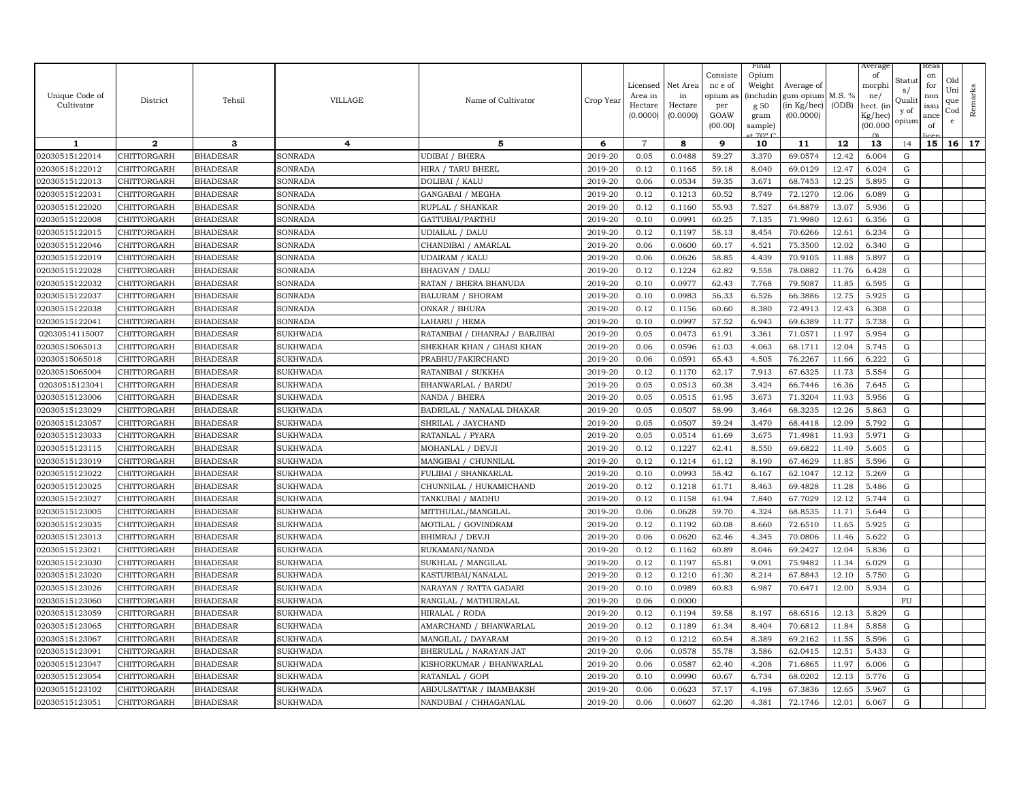| Unique Code of<br>Cultivator | District       | Tehsil          | VILLAGE         | Name of Cultivator             | Crop Year | Licensed<br>Area in<br>Hectare<br>(0.0000) | Net Area<br>in<br>Hectare<br>(0.0000) | Consiste<br>nc e of<br>opium as<br>per<br>GOAW<br>(00.00) | Final<br>Opium<br>Weight<br><i>(includin</i><br>g 50<br>gram<br>sample]<br>70° | Average of<br>gum opium M.S. %<br>(in Kg/hec)<br>(00.0000) | (ODB) | Averag<br>of<br>morphi<br>ne/<br>hect. (in<br>Kg/hec<br>(00.000) | Statut<br>s/<br>Quali<br>y of<br>opium | on<br>for<br>nor<br>isst<br>ance<br>of | Old<br>Uni<br>que<br>Cod | Remarks |
|------------------------------|----------------|-----------------|-----------------|--------------------------------|-----------|--------------------------------------------|---------------------------------------|-----------------------------------------------------------|--------------------------------------------------------------------------------|------------------------------------------------------------|-------|------------------------------------------------------------------|----------------------------------------|----------------------------------------|--------------------------|---------|
| 1                            | $\overline{2}$ | 3               | 4               | 5                              | 6         | $\overline{7}$                             | 8                                     | 9                                                         | 10                                                                             | 11                                                         | 12    | 13                                                               | 14                                     | 15                                     | 16 <sup>1</sup>          | 17      |
| 02030515122014               | CHITTORGARH    | <b>BHADESAR</b> | SONRADA         | <b>UDIBAI / BHERA</b>          | 2019-20   | 0.05                                       | 0.0488                                | 59.27                                                     | 3.370                                                                          | 69.0574                                                    | 12.42 | 6.004                                                            | G                                      |                                        |                          |         |
| 02030515122012               | CHITTORGARH    | <b>BHADESAR</b> | <b>SONRADA</b>  | HIRA / TARU BHEEL              | 2019-20   | 0.12                                       | 0.1165                                | 59.18                                                     | 8.040                                                                          | 69.0129                                                    | 12.47 | 6.024                                                            | G                                      |                                        |                          |         |
| 02030515122013               | CHITTORGARH    | <b>BHADESAR</b> | <b>SONRADA</b>  | DOLIBAI / KALU                 | 2019-20   | 0.06                                       | 0.0534                                | 59.35                                                     | 3.671                                                                          | 68.7453                                                    | 12.25 | 5.895                                                            | G                                      |                                        |                          |         |
| 02030515122031               | CHITTORGARH    | <b>BHADESAR</b> | SONRADA         | GANGABAI / MEGHA               | 2019-20   | 0.12                                       | 0.1213                                | 60.52                                                     | 8.749                                                                          | 72.1270                                                    | 12.06 | 6.089                                                            | G                                      |                                        |                          |         |
| 02030515122020               | CHITTORGARH    | <b>BHADESAR</b> | SONRADA         | RUPLAL / SHANKAR               | 2019-20   | 0.12                                       | 0.1160                                | 55.93                                                     | 7.527                                                                          | 64.8879                                                    | 13.07 | 5.936                                                            | G                                      |                                        |                          |         |
| 02030515122008               | CHITTORGARH    | <b>BHADESAR</b> | SONRADA         | GATTUBAI/PARTHU                | 2019-20   | 0.10                                       | 0.0991                                | 60.25                                                     | 7.135                                                                          | 71.9980                                                    | 12.61 | 6.356                                                            | G                                      |                                        |                          |         |
| 02030515122015               | CHITTORGARH    | <b>BHADESAR</b> | SONRADA         | <b>UDIAILAL / DALU</b>         | 2019-20   | 0.12                                       | 0.1197                                | 58.13                                                     | 8.454                                                                          | 70.6266                                                    | 12.61 | 6.234                                                            | G                                      |                                        |                          |         |
| 02030515122046               | CHITTORGARH    | <b>BHADESAR</b> | SONRADA         | CHANDIBAI / AMARLAL            | 2019-20   | 0.06                                       | 0.0600                                | 60.17                                                     | 4.521                                                                          | 75.3500                                                    | 12.02 | 6.340                                                            | G                                      |                                        |                          |         |
| 02030515122019               | CHITTORGARH    | <b>BHADESAR</b> | <b>SONRADA</b>  | <b>UDAIRAM / KALU</b>          | 2019-20   | 0.06                                       | 0.0626                                | 58.85                                                     | 4.439                                                                          | 70.9105                                                    | 11.88 | 5.897                                                            | G                                      |                                        |                          |         |
| 02030515122028               | CHITTORGARH    | <b>BHADESAR</b> | SONRADA         | <b>BHAGVAN / DALU</b>          | 2019-20   | 0.12                                       | 0.1224                                | 62.82                                                     | 9.558                                                                          | 78.0882                                                    | 11.76 | 6.428                                                            | ${\rm G}$                              |                                        |                          |         |
| 02030515122032               | CHITTORGARH    | <b>BHADESAR</b> | SONRADA         | RATAN / BHERA BHANUDA          | 2019-20   | 0.10                                       | 0.0977                                | 62.43                                                     | 7.768                                                                          | 79.5087                                                    | 11.85 | 6.595                                                            | G                                      |                                        |                          |         |
| 02030515122037               | CHITTORGARH    | <b>BHADESAR</b> | SONRADA         | <b>BALURAM / SHORAM</b>        | 2019-20   | 0.10                                       | 0.0983                                | 56.33                                                     | 6.526                                                                          | 66.3886                                                    | 12.75 | 5.925                                                            | G                                      |                                        |                          |         |
| 02030515122038               | CHITTORGARH    | <b>BHADESAR</b> | SONRADA         | ONKAR / BHURA                  | 2019-20   | 0.12                                       | 0.1156                                | 60.60                                                     | 8.380                                                                          | 72.4913                                                    | 12.43 | 6.308                                                            | ${\rm G}$                              |                                        |                          |         |
| 02030515122041               | CHITTORGARH    | <b>BHADESAR</b> | SONRADA         | AHARU / HEMA                   | 2019-20   | 0.10                                       | 0.0997                                | 57.52                                                     | 6.943                                                                          | 69.6389                                                    | 11.77 | 5.738                                                            | ${\rm G}$                              |                                        |                          |         |
| 02030514115007               | CHITTORGARH    | <b>BHADESAR</b> | SUKHWADA        | RATANIBAI / DHANRAJ / BARJIBAI | 2019-20   | 0.05                                       | 0.0473                                | 61.91                                                     | 3.361                                                                          | 71.0571                                                    | 11.97 | 5.954                                                            | ${\rm G}$                              |                                        |                          |         |
| 02030515065013               | CHITTORGARH    | <b>BHADESAR</b> | SUKHWADA        | SHEKHAR KHAN / GHASI KHAN      | 2019-20   | 0.06                                       | 0.0596                                | 61.03                                                     | 4.063                                                                          | 68.1711                                                    | 12.04 | 5.745                                                            | ${\rm G}$                              |                                        |                          |         |
| 02030515065018               | CHITTORGARH    | <b>BHADESAR</b> | <b>SUKHWADA</b> | PRABHU/FAKIRCHAND              | 2019-20   | 0.06                                       | 0.0591                                | 65.43                                                     | 4.505                                                                          | 76.2267                                                    | 11.66 | 6.222                                                            | G                                      |                                        |                          |         |
| 02030515065004               | CHITTORGARH    | <b>BHADESAR</b> | <b>SUKHWADA</b> | RATANIBAI / SUKKHA             | 2019-20   | 0.12                                       | 0.1170                                | 62.17                                                     | 7.913                                                                          | 67.6325                                                    | 11.73 | 5.554                                                            | ${\rm G}$                              |                                        |                          |         |
| 02030515123041               | CHITTORGARH    | <b>BHADESAR</b> | SUKHWADA        | BHANWARLAL / BARDU             | 2019-20   | 0.05                                       | 0.0513                                | 60.38                                                     | 3.424                                                                          | 66.7446                                                    | 16.36 | 7.645                                                            | G                                      |                                        |                          |         |
| 02030515123006               | CHITTORGARH    | <b>BHADESAR</b> | SUKHWADA        | NANDA / BHERA                  | 2019-20   | 0.05                                       | 0.0515                                | 61.95                                                     | 3.673                                                                          | 71.3204                                                    | 11.93 | 5.956                                                            | G                                      |                                        |                          |         |
| 02030515123029               | CHITTORGARH    | <b>BHADESAR</b> | <b>SUKHWADA</b> | BADRILAL / NANALAL DHAKAR      | 2019-20   | 0.05                                       | 0.0507                                | 58.99                                                     | 3.464                                                                          | 68.3235                                                    | 12.26 | 5.863                                                            | G                                      |                                        |                          |         |
| 02030515123057               | CHITTORGARH    | <b>BHADESAR</b> | SUKHWADA        | SHRILAL / JAYCHAND             | 2019-20   | 0.05                                       | 0.0507                                | 59.24                                                     | 3.470                                                                          | 68.4418                                                    | 12.09 | 5.792                                                            | ${\rm G}$                              |                                        |                          |         |
| 02030515123033               | CHITTORGARH    | <b>BHADESAR</b> | SUKHWADA        | RATANLAL / PYARA               | 2019-20   | 0.05                                       | 0.0514                                | 61.69                                                     | 3.675                                                                          | 71.4981                                                    | 11.93 | 5.971                                                            | G                                      |                                        |                          |         |
| 02030515123115               | CHITTORGARH    | <b>BHADESAR</b> | SUKHWADA        | MOHANLAL / DEVJI               | 2019-20   | 0.12                                       | 0.1227                                | 62.41                                                     | 8.550                                                                          | 69.6822                                                    | 11.49 | 5.605                                                            | G                                      |                                        |                          |         |
| 02030515123019               | CHITTORGARH    | <b>BHADESAR</b> | SUKHWADA        | MANGIBAI / CHUNNILAL           | 2019-20   | 0.12                                       | 0.1214                                | 61.12                                                     | 8.190                                                                          | 67.4629                                                    | 11.85 | 5.596                                                            | G                                      |                                        |                          |         |
| 02030515123022               | CHITTORGARH    | <b>BHADESAR</b> | <b>SUKHWADA</b> | FULIBAI / SHANKARLAL           | 2019-20   | 0.10                                       | 0.0993                                | 58.42                                                     | 6.167                                                                          | 62.1047                                                    | 12.12 | 5.269                                                            | ${\rm G}$                              |                                        |                          |         |
| 02030515123025               | CHITTORGARH    | <b>BHADESAR</b> | SUKHWADA        | CHUNNILAL / HUKAMICHAND        | 2019-20   | 0.12                                       | 0.1218                                | 61.71                                                     | 8.463                                                                          | 69.4828                                                    | 11.28 | 5.486                                                            | G                                      |                                        |                          |         |
| 02030515123027               | CHITTORGARH    | <b>BHADESAR</b> | SUKHWADA        | TANKUBAI / MADHU               | 2019-20   | 0.12                                       | 0.1158                                | 61.94                                                     | 7.840                                                                          | 67.7029                                                    | 12.12 | 5.744                                                            | G                                      |                                        |                          |         |
| 02030515123005               | CHITTORGARH    | <b>BHADESAR</b> | SUKHWADA        | MITTHULAL/MANGILAL             | 2019-20   | 0.06                                       | 0.0628                                | 59.70                                                     | 4.324                                                                          | 68.8535                                                    | 11.71 | 5.644                                                            | G                                      |                                        |                          |         |
| 02030515123035               | CHITTORGARH    | <b>BHADESAR</b> | SUKHWADA        | MOTILAL / GOVINDRAM            | 2019-20   | 0.12                                       | 0.1192                                | 60.08                                                     | 8.660                                                                          | 72.6510                                                    | 11.65 | 5.925                                                            | ${\rm G}$                              |                                        |                          |         |
| 02030515123013               | CHITTORGARH    | <b>BHADESAR</b> | SUKHWADA        | BHIMRAJ / DEVJI                | 2019-20   | 0.06                                       | 0.0620                                | 62.46                                                     | 4.345                                                                          | 70.0806                                                    | 11.46 | 5.622                                                            | G                                      |                                        |                          |         |
| 02030515123021               | CHITTORGARH    | <b>BHADESAR</b> | SUKHWADA        | RUKAMANI/NANDA                 | 2019-20   | 0.12                                       | 0.1162                                | 60.89                                                     | 8.046                                                                          | 69.2427                                                    | 12.04 | 5.836                                                            | ${\rm G}$                              |                                        |                          |         |
| 02030515123030               | CHITTORGARH    | <b>BHADESAR</b> | SUKHWADA        | SUKHLAL / MANGILAL             | 2019-20   | 0.12                                       | 0.1197                                | 65.81                                                     | 9.091                                                                          | 75.9482                                                    | 11.34 | 6.029                                                            | ${\rm G}$                              |                                        |                          |         |
| 02030515123020               | CHITTORGARH    | <b>BHADESAR</b> | SUKHWADA        | KASTURIBAI/NANALAL             | 2019-20   | 0.12                                       | 0.1210                                | 61.30                                                     | 8.214                                                                          | 67.8843                                                    | 12.10 | 5.750                                                            | ${\rm G}$                              |                                        |                          |         |
| 02030515123026               | CHITTORGARH    | <b>BHADESAR</b> | SUKHWADA        | NARAYAN / RATTA GADARI         | 2019-20   | 0.10                                       | 0.0989                                | 60.83                                                     | 6.987                                                                          | 70.6471                                                    | 12.00 | 5.934                                                            | G                                      |                                        |                          |         |
| 02030515123060               | CHITTORGARH    | <b>BHADESAR</b> | SUKHWADA        | RANGLAL / MATHURALAL           | 2019-20   | 0.06                                       | 0.0000                                |                                                           |                                                                                |                                                            |       |                                                                  | FU                                     |                                        |                          |         |
| 02030515123059               | CHITTORGARH    | <b>BHADESAR</b> | SUKHWADA        | HIRALAL / RODA                 | 2019-20   | 0.12                                       | 0.1194                                | 59.58                                                     | 8.197                                                                          | 68.6516                                                    | 12.13 | 5.829                                                            | G                                      |                                        |                          |         |
| 02030515123065               | CHITTORGARH    | <b>BHADESAR</b> | SUKHWADA        | AMARCHAND / BHANWARLAL         | 2019-20   | 0.12                                       | 0.1189                                | 61.34                                                     | 8.404                                                                          | 70.6812                                                    | 11.84 | 5.858                                                            | G                                      |                                        |                          |         |
| 02030515123067               | CHITTORGARH    | <b>BHADESAR</b> | SUKHWADA        | MANGILAL / DAYARAM             | 2019-20   | 0.12                                       | 0.1212                                | 60.54                                                     | 8.389                                                                          | 69.2162                                                    | 11.55 | 5.596                                                            | G                                      |                                        |                          |         |
| 02030515123091               | CHITTORGARH    | <b>BHADESAR</b> | SUKHWADA        | BHERULAL / NARAYAN JAT         | 2019-20   | 0.06                                       | 0.0578                                | 55.78                                                     | 3.586                                                                          | 62.0415                                                    | 12.51 | 5.433                                                            | G                                      |                                        |                          |         |
| 02030515123047               | CHITTORGARH    | <b>BHADESAR</b> | SUKHWADA        | KISHORKUMAR / BHANWARLAL       | 2019-20   | 0.06                                       | 0.0587                                | 62.40                                                     | 4.208                                                                          | 71.6865                                                    | 11.97 | 6.006                                                            | G                                      |                                        |                          |         |
| 02030515123054               | CHITTORGARH    | <b>BHADESAR</b> | SUKHWADA        | RATANLAL / GOPI                | 2019-20   | 0.10                                       | 0.0990                                | 60.67                                                     | 6.734                                                                          | 68.0202                                                    | 12.13 | 5.776                                                            | ${\rm G}$                              |                                        |                          |         |
| 02030515123102               | CHITTORGARH    | <b>BHADESAR</b> | SUKHWADA        | ABDULSATTAR / IMAMBAKSH        | 2019-20   | 0.06                                       | 0.0623                                | 57.17                                                     | 4.198                                                                          | 67.3836                                                    | 12.65 | 5.967                                                            | ${\rm G}$                              |                                        |                          |         |
| 02030515123051               | CHITTORGARH    | <b>BHADESAR</b> | SUKHWADA        | NANDUBAI / CHHAGANLAL          | 2019-20   | 0.06                                       | 0.0607                                | 62.20                                                     | 4.381                                                                          | 72.1746                                                    | 12.01 | 6.067                                                            | ${\rm G}$                              |                                        |                          |         |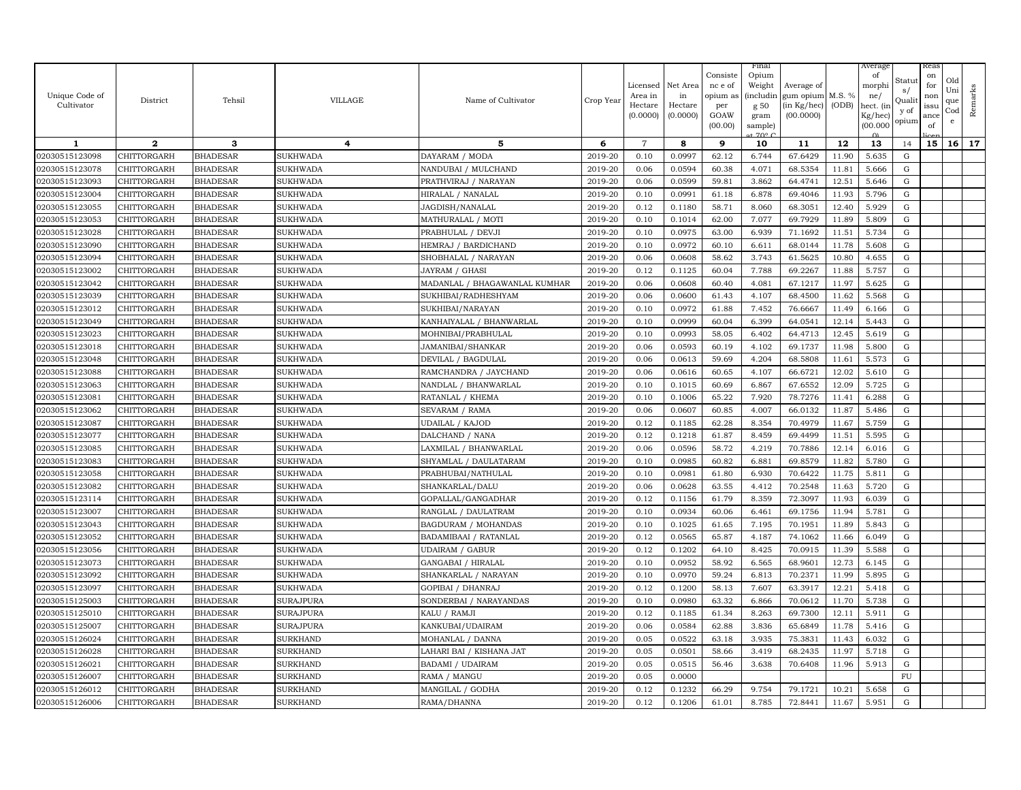| Unique Code of<br>Cultivator | District       | Tehsil          | VILLAGE         | Name of Cultivator            | Crop Year | Licensed<br>Area in<br>Hectare<br>(0.0000) | Net Area<br>in<br>Hectare<br>(0.0000) | Consiste<br>nc e of<br>opium as<br>per<br>GOAW<br>(00.00) | Final<br>Opium<br>Weight<br><i>(includin</i><br>g 50<br>gram<br>sample]<br>70° | Average of<br>gum opium M.S. %<br>(in Kg/hec)<br>(00.0000) | (ODB) | Averag<br>of<br>morphi<br>ne/<br>hect. (in<br>Kg/hec<br>(00.000) | Statut<br>s/<br>Quali<br>y of<br>opium | on<br>for<br>nor<br>isst<br>ance<br>of | Old<br>Uni<br>que<br>Cod | Remarks |
|------------------------------|----------------|-----------------|-----------------|-------------------------------|-----------|--------------------------------------------|---------------------------------------|-----------------------------------------------------------|--------------------------------------------------------------------------------|------------------------------------------------------------|-------|------------------------------------------------------------------|----------------------------------------|----------------------------------------|--------------------------|---------|
| 1                            | $\overline{2}$ | 3               | 4               | 5                             | 6         | $\overline{7}$                             | 8                                     | 9                                                         | 10                                                                             | 11                                                         | 12    | 13                                                               | 14                                     | 15                                     | 16 <sup>1</sup>          | 17      |
| 02030515123098               | CHITTORGARH    | <b>BHADESAR</b> | <b>SUKHWADA</b> | DAYARAM / MODA                | 2019-20   | 0.10                                       | 0.0997                                | 62.12                                                     | 6.744                                                                          | 67.6429                                                    | 11.90 | 5.635                                                            | G                                      |                                        |                          |         |
| 02030515123078               | CHITTORGARH    | <b>BHADESAR</b> | SUKHWADA        | NANDUBAI / MULCHAND           | 2019-20   | 0.06                                       | 0.0594                                | 60.38                                                     | 4.071                                                                          | 68.5354                                                    | 11.81 | 5.666                                                            | G                                      |                                        |                          |         |
| 02030515123093               | CHITTORGARH    | <b>BHADESAR</b> | SUKHWADA        | PRATHVIRAJ / NARAYAN          | 2019-20   | 0.06                                       | 0.0599                                | 59.81                                                     | 3.862                                                                          | 64.4741                                                    | 12.51 | 5.646                                                            | G                                      |                                        |                          |         |
| 02030515123004               | CHITTORGARH    | <b>BHADESAR</b> | SUKHWADA        | HIRALAL / NANALAL             | 2019-20   | 0.10                                       | 0.0991                                | 61.18                                                     | 6.878                                                                          | 69.4046                                                    | 11.93 | 5.796                                                            | G                                      |                                        |                          |         |
| 02030515123055               | CHITTORGARH    | <b>BHADESAR</b> | SUKHWADA        | JAGDISH/NANALAL               | 2019-20   | 0.12                                       | 0.1180                                | 58.71                                                     | 8.060                                                                          | 68.3051                                                    | 12.40 | 5.929                                                            | G                                      |                                        |                          |         |
| 02030515123053               | CHITTORGARH    | <b>BHADESAR</b> | SUKHWADA        | MATHURALAL / MOTI             | 2019-20   | 0.10                                       | 0.1014                                | 62.00                                                     | 7.077                                                                          | 69.7929                                                    | 11.89 | 5.809                                                            | G                                      |                                        |                          |         |
| 02030515123028               | CHITTORGARH    | <b>BHADESAR</b> | SUKHWADA        | PRABHULAL / DEVJI             | 2019-20   | 0.10                                       | 0.0975                                | 63.00                                                     | 6.939                                                                          | 71.1692                                                    | 11.51 | 5.734                                                            | G                                      |                                        |                          |         |
| 02030515123090               | CHITTORGARH    | <b>BHADESAR</b> | SUKHWADA        | HEMRAJ / BARDICHAND           | 2019-20   | 0.10                                       | 0.0972                                | 60.10                                                     | 6.611                                                                          | 68.0144                                                    | 11.78 | 5.608                                                            | G                                      |                                        |                          |         |
| 02030515123094               | CHITTORGARH    | <b>BHADESAR</b> | SUKHWADA        | SHOBHALAL / NARAYAN           | 2019-20   | 0.06                                       | 0.0608                                | 58.62                                                     | 3.743                                                                          | 61.5625                                                    | 10.80 | 4.655                                                            | G                                      |                                        |                          |         |
| 02030515123002               | CHITTORGARH    | <b>BHADESAR</b> | SUKHWADA        | JAYRAM / GHASI                | 2019-20   | 0.12                                       | 0.1125                                | 60.04                                                     | 7.788                                                                          | 69.2267                                                    | 11.88 | 5.757                                                            | ${\rm G}$                              |                                        |                          |         |
| 02030515123042               | CHITTORGARH    | <b>BHADESAR</b> | SUKHWADA        | MADANLAL / BHAGAWANLAL KUMHAR | 2019-20   | 0.06                                       | 0.0608                                | 60.40                                                     | 4.081                                                                          | 67.1217                                                    | 11.97 | 5.625                                                            | G                                      |                                        |                          |         |
| 02030515123039               | CHITTORGARH    | <b>BHADESAR</b> | SUKHWADA        | SUKHIBAI/RADHESHYAM           | 2019-20   | 0.06                                       | 0.0600                                | 61.43                                                     | 4.107                                                                          | 68.4500                                                    | 11.62 | 5.568                                                            | G                                      |                                        |                          |         |
| 02030515123012               | CHITTORGARH    | <b>BHADESAR</b> | SUKHWADA        | SUKHIBAI/NARAYAN              | 2019-20   | 0.10                                       | 0.0972                                | 61.88                                                     | 7.452                                                                          | 76.6667                                                    | 11.49 | 6.166                                                            | ${\rm G}$                              |                                        |                          |         |
| 02030515123049               | CHITTORGARH    | <b>BHADESAR</b> | SUKHWADA        | KANHAIYALAL / BHANWARLAL      | 2019-20   | 0.10                                       | 0.0999                                | 60.04                                                     | 6.399                                                                          | 64.0541                                                    | 12.14 | 5.443                                                            | ${\rm G}$                              |                                        |                          |         |
| 02030515123023               | CHITTORGARH    | <b>BHADESAR</b> | SUKHWADA        | MOHNIBAI/PRABHULAL            | 2019-20   | 0.10                                       | 0.0993                                | 58.05                                                     | 6.402                                                                          | 64.4713                                                    | 12.45 | 5.619                                                            | ${\rm G}$                              |                                        |                          |         |
| 02030515123018               | CHITTORGARH    | <b>BHADESAR</b> | SUKHWADA        | JAMANIBAI/SHANKAR             | 2019-20   | 0.06                                       | 0.0593                                | 60.19                                                     | 4.102                                                                          | 69.1737                                                    | 11.98 | 5.800                                                            | ${\rm G}$                              |                                        |                          |         |
| 02030515123048               | CHITTORGARH    | <b>BHADESAR</b> | <b>SUKHWADA</b> | DEVILAL / BAGDULAL            | 2019-20   | 0.06                                       | 0.0613                                | 59.69                                                     | 4.204                                                                          | 68.5808                                                    | 11.61 | 5.573                                                            | ${\rm G}$                              |                                        |                          |         |
| 02030515123088               | CHITTORGARH    | <b>BHADESAR</b> | <b>SUKHWADA</b> | RAMCHANDRA / JAYCHAND         | 2019-20   | 0.06                                       | 0.0616                                | 60.65                                                     | 4.107                                                                          | 66.6721                                                    | 12.02 | 5.610                                                            | ${\rm G}$                              |                                        |                          |         |
| 02030515123063               | CHITTORGARH    | <b>BHADESAR</b> | SUKHWADA        | NANDLAL / BHANWARLAL          | 2019-20   | 0.10                                       | 0.1015                                | 60.69                                                     | 6.867                                                                          | 67.6552                                                    | 12.09 | 5.725                                                            | G                                      |                                        |                          |         |
| 02030515123081               | CHITTORGARH    | <b>BHADESAR</b> | SUKHWADA        | RATANLAL / KHEMA              | 2019-20   | 0.10                                       | 0.1006                                | 65.22                                                     | 7.920                                                                          | 78.7276                                                    | 11.41 | 6.288                                                            | G                                      |                                        |                          |         |
| 02030515123062               | CHITTORGARH    | <b>BHADESAR</b> | <b>SUKHWADA</b> | SEVARAM / RAMA                | 2019-20   | 0.06                                       | 0.0607                                | 60.85                                                     | 4.007                                                                          | 66.0132                                                    | 11.87 | 5.486                                                            | G                                      |                                        |                          |         |
| 02030515123087               | CHITTORGARH    | <b>BHADESAR</b> | SUKHWADA        | UDAILAL / KAJOD               | 2019-20   | 0.12                                       | 0.1185                                | 62.28                                                     | 8.354                                                                          | 70.4979                                                    | 11.67 | 5.759                                                            | G                                      |                                        |                          |         |
| 02030515123077               | CHITTORGARH    | <b>BHADESAR</b> | SUKHWADA        | DALCHAND / NANA               | 2019-20   | 0.12                                       | 0.1218                                | 61.87                                                     | 8.459                                                                          | 69.4499                                                    | 11.51 | 5.595                                                            | G                                      |                                        |                          |         |
| 02030515123085               | CHITTORGARH    | <b>BHADESAR</b> | SUKHWADA        | LAXMILAL / BHANWARLAL         | 2019-20   | 0.06                                       | 0.0596                                | 58.72                                                     | 4.219                                                                          | 70.7886                                                    | 12.14 | 6.016                                                            | G                                      |                                        |                          |         |
| 02030515123083               | CHITTORGARH    | <b>BHADESAR</b> | SUKHWADA        | SHYAMLAL / DAULATARAM         | 2019-20   | 0.10                                       | 0.0985                                | 60.82                                                     | 6.881                                                                          | 69.8579                                                    | 11.82 | 5.780                                                            | G                                      |                                        |                          |         |
| 02030515123058               | CHITTORGARH    | <b>BHADESAR</b> | <b>SUKHWADA</b> | PRABHUBAI/NATHULAL            | 2019-20   | 0.10                                       | 0.0981                                | 61.80                                                     | 6.930                                                                          | 70.6422                                                    | 11.75 | 5.811                                                            | ${\rm G}$                              |                                        |                          |         |
| 02030515123082               | CHITTORGARH    | <b>BHADESAR</b> | SUKHWADA        | SHANKARLAL/DALU               | 2019-20   | 0.06                                       | 0.0628                                | 63.55                                                     | 4.412                                                                          | 70.2548                                                    | 11.63 | 5.720                                                            | G                                      |                                        |                          |         |
| 02030515123114               | CHITTORGARH    | <b>BHADESAR</b> | SUKHWADA        | GOPALLAL/GANGADHAR            | 2019-20   | 0.12                                       | 0.1156                                | 61.79                                                     | 8.359                                                                          | 72.3097                                                    | 11.93 | 6.039                                                            | ${\rm G}$                              |                                        |                          |         |
| 02030515123007               | CHITTORGARH    | <b>BHADESAR</b> | SUKHWADA        | RANGLAL / DAULATRAM           | 2019-20   | 0.10                                       | 0.0934                                | 60.06                                                     | 6.461                                                                          | 69.1756                                                    | 11.94 | 5.781                                                            | G                                      |                                        |                          |         |
| 02030515123043               | CHITTORGARH    | <b>BHADESAR</b> | SUKHWADA        | <b>BAGDURAM / MOHANDAS</b>    | 2019-20   | 0.10                                       | 0.1025                                | 61.65                                                     | 7.195                                                                          | 70.1951                                                    | 11.89 | 5.843                                                            | ${\rm G}$                              |                                        |                          |         |
| 02030515123052               | CHITTORGARH    | <b>BHADESAR</b> | SUKHWADA        | BADAMIBAAI / RATANLAL         | 2019-20   | 0.12                                       | 0.0565                                | 65.87                                                     | 4.187                                                                          | 74.1062                                                    | 11.66 | 6.049                                                            | G                                      |                                        |                          |         |
| 02030515123056               | CHITTORGARH    | <b>BHADESAR</b> | SUKHWADA        | UDAIRAM / GABUR               | 2019-20   | 0.12                                       | 0.1202                                | 64.10                                                     | 8.425                                                                          | 70.0915                                                    | 11.39 | 5.588                                                            | ${\rm G}$                              |                                        |                          |         |
| 02030515123073               | CHITTORGARH    | <b>BHADESAR</b> | SUKHWADA        | GANGABAI / HIRALAL            | 2019-20   | 0.10                                       | 0.0952                                | 58.92                                                     | 6.565                                                                          | 68.9601                                                    | 12.73 | 6.145                                                            | ${\rm G}$                              |                                        |                          |         |
| 02030515123092               | CHITTORGARH    | <b>BHADESAR</b> | SUKHWADA        | SHANKARLAL / NARAYAN          | 2019-20   | 0.10                                       | 0.0970                                | 59.24                                                     | 6.813                                                                          | 70.2371                                                    | 11.99 | 5.895                                                            | ${\rm G}$                              |                                        |                          |         |
| 02030515123097               | CHITTORGARH    | <b>BHADESAR</b> | SUKHWADA        | GOPIBAI / DHANRAJ             | 2019-20   | 0.12                                       | 0.1200                                | 58.13                                                     | 7.607                                                                          | 63.3917                                                    | 12.21 | 5.418                                                            | ${\rm G}$                              |                                        |                          |         |
| 02030515125003               | CHITTORGARH    | <b>BHADESAR</b> | SURAJPURA       | SONDERBAI / NARAYANDAS        | 2019-20   | 0.10                                       | 0.0980                                | 63.32                                                     | 6.866                                                                          | 70.0612                                                    | 11.70 | 5.738                                                            | G                                      |                                        |                          |         |
| 02030515125010               | CHITTORGARH    | <b>BHADESAR</b> | SURAJPURA       | KALU / RAMJI                  | 2019-20   | 0.12                                       | 0.1185                                | 61.34                                                     | 8.263                                                                          | 69.7300                                                    | 12.11 | 5.911                                                            | G                                      |                                        |                          |         |
| 02030515125007               | CHITTORGARH    | <b>BHADESAR</b> | SURAJPURA       | KANKUBAI/UDAIRAM              | 2019-20   | 0.06                                       | 0.0584                                | 62.88                                                     | 3.836                                                                          | 65.6849                                                    | 11.78 | 5.416                                                            | G                                      |                                        |                          |         |
| 02030515126024               | CHITTORGARH    | <b>BHADESAR</b> | SURKHAND        | MOHANLAL / DANNA              | 2019-20   | 0.05                                       | 0.0522                                | 63.18                                                     | 3.935                                                                          | 75.3831                                                    | 11.43 | 6.032                                                            | G                                      |                                        |                          |         |
| 02030515126028               | CHITTORGARH    | <b>BHADESAR</b> | SURKHAND        | LAHARI BAI / KISHANA JAT      | 2019-20   | 0.05                                       | 0.0501                                | 58.66                                                     | 3.419                                                                          | 68.2435                                                    | 11.97 | 5.718                                                            | G                                      |                                        |                          |         |
| 02030515126021               | CHITTORGARH    | <b>BHADESAR</b> | <b>SURKHAND</b> | <b>BADAMI / UDAIRAM</b>       | 2019-20   | 0.05                                       | 0.0515                                | 56.46                                                     | 3.638                                                                          | 70.6408                                                    | 11.96 | 5.913                                                            | G                                      |                                        |                          |         |
| 02030515126007               | CHITTORGARH    | <b>BHADESAR</b> | <b>SURKHAND</b> | RAMA / MANGU                  | 2019-20   | 0.05                                       | 0.0000                                |                                                           |                                                                                |                                                            |       |                                                                  | ${\rm FU}$                             |                                        |                          |         |
| 02030515126012               | CHITTORGARH    | <b>BHADESAR</b> | SURKHAND        | MANGILAL / GODHA              | 2019-20   | 0.12                                       | 0.1232                                | 66.29                                                     | 9.754                                                                          | 79.1721                                                    | 10.21 | 5.658                                                            | ${\rm G}$                              |                                        |                          |         |
| 02030515126006               | CHITTORGARH    | <b>BHADESAR</b> | SURKHAND        | RAMA/DHANNA                   | 2019-20   | 0.12                                       | 0.1206                                | 61.01                                                     | 8.785                                                                          | 72.8441                                                    | 11.67 | 5.951                                                            | ${\rm G}$                              |                                        |                          |         |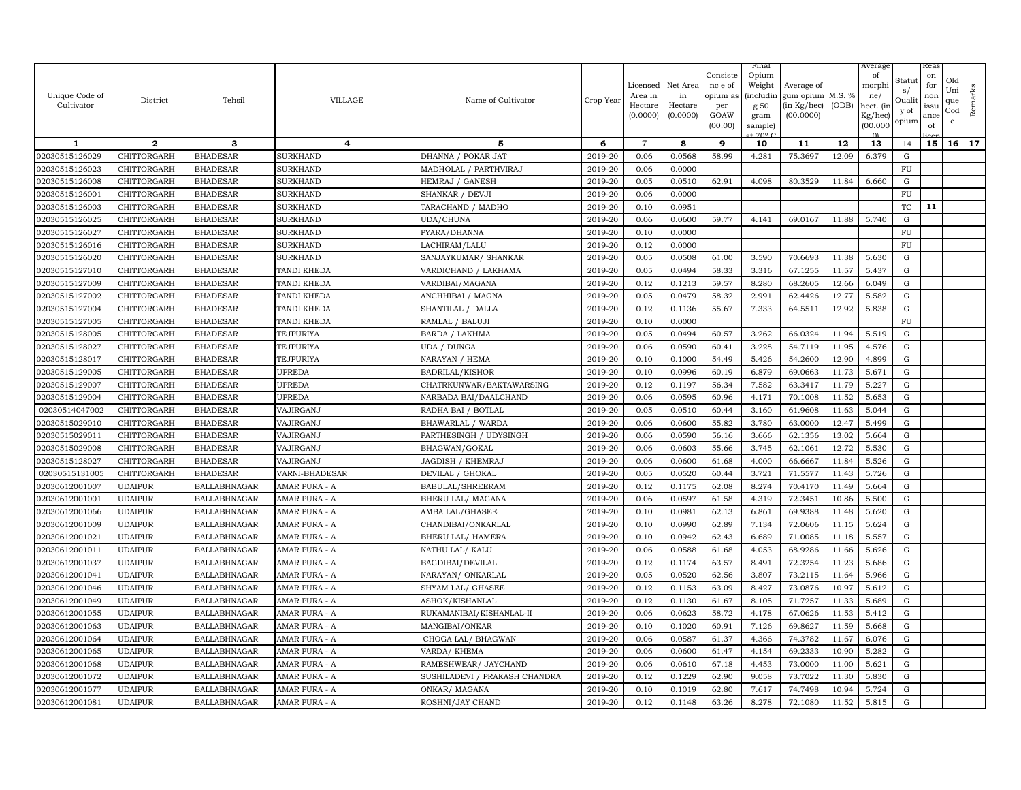| Unique Code of<br>Cultivator | District       | Tehsil              | VILLAGE            | Name of Cultivator            | Crop Year | Licensed<br>Area in<br>Hectare<br>(0.0000) | Net Area<br>in<br>Hectare<br>(0.0000) | Consiste<br>nc e of<br>opium as<br>per<br>GOAW<br>(00.00) | Final<br>Opium<br>Weight<br><i>(includin</i><br>g 50<br>gram<br>sample]<br>70° | Average of<br>gum opium M.S. %<br>(in Kg/hec)<br>(00.0000) | (ODB) | Averag<br>of<br>morphi<br>ne/<br>hect. (in<br>Kg/hec]<br>(00.000) | Statut<br>s/<br>Quali<br>y of<br>opium | on<br>for<br>noi<br>isst<br>ance<br>of | Old<br>Uni<br>que<br>Cod | Remarks |
|------------------------------|----------------|---------------------|--------------------|-------------------------------|-----------|--------------------------------------------|---------------------------------------|-----------------------------------------------------------|--------------------------------------------------------------------------------|------------------------------------------------------------|-------|-------------------------------------------------------------------|----------------------------------------|----------------------------------------|--------------------------|---------|
| 1                            | $\overline{2}$ | 3                   | 4                  | 5                             | 6         | $\overline{7}$                             | 8                                     | 9                                                         | 10                                                                             | 11                                                         | 12    | 13                                                                | 14                                     | 15                                     | 16 <sup>1</sup>          | 17      |
| 02030515126029               | CHITTORGARH    | <b>BHADESAR</b>     | <b>SURKHAND</b>    | DHANNA / POKAR JAT            | 2019-20   | 0.06                                       | 0.0568                                | 58.99                                                     | 4.281                                                                          | 75.3697                                                    | 12.09 | 6.379                                                             | ${\rm G}$                              |                                        |                          |         |
| 02030515126023               | CHITTORGARH    | <b>BHADESAR</b>     | SURKHAND           | MADHOLAL / PARTHVIRAJ         | 2019-20   | 0.06                                       | 0.0000                                |                                                           |                                                                                |                                                            |       |                                                                   | ${\rm FU}$                             |                                        |                          |         |
| 02030515126008               | CHITTORGARH    | <b>BHADESAR</b>     | SURKHAND           | HEMRAJ / GANESH               | 2019-20   | 0.05                                       | 0.0510                                | 62.91                                                     | 4.098                                                                          | 80.3529                                                    | 11.84 | 6.660                                                             | G                                      |                                        |                          |         |
| 02030515126001               | CHITTORGARH    | <b>BHADESAR</b>     | SURKHAND           | SHANKAR / DEVJI               | 2019-20   | 0.06                                       | 0.0000                                |                                                           |                                                                                |                                                            |       |                                                                   | ${\rm FU}$                             |                                        |                          |         |
| 02030515126003               | CHITTORGARH    | <b>BHADESAR</b>     | SURKHAND           | TARACHAND / MADHO             | 2019-20   | 0.10                                       | 0.0951                                |                                                           |                                                                                |                                                            |       |                                                                   | TC                                     | 11                                     |                          |         |
| 02030515126025               | CHITTORGARH    | <b>BHADESAR</b>     | SURKHAND           | UDA/CHUNA                     | 2019-20   | 0.06                                       | 0.0600                                | 59.77                                                     | 4.141                                                                          | 69.0167                                                    | 11.88 | 5.740                                                             | G                                      |                                        |                          |         |
| 02030515126027               | CHITTORGARH    | <b>BHADESAR</b>     | SURKHAND           | PYARA/DHANNA                  | 2019-20   | 0.10                                       | 0.0000                                |                                                           |                                                                                |                                                            |       |                                                                   | ${\rm FU}$                             |                                        |                          |         |
| 02030515126016               | CHITTORGARH    | <b>BHADESAR</b>     | SURKHAND           | LACHIRAM/LALU                 | 2019-20   | 0.12                                       | 0.0000                                |                                                           |                                                                                |                                                            |       |                                                                   | FU                                     |                                        |                          |         |
| 02030515126020               | CHITTORGARH    | <b>BHADESAR</b>     | <b>SURKHAND</b>    | SANJAYKUMAR/ SHANKAR          | 2019-20   | 0.05                                       | 0.0508                                | 61.00                                                     | 3.590                                                                          | 70.6693                                                    | 11.38 | 5.630                                                             | G                                      |                                        |                          |         |
| 02030515127010               | CHITTORGARH    | <b>BHADESAR</b>     | TANDI KHEDA        | VARDICHAND / LAKHAMA          | 2019-20   | 0.05                                       | 0.0494                                | 58.33                                                     | 3.316                                                                          | 67.1255                                                    | 11.57 | 5.437                                                             | ${\rm G}$                              |                                        |                          |         |
| 02030515127009               | CHITTORGARH    | <b>BHADESAR</b>     | <b>TANDI KHEDA</b> | VARDIBAI/MAGANA               | 2019-20   | 0.12                                       | 0.1213                                | 59.57                                                     | 8.280                                                                          | 68.2605                                                    | 12.66 | 6.049                                                             | ${\rm G}$                              |                                        |                          |         |
| 02030515127002               | CHITTORGARH    | <b>BHADESAR</b>     | TANDI KHEDA        | ANCHHIBAI / MAGNA             | 2019-20   | 0.05                                       | 0.0479                                | 58.32                                                     | 2.991                                                                          | 62.4426                                                    | 12.77 | 5.582                                                             | G                                      |                                        |                          |         |
| 02030515127004               | CHITTORGARH    | <b>BHADESAR</b>     | TANDI KHEDA        | SHANTILAL / DALLA             | 2019-20   | 0.12                                       | 0.1136                                | 55.67                                                     | 7.333                                                                          | 64.5511                                                    | 12.92 | 5.838                                                             | ${\rm G}$                              |                                        |                          |         |
| 02030515127005               | CHITTORGARH    | <b>BHADESAR</b>     | TANDI KHEDA        | RAMLAL / BALUJI               | 2019-20   | 0.10                                       | 0.0000                                |                                                           |                                                                                |                                                            |       |                                                                   | FU                                     |                                        |                          |         |
| 02030515128005               | CHITTORGARH    | <b>BHADESAR</b>     | TEJPURIYA          | BARDA / LAKHMA                | 2019-20   | 0.05                                       | 0.0494                                | 60.57                                                     | 3.262                                                                          | 66.0324                                                    | 11.94 | 5.519                                                             | G                                      |                                        |                          |         |
| 02030515128027               | CHITTORGARH    | <b>BHADESAR</b>     | TEJPURIYA          | UDA / DUNGA                   | 2019-20   | 0.06                                       | 0.0590                                | 60.41                                                     | 3.228                                                                          | 54.7119                                                    | 11.95 | 4.576                                                             | ${\rm G}$                              |                                        |                          |         |
| 02030515128017               | CHITTORGARH    | <b>BHADESAR</b>     | <b>TEJPURIYA</b>   | NARAYAN / HEMA                | 2019-20   | 0.10                                       | 0.1000                                | 54.49                                                     | 5.426                                                                          | 54.2600                                                    | 12.90 | 4.899                                                             | G                                      |                                        |                          |         |
| 02030515129005               | CHITTORGARH    | <b>BHADESAR</b>     | UPREDA             | <b>BADRILAL/KISHOR</b>        | 2019-20   | 0.10                                       | 0.0996                                | 60.19                                                     | 6.879                                                                          | 69.0663                                                    | 11.73 | 5.671                                                             | ${\rm G}$                              |                                        |                          |         |
| 02030515129007               | CHITTORGARH    | <b>BHADESAR</b>     | UPREDA             | CHATRKUNWAR/BAKTAWARSING      | 2019-20   | 0.12                                       | 0.1197                                | 56.34                                                     | 7.582                                                                          | 63.3417                                                    | 11.79 | 5.227                                                             | G                                      |                                        |                          |         |
| 02030515129004               | CHITTORGARH    | <b>BHADESAR</b>     | UPREDA             | NARBADA BAI/DAALCHAND         | 2019-20   | 0.06                                       | 0.0595                                | 60.96                                                     | 4.171                                                                          | 70.1008                                                    | 11.52 | 5.653                                                             | G                                      |                                        |                          |         |
| 02030514047002               | CHITTORGARH    | <b>BHADESAR</b>     | VAJIRGANJ          | RADHA BAI / BOTLAL            | 2019-20   | 0.05                                       | 0.0510                                | 60.44                                                     | 3.160                                                                          | 61.9608                                                    | 11.63 | 5.044                                                             | G                                      |                                        |                          |         |
| 02030515029010               | CHITTORGARH    | <b>BHADESAR</b>     | VAJIRGANJ          | BHAWARLAL / WARDA             | 2019-20   | 0.06                                       | 0.0600                                | 55.82                                                     | 3.780                                                                          | 63.0000                                                    | 12.47 | 5.499                                                             | ${\rm G}$                              |                                        |                          |         |
| 02030515029011               | CHITTORGARH    | <b>BHADESAR</b>     | VAJIRGANJ          | PARTHESINGH / UDYSINGH        | 2019-20   | 0.06                                       | 0.0590                                | 56.16                                                     | 3.666                                                                          | 62.1356                                                    | 13.02 | 5.664                                                             | G                                      |                                        |                          |         |
| 02030515029008               | CHITTORGARH    | <b>BHADESAR</b>     | VAJIRGANJ          | BHAGWAN/GOKAL                 | 2019-20   | 0.06                                       | 0.0603                                | 55.66                                                     | 3.745                                                                          | 62.1061                                                    | 12.72 | 5.530                                                             | G                                      |                                        |                          |         |
| 02030515128027               | CHITTORGARH    | <b>BHADESAR</b>     | VAJIRGANJ          | JAGDISH / KHEMRAJ             | 2019-20   | 0.06                                       | 0.0600                                | 61.68                                                     | 4.000                                                                          | 66.6667                                                    | 11.84 | 5.526                                                             | G                                      |                                        |                          |         |
| 02030515131005               | CHITTORGARH    | <b>BHADESAR</b>     | VARNI-BHADESAR     | DEVILAL / GHOKAL              | 2019-20   | 0.05                                       | 0.0520                                | 60.44                                                     | 3.721                                                                          | 71.5577                                                    | 11.43 | 5.726                                                             | ${\rm G}$                              |                                        |                          |         |
| 02030612001007               | UDAIPUR        | <b>BALLABHNAGAR</b> | AMAR PURA - A      | BABULAL/SHREERAM              | 2019-20   | 0.12                                       | 0.1175                                | 62.08                                                     | 8.274                                                                          | 70.4170                                                    | 11.49 | 5.664                                                             | G                                      |                                        |                          |         |
| 02030612001001               | UDAIPUR        | <b>BALLABHNAGAR</b> | AMAR PURA - A      | <b>BHERU LAL/ MAGANA</b>      | 2019-20   | 0.06                                       | 0.0597                                | 61.58                                                     | 4.319                                                                          | 72.3451                                                    | 10.86 | 5.500                                                             | G                                      |                                        |                          |         |
| 02030612001066               | UDAIPUR        | <b>BALLABHNAGAR</b> | AMAR PURA - A      | AMBA LAL/GHASEE               | 2019-20   | 0.10                                       | 0.0981                                | 62.13                                                     | 6.861                                                                          | 69.9388                                                    | 11.48 | 5.620                                                             | G                                      |                                        |                          |         |
| 02030612001009               | <b>UDAIPUR</b> | <b>BALLABHNAGAR</b> | AMAR PURA - A      | CHANDIBAI/ONKARLAL            | 2019-20   | 0.10                                       | 0.0990                                | 62.89                                                     | 7.134                                                                          | 72.0606                                                    | 11.15 | 5.624                                                             | ${\rm G}$                              |                                        |                          |         |
| 02030612001021               | <b>UDAIPUR</b> | <b>BALLABHNAGAR</b> | AMAR PURA - A      | <b>BHERU LAL/ HAMERA</b>      | 2019-20   | 0.10                                       | 0.0942                                | 62.43                                                     | 6.689                                                                          | 71.0085                                                    | 11.18 | 5.557                                                             | G                                      |                                        |                          |         |
| 02030612001011               | <b>UDAIPUR</b> | <b>BALLABHNAGAR</b> | AMAR PURA - A      | NATHU LAL/KALU                | 2019-20   | 0.06                                       | 0.0588                                | 61.68                                                     | 4.053                                                                          | 68.9286                                                    | 11.66 | 5.626                                                             | ${\rm G}$                              |                                        |                          |         |
| 02030612001037               | <b>UDAIPUR</b> | <b>BALLABHNAGAR</b> | AMAR PURA - A      | BAGDIBAI/DEVILAL              | 2019-20   | 0.12                                       | 0.1174                                | 63.57                                                     | 8.491                                                                          | 72.3254                                                    | 11.23 | 5.686                                                             | ${\rm G}$                              |                                        |                          |         |
| 02030612001041               | <b>UDAIPUR</b> | <b>BALLABHNAGAR</b> | AMAR PURA - A      | NARAYAN/ ONKARLAL             | 2019-20   | 0.05                                       | 0.0520                                | 62.56                                                     | 3.807                                                                          | 73.2115                                                    | 11.64 | 5.966                                                             | ${\rm G}$                              |                                        |                          |         |
| 02030612001046               | UDAIPUR        | BALLABHNAGAR        | AMAR PURA - A      | SHYAM LAL/ GHASEE             | 2019-20   | 0.12                                       | 0.1153                                | 63.09                                                     | 8.427                                                                          | 73.0876                                                    | 10.97 | 5.612                                                             | ${\rm G}$                              |                                        |                          |         |
| 02030612001049               | UDAIPUR        | <b>BALLABHNAGAR</b> | AMAR PURA - A      | ASHOK/KISHANLAL               | 2019-20   | 0.12                                       | 0.1130                                | 61.67                                                     | 8.105                                                                          | 71.7257                                                    | 11.33 | 5.689                                                             | G                                      |                                        |                          |         |
| 02030612001055               | <b>UDAIPUR</b> | <b>BALLABHNAGAR</b> | AMAR PURA - A      | RUKAMANIBAI/KISHANLAL-II      | 2019-20   | 0.06                                       | 0.0623                                | 58.72                                                     | 4.178                                                                          | 67.0626                                                    | 11.53 | 5.412                                                             | G                                      |                                        |                          |         |
| 02030612001063               | <b>UDAIPUR</b> | <b>BALLABHNAGAR</b> | AMAR PURA - A      | MANGIBAI/ONKAR                | 2019-20   | 0.10                                       | 0.1020                                | 60.91                                                     | 7.126                                                                          | 69.8627                                                    | 11.59 | 5.668                                                             | G                                      |                                        |                          |         |
| 02030612001064               | <b>UDAIPUR</b> | <b>BALLABHNAGAR</b> | AMAR PURA - A      | CHOGA LAL/ BHAGWAN            | 2019-20   | 0.06                                       | 0.0587                                | 61.37                                                     | 4.366                                                                          | 74.3782                                                    | 11.67 | 6.076                                                             | ${\rm G}$                              |                                        |                          |         |
| 02030612001065               | <b>UDAIPUR</b> | <b>BALLABHNAGAR</b> | AMAR PURA - A      | VARDA/KHEMA                   | 2019-20   | 0.06                                       | 0.0600                                | 61.47                                                     | 4.154                                                                          | 69.2333                                                    | 10.90 | 5.282                                                             | G                                      |                                        |                          |         |
| 02030612001068               | <b>UDAIPUR</b> | <b>BALLABHNAGAR</b> | AMAR PURA - A      | RAMESHWEAR/ JAYCHAND          | 2019-20   | 0.06                                       | 0.0610                                | 67.18                                                     | 4.453                                                                          | 73.0000                                                    | 11.00 | 5.621                                                             | G                                      |                                        |                          |         |
| 02030612001072               | <b>UDAIPUR</b> | <b>BALLABHNAGAR</b> | AMAR PURA - A      | SUSHILADEVI / PRAKASH CHANDRA | 2019-20   | 0.12                                       | 0.1229                                | 62.90                                                     | 9.058                                                                          | 73.7022                                                    | 11.30 | 5.830                                                             | ${\rm G}$                              |                                        |                          |         |
| 02030612001077               | UDAIPUR        | <b>BALLABHNAGAR</b> | AMAR PURA - A      | ONKAR/MAGANA                  | 2019-20   | 0.10                                       | 0.1019                                | 62.80                                                     | 7.617                                                                          | 74.7498                                                    | 10.94 | 5.724                                                             | ${\rm G}$                              |                                        |                          |         |
| 02030612001081               | <b>UDAIPUR</b> | <b>BALLABHNAGAR</b> | AMAR PURA - A      | ROSHNI/JAY CHAND              | 2019-20   | 0.12                                       | 0.1148                                | 63.26                                                     | 8.278                                                                          | 72.1080                                                    | 11.52 | 5.815                                                             | ${\rm G}$                              |                                        |                          |         |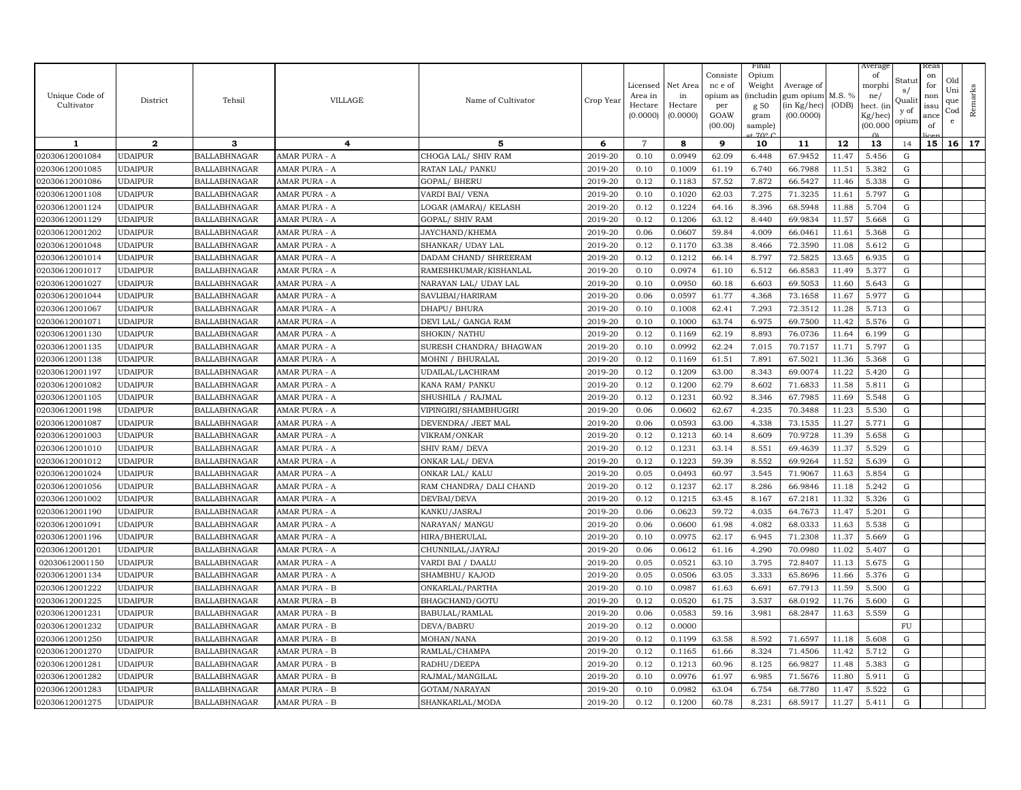| Unique Code of<br>Cultivator | District       | Tehsil              | VILLAGE       | Name of Cultivator      | Crop Year | Licensed<br>Area in<br>Hectare<br>(0.0000) | Net Area<br>in<br>Hectare<br>(0.0000) | Consiste<br>nc e of<br>opium as<br>per<br>GOAW<br>(00.00) | Final<br>Opium<br>Weight<br><i>(includir)</i><br>g 50<br>gram<br>sample)<br>$70^\circ$ | Average of<br>gum opium<br>(in Kg/hec)<br>(00.0000) | M.S. %<br>(ODB) | Averag<br>of<br>morphi<br>ne/<br>hect. (in<br>$Kg/$ hec<br>(00.000) | Statut<br>s/<br>Quali<br>y of<br>opium | on<br>for<br>noi<br>isst<br>ance<br>of | Old<br>Uni<br>que<br>Cod | Remarks |
|------------------------------|----------------|---------------------|---------------|-------------------------|-----------|--------------------------------------------|---------------------------------------|-----------------------------------------------------------|----------------------------------------------------------------------------------------|-----------------------------------------------------|-----------------|---------------------------------------------------------------------|----------------------------------------|----------------------------------------|--------------------------|---------|
| 1                            | $\overline{2}$ | з                   | 4             | 5                       | 6         | $\overline{7}$                             | 8                                     | 9                                                         | 10                                                                                     | 11                                                  | 12              | 13                                                                  | 14                                     | 15                                     | 16 <sup>1</sup>          | 17      |
| 02030612001084               | <b>UDAIPUR</b> | <b>BALLABHNAGAR</b> | AMAR PURA - A | CHOGA LAL/ SHIV RAM     | 2019-20   | 0.10                                       | 0.0949                                | 62.09                                                     | 6.448                                                                                  | 67.9452                                             | 11.47           | 5.456                                                               | $\mathbf G$                            |                                        |                          |         |
| 02030612001085               | <b>UDAIPUR</b> | BALLABHNAGAR        | AMAR PURA - A | RATAN LAL/ PANKU        | 2019-20   | 0.10                                       | 0.1009                                | 61.19                                                     | 6.740                                                                                  | 66.7988                                             | 11.51           | 5.382                                                               | G                                      |                                        |                          |         |
| 02030612001086               | <b>UDAIPUR</b> | BALLABHNAGAR        | AMAR PURA - A | <b>GOPAL/ BHERU</b>     | 2019-20   | 0.12                                       | 0.1183                                | 57.52                                                     | 7.872                                                                                  | 66.5427                                             | 11.46           | 5.338                                                               | G                                      |                                        |                          |         |
| 02030612001108               | <b>UDAIPUR</b> | BALLABHNAGAR        | AMAR PURA - A | VARDI BAI/ VENA         | 2019-20   | 0.10                                       | 0.1020                                | 62.03                                                     | 7.275                                                                                  | 71.3235                                             | 11.61           | 5.797                                                               | G                                      |                                        |                          |         |
| 02030612001124               | <b>UDAIPUR</b> | BALLABHNAGAR        | AMAR PURA - A | LOGAR (AMARA) / KELASH  | 2019-20   | 0.12                                       | 0.1224                                | 64.16                                                     | 8.396                                                                                  | 68.5948                                             | 11.88           | 5.704                                                               | ${\rm G}$                              |                                        |                          |         |
| 02030612001129               | <b>UDAIPUR</b> | BALLABHNAGAR        | AMAR PURA - A | GOPAL/ SHIV RAM         | 2019-20   | 0.12                                       | 0.1206                                | 63.12                                                     | 8.440                                                                                  | 69.9834                                             | 11.57           | 5.668                                                               | G                                      |                                        |                          |         |
| 02030612001202               | <b>UDAIPUR</b> | <b>BALLABHNAGAR</b> | AMAR PURA - A | JAYCHAND/KHEMA          | 2019-20   | 0.06                                       | 0.0607                                | 59.84                                                     | 4.009                                                                                  | 66.0461                                             | 11.61           | 5.368                                                               | ${\rm G}$                              |                                        |                          |         |
| 02030612001048               | UDAIPUR        | BALLABHNAGAR        | AMAR PURA - A | SHANKAR/ UDAY LAL       | 2019-20   | 0.12                                       | 0.1170                                | 63.38                                                     | 8.466                                                                                  | 72.3590                                             | 11.08           | 5.612                                                               | G                                      |                                        |                          |         |
| 02030612001014               | <b>UDAIPUR</b> | BALLABHNAGAR        | AMAR PURA - A | DADAM CHAND/ SHREERAM   | 2019-20   | 0.12                                       | 0.1212                                | 66.14                                                     | 8.797                                                                                  | 72.5825                                             | 13.65           | 6.935                                                               | ${\rm G}$                              |                                        |                          |         |
| 02030612001017               | <b>UDAIPUR</b> | BALLABHNAGAR        | AMAR PURA - A | RAMESHKUMAR/KISHANLAL   | 2019-20   | 0.10                                       | 0.0974                                | 61.10                                                     | 6.512                                                                                  | 66.8583                                             | 11.49           | 5.377                                                               | ${\rm G}$                              |                                        |                          |         |
| 02030612001027               | <b>UDAIPUR</b> | BALLABHNAGAR        | AMAR PURA - A | NARAYAN LAL/ UDAY LAL   | 2019-20   | 0.10                                       | 0.0950                                | 60.18                                                     | 6.603                                                                                  | 69.5053                                             | 11.60           | 5.643                                                               | ${\rm G}$                              |                                        |                          |         |
| 02030612001044               | <b>UDAIPUR</b> | BALLABHNAGAR        | AMAR PURA - A | SAVLIBAI/HARIRAM        | 2019-20   | 0.06                                       | 0.0597                                | 61.77                                                     | 4.368                                                                                  | 73.1658                                             | 11.67           | 5.977                                                               | G                                      |                                        |                          |         |
| 02030612001067               | <b>UDAIPUR</b> | BALLABHNAGAR        | AMAR PURA - A | DHAPU/ BHURA            | 2019-20   | 0.10                                       | 0.1008                                | 62.41                                                     | 7.293                                                                                  | 72.3512                                             | 11.28           | 5.713                                                               | ${\rm G}$                              |                                        |                          |         |
| 02030612001071               | <b>UDAIPUR</b> | BALLABHNAGAR        | AMAR PURA - A | DEVI LAL/ GANGA RAM     | 2019-20   | 0.10                                       | 0.1000                                | 63.74                                                     | 6.975                                                                                  | 69.7500                                             | 11.42           | 5.576                                                               | ${\rm G}$                              |                                        |                          |         |
| 02030612001130               | <b>UDAIPUR</b> | BALLABHNAGAR        | AMAR PURA - A | SHOKIN/ NATHU           | 2019-20   | 0.12                                       | 0.1169                                | 62.19                                                     | 8.893                                                                                  | 76.0736                                             | 11.64           | 6.199                                                               | ${\rm G}$                              |                                        |                          |         |
| 02030612001135               | <b>UDAIPUR</b> | BALLABHNAGAR        | AMAR PURA - A | SURESH CHANDRA/ BHAGWAN | 2019-20   | 0.10                                       | 0.0992                                | 62.24                                                     | 7.015                                                                                  | 70.7157                                             | 11.71           | 5.797                                                               | ${\rm G}$                              |                                        |                          |         |
| 02030612001138               | <b>UDAIPUR</b> | <b>BALLABHNAGAR</b> | AMAR PURA - A | MOHNI / BHURALAL        | 2019-20   | 0.12                                       | 0.1169                                | 61.51                                                     | 7.891                                                                                  | 67.5021                                             | 11.36           | 5.368                                                               | ${\rm G}$                              |                                        |                          |         |
| 02030612001197               | <b>UDAIPUR</b> | <b>BALLABHNAGAR</b> | AMAR PURA - A | UDAILAL/LACHIRAM        | 2019-20   | 0.12                                       | 0.1209                                | 63.00                                                     | 8.343                                                                                  | 69.0074                                             | 11.22           | 5.420                                                               | ${\rm G}$                              |                                        |                          |         |
| 02030612001082               | <b>UDAIPUR</b> | BALLABHNAGAR        | AMAR PURA - A | KANA RAM/ PANKU         | 2019-20   | 0.12                                       | 0.1200                                | 62.79                                                     | 8.602                                                                                  | 71.6833                                             | 11.58           | 5.811                                                               | G                                      |                                        |                          |         |
| 02030612001105               | <b>UDAIPUR</b> | BALLABHNAGAR        | AMAR PURA - A | SHUSHILA / RAJMAL       | 2019-20   | 0.12                                       | 0.1231                                | 60.92                                                     | 8.346                                                                                  | 67.7985                                             | 11.69           | 5.548                                                               | G                                      |                                        |                          |         |
| 02030612001198               | <b>UDAIPUR</b> | BALLABHNAGAR        | AMAR PURA - A | VIPINGIRI/SHAMBHUGIRI   | 2019-20   | 0.06                                       | 0.0602                                | 62.67                                                     | 4.235                                                                                  | 70.3488                                             | 11.23           | 5.530                                                               | G                                      |                                        |                          |         |
| 02030612001087               | <b>UDAIPUR</b> | BALLABHNAGAR        | AMAR PURA - A | DEVENDRA/ JEET MAL      | 2019-20   | 0.06                                       | 0.0593                                | 63.00                                                     | 4.338                                                                                  | 73.1535                                             | 11.27           | 5.771                                                               | ${\rm G}$                              |                                        |                          |         |
| 02030612001003               | <b>UDAIPUR</b> | BALLABHNAGAR        | AMAR PURA - A | VIKRAM/ONKAR            | 2019-20   | 0.12                                       | 0.1213                                | 60.14                                                     | 8.609                                                                                  | 70.9728                                             | 11.39           | 5.658                                                               | ${\rm G}$                              |                                        |                          |         |
| 02030612001010               | <b>UDAIPUR</b> | BALLABHNAGAR        | AMAR PURA - A | SHIV RAM/ DEVA          | 2019-20   | 0.12                                       | 0.1231                                | 63.14                                                     | 8.551                                                                                  | 69.4639                                             | 11.37           | 5.529                                                               | ${\rm G}$                              |                                        |                          |         |
| 02030612001012               | <b>UDAIPUR</b> | BALLABHNAGAR        | AMAR PURA - A | ONKAR LAL/ DEVA         | 2019-20   | 0.12                                       | 0.1223                                | 59.39                                                     | 8.552                                                                                  | 69.9264                                             | 11.52           | 5.639                                                               | G                                      |                                        |                          |         |
| 02030612001024               | <b>UDAIPUR</b> | BALLABHNAGAR        | AMAR PURA - A | ONKAR LAL/ KALU         | 2019-20   | 0.05                                       | 0.0493                                | 60.97                                                     | 3.545                                                                                  | 71.9067                                             | 11.63           | 5.854                                                               | ${\rm G}$                              |                                        |                          |         |
| 02030612001056               | <b>UDAIPUR</b> | BALLABHNAGAR        | AMAR PURA - A | RAM CHANDRA/ DALI CHAND | 2019-20   | 0.12                                       | 0.1237                                | 62.17                                                     | 8.286                                                                                  | 66.9846                                             | 11.18           | 5.242                                                               | G                                      |                                        |                          |         |
| 02030612001002               | <b>UDAIPUR</b> | BALLABHNAGAR        | AMAR PURA - A | DEVBAI/DEVA             | 2019-20   | 0.12                                       | 0.1215                                | 63.45                                                     | 8.167                                                                                  | 67.2181                                             | 11.32           | 5.326                                                               | ${\rm G}$                              |                                        |                          |         |
| 02030612001190               | <b>UDAIPUR</b> | BALLABHNAGAR        | AMAR PURA - A | KANKU/JASRAJ            | 2019-20   | 0.06                                       | 0.0623                                | 59.72                                                     | 4.035                                                                                  | 64.7673                                             | 11.47           | 5.201                                                               | G                                      |                                        |                          |         |
| 02030612001091               | <b>UDAIPUR</b> | BALLABHNAGAR        | AMAR PURA - A | NARAYAN/ MANGU          | 2019-20   | 0.06                                       | 0.0600                                | 61.98                                                     | 4.082                                                                                  | 68.0333                                             | 11.63           | 5.538                                                               | ${\rm G}$                              |                                        |                          |         |
| 02030612001196               | <b>UDAIPUR</b> | BALLABHNAGAR        | AMAR PURA - A | HIRA/BHERULAL           | 2019-20   | 0.10                                       | 0.0975                                | 62.17                                                     | 6.945                                                                                  | 71.2308                                             | 11.37           | 5.669                                                               | $\mathbf G$                            |                                        |                          |         |
| 02030612001201               | <b>UDAIPUR</b> | BALLABHNAGAR        | AMAR PURA - A | CHUNNILAL/JAYRAJ        | 2019-20   | 0.06                                       | 0.0612                                | 61.16                                                     | 4.290                                                                                  | 70.0980                                             | 11.02           | 5.407                                                               | ${\rm G}$                              |                                        |                          |         |
| 02030612001150               | <b>UDAIPUR</b> | BALLABHNAGAR        | AMAR PURA - A | VARDI BAI / DAALU       | 2019-20   | 0.05                                       | 0.0521                                | 63.10                                                     | 3.795                                                                                  | 72.8407                                             | 11.13           | 5.675                                                               | ${\rm G}$                              |                                        |                          |         |
| 02030612001134               | <b>UDAIPUR</b> | <b>BALLABHNAGAR</b> | AMAR PURA - A | SHAMBHU/ KAJOD          | 2019-20   | 0.05                                       | 0.0506                                | 63.05                                                     | 3.333                                                                                  | 65.8696                                             | 11.66           | 5.376                                                               | ${\rm G}$                              |                                        |                          |         |
| 02030612001222               | <b>UDAIPUR</b> | BALLABHNAGAR        | AMAR PURA - B | ONKARLAL/PARTHA         | 2019-20   | 0.10                                       | 0.0987                                | 61.63                                                     | 6.691                                                                                  | 67.7913                                             | 11.59           | 5.500                                                               | G                                      |                                        |                          |         |
| 02030612001225               | UDAIPUR        | BALLABHNAGAR        | AMAR PURA - B | BHAGCHAND/GOTU          | 2019-20   | 0.12                                       | 0.0520                                | 61.75                                                     | 3.537                                                                                  | 68.0192                                             | 11.76           | 5.600                                                               | G                                      |                                        |                          |         |
| 02030612001231               | <b>UDAIPUR</b> | <b>BALLABHNAGAR</b> | AMAR PURA - B | BABULAL/RAMLAL          | 2019-20   | 0.06                                       | 0.0583                                | 59.16                                                     | 3.981                                                                                  | 68.2847                                             | 11.63           | 5.559                                                               | G                                      |                                        |                          |         |
| 02030612001232               | <b>UDAIPUR</b> | BALLABHNAGAR        | AMAR PURA - B | DEVA/BABRU              | 2019-20   | 0.12                                       | 0.0000                                |                                                           |                                                                                        |                                                     |                 |                                                                     | ${\rm FU}$                             |                                        |                          |         |
| 02030612001250               | <b>UDAIPUR</b> | BALLABHNAGAR        | AMAR PURA - B | MOHAN/NANA              | 2019-20   | 0.12                                       | 0.1199                                | 63.58                                                     | 8.592                                                                                  | 71.6597                                             | 11.18           | 5.608                                                               | G                                      |                                        |                          |         |
| 02030612001270               | <b>UDAIPUR</b> | BALLABHNAGAR        | AMAR PURA - B | RAMLAL/CHAMPA           | 2019-20   | 0.12                                       | 0.1165                                | 61.66                                                     | 8.324                                                                                  | 71.4506                                             | 11.42           | 5.712                                                               | G                                      |                                        |                          |         |
| 02030612001281               | <b>UDAIPUR</b> | <b>BALLABHNAGAR</b> | AMAR PURA - B | RADHU/DEEPA             | 2019-20   | 0.12                                       | 0.1213                                | 60.96                                                     | 8.125                                                                                  | 66.9827                                             | 11.48           | 5.383                                                               | ${\rm G}$                              |                                        |                          |         |
| 02030612001282               | UDAIPUR        | BALLABHNAGAR        | AMAR PURA - B | RAJMAL/MANGILAL         | 2019-20   | 0.10                                       | 0.0976                                | 61.97                                                     | 6.985                                                                                  | 71.5676                                             | 11.80           | 5.911                                                               | ${\rm G}$                              |                                        |                          |         |
| 02030612001283               | <b>UDAIPUR</b> | BALLABHNAGAR        | AMAR PURA - B | GOTAM/NARAYAN           | 2019-20   | 0.10                                       | 0.0982                                | 63.04                                                     | 6.754                                                                                  | 68.7780                                             | 11.47           | 5.522                                                               | ${\rm G}$                              |                                        |                          |         |
| 02030612001275               | <b>UDAIPUR</b> | BALLABHNAGAR        | AMAR PURA - B | SHANKARLAL/MODA         | 2019-20   | 0.12                                       | 0.1200                                | 60.78                                                     | 8.231                                                                                  | 68.5917                                             | 11.27           | 5.411                                                               | ${\rm G}$                              |                                        |                          |         |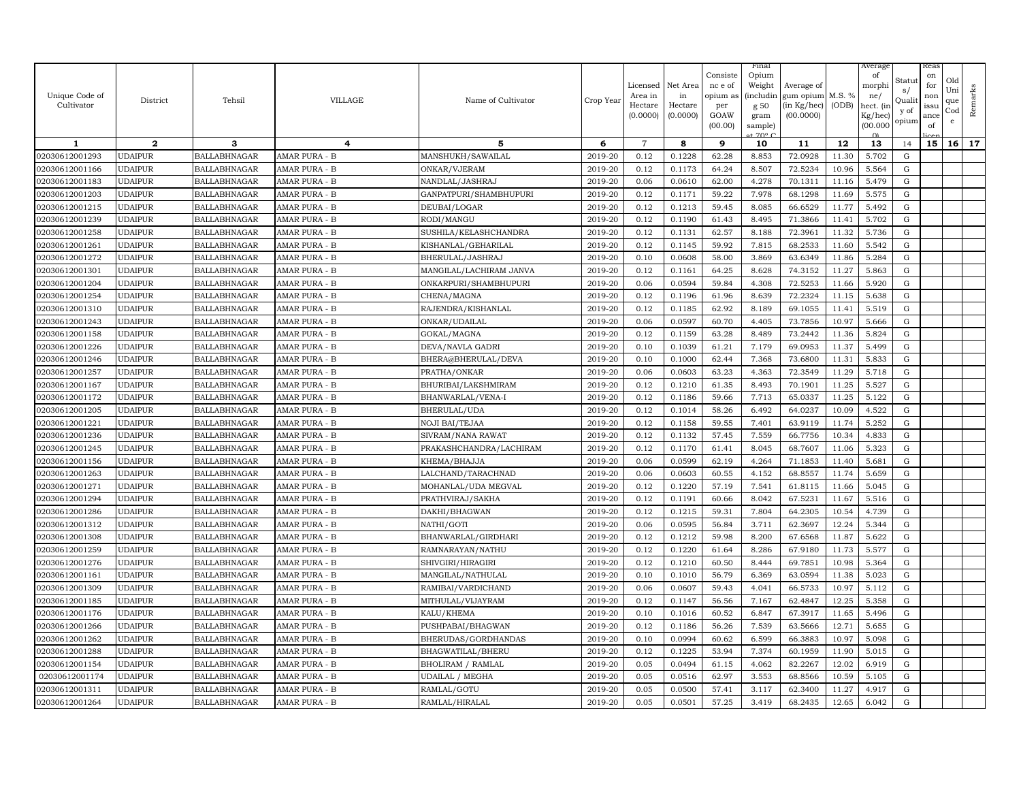| Unique Code of<br>Cultivator | District       | Tehsil              | VILLAGE       | Name of Cultivator       | Crop Year | Licensed<br>Area in<br>Hectare<br>(0.0000) | Net Area<br>in<br>Hectare<br>(0.0000) | Consiste<br>nc e of<br>opium as<br>per<br>GOAW<br>(00.00) | Final<br>Opium<br>Weight<br><i>(includir)</i><br>g 50<br>gram<br>sample)<br>$70^\circ$ | Average of<br>gum opium<br>(in Kg/hec)<br>(00.0000) | M.S. %<br>(ODB) | Averag<br>of<br>morphi<br>ne/<br>hect. (in<br>$Kg/$ hec<br>(00.000) | Statu<br>s/<br>Quali<br>y of<br>opium | on<br>for<br>noi<br>isst<br>ance<br>of | Old<br>Uni<br>que | Remarks |
|------------------------------|----------------|---------------------|---------------|--------------------------|-----------|--------------------------------------------|---------------------------------------|-----------------------------------------------------------|----------------------------------------------------------------------------------------|-----------------------------------------------------|-----------------|---------------------------------------------------------------------|---------------------------------------|----------------------------------------|-------------------|---------|
| 1                            | $\mathbf{2}$   | з                   | 4             | 5                        | 6         | $\overline{7}$                             | 8                                     | 9                                                         | 10                                                                                     | 11                                                  | 12              | 13                                                                  | 14                                    | 15                                     | 16                | 17      |
| 02030612001293               | <b>UDAIPUR</b> | <b>BALLABHNAGAR</b> | AMAR PURA - B | MANSHUKH/SAWAILAL        | 2019-20   | 0.12                                       | 0.1228                                | 62.28                                                     | 8.853                                                                                  | 72.0928                                             | 11.30           | 5.702                                                               | G                                     |                                        |                   |         |
| 02030612001166               | <b>UDAIPUR</b> | BALLABHNAGAR        | AMAR PURA - B | ONKAR/VJERAM             | 2019-20   | 0.12                                       | 0.1173                                | 64.24                                                     | 8.507                                                                                  | 72.5234                                             | 10.96           | 5.564                                                               | $\mathbf G$                           |                                        |                   |         |
| 02030612001183               | <b>UDAIPUR</b> | BALLABHNAGAR        | AMAR PURA - B | NANDLAL/JASHRAJ          | 2019-20   | 0.06                                       | 0.0610                                | 62.00                                                     | 4.278                                                                                  | 70.1311                                             | 11.16           | 5.479                                                               | G                                     |                                        |                   |         |
| 02030612001203               | <b>UDAIPUR</b> | <b>BALLABHNAGAR</b> | AMAR PURA - B | GANPATPURI/SHAMBHUPURI   | 2019-20   | 0.12                                       | 0.1171                                | 59.22                                                     | 7.978                                                                                  | 68.1298                                             | 11.69           | 5.575                                                               | ${\rm G}$                             |                                        |                   |         |
| 02030612001215               | <b>UDAIPUR</b> | BALLABHNAGAR        | AMAR PURA - B | DEUBAI/LOGAR             | 2019-20   | 0.12                                       | 0.1213                                | 59.45                                                     | 8.085                                                                                  | 66.6529                                             | 11.77           | 5.492                                                               | G                                     |                                        |                   |         |
| 02030612001239               | UDAIPUR        | BALLABHNAGAR        | AMAR PURA - B | RODI/MANGU               | 2019-20   | 0.12                                       | 0.1190                                | 61.43                                                     | 8.495                                                                                  | 71.3866                                             | 11.41           | 5.702                                                               | G                                     |                                        |                   |         |
| 02030612001258               | <b>UDAIPUR</b> | BALLABHNAGAR        | AMAR PURA - B | SUSHILA/KELASHCHANDRA    | 2019-20   | 0.12                                       | 0.1131                                | 62.57                                                     | 8.188                                                                                  | 72.3961                                             | 11.32           | 5.736                                                               | ${\rm G}$                             |                                        |                   |         |
| 02030612001261               | UDAIPUR        | BALLABHNAGAR        | AMAR PURA - B | KISHANLAL/GEHARILAL      | 2019-20   | 0.12                                       | 0.1145                                | 59.92                                                     | 7.815                                                                                  | 68.2533                                             | 11.60           | 5.542                                                               | ${\rm G}$                             |                                        |                   |         |
| 02030612001272               | <b>UDAIPUR</b> | BALLABHNAGAR        | AMAR PURA - B | BHERULAL/JASHRAJ         | 2019-20   | 0.10                                       | 0.0608                                | 58.00                                                     | 3.869                                                                                  | 63.6349                                             | 11.86           | 5.284                                                               | ${\rm G}$                             |                                        |                   |         |
| 02030612001301               | <b>UDAIPUR</b> | BALLABHNAGAR        | AMAR PURA - B | MANGILAL/LACHIRAM JANVA  | 2019-20   | 0.12                                       | 0.1161                                | 64.25                                                     | 8.628                                                                                  | 74.3152                                             | 11.27           | 5.863                                                               | G                                     |                                        |                   |         |
| 02030612001204               | <b>UDAIPUR</b> | BALLABHNAGAR        | AMAR PURA - B | ONKARPURI/SHAMBHUPURI    | 2019-20   | 0.06                                       | 0.0594                                | 59.84                                                     | 4.308                                                                                  | 72.5253                                             | 11.66           | 5.920                                                               | ${\rm G}$                             |                                        |                   |         |
| 02030612001254               | <b>UDAIPUR</b> | <b>BALLABHNAGAR</b> | AMAR PURA - B | CHENA/MAGNA              | 2019-20   | 0.12                                       | 0.1196                                | 61.96                                                     | 8.639                                                                                  | 72.2324                                             | 11.15           | 5.638                                                               | ${\rm G}$                             |                                        |                   |         |
| 02030612001310               | <b>UDAIPUR</b> | BALLABHNAGAR        | AMAR PURA - B | RAJENDRA/KISHANLAL       | 2019-20   | 0.12                                       | 0.1185                                | 62.92                                                     | 8.189                                                                                  | 69.1055                                             | 11.41           | 5.519                                                               | ${\rm G}$                             |                                        |                   |         |
| 02030612001243               | <b>UDAIPUR</b> | <b>BALLABHNAGAR</b> | AMAR PURA - B | ONKAR/UDAILAL            | 2019-20   | 0.06                                       | 0.0597                                | 60.70                                                     | 4.405                                                                                  | 73.7856                                             | 10.97           | 5.666                                                               | G                                     |                                        |                   |         |
| 02030612001158               | UDAIPUR        | BALLABHNAGAR        | AMAR PURA - B | GOKAL/MAGNA              | 2019-20   | 0.12                                       | 0.1159                                | 63.28                                                     | 8.489                                                                                  | 73.2442                                             | 11.36           | 5.824                                                               | ${\rm G}$                             |                                        |                   |         |
| 02030612001226               | <b>UDAIPUR</b> | BALLABHNAGAR        | AMAR PURA - B | DEVA/NAVLA GADRI         | 2019-20   | 0.10                                       | 0.1039                                | 61.21                                                     | 7.179                                                                                  | 69.0953                                             | 11.37           | 5.499                                                               | ${\rm G}$                             |                                        |                   |         |
| 02030612001246               | UDAIPUR        | BALLABHNAGAR        | AMAR PURA - B | BHERA@BHERULAL/DEVA      | 2019-20   | 0.10                                       | 0.1000                                | 62.44                                                     | 7.368                                                                                  | 73.6800                                             | 11.31           | 5.833                                                               | $\mathbf G$                           |                                        |                   |         |
| 02030612001257               | <b>UDAIPUR</b> | BALLABHNAGAR        | AMAR PURA - B | PRATHA/ONKAR             | 2019-20   | 0.06                                       | 0.0603                                | 63.23                                                     | 4.363                                                                                  | 72.3549                                             | 11.29           | 5.718                                                               | $\mathbf G$                           |                                        |                   |         |
| 02030612001167               | <b>UDAIPUR</b> | <b>BALLABHNAGAR</b> | AMAR PURA - B | BHURIBAI/LAKSHMIRAM      | 2019-20   | 0.12                                       | 0.1210                                | 61.35                                                     | 8.493                                                                                  | 70.1901                                             | 11.25           | 5.527                                                               | ${\bf G}$                             |                                        |                   |         |
| 02030612001172               | <b>UDAIPUR</b> | <b>BALLABHNAGAR</b> | AMAR PURA - B | BHANWARLAL/VENA-I        | 2019-20   | 0.12                                       | 0.1186                                | 59.66                                                     | 7.713                                                                                  | 65.0337                                             | 11.25           | 5.122                                                               | $\mathbf G$                           |                                        |                   |         |
| 02030612001205               | UDAIPUR        | BALLABHNAGAR        | AMAR PURA - B | BHERULAL/UDA             | 2019-20   | 0.12                                       | 0.1014                                | 58.26                                                     | 6.492                                                                                  | 64.0237                                             | 10.09           | 4.522                                                               | G                                     |                                        |                   |         |
| 02030612001221               | <b>UDAIPUR</b> | BALLABHNAGAR        | AMAR PURA - B | <b>NOJI BAI/TEJAA</b>    | 2019-20   | 0.12                                       | 0.1158                                | 59.55                                                     | 7.401                                                                                  | 63.9119                                             | 11.74           | 5.252                                                               | G                                     |                                        |                   |         |
| 02030612001236               | UDAIPUR        | BALLABHNAGAR        | AMAR PURA - B | SIVRAM/NANA RAWAT        | 2019-20   | 0.12                                       | 0.1132                                | 57.45                                                     | 7.559                                                                                  | 66.7756                                             | 10.34           | 4.833                                                               | ${\rm G}$                             |                                        |                   |         |
| 02030612001245               | <b>UDAIPUR</b> | BALLABHNAGAR        | AMAR PURA - B | PRAKASHCHANDRA/LACHIRAM  | 2019-20   | 0.12                                       | 0.1170                                | 61.41                                                     | 8.045                                                                                  | 68.7607                                             | 11.06           | 5.323                                                               | ${\rm G}$                             |                                        |                   |         |
| 02030612001156               | UDAIPUR        | BALLABHNAGAR        | AMAR PURA - B | KHEMA/BHAJJA             | 2019-20   | 0.06                                       | 0.0599                                | 62.19                                                     | 4.264                                                                                  | 71.1853                                             | 11.40           | 5.681                                                               | ${\rm G}$                             |                                        |                   |         |
| 02030612001263               | <b>UDAIPUR</b> | <b>BALLABHNAGAR</b> | AMAR PURA - B | LALCHAND/TARACHNAD       | 2019-20   | 0.06                                       | 0.0603                                | 60.55                                                     | 4.152                                                                                  | 68.8557                                             | 11.74           | 5.659                                                               | ${\rm G}$                             |                                        |                   |         |
| 02030612001271               | <b>UDAIPUR</b> | BALLABHNAGAR        | AMAR PURA - B | MOHANLAL/UDA MEGVAL      | 2019-20   | 0.12                                       | 0.1220                                | 57.19                                                     | 7.541                                                                                  | 61.8115                                             | 11.66           | 5.045                                                               | ${\rm G}$                             |                                        |                   |         |
| 02030612001294               | <b>UDAIPUR</b> | <b>BALLABHNAGAR</b> | AMAR PURA - B | PRATHVIRAJ/SAKHA         | 2019-20   | 0.12                                       | 0.1191                                | 60.66                                                     | 8.042                                                                                  | 67.5231                                             | 11.67           | 5.516                                                               | ${\rm G}$                             |                                        |                   |         |
| 02030612001286               | UDAIPUR        | BALLABHNAGAR        | AMAR PURA - B | DAKHI/BHAGWAN            | 2019-20   | 0.12                                       | 0.1215                                | 59.31                                                     | 7.804                                                                                  | 64.2305                                             | 10.54           | 4.739                                                               | G                                     |                                        |                   |         |
| 02030612001312               | <b>UDAIPUR</b> | BALLABHNAGAR        | AMAR PURA - B | NATHI/GOTI               | 2019-20   | 0.06                                       | 0.0595                                | 56.84                                                     | 3.711                                                                                  | 62.3697                                             | 12.24           | 5.344                                                               | $\mathbf G$                           |                                        |                   |         |
| 02030612001308               | <b>UDAIPUR</b> | BALLABHNAGAR        | AMAR PURA - B | BHANWARLAL/GIRDHARI      | 2019-20   | 0.12                                       | 0.1212                                | 59.98                                                     | 8.200                                                                                  | 67.6568                                             | 11.87           | 5.622                                                               | ${\rm G}$                             |                                        |                   |         |
| 02030612001259               | <b>UDAIPUR</b> | BALLABHNAGAR        | AMAR PURA - B | RAMNARAYAN/NATHU         | 2019-20   | 0.12                                       | 0.1220                                | 61.64                                                     | 8.286                                                                                  | 67.9180                                             | 11.73           | 5.577                                                               | ${\rm G}$                             |                                        |                   |         |
| 02030612001276               | <b>UDAIPUR</b> | BALLABHNAGAR        | AMAR PURA - B | SHIVGIRI/HIRAGIRI        | 2019-20   | 0.12                                       | 0.1210                                | 60.50                                                     | 8.444                                                                                  | 69.7851                                             | 10.98           | 5.364                                                               | $\mathbf G$                           |                                        |                   |         |
| 02030612001161               | <b>UDAIPUR</b> | <b>BALLABHNAGAR</b> | AMAR PURA - B | MANGILAL/NATHULAL        | 2019-20   | 0.10                                       | 0.1010                                | 56.79                                                     | 6.369                                                                                  | 63.0594                                             | 11.38           | 5.023                                                               | ${\rm G}$                             |                                        |                   |         |
| 02030612001309               | <b>UDAIPUR</b> | <b>BALLABHNAGAR</b> | AMAR PURA - B | RAMIBAI/VARDICHAND       | 2019-20   | 0.06                                       | 0.0607                                | 59.43                                                     | 4.041                                                                                  | 66.5733                                             | 10.97           | 5.112                                                               | $\mathbf G$                           |                                        |                   |         |
| 02030612001185               | <b>UDAIPUR</b> | <b>BALLABHNAGAR</b> | AMAR PURA - B | MITHULAL/VIJAYRAM        | 2019-20   | 0.12                                       | 0.1147                                | 56.56                                                     | 7.167                                                                                  | 62.4847                                             | 12.25           | 5.358                                                               | ${\bf G}$                             |                                        |                   |         |
| 02030612001176               | <b>UDAIPUR</b> | BALLABHNAGAR        | AMAR PURA - B | KALU/KHEMA               | 2019-20   | 0.10                                       | 0.1016                                | 60.52                                                     | 6.847                                                                                  | 67.3917                                             | 11.65           | 5.496                                                               | ${\rm G}$                             |                                        |                   |         |
| 02030612001266               | <b>UDAIPUR</b> | BALLABHNAGAR        | AMAR PURA - B | PUSHPABAI/BHAGWAN        | 2019-20   | 0.12                                       | 0.1186                                | 56.26                                                     | 7.539                                                                                  | 63.5666                                             | 12.71           | 5.655                                                               | G                                     |                                        |                   |         |
| 02030612001262               | <b>UDAIPUR</b> | BALLABHNAGAR        | AMAR PURA - B | BHERUDAS/GORDHANDAS      | 2019-20   | 0.10                                       | 0.0994                                | 60.62                                                     | 6.599                                                                                  | 66.3883                                             | 10.97           | 5.098                                                               | G                                     |                                        |                   |         |
| 02030612001288               | <b>UDAIPUR</b> | BALLABHNAGAR        | AMAR PURA - B | BHAGWATILAL/BHERU        | 2019-20   | 0.12                                       | 0.1225                                | 53.94                                                     | 7.374                                                                                  | 60.1959                                             | 11.90           | 5.015                                                               | ${\rm G}$                             |                                        |                   |         |
| 02030612001154               | <b>UDAIPUR</b> | BALLABHNAGAR        | AMAR PURA - B | <b>BHOLIRAM / RAMLAL</b> | 2019-20   | 0.05                                       | 0.0494                                | 61.15                                                     | 4.062                                                                                  | 82.2267                                             | 12.02           | 6.919                                                               | ${\rm G}$                             |                                        |                   |         |
| 02030612001174               | <b>UDAIPUR</b> | BALLABHNAGAR        | AMAR PURA - B | <b>UDAILAL / MEGHA</b>   | 2019-20   | 0.05                                       | 0.0516                                | 62.97                                                     | 3.553                                                                                  | 68.8566                                             | 10.59           | 5.105                                                               | G                                     |                                        |                   |         |
| 02030612001311               | <b>UDAIPUR</b> | BALLABHNAGAR        | AMAR PURA - B | RAMLAL/GOTU              | 2019-20   | 0.05                                       | 0.0500                                | 57.41                                                     | 3.117                                                                                  | 62.3400                                             | 11.27           | 4.917                                                               | ${\rm G}$                             |                                        |                   |         |
| 02030612001264               | <b>UDAIPUR</b> | BALLABHNAGAR        | AMAR PURA - B | RAMLAL/HIRALAL           | 2019-20   | 0.05                                       | 0.0501                                | 57.25                                                     | 3.419                                                                                  | 68.2435                                             | 12.65           | 6.042                                                               | ${\rm G}$                             |                                        |                   |         |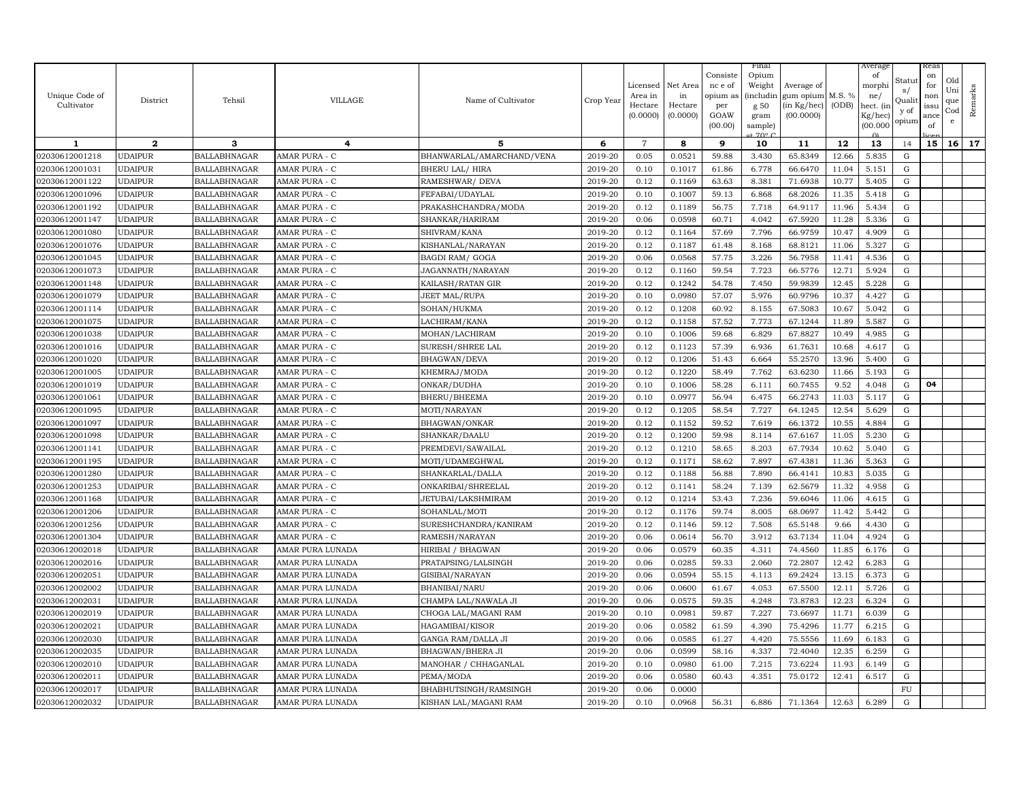| Unique Code of<br>Cultivator | District       | Tehsil              | VILLAGE          | Name of Cultivator        | Crop Year | Licensed<br>Area in<br>Hectare<br>(0.0000) | Net Area<br>in<br>Hectare<br>(0.0000) | Consiste<br>nc e of<br>opium as<br>per<br>GOAW<br>(00.00) | Final<br>Opium<br>Weight<br><i>(includir)</i><br>g 50<br>gram<br>sample)<br>70° | Average of<br>gum opium<br>(in Kg/hec)<br>(00.0000) | M.S. %<br>(ODB) | Averag<br>of<br>morphi<br>ne/<br>hect. (in<br>Kg/hec<br>(00.000) | Statu<br>s/<br>Quali<br>y of<br>opium | on<br>for<br>isst<br>ance<br>of | Old<br>Uni<br>que | Remarks |
|------------------------------|----------------|---------------------|------------------|---------------------------|-----------|--------------------------------------------|---------------------------------------|-----------------------------------------------------------|---------------------------------------------------------------------------------|-----------------------------------------------------|-----------------|------------------------------------------------------------------|---------------------------------------|---------------------------------|-------------------|---------|
| 1                            | $\overline{2}$ | з                   | 4                | 5                         | 6         | $\overline{7}$                             | 8                                     | 9                                                         | 10                                                                              | 11                                                  | 12              | 13                                                               | 14                                    | 15                              | 16                | 17      |
| 02030612001218               | <b>UDAIPUR</b> | <b>BALLABHNAGAR</b> | AMAR PURA - C    | BHANWARLAL/AMARCHAND/VENA | 2019-20   | 0.05                                       | 0.0521                                | 59.88                                                     | 3.430                                                                           | 65.8349                                             | 12.66           | 5.835                                                            | $\mathbf G$                           |                                 |                   |         |
| 02030612001031               | <b>UDAIPUR</b> | BALLABHNAGAR        | AMAR PURA - C    | <b>BHERU LAL/ HIRA</b>    | 2019-20   | 0.10                                       | 0.1017                                | 61.86                                                     | 6.778                                                                           | 66.6470                                             | 11.04           | 5.151                                                            | G                                     |                                 |                   |         |
| 02030612001122               | <b>UDAIPUR</b> | BALLABHNAGAR        | AMAR PURA - C    | RAMESHWAR/ DEVA           | 2019-20   | 0.12                                       | 0.1169                                | 63.63                                                     | 8.381                                                                           | 71.6938                                             | 10.77           | 5.405                                                            | G                                     |                                 |                   |         |
| 02030612001096               | UDAIPUR        | BALLABHNAGAR        | AMAR PURA - C    | FEFABAI/UDAYLAL           | 2019-20   | 0.10                                       | 0.1007                                | 59.13                                                     | 6.868                                                                           | 68.2026                                             | 11.35           | 5.418                                                            | G                                     |                                 |                   |         |
| 02030612001192               | <b>UDAIPUR</b> | BALLABHNAGAR        | AMAR PURA - C    | PRAKASHCHANDRA/MODA       | 2019-20   | 0.12                                       | 0.1189                                | 56.75                                                     | 7.718                                                                           | 64.9117                                             | 11.96           | 5.434                                                            | ${\rm G}$                             |                                 |                   |         |
| 02030612001147               | <b>UDAIPUR</b> | BALLABHNAGAR        | AMAR PURA - C    | SHANKAR/HARIRAM           | 2019-20   | 0.06                                       | 0.0598                                | 60.71                                                     | 4.042                                                                           | 67.5920                                             | 11.28           | 5.336                                                            | G                                     |                                 |                   |         |
| 02030612001080               | <b>UDAIPUR</b> | BALLABHNAGAR        | AMAR PURA - C    | SHIVRAM/KANA              | 2019-20   | 0.12                                       | 0.1164                                | 57.69                                                     | 7.796                                                                           | 66.9759                                             | 10.47           | 4.909                                                            | ${\rm G}$                             |                                 |                   |         |
| 02030612001076               | UDAIPUR        | BALLABHNAGAR        | AMAR PURA - C    | KISHANLAL/NARAYAN         | 2019-20   | 0.12                                       | 0.1187                                | 61.48                                                     | 8.168                                                                           | 68.8121                                             | 11.06           | 5.327                                                            | G                                     |                                 |                   |         |
| 02030612001045               | <b>UDAIPUR</b> | BALLABHNAGAR        | AMAR PURA - C    | <b>BAGDI RAM/ GOGA</b>    | 2019-20   | 0.06                                       | 0.0568                                | 57.75                                                     | 3.226                                                                           | 56.7958                                             | 11.41           | 4.536                                                            | ${\rm G}$                             |                                 |                   |         |
| 02030612001073               | <b>UDAIPUR</b> | BALLABHNAGAR        | AMAR PURA - C    | JAGANNATH/NARAYAN         | 2019-20   | 0.12                                       | 0.1160                                | 59.54                                                     | 7.723                                                                           | 66.5776                                             | 12.71           | 5.924                                                            | ${\rm G}$                             |                                 |                   |         |
| 02030612001148               | <b>UDAIPUR</b> | BALLABHNAGAR        | AMAR PURA - C    | KAILASH/RATAN GIR         | 2019-20   | 0.12                                       | 0.1242                                | 54.78                                                     | 7.450                                                                           | 59.9839                                             | 12.45           | 5.228                                                            | ${\rm G}$                             |                                 |                   |         |
| 02030612001079               | <b>UDAIPUR</b> | BALLABHNAGAR        | AMAR PURA - C    | <b>JEET MAL/RUPA</b>      | 2019-20   | 0.10                                       | 0.0980                                | 57.07                                                     | 5.976                                                                           | 60.9796                                             | 10.37           | 4.427                                                            | G                                     |                                 |                   |         |
| 02030612001114               | <b>UDAIPUR</b> | BALLABHNAGAR        | AMAR PURA - C    | SOHAN/HUKMA               | 2019-20   | 0.12                                       | 0.1208                                | 60.92                                                     | 8.155                                                                           | 67.5083                                             | 10.67           | 5.042                                                            | ${\rm G}$                             |                                 |                   |         |
| 02030612001075               | <b>UDAIPUR</b> | BALLABHNAGAR        | AMAR PURA - C    | LACHIRAM/KANA             | 2019-20   | 0.12                                       | 0.1158                                | 57.52                                                     | 7.773                                                                           | 67.1244                                             | 11.89           | 5.587                                                            | ${\rm G}$                             |                                 |                   |         |
| 02030612001038               | <b>UDAIPUR</b> | BALLABHNAGAR        | AMAR PURA - C    | MOHAN/LACHIRAM            | 2019-20   | 0.10                                       | 0.1006                                | 59.68                                                     | 6.829                                                                           | 67.8827                                             | 10.49           | 4.985                                                            | ${\rm G}$                             |                                 |                   |         |
| 02030612001016               | <b>UDAIPUR</b> | BALLABHNAGAR        | AMAR PURA - C    | SURESH/SHREE LAL          | 2019-20   | 0.12                                       | 0.1123                                | 57.39                                                     | 6.936                                                                           | 61.7631                                             | 10.68           | 4.617                                                            | ${\rm G}$                             |                                 |                   |         |
| 02030612001020               | <b>UDAIPUR</b> | <b>BALLABHNAGAR</b> | AMAR PURA - C    | BHAGWAN/DEVA              | 2019-20   | 0.12                                       | 0.1206                                | 51.43                                                     | 6.664                                                                           | 55.2570                                             | 13.96           | 5.400                                                            | ${\rm G}$                             |                                 |                   |         |
| 02030612001005               | <b>UDAIPUR</b> | <b>BALLABHNAGAR</b> | AMAR PURA - C    | KHEMRAJ/MODA              | 2019-20   | 0.12                                       | 0.1220                                | 58.49                                                     | 7.762                                                                           | 63.6230                                             | 11.66           | 5.193                                                            | G                                     |                                 |                   |         |
| 02030612001019               | <b>UDAIPUR</b> | BALLABHNAGAR        | AMAR PURA - C    | ONKAR/DUDHA               | 2019-20   | 0.10                                       | 0.1006                                | 58.28                                                     | 6.111                                                                           | 60.7455                                             | 9.52            | 4.048                                                            | G                                     | 04                              |                   |         |
| 02030612001061               | <b>UDAIPUR</b> | BALLABHNAGAR        | AMAR PURA - C    | <b>BHERU/BHEEMA</b>       | 2019-20   | 0.10                                       | 0.0977                                | 56.94                                                     | 6.475                                                                           | 66.2743                                             | 11.03           | 5.117                                                            | G                                     |                                 |                   |         |
| 02030612001095               | <b>UDAIPUR</b> | <b>BALLABHNAGAR</b> | AMAR PURA - C    | MOTI/NARAYAN              | 2019-20   | 0.12                                       | 0.1205                                | 58.54                                                     | 7.727                                                                           | 64.1245                                             | 12.54           | 5.629                                                            | G                                     |                                 |                   |         |
| 02030612001097               | <b>UDAIPUR</b> | BALLABHNAGAR        | AMAR PURA - C    | BHAGWAN/ONKAR             | 2019-20   | 0.12                                       | 0.1152                                | 59.52                                                     | 7.619                                                                           | 66.1372                                             | 10.55           | 4.884                                                            | ${\rm G}$                             |                                 |                   |         |
| 02030612001098               | <b>UDAIPUR</b> | BALLABHNAGAR        | AMAR PURA - C    | SHANKAR/DAALU             | 2019-20   | 0.12                                       | 0.1200                                | 59.98                                                     | 8.114                                                                           | 67.6167                                             | 11.05           | 5.230                                                            | ${\rm G}$                             |                                 |                   |         |
| 02030612001141               | <b>UDAIPUR</b> | BALLABHNAGAR        | AMAR PURA - C    | PREMDEVI/SAWAILAL         | 2019-20   | 0.12                                       | 0.1210                                | 58.65                                                     | 8.203                                                                           | 67.7934                                             | 10.62           | 5.040                                                            | ${\rm G}$                             |                                 |                   |         |
| 02030612001195               | <b>UDAIPUR</b> | BALLABHNAGAR        | AMAR PURA - C    | MOTI/UDAMEGHWAL           | 2019-20   | 0.12                                       | 0.1171                                | 58.62                                                     | 7.897                                                                           | 67.4381                                             | 11.36           | 5.363                                                            | G                                     |                                 |                   |         |
| 02030612001280               | <b>UDAIPUR</b> | BALLABHNAGAR        | AMAR PURA - C    | SHANKARLAL/DALLA          | 2019-20   | 0.12                                       | 0.1188                                | 56.88                                                     | 7.890                                                                           | 66.4141                                             | 10.83           | 5.035                                                            | ${\rm G}$                             |                                 |                   |         |
| 02030612001253               | <b>UDAIPUR</b> | BALLABHNAGAR        | AMAR PURA - C    | ONKARIBAI/SHREELAL        | 2019-20   | 0.12                                       | 0.1141                                | 58.24                                                     | 7.139                                                                           | 62.5679                                             | 11.32           | 4.958                                                            | G                                     |                                 |                   |         |
| 02030612001168               | UDAIPUR        | BALLABHNAGAR        | AMAR PURA - C    | JETUBAI/LAKSHMIRAM        | 2019-20   | 0.12                                       | 0.1214                                | 53.43                                                     | 7.236                                                                           | 59.6046                                             | 11.06           | 4.615                                                            | G                                     |                                 |                   |         |
| 02030612001206               | <b>UDAIPUR</b> | BALLABHNAGAR        | AMAR PURA - C    | SOHANLAL/MOTI             | 2019-20   | 0.12                                       | 0.1176                                | 59.74                                                     | 8.005                                                                           | 68.0697                                             | 11.42           | 5.442                                                            | G                                     |                                 |                   |         |
| 02030612001256               | <b>UDAIPUR</b> | BALLABHNAGAR        | AMAR PURA - C    | SURESHCHANDRA/KANIRAM     | 2019-20   | 0.12                                       | 0.1146                                | 59.12                                                     | 7.508                                                                           | 65.5148                                             | 9.66            | 4.430                                                            | ${\rm G}$                             |                                 |                   |         |
| 02030612001304               | <b>UDAIPUR</b> | BALLABHNAGAR        | AMAR PURA - C    | RAMESH/NARAYAN            | 2019-20   | 0.06                                       | 0.0614                                | 56.70                                                     | 3.912                                                                           | 63.7134                                             | 11.04           | 4.924                                                            | $\mathbf G$                           |                                 |                   |         |
| 02030612002018               | <b>UDAIPUR</b> | BALLABHNAGAR        | AMAR PURA LUNADA | HIRIBAI / BHAGWAN         | 2019-20   | 0.06                                       | 0.0579                                | 60.35                                                     | 4.311                                                                           | 74.4560                                             | 11.85           | 6.176                                                            | ${\rm G}$                             |                                 |                   |         |
| 02030612002016               | <b>UDAIPUR</b> | BALLABHNAGAR        | AMAR PURA LUNADA | PRATAPSING/LALSINGH       | 2019-20   | 0.06                                       | 0.0285                                | 59.33                                                     | 2.060                                                                           | 72.2807                                             | 12.42           | 6.283                                                            | ${\rm G}$                             |                                 |                   |         |
| 02030612002051               | <b>UDAIPUR</b> | <b>BALLABHNAGAR</b> | AMAR PURA LUNADA | GISIBAI/NARAYAN           | 2019-20   | 0.06                                       | 0.0594                                | 55.15                                                     | 4.113                                                                           | 69.2424                                             | 13.15           | 6.373                                                            | ${\rm G}$                             |                                 |                   |         |
| 02030612002002               | <b>UDAIPUR</b> | BALLABHNAGAR        | AMAR PURA LUNADA | BHANIBAI/NARU             | 2019-20   | 0.06                                       | 0.0600                                | 61.67                                                     | 4.053                                                                           | 67.5500                                             | 12.11           | 5.726                                                            | ${\rm G}$                             |                                 |                   |         |
| 02030612002031               | <b>UDAIPUR</b> | BALLABHNAGAR        | AMAR PURA LUNADA | CHAMPA LAL/NAWALA JI      | 2019-20   | 0.06                                       | 0.0575                                | 59.35                                                     | 4.248                                                                           | 73.8783                                             | 12.23           | 6.324                                                            | G                                     |                                 |                   |         |
| 02030612002019               | <b>UDAIPUR</b> | <b>BALLABHNAGAR</b> | AMAR PURA LUNADA | CHOGA LAL/MAGANI RAM      | 2019-20   | 0.10                                       | 0.0981                                | 59.87                                                     | 7.227                                                                           | 73.6697                                             | 11.71           | 6.039                                                            | G                                     |                                 |                   |         |
| 02030612002021               | <b>UDAIPUR</b> | BALLABHNAGAR        | AMAR PURA LUNADA | HAGAMIBAI/KISOR           | 2019-20   | 0.06                                       | 0.0582                                | 61.59                                                     | 4.390                                                                           | 75.4296                                             | 11.77           | 6.215                                                            | ${\rm G}$                             |                                 |                   |         |
| 02030612002030               | <b>UDAIPUR</b> | BALLABHNAGAR        | AMAR PURA LUNADA | <b>GANGA RAM/DALLA JI</b> | 2019-20   | 0.06                                       | 0.0585                                | 61.27                                                     | 4.420                                                                           | 75.5556                                             | 11.69           | 6.183                                                            | ${\rm G}$                             |                                 |                   |         |
| 02030612002035               | <b>UDAIPUR</b> | BALLABHNAGAR        | AMAR PURA LUNADA | BHAGWAN/BHERA JI          | 2019-20   | 0.06                                       | 0.0599                                | 58.16                                                     | 4.337                                                                           | 72.4040                                             | 12.35           | 6.259                                                            | G                                     |                                 |                   |         |
| 02030612002010               | <b>UDAIPUR</b> | <b>BALLABHNAGAR</b> | AMAR PURA LUNADA | MANOHAR / CHHAGANLAL      | 2019-20   | 0.10                                       | 0.0980                                | 61.00                                                     | 7.215                                                                           | 73.6224                                             | 11.93           | 6.149                                                            | G                                     |                                 |                   |         |
| 02030612002011               | UDAIPUR        | BALLABHNAGAR        | AMAR PURA LUNADA | PEMA/MODA                 | 2019-20   | 0.06                                       | 0.0580                                | 60.43                                                     | 4.351                                                                           | 75.0172                                             | 12.41           | 6.517                                                            | ${\rm G}$                             |                                 |                   |         |
| 02030612002017               | <b>UDAIPUR</b> | BALLABHNAGAR        | AMAR PURA LUNADA | BHABHUTSINGH/RAMSINGH     | 2019-20   | 0.06                                       | 0.0000                                |                                                           |                                                                                 |                                                     |                 |                                                                  | FU                                    |                                 |                   |         |
| 02030612002032               | <b>UDAIPUR</b> | BALLABHNAGAR        | AMAR PURA LUNADA | KISHAN LAL/MAGANI RAM     | 2019-20   | 0.10                                       | 0.0968                                | 56.31                                                     | 6.886                                                                           | 71.1364                                             | 12.63           | 6.289                                                            | $\mathbf G$                           |                                 |                   |         |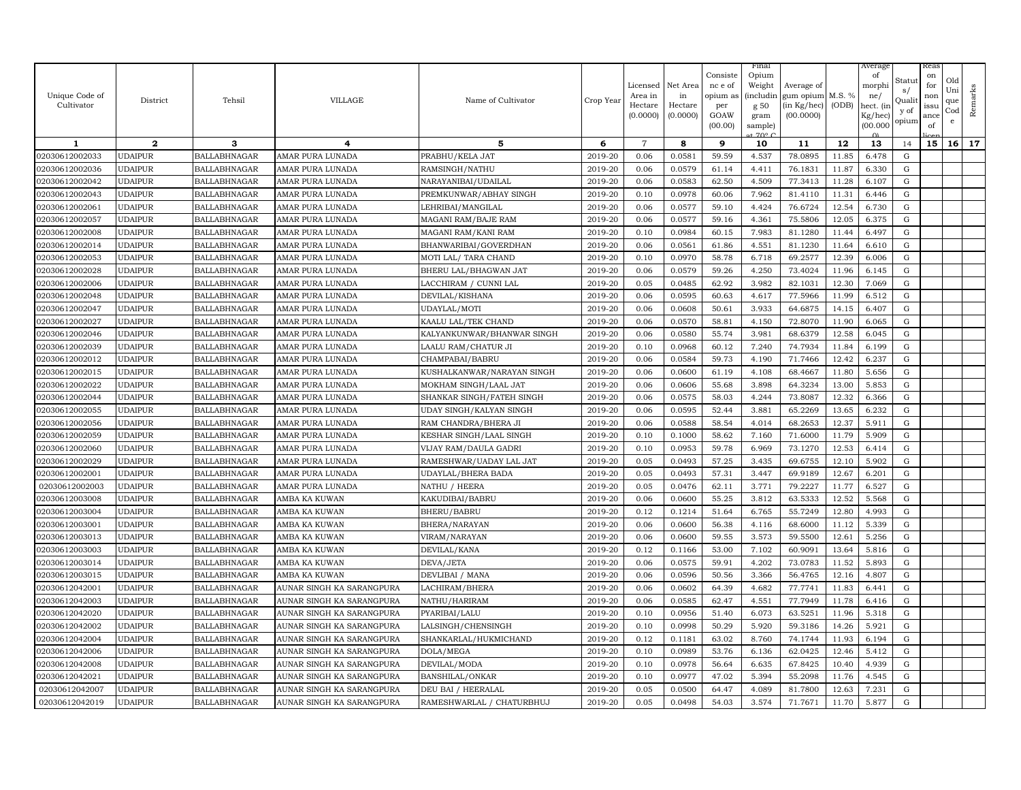| Unique Code of<br>Cultivator | District       | Tehsil              | VILLAGE                   | Name of Cultivator         | Crop Year | Licensed<br>Area in<br>Hectare<br>(0.0000) | Net Area<br>in<br>Hectare<br>(0.0000) | Consiste<br>nc e of<br>opium as<br>per<br>GOAW<br>(00.00) | Final<br>Opium<br>Weight<br><i>(includin</i><br>g 50<br>gram<br>sample]<br>70° | Average of<br>gum opium M.S. %<br>(in Kg/hec)<br>(00.0000) | (ODB) | <b>Averag</b><br>of<br>morphi<br>ne/<br>hect. (in<br>Kg/hec]<br>(00.000) | Statu<br>s/<br>Quali<br>y of<br>opium | on<br>for<br>noi<br>isst<br>ance<br>of | blG<br>Uni<br>que | Remarks |
|------------------------------|----------------|---------------------|---------------------------|----------------------------|-----------|--------------------------------------------|---------------------------------------|-----------------------------------------------------------|--------------------------------------------------------------------------------|------------------------------------------------------------|-------|--------------------------------------------------------------------------|---------------------------------------|----------------------------------------|-------------------|---------|
| -1                           | $\overline{2}$ | з                   | 4                         | 5                          | 6         | $\overline{7}$                             | 8                                     | 9                                                         | 10                                                                             | 11                                                         | 12    | 13                                                                       | 14                                    | 15                                     | 16                | 17      |
| 02030612002033               | <b>UDAIPUR</b> | <b>BALLABHNAGAR</b> | AMAR PURA LUNADA          | PRABHU/KELA JAT            | 2019-20   | 0.06                                       | 0.0581                                | 59.59                                                     | 4.537                                                                          | 78.0895                                                    | 11.85 | 6.478                                                                    | G                                     |                                        |                   |         |
| 02030612002036               | <b>UDAIPUR</b> | <b>BALLABHNAGAR</b> | AMAR PURA LUNADA          | RAMSINGH/NATHU             | 2019-20   | 0.06                                       | 0.0579                                | 61.14                                                     | 4.411                                                                          | 76.1831                                                    | 11.87 | 6.330                                                                    | G                                     |                                        |                   |         |
| 02030612002042               | <b>UDAIPUR</b> | <b>BALLABHNAGAR</b> | AMAR PURA LUNADA          | NARAYANIBAI/UDAILAL        | 2019-20   | 0.06                                       | 0.0583                                | 62.50                                                     | 4.509                                                                          | 77.3413                                                    | 11.28 | 6.107                                                                    | G                                     |                                        |                   |         |
| 02030612002043               | <b>UDAIPUR</b> | <b>BALLABHNAGAR</b> | AMAR PURA LUNADA          | PREMKUNWAR/ABHAY SINGH     | 2019-20   | 0.10                                       | 0.0978                                | 60.06                                                     | 7.962                                                                          | 81.4110                                                    | 11.31 | 6.446                                                                    | G                                     |                                        |                   |         |
| 02030612002061               | <b>UDAIPUR</b> | <b>BALLABHNAGAR</b> | AMAR PURA LUNADA          | LEHRIBAI/MANGILAL          | 2019-20   | 0.06                                       | 0.0577                                | 59.10                                                     | 4.424                                                                          | 76.6724                                                    | 12.54 | 6.730                                                                    | G                                     |                                        |                   |         |
| 02030612002057               | <b>UDAIPUR</b> | <b>BALLABHNAGAR</b> | AMAR PURA LUNADA          | MAGANI RAM/BAJE RAM        | 2019-20   | 0.06                                       | 0.0577                                | 59.16                                                     | 4.361                                                                          | 75.5806                                                    | 12.05 | 6.375                                                                    | G                                     |                                        |                   |         |
| 02030612002008               | <b>UDAIPUR</b> | <b>BALLABHNAGAR</b> | AMAR PURA LUNADA          | MAGANI RAM/KANI RAM        | 2019-20   | 0.10                                       | 0.0984                                | 60.15                                                     | 7.983                                                                          | 81.1280                                                    | 11.44 | 6.497                                                                    | ${\rm G}$                             |                                        |                   |         |
| 02030612002014               | UDAIPUR        | <b>BALLABHNAGAR</b> | AMAR PURA LUNADA          | BHANWARIBAI/GOVERDHAN      | 2019-20   | 0.06                                       | 0.0561                                | 61.86                                                     | 4.551                                                                          | 81.1230                                                    | 11.64 | 6.610                                                                    | G                                     |                                        |                   |         |
| 02030612002053               | <b>UDAIPUR</b> | <b>BALLABHNAGAR</b> | AMAR PURA LUNADA          | MOTI LAL/ TARA CHAND       | 2019-20   | 0.10                                       | 0.0970                                | 58.78                                                     | 6.718                                                                          | 69.2577                                                    | 12.39 | 6.006                                                                    | G                                     |                                        |                   |         |
| 02030612002028               | <b>UDAIPUR</b> | <b>BALLABHNAGAR</b> | AMAR PURA LUNADA          | BHERU LAL/BHAGWAN JAT      | 2019-20   | 0.06                                       | 0.0579                                | 59.26                                                     | 4.250                                                                          | 73.4024                                                    | 11.96 | 6.145                                                                    | ${\rm G}$                             |                                        |                   |         |
| 02030612002006               | <b>UDAIPUR</b> | <b>BALLABHNAGAR</b> | AMAR PURA LUNADA          | LACCHIRAM / CUNNI LAL      | 2019-20   | 0.05                                       | 0.0485                                | 62.92                                                     | 3.982                                                                          | 82.1031                                                    | 12.30 | 7.069                                                                    | ${\rm G}$                             |                                        |                   |         |
| 02030612002048               | <b>UDAIPUR</b> | <b>BALLABHNAGAR</b> | AMAR PURA LUNADA          | DEVILAL/KISHANA            | 2019-20   | 0.06                                       | 0.0595                                | 60.63                                                     | 4.617                                                                          | 77.5966                                                    | 11.99 | 6.512                                                                    | G                                     |                                        |                   |         |
| 02030612002047               | UDAIPUR        | <b>BALLABHNAGAR</b> | AMAR PURA LUNADA          | UDAYLAL/MOTI               | 2019-20   | 0.06                                       | 0.0608                                | 50.61                                                     | 3.933                                                                          | 64.6875                                                    | 14.15 | 6.407                                                                    | ${\rm G}$                             |                                        |                   |         |
| 02030612002027               | UDAIPUR        | <b>BALLABHNAGAR</b> | AMAR PURA LUNADA          | KAALU LAL/TEK CHAND        | 2019-20   | 0.06                                       | 0.0570                                | 58.81                                                     | 4.150                                                                          | 72.8070                                                    | 11.90 | 6.065                                                                    | ${\rm G}$                             |                                        |                   |         |
| 02030612002046               | UDAIPUR        | <b>BALLABHNAGAR</b> | AMAR PURA LUNADA          | KALYANKUNWAR/BHANWAR SINGH | 2019-20   | 0.06                                       | 0.0580                                | 55.74                                                     | 3.981                                                                          | 68.6379                                                    | 12.58 | 6.045                                                                    | ${\rm G}$                             |                                        |                   |         |
| 02030612002039               | UDAIPUR        | <b>BALLABHNAGAR</b> | AMAR PURA LUNADA          | LAALU RAM/CHATUR JI        | 2019-20   | 0.10                                       | 0.0968                                | 60.12                                                     | 7.240                                                                          | 74.7934                                                    | 11.84 | 6.199                                                                    | ${\rm G}$                             |                                        |                   |         |
| 02030612002012               | <b>UDAIPUR</b> | <b>BALLABHNAGAR</b> | AMAR PURA LUNADA          | CHAMPABAI/BABRU            | 2019-20   | 0.06                                       | 0.0584                                | 59.73                                                     | 4.190                                                                          | 71.7466                                                    | 12.42 | 6.237                                                                    | ${\rm G}$                             |                                        |                   |         |
| 02030612002015               | <b>UDAIPUR</b> | <b>BALLABHNAGAR</b> | AMAR PURA LUNADA          | KUSHALKANWAR/NARAYAN SINGH | 2019-20   | 0.06                                       | 0.0600                                | 61.19                                                     | 4.108                                                                          | 68.4667                                                    | 11.80 | 5.656                                                                    | G                                     |                                        |                   |         |
| 02030612002022               | UDAIPUR        | <b>BALLABHNAGAR</b> | AMAR PURA LUNADA          | MOKHAM SINGH/LAAL JAT      | 2019-20   | 0.06                                       | 0.0606                                | 55.68                                                     | 3.898                                                                          | 64.3234                                                    | 13.00 | 5.853                                                                    | G                                     |                                        |                   |         |
| 02030612002044               | <b>UDAIPUR</b> | <b>BALLABHNAGAR</b> | AMAR PURA LUNADA          | SHANKAR SINGH/FATEH SINGH  | 2019-20   | 0.06                                       | 0.0575                                | 58.03                                                     | 4.244                                                                          | 73.8087                                                    | 12.32 | 6.366                                                                    | G                                     |                                        |                   |         |
| 02030612002055               | <b>UDAIPUR</b> | <b>BALLABHNAGAR</b> | AMAR PURA LUNADA          | UDAY SINGH/KALYAN SINGH    | 2019-20   | 0.06                                       | 0.0595                                | 52.44                                                     | 3.881                                                                          | 65.2269                                                    | 13.65 | 6.232                                                                    | G                                     |                                        |                   |         |
| 02030612002056               | <b>UDAIPUR</b> | <b>BALLABHNAGAR</b> | AMAR PURA LUNADA          | RAM CHANDRA/BHERA JI       | 2019-20   | 0.06                                       | 0.0588                                | 58.54                                                     | 4.014                                                                          | 68.2653                                                    | 12.37 | 5.911                                                                    | ${\rm G}$                             |                                        |                   |         |
| 02030612002059               | <b>UDAIPUR</b> | <b>BALLABHNAGAR</b> | AMAR PURA LUNADA          | KESHAR SINGH/LAAL SINGH    | 2019-20   | 0.10                                       | 0.1000                                | 58.62                                                     | 7.160                                                                          | 71.6000                                                    | 11.79 | 5.909                                                                    | G                                     |                                        |                   |         |
| 02030612002060               | UDAIPUR        | <b>BALLABHNAGAR</b> | AMAR PURA LUNADA          | VIJAY RAM/DAULA GADRI      | 2019-20   | 0.10                                       | 0.0953                                | 59.78                                                     | 6.969                                                                          | 73.1270                                                    | 12.53 | 6.414                                                                    | ${\rm G}$                             |                                        |                   |         |
| 02030612002029               | <b>UDAIPUR</b> | <b>BALLABHNAGAR</b> | AMAR PURA LUNADA          | RAMESHWAR/UADAY LAL JAT    | 2019-20   | 0.05                                       | 0.0493                                | 57.25                                                     | 3.435                                                                          | 69.6755                                                    | 12.10 | 5.902                                                                    | G                                     |                                        |                   |         |
| 02030612002001               | <b>UDAIPUR</b> | <b>BALLABHNAGAR</b> | AMAR PURA LUNADA          | <b>UDAYLAL/BHERA BADA</b>  | 2019-20   | 0.05                                       | 0.0493                                | 57.31                                                     | 3.447                                                                          | 69.9189                                                    | 12.67 | 6.201                                                                    | ${\rm G}$                             |                                        |                   |         |
| 02030612002003               | UDAIPUR        | <b>BALLABHNAGAR</b> | AMAR PURA LUNADA          | NATHU / HEERA              | 2019-20   | 0.05                                       | 0.0476                                | 62.11                                                     | 3.771                                                                          | 79.2227                                                    | 11.77 | 6.527                                                                    | ${\rm G}$                             |                                        |                   |         |
| 02030612003008               | UDAIPUR        | <b>BALLABHNAGAR</b> | AMBA KA KUWAN             | KAKUDIBAI/BABRU            | 2019-20   | 0.06                                       | 0.0600                                | 55.25                                                     | 3.812                                                                          | 63.5333                                                    | 12.52 | 5.568                                                                    | G                                     |                                        |                   |         |
| 02030612003004               | UDAIPUR        | <b>BALLABHNAGAR</b> | AMBA KA KUWAN             | <b>BHERU/BABRU</b>         | 2019-20   | 0.12                                       | 0.1214                                | 51.64                                                     | 6.765                                                                          | 55.7249                                                    | 12.80 | 4.993                                                                    | G                                     |                                        |                   |         |
| 02030612003001               | UDAIPUR        | <b>BALLABHNAGAR</b> | AMBA KA KUWAN             | BHERA/NARAYAN              | 2019-20   | 0.06                                       | 0.0600                                | 56.38                                                     | 4.116                                                                          | 68.6000                                                    | 11.12 | 5.339                                                                    | ${\rm G}$                             |                                        |                   |         |
| 02030612003013               | <b>UDAIPUR</b> | <b>BALLABHNAGAR</b> | AMBA KA KUWAN             | VIRAM/NARAYAN              | 2019-20   | 0.06                                       | 0.0600                                | 59.55                                                     | 3.573                                                                          | 59.5500                                                    | 12.61 | 5.256                                                                    | $\mathbf G$                           |                                        |                   |         |
| 02030612003003               | UDAIPUR        | <b>BALLABHNAGAR</b> | AMBA KA KUWAN             | DEVILAL/KANA               | 2019-20   | 0.12                                       | 0.1166                                | 53.00                                                     | 7.102                                                                          | 60.9091                                                    | 13.64 | 5.816                                                                    | ${\rm G}$                             |                                        |                   |         |
| 02030612003014               | <b>UDAIPUR</b> | <b>BALLABHNAGAR</b> | AMBA KA KUWAN             | DEVA/JETA                  | 2019-20   | 0.06                                       | 0.0575                                | 59.91                                                     | 4.202                                                                          | 73.0783                                                    | 11.52 | 5.893                                                                    | ${\rm G}$                             |                                        |                   |         |
| 02030612003015               | <b>UDAIPUR</b> | <b>BALLABHNAGAR</b> | AMBA KA KUWAN             | DEVLIBAI / MANA            | 2019-20   | 0.06                                       | 0.0596                                | 50.56                                                     | 3.366                                                                          | 56.4765                                                    | 12.16 | 4.807                                                                    | ${\rm G}$                             |                                        |                   |         |
| 02030612042001               | UDAIPUR        | BALLABHNAGAR        | AUNAR SINGH KA SARANGPURA | LACHIRAM/BHERA             | 2019-20   | 0.06                                       | 0.0602                                | 64.39                                                     | 4.682                                                                          | 77.7741                                                    | 11.83 | 6.441                                                                    | ${\rm G}$                             |                                        |                   |         |
| 02030612042003               | UDAIPUR        | <b>BALLABHNAGAR</b> | AUNAR SINGH KA SARANGPURA | NATHU/HARIRAM              | 2019-20   | 0.06                                       | 0.0585                                | 62.47                                                     | 4.551                                                                          | 77.7949                                                    | 11.78 | 6.416                                                                    | G                                     |                                        |                   |         |
| 02030612042020               | <b>UDAIPUR</b> | <b>BALLABHNAGAR</b> | AUNAR SINGH KA SARANGPURA | PYARIBAI/LALU              | 2019-20   | 0.10                                       | 0.0956                                | 51.40                                                     | 6.073                                                                          | 63.5251                                                    | 11.96 | 5.318                                                                    | G                                     |                                        |                   |         |
| 02030612042002               | <b>UDAIPUR</b> | <b>BALLABHNAGAR</b> | AUNAR SINGH KA SARANGPURA | LALSINGH/CHENSINGH         | 2019-20   | 0.10                                       | 0.0998                                | 50.29                                                     | 5.920                                                                          | 59.3186                                                    | 14.26 | 5.921                                                                    | G                                     |                                        |                   |         |
| 02030612042004               | <b>UDAIPUR</b> | <b>BALLABHNAGAR</b> | AUNAR SINGH KA SARANGPURA | SHANKARLAL/HUKMICHAND      | 2019-20   | 0.12                                       | 0.1181                                | 63.02                                                     | 8.760                                                                          | 74.1744                                                    | 11.93 | 6.194                                                                    | ${\rm G}$                             |                                        |                   |         |
| 02030612042006               | <b>UDAIPUR</b> | <b>BALLABHNAGAR</b> | AUNAR SINGH KA SARANGPURA | DOLA/MEGA                  | 2019-20   | 0.10                                       | 0.0989                                | 53.76                                                     | 6.136                                                                          | 62.0425                                                    | 12.46 | 5.412                                                                    | G                                     |                                        |                   |         |
| 02030612042008               | <b>UDAIPUR</b> | <b>BALLABHNAGAR</b> | AUNAR SINGH KA SARANGPURA | DEVILAL/MODA               | 2019-20   | 0.10                                       | 0.0978                                | 56.64                                                     | 6.635                                                                          | 67.8425                                                    | 10.40 | 4.939                                                                    | ${\rm G}$                             |                                        |                   |         |
| 02030612042021               | UDAIPUR        | <b>BALLABHNAGAR</b> | AUNAR SINGH KA SARANGPURA | BANSHILAL/ONKAR            | 2019-20   | 0.10                                       | 0.0977                                | 47.02                                                     | 5.394                                                                          | 55.2098                                                    | 11.76 | 4.545                                                                    | ${\rm G}$                             |                                        |                   |         |
| 02030612042007               | UDAIPUR        | <b>BALLABHNAGAR</b> | AUNAR SINGH KA SARANGPURA | DEU BAI / HEERALAL         | 2019-20   | 0.05                                       | 0.0500                                | 64.47                                                     | 4.089                                                                          | 81.7800                                                    | 12.63 | 7.231                                                                    | ${\rm G}$                             |                                        |                   |         |
| 02030612042019               | UDAIPUR        | <b>BALLABHNAGAR</b> | AUNAR SINGH KA SARANGPURA | RAMESHWARLAL / CHATURBHUJ  | 2019-20   | 0.05                                       | 0.0498                                | 54.03                                                     | 3.574                                                                          | 71.7671                                                    | 11.70 | 5.877                                                                    | ${\rm G}$                             |                                        |                   |         |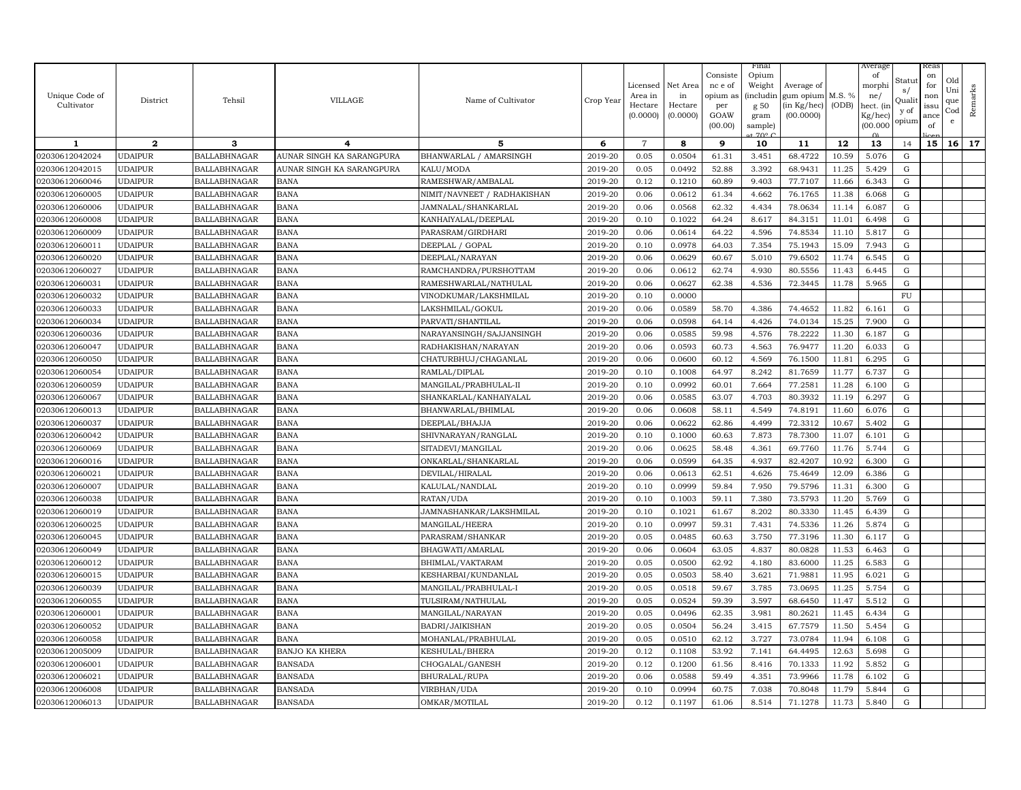| Unique Code of<br>Cultivator | District       | Tehsil              | VILLAGE                   | Name of Cultivator          | Crop Year | Licensed<br>Area in<br>Hectare<br>(0.0000) | Net Area<br>in<br>Hectare<br>(0.0000) | Consiste<br>nc e of<br>opium as<br>per<br>GOAW<br>(00.00) | Final<br>Opium<br>Weight<br><i>(includin</i><br>g 50<br>gram<br>sample]<br>70° | Average of<br>gum opium M.S. %<br>(in Kg/hec)<br>(00.0000) | (ODB) | Averag<br>of<br>morphi<br>ne/<br>hect. (in<br>Kg/hec<br>(00.000) | Statut<br>s/<br>Quali<br>y of<br>opium | on<br>for<br>noi<br>isst<br>ance<br>of | Old<br>Uni<br>que<br>Cod | Remarks |
|------------------------------|----------------|---------------------|---------------------------|-----------------------------|-----------|--------------------------------------------|---------------------------------------|-----------------------------------------------------------|--------------------------------------------------------------------------------|------------------------------------------------------------|-------|------------------------------------------------------------------|----------------------------------------|----------------------------------------|--------------------------|---------|
| 1                            | $\overline{2}$ | з                   |                           | 5                           | 6         | $\overline{7}$                             | 8                                     | 9                                                         | 10                                                                             | 11                                                         | 12    | 13                                                               | 14                                     | 15                                     | 16 <sup>1</sup>          | 17      |
| 02030612042024               | <b>UDAIPUR</b> | <b>BALLABHNAGAR</b> | AUNAR SINGH KA SARANGPURA | BHANWARLAL / AMARSINGH      | 2019-20   | 0.05                                       | 0.0504                                | 61.31                                                     | 3.451                                                                          | 68.4722                                                    | 10.59 | 5.076                                                            | $\mathbf G$                            |                                        |                          |         |
| 02030612042015               | UDAIPUR        | <b>BALLABHNAGAR</b> | AUNAR SINGH KA SARANGPURA | KALU/MODA                   | 2019-20   | 0.05                                       | 0.0492                                | 52.88                                                     | 3.392                                                                          | 68.9431                                                    | 11.25 | 5.429                                                            | G                                      |                                        |                          |         |
| 02030612060046               | <b>UDAIPUR</b> | <b>BALLABHNAGAR</b> | <b>BANA</b>               | RAMESHWAR/AMBALAL           | 2019-20   | 0.12                                       | 0.1210                                | 60.89                                                     | 9.403                                                                          | 77.7107                                                    | 11.66 | 6.343                                                            | G                                      |                                        |                          |         |
| 02030612060005               | <b>UDAIPUR</b> | <b>BALLABHNAGAR</b> | <b>BANA</b>               | NIMIT/NAVNEET / RADHAKISHAN | 2019-20   | 0.06                                       | 0.0612                                | 61.34                                                     | 4.662                                                                          | 76.1765                                                    | 11.38 | 6.068                                                            | G                                      |                                        |                          |         |
| 02030612060006               | <b>UDAIPUR</b> | <b>BALLABHNAGAR</b> | <b>BANA</b>               | JAMNALAL/SHANKARLAL         | 2019-20   | 0.06                                       | 0.0568                                | 62.32                                                     | 4.434                                                                          | 78.0634                                                    | 11.14 | 6.087                                                            | G                                      |                                        |                          |         |
| 02030612060008               | UDAIPUR        | <b>BALLABHNAGAR</b> | BANA                      | KANHAIYALAL/DEEPLAL         | 2019-20   | 0.10                                       | 0.1022                                | 64.24                                                     | 8.617                                                                          | 84.3151                                                    | 11.01 | 6.498                                                            | G                                      |                                        |                          |         |
| 02030612060009               | <b>UDAIPUR</b> | <b>BALLABHNAGAR</b> | <b>BANA</b>               | PARASRAM/GIRDHARI           | 2019-20   | 0.06                                       | 0.0614                                | 64.22                                                     | 4.596                                                                          | 74.8534                                                    | 11.10 | 5.817                                                            | G                                      |                                        |                          |         |
| 02030612060011               | UDAIPUR        | <b>BALLABHNAGAR</b> | BANA                      | DEEPLAL / GOPAL             | 2019-20   | 0.10                                       | 0.0978                                | 64.03                                                     | 7.354                                                                          | 75.1943                                                    | 15.09 | 7.943                                                            | G                                      |                                        |                          |         |
| 02030612060020               | <b>UDAIPUR</b> | <b>BALLABHNAGAR</b> | <b>BANA</b>               | DEEPLAL/NARAYAN             | 2019-20   | 0.06                                       | 0.0629                                | 60.67                                                     | 5.010                                                                          | 79.6502                                                    | 11.74 | 6.545                                                            | G                                      |                                        |                          |         |
| 02030612060027               | <b>UDAIPUR</b> | <b>BALLABHNAGAR</b> | BANA                      | RAMCHANDRA/PURSHOTTAM       | 2019-20   | 0.06                                       | 0.0612                                | 62.74                                                     | 4.930                                                                          | 80.5556                                                    | 11.43 | 6.445                                                            | G                                      |                                        |                          |         |
| 02030612060031               | <b>UDAIPUR</b> | <b>BALLABHNAGAR</b> | <b>BANA</b>               | RAMESHWARLAL/NATHULAL       | 2019-20   | 0.06                                       | 0.0627                                | 62.38                                                     | 4.536                                                                          | 72.3445                                                    | 11.78 | 5.965                                                            | ${\rm G}$                              |                                        |                          |         |
| 02030612060032               | <b>UDAIPUR</b> | <b>BALLABHNAGAR</b> | BANA                      | VINODKUMAR/LAKSHMILAL       | 2019-20   | 0.10                                       | 0.0000                                |                                                           |                                                                                |                                                            |       |                                                                  | ${\rm FU}$                             |                                        |                          |         |
| 02030612060033               | <b>UDAIPUR</b> | <b>BALLABHNAGAR</b> | BANA                      | LAKSHMILAL/GOKUL            | 2019-20   | 0.06                                       | 0.0589                                | 58.70                                                     | 4.386                                                                          | 74.4652                                                    | 11.82 | 6.161                                                            | ${\rm G}$                              |                                        |                          |         |
| 02030612060034               | UDAIPUR        | <b>BALLABHNAGAR</b> | <b>BANA</b>               | PARVATI/SHANTILAL           | 2019-20   | 0.06                                       | 0.0598                                | 64.14                                                     | 4.426                                                                          | 74.0134                                                    | 15.25 | 7.900                                                            | ${\rm G}$                              |                                        |                          |         |
| 02030612060036               | UDAIPUR        | <b>BALLABHNAGAR</b> | <b>BANA</b>               | NARAYANSINGH/SAJJANSINGH    | 2019-20   | 0.06                                       | 0.0585                                | 59.98                                                     | 4.576                                                                          | 78.2222                                                    | 11.30 | 6.187                                                            | ${\rm G}$                              |                                        |                          |         |
| 02030612060047               | UDAIPUR        | <b>BALLABHNAGAR</b> | <b>BANA</b>               | RADHAKISHAN/NARAYAN         | 2019-20   | 0.06                                       | 0.0593                                | 60.73                                                     | 4.563                                                                          | 76.9477                                                    | 11.20 | 6.033                                                            | ${\rm G}$                              |                                        |                          |         |
| 02030612060050               | <b>UDAIPUR</b> | <b>BALLABHNAGAR</b> | <b>BANA</b>               | CHATURBHUJ/CHAGANLAL        | 2019-20   | 0.06                                       | 0.0600                                | 60.12                                                     | 4.569                                                                          | 76.1500                                                    | 11.81 | 6.295                                                            | ${\rm G}$                              |                                        |                          |         |
| 02030612060054               | <b>UDAIPUR</b> | <b>BALLABHNAGAR</b> | <b>BANA</b>               | RAMLAL/DIPLAL               | 2019-20   | 0.10                                       | 0.1008                                | 64.97                                                     | 8.242                                                                          | 81.7659                                                    | 11.77 | 6.737                                                            | G                                      |                                        |                          |         |
| 02030612060059               | <b>UDAIPUR</b> | <b>BALLABHNAGAR</b> | BANA                      | MANGILAL/PRABHULAL-II       | 2019-20   | 0.10                                       | 0.0992                                | 60.01                                                     | 7.664                                                                          | 77.2581                                                    | 11.28 | 6.100                                                            | G                                      |                                        |                          |         |
| 02030612060067               | <b>UDAIPUR</b> | <b>BALLABHNAGAR</b> | <b>BANA</b>               | SHANKARLAL/KANHAIYALAL      | 2019-20   | 0.06                                       | 0.0585                                | 63.07                                                     | 4.703                                                                          | 80.3932                                                    | 11.19 | 6.297                                                            | G                                      |                                        |                          |         |
| 02030612060013               | <b>UDAIPUR</b> | <b>BALLABHNAGAR</b> | BANA                      | BHANWARLAL/BHIMLAL          | 2019-20   | 0.06                                       | 0.0608                                | 58.11                                                     | 4.549                                                                          | 74.8191                                                    | 11.60 | 6.076                                                            | G                                      |                                        |                          |         |
| 02030612060037               | <b>UDAIPUR</b> | <b>BALLABHNAGAR</b> | <b>BANA</b>               | DEEPLAL/BHAJJA              | 2019-20   | 0.06                                       | 0.0622                                | 62.86                                                     | 4.499                                                                          | 72.3312                                                    | 10.67 | 5.402                                                            | ${\rm G}$                              |                                        |                          |         |
| 02030612060042               | <b>UDAIPUR</b> | <b>BALLABHNAGAR</b> | BANA                      | SHIVNARAYAN/RANGLAL         | 2019-20   | 0.10                                       | 0.1000                                | 60.63                                                     | 7.873                                                                          | 78.7300                                                    | 11.07 | 6.101                                                            | ${\rm G}$                              |                                        |                          |         |
| 02030612060069               | UDAIPUR        | <b>BALLABHNAGAR</b> | <b>BANA</b>               | SITADEVI/MANGILAL           | 2019-20   | 0.06                                       | 0.0625                                | 58.48                                                     | 4.361                                                                          | 69.7760                                                    | 11.76 | 5.744                                                            | ${\rm G}$                              |                                        |                          |         |
| 02030612060016               | <b>UDAIPUR</b> | <b>BALLABHNAGAR</b> | BANA                      | ONKARLAL/SHANKARLAL         | 2019-20   | 0.06                                       | 0.0599                                | 64.35                                                     | 4.937                                                                          | 82.4207                                                    | 10.92 | 6.300                                                            | G                                      |                                        |                          |         |
| 02030612060021               | <b>UDAIPUR</b> | <b>BALLABHNAGAR</b> | <b>BANA</b>               | DEVILAL/HIRALAL             | 2019-20   | 0.06                                       | 0.0613                                | 62.51                                                     | 4.626                                                                          | 75.4649                                                    | 12.09 | 6.386                                                            | ${\rm G}$                              |                                        |                          |         |
| 02030612060007               | UDAIPUR        | <b>BALLABHNAGAR</b> | BANA                      | KALULAL/NANDLAL             | 2019-20   | 0.10                                       | 0.0999                                | 59.84                                                     | 7.950                                                                          | 79.5796                                                    | 11.31 | 6.300                                                            | ${\rm G}$                              |                                        |                          |         |
| 02030612060038               | UDAIPUR        | <b>BALLABHNAGAR</b> | BANA                      | RATAN/UDA                   | 2019-20   | 0.10                                       | 0.1003                                | 59.11                                                     | 7.380                                                                          | 73.5793                                                    | 11.20 | 5.769                                                            | ${\rm G}$                              |                                        |                          |         |
| 02030612060019               | UDAIPUR        | <b>BALLABHNAGAR</b> | <b>BANA</b>               | JAMNASHANKAR/LAKSHMILAL     | 2019-20   | 0.10                                       | 0.1021                                | 61.67                                                     | 8.202                                                                          | 80.3330                                                    | 11.45 | 6.439                                                            | G                                      |                                        |                          |         |
| 02030612060025               | UDAIPUR        | <b>BALLABHNAGAR</b> | <b>BANA</b>               | MANGILAL/HEERA              | 2019-20   | 0.10                                       | 0.0997                                | 59.31                                                     | 7.431                                                                          | 74.5336                                                    | 11.26 | 5.874                                                            | ${\rm G}$                              |                                        |                          |         |
| 02030612060045               | <b>UDAIPUR</b> | <b>BALLABHNAGAR</b> | <b>BANA</b>               | PARASRAM/SHANKAR            | 2019-20   | 0.05                                       | 0.0485                                | 60.63                                                     | 3.750                                                                          | 77.3196                                                    | 11.30 | 6.117                                                            | G                                      |                                        |                          |         |
| 02030612060049               | UDAIPUR        | <b>BALLABHNAGAR</b> | <b>BANA</b>               | BHAGWATI/AMARLAL            | 2019-20   | 0.06                                       | 0.0604                                | 63.05                                                     | 4.837                                                                          | 80.0828                                                    | 11.53 | 6.463                                                            | ${\rm G}$                              |                                        |                          |         |
| 02030612060012               | <b>UDAIPUR</b> | <b>BALLABHNAGAR</b> | <b>BANA</b>               | BHIMLAL/VAKTARAM            | 2019-20   | 0.05                                       | 0.0500                                | 62.92                                                     | 4.180                                                                          | 83.6000                                                    | 11.25 | 6.583                                                            | ${\rm G}$                              |                                        |                          |         |
| 02030612060015               | <b>UDAIPUR</b> | <b>BALLABHNAGAR</b> | <b>BANA</b>               | KESHARBAI/KUNDANLAL         | 2019-20   | 0.05                                       | 0.0503                                | 58.40                                                     | 3.621                                                                          | 71.9881                                                    | 11.95 | 6.021                                                            | ${\rm G}$                              |                                        |                          |         |
| 02030612060039               | <b>UDAIPUR</b> | BALLABHNAGAR        | <b>BANA</b>               | MANGILAL/PRABHULAL-I        | 2019-20   | 0.05                                       | 0.0518                                | 59.67                                                     | 3.785                                                                          | 73.0695                                                    | 11.25 | 5.754                                                            | ${\rm G}$                              |                                        |                          |         |
| 02030612060055               | UDAIPUR        | <b>BALLABHNAGAR</b> | BANA                      | TULSIRAM/NATHULAL           | 2019-20   | 0.05                                       | 0.0524                                | 59.39                                                     | 3.597                                                                          | 68.6450                                                    | 11.47 | 5.512                                                            | G                                      |                                        |                          |         |
| 02030612060001               | <b>UDAIPUR</b> | <b>BALLABHNAGAR</b> | <b>BANA</b>               | MANGILAL/NARAYAN            | 2019-20   | 0.05                                       | 0.0496                                | 62.35                                                     | 3.981                                                                          | 80.2621                                                    | 11.45 | 6.434                                                            | G                                      |                                        |                          |         |
| 02030612060052               | UDAIPUR        | <b>BALLABHNAGAR</b> | BANA                      | <b>BADRI/JAIKISHAN</b>      | 2019-20   | 0.05                                       | 0.0504                                | 56.24                                                     | 3.415                                                                          | 67.7579                                                    | 11.50 | 5.454                                                            | G                                      |                                        |                          |         |
| 02030612060058               | <b>UDAIPUR</b> | <b>BALLABHNAGAR</b> | <b>BANA</b>               | MOHANLAL/PRABHULAL          | 2019-20   | 0.05                                       | 0.0510                                | 62.12                                                     | 3.727                                                                          | 73.0784                                                    | 11.94 | 6.108                                                            | ${\rm G}$                              |                                        |                          |         |
| 02030612005009               | <b>UDAIPUR</b> | <b>BALLABHNAGAR</b> | BANJO KA KHERA            | KESHULAL/BHERA              | 2019-20   | 0.12                                       | 0.1108                                | 53.92                                                     | 7.141                                                                          | 64.4495                                                    | 12.63 | 5.698                                                            | G                                      |                                        |                          |         |
| 02030612006001               | <b>UDAIPUR</b> | <b>BALLABHNAGAR</b> | <b>BANSADA</b>            | CHOGALAL/GANESH             | 2019-20   | 0.12                                       | 0.1200                                | 61.56                                                     | 8.416                                                                          | 70.1333                                                    | 11.92 | 5.852                                                            | G                                      |                                        |                          |         |
| 02030612006021               | <b>UDAIPUR</b> | <b>BALLABHNAGAR</b> | <b>BANSADA</b>            | BHURALAL/RUPA               | 2019-20   | 0.06                                       | 0.0588                                | 59.49                                                     | 4.351                                                                          | 73.9966                                                    | 11.78 | 6.102                                                            | ${\rm G}$                              |                                        |                          |         |
| 02030612006008               | UDAIPUR        | <b>BALLABHNAGAR</b> | <b>BANSADA</b>            | VIRBHAN/UDA                 | 2019-20   | 0.10                                       | 0.0994                                | 60.75                                                     | 7.038                                                                          | 70.8048                                                    | 11.79 | 5.844                                                            | ${\rm G}$                              |                                        |                          |         |
| 02030612006013               | <b>UDAIPUR</b> | <b>BALLABHNAGAR</b> | <b>BANSADA</b>            | OMKAR/MOTILAL               | 2019-20   | 0.12                                       | 0.1197                                | 61.06                                                     | 8.514                                                                          | 71.1278                                                    | 11.73 | 5.840                                                            | ${\rm G}$                              |                                        |                          |         |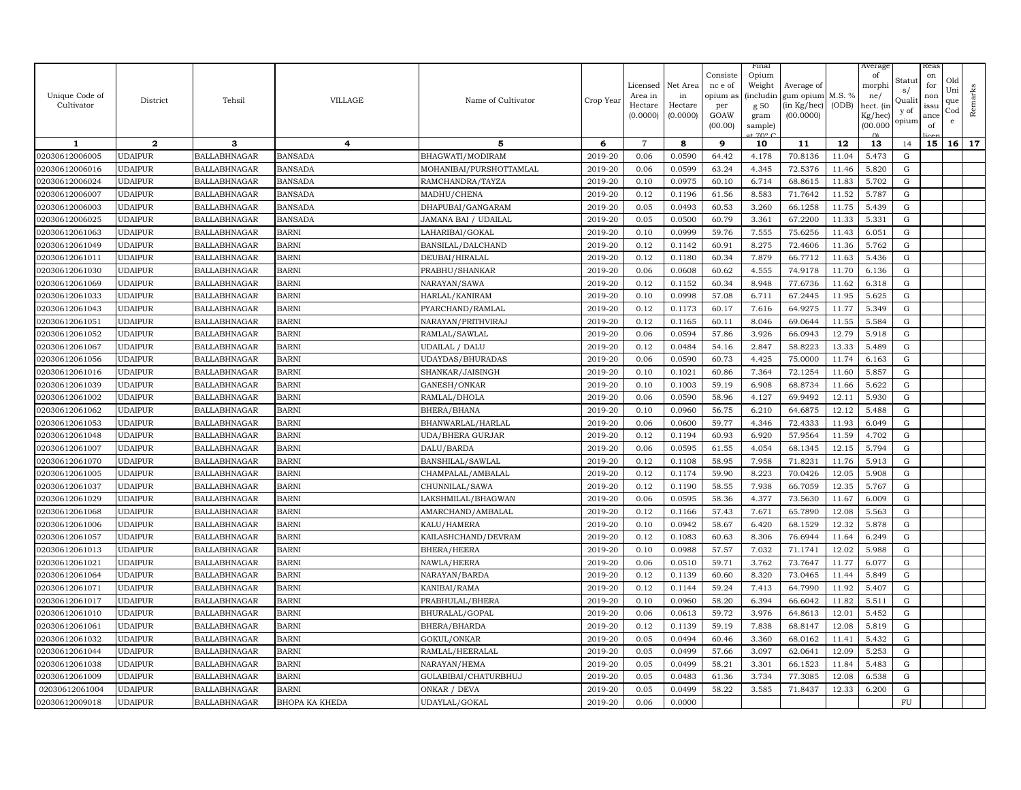| 0.0590<br>70.8136<br>5.473<br>${\rm G}$<br>02030612006005<br><b>UDAIPUR</b><br><b>BALLABHNAGAR</b><br>BHAGWATI/MODIRAM<br>2019-20<br>0.06<br>64.42<br>4.178<br>11.04<br><b>BANSADA</b><br>72.5376<br>2019-20<br>0.06<br>0.0599<br>63.24<br>4.345<br>5.820<br>${\rm G}$<br>02030612006016<br><b>UDAIPUR</b><br>BALLABHNAGAR<br><b>BANSADA</b><br>MOHANIBAI/PURSHOTTAMLAL<br>11.46<br>02030612006024<br><b>UDAIPUR</b><br><b>BALLABHNAGAR</b><br><b>BANSADA</b><br>0.10<br>0.0975<br>60.10<br>6.714<br>68.8615<br>11.83<br>5.702<br>${\bf G}$<br>RAMCHANDRA/TAYZA<br>2019-20<br><b>BALLABHNAGAR</b><br>0.1196<br>8.583<br>5.787<br>$\mathbf G$<br>02030612006007<br><b>UDAIPUR</b><br><b>BANSADA</b><br>MADHU/CHENA<br>2019-20<br>0.12<br>61.56<br>71.7642<br>11.52<br>0.05<br>0.0493<br>${\rm G}$<br>02030612006003<br><b>UDAIPUR</b><br>BALLABHNAGAR<br><b>BANSADA</b><br>DHAPUBAI/GANGARAM<br>2019-20<br>60.53<br>3.260<br>66.1258<br>11.75<br>5.439<br>02030612006025<br><b>UDAIPUR</b><br><b>BALLABHNAGAR</b><br>2019-20<br>0.05<br>0.0500<br>60.79<br>3.361<br>67.2200<br>11.33<br>5.331<br>${\rm G}$<br><b>BANSADA</b><br>JAMANA BAI / UDAILAL<br>0.0999<br>75.6256<br>G<br>02030612061063<br>UDAIPUR<br>BALLABHNAGAR<br><b>BARNI</b><br>LAHARIBAI/GOKAL<br>2019-20<br>0.10<br>59.76<br>7.555<br>11.43<br>6.051<br>0.1142<br>8.275<br>11.36<br>${\rm G}$<br>02030612061049<br>UDAIPUR<br>BALLABHNAGAR<br><b>BARNI</b><br>BANSILAL/DALCHAND<br>2019-20<br>0.12<br>60.91<br>72.4606<br>5.762<br>2019-20<br>0.1180<br>66.7712<br>${\rm G}$<br>02030612061011<br>UDAIPUR<br>BALLABHNAGAR<br><b>BARNI</b><br>DEUBAI/HIRALAL<br>0.12<br>60.34<br>7.879<br>11.63<br>5.436<br>${\rm G}$<br>2019-20<br>0.06<br>0.0608<br>60.62<br>4.555<br>74.9178<br>11.70<br>6.136<br>02030612061030<br><b>UDAIPUR</b><br>BALLABHNAGAR<br><b>BARNI</b><br>PRABHU/SHANKAR<br>02030612061069<br><b>UDAIPUR</b><br><b>BALLABHNAGAR</b><br><b>BARNI</b><br>2019-20<br>0.12<br>0.1152<br>60.34<br>8.948<br>77.6736<br>11.62<br>6.318<br>${\rm G}$<br>NARAYAN/SAWA<br>0.0998<br>57.08<br>67.2445<br>11.95<br>5.625<br>${\rm G}$<br>02030612061033<br><b>UDAIPUR</b><br>BALLABHNAGAR<br><b>BARNI</b><br>HARLAL/KANIRAM<br>2019-20<br>0.10<br>6.711<br>2019-20<br>64.9275<br>11.77<br>${\rm G}$<br>02030612061043<br><b>UDAIPUR</b><br>BALLABHNAGAR<br><b>BARNI</b><br>PYARCHAND/RAMLAL<br>0.12<br>0.1173<br>60.17<br>7.616<br>5.349<br>02030612061051<br><b>UDAIPUR</b><br>BALLABHNAGAR<br><b>BARNI</b><br>NARAYAN/PRITHVIRAJ<br>2019-20<br>0.12<br>0.1165<br>60.11<br>8.046<br>69.0644<br>11.55<br>5.584<br>G<br>${\rm G}$<br>02030612061052<br>2019-20<br>0.06<br>0.0594<br>57.86<br>3.926<br>66.0943<br>12.79<br><b>UDAIPUR</b><br>BALLABHNAGAR<br><b>BARNI</b><br>RAMLAL/SAWLAL<br>5.918<br>${\rm G}$<br>0.12<br>0.0484<br>54.16<br>2.847<br>58.8223<br>13.33<br>02030612061067<br><b>UDAIPUR</b><br>BALLABHNAGAR<br><b>BARNI</b><br><b>UDAILAL / DALU</b><br>2019-20<br>5.489<br>02030612061056<br>2019-20<br>0.06<br>0.0590<br>4.425<br>75.0000<br>11.74<br>${\rm G}$<br>UDAIPUR<br>BALLABHNAGAR<br><b>BARNI</b><br><b>UDAYDAS/BHURADAS</b><br>60.73<br>6.163<br><b>BALLABHNAGAR</b><br>0.10<br>0.1021<br>7.364<br>72.1254<br>5.857<br>$\mathbf G$<br>02030612061016<br><b>UDAIPUR</b><br><b>BARNI</b><br>SHANKAR/JAISINGH<br>2019-20<br>60.86<br>11.60<br>02030612061039<br><b>UDAIPUR</b><br><b>BALLABHNAGAR</b><br><b>BARNI</b><br>GANESH/ONKAR<br>2019-20<br>0.10<br>0.1003<br>59.19<br>6.908<br>68.8734<br>11.66<br>5.622<br>${\rm G}$<br>02030612061002<br><b>UDAIPUR</b><br><b>BALLABHNAGAR</b><br><b>BARNI</b><br>RAMLAL/DHOLA<br>2019-20<br>0.06<br>0.0590<br>58.96<br>4.127<br>69.9492<br>12.11<br>5.930<br>$\mathbf G$<br>02030612061062<br>0.10<br>0.0960<br>56.75<br>6.210<br>64.6875<br>12.12<br>5.488<br>${\rm G}$<br>UDAIPUR<br>BALLABHNAGAR<br><b>BARNI</b><br>BHERA/BHANA<br>2019-20<br>${\rm G}$<br>02030612061053<br><b>UDAIPUR</b><br>BALLABHNAGAR<br><b>BARNI</b><br>BHANWARLAL/HARLAL<br>2019-20<br>0.06<br>0.0600<br>59.77<br>4.346<br>72.4333<br>11.93<br>6.049<br><b>UDAIPUR</b><br>2019-20<br>0.1194<br>6.920<br>57.9564<br>11.59<br>4.702<br>G<br>02030612061048<br>BALLABHNAGAR<br><b>BARNI</b><br>UDA/BHERA GURJAR<br>0.12<br>60.93<br>${\rm G}$<br><b>UDAIPUR</b><br>2019-20<br>0.06<br>0.0595<br>61.55<br>4.054<br>68.1345<br>12.15<br>5.794<br>02030612061007<br>BALLABHNAGAR<br><b>BARNI</b><br>DALU/BARDA<br>0.12<br>0.1108<br>58.95<br>7.958<br>71.8231<br>11.76<br>5.913<br>G<br>02030612061070<br><b>UDAIPUR</b><br>BALLABHNAGAR<br><b>BARNI</b><br>BANSHILAL/SAWLAL<br>2019-20<br><b>BARNI</b><br>2019-20<br>0.12<br>0.1174<br>59.90<br>8.223<br>70.0426<br>12.05<br>${\rm G}$<br>02030612061005<br><b>UDAIPUR</b><br>BALLABHNAGAR<br>CHAMPALAL/AMBALAL<br>5.908<br>0.1190<br>12.35<br>02030612061037<br><b>UDAIPUR</b><br>BALLABHNAGAR<br><b>BARNI</b><br>CHUNNILAL/SAWA<br>2019-20<br>0.12<br>58.55<br>7.938<br>66.7059<br>5.767<br>G<br>${\rm G}$<br>02030612061029<br>UDAIPUR<br>2019-20<br>0.06<br>0.0595<br>58.36<br>4.377<br>73.5630<br>11.67<br>6.009<br>BALLABHNAGAR<br><b>BARNI</b><br>LAKSHMILAL/BHAGWAN<br>0.1166<br>57.43<br>7.671<br>65.7890<br>12.08<br>5.563<br>${\rm G}$<br>02030612061068<br><b>UDAIPUR</b><br>BALLABHNAGAR<br><b>BARNI</b><br>AMARCHAND/AMBALAL<br>2019-20<br>0.12<br>2019-20<br>0.0942<br>58.67<br>12.32<br>${\rm G}$<br>02030612061006<br><b>UDAIPUR</b><br>BALLABHNAGAR<br><b>BARNI</b><br>KALU/HAMERA<br>0.10<br>6.420<br>68.1529<br>5.878<br>0.12<br>8.306<br>${\rm G}$<br>02030612061057<br><b>UDAIPUR</b><br>BALLABHNAGAR<br><b>BARNI</b><br>KAILASHCHAND/DEVRAM<br>2019-20<br>0.1083<br>60.63<br>76.6944<br>11.64<br>6.249<br>${\rm G}$<br>02030612061013<br>BALLABHNAGAR<br>2019-20<br>0.10<br>0.0988<br>57.57<br>7.032<br>71.1741<br>12.02<br>5.988<br>UDAIPUR<br>BARNI<br><b>BHERA/HEERA</b><br>0.06<br>0.0510<br>3.762<br>11.77<br>${\rm G}$<br>02030612061021<br><b>UDAIPUR</b><br><b>BALLABHNAGAR</b><br><b>BARNI</b><br>NAWLA/HEERA<br>2019-20<br>59.71<br>73.7647<br>6.077<br>02030612061064<br><b>UDAIPUR</b><br><b>BALLABHNAGAR</b><br>0.12<br>0.1139<br>8.320<br>73.0465<br>5.849<br>${\rm G}$<br><b>BARNI</b><br>NARAYAN/BARDA<br>2019-20<br>60.60<br>11.44<br>0.12<br>0.1144<br>59.24<br>64.7990<br>${\rm G}$<br>02030612061071<br><b>UDAIPUR</b><br>BALLABHNAGAR<br><b>BARNI</b><br>KANIBAI/RAMA<br>2019-20<br>7.413<br>11.92<br>5.407<br>02030612061017<br>UDAIPUR<br>BALLABHNAGAR<br><b>BARNI</b><br>2019-20<br>0.10<br>0.0960<br>58.20<br>6.394<br>66.6042<br>11.82<br>5.511<br>G<br>PRABHULAL/BHERA<br>02030612061010<br><b>UDAIPUR</b><br><b>BALLABHNAGAR</b><br><b>BARNI</b><br>BHURALAL/GOPAL<br>2019-20<br>0.06<br>0.0613<br>59.72<br>3.976<br>64.8613<br>12.01<br>5.452<br>${\rm G}$<br>${\rm G}$<br>02030612061061<br>UDAIPUR<br>BALLABHNAGAR<br><b>BARNI</b><br>BHERA/BHARDA<br>2019-20<br>0.12<br>0.1139<br>59.19<br>7.838<br>68.8147<br>12.08<br>5.819<br>2019-20<br>0.0494<br>68.0162<br>${\rm G}$<br>02030612061032<br><b>UDAIPUR</b><br>BALLABHNAGAR<br><b>BARNI</b><br>GOKUL/ONKAR<br>0.05<br>60.46<br>3.360<br>11.41<br>5.432<br>${\rm G}$<br><b>UDAIPUR</b><br>2019-20<br>0.05<br>0.0499<br>57.66<br>3.097<br>62.0641<br>12.09<br>5.253<br>02030612061044<br>BALLABHNAGAR<br><b>BARNI</b><br>RAMLAL/HEERALAL<br>${\rm G}$<br>02030612061038<br><b>UDAIPUR</b><br><b>BALLABHNAGAR</b><br><b>BARNI</b><br>NARAYAN/HEMA<br>2019-20<br>0.05<br>0.0499<br>58.21<br>3.301<br>66.1523<br>11.84<br>5.483<br>02030612061009<br>2019-20<br>0.0483<br>3.734<br>77.3085<br>12.08<br>6.538<br>${\rm G}$<br>UDAIPUR<br>BALLABHNAGAR<br><b>BARNI</b><br>GULABIBAI/CHATURBHUJ<br>0.05<br>61.36<br>2019-20<br>0.05<br>0.0499<br>58.22<br>3.585<br>71.8437<br>12.33<br>6.200<br>${\rm G}$<br>02030612061004<br><b>UDAIPUR</b><br>BALLABHNAGAR<br><b>BARNI</b><br>ONKAR / DEVA<br>2019-20<br>0.06<br>0.0000<br>FU<br>02030612009018<br><b>UDAIPUR</b><br>BALLABHNAGAR<br>BHOPA KA KHEDA<br>UDAYLAL/GOKAL | Unique Code of<br>Cultivator | District     | Tehsil | VILLAGE | Name of Cultivator | Crop Year | Licensed<br>Area in<br>Hectare<br>(0.0000) | Net Area<br>in<br>Hectare<br>(0.0000) | Consiste<br>nc e of<br>opium as<br>per<br>GOAW<br>(00.00) | Final<br>Opium<br>Weight<br><i>(includir)</i><br>g 50<br>gram<br>sample)<br>$70^\circ$ | Average of<br>gum opium<br>(in Kg/hec)<br>(00.0000) | M.S. %<br>(ODB) | Averag<br>of<br>morphi<br>ne/<br>hect. (in<br>Kg/hec<br>(00.000) | Statu<br>s/<br>Quali<br>y of<br>opium | ≺ea<br>on<br>for<br>nor<br>isst<br>ance<br>of | Old<br>Uni<br>que<br>Cod | Remarks |
|---------------------------------------------------------------------------------------------------------------------------------------------------------------------------------------------------------------------------------------------------------------------------------------------------------------------------------------------------------------------------------------------------------------------------------------------------------------------------------------------------------------------------------------------------------------------------------------------------------------------------------------------------------------------------------------------------------------------------------------------------------------------------------------------------------------------------------------------------------------------------------------------------------------------------------------------------------------------------------------------------------------------------------------------------------------------------------------------------------------------------------------------------------------------------------------------------------------------------------------------------------------------------------------------------------------------------------------------------------------------------------------------------------------------------------------------------------------------------------------------------------------------------------------------------------------------------------------------------------------------------------------------------------------------------------------------------------------------------------------------------------------------------------------------------------------------------------------------------------------------------------------------------------------------------------------------------------------------------------------------------------------------------------------------------------------------------------------------------------------------------------------------------------------------------------------------------------------------------------------------------------------------------------------------------------------------------------------------------------------------------------------------------------------------------------------------------------------------------------------------------------------------------------------------------------------------------------------------------------------------------------------------------------------------------------------------------------------------------------------------------------------------------------------------------------------------------------------------------------------------------------------------------------------------------------------------------------------------------------------------------------------------------------------------------------------------------------------------------------------------------------------------------------------------------------------------------------------------------------------------------------------------------------------------------------------------------------------------------------------------------------------------------------------------------------------------------------------------------------------------------------------------------------------------------------------------------------------------------------------------------------------------------------------------------------------------------------------------------------------------------------------------------------------------------------------------------------------------------------------------------------------------------------------------------------------------------------------------------------------------------------------------------------------------------------------------------------------------------------------------------------------------------------------------------------------------------------------------------------------------------------------------------------------------------------------------------------------------------------------------------------------------------------------------------------------------------------------------------------------------------------------------------------------------------------------------------------------------------------------------------------------------------------------------------------------------------------------------------------------------------------------------------------------------------------------------------------------------------------------------------------------------------------------------------------------------------------------------------------------------------------------------------------------------------------------------------------------------------------------------------------------------------------------------------------------------------------------------------------------------------------------------------------------------------------------------------------------------------------------------------------------------------------------------------------------------------------------------------------------------------------------------------------------------------------------------------------------------------------------------------------------------------------------------------------------------------------------------------------------------------------------------------------------------------------------------------------------------------------------------------------------------------------------------------------------------------------------------------------------------------------------------------------------------------------------------------------------------------------------------------------------------------------------------------------------------------------------------------------------------------------------------------------------------------------------------------------------------------------------------------------------------------------------------------------------------------------------------------------------------------------------------------------------------------------------------------------------------------------------------------------------------------------------------------------------------------------------------------------------------------------------------------------------------------------------------------------------------------------------------------------------------------------------------------------------------------------------------------------------------------------------------------------------------------------------------------------------------------------------------------------------------------------------------------------------------------------------------------------------------------------------------------------------------------------------------------------------------------------------------------------------------------------------------------------------------------------------------------------------------------------------------------------------------------------------------------------------------------------------------------------------------------------------------------------------------------------------------------------------------------------------------------------------------------------------------------------------------------------------------------------------------------------------------------------------------------------------------------------------|------------------------------|--------------|--------|---------|--------------------|-----------|--------------------------------------------|---------------------------------------|-----------------------------------------------------------|----------------------------------------------------------------------------------------|-----------------------------------------------------|-----------------|------------------------------------------------------------------|---------------------------------------|-----------------------------------------------|--------------------------|---------|
|                                                                                                                                                                                                                                                                                                                                                                                                                                                                                                                                                                                                                                                                                                                                                                                                                                                                                                                                                                                                                                                                                                                                                                                                                                                                                                                                                                                                                                                                                                                                                                                                                                                                                                                                                                                                                                                                                                                                                                                                                                                                                                                                                                                                                                                                                                                                                                                                                                                                                                                                                                                                                                                                                                                                                                                                                                                                                                                                                                                                                                                                                                                                                                                                                                                                                                                                                                                                                                                                                                                                                                                                                                                                                                                                                                                                                                                                                                                                                                                                                                                                                                                                                                                                                                                                                                                                                                                                                                                                                                                                                                                                                                                                                                                                                                                                                                                                                                                                                                                                                                                                                                                                                                                                                                                                                                                                                                                                                                                                                                                                                                                                                                                                                                                                                                                                                                                                                                                                                                                                                                                                                                                                                                                                                                                                                                                                                                                                                                                                                                                                                                                                                                                                                                                                                                                                                                                                                                                                                                                                                                                                                                                                                                                                                                                                                                                                                                                                                                                                                                                                                                                                                                                                                                                                                                                                                                                                                                                                                                                       | 1                            | $\mathbf{2}$ | з      | 4       | 5                  | 6         | $\overline{7}$                             | 8                                     | 9                                                         | 10                                                                                     | 11                                                  | 12              | 13                                                               | 14                                    | 15                                            | 16 <sup>1</sup>          | 17      |
|                                                                                                                                                                                                                                                                                                                                                                                                                                                                                                                                                                                                                                                                                                                                                                                                                                                                                                                                                                                                                                                                                                                                                                                                                                                                                                                                                                                                                                                                                                                                                                                                                                                                                                                                                                                                                                                                                                                                                                                                                                                                                                                                                                                                                                                                                                                                                                                                                                                                                                                                                                                                                                                                                                                                                                                                                                                                                                                                                                                                                                                                                                                                                                                                                                                                                                                                                                                                                                                                                                                                                                                                                                                                                                                                                                                                                                                                                                                                                                                                                                                                                                                                                                                                                                                                                                                                                                                                                                                                                                                                                                                                                                                                                                                                                                                                                                                                                                                                                                                                                                                                                                                                                                                                                                                                                                                                                                                                                                                                                                                                                                                                                                                                                                                                                                                                                                                                                                                                                                                                                                                                                                                                                                                                                                                                                                                                                                                                                                                                                                                                                                                                                                                                                                                                                                                                                                                                                                                                                                                                                                                                                                                                                                                                                                                                                                                                                                                                                                                                                                                                                                                                                                                                                                                                                                                                                                                                                                                                                                                       |                              |              |        |         |                    |           |                                            |                                       |                                                           |                                                                                        |                                                     |                 |                                                                  |                                       |                                               |                          |         |
|                                                                                                                                                                                                                                                                                                                                                                                                                                                                                                                                                                                                                                                                                                                                                                                                                                                                                                                                                                                                                                                                                                                                                                                                                                                                                                                                                                                                                                                                                                                                                                                                                                                                                                                                                                                                                                                                                                                                                                                                                                                                                                                                                                                                                                                                                                                                                                                                                                                                                                                                                                                                                                                                                                                                                                                                                                                                                                                                                                                                                                                                                                                                                                                                                                                                                                                                                                                                                                                                                                                                                                                                                                                                                                                                                                                                                                                                                                                                                                                                                                                                                                                                                                                                                                                                                                                                                                                                                                                                                                                                                                                                                                                                                                                                                                                                                                                                                                                                                                                                                                                                                                                                                                                                                                                                                                                                                                                                                                                                                                                                                                                                                                                                                                                                                                                                                                                                                                                                                                                                                                                                                                                                                                                                                                                                                                                                                                                                                                                                                                                                                                                                                                                                                                                                                                                                                                                                                                                                                                                                                                                                                                                                                                                                                                                                                                                                                                                                                                                                                                                                                                                                                                                                                                                                                                                                                                                                                                                                                                                       |                              |              |        |         |                    |           |                                            |                                       |                                                           |                                                                                        |                                                     |                 |                                                                  |                                       |                                               |                          |         |
|                                                                                                                                                                                                                                                                                                                                                                                                                                                                                                                                                                                                                                                                                                                                                                                                                                                                                                                                                                                                                                                                                                                                                                                                                                                                                                                                                                                                                                                                                                                                                                                                                                                                                                                                                                                                                                                                                                                                                                                                                                                                                                                                                                                                                                                                                                                                                                                                                                                                                                                                                                                                                                                                                                                                                                                                                                                                                                                                                                                                                                                                                                                                                                                                                                                                                                                                                                                                                                                                                                                                                                                                                                                                                                                                                                                                                                                                                                                                                                                                                                                                                                                                                                                                                                                                                                                                                                                                                                                                                                                                                                                                                                                                                                                                                                                                                                                                                                                                                                                                                                                                                                                                                                                                                                                                                                                                                                                                                                                                                                                                                                                                                                                                                                                                                                                                                                                                                                                                                                                                                                                                                                                                                                                                                                                                                                                                                                                                                                                                                                                                                                                                                                                                                                                                                                                                                                                                                                                                                                                                                                                                                                                                                                                                                                                                                                                                                                                                                                                                                                                                                                                                                                                                                                                                                                                                                                                                                                                                                                                       |                              |              |        |         |                    |           |                                            |                                       |                                                           |                                                                                        |                                                     |                 |                                                                  |                                       |                                               |                          |         |
|                                                                                                                                                                                                                                                                                                                                                                                                                                                                                                                                                                                                                                                                                                                                                                                                                                                                                                                                                                                                                                                                                                                                                                                                                                                                                                                                                                                                                                                                                                                                                                                                                                                                                                                                                                                                                                                                                                                                                                                                                                                                                                                                                                                                                                                                                                                                                                                                                                                                                                                                                                                                                                                                                                                                                                                                                                                                                                                                                                                                                                                                                                                                                                                                                                                                                                                                                                                                                                                                                                                                                                                                                                                                                                                                                                                                                                                                                                                                                                                                                                                                                                                                                                                                                                                                                                                                                                                                                                                                                                                                                                                                                                                                                                                                                                                                                                                                                                                                                                                                                                                                                                                                                                                                                                                                                                                                                                                                                                                                                                                                                                                                                                                                                                                                                                                                                                                                                                                                                                                                                                                                                                                                                                                                                                                                                                                                                                                                                                                                                                                                                                                                                                                                                                                                                                                                                                                                                                                                                                                                                                                                                                                                                                                                                                                                                                                                                                                                                                                                                                                                                                                                                                                                                                                                                                                                                                                                                                                                                                                       |                              |              |        |         |                    |           |                                            |                                       |                                                           |                                                                                        |                                                     |                 |                                                                  |                                       |                                               |                          |         |
|                                                                                                                                                                                                                                                                                                                                                                                                                                                                                                                                                                                                                                                                                                                                                                                                                                                                                                                                                                                                                                                                                                                                                                                                                                                                                                                                                                                                                                                                                                                                                                                                                                                                                                                                                                                                                                                                                                                                                                                                                                                                                                                                                                                                                                                                                                                                                                                                                                                                                                                                                                                                                                                                                                                                                                                                                                                                                                                                                                                                                                                                                                                                                                                                                                                                                                                                                                                                                                                                                                                                                                                                                                                                                                                                                                                                                                                                                                                                                                                                                                                                                                                                                                                                                                                                                                                                                                                                                                                                                                                                                                                                                                                                                                                                                                                                                                                                                                                                                                                                                                                                                                                                                                                                                                                                                                                                                                                                                                                                                                                                                                                                                                                                                                                                                                                                                                                                                                                                                                                                                                                                                                                                                                                                                                                                                                                                                                                                                                                                                                                                                                                                                                                                                                                                                                                                                                                                                                                                                                                                                                                                                                                                                                                                                                                                                                                                                                                                                                                                                                                                                                                                                                                                                                                                                                                                                                                                                                                                                                                       |                              |              |        |         |                    |           |                                            |                                       |                                                           |                                                                                        |                                                     |                 |                                                                  |                                       |                                               |                          |         |
|                                                                                                                                                                                                                                                                                                                                                                                                                                                                                                                                                                                                                                                                                                                                                                                                                                                                                                                                                                                                                                                                                                                                                                                                                                                                                                                                                                                                                                                                                                                                                                                                                                                                                                                                                                                                                                                                                                                                                                                                                                                                                                                                                                                                                                                                                                                                                                                                                                                                                                                                                                                                                                                                                                                                                                                                                                                                                                                                                                                                                                                                                                                                                                                                                                                                                                                                                                                                                                                                                                                                                                                                                                                                                                                                                                                                                                                                                                                                                                                                                                                                                                                                                                                                                                                                                                                                                                                                                                                                                                                                                                                                                                                                                                                                                                                                                                                                                                                                                                                                                                                                                                                                                                                                                                                                                                                                                                                                                                                                                                                                                                                                                                                                                                                                                                                                                                                                                                                                                                                                                                                                                                                                                                                                                                                                                                                                                                                                                                                                                                                                                                                                                                                                                                                                                                                                                                                                                                                                                                                                                                                                                                                                                                                                                                                                                                                                                                                                                                                                                                                                                                                                                                                                                                                                                                                                                                                                                                                                                                                       |                              |              |        |         |                    |           |                                            |                                       |                                                           |                                                                                        |                                                     |                 |                                                                  |                                       |                                               |                          |         |
|                                                                                                                                                                                                                                                                                                                                                                                                                                                                                                                                                                                                                                                                                                                                                                                                                                                                                                                                                                                                                                                                                                                                                                                                                                                                                                                                                                                                                                                                                                                                                                                                                                                                                                                                                                                                                                                                                                                                                                                                                                                                                                                                                                                                                                                                                                                                                                                                                                                                                                                                                                                                                                                                                                                                                                                                                                                                                                                                                                                                                                                                                                                                                                                                                                                                                                                                                                                                                                                                                                                                                                                                                                                                                                                                                                                                                                                                                                                                                                                                                                                                                                                                                                                                                                                                                                                                                                                                                                                                                                                                                                                                                                                                                                                                                                                                                                                                                                                                                                                                                                                                                                                                                                                                                                                                                                                                                                                                                                                                                                                                                                                                                                                                                                                                                                                                                                                                                                                                                                                                                                                                                                                                                                                                                                                                                                                                                                                                                                                                                                                                                                                                                                                                                                                                                                                                                                                                                                                                                                                                                                                                                                                                                                                                                                                                                                                                                                                                                                                                                                                                                                                                                                                                                                                                                                                                                                                                                                                                                                                       |                              |              |        |         |                    |           |                                            |                                       |                                                           |                                                                                        |                                                     |                 |                                                                  |                                       |                                               |                          |         |
|                                                                                                                                                                                                                                                                                                                                                                                                                                                                                                                                                                                                                                                                                                                                                                                                                                                                                                                                                                                                                                                                                                                                                                                                                                                                                                                                                                                                                                                                                                                                                                                                                                                                                                                                                                                                                                                                                                                                                                                                                                                                                                                                                                                                                                                                                                                                                                                                                                                                                                                                                                                                                                                                                                                                                                                                                                                                                                                                                                                                                                                                                                                                                                                                                                                                                                                                                                                                                                                                                                                                                                                                                                                                                                                                                                                                                                                                                                                                                                                                                                                                                                                                                                                                                                                                                                                                                                                                                                                                                                                                                                                                                                                                                                                                                                                                                                                                                                                                                                                                                                                                                                                                                                                                                                                                                                                                                                                                                                                                                                                                                                                                                                                                                                                                                                                                                                                                                                                                                                                                                                                                                                                                                                                                                                                                                                                                                                                                                                                                                                                                                                                                                                                                                                                                                                                                                                                                                                                                                                                                                                                                                                                                                                                                                                                                                                                                                                                                                                                                                                                                                                                                                                                                                                                                                                                                                                                                                                                                                                                       |                              |              |        |         |                    |           |                                            |                                       |                                                           |                                                                                        |                                                     |                 |                                                                  |                                       |                                               |                          |         |
|                                                                                                                                                                                                                                                                                                                                                                                                                                                                                                                                                                                                                                                                                                                                                                                                                                                                                                                                                                                                                                                                                                                                                                                                                                                                                                                                                                                                                                                                                                                                                                                                                                                                                                                                                                                                                                                                                                                                                                                                                                                                                                                                                                                                                                                                                                                                                                                                                                                                                                                                                                                                                                                                                                                                                                                                                                                                                                                                                                                                                                                                                                                                                                                                                                                                                                                                                                                                                                                                                                                                                                                                                                                                                                                                                                                                                                                                                                                                                                                                                                                                                                                                                                                                                                                                                                                                                                                                                                                                                                                                                                                                                                                                                                                                                                                                                                                                                                                                                                                                                                                                                                                                                                                                                                                                                                                                                                                                                                                                                                                                                                                                                                                                                                                                                                                                                                                                                                                                                                                                                                                                                                                                                                                                                                                                                                                                                                                                                                                                                                                                                                                                                                                                                                                                                                                                                                                                                                                                                                                                                                                                                                                                                                                                                                                                                                                                                                                                                                                                                                                                                                                                                                                                                                                                                                                                                                                                                                                                                                                       |                              |              |        |         |                    |           |                                            |                                       |                                                           |                                                                                        |                                                     |                 |                                                                  |                                       |                                               |                          |         |
|                                                                                                                                                                                                                                                                                                                                                                                                                                                                                                                                                                                                                                                                                                                                                                                                                                                                                                                                                                                                                                                                                                                                                                                                                                                                                                                                                                                                                                                                                                                                                                                                                                                                                                                                                                                                                                                                                                                                                                                                                                                                                                                                                                                                                                                                                                                                                                                                                                                                                                                                                                                                                                                                                                                                                                                                                                                                                                                                                                                                                                                                                                                                                                                                                                                                                                                                                                                                                                                                                                                                                                                                                                                                                                                                                                                                                                                                                                                                                                                                                                                                                                                                                                                                                                                                                                                                                                                                                                                                                                                                                                                                                                                                                                                                                                                                                                                                                                                                                                                                                                                                                                                                                                                                                                                                                                                                                                                                                                                                                                                                                                                                                                                                                                                                                                                                                                                                                                                                                                                                                                                                                                                                                                                                                                                                                                                                                                                                                                                                                                                                                                                                                                                                                                                                                                                                                                                                                                                                                                                                                                                                                                                                                                                                                                                                                                                                                                                                                                                                                                                                                                                                                                                                                                                                                                                                                                                                                                                                                                                       |                              |              |        |         |                    |           |                                            |                                       |                                                           |                                                                                        |                                                     |                 |                                                                  |                                       |                                               |                          |         |
|                                                                                                                                                                                                                                                                                                                                                                                                                                                                                                                                                                                                                                                                                                                                                                                                                                                                                                                                                                                                                                                                                                                                                                                                                                                                                                                                                                                                                                                                                                                                                                                                                                                                                                                                                                                                                                                                                                                                                                                                                                                                                                                                                                                                                                                                                                                                                                                                                                                                                                                                                                                                                                                                                                                                                                                                                                                                                                                                                                                                                                                                                                                                                                                                                                                                                                                                                                                                                                                                                                                                                                                                                                                                                                                                                                                                                                                                                                                                                                                                                                                                                                                                                                                                                                                                                                                                                                                                                                                                                                                                                                                                                                                                                                                                                                                                                                                                                                                                                                                                                                                                                                                                                                                                                                                                                                                                                                                                                                                                                                                                                                                                                                                                                                                                                                                                                                                                                                                                                                                                                                                                                                                                                                                                                                                                                                                                                                                                                                                                                                                                                                                                                                                                                                                                                                                                                                                                                                                                                                                                                                                                                                                                                                                                                                                                                                                                                                                                                                                                                                                                                                                                                                                                                                                                                                                                                                                                                                                                                                                       |                              |              |        |         |                    |           |                                            |                                       |                                                           |                                                                                        |                                                     |                 |                                                                  |                                       |                                               |                          |         |
|                                                                                                                                                                                                                                                                                                                                                                                                                                                                                                                                                                                                                                                                                                                                                                                                                                                                                                                                                                                                                                                                                                                                                                                                                                                                                                                                                                                                                                                                                                                                                                                                                                                                                                                                                                                                                                                                                                                                                                                                                                                                                                                                                                                                                                                                                                                                                                                                                                                                                                                                                                                                                                                                                                                                                                                                                                                                                                                                                                                                                                                                                                                                                                                                                                                                                                                                                                                                                                                                                                                                                                                                                                                                                                                                                                                                                                                                                                                                                                                                                                                                                                                                                                                                                                                                                                                                                                                                                                                                                                                                                                                                                                                                                                                                                                                                                                                                                                                                                                                                                                                                                                                                                                                                                                                                                                                                                                                                                                                                                                                                                                                                                                                                                                                                                                                                                                                                                                                                                                                                                                                                                                                                                                                                                                                                                                                                                                                                                                                                                                                                                                                                                                                                                                                                                                                                                                                                                                                                                                                                                                                                                                                                                                                                                                                                                                                                                                                                                                                                                                                                                                                                                                                                                                                                                                                                                                                                                                                                                                                       |                              |              |        |         |                    |           |                                            |                                       |                                                           |                                                                                        |                                                     |                 |                                                                  |                                       |                                               |                          |         |
|                                                                                                                                                                                                                                                                                                                                                                                                                                                                                                                                                                                                                                                                                                                                                                                                                                                                                                                                                                                                                                                                                                                                                                                                                                                                                                                                                                                                                                                                                                                                                                                                                                                                                                                                                                                                                                                                                                                                                                                                                                                                                                                                                                                                                                                                                                                                                                                                                                                                                                                                                                                                                                                                                                                                                                                                                                                                                                                                                                                                                                                                                                                                                                                                                                                                                                                                                                                                                                                                                                                                                                                                                                                                                                                                                                                                                                                                                                                                                                                                                                                                                                                                                                                                                                                                                                                                                                                                                                                                                                                                                                                                                                                                                                                                                                                                                                                                                                                                                                                                                                                                                                                                                                                                                                                                                                                                                                                                                                                                                                                                                                                                                                                                                                                                                                                                                                                                                                                                                                                                                                                                                                                                                                                                                                                                                                                                                                                                                                                                                                                                                                                                                                                                                                                                                                                                                                                                                                                                                                                                                                                                                                                                                                                                                                                                                                                                                                                                                                                                                                                                                                                                                                                                                                                                                                                                                                                                                                                                                                                       |                              |              |        |         |                    |           |                                            |                                       |                                                           |                                                                                        |                                                     |                 |                                                                  |                                       |                                               |                          |         |
|                                                                                                                                                                                                                                                                                                                                                                                                                                                                                                                                                                                                                                                                                                                                                                                                                                                                                                                                                                                                                                                                                                                                                                                                                                                                                                                                                                                                                                                                                                                                                                                                                                                                                                                                                                                                                                                                                                                                                                                                                                                                                                                                                                                                                                                                                                                                                                                                                                                                                                                                                                                                                                                                                                                                                                                                                                                                                                                                                                                                                                                                                                                                                                                                                                                                                                                                                                                                                                                                                                                                                                                                                                                                                                                                                                                                                                                                                                                                                                                                                                                                                                                                                                                                                                                                                                                                                                                                                                                                                                                                                                                                                                                                                                                                                                                                                                                                                                                                                                                                                                                                                                                                                                                                                                                                                                                                                                                                                                                                                                                                                                                                                                                                                                                                                                                                                                                                                                                                                                                                                                                                                                                                                                                                                                                                                                                                                                                                                                                                                                                                                                                                                                                                                                                                                                                                                                                                                                                                                                                                                                                                                                                                                                                                                                                                                                                                                                                                                                                                                                                                                                                                                                                                                                                                                                                                                                                                                                                                                                                       |                              |              |        |         |                    |           |                                            |                                       |                                                           |                                                                                        |                                                     |                 |                                                                  |                                       |                                               |                          |         |
|                                                                                                                                                                                                                                                                                                                                                                                                                                                                                                                                                                                                                                                                                                                                                                                                                                                                                                                                                                                                                                                                                                                                                                                                                                                                                                                                                                                                                                                                                                                                                                                                                                                                                                                                                                                                                                                                                                                                                                                                                                                                                                                                                                                                                                                                                                                                                                                                                                                                                                                                                                                                                                                                                                                                                                                                                                                                                                                                                                                                                                                                                                                                                                                                                                                                                                                                                                                                                                                                                                                                                                                                                                                                                                                                                                                                                                                                                                                                                                                                                                                                                                                                                                                                                                                                                                                                                                                                                                                                                                                                                                                                                                                                                                                                                                                                                                                                                                                                                                                                                                                                                                                                                                                                                                                                                                                                                                                                                                                                                                                                                                                                                                                                                                                                                                                                                                                                                                                                                                                                                                                                                                                                                                                                                                                                                                                                                                                                                                                                                                                                                                                                                                                                                                                                                                                                                                                                                                                                                                                                                                                                                                                                                                                                                                                                                                                                                                                                                                                                                                                                                                                                                                                                                                                                                                                                                                                                                                                                                                                       |                              |              |        |         |                    |           |                                            |                                       |                                                           |                                                                                        |                                                     |                 |                                                                  |                                       |                                               |                          |         |
|                                                                                                                                                                                                                                                                                                                                                                                                                                                                                                                                                                                                                                                                                                                                                                                                                                                                                                                                                                                                                                                                                                                                                                                                                                                                                                                                                                                                                                                                                                                                                                                                                                                                                                                                                                                                                                                                                                                                                                                                                                                                                                                                                                                                                                                                                                                                                                                                                                                                                                                                                                                                                                                                                                                                                                                                                                                                                                                                                                                                                                                                                                                                                                                                                                                                                                                                                                                                                                                                                                                                                                                                                                                                                                                                                                                                                                                                                                                                                                                                                                                                                                                                                                                                                                                                                                                                                                                                                                                                                                                                                                                                                                                                                                                                                                                                                                                                                                                                                                                                                                                                                                                                                                                                                                                                                                                                                                                                                                                                                                                                                                                                                                                                                                                                                                                                                                                                                                                                                                                                                                                                                                                                                                                                                                                                                                                                                                                                                                                                                                                                                                                                                                                                                                                                                                                                                                                                                                                                                                                                                                                                                                                                                                                                                                                                                                                                                                                                                                                                                                                                                                                                                                                                                                                                                                                                                                                                                                                                                                                       |                              |              |        |         |                    |           |                                            |                                       |                                                           |                                                                                        |                                                     |                 |                                                                  |                                       |                                               |                          |         |
|                                                                                                                                                                                                                                                                                                                                                                                                                                                                                                                                                                                                                                                                                                                                                                                                                                                                                                                                                                                                                                                                                                                                                                                                                                                                                                                                                                                                                                                                                                                                                                                                                                                                                                                                                                                                                                                                                                                                                                                                                                                                                                                                                                                                                                                                                                                                                                                                                                                                                                                                                                                                                                                                                                                                                                                                                                                                                                                                                                                                                                                                                                                                                                                                                                                                                                                                                                                                                                                                                                                                                                                                                                                                                                                                                                                                                                                                                                                                                                                                                                                                                                                                                                                                                                                                                                                                                                                                                                                                                                                                                                                                                                                                                                                                                                                                                                                                                                                                                                                                                                                                                                                                                                                                                                                                                                                                                                                                                                                                                                                                                                                                                                                                                                                                                                                                                                                                                                                                                                                                                                                                                                                                                                                                                                                                                                                                                                                                                                                                                                                                                                                                                                                                                                                                                                                                                                                                                                                                                                                                                                                                                                                                                                                                                                                                                                                                                                                                                                                                                                                                                                                                                                                                                                                                                                                                                                                                                                                                                                                       |                              |              |        |         |                    |           |                                            |                                       |                                                           |                                                                                        |                                                     |                 |                                                                  |                                       |                                               |                          |         |
|                                                                                                                                                                                                                                                                                                                                                                                                                                                                                                                                                                                                                                                                                                                                                                                                                                                                                                                                                                                                                                                                                                                                                                                                                                                                                                                                                                                                                                                                                                                                                                                                                                                                                                                                                                                                                                                                                                                                                                                                                                                                                                                                                                                                                                                                                                                                                                                                                                                                                                                                                                                                                                                                                                                                                                                                                                                                                                                                                                                                                                                                                                                                                                                                                                                                                                                                                                                                                                                                                                                                                                                                                                                                                                                                                                                                                                                                                                                                                                                                                                                                                                                                                                                                                                                                                                                                                                                                                                                                                                                                                                                                                                                                                                                                                                                                                                                                                                                                                                                                                                                                                                                                                                                                                                                                                                                                                                                                                                                                                                                                                                                                                                                                                                                                                                                                                                                                                                                                                                                                                                                                                                                                                                                                                                                                                                                                                                                                                                                                                                                                                                                                                                                                                                                                                                                                                                                                                                                                                                                                                                                                                                                                                                                                                                                                                                                                                                                                                                                                                                                                                                                                                                                                                                                                                                                                                                                                                                                                                                                       |                              |              |        |         |                    |           |                                            |                                       |                                                           |                                                                                        |                                                     |                 |                                                                  |                                       |                                               |                          |         |
|                                                                                                                                                                                                                                                                                                                                                                                                                                                                                                                                                                                                                                                                                                                                                                                                                                                                                                                                                                                                                                                                                                                                                                                                                                                                                                                                                                                                                                                                                                                                                                                                                                                                                                                                                                                                                                                                                                                                                                                                                                                                                                                                                                                                                                                                                                                                                                                                                                                                                                                                                                                                                                                                                                                                                                                                                                                                                                                                                                                                                                                                                                                                                                                                                                                                                                                                                                                                                                                                                                                                                                                                                                                                                                                                                                                                                                                                                                                                                                                                                                                                                                                                                                                                                                                                                                                                                                                                                                                                                                                                                                                                                                                                                                                                                                                                                                                                                                                                                                                                                                                                                                                                                                                                                                                                                                                                                                                                                                                                                                                                                                                                                                                                                                                                                                                                                                                                                                                                                                                                                                                                                                                                                                                                                                                                                                                                                                                                                                                                                                                                                                                                                                                                                                                                                                                                                                                                                                                                                                                                                                                                                                                                                                                                                                                                                                                                                                                                                                                                                                                                                                                                                                                                                                                                                                                                                                                                                                                                                                                       |                              |              |        |         |                    |           |                                            |                                       |                                                           |                                                                                        |                                                     |                 |                                                                  |                                       |                                               |                          |         |
|                                                                                                                                                                                                                                                                                                                                                                                                                                                                                                                                                                                                                                                                                                                                                                                                                                                                                                                                                                                                                                                                                                                                                                                                                                                                                                                                                                                                                                                                                                                                                                                                                                                                                                                                                                                                                                                                                                                                                                                                                                                                                                                                                                                                                                                                                                                                                                                                                                                                                                                                                                                                                                                                                                                                                                                                                                                                                                                                                                                                                                                                                                                                                                                                                                                                                                                                                                                                                                                                                                                                                                                                                                                                                                                                                                                                                                                                                                                                                                                                                                                                                                                                                                                                                                                                                                                                                                                                                                                                                                                                                                                                                                                                                                                                                                                                                                                                                                                                                                                                                                                                                                                                                                                                                                                                                                                                                                                                                                                                                                                                                                                                                                                                                                                                                                                                                                                                                                                                                                                                                                                                                                                                                                                                                                                                                                                                                                                                                                                                                                                                                                                                                                                                                                                                                                                                                                                                                                                                                                                                                                                                                                                                                                                                                                                                                                                                                                                                                                                                                                                                                                                                                                                                                                                                                                                                                                                                                                                                                                                       |                              |              |        |         |                    |           |                                            |                                       |                                                           |                                                                                        |                                                     |                 |                                                                  |                                       |                                               |                          |         |
|                                                                                                                                                                                                                                                                                                                                                                                                                                                                                                                                                                                                                                                                                                                                                                                                                                                                                                                                                                                                                                                                                                                                                                                                                                                                                                                                                                                                                                                                                                                                                                                                                                                                                                                                                                                                                                                                                                                                                                                                                                                                                                                                                                                                                                                                                                                                                                                                                                                                                                                                                                                                                                                                                                                                                                                                                                                                                                                                                                                                                                                                                                                                                                                                                                                                                                                                                                                                                                                                                                                                                                                                                                                                                                                                                                                                                                                                                                                                                                                                                                                                                                                                                                                                                                                                                                                                                                                                                                                                                                                                                                                                                                                                                                                                                                                                                                                                                                                                                                                                                                                                                                                                                                                                                                                                                                                                                                                                                                                                                                                                                                                                                                                                                                                                                                                                                                                                                                                                                                                                                                                                                                                                                                                                                                                                                                                                                                                                                                                                                                                                                                                                                                                                                                                                                                                                                                                                                                                                                                                                                                                                                                                                                                                                                                                                                                                                                                                                                                                                                                                                                                                                                                                                                                                                                                                                                                                                                                                                                                                       |                              |              |        |         |                    |           |                                            |                                       |                                                           |                                                                                        |                                                     |                 |                                                                  |                                       |                                               |                          |         |
|                                                                                                                                                                                                                                                                                                                                                                                                                                                                                                                                                                                                                                                                                                                                                                                                                                                                                                                                                                                                                                                                                                                                                                                                                                                                                                                                                                                                                                                                                                                                                                                                                                                                                                                                                                                                                                                                                                                                                                                                                                                                                                                                                                                                                                                                                                                                                                                                                                                                                                                                                                                                                                                                                                                                                                                                                                                                                                                                                                                                                                                                                                                                                                                                                                                                                                                                                                                                                                                                                                                                                                                                                                                                                                                                                                                                                                                                                                                                                                                                                                                                                                                                                                                                                                                                                                                                                                                                                                                                                                                                                                                                                                                                                                                                                                                                                                                                                                                                                                                                                                                                                                                                                                                                                                                                                                                                                                                                                                                                                                                                                                                                                                                                                                                                                                                                                                                                                                                                                                                                                                                                                                                                                                                                                                                                                                                                                                                                                                                                                                                                                                                                                                                                                                                                                                                                                                                                                                                                                                                                                                                                                                                                                                                                                                                                                                                                                                                                                                                                                                                                                                                                                                                                                                                                                                                                                                                                                                                                                                                       |                              |              |        |         |                    |           |                                            |                                       |                                                           |                                                                                        |                                                     |                 |                                                                  |                                       |                                               |                          |         |
|                                                                                                                                                                                                                                                                                                                                                                                                                                                                                                                                                                                                                                                                                                                                                                                                                                                                                                                                                                                                                                                                                                                                                                                                                                                                                                                                                                                                                                                                                                                                                                                                                                                                                                                                                                                                                                                                                                                                                                                                                                                                                                                                                                                                                                                                                                                                                                                                                                                                                                                                                                                                                                                                                                                                                                                                                                                                                                                                                                                                                                                                                                                                                                                                                                                                                                                                                                                                                                                                                                                                                                                                                                                                                                                                                                                                                                                                                                                                                                                                                                                                                                                                                                                                                                                                                                                                                                                                                                                                                                                                                                                                                                                                                                                                                                                                                                                                                                                                                                                                                                                                                                                                                                                                                                                                                                                                                                                                                                                                                                                                                                                                                                                                                                                                                                                                                                                                                                                                                                                                                                                                                                                                                                                                                                                                                                                                                                                                                                                                                                                                                                                                                                                                                                                                                                                                                                                                                                                                                                                                                                                                                                                                                                                                                                                                                                                                                                                                                                                                                                                                                                                                                                                                                                                                                                                                                                                                                                                                                                                       |                              |              |        |         |                    |           |                                            |                                       |                                                           |                                                                                        |                                                     |                 |                                                                  |                                       |                                               |                          |         |
|                                                                                                                                                                                                                                                                                                                                                                                                                                                                                                                                                                                                                                                                                                                                                                                                                                                                                                                                                                                                                                                                                                                                                                                                                                                                                                                                                                                                                                                                                                                                                                                                                                                                                                                                                                                                                                                                                                                                                                                                                                                                                                                                                                                                                                                                                                                                                                                                                                                                                                                                                                                                                                                                                                                                                                                                                                                                                                                                                                                                                                                                                                                                                                                                                                                                                                                                                                                                                                                                                                                                                                                                                                                                                                                                                                                                                                                                                                                                                                                                                                                                                                                                                                                                                                                                                                                                                                                                                                                                                                                                                                                                                                                                                                                                                                                                                                                                                                                                                                                                                                                                                                                                                                                                                                                                                                                                                                                                                                                                                                                                                                                                                                                                                                                                                                                                                                                                                                                                                                                                                                                                                                                                                                                                                                                                                                                                                                                                                                                                                                                                                                                                                                                                                                                                                                                                                                                                                                                                                                                                                                                                                                                                                                                                                                                                                                                                                                                                                                                                                                                                                                                                                                                                                                                                                                                                                                                                                                                                                                                       |                              |              |        |         |                    |           |                                            |                                       |                                                           |                                                                                        |                                                     |                 |                                                                  |                                       |                                               |                          |         |
|                                                                                                                                                                                                                                                                                                                                                                                                                                                                                                                                                                                                                                                                                                                                                                                                                                                                                                                                                                                                                                                                                                                                                                                                                                                                                                                                                                                                                                                                                                                                                                                                                                                                                                                                                                                                                                                                                                                                                                                                                                                                                                                                                                                                                                                                                                                                                                                                                                                                                                                                                                                                                                                                                                                                                                                                                                                                                                                                                                                                                                                                                                                                                                                                                                                                                                                                                                                                                                                                                                                                                                                                                                                                                                                                                                                                                                                                                                                                                                                                                                                                                                                                                                                                                                                                                                                                                                                                                                                                                                                                                                                                                                                                                                                                                                                                                                                                                                                                                                                                                                                                                                                                                                                                                                                                                                                                                                                                                                                                                                                                                                                                                                                                                                                                                                                                                                                                                                                                                                                                                                                                                                                                                                                                                                                                                                                                                                                                                                                                                                                                                                                                                                                                                                                                                                                                                                                                                                                                                                                                                                                                                                                                                                                                                                                                                                                                                                                                                                                                                                                                                                                                                                                                                                                                                                                                                                                                                                                                                                                       |                              |              |        |         |                    |           |                                            |                                       |                                                           |                                                                                        |                                                     |                 |                                                                  |                                       |                                               |                          |         |
|                                                                                                                                                                                                                                                                                                                                                                                                                                                                                                                                                                                                                                                                                                                                                                                                                                                                                                                                                                                                                                                                                                                                                                                                                                                                                                                                                                                                                                                                                                                                                                                                                                                                                                                                                                                                                                                                                                                                                                                                                                                                                                                                                                                                                                                                                                                                                                                                                                                                                                                                                                                                                                                                                                                                                                                                                                                                                                                                                                                                                                                                                                                                                                                                                                                                                                                                                                                                                                                                                                                                                                                                                                                                                                                                                                                                                                                                                                                                                                                                                                                                                                                                                                                                                                                                                                                                                                                                                                                                                                                                                                                                                                                                                                                                                                                                                                                                                                                                                                                                                                                                                                                                                                                                                                                                                                                                                                                                                                                                                                                                                                                                                                                                                                                                                                                                                                                                                                                                                                                                                                                                                                                                                                                                                                                                                                                                                                                                                                                                                                                                                                                                                                                                                                                                                                                                                                                                                                                                                                                                                                                                                                                                                                                                                                                                                                                                                                                                                                                                                                                                                                                                                                                                                                                                                                                                                                                                                                                                                                                       |                              |              |        |         |                    |           |                                            |                                       |                                                           |                                                                                        |                                                     |                 |                                                                  |                                       |                                               |                          |         |
|                                                                                                                                                                                                                                                                                                                                                                                                                                                                                                                                                                                                                                                                                                                                                                                                                                                                                                                                                                                                                                                                                                                                                                                                                                                                                                                                                                                                                                                                                                                                                                                                                                                                                                                                                                                                                                                                                                                                                                                                                                                                                                                                                                                                                                                                                                                                                                                                                                                                                                                                                                                                                                                                                                                                                                                                                                                                                                                                                                                                                                                                                                                                                                                                                                                                                                                                                                                                                                                                                                                                                                                                                                                                                                                                                                                                                                                                                                                                                                                                                                                                                                                                                                                                                                                                                                                                                                                                                                                                                                                                                                                                                                                                                                                                                                                                                                                                                                                                                                                                                                                                                                                                                                                                                                                                                                                                                                                                                                                                                                                                                                                                                                                                                                                                                                                                                                                                                                                                                                                                                                                                                                                                                                                                                                                                                                                                                                                                                                                                                                                                                                                                                                                                                                                                                                                                                                                                                                                                                                                                                                                                                                                                                                                                                                                                                                                                                                                                                                                                                                                                                                                                                                                                                                                                                                                                                                                                                                                                                                                       |                              |              |        |         |                    |           |                                            |                                       |                                                           |                                                                                        |                                                     |                 |                                                                  |                                       |                                               |                          |         |
|                                                                                                                                                                                                                                                                                                                                                                                                                                                                                                                                                                                                                                                                                                                                                                                                                                                                                                                                                                                                                                                                                                                                                                                                                                                                                                                                                                                                                                                                                                                                                                                                                                                                                                                                                                                                                                                                                                                                                                                                                                                                                                                                                                                                                                                                                                                                                                                                                                                                                                                                                                                                                                                                                                                                                                                                                                                                                                                                                                                                                                                                                                                                                                                                                                                                                                                                                                                                                                                                                                                                                                                                                                                                                                                                                                                                                                                                                                                                                                                                                                                                                                                                                                                                                                                                                                                                                                                                                                                                                                                                                                                                                                                                                                                                                                                                                                                                                                                                                                                                                                                                                                                                                                                                                                                                                                                                                                                                                                                                                                                                                                                                                                                                                                                                                                                                                                                                                                                                                                                                                                                                                                                                                                                                                                                                                                                                                                                                                                                                                                                                                                                                                                                                                                                                                                                                                                                                                                                                                                                                                                                                                                                                                                                                                                                                                                                                                                                                                                                                                                                                                                                                                                                                                                                                                                                                                                                                                                                                                                                       |                              |              |        |         |                    |           |                                            |                                       |                                                           |                                                                                        |                                                     |                 |                                                                  |                                       |                                               |                          |         |
|                                                                                                                                                                                                                                                                                                                                                                                                                                                                                                                                                                                                                                                                                                                                                                                                                                                                                                                                                                                                                                                                                                                                                                                                                                                                                                                                                                                                                                                                                                                                                                                                                                                                                                                                                                                                                                                                                                                                                                                                                                                                                                                                                                                                                                                                                                                                                                                                                                                                                                                                                                                                                                                                                                                                                                                                                                                                                                                                                                                                                                                                                                                                                                                                                                                                                                                                                                                                                                                                                                                                                                                                                                                                                                                                                                                                                                                                                                                                                                                                                                                                                                                                                                                                                                                                                                                                                                                                                                                                                                                                                                                                                                                                                                                                                                                                                                                                                                                                                                                                                                                                                                                                                                                                                                                                                                                                                                                                                                                                                                                                                                                                                                                                                                                                                                                                                                                                                                                                                                                                                                                                                                                                                                                                                                                                                                                                                                                                                                                                                                                                                                                                                                                                                                                                                                                                                                                                                                                                                                                                                                                                                                                                                                                                                                                                                                                                                                                                                                                                                                                                                                                                                                                                                                                                                                                                                                                                                                                                                                                       |                              |              |        |         |                    |           |                                            |                                       |                                                           |                                                                                        |                                                     |                 |                                                                  |                                       |                                               |                          |         |
|                                                                                                                                                                                                                                                                                                                                                                                                                                                                                                                                                                                                                                                                                                                                                                                                                                                                                                                                                                                                                                                                                                                                                                                                                                                                                                                                                                                                                                                                                                                                                                                                                                                                                                                                                                                                                                                                                                                                                                                                                                                                                                                                                                                                                                                                                                                                                                                                                                                                                                                                                                                                                                                                                                                                                                                                                                                                                                                                                                                                                                                                                                                                                                                                                                                                                                                                                                                                                                                                                                                                                                                                                                                                                                                                                                                                                                                                                                                                                                                                                                                                                                                                                                                                                                                                                                                                                                                                                                                                                                                                                                                                                                                                                                                                                                                                                                                                                                                                                                                                                                                                                                                                                                                                                                                                                                                                                                                                                                                                                                                                                                                                                                                                                                                                                                                                                                                                                                                                                                                                                                                                                                                                                                                                                                                                                                                                                                                                                                                                                                                                                                                                                                                                                                                                                                                                                                                                                                                                                                                                                                                                                                                                                                                                                                                                                                                                                                                                                                                                                                                                                                                                                                                                                                                                                                                                                                                                                                                                                                                       |                              |              |        |         |                    |           |                                            |                                       |                                                           |                                                                                        |                                                     |                 |                                                                  |                                       |                                               |                          |         |
|                                                                                                                                                                                                                                                                                                                                                                                                                                                                                                                                                                                                                                                                                                                                                                                                                                                                                                                                                                                                                                                                                                                                                                                                                                                                                                                                                                                                                                                                                                                                                                                                                                                                                                                                                                                                                                                                                                                                                                                                                                                                                                                                                                                                                                                                                                                                                                                                                                                                                                                                                                                                                                                                                                                                                                                                                                                                                                                                                                                                                                                                                                                                                                                                                                                                                                                                                                                                                                                                                                                                                                                                                                                                                                                                                                                                                                                                                                                                                                                                                                                                                                                                                                                                                                                                                                                                                                                                                                                                                                                                                                                                                                                                                                                                                                                                                                                                                                                                                                                                                                                                                                                                                                                                                                                                                                                                                                                                                                                                                                                                                                                                                                                                                                                                                                                                                                                                                                                                                                                                                                                                                                                                                                                                                                                                                                                                                                                                                                                                                                                                                                                                                                                                                                                                                                                                                                                                                                                                                                                                                                                                                                                                                                                                                                                                                                                                                                                                                                                                                                                                                                                                                                                                                                                                                                                                                                                                                                                                                                                       |                              |              |        |         |                    |           |                                            |                                       |                                                           |                                                                                        |                                                     |                 |                                                                  |                                       |                                               |                          |         |
|                                                                                                                                                                                                                                                                                                                                                                                                                                                                                                                                                                                                                                                                                                                                                                                                                                                                                                                                                                                                                                                                                                                                                                                                                                                                                                                                                                                                                                                                                                                                                                                                                                                                                                                                                                                                                                                                                                                                                                                                                                                                                                                                                                                                                                                                                                                                                                                                                                                                                                                                                                                                                                                                                                                                                                                                                                                                                                                                                                                                                                                                                                                                                                                                                                                                                                                                                                                                                                                                                                                                                                                                                                                                                                                                                                                                                                                                                                                                                                                                                                                                                                                                                                                                                                                                                                                                                                                                                                                                                                                                                                                                                                                                                                                                                                                                                                                                                                                                                                                                                                                                                                                                                                                                                                                                                                                                                                                                                                                                                                                                                                                                                                                                                                                                                                                                                                                                                                                                                                                                                                                                                                                                                                                                                                                                                                                                                                                                                                                                                                                                                                                                                                                                                                                                                                                                                                                                                                                                                                                                                                                                                                                                                                                                                                                                                                                                                                                                                                                                                                                                                                                                                                                                                                                                                                                                                                                                                                                                                                                       |                              |              |        |         |                    |           |                                            |                                       |                                                           |                                                                                        |                                                     |                 |                                                                  |                                       |                                               |                          |         |
|                                                                                                                                                                                                                                                                                                                                                                                                                                                                                                                                                                                                                                                                                                                                                                                                                                                                                                                                                                                                                                                                                                                                                                                                                                                                                                                                                                                                                                                                                                                                                                                                                                                                                                                                                                                                                                                                                                                                                                                                                                                                                                                                                                                                                                                                                                                                                                                                                                                                                                                                                                                                                                                                                                                                                                                                                                                                                                                                                                                                                                                                                                                                                                                                                                                                                                                                                                                                                                                                                                                                                                                                                                                                                                                                                                                                                                                                                                                                                                                                                                                                                                                                                                                                                                                                                                                                                                                                                                                                                                                                                                                                                                                                                                                                                                                                                                                                                                                                                                                                                                                                                                                                                                                                                                                                                                                                                                                                                                                                                                                                                                                                                                                                                                                                                                                                                                                                                                                                                                                                                                                                                                                                                                                                                                                                                                                                                                                                                                                                                                                                                                                                                                                                                                                                                                                                                                                                                                                                                                                                                                                                                                                                                                                                                                                                                                                                                                                                                                                                                                                                                                                                                                                                                                                                                                                                                                                                                                                                                                                       |                              |              |        |         |                    |           |                                            |                                       |                                                           |                                                                                        |                                                     |                 |                                                                  |                                       |                                               |                          |         |
|                                                                                                                                                                                                                                                                                                                                                                                                                                                                                                                                                                                                                                                                                                                                                                                                                                                                                                                                                                                                                                                                                                                                                                                                                                                                                                                                                                                                                                                                                                                                                                                                                                                                                                                                                                                                                                                                                                                                                                                                                                                                                                                                                                                                                                                                                                                                                                                                                                                                                                                                                                                                                                                                                                                                                                                                                                                                                                                                                                                                                                                                                                                                                                                                                                                                                                                                                                                                                                                                                                                                                                                                                                                                                                                                                                                                                                                                                                                                                                                                                                                                                                                                                                                                                                                                                                                                                                                                                                                                                                                                                                                                                                                                                                                                                                                                                                                                                                                                                                                                                                                                                                                                                                                                                                                                                                                                                                                                                                                                                                                                                                                                                                                                                                                                                                                                                                                                                                                                                                                                                                                                                                                                                                                                                                                                                                                                                                                                                                                                                                                                                                                                                                                                                                                                                                                                                                                                                                                                                                                                                                                                                                                                                                                                                                                                                                                                                                                                                                                                                                                                                                                                                                                                                                                                                                                                                                                                                                                                                                                       |                              |              |        |         |                    |           |                                            |                                       |                                                           |                                                                                        |                                                     |                 |                                                                  |                                       |                                               |                          |         |
|                                                                                                                                                                                                                                                                                                                                                                                                                                                                                                                                                                                                                                                                                                                                                                                                                                                                                                                                                                                                                                                                                                                                                                                                                                                                                                                                                                                                                                                                                                                                                                                                                                                                                                                                                                                                                                                                                                                                                                                                                                                                                                                                                                                                                                                                                                                                                                                                                                                                                                                                                                                                                                                                                                                                                                                                                                                                                                                                                                                                                                                                                                                                                                                                                                                                                                                                                                                                                                                                                                                                                                                                                                                                                                                                                                                                                                                                                                                                                                                                                                                                                                                                                                                                                                                                                                                                                                                                                                                                                                                                                                                                                                                                                                                                                                                                                                                                                                                                                                                                                                                                                                                                                                                                                                                                                                                                                                                                                                                                                                                                                                                                                                                                                                                                                                                                                                                                                                                                                                                                                                                                                                                                                                                                                                                                                                                                                                                                                                                                                                                                                                                                                                                                                                                                                                                                                                                                                                                                                                                                                                                                                                                                                                                                                                                                                                                                                                                                                                                                                                                                                                                                                                                                                                                                                                                                                                                                                                                                                                                       |                              |              |        |         |                    |           |                                            |                                       |                                                           |                                                                                        |                                                     |                 |                                                                  |                                       |                                               |                          |         |
|                                                                                                                                                                                                                                                                                                                                                                                                                                                                                                                                                                                                                                                                                                                                                                                                                                                                                                                                                                                                                                                                                                                                                                                                                                                                                                                                                                                                                                                                                                                                                                                                                                                                                                                                                                                                                                                                                                                                                                                                                                                                                                                                                                                                                                                                                                                                                                                                                                                                                                                                                                                                                                                                                                                                                                                                                                                                                                                                                                                                                                                                                                                                                                                                                                                                                                                                                                                                                                                                                                                                                                                                                                                                                                                                                                                                                                                                                                                                                                                                                                                                                                                                                                                                                                                                                                                                                                                                                                                                                                                                                                                                                                                                                                                                                                                                                                                                                                                                                                                                                                                                                                                                                                                                                                                                                                                                                                                                                                                                                                                                                                                                                                                                                                                                                                                                                                                                                                                                                                                                                                                                                                                                                                                                                                                                                                                                                                                                                                                                                                                                                                                                                                                                                                                                                                                                                                                                                                                                                                                                                                                                                                                                                                                                                                                                                                                                                                                                                                                                                                                                                                                                                                                                                                                                                                                                                                                                                                                                                                                       |                              |              |        |         |                    |           |                                            |                                       |                                                           |                                                                                        |                                                     |                 |                                                                  |                                       |                                               |                          |         |
|                                                                                                                                                                                                                                                                                                                                                                                                                                                                                                                                                                                                                                                                                                                                                                                                                                                                                                                                                                                                                                                                                                                                                                                                                                                                                                                                                                                                                                                                                                                                                                                                                                                                                                                                                                                                                                                                                                                                                                                                                                                                                                                                                                                                                                                                                                                                                                                                                                                                                                                                                                                                                                                                                                                                                                                                                                                                                                                                                                                                                                                                                                                                                                                                                                                                                                                                                                                                                                                                                                                                                                                                                                                                                                                                                                                                                                                                                                                                                                                                                                                                                                                                                                                                                                                                                                                                                                                                                                                                                                                                                                                                                                                                                                                                                                                                                                                                                                                                                                                                                                                                                                                                                                                                                                                                                                                                                                                                                                                                                                                                                                                                                                                                                                                                                                                                                                                                                                                                                                                                                                                                                                                                                                                                                                                                                                                                                                                                                                                                                                                                                                                                                                                                                                                                                                                                                                                                                                                                                                                                                                                                                                                                                                                                                                                                                                                                                                                                                                                                                                                                                                                                                                                                                                                                                                                                                                                                                                                                                                                       |                              |              |        |         |                    |           |                                            |                                       |                                                           |                                                                                        |                                                     |                 |                                                                  |                                       |                                               |                          |         |
|                                                                                                                                                                                                                                                                                                                                                                                                                                                                                                                                                                                                                                                                                                                                                                                                                                                                                                                                                                                                                                                                                                                                                                                                                                                                                                                                                                                                                                                                                                                                                                                                                                                                                                                                                                                                                                                                                                                                                                                                                                                                                                                                                                                                                                                                                                                                                                                                                                                                                                                                                                                                                                                                                                                                                                                                                                                                                                                                                                                                                                                                                                                                                                                                                                                                                                                                                                                                                                                                                                                                                                                                                                                                                                                                                                                                                                                                                                                                                                                                                                                                                                                                                                                                                                                                                                                                                                                                                                                                                                                                                                                                                                                                                                                                                                                                                                                                                                                                                                                                                                                                                                                                                                                                                                                                                                                                                                                                                                                                                                                                                                                                                                                                                                                                                                                                                                                                                                                                                                                                                                                                                                                                                                                                                                                                                                                                                                                                                                                                                                                                                                                                                                                                                                                                                                                                                                                                                                                                                                                                                                                                                                                                                                                                                                                                                                                                                                                                                                                                                                                                                                                                                                                                                                                                                                                                                                                                                                                                                                                       |                              |              |        |         |                    |           |                                            |                                       |                                                           |                                                                                        |                                                     |                 |                                                                  |                                       |                                               |                          |         |
|                                                                                                                                                                                                                                                                                                                                                                                                                                                                                                                                                                                                                                                                                                                                                                                                                                                                                                                                                                                                                                                                                                                                                                                                                                                                                                                                                                                                                                                                                                                                                                                                                                                                                                                                                                                                                                                                                                                                                                                                                                                                                                                                                                                                                                                                                                                                                                                                                                                                                                                                                                                                                                                                                                                                                                                                                                                                                                                                                                                                                                                                                                                                                                                                                                                                                                                                                                                                                                                                                                                                                                                                                                                                                                                                                                                                                                                                                                                                                                                                                                                                                                                                                                                                                                                                                                                                                                                                                                                                                                                                                                                                                                                                                                                                                                                                                                                                                                                                                                                                                                                                                                                                                                                                                                                                                                                                                                                                                                                                                                                                                                                                                                                                                                                                                                                                                                                                                                                                                                                                                                                                                                                                                                                                                                                                                                                                                                                                                                                                                                                                                                                                                                                                                                                                                                                                                                                                                                                                                                                                                                                                                                                                                                                                                                                                                                                                                                                                                                                                                                                                                                                                                                                                                                                                                                                                                                                                                                                                                                                       |                              |              |        |         |                    |           |                                            |                                       |                                                           |                                                                                        |                                                     |                 |                                                                  |                                       |                                               |                          |         |
|                                                                                                                                                                                                                                                                                                                                                                                                                                                                                                                                                                                                                                                                                                                                                                                                                                                                                                                                                                                                                                                                                                                                                                                                                                                                                                                                                                                                                                                                                                                                                                                                                                                                                                                                                                                                                                                                                                                                                                                                                                                                                                                                                                                                                                                                                                                                                                                                                                                                                                                                                                                                                                                                                                                                                                                                                                                                                                                                                                                                                                                                                                                                                                                                                                                                                                                                                                                                                                                                                                                                                                                                                                                                                                                                                                                                                                                                                                                                                                                                                                                                                                                                                                                                                                                                                                                                                                                                                                                                                                                                                                                                                                                                                                                                                                                                                                                                                                                                                                                                                                                                                                                                                                                                                                                                                                                                                                                                                                                                                                                                                                                                                                                                                                                                                                                                                                                                                                                                                                                                                                                                                                                                                                                                                                                                                                                                                                                                                                                                                                                                                                                                                                                                                                                                                                                                                                                                                                                                                                                                                                                                                                                                                                                                                                                                                                                                                                                                                                                                                                                                                                                                                                                                                                                                                                                                                                                                                                                                                                                       |                              |              |        |         |                    |           |                                            |                                       |                                                           |                                                                                        |                                                     |                 |                                                                  |                                       |                                               |                          |         |
|                                                                                                                                                                                                                                                                                                                                                                                                                                                                                                                                                                                                                                                                                                                                                                                                                                                                                                                                                                                                                                                                                                                                                                                                                                                                                                                                                                                                                                                                                                                                                                                                                                                                                                                                                                                                                                                                                                                                                                                                                                                                                                                                                                                                                                                                                                                                                                                                                                                                                                                                                                                                                                                                                                                                                                                                                                                                                                                                                                                                                                                                                                                                                                                                                                                                                                                                                                                                                                                                                                                                                                                                                                                                                                                                                                                                                                                                                                                                                                                                                                                                                                                                                                                                                                                                                                                                                                                                                                                                                                                                                                                                                                                                                                                                                                                                                                                                                                                                                                                                                                                                                                                                                                                                                                                                                                                                                                                                                                                                                                                                                                                                                                                                                                                                                                                                                                                                                                                                                                                                                                                                                                                                                                                                                                                                                                                                                                                                                                                                                                                                                                                                                                                                                                                                                                                                                                                                                                                                                                                                                                                                                                                                                                                                                                                                                                                                                                                                                                                                                                                                                                                                                                                                                                                                                                                                                                                                                                                                                                                       |                              |              |        |         |                    |           |                                            |                                       |                                                           |                                                                                        |                                                     |                 |                                                                  |                                       |                                               |                          |         |
|                                                                                                                                                                                                                                                                                                                                                                                                                                                                                                                                                                                                                                                                                                                                                                                                                                                                                                                                                                                                                                                                                                                                                                                                                                                                                                                                                                                                                                                                                                                                                                                                                                                                                                                                                                                                                                                                                                                                                                                                                                                                                                                                                                                                                                                                                                                                                                                                                                                                                                                                                                                                                                                                                                                                                                                                                                                                                                                                                                                                                                                                                                                                                                                                                                                                                                                                                                                                                                                                                                                                                                                                                                                                                                                                                                                                                                                                                                                                                                                                                                                                                                                                                                                                                                                                                                                                                                                                                                                                                                                                                                                                                                                                                                                                                                                                                                                                                                                                                                                                                                                                                                                                                                                                                                                                                                                                                                                                                                                                                                                                                                                                                                                                                                                                                                                                                                                                                                                                                                                                                                                                                                                                                                                                                                                                                                                                                                                                                                                                                                                                                                                                                                                                                                                                                                                                                                                                                                                                                                                                                                                                                                                                                                                                                                                                                                                                                                                                                                                                                                                                                                                                                                                                                                                                                                                                                                                                                                                                                                                       |                              |              |        |         |                    |           |                                            |                                       |                                                           |                                                                                        |                                                     |                 |                                                                  |                                       |                                               |                          |         |
|                                                                                                                                                                                                                                                                                                                                                                                                                                                                                                                                                                                                                                                                                                                                                                                                                                                                                                                                                                                                                                                                                                                                                                                                                                                                                                                                                                                                                                                                                                                                                                                                                                                                                                                                                                                                                                                                                                                                                                                                                                                                                                                                                                                                                                                                                                                                                                                                                                                                                                                                                                                                                                                                                                                                                                                                                                                                                                                                                                                                                                                                                                                                                                                                                                                                                                                                                                                                                                                                                                                                                                                                                                                                                                                                                                                                                                                                                                                                                                                                                                                                                                                                                                                                                                                                                                                                                                                                                                                                                                                                                                                                                                                                                                                                                                                                                                                                                                                                                                                                                                                                                                                                                                                                                                                                                                                                                                                                                                                                                                                                                                                                                                                                                                                                                                                                                                                                                                                                                                                                                                                                                                                                                                                                                                                                                                                                                                                                                                                                                                                                                                                                                                                                                                                                                                                                                                                                                                                                                                                                                                                                                                                                                                                                                                                                                                                                                                                                                                                                                                                                                                                                                                                                                                                                                                                                                                                                                                                                                                                       |                              |              |        |         |                    |           |                                            |                                       |                                                           |                                                                                        |                                                     |                 |                                                                  |                                       |                                               |                          |         |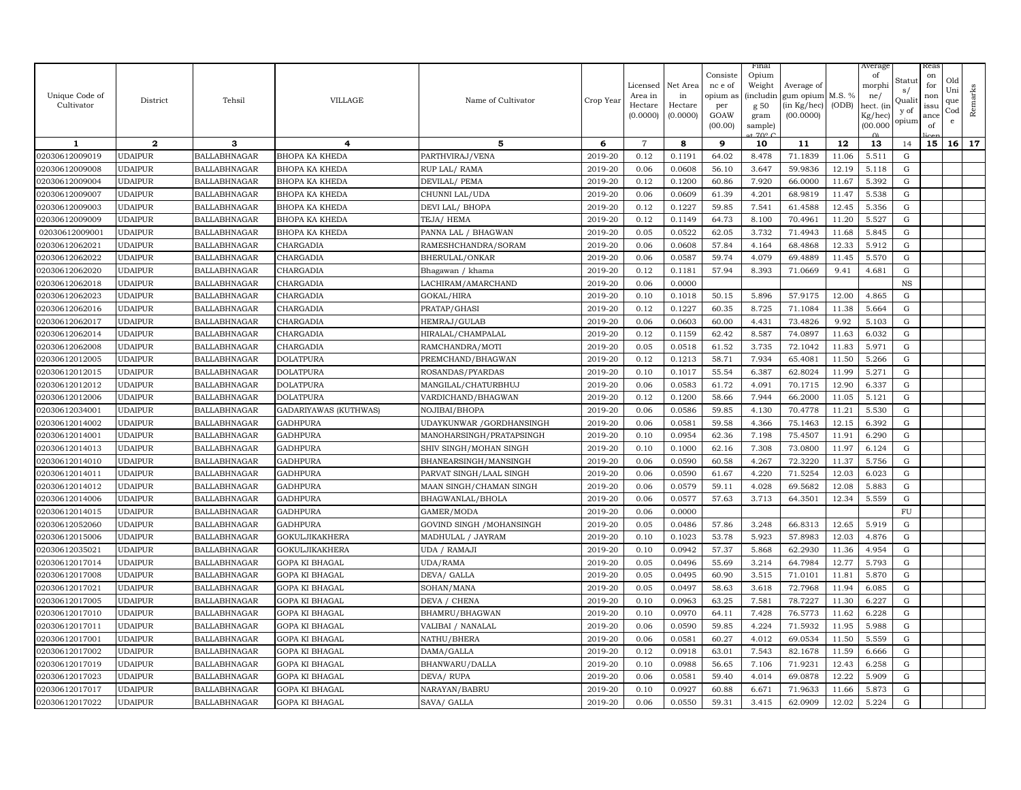| Unique Code of<br>Cultivator | District       | Tehsil              | VILLAGE               | Name of Cultivator        | Crop Year | Licensed<br>Area in<br>Hectare<br>(0.0000) | Net Area<br>in<br>Hectare<br>(0.0000) | Consiste<br>nc e of<br>opium as<br>per<br>GOAW<br>(00.00) | Final<br>Opium<br>Weight<br><i>(includir)</i><br>g 50<br>gram<br>sample)<br>$70^\circ$ | Average of<br>gum opium<br>(in Kg/hec)<br>(00.0000) | M.S. %<br>(ODB) | Averag<br>of<br>morphi<br>ne/<br>hect. (in<br>Kg/hec<br>(00.000) | Statu<br>s/<br>Quali<br>y of<br>opium | on<br>for<br>noi<br>isst<br>ance<br>of | Old<br>Uni<br>que | Remarks |
|------------------------------|----------------|---------------------|-----------------------|---------------------------|-----------|--------------------------------------------|---------------------------------------|-----------------------------------------------------------|----------------------------------------------------------------------------------------|-----------------------------------------------------|-----------------|------------------------------------------------------------------|---------------------------------------|----------------------------------------|-------------------|---------|
| 1                            | $\mathbf{2}$   | з                   | 4                     | 5                         | 6         | $\overline{7}$                             | 8                                     | 9                                                         | 10                                                                                     | 11                                                  | 12              | 13                                                               | 14                                    | 15                                     | 16                | 17      |
| 02030612009019               | <b>UDAIPUR</b> | <b>BALLABHNAGAR</b> | ВНОРА КА КНЕДА        | PARTHVIRAJ/VENA           | 2019-20   | 0.12                                       | 0.1191                                | 64.02                                                     | 8.478                                                                                  | 71.1839                                             | 11.06           | 5.511                                                            | G                                     |                                        |                   |         |
| 02030612009008               | <b>UDAIPUR</b> | BALLABHNAGAR        | <b>BHOPA KA KHEDA</b> | RUP LAL/ RAMA             | 2019-20   | 0.06                                       | 0.0608                                | 56.10                                                     | 3.647                                                                                  | 59.9836                                             | 12.19           | 5.118                                                            | G                                     |                                        |                   |         |
| 02030612009004               | <b>UDAIPUR</b> | BALLABHNAGAR        | BHOPA KA KHEDA        | DEVILAL/ PEMA             | 2019-20   | 0.12                                       | 0.1200                                | 60.86                                                     | 7.920                                                                                  | 66.0000                                             | 11.67           | 5.392                                                            | G                                     |                                        |                   |         |
| 02030612009007               | <b>UDAIPUR</b> | <b>BALLABHNAGAR</b> | <b>BHOPA KA KHEDA</b> | CHUNNI LAL/UDA            | 2019-20   | 0.06                                       | 0.0609                                | 61.39                                                     | 4.201                                                                                  | 68.9819                                             | 11.47           | 5.538                                                            | ${\rm G}$                             |                                        |                   |         |
| 02030612009003               | <b>UDAIPUR</b> | BALLABHNAGAR        | BHOPA KA KHEDA        | DEVI LAL/ BHOPA           | 2019-20   | 0.12                                       | 0.1227                                | 59.85                                                     | 7.541                                                                                  | 61.4588                                             | 12.45           | 5.356                                                            | G                                     |                                        |                   |         |
| 02030612009009               | <b>UDAIPUR</b> | BALLABHNAGAR        | <b>BHOPA KA KHEDA</b> | TEJA/HEMA                 | 2019-20   | 0.12                                       | 0.1149                                | 64.73                                                     | 8.100                                                                                  | 70.4961                                             | 11.20           | 5.527                                                            | G                                     |                                        |                   |         |
| 02030612009001               | <b>UDAIPUR</b> | BALLABHNAGAR        | BHOPA KA KHEDA        | PANNA LAL / BHAGWAN       | 2019-20   | 0.05                                       | 0.0522                                | 62.05                                                     | 3.732                                                                                  | 71.4943                                             | 11.68           | 5.845                                                            | ${\rm G}$                             |                                        |                   |         |
| 02030612062021               | <b>UDAIPUR</b> | BALLABHNAGAR        | CHARGADIA             | RAMESHCHANDRA/SORAM       | 2019-20   | 0.06                                       | 0.0608                                | 57.84                                                     | 4.164                                                                                  | 68.4868                                             | 12.33           | 5.912                                                            | ${\rm G}$                             |                                        |                   |         |
| 02030612062022               | <b>UDAIPUR</b> | BALLABHNAGAR        | CHARGADIA             | <b>BHERULAL/ONKAR</b>     | 2019-20   | 0.06                                       | 0.0587                                | 59.74                                                     | 4.079                                                                                  | 69.4889                                             | 11.45           | 5.570                                                            | ${\rm G}$                             |                                        |                   |         |
| 02030612062020               | <b>UDAIPUR</b> | BALLABHNAGAR        | CHARGADIA             | Bhagawan / khama          | 2019-20   | 0.12                                       | 0.1181                                | 57.94                                                     | 8.393                                                                                  | 71.0669                                             | 9.41            | 4.681                                                            | G                                     |                                        |                   |         |
| 02030612062018               | <b>UDAIPUR</b> | BALLABHNAGAR        | CHARGADIA             | LACHIRAM/AMARCHAND        | 2019-20   | 0.06                                       | 0.0000                                |                                                           |                                                                                        |                                                     |                 |                                                                  | $_{\rm NS}$                           |                                        |                   |         |
| 02030612062023               | <b>UDAIPUR</b> | <b>BALLABHNAGAR</b> | CHARGADIA             | GOKAL/HIRA                | 2019-20   | 0.10                                       | 0.1018                                | 50.15                                                     | 5.896                                                                                  | 57.9175                                             | 12.00           | 4.865                                                            | ${\rm G}$                             |                                        |                   |         |
| 02030612062016               | <b>UDAIPUR</b> | BALLABHNAGAR        | CHARGADIA             | PRATAP/GHASI              | 2019-20   | 0.12                                       | 0.1227                                | 60.35                                                     | 8.725                                                                                  | 71.1084                                             | 11.38           | 5.664                                                            | ${\rm G}$                             |                                        |                   |         |
| 02030612062017               | <b>UDAIPUR</b> | BALLABHNAGAR        | CHARGADIA             | HEMRAJ/GULAB              | 2019-20   | 0.06                                       | 0.0603                                | 60.00                                                     | 4.431                                                                                  | 73.4826                                             | 9.92            | 5.103                                                            | $\mathbf G$                           |                                        |                   |         |
| 02030612062014               | UDAIPUR        | BALLABHNAGAR        | CHARGADIA             | HIRALAL/CHAMPALAL         | 2019-20   | 0.12                                       | 0.1159                                | 62.42                                                     | 8.587                                                                                  | 74.0897                                             | 11.63           | 6.032                                                            | ${\rm G}$                             |                                        |                   |         |
| 02030612062008               | <b>UDAIPUR</b> | BALLABHNAGAR        | CHARGADIA             | RAMCHANDRA/MOTI           | 2019-20   | 0.05                                       | 0.0518                                | 61.52                                                     | 3.735                                                                                  | 72.1042                                             | 11.83           | 5.971                                                            | ${\rm G}$                             |                                        |                   |         |
| 02030612012005               | <b>UDAIPUR</b> | BALLABHNAGAR        | <b>DOLATPURA</b>      | PREMCHAND/BHAGWAN         | 2019-20   | 0.12                                       | 0.1213                                | 58.71                                                     | 7.934                                                                                  | 65.4081                                             | 11.50           | 5.266                                                            | $\mathbf G$                           |                                        |                   |         |
| 02030612012015               | <b>UDAIPUR</b> | BALLABHNAGAR        | <b>DOLATPURA</b>      | ROSANDAS/PYARDAS          | 2019-20   | 0.10                                       | 0.1017                                | 55.54                                                     | 6.387                                                                                  | 62.8024                                             | 11.99           | 5.271                                                            | $\mathbf G$                           |                                        |                   |         |
| 02030612012012               | <b>UDAIPUR</b> | <b>BALLABHNAGAR</b> | <b>DOLATPURA</b>      | MANGILAL/CHATURBHUJ       | 2019-20   | 0.06                                       | 0.0583                                | 61.72                                                     | 4.091                                                                                  | 70.1715                                             | 12.90           | 6.337                                                            | ${\bf G}$                             |                                        |                   |         |
| 02030612012006               | <b>UDAIPUR</b> | <b>BALLABHNAGAR</b> | <b>DOLATPURA</b>      | VARDICHAND/BHAGWAN        | 2019-20   | 0.12                                       | 0.1200                                | 58.66                                                     | 7.944                                                                                  | 66.2000                                             | 11.05           | 5.121                                                            | $\mathbf G$                           |                                        |                   |         |
| 02030612034001               | <b>UDAIPUR</b> | BALLABHNAGAR        | GADARIYAWAS (KUTHWAS) | NOJIBAI/BHOPA             | 2019-20   | 0.06                                       | 0.0586                                | 59.85                                                     | 4.130                                                                                  | 70.4778                                             | 11.21           | 5.530                                                            | G                                     |                                        |                   |         |
| 02030612014002               | <b>UDAIPUR</b> | BALLABHNAGAR        | <b>GADHPURA</b>       | UDAYKUNWAR / GORDHANSINGH | 2019-20   | 0.06                                       | 0.0581                                | 59.58                                                     | 4.366                                                                                  | 75.1463                                             | 12.15           | 6.392                                                            | G                                     |                                        |                   |         |
| 02030612014001               | UDAIPUR        | BALLABHNAGAR        | GADHPURA              | MANOHARSINGH/PRATAPSINGH  | 2019-20   | 0.10                                       | 0.0954                                | 62.36                                                     | 7.198                                                                                  | 75.4507                                             | 11.91           | 6.290                                                            | ${\rm G}$                             |                                        |                   |         |
| 02030612014013               | <b>UDAIPUR</b> | BALLABHNAGAR        | <b>GADHPURA</b>       | SHIV SINGH/MOHAN SINGH    | 2019-20   | 0.10                                       | 0.1000                                | 62.16                                                     | 7.308                                                                                  | 73.0800                                             | 11.97           | 6.124                                                            | ${\rm G}$                             |                                        |                   |         |
| 02030612014010               | <b>UDAIPUR</b> | BALLABHNAGAR        | GADHPURA              | BHANEARSINGH/MANSINGH     | 2019-20   | 0.06                                       | 0.0590                                | 60.58                                                     | 4.267                                                                                  | 72.3220                                             | 11.37           | 5.756                                                            | ${\rm G}$                             |                                        |                   |         |
| 02030612014011               | <b>UDAIPUR</b> | <b>BALLABHNAGAR</b> | <b>GADHPURA</b>       | PARVAT SINGH/LAAL SINGH   | 2019-20   | 0.06                                       | 0.0590                                | 61.67                                                     | 4.220                                                                                  | 71.5254                                             | 12.03           | 6.023                                                            | G                                     |                                        |                   |         |
| 02030612014012               | <b>UDAIPUR</b> | BALLABHNAGAR        | GADHPURA              | MAAN SINGH/CHAMAN SINGH   | 2019-20   | 0.06                                       | 0.0579                                | 59.11                                                     | 4.028                                                                                  | 69.5682                                             | 12.08           | 5.883                                                            | ${\rm G}$                             |                                        |                   |         |
| 02030612014006               | <b>UDAIPUR</b> | <b>BALLABHNAGAR</b> | <b>GADHPURA</b>       | BHAGWANLAL/BHOLA          | 2019-20   | 0.06                                       | 0.0577                                | 57.63                                                     | 3.713                                                                                  | 64.3501                                             | 12.34           | 5.559                                                            | ${\rm G}$                             |                                        |                   |         |
| 02030612014015               | UDAIPUR        | BALLABHNAGAR        | GADHPURA              | GAMER/MODA                | 2019-20   | 0.06                                       | 0.0000                                |                                                           |                                                                                        |                                                     |                 |                                                                  | FU                                    |                                        |                   |         |
| 02030612052060               | <b>UDAIPUR</b> | BALLABHNAGAR        | GADHPURA              | GOVIND SINGH / MOHANSINGH | 2019-20   | 0.05                                       | 0.0486                                | 57.86                                                     | 3.248                                                                                  | 66.8313                                             | 12.65           | 5.919                                                            | $\mathbf G$                           |                                        |                   |         |
| 02030612015006               | <b>UDAIPUR</b> | BALLABHNAGAR        | GOKULJIKAKHERA        | MADHULAL / JAYRAM         | 2019-20   | 0.10                                       | 0.1023                                | 53.78                                                     | 5.923                                                                                  | 57.8983                                             | 12.03           | 4.876                                                            | ${\rm G}$                             |                                        |                   |         |
| 02030612035021               | <b>UDAIPUR</b> | BALLABHNAGAR        | GOKULJIKAKHERA        | UDA / RAMAJI              | 2019-20   | 0.10                                       | 0.0942                                | 57.37                                                     | 5.868                                                                                  | 62.2930                                             | 11.36           | 4.954                                                            | ${\rm G}$                             |                                        |                   |         |
| 02030612017014               | <b>UDAIPUR</b> | BALLABHNAGAR        | GOPA KI BHAGAL        | <b>UDA/RAMA</b>           | 2019-20   | 0.05                                       | 0.0496                                | 55.69                                                     | 3.214                                                                                  | 64.7984                                             | 12.77           | 5.793                                                            | ${\rm G}$                             |                                        |                   |         |
| 02030612017008               | <b>UDAIPUR</b> | <b>BALLABHNAGAR</b> | GOPA KI BHAGAL        | DEVA/ GALLA               | 2019-20   | 0.05                                       | 0.0495                                | 60.90                                                     | 3.515                                                                                  | 71.0101                                             | 11.81           | 5.870                                                            | ${\rm G}$                             |                                        |                   |         |
| 02030612017021               | <b>UDAIPUR</b> | <b>BALLABHNAGAR</b> | GOPA KI BHAGAL        | SOHAN/MANA                | 2019-20   | 0.05                                       | 0.0497                                | 58.63                                                     | 3.618                                                                                  | 72.7968                                             | 11.94           | 6.085                                                            | $\mathbf G$                           |                                        |                   |         |
| 02030612017005               | <b>UDAIPUR</b> | <b>BALLABHNAGAR</b> | GOPA KI BHAGAL        | DEVA / CHENA              | 2019-20   | 0.10                                       | 0.0963                                | 63.25                                                     | 7.581                                                                                  | 78.7227                                             | 11.30           | 6.227                                                            | ${\bf G}$                             |                                        |                   |         |
| 02030612017010               | <b>UDAIPUR</b> | BALLABHNAGAR        | GOPA KI BHAGAL        | BHAMRU/BHAGWAN            | 2019-20   | 0.10                                       | 0.0970                                | 64.11                                                     | 7.428                                                                                  | 76.5773                                             | 11.62           | 6.228                                                            | ${\rm G}$                             |                                        |                   |         |
| 02030612017011               | <b>UDAIPUR</b> | BALLABHNAGAR        | GOPA KI BHAGAL        | VALIBAI / NANALAL         | 2019-20   | 0.06                                       | 0.0590                                | 59.85                                                     | 4.224                                                                                  | 71.5932                                             | 11.95           | 5.988                                                            | G                                     |                                        |                   |         |
| 02030612017001               | <b>UDAIPUR</b> | BALLABHNAGAR        | GOPA KI BHAGAL        | NATHU/BHERA               | 2019-20   | 0.06                                       | 0.0581                                | 60.27                                                     | 4.012                                                                                  | 69.0534                                             | 11.50           | 5.559                                                            | G                                     |                                        |                   |         |
| 02030612017002               | <b>UDAIPUR</b> | BALLABHNAGAR        | GOPA KI BHAGAL        | DAMA/GALLA                | 2019-20   | 0.12                                       | 0.0918                                | 63.01                                                     | 7.543                                                                                  | 82.1678                                             | 11.59           | 6.666                                                            | ${\rm G}$                             |                                        |                   |         |
| 02030612017019               | <b>UDAIPUR</b> | BALLABHNAGAR        | GOPA KI BHAGAL        | BHANWARU/DALLA            | 2019-20   | 0.10                                       | 0.0988                                | 56.65                                                     | 7.106                                                                                  | 71.9231                                             | 12.43           | 6.258                                                            | ${\rm G}$                             |                                        |                   |         |
| 02030612017023               | <b>UDAIPUR</b> | BALLABHNAGAR        | GOPA KI BHAGAL        | DEVA/RUPA                 | 2019-20   | 0.06                                       | 0.0581                                | 59.40                                                     | 4.014                                                                                  | 69.0878                                             | 12.22           | 5.909                                                            | G                                     |                                        |                   |         |
| 02030612017017               | <b>UDAIPUR</b> | BALLABHNAGAR        | GOPA KI BHAGAL        | NARAYAN/BABRU             | 2019-20   | 0.10                                       | 0.0927                                | 60.88                                                     | 6.671                                                                                  | 71.9633                                             | 11.66           | 5.873                                                            | ${\rm G}$                             |                                        |                   |         |
| 02030612017022               | <b>UDAIPUR</b> | <b>BALLABHNAGAR</b> | GOPA KI BHAGAL        | SAVA/ GALLA               | 2019-20   | 0.06                                       | 0.0550                                | 59.31                                                     | 3.415                                                                                  | 62.0909                                             | 12.02           | 5.224                                                            | ${\rm G}$                             |                                        |                   |         |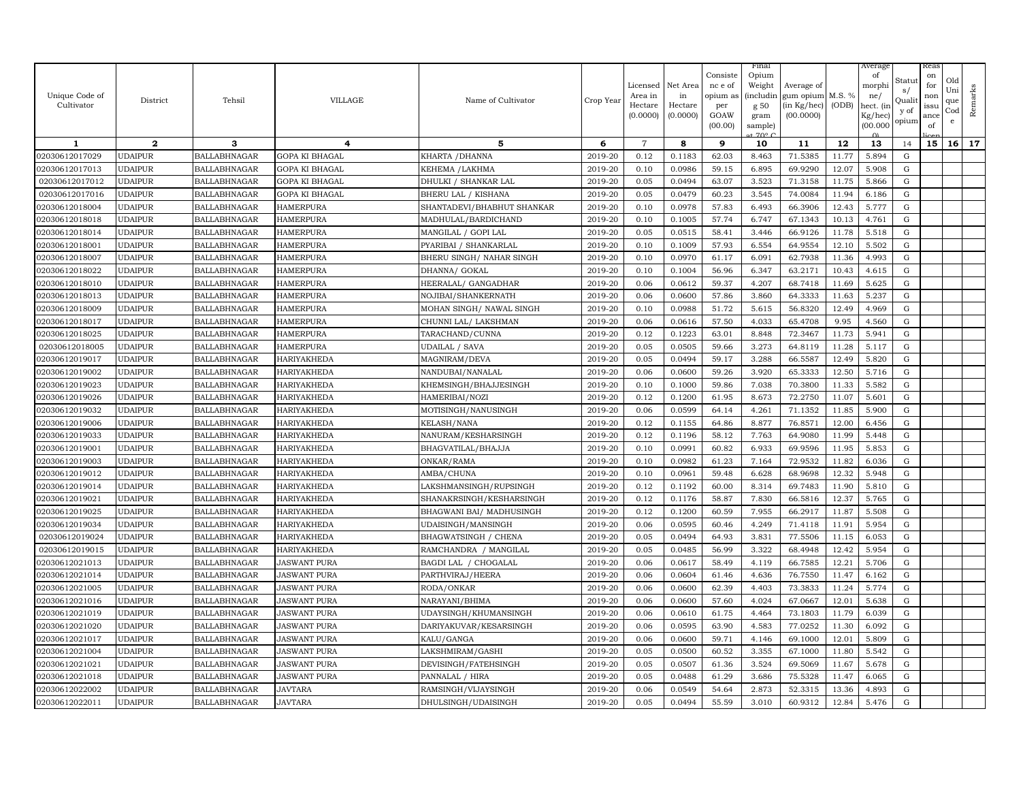| Unique Code of<br>Cultivator | District                        | Tehsil              | VILLAGE             | Name of Cultivator         | Crop Year | Licensed<br>Area in<br>Hectare<br>(0.0000) | Net Area<br>in<br>Hectare<br>(0.0000) | Consiste<br>nc e of<br>opium as<br>per<br>GOAW<br>(00.00) | Final<br>Opium<br>Weight<br><i>(includin</i><br>g 50<br>gram<br>sample]<br>$70^\circ$ | Average of<br>gum opium<br>(in Kg/hec)<br>(00.0000) | M.S. %<br>(ODB) | <i><u><b>Werage</b></u></i><br>of<br>morphi<br>ne/<br>hect. (in<br>Kg/hec)<br>(00.000) | Statu<br>s/<br>Quali<br>y of<br>opium | on<br>for<br>noi<br>isst<br>ance<br>of | Old<br>Uni<br>que | Remarks |
|------------------------------|---------------------------------|---------------------|---------------------|----------------------------|-----------|--------------------------------------------|---------------------------------------|-----------------------------------------------------------|---------------------------------------------------------------------------------------|-----------------------------------------------------|-----------------|----------------------------------------------------------------------------------------|---------------------------------------|----------------------------------------|-------------------|---------|
|                              | $\overline{2}$                  | з                   | 4                   | 5                          | 6         | $\overline{7}$                             | 8                                     | 9                                                         | 10                                                                                    | 11                                                  | 12              | 13                                                                                     | 14                                    | 15                                     | 16                | 17      |
| 02030612017029               | <b>UDAIPUR</b>                  | <b>BALLABHNAGAR</b> | GOPA KI BHAGAL      | KHARTA / DHANNA            | 2019-20   | 0.12                                       | 0.1183                                | 62.03                                                     | 8.463                                                                                 | 71.5385                                             | 11.77           | 5.894                                                                                  | G                                     |                                        |                   |         |
| 02030612017013               | <b>UDAIPUR</b>                  | <b>BALLABHNAGAR</b> | GOPA KI BHAGAL      | KEHEMA /LAKHMA             | 2019-20   | 0.10                                       | 0.0986                                | 59.15                                                     | 6.895                                                                                 | 69.9290                                             | 12.07           | 5.908                                                                                  | G                                     |                                        |                   |         |
| 02030612017012               | <b>UDAIPUR</b>                  | <b>BALLABHNAGAR</b> | GOPA KI BHAGAL      | DHULKI / SHANKAR LAL       | 2019-20   | 0.05                                       | 0.0494                                | 63.07                                                     | 3.523                                                                                 | 71.3158                                             | 11.75           | 5.866                                                                                  | G                                     |                                        |                   |         |
| 02030612017016               | <b>UDAIPUR</b>                  | <b>BALLABHNAGAR</b> | GOPA KI BHAGAL      | BHERU LAL / KISHANA        | 2019-20   | 0.05                                       | 0.0479                                | 60.23                                                     | 3.545                                                                                 | 74.0084                                             | 11.94           | 6.186                                                                                  | ${\rm G}$                             |                                        |                   |         |
| 02030612018004               | <b>UDAIPUR</b>                  | <b>BALLABHNAGAR</b> | HAMERPURA           | SHANTADEVI/BHABHUT SHANKAR | 2019-20   | 0.10                                       | 0.0978                                | 57.83                                                     | 6.493                                                                                 | 66.3906                                             | 12.43           | 5.777                                                                                  | G                                     |                                        |                   |         |
| 02030612018018               | UDAIPUR                         | BALLABHNAGAR        | HAMERPURA           | MADHULAL/BARDICHAND        | 2019-20   | 0.10                                       | 0.1005                                | 57.74                                                     | 6.747                                                                                 | 67.1343                                             | 10.13           | 4.761                                                                                  | G                                     |                                        |                   |         |
| 02030612018014               | <b>UDAIPUR</b>                  | <b>BALLABHNAGAR</b> | HAMERPURA           | MANGILAL / GOPI LAL        | 2019-20   | 0.05                                       | 0.0515                                | 58.41                                                     | 3.446                                                                                 | 66.9126                                             | 11.78           | 5.518                                                                                  | ${\rm G}$                             |                                        |                   |         |
| 02030612018001               | <b>UDAIPUR</b>                  | <b>BALLABHNAGAR</b> | HAMERPURA           | PYARIBAI / SHANKARLAL      | 2019-20   | 0.10                                       | 0.1009                                | 57.93                                                     | 6.554                                                                                 | 64.9554                                             | 12.10           | 5.502                                                                                  | ${\rm G}$                             |                                        |                   |         |
| 02030612018007               | <b>UDAIPUR</b>                  | <b>BALLABHNAGAR</b> | <b>HAMERPURA</b>    | BHERU SINGH / NAHAR SINGH  | 2019-20   | 0.10                                       | 0.0970                                | 61.17                                                     | 6.091                                                                                 | 62.7938                                             | 11.36           | 4.993                                                                                  | ${\rm G}$                             |                                        |                   |         |
| 02030612018022               | <b>UDAIPUR</b>                  | <b>BALLABHNAGAR</b> | HAMERPURA           | DHANNA/ GOKAL              | 2019-20   | 0.10                                       | 0.1004                                | 56.96                                                     | 6.347                                                                                 | 63.2171                                             | 10.43           | 4.615                                                                                  | G                                     |                                        |                   |         |
| 02030612018010               | <b>UDAIPUR</b>                  | <b>BALLABHNAGAR</b> | <b>HAMERPURA</b>    | HEERALAL/ GANGADHAR        | 2019-20   | 0.06                                       | 0.0612                                | 59.37                                                     | 4.207                                                                                 | 68.7418                                             | 11.69           | 5.625                                                                                  | G                                     |                                        |                   |         |
| 02030612018013               | <b>UDAIPUR</b>                  | <b>BALLABHNAGAR</b> | <b>HAMERPURA</b>    | NOJIBAI/SHANKERNATH        | 2019-20   | 0.06                                       | 0.0600                                | 57.86                                                     | 3.860                                                                                 | 64.3333                                             | 11.63           | 5.237                                                                                  | ${\rm G}$                             |                                        |                   |         |
| 02030612018009               | UDAIPUR                         | <b>BALLABHNAGAR</b> | HAMERPURA           | MOHAN SINGH/ NAWAL SINGH   | 2019-20   | 0.10                                       | 0.0988                                | 51.72                                                     | 5.615                                                                                 | 56.8320                                             | 12.49           | 4.969                                                                                  | ${\rm G}$                             |                                        |                   |         |
| 02030612018017               | UDAIPUR                         | <b>BALLABHNAGAR</b> | HAMERPURA           | CHUNNI LAL/ LAKSHMAN       | 2019-20   | 0.06                                       | 0.0616                                | 57.50                                                     | 4.033                                                                                 | 65.4708                                             | 9.95            | 4.560                                                                                  | G                                     |                                        |                   |         |
| 02030612018025               | UDAIPUR                         | <b>BALLABHNAGAR</b> | HAMERPURA           | TARACHAND/CUNNA            | 2019-20   | 0.12                                       | 0.1223                                | 63.01                                                     | 8.848                                                                                 | 72.3467                                             | 11.73           | 5.941                                                                                  | ${\rm G}$                             |                                        |                   |         |
| 02030612018005               | <b>UDAIPUR</b>                  | <b>BALLABHNAGAR</b> | HAMERPURA           | UDAILAL / SAVA             | 2019-20   | 0.05                                       | 0.0505                                | 59.66                                                     | 3.273                                                                                 | 64.8119                                             | 11.28           | 5.117                                                                                  | ${\rm G}$                             |                                        |                   |         |
| 02030612019017               | <b>UDAIPUR</b>                  | <b>BALLABHNAGAR</b> | HARIYAKHEDA         | MAGNIRAM/DEVA              | 2019-20   | 0.05                                       | 0.0494                                | 59.17                                                     | 3.288                                                                                 | 66.5587                                             | 12.49           | 5.820                                                                                  | $\mathbf G$                           |                                        |                   |         |
| 02030612019002               | <b>UDAIPUR</b>                  | <b>BALLABHNAGAR</b> | HARIYAKHEDA         | NANDUBAI/NANALAL           | 2019-20   | 0.06                                       | 0.0600                                | 59.26                                                     | 3.920                                                                                 | 65.3333                                             | 12.50           | 5.716                                                                                  | $\mathbf G$                           |                                        |                   |         |
| 02030612019023               | <b>UDAIPUR</b>                  | <b>BALLABHNAGAR</b> | HARIYAKHEDA         | KHEMSINGH/BHAJJESINGH      | 2019-20   | 0.10                                       | 0.1000                                | 59.86                                                     | 7.038                                                                                 | 70.3800                                             | 11.33           | 5.582                                                                                  | ${\bf G}$                             |                                        |                   |         |
| 02030612019026               | $\ensuremath{\mathsf{UDAIPUR}}$ | <b>BALLABHNAGAR</b> | HARIYAKHEDA         | HAMERIBAI/NOZI             | 2019-20   | 0.12                                       | 0.1200                                | 61.95                                                     | 8.673                                                                                 | 72.2750                                             | 11.07           | 5.601                                                                                  | ${\bf G}$                             |                                        |                   |         |
| 02030612019032               | UDAIPUR                         | BALLABHNAGAR        | HARIYAKHEDA         | MOTISINGH/NANUSINGH        | 2019-20   | 0.06                                       | 0.0599                                | 64.14                                                     | 4.261                                                                                 | 71.1352                                             | 11.85           | 5.900                                                                                  | G                                     |                                        |                   |         |
| 02030612019006               | <b>UDAIPUR</b>                  | <b>BALLABHNAGAR</b> | HARIYAKHEDA         | <b>KELASH/NANA</b>         | 2019-20   | 0.12                                       | 0.1155                                | 64.86                                                     | 8.877                                                                                 | 76.8571                                             | 12.00           | 6.456                                                                                  | G                                     |                                        |                   |         |
| 02030612019033               | UDAIPUR                         | <b>BALLABHNAGAR</b> | HARIYAKHEDA         | NANURAM/KESHARSINGH        | 2019-20   | 0.12                                       | 0.1196                                | 58.12                                                     | 7.763                                                                                 | 64.9080                                             | 11.99           | 5.448                                                                                  | G                                     |                                        |                   |         |
| 02030612019001               | <b>UDAIPUR</b>                  | <b>BALLABHNAGAR</b> | HARIYAKHEDA         | BHAGVATILAL/BHAJJA         | 2019-20   | 0.10                                       | 0.0991                                | 60.82                                                     | 6.933                                                                                 | 69.9596                                             | 11.95           | 5.853                                                                                  | ${\rm G}$                             |                                        |                   |         |
| 02030612019003               | <b>UDAIPUR</b>                  | <b>BALLABHNAGAR</b> | HARIYAKHEDA         | ONKAR/RAMA                 | 2019-20   | 0.10                                       | 0.0982                                | 61.23                                                     | 7.164                                                                                 | 72.9532                                             | 11.82           | 6.036                                                                                  | ${\rm G}$                             |                                        |                   |         |
| 02030612019012               | <b>UDAIPUR</b>                  | <b>BALLABHNAGAR</b> | HARIYAKHEDA         | AMBA/CHUNA                 | 2019-20   | 0.10                                       | 0.0961                                | 59.48                                                     | 6.628                                                                                 | 68.9698                                             | 12.32           | 5.948                                                                                  | G                                     |                                        |                   |         |
| 02030612019014               | <b>UDAIPUR</b>                  | <b>BALLABHNAGAR</b> | HARIYAKHEDA         | LAKSHMANSINGH/RUPSINGH     | 2019-20   | 0.12                                       | 0.1192                                | 60.00                                                     | 8.314                                                                                 | 69.7483                                             | 11.90           | 5.810                                                                                  | ${\rm G}$                             |                                        |                   |         |
| 02030612019021               | <b>UDAIPUR</b>                  | <b>BALLABHNAGAR</b> | HARIYAKHEDA         | SHANAKRSINGH/KESHARSINGH   | 2019-20   | 0.12                                       | 0.1176                                | 58.87                                                     | 7.830                                                                                 | 66.5816                                             | 12.37           | 5.765                                                                                  | ${\rm G}$                             |                                        |                   |         |
| 02030612019025               | UDAIPUR                         | <b>BALLABHNAGAR</b> | HARIYAKHEDA         | BHAGWANI BAI/ MADHUSINGH   | 2019-20   | 0.12                                       | 0.1200                                | 60.59                                                     | 7.955                                                                                 | 66.2917                                             | 11.87           | 5.508                                                                                  | G                                     |                                        |                   |         |
| 02030612019034               | UDAIPUR                         | <b>BALLABHNAGAR</b> | HARIYAKHEDA         | UDAISINGH/MANSINGH         | 2019-20   | 0.06                                       | 0.0595                                | 60.46                                                     | 4.249                                                                                 | 71.4118                                             | 11.91           | 5.954                                                                                  | $\mathbf G$                           |                                        |                   |         |
| 02030612019024               | UDAIPUR                         | <b>BALLABHNAGAR</b> | HARIYAKHEDA         | BHAGWATSINGH / CHENA       | 2019-20   | 0.05                                       | 0.0494                                | 64.93                                                     | 3.831                                                                                 | 77.5506                                             | 11.15           | 6.053                                                                                  | ${\rm G}$                             |                                        |                   |         |
| 02030612019015               | UDAIPUR                         | <b>BALLABHNAGAR</b> | HARIYAKHEDA         | RAMCHANDRA / MANGILAL      | 2019-20   | 0.05                                       | 0.0485                                | 56.99                                                     | 3.322                                                                                 | 68.4948                                             | 12.42           | 5.954                                                                                  | ${\rm G}$                             |                                        |                   |         |
| 02030612021013               | UDAIPUR                         | <b>BALLABHNAGAR</b> | <b>JASWANT PURA</b> | BAGDI LAL / CHOGALAL       | 2019-20   | 0.06                                       | 0.0617                                | 58.49                                                     | 4.119                                                                                 | 66.7585                                             | 12.21           | 5.706                                                                                  | ${\rm G}$                             |                                        |                   |         |
| 02030612021014               | <b>UDAIPUR</b>                  | <b>BALLABHNAGAR</b> | <b>JASWANT PURA</b> | PARTHVIRAJ/HEERA           | 2019-20   | 0.06                                       | 0.0604                                | 61.46                                                     | 4.636                                                                                 | 76.7550                                             | 11.47           | 6.162                                                                                  | ${\rm G}$                             |                                        |                   |         |
| 02030612021005               | <b>UDAIPUR</b>                  | <b>BALLABHNAGAR</b> | <b>JASWANT PURA</b> | RODA/ONKAR                 | 2019-20   | 0.06                                       | 0.0600                                | 62.39                                                     | 4.403                                                                                 | 73.3833                                             | 11.24           | 5.774                                                                                  | $\mathbf G$                           |                                        |                   |         |
| 02030612021016               | <b>UDAIPUR</b>                  | <b>BALLABHNAGAR</b> | <b>JASWANT PURA</b> | NARAYANI/BHIMA             | 2019-20   | 0.06                                       | 0.0600                                | 57.60                                                     | 4.024                                                                                 | 67.0667                                             | 12.01           | 5.638                                                                                  | ${\bf G}$                             |                                        |                   |         |
| 02030612021019               | UDAIPUR                         | BALLABHNAGAR        | <b>JASWANT PURA</b> | UDAYSINGH/KHUMANSINGH      | 2019-20   | 0.06                                       | 0.0610                                | 61.75                                                     | 4.464                                                                                 | 73.1803                                             | 11.79           | 6.039                                                                                  | G                                     |                                        |                   |         |
| 02030612021020               | <b>UDAIPUR</b>                  | <b>BALLABHNAGAR</b> | JASWANT PURA        | DARIYAKUVAR/KESARSINGH     | 2019-20   | 0.06                                       | 0.0595                                | 63.90                                                     | 4.583                                                                                 | 77.0252                                             | 11.30           | 6.092                                                                                  | G                                     |                                        |                   |         |
| 02030612021017               | <b>UDAIPUR</b>                  | <b>BALLABHNAGAR</b> | <b>JASWANT PURA</b> | KALU/GANGA                 | 2019-20   | 0.06                                       | 0.0600                                | 59.71                                                     | 4.146                                                                                 | 69.1000                                             | 12.01           | 5.809                                                                                  | G                                     |                                        |                   |         |
| 02030612021004               | <b>UDAIPUR</b>                  | <b>BALLABHNAGAR</b> | <b>JASWANT PURA</b> | LAKSHMIRAM/GASHI           | 2019-20   | 0.05                                       | 0.0500                                | 60.52                                                     | 3.355                                                                                 | 67.1000                                             | 11.80           | 5.542                                                                                  | ${\rm G}$                             |                                        |                   |         |
| 02030612021021               | <b>UDAIPUR</b>                  | <b>BALLABHNAGAR</b> | <b>JASWANT PURA</b> | DEVISINGH/FATEHSINGH       | 2019-20   | 0.05                                       | 0.0507                                | 61.36                                                     | 3.524                                                                                 | 69.5069                                             | 11.67           | 5.678                                                                                  | G                                     |                                        |                   |         |
| 02030612021018               | UDAIPUR                         | <b>BALLABHNAGAR</b> | JASWANT PURA        | PANNALAL / HIRA            | 2019-20   | 0.05                                       | 0.0488                                | 61.29                                                     | 3.686                                                                                 | 75.5328                                             | 11.47           | 6.065                                                                                  | G                                     |                                        |                   |         |
| 02030612022002               | <b>UDAIPUR</b>                  | <b>BALLABHNAGAR</b> | <b>JAVTARA</b>      | RAMSINGH/VIJAYSINGH        | 2019-20   | 0.06                                       | 0.0549                                | 54.64                                                     | 2.873                                                                                 | 52.3315                                             | 13.36           | 4.893                                                                                  | ${\rm G}$                             |                                        |                   |         |
| 02030612022011               | <b>UDAIPUR</b>                  | <b>BALLABHNAGAR</b> | <b>JAVTARA</b>      | DHULSINGH/UDAISINGH        | 2019-20   | 0.05                                       | 0.0494                                | 55.59                                                     | 3.010                                                                                 | 60.9312                                             | 12.84           | 5.476                                                                                  | ${\rm G}$                             |                                        |                   |         |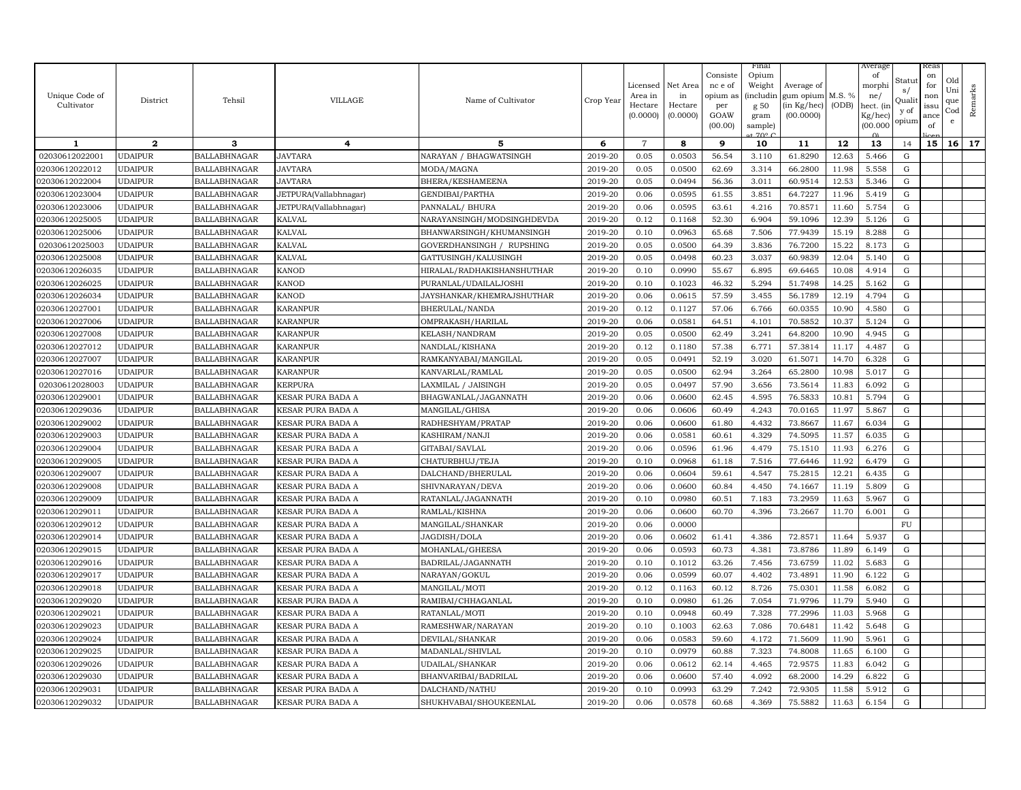| Unique Code of<br>Cultivator | District       | Tehsil              | VILLAGE                  | Name of Cultivator         | Crop Year | Licensed<br>Area in<br>Hectare<br>(0.0000) | Net Area<br>in<br>Hectare<br>(0.0000) | Consiste<br>nc e of<br>opium as<br>per<br>GOAW<br>(00.00) | Final<br>Opium<br>Weight<br><i>(includir)</i><br>g 50<br>gram<br>sample)<br>70° | Average of<br>gum opium<br>(in Kg/hec)<br>(00.0000) | M.S. %<br>(ODB) | Averag<br>of<br>morphi<br>ne/<br>hect. (in<br>Kg/hec<br>(00.000) | Statu<br>s/<br>Quali<br>y of<br>opium | on<br>for<br>isst<br>ance<br>of | blG<br>Uni<br>que | Remarks |
|------------------------------|----------------|---------------------|--------------------------|----------------------------|-----------|--------------------------------------------|---------------------------------------|-----------------------------------------------------------|---------------------------------------------------------------------------------|-----------------------------------------------------|-----------------|------------------------------------------------------------------|---------------------------------------|---------------------------------|-------------------|---------|
| 1                            | $\mathbf{2}$   | з                   | 4                        | 5                          | 6         | $\overline{7}$                             | 8                                     | 9                                                         | 10                                                                              | 11                                                  | 12              | 13                                                               | 14                                    | 15                              | 16                | 17      |
| 02030612022001               | <b>UDAIPUR</b> | <b>BALLABHNAGAR</b> | <b>JAVTARA</b>           | NARAYAN / BHAGWATSINGH     | 2019-20   | 0.05                                       | 0.0503                                | 56.54                                                     | 3.110                                                                           | 61.8290                                             | 12.63           | 5.466                                                            | G                                     |                                 |                   |         |
| 02030612022012               | <b>UDAIPUR</b> | BALLABHNAGAR        | <b>JAVTARA</b>           | MODA/MAGNA                 | 2019-20   | 0.05                                       | 0.0500                                | 62.69                                                     | 3.314                                                                           | 66.2800                                             | 11.98           | 5.558                                                            | G                                     |                                 |                   |         |
| 02030612022004               | <b>UDAIPUR</b> | BALLABHNAGAR        | <b>JAVTARA</b>           | BHERA/KESHAMEENA           | 2019-20   | 0.05                                       | 0.0494                                | 56.36                                                     | 3.011                                                                           | 60.9514                                             | 12.53           | 5.346                                                            | G                                     |                                 |                   |         |
| 02030612023004               | <b>UDAIPUR</b> | <b>BALLABHNAGAR</b> | JETPURA(Vallabhnagar)    | GENDIBAI/PARTHA            | 2019-20   | 0.06                                       | 0.0595                                | 61.55                                                     | 3.851                                                                           | 64.7227                                             | 11.96           | 5.419                                                            | ${\rm G}$                             |                                 |                   |         |
| 02030612023006               | <b>UDAIPUR</b> | BALLABHNAGAR        | JETPURA(Vallabhnagar)    | PANNALAL/ BHURA            | 2019-20   | 0.06                                       | 0.0595                                | 63.61                                                     | 4.216                                                                           | 70.8571                                             | 11.60           | 5.754                                                            | ${\rm G}$                             |                                 |                   |         |
| 02030612025005               | UDAIPUR        | BALLABHNAGAR        | KALVAL                   | NARAYANSINGH/MODSINGHDEVDA | 2019-20   | 0.12                                       | 0.1168                                | 52.30                                                     | 6.904                                                                           | 59.1096                                             | 12.39           | 5.126                                                            | G                                     |                                 |                   |         |
| 02030612025006               | <b>UDAIPUR</b> | BALLABHNAGAR        | <b>KALVAL</b>            | BHANWARSINGH/KHUMANSINGH   | 2019-20   | 0.10                                       | 0.0963                                | 65.68                                                     | 7.506                                                                           | 77.9439                                             | 15.19           | 8.288                                                            | ${\rm G}$                             |                                 |                   |         |
| 02030612025003               | UDAIPUR        | BALLABHNAGAR        | KALVAL                   | GOVERDHANSINGH / RUPSHING  | 2019-20   | 0.05                                       | 0.0500                                | 64.39                                                     | 3.836                                                                           | 76.7200                                             | 15.22           | 8.173                                                            | ${\rm G}$                             |                                 |                   |         |
| 02030612025008               | <b>UDAIPUR</b> | BALLABHNAGAR        | <b>KALVAL</b>            | GATTUSINGH/KALUSINGH       | 2019-20   | 0.05                                       | 0.0498                                | 60.23                                                     | 3.037                                                                           | 60.9839                                             | 12.04           | 5.140                                                            | ${\rm G}$                             |                                 |                   |         |
| 02030612026035               | <b>UDAIPUR</b> | <b>BALLABHNAGAR</b> | KANOD                    | HIRALAL/RADHAKISHANSHUTHAR | 2019-20   | 0.10                                       | 0.0990                                | 55.67                                                     | 6.895                                                                           | 69.6465                                             | 10.08           | 4.914                                                            | G                                     |                                 |                   |         |
| 02030612026025               | <b>UDAIPUR</b> | <b>BALLABHNAGAR</b> | <b>KANOD</b>             | PURANLAL/UDAILALJOSHI      | 2019-20   | 0.10                                       | 0.1023                                | 46.32                                                     | 5.294                                                                           | 51.7498                                             | 14.25           | 5.162                                                            | ${\rm G}$                             |                                 |                   |         |
| 02030612026034               | <b>UDAIPUR</b> | <b>BALLABHNAGAR</b> | KANOD                    | JAYSHANKAR/KHEMRAJSHUTHAR  | 2019-20   | 0.06                                       | 0.0615                                | 57.59                                                     | 3.455                                                                           | 56.1789                                             | 12.19           | 4.794                                                            | ${\rm G}$                             |                                 |                   |         |
| 02030612027001               | <b>UDAIPUR</b> | BALLABHNAGAR        | <b>KARANPUR</b>          | BHERULAL/NANDA             | 2019-20   | 0.12                                       | 0.1127                                | 57.06                                                     | 6.766                                                                           | 60.0355                                             | 10.90           | 4.580                                                            | ${\rm G}$                             |                                 |                   |         |
| 02030612027006               | <b>UDAIPUR</b> | <b>BALLABHNAGAR</b> | KARANPUR                 | OMPRAKASH/HARILAL          | 2019-20   | 0.06                                       | 0.0581                                | 64.51                                                     | 4.101                                                                           | 70.5852                                             | 10.37           | 5.124                                                            | G                                     |                                 |                   |         |
| 02030612027008               | UDAIPUR        | BALLABHNAGAR        | KARANPUR                 | <b>KELASH/NANDRAM</b>      | 2019-20   | 0.05                                       | 0.0500                                | 62.49                                                     | 3.241                                                                           | 64.8200                                             | 10.90           | 4.945                                                            | ${\rm G}$                             |                                 |                   |         |
| 02030612027012               | <b>UDAIPUR</b> | BALLABHNAGAR        | KARANPUR                 | NANDLAL/KISHANA            | 2019-20   | 0.12                                       | 0.1180                                | 57.38                                                     | 6.771                                                                           | 57.3814                                             | 11.17           | 4.487                                                            | ${\rm G}$                             |                                 |                   |         |
| 02030612027007               | UDAIPUR        | BALLABHNAGAR        | KARANPUR                 | RAMKANYABAI/MANGILAL       | 2019-20   | 0.05                                       | 0.0491                                | 52.19                                                     | 3.020                                                                           | 61.5071                                             | 14.70           | 6.328                                                            | $\mathbf G$                           |                                 |                   |         |
| 02030612027016               | <b>UDAIPUR</b> | BALLABHNAGAR        | <b>KARANPUR</b>          | KANVARLAL/RAMLAL           | 2019-20   | 0.05                                       | 0.0500                                | 62.94                                                     | 3.264                                                                           | 65.2800                                             | 10.98           | 5.017                                                            | $\mathbf G$                           |                                 |                   |         |
| 02030612028003               | <b>UDAIPUR</b> | <b>BALLABHNAGAR</b> | KERPURA                  | LAXMILAL / JAISINGH        | 2019-20   | 0.05                                       | 0.0497                                | 57.90                                                     | 3.656                                                                           | 73.5614                                             | 11.83           | 6.092                                                            | ${\bf G}$                             |                                 |                   |         |
| 02030612029001               | <b>UDAIPUR</b> | <b>BALLABHNAGAR</b> | KESAR PURA BADA A        | BHAGWANLAL/JAGANNATH       | 2019-20   | 0.06                                       | 0.0600                                | 62.45                                                     | 4.595                                                                           | 76.5833                                             | 10.81           | 5.794                                                            | $\mathbf G$                           |                                 |                   |         |
| 02030612029036               | <b>UDAIPUR</b> | BALLABHNAGAR        | KESAR PURA BADA A        | MANGILAL/GHISA             | 2019-20   | 0.06                                       | 0.0606                                | 60.49                                                     | 4.243                                                                           | 70.0165                                             | 11.97           | 5.867                                                            | G                                     |                                 |                   |         |
| 02030612029002               | <b>UDAIPUR</b> | BALLABHNAGAR        | KESAR PURA BADA A        | RADHESHYAM/PRATAP          | 2019-20   | 0.06                                       | 0.0600                                | 61.80                                                     | 4.432                                                                           | 73.8667                                             | 11.67           | 6.034                                                            | G                                     |                                 |                   |         |
| 02030612029003               | <b>UDAIPUR</b> | BALLABHNAGAR        | KESAR PURA BADA A        | KASHIRAM/NANJI             | 2019-20   | 0.06                                       | 0.0581                                | 60.61                                                     | 4.329                                                                           | 74.5095                                             | 11.57           | 6.035                                                            | ${\rm G}$                             |                                 |                   |         |
| 02030612029004               | <b>UDAIPUR</b> | BALLABHNAGAR        | KESAR PURA BADA A        | GITABAI/SAVLAL             | 2019-20   | 0.06                                       | 0.0596                                | 61.96                                                     | 4.479                                                                           | 75.1510                                             | 11.93           | 6.276                                                            | ${\rm G}$                             |                                 |                   |         |
| 02030612029005               | <b>UDAIPUR</b> | BALLABHNAGAR        | KESAR PURA BADA A        | CHATURBHUJ/TEJA            | 2019-20   | 0.10                                       | 0.0968                                | 61.18                                                     | 7.516                                                                           | 77.6446                                             | 11.92           | 6.479                                                            | ${\rm G}$                             |                                 |                   |         |
| 02030612029007               | <b>UDAIPUR</b> | <b>BALLABHNAGAR</b> | <b>KESAR PURA BADA A</b> | DALCHAND/BHERULAL          | 2019-20   | 0.06                                       | 0.0604                                | 59.61                                                     | 4.547                                                                           | 75.2815                                             | 12.21           | 6.435                                                            | G                                     |                                 |                   |         |
| 02030612029008               | <b>UDAIPUR</b> | BALLABHNAGAR        | KESAR PURA BADA A        | SHIVNARAYAN/DEVA           | 2019-20   | 0.06                                       | 0.0600                                | 60.84                                                     | 4.450                                                                           | 74.1667                                             | 11.19           | 5.809                                                            | ${\rm G}$                             |                                 |                   |         |
| 02030612029009               | <b>UDAIPUR</b> | BALLABHNAGAR        | KESAR PURA BADA A        | RATANLAL/JAGANNATH         | 2019-20   | 0.10                                       | 0.0980                                | 60.51                                                     | 7.183                                                                           | 73.2959                                             | 11.63           | 5.967                                                            | ${\rm G}$                             |                                 |                   |         |
| 02030612029011               | UDAIPUR        | BALLABHNAGAR        | KESAR PURA BADA A        | RAMLAL/KISHNA              | 2019-20   | 0.06                                       | 0.0600                                | 60.70                                                     | 4.396                                                                           | 73.2667                                             | 11.70           | 6.001                                                            | ${\rm G}$                             |                                 |                   |         |
| 02030612029012               | <b>UDAIPUR</b> | BALLABHNAGAR        | KESAR PURA BADA A        | MANGILAL/SHANKAR           | 2019-20   | 0.06                                       | 0.0000                                |                                                           |                                                                                 |                                                     |                 |                                                                  | FU                                    |                                 |                   |         |
| 02030612029014               | <b>UDAIPUR</b> | BALLABHNAGAR        | KESAR PURA BADA A        | JAGDISH/DOLA               | 2019-20   | 0.06                                       | 0.0602                                | 61.41                                                     | 4.386                                                                           | 72.8571                                             | 11.64           | 5.937                                                            | ${\rm G}$                             |                                 |                   |         |
| 02030612029015               | <b>UDAIPUR</b> | BALLABHNAGAR        | KESAR PURA BADA A        | MOHANLAL/GHEESA            | 2019-20   | 0.06                                       | 0.0593                                | 60.73                                                     | 4.381                                                                           | 73.8786                                             | 11.89           | 6.149                                                            | ${\rm G}$                             |                                 |                   |         |
| 02030612029016               | <b>UDAIPUR</b> | BALLABHNAGAR        | KESAR PURA BADA A        | BADRILAL/JAGANNATH         | 2019-20   | 0.10                                       | 0.1012                                | 63.26                                                     | 7.456                                                                           | 73.6759                                             | 11.02           | 5.683                                                            | $\mathbf G$                           |                                 |                   |         |
| 02030612029017               | <b>UDAIPUR</b> | <b>BALLABHNAGAR</b> | KESAR PURA BADA A        | NARAYAN/GOKUL              | 2019-20   | 0.06                                       | 0.0599                                | 60.07                                                     | 4.402                                                                           | 73.4891                                             | 11.90           | 6.122                                                            | G                                     |                                 |                   |         |
| 02030612029018               | <b>UDAIPUR</b> | <b>BALLABHNAGAR</b> | KESAR PURA BADA A        | MANGILAL/MOTI              | 2019-20   | 0.12                                       | 0.1163                                | 60.12                                                     | 8.726                                                                           | 75.0301                                             | 11.58           | 6.082                                                            | $\mathbf G$                           |                                 |                   |         |
| 02030612029020               | <b>UDAIPUR</b> | <b>BALLABHNAGAR</b> | KESAR PURA BADA A        | RAMIBAI/CHHAGANLAL         | 2019-20   | 0.10                                       | 0.0980                                | 61.26                                                     | 7.054                                                                           | 71.9796                                             | 11.79           | 5.940                                                            | ${\bf G}$                             |                                 |                   |         |
| 02030612029021               | <b>UDAIPUR</b> | BALLABHNAGAR        | KESAR PURA BADA A        | RATANLAL/MOTI              | 2019-20   | 0.10                                       | 0.0948                                | 60.49                                                     | 7.328                                                                           | 77.2996                                             | 11.03           | 5.968                                                            | ${\rm G}$                             |                                 |                   |         |
| 02030612029023               | <b>UDAIPUR</b> | BALLABHNAGAR        | KESAR PURA BADA A        | RAMESHWAR/NARAYAN          | 2019-20   | 0.10                                       | 0.1003                                | 62.63                                                     | 7.086                                                                           | 70.6481                                             | 11.42           | 5.648                                                            | G                                     |                                 |                   |         |
| 02030612029024               | <b>UDAIPUR</b> | BALLABHNAGAR        | KESAR PURA BADA A        | DEVILAL/SHANKAR            | 2019-20   | 0.06                                       | 0.0583                                | 59.60                                                     | 4.172                                                                           | 71.5609                                             | 11.90           | 5.961                                                            | G                                     |                                 |                   |         |
| 02030612029025               | <b>UDAIPUR</b> | BALLABHNAGAR        | KESAR PURA BADA A        | MADANLAL/SHIVLAL           | 2019-20   | 0.10                                       | 0.0979                                | 60.88                                                     | 7.323                                                                           | 74.8008                                             | 11.65           | 6.100                                                            | ${\rm G}$                             |                                 |                   |         |
| 02030612029026               | <b>UDAIPUR</b> | BALLABHNAGAR        | KESAR PURA BADA A        | UDAILAL/SHANKAR            | 2019-20   | 0.06                                       | 0.0612                                | 62.14                                                     | 4.465                                                                           | 72.9575                                             | 11.83           | 6.042                                                            | ${\rm G}$                             |                                 |                   |         |
| 02030612029030               | <b>UDAIPUR</b> | BALLABHNAGAR        | KESAR PURA BADA A        | BHANVARIBAI/BADRILAL       | 2019-20   | 0.06                                       | 0.0600                                | 57.40                                                     | 4.092                                                                           | 68.2000                                             | 14.29           | 6.822                                                            | G                                     |                                 |                   |         |
| 02030612029031               | <b>UDAIPUR</b> | BALLABHNAGAR        | KESAR PURA BADA A        | DALCHAND/NATHU             | 2019-20   | 0.10                                       | 0.0993                                | 63.29                                                     | 7.242                                                                           | 72.9305                                             | 11.58           | 5.912                                                            | ${\rm G}$                             |                                 |                   |         |
| 02030612029032               | <b>UDAIPUR</b> | BALLABHNAGAR        | KESAR PURA BADA A        | SHUKHVABAI/SHOUKEENLAL     | 2019-20   | 0.06                                       | 0.0578                                | 60.68                                                     | 4.369                                                                           | 75.5882                                             | 11.63           | 6.154                                                            | ${\rm G}$                             |                                 |                   |         |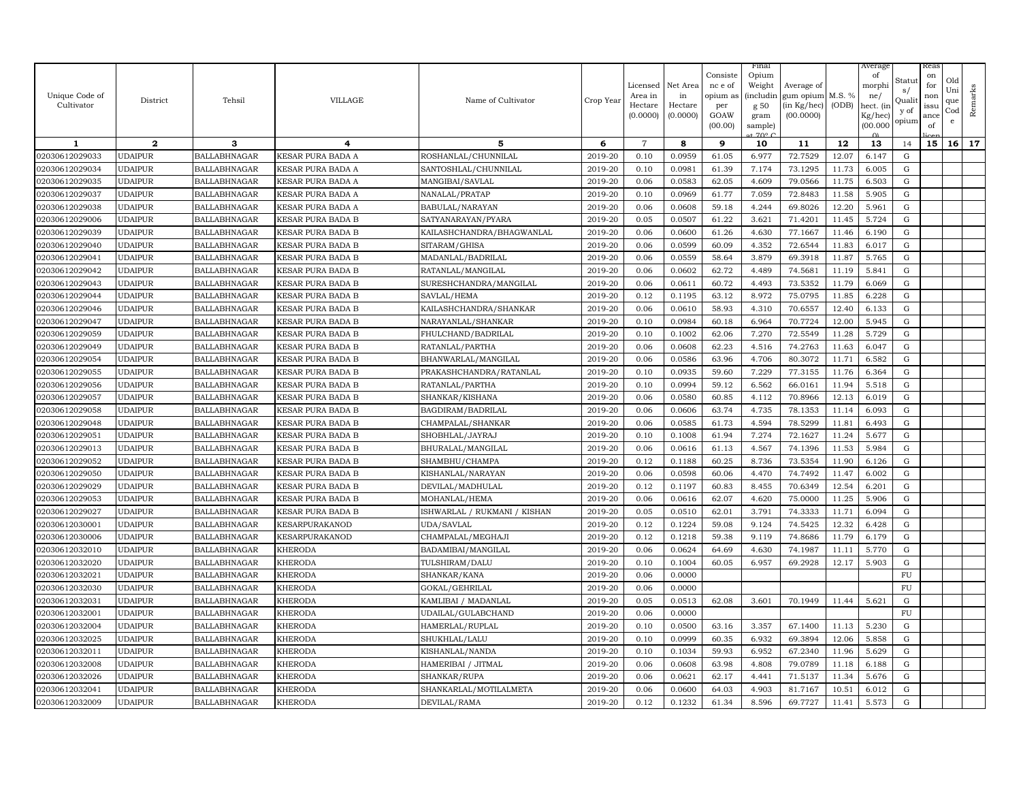| Unique Code of<br>Cultivator | District       | Tehsil              | VILLAGE           | Name of Cultivator           | Crop Year | Licensed<br>Area in<br>Hectare<br>(0.0000) | Net Area<br>in<br>Hectare<br>(0.0000) | Consiste<br>nc e of<br>opium as<br>per<br>GOAW<br>(00.00) | Final<br>Opium<br>Weight<br><i>(includin</i><br>g 50<br>gram<br>sample<br>70° | Average of<br>gum opium M.S. %<br>(in Kg/hec)<br>(00.0000) | (ODB) | Averag<br>of<br>morphi<br>ne/<br>hect. (ir<br>Kg/hec<br>(00.000) | Statu<br>s/<br>Quali<br>y of<br>opium | on<br>for<br>nor<br>issu<br>ance<br>of | Old<br>'Ini<br>nue<br>Cod | Remarks |
|------------------------------|----------------|---------------------|-------------------|------------------------------|-----------|--------------------------------------------|---------------------------------------|-----------------------------------------------------------|-------------------------------------------------------------------------------|------------------------------------------------------------|-------|------------------------------------------------------------------|---------------------------------------|----------------------------------------|---------------------------|---------|
| -1                           | $\overline{2}$ | 3                   | 4                 | 5                            | 6         | $\overline{7}$                             | 8                                     | 9                                                         | 10                                                                            | 11                                                         | 12    | 13                                                               | 14                                    | 15                                     |                           | $16$ 17 |
| 02030612029033               | <b>UDAIPUR</b> | <b>BALLABHNAGAR</b> | KESAR PURA BADA A | ROSHANLAL/CHUNNILAL          | 2019-20   | 0.10                                       | 0.0959                                | 61.05                                                     | 6.977                                                                         | 72.7529                                                    | 12.07 | 6.147                                                            | $\mathbf G$                           |                                        |                           |         |
| 02030612029034               | UDAIPUR        | <b>BALLABHNAGAR</b> | KESAR PURA BADA A | SANTOSHLAL/CHUNNILAL         | 2019-20   | 0.10                                       | 0.0981                                | 61.39                                                     | 7.174                                                                         | 73.1295                                                    | 11.73 | 6.005                                                            | ${\rm G}$                             |                                        |                           |         |
| 02030612029035               | <b>UDAIPUR</b> | <b>BALLABHNAGAR</b> | KESAR PURA BADA A | MANGIBAI/SAVLAL              | 2019-20   | 0.06                                       | 0.0583                                | 62.05                                                     | 4.609                                                                         | 79.0566                                                    | 11.75 | 6.503                                                            | G                                     |                                        |                           |         |
| 02030612029037               | <b>UDAIPUR</b> | <b>BALLABHNAGAR</b> | KESAR PURA BADA A | NANALAL/PRATAP               | 2019-20   | 0.10                                       | 0.0969                                | 61.77                                                     | 7.059                                                                         | 72.8483                                                    | 11.58 | 5.905                                                            | G                                     |                                        |                           |         |
| 02030612029038               | <b>UDAIPUR</b> | <b>BALLABHNAGAR</b> | KESAR PURA BADA A | BABULAL/NARAYAN              | 2019-20   | 0.06                                       | 0.0608                                | 59.18                                                     | 4.244                                                                         | 69.8026                                                    | 12.20 | 5.961                                                            | $\mathbf G$                           |                                        |                           |         |
| 02030612029006               | UDAIPUR        | <b>BALLABHNAGAR</b> | KESAR PURA BADA B | SATYANARAYAN/PYARA           | 2019-20   | 0.05                                       | 0.0507                                | 61.22                                                     | 3.621                                                                         | 71.4201                                                    | 11.45 | 5.724                                                            | G                                     |                                        |                           |         |
| 02030612029039               | <b>UDAIPUR</b> | <b>BALLABHNAGAR</b> | KESAR PURA BADA B | KAILASHCHANDRA/BHAGWANLAL    | 2019-20   | 0.06                                       | 0.0600                                | 61.26                                                     | 4.630                                                                         | 77.1667                                                    | 11.46 | 6.190                                                            | G                                     |                                        |                           |         |
| 02030612029040               | UDAIPUR        | <b>BALLABHNAGAR</b> | KESAR PURA BADA B | SITARAM/GHISA                | 2019-20   | 0.06                                       | 0.0599                                | 60.09                                                     | 4.352                                                                         | 72.6544                                                    | 11.83 | 6.017                                                            | G                                     |                                        |                           |         |
| 02030612029041               | <b>UDAIPUR</b> | <b>BALLABHNAGAR</b> | KESAR PURA BADA B | MADANLAL/BADRILAL            | 2019-20   | 0.06                                       | 0.0559                                | 58.64                                                     | 3.879                                                                         | 69.3918                                                    | 11.87 | 5.765                                                            | G                                     |                                        |                           |         |
| 02030612029042               | UDAIPUR        | <b>BALLABHNAGAR</b> | KESAR PURA BADA B | RATANLAL/MANGILAL            | 2019-20   | 0.06                                       | 0.0602                                | 62.72                                                     | 4.489                                                                         | 74.5681                                                    | 11.19 | 5.841                                                            | G                                     |                                        |                           |         |
| 02030612029043               | <b>UDAIPUR</b> | <b>BALLABHNAGAR</b> | KESAR PURA BADA B | SURESHCHANDRA/MANGILAL       | 2019-20   | 0.06                                       | 0.0611                                | 60.72                                                     | 4.493                                                                         | 73.5352                                                    | 11.79 | 6.069                                                            | G                                     |                                        |                           |         |
| 02030612029044               | UDAIPUR        | <b>BALLABHNAGAR</b> | KESAR PURA BADA B | SAVLAL/HEMA                  | 2019-20   | 0.12                                       | 0.1195                                | 63.12                                                     | 8.972                                                                         | 75.0795                                                    | 11.85 | 6.228                                                            | G                                     |                                        |                           |         |
| 02030612029046               | UDAIPUR        | <b>BALLABHNAGAR</b> | KESAR PURA BADA B | KAILASHCHANDRA/SHANKAR       | 2019-20   | 0.06                                       | 0.0610                                | 58.93                                                     | 4.310                                                                         | 70.6557                                                    | 12.40 | 6.133                                                            | G                                     |                                        |                           |         |
| 02030612029047               | UDAIPUR        | <b>BALLABHNAGAR</b> | KESAR PURA BADA B | NARAYANLAL/SHANKAR           | 2019-20   | 0.10                                       | 0.0984                                | 60.18                                                     | 6.964                                                                         | 70.7724                                                    | 12.00 | 5.945                                                            | ${\rm G}$                             |                                        |                           |         |
| 02030612029059               | UDAIPUR        | <b>BALLABHNAGAR</b> | KESAR PURA BADA B | FHULCHAND/BADRILAL           | 2019-20   | 0.10                                       | 0.1002                                | 62.06                                                     | 7.270                                                                         | 72.5549                                                    | 11.28 | 5.729                                                            | $\mathbf G$                           |                                        |                           |         |
| 02030612029049               | UDAIPUR        | <b>BALLABHNAGAR</b> | KESAR PURA BADA B | RATANLAL/PARTHA              | 2019-20   | 0.06                                       | 0.0608                                | 62.23                                                     | 4.516                                                                         | 74.2763                                                    | 11.63 | 6.047                                                            | $\mathbf G$                           |                                        |                           |         |
| 02030612029054               | <b>UDAIPUR</b> | <b>BALLABHNAGAR</b> | KESAR PURA BADA B | BHANWARLAL/MANGILAL          | 2019-20   | 0.06                                       | 0.0586                                | 63.96                                                     | 4.706                                                                         | 80.3072                                                    | 11.71 | 6.582                                                            | $\mathbf G$                           |                                        |                           |         |
| 02030612029055               | UDAIPUR        | <b>BALLABHNAGAR</b> | KESAR PURA BADA B | PRAKASHCHANDRA/RATANLAL      | 2019-20   | 0.10                                       | 0.0935                                | 59.60                                                     | 7.229                                                                         | 77.3155                                                    | 11.76 | 6.364                                                            | $\mathbf G$                           |                                        |                           |         |
| 02030612029056               | UDAIPUR        | <b>BALLABHNAGAR</b> | KESAR PURA BADA B | RATANLAL/PARTHA              | 2019-20   | 0.10                                       | 0.0994                                | 59.12                                                     | 6.562                                                                         | 66.0161                                                    | 11.94 | 5.518                                                            | G                                     |                                        |                           |         |
| 02030612029057               | UDAIPUR        | <b>BALLABHNAGAR</b> | KESAR PURA BADA B | SHANKAR/KISHANA              | 2019-20   | 0.06                                       | 0.0580                                | 60.85                                                     | 4.112                                                                         | 70.8966                                                    | 12.13 | 6.019                                                            | G                                     |                                        |                           |         |
| 02030612029058               | <b>UDAIPUR</b> | <b>BALLABHNAGAR</b> | KESAR PURA BADA B | BAGDIRAM/BADRILAL            | 2019-20   | 0.06                                       | 0.0606                                | 63.74                                                     | 4.735                                                                         | 78.1353                                                    | 11.14 | 6.093                                                            | G                                     |                                        |                           |         |
| 02030612029048               | <b>UDAIPUR</b> | <b>BALLABHNAGAR</b> | KESAR PURA BADA B | CHAMPALAL/SHANKAR            | 2019-20   | 0.06                                       | 0.0585                                | 61.73                                                     | 4.594                                                                         | 78.5299                                                    | 11.81 | 6.493                                                            | G                                     |                                        |                           |         |
| 02030612029051               | <b>UDAIPUR</b> | <b>BALLABHNAGAR</b> | KESAR PURA BADA B | SHOBHLAL/JAYRAJ              | 2019-20   | 0.10                                       | 0.1008                                | 61.94                                                     | 7.274                                                                         | 72.1627                                                    | 11.24 | 5.677                                                            | G                                     |                                        |                           |         |
| 02030612029013               | UDAIPUR        | <b>BALLABHNAGAR</b> | KESAR PURA BADA B | BHURALAL/MANGILAL            | 2019-20   | 0.06                                       | 0.0616                                | 61.13                                                     | 4.567                                                                         | 74.1396                                                    | 11.53 | 5.984                                                            | G                                     |                                        |                           |         |
| 02030612029052               | <b>UDAIPUR</b> | <b>BALLABHNAGAR</b> | KESAR PURA BADA B | SHAMBHU/CHAMPA               | 2019-20   | 0.12                                       | 0.1188                                | 60.25                                                     | 8.736                                                                         | 73.5354                                                    | 11.90 | 6.126                                                            | G                                     |                                        |                           |         |
| 02030612029050               | <b>UDAIPUR</b> | <b>BALLABHNAGAR</b> | KESAR PURA BADA B | KISHANLAL/NARAYAN            | 2019-20   | 0.06                                       | 0.0598                                | 60.06                                                     | 4.470                                                                         | 74.7492                                                    | 11.47 | 6.002                                                            | G                                     |                                        |                           |         |
| 02030612029029               | UDAIPUR        | <b>BALLABHNAGAR</b> | KESAR PURA BADA B | DEVILAL/MADHULAL             | 2019-20   | 0.12                                       | 0.1197                                | 60.83                                                     | 8.455                                                                         | 70.6349                                                    | 12.54 | 6.201                                                            | G                                     |                                        |                           |         |
| 02030612029053               | UDAIPUR        | <b>BALLABHNAGAR</b> | KESAR PURA BADA B | MOHANLAL/HEMA                | 2019-20   | 0.06                                       | 0.0616                                | 62.07                                                     | 4.620                                                                         | 75.0000                                                    | 11.25 | 5.906                                                            | G                                     |                                        |                           |         |
| 02030612029027               | UDAIPUR        | <b>BALLABHNAGAR</b> | KESAR PURA BADA B | ISHWARLAL / RUKMANI / KISHAN | 2019-20   | 0.05                                       | 0.0510                                | 62.01                                                     | 3.791                                                                         | 74.3333                                                    | 11.71 | 6.094                                                            | G                                     |                                        |                           |         |
| 02030612030001               | UDAIPUR        | <b>BALLABHNAGAR</b> | KESARPURAKANOD    | UDA/SAVLAL                   | 2019-20   | 0.12                                       | 0.1224                                | 59.08                                                     | 9.124                                                                         | 74.5425                                                    | 12.32 | 6.428                                                            | ${\rm G}$                             |                                        |                           |         |
| 02030612030006               | UDAIPUR        | <b>BALLABHNAGAR</b> | KESARPURAKANOD    | CHAMPALAL/MEGHAJI            | 2019-20   | 0.12                                       | 0.1218                                | 59.38                                                     | 9.119                                                                         | 74.8686                                                    | 11.79 | 6.179                                                            | $\mathbf G$                           |                                        |                           |         |
| 02030612032010               | UDAIPUR        | <b>BALLABHNAGAR</b> | KHERODA           | BADAMIBAI/MANGILAL           | 2019-20   | 0.06                                       | 0.0624                                | 64.69                                                     | 4.630                                                                         | 74.1987                                                    | 11.11 | 5.770                                                            | ${\rm G}$                             |                                        |                           |         |
| 02030612032020               | <b>UDAIPUR</b> | <b>BALLABHNAGAR</b> | KHERODA           | TULSHIRAM/DALU               | 2019-20   | 0.10                                       | 0.1004                                | 60.05                                                     | 6.957                                                                         | 69.2928                                                    | 12.17 | 5.903                                                            | $\mathbf G$                           |                                        |                           |         |
| 02030612032021               | UDAIPUR        | <b>BALLABHNAGAR</b> | KHERODA           | SHANKAR/KANA                 | 2019-20   | 0.06                                       | 0.0000                                |                                                           |                                                                               |                                                            |       |                                                                  | ${\rm FU}$                            |                                        |                           |         |
| 02030612032030               | UDAIPUR        | <b>BALLABHNAGAR</b> | KHERODA           | GOKAL/GEHRILAL               | 2019-20   | 0.06                                       | 0.0000                                |                                                           |                                                                               |                                                            |       |                                                                  | ${\rm FU}$                            |                                        |                           |         |
| 02030612032031               | UDAIPUR        | <b>BALLABHNAGAR</b> | KHERODA           | KAMLIBAI / MADANLAL          | 2019-20   | 0.05                                       | 0.0513                                | 62.08                                                     | 3.601                                                                         | 70.1949                                                    | 11.44 | 5.621                                                            | G                                     |                                        |                           |         |
| 02030612032001               | <b>UDAIPUR</b> | <b>BALLABHNAGAR</b> | KHERODA           | UDAILAL/GULABCHAND           | 2019-20   | 0.06                                       | 0.0000                                |                                                           |                                                                               |                                                            |       |                                                                  | FU                                    |                                        |                           |         |
| 02030612032004               | <b>UDAIPUR</b> | <b>BALLABHNAGAR</b> | KHERODA           | HAMERLAL/RUPLAL              | 2019-20   | 0.10                                       | 0.0500                                | 63.16                                                     | 3.357                                                                         | 67.1400                                                    | 11.13 | 5.230                                                            | G                                     |                                        |                           |         |
| 02030612032025               | <b>UDAIPUR</b> | <b>BALLABHNAGAR</b> | <b>KHERODA</b>    | SHUKHLAL/LALU                | 2019-20   | 0.10                                       | 0.0999                                | 60.35                                                     | 6.932                                                                         | 69.3894                                                    | 12.06 | 5.858                                                            | G                                     |                                        |                           |         |
| 02030612032011               | UDAIPUR        | <b>BALLABHNAGAR</b> | KHERODA           | KISHANLAL/NANDA              | 2019-20   | 0.10                                       | 0.1034                                | 59.93                                                     | 6.952                                                                         | 67.2340                                                    | 11.96 | 5.629                                                            | G                                     |                                        |                           |         |
| 02030612032008               | <b>UDAIPUR</b> | <b>BALLABHNAGAR</b> | <b>KHERODA</b>    | HAMERIBAI / JITMAL           | 2019-20   | 0.06                                       | 0.0608                                | 63.98                                                     | 4.808                                                                         | 79.0789                                                    | 11.18 | 6.188                                                            | G                                     |                                        |                           |         |
| 02030612032026               | <b>UDAIPUR</b> | <b>BALLABHNAGAR</b> | KHERODA           | SHANKAR/RUPA                 | 2019-20   | 0.06                                       | 0.0621                                | 62.17                                                     | 4.441                                                                         | 71.5137                                                    | 11.34 | 5.676                                                            | G                                     |                                        |                           |         |
| 02030612032041               | UDAIPUR        | <b>BALLABHNAGAR</b> | KHERODA           | SHANKARLAL/MOTILALMETA       | 2019-20   | 0.06                                       | 0.0600                                | 64.03                                                     | 4.903                                                                         | 81.7167                                                    | 10.51 | 6.012                                                            | G                                     |                                        |                           |         |
| 02030612032009               | UDAIPUR        | <b>BALLABHNAGAR</b> | KHERODA           | DEVILAL/RAMA                 | 2019-20   | 0.12                                       | 0.1232                                | 61.34                                                     | 8.596                                                                         | 69.7727                                                    | 11.41 | 5.573                                                            | ${\rm G}$                             |                                        |                           |         |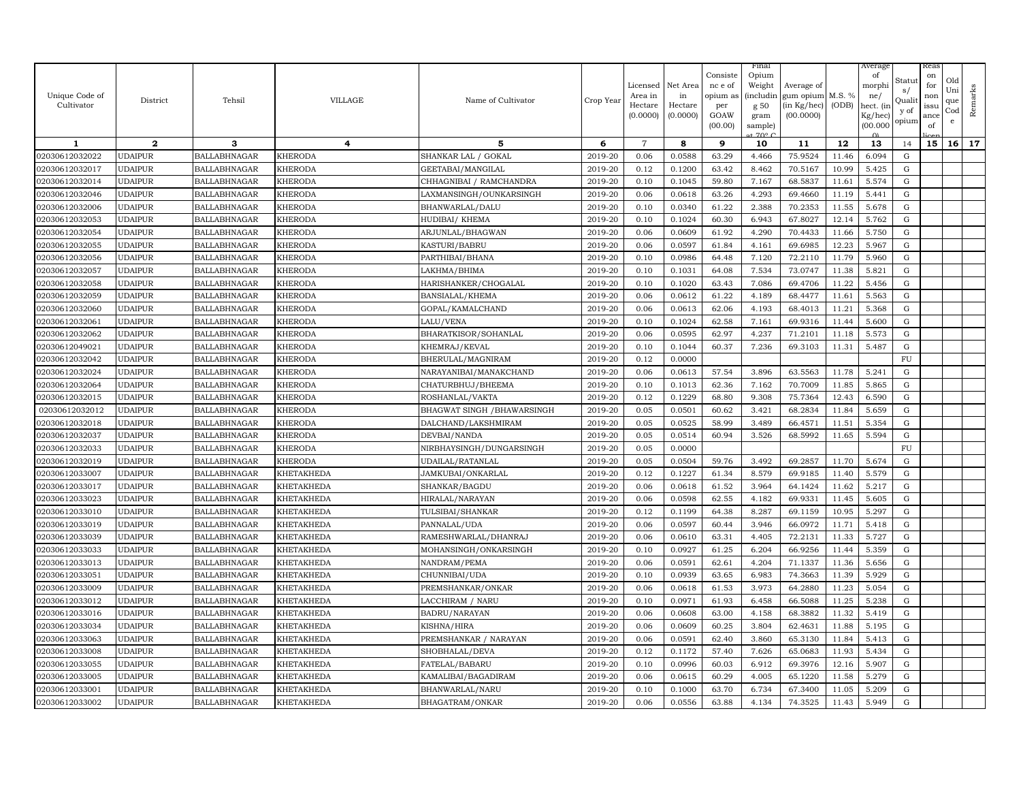| Unique Code of<br>Cultivator | District       | Tehsil              | VILLAGE        | Name of Cultivator          | Crop Year | Licensed<br>Area in<br>Hectare<br>(0.0000) | Net Area<br>in<br>Hectare<br>(0.0000) | Consiste<br>nc e of<br>opium as<br>per<br>GOAW<br>(00.00) | Final<br>Opium<br>Weight<br><i>(includir)</i><br>g 50<br>gram<br>sample)<br>$70^\circ$ | Average of<br>gum opium<br>(in Kg/hec)<br>(00.0000) | M.S. %<br>(ODB) | Averag<br>of<br>morphi<br>ne/<br>hect. (in<br>Kg/hec<br>(00.000) | Statu<br>s/<br>Quali<br>y of<br>opium | on<br>for<br>noi<br>isst<br>ance<br>of | Old<br>Uni<br>que<br>Cod | Remarks |
|------------------------------|----------------|---------------------|----------------|-----------------------------|-----------|--------------------------------------------|---------------------------------------|-----------------------------------------------------------|----------------------------------------------------------------------------------------|-----------------------------------------------------|-----------------|------------------------------------------------------------------|---------------------------------------|----------------------------------------|--------------------------|---------|
| 1                            | $\overline{2}$ | з                   | 4              | 5                           | 6         | $\overline{7}$                             | 8                                     | 9                                                         | 10                                                                                     | 11                                                  | 12              | 13                                                               | 14                                    | 15                                     | 16                       | 17      |
| 02030612032022               | <b>UDAIPUR</b> | <b>BALLABHNAGAR</b> | <b>KHERODA</b> | SHANKAR LAL / GOKAL         | 2019-20   | 0.06                                       | 0.0588                                | 63.29                                                     | 4.466                                                                                  | 75.9524                                             | 11.46           | 6.094                                                            | ${\rm G}$                             |                                        |                          |         |
| 02030612032017               | <b>UDAIPUR</b> | BALLABHNAGAR        | KHERODA        | GEETABAI/MANGILAL           | 2019-20   | 0.12                                       | 0.1200                                | 63.42                                                     | 8.462                                                                                  | 70.5167                                             | 10.99           | 5.425                                                            | G                                     |                                        |                          |         |
| 02030612032014               | <b>UDAIPUR</b> | BALLABHNAGAR        | KHERODA        | CHHAGNIBAI / RAMCHANDRA     | 2019-20   | 0.10                                       | 0.1045                                | 59.80                                                     | 7.167                                                                                  | 68.5837                                             | 11.61           | 5.574                                                            | G                                     |                                        |                          |         |
| 02030612032046               | UDAIPUR        | BALLABHNAGAR        | KHERODA        | LAXMANSINGH/OUNKARSINGH     | 2019-20   | 0.06                                       | 0.0618                                | 63.26                                                     | 4.293                                                                                  | 69.4660                                             | 11.19           | 5.441                                                            | G                                     |                                        |                          |         |
| 02030612032006               | <b>UDAIPUR</b> | BALLABHNAGAR        | <b>KHERODA</b> | BHANWARLAL/DALU             | 2019-20   | 0.10                                       | 0.0340                                | 61.22                                                     | 2.388                                                                                  | 70.2353                                             | 11.55           | 5.678                                                            | ${\rm G}$                             |                                        |                          |         |
| 02030612032053               | <b>UDAIPUR</b> | BALLABHNAGAR        | <b>KHERODA</b> | HUDIBAI/ KHEMA              | 2019-20   | 0.10                                       | 0.1024                                | 60.30                                                     | 6.943                                                                                  | 67.8027                                             | 12.14           | 5.762                                                            | G                                     |                                        |                          |         |
| 02030612032054               | <b>UDAIPUR</b> | BALLABHNAGAR        | <b>KHERODA</b> | ARJUNLAL/BHAGWAN            | 2019-20   | 0.06                                       | 0.0609                                | 61.92                                                     | 4.290                                                                                  | 70.4433                                             | 11.66           | 5.750                                                            | ${\rm G}$                             |                                        |                          |         |
| 02030612032055               | UDAIPUR        | BALLABHNAGAR        | KHERODA        | <b>KASTURI/BABRU</b>        | 2019-20   | 0.06                                       | 0.0597                                | 61.84                                                     | 4.161                                                                                  | 69.6985                                             | 12.23           | 5.967                                                            | ${\rm G}$                             |                                        |                          |         |
| 02030612032056               | <b>UDAIPUR</b> | BALLABHNAGAR        | <b>KHERODA</b> | PARTHIBAI/BHANA             | 2019-20   | 0.10                                       | 0.0986                                | 64.48                                                     | 7.120                                                                                  | 72.2110                                             | 11.79           | 5.960                                                            | ${\rm G}$                             |                                        |                          |         |
| 02030612032057               | <b>UDAIPUR</b> | BALLABHNAGAR        | KHERODA        | LAKHMA/BHIMA                | 2019-20   | 0.10                                       | 0.1031                                | 64.08                                                     | 7.534                                                                                  | 73.0747                                             | 11.38           | 5.821                                                            | ${\rm G}$                             |                                        |                          |         |
| 02030612032058               | <b>UDAIPUR</b> | BALLABHNAGAR        | <b>KHERODA</b> | HARISHANKER/CHOGALAL        | 2019-20   | 0.10                                       | 0.1020                                | 63.43                                                     | 7.086                                                                                  | 69.4706                                             | 11.22           | 5.456                                                            | ${\rm G}$                             |                                        |                          |         |
| 02030612032059               | <b>UDAIPUR</b> | BALLABHNAGAR        | KHERODA        | <b>BANSIALAL/KHEMA</b>      | 2019-20   | 0.06                                       | 0.0612                                | 61.22                                                     | 4.189                                                                                  | 68.4477                                             | 11.61           | 5.563                                                            | G                                     |                                        |                          |         |
| 02030612032060               | <b>UDAIPUR</b> | <b>BALLABHNAGAR</b> | KHERODA        | GOPAL/KAMALCHAND            | 2019-20   | 0.06                                       | 0.0613                                | 62.06                                                     | 4.193                                                                                  | 68.4013                                             | 11.21           | 5.368                                                            | ${\rm G}$                             |                                        |                          |         |
| 02030612032061               | <b>UDAIPUR</b> | BALLABHNAGAR        | KHERODA        | LALU/VENA                   | 2019-20   | 0.10                                       | 0.1024                                | 62.58                                                     | 7.161                                                                                  | 69.9316                                             | 11.44           | 5.600                                                            | ${\rm G}$                             |                                        |                          |         |
| 02030612032062               | <b>UDAIPUR</b> | BALLABHNAGAR        | KHERODA        | BHARATKISOR/SOHANLAL        | 2019-20   | 0.06                                       | 0.0595                                | 62.97                                                     | 4.237                                                                                  | 71.2101                                             | 11.18           | 5.573                                                            | ${\rm G}$                             |                                        |                          |         |
| 02030612049021               | <b>UDAIPUR</b> | BALLABHNAGAR        | KHERODA        | KHEMRAJ/KEVAL               | 2019-20   | 0.10                                       | 0.1044                                | 60.37                                                     | 7.236                                                                                  | 69.3103                                             | 11.31           | 5.487                                                            | ${\rm G}$                             |                                        |                          |         |
| 02030612032042               | <b>UDAIPUR</b> | <b>BALLABHNAGAR</b> | <b>KHERODA</b> | BHERULAL/MAGNIRAM           | 2019-20   | 0.12                                       | 0.0000                                |                                                           |                                                                                        |                                                     |                 |                                                                  | ${\rm FU}$                            |                                        |                          |         |
| 02030612032024               | <b>UDAIPUR</b> | <b>BALLABHNAGAR</b> | KHERODA        | NARAYANIBAI/MANAKCHAND      | 2019-20   | 0.06                                       | 0.0613                                | 57.54                                                     | 3.896                                                                                  | 63.5563                                             | 11.78           | 5.241                                                            | ${\bf G}$                             |                                        |                          |         |
| 02030612032064               | <b>UDAIPUR</b> | BALLABHNAGAR        | <b>KHERODA</b> | CHATURBHUJ/BHEEMA           | 2019-20   | 0.10                                       | 0.1013                                | 62.36                                                     | 7.162                                                                                  | 70.7009                                             | 11.85           | 5.865                                                            | G                                     |                                        |                          |         |
| 02030612032015               | <b>UDAIPUR</b> | BALLABHNAGAR        | KHERODA        | ROSHANLAL/VAKTA             | 2019-20   | 0.12                                       | 0.1229                                | 68.80                                                     | 9.308                                                                                  | 75.7364                                             | 12.43           | 6.590                                                            | G                                     |                                        |                          |         |
| 02030612032012               | <b>UDAIPUR</b> | <b>BALLABHNAGAR</b> | KHERODA        | BHAGWAT SINGH / BHAWARSINGH | 2019-20   | 0.05                                       | 0.0501                                | 60.62                                                     | 3.421                                                                                  | 68.2834                                             | 11.84           | 5.659                                                            | ${\rm G}$                             |                                        |                          |         |
| 02030612032018               | <b>UDAIPUR</b> | BALLABHNAGAR        | <b>KHERODA</b> | DALCHAND/LAKSHMIRAM         | 2019-20   | 0.05                                       | 0.0525                                | 58.99                                                     | 3.489                                                                                  | 66.4571                                             | 11.51           | 5.354                                                            | ${\rm G}$                             |                                        |                          |         |
| 02030612032037               | <b>UDAIPUR</b> | BALLABHNAGAR        | KHERODA        | DEVBAI/NANDA                | 2019-20   | 0.05                                       | 0.0514                                | 60.94                                                     | 3.526                                                                                  | 68.5992                                             | 11.65           | 5.594                                                            | ${\rm G}$                             |                                        |                          |         |
| 02030612032033               | <b>UDAIPUR</b> | BALLABHNAGAR        | <b>KHERODA</b> | NIRBHAYSINGH/DUNGARSINGH    | 2019-20   | 0.05                                       | 0.0000                                |                                                           |                                                                                        |                                                     |                 |                                                                  | ${\rm FU}$                            |                                        |                          |         |
| 02030612032019               | <b>UDAIPUR</b> | BALLABHNAGAR        | <b>KHERODA</b> | UDAILAL/RATANLAL            | 2019-20   | 0.05                                       | 0.0504                                | 59.76                                                     | 3.492                                                                                  | 69.2857                                             | 11.70           | 5.674                                                            | G                                     |                                        |                          |         |
| 02030612033007               | <b>UDAIPUR</b> | <b>BALLABHNAGAR</b> | KHETAKHEDA     | JAMKUBAI/ONKARLAL           | 2019-20   | 0.12                                       | 0.1227                                | 61.34                                                     | 8.579                                                                                  | 69.9185                                             | 11.40           | 5.579                                                            | ${\rm G}$                             |                                        |                          |         |
| 02030612033017               | <b>UDAIPUR</b> | BALLABHNAGAR        | KHETAKHEDA     | SHANKAR/BAGDU               | 2019-20   | 0.06                                       | 0.0618                                | 61.52                                                     | 3.964                                                                                  | 64.1424                                             | 11.62           | 5.217                                                            | ${\rm G}$                             |                                        |                          |         |
| 02030612033023               | UDAIPUR        | BALLABHNAGAR        | KHETAKHEDA     | HIRALAL/NARAYAN             | 2019-20   | 0.06                                       | 0.0598                                | 62.55                                                     | 4.182                                                                                  | 69.9331                                             | 11.45           | 5.605                                                            | ${\rm G}$                             |                                        |                          |         |
| 02030612033010               | <b>UDAIPUR</b> | BALLABHNAGAR        | KHETAKHEDA     | TULSIBAI/SHANKAR            | 2019-20   | 0.12                                       | 0.1199                                | 64.38                                                     | 8.287                                                                                  | 69.1159                                             | 10.95           | 5.297                                                            | G                                     |                                        |                          |         |
| 02030612033019               | <b>UDAIPUR</b> | BALLABHNAGAR        | KHETAKHEDA     | PANNALAL/UDA                | 2019-20   | 0.06                                       | 0.0597                                | 60.44                                                     | 3.946                                                                                  | 66.0972                                             | 11.71           | 5.418                                                            | ${\rm G}$                             |                                        |                          |         |
| 02030612033039               | <b>UDAIPUR</b> | BALLABHNAGAR        | KHETAKHEDA     | RAMESHWARLAL/DHANRAJ        | 2019-20   | 0.06                                       | 0.0610                                | 63.31                                                     | 4.405                                                                                  | 72.2131                                             | 11.33           | 5.727                                                            | $\mathbf G$                           |                                        |                          |         |
| 02030612033033               | <b>UDAIPUR</b> | BALLABHNAGAR        | KHETAKHEDA     | MOHANSINGH/ONKARSINGH       | 2019-20   | 0.10                                       | 0.0927                                | 61.25                                                     | 6.204                                                                                  | 66.9256                                             | 11.44           | 5.359                                                            | ${\rm G}$                             |                                        |                          |         |
| 02030612033013               | <b>UDAIPUR</b> | BALLABHNAGAR        | KHETAKHEDA     | NANDRAM/PEMA                | 2019-20   | 0.06                                       | 0.0591                                | 62.61                                                     | 4.204                                                                                  | 71.1337                                             | 11.36           | 5.656                                                            | ${\rm G}$                             |                                        |                          |         |
| 02030612033051               | <b>UDAIPUR</b> | <b>BALLABHNAGAR</b> | KHETAKHEDA     | CHUNNIBAI/UDA               | 2019-20   | 0.10                                       | 0.0939                                | 63.65                                                     | 6.983                                                                                  | 74.3663                                             | 11.39           | 5.929                                                            | ${\rm G}$                             |                                        |                          |         |
| 02030612033009               | <b>UDAIPUR</b> | BALLABHNAGAR        | KHETAKHEDA     | PREMSHANKAR/ONKAR           | 2019-20   | 0.06                                       | 0.0618                                | 61.53                                                     | 3.973                                                                                  | 64.2880                                             | 11.23           | 5.054                                                            | ${\rm G}$                             |                                        |                          |         |
| 02030612033012               | <b>UDAIPUR</b> | BALLABHNAGAR        | KHETAKHEDA     | LACCHIRAM / NARU            | 2019-20   | 0.10                                       | 0.0971                                | 61.93                                                     | 6.458                                                                                  | 66.5088                                             | 11.25           | 5.238                                                            | G                                     |                                        |                          |         |
| 02030612033016               | <b>UDAIPUR</b> | <b>BALLABHNAGAR</b> | KHETAKHEDA     | <b>BADRU/NARAYAN</b>        | 2019-20   | 0.06                                       | 0.0608                                | 63.00                                                     | 4.158                                                                                  | 68.3882                                             | 11.32           | 5.419                                                            | G                                     |                                        |                          |         |
| 02030612033034               | <b>UDAIPUR</b> | BALLABHNAGAR        | KHETAKHEDA     | KISHNA/HIRA                 | 2019-20   | 0.06                                       | 0.0609                                | 60.25                                                     | 3.804                                                                                  | 62.4631                                             | 11.88           | 5.195                                                            | ${\rm G}$                             |                                        |                          |         |
| 02030612033063               | <b>UDAIPUR</b> | BALLABHNAGAR        | KHETAKHEDA     | PREMSHANKAR / NARAYAN       | 2019-20   | 0.06                                       | 0.0591                                | 62.40                                                     | 3.860                                                                                  | 65.3130                                             | 11.84           | 5.413                                                            | ${\rm G}$                             |                                        |                          |         |
| 02030612033008               | <b>UDAIPUR</b> | BALLABHNAGAR        | KHETAKHEDA     | SHOBHALAL/DEVA              | 2019-20   | 0.12                                       | 0.1172                                | 57.40                                                     | 7.626                                                                                  | 65.0683                                             | 11.93           | 5.434                                                            | $\mathbf G$                           |                                        |                          |         |
| 02030612033055               | <b>UDAIPUR</b> | <b>BALLABHNAGAR</b> | KHETAKHEDA     | FATELAL/BABARU              | 2019-20   | 0.10                                       | 0.0996                                | 60.03                                                     | 6.912                                                                                  | 69.3976                                             | 12.16           | 5.907                                                            | ${\rm G}$                             |                                        |                          |         |
| 02030612033005               | UDAIPUR        | BALLABHNAGAR        | KHETAKHEDA     | KAMALIBAI/BAGADIRAM         | 2019-20   | 0.06                                       | 0.0615                                | 60.29                                                     | 4.005                                                                                  | 65.1220                                             | 11.58           | 5.279                                                            | ${\rm G}$                             |                                        |                          |         |
| 02030612033001               | <b>UDAIPUR</b> | BALLABHNAGAR        | KHETAKHEDA     | BHANWARLAL/NARU             | 2019-20   | 0.10                                       | 0.1000                                | 63.70                                                     | 6.734                                                                                  | 67.3400                                             | 11.05           | 5.209                                                            | ${\rm G}$                             |                                        |                          |         |
| 02030612033002               | <b>UDAIPUR</b> | BALLABHNAGAR        | KHETAKHEDA     | BHAGATRAM/ONKAR             | 2019-20   | 0.06                                       | 0.0556                                | 63.88                                                     | 4.134                                                                                  | 74.3525                                             | 11.43           | 5.949                                                            | $\mathbf G$                           |                                        |                          |         |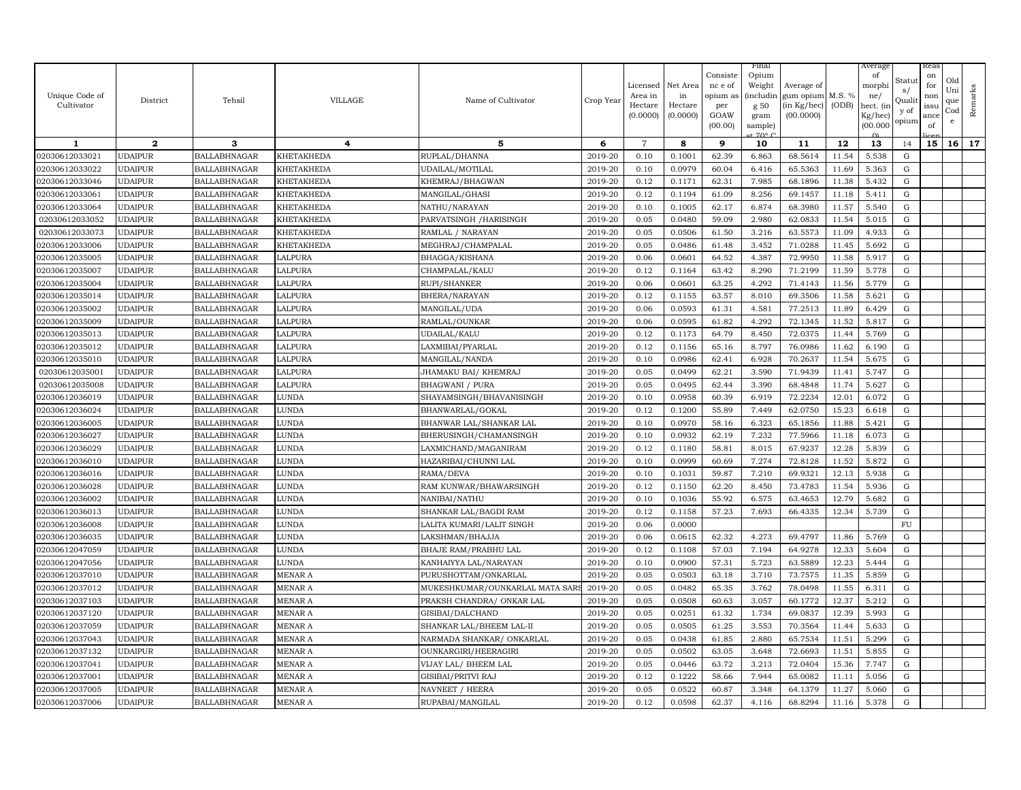| Unique Code of<br>Cultivator | District                      | Tehsil                   | VILLAGE         | Name of Cultivator<br>5          | Crop Year    | Licensed<br>Area in<br>Hectare<br>(0.0000)<br>$\overline{7}$ | Net Area<br>in<br>Hectare<br>(0.0000)<br>8 | Consiste<br>nc e of<br>opium as<br>per<br>GOAW<br>(00.00)<br>9 | Final<br>Opium<br>Weight<br><i>(includir)</i><br>g 50<br>gram<br>sample)<br>$70^\circ$ | Average of<br>gum opium<br>(in Kg/hec)<br>(00.0000)<br>11 | M.S. %<br>(ODB)<br>12 | Averag<br>of<br>morphi<br>ne/<br>hect. (in<br>$Kg/$ hec<br>(00.000) | Statu<br>s/<br>Quali<br>y of<br>opium | ≺ea<br>on<br>for<br>noi<br>isst<br>ance<br>of | Old<br>Uni<br>que<br>Cod | Remarks<br>17 |
|------------------------------|-------------------------------|--------------------------|-----------------|----------------------------------|--------------|--------------------------------------------------------------|--------------------------------------------|----------------------------------------------------------------|----------------------------------------------------------------------------------------|-----------------------------------------------------------|-----------------------|---------------------------------------------------------------------|---------------------------------------|-----------------------------------------------|--------------------------|---------------|
| 1<br>02030612033021          | $\mathbf 2$<br><b>UDAIPUR</b> | з<br><b>BALLABHNAGAR</b> | 4<br>KHETAKHEDA |                                  | 6<br>2019-20 | 0.10                                                         | 0.1001                                     | 62.39                                                          | 10<br>6.863                                                                            | 68.5614                                                   | 11.54                 | 13<br>5.538                                                         | 14<br>$\mathbf G$                     | 15                                            | 16 <sup>1</sup>          |               |
| 02030612033022               | UDAIPUR                       | BALLABHNAGAR             | KHETAKHEDA      | RUPLAL/DHANNA<br>UDAILAL/MOTILAL | 2019-20      | 0.10                                                         | 0.0979                                     | 60.04                                                          | 6.416                                                                                  | 65.5363                                                   | 11.69                 | 5.363                                                               | ${\rm G}$                             |                                               |                          |               |
| 02030612033046               | <b>UDAIPUR</b>                | <b>BALLABHNAGAR</b>      | KHETAKHEDA      | KHEMRAJ/BHAGWAN                  | 2019-20      | 0.12                                                         | 0.1171                                     | 62.31                                                          | 7.985                                                                                  | 68.1896                                                   | 11.38                 | 5.432                                                               | $\mathbf G$                           |                                               |                          |               |
| 02030612033061               | <b>UDAIPUR</b>                | BALLABHNAGAR             | KHETAKHEDA      | MANGILAL/GHASI                   | 2019-20      | 0.12                                                         | 0.1194                                     | 61.09                                                          | 8.256                                                                                  | 69.1457                                                   | 11.18                 | 5.411                                                               | ${\rm G}$                             |                                               |                          |               |
| 02030612033064               | <b>UDAIPUR</b>                | <b>BALLABHNAGAR</b>      | KHETAKHEDA      | NATHU/NARAYAN                    | 2019-20      | 0.10                                                         | 0.1005                                     | 62.17                                                          | 6.874                                                                                  | 68.3980                                                   | 11.57                 | 5.540                                                               | $\mathbf G$                           |                                               |                          |               |
| 02030612033052               | UDAIPUR                       | <b>BALLABHNAGAR</b>      | KHETAKHEDA      | PARVATSINGH / HARISINGH          | 2019-20      | 0.05                                                         | 0.0480                                     | 59.09                                                          | 2.980                                                                                  | 62.0833                                                   | 11.54                 | 5.015                                                               | ${\rm G}$                             |                                               |                          |               |
| 02030612033073               | UDAIPUR                       | BALLABHNAGAR             | KHETAKHEDA      | RAMLAL / NARAYAN                 | 2019-20      | 0.05                                                         | 0.0506                                     | 61.50                                                          | 3.216                                                                                  | 63.5573                                                   | 11.09                 | 4.933                                                               | G                                     |                                               |                          |               |
| 02030612033006               | <b>UDAIPUR</b>                | BALLABHNAGAR             | KHETAKHEDA      | MEGHRAJ/CHAMPALAL                | 2019-20      | 0.05                                                         | 0.0486                                     | 61.48                                                          | 3.452                                                                                  | 71.0288                                                   | 11.45                 | 5.692                                                               | G                                     |                                               |                          |               |
| 02030612035005               | UDAIPUR                       | BALLABHNAGAR             | LALPURA         | BHAGGA/KISHANA                   | 2019-20      | 0.06                                                         | 0.0601                                     | 64.52                                                          | 4.387                                                                                  | 72.9950                                                   | 11.58                 | 5.917                                                               | ${\rm G}$                             |                                               |                          |               |
| 02030612035007               | <b>UDAIPUR</b>                | BALLABHNAGAR             | LALPURA         | CHAMPALAL/KALU                   | 2019-20      | 0.12                                                         | 0.1164                                     | 63.42                                                          | 8.290                                                                                  | 71.2199                                                   | 11.59                 | 5.778                                                               | G                                     |                                               |                          |               |
| 02030612035004               | <b>UDAIPUR</b>                | <b>BALLABHNAGAR</b>      | LALPURA         | <b>RUPI/SHANKER</b>              | 2019-20      | 0.06                                                         | 0.0601                                     | 63.25                                                          | 4.292                                                                                  | 71.4143                                                   | 11.56                 | 5.779                                                               | ${\rm G}$                             |                                               |                          |               |
| 02030612035014               | <b>UDAIPUR</b>                | <b>BALLABHNAGAR</b>      | LALPURA         | BHERA/NARAYAN                    | 2019-20      | 0.12                                                         | 0.1155                                     | 63.57                                                          | 8.010                                                                                  | 69.3506                                                   | 11.58                 | 5.621                                                               | G                                     |                                               |                          |               |
| 02030612035002               | <b>UDAIPUR</b>                | <b>BALLABHNAGAR</b>      | LALPURA         | MANGILAL/UDA                     | 2019-20      | 0.06                                                         | 0.0593                                     | 61.31                                                          | 4.581                                                                                  | 77.2513                                                   | 11.89                 | 6.429                                                               | ${\rm G}$                             |                                               |                          |               |
| 02030612035009               | <b>UDAIPUR</b>                | BALLABHNAGAR             | LALPURA         | RAMLAL/OUNKAR                    | 2019-20      | 0.06                                                         | 0.0595                                     | 61.82                                                          | 4.292                                                                                  | 72.1345                                                   | 11.52                 | 5.817                                                               | ${\rm G}$                             |                                               |                          |               |
| 02030612035013               | <b>UDAIPUR</b>                | BALLABHNAGAR             | LALPURA         | UDAILAL/KALU                     | 2019-20      | 0.12                                                         | 0.1173                                     | 64.79                                                          | 8.450                                                                                  | 72.0375                                                   | 11.44                 | 5.769                                                               | $\mathbf G$                           |                                               |                          |               |
| 02030612035012               | <b>UDAIPUR</b>                | BALLABHNAGAR             | LALPURA         | LAXMIBAI/PYARLAL                 | 2019-20      | 0.12                                                         | 0.1156                                     | 65.16                                                          | 8.797                                                                                  | 76.0986                                                   | 11.62                 | 6.190                                                               | $\mathbf G$                           |                                               |                          |               |
| 02030612035010               | UDAIPUR                       | BALLABHNAGAR             | LALPURA         | MANGILAL/NANDA                   | 2019-20      | 0.10                                                         | 0.0986                                     | 62.41                                                          | 6.928                                                                                  | 70.2637                                                   | 11.54                 | 5.675                                                               | G                                     |                                               |                          |               |
| 02030612035001               | <b>UDAIPUR</b>                | <b>BALLABHNAGAR</b>      | LALPURA         | JHAMAKU BAI/ KHEMRAJ             | 2019-20      | 0.05                                                         | 0.0499                                     | 62.21                                                          | 3.590                                                                                  | 71.9439                                                   | 11.41                 | 5.747                                                               | ${\rm G}$                             |                                               |                          |               |
| 02030612035008               | <b>UDAIPUR</b>                | <b>BALLABHNAGAR</b>      | LALPURA         | <b>BHAGWANI / PURA</b>           | 2019-20      | 0.05                                                         | 0.0495                                     | 62.44                                                          | 3.390                                                                                  | 68.4848                                                   | 11.74                 | 5.627                                                               | ${\bf G}$                             |                                               |                          |               |
| 02030612036019               | <b>UDAIPUR</b>                | <b>BALLABHNAGAR</b>      | <b>LUNDA</b>    | SHAYAMSINGH/BHAVANISINGH         | 2019-20      | 0.10                                                         | 0.0958                                     | 60.39                                                          | 6.919                                                                                  | 72.2234                                                   | 12.01                 | 6.072                                                               | $\mathbf G$                           |                                               |                          |               |
| 02030612036024               | <b>UDAIPUR</b>                | BALLABHNAGAR             | LUNDA           | BHANWARLAL/GOKAL                 | 2019-20      | 0.12                                                         | 0.1200                                     | 55.89                                                          | 7.449                                                                                  | 62.0750                                                   | 15.23                 | 6.618                                                               | G                                     |                                               |                          |               |
| 02030612036005               | <b>UDAIPUR</b>                | <b>BALLABHNAGAR</b>      | LUNDA           | BHANWAR LAL/SHANKAR LAL          | 2019-20      | 0.10                                                         | 0.0970                                     | 58.16                                                          | 6.323                                                                                  | 65.1856                                                   | 11.88                 | 5.421                                                               | ${\rm G}$                             |                                               |                          |               |
| 02030612036027               | UDAIPUR                       | BALLABHNAGAR             | LUNDA           | BHERUSINGH/CHAMANSINGH           | 2019-20      | 0.10                                                         | 0.0932                                     | 62.19                                                          | 7.232                                                                                  | 77.5966                                                   | 11.18                 | 6.073                                                               | G                                     |                                               |                          |               |
| 02030612036029               | UDAIPUR                       | BALLABHNAGAR             | LUNDA           | LAXMICHAND/MAGANIRAM             | 2019-20      | 0.12                                                         | 0.1180                                     | 58.81                                                          | 8.015                                                                                  | 67.9237                                                   | 12.28                 | 5.839                                                               | $\mathbf G$                           |                                               |                          |               |
| 02030612036010               | UDAIPUR                       | BALLABHNAGAR             | LUNDA           | HAZARIBAI/CHUNNI LAL             | 2019-20      | 0.10                                                         | 0.0999                                     | 60.69                                                          | 7.274                                                                                  | 72.8128                                                   | 11.52                 | 5.872                                                               | ${\rm G}$                             |                                               |                          |               |
| 02030612036016               | <b>UDAIPUR</b>                | BALLABHNAGAR             | <b>LUNDA</b>    | RAMA/DEVA                        | 2019-20      | 0.10                                                         | 0.1031                                     | 59.87                                                          | 7.210                                                                                  | 69.9321                                                   | 12.13                 | 5.938                                                               | ${\rm G}$                             |                                               |                          |               |
| 02030612036028               | <b>UDAIPUR</b>                | BALLABHNAGAR             | LUNDA           | RAM KUNWAR/BHAWARSINGH           | 2019-20      | 0.12                                                         | 0.1150                                     | 62.20                                                          | 8.450                                                                                  | 73.4783                                                   | 11.54                 | 5.936                                                               | ${\rm G}$                             |                                               |                          |               |
| 02030612036002               | <b>UDAIPUR</b>                | <b>BALLABHNAGAR</b>      | <b>LUNDA</b>    | NANIBAI/NATHU                    | 2019-20      | 0.10                                                         | 0.1036                                     | 55.92                                                          | 6.575                                                                                  | 63.4653                                                   | 12.79                 | 5.682                                                               | G                                     |                                               |                          |               |
| 02030612036013               | <b>UDAIPUR</b>                | BALLABHNAGAR             | LUNDA           | SHANKAR LAL/BAGDI RAM            | 2019-20      | 0.12                                                         | 0.1158                                     | 57.23                                                          | 7.693                                                                                  | 66.4335                                                   | 12.34                 | 5.739                                                               | G                                     |                                               |                          |               |
| 02030612036008               | <b>UDAIPUR</b>                | BALLABHNAGAR             | <b>LUNDA</b>    | LALITA KUMARI/LALIT SINGH        | 2019-20      | 0.06                                                         | 0.0000                                     |                                                                |                                                                                        |                                                           |                       |                                                                     | FU                                    |                                               |                          |               |
| 02030612036035               | <b>UDAIPUR</b>                | BALLABHNAGAR             | LUNDA           | LAKSHMAN/BHAJJA                  | 2019-20      | 0.06                                                         | 0.0615                                     | 62.32                                                          | 4.273                                                                                  | 69.4797                                                   | 11.86                 | 5.769                                                               | ${\rm G}$                             |                                               |                          |               |
| 02030612047059               | <b>UDAIPUR</b>                | <b>BALLABHNAGAR</b>      | LUNDA           | <b>BHAJE RAM/PRABHU LAL</b>      | 2019-20      | 0.12                                                         | 0.1108                                     | 57.03                                                          | 7.194                                                                                  | 64.9278                                                   | 12.33                 | 5.604                                                               | $\mathbf G$                           |                                               |                          |               |
| 02030612047056               | <b>UDAIPUR</b>                | BALLABHNAGAR             | LUNDA           | KANHAIYYA LAL/NARAYAN            | 2019-20      | 0.10                                                         | 0.0900                                     | 57.31                                                          | 5.723                                                                                  | 63.5889                                                   | 12.23                 | 5.444                                                               | ${\rm G}$                             |                                               |                          |               |
| 02030612037010               | <b>UDAIPUR</b>                | <b>BALLABHNAGAR</b>      | MENAR A         | PURUSHOTTAM/ONKARLAL             | 2019-20      | 0.05                                                         | 0.0503                                     | 63.18                                                          | 3.710                                                                                  | 73.7575                                                   | 11.35                 | 5.859                                                               | ${\rm G}$                             |                                               |                          |               |
| 02030612037012               | <b>UDAIPUR</b>                | <b>BALLABHNAGAR</b>      | MENAR A         | MUKESHKUMAR/OUNKARLAL MATA SARS  | 2019-20      | 0.05                                                         | 0.0482                                     | 65.35                                                          | 3.762                                                                                  | 78.0498                                                   | 11.55                 | 6.311                                                               | ${\bf G}$                             |                                               |                          |               |
| 02030612037103               | <b>UDAIPUR</b>                | <b>BALLABHNAGAR</b>      | MENAR A         | PRAKSH CHANDRA/ ONKAR LAL        | 2019-20      | 0.05                                                         | 0.0508                                     | 60.63                                                          | 3.057                                                                                  | 60.1772                                                   | 12.37                 | 5.212                                                               | ${\bf G}$                             |                                               |                          |               |
| 02030612037120               | <b>UDAIPUR</b>                | BALLABHNAGAR             | MENAR A         | GISIBAI/DALCHAND                 | 2019-20      | 0.05                                                         | 0.0251                                     | 61.32                                                          | 1.734                                                                                  | 69.0837                                                   | 12.39                 | 5.993                                                               | $\mathbf G$                           |                                               |                          |               |
| 02030612037059               | <b>UDAIPUR</b>                | <b>BALLABHNAGAR</b>      | MENAR A         | SHANKAR LAL/BHEEM LAL-II         | 2019-20      | 0.05                                                         | 0.0505                                     | 61.25                                                          | 3.553                                                                                  | 70.3564                                                   | 11.44                 | 5.633                                                               | ${\rm G}$                             |                                               |                          |               |
| 02030612037043               | <b>UDAIPUR</b>                | BALLABHNAGAR             | <b>MENAR A</b>  | NARMADA SHANKAR/ONKARLAL         | 2019-20      | 0.05                                                         | 0.0438                                     | 61.85                                                          | 2.880                                                                                  | 65.7534                                                   | 11.51                 | 5.299                                                               | G                                     |                                               |                          |               |
| 02030612037132               | <b>UDAIPUR</b>                | BALLABHNAGAR             | MENAR A         | OUNKARGIRI/HEERAGIRI             | 2019-20      | 0.05                                                         | 0.0502                                     | 63.05                                                          | 3.648                                                                                  | 72.6693                                                   | 11.51                 | 5.855                                                               | ${\rm G}$                             |                                               |                          |               |
| 02030612037041               | <b>UDAIPUR</b>                | BALLABHNAGAR             | <b>MENAR A</b>  | VIJAY LAL/ BHEEM LAL             | 2019-20      | 0.05                                                         | 0.0446                                     | 63.72                                                          | 3.213                                                                                  | 72.0404                                                   | 15.36                 | 7.747                                                               | ${\rm G}$                             |                                               |                          |               |
| 02030612037001               | <b>UDAIPUR</b>                | BALLABHNAGAR             | MENAR A         | <b>GISIBAI/PRITVI RAJ</b>        | 2019-20      | 0.12                                                         | 0.1222                                     | 58.66                                                          | 7.944                                                                                  | 65.0082                                                   | 11.11                 | 5.056                                                               | G                                     |                                               |                          |               |
| 02030612037005               | <b>UDAIPUR</b>                | BALLABHNAGAR             | <b>MENAR A</b>  | NAVNEET / HEERA                  | 2019-20      | 0.05                                                         | 0.0522                                     | 60.87                                                          | 3.348                                                                                  | 64.1379                                                   | 11.27                 | 5.060                                                               | ${\rm G}$                             |                                               |                          |               |
| 02030612037006               | <b>UDAIPUR</b>                | BALLABHNAGAR             | <b>MENAR A</b>  | RUPABAI/MANGILAL                 | 2019-20      | 0.12                                                         | 0.0598                                     | 62.37                                                          | 4.116                                                                                  | 68.8294                                                   | 11.16                 | 5.378                                                               | ${\rm G}$                             |                                               |                          |               |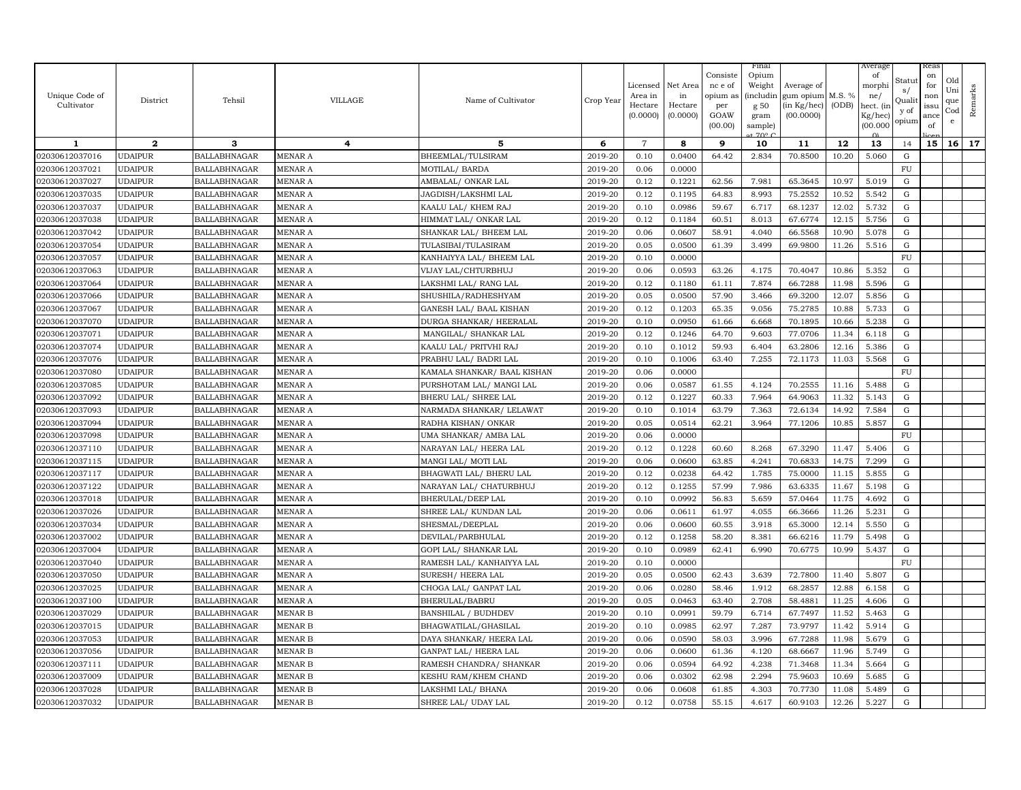| Unique Code of<br>Cultivator | District       | Tehsil              | VILLAGE        | Name of Cultivator          | Crop Year | Licensed<br>Area in<br>Hectare<br>(0.0000) | Net Area<br>in<br>Hectare<br>(0.0000) | Consiste<br>nc e of<br>opium as<br>per<br>GOAW<br>(00.00) | Final<br>Opium<br>Weight<br><i>(includir)</i><br>g 50<br>gram<br>sample)<br>70° | Average of<br>gum opium<br>(in Kg/hec)<br>(00.0000) | M.S. %<br>(ODB) | Averag<br>of<br>morphi<br>ne/<br>hect. (in<br>$Kg/$ hec<br>(00.000) | Statu<br>s/<br>Quali<br>y of<br>opium | on<br>for<br>noi<br>isst<br>ance<br>of | Old<br>Uni<br>que | Remarks |
|------------------------------|----------------|---------------------|----------------|-----------------------------|-----------|--------------------------------------------|---------------------------------------|-----------------------------------------------------------|---------------------------------------------------------------------------------|-----------------------------------------------------|-----------------|---------------------------------------------------------------------|---------------------------------------|----------------------------------------|-------------------|---------|
| 1                            | $\mathbf{2}$   | з                   | 4              | 5                           | 6         | $\overline{7}$                             | 8                                     | 9                                                         | 10                                                                              | 11                                                  | 12              | 13                                                                  | 14                                    | 15                                     | 16 <sup>1</sup>   | 17      |
| 02030612037016               | <b>UDAIPUR</b> | <b>BALLABHNAGAR</b> | <b>MENAR A</b> | BHEEMLAL/TULSIRAM           | 2019-20   | 0.10                                       | 0.0400                                | 64.42                                                     | 2.834                                                                           | 70.8500                                             | 10.20           | 5.060                                                               | G                                     |                                        |                   |         |
| 02030612037021               | <b>UDAIPUR</b> | BALLABHNAGAR        | MENAR A        | <b>MOTILAL/ BARDA</b>       | 2019-20   | 0.06                                       | 0.0000                                |                                                           |                                                                                 |                                                     |                 |                                                                     | FU                                    |                                        |                   |         |
| 02030612037027               | <b>UDAIPUR</b> | BALLABHNAGAR        | <b>MENAR A</b> | AMBALAL/ ONKAR LAL          | 2019-20   | 0.12                                       | 0.1221                                | 62.56                                                     | 7.981                                                                           | 65.3645                                             | 10.97           | 5.019                                                               | G                                     |                                        |                   |         |
| 02030612037035               | <b>UDAIPUR</b> | <b>BALLABHNAGAR</b> | MENAR A        | JAGDISH/LAKSHMI LAL         | 2019-20   | 0.12                                       | 0.1195                                | 64.83                                                     | 8.993                                                                           | 75.2552                                             | 10.52           | 5.542                                                               | ${\rm G}$                             |                                        |                   |         |
| 02030612037037               | <b>UDAIPUR</b> | BALLABHNAGAR        | MENAR A        | KAALU LAL/ KHEM RAJ         | 2019-20   | 0.10                                       | 0.0986                                | 59.67                                                     | 6.717                                                                           | 68.1237                                             | 12.02           | 5.732                                                               | G                                     |                                        |                   |         |
| 02030612037038               | <b>UDAIPUR</b> | BALLABHNAGAR        | MENAR A        | HIMMAT LAL/ ONKAR LAL       | 2019-20   | 0.12                                       | 0.1184                                | 60.51                                                     | 8.013                                                                           | 67.6774                                             | 12.15           | 5.756                                                               | G                                     |                                        |                   |         |
| 02030612037042               | <b>UDAIPUR</b> | BALLABHNAGAR        | <b>MENAR A</b> | SHANKAR LAL/ BHEEM LAL      | 2019-20   | 0.06                                       | 0.0607                                | 58.91                                                     | 4.040                                                                           | 66.5568                                             | 10.90           | 5.078                                                               | ${\rm G}$                             |                                        |                   |         |
| 02030612037054               | <b>UDAIPUR</b> | BALLABHNAGAR        | MENAR A        | TULASIBAI/TULASIRAM         | 2019-20   | 0.05                                       | 0.0500                                | 61.39                                                     | 3.499                                                                           | 69.9800                                             | 11.26           | 5.516                                                               | ${\rm G}$                             |                                        |                   |         |
| 02030612037057               | <b>UDAIPUR</b> | BALLABHNAGAR        | <b>MENAR A</b> | KANHAIYYA LAL/ BHEEM LAL    | 2019-20   | 0.10                                       | 0.0000                                |                                                           |                                                                                 |                                                     |                 |                                                                     | ${\rm FU}$                            |                                        |                   |         |
| 02030612037063               | <b>UDAIPUR</b> | <b>BALLABHNAGAR</b> | MENAR A        | VIJAY LAL/CHTURBHUJ         | 2019-20   | 0.06                                       | 0.0593                                | 63.26                                                     | 4.175                                                                           | 70.4047                                             | 10.86           | 5.352                                                               | G                                     |                                        |                   |         |
| 02030612037064               | <b>UDAIPUR</b> | <b>BALLABHNAGAR</b> | <b>MENAR A</b> | LAKSHMI LAL/ RANG LAL       | 2019-20   | 0.12                                       | 0.1180                                | 61.11                                                     | 7.874                                                                           | 66.7288                                             | 11.98           | 5.596                                                               | G                                     |                                        |                   |         |
| 02030612037066               | <b>UDAIPUR</b> | <b>BALLABHNAGAR</b> | MENAR A        | SHUSHILA/RADHESHYAM         | 2019-20   | 0.05                                       | 0.0500                                | 57.90                                                     | 3.466                                                                           | 69.3200                                             | 12.07           | 5.856                                                               | ${\rm G}$                             |                                        |                   |         |
| 02030612037067               | <b>UDAIPUR</b> | BALLABHNAGAR        | <b>MENAR A</b> | GANESH LAL/ BAAL KISHAN     | 2019-20   | 0.12                                       | 0.1203                                | 65.35                                                     | 9.056                                                                           | 75.2785                                             | 10.88           | 5.733                                                               | ${\rm G}$                             |                                        |                   |         |
| 02030612037070               | <b>UDAIPUR</b> | <b>BALLABHNAGAR</b> | MENAR A        | DURGA SHANKAR/ HEERALAL     | 2019-20   | 0.10                                       | 0.0950                                | 61.66                                                     | 6.668                                                                           | 70.1895                                             | 10.66           | 5.238                                                               | G                                     |                                        |                   |         |
| 02030612037071               | UDAIPUR        | BALLABHNAGAR        | MENAR A        | MANGILAL/ SHANKAR LAL       | 2019-20   | 0.12                                       | 0.1246                                | 64.70                                                     | 9.603                                                                           | 77.0706                                             | 11.34           | 6.118                                                               | ${\rm G}$                             |                                        |                   |         |
| 02030612037074               | <b>UDAIPUR</b> | BALLABHNAGAR        | <b>MENAR A</b> | KAALU LAL/ PRITVHI RAJ      | 2019-20   | 0.10                                       | 0.1012                                | 59.93                                                     | 6.404                                                                           | 63.2806                                             | 12.16           | 5.386                                                               | ${\rm G}$                             |                                        |                   |         |
| 02030612037076               | <b>UDAIPUR</b> | BALLABHNAGAR        | <b>MENAR A</b> | PRABHU LAL/ BADRI LAL       | 2019-20   | 0.10                                       | 0.1006                                | 63.40                                                     | 7.255                                                                           | 72.1173                                             | 11.03           | 5.568                                                               | G                                     |                                        |                   |         |
| 02030612037080               | <b>UDAIPUR</b> | BALLABHNAGAR        | <b>MENAR A</b> | KAMALA SHANKAR/ BAAL KISHAN | 2019-20   | 0.06                                       | 0.0000                                |                                                           |                                                                                 |                                                     |                 |                                                                     | ${\rm FU}$                            |                                        |                   |         |
| 02030612037085               | <b>UDAIPUR</b> | <b>BALLABHNAGAR</b> | MENAR A        | PURSHOTAM LAL/ MANGI LAL    | 2019-20   | 0.06                                       | 0.0587                                | 61.55                                                     | 4.124                                                                           | 70.2555                                             | 11.16           | 5.488                                                               | ${\bf G}$                             |                                        |                   |         |
| 02030612037092               | <b>UDAIPUR</b> | <b>BALLABHNAGAR</b> | MENAR A        | <b>BHERU LAL/ SHREE LAL</b> | 2019-20   | 0.12                                       | 0.1227                                | 60.33                                                     | 7.964                                                                           | 64.9063                                             | 11.32           | 5.143                                                               | $\mathbf G$                           |                                        |                   |         |
| 02030612037093               | <b>UDAIPUR</b> | BALLABHNAGAR        | MENAR A        | NARMADA SHANKAR/ LELAWAT    | 2019-20   | 0.10                                       | 0.1014                                | 63.79                                                     | 7.363                                                                           | 72.6134                                             | 14.92           | 7.584                                                               | G                                     |                                        |                   |         |
| 02030612037094               | <b>UDAIPUR</b> | BALLABHNAGAR        | <b>MENAR A</b> | RADHA KISHAN / ONKAR        | 2019-20   | 0.05                                       | 0.0514                                | 62.21                                                     | 3.964                                                                           | 77.1206                                             | 10.85           | 5.857                                                               | G                                     |                                        |                   |         |
| 02030612037098               | <b>UDAIPUR</b> | BALLABHNAGAR        | MENAR A        | UMA SHANKAR/ AMBA LAL       | 2019-20   | 0.06                                       | 0.0000                                |                                                           |                                                                                 |                                                     |                 |                                                                     | FU                                    |                                        |                   |         |
| 02030612037110               | <b>UDAIPUR</b> | BALLABHNAGAR        | <b>MENAR A</b> | NARAYAN LAL/ HEERA LAL      | 2019-20   | 0.12                                       | 0.1228                                | 60.60                                                     | 8.268                                                                           | 67.3290                                             | 11.47           | 5.406                                                               | ${\rm G}$                             |                                        |                   |         |
| 02030612037115               | <b>UDAIPUR</b> | BALLABHNAGAR        | MENAR A        | MANGI LAL/ MOTI LAL         | 2019-20   | 0.06                                       | 0.0600                                | 63.85                                                     | 4.241                                                                           | 70.6833                                             | 14.75           | 7.299                                                               | ${\rm G}$                             |                                        |                   |         |
| 02030612037117               | <b>UDAIPUR</b> | <b>BALLABHNAGAR</b> | <b>MENAR A</b> | BHAGWATI LAL/ BHERU LAL     | 2019-20   | 0.12                                       | 0.0238                                | 64.42                                                     | 1.785                                                                           | 75.0000                                             | 11.15           | 5.855                                                               | G                                     |                                        |                   |         |
| 02030612037122               | <b>UDAIPUR</b> | BALLABHNAGAR        | MENAR A        | NARAYAN LAL/ CHATURBHUJ     | 2019-20   | 0.12                                       | 0.1255                                | 57.99                                                     | 7.986                                                                           | 63.6335                                             | 11.67           | 5.198                                                               | ${\rm G}$                             |                                        |                   |         |
| 02030612037018               | <b>UDAIPUR</b> | <b>BALLABHNAGAR</b> | <b>MENAR A</b> | <b>BHERULAL/DEEP LAL</b>    | 2019-20   | 0.10                                       | 0.0992                                | 56.83                                                     | 5.659                                                                           | 57.0464                                             | 11.75           | 4.692                                                               | ${\rm G}$                             |                                        |                   |         |
| 02030612037026               | <b>UDAIPUR</b> | BALLABHNAGAR        | MENAR A        | SHREE LAL/ KUNDAN LAL       | 2019-20   | 0.06                                       | 0.0611                                | 61.97                                                     | 4.055                                                                           | 66.3666                                             | 11.26           | 5.231                                                               | G                                     |                                        |                   |         |
| 02030612037034               | <b>UDAIPUR</b> | BALLABHNAGAR        | <b>MENAR A</b> | SHESMAL/DEEPLAL             | 2019-20   | 0.06                                       | 0.0600                                | 60.55                                                     | 3.918                                                                           | 65.3000                                             | 12.14           | 5.550                                                               | $\mathbf G$                           |                                        |                   |         |
| 02030612037002               | <b>UDAIPUR</b> | BALLABHNAGAR        | MENAR A        | DEVILAL/PARBHULAL           | 2019-20   | 0.12                                       | 0.1258                                | 58.20                                                     | 8.381                                                                           | 66.6216                                             | 11.79           | 5.498                                                               | ${\rm G}$                             |                                        |                   |         |
| 02030612037004               | <b>UDAIPUR</b> | BALLABHNAGAR        | MENAR A        | GOPI LAL/ SHANKAR LAL       | 2019-20   | 0.10                                       | 0.0989                                | 62.41                                                     | 6.990                                                                           | 70.6775                                             | 10.99           | 5.437                                                               | ${\rm G}$                             |                                        |                   |         |
| 02030612037040               | <b>UDAIPUR</b> | BALLABHNAGAR        | <b>MENAR A</b> | RAMESH LAL/ KANHAIYYA LAL   | 2019-20   | 0.10                                       | 0.0000                                |                                                           |                                                                                 |                                                     |                 |                                                                     | FU                                    |                                        |                   |         |
| 02030612037050               | <b>UDAIPUR</b> | BALLABHNAGAR        | MENAR A        | SURESH / HEERA LAL          | 2019-20   | 0.05                                       | 0.0500                                | 62.43                                                     | 3.639                                                                           | 72.7800                                             | 11.40           | 5.807                                                               | G                                     |                                        |                   |         |
| 02030612037025               | <b>UDAIPUR</b> | <b>BALLABHNAGAR</b> | MENAR A        | CHOGA LAL/ GANPAT LAL       | 2019-20   | 0.06                                       | 0.0280                                | 58.46                                                     | 1.912                                                                           | 68.2857                                             | 12.88           | 6.158                                                               | $\mathbf G$                           |                                        |                   |         |
| 02030612037100               | <b>UDAIPUR</b> | <b>BALLABHNAGAR</b> | MENAR A        | <b>BHERULAL/BABRU</b>       | 2019-20   | 0.05                                       | 0.0463                                | 63.40                                                     | 2.708                                                                           | 58.4881                                             | 11.25           | 4.606                                                               | ${\bf G}$                             |                                        |                   |         |
| 02030612037029               | <b>UDAIPUR</b> | BALLABHNAGAR        | MENAR B        | <b>BANSHILAL / BUDHDEV</b>  | 2019-20   | 0.10                                       | 0.0991                                | 59.79                                                     | 6.714                                                                           | 67.7497                                             | 11.52           | 5.463                                                               | ${\rm G}$                             |                                        |                   |         |
| 02030612037015               | <b>UDAIPUR</b> | BALLABHNAGAR        | MENAR B        | BHAGWATILAL/GHASILAL        | 2019-20   | 0.10                                       | 0.0985                                | 62.97                                                     | 7.287                                                                           | 73.9797                                             | 11.42           | 5.914                                                               | G                                     |                                        |                   |         |
| 02030612037053               | <b>UDAIPUR</b> | BALLABHNAGAR        | <b>MENAR B</b> | DAYA SHANKAR/ HEERA LAL     | 2019-20   | 0.06                                       | 0.0590                                | 58.03                                                     | 3.996                                                                           | 67.7288                                             | 11.98           | 5.679                                                               | G                                     |                                        |                   |         |
| 02030612037056               | <b>UDAIPUR</b> | BALLABHNAGAR        | MENAR B        | GANPAT LAL/ HEERA LAL       | 2019-20   | 0.06                                       | 0.0600                                | 61.36                                                     | 4.120                                                                           | 68.6667                                             | 11.96           | 5.749                                                               | ${\rm G}$                             |                                        |                   |         |
| 02030612037111               | <b>UDAIPUR</b> | BALLABHNAGAR        | <b>MENAR B</b> | RAMESH CHANDRA/ SHANKAR     | 2019-20   | 0.06                                       | 0.0594                                | 64.92                                                     | 4.238                                                                           | 71.3468                                             | 11.34           | 5.664                                                               | ${\rm G}$                             |                                        |                   |         |
| 02030612037009               | <b>UDAIPUR</b> | <b>BALLABHNAGAR</b> | MENAR B        | KESHU RAM/KHEM CHAND        | 2019-20   | 0.06                                       | 0.0302                                | 62.98                                                     | 2.294                                                                           | 75.9603                                             | 10.69           | 5.685                                                               | G                                     |                                        |                   |         |
| 02030612037028               | <b>UDAIPUR</b> | BALLABHNAGAR        | <b>MENAR B</b> | LAKSHMI LAL/ BHANA          | 2019-20   | 0.06                                       | 0.0608                                | 61.85                                                     | 4.303                                                                           | 70.7730                                             | 11.08           | 5.489                                                               | ${\rm G}$                             |                                        |                   |         |
| 02030612037032               | <b>UDAIPUR</b> | BALLABHNAGAR        | MENAR B        | SHREE LAL/ UDAY LAL         | 2019-20   | 0.12                                       | 0.0758                                | 55.15                                                     | 4.617                                                                           | 60.9103                                             | 12.26           | 5.227                                                               | ${\rm G}$                             |                                        |                   |         |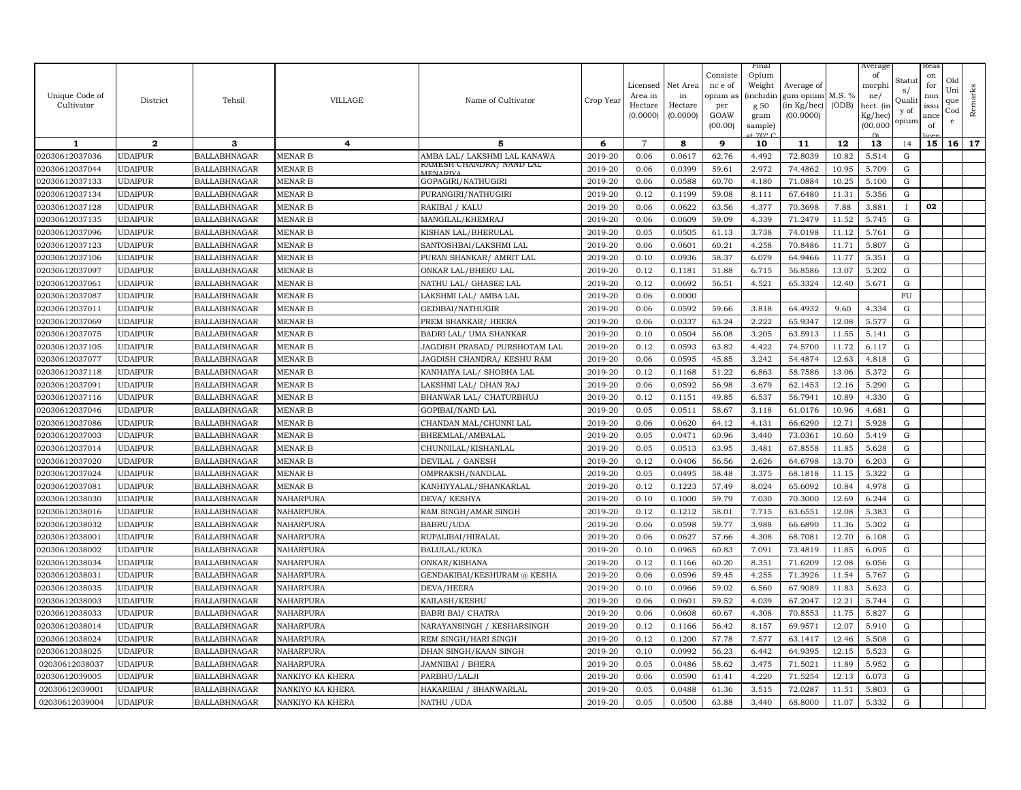| Unique Code of<br>Cultivator | District       | Tehsil              | VILLAGE          | Name of Cultivator                                       | Crop Year | Licensed<br>Area in<br>Hectare<br>(0.0000) | Net Area<br>in<br>Hectare<br>(0.0000) | Consiste<br>nc e of<br>opium as<br>per<br>GOAW<br>(00.00) | Final<br>Opium<br>Weight<br><i>(includin</i><br>g 50<br>gram<br>sample)<br>70° | Average of<br>gum opium<br>(in Kg/hec)<br>(00.0000) | M.S. %<br>(ODB) | Averag<br>of<br>morphi<br>ne/<br>hect. (in<br>Kg/hec<br>(00.000) | Statut<br>s/<br>Quali<br>y of<br>opium | on<br>for<br>noi<br>isst<br>ance<br>of | Old<br>Uni<br>que<br>Cod | Remarks |
|------------------------------|----------------|---------------------|------------------|----------------------------------------------------------|-----------|--------------------------------------------|---------------------------------------|-----------------------------------------------------------|--------------------------------------------------------------------------------|-----------------------------------------------------|-----------------|------------------------------------------------------------------|----------------------------------------|----------------------------------------|--------------------------|---------|
| 1                            | $\mathbf 2$    | з                   | 4                | 5                                                        | 6         | $\overline{7}$                             | 8                                     | 9                                                         | 10                                                                             | 11                                                  | 12              | 13                                                               | 14                                     | 15                                     | 16                       | 17      |
| 02030612037036               | <b>UDAIPUR</b> | <b>BALLABHNAGAR</b> | <b>MENAR B</b>   | AMBA LAL/ LAKSHMI LAL KANAWA<br>RAMESH CHANDRA/ NAND LAL | 2019-20   | 0.06                                       | 0.0617                                | 62.76                                                     | 4.492                                                                          | 72.8039                                             | 10.82           | 5.514                                                            | ${\rm G}$                              |                                        |                          |         |
| 02030612037044               | <b>UDAIPUR</b> | BALLABHNAGAR        | <b>MENAR B</b>   | <b>MENADIVA</b>                                          | 2019-20   | 0.06                                       | 0.0399                                | 59.61                                                     | 2.972                                                                          | 74.4862                                             | 10.95           | 5.709                                                            | G                                      |                                        |                          |         |
| 02030612037133               | <b>UDAIPUR</b> | BALLABHNAGAR        | MENAR B          | GOPAGIRI/NATHUGIRI                                       | 2019-20   | 0.06                                       | 0.0588                                | 60.70                                                     | 4.180                                                                          | 71.0884                                             | 10.25           | 5.100                                                            | G                                      |                                        |                          |         |
| 02030612037134               | <b>UDAIPUR</b> | BALLABHNAGAR        | MENAR B          | PURANGIRI/NATHUGIRI                                      | 2019-20   | 0.12                                       | 0.1199                                | 59.08                                                     | 8.111                                                                          | 67.6480                                             | 11.31           | 5.356                                                            | G                                      |                                        |                          |         |
| 02030612037128               | <b>UDAIPUR</b> | BALLABHNAGAR        | MENAR B          | RAKIBAI / KALU                                           | 2019-20   | 0.06                                       | 0.0622                                | 63.56                                                     | 4.377                                                                          | 70.3698                                             | 7.88            | 3.881                                                            | $\mathbf{I}$                           | 02                                     |                          |         |
| 02030612037135               | <b>UDAIPUR</b> | BALLABHNAGAR        | <b>MENAR B</b>   | MANGILAL/KHEMRAJ                                         | 2019-20   | 0.06                                       | 0.0609                                | 59.09                                                     | 4.339                                                                          | 71.2479                                             | 11.52           | 5.745                                                            | G                                      |                                        |                          |         |
| 02030612037096               | <b>UDAIPUR</b> | <b>BALLABHNAGAR</b> | <b>MENAR B</b>   | KISHAN LAL/BHERULAL                                      | 2019-20   | 0.05                                       | 0.0505                                | 61.13                                                     | 3.738                                                                          | 74.0198                                             | 11.12           | 5.761                                                            | G                                      |                                        |                          |         |
| 02030612037123               | UDAIPUR        | BALLABHNAGAR        | MENAR B          | SANTOSHBAI/LAKSHMI LAL                                   | 2019-20   | 0.06                                       | 0.0601                                | 60.21                                                     | 4.258                                                                          | 70.8486                                             | 11.71           | 5.807                                                            | G                                      |                                        |                          |         |
| 02030612037106               | <b>UDAIPUR</b> | BALLABHNAGAR        | MENAR B          | PURAN SHANKAR/ AMRIT LAL                                 | 2019-20   | 0.10                                       | 0.0936                                | 58.37                                                     | 6.079                                                                          | 64.9466                                             | 11.77           | 5.351                                                            | G                                      |                                        |                          |         |
| 02030612037097               | <b>UDAIPUR</b> | BALLABHNAGAR        | MENAR B          | ONKAR LAL/BHERU LAL                                      | 2019-20   | 0.12                                       | 0.1181                                | 51.88                                                     | 6.715                                                                          | 56.8586                                             | 13.07           | 5.202                                                            | ${\rm G}$                              |                                        |                          |         |
| 02030612037061               | <b>UDAIPUR</b> | BALLABHNAGAR        | <b>MENAR B</b>   | NATHU LAL/ GHASEE LAL                                    | 2019-20   | 0.12                                       | 0.0692                                | 56.51                                                     | 4.521                                                                          | 65.3324                                             | 12.40           | 5.671                                                            | ${\rm G}$                              |                                        |                          |         |
| 02030612037087               | <b>UDAIPUR</b> | BALLABHNAGAR        | MENAR B          | LAKSHMI LAL/ AMBA LAL                                    | 2019-20   | 0.06                                       | 0.0000                                |                                                           |                                                                                |                                                     |                 |                                                                  | ${\rm FU}$                             |                                        |                          |         |
| 02030612037011               | <b>UDAIPUR</b> | BALLABHNAGAR        | <b>MENAR B</b>   | GEDIBAI/NATHUGIR                                         | 2019-20   | 0.06                                       | 0.0592                                | 59.66                                                     | 3.818                                                                          | 64.4932                                             | 9.60            | 4.334                                                            | ${\rm G}$                              |                                        |                          |         |
| 02030612037069               | <b>UDAIPUR</b> | BALLABHNAGAR        | MENAR B          | PREM SHANKAR/ HEERA                                      | 2019-20   | 0.06                                       | 0.0337                                | 63.24                                                     | 2.222                                                                          | 65.9347                                             | 12.08           | 5.577                                                            | ${\rm G}$                              |                                        |                          |         |
| 02030612037075               | <b>UDAIPUR</b> | BALLABHNAGAR        | <b>MENAR B</b>   | BADRI LAL/ UMA SHANKAR                                   | 2019-20   | 0.10                                       | 0.0504                                | 56.08                                                     | 3.205                                                                          | 63.5913                                             | 11.55           | 5.141                                                            | ${\rm G}$                              |                                        |                          |         |
| 02030612037105               | <b>UDAIPUR</b> | BALLABHNAGAR        | <b>MENAR B</b>   | JAGDISH PRASAD/ PURSHOTAM LAL                            | 2019-20   | 0.12                                       | 0.0593                                | 63.82                                                     | 4.422                                                                          | 74.5700                                             | 11.72           | 6.117                                                            | ${\rm G}$                              |                                        |                          |         |
| 02030612037077               | <b>UDAIPUR</b> | <b>BALLABHNAGAR</b> | <b>MENAR B</b>   | JAGDISH CHANDRA/ KESHU RAM                               | 2019-20   | 0.06                                       | 0.0595                                | 45.85                                                     | 3.242                                                                          | 54.4874                                             | 12.63           | 4.818                                                            | ${\rm G}$                              |                                        |                          |         |
| 02030612037118               | <b>UDAIPUR</b> | <b>BALLABHNAGAR</b> | <b>MENAR B</b>   | KANHAIYA LAL/ SHOBHA LAL                                 | 2019-20   | 0.12                                       | 0.1168                                | 51.22                                                     | 6.863                                                                          | 58.7586                                             | 13.06           | 5.372                                                            | G                                      |                                        |                          |         |
| 02030612037091               | <b>UDAIPUR</b> | BALLABHNAGAR        | MENAR B          | LAKSHMI LAL/ DHAN RAJ                                    | 2019-20   | 0.06                                       | 0.0592                                | 56.98                                                     | 3.679                                                                          | 62.1453                                             | 12.16           | 5.290                                                            | G                                      |                                        |                          |         |
| 02030612037116               | <b>UDAIPUR</b> | BALLABHNAGAR        | MENAR B          | BHANWAR LAL/ CHATURBHUJ                                  | 2019-20   | 0.12                                       | 0.1151                                | 49.85                                                     | 6.537                                                                          | 56.7941                                             | 10.89           | 4.330                                                            | G                                      |                                        |                          |         |
| 02030612037046               | <b>UDAIPUR</b> | BALLABHNAGAR        | MENAR B          | GOPIBAI/NAND LAL                                         | 2019-20   | 0.05                                       | 0.0511                                | 58.67                                                     | 3.118                                                                          | 61.0176                                             | 10.96           | 4.681                                                            | G                                      |                                        |                          |         |
| 02030612037086               | <b>UDAIPUR</b> | BALLABHNAGAR        | <b>MENAR B</b>   | CHANDAN MAL/CHUNNI LAL                                   | 2019-20   | 0.06                                       | 0.0620                                | 64.12                                                     | 4.131                                                                          | 66.6290                                             | 12.71           | 5.928                                                            | ${\rm G}$                              |                                        |                          |         |
| 02030612037003               | <b>UDAIPUR</b> | BALLABHNAGAR        | MENAR B          | BHEEMLAL/AMBALAL                                         | 2019-20   | 0.05                                       | 0.0471                                | 60.96                                                     | 3.440                                                                          | 73.0361                                             | 10.60           | 5.419                                                            | ${\rm G}$                              |                                        |                          |         |
| 02030612037014               | <b>UDAIPUR</b> | BALLABHNAGAR        | <b>MENAR B</b>   | CHUNNILAL/KISHANLAL                                      | 2019-20   | 0.05                                       | 0.0513                                | 63.95                                                     | 3.481                                                                          | 67.8558                                             | 11.85           | 5.628                                                            | ${\rm G}$                              |                                        |                          |         |
| 02030612037020               | <b>UDAIPUR</b> | <b>BALLABHNAGAR</b> | MENAR B          | <b>DEVILAL / GANESH</b>                                  | 2019-20   | 0.12                                       | 0.0406                                | 56.56                                                     | 2.626                                                                          | 64.6798                                             | 13.70           | 6.203                                                            | G                                      |                                        |                          |         |
| 02030612037024               | <b>UDAIPUR</b> | BALLABHNAGAR        | <b>MENAR B</b>   | OMPRAKSH/NANDLAL                                         | 2019-20   | 0.05                                       | 0.0495                                | 58.48                                                     | 3.375                                                                          | 68.1818                                             | 11.15           | 5.322                                                            | ${\rm G}$                              |                                        |                          |         |
| 02030612037081               | <b>UDAIPUR</b> | BALLABHNAGAR        | MENAR B          | KANHIYYALAL/SHANKARLAL                                   | 2019-20   | 0.12                                       | 0.1223                                | 57.49                                                     | 8.024                                                                          | 65.6092                                             | 10.84           | 4.978                                                            | ${\rm G}$                              |                                        |                          |         |
| 02030612038030               | UDAIPUR        | BALLABHNAGAR        | NAHARPURA        | DEVA/KESHYA                                              | 2019-20   | 0.10                                       | 0.1000                                | 59.79                                                     | 7.030                                                                          | 70.3000                                             | 12.69           | 6.244                                                            | G                                      |                                        |                          |         |
| 02030612038016               | <b>UDAIPUR</b> | BALLABHNAGAR        | NAHARPURA        | RAM SINGH/AMAR SINGH                                     | 2019-20   | 0.12                                       | 0.1212                                | 58.01                                                     | 7.715                                                                          | 63.6551                                             | 12.08           | 5.383                                                            | G                                      |                                        |                          |         |
| 02030612038032               | <b>UDAIPUR</b> | BALLABHNAGAR        | NAHARPURA        | BABRU/UDA                                                | 2019-20   | 0.06                                       | 0.0598                                | 59.77                                                     | 3.988                                                                          | 66.6890                                             | 11.36           | 5.302                                                            | ${\rm G}$                              |                                        |                          |         |
| 02030612038001               | <b>UDAIPUR</b> | BALLABHNAGAR        | NAHARPURA        | RUPALIBAI/HIRALAL                                        | 2019-20   | 0.06                                       | 0.0627                                | 57.66                                                     | 4.308                                                                          | 68.7081                                             | 12.70           | 6.108                                                            | $\mathbf G$                            |                                        |                          |         |
| 02030612038002               | UDAIPUR        | BALLABHNAGAR        | NAHARPURA        | <b>BALULAL/KUKA</b>                                      | 2019-20   | 0.10                                       | 0.0965                                | 60.83                                                     | 7.091                                                                          | 73.4819                                             | 11.85           | 6.095                                                            | ${\rm G}$                              |                                        |                          |         |
| 02030612038034               | <b>UDAIPUR</b> | BALLABHNAGAR        | NAHARPURA        | ONKAR/KISHANA                                            | 2019-20   | 0.12                                       | 0.1166                                | 60.20                                                     | 8.351                                                                          | 71.6209                                             | 12.08           | 6.056                                                            | ${\rm G}$                              |                                        |                          |         |
| 02030612038031               | <b>UDAIPUR</b> | <b>BALLABHNAGAR</b> | NAHARPURA        | GENDAKIBAI/KESHURAM @ KESHA                              | 2019-20   | 0.06                                       | 0.0596                                | 59.45                                                     | 4.255                                                                          | 71.3926                                             | 11.54           | 5.767                                                            | ${\rm G}$                              |                                        |                          |         |
| 02030612038035               | <b>UDAIPUR</b> | BALLABHNAGAR        | NAHARPURA        | DEVA/HEERA                                               | 2019-20   | 0.10                                       | 0.0966                                | 59.02                                                     | 6.560                                                                          | 67.9089                                             | 11.83           | 5.623                                                            | ${\rm G}$                              |                                        |                          |         |
| 02030612038003               | <b>UDAIPUR</b> | BALLABHNAGAR        | NAHARPURA        | KAILASH/KESHU                                            | 2019-20   | 0.06                                       | 0.0601                                | 59.52                                                     | 4.039                                                                          | 67.2047                                             | 12.21           | 5.744                                                            | G                                      |                                        |                          |         |
| 02030612038033               | <b>UDAIPUR</b> | BALLABHNAGAR        | NAHARPURA        | <b>BABRI BAI/ CHATRA</b>                                 | 2019-20   | 0.06                                       | 0.0608                                | 60.67                                                     | 4.308                                                                          | 70.8553                                             | 11.75           | 5.827                                                            | G                                      |                                        |                          |         |
| 02030612038014               | <b>UDAIPUR</b> | BALLABHNAGAR        | NAHARPURA        | NARAYANSINGH / KESHARSINGH                               | 2019-20   | 0.12                                       | 0.1166                                | 56.42                                                     | 8.157                                                                          | 69.9571                                             | 12.07           | 5.910                                                            | G                                      |                                        |                          |         |
| 02030612038024               | <b>UDAIPUR</b> | BALLABHNAGAR        | NAHARPURA        | REM SINGH/HARI SINGH                                     | 2019-20   | 0.12                                       | 0.1200                                | 57.78                                                     | 7.577                                                                          | 63.1417                                             | 12.46           | 5.508                                                            | ${\rm G}$                              |                                        |                          |         |
| 02030612038025               | <b>UDAIPUR</b> | BALLABHNAGAR        | NAHARPURA        | DHAN SINGH/KAAN SINGH                                    | 2019-20   | 0.10                                       | 0.0992                                | 56.23                                                     | 6.442                                                                          | 64.9395                                             | 12.15           | 5.523                                                            | G                                      |                                        |                          |         |
| 02030612038037               | <b>UDAIPUR</b> | <b>BALLABHNAGAR</b> | NAHARPURA        | <b>JAMNIBAI / BHERA</b>                                  | 2019-20   | 0.05                                       | 0.0486                                | 58.62                                                     | 3.475                                                                          | 71.5021                                             | 11.89           | 5.952                                                            | ${\rm G}$                              |                                        |                          |         |
| 02030612039005               | UDAIPUR        | BALLABHNAGAR        | NANKIYO KA KHERA | PARBHU/LALJI                                             | 2019-20   | 0.06                                       | 0.0590                                | 61.41                                                     | 4.220                                                                          | 71.5254                                             | 12.13           | 6.073                                                            | ${\rm G}$                              |                                        |                          |         |
| 02030612039001               | <b>UDAIPUR</b> | BALLABHNAGAR        | NANKIYO KA KHERA | HAKARIBAI / BHANWARLAL                                   | 2019-20   | 0.05                                       | 0.0488                                | 61.36                                                     | 3.515                                                                          | 72.0287                                             | 11.51           | 5.803                                                            | ${\rm G}$                              |                                        |                          |         |
| 02030612039004               | <b>UDAIPUR</b> | BALLABHNAGAR        | NANKIYO KA KHERA | NATHU / UDA                                              | 2019-20   | 0.05                                       | 0.0500                                | 63.88                                                     | 3.440                                                                          | 68,8000                                             | 11.07           | 5.332                                                            | ${\rm G}$                              |                                        |                          |         |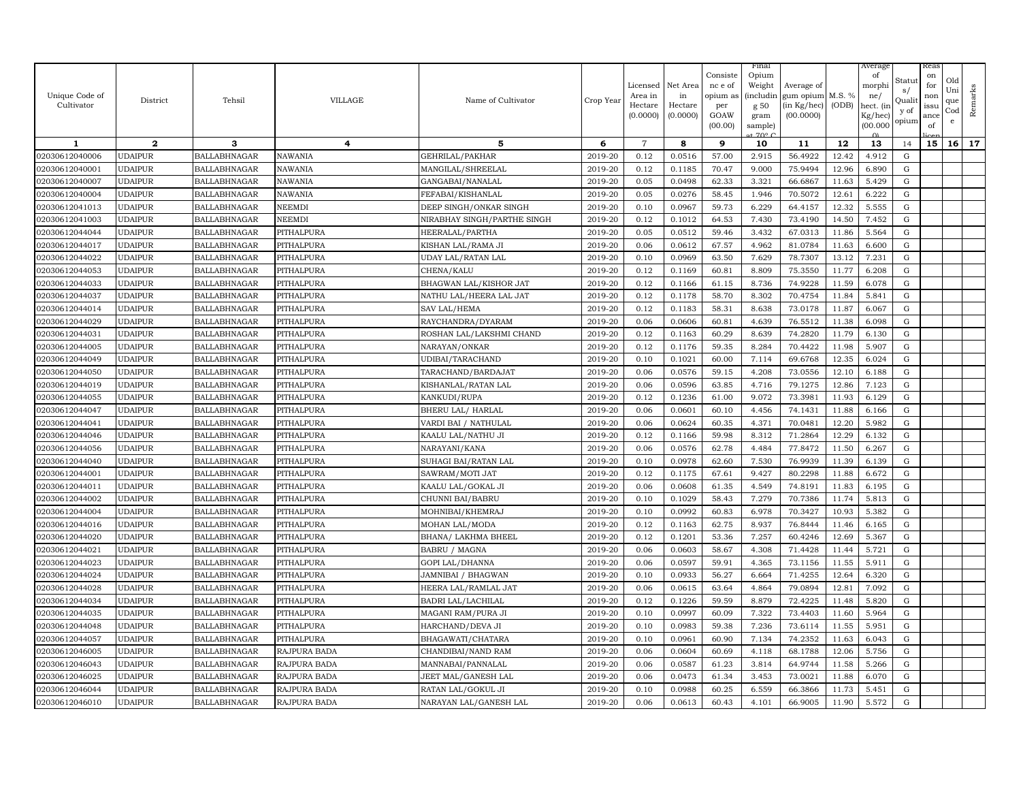| Unique Code of<br>Cultivator | District       | Tehsil              | VILLAGE        | Name of Cultivator          | Crop Year | Licensed<br>Area in<br>Hectare<br>(0.0000) | Net Area<br>in<br>Hectare<br>(0.0000) | Consiste<br>nc e of<br>opium as<br>per<br>GOAW<br>(00.00) | Final<br>Opium<br>Weight<br><i>(includir)</i><br>g 50<br>gram<br>sample)<br>$70^\circ$ | Average of<br>gum opium<br>(in Kg/hec)<br>(00.0000) | M.S. %<br>(ODB) | Averag<br>of<br>morphi<br>ne/<br>hect. (in<br>Kg/hec<br>(00.000) | Statu<br>s/<br>Quali<br>y of<br>opium | on<br>for<br>noi<br>isst<br>ance<br>of | Old<br>Uni<br>que | Remarks |
|------------------------------|----------------|---------------------|----------------|-----------------------------|-----------|--------------------------------------------|---------------------------------------|-----------------------------------------------------------|----------------------------------------------------------------------------------------|-----------------------------------------------------|-----------------|------------------------------------------------------------------|---------------------------------------|----------------------------------------|-------------------|---------|
| 1                            | $\mathbf{2}$   | з                   | 4              | 5                           | 6         | $\overline{7}$                             | 8                                     | 9                                                         | 10                                                                                     | 11                                                  | 12              | 13                                                               | 14                                    | 15                                     | 16                | 17      |
| 02030612040006               | <b>UDAIPUR</b> | <b>BALLABHNAGAR</b> | NAWANIA        | <b>GEHRILAL/PAKHAR</b>      | 2019-20   | 0.12                                       | 0.0516                                | 57.00                                                     | 2.915                                                                                  | 56.4922                                             | 12.42           | 4.912                                                            | G                                     |                                        |                   |         |
| 02030612040001               | <b>UDAIPUR</b> | BALLABHNAGAR        | NAWANIA        | MANGILAL/SHREELAL           | 2019-20   | 0.12                                       | 0.1185                                | 70.47                                                     | 9.000                                                                                  | 75.9494                                             | 12.96           | 6.890                                                            | G                                     |                                        |                   |         |
| 02030612040007               | <b>UDAIPUR</b> | BALLABHNAGAR        | NAWANIA        | GANGABAI/NANALAL            | 2019-20   | 0.05                                       | 0.0498                                | 62.33                                                     | 3.321                                                                                  | 66.6867                                             | 11.63           | 5.429                                                            | G                                     |                                        |                   |         |
| 02030612040004               | <b>UDAIPUR</b> | <b>BALLABHNAGAR</b> | <b>NAWANIA</b> | FEFABAI/KISHANLAL           | 2019-20   | 0.05                                       | 0.0276                                | 58.45                                                     | 1.946                                                                                  | 70.5072                                             | 12.61           | 6.222                                                            | ${\rm G}$                             |                                        |                   |         |
| 02030612041013               | <b>UDAIPUR</b> | BALLABHNAGAR        | NEEMDI         | DEEP SINGH/ONKAR SINGH      | 2019-20   | 0.10                                       | 0.0967                                | 59.73                                                     | 6.229                                                                                  | 64.4157                                             | 12.32           | 5.555                                                            | G                                     |                                        |                   |         |
| 02030612041003               | UDAIPUR        | BALLABHNAGAR        | NEEMDI         | NIRABHAY SINGH/PARTHE SINGH | 2019-20   | 0.12                                       | 0.1012                                | 64.53                                                     | 7.430                                                                                  | 73.4190                                             | 14.50           | 7.452                                                            | G                                     |                                        |                   |         |
| 02030612044044               | <b>UDAIPUR</b> | BALLABHNAGAR        | PITHALPURA     | HEERALAL/PARTHA             | 2019-20   | 0.05                                       | 0.0512                                | 59.46                                                     | 3.432                                                                                  | 67.0313                                             | 11.86           | 5.564                                                            | ${\rm G}$                             |                                        |                   |         |
| 02030612044017               | UDAIPUR        | BALLABHNAGAR        | PITHALPURA     | KISHAN LAL/RAMA JI          | 2019-20   | 0.06                                       | 0.0612                                | 67.57                                                     | 4.962                                                                                  | 81.0784                                             | 11.63           | 6.600                                                            | ${\rm G}$                             |                                        |                   |         |
| 02030612044022               | <b>UDAIPUR</b> | BALLABHNAGAR        | PITHALPURA     | UDAY LAL/RATAN LAL          | 2019-20   | 0.10                                       | 0.0969                                | 63.50                                                     | 7.629                                                                                  | 78.7307                                             | 13.12           | 7.231                                                            | ${\rm G}$                             |                                        |                   |         |
| 02030612044053               | <b>UDAIPUR</b> | BALLABHNAGAR        | PITHALPURA     | CHENA/KALU                  | 2019-20   | 0.12                                       | 0.1169                                | 60.81                                                     | 8.809                                                                                  | 75.3550                                             | 11.77           | 6.208                                                            | G                                     |                                        |                   |         |
| 02030612044033               | <b>UDAIPUR</b> | BALLABHNAGAR        | PITHALPURA     | BHAGWAN LAL/KISHOR JAT      | 2019-20   | 0.12                                       | 0.1166                                | 61.15                                                     | 8.736                                                                                  | 74.9228                                             | 11.59           | 6.078                                                            | ${\rm G}$                             |                                        |                   |         |
| 02030612044037               | <b>UDAIPUR</b> | <b>BALLABHNAGAR</b> | PITHALPURA     | NATHU LAL/HEERA LAL JAT     | 2019-20   | 0.12                                       | 0.1178                                | 58.70                                                     | 8.302                                                                                  | 70.4754                                             | 11.84           | 5.841                                                            | ${\rm G}$                             |                                        |                   |         |
| 02030612044014               | <b>UDAIPUR</b> | BALLABHNAGAR        | PITHALPURA     | SAV LAL/HEMA                | 2019-20   | 0.12                                       | 0.1183                                | 58.31                                                     | 8.638                                                                                  | 73.0178                                             | 11.87           | 6.067                                                            | ${\rm G}$                             |                                        |                   |         |
| 02030612044029               | <b>UDAIPUR</b> | BALLABHNAGAR        | PITHALPURA     | RAYCHANDRA/DYARAM           | 2019-20   | 0.06                                       | 0.0606                                | 60.81                                                     | 4.639                                                                                  | 76.5512                                             | 11.38           | 6.098                                                            | $\mathbf G$                           |                                        |                   |         |
| 02030612044031               | UDAIPUR        | BALLABHNAGAR        | PITHALPURA     | ROSHAN LAL/LAKSHMI CHAND    | 2019-20   | 0.12                                       | 0.1163                                | 60.29                                                     | 8.639                                                                                  | 74.2820                                             | 11.79           | 6.130                                                            | ${\rm G}$                             |                                        |                   |         |
| 02030612044005               | <b>UDAIPUR</b> | BALLABHNAGAR        | PITHALPURA     | NARAYAN/ONKAR               | 2019-20   | 0.12                                       | 0.1176                                | 59.35                                                     | 8.284                                                                                  | 70.4422                                             | 11.98           | 5.907                                                            | ${\rm G}$                             |                                        |                   |         |
| 02030612044049               | <b>UDAIPUR</b> | BALLABHNAGAR        | PITHALPURA     | UDIBAI/TARACHAND            | 2019-20   | 0.10                                       | 0.1021                                | 60.00                                                     | 7.114                                                                                  | 69.6768                                             | 12.35           | 6.024                                                            | $\mathbf G$                           |                                        |                   |         |
| 02030612044050               | <b>UDAIPUR</b> | BALLABHNAGAR        | PITHALPURA     | TARACHAND/BARDAJAT          | 2019-20   | 0.06                                       | 0.0576                                | 59.15                                                     | 4.208                                                                                  | 73.0556                                             | 12.10           | 6.188                                                            | $\mathbf G$                           |                                        |                   |         |
| 02030612044019               | <b>UDAIPUR</b> | <b>BALLABHNAGAR</b> | PITHALPURA     | KISHANLAL/RATAN LAL         | 2019-20   | 0.06                                       | 0.0596                                | 63.85                                                     | 4.716                                                                                  | 79.1275                                             | 12.86           | 7.123                                                            | ${\bf G}$                             |                                        |                   |         |
| 02030612044055               | <b>UDAIPUR</b> | <b>BALLABHNAGAR</b> | PITHALPURA     | KANKUDI/RUPA                | 2019-20   | 0.12                                       | 0.1236                                | 61.00                                                     | 9.072                                                                                  | 73.3981                                             | 11.93           | 6.129                                                            | $\mathbf G$                           |                                        |                   |         |
| 02030612044047               | UDAIPUR        | BALLABHNAGAR        | PITHALPURA     | <b>BHERU LAL/ HARLAL</b>    | 2019-20   | 0.06                                       | 0.0601                                | 60.10                                                     | 4.456                                                                                  | 74.1431                                             | 11.88           | 6.166                                                            | G                                     |                                        |                   |         |
| 02030612044041               | <b>UDAIPUR</b> | BALLABHNAGAR        | PITHALPURA     | VARDI BAI / NATHULAL        | 2019-20   | 0.06                                       | 0.0624                                | 60.35                                                     | 4.371                                                                                  | 70.0481                                             | 12.20           | 5.982                                                            | G                                     |                                        |                   |         |
| 02030612044046               | UDAIPUR        | BALLABHNAGAR        | PITHALPURA     | KAALU LAL/NATHU JI          | 2019-20   | 0.12                                       | 0.1166                                | 59.98                                                     | 8.312                                                                                  | 71.2864                                             | 12.29           | 6.132                                                            | ${\rm G}$                             |                                        |                   |         |
| 02030612044056               | <b>UDAIPUR</b> | BALLABHNAGAR        | PITHALPURA     | NARAYANI/KANA               | 2019-20   | 0.06                                       | 0.0576                                | 62.78                                                     | 4.484                                                                                  | 77.8472                                             | 11.50           | 6.267                                                            | ${\rm G}$                             |                                        |                   |         |
| 02030612044040               | <b>UDAIPUR</b> | BALLABHNAGAR        | PITHALPURA     | SUHAGI BAI/RATAN LAL        | 2019-20   | 0.10                                       | 0.0978                                | 62.60                                                     | 7.530                                                                                  | 76.9939                                             | 11.39           | 6.139                                                            | ${\rm G}$                             |                                        |                   |         |
| 02030612044001               | <b>UDAIPUR</b> | <b>BALLABHNAGAR</b> | PITHALPURA     | SAWRAM/MOTI JAT             | 2019-20   | 0.12                                       | 0.1175                                | 67.61                                                     | 9.427                                                                                  | 80.2298                                             | 11.88           | 6.672                                                            | ${\rm G}$                             |                                        |                   |         |
| 02030612044011               | <b>UDAIPUR</b> | BALLABHNAGAR        | PITHALPURA     | KAALU LAL/GOKAL JI          | 2019-20   | 0.06                                       | 0.0608                                | 61.35                                                     | 4.549                                                                                  | 74.8191                                             | 11.83           | 6.195                                                            | ${\rm G}$                             |                                        |                   |         |
| 02030612044002               | <b>UDAIPUR</b> | <b>BALLABHNAGAR</b> | PITHALPURA     | CHUNNI BAI/BABRU            | 2019-20   | 0.10                                       | 0.1029                                | 58.43                                                     | 7.279                                                                                  | 70.7386                                             | 11.74           | 5.813                                                            | ${\rm G}$                             |                                        |                   |         |
| 02030612044004               | UDAIPUR        | BALLABHNAGAR        | PITHALPURA     | MOHNIBAI/KHEMRAJ            | 2019-20   | 0.10                                       | 0.0992                                | 60.83                                                     | 6.978                                                                                  | 70.3427                                             | 10.93           | 5.382                                                            | ${\rm G}$                             |                                        |                   |         |
| 02030612044016               | <b>UDAIPUR</b> | BALLABHNAGAR        | PITHALPURA     | MOHAN LAL/MODA              | 2019-20   | 0.12                                       | 0.1163                                | 62.75                                                     | 8.937                                                                                  | 76.8444                                             | 11.46           | 6.165                                                            | $\mathbf G$                           |                                        |                   |         |
| 02030612044020               | <b>UDAIPUR</b> | BALLABHNAGAR        | PITHALPURA     | BHANA/ LAKHMA BHEEL         | 2019-20   | 0.12                                       | 0.1201                                | 53.36                                                     | 7.257                                                                                  | 60.4246                                             | 12.69           | 5.367                                                            | ${\rm G}$                             |                                        |                   |         |
| 02030612044021               | <b>UDAIPUR</b> | BALLABHNAGAR        | PITHALPURA     | <b>BABRU / MAGNA</b>        | 2019-20   | 0.06                                       | 0.0603                                | 58.67                                                     | 4.308                                                                                  | 71.4428                                             | 11.44           | 5.721                                                            | ${\rm G}$                             |                                        |                   |         |
| 02030612044023               | <b>UDAIPUR</b> | BALLABHNAGAR        | PITHALPURA     | <b>GOPI LAL/DHANNA</b>      | 2019-20   | 0.06                                       | 0.0597                                | 59.91                                                     | 4.365                                                                                  | 73.1156                                             | 11.55           | 5.911                                                            | ${\rm G}$                             |                                        |                   |         |
| 02030612044024               | <b>UDAIPUR</b> | <b>BALLABHNAGAR</b> | PITHALPURA     | JAMNIBAI / BHAGWAN          | 2019-20   | 0.10                                       | 0.0933                                | 56.27                                                     | 6.664                                                                                  | 71.4255                                             | 12.64           | 6.320                                                            | G                                     |                                        |                   |         |
| 02030612044028               | <b>UDAIPUR</b> | <b>BALLABHNAGAR</b> | PITHALPURA     | HEERA LAL/RAMLAL JAT        | 2019-20   | 0.06                                       | 0.0615                                | 63.64                                                     | 4.864                                                                                  | 79.0894                                             | 12.81           | 7.092                                                            | $\mathbf G$                           |                                        |                   |         |
| 02030612044034               | <b>UDAIPUR</b> | <b>BALLABHNAGAR</b> | PITHALPURA     | <b>BADRI LAL/LACHILAL</b>   | 2019-20   | 0.12                                       | 0.1226                                | 59.59                                                     | 8.879                                                                                  | 72.4225                                             | 11.48           | 5.820                                                            | ${\bf G}$                             |                                        |                   |         |
| 02030612044035               | <b>UDAIPUR</b> | BALLABHNAGAR        | PITHALPURA     | MAGANI RAM/PURA JI          | 2019-20   | 0.10                                       | 0.0997                                | 60.09                                                     | 7.322                                                                                  | 73.4403                                             | 11.60           | 5.964                                                            | ${\rm G}$                             |                                        |                   |         |
| 02030612044048               | <b>UDAIPUR</b> | BALLABHNAGAR        | PITHALPURA     | HARCHAND/DEVA JI            | 2019-20   | 0.10                                       | 0.0983                                | 59.38                                                     | 7.236                                                                                  | 73.6114                                             | 11.55           | 5.951                                                            | G                                     |                                        |                   |         |
| 02030612044057               | <b>UDAIPUR</b> | BALLABHNAGAR        | PITHALPURA     | BHAGAWATI/CHATARA           | 2019-20   | 0.10                                       | 0.0961                                | 60.90                                                     | 7.134                                                                                  | 74.2352                                             | 11.63           | 6.043                                                            | G                                     |                                        |                   |         |
| 02030612046005               | <b>UDAIPUR</b> | BALLABHNAGAR        | RAJPURA BADA   | CHANDIBAI/NAND RAM          | 2019-20   | 0.06                                       | 0.0604                                | 60.69                                                     | 4.118                                                                                  | 68.1788                                             | 12.06           | 5.756                                                            | ${\rm G}$                             |                                        |                   |         |
| 02030612046043               | <b>UDAIPUR</b> | BALLABHNAGAR        | RAJPURA BADA   | MANNABAI/PANNALAL           | 2019-20   | 0.06                                       | 0.0587                                | 61.23                                                     | 3.814                                                                                  | 64.9744                                             | 11.58           | 5.266                                                            | ${\rm G}$                             |                                        |                   |         |
| 02030612046025               | <b>UDAIPUR</b> | BALLABHNAGAR        | RAJPURA BADA   | JEET MAL/GANESH LAL         | 2019-20   | 0.06                                       | 0.0473                                | 61.34                                                     | 3.453                                                                                  | 73.0021                                             | 11.88           | 6.070                                                            | G                                     |                                        |                   |         |
| 02030612046044               | <b>UDAIPUR</b> | BALLABHNAGAR        | RAJPURA BADA   | RATAN LAL/GOKUL JI          | 2019-20   | 0.10                                       | 0.0988                                | 60.25                                                     | 6.559                                                                                  | 66.3866                                             | 11.73           | 5.451                                                            | ${\rm G}$                             |                                        |                   |         |
| 02030612046010               | <b>UDAIPUR</b> | BALLABHNAGAR        | RAJPURA BADA   | NARAYAN LAL/GANESH LAL      | 2019-20   | 0.06                                       | 0.0613                                | 60.43                                                     | 4.101                                                                                  | 66.9005                                             | 11.90           | 5.572                                                            | ${\rm G}$                             |                                        |                   |         |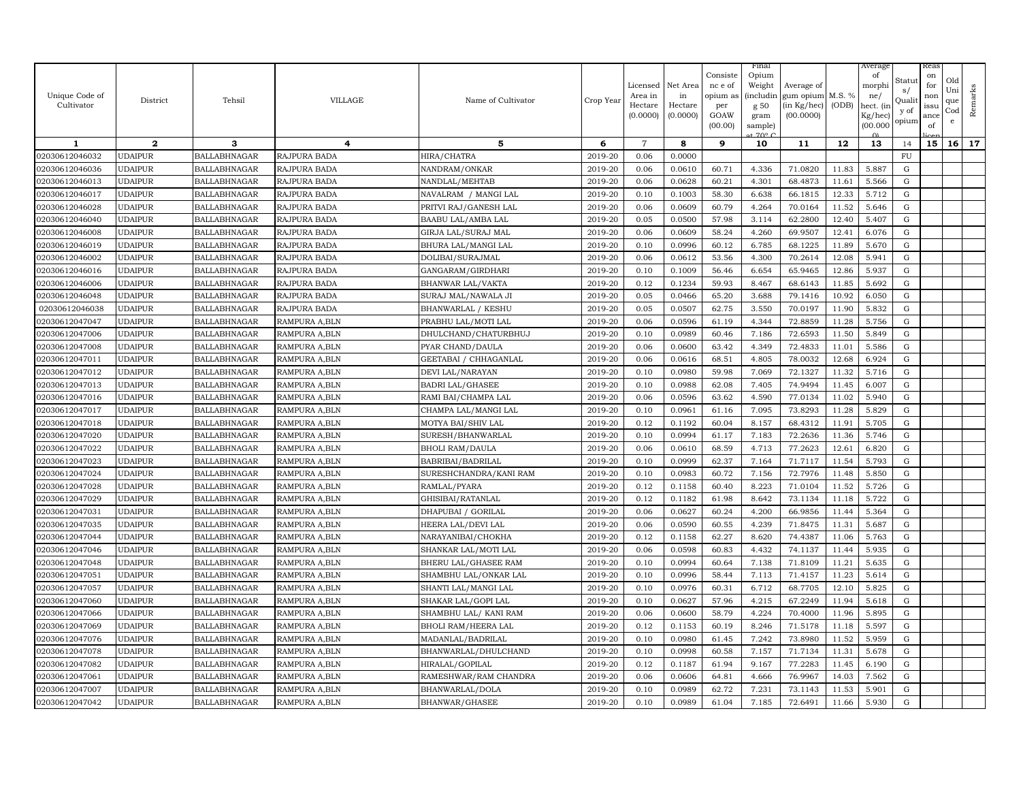| Unique Code of<br>Cultivator | District       | Tehsil              | VILLAGE        | Name of Cultivator          | Crop Year | Licensed<br>Area in<br>Hectare<br>(0.0000) | Net Area<br>in<br>Hectare<br>(0.0000) | Consiste<br>nc e of<br>opium as<br>per<br>GOAW<br>(00.00) | Final<br>Opium<br>Weight<br><i>(includir)</i><br>g 50<br>gram<br>sample)<br>70° | Average of<br>gum opium<br>(in Kg/hec)<br>(00.0000) | M.S. %<br>(ODB) | Averag<br>of<br>morphi<br>ne/<br>hect. (in<br>Kg/hec<br>(00.000) | Statu<br>s/<br>Quali<br>y of<br>opium | on<br>for<br>isst<br>ance<br>of | blG<br>Uni<br>nue | Remarks |
|------------------------------|----------------|---------------------|----------------|-----------------------------|-----------|--------------------------------------------|---------------------------------------|-----------------------------------------------------------|---------------------------------------------------------------------------------|-----------------------------------------------------|-----------------|------------------------------------------------------------------|---------------------------------------|---------------------------------|-------------------|---------|
| 1                            | $\mathbf{2}$   | з                   | 4              | 5                           | 6         | $\overline{7}$                             | 8                                     | 9                                                         | 10                                                                              | 11                                                  | 12              | 13                                                               | 14                                    | 15                              | 16                | 17      |
| 02030612046032               | <b>UDAIPUR</b> | <b>BALLABHNAGAR</b> | RAJPURA BADA   | HIRA/CHATRA                 | 2019-20   | 0.06                                       | 0.0000                                |                                                           |                                                                                 |                                                     |                 |                                                                  | FU                                    |                                 |                   |         |
| 02030612046036               | <b>UDAIPUR</b> | BALLABHNAGAR        | RAJPURA BADA   | NANDRAM/ONKAR               | 2019-20   | 0.06                                       | 0.0610                                | 60.71                                                     | 4.336                                                                           | 71.0820                                             | 11.83           | 5.887                                                            | G                                     |                                 |                   |         |
| 02030612046013               | <b>UDAIPUR</b> | BALLABHNAGAR        | RAJPURA BADA   | NANDLAL/MEHTAB              | 2019-20   | 0.06                                       | 0.0628                                | 60.21                                                     | 4.301                                                                           | 68.4873                                             | 11.61           | 5.566                                                            | G                                     |                                 |                   |         |
| 02030612046017               | <b>UDAIPUR</b> | <b>BALLABHNAGAR</b> | RAJPURA BADA   | NAVALRAM / MANGI LAL        | 2019-20   | 0.10                                       | 0.1003                                | 58.30                                                     | 6.638                                                                           | 66.1815                                             | 12.33           | 5.712                                                            | ${\rm G}$                             |                                 |                   |         |
| 02030612046028               | <b>UDAIPUR</b> | BALLABHNAGAR        | RAJPURA BADA   | PRITVI RAJ/GANESH LAL       | 2019-20   | 0.06                                       | 0.0609                                | 60.79                                                     | 4.264                                                                           | 70.0164                                             | 11.52           | 5.646                                                            | G                                     |                                 |                   |         |
| 02030612046040               | <b>UDAIPUR</b> | BALLABHNAGAR        | RAJPURA BADA   | BAABU LAL/AMBA LAL          | 2019-20   | 0.05                                       | 0.0500                                | 57.98                                                     | 3.114                                                                           | 62.2800                                             | 12.40           | 5.407                                                            | G                                     |                                 |                   |         |
| 02030612046008               | <b>UDAIPUR</b> | BALLABHNAGAR        | RAJPURA BADA   | GIRJA LAL/SURAJ MAL         | 2019-20   | 0.06                                       | 0.0609                                | 58.24                                                     | 4.260                                                                           | 69.9507                                             | 12.41           | 6.076                                                            | ${\rm G}$                             |                                 |                   |         |
| 02030612046019               | UDAIPUR        | BALLABHNAGAR        | RAJPURA BADA   | BHURA LAL/MANGI LAL         | 2019-20   | 0.10                                       | 0.0996                                | 60.12                                                     | 6.785                                                                           | 68.1225                                             | 11.89           | 5.670                                                            | ${\rm G}$                             |                                 |                   |         |
| 02030612046002               | <b>UDAIPUR</b> | BALLABHNAGAR        | RAJPURA BADA   | DOLIBAI/SURAJMAL            | 2019-20   | 0.06                                       | 0.0612                                | 53.56                                                     | 4.300                                                                           | 70.2614                                             | 12.08           | 5.941                                                            | ${\rm G}$                             |                                 |                   |         |
| 02030612046016               | <b>UDAIPUR</b> | BALLABHNAGAR        | RAJPURA BADA   | GANGARAM/GIRDHARI           | 2019-20   | 0.10                                       | 0.1009                                | 56.46                                                     | 6.654                                                                           | 65.9465                                             | 12.86           | 5.937                                                            | G                                     |                                 |                   |         |
| 02030612046006               | <b>UDAIPUR</b> | <b>BALLABHNAGAR</b> | RAJPURA BADA   | <b>BHANWAR LAL/VAKTA</b>    | 2019-20   | 0.12                                       | 0.1234                                | 59.93                                                     | 8.467                                                                           | 68.6143                                             | 11.85           | 5.692                                                            | G                                     |                                 |                   |         |
| 02030612046048               | <b>UDAIPUR</b> | <b>BALLABHNAGAR</b> | RAJPURA BADA   | SURAJ MAL/NAWALA JI         | 2019-20   | 0.05                                       | 0.0466                                | 65.20                                                     | 3.688                                                                           | 79.1416                                             | 10.92           | 6.050                                                            | ${\rm G}$                             |                                 |                   |         |
| 02030612046038               | <b>UDAIPUR</b> | BALLABHNAGAR        | RAJPURA BADA   | <b>BHANWARLAL / KESHU</b>   | 2019-20   | 0.05                                       | 0.0507                                | 62.75                                                     | 3.550                                                                           | 70.0197                                             | 11.90           | 5.832                                                            | ${\rm G}$                             |                                 |                   |         |
| 02030612047047               | <b>UDAIPUR</b> | <b>BALLABHNAGAR</b> | RAMPURA A,BLN  | PRABHU LAL/MOTI LAL         | 2019-20   | 0.06                                       | 0.0596                                | 61.19                                                     | 4.344                                                                           | 72.8859                                             | 11.28           | 5.756                                                            | G                                     |                                 |                   |         |
| 02030612047006               | UDAIPUR        | BALLABHNAGAR        | RAMPURA A,BLN  | DHULCHAND/CHATURBHUJ        | 2019-20   | 0.10                                       | 0.0989                                | 60.46                                                     | 7.186                                                                           | 72.6593                                             | 11.50           | 5.849                                                            | ${\rm G}$                             |                                 |                   |         |
| 02030612047008               | <b>UDAIPUR</b> | BALLABHNAGAR        | RAMPURA A, BLN | PYAR CHAND/DAULA            | 2019-20   | 0.06                                       | 0.0600                                | 63.42                                                     | 4.349                                                                           | 72.4833                                             | 11.01           | 5.586                                                            | ${\rm G}$                             |                                 |                   |         |
| 02030612047011               | UDAIPUR        | BALLABHNAGAR        | RAMPURA A, BLN | GEETABAI / CHHAGANLAL       | 2019-20   | 0.06                                       | 0.0616                                | 68.51                                                     | 4.805                                                                           | 78.0032                                             | 12.68           | 6.924                                                            | $\mathbf G$                           |                                 |                   |         |
| 02030612047012               | <b>UDAIPUR</b> | BALLABHNAGAR        | RAMPURA A, BLN | DEVI LAL/NARAYAN            | 2019-20   | 0.10                                       | 0.0980                                | 59.98                                                     | 7.069                                                                           | 72.1327                                             | 11.32           | 5.716                                                            | $\mathbf G$                           |                                 |                   |         |
| 02030612047013               | <b>UDAIPUR</b> | <b>BALLABHNAGAR</b> | RAMPURA A, BLN | <b>BADRI LAL/GHASEE</b>     | 2019-20   | 0.10                                       | 0.0988                                | 62.08                                                     | 7.405                                                                           | 74.9494                                             | 11.45           | 6.007                                                            | ${\bf G}$                             |                                 |                   |         |
| 02030612047016               | <b>UDAIPUR</b> | <b>BALLABHNAGAR</b> | RAMPURA A, BLN | RAMI BAI/CHAMPA LAL         | 2019-20   | 0.06                                       | 0.0596                                | 63.62                                                     | 4.590                                                                           | 77.0134                                             | 11.02           | 5.940                                                            | $\mathbf G$                           |                                 |                   |         |
| 02030612047017               | <b>UDAIPUR</b> | BALLABHNAGAR        | RAMPURA A, BLN | CHAMPA LAL/MANGI LAL        | 2019-20   | 0.10                                       | 0.0961                                | 61.16                                                     | 7.095                                                                           | 73.8293                                             | 11.28           | 5.829                                                            | G                                     |                                 |                   |         |
| 02030612047018               | <b>UDAIPUR</b> | BALLABHNAGAR        | RAMPURA A, BLN | MOTYA BAI/SHIV LAL          | 2019-20   | 0.12                                       | 0.1192                                | 60.04                                                     | 8.157                                                                           | 68.4312                                             | 11.91           | 5.705                                                            | G                                     |                                 |                   |         |
| 02030612047020               | UDAIPUR        | BALLABHNAGAR        | RAMPURA A,BLN  | SURESH/BHANWARLAL           | 2019-20   | 0.10                                       | 0.0994                                | 61.17                                                     | 7.183                                                                           | 72.2636                                             | 11.36           | 5.746                                                            | ${\rm G}$                             |                                 |                   |         |
| 02030612047022               | <b>UDAIPUR</b> | BALLABHNAGAR        | RAMPURA A, BLN | <b>BHOLI RAM/DAULA</b>      | 2019-20   | 0.06                                       | 0.0610                                | 68.59                                                     | 4.713                                                                           | 77.2623                                             | 12.61           | 6.820                                                            | ${\rm G}$                             |                                 |                   |         |
| 02030612047023               | <b>UDAIPUR</b> | BALLABHNAGAR        | RAMPURA A, BLN | BABRIBAI/BADRILAL           | 2019-20   | 0.10                                       | 0.0999                                | 62.37                                                     | 7.164                                                                           | 71.7117                                             | 11.54           | 5.793                                                            | ${\rm G}$                             |                                 |                   |         |
| 02030612047024               | <b>UDAIPUR</b> | <b>BALLABHNAGAR</b> | RAMPURA A, BLN | SURESHCHANDRA/KANI RAM      | 2019-20   | 0.10                                       | 0.0983                                | 60.72                                                     | 7.156                                                                           | 72.7976                                             | 11.48           | 5.850                                                            | G                                     |                                 |                   |         |
| 02030612047028               | <b>UDAIPUR</b> | BALLABHNAGAR        | RAMPURA A,BLN  | RAMLAL/PYARA                | 2019-20   | 0.12                                       | 0.1158                                | 60.40                                                     | 8.223                                                                           | 71.0104                                             | 11.52           | 5.726                                                            | ${\rm G}$                             |                                 |                   |         |
| 02030612047029               | <b>UDAIPUR</b> | <b>BALLABHNAGAR</b> | RAMPURA A, BLN | GHISIBAI/RATANLAL           | 2019-20   | 0.12                                       | 0.1182                                | 61.98                                                     | 8.642                                                                           | 73.1134                                             | 11.18           | 5.722                                                            | ${\rm G}$                             |                                 |                   |         |
| 02030612047031               | <b>UDAIPUR</b> | BALLABHNAGAR        | RAMPURA A,BLN  | DHAPUBAI / GORILAL          | 2019-20   | 0.06                                       | 0.0627                                | 60.24                                                     | 4.200                                                                           | 66.9856                                             | 11.44           | 5.364                                                            | G                                     |                                 |                   |         |
| 02030612047035               | <b>UDAIPUR</b> | BALLABHNAGAR        | RAMPURA A,BLN  | HEERA LAL/DEVI LAL          | 2019-20   | 0.06                                       | 0.0590                                | 60.55                                                     | 4.239                                                                           | 71.8475                                             | 11.31           | 5.687                                                            | $\mathbf G$                           |                                 |                   |         |
| 02030612047044               | <b>UDAIPUR</b> | BALLABHNAGAR        | RAMPURA A,BLN  | NARAYANIBAI/CHOKHA          | 2019-20   | 0.12                                       | 0.1158                                | 62.27                                                     | 8.620                                                                           | 74.4387                                             | 11.06           | 5.763                                                            | ${\rm G}$                             |                                 |                   |         |
| 02030612047046               | <b>UDAIPUR</b> | BALLABHNAGAR        | RAMPURA A, BLN | SHANKAR LAL/MOTI LAL        | 2019-20   | 0.06                                       | 0.0598                                | 60.83                                                     | 4.432                                                                           | 74.1137                                             | 11.44           | 5.935                                                            | ${\rm G}$                             |                                 |                   |         |
| 02030612047048               | <b>UDAIPUR</b> | BALLABHNAGAR        | RAMPURA A,BLN  | <b>BHERU LAL/GHASEE RAM</b> | 2019-20   | 0.10                                       | 0.0994                                | 60.64                                                     | 7.138                                                                           | 71.8109                                             | 11.21           | 5.635                                                            | $\mathbf G$                           |                                 |                   |         |
| 02030612047051               | <b>UDAIPUR</b> | <b>BALLABHNAGAR</b> | RAMPURA A,BLN  | SHAMBHU LAL/ONKAR LAL       | 2019-20   | 0.10                                       | 0.0996                                | 58.44                                                     | 7.113                                                                           | 71.4157                                             | 11.23           | 5.614                                                            | G                                     |                                 |                   |         |
| 02030612047057               | <b>UDAIPUR</b> | <b>BALLABHNAGAR</b> | RAMPURA A, BLN | SHANTI LAL/MANGI LAL        | 2019-20   | 0.10                                       | 0.0976                                | 60.31                                                     | 6.712                                                                           | 68.7705                                             | 12.10           | 5.825                                                            | $\mathbf G$                           |                                 |                   |         |
| 02030612047060               | <b>UDAIPUR</b> | <b>BALLABHNAGAR</b> | RAMPURA A, BLN | SHAKAR LAL/GOPI LAL         | 2019-20   | 0.10                                       | 0.0627                                | 57.96                                                     | 4.215                                                                           | 67.2249                                             | 11.94           | 5.618                                                            | ${\bf G}$                             |                                 |                   |         |
| 02030612047066               | <b>UDAIPUR</b> | BALLABHNAGAR        | RAMPURA A,BLN  | SHAMBHU LAL/ KANI RAM       | 2019-20   | 0.06                                       | 0.0600                                | 58.79                                                     | 4.224                                                                           | 70.4000                                             | 11.96           | 5.895                                                            | ${\rm G}$                             |                                 |                   |         |
| 02030612047069               | <b>UDAIPUR</b> | BALLABHNAGAR        | RAMPURA A,BLN  | BHOLI RAM/HEERA LAL         | 2019-20   | 0.12                                       | 0.1153                                | 60.19                                                     | 8.246                                                                           | 71.5178                                             | 11.18           | 5.597                                                            | G                                     |                                 |                   |         |
| 02030612047076               | <b>UDAIPUR</b> | BALLABHNAGAR        | RAMPURA A, BLN | MADANLAL/BADRILAL           | 2019-20   | 0.10                                       | 0.0980                                | 61.45                                                     | 7.242                                                                           | 73.8980                                             | 11.52           | 5.959                                                            | G                                     |                                 |                   |         |
| 02030612047078               | <b>UDAIPUR</b> | BALLABHNAGAR        | RAMPURA A, BLN | BHANWARLAL/DHULCHAND        | 2019-20   | 0.10                                       | 0.0998                                | 60.58                                                     | 7.157                                                                           | 71.7134                                             | 11.31           | 5.678                                                            | ${\rm G}$                             |                                 |                   |         |
| 02030612047082               | <b>UDAIPUR</b> | BALLABHNAGAR        | RAMPURA A, BLN | HIRALAL/GOPILAL             | 2019-20   | 0.12                                       | 0.1187                                | 61.94                                                     | 9.167                                                                           | 77.2283                                             | 11.45           | 6.190                                                            | ${\rm G}$                             |                                 |                   |         |
| 02030612047061               | <b>UDAIPUR</b> | BALLABHNAGAR        | RAMPURA A,BLN  | RAMESHWAR/RAM CHANDRA       | 2019-20   | 0.06                                       | 0.0606                                | 64.81                                                     | 4.666                                                                           | 76.9967                                             | 14.03           | 7.562                                                            | G                                     |                                 |                   |         |
| 02030612047007               | <b>UDAIPUR</b> | BALLABHNAGAR        | RAMPURA A, BLN | BHANWARLAL/DOLA             | 2019-20   | 0.10                                       | 0.0989                                | 62.72                                                     | 7.231                                                                           | 73.1143                                             | 11.53           | 5.901                                                            | ${\rm G}$                             |                                 |                   |         |
| 02030612047042               | <b>UDAIPUR</b> | BALLABHNAGAR        | RAMPURA A, BLN | <b>BHANWAR/GHASEE</b>       | 2019-20   | 0.10                                       | 0.0989                                | 61.04                                                     | 7.185                                                                           | 72.6491                                             | 11.66           | 5.930                                                            | ${\rm G}$                             |                                 |                   |         |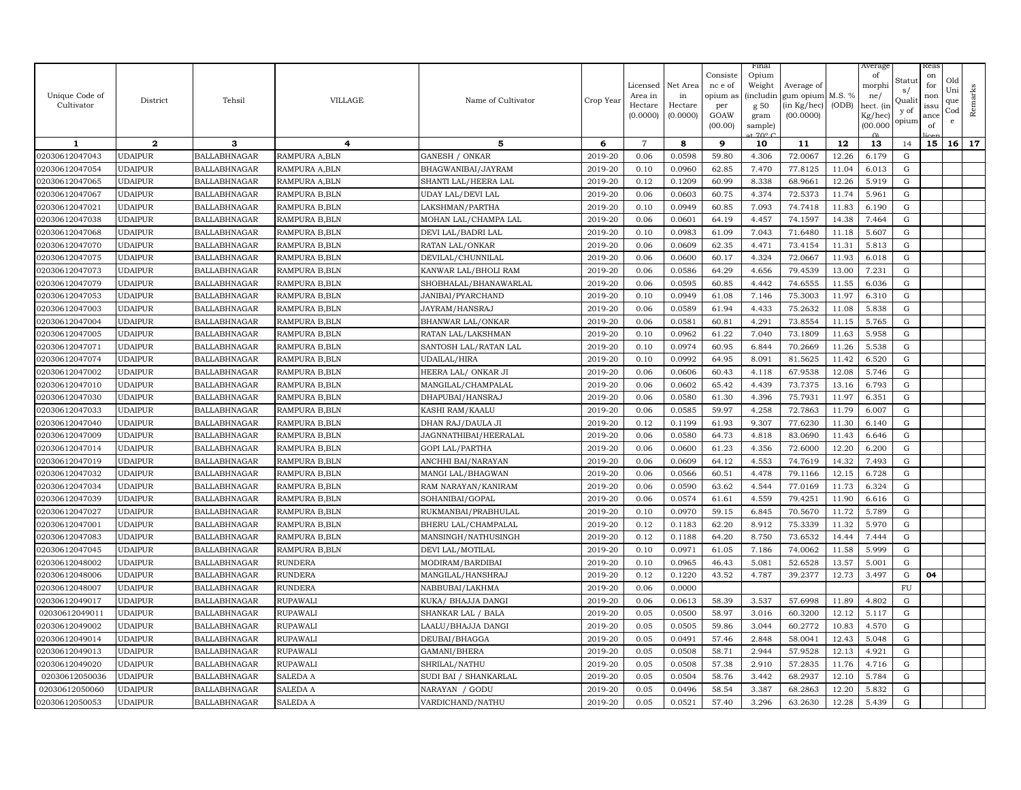| Unique Code of<br>Cultivator | District                        | Tehsil              | VILLAGE         | Name of Cultivator       | Crop Year | Licensed<br>Area in<br>Hectare<br>(0.0000) | Net Area<br>in<br>Hectare<br>(0.0000) | Consiste<br>nc e of<br>opium as<br>per<br>GOAW<br>(00.00) | Final<br>Opium<br>Weight<br><i>(includin</i><br>g 50<br>gram<br>sample]<br>$70^\circ$ | Average of<br>gum opium M.S. %<br>(in Kg/hec)<br>(00.0000) | (ODB) | <del>l</del> verag<br>of<br>morphi<br>ne/<br>hect. (in<br>Kg/hec)<br>(00.000) | Statut<br>s/<br>Quali<br>y of<br>opium | on<br>for<br>noi<br>isst<br>ance<br>of | Old<br>Uni<br>que | Remarks |
|------------------------------|---------------------------------|---------------------|-----------------|--------------------------|-----------|--------------------------------------------|---------------------------------------|-----------------------------------------------------------|---------------------------------------------------------------------------------------|------------------------------------------------------------|-------|-------------------------------------------------------------------------------|----------------------------------------|----------------------------------------|-------------------|---------|
|                              | $\overline{2}$                  | з                   | $\overline{4}$  | 5                        | 6         | $\overline{7}$                             | 8                                     | 9                                                         | 10                                                                                    | 11                                                         | 12    | 13                                                                            | 14                                     | 15                                     | 16                | 17      |
| 02030612047043               | <b>UDAIPUR</b>                  | <b>BALLABHNAGAR</b> | RAMPURA A,BLN   | GANESH / ONKAR           | 2019-20   | 0.06                                       | 0.0598                                | 59.80                                                     | 4.306                                                                                 | 72.0067                                                    | 12.26 | 6.179                                                                         | G                                      |                                        |                   |         |
| 02030612047054               | <b>UDAIPUR</b>                  | <b>BALLABHNAGAR</b> | RAMPURA A,BLN   | BHAGWANIBAI/JAYRAM       | 2019-20   | 0.10                                       | 0.0960                                | 62.85                                                     | 7.470                                                                                 | 77.8125                                                    | 11.04 | 6.013                                                                         | G                                      |                                        |                   |         |
| 02030612047065               | <b>UDAIPUR</b>                  | <b>BALLABHNAGAR</b> | RAMPURA A,BLN   | SHANTI LAL/HEERA LAL     | 2019-20   | 0.12                                       | 0.1209                                | 60.99                                                     | 8.338                                                                                 | 68.9661                                                    | 12.26 | 5.919                                                                         | G                                      |                                        |                   |         |
| 02030612047067               | <b>UDAIPUR</b>                  | <b>BALLABHNAGAR</b> | RAMPURA B, BLN  | <b>UDAY LAL/DEVI LAL</b> | 2019-20   | 0.06                                       | 0.0603                                | 60.75                                                     | 4.374                                                                                 | 72.5373                                                    | 11.74 | 5.961                                                                         | ${\rm G}$                              |                                        |                   |         |
| 02030612047021               | <b>UDAIPUR</b>                  | <b>BALLABHNAGAR</b> | RAMPURA B,BLN   | LAKSHMAN/PARTHA          | 2019-20   | 0.10                                       | 0.0949                                | 60.85                                                     | 7.093                                                                                 | 74.7418                                                    | 11.83 | 6.190                                                                         | G                                      |                                        |                   |         |
| 02030612047038               | UDAIPUR                         | <b>BALLABHNAGAR</b> | RAMPURA B,BLN   | MOHAN LAL/CHAMPA LAL     | 2019-20   | 0.06                                       | 0.0601                                | 64.19                                                     | 4.457                                                                                 | 74.1597                                                    | 14.38 | 7.464                                                                         | G                                      |                                        |                   |         |
| 02030612047068               | <b>UDAIPUR</b>                  | <b>BALLABHNAGAR</b> | RAMPURA B,BLN   | DEVI LAL/BADRI LAL       | 2019-20   | 0.10                                       | 0.0983                                | 61.09                                                     | 7.043                                                                                 | 71.6480                                                    | 11.18 | 5.607                                                                         | ${\rm G}$                              |                                        |                   |         |
| 02030612047070               | UDAIPUR                         | <b>BALLABHNAGAR</b> | RAMPURA B,BLN   | RATAN LAL/ONKAR          | 2019-20   | 0.06                                       | 0.0609                                | 62.35                                                     | 4.471                                                                                 | 73.4154                                                    | 11.31 | 5.813                                                                         | G                                      |                                        |                   |         |
| 02030612047075               | <b>UDAIPUR</b>                  | <b>BALLABHNAGAR</b> | RAMPURA B, BLN  | DEVILAL/CHUNNILAL        | 2019-20   | 0.06                                       | 0.0600                                | 60.17                                                     | 4.324                                                                                 | 72.0667                                                    | 11.93 | 6.018                                                                         | ${\rm G}$                              |                                        |                   |         |
| 02030612047073               | <b>UDAIPUR</b>                  | <b>BALLABHNAGAR</b> | RAMPURA B,BLN   | KANWAR LAL/BHOLI RAM     | 2019-20   | 0.06                                       | 0.0586                                | 64.29                                                     | 4.656                                                                                 | 79.4539                                                    | 13.00 | 7.231                                                                         | G                                      |                                        |                   |         |
| 02030612047079               | <b>UDAIPUR</b>                  | <b>BALLABHNAGAR</b> | RAMPURA B, BLN  | SHOBHALAL/BHANAWARLAL    | 2019-20   | 0.06                                       | 0.0595                                | 60.85                                                     | 4.442                                                                                 | 74.6555                                                    | 11.55 | 6.036                                                                         | ${\rm G}$                              |                                        |                   |         |
| 02030612047053               | <b>UDAIPUR</b>                  | <b>BALLABHNAGAR</b> | RAMPURA B,BLN   | JANIBAI/PYARCHAND        | 2019-20   | 0.10                                       | 0.0949                                | 61.08                                                     | 7.146                                                                                 | 75.3003                                                    | 11.97 | 6.310                                                                         | ${\rm G}$                              |                                        |                   |         |
| 02030612047003               | UDAIPUR                         | <b>BALLABHNAGAR</b> | RAMPURA B,BLN   | <b>JAYRAM/HANSRAJ</b>    | 2019-20   | 0.06                                       | 0.0589                                | 61.94                                                     | 4.433                                                                                 | 75.2632                                                    | 11.08 | 5.838                                                                         | ${\rm G}$                              |                                        |                   |         |
| 02030612047004               | UDAIPUR                         | <b>BALLABHNAGAR</b> | RAMPURA B,BLN   | BHANWAR LAL/ONKAR        | 2019-20   | 0.06                                       | 0.0581                                | 60.81                                                     | 4.291                                                                                 | 73.8554                                                    | 11.15 | 5.765                                                                         | G                                      |                                        |                   |         |
| 02030612047005               | UDAIPUR                         | <b>BALLABHNAGAR</b> | RAMPURA B,BLN   | RATAN LAL/LAKSHMAN       | 2019-20   | 0.10                                       | 0.0962                                | 61.22                                                     | 7.040                                                                                 | 73.1809                                                    | 11.63 | 5.958                                                                         | ${\rm G}$                              |                                        |                   |         |
| 02030612047071               | <b>UDAIPUR</b>                  | <b>BALLABHNAGAR</b> | RAMPURA B,BLN   | SANTOSH LAL/RATAN LAL    | 2019-20   | 0.10                                       | 0.0974                                | 60.95                                                     | 6.844                                                                                 | 70.2669                                                    | 11.26 | 5.538                                                                         | ${\rm G}$                              |                                        |                   |         |
| 02030612047074               | <b>UDAIPUR</b>                  | <b>BALLABHNAGAR</b> | RAMPURA B,BLN   | UDAILAL/HIRA             | 2019-20   | 0.10                                       | 0.0992                                | 64.95                                                     | 8.091                                                                                 | 81.5625                                                    | 11.42 | 6.520                                                                         | $\mathbf G$                            |                                        |                   |         |
| 02030612047002               | <b>UDAIPUR</b>                  | <b>BALLABHNAGAR</b> | RAMPURA B,BLN   | HEERA LAL/ONKAR JI       | 2019-20   | 0.06                                       | 0.0606                                | 60.43                                                     | 4.118                                                                                 | 67.9538                                                    | 12.08 | 5.746                                                                         | $\mathbf G$                            |                                        |                   |         |
| 02030612047010               | <b>UDAIPUR</b>                  | <b>BALLABHNAGAR</b> | RAMPURA B, BLN  | MANGILAL/CHAMPALAL       | 2019-20   | 0.06                                       | 0.0602                                | 65.42                                                     | 4.439                                                                                 | 73.7375                                                    | 13.16 | 6.793                                                                         | ${\bf G}$                              |                                        |                   |         |
| 02030612047030               | $\ensuremath{\mathsf{UDAIPUR}}$ | <b>BALLABHNAGAR</b> | RAMPURA B,BLN   | DHAPUBAI/HANSRAJ         | 2019-20   | 0.06                                       | 0.0580                                | 61.30                                                     | 4.396                                                                                 | 75.7931                                                    | 11.97 | 6.351                                                                         | $\mathbf G$                            |                                        |                   |         |
| 02030612047033               | UDAIPUR                         | <b>BALLABHNAGAR</b> | RAMPURA B,BLN   | KASHI RAM/KAALU          | 2019-20   | 0.06                                       | 0.0585                                | 59.97                                                     | 4.258                                                                                 | 72.7863                                                    | 11.79 | 6.007                                                                         | G                                      |                                        |                   |         |
| 02030612047040               | <b>UDAIPUR</b>                  | <b>BALLABHNAGAR</b> | RAMPURA B,BLN   | DHAN RAJ/DAULA JI        | 2019-20   | 0.12                                       | 0.1199                                | 61.93                                                     | 9.307                                                                                 | 77.6230                                                    | 11.30 | 6.140                                                                         | G                                      |                                        |                   |         |
| 02030612047009               | UDAIPUR                         | <b>BALLABHNAGAR</b> | RAMPURA B,BLN   | JAGNNATHIBAI/HEERALAL    | 2019-20   | 0.06                                       | 0.0580                                | 64.73                                                     | 4.818                                                                                 | 83.0690                                                    | 11.43 | 6.646                                                                         | G                                      |                                        |                   |         |
| 02030612047014               | <b>UDAIPUR</b>                  | <b>BALLABHNAGAR</b> | RAMPURA B,BLN   | GOPI LAL/PARTHA          | 2019-20   | 0.06                                       | 0.0600                                | 61.23                                                     | 4.356                                                                                 | 72.6000                                                    | 12.20 | 6.200                                                                         | ${\rm G}$                              |                                        |                   |         |
| 02030612047019               | <b>UDAIPUR</b>                  | <b>BALLABHNAGAR</b> | RAMPURA B,BLN   | ANCHHI BAI/NARAYAN       | 2019-20   | 0.06                                       | 0.0609                                | 64.12                                                     | 4.553                                                                                 | 74.7619                                                    | 14.32 | 7.493                                                                         | ${\rm G}$                              |                                        |                   |         |
| 02030612047032               | <b>UDAIPUR</b>                  | <b>BALLABHNAGAR</b> | RAMPURA B,BLN   | MANGI LAL/BHAGWAN        | 2019-20   | 0.06                                       | 0.0566                                | 60.51                                                     | 4.478                                                                                 | 79.1166                                                    | 12.15 | 6.728                                                                         | G                                      |                                        |                   |         |
| 02030612047034               | <b>UDAIPUR</b>                  | <b>BALLABHNAGAR</b> | RAMPURA B,BLN   | RAM NARAYAN/KANIRAM      | 2019-20   | 0.06                                       | 0.0590                                | 63.62                                                     | 4.544                                                                                 | 77.0169                                                    | 11.73 | 6.324                                                                         | ${\rm G}$                              |                                        |                   |         |
| 02030612047039               | <b>UDAIPUR</b>                  | <b>BALLABHNAGAR</b> | RAMPURA B, BLN  | SOHANIBAI/GOPAL          | 2019-20   | 0.06                                       | 0.0574                                | 61.61                                                     | 4.559                                                                                 | 79.4251                                                    | 11.90 | 6.616                                                                         | ${\rm G}$                              |                                        |                   |         |
| 02030612047027               | UDAIPUR                         | <b>BALLABHNAGAR</b> | RAMPURA B,BLN   | RUKMANBAI/PRABHULAL      | 2019-20   | 0.10                                       | 0.0970                                | 59.15                                                     | 6.845                                                                                 | 70.5670                                                    | 11.72 | 5.789                                                                         | G                                      |                                        |                   |         |
| 02030612047001               | <b>UDAIPUR</b>                  | <b>BALLABHNAGAR</b> | RAMPURA B,BLN   | BHERU LAL/CHAMPALAL      | 2019-20   | 0.12                                       | 0.1183                                | 62.20                                                     | 8.912                                                                                 | 75.3339                                                    | 11.32 | 5.970                                                                         | $\mathbf G$                            |                                        |                   |         |
| 02030612047083               | <b>UDAIPUR</b>                  | <b>BALLABHNAGAR</b> | RAMPURA B,BLN   | MANSINGH/NATHUSINGH      | 2019-20   | 0.12                                       | 0.1188                                | 64.20                                                     | 8.750                                                                                 | 73.6532                                                    | 14.44 | 7.444                                                                         | ${\rm G}$                              |                                        |                   |         |
| 02030612047045               | UDAIPUR                         | <b>BALLABHNAGAR</b> | RAMPURA B,BLN   | DEVI LAL/MOTILAL         | 2019-20   | 0.10                                       | 0.0971                                | 61.05                                                     | 7.186                                                                                 | 74.0062                                                    | 11.58 | 5.999                                                                         | ${\rm G}$                              |                                        |                   |         |
| 02030612048002               | <b>UDAIPUR</b>                  | <b>BALLABHNAGAR</b> | RUNDERA         | MODIRAM/BARDIBAI         | 2019-20   | 0.10                                       | 0.0965                                | 46.43                                                     | 5.081                                                                                 | 52.6528                                                    | 13.57 | 5.001                                                                         | G                                      |                                        |                   |         |
| 02030612048006               | <b>UDAIPUR</b>                  | <b>BALLABHNAGAR</b> | <b>RUNDERA</b>  | MANGILAL/HANSHRAJ        | 2019-20   | 0.12                                       | 0.1220                                | 43.52                                                     | 4.787                                                                                 | 39.2377                                                    | 12.73 | 3.497                                                                         | G                                      | 04                                     |                   |         |
| 02030612048007               | <b>UDAIPUR</b>                  | <b>BALLABHNAGAR</b> | <b>RUNDERA</b>  | NABBUBAI/LAKHMA          | 2019-20   | 0.06                                       | 0.0000                                |                                                           |                                                                                       |                                                            |       |                                                                               | FU                                     |                                        |                   |         |
| 02030612049017               | <b>UDAIPUR</b>                  | <b>BALLABHNAGAR</b> | RUPAWALI        | KUKA/ BHAJJA DANGI       | 2019-20   | 0.06                                       | 0.0613                                | 58.39                                                     | 3.537                                                                                 | 57.6998                                                    | 11.89 | 4.802                                                                         | G                                      |                                        |                   |         |
| 02030612049011               | UDAIPUR                         | <b>BALLABHNAGAR</b> | RUPAWALI        | SHANKAR LAL / BALA       | 2019-20   | 0.05                                       | 0.0500                                | 58.97                                                     | 3.016                                                                                 | 60.3200                                                    | 12.12 | 5.117                                                                         | G                                      |                                        |                   |         |
| 02030612049002               | <b>UDAIPUR</b>                  | <b>BALLABHNAGAR</b> | RUPAWALI        | LAALU/BHAJJA DANGI       | 2019-20   | 0.05                                       | 0.0505                                | 59.86                                                     | 3.044                                                                                 | 60.2772                                                    | 10.83 | 4.570                                                                         | G                                      |                                        |                   |         |
| 02030612049014               | <b>UDAIPUR</b>                  | <b>BALLABHNAGAR</b> | RUPAWALI        | DEUBAI/BHAGGA            | 2019-20   | 0.05                                       | 0.0491                                | 57.46                                                     | 2.848                                                                                 | 58.0041                                                    | 12.43 | 5.048                                                                         | G                                      |                                        |                   |         |
| 02030612049013               | <b>UDAIPUR</b>                  | <b>BALLABHNAGAR</b> | RUPAWALI        | GAMANI/BHERA             | 2019-20   | 0.05                                       | 0.0508                                | 58.71                                                     | 2.944                                                                                 | 57.9528                                                    | 12.13 | 4.921                                                                         | G                                      |                                        |                   |         |
| 02030612049020               | <b>UDAIPUR</b>                  | <b>BALLABHNAGAR</b> | RUPAWALI        | SHRILAL/NATHU            | 2019-20   | 0.05                                       | 0.0508                                | 57.38                                                     | 2.910                                                                                 | 57.2835                                                    | 11.76 | 4.716                                                                         | ${\rm G}$                              |                                        |                   |         |
| 02030612050036               | UDAIPUR                         | <b>BALLABHNAGAR</b> | SALEDA A        | SUDI BAI / SHANKARLAL    | 2019-20   | 0.05                                       | 0.0504                                | 58.76                                                     | 3.442                                                                                 | 68.2937                                                    | 12.10 | 5.784                                                                         | G                                      |                                        |                   |         |
| 02030612050060               | <b>UDAIPUR</b>                  | <b>BALLABHNAGAR</b> | <b>SALEDA A</b> | NARAYAN / GODU           | 2019-20   | 0.05                                       | 0.0496                                | 58.54                                                     | 3.387                                                                                 | 68.2863                                                    | 12.20 | 5.832                                                                         | ${\rm G}$                              |                                        |                   |         |
| 02030612050053               | <b>UDAIPUR</b>                  | <b>BALLABHNAGAR</b> | <b>SALEDA A</b> | VARDICHAND/NATHU         | 2019-20   | 0.05                                       | 0.0521                                | 57.40                                                     | 3.296                                                                                 | 63.2630                                                    | 12.28 | 5.439                                                                         | ${\rm G}$                              |                                        |                   |         |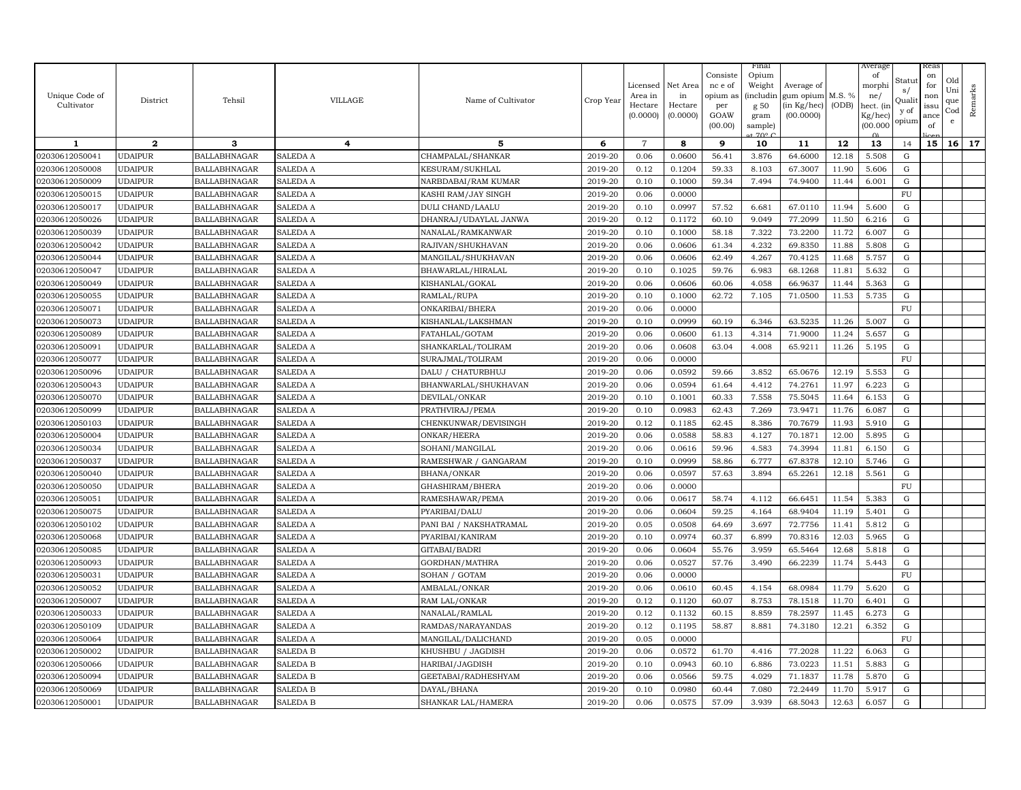| Unique Code of<br>Cultivator | District                        | Tehsil              | VILLAGE         | Name of Cultivator      | Crop Year | Licensed<br>Area in<br>Hectare<br>(0.0000) | Net Area<br>in<br>Hectare<br>(0.0000) | Consiste<br>nc e of<br>opium as<br>per<br>GOAW<br>(00.00) | Final<br>Opium<br>Weight<br><i>(includin</i><br>g 50<br>gram<br>sample]<br>70° | Average of<br>gum opium M.S. %<br>(in Kg/hec)<br>(00.0000) | (ODB) | Averag<br>of<br>morphi<br>ne/<br>hect. (in<br>Kg/hec<br>(00.000) | Statut<br>s/<br>Quali<br>y of<br>opium | on<br>for<br>noi<br>isst<br>ance<br>of | Dld<br>Uni<br>que<br>Cod | Remarks |
|------------------------------|---------------------------------|---------------------|-----------------|-------------------------|-----------|--------------------------------------------|---------------------------------------|-----------------------------------------------------------|--------------------------------------------------------------------------------|------------------------------------------------------------|-------|------------------------------------------------------------------|----------------------------------------|----------------------------------------|--------------------------|---------|
| -1                           | $\overline{2}$                  | з                   | 4               | 5                       | 6         | $\overline{7}$                             | 8                                     | 9                                                         | 10                                                                             | 11                                                         | 12    | 13                                                               | 14                                     | 15                                     | 16 <sup>1</sup>          | 17      |
| 02030612050041               | <b>UDAIPUR</b>                  | <b>BALLABHNAGAR</b> | SALEDA A        | CHAMPALAL/SHANKAR       | 2019-20   | 0.06                                       | 0.0600                                | 56.41                                                     | 3.876                                                                          | 64.6000                                                    | 12.18 | 5.508                                                            | $\mathbf G$                            |                                        |                          |         |
| 02030612050008               | <b>UDAIPUR</b>                  | <b>BALLABHNAGAR</b> | SALEDA A        | <b>KESURAM/SUKHLAL</b>  | 2019-20   | 0.12                                       | 0.1204                                | 59.33                                                     | 8.103                                                                          | 67.3007                                                    | 11.90 | 5.606                                                            | G                                      |                                        |                          |         |
| 02030612050009               | <b>UDAIPUR</b>                  | <b>BALLABHNAGAR</b> | <b>SALEDA A</b> | NARBDABAI/RAM KUMAR     | 2019-20   | 0.10                                       | 0.1000                                | 59.34                                                     | 7.494                                                                          | 74.9400                                                    | 11.44 | 6.001                                                            | G                                      |                                        |                          |         |
| 02030612050015               | <b>UDAIPUR</b>                  | <b>BALLABHNAGAR</b> | SALEDA A        | KASHI RAM/JAY SINGH     | 2019-20   | 0.06                                       | 0.0000                                |                                                           |                                                                                |                                                            |       |                                                                  | ${\rm FU}$                             |                                        |                          |         |
| 02030612050017               | <b>UDAIPUR</b>                  | <b>BALLABHNAGAR</b> | <b>SALEDA A</b> | DULI CHAND/LAALU        | 2019-20   | 0.10                                       | 0.0997                                | 57.52                                                     | 6.681                                                                          | 67.0110                                                    | 11.94 | 5.600                                                            | G                                      |                                        |                          |         |
| 02030612050026               | UDAIPUR                         | <b>BALLABHNAGAR</b> | SALEDA A        | DHANRAJ/UDAYLAL JANWA   | 2019-20   | 0.12                                       | 0.1172                                | 60.10                                                     | 9.049                                                                          | 77.2099                                                    | 11.50 | 6.216                                                            | G                                      |                                        |                          |         |
| 02030612050039               | <b>UDAIPUR</b>                  | <b>BALLABHNAGAR</b> | SALEDA A        | NANALAL/RAMKANWAR       | 2019-20   | 0.10                                       | 0.1000                                | 58.18                                                     | 7.322                                                                          | 73.2200                                                    | 11.72 | 6.007                                                            | G                                      |                                        |                          |         |
| 02030612050042               | UDAIPUR                         | <b>BALLABHNAGAR</b> | SALEDA A        | RAJIVAN/SHUKHAVAN       | 2019-20   | 0.06                                       | 0.0606                                | 61.34                                                     | 4.232                                                                          | 69.8350                                                    | 11.88 | 5.808                                                            | G                                      |                                        |                          |         |
| 02030612050044               | <b>UDAIPUR</b>                  | <b>BALLABHNAGAR</b> | <b>SALEDA A</b> | MANGILAL/SHUKHAVAN      | 2019-20   | 0.06                                       | 0.0606                                | 62.49                                                     | 4.267                                                                          | 70.4125                                                    | 11.68 | 5.757                                                            | G                                      |                                        |                          |         |
| 02030612050047               | <b>UDAIPUR</b>                  | <b>BALLABHNAGAR</b> | SALEDA A        | BHAWARLAL/HIRALAL       | 2019-20   | 0.10                                       | 0.1025                                | 59.76                                                     | 6.983                                                                          | 68.1268                                                    | 11.81 | 5.632                                                            | ${\rm G}$                              |                                        |                          |         |
| 02030612050049               | <b>UDAIPUR</b>                  | <b>BALLABHNAGAR</b> | SALEDA A        | KISHANLAL/GOKAL         | 2019-20   | 0.06                                       | 0.0606                                | 60.06                                                     | 4.058                                                                          | 66.9637                                                    | 11.44 | 5.363                                                            | G                                      |                                        |                          |         |
| 02030612050055               | <b>UDAIPUR</b>                  | <b>BALLABHNAGAR</b> | SALEDA A        | RAMLAL/RUPA             | 2019-20   | 0.10                                       | 0.1000                                | 62.72                                                     | 7.105                                                                          | 71.0500                                                    | 11.53 | 5.735                                                            | G                                      |                                        |                          |         |
| 02030612050071               | UDAIPUR                         | <b>BALLABHNAGAR</b> | SALEDA A        | ONKARIBAI/BHERA         | 2019-20   | 0.06                                       | 0.0000                                |                                                           |                                                                                |                                                            |       |                                                                  | ${\rm FU}$                             |                                        |                          |         |
| 02030612050073               | UDAIPUR                         | <b>BALLABHNAGAR</b> | SALEDA A        | KISHANLAL/LAKSHMAN      | 2019-20   | 0.10                                       | 0.0999                                | 60.19                                                     | 6.346                                                                          | 63.5235                                                    | 11.26 | 5.007                                                            | ${\rm G}$                              |                                        |                          |         |
| 02030612050089               | UDAIPUR                         | <b>BALLABHNAGAR</b> | SALEDA A        | FATAHLAL/GOTAM          | 2019-20   | 0.06                                       | 0.0600                                | 61.13                                                     | 4.314                                                                          | 71.9000                                                    | 11.24 | 5.657                                                            | G                                      |                                        |                          |         |
| 02030612050091               | <b>UDAIPUR</b>                  | <b>BALLABHNAGAR</b> | SALEDA A        | SHANKARLAL/TOLIRAM      | 2019-20   | 0.06                                       | 0.0608                                | 63.04                                                     | 4.008                                                                          | 65.9211                                                    | 11.26 | 5.195                                                            | ${\rm G}$                              |                                        |                          |         |
| 02030612050077               | <b>UDAIPUR</b>                  | <b>BALLABHNAGAR</b> | SALEDA A        | SURAJMAL/TOLIRAM        | 2019-20   | 0.06                                       | 0.0000                                |                                                           |                                                                                |                                                            |       |                                                                  | ${\rm FU}$                             |                                        |                          |         |
| 02030612050096               | $\ensuremath{\mathsf{UDAIPUR}}$ | <b>BALLABHNAGAR</b> | SALEDA A        | DALU / CHATURBHUJ       | 2019-20   | 0.06                                       | 0.0592                                | 59.66                                                     | 3.852                                                                          | 65.0676                                                    | 12.19 | 5.553                                                            | G                                      |                                        |                          |         |
| 02030612050043               | <b>UDAIPUR</b>                  | <b>BALLABHNAGAR</b> | SALEDA A        | BHANWARLAL/SHUKHAVAN    | 2019-20   | 0.06                                       | 0.0594                                | 61.64                                                     | 4.412                                                                          | 74.2761                                                    | 11.97 | 6.223                                                            | G                                      |                                        |                          |         |
| 02030612050070               | <b>UDAIPUR</b>                  | <b>BALLABHNAGAR</b> | SALEDA A        | DEVILAL/ONKAR           | 2019-20   | 0.10                                       | 0.1001                                | 60.33                                                     | 7.558                                                                          | 75.5045                                                    | 11.64 | 6.153                                                            | G                                      |                                        |                          |         |
| 02030612050099               | <b>UDAIPUR</b>                  | <b>BALLABHNAGAR</b> | <b>SALEDA A</b> | PRATHVIRAJ/PEMA         | 2019-20   | 0.10                                       | 0.0983                                | 62.43                                                     | 7.269                                                                          | 73.9471                                                    | 11.76 | 6.087                                                            | G                                      |                                        |                          |         |
| 02030612050103               | <b>UDAIPUR</b>                  | <b>BALLABHNAGAR</b> | <b>SALEDA A</b> | CHENKUNWAR/DEVISINGH    | 2019-20   | 0.12                                       | 0.1185                                | 62.45                                                     | 8.386                                                                          | 70.7679                                                    | 11.93 | 5.910                                                            | ${\rm G}$                              |                                        |                          |         |
| 02030612050004               | <b>UDAIPUR</b>                  | <b>BALLABHNAGAR</b> | SALEDA A        | ONKAR/HEERA             | 2019-20   | 0.06                                       | 0.0588                                | 58.83                                                     | 4.127                                                                          | 70.1871                                                    | 12.00 | 5.895                                                            | ${\rm G}$                              |                                        |                          |         |
| 02030612050034               | <b>UDAIPUR</b>                  | <b>BALLABHNAGAR</b> | SALEDA A        | SOHANI/MANGILAL         | 2019-20   | 0.06                                       | 0.0616                                | 59.96                                                     | 4.583                                                                          | 74.3994                                                    | 11.81 | 6.150                                                            | G                                      |                                        |                          |         |
| 02030612050037               | <b>UDAIPUR</b>                  | <b>BALLABHNAGAR</b> | SALEDA A        | RAMESHWAR / GANGARAM    | 2019-20   | 0.10                                       | 0.0999                                | 58.86                                                     | 6.777                                                                          | 67.8378                                                    | 12.10 | 5.746                                                            | G                                      |                                        |                          |         |
| 02030612050040               | <b>UDAIPUR</b>                  | <b>BALLABHNAGAR</b> | SALEDA A        | BHANA/ONKAR             | 2019-20   | 0.06                                       | 0.0597                                | 57.63                                                     | 3.894                                                                          | 65.2261                                                    | 12.18 | 5.561                                                            | ${\rm G}$                              |                                        |                          |         |
| 02030612050050               | <b>UDAIPUR</b>                  | <b>BALLABHNAGAR</b> | SALEDA A        | GHASHIRAM/BHERA         | 2019-20   | 0.06                                       | 0.0000                                |                                                           |                                                                                |                                                            |       |                                                                  | FU                                     |                                        |                          |         |
| 02030612050051               | UDAIPUR                         | <b>BALLABHNAGAR</b> | SALEDA A        | RAMESHAWAR/PEMA         | 2019-20   | 0.06                                       | 0.0617                                | 58.74                                                     | 4.112                                                                          | 66.6451                                                    | 11.54 | 5.383                                                            | G                                      |                                        |                          |         |
| 02030612050075               | UDAIPUR                         | <b>BALLABHNAGAR</b> | SALEDA A        | PYARIBAI/DALU           | 2019-20   | 0.06                                       | 0.0604                                | 59.25                                                     | 4.164                                                                          | 68.9404                                                    | 11.19 | 5.401                                                            | G                                      |                                        |                          |         |
| 02030612050102               | UDAIPUR                         | <b>BALLABHNAGAR</b> | SALEDA A        | PANI BAI / NAKSHATRAMAL | 2019-20   | 0.05                                       | 0.0508                                | 64.69                                                     | 3.697                                                                          | 72.7756                                                    | 11.41 | 5.812                                                            | ${\rm G}$                              |                                        |                          |         |
| 02030612050068               | <b>UDAIPUR</b>                  | <b>BALLABHNAGAR</b> | SALEDA A        | PYARIBAI/KANIRAM        | 2019-20   | 0.10                                       | 0.0974                                | 60.37                                                     | 6.899                                                                          | 70.8316                                                    | 12.03 | 5.965                                                            | G                                      |                                        |                          |         |
| 02030612050085               | UDAIPUR                         | <b>BALLABHNAGAR</b> | SALEDA A        | GITABAI/BADRI           | 2019-20   | 0.06                                       | 0.0604                                | 55.76                                                     | 3.959                                                                          | 65.5464                                                    | 12.68 | 5.818                                                            | ${\rm G}$                              |                                        |                          |         |
| 02030612050093               | <b>UDAIPUR</b>                  | <b>BALLABHNAGAR</b> | SALEDA A        | GORDHAN/MATHRA          | 2019-20   | 0.06                                       | 0.0527                                | 57.76                                                     | 3.490                                                                          | 66.2239                                                    | 11.74 | 5.443                                                            | ${\rm G}$                              |                                        |                          |         |
| 02030612050031               | <b>UDAIPUR</b>                  | <b>BALLABHNAGAR</b> | SALEDA A        | SOHAN / GOTAM           | 2019-20   | 0.06                                       | 0.0000                                |                                                           |                                                                                |                                                            |       |                                                                  | ${\rm FU}$                             |                                        |                          |         |
| 02030612050052               | UDAIPUR                         | BALLABHNAGAR        | <b>SALEDA A</b> | AMBALAL/ONKAR           | 2019-20   | 0.06                                       | 0.0610                                | 60.45                                                     | 4.154                                                                          | 68.0984                                                    | 11.79 | 5.620                                                            | G                                      |                                        |                          |         |
| 02030612050007               | UDAIPUR                         | <b>BALLABHNAGAR</b> | SALEDA A        | RAM LAL/ONKAR           | 2019-20   | 0.12                                       | 0.1120                                | 60.07                                                     | 8.753                                                                          | 78.1518                                                    | 11.70 | 6.401                                                            | G                                      |                                        |                          |         |
| 02030612050033               | <b>UDAIPUR</b>                  | <b>BALLABHNAGAR</b> | <b>SALEDA A</b> | NANALAL/RAMLAL          | 2019-20   | 0.12                                       | 0.1132                                | 60.15                                                     | 8.859                                                                          | 78.2597                                                    | 11.45 | 6.273                                                            | G                                      |                                        |                          |         |
| 02030612050109               | UDAIPUR                         | <b>BALLABHNAGAR</b> | SALEDA A        | RAMDAS/NARAYANDAS       | 2019-20   | 0.12                                       | 0.1195                                | 58.87                                                     | 8.881                                                                          | 74.3180                                                    | 12.21 | 6.352                                                            | G                                      |                                        |                          |         |
| 02030612050064               | <b>UDAIPUR</b>                  | <b>BALLABHNAGAR</b> | <b>SALEDA A</b> | MANGILAL/DALICHAND      | 2019-20   | 0.05                                       | 0.0000                                |                                                           |                                                                                |                                                            |       |                                                                  | ${\rm FU}$                             |                                        |                          |         |
| 02030612050002               | <b>UDAIPUR</b>                  | <b>BALLABHNAGAR</b> | SALEDA B        | KHUSHBU / JAGDISH       | 2019-20   | 0.06                                       | 0.0572                                | 61.70                                                     | 4.416                                                                          | 77.2028                                                    | 11.22 | 6.063                                                            | ${\rm G}$                              |                                        |                          |         |
| 02030612050066               | <b>UDAIPUR</b>                  | <b>BALLABHNAGAR</b> | <b>SALEDA B</b> | HARIBAI/JAGDISH         | 2019-20   | 0.10                                       | 0.0943                                | 60.10                                                     | 6.886                                                                          | 73.0223                                                    | 11.51 | 5.883                                                            | G                                      |                                        |                          |         |
| 02030612050094               | <b>UDAIPUR</b>                  | <b>BALLABHNAGAR</b> | SALEDA B        | GEETABAI/RADHESHYAM     | 2019-20   | 0.06                                       | 0.0566                                | 59.75                                                     | 4.029                                                                          | 71.1837                                                    | 11.78 | 5.870                                                            | ${\rm G}$                              |                                        |                          |         |
| 02030612050069               | UDAIPUR                         | <b>BALLABHNAGAR</b> | SALEDA B        | DAYAL/BHANA             | 2019-20   | 0.10                                       | 0.0980                                | 60.44                                                     | 7.080                                                                          | 72.2449                                                    | 11.70 | 5.917                                                            | ${\rm G}$                              |                                        |                          |         |
| 02030612050001               | <b>UDAIPUR</b>                  | <b>BALLABHNAGAR</b> | SALEDA B        | SHANKAR LAL/HAMERA      | 2019-20   | 0.06                                       | 0.0575                                | 57.09                                                     | 3.939                                                                          | 68.5043                                                    | 12.63 | 6.057                                                            | ${\rm G}$                              |                                        |                          |         |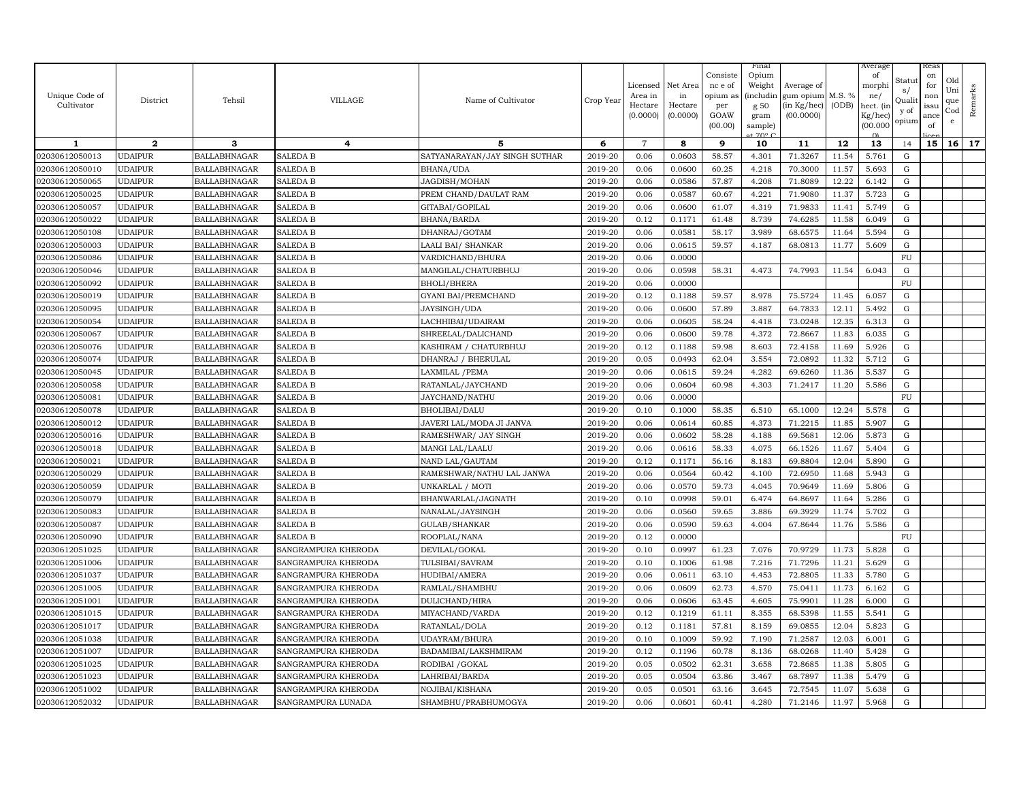| Unique Code of<br>Cultivator | District       | Tehsil              | VILLAGE             | Name of Cultivator            | Crop Year | Licensed<br>Area in<br>Hectare<br>(0.0000) | Net Area<br>in<br>Hectare<br>(0.0000) | Consiste<br>nc e of<br>opium as<br>per<br>GOAW<br>(00.00) | Final<br>Opium<br>Weight<br><i>(includir)</i><br>g 50<br>gram<br>sample)<br>70° | Average of<br>gum opium<br>(in Kg/hec)<br>(00.0000) | M.S. %<br>(ODB) | Averag<br>of<br>morphi<br>ne/<br>hect. (in<br>Kg/hec<br>(00.000) | Statu<br>s/<br>Quali<br>y of<br>opium | on<br>for<br>isst<br>ance<br>of | Old<br>Uni<br>que | Remarks |
|------------------------------|----------------|---------------------|---------------------|-------------------------------|-----------|--------------------------------------------|---------------------------------------|-----------------------------------------------------------|---------------------------------------------------------------------------------|-----------------------------------------------------|-----------------|------------------------------------------------------------------|---------------------------------------|---------------------------------|-------------------|---------|
| 1                            | $\overline{2}$ | з                   | 4                   | 5                             | 6         | $\overline{7}$                             | 8                                     | 9                                                         | 10                                                                              | 11                                                  | 12              | 13                                                               | 14                                    | 15                              | 16                | 17      |
| 02030612050013               | <b>UDAIPUR</b> | <b>BALLABHNAGAR</b> | SALEDA B            | SATYANARAYAN/JAY SINGH SUTHAR | 2019-20   | 0.06                                       | 0.0603                                | 58.57                                                     | 4.301                                                                           | 71.3267                                             | 11.54           | 5.761                                                            | G                                     |                                 |                   |         |
| 02030612050010               | <b>UDAIPUR</b> | BALLABHNAGAR        | SALEDA B            | BHANA/UDA                     | 2019-20   | 0.06                                       | 0.0600                                | 60.25                                                     | 4.218                                                                           | 70.3000                                             | 11.57           | 5.693                                                            | G                                     |                                 |                   |         |
| 02030612050065               | <b>UDAIPUR</b> | BALLABHNAGAR        | <b>SALEDA B</b>     | JAGDISH/MOHAN                 | 2019-20   | 0.06                                       | 0.0586                                | 57.87                                                     | 4.208                                                                           | 71.8089                                             | 12.22           | 6.142                                                            | G                                     |                                 |                   |         |
| 02030612050025               | <b>UDAIPUR</b> | BALLABHNAGAR        | SALEDA B            | PREM CHAND/DAULAT RAM         | 2019-20   | 0.06                                       | 0.0587                                | 60.67                                                     | 4.221                                                                           | 71.9080                                             | 11.37           | 5.723                                                            | G                                     |                                 |                   |         |
| 02030612050057               | <b>UDAIPUR</b> | BALLABHNAGAR        | <b>SALEDA B</b>     | GITABAI/GOPILAL               | 2019-20   | 0.06                                       | 0.0600                                | 61.07                                                     | 4.319                                                                           | 71.9833                                             | 11.41           | 5.749                                                            | ${\rm G}$                             |                                 |                   |         |
| 02030612050022               | <b>UDAIPUR</b> | BALLABHNAGAR        | <b>SALEDA B</b>     | BHANA/BARDA                   | 2019-20   | 0.12                                       | 0.1171                                | 61.48                                                     | 8.739                                                                           | 74.6285                                             | 11.58           | 6.049                                                            | G                                     |                                 |                   |         |
| 02030612050108               | <b>UDAIPUR</b> | BALLABHNAGAR        | <b>SALEDA B</b>     | DHANRAJ/GOTAM                 | 2019-20   | 0.06                                       | 0.0581                                | 58.17                                                     | 3.989                                                                           | 68.6575                                             | 11.64           | 5.594                                                            | ${\rm G}$                             |                                 |                   |         |
| 02030612050003               | <b>UDAIPUR</b> | BALLABHNAGAR        | SALEDA B            | LAALI BAI/ SHANKAR            | 2019-20   | 0.06                                       | 0.0615                                | 59.57                                                     | 4.187                                                                           | 68.0813                                             | 11.77           | 5.609                                                            | G                                     |                                 |                   |         |
| 02030612050086               | <b>UDAIPUR</b> | BALLABHNAGAR        | SALEDA B            | VARDICHAND/BHURA              | 2019-20   | 0.06                                       | 0.0000                                |                                                           |                                                                                 |                                                     |                 |                                                                  | ${\rm FU}$                            |                                 |                   |         |
| 02030612050046               | <b>UDAIPUR</b> | BALLABHNAGAR        | SALEDA B            | MANGILAL/CHATURBHUJ           | 2019-20   | 0.06                                       | 0.0598                                | 58.31                                                     | 4.473                                                                           | 74.7993                                             | 11.54           | 6.043                                                            | ${\rm G}$                             |                                 |                   |         |
| 02030612050092               | <b>UDAIPUR</b> | BALLABHNAGAR        | <b>SALEDA B</b>     | <b>BHOLI/BHERA</b>            | 2019-20   | 0.06                                       | 0.0000                                |                                                           |                                                                                 |                                                     |                 |                                                                  | FU                                    |                                 |                   |         |
| 02030612050019               | <b>UDAIPUR</b> | BALLABHNAGAR        | SALEDA B            | <b>GYANI BAI/PREMCHAND</b>    | 2019-20   | 0.12                                       | 0.1188                                | 59.57                                                     | 8.978                                                                           | 75.5724                                             | 11.45           | 6.057                                                            | G                                     |                                 |                   |         |
| 02030612050095               | <b>UDAIPUR</b> | BALLABHNAGAR        | <b>SALEDA B</b>     | JAYSINGH/UDA                  | 2019-20   | 0.06                                       | 0.0600                                | 57.89                                                     | 3.887                                                                           | 64.7833                                             | 12.11           | 5.492                                                            | ${\rm G}$                             |                                 |                   |         |
| 02030612050054               | <b>UDAIPUR</b> | BALLABHNAGAR        | SALEDA B            | LACHHIBAI/UDAIRAM             | 2019-20   | 0.06                                       | 0.0605                                | 58.24                                                     | 4.418                                                                           | 73.0248                                             | 12.35           | 6.313                                                            | ${\rm G}$                             |                                 |                   |         |
| 02030612050067               | <b>UDAIPUR</b> | BALLABHNAGAR        | SALEDA B            | SHREELAL/DALICHAND            | 2019-20   | 0.06                                       | 0.0600                                | 59.78                                                     | 4.372                                                                           | 72.8667                                             | 11.83           | 6.035                                                            | ${\rm G}$                             |                                 |                   |         |
| 02030612050076               | <b>UDAIPUR</b> | BALLABHNAGAR        | SALEDA B            | KASHIRAM / CHATURBHUJ         | 2019-20   | 0.12                                       | 0.1188                                | 59.98                                                     | 8.603                                                                           | 72.4158                                             | 11.69           | 5.926                                                            | ${\rm G}$                             |                                 |                   |         |
| 02030612050074               | <b>UDAIPUR</b> | <b>BALLABHNAGAR</b> | <b>SALEDA B</b>     | DHANRAJ / BHERULAL            | 2019-20   | 0.05                                       | 0.0493                                | 62.04                                                     | 3.554                                                                           | 72.0892                                             | 11.32           | 5.712                                                            | ${\rm G}$                             |                                 |                   |         |
| 02030612050045               | <b>UDAIPUR</b> | <b>BALLABHNAGAR</b> | <b>SALEDA B</b>     | LAXMILAL / PEMA               | 2019-20   | 0.06                                       | 0.0615                                | 59.24                                                     | 4.282                                                                           | 69.6260                                             | 11.36           | 5.537                                                            | ${\rm G}$                             |                                 |                   |         |
| 02030612050058               | <b>UDAIPUR</b> | BALLABHNAGAR        | SALEDA B            | RATANLAL/JAYCHAND             | 2019-20   | 0.06                                       | 0.0604                                | 60.98                                                     | 4.303                                                                           | 71.2417                                             | 11.20           | 5.586                                                            | G                                     |                                 |                   |         |
| 02030612050081               | <b>UDAIPUR</b> | BALLABHNAGAR        | <b>SALEDA B</b>     | JAYCHAND/NATHU                | 2019-20   | 0.06                                       | 0.0000                                |                                                           |                                                                                 |                                                     |                 |                                                                  | FU                                    |                                 |                   |         |
| 02030612050078               | <b>UDAIPUR</b> | BALLABHNAGAR        | SALEDA B            | BHOLIBAI/DALU                 | 2019-20   | 0.10                                       | 0.1000                                | 58.35                                                     | 6.510                                                                           | 65.1000                                             | 12.24           | 5.578                                                            | G                                     |                                 |                   |         |
| 02030612050012               | <b>UDAIPUR</b> | BALLABHNAGAR        | <b>SALEDA B</b>     | JAVERI LAL/MODA JI JANVA      | 2019-20   | 0.06                                       | 0.0614                                | 60.85                                                     | 4.373                                                                           | 71.2215                                             | 11.85           | 5.907                                                            | ${\rm G}$                             |                                 |                   |         |
| 02030612050016               | <b>UDAIPUR</b> | BALLABHNAGAR        | SALEDA B            | RAMESHWAR/ JAY SINGH          | 2019-20   | 0.06                                       | 0.0602                                | 58.28                                                     | 4.188                                                                           | 69.5681                                             | 12.06           | 5.873                                                            | ${\rm G}$                             |                                 |                   |         |
| 02030612050018               | <b>UDAIPUR</b> | BALLABHNAGAR        | SALEDA B            | MANGI LAL/LAALU               | 2019-20   | 0.06                                       | 0.0616                                | 58.33                                                     | 4.075                                                                           | 66.1526                                             | 11.67           | 5.404                                                            | ${\rm G}$                             |                                 |                   |         |
| 02030612050021               | <b>UDAIPUR</b> | BALLABHNAGAR        | SALEDA B            | NAND LAL/GAUTAM               | 2019-20   | 0.12                                       | 0.1171                                | 56.16                                                     | 8.183                                                                           | 69.8804                                             | 12.04           | 5.890                                                            | G                                     |                                 |                   |         |
| 02030612050029               | <b>UDAIPUR</b> | BALLABHNAGAR        | SALEDA B            | RAMESHWAR/NATHU LAL JANWA     | 2019-20   | 0.06                                       | 0.0564                                | 60.42                                                     | 4.100                                                                           | 72.6950                                             | 11.68           | 5.943                                                            | ${\rm G}$                             |                                 |                   |         |
| 02030612050059               | <b>UDAIPUR</b> | BALLABHNAGAR        | SALEDA B            | UNKARLAL / MOTI               | 2019-20   | 0.06                                       | 0.0570                                | 59.73                                                     | 4.045                                                                           | 70.9649                                             | 11.69           | 5.806                                                            | G                                     |                                 |                   |         |
| 02030612050079               | UDAIPUR        | BALLABHNAGAR        | SALEDA B            | BHANWARLAL/JAGNATH            | 2019-20   | 0.10                                       | 0.0998                                | 59.01                                                     | 6.474                                                                           | 64.8697                                             | 11.64           | 5.286                                                            | ${\rm G}$                             |                                 |                   |         |
| 02030612050083               | <b>UDAIPUR</b> | BALLABHNAGAR        | SALEDA B            | NANALAL/JAYSINGH              | 2019-20   | 0.06                                       | 0.0560                                | 59.65                                                     | 3.886                                                                           | 69.3929                                             | 11.74           | 5.702                                                            | G                                     |                                 |                   |         |
| 02030612050087               | <b>UDAIPUR</b> | BALLABHNAGAR        | SALEDA B            | GULAB/SHANKAR                 | 2019-20   | 0.06                                       | 0.0590                                | 59.63                                                     | 4.004                                                                           | 67.8644                                             | 11.76           | 5.586                                                            | ${\rm G}$                             |                                 |                   |         |
| 02030612050090               | <b>UDAIPUR</b> | BALLABHNAGAR        | SALEDA B            | ROOPLAL/NANA                  | 2019-20   | 0.12                                       | 0.0000                                |                                                           |                                                                                 |                                                     |                 |                                                                  | FU                                    |                                 |                   |         |
| 02030612051025               | <b>UDAIPUR</b> | BALLABHNAGAR        | SANGRAMPURA KHERODA | DEVILAL/GOKAL                 | 2019-20   | 0.10                                       | 0.0997                                | 61.23                                                     | 7.076                                                                           | 70.9729                                             | 11.73           | 5.828                                                            | ${\rm G}$                             |                                 |                   |         |
| 02030612051006               | <b>UDAIPUR</b> | BALLABHNAGAR        | SANGRAMPURA KHERODA | TULSIBAI/SAVRAM               | 2019-20   | 0.10                                       | 0.1006                                | 61.98                                                     | 7.216                                                                           | 71.7296                                             | 11.21           | 5.629                                                            | ${\rm G}$                             |                                 |                   |         |
| 02030612051037               | <b>UDAIPUR</b> | <b>BALLABHNAGAR</b> | SANGRAMPURA KHERODA | HUDIBAI/AMERA                 | 2019-20   | 0.06                                       | 0.0611                                | 63.10                                                     | 4.453                                                                           | 72.8805                                             | 11.33           | 5.780                                                            | ${\rm G}$                             |                                 |                   |         |
| 02030612051005               | <b>UDAIPUR</b> | BALLABHNAGAR        | SANGRAMPURA KHERODA | RAMLAL/SHAMBHU                | 2019-20   | 0.06                                       | 0.0609                                | 62.73                                                     | 4.570                                                                           | 75.0411                                             | 11.73           | 6.162                                                            | ${\rm G}$                             |                                 |                   |         |
| 02030612051001               | <b>UDAIPUR</b> | BALLABHNAGAR        | SANGRAMPURA KHERODA | DULICHAND/HIRA                | 2019-20   | 0.06                                       | 0.0606                                | 63.45                                                     | 4.605                                                                           | 75.9901                                             | 11.28           | 6.000                                                            | G                                     |                                 |                   |         |
| 02030612051015               | <b>UDAIPUR</b> | <b>BALLABHNAGAR</b> | SANGRAMPURA KHERODA | MIYACHAND/VARDA               | 2019-20   | 0.12                                       | 0.1219                                | 61.11                                                     | 8.355                                                                           | 68.5398                                             | 11.55           | 5.541                                                            | G                                     |                                 |                   |         |
| 02030612051017               | <b>UDAIPUR</b> | BALLABHNAGAR        | SANGRAMPURA KHERODA | RATANLAL/DOLA                 | 2019-20   | 0.12                                       | 0.1181                                | 57.81                                                     | 8.159                                                                           | 69.0855                                             | 12.04           | 5.823                                                            | ${\rm G}$                             |                                 |                   |         |
| 02030612051038               | <b>UDAIPUR</b> | BALLABHNAGAR        | SANGRAMPURA KHERODA | UDAYRAM/BHURA                 | 2019-20   | 0.10                                       | 0.1009                                | 59.92                                                     | 7.190                                                                           | 71.2587                                             | 12.03           | 6.001                                                            | G                                     |                                 |                   |         |
| 02030612051007               | <b>UDAIPUR</b> | BALLABHNAGAR        | SANGRAMPURA KHERODA | BADAMIBAI/LAKSHMIRAM          | 2019-20   | 0.12                                       | 0.1196                                | 60.78                                                     | 8.136                                                                           | 68.0268                                             | 11.40           | 5.428                                                            | G                                     |                                 |                   |         |
| 02030612051025               | <b>UDAIPUR</b> | <b>BALLABHNAGAR</b> | SANGRAMPURA KHERODA | RODIBAI / GOKAL               | 2019-20   | 0.05                                       | 0.0502                                | 62.31                                                     | 3.658                                                                           | 72.8685                                             | 11.38           | 5.805                                                            | ${\rm G}$                             |                                 |                   |         |
| 02030612051023               | UDAIPUR        | BALLABHNAGAR        | SANGRAMPURA KHERODA | LAHRIBAI/BARDA                | 2019-20   | 0.05                                       | 0.0504                                | 63.86                                                     | 3.467                                                                           | 68.7897                                             | 11.38           | 5.479                                                            | ${\rm G}$                             |                                 |                   |         |
| 02030612051002               | <b>UDAIPUR</b> | BALLABHNAGAR        | SANGRAMPURA KHERODA | NOJIBAI/KISHANA               | 2019-20   | 0.05                                       | 0.0501                                | 63.16                                                     | 3.645                                                                           | 72.7545                                             | 11.07           | 5.638                                                            | ${\rm G}$                             |                                 |                   |         |
| 02030612052032               | <b>UDAIPUR</b> | BALLABHNAGAR        | SANGRAMPURA LUNADA  | SHAMBHU/PRABHUMOGYA           | 2019-20   | 0.06                                       | 0.0601                                | 60.41                                                     | 4.280                                                                           | 71.2146                                             | 11.97           | 5.968                                                            | ${\rm G}$                             |                                 |                   |         |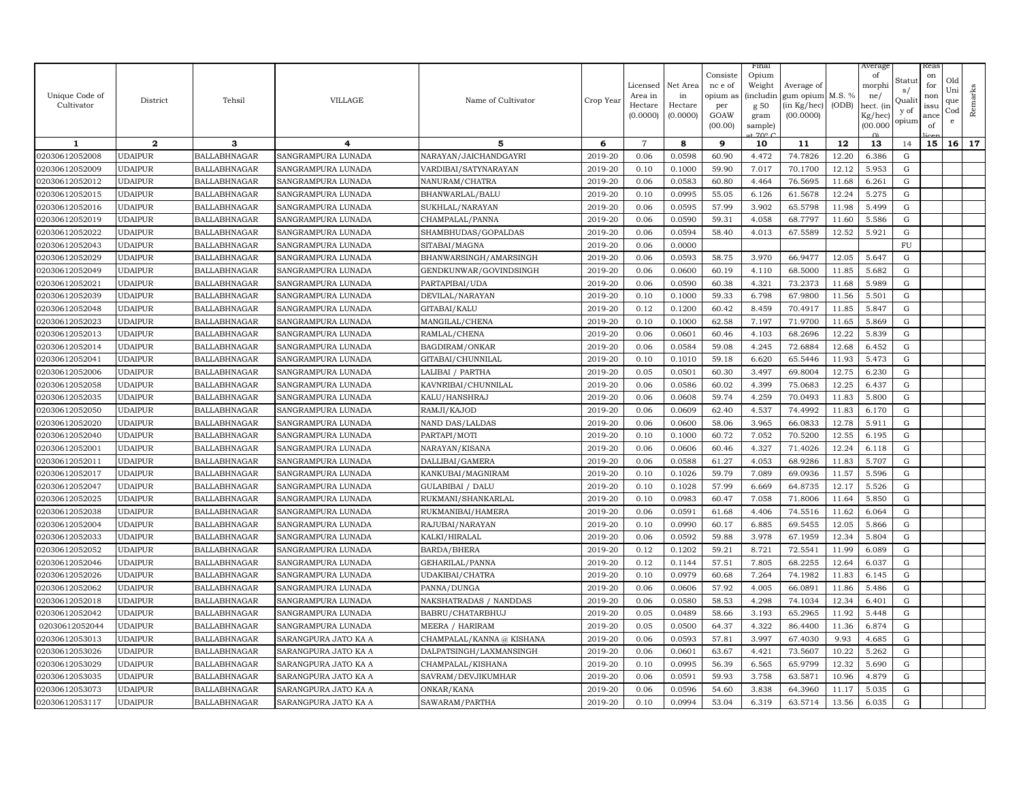| Unique Code of<br>Cultivator | District       | Tehsil              | VILLAGE              | Name of Cultivator        | Crop Year | Licensed<br>Area in<br>Hectare<br>(0.0000) | Net Area<br>in<br>Hectare<br>(0.0000) | Consiste<br>nc e of<br>opium as<br>per<br>GOAW<br>(00.00) | Final<br>Opium<br>Weight<br><i>(includin</i><br>g 50<br>gram<br>sample]<br>$70^\circ$ | Average of<br>gum opium M.S. %<br>(in Kg/hec)<br>(00.0000) | (ODB) | <del>l</del> verag<br>of<br>morphi<br>ne/<br>hect. (in<br>Kg/hec)<br>(00.000) | Statu<br>s/<br>Quali<br>y of<br>opium | on<br>for<br>isst<br>ance<br>of | blG<br>Uni<br>que | Remarks |
|------------------------------|----------------|---------------------|----------------------|---------------------------|-----------|--------------------------------------------|---------------------------------------|-----------------------------------------------------------|---------------------------------------------------------------------------------------|------------------------------------------------------------|-------|-------------------------------------------------------------------------------|---------------------------------------|---------------------------------|-------------------|---------|
|                              | $\overline{2}$ | з                   | 4                    | 5                         | 6         | $\overline{7}$                             | 8                                     | 9                                                         | 10                                                                                    | 11                                                         | 12    | 13                                                                            | 14                                    | 15                              | 16                | 17      |
| 02030612052008               | <b>UDAIPUR</b> | <b>BALLABHNAGAR</b> | SANGRAMPURA LUNADA   | NARAYAN/JAICHANDGAYRI     | 2019-20   | 0.06                                       | 0.0598                                | 60.90                                                     | 4.472                                                                                 | 74.7826                                                    | 12.20 | 6.386                                                                         | G                                     |                                 |                   |         |
| 02030612052009               | <b>UDAIPUR</b> | <b>BALLABHNAGAR</b> | SANGRAMPURA LUNADA   | VARDIBAI/SATYNARAYAN      | 2019-20   | 0.10                                       | 0.1000                                | 59.90                                                     | 7.017                                                                                 | 70.1700                                                    | 12.12 | 5.953                                                                         | G                                     |                                 |                   |         |
| 02030612052012               | <b>UDAIPUR</b> | <b>BALLABHNAGAR</b> | SANGRAMPURA LUNADA   | NANURAM/CHATRA            | 2019-20   | 0.06                                       | 0.0583                                | 60.80                                                     | 4.464                                                                                 | 76.5695                                                    | 11.68 | 6.261                                                                         | G                                     |                                 |                   |         |
| 02030612052015               | <b>UDAIPUR</b> | <b>BALLABHNAGAR</b> | SANGRAMPURA LUNADA   | BHANWARLAL/BALU           | 2019-20   | 0.10                                       | 0.0995                                | 55.05                                                     | 6.126                                                                                 | 61.5678                                                    | 12.24 | 5.275                                                                         | ${\rm G}$                             |                                 |                   |         |
| 02030612052016               | <b>UDAIPUR</b> | <b>BALLABHNAGAR</b> | SANGRAMPURA LUNADA   | SUKHLAL/NARAYAN           | 2019-20   | 0.06                                       | 0.0595                                | 57.99                                                     | 3.902                                                                                 | 65.5798                                                    | 11.98 | 5.499                                                                         | G                                     |                                 |                   |         |
| 02030612052019               | UDAIPUR        | BALLABHNAGAR        | SANGRAMPURA LUNADA   | CHAMPALAL/PANNA           | 2019-20   | 0.06                                       | 0.0590                                | 59.31                                                     | 4.058                                                                                 | 68.7797                                                    | 11.60 | 5.586                                                                         | G                                     |                                 |                   |         |
| 02030612052022               | <b>UDAIPUR</b> | <b>BALLABHNAGAR</b> | SANGRAMPURA LUNADA   | SHAMBHUDAS/GOPALDAS       | 2019-20   | 0.06                                       | 0.0594                                | 58.40                                                     | 4.013                                                                                 | 67.5589                                                    | 12.52 | 5.921                                                                         | ${\rm G}$                             |                                 |                   |         |
| 02030612052043               | UDAIPUR        | <b>BALLABHNAGAR</b> | SANGRAMPURA LUNADA   | SITABAI/MAGNA             | 2019-20   | 0.06                                       | 0.0000                                |                                                           |                                                                                       |                                                            |       |                                                                               | ${\rm FU}$                            |                                 |                   |         |
| 02030612052029               | <b>UDAIPUR</b> | <b>BALLABHNAGAR</b> | SANGRAMPURA LUNADA   | BHANWARSINGH/AMARSINGH    | 2019-20   | 0.06                                       | 0.0593                                | 58.75                                                     | 3.970                                                                                 | 66.9477                                                    | 12.05 | 5.647                                                                         | ${\rm G}$                             |                                 |                   |         |
| 02030612052049               | <b>UDAIPUR</b> | <b>BALLABHNAGAR</b> | SANGRAMPURA LUNADA   | GENDKUNWAR/GOVINDSINGH    | 2019-20   | 0.06                                       | 0.0600                                | 60.19                                                     | 4.110                                                                                 | 68.5000                                                    | 11.85 | 5.682                                                                         | G                                     |                                 |                   |         |
| 02030612052021               | <b>UDAIPUR</b> | <b>BALLABHNAGAR</b> | SANGRAMPURA LUNADA   | PARTAPIBAI/UDA            | 2019-20   | 0.06                                       | 0.0590                                | 60.38                                                     | 4.321                                                                                 | 73.2373                                                    | 11.68 | 5.989                                                                         | G                                     |                                 |                   |         |
| 02030612052039               | <b>UDAIPUR</b> | <b>BALLABHNAGAR</b> | SANGRAMPURA LUNADA   | DEVILAL/NARAYAN           | 2019-20   | 0.10                                       | 0.1000                                | 59.33                                                     | 6.798                                                                                 | 67.9800                                                    | 11.56 | 5.501                                                                         | ${\rm G}$                             |                                 |                   |         |
| 02030612052048               | UDAIPUR        | <b>BALLABHNAGAR</b> | SANGRAMPURA LUNADA   | GITABAI/KALU              | 2019-20   | 0.12                                       | 0.1200                                | 60.42                                                     | 8.459                                                                                 | 70.4917                                                    | 11.85 | 5.847                                                                         | ${\rm G}$                             |                                 |                   |         |
| 02030612052023               | UDAIPUR        | <b>BALLABHNAGAR</b> | SANGRAMPURA LUNADA   | MANGILAL/CHENA            | 2019-20   | 0.10                                       | 0.1000                                | 62.58                                                     | 7.197                                                                                 | 71.9700                                                    | 11.65 | 5.869                                                                         | G                                     |                                 |                   |         |
| 02030612052013               | UDAIPUR        | <b>BALLABHNAGAR</b> | SANGRAMPURA LUNADA   | RAMLAL/CHENA              | 2019-20   | 0.06                                       | 0.0601                                | 60.46                                                     | 4.103                                                                                 | 68.2696                                                    | 12.22 | 5.839                                                                         | ${\rm G}$                             |                                 |                   |         |
| 02030612052014               | <b>UDAIPUR</b> | <b>BALLABHNAGAR</b> | SANGRAMPURA LUNADA   | BAGDIRAM/ONKAR            | 2019-20   | 0.06                                       | 0.0584                                | 59.08                                                     | 4.245                                                                                 | 72.6884                                                    | 12.68 | 6.452                                                                         | ${\rm G}$                             |                                 |                   |         |
| 02030612052041               | <b>UDAIPUR</b> | <b>BALLABHNAGAR</b> | SANGRAMPURA LUNADA   | GITABAI/CHUNNILAL         | 2019-20   | 0.10                                       | 0.1010                                | 59.18                                                     | 6.620                                                                                 | 65.5446                                                    | 11.93 | 5.473                                                                         | $\mathbf G$                           |                                 |                   |         |
| 02030612052006               | <b>UDAIPUR</b> | <b>BALLABHNAGAR</b> | SANGRAMPURA LUNADA   | LALIBAI / PARTHA          | 2019-20   | 0.05                                       | 0.0501                                | 60.30                                                     | 3.497                                                                                 | 69.8004                                                    | 12.75 | 6.230                                                                         | G                                     |                                 |                   |         |
| 02030612052058               | <b>UDAIPUR</b> | <b>BALLABHNAGAR</b> | SANGRAMPURA LUNADA   | KAVNRIBAI/CHUNNILAL       | 2019-20   | 0.06                                       | 0.0586                                | 60.02                                                     | 4.399                                                                                 | 75.0683                                                    | 12.25 | 6.437                                                                         | $\mathbf G$                           |                                 |                   |         |
| 02030612052035               | <b>UDAIPUR</b> | <b>BALLABHNAGAR</b> | SANGRAMPURA LUNADA   | KALU/HANSHRAJ             | 2019-20   | 0.06                                       | 0.0608                                | 59.74                                                     | 4.259                                                                                 | 70.0493                                                    | 11.83 | 5.800                                                                         | $\mathbf G$                           |                                 |                   |         |
| 02030612052050               | UDAIPUR        | BALLABHNAGAR        | SANGRAMPURA LUNADA   | RAMJI/KAJOD               | 2019-20   | 0.06                                       | 0.0609                                | 62.40                                                     | 4.537                                                                                 | 74.4992                                                    | 11.83 | 6.170                                                                         | G                                     |                                 |                   |         |
| 02030612052020               | <b>UDAIPUR</b> | <b>BALLABHNAGAR</b> | SANGRAMPURA LUNADA   | NAND DAS/LALDAS           | 2019-20   | 0.06                                       | 0.0600                                | 58.06                                                     | 3.965                                                                                 | 66.0833                                                    | 12.78 | 5.911                                                                         | G                                     |                                 |                   |         |
| 02030612052040               | UDAIPUR        | <b>BALLABHNAGAR</b> | SANGRAMPURA LUNADA   | PARTAPI/MOTI              | 2019-20   | 0.10                                       | 0.1000                                | 60.72                                                     | 7.052                                                                                 | 70.5200                                                    | 12.55 | 6.195                                                                         | G                                     |                                 |                   |         |
| 02030612052001               | <b>UDAIPUR</b> | <b>BALLABHNAGAR</b> | SANGRAMPURA LUNADA   | NARAYAN/KISANA            | 2019-20   | 0.06                                       | 0.0606                                | 60.46                                                     | 4.327                                                                                 | 71.4026                                                    | 12.24 | 6.118                                                                         | ${\rm G}$                             |                                 |                   |         |
| 02030612052011               | <b>UDAIPUR</b> | <b>BALLABHNAGAR</b> | SANGRAMPURA LUNADA   | DALLIBAI/GAMERA           | 2019-20   | 0.06                                       | 0.0588                                | 61.27                                                     | 4.053                                                                                 | 68.9286                                                    | 11.83 | 5.707                                                                         | ${\rm G}$                             |                                 |                   |         |
| 02030612052017               | <b>UDAIPUR</b> | <b>BALLABHNAGAR</b> | SANGRAMPURA LUNADA   | KANKUBAI/MAGNIRAM         | 2019-20   | 0.10                                       | 0.1026                                | 59.79                                                     | 7.089                                                                                 | 69.0936                                                    | 11.57 | 5.596                                                                         | G                                     |                                 |                   |         |
| 02030612052047               | <b>UDAIPUR</b> | <b>BALLABHNAGAR</b> | SANGRAMPURA LUNADA   | GULABIBAI / DALU          | 2019-20   | 0.10                                       | 0.1028                                | 57.99                                                     | 6.669                                                                                 | 64.8735                                                    | 12.17 | 5.526                                                                         | ${\rm G}$                             |                                 |                   |         |
| 02030612052025               | <b>UDAIPUR</b> | <b>BALLABHNAGAR</b> | SANGRAMPURA LUNADA   | RUKMANI/SHANKARLAL        | 2019-20   | 0.10                                       | 0.0983                                | 60.47                                                     | 7.058                                                                                 | 71.8006                                                    | 11.64 | 5.850                                                                         | ${\rm G}$                             |                                 |                   |         |
| 02030612052038               | UDAIPUR        | <b>BALLABHNAGAR</b> | SANGRAMPURA LUNADA   | RUKMANIBAI/HAMERA         | 2019-20   | 0.06                                       | 0.0591                                | 61.68                                                     | 4.406                                                                                 | 74.5516                                                    | 11.62 | 6.064                                                                         | G                                     |                                 |                   |         |
| 02030612052004               | <b>UDAIPUR</b> | <b>BALLABHNAGAR</b> | SANGRAMPURA LUNADA   | RAJUBAI/NARAYAN           | 2019-20   | 0.10                                       | 0.0990                                | 60.17                                                     | 6.885                                                                                 | 69.5455                                                    | 12.05 | 5.866                                                                         | $\mathbf G$                           |                                 |                   |         |
| 02030612052033               | <b>UDAIPUR</b> | <b>BALLABHNAGAR</b> | SANGRAMPURA LUNADA   | KALKI/HIRALAL             | 2019-20   | 0.06                                       | 0.0592                                | 59.88                                                     | 3.978                                                                                 | 67.1959                                                    | 12.34 | 5.804                                                                         | ${\rm G}$                             |                                 |                   |         |
| 02030612052052               | UDAIPUR        | <b>BALLABHNAGAR</b> | SANGRAMPURA LUNADA   | BARDA/BHERA               | 2019-20   | 0.12                                       | 0.1202                                | 59.21                                                     | 8.721                                                                                 | 72.5541                                                    | 11.99 | 6.089                                                                         | ${\rm G}$                             |                                 |                   |         |
| 02030612052046               | UDAIPUR        | <b>BALLABHNAGAR</b> | SANGRAMPURA LUNADA   | <b>GEHARILAL/PANNA</b>    | 2019-20   | 0.12                                       | 0.1144                                | 57.51                                                     | 7.805                                                                                 | 68.2255                                                    | 12.64 | 6.037                                                                         | $\mathbf G$                           |                                 |                   |         |
| 02030612052026               | <b>UDAIPUR</b> | <b>BALLABHNAGAR</b> | SANGRAMPURA LUNADA   | UDAKIBAI/CHATRA           | 2019-20   | 0.10                                       | 0.0979                                | 60.68                                                     | 7.264                                                                                 | 74.1982                                                    | 11.83 | 6.145                                                                         | G                                     |                                 |                   |         |
| 02030612052062               | <b>UDAIPUR</b> | <b>BALLABHNAGAR</b> | SANGRAMPURA LUNADA   | PANNA/DUNGA               | 2019-20   | 0.06                                       | 0.0606                                | 57.92                                                     | 4.005                                                                                 | 66.0891                                                    | 11.86 | 5.486                                                                         | $\mathbf G$                           |                                 |                   |         |
| 02030612052018               | <b>UDAIPUR</b> | <b>BALLABHNAGAR</b> | SANGRAMPURA LUNADA   | NAKSHATRADAS / NANDDAS    | 2019-20   | 0.06                                       | 0.0580                                | 58.53                                                     | 4.298                                                                                 | 74.1034                                                    | 12.34 | 6.401                                                                         | $\mathbf G$                           |                                 |                   |         |
| 02030612052042               | UDAIPUR        | BALLABHNAGAR        | SANGRAMPURA LUNADA   | BABRU/CHATARBHUJ          | 2019-20   | 0.05                                       | 0.0489                                | 58.66                                                     | 3.193                                                                                 | 65.2965                                                    | 11.92 | 5.448                                                                         | G                                     |                                 |                   |         |
| 02030612052044               | <b>UDAIPUR</b> | <b>BALLABHNAGAR</b> | SANGRAMPURA LUNADA   | MEERA / HARIRAM           | 2019-20   | 0.05                                       | 0.0500                                | 64.37                                                     | 4.322                                                                                 | 86.4400                                                    | 11.36 | 6.874                                                                         | G                                     |                                 |                   |         |
| 02030612053013               | <b>UDAIPUR</b> | <b>BALLABHNAGAR</b> | SARANGPURA JATO KA A | CHAMPALAL/KANNA @ KISHANA | 2019-20   | 0.06                                       | 0.0593                                | 57.81                                                     | 3.997                                                                                 | 67.4030                                                    | 9.93  | 4.685                                                                         | G                                     |                                 |                   |         |
| 02030612053026               | <b>UDAIPUR</b> | <b>BALLABHNAGAR</b> | SARANGPURA JATO KA A | DALPATSINGH/LAXMANSINGH   | 2019-20   | 0.06                                       | 0.0601                                | 63.67                                                     | 4.421                                                                                 | 73.5607                                                    | 10.22 | 5.262                                                                         | ${\rm G}$                             |                                 |                   |         |
| 02030612053029               | <b>UDAIPUR</b> | <b>BALLABHNAGAR</b> | SARANGPURA JATO KA A | CHAMPALAL/KISHANA         | 2019-20   | 0.10                                       | 0.0995                                | 56.39                                                     | 6.565                                                                                 | 65.9799                                                    | 12.32 | 5.690                                                                         | ${\rm G}$                             |                                 |                   |         |
| 02030612053035               | UDAIPUR        | <b>BALLABHNAGAR</b> | SARANGPURA JATO KA A | SAVRAM/DEVJIKUMHAR        | 2019-20   | 0.06                                       | 0.0591                                | 59.93                                                     | 3.758                                                                                 | 63.5871                                                    | 10.96 | 4.879                                                                         | G                                     |                                 |                   |         |
| 02030612053073               | <b>UDAIPUR</b> | <b>BALLABHNAGAR</b> | SARANGPURA JATO KA A | ONKAR/KANA                | 2019-20   | 0.06                                       | 0.0596                                | 54.60                                                     | 3.838                                                                                 | 64.3960                                                    | 11.17 | 5.035                                                                         | ${\rm G}$                             |                                 |                   |         |
| 02030612053117               | <b>UDAIPUR</b> | <b>BALLABHNAGAR</b> | SARANGPURA JATO KA A | SAWARAM/PARTHA            | 2019-20   | 0.10                                       | 0.0994                                | 53.04                                                     | 6.319                                                                                 | 63.5714                                                    | 13.56 | 6.035                                                                         | ${\rm G}$                             |                                 |                   |         |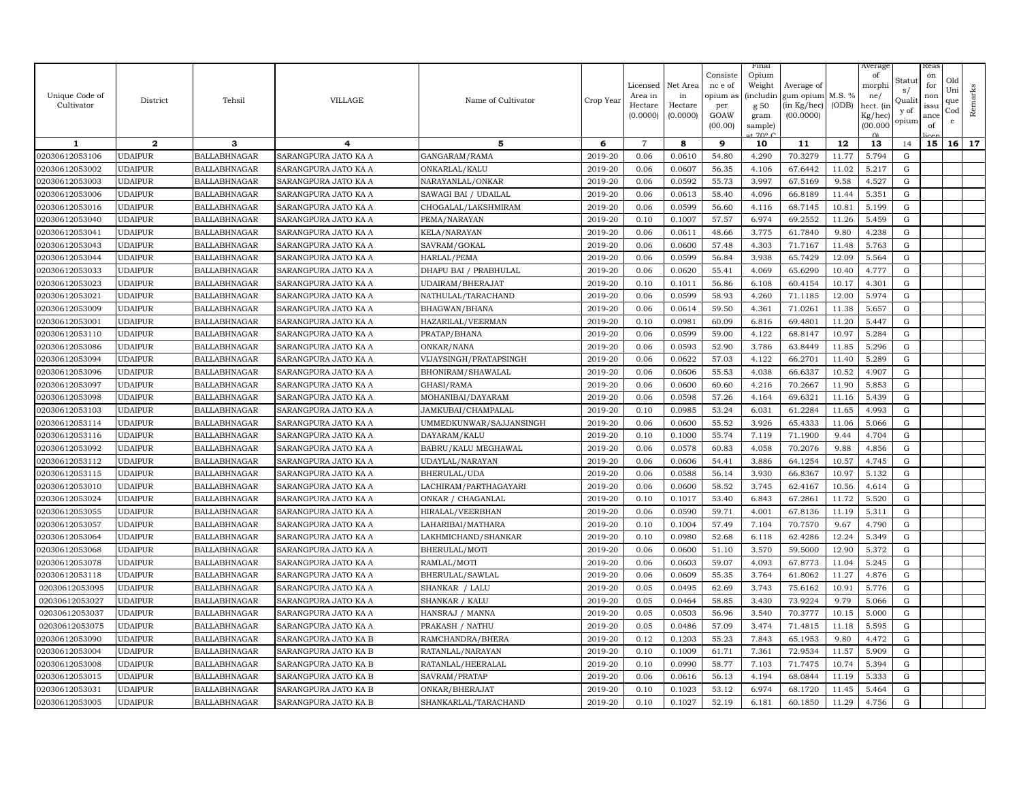| Unique Code of<br>Cultivator | District       | Tehsil              | VILLAGE              | Name of Cultivator      | Crop Year | Licensed<br>Area in<br>Hectare<br>(0.0000) | Net Area<br>in<br>Hectare<br>(0.0000) | Consiste<br>nc e of<br>opium as<br>per<br>GOAW<br>(00.00) | Final<br>Opium<br>Weight<br><i>(includir)</i><br>g 50<br>gram<br>sample)<br>70° | Average of<br>gum opium<br>(in Kg/hec)<br>(00.0000) | M.S. %<br>(ODB) | Averag<br>of<br>morphi<br>ne/<br>hect. (in<br>$Kg/$ hec<br>(00.000) | Statu<br>s/<br>Quali<br>y of<br>opium | on<br>for<br>isst<br>ance<br>of | blG<br>Uni<br>que | Remarks |
|------------------------------|----------------|---------------------|----------------------|-------------------------|-----------|--------------------------------------------|---------------------------------------|-----------------------------------------------------------|---------------------------------------------------------------------------------|-----------------------------------------------------|-----------------|---------------------------------------------------------------------|---------------------------------------|---------------------------------|-------------------|---------|
| 1                            | $\overline{2}$ | з                   | 4                    | 5                       | 6         | $\overline{7}$                             | 8                                     | 9                                                         | 10                                                                              | 11                                                  | 12              | 13                                                                  | 14                                    | 15                              | 16 <sup>1</sup>   | 17      |
| 02030612053106               | <b>UDAIPUR</b> | <b>BALLABHNAGAR</b> | SARANGPURA JATO KA A | GANGARAM/RAMA           | 2019-20   | 0.06                                       | 0.0610                                | 54.80                                                     | 4.290                                                                           | 70.3279                                             | 11.77           | 5.794                                                               | $\mathbf G$                           |                                 |                   |         |
| 02030612053002               | <b>UDAIPUR</b> | BALLABHNAGAR        | SARANGPURA JATO KA A | ONKARLAL/KALU           | 2019-20   | 0.06                                       | 0.0607                                | 56.35                                                     | 4.106                                                                           | 67.6442                                             | 11.02           | 5.217                                                               | G                                     |                                 |                   |         |
| 02030612053003               | <b>UDAIPUR</b> | BALLABHNAGAR        | SARANGPURA JATO KA A | NARAYANLAL/ONKAR        | 2019-20   | 0.06                                       | 0.0592                                | 55.73                                                     | 3.997                                                                           | 67.5169                                             | 9.58            | 4.527                                                               | G                                     |                                 |                   |         |
| 02030612053006               | <b>UDAIPUR</b> | BALLABHNAGAR        | SARANGPURA JATO KA A | SAWAGI BAI / UDAILAL    | 2019-20   | 0.06                                       | 0.0613                                | 58.40                                                     | 4.096                                                                           | 66.8189                                             | 11.44           | 5.351                                                               | G                                     |                                 |                   |         |
| 02030612053016               | <b>UDAIPUR</b> | BALLABHNAGAR        | SARANGPURA JATO KA A | CHOGALAL/LAKSHMIRAM     | 2019-20   | 0.06                                       | 0.0599                                | 56.60                                                     | 4.116                                                                           | 68.7145                                             | 10.81           | 5.199                                                               | ${\rm G}$                             |                                 |                   |         |
| 02030612053040               | <b>UDAIPUR</b> | BALLABHNAGAR        | SARANGPURA JATO KA A | PEMA/NARAYAN            | 2019-20   | 0.10                                       | 0.1007                                | 57.57                                                     | 6.974                                                                           | 69.2552                                             | 11.26           | 5.459                                                               | G                                     |                                 |                   |         |
| 02030612053041               | <b>UDAIPUR</b> | <b>BALLABHNAGAR</b> | SARANGPURA JATO KA A | KELA/NARAYAN            | 2019-20   | 0.06                                       | 0.0611                                | 48.66                                                     | 3.775                                                                           | 61.7840                                             | 9.80            | 4.238                                                               | ${\rm G}$                             |                                 |                   |         |
| 02030612053043               | <b>UDAIPUR</b> | BALLABHNAGAR        | SARANGPURA JATO KA A | SAVRAM/GOKAL            | 2019-20   | 0.06                                       | 0.0600                                | 57.48                                                     | 4.303                                                                           | 71.7167                                             | 11.48           | 5.763                                                               | G                                     |                                 |                   |         |
| 02030612053044               | <b>UDAIPUR</b> | BALLABHNAGAR        | SARANGPURA JATO KA A | HARLAL/PEMA             | 2019-20   | 0.06                                       | 0.0599                                | 56.84                                                     | 3.938                                                                           | 65.7429                                             | 12.09           | 5.564                                                               | ${\rm G}$                             |                                 |                   |         |
| 02030612053033               | <b>UDAIPUR</b> | BALLABHNAGAR        | SARANGPURA JATO KA A | DHAPU BAI / PRABHULAL   | 2019-20   | 0.06                                       | 0.0620                                | 55.41                                                     | 4.069                                                                           | 65.6290                                             | 10.40           | 4.777                                                               | ${\rm G}$                             |                                 |                   |         |
| 02030612053023               | <b>UDAIPUR</b> | BALLABHNAGAR        | SARANGPURA JATO KA A | <b>UDAIRAM/BHERAJAT</b> | 2019-20   | 0.10                                       | 0.1011                                | 56.86                                                     | 6.108                                                                           | 60.4154                                             | 10.17           | 4.301                                                               | ${\rm G}$                             |                                 |                   |         |
| 02030612053021               | <b>UDAIPUR</b> | BALLABHNAGAR        | SARANGPURA JATO KA A | NATHULAL/TARACHAND      | 2019-20   | 0.06                                       | 0.0599                                | 58.93                                                     | 4.260                                                                           | 71.1185                                             | 12.00           | 5.974                                                               | G                                     |                                 |                   |         |
| 02030612053009               | <b>UDAIPUR</b> | BALLABHNAGAR        | SARANGPURA JATO KA A | <b>BHAGWAN/BHANA</b>    | 2019-20   | 0.06                                       | 0.0614                                | 59.50                                                     | 4.361                                                                           | 71.0261                                             | 11.38           | 5.657                                                               | ${\rm G}$                             |                                 |                   |         |
| 02030612053001               | <b>UDAIPUR</b> | BALLABHNAGAR        | SARANGPURA JATO KA A | HAZARILAL/VEERMAN       | 2019-20   | 0.10                                       | 0.0981                                | 60.09                                                     | 6.816                                                                           | 69.4801                                             | 11.20           | 5.447                                                               | ${\rm G}$                             |                                 |                   |         |
| 02030612053110               | <b>UDAIPUR</b> | BALLABHNAGAR        | SARANGPURA JATO KA A | PRATAP/BHANA            | 2019-20   | 0.06                                       | 0.0599                                | 59.00                                                     | 4.122                                                                           | 68.8147                                             | 10.97           | 5.284                                                               | ${\rm G}$                             |                                 |                   |         |
| 02030612053086               | <b>UDAIPUR</b> | BALLABHNAGAR        | SARANGPURA JATO KA A | ONKAR/NANA              | 2019-20   | 0.06                                       | 0.0593                                | 52.90                                                     | 3.786                                                                           | 63.8449                                             | 11.85           | 5.296                                                               | ${\rm G}$                             |                                 |                   |         |
| 02030612053094               | <b>UDAIPUR</b> | <b>BALLABHNAGAR</b> | SARANGPURA JATO KA A | VIJAYSINGH/PRATAPSINGH  | 2019-20   | 0.06                                       | 0.0622                                | 57.03                                                     | 4.122                                                                           | 66.2701                                             | 11.40           | 5.289                                                               | ${\rm G}$                             |                                 |                   |         |
| 02030612053096               | <b>UDAIPUR</b> | <b>BALLABHNAGAR</b> | SARANGPURA JATO KA A | BHONIRAM/SHAWALAL       | 2019-20   | 0.06                                       | 0.0606                                | 55.53                                                     | 4.038                                                                           | 66.6337                                             | 10.52           | 4.907                                                               | $\mathbf G$                           |                                 |                   |         |
| 02030612053097               | <b>UDAIPUR</b> | BALLABHNAGAR        | SARANGPURA JATO KA A | GHASI/RAMA              | 2019-20   | 0.06                                       | 0.0600                                | 60.60                                                     | 4.216                                                                           | 70.2667                                             | 11.90           | 5.853                                                               | G                                     |                                 |                   |         |
| 02030612053098               | <b>UDAIPUR</b> | BALLABHNAGAR        | SARANGPURA JATO KA A | MOHANIBAI/DAYARAM       | 2019-20   | 0.06                                       | 0.0598                                | 57.26                                                     | 4.164                                                                           | 69.6321                                             | 11.16           | 5.439                                                               | G                                     |                                 |                   |         |
| 02030612053103               | <b>UDAIPUR</b> | BALLABHNAGAR        | SARANGPURA JATO KA A | JAMKUBAI/CHAMPALAL      | 2019-20   | 0.10                                       | 0.0985                                | 53.24                                                     | 6.031                                                                           | 61.2284                                             | 11.65           | 4.993                                                               | ${\rm G}$                             |                                 |                   |         |
| 02030612053114               | <b>UDAIPUR</b> | BALLABHNAGAR        | SARANGPURA JATO KA A | UMMEDKUNWAR/SAJJANSINGH | 2019-20   | 0.06                                       | 0.0600                                | 55.52                                                     | 3.926                                                                           | 65.4333                                             | 11.06           | 5.066                                                               | ${\rm G}$                             |                                 |                   |         |
| 02030612053116               | <b>UDAIPUR</b> | BALLABHNAGAR        | SARANGPURA JATO KA A | DAYARAM/KALU            | 2019-20   | 0.10                                       | 0.1000                                | 55.74                                                     | 7.119                                                                           | 71.1900                                             | 9.44            | 4.704                                                               | G                                     |                                 |                   |         |
| 02030612053092               | <b>UDAIPUR</b> | BALLABHNAGAR        | SARANGPURA JATO KA A | BABRU/KALU MEGHAWAL     | 2019-20   | 0.06                                       | 0.0578                                | 60.83                                                     | 4.058                                                                           | 70.2076                                             | 9.88            | 4.856                                                               | ${\rm G}$                             |                                 |                   |         |
| 02030612053112               | <b>UDAIPUR</b> | BALLABHNAGAR        | SARANGPURA JATO KA A | UDAYLAL/NARAYAN         | 2019-20   | 0.06                                       | 0.0606                                | 54.41                                                     | 3.886                                                                           | 64.1254                                             | 10.57           | 4.745                                                               | G                                     |                                 |                   |         |
| 02030612053115               | <b>UDAIPUR</b> | BALLABHNAGAR        | SARANGPURA JATO KA A | BHERULAL/UDA            | 2019-20   | 0.06                                       | 0.0588                                | 56.14                                                     | 3.930                                                                           | 66.8367                                             | 10.97           | 5.132                                                               | ${\rm G}$                             |                                 |                   |         |
| 02030612053010               | <b>UDAIPUR</b> | BALLABHNAGAR        | SARANGPURA JATO KA A | LACHIRAM/PARTHAGAYARI   | 2019-20   | 0.06                                       | 0.0600                                | 58.52                                                     | 3.745                                                                           | 62.4167                                             | 10.56           | 4.614                                                               | G                                     |                                 |                   |         |
| 02030612053024               | UDAIPUR        | BALLABHNAGAR        | SARANGPURA JATO KA A | ONKAR / CHAGANLAL       | 2019-20   | 0.10                                       | 0.1017                                | 53.40                                                     | 6.843                                                                           | 67.2861                                             | 11.72           | 5.520                                                               | ${\rm G}$                             |                                 |                   |         |
| 02030612053055               | <b>UDAIPUR</b> | BALLABHNAGAR        | SARANGPURA JATO KA A | HIRALAL/VEERBHAN        | 2019-20   | 0.06                                       | 0.0590                                | 59.71                                                     | 4.001                                                                           | 67.8136                                             | 11.19           | 5.311                                                               | G                                     |                                 |                   |         |
| 02030612053057               | <b>UDAIPUR</b> | BALLABHNAGAR        | SARANGPURA JATO KA A | LAHARIBAI/MATHARA       | 2019-20   | 0.10                                       | 0.1004                                | 57.49                                                     | 7.104                                                                           | 70.7570                                             | 9.67            | 4.790                                                               | ${\rm G}$                             |                                 |                   |         |
| 02030612053064               | <b>UDAIPUR</b> | BALLABHNAGAR        | SARANGPURA JATO KA A | LAKHMICHAND/SHANKAR     | 2019-20   | 0.10                                       | 0.0980                                | 52.68                                                     | 6.118                                                                           | 62.4286                                             | 12.24           | 5.349                                                               | $\mathbf G$                           |                                 |                   |         |
| 02030612053068               | <b>UDAIPUR</b> | BALLABHNAGAR        | SARANGPURA JATO KA A | <b>BHERULAL/MOTI</b>    | 2019-20   | 0.06                                       | 0.0600                                | 51.10                                                     | 3.570                                                                           | 59.5000                                             | 12.90           | 5.372                                                               | ${\rm G}$                             |                                 |                   |         |
| 02030612053078               | <b>UDAIPUR</b> | BALLABHNAGAR        | SARANGPURA JATO KA A | RAMLAL/MOTI             | 2019-20   | 0.06                                       | 0.0603                                | 59.07                                                     | 4.093                                                                           | 67.8773                                             | 11.04           | 5.245                                                               | ${\rm G}$                             |                                 |                   |         |
| 02030612053118               | <b>UDAIPUR</b> | <b>BALLABHNAGAR</b> | SARANGPURA JATO KA A | BHERULAL/SAWLAL         | 2019-20   | 0.06                                       | 0.0609                                | 55.35                                                     | 3.764                                                                           | 61.8062                                             | 11.27           | 4.876                                                               | ${\rm G}$                             |                                 |                   |         |
| 02030612053095               | <b>UDAIPUR</b> | BALLABHNAGAR        | SARANGPURA JATO KA A | SHANKAR / LALU          | 2019-20   | 0.05                                       | 0.0495                                | 62.69                                                     | 3.743                                                                           | 75.6162                                             | 10.91           | 5.776                                                               | G                                     |                                 |                   |         |
| 02030612053027               | UDAIPUR        | BALLABHNAGAR        | SARANGPURA JATO KA A | SHANKAR / KALU          | 2019-20   | 0.05                                       | 0.0464                                | 58.85                                                     | 3.430                                                                           | 73.9224                                             | 9.79            | 5.066                                                               | G                                     |                                 |                   |         |
| 02030612053037               | UDAIPUR        | <b>BALLABHNAGAR</b> | SARANGPURA JATO KA A | HANSRAJ / MANNA         | 2019-20   | 0.05                                       | 0.0503                                | 56.96                                                     | 3.540                                                                           | 70.3777                                             | 10.15           | 5.000                                                               | G                                     |                                 |                   |         |
| 02030612053075               | <b>UDAIPUR</b> | BALLABHNAGAR        | SARANGPURA JATO KA A | PRAKASH / NATHU         | 2019-20   | 0.05                                       | 0.0486                                | 57.09                                                     | 3.474                                                                           | 71.4815                                             | 11.18           | 5.595                                                               | ${\rm G}$                             |                                 |                   |         |
| 02030612053090               | <b>UDAIPUR</b> | BALLABHNAGAR        | SARANGPURA JATO KA B | RAMCHANDRA/BHERA        | 2019-20   | 0.12                                       | 0.1203                                | 55.23                                                     | 7.843                                                                           | 65.1953                                             | 9.80            | 4.472                                                               | ${\rm G}$                             |                                 |                   |         |
| 02030612053004               | <b>UDAIPUR</b> | BALLABHNAGAR        | SARANGPURA JATO KA B | RATANLAL/NARAYAN        | 2019-20   | 0.10                                       | 0.1009                                | 61.71                                                     | 7.361                                                                           | 72.9534                                             | 11.57           | 5.909                                                               | G                                     |                                 |                   |         |
| 02030612053008               | <b>UDAIPUR</b> | <b>BALLABHNAGAR</b> | SARANGPURA JATO KA B | RATANLAL/HEERALAL       | 2019-20   | 0.10                                       | 0.0990                                | 58.77                                                     | 7.103                                                                           | 71.7475                                             | 10.74           | 5.394                                                               | ${\rm G}$                             |                                 |                   |         |
| 02030612053015               | UDAIPUR        | BALLABHNAGAR        | SARANGPURA JATO KA B | SAVRAM/PRATAP           | 2019-20   | 0.06                                       | 0.0616                                | 56.13                                                     | 4.194                                                                           | 68.0844                                             | 11.19           | 5.333                                                               | ${\rm G}$                             |                                 |                   |         |
| 02030612053031               | <b>UDAIPUR</b> | BALLABHNAGAR        | SARANGPURA JATO KA B | ONKAR/BHERAJAT          | 2019-20   | 0.10                                       | 0.1023                                | 53.12                                                     | 6.974                                                                           | 68.1720                                             | 11.45           | 5.464                                                               | ${\rm G}$                             |                                 |                   |         |
| 02030612053005               | <b>UDAIPUR</b> | BALLABHNAGAR        | SARANGPURA JATO KA B | SHANKARLAL/TARACHAND    | 2019-20   | 0.10                                       | 0.1027                                | 52.19                                                     | 6.181                                                                           | 60.1850                                             | 11.29           | 4.756                                                               | ${\rm G}$                             |                                 |                   |         |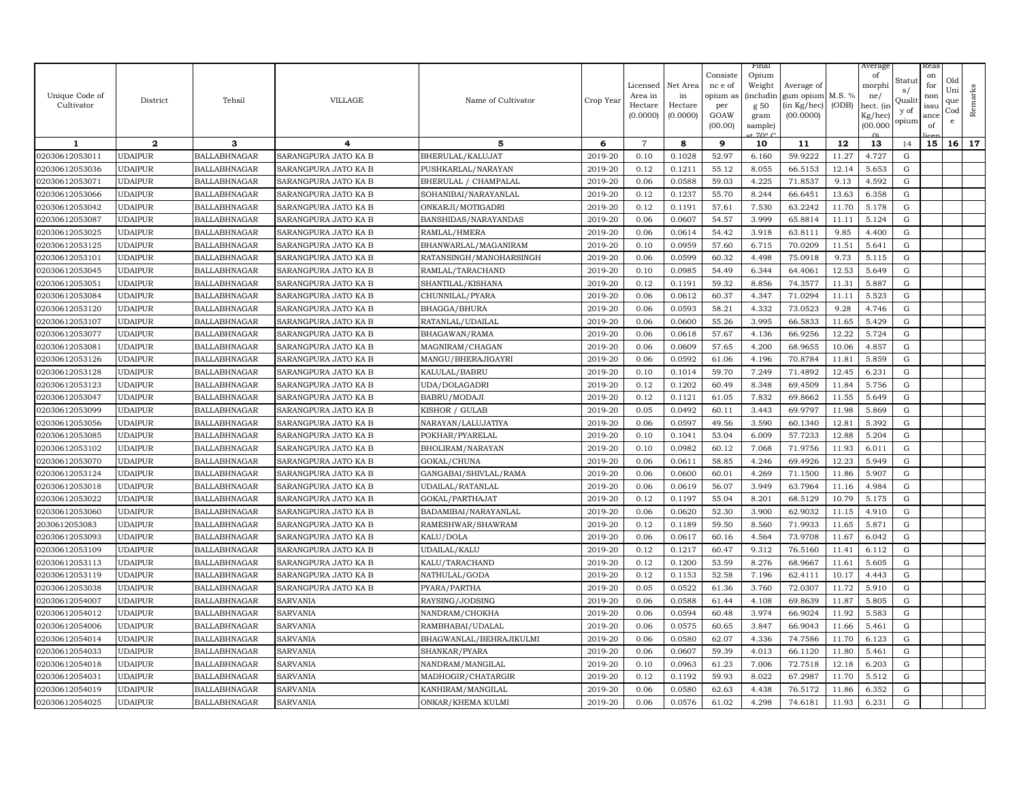| Unique Code of<br>Cultivator | District       | Tehsil              | VILLAGE              | Name of Cultivator      | Crop Year | Licensed<br>Area in<br>Hectare<br>(0.0000) | Net Area<br>in<br>Hectare<br>(0.0000) | Consiste<br>nc e of<br>opium as<br>per<br>GOAW<br>(00.00) | Final<br>Opium<br>Weight<br><i>(includir)</i><br>g 50<br>gram<br>sample)<br>70° | Average of<br>gum opium<br>(in Kg/hec)<br>(00.0000) | M.S. %<br>(ODB) | Averag<br>of<br>morphi<br>ne/<br>hect. (in<br>$Kg/$ hec<br>(00.000) | Statu<br>s/<br>Quali<br>y of<br>opium | on<br>for<br>isst<br>ance<br>of | blG<br>Uni<br>nue | Remarks |
|------------------------------|----------------|---------------------|----------------------|-------------------------|-----------|--------------------------------------------|---------------------------------------|-----------------------------------------------------------|---------------------------------------------------------------------------------|-----------------------------------------------------|-----------------|---------------------------------------------------------------------|---------------------------------------|---------------------------------|-------------------|---------|
| 1                            | $\mathbf{2}$   | з                   | 4                    | 5                       | 6         | $\overline{7}$                             | 8                                     | 9                                                         | 10                                                                              | 11                                                  | 12              | 13                                                                  | 14                                    | 15                              | 16                | 17      |
| 02030612053011               | <b>UDAIPUR</b> | <b>BALLABHNAGAR</b> | SARANGPURA JATO KA B | <b>BHERULAL/KALUJAT</b> | 2019-20   | 0.10                                       | 0.1028                                | 52.97                                                     | 6.160                                                                           | 59.9222                                             | 11.27           | 4.727                                                               | G                                     |                                 |                   |         |
| 02030612053036               | <b>UDAIPUR</b> | BALLABHNAGAR        | SARANGPURA JATO KA B | PUSHKARLAL/NARAYAN      | 2019-20   | 0.12                                       | 0.1211                                | 55.12                                                     | 8.055                                                                           | 66.5153                                             | 12.14           | 5.653                                                               | G                                     |                                 |                   |         |
| 02030612053071               | <b>UDAIPUR</b> | BALLABHNAGAR        | SARANGPURA JATO KA B | BHERULAL / CHAMPALAL    | 2019-20   | 0.06                                       | 0.0588                                | 59.03                                                     | 4.225                                                                           | 71.8537                                             | 9.13            | 4.592                                                               | G                                     |                                 |                   |         |
| 02030612053066               | <b>UDAIPUR</b> | <b>BALLABHNAGAR</b> | SARANGPURA JATO KA B | SOHANIBAI/NARAYANLAL    | 2019-20   | 0.12                                       | 0.1237                                | 55.70                                                     | 8.244                                                                           | 66.6451                                             | 13.63           | 6.358                                                               | ${\rm G}$                             |                                 |                   |         |
| 02030612053042               | <b>UDAIPUR</b> | BALLABHNAGAR        | SARANGPURA JATO KA B | ONKARJI/MOTIGADRI       | 2019-20   | 0.12                                       | 0.1191                                | 57.61                                                     | 7.530                                                                           | 63.2242                                             | 11.70           | 5.178                                                               | G                                     |                                 |                   |         |
| 02030612053087               | <b>UDAIPUR</b> | BALLABHNAGAR        | SARANGPURA JATO KA B | BANSHIDAS/NARAYANDAS    | 2019-20   | 0.06                                       | 0.0607                                | 54.57                                                     | 3.999                                                                           | 65.8814                                             | 11.11           | 5.124                                                               | G                                     |                                 |                   |         |
| 02030612053025               | <b>UDAIPUR</b> | BALLABHNAGAR        | SARANGPURA JATO KA B | RAMLAL/HMERA            | 2019-20   | 0.06                                       | 0.0614                                | 54.42                                                     | 3.918                                                                           | 63.8111                                             | 9.85            | 4.400                                                               | ${\rm G}$                             |                                 |                   |         |
| 02030612053125               | UDAIPUR        | BALLABHNAGAR        | SARANGPURA JATO KA B | BHANWARLAL/MAGANIRAM    | 2019-20   | 0.10                                       | 0.0959                                | 57.60                                                     | 6.715                                                                           | 70.0209                                             | 11.51           | 5.641                                                               | ${\rm G}$                             |                                 |                   |         |
| 02030612053101               | <b>UDAIPUR</b> | BALLABHNAGAR        | SARANGPURA JATO KA B | RATANSINGH/MANOHARSINGH | 2019-20   | 0.06                                       | 0.0599                                | 60.32                                                     | 4.498                                                                           | 75.0918                                             | 9.73            | 5.115                                                               | ${\rm G}$                             |                                 |                   |         |
| 02030612053045               | <b>UDAIPUR</b> | BALLABHNAGAR        | SARANGPURA JATO KA B | RAMLAL/TARACHAND        | 2019-20   | 0.10                                       | 0.0985                                | 54.49                                                     | 6.344                                                                           | 64.4061                                             | 12.53           | 5.649                                                               | G                                     |                                 |                   |         |
| 02030612053051               | <b>UDAIPUR</b> | <b>BALLABHNAGAR</b> | SARANGPURA JATO KA B | SHANTILAL/KISHANA       | 2019-20   | 0.12                                       | 0.1191                                | 59.32                                                     | 8.856                                                                           | 74.3577                                             | 11.31           | 5.887                                                               | ${\rm G}$                             |                                 |                   |         |
| 02030612053084               | <b>UDAIPUR</b> | <b>BALLABHNAGAR</b> | SARANGPURA JATO KA B | CHUNNILAL/PYARA         | 2019-20   | 0.06                                       | 0.0612                                | 60.37                                                     | 4.347                                                                           | 71.0294                                             | 11.11           | 5.523                                                               | ${\rm G}$                             |                                 |                   |         |
| 02030612053120               | <b>UDAIPUR</b> | BALLABHNAGAR        | SARANGPURA JATO KA B | BHAGGA/BHURA            | 2019-20   | 0.06                                       | 0.0593                                | 58.21                                                     | 4.332                                                                           | 73.0523                                             | 9.28            | 4.746                                                               | ${\rm G}$                             |                                 |                   |         |
| 02030612053107               | <b>UDAIPUR</b> | <b>BALLABHNAGAR</b> | SARANGPURA JATO KA B | RATANLAL/UDAILAL        | 2019-20   | 0.06                                       | 0.0600                                | 55.26                                                     | 3.995                                                                           | 66.5833                                             | 11.65           | 5.429                                                               | $\mathbf G$                           |                                 |                   |         |
| 02030612053077               | UDAIPUR        | BALLABHNAGAR        | SARANGPURA JATO KA B | BHAGAWAN/RAMA           | 2019-20   | 0.06                                       | 0.0618                                | 57.67                                                     | 4.136                                                                           | 66.9256                                             | 12.22           | 5.724                                                               | ${\rm G}$                             |                                 |                   |         |
| 02030612053081               | <b>UDAIPUR</b> | BALLABHNAGAR        | SARANGPURA JATO KA B | MAGNIRAM/CHAGAN         | 2019-20   | 0.06                                       | 0.0609                                | 57.65                                                     | 4.200                                                                           | 68.9655                                             | 10.06           | 4.857                                                               | ${\rm G}$                             |                                 |                   |         |
| 02030612053126               | <b>UDAIPUR</b> | BALLABHNAGAR        | SARANGPURA JATO KA B | MANGU/BHERAJIGAYRI      | 2019-20   | 0.06                                       | 0.0592                                | 61.06                                                     | 4.196                                                                           | 70.8784                                             | 11.81           | 5.859                                                               | $\mathbf G$                           |                                 |                   |         |
| 02030612053128               | <b>UDAIPUR</b> | BALLABHNAGAR        | SARANGPURA JATO KA B | KALULAL/BABRU           | 2019-20   | 0.10                                       | 0.1014                                | 59.70                                                     | 7.249                                                                           | 71.4892                                             | 12.45           | 6.231                                                               | $\mathbf G$                           |                                 |                   |         |
| 02030612053123               | <b>UDAIPUR</b> | <b>BALLABHNAGAR</b> | SARANGPURA JATO KA B | UDA/DOLAGADRI           | 2019-20   | 0.12                                       | 0.1202                                | 60.49                                                     | 8.348                                                                           | 69.4509                                             | 11.84           | 5.756                                                               | $\mathbf G$                           |                                 |                   |         |
| 02030612053047               | <b>UDAIPUR</b> | <b>BALLABHNAGAR</b> | SARANGPURA JATO KA B | BABRU/MODAJI            | 2019-20   | 0.12                                       | 0.1121                                | 61.05                                                     | 7.832                                                                           | 69.8662                                             | 11.55           | 5.649                                                               | $\mathbf G$                           |                                 |                   |         |
| 02030612053099               | <b>UDAIPUR</b> | BALLABHNAGAR        | SARANGPURA JATO KA B | KISHOR / GULAB          | 2019-20   | 0.05                                       | 0.0492                                | 60.11                                                     | 3.443                                                                           | 69.9797                                             | 11.98           | 5.869                                                               | G                                     |                                 |                   |         |
| 02030612053056               | <b>UDAIPUR</b> | BALLABHNAGAR        | SARANGPURA JATO KA B | NARAYAN/LALUJATIYA      | 2019-20   | 0.06                                       | 0.0597                                | 49.56                                                     | 3.590                                                                           | 60.1340                                             | 12.81           | 5.392                                                               | G                                     |                                 |                   |         |
| 02030612053085               | UDAIPUR        | BALLABHNAGAR        | SARANGPURA JATO KA B | POKHAR/PYARELAL         | 2019-20   | 0.10                                       | 0.1041                                | 53.04                                                     | 6.009                                                                           | 57.7233                                             | 12.88           | 5.204                                                               | ${\rm G}$                             |                                 |                   |         |
| 02030612053102               | <b>UDAIPUR</b> | BALLABHNAGAR        | SARANGPURA JATO KA B | BHOLIRAM/NARAYAN        | 2019-20   | 0.10                                       | 0.0982                                | 60.12                                                     | 7.068                                                                           | 71.9756                                             | 11.93           | 6.011                                                               | ${\rm G}$                             |                                 |                   |         |
| 02030612053070               | <b>UDAIPUR</b> | BALLABHNAGAR        | SARANGPURA JATO KA B | GOKAL/CHUNA             | 2019-20   | 0.06                                       | 0.0611                                | 58.85                                                     | 4.246                                                                           | 69.4926                                             | 12.23           | 5.949                                                               | ${\rm G}$                             |                                 |                   |         |
| 02030612053124               | <b>UDAIPUR</b> | <b>BALLABHNAGAR</b> | SARANGPURA JATO KA B | GANGABAI/SHIVLAL/RAMA   | 2019-20   | 0.06                                       | 0.0600                                | 60.01                                                     | 4.269                                                                           | 71.1500                                             | 11.86           | 5.907                                                               | ${\rm G}$                             |                                 |                   |         |
| 02030612053018               | <b>UDAIPUR</b> | BALLABHNAGAR        | SARANGPURA JATO KA B | UDAILAL/RATANLAL        | 2019-20   | 0.06                                       | 0.0619                                | 56.07                                                     | 3.949                                                                           | 63.7964                                             | 11.16           | 4.984                                                               | ${\rm G}$                             |                                 |                   |         |
| 02030612053022               | <b>UDAIPUR</b> | BALLABHNAGAR        | SARANGPURA JATO KA B | GOKAL/PARTHAJAT         | 2019-20   | 0.12                                       | 0.1197                                | 55.04                                                     | 8.201                                                                           | 68.5129                                             | 10.79           | 5.175                                                               | ${\rm G}$                             |                                 |                   |         |
| 02030612053060               | <b>UDAIPUR</b> | BALLABHNAGAR        | SARANGPURA JATO KA B | BADAMIBAI/NARAYANLAL    | 2019-20   | 0.06                                       | 0.0620                                | 52.30                                                     | 3.900                                                                           | 62.9032                                             | 11.15           | 4.910                                                               | G                                     |                                 |                   |         |
| 2030612053083                | <b>UDAIPUR</b> | BALLABHNAGAR        | SARANGPURA JATO KA B | RAMESHWAR/SHAWRAM       | 2019-20   | 0.12                                       | 0.1189                                | 59.50                                                     | 8.560                                                                           | 71.9933                                             | 11.65           | 5.871                                                               | $\mathbf G$                           |                                 |                   |         |
| 02030612053093               | <b>UDAIPUR</b> | BALLABHNAGAR        | SARANGPURA JATO KA B | KALU/DOLA               | 2019-20   | 0.06                                       | 0.0617                                | 60.16                                                     | 4.564                                                                           | 73.9708                                             | 11.67           | 6.042                                                               | ${\rm G}$                             |                                 |                   |         |
| 02030612053109               | <b>UDAIPUR</b> | BALLABHNAGAR        | SARANGPURA JATO KA B | UDAILAL/KALU            | 2019-20   | 0.12                                       | 0.1217                                | 60.47                                                     | 9.312                                                                           | 76.5160                                             | 11.41           | 6.112                                                               | ${\rm G}$                             |                                 |                   |         |
| 02030612053113               | <b>UDAIPUR</b> | BALLABHNAGAR        | SARANGPURA JATO KA B | KALU/TARACHAND          | 2019-20   | 0.12                                       | 0.1200                                | 53.59                                                     | 8.276                                                                           | 68.9667                                             | 11.61           | 5.605                                                               | $\mathbf G$                           |                                 |                   |         |
| 02030612053119               | <b>UDAIPUR</b> | <b>BALLABHNAGAR</b> | SARANGPURA JATO KA B | NATHULAL/GODA           | 2019-20   | 0.12                                       | 0.1153                                | 52.58                                                     | 7.196                                                                           | 62.4111                                             | 10.17           | 4.443                                                               | G                                     |                                 |                   |         |
| 02030612053038               | <b>UDAIPUR</b> | <b>BALLABHNAGAR</b> | SARANGPURA JATO KA B | PYARA/PARTHA            | 2019-20   | 0.05                                       | 0.0522                                | 61.36                                                     | 3.760                                                                           | 72.0307                                             | 11.72           | 5.910                                                               | $\mathbf G$                           |                                 |                   |         |
| 02030612054007               | <b>UDAIPUR</b> | <b>BALLABHNAGAR</b> | <b>SARVANIA</b>      | RAYSING/JODSING         | 2019-20   | 0.06                                       | 0.0588                                | 61.44                                                     | 4.108                                                                           | 69.8639                                             | 11.87           | 5.805                                                               | $\mathbf G$                           |                                 |                   |         |
| 02030612054012               | <b>UDAIPUR</b> | BALLABHNAGAR        | SARVANIA             | NANDRAM/CHOKHA          | 2019-20   | 0.06                                       | 0.0594                                | 60.48                                                     | 3.974                                                                           | 66.9024                                             | 11.92           | 5.583                                                               | ${\rm G}$                             |                                 |                   |         |
| 02030612054006               | <b>UDAIPUR</b> | BALLABHNAGAR        | SARVANIA             | RAMBHABAI/UDALAL        | 2019-20   | 0.06                                       | 0.0575                                | 60.65                                                     | 3.847                                                                           | 66.9043                                             | 11.66           | 5.461                                                               | G                                     |                                 |                   |         |
| 02030612054014               | <b>UDAIPUR</b> | BALLABHNAGAR        | <b>SARVANIA</b>      | BHAGWANLAL/BEHRAJIKULMI | 2019-20   | 0.06                                       | 0.0580                                | 62.07                                                     | 4.336                                                                           | 74.7586                                             | 11.70           | 6.123                                                               | G                                     |                                 |                   |         |
| 02030612054033               | <b>UDAIPUR</b> | BALLABHNAGAR        | <b>SARVANIA</b>      | SHANKAR/PYARA           | 2019-20   | 0.06                                       | 0.0607                                | 59.39                                                     | 4.013                                                                           | 66.1120                                             | 11.80           | 5.461                                                               | ${\rm G}$                             |                                 |                   |         |
| 02030612054018               | <b>UDAIPUR</b> | BALLABHNAGAR        | <b>SARVANIA</b>      | NANDRAM/MANGILAL        | 2019-20   | 0.10                                       | 0.0963                                | 61.23                                                     | 7.006                                                                           | 72.7518                                             | 12.18           | 6.203                                                               | ${\rm G}$                             |                                 |                   |         |
| 02030612054031               | <b>UDAIPUR</b> | BALLABHNAGAR        | SARVANIA             | MADHOGIR/CHATARGIR      | 2019-20   | 0.12                                       | 0.1192                                | 59.93                                                     | 8.022                                                                           | 67.2987                                             | 11.70           | 5.512                                                               | G                                     |                                 |                   |         |
| 02030612054019               | <b>UDAIPUR</b> | BALLABHNAGAR        | <b>SARVANIA</b>      | KANHIRAM/MANGILAL       | 2019-20   | 0.06                                       | 0.0580                                | 62.63                                                     | 4.438                                                                           | 76.5172                                             | 11.86           | 6.352                                                               | ${\rm G}$                             |                                 |                   |         |
| 02030612054025               | <b>UDAIPUR</b> | BALLABHNAGAR        | <b>SARVANIA</b>      | ONKAR/KHEMA KULMI       | 2019-20   | 0.06                                       | 0.0576                                | 61.02                                                     | 4.298                                                                           | 74.6181                                             | 11.93           | 6.231                                                               | ${\rm G}$                             |                                 |                   |         |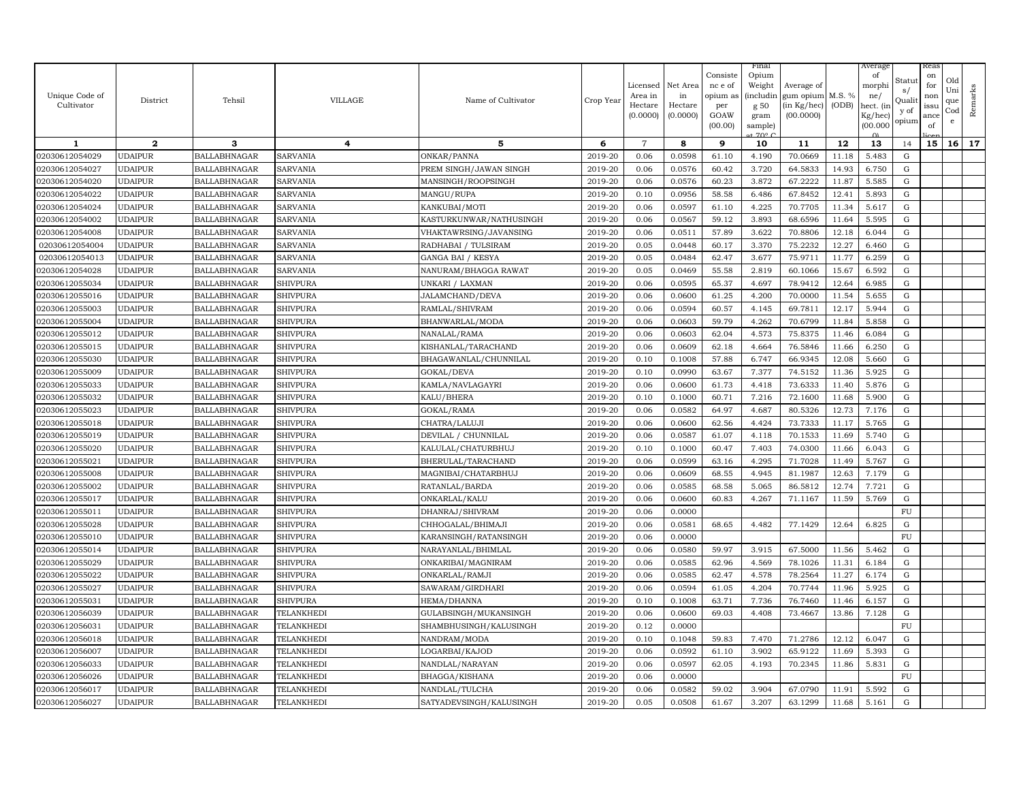| Unique Code of<br>Cultivator | District       | Tehsil              | VILLAGE         | Name of Cultivator       | Crop Year | Licensed<br>Area in<br>Hectare<br>(0.0000) | Net Area<br>in<br>Hectare<br>(0.0000) | Consiste<br>nc e of<br>opium as<br>per<br>GOAW<br>(00.00) | Final<br>Opium<br>Weight<br><i>(includir</i><br>g 50<br>gram<br>sample)<br>$70^\circ$ | Average of<br>gum opium<br>(in Kg/hec)<br>(00.0000) | M.S. %<br>(ODB) | Averag<br>of<br>morphi<br>ne/<br>1ect. (i1<br>Kg/hec<br>(00.000) | Statu<br>S/<br>Quali<br>y of<br>opium | on<br>for<br>nor<br>isst<br>anc<br>of | Old<br>Uni<br>que<br>Cod | Remarks   |
|------------------------------|----------------|---------------------|-----------------|--------------------------|-----------|--------------------------------------------|---------------------------------------|-----------------------------------------------------------|---------------------------------------------------------------------------------------|-----------------------------------------------------|-----------------|------------------------------------------------------------------|---------------------------------------|---------------------------------------|--------------------------|-----------|
| -1                           | $\overline{2}$ | з                   | 4               | 5                        | 6         | $\overline{7}$                             | 8                                     | 9                                                         | 10                                                                                    | 11                                                  | 12              | 13                                                               | 14                                    | 15                                    |                          | $16$   17 |
| 02030612054029               | <b>UDAIPUR</b> | <b>BALLABHNAGAR</b> | <b>SARVANIA</b> | ONKAR/PANNA              | 2019-20   | 0.06                                       | 0.0598                                | 61.10                                                     | 4.190                                                                                 | 70.0669                                             | 11.18           | 5.483                                                            | $\mathbf G$                           |                                       |                          |           |
| 02030612054027               | <b>UDAIPUR</b> | <b>BALLABHNAGAR</b> | <b>SARVANIA</b> | PREM SINGH/JAWAN SINGH   | 2019-20   | 0.06                                       | 0.0576                                | 60.42                                                     | 3.720                                                                                 | 64.5833                                             | 14.93           | 6.750                                                            | G                                     |                                       |                          |           |
| 02030612054020               | UDAIPUR        | <b>BALLABHNAGAR</b> | SARVANIA        | MANSINGH/ROOPSINGH       | 2019-20   | 0.06                                       | 0.0576                                | 60.23                                                     | 3.872                                                                                 | 67.2222                                             | 11.87           | 5.585                                                            | G                                     |                                       |                          |           |
| 02030612054022               | <b>UDAIPUR</b> | <b>BALLABHNAGAR</b> | SARVANIA        | MANGU/RUPA               | 2019-20   | 0.10                                       | 0.0956                                | 58.58                                                     | 6.486                                                                                 | 67.8452                                             | 12.41           | 5.893                                                            | ${\rm G}$                             |                                       |                          |           |
| 02030612054024               | UDAIPUR        | <b>BALLABHNAGAR</b> | SARVANIA        | KANKUBAI/MOTI            | 2019-20   | 0.06                                       | 0.0597                                | 61.10                                                     | 4.225                                                                                 | 70.7705                                             | 11.34           | 5.617                                                            | ${\rm G}$                             |                                       |                          |           |
| 02030612054002               | <b>UDAIPUR</b> | <b>BALLABHNAGAR</b> | SARVANIA        | KASTURKUNWAR/NATHUSINGH  | 2019-20   | 0.06                                       | 0.0567                                | 59.12                                                     | 3.893                                                                                 | 68.6596                                             | 11.64           | 5.595                                                            | G                                     |                                       |                          |           |
| 02030612054008               | <b>UDAIPUR</b> | <b>BALLABHNAGAR</b> | SARVANIA        | VHAKTAWRSING/JAVANSING   | 2019-20   | 0.06                                       | 0.0511                                | 57.89                                                     | 3.622                                                                                 | 70.8806                                             | 12.18           | 6.044                                                            | G                                     |                                       |                          |           |
| 02030612054004               | <b>UDAIPUR</b> | <b>BALLABHNAGAR</b> | <b>SARVANIA</b> | RADHABAI / TULSIRAM      | 2019-20   | 0.05                                       | 0.0448                                | 60.17                                                     | 3.370                                                                                 | 75.2232                                             | 12.27           | 6.460                                                            | ${\rm G}$                             |                                       |                          |           |
| 02030612054013               | <b>UDAIPUR</b> | <b>BALLABHNAGAR</b> | SARVANIA        | <b>GANGA BAI / KESYA</b> | 2019-20   | 0.05                                       | 0.0484                                | 62.47                                                     | 3.677                                                                                 | 75.9711                                             | 11.77           | 6.259                                                            | ${\rm G}$                             |                                       |                          |           |
| 02030612054028               | <b>UDAIPUR</b> | <b>BALLABHNAGAR</b> | <b>SARVANIA</b> | NANURAM/BHAGGA RAWAT     | 2019-20   | 0.05                                       | 0.0469                                | 55.58                                                     | 2.819                                                                                 | 60.1066                                             | 15.67           | 6.592                                                            | G                                     |                                       |                          |           |
| 02030612055034               | <b>UDAIPUR</b> | <b>BALLABHNAGAR</b> | SHIVPURA        | UNKARI / LAXMAN          | 2019-20   | 0.06                                       | 0.0595                                | 65.37                                                     | 4.697                                                                                 | 78.9412                                             | 12.64           | 6.985                                                            | ${\rm G}$                             |                                       |                          |           |
| 02030612055016               | <b>UDAIPUR</b> | <b>BALLABHNAGAR</b> | SHIVPURA        | JALAMCHAND/DEVA          | 2019-20   | 0.06                                       | 0.0600                                | 61.25                                                     | 4.200                                                                                 | 70.0000                                             | 11.54           | 5.655                                                            | ${\rm G}$                             |                                       |                          |           |
| 02030612055003               | UDAIPUR        | <b>BALLABHNAGAR</b> | SHIVPURA        | RAMLAL/SHIVRAM           | 2019-20   | 0.06                                       | 0.0594                                | 60.57                                                     | 4.145                                                                                 | 69.7811                                             | 12.17           | 5.944                                                            | G                                     |                                       |                          |           |
| 02030612055004               | UDAIPUR        | <b>BALLABHNAGAR</b> | SHIVPURA        | BHANWARLAL/MODA          | 2019-20   | 0.06                                       | 0.0603                                | 59.79                                                     | 4.262                                                                                 | 70.6799                                             | 11.84           | 5.858                                                            | G                                     |                                       |                          |           |
| 02030612055012               | <b>UDAIPUR</b> | BALLABHNAGAR        | SHIVPURA        | NANALAL/RAMA             | 2019-20   | 0.06                                       | 0.0603                                | 62.04                                                     | 4.573                                                                                 | 75.8375                                             | 11.46           | 6.084                                                            | ${\rm G}$                             |                                       |                          |           |
| 02030612055015               | <b>UDAIPUR</b> | <b>BALLABHNAGAR</b> | SHIVPURA        | KISHANLAL/TARACHAND      | 2019-20   | 0.06                                       | 0.0609                                | 62.18                                                     | 4.664                                                                                 | 76.5846                                             | 11.66           | 6.250                                                            | ${\rm G}$                             |                                       |                          |           |
| 02030612055030               | <b>UDAIPUR</b> | <b>BALLABHNAGAR</b> | SHIVPURA        | BHAGAWANLAL/CHUNNILAL    | 2019-20   | 0.10                                       | 0.1008                                | 57.88                                                     | 6.747                                                                                 | 66.9345                                             | 12.08           | 5.660                                                            | ${\rm G}$                             |                                       |                          |           |
| 02030612055009               | <b>UDAIPUR</b> | <b>BALLABHNAGAR</b> | SHIVPURA        | GOKAL/DEVA               | 2019-20   | 0.10                                       | 0.0990                                | 63.67                                                     | 7.377                                                                                 | 74.5152                                             | 11.36           | 5.925                                                            | G                                     |                                       |                          |           |
| 02030612055033               | <b>UDAIPUR</b> | <b>BALLABHNAGAR</b> | SHIVPURA        | KAMLA/NAVLAGAYRI         | 2019-20   | 0.06                                       | 0.0600                                | 61.73                                                     | 4.418                                                                                 | 73.6333                                             | 11.40           | 5.876                                                            | ${\rm G}$                             |                                       |                          |           |
| 02030612055032               | <b>UDAIPUR</b> | <b>BALLABHNAGAR</b> | SHIVPURA        | KALU/BHERA               | 2019-20   | 0.10                                       | 0.1000                                | 60.71                                                     | 7.216                                                                                 | 72.1600                                             | 11.68           | 5.900                                                            | ${\rm G}$                             |                                       |                          |           |
| 02030612055023               | UDAIPUR        | <b>BALLABHNAGAR</b> | SHIVPURA        | GOKAL/RAMA               | 2019-20   | 0.06                                       | 0.0582                                | 64.97                                                     | 4.687                                                                                 | 80.5326                                             | 12.73           | 7.176                                                            | G                                     |                                       |                          |           |
| 02030612055018               | UDAIPUR        | <b>BALLABHNAGAR</b> | SHIVPURA        | CHATRA/LALUJI            | 2019-20   | 0.06                                       | 0.0600                                | 62.56                                                     | 4.424                                                                                 | 73.7333                                             | 11.17           | 5.765                                                            | G                                     |                                       |                          |           |
| 02030612055019               | <b>UDAIPUR</b> | <b>BALLABHNAGAR</b> | SHIVPURA        | DEVILAL / CHUNNILAL      | 2019-20   | 0.06                                       | 0.0587                                | 61.07                                                     | 4.118                                                                                 | 70.1533                                             | 11.69           | 5.740                                                            | ${\rm G}$                             |                                       |                          |           |
| 02030612055020               | <b>UDAIPUR</b> | <b>BALLABHNAGAR</b> | SHIVPURA        | KALULAL/CHATURBHUJ       | 2019-20   | 0.10                                       | 0.1000                                | 60.47                                                     | 7.403                                                                                 | 74.0300                                             | 11.66           | 6.043                                                            | $\mathbf G$                           |                                       |                          |           |
| 02030612055021               | UDAIPUR        | <b>BALLABHNAGAR</b> | SHIVPURA        | BHERULAL/TARACHAND       | 2019-20   | 0.06                                       | 0.0599                                | 63.16                                                     | 4.295                                                                                 | 71.7028                                             | 11.49           | 5.767                                                            | ${\rm G}$                             |                                       |                          |           |
| 02030612055008               | <b>UDAIPUR</b> | <b>BALLABHNAGAR</b> | SHIVPURA        | MAGNIBAI/CHATARBHUJ      | 2019-20   | 0.06                                       | 0.0609                                | 68.55                                                     | 4.945                                                                                 | 81.1987                                             | 12.63           | 7.179                                                            | ${\rm G}$                             |                                       |                          |           |
| 02030612055002               | <b>UDAIPUR</b> | <b>BALLABHNAGAR</b> | SHIVPURA        | RATANLAL/BARDA           | 2019-20   | 0.06                                       | 0.0585                                | 68.58                                                     | 5.065                                                                                 | 86.5812                                             | 12.74           | 7.721                                                            | ${\rm G}$                             |                                       |                          |           |
| 02030612055017               | UDAIPUR        | <b>BALLABHNAGAR</b> | SHIVPURA        | ONKARLAL/KALU            | 2019-20   | 0.06                                       | 0.0600                                | 60.83                                                     | 4.267                                                                                 | 71.1167                                             | 11.59           | 5.769                                                            | ${\rm G}$                             |                                       |                          |           |
| 02030612055011               | UDAIPUR        | <b>BALLABHNAGAR</b> | SHIVPURA        | DHANRAJ/SHIVRAM          | 2019-20   | 0.06                                       | 0.0000                                |                                                           |                                                                                       |                                                     |                 |                                                                  | ${\rm FU}$                            |                                       |                          |           |
| 02030612055028               | UDAIPUR        | <b>BALLABHNAGAR</b> | SHIVPURA        | CHHOGALAL/BHIMAJI        | 2019-20   | 0.06                                       | 0.0581                                | 68.65                                                     | 4.482                                                                                 | 77.1429                                             | 12.64           | 6.825                                                            | G                                     |                                       |                          |           |
| 02030612055010               | UDAIPUR        | <b>BALLABHNAGAR</b> | SHIVPURA        | KARANSINGH/RATANSINGH    | 2019-20   | 0.06                                       | 0.0000                                |                                                           |                                                                                       |                                                     |                 |                                                                  | ${\rm FU}$                            |                                       |                          |           |
| 02030612055014               | UDAIPUR        | <b>BALLABHNAGAR</b> | SHIVPURA        | NARAYANLAL/BHIMLAL       | 2019-20   | 0.06                                       | 0.0580                                | 59.97                                                     | 3.915                                                                                 | 67.5000                                             | 11.56           | 5.462                                                            | ${\rm G}$                             |                                       |                          |           |
| 02030612055029               | <b>UDAIPUR</b> | <b>BALLABHNAGAR</b> | SHIVPURA        | ONKARIBAI/MAGNIRAM       | 2019-20   | 0.06                                       | 0.0585                                | 62.96                                                     | 4.569                                                                                 | 78.1026                                             | 11.31           | 6.184                                                            | ${\rm G}$                             |                                       |                          |           |
| 02030612055022               | UDAIPUR        | <b>BALLABHNAGAR</b> | SHIVPURA        | ONKARLAL/RAMJI           | 2019-20   | 0.06                                       | 0.0585                                | 62.47                                                     | 4.578                                                                                 | 78.2564                                             | 11.27           | 6.174                                                            | G                                     |                                       |                          |           |
| 02030612055027               | <b>UDAIPUR</b> | <b>BALLABHNAGAR</b> | SHIVPURA        | SAWARAM/GIRDHARI         | 2019-20   | 0.06                                       | 0.0594                                | 61.05                                                     | 4.204                                                                                 | 70.7744                                             | 11.96           | 5.925                                                            | ${\rm G}$                             |                                       |                          |           |
| 02030612055031               | <b>UDAIPUR</b> | <b>BALLABHNAGAR</b> | SHIVPURA        | HEMA/DHANNA              | 2019-20   | 0.10                                       | 0.1008                                | 63.71                                                     | 7.736                                                                                 | 76.7460                                             | 11.46           | 6.157                                                            | ${\rm G}$                             |                                       |                          |           |
| 02030612056039               | UDAIPUR        | <b>BALLABHNAGAR</b> | TELANKHEDI      | GULABSINGH/MUKANSINGH    | 2019-20   | 0.06                                       | 0.0600                                | 69.03                                                     | 4.408                                                                                 | 73.4667                                             | 13.86           | 7.128                                                            | $\mathbf G$                           |                                       |                          |           |
| 02030612056031               | <b>UDAIPUR</b> | <b>BALLABHNAGAR</b> | TELANKHEDI      | SHAMBHUSINGH/KALUSINGH   | 2019-20   | 0.12                                       | 0.0000                                |                                                           |                                                                                       |                                                     |                 |                                                                  | FU                                    |                                       |                          |           |
| 02030612056018               | <b>UDAIPUR</b> | <b>BALLABHNAGAR</b> | TELANKHEDI      | NANDRAM/MODA             | 2019-20   | 0.10                                       | 0.1048                                | 59.83                                                     | 7.470                                                                                 | 71.2786                                             | 12.12           | 6.047                                                            | $\mathbf G$                           |                                       |                          |           |
| 02030612056007               | UDAIPUR        | <b>BALLABHNAGAR</b> | TELANKHEDI      | LOGARBAI/KAJOD           | 2019-20   | 0.06                                       | 0.0592                                | 61.10                                                     | 3.902                                                                                 | 65.9122                                             | 11.69           | 5.393                                                            | $\mathbf G$                           |                                       |                          |           |
| 02030612056033               | <b>UDAIPUR</b> | <b>BALLABHNAGAR</b> | TELANKHEDI      | NANDLAL/NARAYAN          | 2019-20   | 0.06                                       | 0.0597                                | 62.05                                                     | 4.193                                                                                 | 70.2345                                             | 11.86           | 5.831                                                            | ${\rm G}$                             |                                       |                          |           |
| 02030612056026               | UDAIPUR        | <b>BALLABHNAGAR</b> | TELANKHEDI      | BHAGGA/KISHANA           | 2019-20   | 0.06                                       | 0.0000                                |                                                           |                                                                                       |                                                     |                 |                                                                  | ${\rm FU}$                            |                                       |                          |           |
| 02030612056017               | <b>UDAIPUR</b> | <b>BALLABHNAGAR</b> | TELANKHEDI      | NANDLAL/TULCHA           | 2019-20   | 0.06                                       | 0.0582                                | 59.02                                                     | 3.904                                                                                 | 67.0790                                             | 11.91           | 5.592                                                            | ${\rm G}$                             |                                       |                          |           |
| 02030612056027               | <b>UDAIPUR</b> | <b>BALLABHNAGAR</b> | TELANKHEDI      | SATYADEVSINGH/KALUSINGH  | 2019-20   | 0.05                                       | 0.0508                                | 61.67                                                     | 3.207                                                                                 | 63.1299                                             | 11.68           | 5.161                                                            | ${\rm G}$                             |                                       |                          |           |